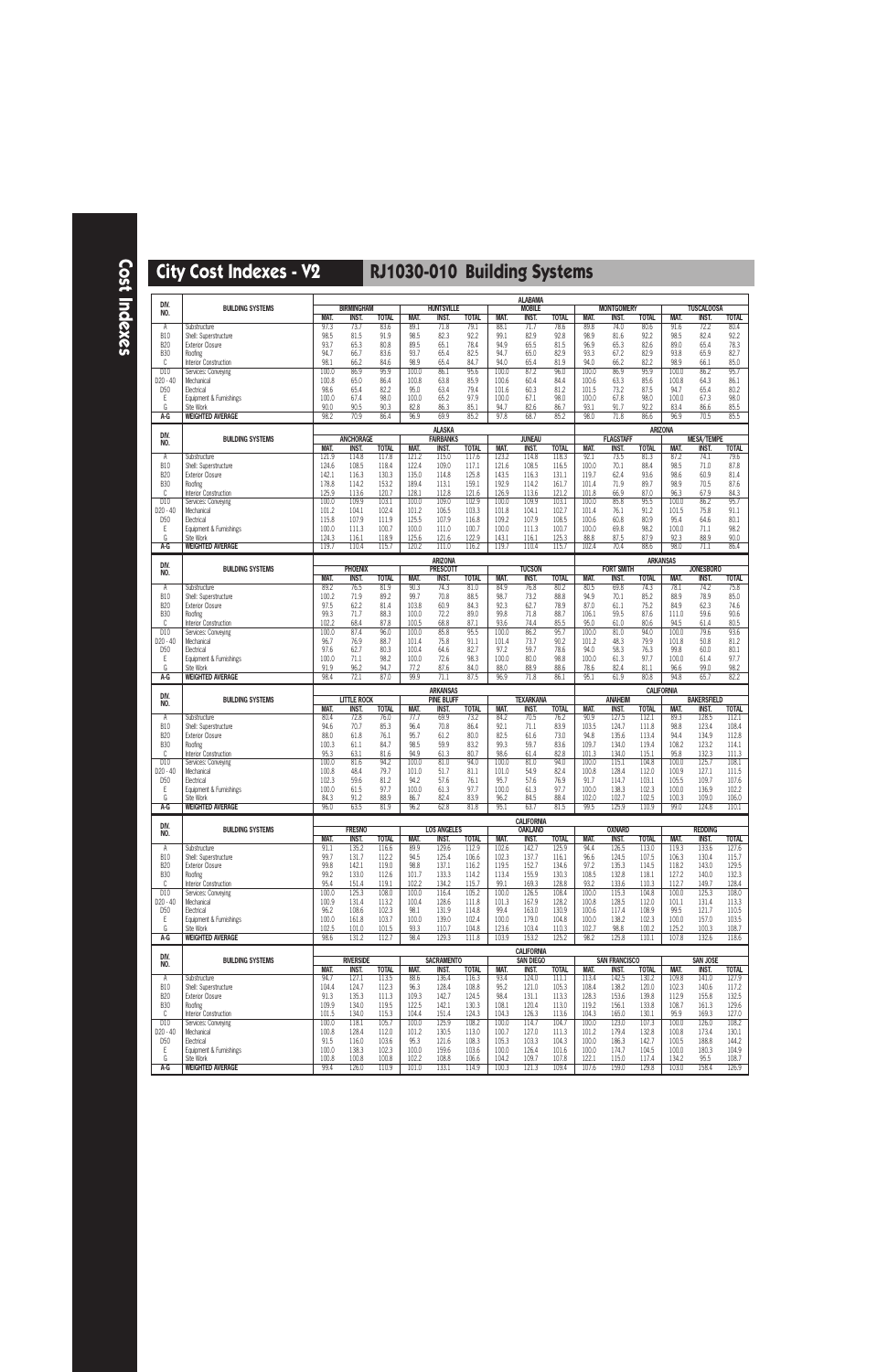**Cost Indexes**

| DIV.                          |                                                  |                |                                   |                       |                |                                   |                       |                | <b>ALABAMA</b>                      |                       |                |                            |                       |                   |                                   |                       |
|-------------------------------|--------------------------------------------------|----------------|-----------------------------------|-----------------------|----------------|-----------------------------------|-----------------------|----------------|-------------------------------------|-----------------------|----------------|----------------------------|-----------------------|-------------------|-----------------------------------|-----------------------|
| NO.                           | <b>BUILDING SYSTEMS</b>                          | MAT.           | <b>BIRMINGHAM</b><br><b>INST.</b> | <b>TOTAL</b>          | MAT.           | <b>HUNTSVILLE</b><br><b>INST.</b> | <b>TOTAL</b>          | <b>MAT.</b>    | <b>MOBILE</b><br><b>INST.</b>       | <b>TOTAL</b>          | MAT.           | <b>MONTGOMERY</b><br>INST. | <b>TOTAL</b>          | MAT.              | <b>TUSCALOOSA</b><br><b>INST.</b> | <b>TOTAL</b>          |
| Α                             | Substructure                                     | 97.3           | 73.7                              | 83.6                  | 89.1           | 71.8                              | 79.1                  | 88.1           | 71.7                                | 78.6                  | 89.8           | 74.0                       | 80.6                  | 91.6              | 72.2                              | 80.4                  |
| <b>B10</b>                    | Shell: Superstructure                            | 98.5           | 81.5                              | 91.9                  | 98.5           | 82.3                              | 92.2                  | 99.1           | 82.9                                | 92.8                  | 98.9           | 81.6                       | 92.2                  | 98.5              | 82.4                              | 92.2                  |
| <b>B20</b><br><b>B30</b>      | <b>Exterior Closure</b><br>Roofing               | 93.7<br>94.7   | 65.3<br>66.7                      | 80.8<br>83.6          | 89.5<br>93.7   | 65.1<br>65.4                      | 78.4<br>82.5          | 94.9<br>94.7   | 65.5<br>65.0                        | 81.5<br>82.9          | 96.9<br>93.3   | 65.3<br>67.2               | 82.6<br>82.9          | 89.0<br>93.8      | 65.4<br>65.9                      | 78.3<br>82.7          |
| C                             | Interior Construction                            | 98.1           | 66.2                              | 84.6                  | 98.9           | 65.4                              | 84.7                  | 94.0           | 65.4                                | 81.9                  | 94.0           | 66.2                       | 82.2                  | 98.9              | 66.1                              | 85.0                  |
| D10                           | Services: Conveying                              | 100.0          | 86.9                              | 95.9                  | 100.0          | 86.1                              | 95.6                  | 100.0          | 87.2                                | 96.0                  | 100.0          | 86.9                       | 95.9                  | 100.0             | 86.2                              | 95.7                  |
| $D20 - 40$<br>D <sub>50</sub> | Mechanical<br>Electrical                         | 100.8<br>98.6  | 65.0<br>65.4                      | 86.4<br>82.2          | 100.8<br>95.0  | 63.8<br>63.4                      | 85.9<br>79.4          | 100.6<br>101.6 | 60.4<br>60.3                        | 84.4<br>81.2          | 100.6<br>101.5 | 63.3<br>73.2               | 85.6<br>87.5          | 100.8<br>94.7     | 64.3<br>65.4                      | 86.1<br>80.2          |
| Ε                             | Equipment & Furnishings                          | 100.0          | 67.4                              | 98.0                  | 100.0          | 65.2                              | 97.9                  | 100.0          | 67.1                                | 98.0                  | 100.0          | 67.8                       | 98.0                  | 100.0             | 67.3                              | 98.0                  |
| G                             | Site Work                                        | 90.0           | 90.5                              | 90.3                  | 82.8           | 86.3                              | 85.1                  | 94.7           | 82.6                                | 86.7                  | 93.1           | 91.7                       | 92.2                  | 83.4              | 86.6                              | 85.5                  |
| A-G                           | <b>WEIGHTED AVERAGE</b>                          | 98.2           | 70.9                              | 86.4                  | 96.9           | 69.9                              | 85.2                  | 97.8           | 68.7                                | 85.2                  | 98.0           | 71.8                       | 86.6                  | 96.9              | 70.5                              | 85.5                  |
| DIV.                          | <b>BUILDING SYSTEMS</b>                          |                | <b>ANCHORAGE</b>                  |                       |                | <b>ALASKA</b><br><b>FAIRBANKS</b> |                       |                | <b>JUNEAU</b>                       |                       |                | <b>FLAGSTAFF</b>           |                       | <b>ARIZONA</b>    | <b>MESA/TEMPE</b>                 |                       |
| NO.                           |                                                  | MAT.           | <b>INST.</b>                      | <b>TOTAL</b>          | MAT.           | INST.                             | <b>TOTAL</b>          | MAT.           | <b>INST.</b>                        | <b>TOTAL</b>          | MAT.           | INST.                      | <b>TOTAL</b>          | MAT.              | <b>INST.</b>                      | <b>TOTAL</b>          |
| Α                             | Substructure                                     | 121.9          | 114.8                             | 117.8                 | 121.2          | 115.0                             | 117.6                 | 123.2          | 114.8                               | 118.3                 | 92.1           | 73.5                       | 81.3                  | 87.2              | 74.1                              | 79.6                  |
| <b>B10</b><br><b>B20</b>      | Shell: Superstructure<br><b>Exterior Closure</b> | 124.6<br>142.1 | 108.5<br>116.3                    | 118.4<br>130.3        | 122.4<br>135.0 | 109.0<br>114.8                    | 117.1<br>125.8        | 121.6<br>143.5 | 108.5<br>116.3                      | 116.5<br>131.1        | 100.0<br>119.7 | 70.1<br>62.4               | 88.4<br>93.6          | 98.5<br>98.6      | 71.0<br>60.9                      | 87.8<br>81.4          |
| <b>B30</b>                    | Roofing                                          | 178.8          | 114.2                             | 153.2                 | 189.4          | 113.1                             | 159.1                 | 192.9          | 114.2                               | 161.7                 | 101.4          | 71.9                       | 89.7                  | 98.9              | 70.5                              | 87.6                  |
| C                             | Interior Construction                            | 125.9          | 113.6                             | 120.7                 | 128.1          | 112.8                             | 121.6                 | 126.9          | 113.6                               | 121.2                 | 101.8          | 66.9                       | 87.0                  | 96.3              | 67.9                              | 84.3                  |
| D10<br>D20 - 40               | Services: Conveying<br>Mechanical                | 100.0<br>101.2 | 109.9<br>104.1                    | 103.1<br>102.4        | 100.0<br>101.2 | 109.0<br>106.5                    | 102.9<br>103.3        | 100.0<br>101.8 | 109.9<br>104.1                      | 103.1<br>102.7        | 100.0<br>101.4 | 85.8<br>76.1               | 95.5<br>91.2          | 100.0<br>101.5    | 86.2<br>75.8                      | 95.7<br>91.1          |
| D <sub>50</sub>               | Electrical                                       | 115.8          | 107.9                             | 111.9                 | 125.5          | 107.9                             | 116.8                 | 109.2          | 107.9                               | 108.5                 | 100.6          | 60.8                       | 80.9                  | 95.4              | 64.6                              | 80.1                  |
| Ε                             | Equipment & Furnishings                          | 100.0          | 111.3                             | 100.7                 | 100.0          | 111.0                             | 100.7                 | 100.0          | 111.3                               | 100.7                 | 100.0          | 69.8                       | 98.2                  | 100.0             | 71.1                              | 98.2                  |
| G<br>$A-G$                    | Site Work<br><b>WEIGHTED AVERAGE</b>             | 124.3<br>119.7 | 116.1<br>110.4                    | 118.9<br>115.7        | 125.6<br>120.2 | 121.6<br>111.0                    | 122.9<br>116.2        | 143.1<br>119.7 | 116.1<br>110.4                      | 125.3<br>115.7        | 88.8<br>102.4  | 87.5<br>70.4               | 87.9<br>88.6          | 92.3<br>98.0      | 88.9<br>71.1                      | 90.0<br>86.4          |
|                               |                                                  |                |                                   |                       |                | <b>ARIZONA</b>                    |                       |                |                                     |                       |                |                            |                       | <b>ARKANSAS</b>   |                                   |                       |
| DIV.<br>NO.                   | <b>BUILDING SYSTEMS</b>                          |                | <b>PHOENIX</b>                    |                       |                | <b>PRESCOTT</b>                   |                       |                | <b>TUCSON</b>                       |                       |                | <b>FORT SMITH</b>          |                       |                   | <b>JONESBORO</b>                  |                       |
|                               |                                                  | MAT.<br>89.2   | <b>INST.</b><br>76.5              | <b>TOTAL</b><br>81.9  | MAT.<br>90.3   | INST.<br>74.3                     | <b>TOTAL</b><br>81.0  | MAT.<br>84.9   | <b>INST.</b><br>76.8                | <b>TOTAL</b><br>80.2  | MAT.<br>80.5   | <b>INST.</b><br>69.8       | <b>TOTAL</b><br>74.3  | MAT.<br>78.1      | <b>INST.</b><br>74.2              | <b>TOTAL</b><br>75.8  |
| Α<br><b>B10</b>               | Substructure<br>Shell: Superstructure            | 100.2          | 71.9                              | 89.2                  | 99.7           | 70.8                              | 88.5                  | 98.7           | 73.2                                | 88.8                  | 94.9           | 70.1                       | 85.2                  | 88.9              | 78.9                              | 85.0                  |
| <b>B20</b>                    | <b>Exterior Closure</b>                          | 97.5           | 62.2                              | 81.4                  | 103.8          | 60.9                              | 84.3                  | 92.3           | 62.7                                | 78.9                  | 87.0           | 61.1                       | 75.2                  | 84.9              | 62.3                              | 74.6                  |
| <b>B30</b><br>C               | Roofing                                          | 99.3<br>102.2  | 71.7<br>68.4                      | 88.3<br>87.8          | 100.0<br>100.5 | 72.2<br>68.8                      | 89.0<br>87.1          | 99.8<br>93.6   | 71.8<br>74.4                        | 88.7<br>85.5          | 106.1<br>95.0  | 59.5<br>61.0               | 87.6<br>80.6          | 111.0<br>94.5     | 59.6<br>61.4                      | 90.6<br>80.5          |
| D10                           | Interior Construction<br>Services: Conveying     | 100.0          | 87.4                              | 96.0                  | 100.0          | 85.8                              | 95.5                  | 100.0          | 86.2                                | 95.7                  | 100.0          | 81.0                       | 94.0                  | 100.0             | 79.6                              | 93.6                  |
| D20 - 40                      | Mechanical                                       | 96.7           | 76.9                              | 88.7                  | 101.4          | 75.8                              | 91.1                  | 101.4          | 73.7                                | 90.2                  | 101.2          | 48.3                       | 79.9                  | 101.8             | 50.8                              | 81.2                  |
| D <sub>50</sub>               | Electrical                                       | 97.6<br>100.0  | 62.7<br>71.1                      | 80.3<br>98.2          | 100.4<br>100.0 | 64.6<br>72.6                      | 82.7<br>98.3          | 97.2<br>100.0  | 59.7<br>80.0                        | 78.6<br>98.8          | 94.0<br>100.0  | 58.3<br>61.3               | 76.3<br>97.7          | 99.8<br>100.0     | 60.0<br>61.4                      | 80.1<br>97.7          |
| Ε<br>G                        | Equipment & Furnishings<br>Site Work             | 91.9           | 96.2                              | 94.7                  | 77.2           | 87.6                              | 84.0                  | 88.0           | 88.9                                | 88.6                  | 78.6           | 82.4                       | 81.1                  | 96.6              | 99.0                              | 98.2                  |
| A-G                           | <b>WEIGHTED AVERAGE</b>                          | 98.4           | 72.1                              | 87.0                  | 99.9           | 71.1                              | 87.5                  | 96.9           | 71.8                                | 86.1                  | 95.1           | 61.9                       | 80.8                  | 94.8              | 65.7                              | 82.2                  |
|                               |                                                  |                |                                   |                       |                |                                   |                       |                |                                     |                       |                |                            |                       |                   |                                   |                       |
|                               |                                                  |                |                                   |                       |                | <b>ARKANSAS</b>                   |                       |                |                                     |                       |                |                            |                       | <b>CALIFORNIA</b> |                                   |                       |
| DIV.<br>NO.                   | <b>BUILDING SYSTEMS</b>                          |                | <b>LITTLE ROCK</b>                |                       |                | <b>PINE BLUFF</b>                 |                       |                | <b>TEXARKANA</b>                    |                       |                | <b>ANAHEIM</b>             |                       |                   | <b>BAKERSFIELD</b>                |                       |
| Α                             | Substructure                                     | MAT.<br>80.4   | INST.<br>72.8                     | <b>TOTAL</b><br>76.0  | MAT.<br>77.7   | INST.<br>69.9                     | <b>TOTAL</b><br>73.2  | MAT.<br>84.2   | <b>INST.</b><br>70.5                | <b>TOTAL</b><br>76.2  | MAT.<br>90.9   | <b>INST.</b><br>127.5      | <b>TOTAL</b><br>112.1 | MAT.<br>89.3      | <b>INST.</b><br>128.5             | <b>TOTAL</b><br>112.1 |
| <b>B10</b>                    | Shell: Superstructure                            | 94.6           | 70.7                              | 85.3                  | 96.4           | 70.8                              | 86.4                  | 92.1           | 71.1                                | 83.9                  | 103.5          | 124.7                      | 111.8                 | 98.8              | 123.4                             | 108.4                 |
| <b>B20</b>                    | <b>Exterior Closure</b>                          | 88.0           | 61.8                              | 76.1                  | 95.7           | 61.2                              | 80.0                  | 82.5           | 61.6                                | 73.0                  | 94.8           | 135.6                      | 113.4                 | 94.4              | 134.9                             | 112.8                 |
| <b>B30</b><br>C               | Roofing<br>Interior Construction                 | 100.3<br>95.3  | 61.1<br>63.1                      | 84.7<br>81.6          | 98.5<br>94.9   | 59.9<br>61.3                      | 83.2<br>80.7          | 99.3<br>98.6   | 59.7<br>61.4                        | 83.6<br>82.8          | 109.7<br>101.3 | 134.0<br>134.0             | 119.4<br>115.1        | 108.2<br>95.8     | 123.2<br>132.3                    | 114.1<br>111.3        |
| D10                           | Services: Conveying                              | 100.0          | 81.6                              | 94.2                  | 100.0          | 81.0                              | 94.0                  | 100.0          | 81.0                                | 94.0                  | 100.0          | 115.1                      | 104.8                 | 100.0             | 125.7                             | 108.1                 |
| D20 - 40<br>D <sub>50</sub>   | Mechanical<br>Electrical                         | 100.8<br>102.3 | 48.4<br>59.6                      | 79.7<br>81.2          | 101.0<br>94.2  | 51.7<br>57.6                      | 81.1<br>76.1          | 101.0<br>95.7  | 54.9<br>57.6                        | 82.4<br>76.9          | 100.8<br>91.7  | 128.4<br>114.7             | 112.0<br>103.1        | 100.9<br>105.5    | 127.1<br>109.7                    | 111.5<br>107.6        |
| Ε                             | Equipment & Furnishings                          | 100.0          | 61.5                              | 97.7                  | 100.0          | 61.3                              | 97.7                  | 100.0          | 61.3                                | 97.7                  | 100.0          | 138.3                      | 102.3                 | 100.0             | 136.9                             | 102.2                 |
| G                             | Site Work                                        | 84.3           | 91.2                              | 88.9                  | 86.7           | 82.4                              | 83.9                  | 96.2           | 84.5                                | 88.4                  | 102.0          | 102.7                      | 102.5                 | 100.3             | 109.0                             | 106.0                 |
| $A-G$                         | <b>WEIGHTED AVERAGE</b>                          | 96.0           | 63.5                              | 81.9                  | 96.2           | 62.8                              | 81.8                  | 95.1           | 63.7                                | 81.5                  | 99.5           | 125.9                      | 110.9                 | 99.0              | 124.8                             | 110.1                 |
| DIV.                          | <b>BUILDING SYSTEMS</b>                          |                | <b>FRESNO</b>                     |                       |                | <b>LOS ANGELES</b>                |                       |                | <b>CALIFORNIA</b><br><b>OAKLAND</b> |                       |                | <b>OXNARD</b>              |                       |                   | <b>REDDING</b>                    |                       |
| NO.                           |                                                  | MAT.           | INST.                             | <b>TOTAL</b>          | MAT.           | INST.                             | <b>TOTAL</b>          | <b>MAT.</b>    | INST.                               | <b>TOTAL</b>          | MAT.           | INST.                      | <b>TOTAL</b>          | MAT.              | <b>INST.</b>                      | <b>TOTAL</b>          |
| A                             | Substructure                                     | 91.1           | 135.2                             | 116.6                 | 89.9           | 129.6                             | 112.9                 | 102.6          | 142.7                               | 125.9                 | 94.4           | 126.5                      | 113.0                 | 119.3             | 133.6                             | 127.6                 |
| <b>B10</b><br><b>B20</b>      | Shell: Superstructure<br><b>Exterior Closure</b> | 99.7<br>99.8   | 131.7<br>142.1                    | 112.2<br>119.0        | 94.5<br>98.8   | 125.4<br>137.1                    | 106.6<br>116.2        | 102.3<br>119.5 | 137.7<br>152.7                      | 116.1<br>134.6        | 96.6<br>97.2   | 124.5<br>135.3             | 107.5<br>114.5        | 106.3<br>118.2    | 130.4<br>143.0                    | 115.7<br>129.5        |
| <b>B30</b>                    | Roofing                                          | 99.2           | 133.0                             | 112.6                 | 101.7          | 133.3                             | 114.2                 | 113.4          | 155.9                               | 130.3                 | 108.5          | 132.8                      | 118.1                 | 127.2             | 140.0                             | 132.3                 |
| C<br>D10                      | Interior Construction<br>Services: Conveying     | 95.4<br>100.0  | 151.4<br>125.3                    | 119.1<br>108.0        | 102.2<br>100.0 | 134.2<br>116.4                    | 115.7<br>105.2        | 99.1<br>100.0  | 169.3<br>126.5                      | 128.8<br>108.4        | 93.2<br>100.0  | 133.6<br>115.3             | 110.3<br>104.8        | 112.7<br>100.0    | 149.7                             | 128.4<br>108.0        |
| D20 - 40                      | Mechanical                                       | 100.9          | 131.4                             | 113.2                 | 100.4          | 128.6                             | 111.8                 | 101.3          | 167.9                               | 128.2                 | 100.8          | 128.5                      | 112.0                 | 101.1             | 125.3<br>131.4                    | 113.3                 |
| D <sub>50</sub>               | Electrical                                       | 96.2           | 108.6                             | 102.3                 | 98.1           | 131.9                             | 114.8                 | 99.4           | 163.0                               | 130.9                 | 100.6          | 117.4                      | 108.9                 | 99.5              | 121.7                             | 110.5                 |
| Ε<br>G                        | Equipment & Furnishings<br>Site Work             | 100.0<br>102.5 | 161.8<br>101.0                    | 103.7<br>101.5        | 100.0<br>93.3  | 139.0<br>110.7                    | 102.4<br>104.8        | 100.0<br>123.6 | 179.0<br>103.4                      | 104.8<br>110.3        | 100.0<br>102.7 | 138.2<br>98.8              | 102.3<br>100.2        | 100.0<br>125.2    | 157.0<br>100.3                    | 103.5<br>108.7        |
| A-G                           | <b>WEIGHTED AVERAGE</b>                          | 98.6           | 131.2                             | 112.7                 | 98.4           | 129.3                             | 111.8                 | 103.9          | 153.2                               | 125.2                 | 98.2           | 125.8                      | 110.1                 | 107.8             | 132.6                             | 118.6                 |
| DIV.                          |                                                  |                |                                   |                       |                |                                   |                       |                | <b>CALIFORNIA</b>                   |                       |                |                            |                       |                   |                                   |                       |
| NO.                           | <b>BUILDING SYSTEMS</b>                          |                | <b>RIVERSIDE</b>                  |                       |                | <b>SACRAMENTO</b>                 |                       |                | <b>SAN DIEGO</b>                    |                       |                | <b>SAN FRANCISCO</b>       |                       |                   | <b>SAN JOSE</b>                   |                       |
| A                             | Substructure                                     | MAT.<br>94.7   | INST.<br>127.1                    | <b>TOTAL</b><br>113.5 | MAT.<br>88.6   | INST.<br>136.4                    | <b>TOTAL</b><br>116.3 | MAT.<br>93.4   | <b>INST.</b><br>124.0               | <b>TOTAL</b><br>111.1 | MAT.<br>113.4  | INST.<br>142.5             | <b>TOTAL</b><br>130.2 | MAT.<br>109.8     | INST.<br>141.0                    | <b>TOTAL</b><br>127.9 |
| <b>B10</b>                    | Shell: Superstructure                            | 104.4          | 124.7                             | 112.3                 | 96.3           | 128.4                             | 108.8                 | 95.2           | 121.0                               | 105.3                 | 108.4          | 138.2                      | 120.0                 | 102.3             | 140.6                             | 117.2                 |
| <b>B20</b><br><b>B30</b>      | <b>Exterior Closure</b><br>Roofing               | 91.3<br>109.9  | 135.3<br>134.0                    | 111.3                 | 109.3<br>122.5 | 142.7<br>142.1                    | 124.5<br>130.3        | 98.4<br>108.1  | 131.1                               | 113.3<br>113.0        | 128.3<br>119.2 | 153.6<br>156.1             | 139.8<br>133.8        | 112.9<br>108.7    | 155.8<br>161.3                    | 132.5                 |
| C                             | Interior Construction                            | 101.5          | 134.0                             | 119.5<br>115.3        | 104.4          | 151.4                             | 124.3                 | 104.3          | 120.4<br>126.3                      | 113.6                 | 104.3          | 165.0                      | 130.1                 | 95.9              | 169.3                             | 129.6<br>127.0        |
| D10                           | Services: Conveying                              | 100.0          | 118.1                             | 105.7                 | 100.0          | 125.9                             | 108.2                 | 100.0          | 114.7                               | 104.7                 | 100.0          | 123.0                      | 107.3                 | 100.0             | 126.0                             | 108.2                 |
| D20 - 40<br>D <sub>50</sub>   | Mechanical<br>Electrical                         | 100.8<br>91.5  | 128.4<br>116.0                    | 112.0                 | 101.2<br>95.3  | 130.5<br>121.6                    | 113.0<br>108.3        | 100.7<br>105.3 | 127.0<br>103.3                      | 111.3                 | 101.2<br>100.0 | 179.4<br>186.3             | 132.8                 | 100.8<br>100.5    | 173.4                             | 130.1<br>144.2        |
| Ε                             | Equipment & Furnishings                          | 100.0          | 138.3                             | 103.6<br>102.3        | 100.0          | 159.6                             | 103.6                 | 100.0          | 126.4                               | 104.3<br>101.6        | 100.0          | 174.7                      | 142.7<br>104.5        | 100.0             | 188.8<br>180.3                    | 104.9                 |
| G<br>A-G                      | Site Work<br><b>WEIGHTED AVERAGE</b>             | 100.8<br>99.4  | 100.8<br>126.0                    | 100.8<br>110.9        | 102.2<br>101.0 | 108.8<br>133.1                    | 106.6<br>114.9        | 104.2<br>100.3 | 109.7<br>121.3                      | 107.8<br>109.4        | 122.1<br>107.6 | 115.0<br>159.0             | 117.4<br>129.8        | 134.2<br>103.0    | 95.5<br>158.4                     | 108.7<br>126.9        |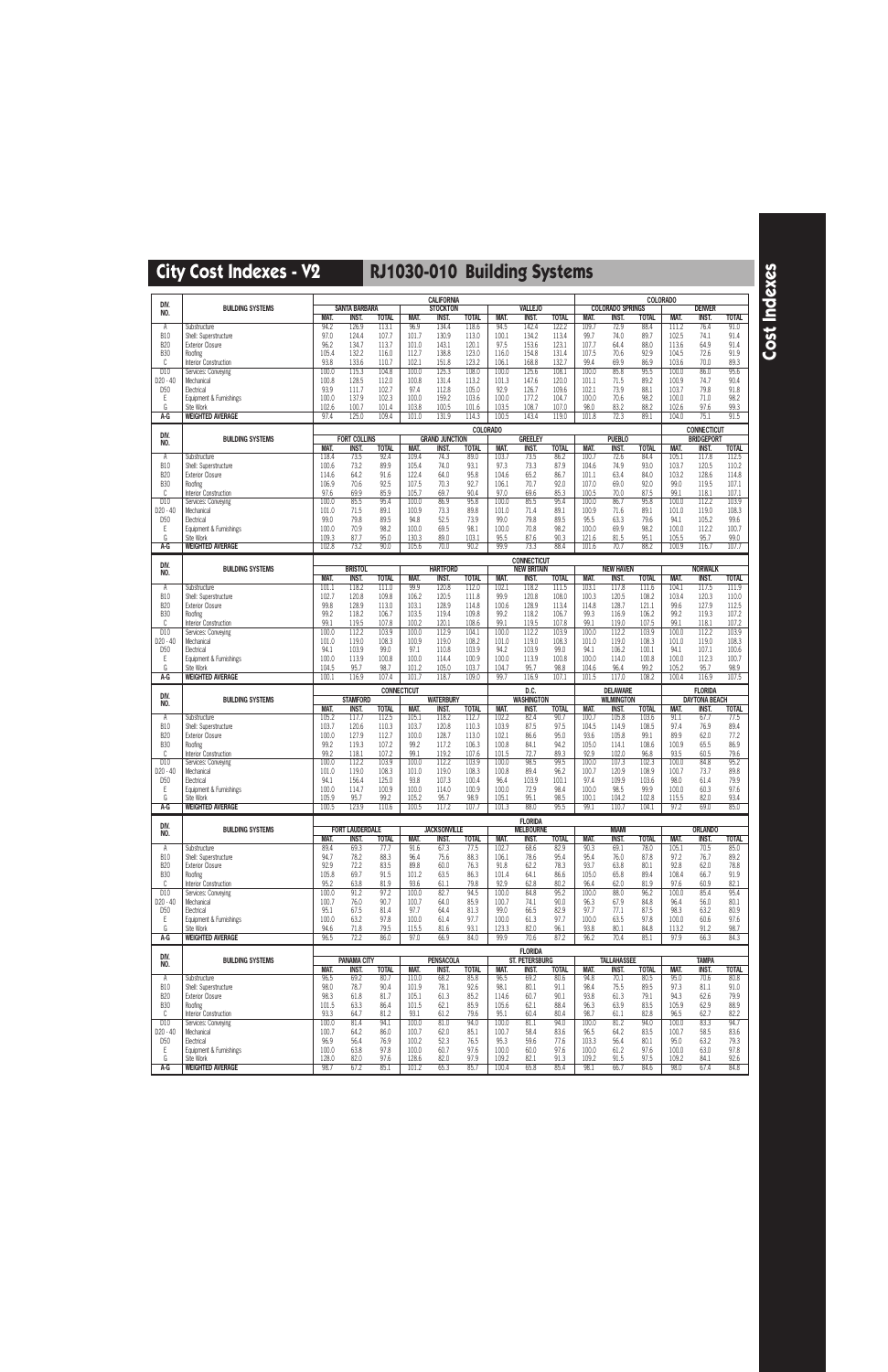|                               |                                              |                |                             |                       |                    | <b>CALIFORNIA</b>                |                       |                |                                |                       |                |                             |                       | <b>COLORADO</b> |                       |                       |
|-------------------------------|----------------------------------------------|----------------|-----------------------------|-----------------------|--------------------|----------------------------------|-----------------------|----------------|--------------------------------|-----------------------|----------------|-----------------------------|-----------------------|-----------------|-----------------------|-----------------------|
| DIV.<br>NO.                   | <b>BUILDING SYSTEMS</b>                      |                | <b>SANTA BARBARA</b>        |                       |                    | <b>STOCKTON</b>                  |                       |                | <b>VALLEJO</b>                 |                       |                | <b>COLORADO SPRINGS</b>     |                       |                 | <b>DENVER</b>         |                       |
|                               |                                              | MAT.           | <b>INST</b>                 | <b>TOTAL</b>          | MAT.               | INST.                            | <b>TOTAL</b>          | MAT.           | <b>INST.</b>                   | <b>TOTAL</b>          | MAT.           | INST.                       | <b>TOTAL</b>          | MAT.            | <b>INST.</b>          | <b>TOTAL</b>          |
| Α<br><b>B10</b>               | Substructure<br>Shell: Superstructure        | 94.2<br>97.0   | 126.9<br>124.4              | 113.1<br>107.7        | 96.9<br>101.7      | 134.4<br>130.9                   | 118.6<br>113.0        | 94.5<br>100.1  | 142.4<br>134.2                 | 122.2<br>113.4        | 109.7<br>99.7  | 72.9<br>74.0                | 88.4<br>89.7          | 111.2<br>102.5  | 76.4<br>74.1          | 91.0<br>91.4          |
| <b>B20</b>                    | <b>Exterior Closure</b>                      | 96.2           | 134.7                       | 113.7                 | 101.0              | 143.1                            | 120.1                 | 97.5           | 153.6                          | 123.1                 | 107.7          | 64.4                        | 88.0                  | 113.6           | 64.9                  | 91.4                  |
| <b>B30</b>                    | Roofing                                      | 105.4          | 132.2                       | 116.0                 | 112.7              | 138.8                            | 123.0                 | 116.0          | 154.8                          | 131.4                 | 107.5          | 70.6                        | 92.9                  | 104.5           | 72.6                  | 91.9                  |
| C                             | Interior Construction                        | 93.8           | 133.6                       | 110.7                 | 102.1              | 151.8                            | 123.2                 | 106.1          | 168.8                          | 132.7                 | 99.4           | 69.9                        | 86.9                  | 103.6           | 70.0                  | 89.3                  |
| D10<br>$D20 - 40$             | Services: Conveying<br>Mechanical            | 100.0<br>100.8 | 115.3<br>128.5              | 104.8<br>112.0        | 100.0<br>100.8     | 125.3<br>131.4                   | 108.0<br>113.2        | 100.0<br>101.3 | 125.6<br>147.6                 | 108.1<br>120.0        | 100.0<br>101.1 | 85.8<br>71.5                | 95.5<br>89.2          | 100.0<br>100.9  | 86.0<br>74.7          | 95.6<br>90.4          |
| D <sub>50</sub>               | Electrical                                   | 93.9           | 111.7                       | 102.7                 | 97.4               | 112.8                            | 105.0                 | 92.9           | 126.7                          | 109.6                 | 102.1          | 73.9                        | 88.1                  | 103.7           | 79.8                  | 91.8                  |
| Ε                             | Equipment & Furnishings                      | 100.0          | 137.9                       | 102.3                 | 100.0              | 159.2                            | 103.6                 | 100.0          | 177.2                          | 104.7                 | 100.0          | 70.6                        | 98.2                  | 100.0           | 71.0                  | 98.2                  |
| G<br>A-G                      | Site Work<br><b>WEIGHTED AVERAGE</b>         | 102.6<br>97.4  | 100.7<br>125.0              | 101.4<br>109.4        | 103.8<br>101.0     | 100.5<br>131.9                   | 101.6<br>114.3        | 103.5<br>100.5 | 108.7<br>143.4                 | 107.0<br>119.0        | 98.0<br>101.8  | 83.2<br>72.3                | 88.2<br>89.1          | 102.6<br>104.0  | 97.6<br>75.1          | 99.3<br>91.5          |
|                               |                                              |                |                             |                       |                    |                                  |                       | COLORADO       |                                |                       |                |                             |                       |                 | <b>CONNECTICUT</b>    |                       |
| DIV.<br>NO.                   | <b>BUILDING SYSTEMS</b>                      |                | <b>FORT COLLINS</b>         |                       |                    | <b>GRAND JUNCTION</b>            |                       |                | <b>GREELEY</b>                 |                       |                | <b>PUEBLO</b>               |                       |                 | <b>BRIDGEPORT</b>     |                       |
|                               |                                              | MAT.           | <b>INST.</b>                | <b>TOTAL</b>          | MAT.               | <b>INST.</b>                     | <b>TOTAL</b>          | MAT.           | <b>INST.</b>                   | <b>TOTAL</b>          | MAT.           | INST.                       | <b>TOTAL</b>          | <b>MAT.</b>     | <b>INST.</b>          | <b>TOTAL</b>          |
| Α<br><b>B10</b>               | Substructure<br>Shell: Superstructure        | 118.4<br>100.6 | 73.5<br>73.2                | 92.4<br>89.9          | 109.4<br>105.4     | 74.3<br>74.0                     | 89.0<br>93.1          | 103.7<br>97.3  | 73.5<br>73.3                   | 86.2<br>87.9          | 100.7<br>104.6 | 72.6<br>74.9                | 84.4<br>93.0          | 105.1<br>103.7  | 117.8<br>120.5        | 112.5<br>110.2        |
| <b>B20</b>                    | <b>Exterior Closure</b>                      | 114.6          | 64.2                        | 91.6                  | 122.4              | 64.0                             | 95.8                  | 104.6          | 65.2                           | 86.7                  | 101.1          | 63.4                        | 84.0                  | 103.2           | 128.6                 | 114.8                 |
| <b>B30</b>                    | Roofing                                      | 106.9          | 70.6                        | 92.5                  | 107.5              | 70.3                             | 92.7                  | 106.1          | 70.7                           | 92.0                  | 107.0          | 69.0                        | 92.0                  | 99.0            | 119.5                 | 107.1                 |
| C<br>D10                      | Interior Construction<br>Services: Conveying | 97.6<br>100.0  | 69.9<br>85.5                | 85.9<br>95.4          | 105.7<br>100.0     | 69.7<br>86.9                     | 90.4<br>95.8          | 97.0<br>100.0  | 69.6<br>85.5                   | 85.3<br>95.4          | 100.5<br>100.0 | 70.0<br>86.7                | 87.5<br>95.8          | 99.1<br>100.0   | 118.1<br>112.2        | 107.1<br>103.9        |
| $D20 - 40$                    | Mechanical                                   | 101.0          | 71.5                        | 89.1                  | 100.9              | 73.3                             | 89.8                  | 101.0          | 71.4                           | 89.1                  | 100.9          | 71.6                        | 89.1                  | 101.0           | 119.0                 | 108.3                 |
| D <sub>50</sub>               | Electrical                                   | 99.0           | 79.8                        | 89.5                  | 94.8               | 52.5                             | 73.9                  | 99.0           | 79.8                           | 89.5                  | 95.5           | 63.3                        | 79.6                  | 94.1            | 105.2                 | 99.6                  |
| Ε                             | Equipment & Furnishings                      | 100.0          | 70.9                        | 98.2                  | 100.0              | 69.5                             | 98.1                  | 100.0          | 70.8                           | 98.2                  | 100.0          | 69.9                        | 98.2                  | 100.0           | 112.2                 | 100.7                 |
| G<br>A-G                      | Site Work<br><b>WEIGHTED AVERAGE</b>         | 109.3<br>102.8 | 87.7<br>73.2                | 95.0<br>90.0          | 130.3<br>105.6     | 89.0<br>70.0                     | 103.1<br>90.2         | 95.5<br>99.9   | 87.6<br>73.3                   | 90.3<br>88.4          | 121.6<br>101.6 | 81.5<br>70.7                | 95.1<br>88.2          | 105.5<br>100.9  | 95.7<br>116.7         | 99.0<br>107.7         |
|                               |                                              |                |                             |                       |                    |                                  |                       |                | <b>CONNECTICUT</b>             |                       |                |                             |                       |                 |                       |                       |
| DIV.<br>NO.                   | <b>BUILDING SYSTEMS</b>                      |                | <b>BRISTOL</b>              |                       |                    | <b>HARTFORD</b>                  |                       |                | <b>NEW BRITAIN</b>             |                       |                | <b>NEW HAVEN</b>            |                       |                 | <b>NORWALK</b>        |                       |
|                               | Substructure                                 | MAT.<br>101.1  | <b>INST.</b><br>118.2       | <b>TOTAL</b><br>111.0 | MAT.<br>99.9       | INST.<br>120.8                   | <b>TOTAL</b><br>112.0 | MAT.<br>102.1  | <b>INST.</b><br>118.2          | <b>TOTAL</b><br>111.5 | MAT.<br>103.1  | INST.<br>117.8              | <b>TOTAL</b><br>111.6 | MAT.<br>104.1   | <b>INST.</b><br>117.5 | <b>TOTAL</b><br>111.9 |
| Α<br><b>B10</b>               | Shell: Superstructure                        | 102.7          | 120.8                       | 109.8                 | 106.2              | 120.5                            | 111.8                 | 99.9           | 120.8                          | 108.0                 | 100.3          | 120.5                       | 108.2                 | 103.4           | 120.3                 | 110.0                 |
| <b>B20</b>                    | <b>Exterior Closure</b>                      | 99.8           | 128.9                       | 113.0                 | 103.1              | 128.9                            | 114.8                 | 100.6          | 128.9                          | 113.4                 | 114.8          | 128.7                       | 121.1                 | 99.6            | 127.9                 | 112.5                 |
| <b>B30</b>                    | Roofing                                      | 99.2           | 118.2                       | 106.7                 | 103.5              | 119.4                            | 109.8                 | 99.2           | 118.2                          | 106.7                 | 99.3           | 116.9                       | 106.2                 | 99.2            | 119.3                 | 107.2                 |
| C<br>D10                      | Interior Construction<br>Services: Conveying | 99.1<br>100.0  | 119.5<br>112.2              | 107.8<br>103.9        | 100.2<br>100.0     | 120.1<br>112.9                   | 108.6<br>104.1        | 99.1<br>100.0  | 119.5<br>112.2                 | 107.8<br>103.9        | 99.1<br>100.0  | 119.0<br>112.2              | 107.5<br>103.9        | 99.1<br>100.0   | 118.1<br>112.2        | 107.2<br>103.9        |
| D20 - 40                      | Mechanical                                   | 101.0          | 119.0                       | 108.3                 | 100.9              | 119.0                            | 108.2                 | 101.0          | 119.0                          | 108.3                 | 101.0          | 119.0                       | 108.3                 | 101.0           | 119.0                 | 108.3                 |
| D <sub>50</sub>               | Electrical                                   | 94.1           | 103.9                       | 99.0                  | 97.1               | 110.8                            | 103.9                 | 94.2           | 103.9                          | 99.0                  | 94.1           | 106.2                       | 100.1                 | 94.1            | 107.1                 | 100.6                 |
| Ε                             | Equipment & Furnishings                      | 100.0          | 113.9                       | 100.8                 | 100.0              | 114.4                            | 100.9                 | 100.0          | 113.9                          | 100.8                 | 100.0          | 114.0                       | 100.8                 | 100.0           | 112.3                 | 100.7                 |
| G<br>$A-G$                    | Site Work<br><b>WEIGHTED AVERAGE</b>         | 104.5<br>100.1 | 95.7<br>116.9               | 98.7<br>107.4         | 101.2<br>101.7     | 105.0<br>118.7                   | 103.7<br>109.0        | 104.7<br>99.7  | 95.7<br>116.9                  | 98.8<br>107.1         | 104.6<br>101.5 | 96.4<br>117.0               | 99.2<br>108.2         | 105.2<br>100.4  | 95.7<br>116.9         | 98.9<br>107.5         |
|                               |                                              |                |                             |                       |                    |                                  |                       |                |                                |                       |                |                             |                       |                 |                       |                       |
|                               |                                              |                |                             |                       | <b>CONNECTICUT</b> |                                  |                       |                | D.C.                           |                       |                | <b>DELAWARE</b>             |                       |                 | <b>FLORIDA</b>        |                       |
| DIV.<br>NO.                   | <b>BUILDING SYSTEMS</b>                      |                | <b>STAMFORD</b>             |                       |                    | <b>WATERBURY</b>                 |                       |                | <b>WASHINGTON</b>              |                       |                | <b>WILMINGTON</b>           |                       |                 | <b>DAYTONA BEACH</b>  |                       |
|                               |                                              | MAT.           | INST.                       | <b>TOTAL</b>          | MAT.               | INST.                            | <b>TOTAL</b>          | MAT.           | <b>INST.</b>                   | <b>TOTAL</b>          | <b>MAT.</b>    | <b>INST.</b>                | <b>TOTAL</b>          | <b>MAT.</b>     | <b>INST.</b>          | <b>TOTAL</b>          |
| Α<br><b>B10</b>               | Substructure<br>Shell: Superstructure        | 105.2<br>103.7 | 117.7<br>120.6              | 112.5<br>110.3        | 105.1<br>103.7     | 118.2<br>120.8                   | 112.7<br>110.3        | 102.2<br>103.9 | 82.4<br>87.5                   | 90.7<br>97.5          | 100.7<br>104.5 | 105.8<br>114.9              | 103.6<br>108.5        | 91.1<br>97.4    | 67.7<br>76.9          | 77.5<br>89.4          |
| <b>B20</b>                    | <b>Exterior Closure</b>                      | 100.0          | 127.9                       | 112.7                 | 100.0              | 128.7                            | 113.0                 | 102.1          | 86.6                           | 95.0                  | 93.6           | 105.8                       | 99.1                  | 89.9            | 62.0                  | 77.2                  |
| <b>B30</b>                    | Roofing                                      | 99.2           | 119.3                       | 107.2                 | 99.2               | 117.2                            | 106.3                 | 100.8          | 84.1                           | 94.2                  | 105.0          | 114.1                       | 108.6                 | 100.9           | 65.5                  | 86.9                  |
| C<br>D10                      | Interior Construction                        | 99.2<br>100.0  | 118.1<br>112.2              | 107.2<br>103.9        | 99.1<br>100.0      | 119.2<br>112.2                   | 107.6<br>103.9        | 101.5<br>100.0 | 72.7<br>98.5                   | 89.3<br>99.5          | 92.9<br>100.0  | 102.0<br>107.3              | 96.8<br>102.3         | 93.5<br>100.0   | 60.5<br>84.8          | 79.6<br>95.2          |
| D20 - 40                      | Services: Conveying<br>Mechanical            | 101.0          | 119.0                       | 108.3                 | 101.0              | 119.0                            | 108.3                 | 100.8          | 89.4                           | 96.2                  | 100.7          | 120.9                       | 108.9                 | 100.7           | 73.7                  | 89.8                  |
| D <sub>50</sub>               | Electrical                                   | 94.1           | 156.4                       | 125.0                 | 93.8               | 107.3                            | 100.4                 | 96.4           | 103.9                          | 100.1                 | 97.4           | 109.9                       | 103.6                 | 98.0            | 61.4                  | 79.9                  |
| Ε                             | Equipment & Furnishings                      | 100.0          | 114.7                       | 100.9                 | 100.0              | 114.0                            | 100.9                 | 100.0          | 72.9                           | 98.4                  | 100.0          | 98.5                        | 99.9                  | 100.0           | 60.3                  | 97.6                  |
| G<br>A-G                      | Site Work<br><b>WEIGHTED AVERAGE</b>         | 105.9<br>100.5 | 95.7<br>123.9               | 99.2<br>110.6         | 105.2<br>100.5     | 95.7<br>117.2                    | 98.9<br>107.7         | 105.1<br>101.3 | 95.1<br>88.0                   | 98.5<br>95.5          | 100.1<br>99.1  | 104.2<br>110.7              | 102.8<br>104.1        | 115.5<br>97.2   | 82.0<br>69.0          | 93.4<br>85.0          |
|                               |                                              |                |                             |                       |                    |                                  |                       |                | <b>FLORIDA</b>                 |                       |                |                             |                       |                 |                       |                       |
| DIV.<br>NO.                   | <b>BUILDING SYSTEMS</b>                      |                | <b>FORT LAUDERDALE</b>      |                       |                    | <b>JACKSONVILLE</b>              |                       |                | <b>MELBOURNE</b>               |                       |                | <b>MIAMI</b>                |                       |                 | <b>ORLANDO</b>        |                       |
| $\overline{A}$                | Substructure                                 | MAT.<br>89.4   | <b>INST.</b><br>69.3        | <b>TOTAL</b><br>77.7  | MAT.<br>91.6       | INST.<br>67.3                    | <b>TOTAL</b><br>77.5  | MAT.<br>102.7  | INST.<br>68.6                  | <b>TOTAL</b><br>82.9  | MAT.<br>90.3   | INST.<br>69.1               | <b>TOTAL</b><br>78.0  | MAT.<br>105.1   | INST.<br>70.5         | <b>TOTAL</b><br>85.0  |
| <b>B10</b>                    | Shell: Superstructure                        | 94.7           | 78.2                        | 88.3                  | 96.4               | 75.6                             | 88.3                  | 106.1          | 78.6                           | 95.4                  | 95.4           | 76.0                        | 87.8                  | 97.2            | 76.7                  | 89.2                  |
| <b>B20</b>                    | <b>Exterior Closure</b>                      | 92.9           | 72.2                        | 83.5                  | 89.8               | 60.0                             | 76.3                  | 91.8           | 62.2                           | 78.3                  | 93.7           | 63.8                        | 80.1                  | 92.8            | 62.0                  | 78.8                  |
| <b>B30</b><br>C               | Roofing                                      | 105.8<br>95.2  | 69.7<br>63.8                | 91.5<br>81.9          | 101.2<br>93.6      | 63.5<br>61.1                     | 86.3<br>79.8          | 101.4<br>92.9  | 64.1<br>62.8                   | 86.6<br>80.2          | 105.0<br>96.4  | 65.8<br>62.0                | 89.4<br>81.9          | 108.4<br>97.6   | 66.7<br>60.9          | 91.9<br>82.1          |
| D10                           | Interior Construction<br>Services: Conveying | 100.0          | 91.2                        | 97.2                  | 100.0              | 82.7                             | 94.5                  | 100.0          | 84.8                           | 95.2                  | 100.0          | 88.0                        | 96.2                  | 100.0           | 85.4                  | 95.4                  |
| $D20 - 40$                    | Mechanical                                   | 100.7          | 76.0                        | 90.7                  | 100.7              | 64.0                             | 85.9                  | 100.7          | 74.1                           | 90.0                  | 96.3           | 67.9                        | 84.8                  | 96.4            | 56.0                  | 80.1                  |
| D <sub>50</sub>               | Electrical                                   | 95.1           | 67.5                        | 81.4                  | 97.7               | 64.4                             | 81.3                  | 99.0           | 66.5                           | 82.9                  | 97.7           | 77.1                        | 87.5                  | 98.3            | 63.2                  | 80.9                  |
| Ε<br>G                        | Equipment & Furnishings<br>Site Work         | 100.0<br>94.6  | 63.2<br>71.8                | 97.8<br>79.5          | 100.0<br>115.5     | 61.4<br>81.6                     | 97.7<br>93.1          | 100.0<br>123.3 | 61.3<br>82.0                   | 97.7<br>96.1          | 100.0<br>93.8  | 63.5<br>80.1                | 97.8<br>84.8          | 100.0<br>113.2  | 60.6<br>91.2          | 97.6<br>98.7          |
| A-G                           | <b>WEIGHTED AVERAGE</b>                      | 96.5           | 72.2                        | 86.0                  | 97.0               | 66.9                             | 84.0                  | 99.9           | 70.6                           | 87.2                  | 96.2           | 70.4                        | 85.1                  | 97.9            | 66.3                  | 84.3                  |
| DIV.                          |                                              |                |                             |                       |                    |                                  |                       |                | <b>FLORIDA</b>                 |                       |                |                             |                       |                 |                       |                       |
| NO.                           | <b>BUILDING SYSTEMS</b>                      | MAT.           | <b>PANAMA CITY</b><br>INST. | <b>TOTAL</b>          | MAT.               | <b>PENSACOLA</b><br><b>INST.</b> | <b>TOTAL</b>          | MAT.           | ST. PETERSBURG<br><b>INST.</b> | <b>TOTAL</b>          | MAT.           | <b>TALLAHASSEE</b><br>inst. | <b>TOTAL</b>          | MAT.            | <b>TAMPA</b><br>INST. | <b>TOTAL</b>          |
| A                             | Substructure                                 | 96.5           | 69.2                        | 80.7                  | 110.0              | 68.2                             | 85.8                  | 96.5           | 69.2                           | 80.6                  | 94.8           | 70.1                        | 80.5                  | 95.0            | 70.6                  | 80.8                  |
| <b>B10</b>                    | Shell: Superstructure                        | 98.0           | 78.7                        | 90.4                  | 101.9              | 78.1                             | 92.6                  | 98.1           | 80.1                           | 91.1                  | 98.4           | 75.5                        | 89.5                  | 97.3            | 81.1                  | 91.0                  |
| <b>B20</b><br><b>B30</b>      | <b>Exterior Closure</b><br>Roofing           | 98.3<br>101.5  | 61.8<br>63.3                | 81.7<br>86.4          | 105.1<br>101.5     | 61.3<br>62.1                     | 85.2<br>85.9          | 114.6<br>105.6 | 60.7<br>62.1                   | 90.1<br>88.4          | 93.8<br>96.3   | 61.3<br>63.9                | 79.1<br>83.5          | 94.3<br>105.9   | 62.6<br>62.9          | 79.9<br>88.9          |
| C                             | Interior Construction                        | 93.3           | 64.7                        | 81.2                  | 93.1               | 61.2                             | 79.6                  | 95.1           | 60.4                           | 80.4                  | 98.7           | 61.1                        | 82.8                  | 96.5            | 62.7                  | 82.2                  |
| D10                           | Services: Conveying                          | 100.0          | 81.4                        | 94.1                  | 100.0              | 81.0                             | 94.0                  | 100.0          | 81.1                           | 94.0                  | 100.0          | 81.2                        | 94.0                  | 100.0           | 83.3                  | 94.7                  |
| $D20 - 40$<br>D <sub>50</sub> | Mechanical<br>Electrical                     | 100.7<br>96.9  | 64.2<br>56.4                | 86.0<br>76.9          | 100.7<br>100.2     | 62.0<br>52.3                     | 85.1<br>76.5          | 100.7<br>95.3  | 58.4<br>59.6                   | 83.6<br>77.6          | 96.5<br>103.3  | 64.2<br>56.4                | 83.5<br>80.1          | 100.7<br>95.0   | 58.5<br>63.2          | 83.6<br>79.3          |
| Ε                             | Equipment & Furnishings                      | 100.0          | 63.8                        | 97.8                  | 100.0              | 60.7                             | 97.6                  | 100.0          | 60.0                           | 97.6                  | 100.0          | 61.2                        | 97.6                  | 100.0           | 63.0                  | 97.8                  |
| G<br>A-G                      | Site Work<br><b>WEIGHTED AVERAGE</b>         | 128.0<br>98.7  | 82.0<br>67.2                | 97.6<br>85.1          | 128.6<br>101.2     | 82.0<br>65.3                     | 97.9<br>85.7          | 109.2<br>100.4 | 82.1<br>65.8                   | 91.3<br>85.4          | 109.2<br>98.1  | 91.5<br>66.7                | 97.5<br>84.6          | 109.2<br>98.0   | 84.1<br>67.4          | 92.6<br>84.8          |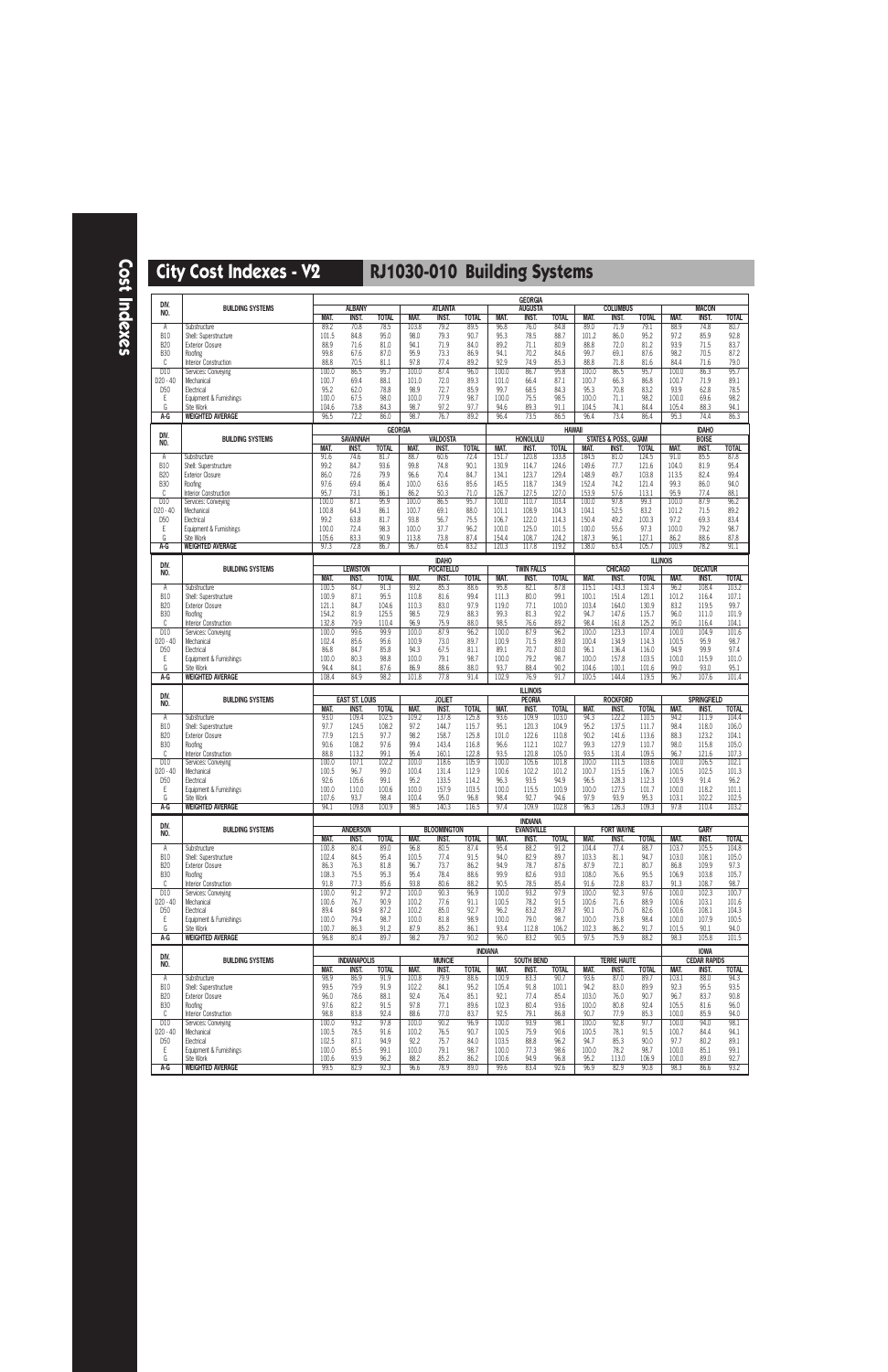**Cost Indexes**

| DIV.                        | <b>BUILDING SYSTEMS</b>                                         |                        | <b>ALBANY</b>                         |                      |                       | <b>ATLANTA</b>                   |                      |                        | <b>GEORGIA</b><br><b>AUGUSTA</b>  |                      |                       | <b>COLUMBUS</b>                 |                       |                        | <b>MACON</b>                       |                      |
|-----------------------------|-----------------------------------------------------------------|------------------------|---------------------------------------|----------------------|-----------------------|----------------------------------|----------------------|------------------------|-----------------------------------|----------------------|-----------------------|---------------------------------|-----------------------|------------------------|------------------------------------|----------------------|
| NO.                         |                                                                 | <b>MAT.</b>            | <b>INST.</b>                          | <b>TOTAL</b>         | MAT.                  | <b>INST.</b>                     | <b>TOTAL</b>         | <b>MAT.</b>            | <b>INST.</b>                      | <b>TOTAL</b>         | MAT.                  | <b>INST.</b>                    | <b>TOTAL</b>          | MAT.                   | <b>INST.</b>                       | <b>TOTAL</b>         |
| Α<br><b>B10</b>             | Substructure                                                    | 89.2<br>101.5          | 70.8<br>84.8                          | 78.5<br>95.0         | 103.8<br>98.0         | 79.2<br>79.3                     | 89.5<br>90.7         | 96.8<br>95.3           | 76.0<br>78.5                      | 84.8<br>88.7         | 89.0<br>101.2         | 71.9<br>86.0                    | 79.1<br>95.2          | 88.9<br>97.2           | 74.8<br>85.9                       | 80.7<br>92.8         |
| <b>B20</b>                  | Shell: Superstructure<br><b>Exterior Closure</b>                | 88.9                   | 71.6                                  | 81.0                 | 94.1                  | 71.9                             | 84.0                 | 89.2                   | 71.1                              | 80.9                 | 88.8                  | 72.0                            | 81.2                  | 93.9                   | 71.5                               | 83.7                 |
| <b>B30</b>                  | Roofing                                                         | 99.8                   | 67.6                                  | 87.0                 | 95.9                  | 73.3                             | 86.9                 | 94.1                   | 70.2                              | 84.6                 | 99.7                  | 69.1                            | 87.6                  | 98.2                   | 70.5                               | 87.2                 |
| C<br>D10                    | Interior Construction<br>Services: Conveying                    | 88.8<br>100.0          | 70.5<br>86.5                          | 81.1<br>95.7         | 97.8<br>100.0         | 77.4<br>87.4                     | 89.2<br>96.0         | 92.9<br>100.0          | 74.9<br>86.7                      | 85.3<br>95.8         | 88.8<br>100.0         | 71.8<br>86.5                    | 81.6<br>95.7          | 84.4<br>100.0          | 71.6<br>86.3                       | 79.0<br>95.7         |
| D20 - 40                    | Mechanical                                                      | 100.7                  | 69.4                                  | 88.1                 | 101.0                 | 72.0                             | 89.3                 | 101.0                  | 66.4                              | 87.1                 | 100.7                 | 66.3                            | 86.8                  | 100.7                  | 71.9                               | 89.1                 |
| D <sub>50</sub><br>Ε        | Electrical<br>Equipment & Furnishings                           | 95.2<br>100.0          | 62.0<br>67.5                          | 78.8<br>98.0         | 98.9<br>100.0         | 72.7<br>77.9                     | 85.9<br>98.7         | 99.7<br>100.0          | 68.5<br>75.5                      | 84.3<br>98.5         | 95.3<br>100.0         | 70.8<br>71.1                    | 83.2<br>98.2          | 93.9<br>100.0          | 62.8<br>69.6                       | 78.5<br>98.2         |
| G                           | Site Work                                                       | 104.6                  | 73.8                                  | 84.3                 | 98.7                  | 97.2                             | 97.7                 | 94.6                   | 89.3                              | 91.1                 | 104.5                 | 74.1                            | 84.4                  | 105.4                  | 88.3                               | 94.1                 |
| A-G                         | <b>WEIGHTED AVERAGE</b>                                         | 96.5                   | 72.2                                  | 86.0                 | 98.7                  | 76.7                             | 89.2                 | 96.4                   | 73.5                              | 86.5                 | 96.4                  | 73.4                            | 86.4                  | 95.3                   | 74.4                               | 86.3                 |
| DIV.                        | <b>BUILDING SYSTEMS</b>                                         |                        | <b>SAVANNAH</b>                       | <b>GEORGIA</b>       |                       | <b>VALDOSTA</b>                  |                      |                        | <b>HONOLULU</b>                   | <b>HAWAII</b>        |                       | <b>STATES &amp; POSS., GUAM</b> |                       |                        | <b>IDAHO</b><br><b>BOISE</b>       |                      |
| NO.                         |                                                                 | <b>MAT.</b>            | INST.                                 | <b>TOTAL</b>         | MAT.                  | <b>INST.</b>                     | <b>TOTAL</b>         | MAT.                   | <b>INST.</b>                      | <b>TOTAL</b>         | MAT.                  | INST.                           | <b>TOTAL</b>          | MAT.                   | <b>INST.</b>                       | <b>TOTAL</b>         |
| Α                           | Substructure                                                    | 91.6                   | 74.6                                  | 81.7                 | 88.7                  | 60.6                             | 72.4                 | 151.7                  | 120.8                             | 133.8                | 184.5                 | 81.0                            | 124.5                 | 91.0                   | 85.5                               | 87.8                 |
| <b>B10</b><br><b>B20</b>    | Shell: Superstructure<br><b>Exterior Closure</b>                | 99.2<br>86.0           | 84.7<br>72.6                          | 93.6<br>79.9         | 99.8<br>96.6          | 74.8<br>70.4                     | 90.1<br>84.7         | 130.9<br>134.1         | 114.7<br>123.7                    | 124.6<br>129.4       | 149.6<br>148.9        | 77.7<br>49.7                    | 121.6<br>103.8        | 104.0<br>113.5         | 81.9<br>82.4                       | 95.4<br>99.4         |
| <b>B30</b>                  | Roofing                                                         | 97.6                   | 69.4                                  | 86.4                 | 100.0                 | 63.6                             | 85.6                 | 145.5                  | 118.7                             | 134.9                | 152.4                 | 74.2                            | 121.4                 | 99.3                   | 86.0                               | 94.0                 |
| C<br>D10                    | Interior Construction<br>Services: Conveying                    | 95.7<br>100.0          | 73.1<br>87.1                          | 86.1<br>95.9         | 86.2<br>100.0         | 50.3<br>86.5                     | 71.0<br>95.7         | 126.7<br>100.0         | 127.5<br>110.7                    | 127.0<br>103.4       | 153.9<br>100.0        | 57.6<br>97.8                    | 113.1<br>99.3         | 95.9<br>100.0          | 77.4<br>87.9                       | 88.1<br>96.2         |
| D20 - 40                    | Mechanical                                                      | 100.8                  | 64.3                                  | 86.1                 | 100.7                 | 69.1                             | 88.0                 | 101.1                  | 108.9                             | 104.3                | 104.1                 | 52.5                            | 83.2                  | 101.2                  | 71.5                               | 89.2                 |
| D <sub>50</sub><br>Ε        | Electrical<br>Equipment & Furnishings                           | 99.2<br>100.0          | 63.8<br>72.4                          | 81.7<br>98.3         | 93.8<br>100.0         | 56.7<br>37.7                     | 75.5<br>96.2         | 106.7<br>100.0         | 122.0<br>125.0                    | 114.3<br>101.5       | 150.4<br>100.0        | 49.2<br>55.6                    | 100.3<br>97.3         | 97.2<br>100.0          | 69.3<br>79.2                       | 83.4<br>98.7         |
| G                           | Site Work                                                       | 105.6                  | 83.3                                  | 90.9                 | 113.8                 | 73.8                             | 87.4                 | 154.4                  | 108.7                             | 124.2                | 187.3                 | 96.1                            | 127.1                 | 86.2                   | 88.6                               | 87.8                 |
| $A-G$                       | <b>WEIGHTED AVERAGE</b>                                         | 97.3                   | 72.8                                  | 86.7                 | 96.7                  | 65.4                             | 83.2                 | 120.3                  | 117.8                             | 119.2                | 138.0                 | 63.4                            | 105.7                 | 100.9                  | 78.2                               | 91.1                 |
| DIV.                        |                                                                 |                        | <b>LEWISTON</b>                       |                      |                       | <b>IDAHO</b><br><b>POCATELLO</b> |                      |                        | <b>TWIN FALLS</b>                 |                      |                       | <b>CHICAGO</b>                  |                       | <b>ILLINOIS</b>        | <b>DECATUR</b>                     |                      |
| NO.                         | <b>BUILDING SYSTEMS</b>                                         | <b>MAT.</b>            | <b>INST.</b>                          | <b>TOTAL</b>         | MAT.                  | <b>INST.</b>                     | <b>TOTAL</b>         | MAT.                   | <b>INST.</b>                      | <b>TOTAL</b>         | MAT.                  | <b>INST.</b>                    | <b>TOTAL</b>          | MAT.                   | <b>INST.</b>                       | <b>TOTAL</b>         |
| Α                           | Substructure                                                    | 100.5                  | 84.7                                  | 91.3                 | 93.2                  | 85.3                             | 88.6                 | 95.8                   | 82.1                              | 87.8                 | 115.1                 | 143.3                           | 131.4                 | 96.2                   | 108.4                              | 103.2                |
| <b>B10</b><br><b>B20</b>    | Shell: Superstructure<br><b>Exterior Closure</b>                | 100.9<br>121.1         | 87.1<br>84.7                          | 95.5<br>104.6        | 110.8<br>110.3        | 81.6<br>83.0                     | 99.4<br>97.9         | 111.3<br>119.0         | 80.0<br>77.1                      | 99.1<br>100.0        | 100.1<br>103.4        | 151.4<br>164.0                  | 120.1<br>130.9        | 101.2<br>83.2          | 116.4<br>119.5                     | 107.1<br>99.7        |
| <b>B30</b>                  | Roofing                                                         | 154.2                  | 81.9                                  | 125.5                | 98.5                  | 72.9                             | 88.3                 | 99.3                   | 81.3                              | 92.2                 | 94.7                  | 147.6                           | 115.7                 | 96.0                   | 111.0                              | 101.9                |
| C<br>D10                    | Interior Construction<br>Services: Conveying                    | 132.8<br>100.0         | 79.9<br>99.6                          | 110.4<br>99.9        | 96.9<br>100.0         | 75.9<br>87.9                     | 88.0<br>96.2         | 98.5<br>100.0          | 76.6<br>87.9                      | 89.2<br>96.2         | 98.4<br>100.0         | 161.8<br>123.3                  | 125.2<br>107.4        | 95.0<br>100.0          | 116.4<br>104.9                     | 104.1<br>101.6       |
| D20 - 40                    | Mechanical                                                      | 102.4                  | 85.6                                  | 95.6                 | 100.9                 | 73.0                             | 89.7                 | 100.9                  | 71.5                              | 89.0                 | 100.4                 | 134.9                           | 114.3                 | 100.5                  | 95.9                               | 98.7                 |
| D <sub>50</sub>             | Electrical                                                      | 86.8                   | 84.7                                  | 85.8                 | 94.3                  | 67.5                             | 81.1                 | 89.1                   | 70.7                              | 80.0                 | 96.1                  | 136.4                           | 116.0                 | 94.9                   | 99.9                               | 97.4                 |
| Ε<br>G                      | Equipment & Furnishings<br>Site Work                            | 100.0<br>94.4          | 80.3<br>84.1                          | 98.8<br>87.6         | 100.0<br>86.9         | 79.1<br>88.6                     | 98.7<br>88.0         | 100.0<br>93.7          | 79.2<br>88.4                      | 98.7<br>90.2         | 100.0<br>104.6        | 157.8<br>100.1                  | 103.5<br>101.6        | 100.0<br>99.0          | 115.9<br>93.0                      | 101.0<br>95.1        |
| A-G                         | <b>WEIGHTED AVERAGE</b>                                         | 108.4                  | 84.9                                  | 98.2                 | 101.8                 | 77.8                             | 91.4                 | 102.9                  | 76.9                              | 91.7                 | 100.5                 | 144.4                           | 119.5                 | 96.7                   | 107.6                              | 101.4                |
|                             |                                                                 |                        |                                       |                      |                       |                                  |                      |                        |                                   |                      |                       |                                 |                       |                        |                                    |                      |
| DIV.                        |                                                                 |                        |                                       |                      |                       |                                  |                      |                        | <b>ILLINOIS</b>                   |                      |                       |                                 |                       |                        |                                    |                      |
| NO.                         | <b>BUILDING SYSTEMS</b>                                         | <b>MAT</b>             | <b>EAST ST. LOUIS</b><br><b>INST.</b> | <b>TOTAL</b>         | MAT.                  | <b>JOLIET</b><br><b>INST.</b>    | <b>TOTAL</b>         | MAT.                   | <b>PEORIA</b><br><b>INST.</b>     | <b>TOTAL</b>         | MAT.                  | <b>ROCKFORD</b><br><b>INST.</b> | <b>TOTAL</b>          | MAT.                   | <b>SPRINGFIELD</b><br><b>INST.</b> | <b>TOTAL</b>         |
| Α                           | Substructure                                                    | 93.0                   | 109.4                                 | 102.5                | 109.2                 | 137.8                            | 125.8                | 93.6                   | 109.9                             | 103.0                | 94.3                  | 122.2                           | 110.5                 | 94.2                   | 111.9                              | 104.4                |
| <b>B10</b><br><b>B20</b>    | Shell: Superstructure<br><b>Exterior Closure</b>                | 97.7<br>77.9           | 124.5<br>121.5                        | 108.2<br>97.7        | 97.2<br>98.2          | 144.7<br>158.7                   | 115.7<br>125.8       | 95.1<br>101.0          | 120.3<br>122.6                    | 104.9<br>110.8       | 95.2<br>90.2          | 137.5<br>141.6                  | 111.7<br>113.6        | 98.4<br>88.3           | 118.0<br>123.2                     | 106.0<br>104.1       |
| <b>B30</b>                  | Roofing                                                         | 90.6                   | 108.2                                 | 97.6                 | 99.4                  | 143.4                            | 116.8                | 96.6                   | 112.1                             | 102.7                | 99.3                  | 127.9                           | 110.7                 | 98.0                   | 115.8                              | 105.0                |
| C                           | Interior Construction                                           | 88.8                   | 113.2                                 | 99.1                 | 95.4                  | 160.1                            | 122.8                | 93.5                   | 120.8                             | 105.0                | 93.5                  | 131.4                           | 109.5                 | 96.7                   | 121.6                              | 107.3                |
| D10<br>D <sub>20</sub> - 40 | Services: Conveying<br>Mechanical                               | 100.0<br>100.5         | 107.1<br>96.7                         | 102.2<br>99.0        | 100.0<br>100.4        | 118.6<br>131.4                   | 105.9<br>112.9       | 100.0<br>100.6         | 105.6<br>102.2                    | 101.8<br>101.2       | 100.0<br>100.7        | 111.5<br>115.5                  | 103.6<br>106.7        | 100.0<br>100.5         | 106.5<br>102.5                     | 102.1<br>101.3       |
| D <sub>50</sub>             | Electrical                                                      | 92.6                   | 105.6                                 | 99.1                 | 95.2                  | 133.5                            | 114.2                | 96.3                   | 93.5                              | 94.9                 | 96.5                  | 128.3                           | 112.3                 | 100.9                  | 91.4                               | 96.2                 |
| Ε<br>G                      | Equipment & Furnishings<br>Site Work                            | 100.0<br>107.6         | 110.0<br>93.7                         | 100.6<br>98.4        | 100.0<br>100.4        | 157.9<br>95.0                    | 103.5<br>96.8        | 100.0<br>98.4          | 115.5<br>92.7                     | 100.9<br>94.6        | 100.0<br>97.9         | 127.5<br>93.9                   | 101.7<br>95.3         | 100.0<br>103.1         | 118.2<br>102.2                     | 101.1<br>102.5       |
| A-G                         | <b>WEIGHTED AVERAGE</b>                                         | 94.1                   | 109.8                                 | 100.9                | 98.5                  | 140.3                            | 116.5                | 97.4                   | 109.9                             | 102.8                | 96.3                  | 126.3                           | 109.3                 | 97.8                   | 110.4                              | 103.2                |
| DIV.                        |                                                                 |                        |                                       |                      |                       |                                  |                      |                        | <b>INDIANA</b>                    |                      |                       |                                 |                       |                        |                                    |                      |
| NO.                         | <b>BUILDING SYSTEMS</b>                                         | MAT.                   | <b>ANDERSON</b><br>INST.              | <b>TOTAL</b>         | MAT.                  | <b>BLOOMINGTON</b><br>INST.      | <b>TOTAL</b>         | MAT.                   | <b>EVANSVILLE</b><br><b>INST.</b> | <b>TOTAL</b>         | MAT.                  | <b>FORT WAYNE</b><br>INST.      | <b>TOTAL</b>          | MAT.                   | <b>GARY</b><br>INST.               | <b>TOTAL</b>         |
| A                           | Substructure                                                    | 100.8                  | 80.4                                  | 89.0                 | 96.8                  | 80.5                             | 87.4                 | 95.4                   | 88.2                              | 91.2                 | 104.4                 | 77.4                            | 88.7                  | 103.7                  | 105.5                              | 104.8                |
| <b>B10</b><br><b>B20</b>    | Shell: Superstructure<br><b>Exterior Closure</b>                | 102.4<br>86.3          | 84.5<br>76.3                          | 95.4<br>81.8         | 100.5<br>96.7         | 77.4<br>73.7                     | 91.5<br>86.2         | 94.0<br>94.9           | 82.9<br>78.7                      | 89.7<br>87.6         | 103.3<br>87.9         | 81.1<br>72.1                    | 94.7<br>80.7          | 103.0<br>86.8          | 108.1<br>109.9                     | 105.0<br>97.3        |
| <b>B30</b>                  | Roofing                                                         | 108.3                  | 75.5                                  | 95.3                 | 95.4                  | 78.4                             | 88.6                 | 99.9                   | 82.6                              | 93.0                 | 108.0                 | 76.6                            | 95.5                  | 106.9                  | 103.8                              | 105.7                |
| C                           | Interior Construction                                           | 91.8                   | 77.3                                  | 85.6                 | 93.8                  | 80.6                             | 88.2                 | 90.5                   | 78.5                              | 85.4                 | 91.6                  | 72.8                            | 83.7                  | 91.3                   | 108.7                              | 98.7                 |
| D10<br>$D20 - 40$           | Services: Conveying<br>Mechanical                               | 100.0<br>100.6         | 91.2<br>76.7                          | 97.2<br>90.9         | 100.0<br>100.2        | 90.3<br>77.6                     | 96.9<br>91.1         | 100.0<br>100.5         | 93.2<br>78.2                      | 97.9<br>91.5         | 100.0<br>100.6        | 92.3<br>71.6                    | 97.6<br>88.9          | 100.0<br>100.6         | 102.3<br>103.1                     | 100.7<br>101.6       |
| D <sub>50</sub>             | Electrical                                                      | 89.4                   | 84.9                                  | 87.2                 | 100.2                 | 85.0                             | 92.7                 | 96.2                   | 83.2                              | 89.7                 | 90.1                  | 75.0                            | 82.6                  | 100.6                  | 108.1                              | 104.3                |
| Ε<br>G                      | Equipment & Furnishings<br>Site Work                            | 100.0<br>100.7         | 79.4<br>86.3                          | 98.7<br>91.2         | 100.0<br>87.9         | 81.8<br>85.2                     | 98.9<br>86.1         | 100.0<br>93.4          | 79.0<br>112.8                     | 98.7<br>106.2        | 100.0<br>102.3        | 73.8<br>86.2                    | 98.4<br>91.7          | 100.0<br>101.5         | 107.9<br>90.1                      | 100.5<br>94.0        |
| A-G                         | <b>WEIGHTED AVERAGE</b>                                         | 96.8                   | 80.4                                  | 89.7                 | 98.2                  | 79.7                             | 90.2                 | 96.0                   | 83.2                              | 90.5                 | 97.5                  | 75.9                            | 88.2                  | 98.3                   | 105.8                              | 101.5                |
| DIV.                        |                                                                 |                        |                                       |                      |                       |                                  |                      | <b>INDIANA</b>         |                                   |                      |                       |                                 |                       |                        | <b>IOWA</b>                        |                      |
| NO.                         | <b>BUILDING SYSTEMS</b>                                         | MAT.                   | <b>INDIANAPOLIS</b><br><b>INST.</b>   | <b>TOTAL</b>         | MAT.                  | <b>MUNCIE</b><br><b>INST.</b>    | <b>TOTAL</b>         | MAT.                   | <b>SOUTH BEND</b><br>INST.        | <b>TOTAL</b>         | MAT.                  | <b>TERRE HAUTE</b><br>INST.     | <b>TOTAL</b>          | MAT.                   | <b>CEDAR RAPIDS</b><br>INST.       | <b>TOTAL</b>         |
| A                           | Substructure                                                    | 98.9                   | 86.9                                  | 91.9                 | 100.8                 | 79.9                             | 88.6                 | 100.9                  | 83.3                              | 90.7                 | 93.6                  | 87.0                            | 89.7                  | 103.1                  | 88.0                               | 94.3                 |
| <b>B10</b><br><b>B20</b>    | Shell: Superstructure<br><b>Exterior Closure</b>                | 99.5<br>96.0           | 79.9<br>78.6                          | 91.9<br>88.1         | 102.2<br>92.4         | 84.1<br>76.4                     | 95.2<br>85.1         | 105.4<br>92.1          | 91.8<br>77.4                      | 100.1<br>85.4        | 94.2<br>103.0         | 83.0<br>76.0                    | 89.9<br>90.7          | 92.3<br>96.7           | 95.5<br>83.7                       | 93.5<br>90.8         |
| <b>B30</b>                  | Roofing                                                         | 97.6                   | 82.2                                  | 91.5                 | 97.8                  | 77.1                             | 89.6                 | 102.3                  | 80.4                              | 93.6                 | 100.0                 | 80.8                            | 92.4                  | 105.5                  | 81.6                               | 96.0                 |
| C<br>D10                    | Interior Construction                                           | 98.8<br>100.0          | 83.8<br>93.2                          | 92.4<br>97.8         | 88.6<br>100.0         | 77.0<br>90.2                     | 83.7<br>96.9         | 92.5<br>100.0          | 79.1<br>93.9                      | 86.8<br>98.1         | 90.7<br>100.0         | 77.9<br>92.8                    | 85.3<br>97.7          | 100.0<br>100.0         | 85.9<br>94.0                       | 94.0<br>98.1         |
| D <sub>20</sub> - 40        | Services: Conveying<br>Mechanical                               | 100.5                  | 78.5                                  | 91.6                 | 100.2                 | 76.5                             | 90.7                 | 100.5                  | 75.9                              | 90.6                 | 100.5                 | 78.1                            | 91.5                  | 100.7                  | 84.4                               | 94.1                 |
| D <sub>50</sub>             | Electrical                                                      | 102.5                  | 87.1                                  | 94.9                 | 92.2                  | 75.7                             | 84.0                 | 103.5                  | 88.8                              | 96.2                 | 94.7                  | 85.3                            | 90.0                  | 97.7                   | 80.2                               | 89.1                 |
| Ε<br>G<br>A-G               | Equipment & Furnishings<br>Site Work<br><b>WEIGHTED AVERAGE</b> | 100.0<br>100.6<br>99.5 | 85.5<br>93.9<br>82.9                  | 99.1<br>96.2<br>92.3 | 100.0<br>88.2<br>96.6 | 79.1<br>85.2<br>78.9             | 98.7<br>86.2<br>89.0 | 100.0<br>100.6<br>99.6 | 77.3<br>94.9<br>83.4              | 98.6<br>96.8<br>92.6 | 100.0<br>95.2<br>96.9 | 78.2<br>113.0<br>82.9           | 98.7<br>106.9<br>90.8 | 100.0<br>100.0<br>98.3 | 85.1<br>89.0<br>86.6               | 99.1<br>92.7<br>93.2 |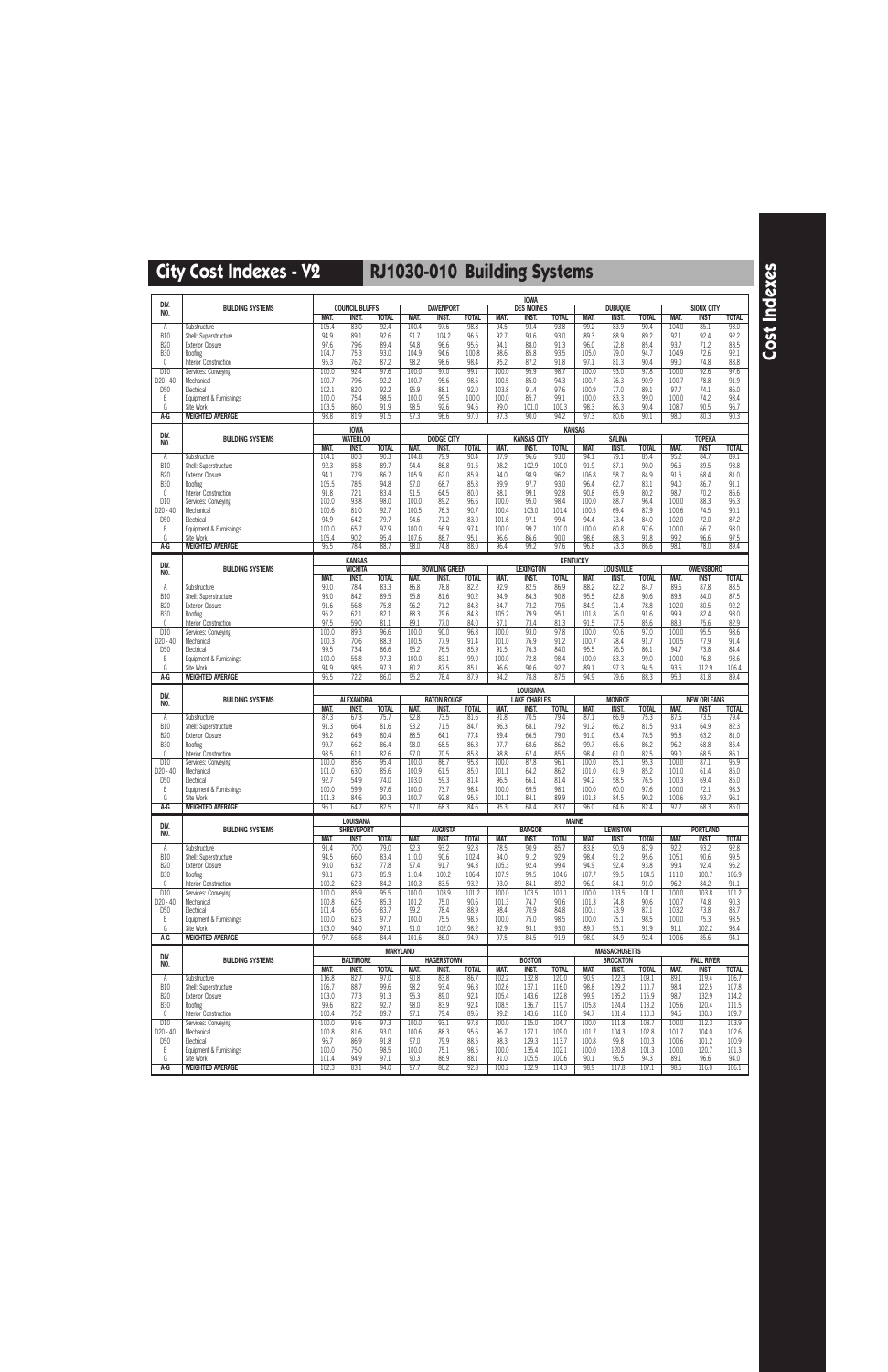|                                         |                                                  |                      |                                       |                      |                    |                                   |                      |                     | <b>IOWA</b>                   |                      |                     |                          |                      |                |                                   |                      |
|-----------------------------------------|--------------------------------------------------|----------------------|---------------------------------------|----------------------|--------------------|-----------------------------------|----------------------|---------------------|-------------------------------|----------------------|---------------------|--------------------------|----------------------|----------------|-----------------------------------|----------------------|
| DIV.<br>NO.                             | <b>BUILDING SYSTEMS</b>                          |                      | <b>COUNCIL BLUFFS</b>                 |                      |                    | <b>DAVENPORT</b>                  |                      |                     | <b>DES MOINES</b>             |                      |                     | <b>DUBUQUE</b>           |                      |                | <b>SIOUX CITY</b>                 |                      |
|                                         | Substructure                                     | <b>MAT.</b><br>105.4 | INST.<br>83.0                         | <b>TOTAL</b><br>92.4 | MAT.<br>100.4      | <b>INST.</b><br>97.6              | <b>TOTAL</b><br>98.8 | MAT.<br>94.5        | <b>INST.</b><br>93.4          | <b>TOTAL</b><br>93.8 | MAT.<br>99.2        | <b>INST.</b><br>83.9     | <b>TOTAL</b><br>90.4 | MAT.<br>104.0  | <b>INST.</b><br>85.1              | <b>TOTAL</b><br>93.0 |
| Α<br><b>B10</b>                         | Shell: Superstructure                            | 94.9                 | 89.1                                  | 92.6                 | 91.7               | 104.2                             | 96.5                 | 92.7                | 93.6                          | 93.0                 | 89.3                | 88.9                     | 89.2                 | 92.1           | 92.4                              | 92.2                 |
| <b>B20</b>                              | <b>Exterior Closure</b>                          | 97.6                 | 79.6                                  | 89.4                 | 94.8               | 96.6                              | 95.6                 | 94.1                | 88.0                          | 91.3                 | 96.0                | 72.8                     | 85.4                 | 93.7           | 71.2                              | 83.5                 |
| <b>B30</b>                              | Roofing                                          | 104.7                | 75.3                                  | 93.0                 | 104.9              | 94.6                              | 100.8                | 98.6                | 85.8                          | 93.5                 | 105.0               | 79.0                     | 94.7                 | 104.9          | 72.6                              | 92.1                 |
| C<br>D10                                | Interior Construction<br>Services: Conveying     | 95.3<br>100.0        | 76.2<br>92.4                          | 87.2<br>97.6         | 98.2<br>100.0      | 98.6<br>97.0                      | 98.4<br>99.1         | 95.2<br>100.0       | 87.2<br>95.9                  | 91.8<br>98.7         | 97.1<br>100.0       | 81.3<br>93.0             | 90.4<br>97.8         | 99.0<br>100.0  | 74.8<br>92.6                      | 88.8<br>97.6         |
| D20 - 40                                | Mechanical                                       | 100.7                | 79.6                                  | 92.2                 | 100.7              | 95.6                              | 98.6                 | 100.5               | 85.0                          | 94.3                 | 100.7               | 76.3                     | 90.9                 | 100.7          | 78.8                              | 91.9                 |
| D <sub>50</sub>                         | Electrical                                       | 102.1                | 82.0                                  | 92.2                 | 95.9               | 88.1                              | 92.0                 | 103.8               | 91.4                          | 97.6                 | 100.9               | 77.0                     | 89.1                 | 97.7           | 74.1                              | 86.0                 |
| Ε                                       | Equipment & Furnishings                          | 100.0                | 75.4                                  | 98.5                 | 100.0              | 99.5                              | 100.0                | 100.0               | 85.7                          | 99.1                 | 100.0               | 83.3                     | 99.0                 | 100.0          | 74.2                              | 98.4                 |
| G<br>A-G                                | Site Work<br><b>WEIGHTED AVERAGE</b>             | 103.5<br>98.8        | 86.0<br>81.9                          | 91.9<br>91.5         | 98.5<br>97.3       | 92.6<br>96.6                      | 94.6<br>97.0         | 99.0<br>97.3        | 101.0<br>90.0                 | 100.3<br>94.2        | 98.3<br>97.3        | 86.3<br>80.6             | 90.4<br>90.1         | 108.7<br>98.0  | 90.5<br>80.3                      | 96.7<br>90.3         |
|                                         |                                                  |                      |                                       |                      |                    |                                   |                      |                     |                               |                      |                     |                          |                      |                |                                   |                      |
| DIV.                                    | <b>BUILDING SYSTEMS</b>                          |                      | <b>IOWA</b><br><b>WATERLOO</b>        |                      |                    | <b>DODGE CITY</b>                 |                      |                     | <b>KANSAS CITY</b>            |                      | <b>KANSAS</b>       | <b>SALINA</b>            |                      |                | <b>TOPEKA</b>                     |                      |
| NO.                                     |                                                  | MAT.                 | <b>INST.</b>                          | <b>TOTAL</b>         | MAT.               | <b>INST.</b>                      | <b>TOTAL</b>         | MAT.                | <b>INST.</b>                  | <b>TOTAL</b>         | MAT.                | <b>INST.</b>             | <b>TOTAL</b>         | <b>MAT.</b>    | <b>INST.</b>                      | <b>TOTAL</b>         |
| Α                                       | Substructure                                     | 104.1                | 80.3                                  | 90.3                 | 104.8              | 79.9                              | 90.4                 | 87.9                | 96.6                          | 93.0                 | 94.1                | 79.1                     | 85.4                 | 95.2           | 84.7                              | 89.1                 |
| <b>B10</b>                              | Shell: Superstructure                            | 92.3                 | 85.8                                  | 89.7                 | 94.4               | 86.8                              | 91.5                 | 98.2                | 102.9                         | 100.0                | 91.9                | 87.1                     | 90.0                 | 96.5           | 89.5                              | 93.8                 |
| <b>B20</b><br><b>B30</b>                | <b>Exterior Closure</b><br>Roofing               | 94.1<br>105.5        | 77.9<br>78.5                          | 86.7<br>94.8         | 105.9<br>97.0      | 62.0<br>68.7                      | 85.9<br>85.8         | 94.0<br>89.9        | 98.9<br>97.7                  | 96.2<br>93.0         | 106.8<br>96.4       | 58.7<br>62.7             | 84.9<br>83.1         | 91.5<br>94.0   | 68.4<br>86.7                      | 81.0<br>91.1         |
| C                                       | Interior Construction                            | 91.8                 | 72.1                                  | 83.4                 | 91.5               | 64.5                              | 80.0                 | 88.1                | 99.1                          | 92.8                 | 90.8                | 65.9                     | 80.2                 | 98.7           | 70.2                              | 86.6                 |
| D10                                     | Services: Conveying                              | 100.0                | 93.8                                  | 98.0                 | 100.0              | 89.2                              | 96.6                 | 100.0               | 95.0                          | 98.4                 | 100.0               | 88.7                     | 96.4                 | 100.0          | 88.3                              | 96.3                 |
| $D20 - 40$                              | Mechanical                                       | 100.6                | 81.0                                  | 92.7                 | 100.5              | 76.3                              | 90.7                 | 100.4               | 103.0                         | 101.4                | 100.5               | 69.4                     | 87.9                 | 100.6          | 74.5                              | 90.1                 |
| D <sub>50</sub><br>Ε                    | Electrical                                       | 94.9<br>100.0        | 64.2<br>65.7                          | 79.7<br>97.9         | 94.6<br>100.0      | 71.2<br>56.9                      | 83.0<br>97.4         | 101.6<br>100.0      | 97.1<br>99.7                  | 99.4<br>100.0        | 94.4<br>100.0       | 73.4<br>60.8             | 84.0<br>97.6         | 102.0<br>100.0 | 72.0<br>66.7                      | 87.2<br>98.0         |
| G                                       | Equipment & Furnishings<br>Site Work             | 105.4                | 90.2                                  | 95.4                 | 107.6              | 88.7                              | 95.1                 | 96.6                | 86.6                          | 90.0                 | 98.6                | 88.3                     | 91.8                 | 99.2           | 96.6                              | 97.5                 |
| A-G                                     | <b>WEIGHTED AVERAGE</b>                          | 96.5                 | 78.4                                  | 88.7                 | 98.0               | 74.8                              | 88.0                 | 96.4                | 99.2                          | 97.6                 | 96.8                | 73.3                     | 86.6                 | 98.1           | 78.0                              | 89.4                 |
|                                         |                                                  |                      | <b>KANSAS</b>                         |                      |                    |                                   |                      |                     |                               | <b>KENTUCKY</b>      |                     |                          |                      |                |                                   |                      |
| DIV.<br>NO.                             | <b>BUILDING SYSTEMS</b>                          |                      | <b>WICHITA</b>                        |                      |                    | <b>BOWLING GREEN</b>              |                      |                     | <b>LEXINGTON</b>              |                      |                     | <b>LOUISVILLE</b>        |                      |                | <b>OWENSBORO</b>                  |                      |
|                                         |                                                  | <b>MAT.</b>          | <b>INST.</b>                          | <b>TOTAL</b>         | <b>MAT</b>         | <b>INST.</b>                      | <b>TOTAL</b>         | MAT.                | <b>INST.</b>                  | <b>TOTAL</b>         | MAT.                | <b>INST.</b>             | <b>TOTAL</b>         | MAT.           | <b>INST.</b>                      | <b>TOTAL</b>         |
| Α<br><b>B10</b>                         | Substructure<br>Shell: Superstructure            | 90.0<br>93.0         | 78.4<br>84.2                          | 83.3<br>89.5         | 86.8<br>95.8       | 78.8<br>81.6                      | 82.2<br>90.2         | 92.9<br>94.9        | 82.5<br>84.3                  | 86.9<br>90.8         | 88.2<br>95.5        | 82.2<br>82.8             | 84.7<br>90.6         | 89.6<br>89.8   | 87.8<br>84.0                      | 88.5<br>87.5         |
| <b>B20</b>                              | <b>Exterior Closure</b>                          | 91.6                 | 56.8                                  | 75.8                 | 96.2               | 71.2                              | 84.8                 | 84.7                | 73.2                          | 79.5                 | 84.9                | 71.4                     | 78.8                 | 102.0          | 80.5                              | 92.2                 |
| <b>B30</b>                              | Roofing                                          | 95.2                 | 62.1                                  | 82.1                 | 88.3               | 79.6                              | 84.8                 | 105.2               | 79.9                          | 95.1                 | 101.8               | 76.0                     | 91.6                 | 99.9           | 82.4                              | 93.0                 |
| C                                       | Interior Construction                            | 97.5                 | 59.0                                  | 81.1                 | 89.1               | 77.0                              | 84.0                 | 87.1                | 73.4                          | 81.3                 | 91.5                | 77.5                     | 85.6                 | 88.3           | 75.6                              | 82.9                 |
| D10                                     | Services: Conveying                              | 100.0                | 89.3                                  | 96.6                 | 100.0              | 90.0                              | 96.8                 | 100.0               | 93.0                          | 97.8                 | 100.0               | 90.6                     | 97.0                 | 100.0          | 95.5                              | 98.6                 |
| D <sub>20</sub> - 40<br>D <sub>50</sub> | Mechanical<br>Electrical                         | 100.3<br>99.5        | 70.6<br>73.4                          | 88.3<br>86.6         | 100.5<br>95.2      | 77.9<br>76.5                      | 91.4<br>85.9         | 101.0<br>91.5       | 76.9<br>76.3                  | 91.2<br>84.0         | 100.7<br>95.5       | 78.4<br>76.5             | 91.7<br>86.1         | 100.5<br>94.7  | 77.9<br>73.8                      | 91.4<br>84.4         |
| Ε                                       | Equipment & Furnishings                          | 100.0                | 55.8                                  | 97.3                 | 100.0              | 83.1                              | 99.0                 | 100.0               | 72.8                          | 98.4                 | 100.0               | 83.3                     | 99.0                 | 100.0          | 76.8                              | 98.6                 |
| G                                       | Site Work                                        | 94.9                 | 98.5                                  | 97.3                 | 80.2               | 87.5                              | 85.1                 | 96.6                | 90.6                          | 92.7                 | 89.1                | 97.3                     | 94.5                 | 93.6           | 112.9                             | 106.4                |
| A-G                                     | <b>WEIGHTED AVERAGE</b>                          | 96.5                 | 72.2                                  | 86.0                 | 95.2               | 78.4                              | 87.9                 | 94.2                | 78.8                          | 87.5                 | 94.9                | 79.6                     | 88.3                 | 95.3           | 81.8                              | 89.4                 |
|                                         |                                                  |                      |                                       |                      |                    |                                   |                      |                     |                               |                      |                     |                          |                      |                |                                   |                      |
| DIV.                                    |                                                  |                      |                                       |                      |                    |                                   |                      |                     | LOUISIANA                     |                      |                     |                          |                      |                |                                   |                      |
| NO.                                     | <b>BUILDING SYSTEMS</b>                          |                      | <b>ALEXANDRIA</b>                     |                      |                    | <b>BATON ROUGE</b>                |                      |                     | <b>LAKE CHARLES</b>           |                      |                     | <b>MONROE</b>            |                      |                | <b>NEW ORLEANS</b>                |                      |
| Α                                       | Substructure                                     | <b>MAT.</b><br>87.3  | <b>INST</b><br>67.3                   | <b>TOTAL</b><br>75.7 | <b>MAT</b><br>92.8 | <b>INST.</b><br>73.5              | <b>TOTAL</b><br>81.6 | <b>MAT.</b><br>91.8 | <b>INST.</b><br>70.5          | <b>TOTAL</b><br>79.4 | <b>MAT.</b><br>87.1 | <b>INST.</b><br>66.9     | <b>TOTAL</b><br>75.3 | MAT.<br>87.6   | <b>INST.</b><br>73.5              | <b>TOTAL</b><br>79.4 |
| <b>B10</b>                              | Shell: Superstructure                            | 91.3                 | 66.4                                  | 81.6                 | 93.2               | 71.5                              | 84.7                 | 86.3                | 68.1                          | 79.2                 | 91.2                | 66.2                     | 81.5                 | 93.4           | 64.9                              | 82.3                 |
| <b>B20</b>                              | <b>Exterior Closure</b>                          | 93.2                 | 64.9                                  | 80.4                 | 88.5               | 64.1                              | 77.4                 | 89.4                | 66.5                          | 79.0                 | 91.0                | 63.4                     | 78.5                 | 95.8           | 63.2                              | 81.0                 |
| <b>B30</b>                              | Roofing                                          | 99.7                 | 66.2                                  | 86.4                 | 98.0               | 68.5                              | 86.3                 | 97.7                | 68.6                          | 86.2                 | 99.7                | 65.6                     | 86.2                 | 96.2           | 68.8                              | 85.4                 |
| C<br>D10                                | Interior Construction<br>Services: Conveying     | 98.5<br>100.0        | 61.1<br>85.6                          | 82.6<br>95.4         | 97.0<br>100.0      | 70.5<br>86.7                      | 85.8<br>95.8         | 98.8<br>100.0       | 67.4                          | 85.5<br>96.1         | 98.4<br>100.0       | 61.0<br>85.1             | 82.5<br>95.3         | 99.0<br>100.0  | 68.5<br>87.1                      | 86.1<br>95.9         |
| $D20 - 40$                              | Mechanical                                       | 101.0                | 63.0                                  | 85.6                 | 100.9              | 61.5                              | 85.0                 | 101.1               | 87.8<br>64.2                  | 86.2                 | 101.0               | 61.9                     | 85.2                 | 101.0          | 61.4                              | 85.0                 |
| D <sub>50</sub>                         | Electrical                                       | 92.7                 | 54.9                                  | 74.0                 | 103.0              | 59.3                              | 81.4                 | 96.5                | 66.1                          | 81.4                 | 94.2                | 58.5                     | 76.5                 | 100.3          | 69.4                              | 85.0                 |
| E                                       | Equipment & Furnishings                          | 100.0                | 59.9                                  | 97.6                 | 100.0              | 73.7                              | 98.4                 | 100.0               | 69.5                          | 98.1                 | 100.0               | 60.0                     | 97.6                 | 100.0          | 72.1                              | 98.3                 |
| G<br>A-G                                | Site Work<br><b>WEIGHTED AVERAGE</b>             | 101.3<br>96.1        | 84.6<br>64.7                          | 90.3<br>82.5         | 100.7<br>97.0      | 92.8<br>68.3                      | 95.5<br>84.6         | 101.1<br>95.3       | 84.1<br>68.4                  | 89.9<br>83.7         | 101.3<br>96.0       | 84.5<br>64.6             | 90.2<br>82.4         | 100.6<br>97.7  | 93.7<br>68.3                      | 96.1<br>85.0         |
|                                         |                                                  |                      |                                       |                      |                    |                                   |                      |                     |                               |                      |                     |                          |                      |                |                                   |                      |
| DIV.                                    | <b>BUILDING SYSTEMS</b>                          |                      | <b>LOUISIANA</b><br><b>SHREVEPORT</b> |                      |                    | <b>AUGUSTA</b>                    |                      |                     | <b>BANGOR</b>                 |                      | <b>MAINE</b>        | <b>LEWISTON</b>          |                      |                | <b>PORTLAND</b>                   |                      |
| NO.                                     |                                                  | MAT.                 | INST.                                 | <b>TOTAL</b>         | MAT.               | INST.                             | <b>TOTAL</b>         | MAT.                | <b>INST.</b>                  | <b>TOTAL</b>         | MAT.                | INST.                    | <b>TOTAL</b>         | MAT.           | <b>INST.</b>                      | <b>TOTAL</b>         |
| Α                                       | Substructure                                     | 91.4                 | 70.0                                  | 79.0                 | 92.3               | 93.2                              | 92.8                 | 78.5                | 90.9                          | 85.7                 | 83.8                | 90.9                     | 87.9                 | 92.2           | 93.2                              | 92.8                 |
| <b>B10</b><br><b>B20</b>                | Shell: Superstructure<br><b>Exterior Closure</b> | 94.5<br>90.0         | 66.0<br>63.2                          | 83.4<br>77.8         | 110.0<br>97.4      | 90.6<br>91.7                      | 102.4<br>94.8        | 94.0<br>105.3       | 91.2<br>92.4                  | 92.9<br>99.4         | 98.4<br>94.9        | 91.2<br>92.4             | 95.6<br>93.8         | 105.1<br>99.4  | 90.6<br>92.4                      | 99.5<br>96.2         |
| <b>B30</b>                              | Roofing                                          | 98.1                 | 67.3                                  | 85.9                 | 110.4              | 100.2                             | 106.4                | 107.9               | 99.5                          | 104.6                | 107.7               | 99.5                     | 104.5                | 111.0          | 100.7                             | 106.9                |
| C                                       | Interior Construction                            | 100.2                | 62.3                                  | 84.2                 | 100.3              | 83.5                              | 93.2                 | 93.0                | 84.1                          | 89.2                 | 96.0                | 84.1                     | 91.0                 | 96.2           | 84.2                              | 91.1                 |
| D10                                     | Services: Conveying                              | 100.0                | 85.9                                  | 95.5                 | 100.0              | 103.9                             | 101.2                | 100.0               | 103.5                         | 101.1                | 100.0               | 103.5                    | 101.1                | 100.0          | 103.8                             | 101.2                |
| D20 - 40<br>D <sub>50</sub>             | Mechanical<br>Electrical                         | 100.8<br>101.4       | 62.5<br>65.6                          | 85.3<br>83.7         | 101.2<br>99.2      | 75.0<br>78.4                      | 90.6<br>88.9         | 101.3<br>98.4       | 74.7<br>70.9                  | 90.6<br>84.8         | 101.3<br>100.1      | 74.8<br>73.9             | 90.6<br>87.1         | 100.7<br>103.2 | 74.8<br>73.8                      | 90.3<br>88.7         |
| Ε                                       | Equipment & Furnishings                          | 100.0                | 62.3                                  | 97.7                 | 100.0              | 75.5                              | 98.5                 | 100.0               | 75.0                          | 98.5                 | 100.0               | 75.1                     | 98.5                 | 100.0          | 75.3                              | 98.5                 |
| G                                       | Site Work                                        | 103.0                | 94.0                                  | 97.1                 | 91.0               | 102.0                             | 98.2                 | 92.9                | 93.1                          | 93.0                 | 89.7                | 93.1                     | 91.9                 | 91.1           | 102.2                             | 98.4                 |
| A-G                                     | <b>WEIGHTED AVERAGE</b>                          | 97.7                 | 66.8                                  | 84.4                 | 101.6              | 86.0                              | 94.9                 | 97.5                | 84.5                          | 91.9                 | 98.0                | 84.9                     | 92.4                 | 100.6          | 85.6                              | 94.1                 |
| DIV.                                    |                                                  |                      |                                       | <b>MARYLAND</b>      |                    |                                   |                      |                     |                               |                      |                     | <b>MASSACHUSETTS</b>     |                      |                |                                   |                      |
| NO.                                     | <b>BUILDING SYSTEMS</b>                          | MAT.                 | <b>BALTIMORE</b><br>INST.             | <b>TOTAL</b>         | MAT.               | <b>HAGERSTOWN</b><br><b>INST.</b> | <b>TOTAL</b>         | MAT.                | <b>BOSTON</b><br><b>INST.</b> | <b>TOTAL</b>         | MAT.                | <b>BROCKTON</b><br>INST. | <b>TOTAL</b>         | MAT.           | <b>FALL RIVER</b><br><b>INST.</b> | <b>TOTAL</b>         |
| Α                                       | Substructure                                     | 116.8                | 82.7                                  | 97.0                 | 90.8               | 83.8                              | 86.7                 | 102.2               | 132.8                         | 120.0                | 90.9                | 122.3                    | 109.1                | 89.1           | 119.4                             | 106.7                |
| <b>B10</b>                              | Shell: Superstructure                            | 106.7                | 88.7                                  | 99.6                 | 98.2               | 93.4                              | 96.3                 | 102.6               | 137.1                         | 116.0                | 98.8                | 129.2                    | 110.7                | 98.4           | 122.5                             | 107.8                |
| <b>B20</b>                              | <b>Exterior Closure</b>                          | 103.0                | 77.3                                  | 91.3                 | 95.3               | 89.0                              | 92.4                 | 105.4               | 143.6                         | 122.8                | 99.9                | 135.2                    | 115.9                | 98.7           | 132.9                             | 114.2                |
| <b>B30</b><br>C                         | Roofing<br>Interior Construction                 | 99.6<br>100.4        | 82.2<br>75.2                          | 92.7<br>89.7         | 98.0<br>97.1       | 83.9<br>79.4                      | 92.4<br>89.6         | 108.5<br>99.2       | 136.7<br>143.6                | 119.7<br>118.0       | 105.8<br>94.7       | 124.4<br>131.4           | 113.2<br>110.3       | 105.6<br>94.6  | 120.4<br>130.3                    | 111.5<br>109.7       |
| D10                                     | Services: Conveying                              | 100.0                | 91.6                                  | 97.3                 | 100.0              | 93.1                              | 97.8                 | 100.0               | 115.0                         | 104.7                | 100.0               | 111.8                    | 103.7                | 100.0          | 112.3                             | 103.9                |
| D20 - 40                                | Mechanical                                       | 100.8                | 81.6                                  | 93.0                 | 100.6              | 88.3                              | 95.6                 | 96.7                | 127.1                         | 109.0                | 101.7               | 104.3                    | 102.8                | 101.7          | 104.0                             | 102.6                |
| <b>D50</b>                              | Electrical                                       | 96.7                 | 86.9                                  | 91.8                 | 97.0               | 79.9                              | 88.5                 | 98.3                | 129.3                         | 113.7                | 100.8               | 99.8                     | 100.3                | 100.6          | 101.2                             | 100.9                |
| Ε<br>G                                  | Equipment & Furnishings<br>Site Work             | 100.0<br>101.4       | 75.0<br>94.9                          | 98.5<br>97.1         | 100.0<br>90.3      | 75.1<br>86.9                      | 98.5<br>88.1         | 100.0<br>91.0       | 135.4<br>105.5                | 102.1<br>100.6       | 100.0<br>90.1       | 120.8<br>96.5            | 101.3<br>94.3        | 100.0<br>89.1  | 120.7<br>96.6                     | 101.3<br>94.0        |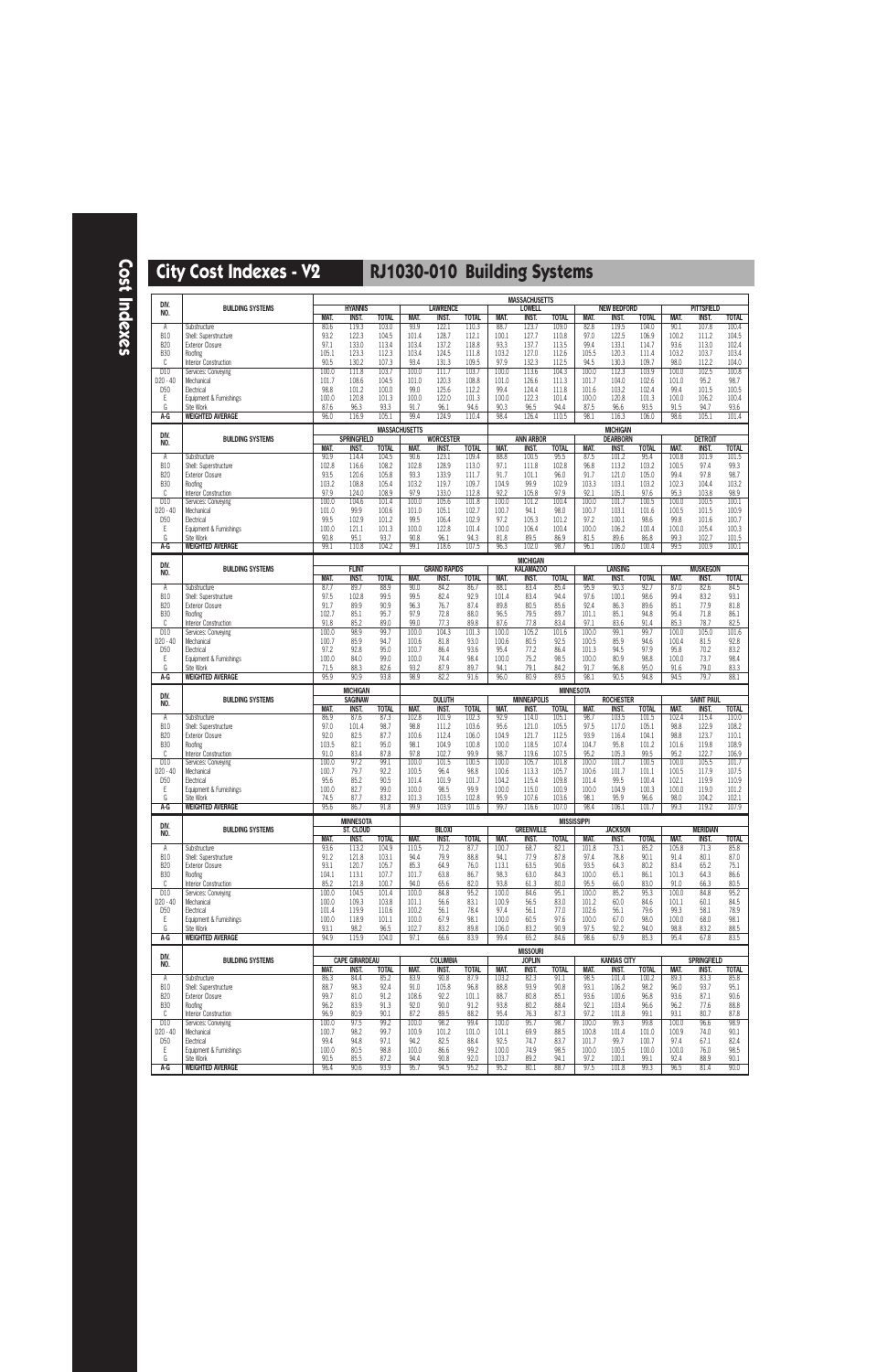| DIV.                        |                                                  |                |                                |                       |                |                                 |                       |                | <b>MASSACHUSETTS</b>                |                      |                    |                             |                      |                |                                   |                       |
|-----------------------------|--------------------------------------------------|----------------|--------------------------------|-----------------------|----------------|---------------------------------|-----------------------|----------------|-------------------------------------|----------------------|--------------------|-----------------------------|----------------------|----------------|-----------------------------------|-----------------------|
| NO.                         | <b>BUILDING SYSTEMS</b>                          | <b>MAT.</b>    | <b>HYANNIS</b><br><b>INST.</b> | <b>TOTAL</b>          | <b>MAT.</b>    | <b>LAWRENCE</b><br><b>INST.</b> | <b>TOTAL</b>          | <b>MAT.</b>    | <b>LOWELL</b><br><b>INST.</b>       | <b>TOTAL</b>         | MAT.               | <b>NEW BEDFORD</b><br>INST. | <b>TOTAL</b>         | MAT.           | <b>PITTSFIELD</b><br><b>INST.</b> | <b>TOTAL</b>          |
| Α                           | Substructure                                     | 80.6           | 119.3                          | 103.0                 | 93.9           | 122.1                           | 110.3                 | 88.7           | 123.7                               | 109.0                | 82.8               | 119.5                       | 104.0                | 90.1           | 107.8                             | 100.4                 |
| <b>B10</b><br><b>B20</b>    | Shell: Superstructure<br><b>Exterior Closure</b> | 93.2<br>97.1   | 122.3<br>133.0                 | 104.5<br>113.4        | 101.4<br>103.4 | 128.7<br>137.2                  | 112.1<br>118.8        | 100.1<br>93.3  | 127.7<br>137.7                      | 110.8<br>113.5       | 97.0<br>99.4       | 122.5<br>133.1              | 106.9<br>114.7       | 100.2<br>93.6  | 111.2<br>113.0                    | 104.5<br>102.4        |
| <b>B30</b>                  | Roofing                                          | 105.1          | 123.3                          | 112.3                 | 103.4          | 124.5                           | 111.8                 | 103.2          | 127.0                               | 112.6                | 105.5              | 120.3                       | 111.4                | 103.2          | 103.7                             | 103.4                 |
| C                           | Interior Construction                            | 90.5           | 130.2                          | 107.3                 | 93.4           | 131.3                           | 109.5                 | 97.9           | 132.3                               | 112.5                | 94.5               | 130.3                       | 109.7                | 98.0           | 112.2                             | 104.0                 |
| D10<br>D20 - 40             | Services: Conveying<br>Mechanical                | 100.0<br>101.7 | 111.8<br>108.6                 | 103.7<br>104.5        | 100.0<br>101.0 | 111.7<br>120.3                  | 103.7<br>108.8        | 100.0<br>101.0 | 113.6<br>126.6                      | 104.3<br>111.3       | 100.0<br>101.7     | 112.3<br>104.0              | 103.9<br>102.6       | 100.0<br>101.0 | 102.5<br>95.2                     | 100.8<br>98.7         |
| D <sub>50</sub>             | Electrical                                       | 98.8           | 101.2                          | 100.0                 | 99.0           | 125.6                           | 112.2                 | 99.4           | 124.4                               | 111.8                | 101.6              | 103.2                       | 102.4                | 99.4           | 101.5                             | 100.5                 |
| Ε<br>G                      | Equipment & Furnishings<br>Site Work             | 100.0<br>87.6  | 120.8<br>96.3                  | 101.3<br>93.3         | 100.0<br>91.7  | 122.0<br>96.1                   | 101.3<br>94.6         | 100.0<br>90.3  | 122.3<br>96.5                       | 101.4<br>94.4        | 100.0<br>87.5      | 120.8<br>96.6               | 101.3<br>93.5        | 100.0<br>91.5  | 106.2<br>94.7                     | 100.4<br>93.6         |
| A-G                         | <b>WEIGHTED AVERAGE</b>                          | 96.0           | 116.9                          | 105.1                 | 99.4           | 124.9                           | 110.4                 | 98.4           | 126.4                               | 110.5                | 98.1               | 116.3                       | 106.0                | 98.6           | 105.1                             | 101.4                 |
|                             |                                                  |                |                                | <b>MASSACHUSETTS</b>  |                |                                 |                       |                |                                     |                      |                    | <b>MICHIGAN</b>             |                      |                |                                   |                       |
| DIV.<br>NO.                 | <b>BUILDING SYSTEMS</b>                          |                | <b>SPRINGFIELD</b>             |                       |                | <b>WORCESTER</b>                |                       |                | <b>ANN ARBOR</b>                    |                      |                    | <b>DEARBORN</b>             |                      |                | <b>DETROIT</b>                    |                       |
| Α                           | Substructure                                     | MAT.<br>90.9   | INST.<br>114.4                 | <b>TOTAL</b><br>104.5 | MAT.<br>90.6   | <b>INST.</b><br>123.1           | <b>TOTAL</b><br>109.4 | MAT.<br>88.8   | <b>INST.</b><br>100.5               | <b>TOTAL</b><br>95.5 | MAT.<br>87.5       | INST.<br>101.2              | <b>TOTAL</b><br>95.4 | MAT.<br>100.8  | <b>INST.</b><br>101.9             | <b>TOTAL</b><br>101.5 |
| <b>B10</b>                  | Shell: Superstructure                            | 102.8          | 116.6                          | 108.2                 | 102.8          | 128.9                           | 113.0                 | 97.1           | 111.8                               | 102.8                | 96.8               | 113.2                       | 103.2                | 100.5          | 97.4                              | 99.3                  |
| <b>B20</b><br><b>B30</b>    | <b>Exterior Closure</b><br>Roofing               | 93.5<br>103.2  | 120.6<br>108.8                 | 105.8<br>105.4        | 93.3<br>103.2  | 133.9<br>119.7                  | 111.7<br>109.7        | 91.7<br>104.9  | 101.1<br>99.9                       | 96.0<br>102.9        | 91.7<br>103.3      | 121.0<br>103.1              | 105.0<br>103.2       | 99.4<br>102.3  | 97.8<br>104.4                     | 98.7<br>103.2         |
| C                           | Interior Construction                            | 97.9           | 124.0                          | 108.9                 | 97.9           | 133.0                           | 112.8                 | 92.2           | 105.8                               | 97.9                 | 92.1               | 105.1                       | 97.6                 | 95.3           | 103.8                             | 98.9                  |
| D10                         | Services: Conveying                              | 100.0          | 104.6                          | 101.4                 | 100.0          | 105.6                           | 101.8                 | 100.0          | 101.2                               | 100.4                | 100.0              | 101.7                       | 100.5                | 100.0          | 100.5                             | 100.1                 |
| D20 - 40<br>D <sub>50</sub> | Mechanical<br>Electrical                         | 101.0<br>99.5  | 99.9<br>102.9                  | 100.6<br>101.2        | 101.0<br>99.5  | 105.1<br>106.4                  | 102.7<br>102.9        | 100.7<br>97.2  | 94.1<br>105.3                       | 98.0<br>101.2        | 100.7<br>97.2      | 103.1<br>100.1              | 101.6<br>98.6        | 100.5<br>99.8  | 101.5<br>101.6                    | 100.9<br>100.7        |
| Ε                           | Equipment & Furnishings                          | 100.0          | 121.1                          | 101.3                 | 100.0          | 122.8                           | 101.4                 | 100.0          | 106.4                               | 100.4                | 100.0              | 106.2                       | 100.4                | 100.0          | 105.4                             | 100.3                 |
| G<br>A-G                    | Site Work<br><b>WEIGHTED AVERAGE</b>             | 90.8<br>99.1   | 95.1<br>110.8                  | 93.7<br>104.2         | 90.8<br>99.1   | 96.1<br>118.6                   | 94.3<br>107.5         | 81.8<br>96.3   | 89.5<br>102.0                       | 86.9<br>98.7         | 81.5<br>96.1       | 89.6<br>106.0               | 86.8<br>100.4        | 99.3<br>99.5   | 102.7<br>100.9                    | 101.5<br>100.1        |
|                             |                                                  |                |                                |                       |                |                                 |                       |                |                                     |                      |                    |                             |                      |                |                                   |                       |
| DIV.                        | <b>BUILDING SYSTEMS</b>                          |                | <b>FLINT</b>                   |                       |                | <b>GRAND RAPIDS</b>             |                       |                | <b>MICHIGAN</b><br><b>KALAMAZOO</b> |                      |                    | <b>LANSING</b>              |                      |                | <b>MUSKEGON</b>                   |                       |
| NO.                         |                                                  | <b>MAT.</b>    | <b>INST.</b>                   | <b>TOTAL</b>          | MAT.           | <b>INST.</b>                    | <b>TOTAL</b>          | <b>MAT.</b>    | <b>INST.</b>                        | <b>TOTAL</b>         | MAT.               | <b>INST.</b>                | <b>TOTAL</b>         | MAT.           | <b>INST.</b>                      | <b>TOTAL</b>          |
| Α<br><b>B10</b>             | Substructure<br>Shell: Superstructure            | 87.7<br>97.5   | 89.7<br>102.8                  | 88.9<br>99.5          | 90.0<br>99.5   | 84.2<br>82.4                    | 86.7<br>92.9          | 88.1<br>101.4  | 83.4<br>83.4                        | 85.4<br>94.4         | 95.9<br>97.6       | 90.3<br>100.1               | 92.7<br>98.6         | 87.0<br>99.4   | 82.6<br>83.2                      | 84.5<br>93.1          |
| <b>B20</b>                  | <b>Exterior Closure</b>                          | 91.7           | 89.9                           | 90.9                  | 96.3           | 76.7                            | 87.4                  | 89.8           | 80.5                                | 85.6                 | 92.4               | 86.3                        | 89.6                 | 85.1           | 77.9                              | 81.8                  |
| <b>B30</b>                  | Roofing                                          | 102.7          | 85.1                           | 95.7                  | 97.9           | 72.8                            | 88.0                  | 96.5           | 79.5                                | 89.7                 | 101.1              | 85.1                        | 94.8                 | 95.4           | 71.8                              | 86.1                  |
| C<br>D10                    | Interior Construction<br>Services: Conveying     | 91.8<br>100.0  | 85.2<br>98.9                   | 89.0<br>99.7          | 99.0<br>100.0  | 77.3<br>104.3                   | 89.8<br>101.3         | 87.6<br>100.0  | 77.8<br>105.2                       | 83.4<br>101.6        | 97.1<br>100.0      | 83.6<br>99.1                | 91.4<br>99.7         | 85.3<br>100.0  | 78.7<br>105.0                     | 82.5<br>101.6         |
| D20 - 40                    | Mechanical                                       | 100.7          | 85.9                           | 94.7                  | 100.6          | 81.8                            | 93.0                  | 100.6          | 80.5                                | 92.5                 | 100.5              | 85.9                        | 94.6                 | 100.4          | 81.5                              | 92.8                  |
| D <sub>50</sub><br>Ε        | Electrical<br>Equipment & Furnishings            | 97.2<br>100.0  | 92.8<br>84.0                   | 95.0<br>99.0          | 100.7<br>100.0 | 86.4<br>74.4                    | 93.6<br>98.4          | 95.4<br>100.0  | 77.2<br>75.2                        | 86.4<br>98.5         | 101.3<br>100.0     | 94.5<br>80.9                | 97.9<br>98.8         | 95.8<br>100.0  | 70.2<br>73.7                      | 83.2<br>98.4          |
| G                           | Site Work                                        | 71.5           | 88.3                           | 82.6                  | 93.2           | 87.9                            | 89.7                  | 94.1           | 79.1                                | 84.2                 | 91.7               | 96.8                        | 95.0                 | 91.6           | 79.0                              | 83.3                  |
| A-G                         | <b>WEIGHTED AVERAGE</b>                          | 95.9           | 90.9                           | 93.8                  | 98.9           | 82.2                            | 91.6                  | 96.0           | 80.9                                | 89.5                 | 98.1               | 90.5                        | 94.8                 | 94.5           | 79.7                              | 88.1                  |
|                             |                                                  |                |                                |                       |                |                                 |                       |                |                                     |                      |                    |                             |                      |                |                                   |                       |
| DIV.                        |                                                  |                | <b>MICHIGAN</b>                |                       |                |                                 |                       |                |                                     |                      | <b>MINNESOTA</b>   |                             |                      |                |                                   |                       |
| NO.                         | <b>BUILDING SYSTEMS</b>                          | MAT.           | <b>SAGINAW</b><br><b>INST.</b> | <b>TOTAL</b>          | MAT.           | <b>DULUTH</b><br><b>INST.</b>   | <b>TOTAL</b>          | <b>MAT.</b>    | <b>MINNEAPOLIS</b><br><b>INST.</b>  | <b>TOTAL</b>         | MAT.               | <b>ROCHESTER</b><br>INST.   | <b>TOTAL</b>         | MAT.           | <b>SAINT PAUL</b><br><b>INST.</b> | <b>TOTAL</b>          |
| Α                           | Substructure                                     | 86.9           | 87.6                           | 87.3                  | 102.8          | 101.9                           | 102.3                 | 92.9           | 114.0                               | 105.1                | 98.7               | 103.5                       | 101.5                | 102.4          | 115.4                             | 110.0                 |
| <b>B10</b>                  | Shell: Superstructure                            | 97.0           | 101.4                          | 98.7                  | 98.8           | 111.2                           | 103.6                 | 95.6           | 121.0                               | 105.5                | 97.5               | 117.0                       | 105.1                | 98.8           | 122.9                             | 108.2                 |
| <b>B20</b><br><b>B30</b>    | <b>Exterior Closure</b><br>Roofing               | 92.0<br>103.5  | 82.5<br>82.1                   | 87.7<br>95.0          | 100.6<br>98.1  | 112.4<br>104.9                  | 106.0<br>100.8        | 104.9<br>100.0 | 121.7<br>118.5                      | 112.5<br>107.4       | 93.9<br>104.7      | 116.4<br>95.8               | 104.1<br>101.2       | 98.8<br>101.6  | 123.7<br>119.8                    | 110.1<br>108.9        |
| C                           | Interior Construction                            | 91.0           | 83.4                           | 87.8                  | 97.8           | 102.7                           | 99.9                  | 98.7           | 119.6                               | 107.5                | 95.2               | 105.3                       | 99.5                 | 95.2           | 122.7                             | 106.9                 |
| D10<br>D20 - 40             | Services: Conveying<br>Mechanical                | 100.0<br>100.7 | 97.2<br>79.7                   | 99.1<br>92.2          | 100.0<br>100.5 | 101.5<br>96.4                   | 100.5<br>98.8         | 100.0<br>100.6 | 105.7<br>113.3                      | 101.8<br>105.7       | 100.0<br>100.6     | 101.7<br>101.7              | 100.5<br>101.1       | 100.0<br>100.5 | 105.5<br>117.9                    | 101.7<br>107.5        |
| D <sub>50</sub>             | Electrical                                       | 95.6           | 85.2                           | 90.5                  | 101.4          | 101.9                           | 101.7                 | 104.2          | 115.4                               | 109.8                | 101.4              | 99.5                        | 100.4                | 102.1          | 119.9                             | 110.9                 |
| E<br>G                      | Equipment & Furnishings<br>Site Work             | 100.0<br>74.5  | 82.7<br>87.7                   | 99.0<br>83.2          | 100.0<br>101.3 | 98.5<br>103.5                   | 99.9<br>102.8         | 100.0<br>95.9  | 115.0<br>107.6                      | 100.9<br>103.6       | 100.0<br>98.1      | 104.9<br>95.9               | 100.3<br>96.6        | 100.0<br>98.0  | 119.0<br>104.2                    | 101.2<br>102.1        |
| $A-G$                       | <b>WEIGHTED AVERAGE</b>                          | 95.6           | 86.7                           | 91.8                  | 99.9           | 103.9                           | 101.6                 | 99.7           | 116.6                               | 107.0                | 98.4               | 106.1                       | 101.7                | 99.3           | 119.2                             | 107.9                 |
|                             |                                                  |                | <b>MINNESOTA</b>               |                       |                |                                 |                       |                |                                     |                      | <b>MISSISSIPPI</b> |                             |                      |                |                                   |                       |
| DIV.<br>NO.                 | <b>BUILDING SYSTEMS</b>                          |                | ST. CLOUD                      |                       |                | <b>BILOXI</b>                   |                       |                | <b>GREENVILLE</b>                   |                      |                    | <b>JACKSON</b>              |                      |                | <b>MERIDIAN</b>                   |                       |
| Α                           | Substructure                                     | MAT.<br>93.6   | <b>INST.</b><br>113.2          | <b>TOTAL</b><br>104.9 | MAT.<br>110.5  | INST.<br>71.2                   | <b>TOTAL</b><br>87.7  | MAT.<br>100.7  | <b>INST.</b><br>68.7                | <b>TOTAL</b><br>82.1 | MAT.<br>101.8      | INST.<br>73.1               | <b>TOTAL</b><br>85.2 | MAT.<br>105.8  | <b>INST.</b><br>71.3              | <b>TOTAL</b><br>85.8  |
| <b>B10</b>                  | Shell: Superstructure                            | 91.2           | 121.8                          | 103.1                 | 94.4           | 79.9                            | 88.8                  | 94.1           | 77.9                                | 87.8                 | 97.4               | 78.8                        | 90.1                 | 91.4           | 80.1                              | 87.0                  |
| <b>B20</b><br><b>B30</b>    | <b>Exterior Closure</b><br>Roofing               | 93.1<br>104.1  | 120.7<br>113.1                 | 105.7<br>107.7        | 85.3<br>101.7  | 64.9<br>63.8                    | 76.0<br>86.7          | 113.1<br>98.3  | 63.5<br>63.0                        | 90.6<br>84.3         | 93.5<br>100.0      | 64.3<br>65.1                | 80.2<br>86.1         | 83.4<br>101.3  | 65.2<br>64.3                      | 75.1<br>86.6          |
| C                           | Interior Construction                            | 85.2           | 121.8                          | 100.7                 | 94.0           | 65.6                            | 82.0                  | 93.8           | 61.3                                | 80.0                 | 95.5               | 66.0                        | 83.0                 | 91.0           | 66.3                              | 80.5                  |
| D10<br>D20 - 40             | Services: Conveving<br>Mechanical                | 100.0<br>100.0 | 104.5                          | 101.4                 | 100.0          | 84.8<br>56.6                    | 95.2<br>83.1          | 100.0<br>100.9 | 84.6                                | 95.1                 | 100.0<br>101.2     | 85.2                        | 95.3                 | 100.0<br>101.1 | 84.8                              | 95.2<br>84.5          |
| D <sub>50</sub>             | Electrical                                       | 101.4          | 109.3<br>119.9                 | 103.8<br>110.6        | 101.1<br>100.2 | 56.1                            | 78.4                  | 97.4           | 56.5<br>56.1                        | 83.0<br>77.0         | 102.6              | 60.0<br>56.1                | 84.6<br>79.6         | 99.3           | 60.1<br>58.1                      | 78.9                  |
| E                           | Equipment & Furnishings                          | 100.0          | 118.9                          | 101.1                 | 100.0          | 67.9                            | 98.1                  | 100.0          | 60.5                                | 97.6                 | 100.0              | 67.0                        | 98.0                 | 100.0          | 68.0                              | 98.1                  |
| G<br>A-G                    | Site Work<br><b>WEIGHTED AVERAGE</b>             | 93.1<br>94.9   | 98.2<br>115.9                  | 96.5<br>104.0         | 102.7<br>97.1  | 83.2<br>66.6                    | 89.8<br>83.9          | 106.0<br>99.4  | 83.2<br>65.2                        | 90.9<br>84.6         | 97.5<br>98.6       | 92.2<br>67.9                | 94.0<br>85.3         | 98.8<br>95.4   | 83.2<br>67.8                      | 88.5<br>83.5          |
|                             |                                                  |                |                                |                       |                |                                 |                       |                | <b>MISSOURI</b>                     |                      |                    |                             |                      |                |                                   |                       |
| DIV.<br>NO.                 | <b>BUILDING SYSTEMS</b>                          |                | <b>CAPE GIRARDEAU</b>          |                       |                | <b>COLUMBIA</b>                 |                       |                | <b>JOPLIN</b>                       |                      |                    | <b>KANSAS CITY</b>          |                      |                | <b>SPRINGFIELD</b>                |                       |
|                             |                                                  | MAT.           | <b>INST.</b>                   | <b>TOTAL</b>          | MAT.           | <b>INST.</b>                    | <b>TOTAL</b>          | MAT.           | INST.                               | <b>TOTAL</b>         | MAT.               | INST.                       | <b>TOTAL</b>         | MAT.           | <b>INST.</b>                      | <b>TOTAL</b>          |
| Α<br><b>B10</b>             | Substructure<br>Shell: Superstructure            | 86.3<br>88.7   | 84.4<br>98.3                   | 85.2<br>92.4          | 83.9<br>91.0   | 90.8<br>105.8                   | 87.9<br>96.8          | 103.2<br>88.8  | 82.3<br>93.9                        | 91.1<br>90.8         | 98.5<br>93.1       | 101.4<br>106.2              | 100.2<br>98.2        | 89.3<br>96.0   | 83.3<br>93.7                      | 85.8<br>95.1          |
| <b>B20</b>                  | <b>Exterior Closure</b>                          | 99.7           | 81.0                           | 91.2                  | 108.6          | 92.2                            | 101.1                 | 88.7           | 80.8                                | 85.1                 | 93.6               | 100.6                       | 96.8                 | 93.6           | 87.1                              | 90.6                  |
| <b>B30</b><br>C             | Roofing<br>Interior Construction                 | 96.2<br>96.9   | 83.9<br>80.9                   | 91.3<br>90.1          | 92.0<br>87.2   | 90.0<br>89.5                    | 91.2<br>88.2          | 93.8<br>95.4   | 80.2<br>76.3                        | 88.4<br>87.3         | 92.1<br>97.2       | 103.4<br>101.8              | 96.6<br>99.1         | 96.2<br>93.1   | 77.6<br>80.7                      | 88.8<br>87.8          |
| D10                         | Services: Conveying                              | 100.0          | 97.5                           | 99.2                  | 100.0          | 98.2                            | 99.4                  | 100.0          | 95.7                                | 98.7                 | 100.0              | 99.3                        | 99.8                 | 100.0          | 96.6                              | 98.9                  |
| D20 - 40                    | Mechanical                                       | 100.7          | 98.2                           | 99.7                  | 100.9          | 101.2                           | 101.0                 | 101.1          | 69.9                                | 88.5                 | 100.8              | 101.4                       | 101.0                | 100.9          | 74.0                              | 90.1                  |
| D <sub>50</sub><br>E        | Electrical<br>Equipment & Furnishings            | 99.4<br>100.0  | 94.8<br>80.5                   | 97.1<br>98.8          | 94.2<br>100.0  | 82.5<br>86.6                    | 88.4<br>99.2          | 92.5<br>100.0  | 74.7<br>74.9                        | 83.7<br>98.5         | 101.7<br>100.0     | 99.7<br>100.5               | 100.7<br>100.0       | 97.4<br>100.0  | 67.1<br>76.0                      | 82.4<br>98.5          |
| G<br>A-G                    | Site Work<br><b>WEIGHTED AVERAGE</b>             | 90.5<br>96.4   | 85.5<br>90.6                   | 87.2<br>93.9          | 94.4<br>95.7   | 90.8<br>94.5                    | 92.0<br>95.2          | 103.7<br>95.2  | 89.2<br>80.1                        | 94.1<br>88.7         | 97.2<br>97.5       | 100.1<br>101.8              | 99.1<br>99.3         | 92.4<br>96.5   | 88.9<br>81.4                      | 90.1<br>90.0          |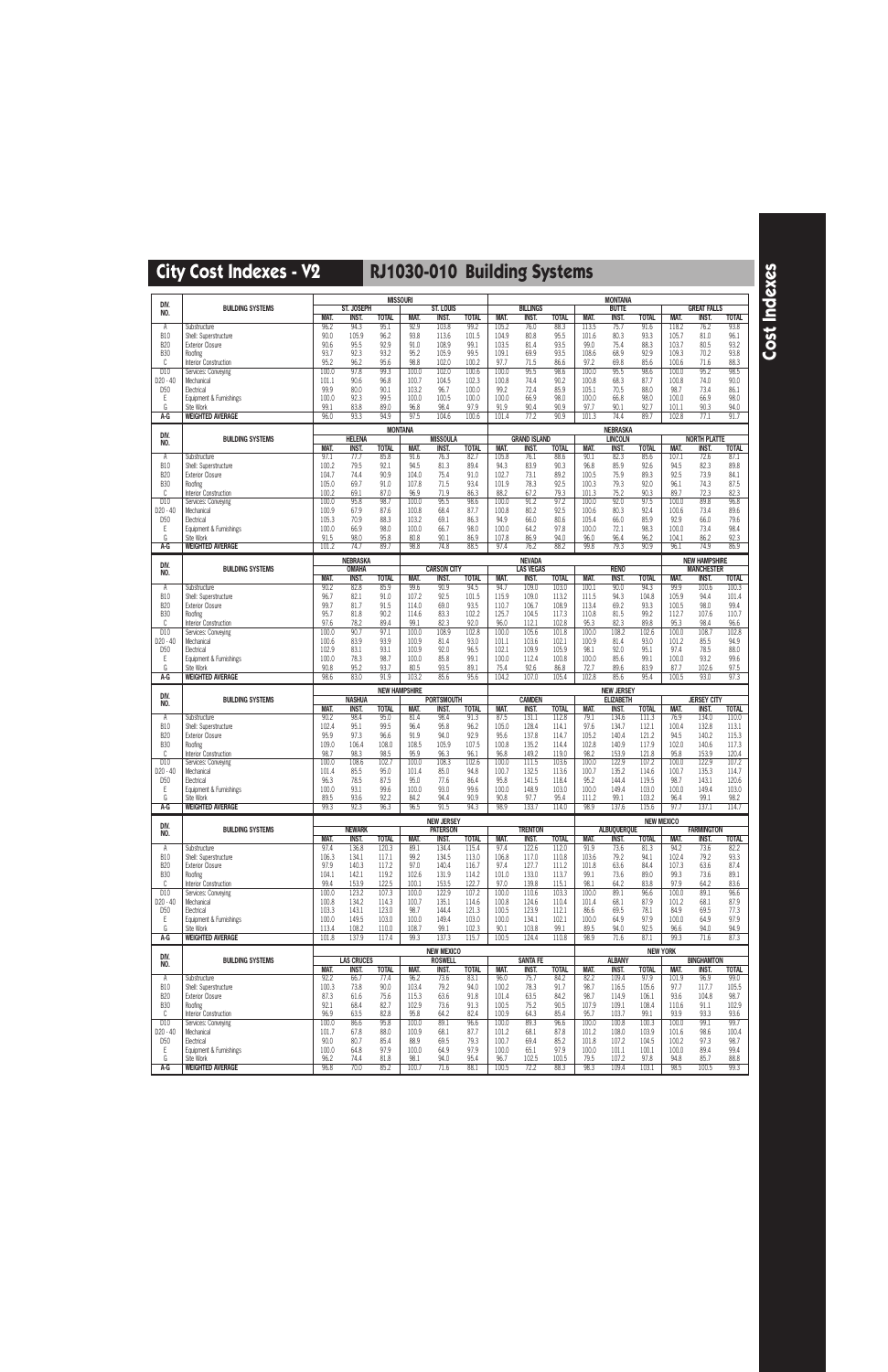|                             |                                                  |                     |                                 |                      | <b>MISSOURI</b>      |                             |                      |                |                                  |                      |                | <b>MONTANA</b>                        |                      |                      |                                   |                      |
|-----------------------------|--------------------------------------------------|---------------------|---------------------------------|----------------------|----------------------|-----------------------------|----------------------|----------------|----------------------------------|----------------------|----------------|---------------------------------------|----------------------|----------------------|-----------------------------------|----------------------|
| DIV.<br>NO.                 | <b>BUILDING SYSTEMS</b>                          |                     | <b>ST. JOSEPH</b>               |                      |                      | <b>ST. LOUIS</b>            |                      |                | <b>BILLINGS</b>                  |                      |                | <b>BUTTE</b>                          |                      |                      | <b>GREAT FALLS</b>                |                      |
|                             |                                                  | <b>MAT.</b>         | <b>INST.</b>                    | <b>TOTAL</b>         | MAT.                 | <b>INST.</b>                | <b>TOTAL</b>         | MAT.           | <b>INST.</b>                     | <b>TOTAL</b>         | <b>MAT.</b>    | INST.                                 | <b>TOTAL</b>         | MAT.                 | INST.                             | <b>TOTAL</b>         |
| Α<br><b>B10</b>             | Substructure<br>Shell: Superstructure            | 96.2<br>90.0        | 94.3<br>105.9                   | 95.1<br>96.2         | 92.9<br>93.8         | 103.8<br>113.6              | 99.2<br>101.5        | 105.2<br>104.9 | 76.0<br>80.8                     | 88.3<br>95.5         | 113.5<br>101.6 | 75.7<br>80.3                          | 91.6<br>93.3         | 118.2<br>105.7       | 76.2<br>81.0                      | 93.8<br>96.1         |
| <b>B20</b>                  | <b>Exterior Closure</b>                          | 90.6                | 95.5                            | 92.9                 | 91.0                 | 108.9                       | 99.1                 | 103.5          | 81.4                             | 93.5                 | 99.0           | 75.4                                  | 88.3                 | 103.7                | 80.5                              | 93.2                 |
| <b>B30</b>                  | Roofing                                          | 93.7                | 92.3                            | 93.2                 | 95.2                 | 105.9                       | 99.5                 | 109.1          | 69.9                             | 93.5                 | 108.6          | 68.9                                  | 92.9                 | 109.3                | 70.2                              | 93.8                 |
| C<br>D <sub>10</sub>        | Interior Construction<br>Services: Conveying     | 95.2<br>100.0       | 96.2<br>97.8                    | 95.6<br>99.3         | 98.8<br>100.0        | 102.0<br>102.0              | 100.2<br>100.6       | 97.7<br>100.0  | 71.5<br>95.5                     | 86.6<br>98.6         | 97.2<br>100.0  | 69.8<br>95.5                          | 85.6<br>98.6         | 100.6<br>100.0       | 71.6<br>95.2                      | 88.3<br>98.5         |
| D20 - 40                    | Mechanical                                       | 101.1               | 90.6                            | 96.8                 | 100.7                | 104.5                       | 102.3                | 100.8          | 74.4                             | 90.2                 | 100.8          | 68.3                                  | 87.7                 | 100.8                | 74.0                              | 90.0                 |
| D <sub>50</sub>             | Electrical                                       | 99.9                | 80.0                            | 90.1                 | 103.2                | 96.7                        | 100.0                | 99.2           | 72.4                             | 85.9                 | 105.1          | 70.5                                  | 88.0                 | 98.7                 | 73.4                              | 86.1                 |
| Ε<br>G                      | Equipment & Furnishings<br>Site Work             | 100.0<br>99.1       | 92.3<br>83.8                    | 99.5<br>89.0         | 100.0<br>96.8        | 100.5<br>98.4               | 100.0<br>97.9        | 100.0<br>91.9  | 66.9<br>90.4                     | 98.0<br>90.9         | 100.0<br>97.7  | 66.8<br>90.1                          | 98.0<br>92.7         | 100.0<br>101.1       | 66.9<br>90.3                      | 98.0<br>94.0         |
| A-G                         | <b>WEIGHTED AVERAGE</b>                          | 96.0                | 93.3                            | 94.9                 | 97.5                 | 104.6                       | 100.6                | 101.4          | 77.2                             | 90.9                 | 101.3          | 74.4                                  | 89.7                 | 102.8                | 77.1                              | 91.7                 |
|                             |                                                  |                     |                                 |                      | <b>MONTANA</b>       |                             |                      |                |                                  |                      |                | <b>NEBRASKA</b>                       |                      |                      |                                   |                      |
| DIV.<br>NO.                 | <b>BUILDING SYSTEMS</b>                          |                     | <b>HELENA</b>                   |                      |                      | <b>MISSOULA</b>             |                      |                | <b>GRAND ISLAND</b>              |                      |                | <b>LINCOLN</b>                        |                      |                      | <b>NORTH PLATTE</b>               |                      |
| Α                           | Substructure                                     | <b>MAT.</b><br>97.1 | <b>INST.</b><br>77.7            | <b>TOTAL</b><br>85.8 | <b>MAT.</b><br>91.6  | <b>INST.</b><br>76.3        | <b>TOTAL</b><br>82.7 | MAT.<br>105.8  | <b>INST.</b><br>76.1             | <b>TOTAL</b><br>88.6 | MAT.<br>90.1   | <b>INST.</b><br>82.3                  | <b>TOTAL</b><br>85.6 | <b>MAT.</b><br>107.1 | <b>INST.</b><br>72.6              | <b>TOTAL</b><br>87.1 |
| <b>B10</b>                  | Shell: Superstructure                            | 100.2               | 79.5                            | 92.1                 | 94.5                 | 81.3                        | 89.4                 | 94.3           | 83.9                             | 90.3                 | 96.8           | 85.9                                  | 92.6                 | 94.5                 | 82.3                              | 89.8                 |
| <b>B20</b><br><b>B30</b>    | <b>Exterior Closure</b>                          | 104.7<br>105.0      | 74.4<br>69.7                    | 90.9<br>91.0         | 104.0<br>107.8       | 75.4<br>71.5                | 91.0<br>93.4         | 102.7<br>101.9 | 73.1<br>78.3                     | 89.2<br>92.5         | 100.5<br>100.3 | 75.9<br>79.3                          | 89.3<br>92.0         | 92.5<br>96.1         | 73.9<br>74.3                      | 84.1<br>87.5         |
| C                           | Roofing<br>Interior Construction                 | 100.2               | 69.1                            | 87.0                 | 96.9                 | 71.9                        | 86.3                 | 88.2           | 67.2                             | 79.3                 | 101.3          | 75.2                                  | 90.3                 | 89.7                 | 72.3                              | 82.3                 |
| D10                         | Services: Conveying                              | 100.0               | 95.8                            | 98.7                 | 100.0                | 95.5                        | 98.6                 | 100.0          | 91.2                             | 97.2                 | 100.0          | 92.0                                  | 97.5                 | 100.0                | 89.8                              | 96.8                 |
| D20 - 40<br>D <sub>50</sub> | Mechanical<br>Electrical                         | 100.9<br>105.3      | 67.9<br>70.9                    | 87.6<br>88.3         | 100.8<br>103.2       | 68.4<br>69.1                | 87.7<br>86.3         | 100.8<br>94.9  | 80.2<br>66.0                     | 92.5<br>80.6         | 100.6<br>105.4 | 80.3<br>66.0                          | 92.4<br>85.9         | 100.6<br>92.9        | 73.4<br>66.0                      | 89.6<br>79.6         |
| Ε                           | Equipment & Furnishings                          | 100.0               | 66.9                            | 98.0                 | 100.0                | 66.7                        | 98.0                 | 100.0          | 64.2                             | 97.8                 | 100.0          | 72.1                                  | 98.3                 | 100.0                | 73.4                              | 98.4                 |
| G                           | Site Work                                        | 91.5                | 98.0                            | 95.8                 | 80.8                 | 90.1                        | 86.9                 | 107.8          | 86.9                             | 94.0                 | 96.0           | 96.4                                  | 96.2                 | 104.1                | 86.2                              | 92.3                 |
| A-G                         | <b>WEIGHTED AVERAGE</b>                          | 101.2               | 74.7                            | 89.7                 | 98.8                 | 74.8                        | 88.5                 | 97.4           | 76.2                             | 88.2                 | 99.8           | 79.3                                  | 90.9                 | 96.1                 | 74.9                              | 86.9                 |
| DIV.                        |                                                  |                     | <b>NEBRASKA</b><br><b>OMAHA</b> |                      |                      |                             |                      |                | <b>NEVADA</b>                    |                      |                |                                       |                      |                      | <b>NEW HAMPSHIRE</b>              |                      |
| NO.                         | <b>BUILDING SYSTEMS</b>                          | MAT.                | <b>INST.</b>                    | <b>TOTAL</b>         | MAT.                 | <b>CARSON CITY</b><br>INST. | <b>TOTAL</b>         | MAT.           | <b>LAS VEGAS</b><br><b>INST.</b> | <b>TOTAL</b>         | MAT.           | <b>RENO</b><br><b>INST.</b>           | <b>TOTAL</b>         | MAT.                 | <b>MANCHESTER</b><br><b>INST.</b> | <b>TOTAL</b>         |
| Α                           | Substructure                                     | 90.2                | 82.8                            | 85.9                 | 99.6                 | 90.9                        | 94.5                 | 94.7           | 109.0                            | 103.0                | 100.1          | 90.0                                  | 94.3                 | 99.9                 | 100.6                             | 100.3                |
| <b>B10</b><br><b>B20</b>    | Shell: Superstructure<br><b>Exterior Closure</b> | 96.7<br>99.7        | 82.1<br>81.7                    | 91.0<br>91.5         | 107.2<br>114.0       | 92.5<br>69.0                | 101.5<br>93.5        | 115.9<br>110.7 | 109.0<br>106.7                   | 113.2<br>108.9       | 111.5<br>113.4 | 94.3<br>69.2                          | 104.8<br>93.3        | 105.9<br>100.5       | 94.4<br>98.0                      | 101.4<br>99.4        |
| <b>B30</b>                  | Roofing                                          | 95.7                | 81.8                            | 90.2                 | 114.6                | 83.3                        | 102.2                | 125.7          | 104.5                            | 117.3                | 110.8          | 81.5                                  | 99.2                 | 112.7                | 107.6                             | 110.7                |
| C                           | Interior Construction                            | 97.6                | 78.2                            | 89.4                 | 99.1                 | 82.3                        | 92.0                 | 96.0           | 112.1                            | 102.8                | 95.3           | 82.3                                  | 89.8                 | 95.3                 | 98.4                              | 96.6                 |
| D10<br>D20 - 40             | Services: Conveying<br>Mechanical                | 100.0<br>100.6      | 90.7<br>83.9                    | 97.1<br>93.9         | 100.0<br>100.9       | 108.9<br>81.4               | 102.8<br>93.0        | 100.0<br>101.1 | 105.6<br>103.6                   | 101.8<br>102.1       | 100.0<br>100.9 | 108.2<br>81.4                         | 102.6<br>93.0        | 100.0<br>101.2       | 108.7<br>85.5                     | 102.8<br>94.9        |
| D <sub>50</sub>             | Electrical                                       | 102.9               | 83.1                            | 93.1                 | 100.9                | 92.0                        | 96.5                 | 102.1          | 109.9                            | 105.9                | 98.1           | 92.0                                  | 95.1                 | 97.4                 | 78.5                              | 88.0                 |
| Ε                           | Equipment & Furnishings                          | 100.0               | 78.3                            | 98.7                 | 100.0                | 85.8                        | 99.1                 | 100.0          | 112.4                            | 100.8                | 100.0          | 85.6                                  | 99.1                 | 100.0                | 93.2                              | 99.6                 |
| G<br>A-G                    | Site Work<br><b>WEIGHTED AVERAGE</b>             | 90.8<br>98.6        | 95.2<br>83.0                    | 93.7<br>91.9         | 80.5<br>103.2        | 93.5<br>85.6                | 89.1<br>95.6         | 75.4<br>104.2  | 92.6<br>107.0                    | 86.8<br>105.4        | 72.7<br>102.8  | 89.6<br>85.6                          | 83.9<br>95.4         | 87.7<br>100.5        | 102.6<br>93.0                     | 97.5<br>97.3         |
|                             |                                                  |                     |                                 |                      |                      |                             |                      |                |                                  |                      |                |                                       |                      |                      |                                   |                      |
|                             |                                                  |                     |                                 |                      |                      |                             |                      |                |                                  |                      |                |                                       |                      |                      |                                   |                      |
| DIV.                        | <b>BUILDING SYSTEMS</b>                          |                     | <b>NASHUA</b>                   |                      | <b>NEW HAMPSHIRE</b> | <b>PORTSMOUTH</b>           |                      |                | <b>CAMDEN</b>                    |                      |                | <b>NEW JERSEY</b><br><b>ELIZABETH</b> |                      |                      | <b>JERSEY CITY</b>                |                      |
| NO.                         |                                                  | <b>MAT.</b>         | <b>INST.</b>                    | <b>TOTAL</b>         | <b>MAT.</b>          | <b>INST.</b>                | <b>TOTAL</b>         | MAT.           | <b>INST.</b>                     | <b>TOTAL</b>         | MAT.           | INST.                                 | <b>TOTAL</b>         | <b>MAT.</b>          | <b>INST.</b>                      | <b>TOTAL</b>         |
| Α                           | Substructure                                     | 90.2                | 98.4                            | 95.0                 | 81.4                 | 98.4                        | 91.3                 | 87.5           | 131.1                            | 112.8                | 79.1           | 134.6                                 | 111.3                | 76.9                 | 134.0                             | 110.0                |
| <b>B10</b><br><b>B20</b>    | Shell: Superstructure<br><b>Exterior Closure</b> | 102.4<br>95.9       | 95.1<br>97.3                    | 99.5<br>96.6         | 96.4<br>91.9         | 95.8<br>94.0                | 96.2<br>92.9         | 105.0<br>95.6  | 128.4<br>137.8                   | 114.1<br>114.7       | 97.6<br>105.2  | 134.7<br>140.4                        | 112.1<br>121.2       | 100.4<br>94.5        | 132.8<br>140.2                    | 113.1<br>115.3       |
| <b>B30</b>                  | Roofing                                          | 109.0               | 106.4                           | 108.0                | 108.5                | 105.9                       | 107.5                | 100.8          | 135.2                            | 114.4                | 102.8          | 140.9                                 | 117.9                | 102.0                | 140.6                             | 117.3                |
| C                           | Interior Construction                            | 98.7                | 98.3                            | 98.5                 | 95.9                 | 96.3                        | 96.1                 | 96.8           | 149.2                            | 119.0                | 98.2           | 153.9                                 | 121.8                | 95.8                 | 153.9                             | 120.4                |
| D10<br>D20 - 40             | Services: Conveying<br>Mechanical                | 100.0<br>101.4      | 108.6<br>85.5                   | 102.7<br>95.0        | 100.0<br>101.4       | 108.3<br>85.0               | 102.6<br>94.8        | 100.0<br>100.7 | 111.5<br>132.5                   | 103.6<br>113.6       | 100.0<br>100.7 | 122.9<br>135.2                        | 107.2<br>114.6       | 100.0<br>100.7       | 122.9<br>135.3                    | 107.2<br>114.7       |
| D <sub>50</sub>             | Electrical                                       | 96.3                | 78.5                            | 87.5                 | 95.0                 | 77.6                        | 86.4                 | 95.8           | 141.5                            | 118.4                | 95.2           | 144.4                                 | 119.5                | 98.7                 | 143.1                             | 120.6                |
| Ε                           | Equipment & Furnishings                          | 100.0               | 93.1                            | 99.6                 | 100.0                | 93.0                        | 99.6                 | 100.0          | 148.9                            | 103.0                | 100.0          | 149.4                                 | 103.0                | 100.0                | 149.4                             | 103.0                |
| G<br>A-G                    | Site Work<br><b>WEIGHTED AVERAGE</b>             | 89.5<br>99.3        | 93.6<br>92.3                    | 92.2<br>96.3         | 84.2<br>96.5         | 94.4<br>91.5                | 90.9<br>94.3         | 90.8<br>98.9   | 97.7<br>133.7                    | 95.4<br>114.0        | 111.2<br>98.9  | 99.1<br>137.6                         | 103.2<br>115.6       | 96.4<br>97.7         | 99.1<br>137.1                     | 98.2<br>114.7        |
|                             |                                                  |                     |                                 |                      |                      | <b>NEW JERSEY</b>           |                      |                |                                  |                      |                |                                       | <b>NEW MEXICO</b>    |                      |                                   |                      |
| DIV.<br>NO.                 | <b>BUILDING SYSTEMS</b>                          |                     | <b>NEWARK</b>                   |                      |                      | <b>PATERSON</b>             |                      |                | <b>TRENTON</b>                   |                      |                | <b>ALBUQUERQUE</b>                    |                      |                      | <b>FARMINGTON</b>                 |                      |
|                             |                                                  | MAT.                | <b>INST.</b>                    | <b>TOTAL</b>         | MAT.                 | INST.                       | <b>TOTAL</b>         | MAT.           | INST.                            | <b>TOTAL</b>         | MAT.           | INST.                                 | <b>TOTAL</b>         | MAT.                 | <b>INST.</b>                      | <b>TOTAL</b>         |
| Α<br><b>B10</b>             | Substructure<br>Shell: Superstructure            | 97.4<br>106.3       | 136.8<br>134.1                  | 120.3<br>117.1       | 89.1<br>99.2         | 134.4<br>134.5              | 115.4<br>113.0       | 97.4<br>106.8  | 122.6<br>117.0                   | 112.0<br>110.8       | 91.9<br>103.6  | 73.6<br>79.2                          | 81.3<br>94.1         | 94.2<br>102.4        | 73.6<br>79.2                      | 82.2<br>93.3         |
| <b>B20</b>                  | <b>Exterior Closure</b>                          | 97.9                | 140.3                           | 117.2                | 97.0                 | 140.4                       | 116.7                | 97.4           | 127.7                            | 111.2                | 101.8          | 63.6                                  | 84.4                 | 107.3                | 63.6                              | 87.4                 |
| <b>B30</b><br>C             | Roofing                                          | 104.1<br>99.4       | 142.1                           | 119.2<br>122.5       | 102.6<br>100.1       | 131.9                       | 114.2<br>122.7       | 101.0<br>97.0  | 133.0                            | 113.7<br>115.1       | 99.1<br>98.1   | 73.6<br>64.2                          | 89.0<br>83.8         | 99.3<br>97.9         | 73.6<br>64.2                      | 89.1<br>83.6         |
| D10                         | Interior Construction<br>Services: Conveying     | 100.0               | 153.9<br>123.2                  | 107.3                | 100.0                | 153.5<br>122.9              | 107.2                | 100.0          | 139.8<br>110.6                   | 103.3                | 100.0          | 89.1                                  | 96.6                 | 100.0                | 89.1                              | 96.6                 |
| D20 - 40                    | Mechanical                                       | 100.8               | 134.2                           | 114.3                | 100.7                | 135.1                       | 114.6                | 100.8          | 124.6                            | 110.4                | 101.4          | 68.1                                  | 87.9                 | 101.2                | 68.1                              | 87.9                 |
| D <sub>50</sub><br>Ε        | Electrical<br>Equipment & Furnishings            | 103.3<br>100.0      | 143.1<br>149.5                  | 123.0<br>103.0       | 98.7<br>100.0        | 144.4<br>149.4              | 121.3<br>103.0       | 100.5<br>100.0 | 123.9<br>134.1                   | 112.1<br>102.1       | 86.6<br>100.0  | 69.5<br>64.9                          | 78.1<br>97.9         | 84.9<br>100.0        | 69.5<br>64.9                      | 77.3<br>97.9         |
| G                           | Site Work                                        | 113.4               | 108.2                           | 110.0                | 108.7                | 99.1                        | 102.3                | 90.1           | 103.8                            | 99.1                 | 89.5           | 94.0                                  | 92.5                 | 96.6                 | 94.0                              | 94.9                 |
| A-G                         | <b>WEIGHTED AVERAGE</b>                          | 101.8               | 137.9                           | 117.4                | 99.3                 | 137.3                       | 115.7                | 100.5          | 124.4                            | 110.8                | 98.9           | 71.6                                  | 87.1                 | 99.3                 | 71.6                              | 87.3                 |
| DIV.                        |                                                  |                     |                                 |                      |                      | <b>NEW MEXICO</b>           |                      |                |                                  |                      |                |                                       | <b>NEW YORK</b>      |                      |                                   |                      |
| NO.                         | <b>BUILDING SYSTEMS</b>                          | MAT.                | <b>LAS CRUCES</b><br>INST.      | <b>TOTAL</b>         | MAT.                 | <b>ROSWELL</b><br>INST.     | <b>TOTAL</b>         | MAT.           | <b>SANTA FE</b><br>INST.         | <b>TOTAL</b>         | MAT.           | <b>ALBANY</b><br>INST.                | <b>TOTAL</b>         | MAT.                 | <b>BINGHAMTON</b><br>INST.        | <b>TOTAL</b>         |
| Α                           | Substructure                                     | 92.2                | 66.7                            | 77.4                 | 96.2                 | 73.6                        | 83.1                 | 96.0           | 75.7                             | 84.2                 | 82.2           | 109.4                                 | 97.9                 | 101.9                | 96.9                              | 99.0                 |
| <b>B10</b>                  | Shell: Superstructure                            | 100.3               | 73.8                            | 90.0                 | 103.4                | 79.2                        | 94.0                 | 100.2          | 78.3                             | 91.7                 | 98.7           | 116.5                                 | 105.6                | 97.7                 | 117.7                             | 105.5                |
| <b>B20</b><br><b>B30</b>    | <b>Exterior Closure</b><br>Roofing               | 87.3<br>92.1        | 61.6<br>68.4                    | 75.6<br>82.7         | 115.3<br>102.9       | 63.6<br>73.6                | 91.8<br>91.3         | 101.4<br>100.5 | 63.5<br>75.2                     | 84.2<br>90.5         | 98.7<br>107.9  | 114.9<br>109.1                        | 106.1<br>108.4       | 93.6<br>110.6        | 104.8<br>91.1                     | 98.7<br>102.9        |
| C                           | Interior Construction                            | 96.9                | 63.5                            | 82.8                 | 95.8                 | 64.2                        | 82.4                 | 100.9          | 64.3                             | 85.4                 | 95.7           | 103.7                                 | 99.1                 | 93.9                 | 93.3                              | 93.6                 |
| D10<br>D20 - 40             | Services: Conveying<br>Mechanical                | 100.0<br>101.7      | 86.6<br>67.8                    | 95.8<br>88.0         | 100.0<br>100.9       | 89.1<br>68.1                | 96.6<br>87.7         | 100.0<br>101.2 | 89.3<br>68.1                     | 96.6<br>87.8         | 100.0<br>101.2 | 100.8<br>108.0                        | 100.3<br>103.9       | 100.0<br>101.6       | 99.1<br>98.6                      | 99.7<br>100.4        |
| D <sub>50</sub>             | Electrical                                       | 90.0                | 80.7                            | 85.4                 | 88.9                 | 69.5                        | 79.3                 | 100.7          | 69.4                             | 85.2                 | 101.8          | 107.2                                 | 104.5                | 100.2                | 97.3                              | 98.7                 |
| Ε<br>G                      | Equipment & Furnishings<br>Site Work             | 100.0<br>96.2       | 64.8<br>74.4                    | 97.9<br>81.8         | 100.0<br>98.1        | 64.9<br>94.0                | 97.9<br>95.4         | 100.0<br>96.7  | 65.1<br>102.5                    | 97.9<br>100.5        | 100.0<br>79.5  | 101.1<br>107.2                        | 100.1<br>97.8        | 100.0<br>94.8        | 89.4<br>85.7                      | 99.4<br>88.8         |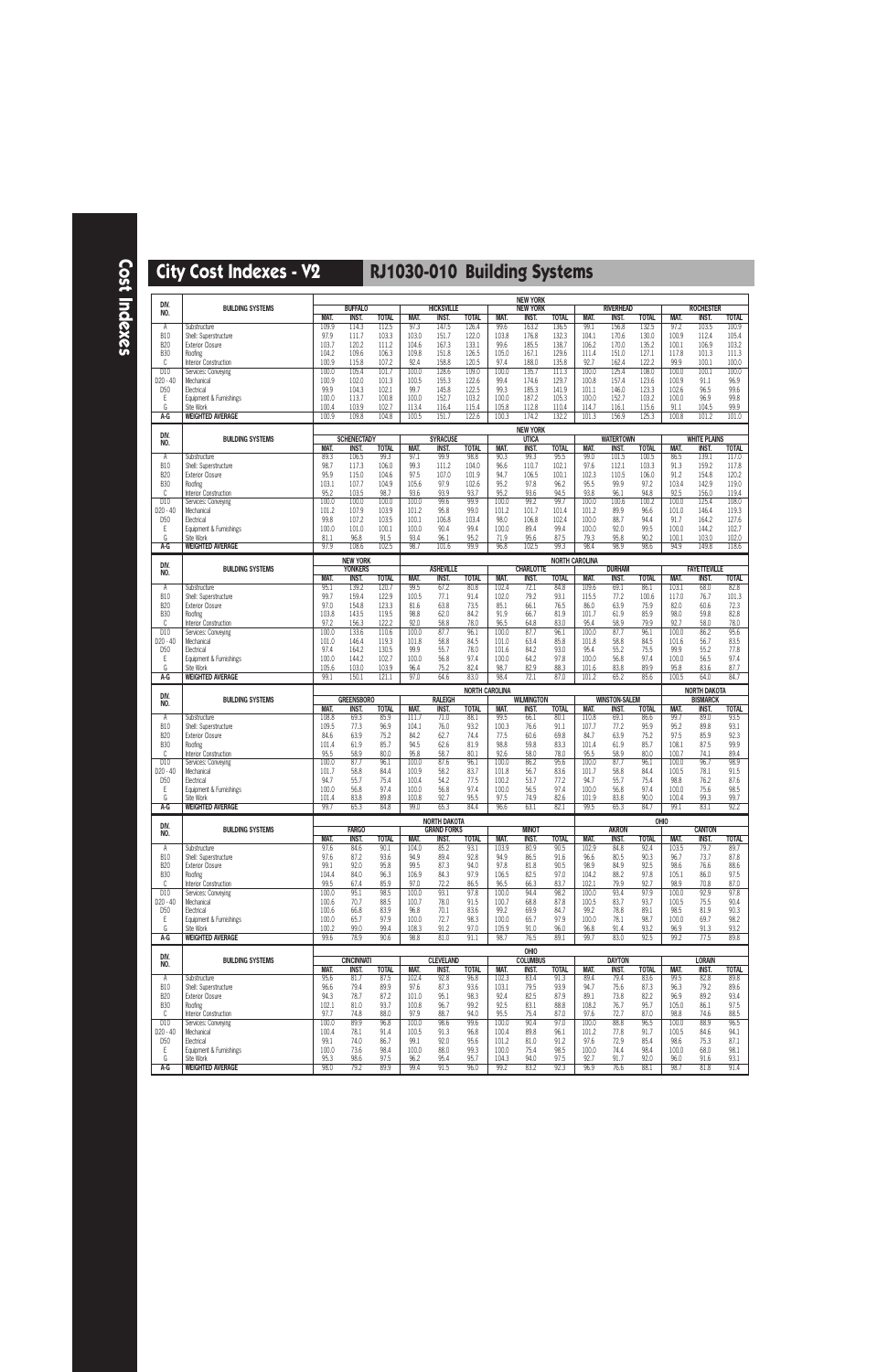| DIV.                     |                                                  |                |                                   |                |                |                                   |                |                       | <b>NEW YORK</b>                   |                |                       |                                  |                |                | <b>ROCHESTER</b>                    |                |
|--------------------------|--------------------------------------------------|----------------|-----------------------------------|----------------|----------------|-----------------------------------|----------------|-----------------------|-----------------------------------|----------------|-----------------------|----------------------------------|----------------|----------------|-------------------------------------|----------------|
| NO.                      | <b>BUILDING SYSTEMS</b>                          | MAT.           | <b>BUFFALO</b><br><b>INST.</b>    | <b>TOTAL</b>   | <b>MAT.</b>    | <b>HICKSVILLE</b><br><b>INST.</b> | <b>TOTAL</b>   | <b>MAT.</b>           | <b>NEW YORK</b><br><b>INST.</b>   | <b>TOTAL</b>   | MAT.                  | <b>RIVERHEAD</b><br><b>INST.</b> | <b>TOTAL</b>   | <b>MAT.</b>    | <b>INST.</b>                        | <b>TOTAL</b>   |
| Α                        | Substructure                                     | 109.9          | 114.3                             | 112.5          | 97.3           | 147.5                             | 126.4          | 99.6                  | 163.2                             | 136.5          | 99.1                  | 156.8                            | 132.5          | 97.2           | 103.5                               | 100.9          |
| <b>B10</b><br><b>B20</b> | Shell: Superstructure<br><b>Exterior Closure</b> | 97.9<br>103.7  | 111.7<br>120.2                    | 103.3<br>111.2 | 103.0<br>104.6 | 151.7<br>167.3                    | 122.0<br>133.1 | 103.8<br>99.6         | 176.8<br>185.5                    | 132.3<br>138.7 | 104.1<br>106.2        | 170.6<br>170.0                   | 130.0<br>135.2 | 100.9<br>100.1 | 112.4<br>106.9                      | 105.4<br>103.2 |
| <b>B30</b>               | Roofing                                          | 104.2          | 109.6                             | 106.3          | 109.8          | 151.8                             | 126.5          | 105.0                 | 167.1                             | 129.6          | 111.4                 | 151.0                            | 127.1          | 117.8          | 101.3                               | 111.3          |
| C<br>D10                 | Interior Construction<br>Services: Conveying     | 100.9<br>100.0 | 115.8<br>105.4                    | 107.2<br>101.7 | 92.4<br>100.0  | 158.8<br>128.6                    | 120.5<br>109.0 | 97.4<br>100.0         | 188.0<br>135.7                    | 135.8<br>111.3 | 92.7<br>100.0         | 162.4<br>125.4                   | 122.2<br>108.0 | 99.9<br>100.0  | 100.1<br>100.1                      | 100.0<br>100.0 |
| D20 - 40                 | Mechanical                                       | 100.9          | 102.0                             | 101.3          | 100.5          | 155.3                             | 122.6          | 99.4                  | 174.6                             | 129.7          | 100.8                 | 157.4                            | 123.6          | 100.9          | 91.1                                | 96.9           |
| D <sub>50</sub><br>Ε     | Electrical<br>Equipment & Furnishings            | 99.9<br>100.0  | 104.3<br>113.7                    | 102.1<br>100.8 | 99.7<br>100.0  | 145.8<br>152.7                    | 122.5<br>103.2 | 99.3<br>100.0         | 185.3<br>187.2                    | 141.9<br>105.3 | 101.1<br>100.0        | 146.0<br>152.7                   | 123.3<br>103.2 | 102.6<br>100.0 | 96.5<br>96.9                        | 99.6<br>99.8   |
| G                        | Site Work                                        | 100.4          | 103.9                             | 102.7          | 113.4          | 116.4                             | 115.4          | 105.8                 | 112.8                             | 110.4          | 114.7                 | 116.1                            | 115.6          | 91.1           | 104.5                               | 99.9           |
| A-G                      | <b>WEIGHTED AVERAGE</b>                          | 100.9          | 109.8                             | 104.8          | 100.5          | 151.7                             | 122.6          | 100.3                 | 174.2                             | 132.2          | 101.3                 | 156.9                            | 125.3          | 100.8          | 101.2                               | 101.0          |
| DIV.                     |                                                  |                | <b>SCHENECTADY</b>                |                |                |                                   |                |                       | <b>NEW YORK</b>                   |                |                       | <b>WATERTOWN</b>                 |                |                | <b>WHITE PLAINS</b>                 |                |
| NO.                      | <b>BUILDING SYSTEMS</b>                          | MAT.           | <b>INST.</b>                      | <b>TOTAL</b>   | MAT.           | <b>SYRACUSE</b><br><b>INST.</b>   | <b>TOTAL</b>   | MAT.                  | <b>UTICA</b><br><b>INST.</b>      | <b>TOTAL</b>   | MAT.                  | <b>INST.</b>                     | <b>TOTAL</b>   | MAT.           | <b>INST.</b>                        | <b>TOTAL</b>   |
| Α                        | Substructure                                     | 89.3           | 106.5                             | 99.3           | 97.1           | 99.9                              | 98.8           | 90.3                  | 99.3                              | 95.5           | 99.0                  | 101.5                            | 100.5          | 86.5           | 139.1                               | 117.0          |
| <b>B10</b><br><b>B20</b> | Shell: Superstructure<br><b>Exterior Closure</b> | 98.7<br>95.9   | 117.3<br>115.0                    | 106.0<br>104.6 | 99.3<br>97.5   | 111.2<br>107.0                    | 104.0<br>101.9 | 96.6<br>94.7          | 110.7<br>106.5                    | 102.1<br>100.1 | 97.6<br>102.3         | 112.1<br>110.5                   | 103.3<br>106.0 | 91.3<br>91.2   | 159.2<br>154.8                      | 117.8<br>120.2 |
| <b>B30</b>               | Roofing                                          | 103.1          | 107.7                             | 104.9          | 105.6          | 97.9                              | 102.6          | 95.2                  | 97.8                              | 96.2           | 95.5                  | 99.9                             | 97.2           | 103.4          | 142.9                               | 119.0          |
| C<br>D10                 | Interior Construction<br>Services: Conveying     | 95.2<br>100.0  | 103.5<br>100.0                    | 98.7<br>100.0  | 93.6<br>100.0  | 93.9<br>99.6                      | 93.7<br>99.9   | 95.2<br>100.0         | 93.6<br>99.2                      | 94.5<br>99.7   | 93.8<br>100.0         | 96.1<br>100.6                    | 94.8<br>100.2  | 92.5<br>100.0  | 156.0<br>125.4                      | 119.4<br>108.0 |
| D20 - 40                 | Mechanical                                       | 101.2          | 107.9                             | 103.9          | 101.2          | 95.8                              | 99.0           | 101.2                 | 101.7                             | 101.4          | 101.2                 | 89.9                             | 96.6           | 101.0          | 146.4                               | 119.3          |
| D <sub>50</sub><br>Ε     | Electrical<br>Equipment & Furnishings            | 99.8<br>100.0  | 107.2<br>101.0                    | 103.5<br>100.1 | 100.1<br>100.0 | 106.8<br>90.4                     | 103.4<br>99.4  | 98.0<br>100.0         | 106.8<br>89.4                     | 102.4<br>99.4  | 100.0<br>100.0        | 88.7<br>92.0                     | 94.4<br>99.5   | 91.7<br>100.0  | 164.2<br>144.2                      | 127.6<br>102.7 |
| G                        | Site Work                                        | 81.1           | 96.8                              | 91.5           | 93.4           | 96.1                              | 95.2           | 71.9                  | 95.6                              | 87.5           | 79.3                  | 95.8                             | 90.2           | 100.1          | 103.0                               | 102.0          |
| $A-G$                    | <b>WEIGHTED AVERAGE</b>                          | 97.9           | 108.6                             | 102.5          | 98.7           | 101.6                             | 99.9           | 96.8                  | 102.5                             | 99.3           | 98.4                  | 98.9                             | 98.6           | 94.9           | 149.8                               | 118.6          |
| DIV.                     |                                                  |                | <b>NEW YORK</b>                   |                |                |                                   |                |                       | <b>CHARLOTTE</b>                  |                | <b>NORTH CAROLINA</b> |                                  |                |                |                                     |                |
| NO.                      | <b>BUILDING SYSTEMS</b>                          | MAT.           | <b>YONKERS</b><br><b>INST.</b>    | <b>TOTAL</b>   | MAT.           | <b>ASHEVILLE</b><br><b>INST.</b>  | <b>TOTAL</b>   | <b>MAT.</b>           | <b>INST.</b>                      | <b>TOTAL</b>   | MAT.                  | <b>DURHAM</b><br><b>INST.</b>    | <b>TOTAL</b>   | <b>MAT.</b>    | <b>FAYETTEVILLE</b><br><b>INST.</b> | <b>TOTAL</b>   |
| Α                        | Substructure                                     | 95.1           | 139.2                             | 120.7          | 99.5           | 67.2                              | 80.8           | 102.4                 | 72.1                              | 84.8           | 109.6                 | 69.1                             | 86.1           | 103.1          | 68.0                                | 82.8           |
| <b>B10</b><br><b>B20</b> | Shell: Superstructure<br><b>Exterior Closure</b> | 99.7<br>97.0   | 159.4<br>154.8                    | 122.9<br>123.3 | 100.5<br>81.6  | 77.1<br>63.8                      | 91.4<br>73.5   | 102.0<br>85.1         | 79.2<br>66.1                      | 93.1<br>76.5   | 115.5<br>86.0         | 77.2<br>63.9                     | 100.6<br>75.9  | 117.0<br>82.0  | 76.7<br>60.6                        | 101.3<br>72.3  |
| <b>B30</b>               | Roofing                                          | 103.8          | 143.5                             | 119.5          | 98.8           | 62.0                              | 84.2           | 91.9                  | 66.7                              | 81.9           | 101.7                 | 61.9                             | 85.9           | 98.0           | 59.8                                | 82.8           |
| C<br>D <sub>10</sub>     | Interior Construction<br>Services: Conveying     | 97.2<br>100.0  | 156.3<br>133.6                    | 122.2<br>110.6 | 92.0<br>100.0  | 58.8<br>87.7                      | 78.0<br>96.1   | 96.5<br>100.0         | 64.8<br>87.7                      | 83.0<br>96.1   | 95.4<br>100.0         | 58.9<br>87.7                     | 79.9<br>96.1   | 92.7<br>100.0  | 58.0<br>86.2                        | 78.0<br>95.6   |
| $D20 - 40$               | Mechanical                                       | 101.0          | 146.4                             | 119.3          | 101.8          | 58.8                              | 84.5           | 101.0                 | 63.4                              | 85.8           | 101.8                 | 58.8                             | 84.5           | 101.6          | 56.7                                | 83.5           |
| D <sub>50</sub>          | Electrical                                       | 97.4<br>100.0  | 164.2<br>144.2                    | 130.5<br>102.7 | 99.9<br>100.0  | 55.7<br>56.8                      | 78.0<br>97.4   | 101.6<br>100.0        | 84.2<br>64.2                      | 93.0<br>97.8   | 95.4<br>100.0         | 55.2<br>56.8                     | 75.5<br>97.4   | 99.9<br>100.0  | 55.2<br>56.5                        | 77.8<br>97.4   |
| Ε<br>G                   | Equipment & Furnishings<br>Site Work             | 105.6          | 103.0                             | 103.9          | 96.4           | 75.2                              | 82.4           | 98.7                  | 82.9                              | 88.3           | 101.6                 | 83.8                             | 89.9           | 95.8           | 83.6                                | 87.7           |
| A-G                      | <b>WEIGHTED AVERAGE</b>                          | 99.1           | 150.1                             | 121.1          | 97.0           | 64.6                              | 83.0           | 98.4                  | 72.1                              | 87.0           | 101.2                 | 65.2                             | 85.6           | 100.5          | 64.0                                | 84.7           |
|                          |                                                  |                |                                   |                |                |                                   |                |                       |                                   |                |                       |                                  |                |                |                                     |                |
| DIV.                     |                                                  |                |                                   |                |                |                                   |                | <b>NORTH CAROLINA</b> |                                   |                |                       |                                  |                |                | <b>NORTH DAKOTA</b>                 |                |
| NO.                      | <b>BUILDING SYSTEMS</b>                          | MAT.           | <b>GREENSBORO</b><br><b>INST.</b> | <b>TOTAL</b>   | <b>MAT.</b>    | <b>RALEIGH</b><br><b>INST.</b>    | <b>TOTAL</b>   | <b>MAT.</b>           | <b>WILMINGTON</b><br><b>INST.</b> | <b>TOTAL</b>   | MAT.                  | <b>WINSTON-SALEM</b><br>INST.    | <b>TOTAL</b>   | <b>MAT.</b>    | <b>BISMARCK</b><br><b>INST.</b>     | <b>TOTAL</b>   |
| Α                        | Substructure                                     | 108.8          | 69.3                              | 85.9           | 111.7          | 71.0                              | 88.1           | 99.5                  | 66.1                              | 80.1           | 110.8                 | 69.1                             | 86.6           | 99.7           | 89.0                                | 93.5           |
| <b>B10</b><br><b>B20</b> | Shell: Superstructure<br><b>Exterior Closure</b> | 109.5<br>84.6  | 77.3<br>63.9                      | 96.9<br>75.2   | 104.1<br>84.2  | 76.0<br>62.7                      | 93.2<br>74.4   | 100.3<br>77.5         | 76.6<br>60.6                      | 91.1<br>69.8   | 107.7<br>84.7         | 77.2<br>63.9                     | 95.9<br>75.2   | 95.2<br>97.5   | 89.8<br>85.9                        | 93.1<br>92.3   |
| <b>B30</b>               | Roofing                                          | 101.4          | 61.9                              | 85.7           | 94.5           | 62.6                              | 81.9           | 98.8                  | 59.8                              | 83.3           | 101.4                 | 61.9                             | 85.7           | 108.1          | 87.5                                | 99.9           |
| C<br>D10                 | Interior Construction<br>Services: Conveying     | 95.5<br>100.0  | 58.9<br>87.7                      | 80.0<br>96.1   | 95.8<br>100.0  | 58.7<br>87.6                      | 80.1<br>96.1   | 92.6<br>100.0         | 58.0<br>86.2                      | 78.0<br>95.6   | 95.5<br>100.0         | 58.9<br>87.7                     | 80.0<br>96.1   | 100.7<br>100.0 | 74.1<br>96.7                        | 89.4<br>98.9   |
| D20 - 40                 | Mechanical                                       | 101.7          | 58.8                              | 84.4           | 100.9          | 58.2                              | 83.7           | 101.8                 | 56.7                              | 83.6           | 101.7                 | 58.8                             | 84.4           | 100.5          | 78.1                                | 91.5           |
| D <sub>50</sub><br>Ε     | Electrical                                       | 94.7           | 55.7                              | 75.4<br>97.4   | 100.4          | 54.2                              | 77.5<br>97.4   | 100.2                 | 53.7                              | 77.2<br>97.4   | 94.7                  | 55.7                             | 75.4<br>97.4   | 98.8           | 76.2                                | 87.6           |
| G                        | Equipment & Furnishings<br>Site Work             | 100.0<br>101.4 | 56.8<br>83.8                      | 89.8           | 100.0<br>100.8 | 56.8<br>92.7                      | 95.5           | 100.0<br>97.5         | 56.5<br>74.9                      | 82.6           | 100.0<br>101.9        | 56.8<br>83.8                     | 90.0           | 100.0<br>100.4 | 75.6<br>99.3                        | 98.5<br>99.7   |
| $A-G$                    | <b>WEIGHTED AVERAGE</b>                          | 99.7           | 65.3                              | 84.8           | 99.0           | 65.3                              | 84.4           | 96.6                  | 63.1                              | 82.1           | 99.5                  | 65.3                             | 84.7           | 99.1           | 83.1                                | 92.2           |
| DIV.                     |                                                  |                |                                   |                |                | <b>NORTH DAKOTA</b>               |                |                       |                                   |                |                       |                                  |                | OHIO           |                                     |                |
| NO.                      | <b>BUILDING SYSTEMS</b>                          | MAT.           | <b>FARGO</b><br>INST.             | <b>TOTAL</b>   | MAT.           | <b>GRAND FORKS</b><br>INST.       | <b>TOTAL</b>   | MAT.                  | <b>MINOT</b><br><b>INST.</b>      | <b>TOTAL</b>   | MAT.                  | <b>AKRON</b><br>INST.            | <b>TOTAL</b>   | MAT.           | <b>CANTON</b><br>INST.              | <b>TOTAL</b>   |
| A                        | Substructure                                     | 97.6           | 84.6                              | 90.1           | 104.0          | 85.2                              | 93.1           | 103.9                 | 80.9                              | 90.5           | 102.9                 | 84.8                             | 92.4           | 103.5          | 79.7                                | 89.7           |
| <b>B10</b><br><b>B20</b> | Shell: Superstructure<br><b>Exterior Closure</b> | 97.6<br>99.1   | 87.2<br>92.0                      | 93.6<br>95.8   | 94.9<br>99.5   | 89.4<br>87.3                      | 92.8<br>94.0   | 94.9<br>97.8          | 86.5<br>81.8                      | 91.6<br>90.5   | 96.6<br>98.9          | 80.5<br>84.9                     | 90.3<br>92.5   | 96.7<br>98.6   | 73.7<br>76.6                        | 87.8<br>88.6   |
| <b>B30</b>               | Roofing                                          | 104.4          | 84.0                              | 96.3           | 106.9          | 84.3                              | 97.9           | 106.5                 | 82.5                              | 97.0           | 104.2                 | 88.2                             | 97.8           | 105.1          | 86.0                                | 97.5           |
| C<br>D10                 | Interior Construction<br>Services: Conveying     | 99.5<br>100.0  | 67.4<br>95.1                      | 85.9<br>98.5   | 97.0<br>100.0  | 72.2<br>93.1                      | 86.5<br>97.8   | 96.5<br>100.0         | 66.3<br>94.4                      | 83.7<br>98.2   | 102.1<br>100.0        | 79.9<br>93.4                     | 92.7<br>97.9   | 98.9<br>100.0  | 70.8<br>92.9                        | 87.0<br>97.8   |
| D20 - 40                 | Mechanical                                       | 100.6          | 70.7                              | 88.5           | 100.7          | 78.0                              | 91.5           | 100.7                 | 68.8                              | 87.8           | 100.5                 | 83.7                             | 93.7           | 100.5          | 75.5                                | 90.4           |
| D <sub>50</sub><br>Ε     | Electrical<br>Equipment & Furnishings            | 100.6<br>100.0 | 66.8<br>65.7                      | 83.9<br>97.9   | 96.8<br>100.0  | 70.1<br>72.7                      | 83.6<br>98.3   | 99.2<br>100.0         | 69.9<br>65.7                      | 84.7<br>97.9   | 99.2<br>100.0         | 78.8<br>78.1                     | 89.1<br>98.7   | 98.5<br>100.0  | 81.9<br>69.7                        | 90.3<br>98.2   |
| G                        | Site Work                                        | 100.2          | 99.0                              | 99.4           | 108.3          | 91.2                              | 97.0           | 105.9                 | 91.0                              | 96.0           | 96.8                  | 91.4                             | 93.2           | 96.9           | 91.3                                | 93.2           |
| A-G                      | <b>WEIGHTED AVERAGE</b>                          | 99.6           | 78.9                              | 90.6           | 98.8           | 81.0                              | 91.1           | 98.7                  | 76.5                              | 89.1           | 99.7                  | 83.0                             | 92.5           | 99.2           | 77.5                                | 89.8           |
| DIV.                     | <b>BUILDING SYSTEMS</b>                          |                | <b>CINCINNATI</b>                 |                |                | <b>CLEVELAND</b>                  |                |                       | OHIO<br><b>COLUMBUS</b>           |                |                       | <b>DAYTON</b>                    |                |                | <b>LORAIN</b>                       |                |
| NO.                      |                                                  | MAT.           | INST.                             | <b>TOTAL</b>   | MAT.           | INST.                             | <b>TOTAL</b>   | MAT.                  | <b>INST.</b>                      | <b>TOTAL</b>   | MAT.                  | INST.                            | <b>TOTAL</b>   | MAT.           | <b>INST.</b>                        | <b>TOTAL</b>   |
| Α<br><b>B10</b>          | Substructure                                     | 95.6<br>96.6   | 81.7<br>79.4                      | 87.5<br>89.9   | 102.4<br>97.6  | 92.8<br>87.3                      | 96.8<br>93.6   | 102.3<br>103.1        | 83.4<br>79.5                      | 91.3<br>93.9   | 89.4<br>94.7          | 79.4<br>75.6                     | 83.6<br>87.3   | 99.5<br>96.3   | 82.8<br>79.2                        | 89.8<br>89.6   |
| <b>B20</b>               | Shell: Superstructure<br><b>Exterior Closure</b> | 94.3           | 78.7                              | 87.2           | 101.0          | 95.1                              | 98.3           | 92.4                  | 82.5                              | 87.9           | 89.1                  | 73.8                             | 82.2           | 96.9           | 89.2                                | 93.4           |
| <b>B30</b>               | Roofing                                          | 102.1          | 81.0                              | 93.7           | 100.8          | 96.7                              | 99.2           | 92.5                  | 83.1                              | 88.8           | 108.2                 | 76.7                             | 95.7           | 105.0          | 86.1                                | 97.5           |
| C<br>D10                 | Interior Construction<br>Services: Conveying     | 97.7<br>100.0  | 74.8<br>89.9                      | 88.0<br>96.8   | 97.9<br>100.0  | 88.7<br>98.6                      | 94.0<br>99.6   | 95.5<br>100.0         | 75.4<br>90.4                      | 87.0<br>97.0   | 97.6<br>100.0         | 72.7<br>88.8                     | 87.0<br>96.5   | 98.8<br>100.0  | 74.6<br>88.9                        | 88.5<br>96.5   |
| D20 - 40                 | Mechanical                                       | 100.4          | 78.1                              | 91.4           | 100.5          | 91.3                              | 96.8           | 100.4                 | 89.8                              | 96.1           | 101.2                 | 77.8                             | 91.7           | 100.5          | 84.6                                | 94.1           |
| D <sub>50</sub><br>E     | Electrical<br>Equipment & Furnishings            | 99.1<br>100.0  | 74.0<br>73.6                      | 86.7<br>98.4   | 99.1<br>100.0  | 92.0<br>88.0                      | 95.6<br>99.3   | 101.2<br>100.0        | 81.0<br>75.4                      | 91.2<br>98.5   | 97.6<br>100.0         | 72.9<br>74.4                     | 85.4<br>98.4   | 98.6<br>100.0  | 75.3<br>68.0                        | 87.1<br>98.1   |
| G<br>A-G                 | Site Work<br><b>WEIGHTED AVERAGE</b>             | 95.3<br>98.0   | 98.6<br>79.2                      | 97.5<br>89.9   | 96.2<br>99.4   | 95.4<br>91.5                      | 95.7<br>96.0   | 104.3<br>99.2         | 94.0<br>83.2                      | 97.5<br>92.3   | 92.7<br>96.9          | 91.7<br>76.6                     | 92.0<br>88.1   | 96.0<br>98.7   | 91.6<br>81.8                        | 93.1<br>91.4   |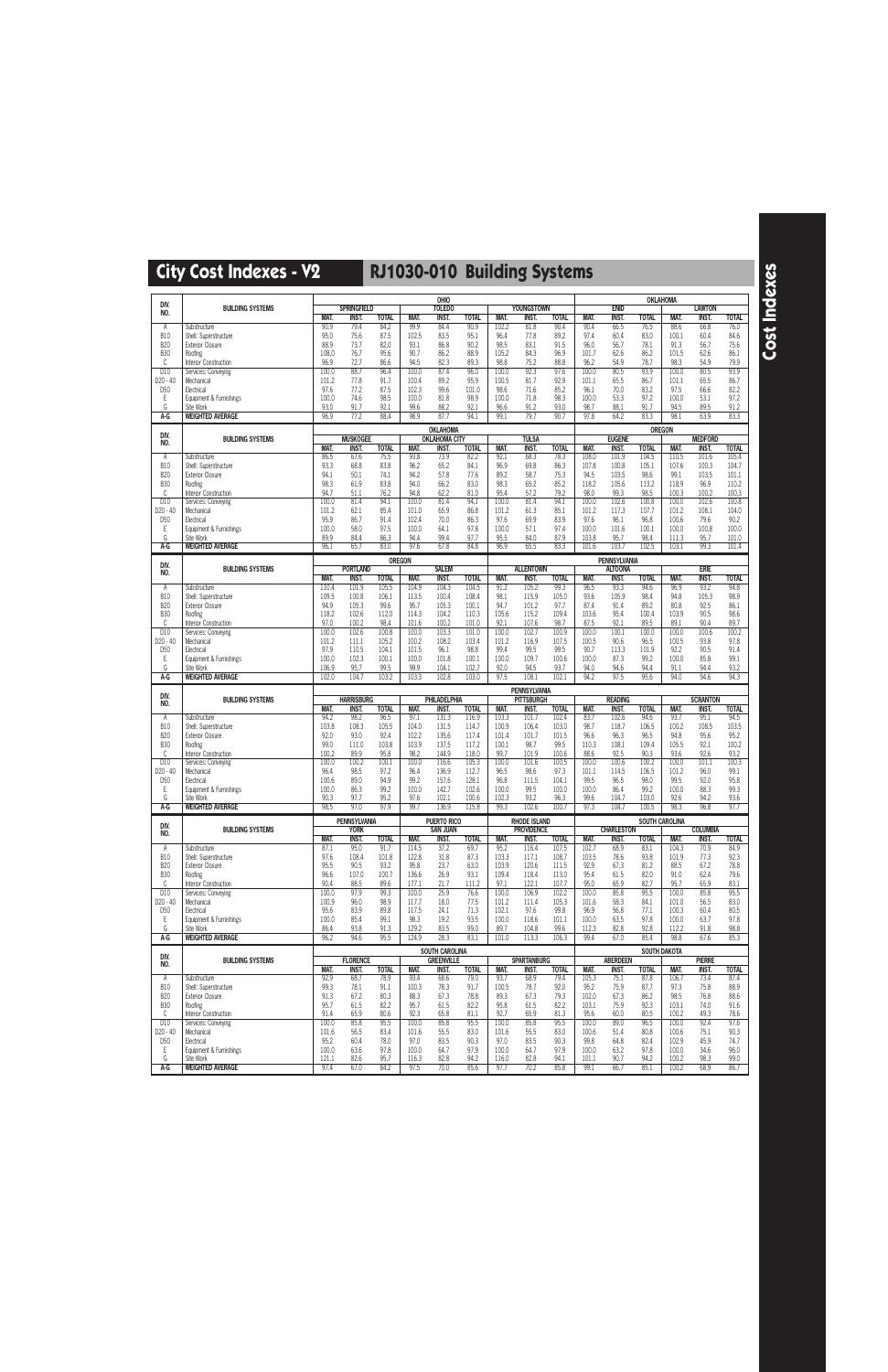|                             |                                                  |                     |                                    |                      |                | OHIO                                  |                       |                |                                          |                      |                |                               | <b>OKLAHOMA</b>      |                |                                |                      |
|-----------------------------|--------------------------------------------------|---------------------|------------------------------------|----------------------|----------------|---------------------------------------|-----------------------|----------------|------------------------------------------|----------------------|----------------|-------------------------------|----------------------|----------------|--------------------------------|----------------------|
| DIV.<br>NO.                 | <b>BUILDING SYSTEMS</b>                          |                     | <b>SPRINGFIELD</b>                 |                      |                | <b>TOLEDO</b>                         |                       |                | <b>YOUNGSTOWN</b>                        |                      |                | <b>ENID</b>                   |                      |                | <b>LAWTON</b>                  |                      |
|                             | Substructure                                     | <b>MAT.</b><br>90.9 | INST.<br>79.4                      | <b>TOTAL</b><br>84.2 | MAT.<br>99.9   | <b>INST.</b><br>84.4                  | <b>TOTAL</b><br>90.9  | MAT.<br>102.2  | <b>INST.</b><br>81.8                     | <b>TOTAL</b><br>90.4 | MAT.<br>90.4   | <b>INST.</b><br>66.5          | <b>TOTAL</b><br>76.5 | MAT.<br>88.6   | <b>INST.</b><br>66.8           | <b>TOTAL</b><br>76.0 |
| Α<br><b>B10</b>             | Shell: Superstructure                            | 95.0                | 75.6                               | 87.5                 | 102.5          | 83.5                                  | 95.1                  | 96.4           | 77.8                                     | 89.2                 | 97.4           | 60.4                          | 83.0                 | 100.1          | 60.4                           | 84.6                 |
| <b>B20</b>                  | <b>Exterior Closure</b>                          | 88.9                | 73.7                               | 82.0                 | 93.1           | 86.8                                  | 90.2                  | 98.5           | 83.1                                     | 91.5                 | 96.0           | 56.7                          | 78.1                 | 91.3           | 56.7                           | 75.6                 |
| <b>B30</b><br>C             | Roofing<br>Interior Construction                 | 108.0<br>96.9       | 76.7<br>72.7                       | 95.6<br>86.6         | 90.7<br>94.5   | 86.2<br>82.3                          | 88.9<br>89.3          | 105.2<br>98.8  | 84.3<br>75.2                             | 96.9<br>88.8         | 101.7<br>96.2  | 62.6<br>54.9                  | 86.2<br>78.7         | 101.5<br>98.3  | 62.6<br>54.9                   | 86.1<br>79.9         |
| D10                         | Services: Conveying                              | 100.0               | 88.7                               | 96.4                 | 100.0          | 87.4                                  | 96.0                  | 100.0          | 92.3                                     | 97.6                 | 100.0          | 80.5                          | 93.9                 | 100.0          | 80.5                           | 93.9                 |
| D20 - 40                    | Mechanical                                       | 101.2               | 77.8                               | 91.7                 | 100.4          | 89.2                                  | 95.9                  | 100.5          | 81.7                                     | 92.9                 | 101.1          | 65.5                          | 86.7                 | 101.1          | 65.5                           | 86.7                 |
| D <sub>50</sub><br>Ε        | Electrical<br>Equipment & Furnishings            | 97.6<br>100.0       | 77.2<br>74.6                       | 87.5<br>98.5         | 102.3<br>100.0 | 99.6<br>81.8                          | 101.0<br>98.9         | 98.6<br>100.0  | 71.6<br>71.8                             | 85.2<br>98.3         | 96.1<br>100.0  | 70.0<br>53.3                  | 83.2<br>97.2         | 97.5<br>100.0  | 66.6<br>53.1                   | 82.2<br>97.2         |
| G                           | Site Work                                        | 93.0                | 91.7                               | 92.1                 | 99.6           | 88.2                                  | 92.1                  | 96.6           | 91.2                                     | 93.0                 | 98.7           | 88.1                          | 91.7                 | 94.5           | 89.5                           | 91.2                 |
| A-G                         | <b>WEIGHTED AVERAGE</b>                          | 96.9                | 77.2                               | 88.4                 | 98.9           | 87.7                                  | 94.1                  | 99.1           | 79.7                                     | 90.7                 | 97.8           | 64.2                          | 83.3                 | 98.1           | 63.9                           | 83.3                 |
| DIV.                        |                                                  |                     |                                    |                      |                | <b>OKLAHOMA</b>                       |                       |                |                                          |                      |                |                               | <b>OREGON</b>        |                |                                |                      |
| NO.                         | <b>BUILDING SYSTEMS</b>                          | MAT.                | <b>MUSKOGEE</b><br><b>INST.</b>    | <b>TOTAL</b>         | MAT.           | <b>OKLAHOMA CITY</b><br><b>INST.</b>  | <b>TOTAL</b>          | MAT.           | <b>TULSA</b><br><b>INST.</b>             | <b>TOTAL</b>         | <b>MAT.</b>    | <b>EUGENE</b><br><b>INST.</b> | <b>TOTAL</b>         | MAT.           | <b>MEDFORD</b><br><b>INST.</b> | <b>TOTAL</b>         |
| Α                           | Substructure                                     | 86.5                | 67.6                               | 75.5                 | 93.8           | 73.9                                  | 82.2                  | 92.1           | 68.3                                     | 78.3                 | 108.0          | 101.9                         | 104.5                | 110.5          | 101.6                          | 105.4                |
| <b>B10</b>                  | Shell: Superstructure                            | 93.3                | 68.8                               | 83.8                 | 96.2           | 65.2                                  | 84.1                  | 96.9           | 69.8                                     | 86.3                 | 107.8          | 100.8                         | 105.1                | 107.6          | 100.3                          | 104.7                |
| <b>B20</b><br><b>B30</b>    | <b>Exterior Closure</b><br>Roofing               | 94.1<br>98.3        | 50.1<br>61.9                       | 74.1<br>83.8         | 94.2<br>94.0   | 57.8<br>66.2                          | 77.6<br>83.0          | 89.2<br>98.3   | 58.7<br>65.2                             | 75.3<br>85.2         | 94.5<br>118.2  | 103.5<br>105.6                | 98.6<br>113.2        | 99.1<br>118.9  | 103.5<br>96.9                  | 101.1<br>110.2       |
| C                           | Interior Construction                            | 94.7                | 51.1                               | 76.2                 | 94.8           | 62.2                                  | 81.0                  | 95.4           | 57.2                                     | 79.2                 | 98.0           | 99.3                          | 98.5                 | 100.3          | 100.2                          | 100.3                |
| D10<br>D20 - 40             | Services: Conveying<br>Mechanical                | 100.0<br>101.2      | 81.4<br>62.1                       | 94.1<br>85.4         | 100.0<br>101.0 | 81.4<br>65.9                          | 94.1<br>86.8          | 100.0<br>101.2 | 81.4<br>61.3                             | 94.1<br>85.1         | 100.0<br>101.2 | 102.6<br>117.3                | 100.8<br>107.7       | 100.0<br>101.2 | 102.6<br>108.1                 | 100.8<br>104.0       |
| D <sub>50</sub>             | Electrical                                       | 95.9                | 86.7                               | 91.4                 | 102.4          | 70.0                                  | 86.3                  | 97.6           | 69.9                                     | 83.9                 | 97.6           | 96.1                          | 96.8                 | 100.6          | 79.6                           | 90.2                 |
| Ε                           | Equipment & Furnishings                          | 100.0               | 58.0                               | 97.5                 | 100.0          | 64.1                                  | 97.8                  | 100.0          | 57.1                                     | 97.4                 | 100.0          | 101.6                         | 100.1                | 100.0          | 100.8                          | 100.0                |
| G<br>A-G                    | Site Work<br><b>WEIGHTED AVERAGE</b>             | 89.9<br>96.1        | 84.4<br>65.7                       | 86.3<br>83.0         | 94.4<br>97.6   | 99.4<br>67.8                          | 97.7<br>84.8          | 95.5<br>96.9   | 84.0<br>65.5                             | 87.9<br>83.3         | 103.8<br>101.6 | 95.7<br>103.7                 | 98.4<br>102.5        | 111.3<br>103.1 | 95.7<br>99.3                   | 101.0<br>101.4       |
|                             |                                                  |                     |                                    |                      | <b>OREGON</b>  |                                       |                       |                |                                          |                      |                | <b>PENNSYLVANIA</b>           |                      |                |                                |                      |
| DIV.<br>NO.                 | <b>BUILDING SYSTEMS</b>                          |                     | <b>PORTLAND</b>                    |                      |                | <b>SALEM</b>                          |                       |                | <b>ALLENTOWN</b>                         |                      |                | <b>ALTOONA</b>                |                      |                | <b>ERIE</b>                    |                      |
|                             |                                                  | MAT.                | INST.                              | <b>TOTAL</b>         | MAT.           | <b>INST.</b>                          | <b>TOTAL</b>          | MAT.           | <b>INST.</b>                             | <b>TOTAL</b>         | MAT.           | <b>INST.</b>                  | <b>TOTAL</b>         | MAT.           | <b>INST.</b>                   | <b>TOTAL</b>         |
| Α<br><b>B10</b>             | Substructure<br>Shell: Superstructure            | 110.4<br>109.5      | 101.9<br>100.8                     | 105.5<br>106.1       | 104.9<br>113.5 | 104.3<br>100.4                        | 104.5<br>108.4        | 91.2<br>98.1   | 105.2<br>115.9                           | 99.3<br>105.0        | 96.5<br>93.6   | 93.3<br>105.9                 | 94.6<br>98.4         | 96.9<br>94.8   | 93.2<br>105.3                  | 94.8<br>98.9         |
| <b>B20</b>                  | <b>Exterior Closure</b>                          | 94.9                | 105.3                              | 99.6                 | 95.7           | 105.3                                 | 100.1                 | 94.7           | 101.2                                    | 97.7                 | 87.4           | 91.4                          | 89.2                 | 80.8           | 92.5                           | 86.1                 |
| <b>B30</b><br>C             | Roofing                                          | 118.2<br>97.0       | 102.6<br>100.2                     | 112.0<br>98.4        | 114.3<br>101.6 | 104.2<br>100.2                        | 110.3<br>101.0        | 105.6<br>92.1  | 115.2<br>107.6                           | 109.4<br>98.7        | 103.6<br>87.5  | 95.4<br>92.1                  | 100.4<br>89.5        | 103.9<br>89.1  | 90.5<br>90.4                   | 98.6<br>89.7         |
| D10                         | Interior Construction<br>Services: Conveying     | 100.0               | 102.6                              | 100.8                | 100.0          | 103.3                                 | 101.0                 | 100.0          | 102.7                                    | 100.9                | 100.0          | 100.1                         | 100.0                | 100.0          | 100.6                          | 100.2                |
| D20 - 40                    | Mechanical                                       | 101.2               | 111.1                              | 105.2                | 100.2          | 108.2                                 | 103.4                 | 101.2          | 116.9                                    | 107.5                | 100.5          | 90.6                          | 96.5                 | 100.5          | 93.8                           | 97.8                 |
| D <sub>50</sub><br>Ε        | Electrical                                       | 97.9<br>100.0       | 110.5<br>102.3                     | 104.1<br>100.1       | 101.5<br>100.0 | 96.1<br>101.8                         | 98.8<br>100.1         | 99.4<br>100.0  | 99.5<br>109.7                            | 99.5<br>100.6        | 90.7<br>100.0  | 113.3<br>87.3                 | 101.9<br>99.2        | 92.2<br>100.0  | 90.5<br>85.8                   | 91.4<br>99.1         |
| G                           | Equipment & Furnishings<br>Site Work             | 106.9               | 95.7                               | 99.5                 | 99.9           | 104.1                                 | 102.7                 | 92.0           | 94.5                                     | 93.7                 | 94.0           | 94.6                          | 94.4                 | 91.1           | 94.4                           | 93.2                 |
| $A-G$                       | <b>WEIGHTED AVERAGE</b>                          | 102.0               | 104.7                              | 103.2                | 103.3          | 102.8                                 | 103.0                 | 97.5           | 108.1                                    | 102.1                | 94.2           | 97.5                          | 95.6                 | 94.0           | 94.6                           | 94.3                 |
|                             |                                                  |                     |                                    |                      |                |                                       |                       |                |                                          |                      |                |                               |                      |                |                                |                      |
| DIV.                        |                                                  |                     |                                    |                      |                |                                       |                       |                | <b>PENNSYLVANIA</b>                      |                      |                |                               |                      |                |                                |                      |
| NO.                         | <b>BUILDING SYSTEMS</b>                          |                     | <b>HARRISBURG</b>                  |                      |                | <b>PHILADELPHIA</b>                   |                       |                | <b>PITTSBURGH</b>                        |                      |                | <b>READING</b>                |                      |                | <b>SCRANTON</b>                |                      |
| Α                           | Substructure                                     | MAT.<br>94.2        | <b>INST.</b><br>98.2               | <b>TOTAL</b><br>96.5 | MAT.<br>97.1   | <b>INST.</b><br>131.3                 | <b>TOTAL</b><br>116.9 | MAT.<br>103.3  | <b>INST.</b><br>101.7                    | TOTAL<br>102.4       | MAT.<br>83.7   | <b>INST.</b><br>102.6         | <b>TOTAL</b><br>94.6 | MAT.<br>93.7   | <b>INST.</b><br>95.1           | <b>TOTAL</b><br>94.5 |
| <b>B10</b>                  | Shell: Superstructure                            | 103.8               | 108.3                              | 105.5                | 104.0          | 131.5                                 | 114.7                 | 100.9          | 106.4                                    | 103.0                | 98.7           | 118.7                         | 106.5                | 100.2          | 108.5                          | 103.5                |
| <b>B20</b><br><b>B30</b>    | <b>Exterior Closure</b><br>Roofing               | 92.0<br>99.0        | 93.0<br>111.0                      | 92.4<br>103.8        | 102.2<br>103.9 | 135.6<br>137.5                        | 117.4<br>117.2        | 101.4<br>100.1 | 101.7<br>98.7                            | 101.5<br>99.5        | 96.6<br>110.3  | 96.3<br>108.1                 | 96.5<br>109.4        | 94.8<br>105.5  | 95.6<br>92.1                   | 95.2<br>100.2        |
| C                           | Interior Construction                            | 100.2               | 89.9                               | 95.8                 | 98.2           | 144.9                                 | 118.0                 | 99.7           | 101.9                                    | 100.6                | 88.6           | 92.5                          | 90.3                 | 93.6           | 92.6                           | 93.2                 |
| D10                         | Services: Conveying                              | 100.0               | 100.2                              | 100.1                | 100.0          | 116.6                                 | 105.3                 | 100.0          | 101.6                                    | 100.5                | 100.0          | 100.6                         | 100.2                | 100.0          | 101.1                          | 100.3                |
| D20 - 40<br>D <sub>50</sub> | Mechanical<br>Electrical                         | 96.4<br>100.6       | 98.5<br>89.0                       | 97.2<br>94.9         | 96.4<br>99.2   | 136.9<br>157.6                        | 112.7<br>128.1        | 96.5<br>96.8   | 98.6<br>111.5                            | 97.3<br>104.1        | 101.1<br>99.5  | 114.5<br>96.5                 | 106.5<br>98.0        | 101.2<br>99.5  | 96.0<br>92.0                   | 99.1<br>95.8         |
| Ε                           | Equipment & Furnishings                          | 100.0               | 86.3                               | 99.2                 | 100.0          | 142.7                                 | 102.6                 | 100.0          | 99.5                                     | 100.0                | 100.0          | 86.4                          | 99.2                 | 100.0          | 88.3                           | 99.3                 |
| G                           | Site Work                                        | 90.3                | 97.7                               | 95.2                 | 97.6           | 102.1                                 | 100.6                 | 102.3          | 93.2                                     | 96.3                 | 99.6           | 104.7                         | 103.0                | 92.6           | 94.2                           | 93.6                 |
| A-G                         | <b>WEIGHTED AVERAGE</b>                          | 98.5                | 97.0                               | 97.9                 | 99.7           | 136.9                                 | 115.8                 | 99.3           | 102.6                                    | 100.7                | 97.3           | 104.7                         | 100.5                | 98.3           | 96.8                           | 97.7                 |
| DIV.                        | <b>BUILDING SYSTEMS</b>                          |                     | <b>PENNSYLVANIA</b><br><b>YORK</b> |                      |                | <b>PUERTO RICO</b><br><b>SAN JUAN</b> |                       |                | <b>RHODE ISLAND</b><br><b>PROVIDENCE</b> |                      |                | <b>CHARLESTON</b>             | SOUTH CAROLINA       |                | <b>COLUMBIA</b>                |                      |
| NO.                         |                                                  | MAT.                | <b>INST.</b>                       | <b>TOTAL</b>         | MAT.           | INST.                                 | <b>TOTAL</b>          | MAT.           | INST.                                    | <b>TOTAL</b>         | MAT.           | INST.                         | <b>TOTAL</b>         | MAT.           | <b>INST.</b>                   | <b>TOTAL</b>         |
| Α<br><b>B10</b>             | Substructure<br>Shell: Superstructure            | 87.1<br>97.6        | 95.0<br>108.4                      | 91.7<br>101.8        | 114.5<br>122.8 | 37.2<br>31.8                          | 69.7<br>87.3          | 95.2<br>103.3  | 116.4<br>117.1                           | 107.5<br>108.7       | 102.7<br>103.5 | 68.9<br>78.6                  | 83.1<br>93.8         | 104.3<br>101.9 | 70.9<br>77.3                   | 84.9<br>92.3         |
| <b>B20</b>                  | <b>Exterior Closure</b>                          | 95.5                | 90.5                               | 93.2                 | 95.8           | 23.7                                  | 63.0                  | 103.9          | 120.6                                    | 111.5                | 92.9           | 67.3                          | 81.2                 | 88.5           | 67.2                           | 78.8                 |
| <b>B30</b>                  | Roofing                                          | 96.6                | 107.0                              | 100.7                | 136.6          | 26.9                                  | 93.1                  | 109.4          | 118.4                                    | 113.0                | 95.4           | 61.5                          | 82.0                 | 91.0           | 62.4                           | 79.6                 |
| C<br>D <sub>10</sub>        | Interior Construction<br>Services: Conveying     | 90.4<br>100.0       | 88.5<br>97.9                       | 89.6<br>99.3         | 177.1<br>100.0 | 21.7<br>25.9                          | 111.2<br>76.6         | 97.1<br>100.0  | 122.1<br>106.9                           | 107.7<br>102.2       | 95.0<br>100.0  | 65.9<br>85.8                  | 82.7<br>95.5         | 95.7<br>100.0  | 65.9<br>85.8                   | 83.1<br>95.5         |
| $D20 - 40$                  | Mechanical                                       | 100.9               | 96.0                               | 98.9                 | 117.7          | 18.0                                  | 77.5                  | 101.2          | 111.4                                    | 105.3                | 101.6          | 58.3                          | 84.1                 | 101.0          | 56.5                           | 83.0                 |
| D <sub>50</sub><br>Ε        | Electrical<br>Equipment & Furnishings            | 95.6<br>100.0       | 83.9<br>85.4                       | 89.8<br>99.1         | 117.5<br>98.3  | 24.1<br>19.2                          | 71.3<br>93.5          | 102.1<br>100.0 | 97.6<br>118.6                            | 99.8<br>101.1        | 96.9<br>100.0  | 56.8<br>63.5                  | 77.1<br>97.8         | 100.3<br>100.0 | 60.4<br>63.7                   | 80.5<br>97.8         |
| G                           | Site Work                                        | 86.4                | 93.8                               | 91.3                 | 129.2          | 83.5                                  | 99.0                  | 89.7           | 104.8                                    | 99.6                 | 112.3          | 82.8                          | 92.8                 | 112.2          | 91.8                           | 98.8                 |
| A-G                         | <b>WEIGHTED AVERAGE</b>                          | 96.2                | 94.6                               | 95.5                 | 124.9          | 28.3                                  | 83.1                  | 101.0          | 113.3                                    | 106.3                | 99.4           | 67.0                          | 85.4                 | 98.8           | 67.6                           | 85.3                 |
| DIV.                        |                                                  |                     |                                    |                      |                | <b>SOUTH CAROLINA</b>                 |                       |                |                                          |                      |                |                               | SOUTH DAKOTA         |                |                                |                      |
| NO.                         | <b>BUILDING SYSTEMS</b>                          | MAT.                | <b>FLORENCE</b><br>INST.           | <b>TOTAL</b>         | MAT.           | <b>GREENVILLE</b><br>INST.            | <b>TOTAL</b>          | MAT.           | <b>SPARTANBURG</b><br>INST.              | <b>TOTAL</b>         | MAT.           | <b>ABERDEEN</b><br>INST.      | <b>TOTAL</b>         | MAT.           | <b>PIERRE</b><br><b>INST.</b>  | <b>TOTAL</b>         |
| Α                           | Substructure                                     | 92.9                | 68.7                               | 78.9                 | 93.4           | 68.6                                  | 79.0                  | 93.7           | 68.9                                     | 79.4                 | 105.3          | 75.1                          | 87.8                 | 106.7          | 73.4                           | 87.4                 |
| <b>B10</b><br><b>B20</b>    | Shell: Superstructure<br><b>Exterior Closure</b> | 99.3<br>91.3        | 78.1<br>67.2                       | 91.1<br>80.3         | 100.3<br>88.3  | 78.3<br>67.3                          | 91.7<br>78.8          | 100.5<br>89.3  | 78.7<br>67.3                             | 92.0<br>79.3         | 95.2<br>102.0  | 75.9<br>67.3                  | 87.7<br>86.2         | 97.3<br>98.5   | 75.8<br>76.8                   | 88.9<br>88.6         |
| <b>B30</b>                  | Roofing                                          | 95.7                | 61.5                               | 82.2                 | 95.7           | 61.5                                  | 82.2                  | 95.8           | 61.5                                     | 82.2                 | 103.1          | 75.9                          | 92.3                 | 103.1          | 74.0                           | 91.6                 |
| C                           | Interior Construction                            | 91.4                | 65.9                               | 80.6                 | 92.3           | 65.8                                  | 81.1                  | 92.7           | 65.9                                     | 81.3                 | 95.6           | 60.0                          | 80.5                 | 100.2          | 49.3                           | 78.6                 |
| D10<br>D20 - 40             | Services: Conveying<br>Mechanical                | 100.0<br>101.6      | 85.8<br>56.5                       | 95.5<br>83.4         | 100.0<br>101.6 | 85.8<br>55.5                          | 95.5<br>83.0          | 100.0<br>101.6 | 85.8<br>55.5                             | 95.5<br>83.0         | 100.0<br>100.6 | 89.0<br>51.4                  | 96.5<br>80.8         | 100.0<br>100.6 | 92.4<br>75.1                   | 97.6<br>90.3         |
| D <sub>50</sub>             | Electrical                                       | 95.2                | 60.4                               | 78.0                 | 97.0           | 83.5                                  | 90.3                  | 97.0           | 83.5                                     | 90.3                 | 99.8           | 64.8                          | 82.4                 | 102.9          | 45.9                           | 74.7                 |
| Ε<br>G                      | Equipment & Furnishings<br>Site Work             | 100.0<br>121.1      | 63.6<br>82.6                       | 97.8<br>95.7         | 100.0<br>116.3 | 64.7<br>82.8                          | 97.9<br>94.2          | 100.0<br>116.0 | 64.7<br>82.8                             | 97.9<br>94.1         | 100.0<br>101.1 | 63.2<br>90.7                  | 97.8<br>94.2         | 100.0<br>100.2 | 34.6<br>98.3                   | 96.0<br>99.0         |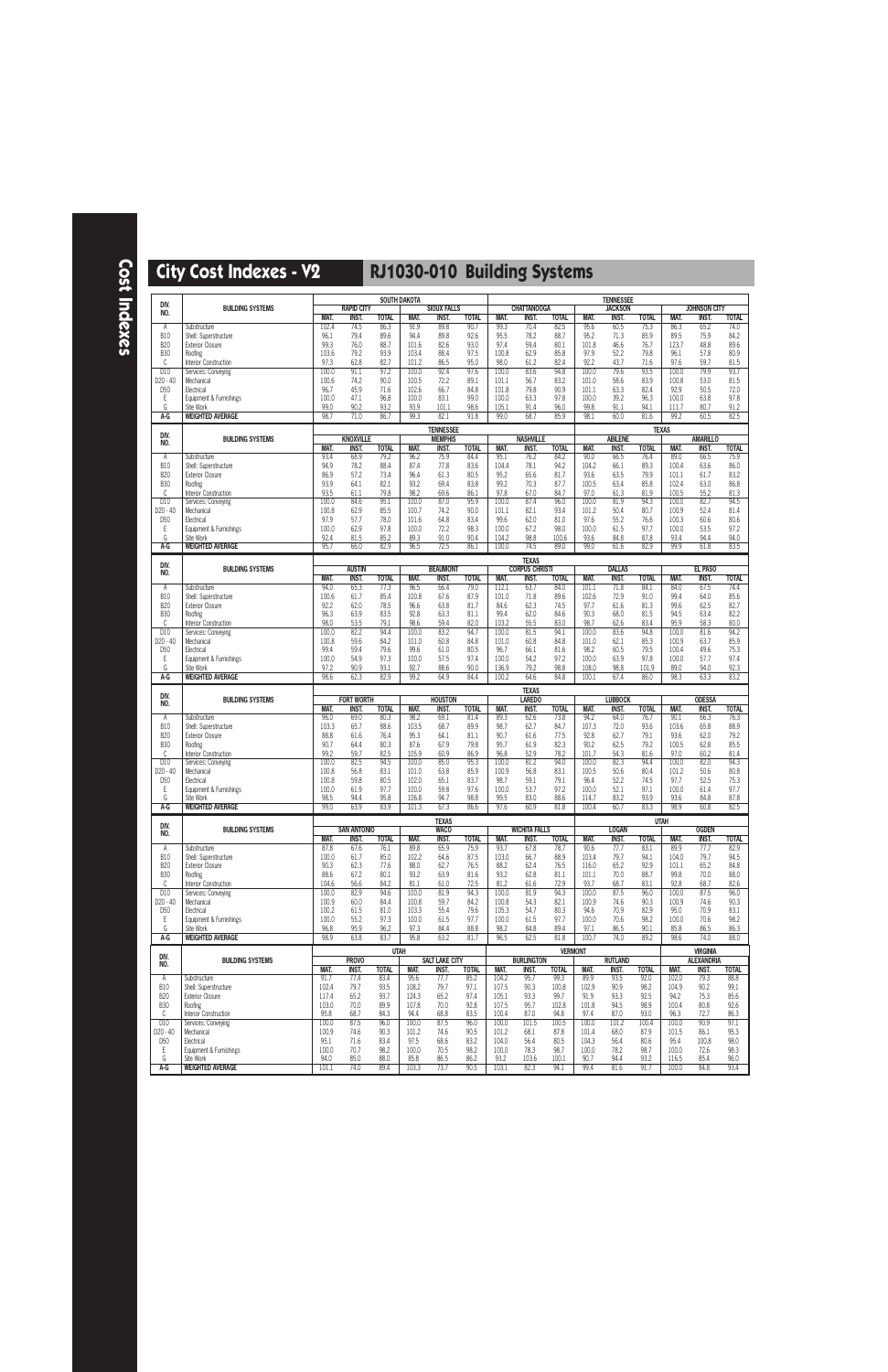| DIV.                        |                                                                 |                        |                                    |                      | <b>SOUTH DAKOTA</b>    |                                    |                      |                        |                                       |                       |                       | <b>TENNESSEE</b>               |                      |                         |                                     |                      |
|-----------------------------|-----------------------------------------------------------------|------------------------|------------------------------------|----------------------|------------------------|------------------------------------|----------------------|------------------------|---------------------------------------|-----------------------|-----------------------|--------------------------------|----------------------|-------------------------|-------------------------------------|----------------------|
| NO.                         | <b>BUILDING SYSTEMS</b>                                         | MAT.                   | <b>RAPID CITY</b><br><b>INST.</b>  | <b>TOTAL</b>         | MAT.                   | <b>SIOUX FALLS</b><br>INST.        | <b>TOTAL</b>         | MAT.                   | <b>CHATTANOOGA</b><br><b>INST.</b>    | <b>TOTAL</b>          | MAT.                  | <b>JACKSON</b><br><b>INST.</b> | <b>TOTAL</b>         | MAT.                    | <b>JOHNSON CITY</b><br><b>INST.</b> | <b>TOTAL</b>         |
| Α                           | Substructure                                                    | 102.4                  | 74.5                               | 86.3                 | 91.9                   | 89.8                               | 90.7                 | 99.3                   | 70.4                                  | 82.5                  | 95.6                  | 60.5                           | 75.3                 | 86.3                    | 65.2                                | 74.0                 |
| <b>B10</b><br><b>B20</b>    | Shell: Superstructure<br><b>Exterior Closure</b>                | 96.1<br>99.3           | 79.4<br>76.0                       | 89.6<br>88.7         | 94.4<br>101.6          | 89.8<br>82.6                       | 92.6<br>93.0         | 95.5<br>97.4           | 78.2<br>59.4                          | 88.7<br>80.1          | 95.2<br>101.8         | 71.3<br>46.6                   | 85.9<br>76.7         | 89.5<br>123.7           | 75.9<br>48.8                        | 84.2<br>89.6         |
| <b>B30</b>                  | Roofing                                                         | 103.6                  | 79.2                               | 93.9                 | 103.4                  | 88.4                               | 97.5                 | 100.8                  | 62.9                                  | 85.8                  | 97.9                  | 52.2                           | 79.8                 | 96.1                    | 57.8                                | 80.9                 |
| C<br>D10                    | Interior Construction<br>Services: Conveying                    | 97.3<br>100.0          | 62.8<br>91.1                       | 82.7<br>97.2         | 101.2<br>100.0         | 86.5<br>92.4                       | 95.0<br>97.6         | 98.0<br>100.0          | 61.2<br>83.6                          | 82.4<br>94.8          | 92.2<br>100.0         | 43.7<br>79.6                   | 71.6<br>93.5         | 97.6<br>100.0           | 59.7<br>79.9                        | 81.5<br>93.7         |
| D20 - 40                    | Mechanical                                                      | 100.6                  | 74.2                               | 90.0                 | 100.5                  | 72.2                               | 89.1                 | 101.1                  | 56.7                                  | 83.2                  | 101.0                 | 58.6                           | 83.9                 | 100.8                   | 53.0                                | 81.5                 |
| D <sub>50</sub><br>Ε        | Electrical<br>Equipment & Furnishings                           | 96.7<br>100.0          | 45.9<br>47.1                       | 71.6<br>96.8         | 102.6<br>100.0         | 66.7<br>83.1                       | 84.8<br>99.0         | 101.8<br>100.0         | 79.8<br>63.3                          | 90.9<br>97.8          | 101.1<br>100.0        | 63.3<br>39.2                   | 82.4<br>96.3         | 92.9<br>100.0           | 50.5<br>63.8                        | 72.0<br>97.8         |
| G                           | Site Work                                                       | 99.0                   | 90.2                               | 93.2                 | 93.9                   | 101.1                              | 98.6                 | 105.1                  | 91.4                                  | 96.0                  | 99.8                  | 91.1                           | 94.1                 | 111.7                   | 80.7                                | 91.2                 |
| $A-G$                       | <b>WEIGHTED AVERAGE</b>                                         | 98.7                   | 71.0                               | 86.7                 | 99.3                   | 82.1                               | 91.8                 | 99.0                   | 68.7                                  | 85.9                  | 98.1                  | 60.0                           | 81.6                 | 99.2                    | 60.5                                | 82.5                 |
| DIV.<br>NO.                 | <b>BUILDING SYSTEMS</b>                                         |                        | <b>KNOXVILLE</b>                   |                      |                        | <b>TENNESSEE</b><br><b>MEMPHIS</b> |                      |                        | <b>NASHVILLE</b>                      |                       |                       | <b>ABILENE</b>                 |                      | <b>TEXAS</b>            | <b>AMARILLO</b>                     |                      |
| Α                           | Substructure                                                    | <b>MAT.</b><br>93.4    | <b>INST.</b><br>68.9               | <b>TOTAL</b><br>79.2 | MAT.<br>96.2           | <b>INST.</b><br>75.9               | <b>TOTAL</b><br>84.4 | MAT.<br>95.1           | <b>INST.</b><br>76.2                  | <b>TOTAL</b><br>84.2  | MAT.<br>90.0          | <b>INST.</b><br>66.5           | <b>TOTAL</b><br>76.4 | MAT.<br>89.0            | <b>INST.</b><br>66.5                | <b>TOTAL</b><br>75.9 |
| <b>B10</b>                  | Shell: Superstructure                                           | 94.9                   | 78.2                               | 88.4                 | 87.4                   | 77.8                               | 83.6                 | 104.4                  | 78.1                                  | 94.2                  | 104.2                 | 66.1                           | 89.3                 | 100.4                   | 63.6                                | 86.0                 |
| <b>B20</b><br><b>B30</b>    | <b>Exterior Closure</b><br>Roofing                              | 86.9<br>93.9           | 57.2<br>64.1                       | 73.4<br>82.1         | 96.4<br>93.2           | 61.3<br>69.4                       | 80.5<br>83.8         | 95.2<br>99.2           | 65.6<br>70.3                          | 81.7<br>87.7          | 93.6<br>100.5         | 63.5<br>63.4                   | 79.9<br>85.8         | 101.1<br>102.4          | 61.7<br>63.0                        | 83.2<br>86.8         |
| C                           | Interior Construction                                           | 93.5                   | 61.1                               | 79.8                 | 98.2                   | 69.6                               | 86.1                 | 97.8                   | 67.0                                  | 84.7                  | 97.0                  | 61.3                           | 81.9                 | 100.5                   | 55.2                                | 81.3                 |
| D10<br>D20 - 40             | Services: Conveying<br>Mechanical                               | 100.0<br>100.8         | 84.6<br>62.9                       | 95.1<br>85.5         | 100.0<br>100.7         | 87.0<br>74.2                       | 95.9<br>90.0         | 100.0<br>101.1         | 87.4<br>82.1                          | 96.0<br>93.4          | 100.0<br>101.2        | 81.9<br>50.4                   | 94.3<br>80.7         | 100.0<br>100.9          | 82.7<br>52.4                        | 94.5<br>81.4         |
| D <sub>50</sub>             | Electrical                                                      | 97.9                   | 57.7                               | 78.0                 | 101.6                  | 64.8                               | 83.4                 | 99.6                   | 62.0                                  | 81.0                  | 97.6                  | 55.2                           | 76.6                 | 100.3                   | 60.6                                | 80.6                 |
| Ε<br>G                      | Equipment & Furnishings<br>Site Work                            | 100.0<br>92.4          | 62.9<br>81.5                       | 97.8<br>85.2         | 100.0<br>89.3          | 72.2<br>91.0                       | 98.3<br>90.4         | 100.0<br>104.2         | 67.2<br>98.8                          | 98.0<br>100.6         | 100.0<br>93.6         | 61.5<br>84.8                   | 97.7<br>87.8         | 100.0<br>93.4           | 53.5<br>94.4                        | 97.2<br>94.0         |
| A-G                         | <b>WEIGHTED AVERAGE</b>                                         | 95.7                   | 66.0                               | 82.9                 | 96.5                   | 72.5                               | 86.1                 | 100.0                  | 74.5                                  | 89.0                  | 99.0                  | 61.6                           | 82.9                 | 99.9                    | 61.8                                | 83.5                 |
| DIV.                        |                                                                 |                        |                                    |                      |                        |                                    |                      |                        | <b>TEXAS</b>                          |                       |                       |                                |                      |                         |                                     |                      |
| NO.                         | <b>BUILDING SYSTEMS</b>                                         | MAT.                   | <b>AUSTIN</b><br><b>INST.</b>      | <b>TOTAL</b>         | MAT.                   | <b>BEAUMONT</b><br><b>INST.</b>    | <b>TOTAL</b>         | MAT.                   | <b>CORPUS CHRISTI</b><br><b>INST.</b> | <b>TOTAL</b>          | MAT.                  | <b>DALLAS</b><br><b>INST.</b>  | <b>TOTAL</b>         | MAT.                    | EL PASO<br><b>INST.</b>             | <b>TOTAL</b>         |
| Α                           | Substructure                                                    | 94.0                   | 65.3                               | 77.3                 | 96.5                   | 66.4                               | 79.0                 | 112.1                  | 63.7                                  | 84.0                  | 101.1                 | 71.8                           | 84.1                 | 84.0                    | 67.5                                | 74.4                 |
| <b>B10</b><br><b>B20</b>    | Shell: Superstructure<br><b>Exterior Closure</b>                | 100.6<br>92.2          | 61.7<br>62.0                       | 85.4<br>78.5         | 100.8<br>96.6          | 67.6<br>63.8                       | 87.9<br>81.7         | 101.0<br>84.6          | 71.8<br>62.3                          | 89.6<br>74.5          | 102.6<br>97.7         | 72.9<br>61.6                   | 91.0<br>81.3         | 99.4<br>99.6            | 64.0<br>62.5                        | 85.6<br>82.7         |
| <b>B30</b>                  | Roofing                                                         | 96.3                   | 63.9                               | 83.5                 | 92.8                   | 63.3                               | 81.1                 | 99.4                   | 62.0                                  | 84.6                  | 90.3                  | 68.0                           | 81.5                 | 94.5                    | 63.4                                | 82.2                 |
| C<br>D10                    | Interior Construction<br>Services: Conveying                    | 98.0<br>100.0          | 53.5<br>82.2                       | 79.1<br>94.4         | 98.6<br>100.0          | 59.4<br>83.2                       | 82.0<br>94.7         | 103.2<br>100.0         | 55.5<br>81.5                          | 83.0<br>94.1          | 98.7<br>100.0         | 62.6<br>83.6                   | 83.4<br>94.8         | 95.9<br>100.0           | 58.3<br>81.6                        | 80.0<br>94.2         |
| D20 - 40                    | Mechanical                                                      | 100.8                  | 59.6                               | 84.2                 | 101.0                  | 60.8                               | 84.8                 | 101.0                  | 60.8                                  | 84.8                  | 101.0                 | 62.1                           | 85.3                 | 100.9                   | 63.7                                | 85.9                 |
| D <sub>50</sub><br>Ε        | Electrical<br>Equipment & Furnishings                           | 99.4<br>100.0          | 59.4<br>54.9                       | 79.6<br>97.3         | 99.6<br>100.0          | 61.0<br>57.5                       | 80.5<br>97.4         | 96.7<br>100.0          | 66.1<br>54.2                          | 81.6<br>97.2          | 98.2<br>100.0         | 60.5<br>63.9                   | 79.5<br>97.8         | 100.4<br>100.0          | 49.6<br>57.7                        | 75.3<br>97.4         |
| G                           | Site Work                                                       | 97.2                   | 90.9                               | 93.1                 | 92.7                   | 88.6                               | 90.0                 | 136.9                  | 79.2                                  | 98.8                  | 108.0                 | 98.8                           | 101.9                | 89.0                    | 94.0                                | 92.3                 |
| $A-G$                       | <b>WEIGHTED AVERAGE</b>                                         | 98.6                   | 62.3                               | 82.9                 | 99.2                   | 64.9                               | 84.4                 | 100.2                  | 64.6                                  | 84.8                  | 100.1                 | 67.4                           | 86.0                 | 98.3                    | 63.3                                | 83.2                 |
|                             |                                                                 |                        |                                    |                      |                        |                                    |                      |                        |                                       |                       |                       |                                |                      |                         |                                     |                      |
| DIV.                        | <b>BUILDING SYSTEMS</b>                                         |                        | <b>FORT WORTH</b>                  |                      |                        | <b>HOUSTON</b>                     |                      |                        | <b>TEXAS</b><br><b>LAREDO</b>         |                       |                       | <b>LUBBOCK</b>                 |                      |                         | <b>ODESSA</b>                       |                      |
| NO.                         |                                                                 | MAT.                   | <b>INST.</b>                       | <b>TOTAL</b>         | MAT.                   | <b>INST.</b>                       | <b>TOTAL</b>         | MAT.                   | <b>INST.</b>                          | <b>TOTAL</b>          | MAT.                  | INST.                          | <b>TOTAL</b>         | MAT.                    | <b>INST.</b>                        | <b>TOTAL</b>         |
| Α<br><b>B10</b>             | Substructure<br>Shell: Superstructure                           | 96.0<br>103.3          | 69.0<br>65.7                       | 80.3<br>88.6         | 98.2<br>103.5          | 69.1<br>68.7                       | 81.4<br>89.9         | 89.3<br>98.7           | 62.6<br>62.7                          | 73.8<br>84.7          | 94.2<br>107.3         | 64.0<br>72.0                   | 76.7<br>93.6         | 90.1<br>103.6           | 66.3<br>65.8                        | 76.3<br>88.9         |
| <b>B20</b><br><b>B30</b>    | <b>Exterior Closure</b><br>Roofing                              | 88.8<br>90.7           | 61.6<br>64.4                       | 76.4<br>80.3         | 95.3<br>87.6           | 64.1<br>67.9                       | 81.1<br>79.8         | 90.7<br>95.7           | 61.6<br>61.9                          | 77.5<br>82.3          | 92.8<br>90.2          | 62.7<br>62.5                   | 79.1<br>79.2         | 93.6<br>100.5           | 62.0<br>62.8                        | 79.2<br>85.5         |
| C                           | Interior Construction                                           | 99.2                   | 59.7                               | 82.5                 | 105.9                  | 60.9                               | 86.9                 | 96.8                   | 52.9                                  | 78.2                  | 101.7                 | 54.3                           | 81.6                 | 97.0                    | 60.2                                | 81.4                 |
| D10<br>D20 - 40             | Services: Conveying<br>Mechanical                               | 100.0<br>100.8         | 82.5<br>56.8                       | 94.5<br>83.1         | 100.0<br>101.0         | 85.0<br>63.8                       | 95.3<br>85.9         | 100.0<br>100.9         | 81.2<br>56.8                          | 94.0<br>83.1          | 100.0<br>100.5        | 82.3<br>50.6                   | 94.4<br>80.4         | 100.0<br>101.2          | 82.0<br>50.6                        | 94.3<br>80.8         |
| D <sub>50</sub>             | Electrical                                                      | 100.8                  | 59.8                               | 80.5                 | 102.0                  | 65.1                               | 83.7                 | 98.7                   | 59.1                                  | 79.1                  | 96.4                  | 52.2                           | 74.5                 | 97.7                    | 52.5                                | 75.3                 |
| Ε<br>G                      | Equipment & Furnishings<br>Site Work                            | 100.0<br>98.5          | 61.9<br>94.4                       | 97.7<br>95.8         | 100.0<br>106.8         | 59.8<br>94.7                       | 97.6<br>98.8         | 100.0<br>99.5          | 53.7<br>83.0                          | 97.2<br>88.6          | 100.0<br>114.7        | 52.1<br>83.2                   | 97.1<br>93.9         | 100.0<br>93.6           | 61.4<br>84.8                        | 97.7<br>87.8         |
| A-G                         | <b>WEIGHTED AVERAGE</b>                                         | 99.0                   | 63.9                               | 83.9                 | 101.3                  | 67.3                               | 86.6                 | 97.6                   | 60.9                                  | 81.8                  | 100.4                 | 60.7                           | 83.3                 | 98.9                    | 60.8                                | 82.5                 |
| DIV.                        |                                                                 |                        |                                    |                      |                        | <b>TEXAS</b>                       |                      |                        |                                       |                       |                       |                                |                      | <b>UTAH</b>             |                                     |                      |
| NO.                         | <b>BUILDING SYSTEMS</b>                                         | MAT.                   | <b>SAN ANTONIO</b><br><b>INST.</b> | <b>TOTAL</b>         | MAT.                   | <b>WACO</b><br>INST.               | <b>TOTAL</b>         | MAT.                   | <b>WICHITA FALLS</b><br>INST.         | <b>TOTAL</b>          | MAT.                  | <b>LOGAN</b><br>INST.          | <b>TOTAL</b>         | MAT.                    | <b>OGDEN</b><br><b>INST.</b>        | <b>TOTAL</b>         |
| Α                           | Substructure                                                    | 87.8                   | 67.6                               | 76.1                 | 89.8                   | 65.9                               | 75.9                 | 93.7                   | 67.8                                  | 78.7                  | 90.6                  | 77.7                           | 83.1                 | 89.9                    | 77.7                                | 82.9                 |
| <b>B10</b><br><b>B20</b>    | Shell: Superstructure<br><b>Exterior Closure</b>                | 100.0<br>90.3          | 61.7<br>62.3                       | 85.0<br>77.6         | 102.2<br>88.0          | 64.6<br>62.7                       | 87.5<br>76.5         | 103.0<br>88.2          | 66.7<br>62.4                          | 88.9<br>76.5          | 103.4<br>116.0        | 79.7<br>65.2                   | 94.1<br>92.9         | 104.0<br>101.1          | 79.7<br>65.2                        | 94.5<br>84.8         |
| <b>B30</b><br>C             | Roofing                                                         | 88.6<br>104.6          | 67.2<br>56.6                       | 80.1<br>84.2         | 93.2<br>81.1           | 63.9<br>61.0                       | 81.6<br>72.5         | 93.2<br>81.2           | 62.8<br>61.6                          | 81.1<br>72.9          | 101.1<br>93.7         | 70.0<br>68.7                   | 88.7<br>83.1         | 99.8<br>92.8            | 70.0<br>68.7                        | 88.0<br>82.6         |
| D10                         | Interior Construction<br>Services: Conveying                    | 100.0                  | 82.9                               | 94.6                 | 100.0                  | 81.9                               | 94.3                 | 100.0                  | 81.9                                  | 94.3                  | 100.0                 | 87.5                           | 96.0                 | 100.0                   | 87.5                                | 96.0                 |
| D20 - 40<br>D <sub>50</sub> | Mechanical<br>Electrical                                        | 100.9<br>100.2         | 60.0<br>61.5                       | 84.4<br>81.0         | 100.8<br>103.3         | 59.7<br>55.4                       | 84.2<br>79.6         | 100.8<br>105.3         | 54.3<br>54.7                          | 82.1<br>80.3          | 100.9<br>94.6         | 74.6<br>70.9                   | 90.3<br>82.9         | 100.9<br>95.0           | 74.6<br>70.9                        | 90.3<br>83.1         |
| Ε                           | Equipment & Furnishings                                         | 100.0                  | 55.2                               | 97.3                 | 100.0                  | 61.5                               | 97.7                 | 100.0                  | 61.5                                  | 97.7                  | 100.0                 | 70.6                           | 98.2                 | 100.0                   | 70.6                                | 98.2                 |
| G<br>$A-G$                  | Site Work<br><b>WEIGHTED AVERAGE</b>                            | 96.8<br>98.9           | 95.9<br>63.8                       | 96.2<br>83.7         | 97.3<br>95.8           | 84.4<br>63.2                       | 88.8<br>81.7         | 98.2<br>96.5           | 84.8<br>62.5                          | 89.4<br>81.8          | 97.1<br>100.7         | 86.5<br>74.0                   | 90.1<br>89.2         | 85.8<br>98.6            | 86.5<br>74.0                        | 86.3<br>88.0         |
|                             |                                                                 |                        |                                    | <b>UTAH</b>          |                        |                                    |                      |                        |                                       | <b>VERMONT</b>        |                       |                                |                      |                         | <b>VIRGINIA</b>                     |                      |
| DIV.<br>NO.                 | <b>BUILDING SYSTEMS</b>                                         |                        | <b>PROVO</b>                       |                      |                        | <b>SALT LAKE CITY</b>              |                      |                        | <b>BURLINGTON</b>                     |                       |                       | <b>RUTLAND</b>                 |                      |                         | <b>ALEXANDRIA</b>                   |                      |
| A                           | Substructure                                                    | MAT.<br>91.7           | INST.<br>77.4                      | <b>TOTAL</b><br>83.4 | MAT.<br>95.6           | INST.<br>77.7                      | <b>TOTAL</b><br>85.2 | MAT.<br>104.2          | INST.<br>95.7                         | <b>TOTAL</b><br>99.3  | MAT.<br>89.9          | INST.<br>93.5                  | <b>TOTAL</b><br>92.0 | MAT.<br>102.0           | <b>INST.</b><br>79.3                | <b>TOTAL</b><br>88.8 |
| <b>B10</b>                  | Shell: Superstructure                                           | 102.4                  | 79.7                               | 93.5                 | 108.2                  | 79.7                               | 97.1                 | 107.5                  | 90.3                                  | 100.8                 | 102.9                 | 90.9                           | 98.2                 | 104.9                   | 90.2                                | 99.1                 |
| <b>B20</b><br><b>B30</b>    | <b>Exterior Closure</b><br>Roofing                              | 117.4<br>103.0         | 65.2<br>70.0                       | 93.7<br>89.9         | 124.3<br>107.8         | 65.2<br>70.0                       | 97.4<br>92.8         | 105.1<br>107.5         | 93.3<br>95.7                          | 99.7<br>102.8         | 91.9<br>101.8         | 93.3<br>94.5                   | 92.5<br>98.9         | 94.2<br>100.4           | 75.3<br>80.8                        | 85.6<br>92.6         |
| C                           | Interior Construction                                           | 95.8                   | 68.7                               | 84.3                 | 94.4                   | 68.8                               | 83.5                 | 100.4                  | 87.0                                  | 94.8                  | 97.4                  | 87.0                           | 93.0                 | 96.3                    | 72.7                                | 86.3                 |
| D10<br>D20 - 40             | Services: Conveying<br>Mechanical                               | 100.0<br>100.9         | 87.5<br>74.6                       | 96.0<br>90.3         | 100.0<br>101.2         | 87.5<br>74.6                       | 96.0<br>90.5         | 100.0<br>101.2         | 101.5<br>68.1                         | 100.5<br>87.8         | 100.0<br>101.4        | 101.2<br>68.0                  | 100.4<br>87.9        | 100.0<br>101.5          | 90.9<br>86.1                        | 97.1<br>95.3         |
| D <sub>50</sub>             | Electrical                                                      | 95.1                   | 71.6                               | 83.4                 | 97.5                   | 68.6                               | 83.2                 | 104.0                  | 56.4                                  | 80.5                  | 104.3                 | 56.4                           | 80.6                 | 95.4                    | 100.8                               | 98.0                 |
| Ε<br>G<br>A-G               | Equipment & Furnishings<br>Site Work<br><b>WEIGHTED AVERAGE</b> | 100.0<br>94.0<br>101.1 | 70.7<br>85.0<br>74.0               | 98.2<br>88.0<br>89.4 | 100.0<br>85.8<br>103.3 | 70.5<br>86.5<br>73.7               | 98.2<br>86.2<br>90.5 | 100.0<br>93.2<br>103.1 | 78.3<br>103.6<br>82.3                 | 98.7<br>100.1<br>94.1 | 100.0<br>90.7<br>99.4 | 78.2<br>94.4<br>81.6           | 98.7<br>93.2<br>91.7 | 100.0<br>116.5<br>100.0 | 72.6<br>85.4<br>84.8                | 98.3<br>96.0<br>93.4 |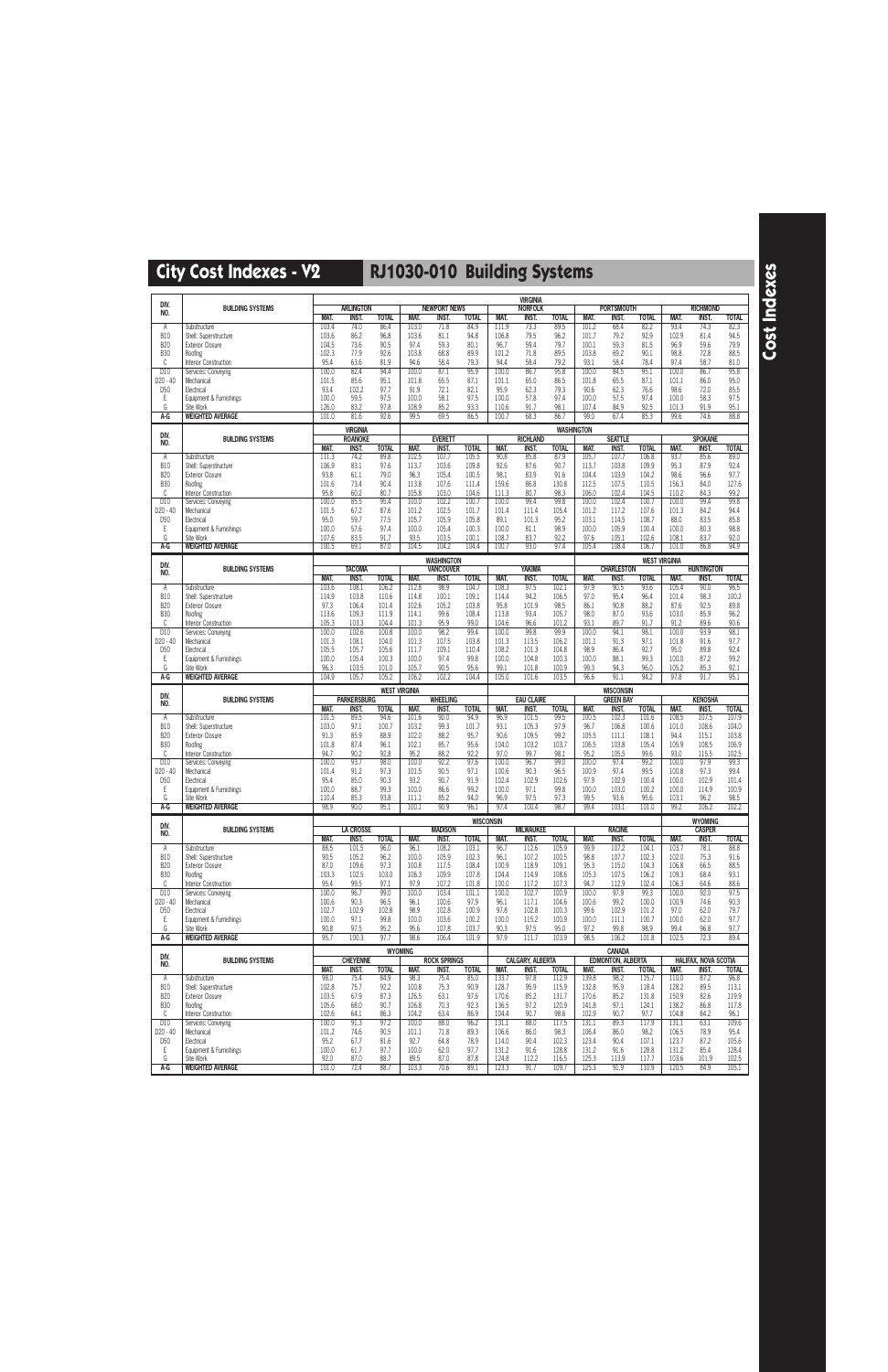| DIV.                          |                                                    |                              |                                   |                       |                       |                                       |                       |                         | <b>VIRGINIA</b>                  |                         |                         |                                           |                         |                         |                                 |                         |
|-------------------------------|----------------------------------------------------|------------------------------|-----------------------------------|-----------------------|-----------------------|---------------------------------------|-----------------------|-------------------------|----------------------------------|-------------------------|-------------------------|-------------------------------------------|-------------------------|-------------------------|---------------------------------|-------------------------|
| NO.                           | <b>BUILDING SYSTEMS</b>                            | <b>MAT.</b>                  | <b>ARLINGTON</b><br>INST.         | <b>TOTAL</b>          | MAT.                  | <b>NEWPORT NEWS</b><br>inst.          | <b>TOTAL</b>          | MAT.                    | <b>NORFOLK</b><br><b>INST.</b>   | <b>TOTAL</b>            | MAT.                    | <b>PORTSMOUTH</b><br>INST.                | <b>TOTAL</b>            | MAT.                    | <b>RICHMOND</b><br><b>INST.</b> | <b>TOTAL</b>            |
| Α<br><b>B10</b>               | Substructure<br>Shell: Superstructure              | 103.4<br>103.6               | 74.0<br>86.2                      | 86.4<br>96.8          | 103.0<br>103.6        | 71.8<br>81.1                          | 84.9<br>94.8          | 111.9<br>106.8          | 73.3<br>79.5                     | 89.5<br>96.2            | 101.2<br>101.7          | 68.4<br>79.2                              | 82.2<br>92.9            | 93.4<br>102.9           | 74.3<br>81.4                    | 82.3<br>94.5            |
| <b>B20</b>                    | <b>Exterior Closure</b>                            | 104.5                        | 73.6                              | 90.5                  | 97.4                  | 59.3                                  | 80.1                  | 96.7                    | 59.4                             | 79.7                    | 100.1                   | 59.3                                      | 81.5                    | 96.9                    | 59.6                            | 79.9                    |
| <b>B30</b><br>C               | Roofing<br>Interior Construction                   | 102.3<br>95.4                | 77.9<br>63.6                      | 92.6<br>81.9          | 103.8<br>94.6         | 68.8<br>58.4                          | 89.9<br>79.3          | 101.2<br>94.4           | 71.8<br>58.4                     | 89.5<br>79.2            | 103.8<br>93.1           | 69.2<br>58.4                              | 90.1<br>78.4            | 98.8<br>97.4            | 72.8<br>58.7                    | 88.5<br>81.0            |
| D10<br>D20 - 40               | Services: Conveying<br>Mechanical                  | 100.0<br>101.5               | 82.4<br>85.6                      | 94.4<br>95.1          | 100.0<br>101.8        | 87.1<br>65.5                          | 95.9<br>87.1          | 100.0<br>101.1          | 86.7<br>65.0                     | 95.8<br>86.5            | 100.0<br>101.8          | 84.5<br>65.5                              | 95.1<br>87.1            | 100.0<br>101.1          | 86.7<br>86.0                    | 95.8<br>95.0            |
| D <sub>50</sub>               | Electrical                                         | 93.4                         | 102.2                             | 97.7                  | 91.9                  | 72.1                                  | 82.1                  | 95.9                    | 62.3                             | 79.3                    | 90.6                    | 62.3                                      | 76.6                    | 98.6                    | 72.0                            | 85.5                    |
| Ε<br>G                        | Equipment & Furnishings<br>Site Work               | 100.0<br>126.0               | 59.5<br>83.2                      | 97.5<br>97.8          | 100.0<br>108.9        | 58.1<br>85.2                          | 97.5<br>93.3          | 100.0<br>110.6          | 57.8<br>91.7                     | 97.4<br>98.1            | 100.0<br>107.4          | 57.5<br>84.9                              | 97.4<br>92.5            | 100.0<br>101.3          | 58.3<br>91.9                    | 97.5<br>95.1            |
| A-G                           | <b>WEIGHTED AVERAGE</b>                            | 101.0                        | 81.6                              | 92.6                  | 99.5                  | 69.5                                  | 86.5                  | 100.7                   | 68.3                             | 86.7                    | 99.0                    | 67.4                                      | 85.3                    | 99.6                    | 74.6                            | 88.8                    |
| DIV.                          | <b>BUILDING SYSTEMS</b>                            |                              | <b>VIRGINIA</b><br><b>ROANOKE</b> |                       |                       | <b>EVERETT</b>                        |                       |                         | <b>RICHLAND</b>                  | <b>WASHINGTON</b>       |                         | <b>SEATTLE</b>                            |                         |                         | <b>SPOKANE</b>                  |                         |
| NO.                           |                                                    | MAT.                         | INST.                             | <b>TOTAL</b>          | MAT.                  | <b>INST.</b>                          | <b>TOTAL</b>          | MAT.                    | <b>INST.</b>                     | <b>TOTAL</b>            | MAT.                    | <b>INST.</b>                              | <b>TOTAL</b>            | MAT.                    | <b>INST.</b>                    | <b>TOTAL</b>            |
| Α<br><b>B10</b>               | Substructure<br>Shell: Superstructure              | $\overline{11}$ 1.3<br>106.9 | 74.2<br>83.1                      | 89.8<br>97.6          | 102.5<br>113.7        | 107.7<br>103.6                        | 105.5<br>109.8        | 90.8<br>92.6            | 85.8<br>87.6                     | 87.9<br>90.7            | 105.7<br>113.7          | 107.7<br>103.8                            | 106.8<br>109.9          | 93.7<br>95.3            | 85.6<br>87.9                    | 89.0<br>92.4            |
| <b>B20</b><br><b>B30</b>      | <b>Exterior Closure</b><br>Roofing                 | 93.8<br>101.6                | 61.1<br>73.4                      | 79.0<br>90.4          | 96.3<br>113.8         | 105.4<br>107.6                        | 100.5<br>111.4        | 98.1<br>159.6           | 83.9<br>86.8                     | 91.6<br>130.8           | 104.4<br>112.5          | 103.9<br>107.5                            | 104.2<br>110.5          | 98.6<br>156.3           | 96.6<br>84.0                    | 97.7<br>127.6           |
| C                             | Interior Construction                              | 95.8                         | 60.2                              | 80.7                  | 105.8                 | 103.0                                 | 104.6                 | 111.3                   | 80.7                             | 98.3                    | 106.0                   | 102.4                                     | 104.5                   | 110.2                   | 84.3                            | 99.2                    |
| D10<br>D20 - 40               | Services: Conveying<br>Mechanical                  | 100.0<br>101.5               | 85.5<br>67.2                      | 95.4<br>87.6          | 100.0<br>101.2        | 102.2<br>102.5                        | 100.7<br>101.7        | 100.0<br>101.4          | 99.4<br>111.4                    | 99.8<br>105.4           | 100.0<br>101.2          | 102.4<br>117.2                            | 100.7<br>107.6          | 100.0<br>101.3          | 99.4<br>84.2                    | 99.8<br>94.4            |
| D <sub>50</sub><br>Ε          | Electrical<br>Equipment & Furnishings              | 95.0<br>100.0                | 59.7<br>57.6                      | 77.5<br>97.4          | 105.7<br>100.0        | 105.9<br>105.4                        | 105.8<br>100.3        | 89.1<br>100.0           | 101.3<br>81.1                    | 95.2<br>98.9            | 103.1<br>100.0          | 114.5<br>105.9                            | 108.7<br>100.4          | 88.0<br>100.0           | 83.5<br>80.3                    | 85.8<br>98.8            |
| G                             | Site Work                                          | 107.6                        | 83.5                              | 91.7                  | 93.5                  | 103.5                                 | 100.1                 | 108.7                   | 83.7                             | 92.2                    | 97.6                    | 105.1                                     | 102.6                   | 108.1                   | 83.7                            | 92.0                    |
| A-G                           | <b>WEIGHTED AVERAGE</b>                            | 100.5                        | 69.1                              | 87.0                  | 104.5                 | 104.2                                 | 104.4                 | 100.7                   | 93.0                             | 97.4                    | 105.4                   | 108.4                                     | 106.7                   | 101.0                   | 86.8                            | 94.9                    |
| DIV.<br>NO.                   | <b>BUILDING SYSTEMS</b>                            |                              | <b>TACOMA</b>                     |                       |                       | <b>WASHINGTON</b><br><b>VANCOUVER</b> |                       |                         | <b>YAKIMA</b>                    |                         |                         | <b>CHARLESTON</b>                         | <b>WEST VIRGINIA</b>    |                         | <b>HUNTINGTON</b>               |                         |
| Α                             | Substructure                                       | <b>MAT.</b><br>103.6         | <b>INST.</b><br>108.1             | <b>TOTAL</b><br>106.2 | MAT.<br>112.8         | <b>INST.</b><br>98.9                  | <b>TOTAL</b><br>104.7 | MAT.<br>108.3           | <b>INST.</b><br>97.5             | <b>TOTAL</b><br>102.1   | MAT.<br>97.9            | <b>INST.</b><br>90.5                      | <b>TOTAL</b><br>93.6    | MAT.<br>105.4           | <b>INST.</b><br>90.0            | <b>TOTAL</b><br>96.5    |
| <b>B10</b>                    | Shell: Superstructure                              | 114.9                        | 103.8                             | 110.6                 | 114.8                 | 100.1                                 | 109.1                 | 114.4                   | 94.2                             | 106.5                   | 97.0                    | 95.4                                      | 96.4                    | 101.4                   | 98.3                            | 100.2                   |
| <b>B20</b><br><b>B30</b>      | <b>Exterior Closure</b><br>Roofing                 | 97.3<br>113.6                | 106.4<br>109.3                    | 101.4<br>111.9        | 102.6<br>114.1        | 105.2<br>99.6                         | 103.8<br>108.4        | 95.8<br>113.8           | 101.9<br>93.4                    | 98.5<br>105.7           | 86.1<br>98.0            | 90.8<br>87.0                              | 88.2<br>93.6            | 87.6<br>103.0           | 92.5<br>85.9                    | 89.8<br>96.2            |
| C<br>D <sub>10</sub>          | Interior Construction<br>Services: Conveying       | 105.3<br>100.0               | 103.3<br>102.6                    | 104.4<br>100.8        | 101.3<br>100.0        | 95.9<br>98.2                          | 99.0<br>99.4          | 104.6<br>100.0          | 96.6<br>99.8                     | 101.2<br>99.9           | 93.1<br>100.0           | 89.7<br>94.1                              | 91.7<br>98.1            | 91.2<br>100.0           | 89.6<br>93.9                    | 90.6<br>98.1            |
| D20 - 40                      | Mechanical                                         | 101.3                        | 108.1                             | 104.0                 | 101.3                 | 107.5                                 | 103.8                 | 101.3                   | 113.5                            | 106.2                   | 101.1                   | 91.3                                      | 97.1                    | 101.8                   | 91.6                            | 97.7                    |
| D <sub>50</sub><br>Ε          | Electrical<br>Equipment & Furnishings              | 105.5<br>100.0               | 105.7<br>105.4                    | 105.6<br>100.3        | 111.7<br>100.0        | 109.1<br>97.4                         | 110.4<br>99.8         | 108.2<br>100.0          | 101.3<br>104.8                   | 104.8<br>100.3          | 98.9<br>100.0           | 86.4<br>88.1                              | 92.7<br>99.3            | 95.0<br>100.0           | 89.8<br>87.2                    | 92.4<br>99.2            |
| G<br>$A-G$                    | Site Work<br><b>WEIGHTED AVERAGE</b>               | 96.3<br>104.9                | 103.5<br>105.7                    | 101.0<br>105.2        | 105.7<br>106.2        | 90.5<br>102.2                         | 95.6<br>104.4         | 99.1<br>105.0           | 101.8<br>101.6                   | 100.9<br>103.5          | 99.3<br>96.6            | 94.3<br>91.1                              | 96.0<br>94.2            | 105.2<br>97.8           | 85.3<br>91.7                    | 92.1<br>95.1            |
|                               |                                                    |                              |                                   |                       |                       |                                       |                       |                         |                                  |                         |                         |                                           |                         |                         |                                 |                         |
|                               |                                                    |                              |                                   | <b>WEST VIRGINIA</b>  |                       |                                       |                       |                         |                                  |                         |                         | <b>WISCONSIN</b>                          |                         |                         |                                 |                         |
| DIV.<br>NO.                   | <b>BUILDING SYSTEMS</b>                            |                              | <b>PARKERSBURG</b>                |                       |                       | <b>WHEELING</b>                       |                       |                         | <b>EAU CLAIRE</b>                |                         |                         | <b>GREEN BAY</b>                          |                         |                         | <b>KENOSHA</b>                  |                         |
| Α                             | Substructure                                       | MAT.<br>101.5                | <b>INST.</b><br>89.5              | <b>TOTAL</b><br>94.6  | MAT.<br>101.6         | <b>INST.</b><br>90.0                  | <b>TOTAL</b><br>94.9  | MAT.<br>96.9            | <b>INST.</b><br>101.5            | <b>TOTAL</b><br>99.5    | MAT.<br>100.5           | <b>INST.</b><br>102.3                     | <b>TOTAL</b><br>101.6   | MAT.<br>108.5           | <b>INST.</b><br>107.5           | <b>TOTAL</b><br>107.9   |
| <b>B10</b><br><b>B20</b>      | Shell: Superstructure<br><b>Exterior Closure</b>   | 103.0<br>91.3                | 97.1<br>85.9                      | 100.7<br>88.9         | 103.2<br>102.0        | 99.3<br>88.2                          | 101.7<br>95.7         | 93.1<br>90.6            | 105.3<br>109.5                   | 97.9<br>99.2            | 96.7<br>105.5           | 106.8<br>111.1                            | 100.6<br>108.1          | 101.0<br>94.4           | 108.6<br>115.1                  | 104.0<br>103.8          |
| <b>B30</b>                    | Roofing                                            | 101.8                        | 87.4                              | 96.1                  | 102.1                 | 85.7                                  | 95.6                  | 104.0                   | 103.2                            | 103.7                   | 106.5                   | 103.8                                     | 105.4                   | 105.9                   | 108.5                           | 106.9                   |
| C<br>D <sub>10</sub>          | Interior Construction<br>Services: Conveying       | 94.7<br>100.0                | 90.2<br>93.7                      | 92.8<br>98.0          | 95.2<br>100.0         | 88.2<br>92.2                          | 92.2<br>97.6          | 97.0<br>100.0           | 99.7<br>96.7                     | 98.1<br>99.0            | 95.2<br>100.0           | 105.5<br>97.4                             | 99.6<br>99.2            | 93.0<br>100.0           | 115.5<br>97.9                   | 102.5<br>99.3           |
| D20 - 40<br>D <sub>50</sub>   | Mechanical<br>Electrical                           | 101.4<br>95.4                | 91.2<br>85.0                      | 97.3<br>90.3          | 101.5<br>93.2         | 90.5<br>90.7                          | 97.1<br>91.9          | 100.6<br>102.4          | 90.3<br>102.9                    | 96.5<br>102.6           | 100.9<br>97.9           | 97.4<br>102.9                             | 99.5<br>100.4           | 100.8<br>100.0          | 97.3<br>102.9                   | 99.4<br>101.4           |
| E                             | Equipment & Furnishings                            | 100.0                        | 88.7                              | 99.3                  | 100.0                 | 86.6                                  | 99.2                  | 100.0                   | 97.1                             | 99.8                    | 100.0                   | 103.0                                     | 100.2                   | 100.0                   | 114.9                           | 100.9                   |
| G<br>A-G                      | Site Work<br><b>WEIGHTED AVERAGE</b>               | 110.4<br>98.9                | 85.3<br>90.0                      | 93.8<br>95.1          | 111.1<br>100.1        | 85.2<br>90.9                          | 94.0<br>96.1          | 96.9<br>97.4            | 97.5<br>100.4                    | 97.3<br>98.7            | 99.5<br>99.4            | 93.6<br>103.1                             | 95.6<br>101.0           | 103.1<br>99.2           | 96.2<br>106.2                   | 98.5<br>102.2           |
| DIV.                          |                                                    |                              |                                   |                       |                       |                                       | <b>WISCONSIN</b>      |                         |                                  |                         |                         |                                           |                         |                         | <b>WYOMING</b>                  |                         |
| NO.                           | <b>BUILDING SYSTEMS</b>                            | MAT.                         | <b>LA CROSSE</b><br>INST.         | <b>TOTAL</b>          | MAT.                  | <b>MADISON</b><br>INST.               | <b>TOTAL</b>          | MAT.                    | <b>MILWAUKEE</b><br><b>INST.</b> | <b>TOTAL</b>            | MAT.                    | <b>RACINE</b><br>INST.                    | <b>TOTAL</b>            | MAT.                    | <b>CASPER</b><br><b>INST.</b>   | <b>TOTAL</b>            |
| Α<br><b>B10</b>               | Substructure<br>Shell: Superstructure              | 88.5<br>90.5                 | 101.5<br>105.2                    | 96.0<br>96.2          | 96.1<br>100.0         | 108.2<br>105.9                        | 103.1<br>102.3        | 96.7<br>96.1            | 112.6<br>107.2                   | 105.9<br>100.5          | 99.9<br>98.8            | 107.2<br>107.7                            | 104.1<br>102.3          | 103.7<br>102.0          | 78.1<br>75.3                    | 88.8<br>91.6            |
| <b>B20</b><br><b>B30</b>      | <b>Exterior Closure</b><br>Roofing                 | 87.0<br>103.3                | 109.6                             | 97.3<br>103.0         | 100.8<br>106.3        | 117.5<br>109.9                        | 108.4<br>107.8        | 100.9<br>104.4          | 118.9<br>114.9                   | 109.1                   | 95.3<br>105.3           | 115.0<br>107.5                            | 104.3<br>106.2          | 106.8<br>109.3          | 66.5<br>68.4                    | 88.5                    |
| C                             | Interior Construction                              | 95.4                         | 102.5<br>99.5                     | 97.1                  | 97.9                  | 107.2                                 | 101.8                 | 100.0                   | 117.2                            | 108.6<br>107.3          | 94.7                    | 112.9                                     | 102.4                   | 106.3                   | 64.6                            | 93.1<br>88.6            |
| D <sub>10</sub><br>$D20 - 40$ | Services: Conveying<br>Mechanical                  | 100.0<br>100.6               | 96.7<br>90.3                      | 99.0<br>96.5          | 100.0<br>96.1         | 103.4<br>100.6                        | 101.1<br>97.9         | 100.0<br>96.1           | 102.7<br>117.1                   | 100.9<br>104.6          | 100.0<br>100.6          | 97.9<br>99.2                              | 99.3<br>100.0           | 100.0<br>100.9          | 92.0<br>74.6                    | 97.5<br>90.3            |
| D <sub>50</sub>               | Electrical                                         | 102.7                        | 102.9                             | 102.8                 | 98.9                  | 102.8                                 | 100.9                 | 97.8                    | 102.8                            | 100.3                   | 99.6                    | 102.9                                     | 101.2                   | 97.0                    | 62.0                            | 79.7                    |
| Ε<br>G                        | Equipment & Furnishings<br>Site Work               | 100.0<br>90.8                | 97.1<br>97.5                      | 99.8<br>95.2          | 100.0<br>95.6         | 103.6<br>107.8                        | 100.2<br>103.7        | 100.0<br>90.3           | 115.2<br>97.5                    | 100.9<br>95.0           | 100.0<br>97.2           | 111.1<br>99.8                             | 100.7<br>98.9           | 100.0<br>99.4           | 62.0<br>96.8                    | 97.7<br>97.7            |
| A-G                           | <b>WEIGHTED AVERAGE</b>                            | 95.7                         | 100.3                             | 97.7                  | 98.6                  | 106.4                                 | 101.9                 | 97.9                    | 111.7                            | 103.9                   | 98.5                    | 106.2                                     | 101.8                   | 102.5                   | 72.3                            | 89.4                    |
| DIV.<br>NO.                   | <b>BUILDING SYSTEMS</b>                            |                              | <b>CHEYENNE</b>                   |                       | <b>WYOMING</b>        | <b>ROCK SPRINGS</b>                   |                       |                         | <b>CALGARY, ALBERTA</b>          |                         |                         | <b>CANADA</b><br><b>EDMONTON, ALBERTA</b> |                         |                         | HALIFAX, NOVA SCOTIA            |                         |
| Α                             | Substructure                                       | MAT.<br>98.0                 | <b>INST.</b><br>75.4              | <b>TOTAL</b><br>84.9  | MAT.<br>98.3          | <b>INST.</b><br>75.4                  | <b>TOTAL</b><br>85.0  | MAT.<br>133.7           | <b>INST.</b><br>97.8             | <b>TOTAL</b><br>112.9   | MAT.<br>139.8           | <b>INST.</b><br>98.2                      | <b>TOTAL</b><br>115.7   | MAT.<br>110.0           | inst.<br>87.2                   | <b>TOTAL</b><br>96.8    |
| <b>B10</b>                    | Shell: Superstructure                              | 102.8                        | 75.7                              | 92.2                  | 100.8                 | 75.3                                  | 90.9                  | 128.7                   | 95.9                             | 115.9                   | 132.8                   | 95.9                                      | 118.4                   | 128.2                   | 89.5                            | 113.1                   |
| <b>B20</b><br><b>B30</b>      | <b>Exterior Closure</b><br>Roofing                 | 103.5<br>105.6               | 67.9<br>68.0                      | 87.3<br>90.7          | 126.5<br>106.8        | 63.1<br>70.3                          | 97.6<br>92.3          | 170.6<br>136.5          | 85.2<br>97.2                     | 131.7<br>120.9          | 170.6<br>141.8          | 85.2<br>97.1                              | 131.8<br>124.1          | 150.9<br>138.2          | 82.6<br>86.8                    | 119.9<br>117.8          |
| C<br>D10                      | Interior Construction<br>Services: Conveying       | 102.6<br>100.0               | 64.1<br>91.3                      | 86.3<br>97.2          | 104.2<br>100.0        | 63.4<br>88.0                          | 86.9<br>96.2          | 104.4<br>131.1          | 90.7<br>88.0                     | 98.6<br>117.5           | 102.9<br>131.1          | 90.7<br>89.3                              | 97.7<br>117.9           | 104.8<br>131.1          | 84.2<br>63.1                    | 96.1<br>109.6           |
| D20 - 40                      | Mechanical                                         | 101.2                        | 74.6                              | 90.5                  | 101.1                 | 71.8                                  | 89.3                  | 106.6                   | 86.0                             | 98.3                    | 106.4                   | 86.0                                      | 98.2                    | 106.5                   | 78.9                            | 95.4                    |
| D <sub>50</sub><br>Ε<br>G     | Electrical<br>Equipment & Furnishings<br>Site Work | 95.2<br>100.0<br>92.0        | 67.7<br>61.7<br>87.0              | 81.6<br>97.7<br>88.7  | 92.7<br>100.0<br>89.5 | 64.8<br>62.0<br>87.0                  | 78.9<br>97.7<br>87.8  | 114.0<br>131.2<br>124.8 | 90.4<br>91.6<br>112.2            | 102.3<br>128.8<br>116.5 | 123.4<br>131.2<br>125.3 | 90.4<br>91.6<br>113.9                     | 107.1<br>128.8<br>117.7 | 123.7<br>131.2<br>103.6 | 87.2<br>85.4<br>101.9           | 105.6<br>128.4<br>102.5 |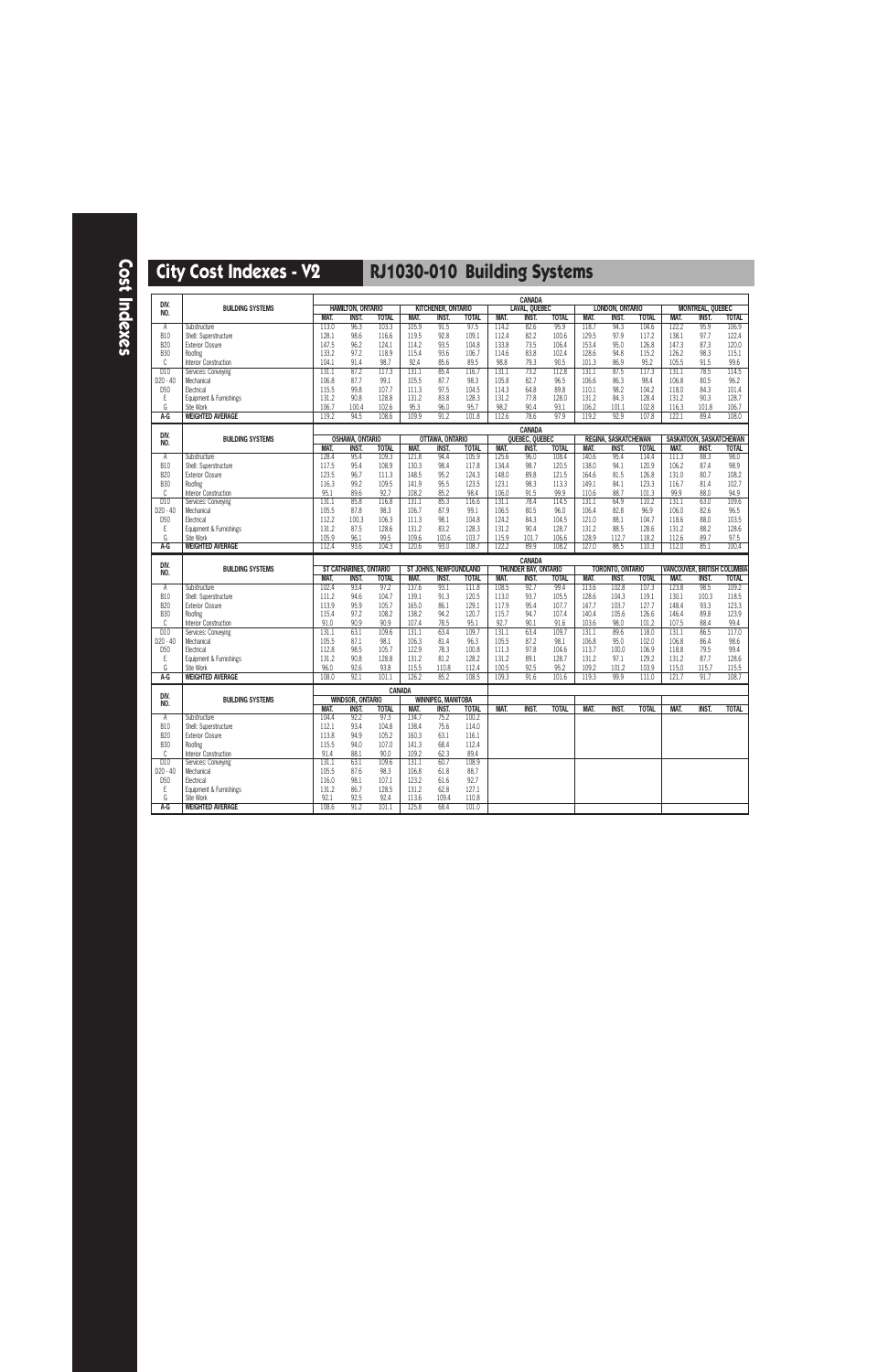| DIV.                     |                                              |                |                          |                |                |                           |                |                | <b>CANADA</b>                          |                |                |                             |                |                                    |                         |                |
|--------------------------|----------------------------------------------|----------------|--------------------------|----------------|----------------|---------------------------|----------------|----------------|----------------------------------------|----------------|----------------|-----------------------------|----------------|------------------------------------|-------------------------|----------------|
| NO.                      | <b>BUILDING SYSTEMS</b>                      |                | <b>HAMILTON, ONTARIO</b> |                |                | KITCHENER, ONTARIO        |                |                | <b>LAVAL, QUEBEC</b>                   |                |                | LONDON, ONTARIO             |                |                                    | <b>MONTREAL, QUEBEC</b> |                |
|                          |                                              | MAT.           | <b>INST.</b>             | <b>TOTAL</b>   | MAT.           | INST.                     | <b>TOTAL</b>   | MAT.           | <b>INST.</b>                           | <b>TOTAL</b>   | MAT.           | <b>INST.</b>                | <b>TOTAL</b>   | MAT.                               | <b>INST.</b>            | <b>TOTAL</b>   |
| A                        | Substructure                                 | 113.0          | 96.3                     | 103.3          | 105.9          | 91.5                      | 97.5           | 114.2          | 82.6                                   | 95.9           | 118.7          | 94.3                        | 104.6          | 122.2                              | 95.9                    | 106.9          |
| <b>B10</b>               | Shell: Superstructure                        | 128.1          | 98.6                     | 116.6          | 119.5          | 92.8                      | 109.1          | 112.4          | 82.2                                   | 100.6          | 129.5          | 97.9                        | 117.2          | 138.1                              | 97.7                    | 122.4          |
| <b>B20</b><br><b>B30</b> | <b>Exterior Closure</b><br>Roofing           | 147.5<br>133.2 | 96.2<br>97.2             | 124.1<br>118.9 | 114.2<br>115.4 | 93.5<br>93.6              | 104.8<br>106.7 | 133.8<br>114.6 | 73.5<br>83.8                           | 106.4<br>102.4 | 153.4<br>128.6 | 95.0<br>94.8                | 126.8<br>115.2 | 147.3<br>126.2                     | 87.3<br>98.3            | 120.0<br>115.1 |
| C                        |                                              | 104.1          | 91.4                     | 98.7           | 92.4           | 85.6                      | 89.5           | 98.8           | 79.3                                   | 90.5           | 101.3          | 86.9                        | 95.2           | 105.5                              | 91.5                    | 99.6           |
| D10                      | Interior Construction<br>Services: Conveying | 131.1          | 87.2                     | 117.3          | 131.1          | 85.4                      | 116.7          | 131.1          | 73.2                                   | 112.8          | 131.1          | 87.5                        | 117.3          | 131.1                              | 78.5                    | 114.5          |
| D20 - 40                 | Mechanical                                   | 106.8          | 87.7                     | 99.1           | 105.5          | 87.7                      | 98.3           | 105.8          | 82.7                                   | 96.5           | 106.6          | 86.3                        | 98.4           | 106.8                              | 80.5                    | 96.2           |
| D <sub>50</sub>          | Electrical                                   | 115.5          | 99.8                     | 107.7          | 111.3          | 97.5                      | 104.5          | 114.3          | 64.8                                   | 89.8           | 110.1          | 98.2                        | 104.2          | 118.0                              | 84.3                    | 101.4          |
| E                        | Equipment & Furnishings                      | 131.2          | 90.8                     | 128.8          | 131.2          | 83.8                      | 128.3          | 131.2          | 77.8                                   | 128.0          | 131.2          | 84.3                        | 128.4          | 131.2                              | 90.3                    | 128.7          |
| G                        | Site Work                                    | 106.7          | 100.4                    | 102.6          | 95.3           | 96.0                      | 95.7           | 98.2           | 90.4                                   | 93.1           | 106.2          | 101.1                       | 102.8          | 116.3                              | 101.8                   | 106.7          |
| A-G                      | <b>WEIGHTED AVERAGE</b>                      | 119.2          | 94.5                     | 108.6          | 109.9          | 91.2                      | 101.8          | 112.6          | 78.6                                   | 97.9           | 119.2          | 92.9                        | 107.8          | 122.1                              | 89.4                    | 108.0          |
|                          |                                              |                |                          |                |                |                           |                |                |                                        |                |                |                             |                |                                    |                         |                |
| DIV.                     | <b>BUILDING SYSTEMS</b>                      |                | <b>OSHAWA, ONTARIO</b>   |                |                | OTTAWA, ONTARIO           |                |                | <b>CANADA</b><br><b>OUEBEC, QUEBEC</b> |                |                | <b>REGINA, SASKATCHEWAN</b> |                |                                    | SASKATOON, SASKATCHEWAN |                |
| NO.                      |                                              | MAT.           | <b>INST.</b>             | <b>TOTAL</b>   | MAT.           | <b>INST.</b>              | <b>TOTAL</b>   | MAT.           | <b>INST.</b>                           | <b>TOTAL</b>   | MAT.           | <b>INST.</b>                | <b>TOTAL</b>   | MAT.                               | <b>INST.</b>            | <b>TOTAL</b>   |
| Α                        | Substructure                                 | 128.4          | 95.4                     | 109.3          | 121.8          | 94.4                      | 105.9          | 125.6          | 96.0                                   | 108.4          | 140.6          | 95.4                        | 114.4          | 111.3                              | 88.3                    | 98.0           |
| <b>B10</b>               | Shell: Superstructure                        | 117.5          | 95.4                     | 108.9          | 130.3          | 98.4                      | 117.8          | 134.4          | 98.7                                   | 120.5          | 138.0          | 94.1                        | 120.9          | 106.2                              | 87.4                    | 98.9           |
| <b>B20</b>               | <b>Exterior Closure</b>                      | 123.5          | 96.7                     | 111.3          | 148.5          | 95.2                      | 124.3          | 148.0          | 89.8                                   | 121.5          | 164.6          | 81.5                        | 126.8          | 131.0                              | 80.7                    | 108.2          |
| <b>B30</b>               | Roofing                                      | 116.3          | 99.2                     | 109.5          | 141.9          | 95.5                      | 123.5          | 123.1          | 98.3                                   | 113.3          | 149.1          | 84.1                        | 123.3          | 116.7                              | 81.4                    | 102.7          |
| C                        | Interior Construction                        | 95.1           | 89.6                     | 92.7           | 108.2          | 85.2                      | 98.4           | 106.0          | 91.5                                   | 99.9           | 110.6          | 88.7                        | 101.3          | 99.9                               | 88.0                    | 94.9           |
| D10                      | Services: Conveying                          | 131.1          | 85.8                     | 116.8          | 131.1          | 85.3                      | 116.6          | 131.1          | 78.4                                   | 114.5          | 131.1          | 64.9                        | 110.2          | 131.1                              | 63.0                    | 109.6          |
| D20 - 40                 | Mechanical                                   | 105.5          | 87.8                     | 98.3           | 106.7          | 87.9                      | 99.1           | 106.5          | 80.5                                   | 96.0           | 106.4          | 82.8                        | 96.9           | 106.0                              | 82.6                    | 96.5           |
| D <sub>50</sub>          | Electrical                                   | 112.2          | 100.3                    | 106.3          | 111.3          | 98.1                      | 104.8          | 124.2          | 84.3                                   | 104.5          | 121.0          | 88.1                        | 104.7          | 118.6                              | 88.0                    | 103.5          |
| Ε                        | Equipment & Furnishings                      | 131.2          | 87.5                     | 128.6          | 131.2          | 83.2                      | 128.3          | 131.2          | 90.4                                   | 128.7          | 131.2          | 88.5                        | 128.6          | 131.2                              | 88.2                    | 128.6          |
| G                        | Site Work                                    | 105.9          | 96.1                     | 99.5           | 109.6          | 100.6                     | 103.7          | 115.9          | 101.7                                  | 106.6          | 128.9          | 112.7                       | 118.2          | 112.6                              | 89.7                    | 97.5           |
| $A-G$                    | <b>WEIGHTED AVERAGE</b>                      | 112.4          | 93.6                     | 104.3          | 120.6          | 93.0                      | 108.7          | 122.2          | 89.9                                   | 108.2          | 127.0          | 88.5                        | 110.3          | 112.0                              | 85.1                    | 100.4          |
|                          |                                              |                |                          |                |                |                           |                |                | <b>CANADA</b>                          |                |                |                             |                |                                    |                         |                |
| DIV.<br>NO.              | <b>BUILDING SYSTEMS</b>                      |                | ST CATHARINES, ONTARIO   |                |                | ST JOHNS, NEWFOUNDLAND    |                |                | <b>THUNDER BAY, ONTARIO</b>            |                |                | <b>TORONTO, ONTARIO</b>     |                | <b>VANCOUVER, BRITISH COLUMBIA</b> |                         |                |
|                          |                                              | MAT.           | <b>INST.</b>             | <b>TOTAL</b>   | MAT.           | <b>INST.</b>              | <b>TOTAL</b>   | <b>MAT.</b>    | <b>INST.</b>                           | <b>TOTAL</b>   | MAT.           | <b>INST.</b>                | <b>TOTAL</b>   | MAT.                               | <b>INST.</b>            | <b>TOTAL</b>   |
|                          | Substructure                                 | 102.4          | 93.4                     | 97.2           | 137.6          | 93.1                      | 111.8          | 108.5          | 92.7                                   | 99.4           | 113.6          | 102.8                       | 107.3          | 123.8                              | 98.5                    | 109.2          |
| A                        |                                              |                |                          |                |                |                           |                |                |                                        |                |                |                             |                |                                    |                         | 118.5          |
| <b>B10</b>               | Shell: Superstructure                        | 111.2          | 94.6                     | 104.7          | 139.1          | 91.3                      | 120.5          | 113.0          | 93.7                                   | 105.5          | 128.6          | 104.3                       | 119.1          | 130.1                              | 100.3                   |                |
| <b>B20</b>               | <b>Exterior Closure</b>                      | 113.9          | 95.9                     | 105.7          | 165.0          | 86.1                      | 129.1          | 117.9          | 95.4                                   | 107.7          | 147.7          | 103.7                       | 127.7          | 148.4                              | 93.3                    | 123.3          |
| <b>B30</b>               | Roofing                                      | 115.4          | 97.2                     | 108.2          | 138.2          | 94.2                      | 120.7          | 115.7          | 94.7                                   | 107.4          | 140.4          | 105.6                       | 126.6          | 146.4                              | 89.8                    | 123.9          |
| C                        | Interior Construction                        | 91.0           | 90.9                     | 90.9           | 107.4          | 78.5                      | 95.1           | 92.7           | 90.1                                   | 91.6           | 103.6          | 98.0                        | 101.2          | 107.5                              | 88.4                    | 99.4           |
| D10                      | Services: Conveying                          | 131.1          | 63.1                     | 109.6          | 131.1          | 63.4                      | 109.7          | 131.1          | 63.4                                   | 109.7          | 131.1          | 89.6                        | 118.0          | 131.1                              | 86.5                    | 117.0          |
| D20 - 40                 | Mechanical                                   | 105.5          | 87.1                     | 98.1           | 106.3          | 81.4                      | 96.3           | 105.5          | 87.2                                   | 98.1           | 106.8          | 95.0                        | 102.0          | 106.8                              | 86.4                    | 98.6           |
| D <sub>50</sub>          | Electrical                                   | 112.8          | 98.5                     | 105.7          | 122.9          | 78.3                      | 100.8          | 111.3          | 97.8                                   | 104.6          | 113.7          | 100.0                       | 106.9          | 118.8                              | 79.5                    | 99.4           |
| Ε                        | Equipment & Furnishings                      | 131.2          | 90.8                     | 128.8          | 131.2          | 81.2                      | 128.2          | 131.2          | 89.1                                   | 128.7          | 131.2          | 97.1                        | 129.2          | 131.2                              | 87.7                    | 128.6          |
| G                        | Site Work                                    | 96.0           | 92.6                     | 93.8           | 115.5          | 110.8                     | 112.4          | 100.5          | 92.5                                   | 95.2           | 109.2          | 101.2                       | 103.9          | 115.0                              | 115.7                   | 115.5          |
| A-G                      | <b>WEIGHTED AVERAGE</b>                      | 108.0          | 92.1                     | 101.1          | 126.2          | 85.2                      | 108.5          | 109.3          | 91.6                                   | 101.6          | 119.3          | 99.9                        | 111.0          | 121.7                              | 91.7                    | 108.7          |
|                          |                                              |                |                          |                | <b>CANADA</b>  |                           |                |                |                                        |                |                |                             |                |                                    |                         |                |
| DIV.<br>NO.              | <b>BUILDING SYSTEMS</b>                      |                | <b>WINDSOR, ONTARIO</b>  |                |                | <b>WINNIPEG, MANITOBA</b> |                |                |                                        |                |                |                             |                |                                    |                         |                |
|                          |                                              | MAT.           | <b>INST.</b>             | <b>TOTAL</b>   | MAT.           | <b>INST.</b>              | <b>TOTAL</b>   | MAT.           | <b>INST.</b>                           | <b>TOTAL</b>   | MAT.           | <b>INST.</b>                | <b>TOTAL</b>   | MAT.                               | <b>INST.</b>            | <b>TOTAL</b>   |
| Α                        | Substructure                                 | 104.4          | 92.2                     | 97.3           | 134.7          | 75.2                      | 100.2          |                |                                        |                |                |                             |                |                                    |                         |                |
| <b>B10</b>               | Shell: Superstructure                        | 112.1          | 93.4                     | 104.8          | 138.4          | 75.6                      | 114.0          |                |                                        |                |                |                             |                |                                    |                         |                |
| <b>B20</b>               | <b>Exterior Closure</b>                      | 113.8          | 94.9                     | 105.2          | 160.3          | 63.1                      | 116.1          |                |                                        |                |                |                             |                |                                    |                         |                |
| <b>B30</b>               | Roofing                                      | 115.5          | 94.0                     | 107.0          | 141.3          | 68.4                      | 112.4          |                |                                        |                |                |                             |                |                                    |                         |                |
| C                        | Interior Construction                        | 91.4           | 88.1                     | 90.0           | 109.2          | 62.3                      | 89.4           |                |                                        |                |                |                             |                |                                    |                         |                |
| D10                      | Services: Conveying                          | 131.1          | 63.1                     | 109.6          | 131.1          | 60.7                      | 108.9          |                |                                        |                |                |                             |                |                                    |                         |                |
| D20 - 40                 | Mechanical                                   | 105.5          | 87.6                     | 98.3           | 106.8          | 61.8                      | 88.7           |                |                                        |                |                |                             |                |                                    |                         |                |
| D <sub>50</sub>          | Electrical                                   | 116.0          | 98.1                     | 107.1          | 123.2          | 61.6                      | 92.7           |                |                                        |                |                |                             |                |                                    |                         |                |
| Ε<br>G                   | Equipment & Furnishings<br>Site Work         | 131.2<br>92.1  | 86.7<br>92.5             | 128.5<br>92.4  | 131.2<br>113.6 | 62.8<br>109.4             | 127.1<br>110.8 |                |                                        |                |                |                             |                |                                    |                         |                |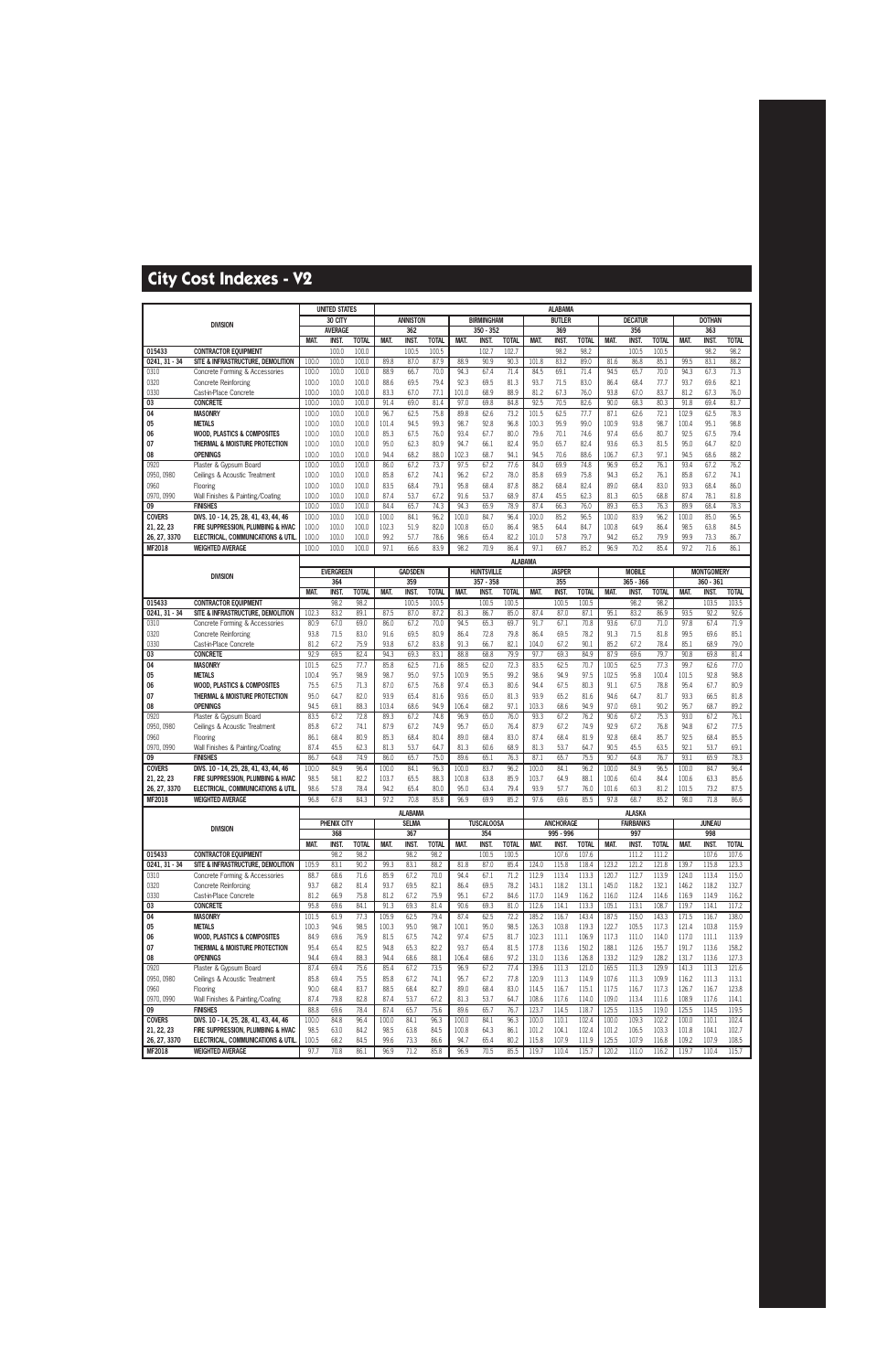|                               |                                                                     |                | <b>UNITED STATES</b>    |                |               |                       |              |                |                                  |                |                | <b>ALABAMA</b>       |                |                |                            |                |                |                                  |                |
|-------------------------------|---------------------------------------------------------------------|----------------|-------------------------|----------------|---------------|-----------------------|--------------|----------------|----------------------------------|----------------|----------------|----------------------|----------------|----------------|----------------------------|----------------|----------------|----------------------------------|----------------|
|                               | <b>DIVISION</b>                                                     |                | 30 CITY                 |                |               | <b>ANNISTON</b>       |              |                | <b>BIRMINGHAM</b>                |                |                | <b>BUTLER</b>        |                |                | <b>DECATUR</b>             |                |                | <b>DOTHAN</b>                    |                |
|                               |                                                                     |                | <b>AVERAGE</b>          |                |               | 362                   |              |                | 350 - 352                        |                |                | 369                  |                |                | 356                        |                |                | 363                              |                |
|                               |                                                                     | MAT.           | <b>INST.</b>            | <b>TOTAL</b>   | MAT.          | <b>INST</b>           | <b>TOTAL</b> | MAT.           | <b>INST</b>                      | <b>TOTAL</b>   | MAT.           | <b>INST</b>          | <b>TOTAL</b>   | MAT.           | <b>INST</b>                | <b>TOTAL</b>   | MAT.           | <b>INST</b>                      | <b>TOTAL</b>   |
| 015433                        | <b>CONTRACTOR EQUIPMENT</b>                                         |                | 100.0                   | 100.0          |               | 100.5                 | 100.5        |                | 102.                             | 102.7          |                | 98.2                 | 98.2           |                | 100.5                      | 100.5          |                | 98.2                             | 98.2           |
| 0241, 31 - 34                 | SITE & INFRASTRUCTURE, DEMOLITION<br>Concrete Forming & Accessories | 100.0<br>100.0 | 100.0                   | 100.0<br>100.0 | 89.8<br>88.9  | 87.0<br>66.7          | 87.9<br>70.0 | 88.9<br>94.3   | 90.9<br>67.4                     | 90.3<br>71.4   | 101.8<br>84.5  | 83.2<br>69.1         | 89.0<br>71.4   | 81.6<br>94.5   | 86.8<br>65.7               | 85.1<br>70.0   | 99.5<br>94.3   | 83.1<br>67.3                     | 88.2<br>71.3   |
| 0310<br>0320                  | <b>Concrete Reinforcing</b>                                         | 100.0          | 100.0<br>100.0          | 100.0          | 88.6          | 69.5                  | 79.4         | 92.3           | 69.5                             | 81.3           | 93.7           | 71.5                 | 83.0           | 86.4           | 68.4                       | 77.7           | 93.7           | 69.6                             | 82.1           |
| 0330                          | Cast-in-Place Concrete                                              | 100.0          | 100.0                   | 100.0          | 83.3          | 67.0                  | 77.1         | 101.0          | 68.9                             | 88.9           | 81.2           | 67.3                 | 76.0           | 93.8           | 67.0                       | 83.7           | 81.2           | 67.3                             | 76.0           |
| $\overline{03}$               | <b>CONCRETE</b>                                                     | 100.0          | 100.0                   | 100.0          | 91.4          | 69.0                  | 81.4         | 97.0           | 69.8                             | 84.8           | 92.5           | 70.5                 | 82.6           | 90.0           | 68.3                       | 80.3           | 91.8           | 69.4                             | 81.7           |
| 04                            | <b>MASONRY</b>                                                      | 100.0          | 100.0                   | 100.0          | 96.7          | 62.5                  | 75.8         | 89.8           | 62.6                             | 73.2           | 101.5          | 62.5                 | 77.7           | 87.1           | 62.6                       | 72.1           | 102.9          | 62.5                             | 78.3           |
| 05                            | <b>METALS</b>                                                       | 100.0          | 100.0                   | 100.0          | 101.4         | 94.5                  | 99.3         | 98.7           | 92.8                             | 96.8           | 100.3          | 95.9                 | 99.0           | 100.9          | 93.8                       | 98.7           | 100.4          | 95.1                             | 98.8           |
| 06                            | <b>WOOD, PLASTICS &amp; COMPOSITES</b>                              | 100.0          | 100.0                   | 100.0          | 85.3          | 67.5                  | 76.0         | 93.4           | 67.7                             | 80.0           | 79.6           | 70.1                 | 74.6           | 97.4           | 65.6                       | 80.7           | 92.5           | 67.5                             | 79.4           |
| 07                            | THERMAL & MOISTURE PROTECTION                                       | 100.0          | 100.0                   | 100.0          | 95.0          | 62.3                  | 80.9         | 94.7           | 66.1                             | 82.4           | 95.0           | 65.7                 | 82.4           | 93.6           | 65.3                       | 81.5           | 95.0           | 64.7                             | 82.0           |
| 08                            | <b>OPENINGS</b>                                                     | 100.0          | 100.0                   | 100.0          | 94.4          | 68.2                  | 88.0         | 102.3          | 68.7                             | 94.1           | 94.5           | 70.6                 | 88.6           | 106.7          | 67.3                       | 97.1           | 94.5           | 68.6                             | 88.2           |
| 0920                          | Plaster & Gypsum Board                                              | 100.0          | 100.0                   | 100.0          | 86.0          | 67.2                  | 73.7         | 97.5           | 67.2                             | 77.6           | 84.0           | 69.9                 | 74.8           | 96.9           | 65.2                       | 76.1           | 93.4           | 67.2                             | 76.2           |
| 0950, 0980                    | Ceilings & Acoustic Treatment                                       | 100.0          | 100.0                   | 100.0          | 85.8          | 67.2                  | 74.1         | 96.2           | 67.2                             | 78.0           | 85.8           | 69.9                 | 75.8           | 94.3           | 65.2                       | 76.1           | 85.8           | 67.2                             | 74.1           |
| 0960                          | Flooring                                                            | 100.0          | 100.0                   | 100.0          | 83.5          | 68.4                  | 79.1         | 95.8           | 68.4                             | 87.8           | 88.2           | 68.4                 | 82.4           | 89.0           | 68.4                       | 83.0           | 93.3           | 68.4                             | 86.0           |
| 0970, 0990                    | Wall Finishes & Painting/Coating                                    | 100.0          | 100.0                   | 100.0          | 87.4          | 53.7                  | 67.2         | 91.6           | 53.7                             | 68.9           | 87.4           | 45.5                 | 62.3           | 81.3           | 60.5                       | 68.8           | 87.4           | 78.1                             | 81.8           |
| 09                            | <b>FINISHES</b>                                                     | 100.0          | 100.0                   | 100.0          | 84.4          | 65.7                  | 74.3         | 94.3           | 65.9                             | 78.9           | 87.4           | 66.3                 | 76.0           | 89.3           | 65.3                       | 76.3           | 89.9           | 68.4                             | 78.3           |
| <b>COVERS</b>                 | DIVS. 10 - 14, 25, 28, 41, 43, 44, 46                               | 100.0          | 100.0                   | 100.0          | 100.0         | 84.1                  | 96.2         | 100.0          | 84.7                             | 96.4           | 100.0          | 85.2                 | 96.5           | 100.0          | 83.9                       | 96.2           | 100.0          | 85.0                             | 96.5           |
| 21, 22, 23                    | FIRE SUPPRESSION. PLUMBING & HVAC                                   | 100.0          | 100.0                   | 100.0          | 102.3         | 51.9                  | 82.0         | 100.8          | 65.0                             | 86.4           | 98.5           | 64.4                 | 84.7           | 100.8          | 64.9                       | 86.4           | 98.5           | 63.8                             | 84.5           |
| 26, 27, 3370<br><b>MF2018</b> | ELECTRICAL, COMMUNICATIONS & UTIL<br><b>WEIGHTED AVERAGE</b>        | 100.0<br>100.0 | 100.0<br>100.0          | 100.0          | 99.2<br>97.1  | 57.7                  | 78.6<br>83.9 | 98.6<br>98.2   | 65.4<br>70.9                     | 82.2<br>86.4   | 101.0<br>97.1  | 57.8<br>69.7         | 79.7<br>85.2   | 94.2<br>96.9   | 65.2<br>70.2               | 79.9<br>85.4   | 99.9<br>97.2   | 73.3                             | 86.7<br>86.1   |
|                               |                                                                     |                |                         | 100.0          |               | 66.6                  |              |                |                                  |                |                |                      |                |                |                            |                |                | 71.6                             |                |
|                               |                                                                     |                |                         |                |               |                       |              |                |                                  | <b>ALABAMA</b> |                |                      |                |                |                            |                |                |                                  |                |
|                               | <b>DIVISION</b>                                                     |                | <b>EVERGREEN</b><br>364 |                |               | <b>GADSDEN</b><br>359 |              |                | <b>HUNTSVILLE</b><br>$357 - 358$ |                |                | <b>JASPER</b><br>355 |                |                | <b>MOBILE</b><br>365 - 366 |                |                | <b>MONTGOMERY</b><br>$360 - 361$ |                |
|                               |                                                                     | MAT.           | INST.                   | <b>TOTAL</b>   | MAT.          | <b>INST.</b>          | <b>TOTAL</b> | MAT.           | <b>INST</b>                      | <b>TOTAL</b>   | MAT.           | <b>INST.</b>         | <b>TOTAL</b>   | MAT.           | <b>INST.</b>               | <b>TOTAL</b>   | MAT.           | <b>INST.</b>                     | <b>TOTAL</b>   |
| 015433                        | <b>CONTRACTOR EQUIPMENT</b>                                         |                | 98.2                    | 98.2           |               | 100.5                 | 100.5        |                | 100.5                            | 100.5          |                | 100.5                | 100.5          |                | 98.2                       | 98.2           |                | 103.5                            | 103.5          |
| 0241.31 - 34                  | SITE & INFRASTRUCTURE, DEMOLITION                                   | 102.3          | 83.2                    | 89.1           | 87.5          | 87.0                  | 87.2         | 81.3           | 86.7                             | 85.0           | 87.4           | 87.0                 | 87.1           | 95.1           | 83.2                       | 86.9           | 93.5           | 92.2                             | 92.6           |
| 0310                          | Concrete Forming & Accessories                                      | 80.9           | 67.0                    | 69.0           | 86.0          | 67.2                  | 70.0         | 94.5           | 65.3                             | 69.7           | 91.7           | 67.1                 | 70.8           | 93.6           | 67.0                       | 71.0           | 97.8           | 67.4                             | 71.9           |
| 0320                          | <b>Concrete Reinforcing</b>                                         | 93.8           | 71.5                    | 83.0           | 91.6          | 69.5                  | 80.9         | 86.4           | 72.8                             | 79.8           | 86.4           | 69.5                 | 78.2           | 91.3           | 71.5                       | 81.8           | 99.5           | 69.6                             | 85.1           |
| 0330                          | Cast-in-Place Concrete                                              | 81.2           | 67.2                    | 75.9           | 93.8          | 67.2                  | 83.8         | 91.3           | 66.7                             | 82.1           | 104.0          | 67.2                 | 90.1           | 85.2           | 67.2                       | 78.4           | 85.1           | 68.9                             | 79.0           |
| 03                            | <b>CONCRETE</b>                                                     | 92.9           | 69.5                    | 82.4           | 94.3          | 69.3                  | 83.1         | 88.8           | 68.8                             | 79.9           | 97.7           | 69.3                 | 84.9           | 87.9           | 69.6                       | 79.7           | 90.8           | 69.8                             | 81.4           |
| 04                            | <b>MASONRY</b>                                                      | 101.5          | 62.5                    | 77.7           | 85.8          | 62.5                  | 71.6         | 88.5           | 62.0                             | 72.3           | 83.5           | 62.5                 | 70.7           | 100.5          | 62.5                       | 77.3           | 99.7           | 62.6                             | 77.0           |
| 05                            | <b>METALS</b>                                                       | 100.4          | 95.7                    | 98.9           | 98.7          | 95.0                  | 97.5         | 100.9          | 95.5                             | 99.2           | 98.6           | 94.9                 | 97.5           | 102.5          | 95.8                       | 100.4          | 101.5          | 92.8                             | 98.8           |
| 06                            | <b>WOOD, PLASTICS &amp; COMPOSITES</b>                              | 75.5           | 67.5                    | 71.3           | 87.0          | 67.5                  | 76.8         | 97.4           | 65.3                             | 80.6           | 94.4           | 67.5                 | 80.3           | 91.1           | 67.5                       | 78.8           | 95.4           | 67.7                             | 80.9           |
| 07                            | THERMAL & MOISTURE PROTECTION                                       | 95.0           | 64.7                    | 82.0           | 93.9          | 65.4                  | 81.6         | 93.6           | 65.0                             | 81.3           | 93.9           | 65.2                 | 81.6           | 94.6           | 64.7                       | 81.7           | 93.3           | 66.5                             | 81.8           |
| 08                            | <b>OPENINGS</b>                                                     | 94.5<br>83.5   | 69.1<br>67.2            | 88.3           | 103.4         | 68.6                  | 94.9         | 106.4<br>96.9  | 68.2                             | 97.1<br>76.0   | 103.3<br>93.3  | 68.6                 | 94.9           | 97.0<br>90.6   | 69.1<br>67.2               | 90.2           | 95.7<br>93.0   | 68.7                             | 89.2           |
| 0920<br>0950, 0980            | Plaster & Gypsum Board<br>Ceilings & Acoustic Treatment             | 85.8           | 67.2                    | 72.8<br>74.1   | 89.3<br>87.9  | 67.2<br>67.2          | 74.8<br>74.9 | 95.7           | 65.0<br>65.0                     | 76.4           | 87.9           | 67.2<br>67.2         | 76.2<br>74.9   | 92.9           | 67.2                       | 75.3<br>76.8   | 94.8           | 67.2<br>67.2                     | 76.1<br>77.5   |
| 0960                          | Flooring                                                            | 86.1           | 68.4                    | 80.9           | 85.3          | 68.4                  | 80.4         | 89.0           | 68.4                             | 83.0           | 87.4           | 68.4                 | 81.9           | 92.8           | 68.4                       | 85.7           | 92.5           | 68.4                             | 85.5           |
| 0970, 0990                    | Wall Finishes & Painting/Coating                                    | 87.4           | 45.5                    | 62.3           | 81.3          | 53.7                  | 64.7         | 81.3           | 60.6                             | 68.9           | 81.3           | 53.7                 | 64.7           | 90.5           | 45.5                       | 63.5           | 92.1           | 53.7                             | 69.1           |
| 09                            | <b>FINISHES</b>                                                     | 86.7           | 64.8                    | 74.9           | 86.0          | 65.7                  | 75.0         | 89.6           | 65.1                             | 76.3           | 87.1           | 65.7                 | 75.5           | 90.7           | 64.8                       | 76.7           | 93.1           | 65.9                             | 78.3           |
| <b>COVERS</b>                 | DIVS. 10 - 14, 25, 28, 41, 43, 44, 46                               | 100.0          | 84.9                    | 96.4           | 100.0         | 84.1                  | 96.3         | 100.0          | 83.7                             | 96.2           | 100.0          | 84.1                 | 96.2           | 100.0          | 84.9                       | 96.5           | 100.0          | 84.7                             | 96.4           |
| 21, 22, 23                    | FIRE SUPPRESSION, PLUMBING & HVAC                                   | 98.5           | 58.1                    | 82.2           | 103.7         | 65.5                  | 88.3         | 100.8          | 63.8                             | 85.9           | 103.7          | 64.9                 | 88.1           | 100.6          | 60.4                       | 84.4           | 100.6          | 63.3                             | 85.6           |
| 26, 27, 3370                  | ELECTRICAL, COMMUNICATIONS & UTIL                                   | 98.6           | 57.8                    | 78.4           | 94.2          | 65.4                  | 80.0         | 95.0           | 63.4                             | 79.4           | 93.9           | 57.7                 | 76.0           | 101.6          | 60.3                       | 81.2           | 101.5          | 73.2                             | 87.5           |
| MF2018                        | <b>WEIGHTED AVERAGE</b>                                             | 96.8           | 67.8                    | 84.3           | 97.2          | 70.8                  | 85.8         | 96.9           | 69.9                             | 85.2           | 97.6           | 69.6                 | 85.5           | 97.8           | 68.7                       | 85.2           | 98.0           | 71.8                             | 86.6           |
|                               |                                                                     |                |                         |                |               | <b>ALABAMA</b>        |              |                |                                  |                |                |                      |                |                | <b>ALASKA</b>              |                |                |                                  |                |
|                               | <b>DIVISION</b>                                                     |                | PHENIX CITY             |                |               | <b>SELMA</b>          |              |                | <b>TUSCALOOSA</b>                |                |                | <b>ANCHORAGE</b>     |                |                | <b>FAIRBANKS</b>           |                |                | <b>JUNEAU</b>                    |                |
|                               |                                                                     |                | 368                     |                |               | 367                   |              |                | 354                              |                |                | 995 - 996            |                |                | 997                        |                |                | 998                              |                |
|                               |                                                                     | MAT.           | <b>INST.</b>            | <b>TOTAL</b>   | MAT.          | <b>INST.</b>          | <b>TOTAL</b> | MAT.           | <b>INST.</b>                     | <b>TOTAL</b>   | MAT.           | INST.                | <b>TOTAL</b>   | MAT.           | INST.                      | <b>TOTAL</b>   | MAT.           | <b>INST.</b>                     | <b>TOTAL</b>   |
| 015433<br>0241, 31 - 34       | <b>CONTRACTOR EQUIPMENT</b><br>SITE & INFRASTRUCTURE, DEMOLITION    | 105.9          | 98.2<br>83.1            | 98.2<br>90.2   | 99.3          | 98.2<br>83.1          | 98.2<br>88.2 | 81.8           | 100.5<br>87.0                    | 100.5<br>85.4  | 124.0          | 107.6<br>115.8       | 107.6<br>118.4 | 123.2          | 111.2<br>121.2             | 111.2<br>121.8 | 139.7          | 107.6<br>115.8                   | 107.6<br>123.3 |
| 0310                          | Concrete Forming & Accessories                                      | 88.7           | 68.6                    | 71.6           | 85.9          | 67.2                  | 70.0         | 94.4           | 67.1                             | 71.2           | 112.9          | 113.4                | 113.3          | 120.7          | 112.7                      | 113.9          | 124.0          | 113.4                            | 115.0          |
| 0320                          | <b>Concrete Reinforcing</b>                                         | 93.7           | 68.2                    | 81.4           | 93.7          | 69.5                  | 82.1         | 86.4           | 69.5                             | 78.2           | 143.1          | 118.2                | 131.1          | 145.0          | 118.2                      | 132.1          | 146.2          | 118.2                            | 132.7          |
| 0330                          | Cast-in-Place Concrete                                              | 81.2           | 66.9                    | 75.8           | 81.2          | 67.2                  | 75.9         | 95.1           | 67.2                             | 84.6           | 117.0          | 114.9                | 116.2          | 116.0          | 112.4                      | 114.6          | 116.9          | 114.9                            | 116.2          |
| 03                            | <b>CONCRETE</b>                                                     | 95.8           | 69.6                    | 84.1           | 91.3          | 69.3                  | 81.4         | 90.6           | 69.3                             | 81.0           | 112.6          | 114.1                | 113.3          | 105.1          | 113.1                      | 108.7          | 119.7          | 114.1                            | 117.2          |
| $\overline{04}$               | <b>MASONRY</b>                                                      | 101.5          | 61.9                    | 77.3           | 105.9         | 62.5                  | 79.4         | 87.4           | 62.5                             | 72.2           | 185.2          | 116.7                | 143.4          | 187.5          | 115.0                      | 143.3          | 171.5          | 116.7                            | 138.0          |
| 05                            | <b>METALS</b>                                                       | 100.3          | 94.6                    | 98.5           | 100.3         | 95.0                  | 98.7         | 100.1          | 95.0                             | 98.5           | 126.3          | 103.8                | 119.3          | 122.7          | 105.5                      | 117.3          | 121.4          | 103.8                            | 115.9          |
| 06                            | <b>WOOD, PLASTICS &amp; COMPOSITES</b>                              | 84.9           | 69.6                    | 76.9           | 81.5          | 67.5                  | 74.2         | 97.4           | 67.5                             | 81.7           | 102.3          | 111.1                | 106.9          | 117.3          | 111.0                      | 114.0          | 117.0          | 111.1                            | 113.9          |
| 07                            | THERMAL & MOISTURE PROTECTION                                       | 95.4           | 65.4                    | 82.5           | 94.8          | 65.3                  | 82.2         | 93.7           | 65.4                             | 81.5           | 177.8          | 113.6                | 150.2          | 188.1          | 112.6                      | 155.7          | 191.7          | 113.6                            | 158.2          |
| 08                            | <b>OPENINGS</b>                                                     | 94.4           | 69.4                    | 88.3           | 94.4          | 68.6                  | 88.1         | 106.4          | 68.6                             | 97.2           | 131.0          | 113.6                | 126.8          | 133.2          | 112.9                      | 128.2          | 131.7          | 113.6                            | 127.3          |
| 0920                          | Plaster & Gypsum Board                                              | 87.4           | 69.4                    | 75.6           | 85.4          | 67.2                  | 73.5         | 96.9           | 67.2                             | 77.4           | 139.6          | 111.3                | 121.0          | 165.5          | 111.3                      | 129.9          | 141.3          | 111.3                            | 121.6          |
| 0950, 0980                    | Ceilings & Acoustic Treatment                                       | 85.8           | 69.4                    | 75.5           | 85.8          | 67.2                  | 74.1         | 95.7           | 67.2                             | 77.8           | 120.9          | 111.3                | 114.9          | 107.6          | 111.3                      | 109.9          | 116.2          | 111.3                            | 113.1          |
| 0960                          | Flooring                                                            | 90.0           | 68.4                    | 83.7           | 88.5          | 68.4                  | 82.7         | 89.0           | 68.4                             | 83.0           | 114.5          | 116.7                | 115.1          | 117.5          | 116.7                      | 117.3          | 126.7          | 116.7                            | 123.8          |
| 0970, 0990                    | Wall Finishes & Painting/Coating                                    | 87.4           | 79.8                    | 82.8           | 87.4          | 53.7                  | 67.2         | 81.3           | 53.7                             | 64.7           | 108.6          | 117.6                | 114.0          | 109.0          | 113.4                      | 111.6          | 108.9          | 117.6                            | 114.1          |
| 09<br><b>COVERS</b>           | <b>FINISHES</b><br>DIVS. 10 - 14, 25, 28, 41, 43, 44, 46            | 88.8<br>100.0  | 69.6<br>84.8            | 78.4<br>96.4   | 87.4          | 65.7<br>84.1          | 75.6         | 89.6           | 65.7                             | 76.7           | 123.7          | 114.5                | 118.7          | 125.5          | 113.5                      | 119.0          | 125.5          | 114.5<br>110.1                   | 119.5<br>102.4 |
| 21, 22, 23                    | FIRE SUPPRESSION, PLUMBING & HVAC                                   | 98.5           | 63.0                    | 84.2           | 100.0<br>98.5 | 63.8                  | 96.3<br>84.5 | 100.0<br>100.8 | 84.1<br>64.3                     | 96.3<br>86.1   | 100.0<br>101.2 | 110.1<br>104.1       | 102.4<br>102.4 | 100.0<br>101.2 | 109.3<br>106.5             | 102.2<br>103.3 | 100.0<br>101.8 | 104.1                            | 102.7          |
| 26, 27, 3370                  | ELECTRICAL, COMMUNICATIONS & UTIL                                   | 100.5          | 68.2                    | 84.5           | 99.6          | 73.3                  | 86.6         | 94.7           | 65.4                             | 80.2           | 115.8          | 107.9                | 111.9          | 125.5          | 107.9                      | 116.8          | 109.2          | 107.9                            | 108.5          |
| <b>MF2018</b>                 | <b>WEIGHTED AVERAGE</b>                                             | 97.7           | 70.8                    | 86.1           | 96.9          | 71.2                  | 85.8         | 96.9           | 70.5                             | 85.5           | 119.7          | 110.4                | 115.7          | 120.2          | 111.0                      | 116.2          | 119.7          | 110.4                            | 115.7          |
|                               |                                                                     |                |                         |                |               |                       |              |                |                                  |                |                |                      |                |                |                            |                |                |                                  |                |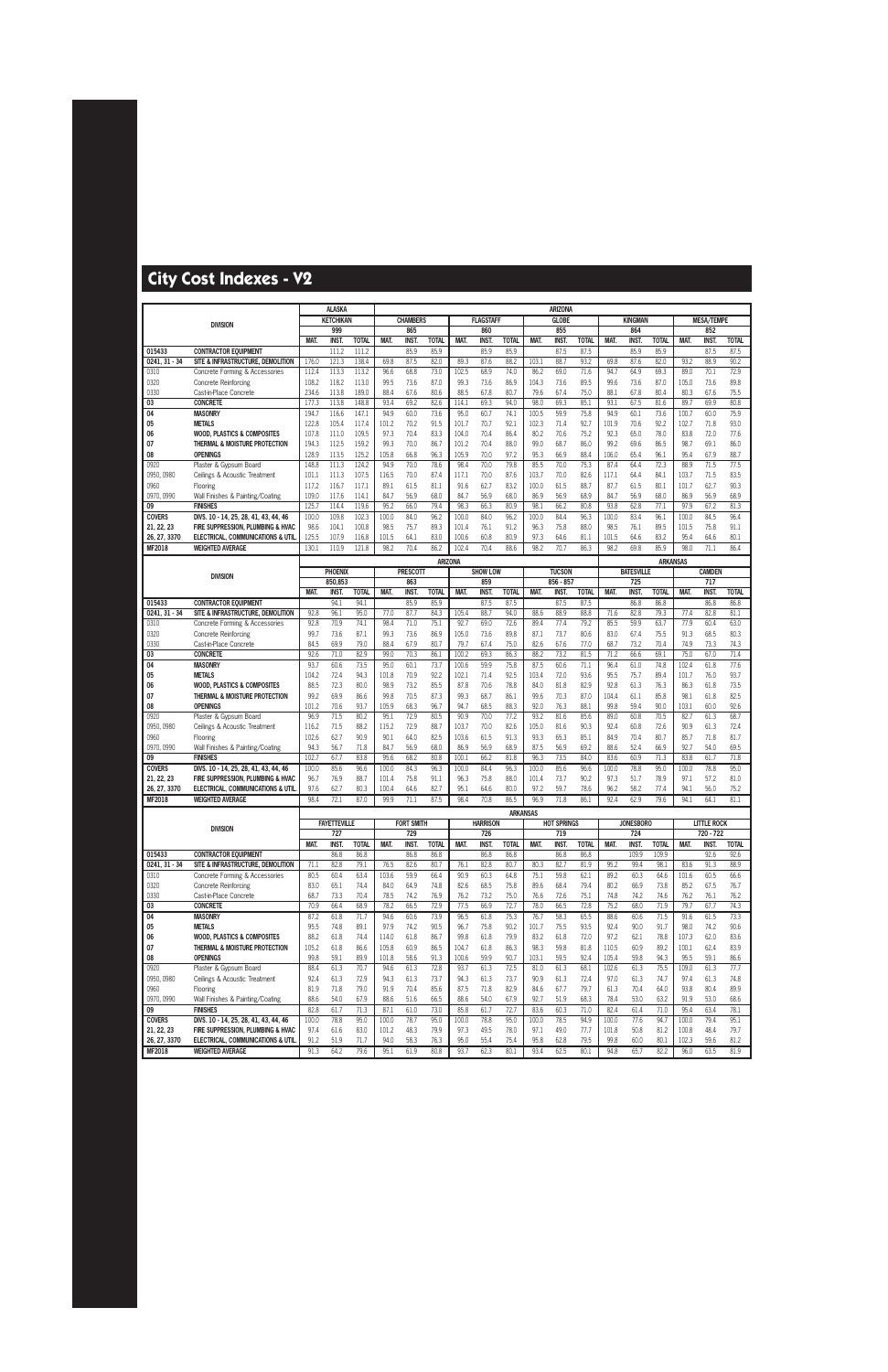|                             |                                                                            |                | <b>ALASKA</b>       |                       |                |                     |                      |                |                     |                      |               | <b>ARIZONA</b>      |                      |                |                      |                      |                |                      |                      |
|-----------------------------|----------------------------------------------------------------------------|----------------|---------------------|-----------------------|----------------|---------------------|----------------------|----------------|---------------------|----------------------|---------------|---------------------|----------------------|----------------|----------------------|----------------------|----------------|----------------------|----------------------|
|                             | <b>DIVISION</b>                                                            |                | <b>KETCHIKAN</b>    |                       |                | <b>CHAMBERS</b>     |                      |                | <b>FLAGSTAFF</b>    |                      |               | <b>GLOBE</b>        |                      |                | <b>KINGMAN</b>       |                      |                | <b>MESA/TEMPE</b>    |                      |
|                             |                                                                            |                | 999                 |                       |                | 865                 |                      |                | 860                 |                      |               | 855                 |                      |                | 864                  |                      |                | 852                  |                      |
|                             | <b>CONTRACTOR EQUIPMENT</b>                                                | MAT.           | <b>INST</b>         | <b>TOTAL</b><br>111.2 | MAT.           | <b>INST</b><br>85.9 | <b>TOTAL</b><br>85.9 | MAT.           | <b>INST</b><br>85.9 | <b>TOTAL</b><br>85.9 | MAT.          | <b>INST</b><br>87.5 | <b>TOTAL</b><br>87.5 | MAT.           | <b>INST.</b><br>85.9 | <b>TOTAL</b><br>85.9 | MAT.           | <b>INST.</b><br>87.5 | <b>TOTAL</b><br>87.5 |
| 015433<br>0241, 31 - 34     | SITE & INFRASTRUCTURE. DEMOLITION                                          | 176.0          | 111.2<br>121.3      | 138.4                 | 69.8           | 87.5                | 82.0                 | 89.3           | 87.6                | 88.2                 | 103.1         | 88.7                | 93.2                 | 69.8           | 87.6                 | 82.0                 | 93.2           | 88.9                 | 90.2                 |
| 0310                        | Concrete Forming & Accessories                                             | 112.4          | 113.3               | 113.2                 | 96.6           | 68.8                | 73.0                 | 102.5          | 68.9                | 74.0                 | 86.2          | 69.0                | 71.6                 | 94.7           | 64.9                 | 69.3                 | 89.0           | 70.1                 | 72.9                 |
| 0320                        | <b>Concrete Reinforcing</b>                                                | 108.2          | 118.2               | 113.0                 | 99.5           | 73.6                | 87.0                 | 99.3           | 73.6                | 86.9                 | 104.3         | 73.6                | 89.5                 | 99.6           | 73.6                 | 87.0                 | 105.0          | 73.6                 | 89.8                 |
| 0330                        | Cast-in-Place Concrete                                                     | 234.6          | 113.8               | 189.0                 | 88.4           | 67.6                | 80.6                 | 88.5           | 67.8                | 80.7                 | 79.6          | 67.4                | 75.0                 | 88.1           | 67.8                 | 80.4                 | 80.3           | 67.6                 | 75.5                 |
| 03                          | <b>CONCRETE</b>                                                            | 177.3          | 113.8               | 148.8                 | 93.4           | 69.2                | 82.6                 | 114.1          | 69.3                | 94.0                 | 98.0          | 69.3                | 85.1                 | 93.1           | 67.5                 | 81.6                 | 89.7           | 69.9                 | 80.8                 |
| 04                          | <b>MASONRY</b>                                                             | 194.7          | 116.6               | 147.1                 | 94.9           | 60.0                | 73.6                 | 95.0           | 60.7                | 74.1                 | 100.5         | 59.9                | 75.8                 | 94.9           | 60.1                 | 73.6                 | 100.7          | 60.0                 | 75.9                 |
| 05                          | <b>METALS</b>                                                              | 122.8          | 105.4               | 117.4                 | 101.2          | 70.2                | 91.5                 | 101.7          | 70.7                | 92.1                 | 102.3         | 71.4                | 92.7                 | 101.9          | 70.6                 | 92.2                 | 102.7          | 71.8                 | 93.0                 |
| 06                          | <b>WOOD. PLASTICS &amp; COMPOSITES</b>                                     | 107.8          | 111.0               | 109.5                 | 97.3           | 70.4                | 83.3                 | 104.0          | 70.4                | 86.4                 | 80.2          | 70.6                | 75.2                 | 92.3           | 65.0                 | 78.0                 | 83.8           | 72.0                 | 77.6                 |
| 07<br>08                    | THERMAL & MOISTURE PROTECTION<br><b>OPENINGS</b>                           | 194.3<br>128.9 | 112.5<br>113.5      | 159.2<br>125.2        | 99.3<br>105.8  | 70.0<br>66.8        | 86.7<br>96.3         | 101.2<br>105.9 | 70.4<br>70.0        | 88.0<br>97.2         | 99.0<br>95.3  | 68.7<br>66.9        | 86.0<br>88.4         | 99.2<br>106.0  | 69.6<br>65.4         | 86.5<br>96.1         | 98.7<br>95.4   | 69.1<br>67.9         | 86.0<br>88.7         |
| 0920                        | Plaster & Gypsum Board                                                     | 148.8          | 111.3               | 124.2                 | 94.9           | 70.0                | 78.6                 | 98.4           | 70.0                | 79.8                 | 85.5          | 70.0                | 75.3                 | 87.4           | 64.4                 | 72.3                 | 88.9           | 71.5                 | 77.5                 |
| 0950, 0980                  | Ceilings & Acoustic Treatment                                              | 101.1          | 111.3               | 107.5                 | 116.5          | 70.0                | 87.4                 | 117.1          | 70.0                | 87.6                 | 103.7         | 70.0                | 82.6                 | 117.1          | 64.4                 | 84.1                 | 103.7          | 71.5                 | 83.5                 |
| 0960                        | Flooring                                                                   | 117.2          | 116.7               | 117.1                 | 89.1           | 61.5                | 81.1                 | 91.6           | 62.7                | 83.2                 | 100.0         | 61.5                | 88.7                 | 87.7           | 61.5                 | 80.1                 | 101.7          | 62.7                 | 90.3                 |
| 0970, 0990                  | Wall Finishes & Painting/Coating                                           | 109.0          | 117.6               | 114.1                 | 84.7           | 56.9                | 68.0                 | 84.7           | 56.9                | 68.0                 | 86.9          | 56.9                | 68.9                 | 84.7           | 56.9                 | 68.0                 | 86.9           | 56.9                 | 68.9                 |
| 09                          | <b>FINISHES</b>                                                            | 125.7          | 114.4               | 119.6                 | 95.2           | 66.0                | 79.4                 | 98.3           | 66.3                | 80.9                 | 98.1          | 66.2                | 80.8                 | 93.8           | 62.8                 | 77.1                 | 97.9           | 67.2                 | 81.3                 |
| <b>COVERS</b>               | DIVS. 10 - 14, 25, 28, 41, 43, 44, 46                                      | 100.0          | 109.8               | 102.3                 | 100.0          | 84.0                | 96.2                 | 100.0          | 84.0                | 96.2                 | 100.0         | 84.4                | 96.3                 | 100.0          | 83.4                 | 96.1                 | 100.0          | 84.5                 | 96.4                 |
| 21, 22, 23<br>26, 27, 3370  | FIRE SUPPRESSION, PLUMBING & HVAC<br>ELECTRICAL, COMMUNICATIONS & UTIL     | 98.6<br>125.5  | 104.1<br>107.9      | 100.8<br>116.8        | 98.5<br>101.5  | 75.7<br>64.1        | 89.3<br>83.0         | 101.4<br>100.6 | 76.1<br>60.8        | 91.2<br>80.9         | 96.3<br>97.3  | 75.8<br>64.6        | 88.0<br>81.1         | 98.5<br>101.5  | 76.1<br>64.6         | 89.5<br>83.2         | 101.5<br>95.4  | 75.8<br>64.6         | 91.1<br>80.1         |
| <b>MF2018</b>               | <b>WEIGHTED AVERAGE</b>                                                    | 130.1          | 110.9               | 121.8                 | 98.2           | 70.4                | 86.2                 | 102.4          | 70.4                | 88.6                 | 98.2          | 70.7                | 86.3                 | 98.2           | 69.8                 | 85.9                 | 98.0           | 71.1                 | 86.4                 |
|                             |                                                                            |                |                     |                       |                |                     | <b>ARIZONA</b>       |                |                     |                      |               |                     |                      |                |                      | <b>ARKANSAS</b>      |                |                      |                      |
|                             | <b>DIVISION</b>                                                            |                | <b>PHOENIX</b>      |                       |                | <b>PRESCOTT</b>     |                      |                | <b>SHOW LOW</b>     |                      |               | <b>TUCSON</b>       |                      |                | <b>BATESVILLE</b>    |                      |                | <b>CAMDEN</b>        |                      |
|                             |                                                                            |                | 850,853             |                       |                | 863                 |                      |                | 859                 |                      |               | 856 - 857           |                      |                | 725                  |                      |                | 717                  |                      |
|                             |                                                                            | MAT.           | <b>INST.</b>        | <b>TOTAL</b>          | MAT.           | <b>INST.</b>        | <b>TOTAL</b>         | MAT.           | <b>INST</b>         | <b>TOTAL</b>         | MAT.          | INST.               | <b>TOTAL</b>         | MAT.           | INST.                | <b>TOTAL</b>         | MAT.           | <b>INST.</b>         | <b>TOTAL</b>         |
| 015433<br>$0241, 31 - 34$   | <b>CONTRACTOR EQUIPMENT</b><br>SITE & INFRASTRUCTURE. DEMOLITION           | 92.8           | 94.1<br>96.1        | 94.1<br>95.0          | 77.0           | 85.9<br>87.7        | 85.9<br>84.3         | 105.4          | 87.5<br>88.7        | 87.5<br>94.0         | 88.6          | 87.5<br>88.9        | 87.5<br>88.8         | 71.6           | 86.8<br>82.8         | 86.8<br>79.3         | 77.4           | 86.8<br>82.8         | 86.8<br>81.1         |
| 0310                        | Concrete Forming & Accessories                                             | 92.8           | 70.9                | 74.1                  | 98.4           | 71.0                | 75.1                 | 92.7           | 69.0                | 72.6                 | 89.4          | 77.4                | 79.2                 | 85.5           | 59.9                 | 63.7                 | 77.9           | 60.4                 | 63.0                 |
| 0320                        | <b>Concrete Reinforcing</b>                                                | 99.7           | 73.6                | 87.1                  | 99.3           | 73.6                | 86.9                 | 105.0          | 73.6                | 89.8                 | 87.1          | 73.7                | 80.6                 | 83.0           | 67.4                 | 75.5                 | 91.3           | 68.5                 | 80.3                 |
| 0330                        | Cast-in-Place Concrete                                                     | 84.5           | 69.9                | 79.0                  | 88.4           | 67.9                | 80.7                 | 79.7           | 67.4                | 75.0                 | 82.6          | 67.6                | 77.0                 | 68.7           | 73.2                 | 70.4                 | 74.9           | 73.3                 | 74.3                 |
| 03                          | <b>CONCRETE</b>                                                            | 92.6           | 71.0                | 82.9                  | 99.0           | 70.3                | 86.1                 | 100.2          | 69.3                | 86.3                 | 88.2          | 73.2                | 81.5                 | 71.2           | 66.6                 | 69.1                 | 75.0           | 67.0                 | 71.4                 |
| 04                          | <b>MASONRY</b>                                                             | 93.7           | 60.6                | 73.5                  | 95.0           | 60.1                | 73.7                 | 100.6          | 59.9                | 75.8                 | 87.5          | 60.6                | 71.1                 | 96.4           | 61.0                 | 74.8                 | 102.4          | 61.8                 | 77.6                 |
| 05<br>06                    | <b>METALS</b><br><b>WOOD, PLASTICS &amp; COMPOSITES</b>                    | 104.2<br>88.5  | 72.4<br>72.3        | 94.3<br>80.0          | 101.8<br>98.9  | 70.9<br>73.2        | 92.2<br>85.5         | 102.1<br>87.8  | 71.4<br>70.6        | 92.5<br>78.8         | 103.4<br>84.0 | 72.0<br>81.8        | 93.6<br>82.9         | 95.5<br>92.8   | 75.7<br>61.3         | 89.4<br>76.3         | 101.7<br>86.3  | 76.0<br>61.8         | 93.7<br>73.5         |
| 07                          | THERMAL & MOISTURE PROTECTION                                              | 99.2           | 69.9                | 86.6                  | 99.8           | 70.5                | 87.3                 | 99.3           | 68.7                | 86.1                 | 99.6          | 70.3                | 87.0                 | 104.4          | 61.1                 | 85.8                 | 98.1           | 61.8                 | 82.5                 |
| 08                          | <b>OPENINGS</b>                                                            | 101.2          | 70.6                | 93.7                  | 105.9          | 68.3                | 96.7                 | 94.7           | 68.5                | 88.3                 | 92.0          | 76.3                | 88.1                 | 99.8           | 59.4                 | 90.0                 | 103.1          | 60.0                 | 92.6                 |
| 0920                        | Plaster & Gypsum Board                                                     | 96.9           | 71.5                | 80.2                  | 95.1           | 72.9                | 80.5                 | 90.9           | 70.0                | 77.2                 | 93.2          | 81.6                | 85.6                 | 89.0           | 60.8                 | 70.5                 | 82.7           | 61.3                 | 68.7                 |
| 0950, 0980                  | Ceilings & Acoustic Treatment                                              | 116.2          | 71.5                | 88.2                  | 115.2          | 72.9                | 88.7                 | 103.7          | 70.0                | 82.6                 | 105.0         | 81.6                | 90.3                 | 92.4           | 60.8                 | 72.6                 | 90.9           | 61.3                 | 72.4                 |
| 0960<br>0970, 0990          | Flooring<br>Wall Finishes & Painting/Coating                               | 102.6<br>94.3  | 62.7<br>56.7        | 90.9<br>71.8          | 90.1<br>84.7   | 64.0<br>56.9        | 82.5<br>68.0         | 103.6<br>86.9  | 61.5<br>56.9        | 91.3<br>68.9         | 93.3<br>87.5  | 65.3<br>56.9        | 85.1<br>69.2         | 84.9<br>88.6   | 70.4<br>52.4         | 80.7<br>66.9         | 85.7<br>92.7   | 71.8<br>54.0         | 81.7<br>69.5         |
| 09                          | <b>FINISHES</b>                                                            | 102.7          | 67.7                | 83.8                  | 95.6           | 68.2                | 80.8                 | 100.1          | 66.2                | 81.8                 | 96.3          | 73.5                | 84.0                 | 83.6           | 60.9                 | 71.3                 | 83.8           | 61.7                 | 71.8                 |
| <b>COVERS</b>               | DIVS. 10 - 14, 25, 28, 41, 43, 44, 46                                      | 100.0          | 85.6                | 96.6                  | 100.0          | 84.3                | 96.3                 | 100.0          | 84.4                | 96.3                 | 100.0         | 85.6                | 96.6                 | 100.0          | 78.8                 | 95.0                 | 100.0          | 78.8                 | 95.0                 |
| 21, 22, 23                  | FIRE SUPPRESSION, PLUMBING & HVAC                                          | 96.7           | 76.9                | 88.7                  | 101.4          | 75.8                | 91.1                 | 96.3           | 75.8                | 88.0                 | 101.4         | 73.7                | 90.2                 | 97.3           | 51.7                 | 78.9                 | 97.1           | 57.2                 | 81.0                 |
| 26, 27, 3370                | ELECTRICAL, COMMUNICATIONS & UTIL                                          | 97.6           | 62.7                | 80.3                  | 100.4          | 64.6                | 82.7                 | 95.1           | 64.6                | 80.0                 | 97.2          | 59.7                | 78.6                 | 96.2           | 58.2                 | 77.4                 | 94.1           | 56.0                 | 75.2                 |
| MF2018                      | <b>WEIGHTED AVERAGE</b>                                                    | 98.4           | 72.1                | 87.0                  | 99.9           | 71.1                | 87.5                 | 98.4           | 70.8                | 86.5                 | 96.9          | 71.8                | 86.1                 | 92.4           | 62.9                 | 79.6                 | 94.1           | 64.1                 | 81.1                 |
|                             |                                                                            |                | <b>FAYETTEVILLE</b> |                       |                | <b>FORT SMITH</b>   |                      |                | <b>HARRISON</b>     | <b>ARKANSAS</b>      |               | <b>HOT SPRINGS</b>  |                      |                | <b>JONESBORO</b>     |                      |                | <b>LITTLE ROCK</b>   |                      |
|                             | <b>DIVISION</b>                                                            |                | 727                 |                       |                | 729                 |                      |                | 726                 |                      |               | 719                 |                      |                | 724                  |                      |                | 720 - 722            |                      |
|                             |                                                                            | MAT.           | <b>INST.</b>        | <b>TOTAL</b>          | MAT.           | <b>INST.</b>        | <b>TOTAL</b>         | MAT.           | <b>INST.</b>        | <b>TOTAL</b>         | MAT.          | <b>INST.</b>        | <b>TOTAL</b>         | MAT.           | <b>INST.</b>         | <b>TOTAL</b>         | MAT.           | <b>INST.</b>         | <b>TOTAL</b>         |
| 015433                      | <b>CONTRACTOR EQUIPMENT</b>                                                |                | 86.8                | 86.8                  |                | 86.8                | 86.8                 |                | 86.8                | 86.8                 |               | 86.8                | 86.8                 |                | 109.9                | 109.9                |                | 92.6                 | 92.6                 |
| $0241, 31 - 34$             | SITE & INFRASTRUCTURE, DEMOLITION                                          | 71.1           | 82.8                | 79.1                  | 76.5           | 82.6                | 80.7                 | 76.1           | 82.8                | 80.7                 | 80.3          | 82.7                | 81.9                 | 95.2           | 99.4                 | 98.1                 | 83.6           | 91.3                 | 88.9                 |
| 0310<br>0320                | Concrete Forming & Accessories                                             | 80.5<br>83.0   | 60.4<br>65.1        | 63.4<br>74.4          | 103.6<br>84.0  | 59.9<br>64.9        | 66.4<br>74.8         | 90.9<br>82.6   | 60.3<br>68.5        | 64.8<br>75.8         | 75.1<br>89.6  | 59.8<br>68.4        | 62.1<br>79.4         | 89.2<br>80.2   | 60.3<br>66.9         | 64.6<br>73.8         | 101.6<br>85.2  | 60.5<br>67.5         | 66.6                 |
| 0330                        | <b>Concrete Reinforcing</b><br>Cast-in-Place Concrete                      | 68.7           | 73.3                | 70.4                  | 78.5           | 74.2                | 76.9                 | 76.2           | 73.2                | 75.0                 | 76.6          | 72.6                | 75.1                 | 74.8           | 74.2                 | 74.6                 | 76.2           | 76.1                 | 76.7<br>76.2         |
| 03                          | <b>CONCRETE</b>                                                            | 70.9           | 66.4                | 68.9                  | 78.2           | 66.5                | 72.9                 | 77.5           | 66.9                | 72.7                 | 78.0          | 66.5                | 72.8                 | 75.2           | 68.0                 | 71.9                 | 79.7           | 67.7                 | 74.3                 |
| 04                          | <b>MASONRY</b>                                                             | 87.2           | 61.8                | 71.7                  | 94.6           | 60.6                | 73.9                 | 96.5           | 61.8                | 75.3                 | 76.7          | 58.3                | 65.5                 | 88.6           | 60.6                 | 71.5                 | 91.6           | 61.5                 | 73.3                 |
| 05                          | <b>METALS</b>                                                              | 95.5           | 74.8                | 89.1                  | 97.9           | 74.2                | 90.5                 | 96.7           | 75.8                | 90.2                 | 101.7         | 75.5                | 93.5                 | 92.4           | 90.0                 | 91.7                 | 98.0           | 74.2                 | 90.6                 |
| 06                          | <b>WOOD, PLASTICS &amp; COMPOSITES</b>                                     | 88.2           | 61.8                | 74.4                  | 114.0          | 61.8                | 86.7                 | 99.8           | 61.8                | 79.9                 | 83.2          | 61.8                | 72.0                 | 97.2           | 62.1                 | 78.8                 | 107.3          | 62.0                 | 83.6                 |
| 07<br>08                    | THERMAL & MOISTURE PROTECTION<br><b>OPENINGS</b>                           | 105.2<br>99.8  | 61.8<br>59.1        | 86.6<br>89.9          | 105.8<br>101.8 | 60.9<br>58.6        | 86.5<br>91.3         | 104.7<br>100.6 | 61.8<br>59.9        | 86.3<br>90.7         | 98.3<br>103.1 | 59.8<br>59.5        | 81.8<br>92.4         | 110.5<br>105.4 | 60.9<br>59.8         | 89.2<br>94.3         | 100.1<br>95.5  | 62.4<br>59.1         | 83.9<br>86.6         |
| 0920                        | Plaster & Gypsum Board                                                     | 88.4           | 61.3                | 70.7                  | 94.6           | 61.3                | 72.8                 | 93.7           | 61.3                | 72.5                 | 81.0          | 61.3                | 68.1                 | 102.6          | 61.3                 | 75.5                 | 109.0          | 61.3                 | 77.7                 |
| 0950, 0980                  | Ceilings & Acoustic Treatment                                              | 92.4           | 61.3                | 72.9                  | 94.3           | 61.3                | 73.7                 | 94.3           | 61.3                | 73.7                 | 90.9          | 61.3                | 72.4                 | 97.0           | 61.3                 | 74.7                 | 97.4           | 61.3                 | 74.8                 |
| 0960                        | Flooring                                                                   | 81.9           | 71.8                | 79.0                  | 91.9           | 70.4                | 85.6                 | 87.5           | 71.8                | 82.9                 | 84.6          | 67.7                | 79.7                 | 61.3           | 70.4                 | 64.0                 | 93.8           | 80.4                 | 89.9                 |
| 0970, 0990                  | Wall Finishes & Painting/Coating                                           | 88.6           | 54.0                | 67.9                  | 88.6           | 51.6                | 66.5                 | 88.6           | 54.0                | 67.9                 | 92.7          | 51.9                | 68.3                 | 78.4           | 53.0                 | 63.2                 | 91.9           | 53.0                 | 68.6                 |
| 09                          | <b>FINISHES</b>                                                            | 82.8           | 61.7                | 71.3                  | 87.1           | 61.0                | 73.0                 | 85.8           | 61.7                | 72.7                 | 83.6          | 60.3                | 71.0                 | 82.4           | 61.4                 | 71.0                 | 95.4           | 63.4                 | 78.1                 |
| <b>COVERS</b><br>21, 22, 23 | DIVS. 10 - 14, 25, 28, 41, 43, 44, 46<br>FIRE SUPPRESSION, PLUMBING & HVAC | 100.0<br>97.4  | 78.8<br>61.6        | 95.0<br>83.0          | 100.0<br>101.2 | 78.7<br>48.3        | 95.0<br>79.9         | 100.0<br>97.3  | 78.8<br>49.5        | 95.0<br>78.0         | 100.0<br>97.1 | 78.5<br>49.0        | 94.9<br>77.7         | 100.0<br>101.8 | 77.6<br>50.8         | 94.7<br>81.2         | 100.0<br>100.8 | 79.4<br>48.4         | 95.1<br>79.7         |
| 26, 27, 3370                | ELECTRICAL, COMMUNICATIONS & UTIL                                          | 91.2           | 51.9                | 71.7                  | 94.0           | 58.3                | 76.3                 | 95.0           | 55.4                | 75.4                 | 95.8          | 62.8                | 79.5                 | 99.8           | 60.0                 | 80.1                 | 102.3          | 59.6                 | 81.2                 |
| MF2018                      | <b>WEIGHTED AVERAGE</b>                                                    | 91.3           | 64.2                | 79.6                  | 95.1           | 61.9                | 80.8                 | 93.7           | 62.3                | 80.1                 | 93.4          | 62.5                | 80.1                 | 94.8           | 65.7                 | 82.2                 | 96.0           | 63.5                 | 81.9                 |
|                             |                                                                            |                |                     |                       |                |                     |                      |                |                     |                      |               |                     |                      |                |                      |                      |                |                      |                      |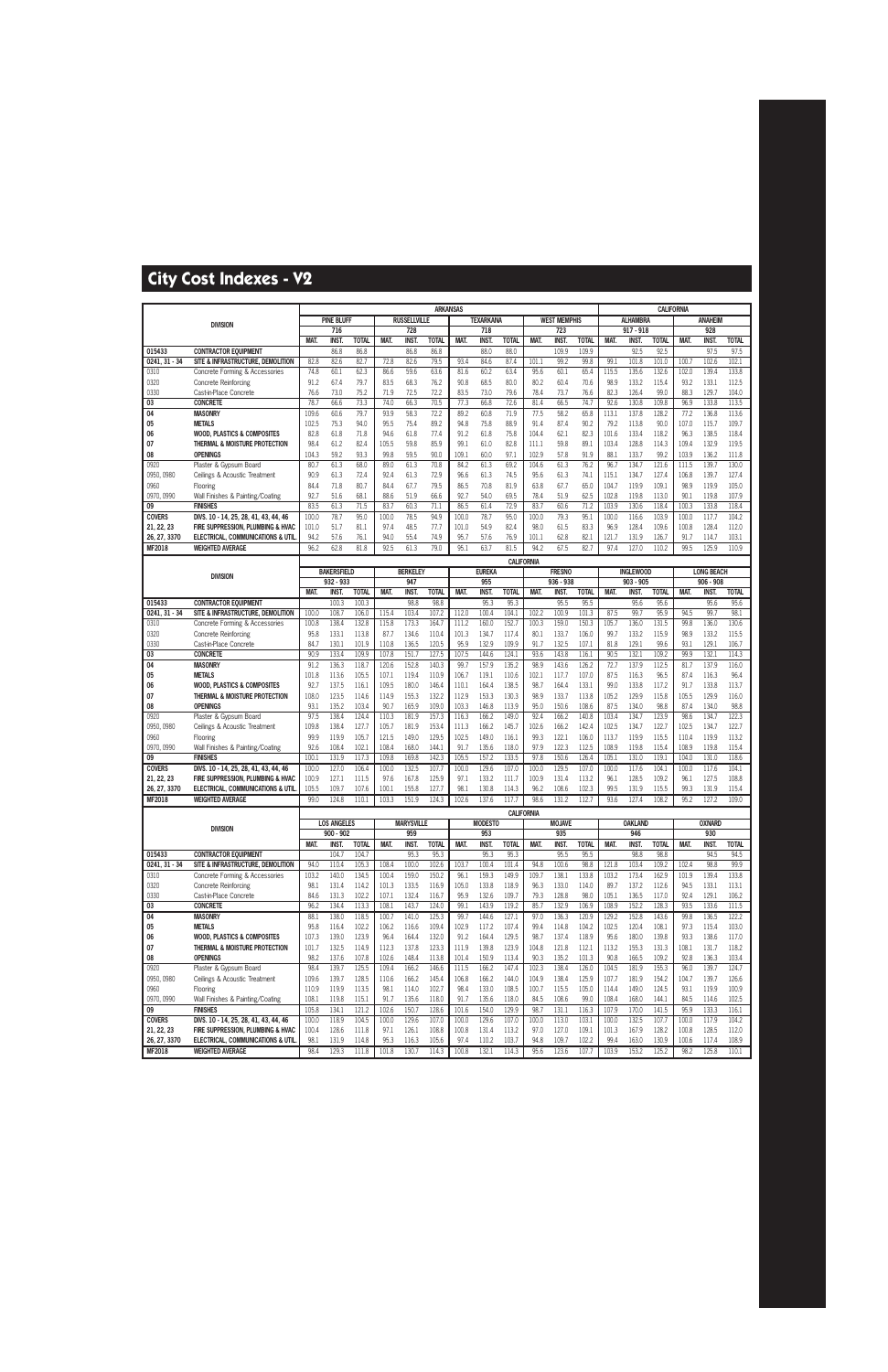|                            |                                                                        |                |                    |                      |                |                     | <b>ARKANSAS</b>      |                |                      |                      |               |                      |                       |                |                                 |                      | <b>CALIFORNIA</b> |                                  |                      |
|----------------------------|------------------------------------------------------------------------|----------------|--------------------|----------------------|----------------|---------------------|----------------------|----------------|----------------------|----------------------|---------------|----------------------|-----------------------|----------------|---------------------------------|----------------------|-------------------|----------------------------------|----------------------|
|                            | <b>DIVISION</b>                                                        |                | <b>PINE BLUFF</b>  |                      |                | <b>RUSSELLVILLE</b> |                      |                | <b>TEXARKANA</b>     |                      |               | <b>WEST MEMPHIS</b>  |                       |                | <b>ALHAMBRA</b>                 |                      |                   | <b>ANAHEIM</b>                   |                      |
|                            |                                                                        |                | 716                |                      |                | 728                 |                      |                | 718                  |                      |               | 723                  |                       |                | $917 - 918$                     |                      |                   | 928                              |                      |
| 015433                     | <b>CONTRACTOR EQUIPMENT</b>                                            | <b>MAT</b>     | INST.<br>86.8      | <b>TOTAL</b><br>86.8 | MAT.           | INST.<br>86.8       | <b>TOTAL</b><br>86.8 | MAT.           | <b>INST</b><br>88.0  | <b>TOTAL</b><br>88.0 | MAT.          | <b>INST</b><br>109.9 | <b>TOTAL</b><br>109.9 | MAT.           | INST.<br>92.5                   | <b>TOTAL</b><br>92.5 | MAT.              | INST.<br>97.5                    | <b>TOTAL</b><br>97.5 |
| 0241.31 - 34               | SITE & INFRASTRUCTURE, DEMOLITION                                      | 82.8           | 82.6               | 82.7                 | 72.8           | 82.6                | 79.5                 | 93.4           | 84.6                 | 87.4                 | 101.1         | 99.2                 | 99.8                  | 99.1           | 101.8                           | 101.0                | 100.7             | 102.6                            | 102.1                |
| 0310                       | Concrete Forming & Accessories                                         | 74.8           | 60.1               | 62.3                 | 86.6           | 59.6                | 63.6                 | 81.6           | 60.2                 | 63.4                 | 95.6          | 60.1                 | 65.4                  | 115.5          | 135.6                           | 132.6                | 102.0             | 139.4                            | 133.8                |
| 0320                       | <b>Concrete Reinforcing</b>                                            | 91.2           | 67.4               | 79.7                 | 83.5           | 68.3                | 76.2                 | 90.8           | 68.5                 | 80.0                 | 80.2          | 60.4                 | 70.6                  | 98.9           | 133.2                           | 115.4                | 93.2              | 133.1                            | 112.5                |
| 0330                       | Cast-in-Place Concrete                                                 | 76.6           | 73.0               | 75.2                 | 71.9           | 72.5                | 72.2                 | 83.5           | 73.0                 | 79.6                 | 78.4          | 73.7                 | 76.6                  | 82.3           | 126.4                           | 99.0                 | 88.3              | 129.7                            | 104.0                |
| 03                         | <b>CONCRETE</b>                                                        | 78.7           | 66.6               | 73.3                 | 74.0           | 66.3                | 70.5                 | 77.3           | 66.8                 | 72.6                 | 81.4          | 66.5                 | 74.7                  | 92.6           | 130.8                           | 109.8                | 96.9              | 133.8                            | 113.5                |
| 04<br>05                   | <b>MASONRY</b><br><b>METALS</b>                                        | 109.6<br>102.5 | 60.6<br>75.3       | 79.7<br>94.0         | 93.9<br>95.5   | 58.3<br>75.4        | 72.2<br>89.2         | 89.2<br>94.8   | 60.8<br>75.8         | 71.9<br>88.9         | 77.5<br>91.4  | 58.2<br>87.4         | 65.8<br>90.2          | 113.1<br>79.2  | 137.8<br>113.8                  | 128.2<br>90.0        | 77.2<br>107.0     | 136.8<br>115.7                   | 113.6<br>109.7       |
| 06                         | WOOD, PLASTICS & COMPOSITES                                            | 82.8           | 61.8               | 71.8                 | 94.6           | 61.8                | 77.4                 | 91.2           | 61.8                 | 75.8                 | 104.4         | 62.1                 | 82.3                  | 101.6          | 133.4                           | 118.2                | 96.3              | 138.5                            | 118.4                |
| 07                         | THERMAL & MOISTURE PROTECTION                                          | 98.4           | 61.2               | 82.4                 | 105.5          | 59.8                | 85.9                 | 99.1           | 61.0                 | 82.8                 | 111.1         | 59.8                 | 89.1                  | 103.4          | 128.8                           | 114.3                | 109.4             | 132.9                            | 119.5                |
| 08                         | <b>OPENINGS</b>                                                        | 104.3          | 59.2               | 93.3                 | 99.8           | 59.5                | 90.0                 | 109.1          | 60.0                 | 97.1                 | 102.9         | 57.8                 | 91.9                  | 88.1           | 133.7                           | 99.2                 | 103.9             | 136.2                            | 111.8                |
| 0920                       | Plaster & Gypsum Board                                                 | 80.7           | 61.3               | 68.0                 | 89.0           | 61.3                | 70.8                 | 84.2           | 61.3                 | 69.2                 | 104.6         | 61.3                 | 76.2                  | 96.7           | 134.7                           | 121.6                | 111.5             | 139.7                            | 130.0                |
| 0950, 0980<br>0960         | Ceilings & Acoustic Treatment                                          | 90.9<br>84.4   | 61.3<br>71.8       | 72.4<br>80.7         | 92.4<br>84.4   | 61.3<br>67.7        | 72.9<br>79.5         | 96.6<br>86.5   | 61.3<br>70.8         | 74.5<br>81.9         | 95.6<br>63.8  | 61.3<br>67.7         | 74.1<br>65.0          | 115.1<br>104.7 | 134.7<br>119.9                  | 127.4<br>109.1       | 106.8<br>98.9     | 139.7<br>119.9                   | 127.4<br>105.0       |
| 0970, 0990                 | Flooring<br>Wall Finishes & Painting/Coating                           | 92.7           | 51.6               | 68.1                 | 88.6           | 51.9                | 66.6                 | 92.7           | 54.0                 | 69.5                 | 78.4          | 51.9                 | 62.5                  | 102.8          | 119.8                           | 113.0                | 90.1              | 119.8                            | 107.9                |
| 09                         | <b>FINISHES</b>                                                        | 83.5           | 61.3               | 71.5                 | 83.7           | 60.3                | 71.1                 | 86.5           | 61.4                 | 72.9                 | 83.7          | 60.6                 | 71.2                  | 103.9          | 130.6                           | 118.4                | 100.3             | 133.8                            | 118.4                |
| <b>COVERS</b>              | DIVS. 10 - 14, 25, 28, 41, 43, 44, 46                                  | 100.0          | 78.7               | 95.0                 | 100.0          | 78.5                | 94.9                 | 100.0          | 78.7                 | 95.0                 | 100.0         | 79.3                 | 95.1                  | 100.0          | 116.6                           | 103.9                | 100.0             | 117.7                            | 104.2                |
| 21, 22, 23                 | FIRE SUPPRESSION, PLUMBING & HVAC                                      | 101.0          | 51.7               | 81.1                 | 97.4           | 48.5                | 77.7                 | 101.0          | 54.9                 | 82.4                 | 98.0          | 61.5                 | 83.3                  | 96.9           | 128.4                           | 109.6                | 100.8             | 128.4                            | 112.0                |
| 26, 27, 3370               | <b>ELECTRICAL, COMMUNICATIONS &amp; UTIL</b>                           | 94.2           | 57.6               | 76.1                 | 94.0           | 55.4                | 74.9                 | 95.7           | 57.6                 | 76.9                 | 101.1         | 62.8                 | 82.1                  | 121.7          | 131.9                           | 126.7                | 91.7              | 114.7                            | 103.1                |
| <b>MF2018</b>              | <b>WEIGHTED AVERAGE</b>                                                | 96.2           | 62.8               | 81.8                 | 92.5           | 61.3                | 79.0                 | 95.1           | 63.7                 | 81.5                 | 94.2          | 67.5                 | 82.7                  | 97.4           | 127.0                           | 110.2                | 99.5              | 125.9                            | 110.9                |
|                            |                                                                        |                | <b>BAKERSFIELD</b> |                      |                | <b>BERKELEY</b>     |                      |                |                      | <b>CALIFORNIA</b>    |               | <b>FRESNO</b>        |                       |                |                                 |                      |                   |                                  |                      |
|                            | <b>DIVISION</b>                                                        |                | 932 - 933          |                      |                | 947                 |                      |                | <b>EUREKA</b><br>955 |                      |               | 936 - 938            |                       |                | <b>INGLEWOOD</b><br>$903 - 905$ |                      |                   | <b>LONG BEACH</b><br>$906 - 908$ |                      |
|                            |                                                                        | MAT.           | <b>INST.</b>       | <b>TOTAL</b>         | MAT.           | INST.               | <b>TOTAL</b>         | MAT.           | <b>INST</b>          | <b>TOTAL</b>         | MAT.          | INST.                | <b>TOTAL</b>          | MAT.           | INST.                           | <b>TOTAL</b>         | MAT.              | INST.                            | <b>TOTAL</b>         |
| 015433                     | <b>CONTRACTOR EQUIPMENT</b>                                            |                | 100.3              | 100.3                |                | 98.8                | 98.8                 |                | 95.3                 | 95.3                 |               | 95.5                 | 95.5                  |                | 95.6                            | 95.6                 |                   | 95.6                             | 95.6                 |
| 0241.31 - 34               | SITE & INFRASTRUCTURE. DEMOLITION                                      | 100.0          | 108.7              | 106.0                | 115.4          | 103.4               | 107.2                | 112.0          | 100.4                | 104.1                | 102.2         | 100.9                | 101.3                 | 87.5           | 99.7                            | 95.9                 | 94.5              | 99.7                             | 98.1                 |
| 0310                       | Concrete Forming & Accessories                                         | 100.8          | 138.4              | 132.8                | 115.8          | 173.3               | 164.7                | 111.2          | 160.0                | 152.7                | 100.3         | 159.0                | 150.3                 | 105.7          | 136.0                           | 131.5                | 99.8              | 136.0                            | 130.6                |
| 0320                       | <b>Concrete Reinforcing</b>                                            | 95.8           | 133.1              | 113.8                | 87.7           | 134.6               | 110.4                | 101.3          | 134.7                | 117.4                | 80.1          | 133.7                | 106.0                 | 99.7           | 133.2                           | 115.9                | 98.9              | 133.2                            | 115.5                |
| 0330<br>03                 | Cast-in-Place Concrete<br><b>CONCRETE</b>                              | 84.7<br>90.9   | 130.1<br>133.4     | 101.9<br>109.9       | 110.8<br>107.8 | 136.5<br>151.7      | 120.5<br>127.5       | 95.9<br>107.5  | 132.9<br>144.6       | 109.9<br>124.1       | 91.7<br>93.6  | 132.5<br>143.8       | 107.1<br>116.1        | 81.8<br>90.5   | 129.1<br>132.1                  | 99.6<br>109.2        | 93.1<br>99.9      | 129.1<br>132.1                   | 106.7<br>114.3       |
| 04                         | <b>MASONRY</b>                                                         | 91.2           | 136.3              | 118.7                | 120.6          | 152.8               | 140.3                | 99.7           | 157.9                | 135.2                | 98.9          | 143.6                | 126.2                 | 72.7           | 137.9                           | 112.5                | 81.7              | 137.9                            | 116.0                |
| 05                         | <b>METALS</b>                                                          | 101.8          | 113.6              | 105.5                | 107.1          | 119.4               | 110.9                | 106.7          | 119.1                | 110.6                | 102.1         | 117.7                | 107.0                 | 87.5           | 116.3                           | 96.5                 | 87.4              | 116.3                            | 96.4                 |
| 06                         | <b>WOOD, PLASTICS &amp; COMPOSITES</b>                                 | 92.7           | 137.5              | 116.1                | 109.5          | 180.0               | 146.4                | 110.1          | 164.4                | 138.5                | 98.7          | 164.4                | 133.1                 | 99.0           | 133.8                           | 117.2                | 91.7              | 133.8                            | 113.7                |
| 07                         | THERMAL & MOISTURE PROTECTION                                          | 108.0          | 123.5              | 114.6                | 114.9          | 155.3               | 132.2                | 112.9          | 153.3                | 130.3                | 98.9          | 133.7                | 113.8                 | 105.2          | 129.9                           | 115.8                | 105.5             | 129.9                            | 116.0                |
| 08<br>0920                 | <b>OPENINGS</b>                                                        | 93.1<br>97.5   | 135.2<br>138.4     | 103.4<br>124.4       | 90.7<br>110.3  | 165.9<br>181.9      | 109.0<br>157.3       | 103.3<br>116.3 | 146.8<br>166.2       | 113.9<br>149.0       | 95.0<br>92.4  | 150.6<br>166.2       | 108.6<br>140.8        | 87.5<br>103.4  | 134.0<br>134.7                  | 98.8<br>123.9        | 87.4<br>98.6      | 134.0<br>134.7                   | 98.8<br>122.3        |
| 0950, 0980                 | Plaster & Gypsum Board<br>Ceilings & Acoustic Treatment                | 109.8          | 138.4              | 127.7                | 105.7          | 181.9               | 153.4                | 111.3          | 166.2                | 145.7                | 102.6         | 166.2                | 142.4                 | 102.5          | 134.7                           | 122.7                | 102.5             | 134.7                            | 122.7                |
| 0960                       | Flooring                                                               | 99.9           | 119.9              | 105.7                | 121.5          | 149.0               | 129.5                | 102.5          | 149.0                | 116.1                | 99.3          | 122.1                | 106.0                 | 113.7          | 119.9                           | 115.5                | 110.4             | 119.9                            | 113.2                |
| 0970, 0990                 | Wall Finishes & Painting/Coating                                       | 92.6           | 108.4              | 102.1                | 108.4          | 168.0               | 144.1                | 91.7           | 135.6                | 118.0                | 97.9          | 122.3                | 112.5                 | 108.9          | 119.8                           | 115.4                | 108.9             | 119.8                            | 115.4                |
| 09                         | <b>FINISHES</b>                                                        | 100.1          | 131.9              | 117.3                | 109.8          | 169.8               | 142.3                | 105.5          | 157.2                | 133.5                | 97.8          | 150.6                | 126.4                 | 105.1          | 131.0                           | 119.                 | 104.0             | 131.0                            | 118.6                |
| <b>COVERS</b>              | DIVS. 10 - 14, 25, 28, 41, 43, 44, 46                                  | 100.0          | 127.0              | 106.4                | 100.0          | 132.5               | 107.7                | 100.0          | 129.6                | 107.0                | 100.0         | 129.5                | 107.0                 | 100.0          | 117.6                           | 104.1                | 100.0             | 117.6                            | 104.1                |
| 21, 22, 23<br>26, 27, 3370 | FIRE SUPPRESSION, PLUMBING & HVAC<br>ELECTRICAL, COMMUNICATIONS & UTIL | 100.9<br>105.5 | 127.1<br>109.7     | 111.5<br>107.6       | 97.6<br>100.1  | 167.8<br>155.8      | 125.9<br>127.7       | 97.1<br>98.1   | 133.2<br>130.8       | 111.7<br>114.3       | 100.9<br>96.2 | 131.4<br>108.6       | 113.2<br>102.3        | 96.1<br>99.5   | 128.5<br>131.9                  | 109.2<br>115.5       | 96.1<br>99.3      | 127.5<br>131.9                   | 108.8<br>115.4       |
| <b>MF2018</b>              | <b>WEIGHTED AVERAGE</b>                                                | 99.0           | 124.8              | 110.1                | 103.3          | 151.9               | 124.3                | 102.6          | 137.6                | 117.7                | 98.6          | 131.2                | 112.7                 | 93.6           | 127.4                           | 108.2                | 95.2              | 127.2                            | 109.0                |
|                            |                                                                        |                |                    |                      |                |                     |                      |                |                      | <b>CALIFORNIA</b>    |               |                      |                       |                |                                 |                      |                   |                                  |                      |
|                            |                                                                        |                | <b>LOS ANGELES</b> |                      |                | <b>MARYSVILLE</b>   |                      |                | <b>MODESTO</b>       |                      |               | <b>MOJAVE</b>        |                       |                | <b>OAKLAND</b>                  |                      |                   | <b>OXNARD</b>                    |                      |
|                            | <b>DIVISION</b>                                                        |                | $900 - 902$        |                      |                | 959                 |                      |                | 953                  |                      |               | 935                  |                       |                | 946                             |                      |                   | 930                              |                      |
|                            |                                                                        | MAT.           | INST.              | <b>TOTAL</b>         | MAT.           | <b>INST.</b>        | <b>TOTAL</b>         | MAT.           | INST.                | <b>TOTAL</b>         | MAT.          | INST.                | <b>TOTAL</b>          | MAT.           | <b>INST.</b>                    | <b>TOTAL</b>         | MAT.              | <b>INST.</b>                     | <b>TOTAL</b>         |
| 015433<br>$0241.31 - 34$   | <b>CONTRACTOR EQUIPMENT</b><br>SITE & INFRASTRUCTURE, DEMOLITION       | 94.0           | 104.7<br>110.4     | 104.7<br>105.3       | 108.4          | 95.3<br>100.0       | 95.3<br>102.6        | 103.7          | 95.3<br>100.4        | 95.3<br>101.4        | 94.8          | 95.5<br>100.6        | 95.5<br>98.8          | 121.8          | 98.8<br>103.4                   | 98.8<br>109.2        | 102.4             | 94.5<br>98.8                     | 94.5<br>99.9         |
| 0310                       | Concrete Forming & Accessories                                         | 103.2          | 140.0              | 134.5                | 100.4          | 159.0               | 150.2                | 96.1           | 159.3                | 149.9                | 109.7         | 138.1                | 133.8                 | 103.2          | 173.4                           | 162.9                | 101.9             | 139.4                            | 133.8                |
| 0320                       | <b>Concrete Reinforcing</b>                                            | 98.1           | 131.4              | 114.2                | 101.3          | 133.5               | 116.9                | 105.0          | 133.8                | 118.9                | 96.3          | 133.0                | 114.0                 | 89.7           | 137.2                           | 112.6                | 94.5              | 133.1                            | 113.1                |
| 0330                       | Cast-in-Place Concrete                                                 | 84.6           | 131.3              | 102.2                | 107.1          | 132.4               | 116.7                | 95.9           | 132.6                | 109.7                | 79.3          | 128.8                | 98.0                  | 105.1          | 136.5                           | 117.0                | 92.4              | 129.1                            | 106.2                |
| 03                         | <b>CONCRETE</b>                                                        | 96.2           | 134.4              | 113.3                | 108.1          | 143.7               | 124.0                | 99.1           | 143.9                | 119.2                | 85.7          | 132.9                | 106.9                 | 108.9          | 152.2                           | 128.3                | 93.5              | 133.6                            | 111.5                |
| 04                         | <b>MASONRY</b>                                                         | 88.1           | 138.0              | 118.5                | 100.7          | 141.0               | 125.3                | 99.7           | 144.6                | 127.1                | 97.0          | 136.3                | 120.9                 | 129.2          | 152.8                           | 143.6                | 99.8              | 136.5                            | 122.2                |
| 05<br>06                   | <b>METALS</b><br><b>WOOD, PLASTICS &amp; COMPOSITES</b>                | 95.8<br>107.3  | 116.4<br>139.0     | 102.2<br>123.9       | 106.2<br>96.4  | 116.6<br>164.4      | 109.4<br>132.0       | 102.9<br>91.2  | 117.2<br>164.4       | 107.4<br>129.5       | 99.4<br>98.7  | 114.8<br>137.4       | 104.2<br>118.9        | 102.5<br>95.6  | 120.4<br>180.0                  | 108.1<br>139.8       | 97.3<br>93.3      | 115.4<br>138.6                   | 103.0<br>117.0       |
| 07                         | THERMAL & MOISTURE PROTECTION                                          | 101.7          | 132.5              | 114.9                | 112.3          | 137.8               | 123.3                | 111.9          | 139.8                | 123.9                | 104.8         | 121.8                | 112.1                 | 113.2          | 155.3                           | 131.3                | 108.1             | 131.7                            | 118.2                |
| 08                         | <b>OPENINGS</b>                                                        | 98.2           | 137.6              | 107.8                | 102.6          | 148.4               | 113.8                | 101.4          | 150.9                | 113.4                | 90.3          | 135.2                | 101.3                 | 90.8           | 166.5                           | 109.2                | 92.8              | 136.3                            | 103.4                |
| 0920                       | Plaster & Gypsum Board                                                 | 98.4           | 139.7              | 125.5                | 109.4          | 166.2               | 146.6                | 111.5          | 166.2                | 147.4                | 102.3         | 138.4                | 126.0                 | 104.5          | 181.9                           | 155.3                | 96.0              | 139.7                            | 124.7                |
| 0950, 0980                 | Ceilings & Acoustic Treatment                                          | 109.6          | 139.7              | 128.5                | 110.6          | 166.2               | 145.4                | 106.8          | 166.2                | 144.0                | 104.9         | 138.4                | 125.9                 | 107.7          | 181.9                           | 154.2                | 104.7             | 139.7                            | 126.6                |
| 0960                       | Flooring                                                               | 110.9          | 119.9              | 113.5                | 98.1           | 114.0               | 102.7                | 98.4           | 133.0                | 108.5                | 100.7         | 115.5                | 105.0                 | 114.4          | 149.0                           | 124.5                | 93.1              | 119.9                            | 100.9                |
| 0970, 0990<br>09           | Wall Finishes & Painting/Coating<br><b>FINISHES</b>                    | 108.1<br>105.8 | 119.8<br>134.1     | 115.1<br>121.2       | 91.7<br>102.6  | 135.6<br>150.7      | 118.0<br>128.6       | 91.7<br>101.6  | 135.6<br>154.0       | 118.0<br>129.9       | 84.5<br>98.7  | 108.6<br>131.1       | 99.0<br>116.3         | 108.4<br>107.9 | 168.0<br>170.0                  | 144.1<br>141.5       | 84.5<br>95.9      | 114.6<br>133.3                   | 102.5<br>116.1       |
| <b>COVERS</b>              | DIVS. 10 - 14, 25, 28, 41, 43, 44, 46                                  | 100.0          | 118.9              | 104.5                | 100.0          | 129.6               | 107.0                | 100.0          | 129.6                | 107.0                | 100.0         | 113.0                | 103.1                 | 100.0          | 132.5                           | 107.7                | 100.0             | 117.9                            | 104.2                |
| 21, 22, 23                 | FIRE SUPPRESSION, PLUMBING & HVAC                                      | 100.4          | 128.6              | 111.8                | 97.1           | 126.1               | 108.8                | 100.8          | 131.4                | 113.2                | 97.0          | 127.0                | 109.1                 | 101.3          | 167.9                           | 128.2                | 100.8             | 128.5                            | 112.0                |
| 26, 27, 3370               | ELECTRICAL, COMMUNICATIONS & UTIL                                      | 98.1           | 131.9              | 114.8                | 95.3           | 116.3               | 105.6                | 97.4           | 110.2                | 103.7                | 94.8          | 109.7                | 102.2                 | 99.4           | 163.0                           | 130.9                | 100.6             | 117.4                            | 108.9                |
| <b>MF2018</b>              | <b>WEIGHTED AVERAGE</b>                                                | 98.4           | 129.3              | 111.8                | 101.8          | 130.7               | 114.3                | 100.8          | 132.1                | 114.3                | 95.6          | 123.6                | 107.7                 | 103.9          | 153.2                           | 125.2                | 98.2              | 125.8                            | 110.1                |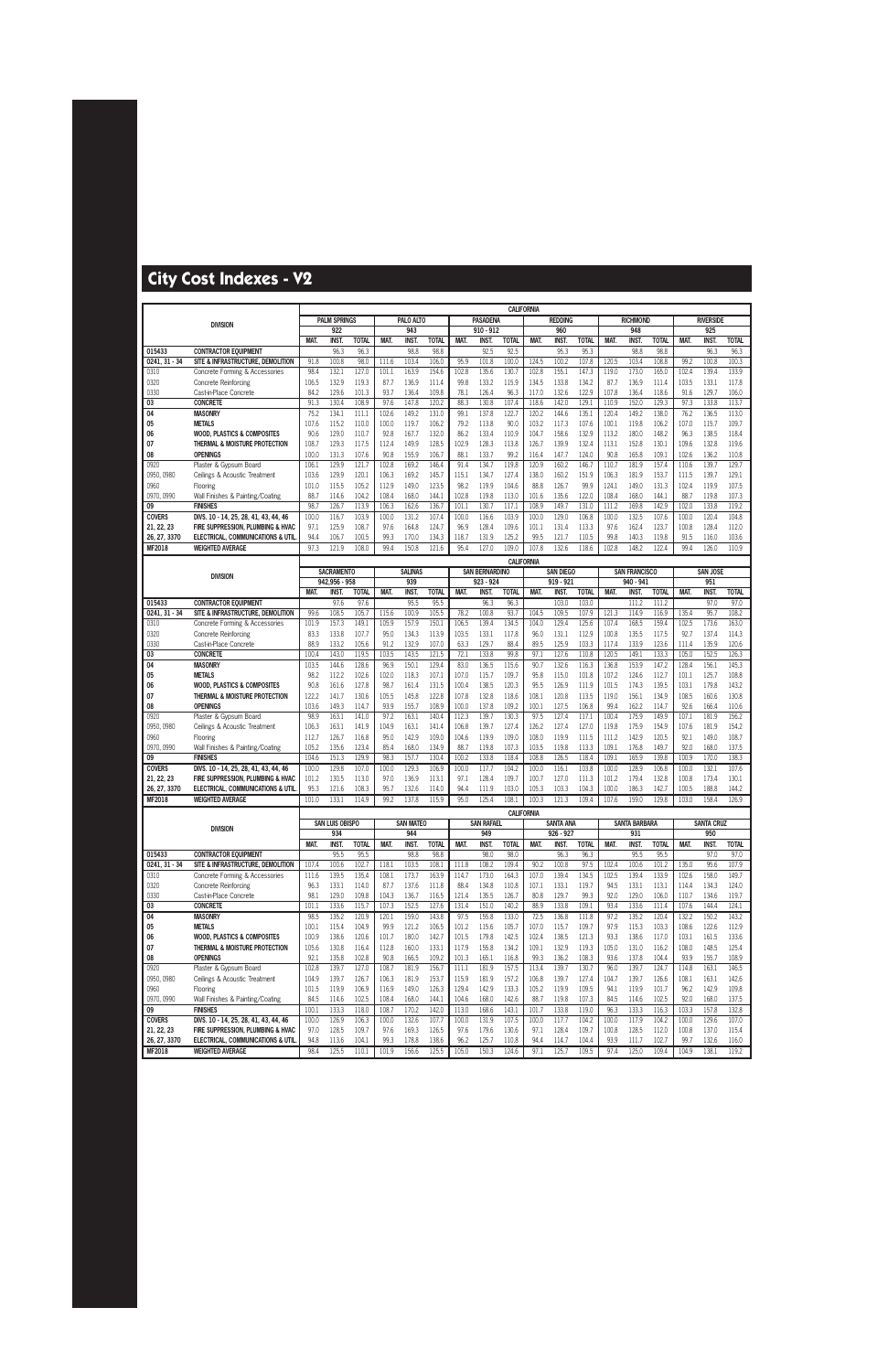|                               |                                                                            |                |                        |                      |                |                  |                      |                |                       | <b>CALIFORNIA</b>    |                   |                     |                      |                |                      |                      |                |                     |                      |
|-------------------------------|----------------------------------------------------------------------------|----------------|------------------------|----------------------|----------------|------------------|----------------------|----------------|-----------------------|----------------------|-------------------|---------------------|----------------------|----------------|----------------------|----------------------|----------------|---------------------|----------------------|
|                               | <b>DIVISION</b>                                                            |                | <b>PALM SPRINGS</b>    |                      |                | PALO ALTO        |                      |                | <b>PASADENA</b>       |                      |                   | <b>REDDING</b>      |                      |                | <b>RICHMOND</b>      |                      |                | <b>RIVERSIDE</b>    |                      |
|                               |                                                                            |                | 922                    |                      |                | 943              |                      |                | $910 - 912$           |                      |                   | 960                 |                      |                | 948                  |                      |                | 925                 |                      |
| 015433                        | <b>CONTRACTOR EQUIPMENT</b>                                                | MAT.           | <b>INST.</b><br>96.3   | <b>TOTAL</b><br>96.3 | MAT.           | INST.<br>98.8    | <b>TOTAL</b><br>98.8 | MAT.           | <b>INST</b><br>92.5   | <b>TOTAL</b><br>92.5 | MAT.              | <b>INST</b><br>95.3 | <b>TOTAL</b><br>95.3 | MAT.           | <b>INST.</b><br>98.8 | <b>TOTAL</b><br>98.8 | MAT.           | <b>INST</b><br>96.3 | <b>TOTAL</b><br>96.3 |
| $0241, 31 - 34$               | SITE & INFRASTRUCTURE, DEMOLITION                                          | 91.8           | 100.8                  | 98.0                 | 111.6          | 103.4            | 106.0                | 95.9           | 101.8                 | 100.0                | 124.5             | 100.2               | 107.8                | 120.5          | 103.4                | 108.8                | 99.2           | 100.8               | 100.3                |
| 0310                          | Concrete Forming & Accessories                                             | 98.4           | 132.1                  | 127.0                | 101.1          | 163.9            | 154.6                | 102.8          | 135.6                 | 130.7                | 102.8             | 155.1               | 147.3                | 119.0          | 173.0                | 165.0                | 102.4          | 139.4               | 133.9                |
| 0320                          | <b>Concrete Reinforcing</b>                                                | 106.5          | 132.9                  | 119.3                | 87.7           | 136.9            | 111.4                | 99.8           | 133.2                 | 115.9                | 134.5             | 133.8               | 134.2                | 87.7           | 136.9                | 111.4                | 103.5          | 133.1               | 117.8                |
| 0330                          | Cast-in-Place Concrete                                                     | 84.2           | 129.6                  | 101.3                | 93.7           | 136.4            | 109.8                | 78.1           | 126.4                 | 96.3                 | 117.0             | 132.6               | 122.9                | 107.8          | 136.4                | 118.6                | 91.6           | 129.7               | 106.0                |
| 03                            | <b>CONCRETE</b>                                                            | 91.3           | 130.4                  | 108.9                | 97.6           | 147.8            | 120.2                | 88.3           | 130.8                 | 107.4                | 118.6             | 142.0               | 129.1                | 110.9          | 152.0                | 129.3                | 97.3           | 133.8               | 113.7                |
| 04                            | <b>MASONRY</b>                                                             | 75.2           | 134.1                  | 111.1                | 102.6          | 149.2            | 131.0                | 99.1           | 137.8                 | 122.7                | 120.2             | 144.6               | 135.1                | 120.4          | 149.2                | 138.0                | 76.2           | 136.5               | 113.0                |
| 05                            | <b>METALS</b>                                                              | 107.6          | 115.2                  | 110.0                | 100.0          | 119.7            | 106.2                | 79.2           | 113.8                 | 90.0                 | 103.2             | 117.3               | 107.6                | 100.1          | 119.8                | 106.2                | 107.0          | 115.7               | 109.7                |
| 06<br>07                      | <b>WOOD, PLASTICS &amp; COMPOSITES</b><br>THERMAL & MOISTURE PROTECTION    | 90.6<br>108.7  | 129.0<br>129.3         | 110.7<br>117.5       | 92.8<br>112.4  | 167.7<br>149.9   | 132.0<br>128.5       | 86.2<br>102.9  | 133.4<br>128.3        | 110.9<br>113.8       | 104.7<br>126.7    | 158.6<br>139.9      | 132.9<br>132.4       | 113.2<br>113.1 | 180.0<br>152.8       | 148.2<br>130.1       | 96.3<br>109.6  | 138.5<br>132.8      | 118.4<br>119.6       |
| 08                            | <b>OPENINGS</b>                                                            | 100.0          | 131.3                  | 107.6                | 90.8           | 155.9            | 106.7                | 88.1           | 133.7                 | 99.2                 | 116.4             | 147.7               | 124.0                | 90.8           | 165.8                | 109.1                | 102.6          | 136.2               | 110.8                |
| 0920                          | Plaster & Gypsum Board                                                     | 106.1          | 129.9                  | 121.7                | 102.8          | 169.2            | 146.4                | 91.4           | 134.7                 | 119.8                | 120.9             | 160.2               | 146.7                | 110.7          | 181.9                | 157.4                | 110.6          | 139.7               | 129.7                |
| 0950, 0980                    | Ceilings & Acoustic Treatment                                              | 103.6          | 129.9                  | 120.1                | 106.3          | 169.2            | 145.7                | 115.1          | 134.7                 | 127.4                | 138.0             | 160.2               | 151.9                | 106.3          | 181.9                | 153.7                | 111.5          | 139.7               | 129.1                |
| 0960                          | Flooring                                                                   | 101.0          | 115.5                  | 105.2                | 112.9          | 149.0            | 123.5                | 98.2           | 119.9                 | 104.6                | 88.8              | 126.7               | 99.9                 | 124.1          | 149.0                | 131.3                | 102.4          | 119.9               | 107.5                |
| 0970, 0990                    | Wall Finishes & Painting/Coating                                           | 88.7           | 114.6                  | 104.2                | 108.4          | 168.0            | 144.1                | 102.8          | 119.8                 | 113.0                | 101.6             | 135.6               | 122.0                | 108.4          | 168.0                | 144.1                | 88.7           | 119.8               | 107.3                |
| 09                            | <b>FINISHES</b>                                                            | 98.7           | 126.7                  | 113.9                | 106.3          | 162.6            | 136.7                | 101.1          | 130.7                 | 117.1                | 108.9             | 149.7               | 131.0                | 111.2          | 169.8                | 142.9                | 102.0          | 133.8               | 119.2                |
| <b>COVERS</b><br>21, 22, 23   | DIVS. 10 - 14, 25, 28, 41, 43, 44, 46<br>FIRE SUPPRESSION. PLUMBING & HVAC | 100.0<br>97.1  | 116.7<br>125.9         | 103.9<br>108.7       | 100.0<br>97.6  | 131.2<br>164.8   | 107.4<br>124.7       | 100.0<br>96.9  | 116.6<br>128.4        | 103.9<br>109.6       | 100.0<br>101.1    | 129.0<br>131.4      | 106.8<br>113.3       | 100.0<br>97.6  | 132.5<br>162.4       | 107.6<br>123.7       | 100.0<br>100.8 | 120.4<br>128.4      | 104.8<br>112.0       |
| 26, 27, 3370                  | ELECTRICAL, COMMUNICATIONS & UTIL                                          | 94.4           | 106.7                  | 100.5                | 99.3           | 170.0            | 134.3                | 118.7          | 131.9                 | 125.2                | 99.5              | 121.7               | 110.5                | 99.8           | 140.3                | 119.8                | 91.5           | 116.0               | 103.6                |
| <b>MF2018</b>                 | <b>WEIGHTED AVERAGE</b>                                                    | 97.3           | 121.9                  | 108.0                | 99.4           | 150.8            | 121.6                | 95.4           | 127.0                 | 109.0                | 107.8             | 132.6               | 118.6                | 102.8          | 148.2                | 122.4                | 99.4           | 126.0               | 110.9                |
|                               |                                                                            |                |                        |                      |                |                  |                      |                |                       |                      | <b>CALIFORNIA</b> |                     |                      |                |                      |                      |                |                     |                      |
|                               |                                                                            |                | <b>SACRAMENTO</b>      |                      |                | <b>SALINAS</b>   |                      |                | <b>SAN BERNARDINO</b> |                      |                   | <b>SAN DIEGO</b>    |                      |                | <b>SAN FRANCISCO</b> |                      |                | <b>SAN JOSE</b>     |                      |
|                               | <b>DIVISION</b>                                                            |                | 942,956 - 958          |                      |                | 939              |                      |                | 923 - 924             |                      |                   | 919 - 921           |                      |                | 940 - 941            |                      |                | 951                 |                      |
|                               |                                                                            | <b>MAT</b>     | <b>INST.</b>           | <b>TOTAL</b>         | <b>MAT</b>     | <b>INST</b>      | <b>TOTAL</b>         | MAT.           | <b>INST</b>           | <b>TOTAL</b>         | <b>MAT</b>        | <b>INST</b>         | <b>TOTAL</b>         | <b>MAT</b>     | <b>INST</b>          | <b>TOTAL</b>         | <b>MAT</b>     | <b>INST</b>         | <b>TOTAL</b>         |
| 015433<br>$0241, 31 - 34$     | <b>CONTRACTOR EOUIPMENT</b><br>SITE & INFRASTRUCTURE, DEMOLITION           | 99.6           | 97.6<br>108.5          | 97.6<br>105.7        | 115.6          | 95.5<br>100.9    | 95.5<br>105.5        | 78.2           | 96.3<br>100.8         | 96.3<br>93.7         | 104.5             | 103.0<br>109.5      | 103.0<br>107.9       | 121.3          | 111.2<br>114.9       | 111.2<br>116.9       | 135.4          | 97.0<br>95.7        | 97.0<br>108.2        |
| 0310                          | Concrete Forming & Accessories                                             | 101.9          | 157.3                  | 149.1                | 105.9          | 157.9            | 150.1                | 106.5          | 139.4                 | 134.5                | 104.0             | 129.4               | 125.6                | 107.4          | 168.5                | 159.4                | 102.5          | 173.6               | 163.0                |
| 0320                          | <b>Concrete Reinforcing</b>                                                | 83.3           | 133.8                  | 107.7                | 95.0           | 134.3            | 113.9                | 103.5          | 133.1                 | 117.8                | 96.0              | 131.1               | 112.9                | 100.8          | 135.5                | 117.5                | 92.7           | 137.4               | 114.3                |
| 0330                          | Cast-in-Place Concrete                                                     | 88.9           | 133.2                  | 105.6                | 91.2           | 132.9            | 107.0                | 63.3           | 129.7                 | 88.4                 | 89.5              | 125.9               | 103.3                | 117.4          | 133.9                | 123.6                | 111.4          | 135.9               | 120.6                |
| 03                            | <b>CONCRETE</b>                                                            | 100.4          | 143.0                  | 119.5                | 103.5          | 143.5            | 121.5                | 72.1           | 133.8                 | 99.8                 | 97.1              | 127.6               | 110.8                | 120.5          | 149.1                | 133.3                | 105.0          | 152.5               | 126.3                |
| 04<br>05                      | <b>MASONRY</b><br><b>METALS</b>                                            | 103.5<br>98.2  | 144.6<br>112.2         | 128.6<br>102.6       | 96.9<br>102.0  | 150.1<br>118.3   | 129.4<br>107.1       | 83.0<br>107.0  | 136.5<br>115.7        | 115.6<br>109.7       | 90.7<br>95.8      | 132.6<br>115.0      | 116.3<br>101.8       | 136.8<br>107.2 | 153.9<br>124.6       | 147.2<br>112.7       | 128.4<br>101.1 | 156.1<br>125.7      | 145.3<br>108.8       |
| 06                            | <b>WOOD, PLASTICS &amp; COMPOSITES</b>                                     | 90.8           | 161.6                  | 127.8                | 98.7           | 161.4            | 131.5                | 100.4          | 138.5                 | 120.3                | 95.5              | 126.9               | 111.9                | 101.5          | 174.3                | 139.5                | 103.1          | 179.8               | 143.2                |
| 07                            | THERMAL & MOISTURE PROTECTION                                              | 122.2          | 141.7                  | 130.6                | 105.5          | 145.8            | 122.8                | 107.8          | 132.8                 | 118.6                | 108.1             | 120.8               | 113.5                | 119.0          | 156.1                | 134.9                | 108.5          | 160.6               | 130.8                |
| 08                            | <b>OPENINGS</b>                                                            | 103.6          | 149.3                  | 114.7                | 93.9           | 155.7            | 108.9                | 100.0          | 137.8                 | 109.2                | 100.1             | 127.5               | 106.8                | 99.4           | 162.2                | 114.7                | 92.6           | 166.4               | 110.6                |
| 0920                          | Plaster & Gypsum Board                                                     | 98.9           | 163.1                  | 141.0                | 97.2           | 163.1            | 140.4                | 112.3          | 139.7                 | 130.3                | 97.5              | 127.4               | 117.1                | 100.4          | 175.9                | 149.9                | 107.1          | 181.9               | 156.2                |
| 0950, 0980                    | Ceilings & Acoustic Treatment                                              | 106.3          | 163.1                  | 141.9                | 104.9          | 163.1            | 141.4                | 106.8          | 139.7                 | 127.4                | 126.2             | 127.4               | 127.0                | 119.8          | 175.9                | 154.9                | 107.6          | 181.9               | 154.2                |
| 0960<br>0970, 0990            | Flooring<br>Wall Finishes & Painting/Coating                               | 112.7<br>105.2 | 126.7<br>135.6         | 116.8<br>123.4       | 95.0<br>85.4   | 142.9<br>168.0   | 109.0<br>134.9       | 104.6<br>88.7  | 119.9<br>119.8        | 109.0<br>107.3       | 108.0<br>103.5    | 119.9<br>119.8      | 111.5<br>113.3       | 111.2<br>109.1 | 142.9<br>176.8       | 120.5<br>149.7       | 92.1<br>92.0   | 149.0<br>168.0      | 108.7<br>137.5       |
| 09                            | <b>FINISHES</b>                                                            | 104.6          | 151.3                  | 129.9                | 98.3           | 157.7            | 130.4                | 100.2          | 133.8                 | 118.4                | 108.8             | 126.5               | 118.4                | 109.1          | 165.9                | 139.8                | 100.9          | 170.0               | 138.3                |
| <b>COVERS</b>                 | DIVS. 10 - 14, 25, 28, 41, 43, 44, 46                                      | 100.0          | 129.8                  | 107.0                | 100.0          | 129.3            | 106.9                | 100.0          | 117.7                 | 104.2                | 100.0             | 116.1               | 103.8                | 100.0          | 128.9                | 106.8                | 100.0          | 132.1               | 107.6                |
| 21, 22, 23                    | FIRE SUPPRESSION, PLUMBING & HVAC                                          | 101.2          | 130.5                  | 113.0                | 97.0           | 136.9            | 113.1                | 97.1           | 128.4                 | 109.7                | 100.7             | 127.0               | 111.3                | 101.2          | 179.4                | 132.8                | 100.8          | 173.4               | 130.1                |
| 26, 27, 3370<br><b>MF2018</b> | ELECTRICAL, COMMUNICATIONS & UTIL<br><b>WEIGHTED AVERAGE</b>               | 95.3<br>101.0  | 121.6<br>133.1         | 108.3<br>114.9       | 95.7<br>99.2   | 132.6<br>137.8   | 114.0<br>115.9       | 94.4<br>95.0   | 111.9<br>125.4        | 103.0<br>108.1       | 105.3<br>100.3    | 103.3<br>121.3      | 104.3<br>109.4       | 100.0<br>107.6 | 186.3<br>159.0       | 142.7<br>129.8       | 100.5<br>103.0 | 188.8<br>158.4      | 144.2<br>126.9       |
|                               |                                                                            |                |                        |                      |                |                  |                      |                |                       |                      |                   |                     |                      |                |                      |                      |                |                     |                      |
|                               |                                                                            |                | <b>SAN LUIS OBISPO</b> |                      |                | <b>SAN MATEO</b> |                      |                | <b>SAN RAFAEL</b>     |                      | <b>CALIFORNIA</b> | <b>SANTA ANA</b>    |                      |                | <b>SANTA BARBARA</b> |                      |                | <b>SANTA CRUZ</b>   |                      |
|                               | <b>DIVISION</b>                                                            |                | 934                    |                      |                | 944              |                      |                | 949                   |                      |                   | 926 - 927           |                      |                | 931                  |                      |                | 950                 |                      |
|                               |                                                                            | MAT.           | <b>INST.</b>           | <b>TOTAL</b>         | MAT.           | <b>INST.</b>     | <b>TOTAL</b>         | MAT.           | <b>INST.</b>          | <b>TOTAL</b>         | MAT.              | INST.               | <b>TOTAL</b>         | MAT.           | INST.                | <b>TOTAL</b>         | MAT.           | <b>INST.</b>        | <b>TOTAL</b>         |
| 015433                        | <b>CONTRACTOR EQUIPMENT</b>                                                |                | 95.5                   | 95.5                 |                | 98.8             | 98.8                 |                | 98.0                  | 98.0                 |                   | 96.3                | 96.3                 |                | 95.5                 | 95.5                 |                | 97.0                | 97.0                 |
| $0241, 31 - 34$<br>0310       | SITE & INFRASTRUCTURE, DEMOLITION<br>Concrete Forming & Accessories        | 107.4<br>111.6 | 100.6<br>139.5         | 102.7<br>135.4       | 118.1<br>108.1 | 103.5<br>173.7   | 108.1<br>163.9       | 111.8<br>114.7 | 108.2<br>173.0        | 109.4<br>164.3       | 90.2<br>107.0     | 100.8<br>139.4      | 97.5<br>134.5        | 102.4<br>102.5 | 100.6<br>139.4       | 101.2<br>133.9       | 135.0<br>102.6 | 95.6<br>158.0       | 107.9<br>149.7       |
| 0320                          | <b>Concrete Reinforcing</b>                                                | 96.3           | 133.1                  | 114.0                | 87.7           | 137.6            | 111.8                | 88.4           | 134.8                 | 110.8                | 107.1             | 133.1               | 119.7                | 94.5           | 133.1                | 113.1                | 114.4          | 134.3               | 124.0                |
| 0330                          | Cast-in-Place Concrete                                                     | 98.1           | 129.0                  | 109.8                | 104.3          | 136.7            | 116.5                | 121.4          | 135.5                 | 126.7                | 80.8              | 129.7               | 99.3                 | 92.0           | 129.0                | 106.0                | 110.7          | 134.6               | 119.7                |
| 03                            | <b>CONCRETE</b>                                                            | 101.1          | 133.6                  | 115.7                | 107.3          | 152.5            | 127.6                | 131.4          | 151.0                 | 140.2                | 88.9              | 133.8               | 109.1                | 93.4           | 133.6                | 111.4                | 107.6          | 144.4               | 124.1                |
| 04                            | <b>MASONRY</b>                                                             | 98.5           | 135.2                  | 120.9                | 120.1          | 159.0            | 143.8                | 97.5           | 155.8                 | 133.0                | 72.5              | 136.8               | 111.8                | 97.2           | 135.2                | 120.4                | 132.2          | 150.2               | 143.2                |
| 05                            | <b>METALS</b>                                                              | 100.1          | 115.4                  | 104.9                | 99.9           | 121.2            | 106.5                | 101.2          | 115.6                 | 105.7                | 107.0             | 115.7               | 109.7                | 97.9           | 115.3                | 103.3                | 108.6          | 122.6               | 112.9                |
| 06<br>07                      | <b>WOOD, PLASTICS &amp; COMPOSITES</b><br>THERMAL & MOISTURE PROTECTION    | 100.9<br>105.6 | 138.6<br>130.8         | 120.6<br>116.4       | 101.7<br>112.8 | 180.0<br>160.0   | 142.7<br>133.1       | 101.5<br>117.9 | 179.8<br>155.8        | 142.5<br>134.2       | 102.4<br>109.1    | 138.5<br>132.9      | 121.3<br>119.3       | 93.3<br>105.0  | 138.6<br>131.0       | 117.0<br>116.2       | 103.1<br>108.0 | 161.5<br>148.5      | 133.6<br>125.4       |
| 08                            | <b>OPENINGS</b>                                                            | 92.1           | 135.8                  | 102.8                | 90.8           | 166.5            | 109.2                | 101.3          | 165.1                 | 116.8                | 99.3              | 136.2               | 108.3                | 93.6           | 137.8                | 104.4                | 93.9           | 155.7               | 108.9                |
| 0920                          | Plaster & Gypsum Board                                                     | 102.8          | 139.7                  | 127.0                | 108.7          | 181.9            | 156.7                | 111.1          | 181.9                 | 157.5                | 113.4             | 139.7               | 130.7                | 96.0           | 139.7                | 124.7                | 114.8          | 163.1               | 146.5                |
| 0950, 0980                    | Ceilings & Acoustic Treatment                                              | 104.9          | 139.7                  | 126.7                | 106.3          | 181.9            | 153.7                | 115.9          | 181.9                 | 157.2                | 106.8             | 139.7               | 127.4                | 104.7          | 139.7                | 126.6                | 108.1          | 163.1               | 142.6                |
| 0960                          | Flooring                                                                   | 101.5          | 119.9                  | 106.9                | 116.9          | 149.0            | 126.3                | 129.4          | 142.9                 | 133.3                | 105.2             | 119.9               | 109.5                | 94.1           | 119.9                | 101.7                | 96.2           | 142.9               | 109.8                |
| 0970, 0990                    | Wall Finishes & Painting/Coating                                           | 84.5           | 114.6                  | 102.5                | 108.4          | 168.0            | 144.1<br>142.0       | 104.6          | 168.0                 | 142.6                | 88.7              | 119.8               | 107.3                | 84.5           | 114.6                | 102.5                | 92.0           | 168.0               | 137.5                |
| 09<br><b>COVERS</b>           | <b>FINISHES</b><br>DIVS. 10 - 14, 25, 28, 41, 43, 44, 46                   | 100.1<br>100.0 | 133.3<br>126.9         | 118.0<br>106.3       | 108.7<br>100.0 | 170.2<br>132.6   | 107.7                | 113.0<br>100.0 | 168.6<br>131.9        | 143.1<br>107.5       | 101.7<br>100.0    | 133.8<br>117.7      | 119.0<br>104.2       | 96.3<br>100.0  | 133.3<br>117.9       | 116.3<br>104.2       | 103.3<br>100.0 | 157.8<br>129.6      | 132.8<br>107.0       |
| 21, 22, 23                    | FIRE SUPPRESSION, PLUMBING & HVAC                                          | 97.0           | 128.5                  | 109.7                | 97.6           | 169.3            | 126.5                | 97.6           | 179.6                 | 130.6                | 97.1              | 128.4               | 109.7                | 100.8          | 128.5                | 112.0                | 100.8          | 137.0               | 115.4                |
| 26, 27, 3370                  | ELECTRICAL, COMMUNICATIONS & UTIL                                          | 94.8           | 113.6                  | 104.1                | 99.3           | 178.8            | 138.6                | 96.2           | 125.7                 | 110.8                | 94.4              | 114.7               | 104.4                | 93.9           | 111.7                | 102.7                | 99.7           | 132.6               | 116.0                |
| <b>MF2018</b>                 | <b>WEIGHTED AVERAGE</b>                                                    | 98.4           | 125.5                  | 110.1                | 101.9          | 156.6            | 125.5                | 105.0          | 150.3                 | 124.6                | 97.1              | 125.7               | 109.5                | 97.4           | 125.0                | 109.4                | 104.9          | 138.1               | 119.2                |
|                               |                                                                            |                |                        |                      |                |                  |                      |                |                       |                      |                   |                     |                      |                |                      |                      |                |                     |                      |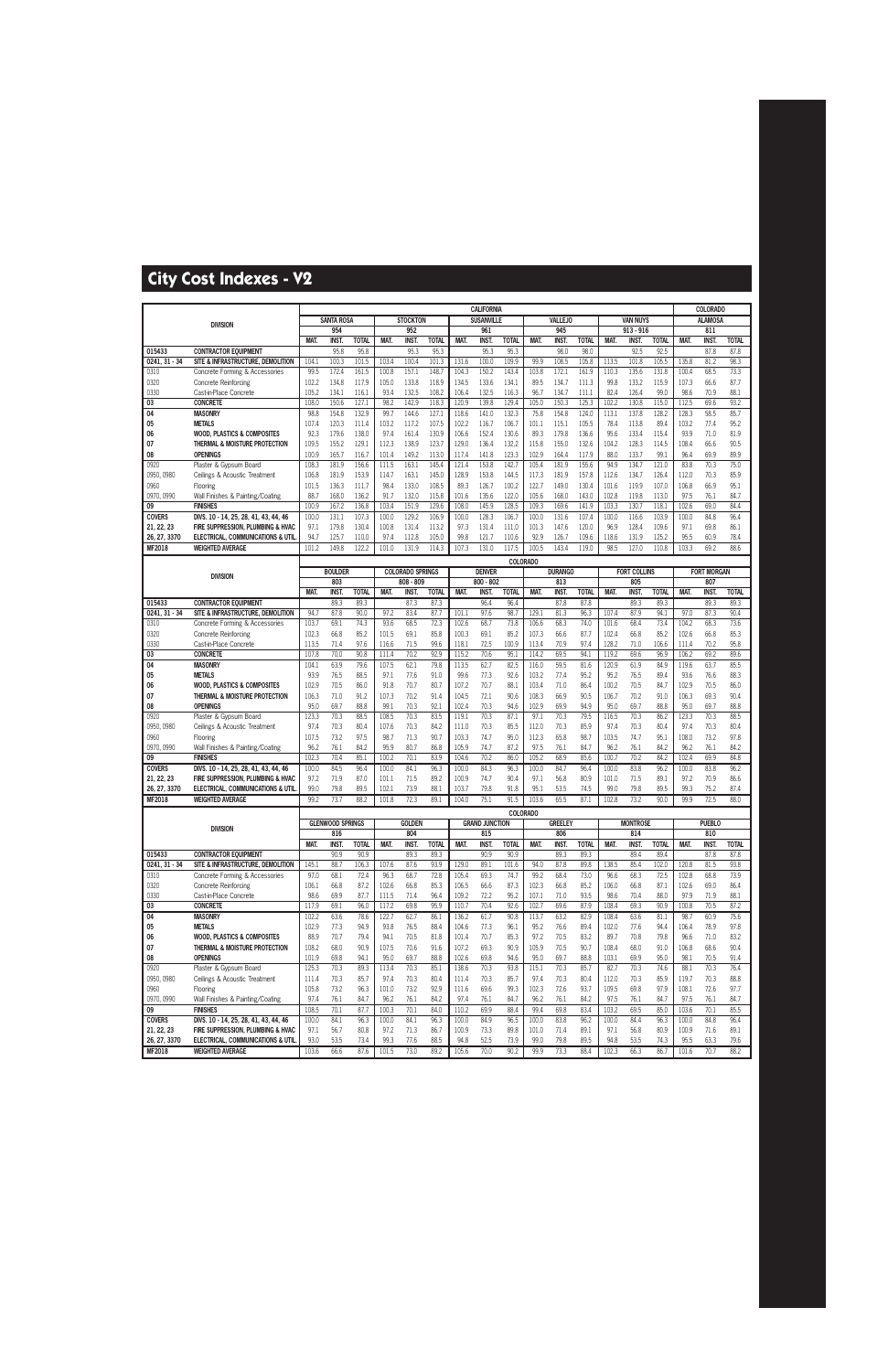|                             |                                                                            |                |                         |                      |                |                         |                      |                | <b>CALIFORNIA</b>     |                      |                 |                      |                      |                |                     |                      |                | COLORADO             |                      |
|-----------------------------|----------------------------------------------------------------------------|----------------|-------------------------|----------------------|----------------|-------------------------|----------------------|----------------|-----------------------|----------------------|-----------------|----------------------|----------------------|----------------|---------------------|----------------------|----------------|----------------------|----------------------|
|                             | <b>DIVISION</b>                                                            |                | <b>SANTA ROSA</b>       |                      |                | <b>STOCKTON</b>         |                      |                | <b>SUSANVILLE</b>     |                      |                 | <b>VALLEJO</b>       |                      |                | <b>VAN NUYS</b>     |                      |                | <b>ALAMOSA</b>       |                      |
|                             |                                                                            |                | 954                     |                      |                | 952                     |                      |                | 961                   |                      |                 | 945                  |                      |                | $913 - 916$         |                      |                | 811                  |                      |
| 015433                      | <b>CONTRACTOR EQUIPMENT</b>                                                | MAT.           | INST.<br>95.8           | <b>TOTAL</b><br>95.8 | MAT.           | INST.<br>95.3           | <b>TOTAL</b><br>95.3 | MAT.           | <b>INST</b><br>95.3   | <b>TOTAL</b><br>95.3 | MAT.            | <b>INST.</b><br>98.0 | <b>TOTAL</b><br>98.0 | MAT.           | INST.<br>92.5       | <b>TOTAL</b><br>92.5 | MAT.           | INST.<br>87.8        | <b>TOTAL</b><br>87.8 |
| 0241, 31 - 34               | SITE & INFRASTRUCTURE, DEMOLITION                                          | 104.1          | 100.3                   | 101.5                | 103.4          | 100.4                   | 101.3                | 131.6          | 100.0                 | 109.9                | 99.9            | 108.5                | 105.8                | 113.5          | 101.8               | 105.5                | 135.8          | 81.2                 | 98.3                 |
| 0310                        | Concrete Forming & Accessories                                             | 99.5           | 172.4                   | 161.5                | 100.8          | 157.1                   | 148.7                | 104.3          | 150.2                 | 143.4                | 103.8           | 172.1                | 161.9                | 110.3          | 135.6               | 131.8                | 100.4          | 68.5                 | 73.3                 |
| 0320                        | <b>Concrete Reinforcing</b>                                                | 102.2          | 134.8                   | 117.9                | 105.0          | 133.8                   | 118.9                | 134.5          | 133.6                 | 134.1                | 89.5            | 134.7                | 111.3                | 99.8           | 133.2               | 115.9                | 107.3          | 66.6                 | 87.7                 |
| 0330                        | Cast-in-Place Concrete                                                     | 105.2          | 134.1                   | 116.1                | 93.4           | 132.5                   | 108.2                | 106.4          | 132.5                 | 116.3                | 96.7            | 134.7                | 111.1                | 82.4           | 126.4               | 99.0                 | 98.6           | 70.9                 | 88.1                 |
| 03                          | <b>CONCRETE</b>                                                            | 108.0          | 150.6                   | 127.1                | 98.2           | 142.9                   | 118.3                | 120.9          | 139.8                 | 129.4                | 105.0           | 150.3                | 125.3                | 102.2          | 130.8               | 115.0                | 112.5          | 69.6                 | 93.2                 |
| 04                          | <b>MASONRY</b>                                                             | 98.8           | 154.8                   | 132.9                | 99.7           | 144.6                   | 127.1                | 118.6          | 141.0                 | 132.3                | 75.8            | 154.8                | 124.0                | 113.1          | 137.8               | 128.2                | 128.3          | 58.5                 | 85.7                 |
| 05<br>06                    | <b>METALS</b><br><b>WOOD, PLASTICS &amp; COMPOSITES</b>                    | 107.4<br>92.3  | 120.3<br>179.6          | 111.4<br>138.0       | 103.2<br>97.4  | 117.2<br>161.4          | 107.5<br>130.9       | 102.2<br>106.6 | 116.7<br>152.4        | 106.7<br>130.6       | 101.1<br>89.3   | 115.1<br>179.8       | 105.5<br>136.6       | 78.4<br>95.6   | 113.8<br>133.4      | 89.4<br>115.4        | 103.2<br>93.9  | 77.4<br>71.0         | 95.2<br>81.9         |
| 07                          | THERMAL & MOISTURE PROTECTION                                              | 109.5          | 155.2                   | 129.1                | 112.3          | 138.9                   | 123.7                | 129.0          | 136.4                 | 132.2                | 115.8           | 155.0                | 132.6                | 104.2          | 128.3               | 114.5                | 108.4          | 66.6                 | 90.5                 |
| 08                          | <b>OPENINGS</b>                                                            | 100.9          | 165.7                   | 116.7                | 101.4          | 149.2                   | 113.0                | 117.4          | 141.8                 | 123.3                | 102.9           | 164.4                | 117.9                | 88.0           | 133.7               | 99.1                 | 96.4           | 69.9                 | 89.9                 |
| 0920                        | Plaster & Gypsum Board                                                     | 108.3          | 181.9                   | 156.6                | 111.5          | 163.1                   | 145.4                | 121.4          | 153.8                 | 142.7                | 105.4           | 181.9                | 155.6                | 94.9           | 134.7               | 121.0                | 83.8           | 70.3                 | 75.0                 |
| 0950, 0980                  | Ceilings & Acoustic Treatment                                              | 106.8          | 181.9                   | 153.9                | 114.7          | 163.1                   | 145.0                | 128.9          | 153.8                 | 144.5                | 117.3           | 181.9                | 157.8                | 112.6          | 134.7               | 126.4                | 112.0          | 70.3                 | 85.9                 |
| 0960                        | Flooring                                                                   | 101.5          | 136.3                   | 111.7                | 98.4           | 133.0                   | 108.5                | 89.3           | 126.7                 | 100.2                | 122.7           | 149.0                | 130.4                | 101.6          | 119.9               | 107.0                | 106.8          | 66.9                 | 95.1                 |
| 0970, 0990                  | Wall Finishes & Painting/Coating                                           | 88.7           | 168.0                   | 136.2                | 91.7           | 132.0                   | 115.8                | 101.6          | 135.6                 | 122.0                | 105.6           | 168.0                | 143.0                | 102.8          | 119.8               | 113.0                | 97.5           | 76.1                 | 84.7                 |
| 09<br><b>COVERS</b>         | <b>FINISHES</b><br>DIVS. 10 - 14, 25, 28, 41, 43, 44, 46                   | 100.9<br>100.0 | 167.2<br>131.1          | 136.8<br>107.3       | 103.4<br>100.0 | 151.9<br>129.2          | 129.6<br>106.9       | 108.0<br>100.0 | 145.9<br>128.3        | 128.5<br>106.7       | 109.3<br>100.0  | 169.6<br>131.6       | 141.9<br>107.4       | 103.3<br>100.0 | 130.7<br>116.6      | 118.1<br>103.9       | 102.6<br>100.0 | 69.0<br>84.8         | 84.4<br>96.4         |
| 21, 22, 23                  | FIRE SUPPRESSION, PLUMBING & HVAC                                          | 97.1           | 179.8                   | 130.4                | 100.8          | 131.4                   | 113.2                | 97.3           | 131.4                 | 111.0                | 101.3           | 147.6                | 120.0                | 96.9           | 128.4               | 109.6                | 97.1           | 69.8                 | 86.1                 |
| 26, 27, 3370                | ELECTRICAL, COMMUNICATIONS & UTIL                                          | 94.7           | 125.7                   | 110.0                | 97.4           | 112.8                   | 105.0                | 99.8           | 121.7                 | 110.6                | 92.9            | 126.7                | 109.6                | 118.6          | 131.9               | 125.2                | 95.5           | 60.9                 | 78.4                 |
| MF2018                      | <b>WEIGHTED AVERAGE</b>                                                    | 101.2          | 149.8                   | 122.2                | 101.0          | 131.9                   | 114.3                | 107.3          | 131.0                 | 117.5                | 100.5           | 143.4                | 119.0                | 98.5           | 127.0               | 110.8                | 103.3          | 69.2                 | 88.6                 |
|                             |                                                                            |                |                         |                      |                |                         |                      |                |                       | <b>COLORADO</b>      |                 |                      |                      |                |                     |                      |                |                      |                      |
|                             | <b>DIVISION</b>                                                            |                | <b>BOULDER</b>          |                      |                | <b>COLORADO SPRINGS</b> |                      |                | <b>DENVER</b>         |                      |                 | <b>DURANGO</b>       |                      |                | <b>FORT COLLINS</b> |                      |                | <b>FORT MORGAN</b>   |                      |
|                             |                                                                            |                | 803                     |                      |                | $808 - 809$             |                      |                | $800 - 802$           |                      |                 | 813                  |                      |                | 805                 |                      |                | 807                  |                      |
| 015433                      | <b>CONTRACTOR EOUIPMENT</b>                                                | MAT.           | INST.<br>89.3           | <b>TOTAL</b><br>89.3 | MAT.           | INST.<br>87.3           | <b>TOTAL</b><br>87.3 | MAT.           | INST.<br>96.4         | <b>TOTAL</b><br>96.4 | MAT.            | <b>INST.</b><br>87.8 | <b>TOTAL</b><br>87.8 | MAT.           | INST.<br>89.3       | <b>TOTAL</b><br>89.3 | MAT.           | <b>INST.</b><br>89.3 | <b>TOTAL</b><br>89.3 |
| $0241, 31 - 34$             | SITE & INFRASTRUCTURE, DEMOLITION                                          | 94.7           | 87.8                    | 90.0                 | 97.2           | 83.4                    | 87.7                 | 101.1          | 97.6                  | 98.7                 | 129.1           | 81.3                 | 96.3                 | 107.4          | 87.9                | 94.1                 | 97.0           | 87.3                 | 90.4                 |
| 0310                        | Concrete Forming & Accessories                                             | 103.7          | 69.1                    | 74.3                 | 93.6           | 68.5                    | 72.3                 | 102.6          | 68.7                  | 73.8                 | 106.6           | 68.3                 | 74.0                 | 101.6          | 68.4                | 73.4                 | 104.2          | 68.3                 | 73.6                 |
| 0320                        | <b>Concrete Reinforcing</b>                                                | 102.3          | 66.8                    | 85.2                 | 101.5          | 69.1                    | 85.8                 | 100.3          | 69.1                  | 85.2                 | 107.3           | 66.6                 | 87.7                 | 102.4          | 66.8                | 85.2                 | 102.6          | 66.8                 | 85.3                 |
| 0330                        | Cast-in-Place Concrete                                                     | 113.5          | 71.4                    | 97.6                 | 116.6          | 71.5                    | 99.6                 | 118.1          | 72.5                  | 100.9                | 113.4           | 70.9                 | 97.4                 | 128.2          | 71.0                | 106.6                | 111.4          | 70.2                 | 95.8                 |
| 03                          | <b>CONCRETE</b>                                                            | 107.8          | 70.0                    | 90.8                 | 111.4          | 70.2                    | 92.9                 | 115.2          | 70.6                  | 95.1                 | 114.2           | 69.5                 | 94.1                 | 119.2          | 69.6                | 96.9                 | 106.2          | 69.2                 | 89.6                 |
| 04<br>05                    | <b>MASONRY</b><br><b>METALS</b>                                            | 104.1<br>93.9  | 63.9<br>76.5            | 79.6<br>88.5         | 107.5<br>97.1  | 62.1<br>77.6            | 79.8<br>91.0         | 113.5<br>99.6  | 62.7<br>77.3          | 82.5<br>92.6         | 116.0<br>103.2  | 59.5<br>77.4         | 81.6<br>95.2         | 120.9<br>95.2  | 61.9<br>76.5        | 84.9<br>89.4         | 119.6<br>93.6  | 63.7<br>76.6         | 85.5<br>88.3         |
| 06                          | <b>WOOD, PLASTICS &amp; COMPOSITES</b>                                     | 102.9          | 70.5                    | 86.0                 | 91.8           | 70.7                    | 80.7                 | 107.2          | 70.7                  | 88.1                 | 103.4           | 71.0                 | 86.4                 | 100.2          | 70.5                | 84.7                 | 102.9          | 70.5                 | 86.0                 |
| 07                          | THERMAL & MOISTURE PROTECTION                                              | 106.3          | 71.0                    | 91.2                 | 107.3          | 70.2                    | 91.4                 | 104.5          | 72.1                  | 90.6                 | 108.3           | 66.9                 | 90.5                 | 106.7          | 70.2                | 91.0                 | 106.3          | 69.3                 | 90.4                 |
| 08                          | <b>OPENINGS</b>                                                            | 95.0           | 69.7                    | 88.8                 | 99.1           | 70.3                    | 92.1                 | 102.4          | 70.3                  | 94.6                 | 102.9           | 69.9                 | 94.9                 | 95.0           | 69.7                | 88.8                 | 95.0           | 69.7                 | 88.8                 |
| 0920                        | Plaster & Gypsum Board                                                     | 123.3          | 70.3                    | 88.5                 | 108.5          | 70.3                    | 83.5                 | 119.1          | 70.3                  | 87.1                 | 97.1            | 70.3                 | 79.5                 | 116.5          | 70.3                | 86.2                 | 123.3          | 70.3                 | 88.5                 |
| 0950, 0980<br>0960          | Ceilings & Acoustic Treatment                                              | 97.4<br>107.5  | 70.3<br>73.2            | 80.4<br>97.5         | 107.6<br>98.7  | 70.3<br>71.3            | 84.2<br>90.7         | 111.0<br>103.3 | 70.3<br>74.7          | 85.5<br>95.0         | 112.0<br>112.3  | 70.3<br>65.8         | 85.9<br>98.7         | 97.4<br>103.5  | 70.3<br>74.7        | 80.4<br>95.1         | 97.4<br>108.0  | 70.3<br>73.2         | 80.4<br>97.8         |
| 0970, 0990                  | Flooring<br>Wall Finishes & Painting/Coating                               | 96.2           | 76.1                    | 84.2                 | 95.9           | 80.7                    | 86.8                 | 105.9          | 74.7                  | 87.2                 | 97.5            | 76.1                 | 84.7                 | 96.2           | 76.1                | 84.2                 | 96.2           | 76.1                 | 84.2                 |
| 09                          | <b>FINISHES</b>                                                            | 102.3          | 70.4                    | 85.1                 | 100.2          | 70.1                    | 83.9                 | 104.6          | 70.2                  | 86.0                 | 105.2           | 68.9                 | 85.6                 | 100.7          | 70.2                | 84.2                 | 102.4          | 69.9                 | 84.8                 |
| <b>COVERS</b>               | DIVS. 10 - 14, 25, 28, 41, 43, 44, 46                                      | 100.0          | 84.5                    | 96.4                 | 100.0          | 84.1                    | 96.3                 | 100.0          | 84.3                  | 96.3                 | 100.0           | 84.7                 | 96.4                 | 100.0          | 83.8                | 96.2                 | 100.0          | 83.8                 | 96.2                 |
| 21, 22, 23                  | FIRE SUPPRESSION, PLUMBING & HVAC                                          | 97.2           | 71.9                    | 87.0                 | 101.1          | 71.5                    | 89.2                 | 100.9          | 74.7                  | 90.4                 | 97.1            | 56.8                 | 80.9                 | 101.0          | 71.5                | 89.1                 | 97.2           | 70.9                 | 86.6                 |
| 26, 27, 3370                | <b>ELECTRICAL, COMMUNICATIONS &amp; UTIL</b>                               | 99.0           | 79.8                    | 89.5                 | 102.1          | 73.9                    | 88.1                 | 103.7          | 79.8                  | 91.8                 | 95.1            | 53.5                 | 74.5                 | 99.0           | 79.8                | 89.5                 | 99.3           | 75.2                 | 87.4                 |
| <b>MF2018</b>               | <b>WEIGHTED AVERAGE</b>                                                    | 99.2           | 73.7                    | 88.2                 | 101.8          | 72.3                    | 89.1                 | 104.0          | 75.1                  | 91.5                 | 103.6           | 65.5                 | 87.1                 | 102.8          | 73.2                | 90.0                 | 99.9           | 72.5                 | 88.0                 |
|                             |                                                                            |                | <b>GLENWOOD SPRINGS</b> |                      |                | <b>GOLDEN</b>           |                      |                | <b>GRAND JUNCTION</b> |                      | <b>COLORADO</b> | <b>GREELEY</b>       |                      |                | <b>MONTROSE</b>     |                      |                | <b>PUEBLO</b>        |                      |
|                             | <b>DIVISION</b>                                                            |                | 816                     |                      |                | 804                     |                      |                | 815                   |                      |                 | 806                  |                      |                | 814                 |                      |                | 810                  |                      |
|                             |                                                                            | MAT.           | <b>INST.</b>            | <b>TOTAL</b>         | MAT.           | INST.                   | <b>TOTAL</b>         | MAT.           | <b>INST.</b>          | <b>TOTAL</b>         | MAT.            | INST.                | <b>TOTAL</b>         | MAT.           | INST.               | <b>TOTAL</b>         | MAT.           | INST.                | <b>TOTAL</b>         |
| 015433                      | <b>CONTRACTOR EOUIPMENT</b>                                                |                | 90.9                    | 90.9                 |                | 89.3                    | 89.3                 |                | 90.9                  | 90.9                 |                 | 89.3                 | 89.3                 |                | 89.4                | 89.4                 |                | 87.8                 | 87.8                 |
| $0241, 31 - 34$             | SITE & INFRASTRUCTURE, DEMOLITION                                          | 145.1          | 88.7                    | 106.3                | 107.6          | 87.6                    | 93.9                 | 129.0          | 89.1                  | 101.6                | 94.0            | 87.8                 | 89.8                 | 138.5          | 85.4                | 102.0                | 120.8          | 81.5                 | 93.8                 |
| 0310<br>0320                | Concrete Forming & Accessories<br><b>Concrete Reinforcing</b>              | 97.0<br>106.1  | 68.1<br>66.8            | 72.4<br>87.2         | 96.3<br>102.6  | 68.7<br>66.8            | 72.8<br>85.3         | 105.4<br>106.5 | 69.3<br>66.6          | 74.7<br>87.3         | 99.2<br>102.3   | 68.4<br>66.8         | 73.0<br>85.2         | 96.6<br>106.0  | 68.3<br>66.8        | 72.5<br>87.1         | 102.8<br>102.6 | 68.8<br>69.0         | 73.9<br>86.4         |
| 0330                        | Cast-in-Place Concrete                                                     | 98.6           | 69.9                    | 87.7                 | 111.5          | 71.4                    | 96.4                 | 109.2          | 72.2                  | 95.2                 | 107.1           | 71.0                 | 93.5                 | 98.6           | 70.4                | 88.0                 | 97.9           | 71.9                 | 88.1                 |
| 03                          | <b>CONCRETE</b>                                                            | 117.9          | 69.1                    | 96.0                 | 117.2          | 69.8                    | 95.9                 | 110.7          | 70.4                  | 92.6                 | 102.7           | 69.6                 | 87.9                 | 108.4          | 69.3                | 90.9                 | 100.8          | 70.5                 | 87.2                 |
| 04                          | <b>MASONRY</b>                                                             | 102.2          | 63.6                    | 78.6                 | 122.7          | 62.7                    | 86.1                 | 136.2          | 61.7                  | 90.8                 | 113.7           | 63.2                 | 82.9                 | 108.4          | 63.6                | 81.1                 | 98.7           | 60.9                 | 75.6                 |
| 05                          | <b>METALS</b>                                                              | 102.9          | 77.3                    | 94.9                 | 93.8           | 76.5                    | 88.4                 | 104.6          | 77.3                  | 96.1                 | 95.2            | 76.6                 | 89.4                 | 102.0          | 77.6                | 94.4                 | 106.4          | 78.9                 | 97.8                 |
| 06                          | <b>WOOD, PLASTICS &amp; COMPOSITES</b>                                     | 88.9           | 70.7                    | 79.4                 | 94.1           | 70.5                    | 81.8                 | 101.4          | 70.7                  | 85.3                 | 97.2            | 70.5                 | 83.2                 | 89.7           | 70.8                | 79.8                 | 96.6           | 71.0                 | 83.2                 |
| 07<br>08                    | THERMAL & MOISTURE PROTECTION<br><b>OPENINGS</b>                           | 108.2<br>101.9 | 68.0<br>69.8            | 90.9<br>94.1         | 107.5<br>95.0  | 70.6<br>69.7            | 91.6<br>88.8         | 107.2<br>102.6 | 69.3<br>69.8          | 90.9<br>94.6         | 105.9<br>95.0   | 70.5<br>69.7         | 90.7<br>88.8         | 108.4<br>103.1 | 68.0<br>69.9        | 91.0<br>95.0         | 106.8<br>98.1  | 68.6<br>70.5         | 90.4<br>91.4         |
| 0920                        | Plaster & Gypsum Board                                                     | 125.3          | 70.3                    | 89.3                 | 113.4          | 70.3                    | 85.1                 | 138.6          | 70.3                  | 93.8                 | 115.1           | 70.3                 | 85.7                 | 82.7           | 70.3                | 74.6                 | 88.1           | 70.3                 | 76.4                 |
| 0950, 0980                  | Ceilings & Acoustic Treatment                                              | 111.4          | 70.3                    | 85.7                 | 97.4           | 70.3                    | 80.4                 | 111.4          | 70.3                  | 85.7                 | 97.4            | 70.3                 | 80.4                 | 112.0          | 70.3                | 85.9                 | 119.7          | 70.3                 | 88.8                 |
| 0960                        | Flooring                                                                   | 105.8          | 73.2                    | 96.3                 | 101.0          | 73.2                    | 92.9                 | 111.6          | 69.6                  | 99.3                 | 102.3           | 72.6                 | 93.7                 | 109.5          | 69.8                | 97.9                 | 108.1          | 72.6                 | 97.7                 |
| 0970, 0990                  | Wall Finishes & Painting/Coating                                           | 97.4           | 76.1                    | 84.7                 | 96.2           | 76.1                    | 84.2                 | 97.4           | 76.1                  | 84.7                 | 96.2            | 76.1                 | 84.2                 | 97.5           | 76.1                | 84.7                 | 97.5           | 76.1                 | 84.7                 |
| 09                          | <b>FINISHES</b>                                                            | 108.5          | 70.1                    | 87.7                 | 100.3          | 70.1                    | 84.0                 | 110.2          | 69.9                  | 88.4                 | 99.4            | 69.8                 | 83.4                 | 103.2          | 69.5                | 85.0                 | 103.6          | 70.1                 | 85.5                 |
| <b>COVERS</b><br>21, 22, 23 | DIVS. 10 - 14, 25, 28, 41, 43, 44, 46<br>FIRE SUPPRESSION, PLUMBING & HVAC | 100.0<br>97.1  | 84.1<br>56.7            | 96.3<br>80.8         | 100.0<br>97.2  | 84.1<br>71.3            | 96.3<br>86.7         | 100.0<br>100.9 | 84.9<br>73.3          | 96.5<br>89.8         | 100.0<br>101.0  | 83.8<br>71.4         | 96.2<br>89.1         | 100.0<br>97.1  | 84.4<br>56.8        | 96.3<br>80.9         | 100.0<br>100.9 | 84.8<br>71.6         | 96.4<br>89.1         |
| 26, 27, 3370                | ELECTRICAL, COMMUNICATIONS & UTIL                                          | 93.0           | 53.5                    | 73.4                 | 99.3           | 77.6                    | 88.5                 | 94.8           | 52.5                  | 73.9                 | 99.0            | 79.8                 | 89.5                 | 94.8           | 53.5                | 74.3                 | 95.5           | 63.3                 | 79.6                 |
| <b>MF2018</b>               | <b>WEIGHTED AVERAGE</b>                                                    | 103.6          | 66.6                    | 87.6                 | 101.5          | 73.0                    | 89.2                 | 105.6          | 70.0                  | 90.2                 | 99.9            | 73.3                 | 88.4                 | 102.3          | 66.3                | 86.7                 | 101.6          | 70.7                 | 88.2                 |
|                             |                                                                            |                |                         |                      |                |                         |                      |                |                       |                      |                 |                      |                      |                |                     |                      |                |                      |                      |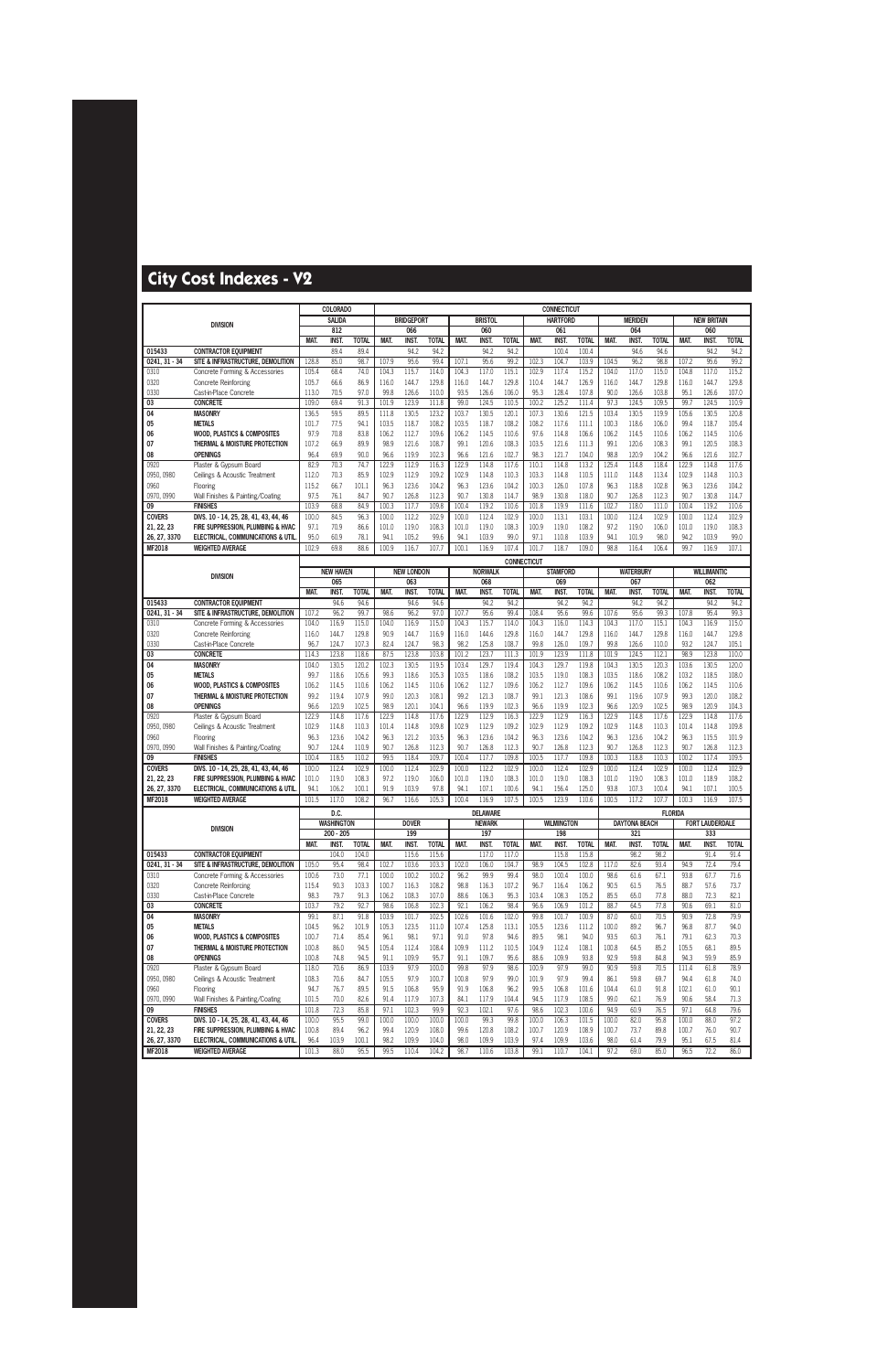|                           |                                                                            |               | COLORADO                  |                |                |                   |                |                |                                  |                    |                | <b>CONNECTICUT</b> |                |                |                      |                |                |                        |                |
|---------------------------|----------------------------------------------------------------------------|---------------|---------------------------|----------------|----------------|-------------------|----------------|----------------|----------------------------------|--------------------|----------------|--------------------|----------------|----------------|----------------------|----------------|----------------|------------------------|----------------|
|                           | <b>DIVISION</b>                                                            |               | <b>SALIDA</b>             |                |                | <b>BRIDGEPORT</b> |                |                | <b>BRISTOL</b>                   |                    |                | <b>HARTFORD</b>    |                |                | <b>MERIDEN</b>       |                |                | <b>NEW BRITAIN</b>     |                |
|                           |                                                                            |               | 812                       |                |                | 066               |                |                | 060                              |                    |                | 061                |                |                | 064                  |                |                | 060                    |                |
|                           |                                                                            | MAT.          | <b>INST</b>               | <b>TOTAL</b>   | MAT.           | <b>INST</b>       | <b>TOTAL</b>   | MAT.           | <b>INST</b>                      | <b>TOTAL</b>       | MAT.           | <b>INST</b>        | <b>TOTAL</b>   | MAT.           | INST.                | <b>TOTAL</b>   | MAT.           | <b>INST</b>            | <b>TOTAL</b>   |
| 015433<br>$0241, 31 - 34$ | <b>CONTRACTOR EQUIPMENT</b>                                                | 128.8         | 89.4<br>85.0              | 89.4<br>98.7   | 107.9          | 94.2<br>95.6      | 94.2<br>99.4   | 107.1          | 94.2<br>95.6                     | 94.2<br>99.2       | 102.3          | 100.4<br>104.7     | 100.4<br>103.9 | 104.5          | 94.6<br>96.2         | 94.6<br>98.8   | 107.2          | 94.2<br>95.6           | 94.2<br>99.2   |
| 0310                      | SITE & INFRASTRUCTURE, DEMOLITION<br>Concrete Forming & Accessories        | 105.4         | 68.4                      | 74.0           | 104.3          | 115.7             | 114.0          | 104.3          | 117.0                            | 115.1              | 102.9          | 117.4              | 115.2          | 104.0          | 117.0                | 115.0          | 104.8          | 117.0                  | 115.2          |
| 0320                      | <b>Concrete Reinforcing</b>                                                | 105.7         | 66.6                      | 86.9           | 116.0          | 144.7             | 129.8          | 116.0          | 144.7                            | 129.8              | 110.4          | 144.7              | 126.9          | 116.0          | 144.7                | 129.8          | 116.0          | 144.7                  | 129.8          |
| 0330                      | Cast-in-Place Concrete                                                     | 113.0         | 70.5                      | 97.0           | 99.8           | 126.6             | 110.0          | 93.5           | 126.6                            | 106.0              | 95.3           | 128.4              | 107.8          | 90.0           | 126.6                | 103.8          | 95.1           | 126.6                  | 107.0          |
| 03                        | <b>CONCRETE</b>                                                            | 109.0         | 69.4                      | 91.3           | 101.9          | 123.9             | 111.8          | 99.0           | 124.5                            | 110.5              | 100.2          | 125.2              | 111.4          | 97.3           | 124.5                | 109.5          | 99.7           | 124.5                  | 110.9          |
| 04                        | <b>MASONRY</b>                                                             | 136.5         | 59.5                      | 89.5           | 111.8          | 130.5             | 123.2          | 103.7          | 130.5                            | 120.1              | 107.3          | 130.6              | 121.5          | 103.4          | 130.5                | 119.9          | 105.6          | 130.5                  | 120.8          |
| 05                        | <b>METALS</b>                                                              | 101.7         | 77.5                      | 94.1           | 103.5          | 118.7             | 108.2          | 103.5          | 118.7                            | 108.2              | 108.2          | 117.6              | 111.1          | 100.3          | 118.6                | 106.0          | 99.4           | 118.7                  | 105.4          |
| 06                        | <b>WOOD. PLASTICS &amp; COMPOSITES</b>                                     | 97.9          | 70.8                      | 83.8           | 106.2          | 112.7             | 109.6          | 106.2          | 114.5                            | 110.6              | 97.6           | 114.8              | 106.6          | 106.2          | 114.5                | 110.6          | 106.2          | 114.5                  | 110.6          |
| 07                        | THERMAL & MOISTURE PROTECTION                                              | 107.2         | 66.9                      | 89.9           | 98.9           | 121.6             | 108.7          | 99.1           | 120.6                            | 108.3              | 103.5          | 121.6              | 111.3          | 99.1           | 120.6                | 108.3          | 99.1           | 120.5                  | 108.3          |
| 08                        | <b>OPENINGS</b>                                                            | 96.4          | 69.9                      | 90.0           | 96.6           | 119.9             | 102.3          | 96.6           | 121.6                            | 102.7              | 98.3           | 121.7              | 104.0          | 98.8           | 120.9                | 104.2          | 96.6           | 121.6                  | 102.7          |
| 0920                      | Plaster & Gypsum Board                                                     | 82.9          | 70.3                      | 74.7           | 122.9          | 112.9             | 116.3          | 122.9          | 114.8                            | 117.6              | 110.1          | 114.8              | 113.2          | 125.4          | 114.8                | 118.4          | 122.9          | 114.8                  | 117.6          |
| 0950, 0980                | Ceilings & Acoustic Treatment                                              | 112.0         | 70.3                      | 85.9           | 102.9          | 112.9             | 109.2          | 102.9          | 114.8                            | 110.3              | 103.3          | 114.8              | 110.5          | 111.0          | 114.8                | 113.4          | 102.9          | 114.8                  | 110.3          |
| 0960                      | Flooring                                                                   | 115.2         | 66.7                      | 101.1          | 96.3           | 123.6             | 104.2          | 96.3           | 123.6                            | 104.2              | 100.3          | 126.0              | 107.8          | 96.3           | 118.8                | 102.8          | 96.3           | 123.6                  | 104.2          |
| 0970, 0990                | Wall Finishes & Painting/Coating                                           | 97.5          | 76.1                      | 84.7           | 90.7           | 126.8             | 112.3          | 90.7           | 130.8                            | 114.7              | 98.9           | 130.8              | 118.0          | 90.7           | 126.8                | 112.3          | 90.7           | 130.8                  | 114.7          |
| 09<br><b>COVERS</b>       | <b>FINISHES</b>                                                            | 103.9         | 68.8<br>84.5              | 84.9<br>96.3   | 100.3          | 117.7<br>112.2    | 109.8<br>102.9 | 100.4          | 119.2<br>112.4                   | 110.6              | 101.8          | 119.9<br>113.1     | 111.6<br>103.1 | 102.7<br>100.0 | 118.0<br>112.4       | 111.0<br>102.9 | 100.4<br>100.0 | 119.2<br>112.4         | 110.6<br>102.9 |
| 21, 22, 23                | DIVS. 10 - 14, 25, 28, 41, 43, 44, 46<br>FIRE SUPPRESSION, PLUMBING & HVAC | 100.0<br>97.1 | 70.9                      | 86.6           | 100.0<br>101.0 | 119.0             | 108.3          | 100.0<br>101.0 | 119.0                            | 102.9<br>108.3     | 100.0<br>100.9 | 119.0              | 108.2          | 97.2           | 119.0                | 106.0          | 101.0          | 119.0                  | 108.3          |
| 26, 27, 3370              | ELECTRICAL, COMMUNICATIONS & UTIL                                          | 95.0          | 60.9                      | 78.1           | 94.1           | 105.2             | 99.6           | 94.1           | 103.9                            | 99.0               | 97.1           | 110.8              | 103.9          | 94.1           | 101.9                | 98.0           | 94.2           | 103.9                  | 99.0           |
| <b>MF2018</b>             | <b>WEIGHTED AVERAGE</b>                                                    | 102.9         | 69.8                      | 88.6           | 100.9          | 116.7             | 107.7          | 100.1          | 116.9                            | 107.4              | 101.7          | 118.7              | 109.0          | 98.8           | 116.4                | 106.4          | 99.7           | 116.9                  | 107.1          |
|                           |                                                                            |               |                           |                |                |                   |                |                |                                  | <b>CONNECTICUT</b> |                |                    |                |                |                      |                |                |                        |                |
|                           |                                                                            |               | <b>NEW HAVEN</b>          |                |                | <b>NEW LONDON</b> |                |                | <b>NORWALK</b>                   |                    |                | <b>STAMFORD</b>    |                |                | <b>WATERBURY</b>     |                |                | <b>WILLIMANTIC</b>     |                |
|                           | <b>DIVISION</b>                                                            |               | 065                       |                |                | 063               |                |                | 068                              |                    |                | 069                |                |                | 067                  |                |                | 062                    |                |
|                           |                                                                            | MAT.          | INST.                     | <b>TOTAL</b>   | MAT.           | INST.             | <b>TOTAL</b>   | <b>MAT</b>     | <b>INST</b>                      | <b>TOTAL</b>       | MAT.           | INST.              | <b>TOTAL</b>   | MAT.           | INST.                | <b>TOTAL</b>   | MAT.           | INST.                  | <b>TOTAL</b>   |
| 015433                    | <b>CONTRACTOR EQUIPMENT</b>                                                |               | 94.6                      | 94.6           |                | 94.6              | 94.6           |                | 94.2                             | 94.2               |                | 94.2               | 94.2           |                | 94.2                 | 94.2           |                | 94.2                   | 94.2           |
| $0241, 31 - 34$           | SITE & INFRASTRUCTURE, DEMOLITION                                          | 107.2         | 96.2                      | 99.7           | 98.6           | 96.2              | 97.0           | 107.7          | 95.6                             | 99.4               | 108.4          | 95.6               | 99.6           | 107.6          | 95.6                 | 99.3           | 107.8          | 95.4                   | 99.3           |
| 0310                      | Concrete Forming & Accessories                                             | 104.0         | 116.9                     | 115.0          | 104.0          | 116.9             | 115.0          | 104.3          | 115.7                            | 114.0              | 104.3          | 116.0              | 114.3          | 104.3          | 117.0                | 115.1          | 104.3          | 116.9                  | 115.0          |
| 0320                      | <b>Concrete Reinforcing</b>                                                | 116.0         | 144.7                     | 129.8          | 90.9           | 144.7             | 116.9          | 116.0          | 144.6                            | 129.8              | 116.0          | 144.7              | 129.8          | 116.0          | 144.7                | 129.8          | 116.0          | 144.7                  | 129.8          |
| 0330                      | Cast-in-Place Concrete                                                     | 96.7          | 124.7                     | 107.3          | 82.4           | 124.7             | 98.3           | 98.2           | 125.8                            | 108.7              | 99.8           | 126.0              | 109.7          | 99.8           | 126.6                | 110.0          | 93.2           | 124.7                  | 105.1          |
| 03                        | <b>CONCRETE</b>                                                            | 114.3         | 123.8                     | 118.6          | 87.5           | 123.8             | 103.8          | 101.2          | 123.7                            | 111.3              | 101.9          | 123.9              | 111.8          | 101.9          | 124.5                | 112.1          | 98.9           | 123.8                  | 110.0          |
| 04                        | <b>MASONRY</b>                                                             | 104.0         | 130.5                     | 120.2          | 102.3          | 130.5             | 119.5          | 103.4          | 129.7                            | 119.4              | 104.3          | 129.7              | 119.8          | 104.3          | 130.5                | 120.3          | 103.6          | 130.5                  | 120.0          |
| 05<br>06                  | <b>METALS</b><br><b>WOOD, PLASTICS &amp; COMPOSITES</b>                    | 99.7<br>106.2 | 118.6<br>114.5            | 105.6<br>110.6 | 99.3<br>106.2  | 118.6<br>114.5    | 105.3<br>110.6 | 103.5<br>106.2 | 118.6<br>112.7                   | 108.2<br>109.6     | 103.5<br>106.2 | 119.0<br>112.7     | 108.3<br>109.6 | 103.5<br>106.2 | 118.6<br>114.5       | 108.2<br>110.6 | 103.2<br>106.2 | 118.5<br>114.5         | 108.0<br>110.6 |
| 07                        | THERMAL & MOISTURE PROTECTION                                              | 99.2          | 119.4                     | 107.9          | 99.0           | 120.3             | 108.1          | 99.2           | 121.3                            | 108.7              | 99.1           | 121.3              | 108.6          | 99.1           | 119.6                | 107.9          | 99.3           | 120.0                  | 108.2          |
| 08                        | <b>OPENINGS</b>                                                            | 96.6          | 120.9                     | 102.5          | 98.9           | 120.1             | 104.1          | 96.6           | 119.9                            | 102.3              | 96.6           | 119.9              | 102.3          | 96.6           | 120.9                | 102.5          | 98.9           | 120.9                  | 104.3          |
| 0920                      | Plaster & Gypsum Board                                                     | 122.9         | 114.8                     | 117.6          | 122.9          | 114.8             | 117.6          | 122.9          | 112.9                            | 116.3              | 122.9          | 112.9              | 116.3          | 122.9          | 114.8                | 117.6          | 122.9          | 114.8                  | 117.6          |
| 0950, 0980                | Ceilings & Acoustic Treatment                                              | 102.9         | 114.8                     | 110.3          | 101.4          | 114.8             | 109.8          | 102.9          | 112.9                            | 109.2              | 102.9          | 112.9              | 109.2          | 102.9          | 114.8                | 110.3          | 101.4          | 114.8                  | 109.8          |
| 0960                      | Flooring                                                                   | 96.3          | 123.6                     | 104.2          | 96.3           | 121.2             | 103.5          | 96.3           | 123.6                            | 104.2              | 96.3           | 123.6              | 104.2          | 96.3           | 123.6                | 104.2          | 96.3           | 115.5                  | 101.9          |
| 0970, 0990                | Wall Finishes & Painting/Coating                                           | 90.7          | 124.4                     | 110.9          | 90.7           | 126.8             | 112.3          | 90.7           | 126.8                            | 112.3              | 90.7           | 126.8              | 112.3          | 90.7           | 126.8                | 112.3          | 90.7           | 126.8                  | 112.3          |
| 09                        | <b>FINISHES</b>                                                            | 100.4         | 118.5                     | 110.2          | 99.5           | 118.4             | 109.7          | 100.4          | 117.7                            | 109.8              | 100.5          | 117.7              | 109.8          | 100.3          | 118.8                | 110.3          | 100.2          | 117.4                  | 109.5          |
| <b>COVERS</b>             | DIVS. 10 - 14, 25, 28, 41, 43, 44, 46                                      | 100.0         | 112.4                     | 102.9          | 100.0          | 112.4             | 102.9          | 100.0          | 112.2                            | 102.9              | 100.0          | 112.4              | 102.9          | 100.0          | 112.4                | 102.9          | 100.0          | 112.4                  | 102.9          |
| 21, 22, 23                | FIRE SUPPRESSION, PLUMBING & HVAC                                          | 101.0         | 119.0                     | 108.3          | 97.2           | 119.0             | 106.0          | 101.0          | 119.0                            | 108.3              | 101.0          | 119.0              | 108.3          | 101.0          | 119.0                | 108.3          | 101.0          | 118.9                  | 108.2          |
| 26, 27, 3370<br>MF2018    | ELECTRICAL, COMMUNICATIONS & UTIL<br><b>WEIGHTED AVERAGE</b>               | 94.1<br>101.5 | 106.2<br>117.0            | 100.1<br>108.2 | 91.9<br>96.7   | 103.9<br>116.6    | 97.8<br>105.3  | 94.1<br>100.4  | 107.1<br>116.9                   | 100.6<br>107.5     | 94.1<br>100.5  | 156.4<br>123.9     | 125.0<br>110.6 | 93.8<br>100.5  | 107.3<br>117.2       | 100.4<br>107.7 | 94.1<br>100.3  | 107.1<br>116.9         | 100.5<br>107.5 |
|                           |                                                                            |               |                           |                |                |                   |                |                |                                  |                    |                |                    |                |                |                      |                |                |                        |                |
|                           |                                                                            |               | D.C.<br><b>WASHINGTON</b> |                |                | <b>DOVER</b>      |                |                | <b>DELAWARE</b><br><b>NEWARK</b> |                    |                | <b>WILMINGTON</b>  |                |                | <b>DAYTONA BEACH</b> | <b>FLORIDA</b> |                | <b>FORT LAUDERDALE</b> |                |
|                           | <b>DIVISION</b>                                                            |               | $200 - 205$               |                |                | 199               |                |                | 197                              |                    |                | 198                |                |                | 321                  |                |                | 333                    |                |
|                           |                                                                            | MAT.          | <b>INST.</b>              | <b>TOTAL</b>   | MAT.           | <b>INST.</b>      | <b>TOTAL</b>   | MAT.           | <b>INST.</b>                     | <b>TOTAL</b>       | MAT.           | <b>INST.</b>       | <b>TOTAL</b>   | MAT.           | <b>INST.</b>         | <b>TOTAL</b>   | MAT.           | <b>INST.</b>           | <b>TOTAL</b>   |
| 015433                    | <b>CONTRACTOR EQUIPMENT</b>                                                |               | 104.0                     | 104.0          |                | 115.6             | 115.6          |                | 117.0                            | 117.0              |                | 115.8              | 115.8          |                | 98.2                 | 98.2           |                | 91.4                   | 91.4           |
| $0241, 31 - 34$           | SITE & INFRASTRUCTURE, DEMOLITION                                          | 105.0         | 95.4                      | 98.4           | 102.7          | 103.6             | 103.3          | 102.0          | 106.0                            | 104.7              | 98.9           | 104.5              | 102.8          | 117.0          | 82.6                 | 93.4           | 94.9           | 72.4                   | 79.4           |
| 0310                      | Concrete Forming & Accessories                                             | 100.6         | 73.0                      | 77.1           | 100.0          | 100.2             | 100.2          | 96.2           | 99.9                             | 99.4               | 98.0           | 100.4              | 100.0          | 98.6           | 61.6                 | 67.1           | 93.8           | 67.7                   | 71.6           |
| 0320                      | <b>Concrete Reinforcing</b>                                                | 115.4         | 90.3                      | 103.3          | 100.7          | 116.3             | 108.2          | 98.8           | 116.3                            | 107.2              | 96.7           | 116.4              | 106.2          | 90.5           | 61.5                 | 76.5           | 88.7           | 57.6                   | 73.7           |
| 0330                      | Cast-in-Place Concrete                                                     | 98.3          | 79.7                      | 91.3           | 106.2          | 108.3             | 107.0          | 88.6           | 106.3                            | 95.3               | 103.4          | 108.3              | 105.2          | 85.5           | 65.0                 | 77.8           | 88.0           | 72.3                   | 82.1           |
| 03                        | <b>CONCRETE</b>                                                            | 103.7         | 79.2                      | 92.7           | 98.6           | 106.8             | 102.3          | 92.1           | 106.2                            | 98.4               | 96.6           | 106.9              | 101.2          | 88.7           | 64.5                 | 77.8           | 90.6           | 69.1                   | 81.0           |
| 04                        | <b>MASONRY</b><br><b>METALS</b>                                            | 99.1<br>104.5 | 87.1<br>96.2              | 91.8<br>101.9  | 103.9          | 101.7<br>123.5    | 102.5<br>111.0 | 102.6<br>107.4 | 101.6<br>125.8                   | 102.0              | 99.8           | 101.7<br>123.6     | 100.9          | 87.0<br>100.0  | 60.0<br>89.2         | 70.5<br>96.7   | 90.9<br>96.8   | 72.8<br>87.7           | 79.9<br>94.0   |
| 05<br>06                  | <b>WOOD, PLASTICS &amp; COMPOSITES</b>                                     | 100.7         | 71.4                      | 85.4           | 105.3<br>96.1  | 98.1              | 97.1           | 91.0           | 97.8                             | 113.1<br>94.6      | 105.5<br>89.5  | 98.1               | 111.2<br>94.0  | 93.5           | 60.3                 | 76.1           | 79.1           | 62.3                   | 70.3           |
| 07                        | THERMAL & MOISTURE PROTECTION                                              | 100.8         | 86.0                      | 94.5           | 105.4          | 112.4             | 108.4          | 109.9          | 111.2                            | 110.5              | 104.9          | 112.4              | 108.1          | 100.8          | 64.5                 | 85.2           | 105.5          | 68.1                   | 89.5           |
| 08                        | <b>OPENINGS</b>                                                            | 100.8         | 74.8                      | 94.5           | 91.1           | 109.9             | 95.7           | 91.1           | 109.7                            | 95.6               | 88.6           | 109.9              | 93.8           | 92.9           | 59.8                 | 84.8           | 94.3           | 59.9                   | 85.9           |
| 0920                      | Plaster & Gypsum Board                                                     | 118.0         | 70.6                      | 86.9           | 103.9          | 97.9              | 100.0          | 99.8           | 97.9                             | 98.6               | 100.9          | 97.9               | 99.0           | 90.9           | 59.8                 | 70.5           | 111.4          | 61.8                   | 78.9           |
| 0950, 0980                | Ceilings & Acoustic Treatment                                              | 108.3         | 70.6                      | 84.7           | 105.5          | 97.9              | 100.7          | 100.8          | 97.9                             | 99.0               | 101.9          | 97.9               | 99.4           | 86.1           | 59.8                 | 69.7           | 94.4           | 61.8                   | 74.0           |
| 0960                      | Flooring                                                                   | 94.7          | 76.7                      | 89.5           | 91.5           | 106.8             | 95.9           | 91.9           | 106.8                            | 96.2               | 99.5           | 106.8              | 101.6          | 104.4          | 61.0                 | 91.8           | 102.1          | 61.0                   | 90.1           |
| 0970, 0990                | Wall Finishes & Painting/Coating                                           | 101.5         | 70.0                      | 82.6           | 91.4           | 117.9             | 107.3          | 84.1           | 117.9                            | 104.4              | 94.5           | 117.9              | 108.5          | 99.0           | 62.1                 | 76.9           | 90.6           | 58.4                   | 71.3           |
| 09                        | <b>FINISHES</b>                                                            | 101.8         | 72.3                      | 85.8           | 97.1           | 102.3             | 99.9           | 92.3           | 102.1                            | 97.6               | 98.6           | 102.3              | 100.6          | 94.9           | 60.9                 | 76.5           | 97.1           | 64.8                   | 79.6           |
| <b>COVERS</b>             | DIVS. 10 - 14, 25, 28, 41, 43, 44, 46                                      | 100.0         | 95.5                      | 99.0           | 100.0          | 100.0             | 100.0          | 100.0          | 99.3                             | 99.8               | 100.0          | 106.3              | 101.5          | 100.0          | 82.0                 | 95.8           | 100.0          | 88.0                   | 97.2           |
| 21, 22, 23                | FIRE SUPPRESSION, PLUMBING & HVAC                                          | 100.8         | 89.4                      | 96.2           | 99.4           | 120.9             | 108.0          | 99.6           | 120.8                            | 108.2              | 100.7          | 120.9              | 108.9          | 100.7          | 73.7                 | 89.8           | 100.7          | 76.0                   | 90.7           |
| 26, 27, 3370              | ELECTRICAL, COMMUNICATIONS & UTIL                                          | 96.4          | 103.9                     | 100.1          | 98.2           | 109.9             | 104.0          | 98.0           | 109.9                            | 103.9              | 97.4           | 109.9              | 103.6          | 98.0           | 61.4                 | 79.9           | 95.1           | 67.5                   | 81.4           |
| <b>MF2018</b>             | <b>WEIGHTED AVERAGE</b>                                                    | 101.3         | 88.0                      | 95.5           | 99.5           | 110.4             | 104.2          | 98.7           | 110.6                            | 103.8              | 99.1           | 110.7              | 104.1          | 97.2           | 69.0                 | 85.0           | 96.5           | 72.2                   | 86.0           |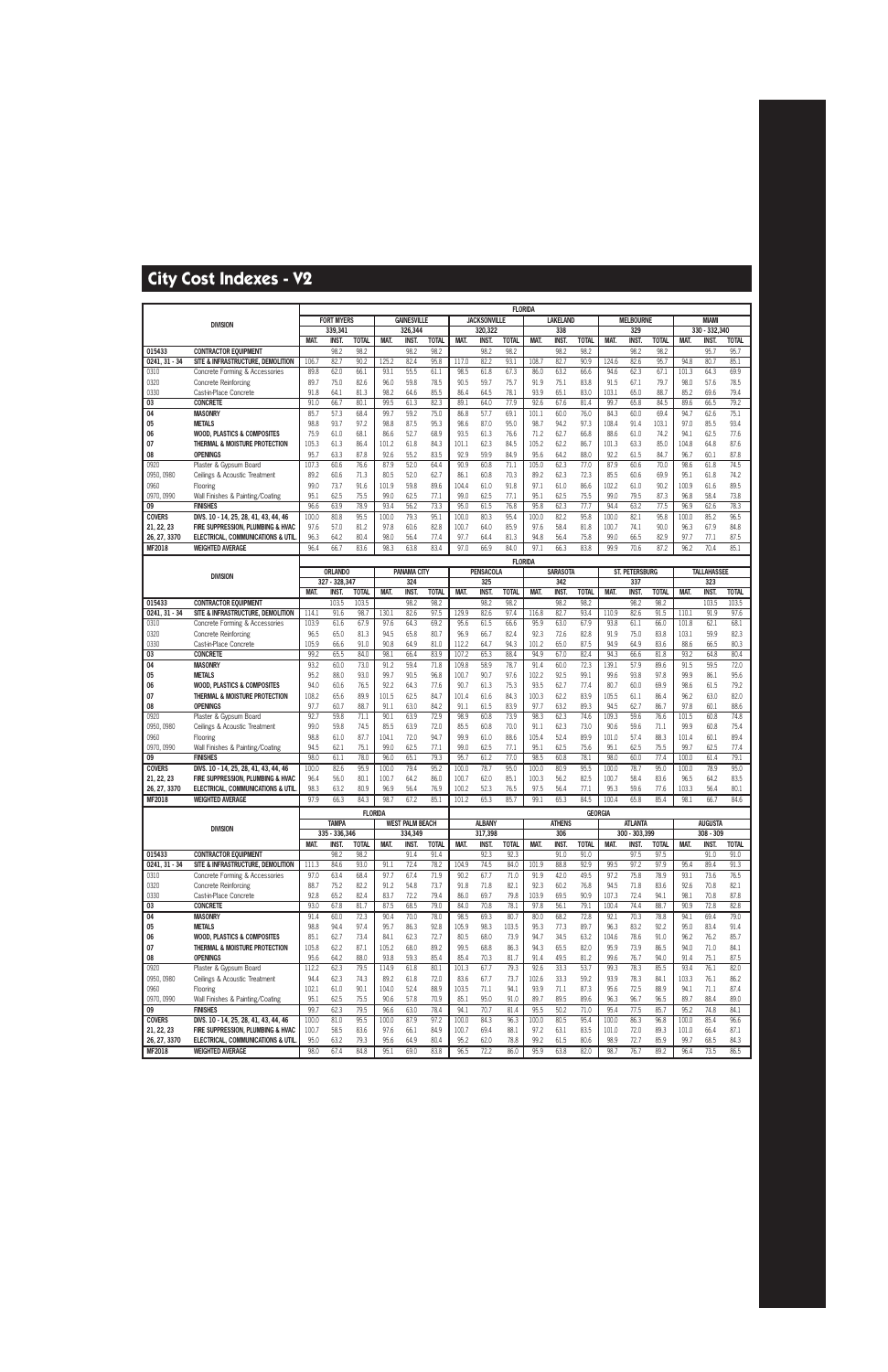|                        |                                                                         |               |                        |                      |               |                        |                      |                |                     | <b>FLORIDA</b>       |               |                     |                      |                |                       |                      |               |                     |                      |
|------------------------|-------------------------------------------------------------------------|---------------|------------------------|----------------------|---------------|------------------------|----------------------|----------------|---------------------|----------------------|---------------|---------------------|----------------------|----------------|-----------------------|----------------------|---------------|---------------------|----------------------|
|                        | <b>DIVISION</b>                                                         |               | <b>FORT MYERS</b>      |                      |               | <b>GAINESVILLE</b>     |                      |                | <b>JACKSONVILLE</b> |                      |               | <b>LAKELAND</b>     |                      |                | <b>MELBOURNE</b>      |                      |               | <b>MIAMI</b>        |                      |
|                        |                                                                         |               | 339.341                |                      |               | 326,344                |                      |                | 320,322             |                      |               | 338                 |                      |                | 329                   |                      |               | 330 - 332.340       |                      |
| 015433                 | <b>CONTRACTOR EQUIPMENT</b>                                             | MAT.          | INST.<br>98.2          | <b>TOTAL</b><br>98.2 | MAT.          | INST.<br>98.2          | <b>TOTAL</b><br>98.2 | MAT.           | <b>INST</b><br>98.2 | <b>TOTAL</b><br>98.2 | MAT.          | <b>INST</b><br>98.2 | <b>TOTAL</b><br>98.2 | MAT.           | <b>INST.</b><br>98.2  | <b>TOTAL</b><br>98.2 | MAT.          | INST.<br>95.7       | <b>TOTAL</b><br>95.7 |
| $0241, 31 - 34$        | SITE & INFRASTRUCTURE. DEMOLITION                                       | 106.7         | 82.7                   | 90.2                 | 125.2         | 82.4                   | 95.8                 | 117.0          | 82.2                | 93.1                 | 108.7         | 82.7                | 90.9                 | 124.6          | 82.6                  | 95.7                 | 94.8          | 80.7                | 85.1                 |
| 0310                   | Concrete Forming & Accessories                                          | 89.8          | 62.0                   | 66.1                 | 93.1          | 55.5                   | 61.1                 | 98.5           | 61.8                | 67.3                 | 86.0          | 63.2                | 66.6                 | 94.6           | 62.3                  | 67.1                 | 101.3         | 64.3                | 69.9                 |
| 0320                   | <b>Concrete Reinforcing</b>                                             | 89.7          | 75.0                   | 82.6                 | 96.0          | 59.8                   | 78.5                 | 90.5           | 59.7                | 75.7                 | 91.9          | 75.1                | 83.8                 | 91.5           | 67.1                  | 79.7                 | 98.0          | 57.6                | 78.5                 |
| 0330                   | Cast-in-Place Concrete                                                  | 91.8          | 64.1                   | 81.3                 | 98.2          | 64.6                   | 85.5                 | 86.4           | 64.5                | 78.1                 | 93.9          | 65.1                | 83.0                 | 103.1          | 65.0                  | 88.7                 | 85.2          | 69.6                | 79.4                 |
| 03                     | <b>CONCRETE</b>                                                         | 91.0          | 66.7                   | 80.1                 | 99.5          | 61.3                   | 82.3                 | 89.1           | 64.0                | 77.9                 | 92.6          | 67.6                | 81.4                 | 99.7           | 65.8                  | 84.5                 | 89.6          | 66.5                | 79.2                 |
| 04                     | <b>MASONRY</b>                                                          | 85.7          | 57.3                   | 68.4                 | 99.7          | 59.2                   | 75.0                 | 86.8           | 57.7                | 69.1                 | 101.1         | 60.0                | 76.0                 | 84.3           | 60.0                  | 69.4                 | 94.7          | 62.6                | 75.1                 |
| 05                     | <b>METALS</b>                                                           | 98.8          | 93.7                   | 97.2                 | 98.8          | 87.5                   | 95.3                 | 98.6           | 87.0                | 95.0                 | 98.7          | 94.2                | 97.3                 | 108.4          | 91.4                  | 103.1                | 97.0          | 85.5                | 93.4                 |
| 06                     | <b>WOOD, PLASTICS &amp; COMPOSITES</b>                                  | 75.9          | 61.0                   | 68.1                 | 86.6          | 52.7                   | 68.9                 | 93.5           | 61.3                | 76.6                 | 71.2          | 62.7                | 66.8                 | 88.6           | 61.0                  | 74.2                 | 94.1          | 62.5                | 77.6                 |
| 07                     | THERMAL & MOISTURE PROTECTION                                           | 105.3         | 61.3                   | 86.4                 | 101.2         | 61.8                   | 84.3                 | 101.1          | 62.3                | 84.5                 | 105.2         | 62.2                | 86.7                 | 101.3          | 63.3                  | 85.0                 | 104.8         | 64.8                | 87.6                 |
| 08<br>0920             | <b>OPENINGS</b><br>Plaster & Gypsum Board                               | 95.7<br>107.3 | 63.3<br>60.6           | 87.8<br>76.6         | 92.6<br>87.9  | 55.2<br>52.0           | 83.5<br>64.4         | 92.9<br>90.9   | 59.9<br>60.8        | 84.9<br>71.1         | 95.6<br>105.0 | 64.2<br>62.3        | 88.0<br>77.0         | 92.2<br>87.9   | 61.5<br>60.6          | 84.7<br>70.0         | 96.7<br>98.6  | 60.1<br>61.8        | 87.8<br>74.5         |
| 0950, 0980             | Ceilings & Acoustic Treatment                                           | 89.2          | 60.6                   | 71.3                 | 80.5          | 52.0                   | 62.7                 | 86.1           | 60.8                | 70.3                 | 89.2          | 62.3                | 72.3                 | 85.5           | 60.6                  | 69.9                 | 95.1          | 61.8                | 74.2                 |
| 0960                   | Flooring                                                                | 99.0          | 73.7                   | 91.6                 | 101.9         | 59.8                   | 89.6                 | 104.4          | 61.0                | 91.8                 | 97.1          | 61.0                | 86.6                 | 102.2          | 61.0                  | 90.2                 | 100.9         | 61.6                | 89.5                 |
| 0970, 0990             | Wall Finishes & Painting/Coating                                        | 95.1          | 62.5                   | 75.5                 | 99.0          | 62.5                   | 77.1                 | 99.0           | 62.5                | 77.1                 | 95.1          | 62.5                | 75.5                 | 99.0           | 79.5                  | 87.3                 | 96.8          | 58.4                | 73.8                 |
| 09                     | <b>FINISHES</b>                                                         | 96.6          | 63.9                   | 78.9                 | 93.4          | 56.2                   | 73.3                 | 95.0           | 61.5                | 76.8                 | 95.8          | 62.3                | 77.7                 | 94.4           | 63.2                  | 77.5                 | 96.9          | 62.6                | 78.3                 |
| <b>COVERS</b>          | DIVS. 10 - 14, 25, 28, 41, 43, 44, 46                                   | 100.0         | 80.8                   | 95.5                 | 100.0         | 79.3                   | 95.1                 | 100.0          | 80.3                | 95.4                 | 100.0         | 82.2                | 95.8                 | 100.0          | 82.1                  | 95.8                 | 100.0         | 85.2                | 96.5                 |
| 21, 22, 23             | FIRE SUPPRESSION. PLUMBING & HVAC                                       | 97.6          | 57.0                   | 81.2                 | 97.8          | 60.6                   | 82.8                 | 100.7          | 64.0                | 85.9                 | 97.6          | 58.4                | 81.8                 | 100.7          | 74.1                  | 90.0                 | 96.3          | 67.9                | 84.8                 |
| 26, 27, 3370           | <b>ELECTRICAL, COMMUNICATIONS &amp; UTIL</b>                            | 96.3          | 64.2                   | 80.4                 | 98.0          | 56.4                   | 77.4                 | 97.7           | 64.4                | 81.3                 | 94.8          | 56.4                | 75.8                 | 99.0           | 66.5                  | 82.9                 | 97.7          | 77.1                | 87.5                 |
| <b>MF2018</b>          | <b>WEIGHTED AVERAGE</b>                                                 | 96.4          | 66.7                   | 83.6                 | 98.3          | 63.8                   | 83.4                 | 97.0           | 66.9                | 84.0                 | 97.1          | 66.3                | 83.8                 | 99.9           | 70.6                  | 87.2                 | 96.2          | 70.4                | 85.1                 |
|                        |                                                                         |               |                        |                      |               |                        |                      |                |                     | <b>FLORIDA</b>       |               |                     |                      |                |                       |                      |               |                     |                      |
|                        | <b>DIVISION</b>                                                         |               | <b>ORLANDO</b>         |                      |               | <b>PANAMA CITY</b>     |                      |                | <b>PENSACOLA</b>    |                      |               | <b>SARASOTA</b>     |                      |                | <b>ST. PETERSBURG</b> |                      |               | <b>TALLAHASSEE</b>  |                      |
|                        |                                                                         | MAT.          | 327 - 328.347<br>INST. | <b>TOTAL</b>         | MAT.          | 324<br>INST.           | <b>TOTAL</b>         | MAT.           | 325<br><b>INST</b>  | <b>TOTAL</b>         | MAT.          | 342<br><b>INST</b>  | <b>TOTAL</b>         | MAT.           | 337<br><b>INST.</b>   | <b>TOTAL</b>         | MAT.          | 323<br><b>INST.</b> | <b>TOTAL</b>         |
| 015433                 | <b>CONTRACTOR EQUIPMENT</b>                                             |               | 103.5                  | 103.5                |               | 98.2                   | 98.2                 |                | 98.2                | 98.2                 |               | 98.2                | 98.2                 |                | 98.2                  | 98.2                 |               | 103.5               | 103.5                |
| $0241, 31 - 34$        | SITE & INFRASTRUCTURE, DEMOLITION                                       | 114.1         | 91.6                   | 98.7                 | 130.1         | 82.6                   | 97.5                 | 129.9          | 82.6                | 97.4                 | 116.8         | 82.7                | 93.4                 | 110.9          | 82.6                  | 91.5                 | 110.1         | 91.9                | 97.6                 |
| 0310                   | Concrete Forming & Accessories                                          | 103.9         | 61.6                   | 67.9                 | 97.6          | 64.3                   | 69.2                 | 95.6           | 61.5                | 66.6                 | 95.9          | 63.0                | 67.9                 | 93.8           | 61.1                  | 66.0                 | 101.8         | 62.1                | 68.1                 |
| 0320                   | <b>Concrete Reinforcing</b>                                             | 96.5          | 65.0                   | 81.3                 | 94.5          | 65.8                   | 80.7                 | 96.9           | 66.7                | 82.4                 | 92.3          | 72.6                | 82.8                 | 91.9           | 75.0                  | 83.8                 | 103.1         | 59.9                | 82.3                 |
| 0330                   | Cast-in-Place Concrete                                                  | 105.9         | 66.6                   | 91.0                 | 90.8          | 64.9                   | 81.0                 | 112.2          | 64.7                | 94.3                 | 101.2         | 65.0                | 87.5                 | 94.9           | 64.9                  | 83.6                 | 88.6          | 66.5                | 80.3                 |
| 03                     | <b>CONCRETE</b>                                                         | 99.2          | 65.5                   | 84.0                 | 98.1          | 66.4                   | 83.9                 | 107.2          | 65.3                | 88.4                 | 94.9          | 67.0                | 82.4                 | 94.3           | 66.6                  | 81.8                 | 93.2          | 64.8                | 80.4                 |
| 04                     | <b>MASONRY</b>                                                          | 93.2          | 60.0                   | 73.0                 | 91.2          | 59.4                   | 71.8                 | 109.8          | 58.9                | 78.7                 | 91.4          | 60.0                | 72.3                 | 139.1          | 57.9                  | 89.6                 | 91.5          | 59.5                | 72.0                 |
| 05                     | <b>METALS</b>                                                           | 95.2          | 88.0                   | 93.0                 | 99.7          | 90.5                   | 96.8                 | 100.7          | 90.7                | 97.6                 | 102.2         | 92.5                | 99.1                 | 99.6           | 93.8                  | 97.8                 | 99.9          | 86.1                | 95.6                 |
| 06<br>07               | <b>WOOD, PLASTICS &amp; COMPOSITES</b><br>THERMAL & MOISTURE PROTECTION | 94.0<br>108.2 | 60.6<br>65.6           | 76.5<br>89.9         | 92.2<br>101.5 | 64.3<br>62.5           | 77.6<br>84.7         | 90.7<br>101.4  | 61.3<br>61.6        | 75.3<br>84.3         | 93.5<br>100.3 | 62.7<br>62.2        | 77.4<br>83.9         | 80.7<br>105.5  | 60.0<br>61.1          | 69.9<br>86.4         | 98.6<br>96.2  | 61.5<br>63.0        | 79.2<br>82.0         |
| 08                     | <b>OPENINGS</b>                                                         | 97.7          | 60.7                   | 88.7                 | 91.1          | 63.0                   | 84.2                 | 91.1           | 61.5                | 83.9                 | 97.7          | 63.2                | 89.3                 | 94.5           | 62.7                  | 86.7                 | 97.8          | 60.1                | 88.6                 |
| 0920                   | Plaster & Gypsum Board                                                  | 92.7          | 59.8                   | 71.1                 | 90.1          | 63.9                   | 72.9                 | 98.9           | 60.8                | 73.9                 | 98.3          | 62.3                | 74.6                 | 109.3          | 59.6                  | 76.6                 | 101.5         | 60.8                | 74.8                 |
| 0950, 0980             | Ceilings & Acoustic Treatment                                           | 99.0          | 59.8                   | 74.5                 | 85.5          | 63.9                   | 72.0                 | 85.5           | 60.8                | 70.0                 | 91.1          | 62.3                | 73.0                 | 90.6           | 59.6                  | 71.1                 | 99.9          | 60.8                | 75.4                 |
| 0960                   | Flooring                                                                | 98.8          | 61.0                   | 87.7                 | 104.1         | 72.0                   | 94.7                 | 99.9           | 61.0                | 88.6                 | 105.4         | 52.4                | 89.9                 | 101.0          | 57.4                  | 88.3                 | 101.4         | 60.1                | 89.4                 |
| 0970, 0990             | Wall Finishes & Painting/Coating                                        | 94.5          | 62.1                   | 75.1                 | 99.0          | 62.5                   | 77.1                 | 99.0           | 62.5                | 77.1                 | 95.1          | 62.5                | 75.6                 | 95.1           | 62.5                  | 75.5                 | 99.7          | 62.5                | 77.4                 |
| 09                     | <b>FINISHES</b>                                                         | 98.0          | 61.1                   | 78.0                 | 96.0          | 65.1                   | 79.3                 | 95.7           | 61.2                | 77.0                 | 98.5          | 60.8                | 78.1                 | 98.0           | 60.0                  | 77.4                 | 100.0         | 61.4                | 79.1                 |
| <b>COVERS</b>          | DIVS. 10 - 14, 25, 28, 41, 43, 44, 46                                   | 100.0         | 82.6                   | 95.9                 | 100.0         | 79.4                   | 95.2                 | 100.0          | 78.7                | 95.0                 | 100.0         | 80.9                | 95.5                 | 100.0          | 78.7                  | 95.0                 | 100.0         | 78.9                | 95.0                 |
| 21, 22, 23             | FIRE SUPPRESSION. PLUMBING & HVAC                                       | 96.4          | 56.0                   | 80.1<br>80.9         | 100.7         | 64.2                   | 86.0                 | 100.7          | 62.0<br>52.3        | 85.1<br>76.5         | 100.3         | 56.2                | 82.5<br>77.1         | 100.7          | 58.4                  | 83.6<br>77.6         | 96.5          | 64.2                | 83.5                 |
| 26, 27, 3370<br>MF2018 | ELECTRICAL, COMMUNICATIONS & UTIL<br><b>WEIGHTED AVERAGE</b>            | 98.3<br>97.9  | 63.2<br>66.3           | 84.3                 | 96.9<br>98.7  | 56.4<br>67.2           | 76.9<br>85.1         | 100.2<br>101.2 | 65.3                | 85.7                 | 97.5<br>99.1  | 56.4<br>65.3        | 84.5                 | 95.3<br>100.4  | 59.6<br>65.8          | 85.4                 | 103.3<br>98.1 | 56.4<br>66.7        | 80.1<br>84.6         |
|                        |                                                                         |               |                        | <b>FLORIDA</b>       |               |                        |                      |                |                     |                      |               |                     |                      |                |                       |                      |               |                     |                      |
|                        |                                                                         |               | <b>TAMPA</b>           |                      |               | <b>WEST PALM BEACH</b> |                      |                | <b>ALBANY</b>       |                      |               | <b>ATHENS</b>       | <b>GEORGIA</b>       |                | <b>ATLANTA</b>        |                      |               | <b>AUGUSTA</b>      |                      |
|                        | <b>DIVISION</b>                                                         |               | 335 - 336,346          |                      |               | 334,349                |                      |                | 317,398             |                      |               | 306                 |                      |                | 300 - 303,399         |                      |               | 308 - 309           |                      |
|                        |                                                                         | <b>MAT</b>    | <b>INST.</b>           | <b>TOTAL</b>         | MAT.          | INST.                  | <b>TOTAL</b>         | MAT.           | INST.               | <b>TOTAL</b>         | MAT.          | <b>INST.</b>        | <b>TOTAL</b>         | MAT.           | INST.                 | <b>TOTAL</b>         | MAT.          | <b>INST.</b>        | <b>TOTAL</b>         |
| 015433                 | <b>CONTRACTOR EQUIPMENT</b>                                             |               | 98.2                   | 98.2                 |               | 91.4                   | 91.4                 |                | 92.3                | 92.3                 |               | 91.0                | 91.0                 |                | 97.5                  | 97.5                 |               | 91.0                | 91.0                 |
| $0241, 31 - 34$        | SITE & INFRASTRUCTURE, DEMOLITION                                       | 111.3         | 84.6                   | 93.0                 | 91.1          | 72.4                   | 78.2                 | 104.9          | 74.5                | 84.0                 | 101.9         | 88.8                | 92.9                 | 99.5           | 97.2                  | 97.9                 | 95.4          | 89.4                | 91.3                 |
| 0310                   | Concrete Forming & Accessories                                          | 97.0          | 63.4                   | 68.4                 | 97.7          | 67.4                   | 71.9                 | 90.2           | 67.7                | 71.0                 | 91.9          | 42.0                | 49.5                 | 97.2           | 75.8                  | 78.9                 | 93.1          | 73.6                | 76.5                 |
| 0320                   | Concrete Reinforcing<br>Cast-in-Place Concrete                          | 88.7          | 75.2                   | 82.2                 | 91.2          | 54.8                   | 73.7                 | 91.8           | 71.8                | 82.1                 | 92.3          | 60.2                | 76.8                 | 94.5           | 71.8                  | 83.6                 | 92.6          | 70.8                | 82.1                 |
| 0330<br>03             | <b>CONCRETE</b>                                                         | 92.8<br>93.0  | 65.2<br>67.8           | 82.4<br>81.7         | 83.7<br>87.5  | 72.2<br>68.5           | 79.4<br>79.0         | 86.0<br>84.0   | 69.7<br>70.8        | 79.8<br>78.1         | 103.9<br>97.8 | 69.5<br>56.1        | 90.9<br>79.1         | 107.3<br>100.4 | 72.4<br>74.4          | 94.1<br>88.7         | 98.1<br>90.9  | 70.8<br>72.8        | 87.8<br>82.8         |
| 04                     | <b>MASONRY</b>                                                          | 91.4          | 60.0                   | 72.3                 | 90.4          | 70.0                   | 78.0                 | 98.5           | 69.3                | 80.7                 | 80.0          | 68.2                | 72.8                 | 92.1           | 70.3                  | 78.8                 | 94.1          | 69.4                | 79.0                 |
| 05                     | <b>METALS</b>                                                           | 98.8          | 94.4                   | 97.4                 | 95.7          | 86.3                   | 92.8                 | 105.9          | 98.3                | 103.5                | 95.3          | 77.3                | 89.7                 | 96.3           | 83.2                  | 92.2                 | 95.0          | 83.4                | 91.4                 |
| 06                     | <b>WOOD, PLASTICS &amp; COMPOSITES</b>                                  | 85.1          | 62.7                   | 73.4                 | 84.1          | 62.3                   | 72.7                 | 80.5           | 68.0                | 73.9                 | 94.7          | 34.5                | 63.2                 | 104.6          | 78.6                  | 91.0                 | 96.2          | 76.2                | 85.7                 |
| 07                     | THERMAL & MOISTURE PROTECTION                                           | 105.8         | 62.2                   | 87.1                 | 105.2         | 68.0                   | 89.2                 | 99.5           | 68.8                | 86.3                 | 94.3          | 65.5                | 82.0                 | 95.9           | 73.9                  | 86.5                 | 94.0          | 71.0                | 84.1                 |
| 08                     | <b>OPENINGS</b>                                                         | 95.6          | 64.2                   | 88.0                 | 93.8          | 59.3                   | 85.4                 | 85.4           | 70.3                | 81.7                 | 91.4          | 49.5                | 81.2                 | 99.6           | 76.7                  | 94.0                 | 91.4          | 75.1                | 87.5                 |
| 0920                   | Plaster & Gypsum Board                                                  | 112.2         | 62.3                   | 79.5                 | 114.9         | 61.8                   | 80.1                 | 101.3          | 67.7                | 79.3                 | 92.6          | 33.3                | 53.7                 | 99.3           | 78.3                  | 85.5                 | 93.4          | 76.1                | 82.0                 |
| 0950, 0980             | Ceilings & Acoustic Treatment                                           | 94.4          | 62.3                   | 74.3                 | 89.2          | 61.8                   | 72.0                 | 83.6           | 67.7                | 73.7                 | 102.6         | 33.3                | 59.2                 | 93.9           | 78.3                  | 84.1                 | 103.3         | 76.1                | 86.2                 |
| 0960                   | Flooring                                                                | 102.1         | 61.0                   | 90.1                 | 104.0         | 52.4                   | 88.9                 | 103.5          | 71.1                | 94.1                 | 93.9          | 71.1                | 87.3                 | 95.6           | 72.5                  | 88.9                 | 94.1          | 71.1                | 87.4                 |
| 0970, 0990<br>09       | Wall Finishes & Painting/Coating<br><b>FINISHES</b>                     | 95.1<br>99.7  | 62.5<br>62.3           | 75.5<br>79.5         | 90.6<br>96.6  | 57.8<br>63.0           | 70.9<br>78.4         | 85.1<br>94.1   | 95.0<br>70.7        | 91.0<br>81.4         | 89.7<br>95.5  | 89.5<br>50.2        | 89.6<br>71.0         | 96.3<br>95.4   | 96.7<br>77.5          | 96.5<br>85.7         | 89.7<br>95.2  | 88.4<br>74.8        | 89.0<br>84.1         |
| <b>COVERS</b>          | DIVS. 10 - 14, 25, 28, 41, 43, 44, 46                                   | 100.0         | 81.0                   | 95.5                 | 100.0         | 87.9                   | 97.2                 | 100.0          | 84.3                | 96.3                 | 100.0         | 80.5                | 95.4                 | 100.0          | 86.3                  | 96.8                 | 100.0         | 85.4                | 96.6                 |
| 21, 22, 23             | FIRE SUPPRESSION, PLUMBING & HVAC                                       | 100.7         | 58.5                   | 83.6                 | 97.6          | 66.1                   | 84.9                 | 100.7          | 69.4                | 88.1                 | 97.2          | 63.1                | 83.5                 | 101.0          | 72.0                  | 89.3                 | 101.0         | 66.4                | 87.1                 |
| 26, 27, 3370           | ELECTRICAL, COMMUNICATIONS & UTIL                                       | 95.0          | 63.2                   | 79.3                 | 95.6          | 64.9                   | 80.4                 | 95.2           | 62.0                | 78.8                 | 99.2          | 61.5                | 80.6                 | 98.9           | 72.7                  | 85.9                 | 99.7          | 68.5                | 84.3                 |
| <b>MF2018</b>          | <b>WEIGHTED AVERAGE</b>                                                 | 98.0          | 67.4                   | 84.8                 | 95.1          | 69.0                   | 83.8                 | 96.5           | 72.2                | 86.0                 | 95.9          | 63.8                | 82.0                 | 98.7           | 76.7                  | 89.2                 | 96.4          | 73.5                | 86.5                 |
|                        |                                                                         |               |                        |                      |               |                        |                      |                |                     |                      |               |                     |                      |                |                       |                      |               |                     |                      |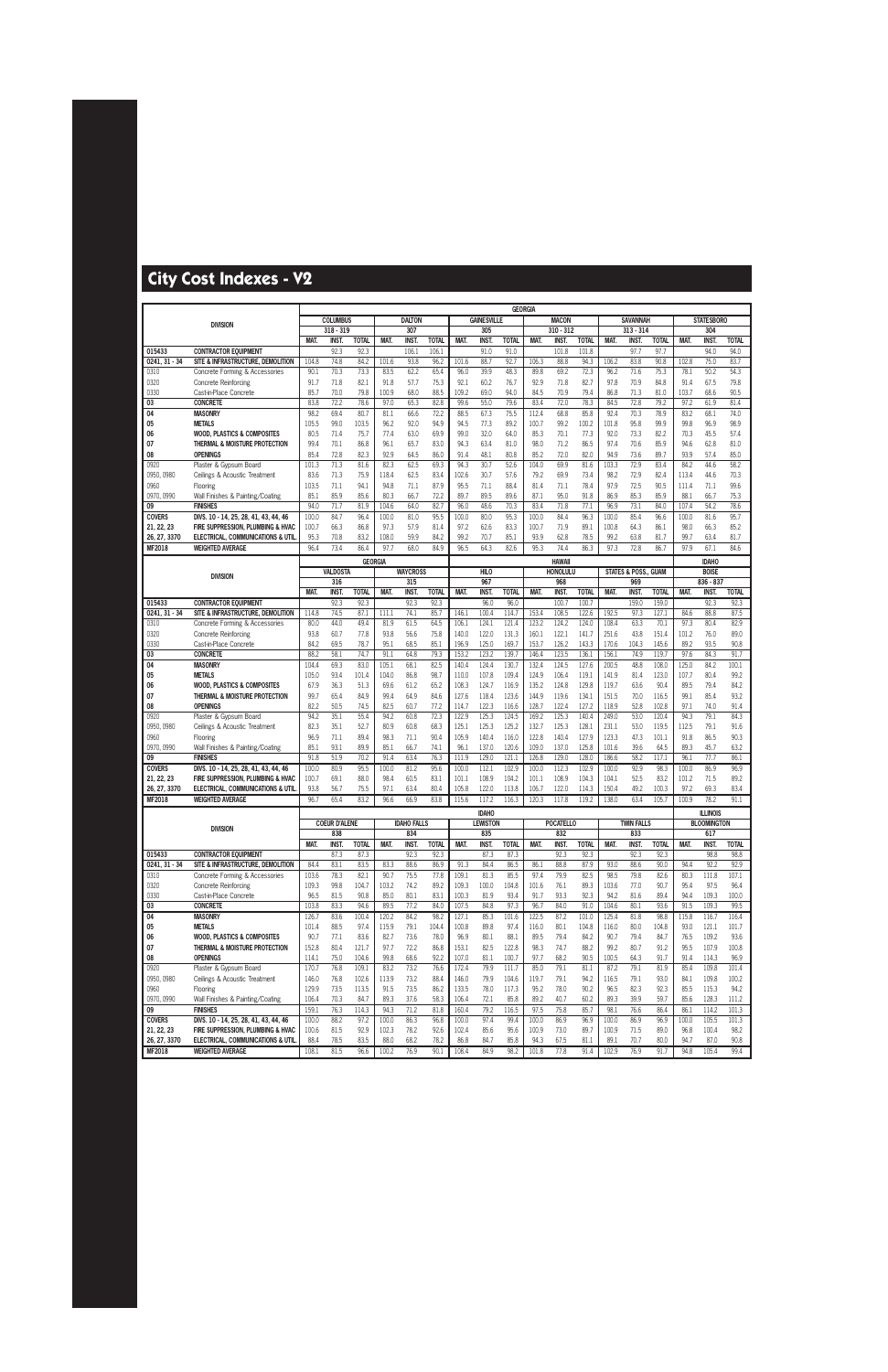|                    |                                                         |                |                      |                |              |                    |              |                |                    |                | <b>GEORGIA</b> |                  |                |                |                                 |               |              |                    |               |
|--------------------|---------------------------------------------------------|----------------|----------------------|----------------|--------------|--------------------|--------------|----------------|--------------------|----------------|----------------|------------------|----------------|----------------|---------------------------------|---------------|--------------|--------------------|---------------|
|                    | <b>DIVISION</b>                                         |                | <b>COLUMBUS</b>      |                |              | <b>DALTON</b>      |              |                | <b>GAINESVILLE</b> |                |                | <b>MACON</b>     |                |                | <b>SAVANNAH</b>                 |               |              | <b>STATESBORO</b>  |               |
|                    |                                                         |                | $318 - 319$          |                |              | 307                |              |                | 305                |                |                | $310 - 312$      |                |                | $313 - 314$                     |               |              | 304                |               |
|                    |                                                         | <b>MAT</b>     | INST.                | <b>TOTAL</b>   | MAT.         | <b>INST</b>        | <b>TOTAL</b> | MAT.           | <b>INST</b>        | <b>TOTAL</b>   | MAT.           | <b>INST</b>      | <b>TOTAL</b>   | <b>MAT</b>     | <b>INST.</b>                    | <b>TOTAL</b>  | MAT.         | <b>INST</b>        | <b>TOTAL</b>  |
| 015433             | <b>CONTRACTOR EQUIPMENT</b>                             |                | 92.3                 | 92.3           |              | 106.1              | 106.1        |                | 91.0               | 91.0           |                | 101.8            | 101.8          |                | 97.7                            | 97.7          |              | 94.0               | 94.0          |
| $0241, 31 - 34$    | SITE & INFRASTRUCTURE, DEMOLITION                       | 104.8          | 74.8                 | 84.2           | 101.6        | 93.8               | 96.2         | 101.6          | 88.7               | 92.7           | 106.3          | 88.8             | 94.3           | 106.2          | 83.8                            | 90.8          | 102.8        | 75.0               | 83.7          |
| 0310               | Concrete Forming & Accessories                          | 90.1           | 70.3                 | 73.3           | 83.5         | 62.2               | 65.4         | 96.0           | 39.9               | 48.3           | 89.8           | 69.2             | 72.3           | 96.2           | 71.6                            | 75.3          | 78.1         | 50.2               | 54.3          |
| 0320               | <b>Concrete Reinforcing</b>                             | 91.7           | 71.8                 | 82.1           | 91.8         | 57.7               | 75.3         | 92.1           | 60.2               | 76.7           | 92.9           | 71.8             | 82.7           | 97.8           | 70.9                            | 84.8          | 91.4         | 67.5               | 79.8          |
| 0330               | Cast-in-Place Concrete                                  | 85.7           | 70.0                 | 79.8           | 100.9        | 68.0               | 88.5         | 109.2          | 69.0               | 94.0           | 84.5           | 70.9             | 79.4           | 86.8           | 71.3                            | 81.0          | 103.7        | 68.6               | 90.5          |
| $\overline{03}$    | <b>CONCRETE</b>                                         | 83.8           | 72.2                 | 78.6           | 97.0         | 65.3               | 82.8         | 99.6           | 55.0               | 79.6           | 83.4           | 72.0             | 78.3           | 84.5           | 72.8                            | 79.2          | 97.2         | 61.9               | 81.4          |
| 04                 | <b>MASONRY</b>                                          | 98.2           | 69.4                 | 80.7           | 81.1         | 66.6               | 72.2         | 88.5           | 67.3               | 75.5           | 112.4          | 68.8             | 85.8           | 92.4           | 70.3                            | 78.9          | 83.2         | 68.1               | 74.0          |
| 05                 | <b>METALS</b><br><b>WOOD, PLASTICS &amp; COMPOSITES</b> | 105.5<br>80.5  | 99.0<br>71.4         | 103.5<br>75.7  | 96.2<br>77.4 | 92.0<br>63.0       | 94.9<br>69.9 | 94.5<br>99.0   | 77.3<br>32.0       | 89.2<br>64.0   | 100.7<br>85.3  | 99.2<br>70.1     | 100.2<br>77.3  | 101.8<br>92.0  | 95.8<br>73.3                    | 99.9<br>82.2  | 99.8<br>70.3 | 96.9<br>45.5       | 98.9<br>57.4  |
| 06<br>07           | THERMAL & MOISTURE PROTECTION                           | 99.4           | 70.1                 | 86.8           | 96.1         | 65.7               | 83.0         | 94.3           | 63.4               | 81.0           | 98.0           | 71.2             | 86.5           | 97.4           | 70.6                            | 85.9          | 94.6         | 62.8               | 81.0          |
| 08                 | <b>OPENINGS</b>                                         | 85.4           | 72.8                 | 82.3           | 92.9         | 64.5               | 86.0         | 91.4           | 48.1               | 80.8           | 85.2           | 72.0             | 82.0           | 94.9           | 73.6                            | 89.7          | 93.9         | 57.4               | 85.0          |
| 0920               | Plaster & Gypsum Board                                  | 101.3          | 71.3                 | 81.6           | 82.3         | 62.5               | 69.3         | 94.3           | 30.7               | 52.6           | 104.0          | 69.9             | 81.6           | 103.3          | 72.9                            | 83.4          | 84.2         | 44.6               | 58.2          |
| 0950, 0980         | Ceilings & Acoustic Treatment                           | 83.6           | 71.3                 | 75.9           | 118.4        | 62.5               | 83.4         | 102.6          | 30.7               | 57.6           | 79.2           | 69.9             | 73.4           | 98.2           | 72.9                            | 82.4          | 113.4        | 44.6               | 70.3          |
| 0960               | Flooring                                                | 103.5          | 71.1                 | 94.1           | 94.8         | 71.1               | 87.9         | 95.5           | 71.1               | 88.4           | 81.4           | 71.1             | 78.4           | 97.9           | 72.5                            | 90.5          | 111.4        | 71.1               | 99.6          |
| 0970, 0990         | Wall Finishes & Painting/Coating                        | 85.1           | 85.9                 | 85.6           | 80.3         | 66.7               | 72.2         | 89.7           | 89.5               | 89.6           | 87.1           | 95.0             | 91.8           | 86.9           | 85.3                            | 85.9          | 88.1         | 66.7               | 75.3          |
| 09                 | <b>FINISHES</b>                                         | 94.0           | 71.7                 | 81.9           | 104.6        | 64.0               | 82.7         | 96.0           | 48.6               | 70.3           | 83.4           | 71.8             | 77.1           | 96.9           | 73.1                            | 84.0          | 107.4        | 54.2               | 78.6          |
| <b>COVERS</b>      | DIVS. 10 - 14, 25, 28, 41, 43, 44, 46                   | 100.0          | 84.7                 | 96.4           | 100.0        | 81.0               | 95.5         | 100.0          | 80.0               | 95.3           | 100.0          | 84.4             | 96.3           | 100.0          | 85.4                            | 96.6          | 100.0        | 81.6               | 95.7          |
| 21, 22, 23         | FIRE SUPPRESSION, PLUMBING & HVAC                       | 100.7          | 66.3                 | 86.8           | 97.3         | 57.9               | 81.4         | 97.2           | 62.6               | 83.3           | 100.7          | 71.9             | 89.1           | 100.8          | 64.3                            | 86.1          | 98.0         | 66.3               | 85.2          |
| 26, 27, 3370       | ELECTRICAL, COMMUNICATIONS & UTIL                       | 95.3           | 70.8                 | 83.2           | 108.0        | 59.9               | 84.2         | 99.2           | 70.7               | 85.1           | 93.9           | 62.8             | 78.5           | 99.2           | 63.8                            | 81.7          | 99.7         | 63.4               | 81.7          |
| MF2018             | <b>WEIGHTED AVERAGE</b>                                 | 96.4           | 73.4                 | 86.4           | 97.7         | 68.0               | 84.9         | 96.5           | 64.3               | 82.6           | 95.3           | 74.4             | 86.3           | 97.3           | 72.8                            | 86.7          | 97.9         | 67.1               | 84.6          |
|                    |                                                         |                |                      | <b>GEORGIA</b> |              |                    |              |                |                    |                |                | <b>HAWAII</b>    |                |                |                                 |               |              | <b>IDAHO</b>       |               |
|                    |                                                         |                | <b>VALDOSTA</b>      |                |              | <b>WAYCROSS</b>    |              |                | <b>HILO</b>        |                |                | <b>HONOLULU</b>  |                |                | <b>STATES &amp; POSS., GUAM</b> |               |              | <b>BOISE</b>       |               |
|                    | <b>DIVISION</b>                                         |                | 316                  |                |              | 315                |              |                | 967                |                |                | 968              |                |                | 969                             |               |              | 836 - 837          |               |
|                    |                                                         | MAT.           | <b>INST</b>          | <b>TOTAL</b>   | MAT.         | <b>INST</b>        | <b>TOTAL</b> | MAT.           | <b>INST</b>        | <b>TOTAL</b>   | MAT.           | <b>INST</b>      | <b>TOTAL</b>   | MAT.           | <b>INST</b>                     | <b>TOTAL</b>  | <b>MAT</b>   | <b>INST</b>        | <b>TOTAL</b>  |
| 015433             | <b>CONTRACTOR EQUIPMENT</b>                             |                | 92.3                 | 92.3           |              | 92.3               | 92.3         |                | 96.0               | 96.0           |                | 100.7            | 100.7          |                | 159.0                           | 159.0         |              | 92.3               | 92.3          |
| 0241, 31 - 34      | SITE & INFRASTRUCTURE, DEMOLITION                       | 114.8          | 74.5                 | 87.1           | 111.1        | 74.1               | 85.7         | 146.1          | 100.4              | 114.7          | 153.4          | 108.5            | 122.6          | 192.5          | 97.3                            | 127.1         | 84.6         | 88.8               | 87.5          |
| 0310               | Concrete Forming & Accessories                          | 80.0           | 44.0                 | 49.4           | 81.9         | 61.5               | 64.5         | 106.1          | 124.1              | 121.4          | 123.2          | 124.2            | 124.0          | 108.4          | 63.3                            | 70.1          | 97.3         | 80.4               | 82.9          |
| 0320               | <b>Concrete Reinforcing</b>                             | 93.8           | 60.7                 | 77.8           | 93.8         | 56.6               | 75.8         | 140.0          | 122.0              | 131.3          | 160.1          | 122.1            | 141.7          | 251.6          | 43.8                            | 151.4         | 101.2        | 76.0               | 89.0          |
| 0330               | Cast-in-Place Concrete                                  | 84.2           | 69.5                 | 78.7           | 95.1         | 68.5               | 85.1         | 196.9          | 125.0              | 169.7          | 153.7          | 126.2            | 143.3          | 170.6          | 104.3                           | 145.6         | 89.2         | 93.5               | 90.8          |
| 03                 | <b>CONCRETE</b>                                         | 88.2           | 58.1                 | 74.7           | 91.1         | 64.8               | 79.3         | 153.2          | 123.2              | 139.7          | 146.4          | 123.5            | 136.1          | 156.1          | 74.9                            | 119.7         | 97.6         | 84.3               | 91.7          |
| 04                 | <b>MASONRY</b>                                          | 104.4          | 69.3                 | 83.0           | 105.1        | 68.1               | 82.5         | 140.4          | 124.4              | 130.7          | 132.4          | 124.5            | 127.6          | 200.5          | 48.8                            | 108.0         | 125.0        | 84.2               | 100.1         |
| 05                 | <b>METALS</b>                                           | 105.0          | 93.4                 | 101.4          | 104.0        | 86.8               | 98.7         | 110.0          | 107.8              | 109.4          | 124.9          | 106.4            | 119.1          | 141.9          | 81.4                            | 123.0         | 107.7        | 80.4               | 99.2          |
| 06                 | <b>WOOD, PLASTICS &amp; COMPOSITES</b>                  | 67.9           | 36.3                 | 51.3           | 69.6         | 61.2               | 65.2         | 108.3          | 124.7              | 116.9          | 135.2          | 124.8            | 129.8          | 119.7          | 63.6                            | 90.4          | 89.5         | 79.4               | 84.2          |
| 07                 | THERMAL & MOISTURE PROTECTION                           | 99.7           | 65.4                 | 84.9           | 99.4         | 64.9               | 84.6         | 127.6          | 118.4              | 123.6          | 144.9          | 119.6            | 134.1          | 151.5          | 70.0                            | 116.5         | 99.1         | 85.4               | 93.2          |
| 08                 | <b>OPENINGS</b>                                         | 82.2           | 50.5                 | 74.5           | 82.5         | 60.7               | 77.2         | 114.7          | 122.3              | 116.6          | 128.7          | 122.4            | 127.2          | 118.9          | 52.8                            | 102.8         | 97.1         | 74.0               | 91.4          |
| 0920               | Plaster & Gypsum Board                                  | 94.2           | 35.1                 | 55.4           | 94.2         | 60.8               | 72.3         | 122.9          | 125.3              | 124.5          | 169.2          | 125.3            | 140.4          | 249.0          | 53.0                            | 120.4         | 94.3         | 79.1               | 84.3          |
| 0950, 0980         | Ceilings & Acoustic Treatment                           | 82.3           | 35.1                 | 52.7           | 80.9         | 60.8               | 68.3         | 125.1          | 125.3              | 125.2          | 132.7          | 125.3            | 128.1          | 231.1          | 53.0                            | 119.5         | 112.5        | 79.1               | 91.6          |
| 0960               | Flooring                                                | 96.9<br>85.1   | 71.1                 | 89.4<br>89.9   | 98.3         | 71.1               | 90.4         | 105.9          | 140.4              | 116.0          | 122.8          | 140.4            | 127.9          | 123.3          | 47.3                            | 101.1         | 91.8         | 86.5               | 90.3          |
| 0970, 0990<br>09   | Wall Finishes & Painting/Coating<br><b>FINISHES</b>     | 91.8           | 93.1<br>51.9         | 70.2           | 85.1<br>91.4 | 66.7<br>63.4       | 74.1<br>76.3 | 96.1<br>111.9  | 137.0<br>129.0     | 120.6<br>121.1 | 109.0<br>126.8 | 137.0<br>129.0   | 125.8<br>128.0 | 101.6<br>186.6 | 39.6<br>58.2                    | 64.5<br>117.1 | 89.3<br>96.1 | 45.7<br>77.7       | 63.2<br>86.1  |
| <b>COVERS</b>      | DIVS. 10 - 14, 25, 28, 41, 43, 44, 46                   | 100.0          | 80.9                 | 95.5           | 100.0        | 81.2               | 95.6         | 100.0          | 112.1              | 102.9          | 100.0          | 112.3            | 102.9          | 100.0          | 92.9                            | 98.3          | 100.0        | 86.9               | 96.9          |
| 21, 22, 23         | FIRE SUPPRESSION. PLUMBING & HVAC                       | 100.7          | 69.1                 | 88.0           | 98.4         | 60.5               | 83.1         | 101.1          | 108.9              | 104.2          | 101.1          | 108.9            | 104.3          | 104.1          | 52.5                            | 83.2          | 101.2        | 71.5               | 89.2          |
| 26, 27, 3370       | <b>ELECTRICAL, COMMUNICATIONS &amp; UTIL</b>            | 93.8           | 56.7                 | 75.5           | 97.1         | 63.4               | 80.4         | 105.8          | 122.0              | 113.8          | 106.7          | 122.0            | 114.3          | 150.4          | 49.2                            | 100.3         | 97.2         | 69.3               | 83.4          |
| MF2018             | <b>WEIGHTED AVERAGE</b>                                 | 96.7           | 65.4                 | 83.2           | 96.6         | 66.9               | 83.8         | 115.6          | 117.2              | 116.3          | 120.3          | 117.8            | 119.2          | 138.0          | 63.4                            | 105.7         | 100.9        | 78.2               | 91.1          |
|                    |                                                         |                |                      |                |              |                    |              |                | <b>IDAHO</b>       |                |                |                  |                |                |                                 |               |              | <b>ILLINOIS</b>    |               |
|                    |                                                         |                | <b>COEUR D'ALENE</b> |                |              | <b>IDAHO FALLS</b> |              |                | <b>LEWISTON</b>    |                |                | <b>POCATELLO</b> |                |                | <b>TWIN FALLS</b>               |               |              | <b>BLOOMINGTON</b> |               |
|                    | <b>DIVISION</b>                                         |                | 838                  |                |              | 834                |              |                | 835                |                |                | 832              |                |                | 833                             |               |              | 617                |               |
|                    |                                                         | MAT.           | INST.                | <b>TOTAL</b>   | MAT.         | INST.              | <b>TOTAL</b> | MAT.           | INST.              | <b>TOTAL</b>   | MAT.           | INST.            | <b>TOTAL</b>   | MAT.           | <b>INST.</b>                    | <b>TOTAL</b>  | MAT.         | INST.              | <b>TOTAL</b>  |
| 015433             | <b>CONTRACTOR EQUIPMENT</b>                             |                | 87.3                 | 87.3           |              | 92.3               | 92.3         |                | 87.3               | 87.3           |                | 92.3             | 92.3           |                | 92.3                            | 92.3          |              | 98.8               | 98.8          |
| 0241, 31 - 34      | SITE & INFRASTRUCTURE, DEMOLITION                       | 84.4           | 83.1                 | 83.5           | 83.3         | 88.6               | 86.9         | 91.3           | 84.4               | 86.5           | 86.1           | 88.8             | 87.9           | 93.0           | 88.6                            | 90.0          | 94.4         | 92.2               | 92.9          |
| 0310               | Concrete Forming & Accessories                          | 103.6          | 78.3                 | 82.1           | 90.7         | 75.5               | 77.8         | 109.1          | 81.3               | 85.5           | 97.4           | 79.9             | 82.5           | 98.5           | 79.8                            | 82.6          | 80.3         | 111.8              | 107.1         |
| 0320               | <b>Concrete Reinforcing</b>                             | 109.3          | 99.8                 | 104.7          | 103.2        | 74.2               | 89.2         | 109.3          | 100.0              | 104.8          | 101.6          | 76.1             | 89.3           | 103.6          | 77.0                            | 90.7          | 95.4         | 97.5               | 96.4          |
| 0330               | Cast-in-Place Concrete                                  | 96.5           | 81.5                 | 90.8           | 85.0         | 80.1               | 83.1         | 100.3          | 81.9               | 93.4           | 91.7           | 93.3             | 92.3           | 94.2           | 81.6                            | 89.4          | 94.4         | 109.3              | 100.0         |
| 03                 | <b>CONCRETE</b>                                         | 103.8          | 83.3                 | 94.6           | 89.5         | 77.2               | 84.0         | 107.5          | 84.8               | 97.3           | 96.7           | 84.0             | 91.0           | 104.6          | 80.1                            | 93.6          | 91.5         | 109.3              | 99.5          |
| $\overline{04}$    | <b>MASONRY</b>                                          | 126.7          | 83.6                 | 100.4          | 120.2        | 84.2               | 98.2         | 127.1          | 85.3               | 101.6          | 122.5          | 87.2             | 101.0          | 125.4          | 81.8                            | 98.8          | 115.8        | 116.7              | 116.4         |
| 05                 | <b>METALS</b>                                           | 101.4          | 88.5                 | 97.4           | 115.9        | 79.1               | 104.4        | 100.8          | 89.8               | 97.4           | 116.0          | 80.1             | 104.8          | 116.0          | 80.0                            | 104.8         | 93.0         | 121.1              | 101.7         |
| 06                 | <b>WOOD, PLASTICS &amp; COMPOSITES</b>                  | 90.7           | 77.1                 | 83.6           | 82.7         | 73.6               | 78.0         | 96.9           | 80.1               | 88.1           | 89.5           | 79.4             | 84.2           | 90.7           | 79.4                            | 84.7          | 76.5         | 109.2              | 93.6          |
| 07                 | THERMAL & MOISTURE PROTECTION                           | 152.8          | 80.4                 | 121.7          | 97.7         | 72.2               | 86.8         | 153.1          | 82.5               | 122.8          | 98.3           | 74.7             | 88.2           | 99.2           | 80.7                            | 91.2          | 95.5         | 107.9              | 100.8         |
| 08                 | <b>OPENINGS</b>                                         | 114.1          | 75.0                 | 104.6          | 99.8         | 68.6               | 92.2         | 107.0          | 81.1               | 100.7          | 97.7           | 68.2             | 90.5           | 100.5          | 64.3                            | 91.7          | 91.4         | 114.3              | 96.9          |
| 0920               | Plaster & Gypsum Board                                  | 170.7          | 76.8                 | 109.1          | 83.2         | 73.2               | 76.6         | 172.4          | 79.9               | 111.7          | 85.0           | 79.1             | 81.1           | 87.2           | 79.1                            | 81.9          | 85.4         | 109.8              | 101.4         |
| 0950, 0980         | Ceilings & Acoustic Treatment                           | 146.0          | 76.8                 | 102.6          | 113.9        | 73.2               | 88.4         | 146.0          | 79.9               | 104.6          | 119.7          | 79.1             | 94.2           | 116.5          | 79.1                            | 93.0          | 84.1         | 109.8              | 100.2         |
| 0960<br>0970, 0990 | Flooring                                                | 129.9<br>106.4 | 73.5                 | 113.5<br>84.7  | 91.5<br>89.3 | 73.5               | 86.2<br>58.3 | 133.5<br>106.4 | 78.0               | 117.3<br>85.8  | 95.2<br>89.2   | 78.0<br>40.7     | 90.2<br>60.2   | 96.5<br>89.3   | 82.3<br>39.9                    | 92.3<br>59.7  | 85.5<br>85.6 | 115.3<br>128.3     | 94.2<br>111.2 |
| 09                 | Wall Finishes & Painting/Coating<br><b>FINISHES</b>     | 159.1          | 70.3<br>76.3         | 114.3          | 94.3         | 37.6<br>71.2       | 81.8         | 160.4          | 72.1<br>79.2       | 116.5          | 97.5           | 75.8             | 85.7           | 98.1           | 76.6                            | 86.4          | 86.1         | 114.2              | 101.3         |
| <b>COVERS</b>      | DIVS. 10 - 14, 25, 28, 41, 43, 44, 46                   | 100.0          | 88.2                 | 97.2           | 100.0        | 86.3               | 96.8         | 100.0          | 97.4               | 99.4           | 100.0          | 86.9             | 96.9           | 100.0          | 86.9                            | 96.9          | 100.0        | 105.5              | 101.3         |
| 21, 22, 23         | FIRE SUPPRESSION, PLUMBING & HVAC                       | 100.6          | 81.5                 | 92.9           | 102.3        | 78.2               | 92.6         | 102.4          | 85.6               | 95.6           | 100.9          | 73.0             | 89.7           | 100.9          | 71.5                            | 89.0          | 96.8         | 100.4              | 98.2          |
| 26, 27, 3370       | ELECTRICAL, COMMUNICATIONS & UTIL.                      | 88.4           | 78.5                 | 83.5           | 88.0         | 68.2               | 78.2         | 86.8           | 84.7               | 85.8           | 94.3           | 67.5             | 81.1           | 89.1           | 70.7                            | 80.0          | 94.7         | 87.0               | 90.8          |
| <b>MF2018</b>      | <b>WEIGHTED AVERAGE</b>                                 | 108.1          | 81.5                 | 96.6           | 100.2        | 76.9               | 90.1         | 108.4          | 84.9               | 98.2           | 101.8          | 77.8             | 91.4           | 102.9          | 76.9                            | 91.7          | 94.8         | 105.4              | 99.4          |
|                    |                                                         |                |                      |                |              |                    |              |                |                    |                |                |                  |                |                |                                 |               |              |                    |               |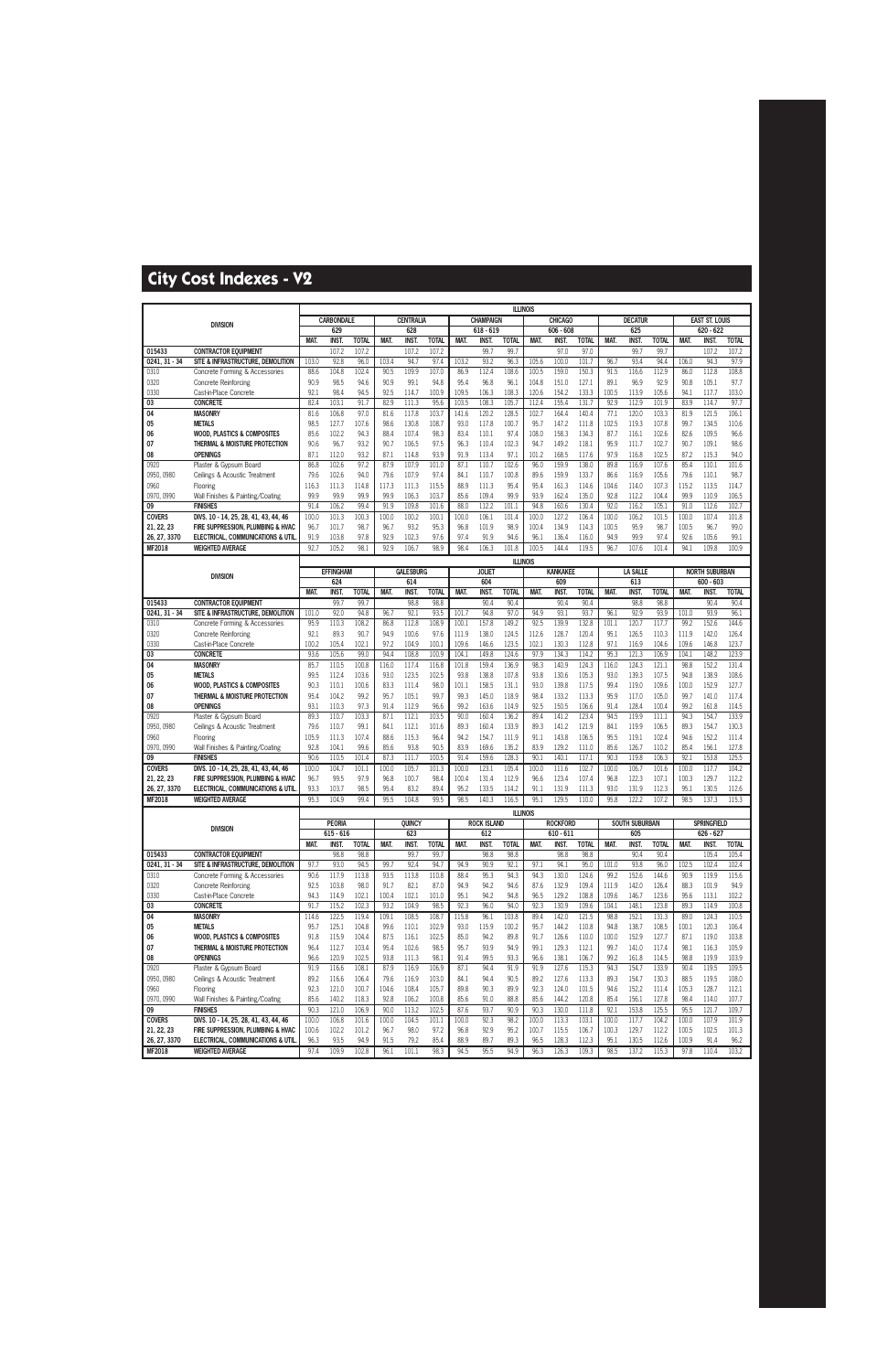|                             |                                                                            |               |                      |                       |               |                      |                       |                |                     | <b>ILLINOIS</b>      |                 |                    |                      |                |                      |                      |                |                       |                       |
|-----------------------------|----------------------------------------------------------------------------|---------------|----------------------|-----------------------|---------------|----------------------|-----------------------|----------------|---------------------|----------------------|-----------------|--------------------|----------------------|----------------|----------------------|----------------------|----------------|-----------------------|-----------------------|
|                             | <b>DIVISION</b>                                                            |               | <b>CARBONDALE</b>    |                       |               | <b>CENTRALIA</b>     |                       |                | <b>CHAMPAIGN</b>    |                      |                 | <b>CHICAGO</b>     |                      |                | <b>DECATUR</b>       |                      |                | <b>EAST ST. LOUIS</b> |                       |
|                             |                                                                            |               | 629                  |                       |               | 628                  |                       |                | $618 - 619$         |                      |                 | $606 - 608$        |                      |                | 625                  |                      |                | 620 - 622             |                       |
| 015433                      | <b>CONTRACTOR EQUIPMENT</b>                                                | MAT.          | <b>INST</b><br>107.2 | <b>TOTAL</b><br>107.2 | MAT.          | <b>INST</b><br>107.2 | <b>TOTAL</b><br>107.2 | MAT.           | <b>INST</b><br>99.7 | <b>TOTAL</b><br>99.7 | MAT.            | INST.<br>97.0      | <b>TOTAL</b><br>97.0 | MAT.           | <b>INST.</b><br>99.7 | <b>TOTAL</b><br>99.7 | MAT.           | INST.<br>107.2        | <b>TOTAL</b><br>107.2 |
| 0241, 31 - 34               | SITE & INFRASTRUCTURE, DEMOLITION                                          | 103.0         | 92.8                 | 96.0                  | 103.4         | 94.7                 | 97.4                  | 103.2          | 93.2                | 96.3                 | 105.6           | 100.0              | 101.7                | 96.7           | 93.4                 | 94.4                 | 106.0          | 94.3                  | 97.9                  |
| 0310                        | Concrete Forming & Accessories                                             | 88.6          | 104.8                | 102.4                 | 90.5          | 109.9                | 107.0                 | 86.9           | 112.4               | 108.6                | 100.5           | 159.0              | 150.3                | 91.5           | 116.6                | 112.9                | 86.0           | 112.8                 | 108.8                 |
| 0320                        | <b>Concrete Reinforcing</b>                                                | 90.9          | 98.5                 | 94.6                  | 90.9          | 99.1                 | 94.8                  | 95.4           | 96.8                | 96.1                 | 104.8           | 151.0              | 127.1                | 89.1           | 96.9                 | 92.9                 | 90.8           | 105.1                 | 97.7                  |
| 0330                        | Cast-in-Place Concrete                                                     | 92.1          | 98.4                 | 94.5                  | 92.5          | 114.7                | 100.9                 | 109.5          | 106.3               | 108.3                | 120.6           | 154.2              | 133.3                | 100.5          | 113.9                | 105.6                | 94.1           | 117.7                 | 103.0                 |
| 03                          | <b>CONCRETE</b>                                                            | 82.4          | 103.1                | 91.7                  | 82.9          | 111.3                | 95.6                  | 103.5          | 108.3               | 105.7                | 112.4           | 155.4              | 131.7                | 92.9           | 112.9                | 101.9                | 83.9           | 114.7                 | 97.7                  |
| $\overline{04}$             | <b>MASONRY</b>                                                             | 81.6          | 106.8                | 97.0                  | 81.6          | 117.8                | 103.7                 | 141.6          | 120.2               | 128.5                | 102.7           | 164.4              | 140.4                | 77.1           | 120.0                | 103.3                | 81.9           | 121.5                 | 106.1                 |
| 05                          | <b>METALS</b>                                                              | 98.5          | 127.7                | 107.6                 | 98.6          | 130.8                | 108.7                 | 93.0           | 117.8               | 100.7                | 95.7            | 147.2              | 111.8                | 102.5          | 119.3                | 107.8                | 99.7           | 134.5                 | 110.6                 |
| 06                          | <b>WOOD, PLASTICS &amp; COMPOSITES</b>                                     | 85.6          | 102.2                | 94.3                  | 88.4          | 107.4                | 98.3                  | 83.4           | 110.1               | 97.4                 | 108.0           | 158.3              | 134.3                | 87.7           | 116.1                | 102.6                | 82.6           | 109.5                 | 96.6                  |
| 07<br>08                    | THERMAL & MOISTURE PROTECTION<br><b>OPENINGS</b>                           | 90.6<br>87.1  | 96.7<br>112.0        | 93.2<br>93.2          | 90.7<br>87.1  | 106.5<br>114.8       | 97.5<br>93.9          | 96.3<br>91.9   | 110.4<br>113.4      | 102.3<br>97.1        | 94.7<br>101.2   | 149.2<br>168.5     | 118.1<br>117.6       | 95.9<br>97.9   | 111.7<br>116.8       | 102.7<br>102.5       | 90.7<br>87.2   | 109.1<br>115.3        | 98.6<br>94.0          |
| 0920                        | Plaster & Gypsum Board                                                     | 86.8          | 102.6                | 97.2                  | 87.9          | 107.9                | 101.0                 | 87.1           | 110.7               | 102.6                | 96.0            | 159.9              | 138.0                | 89.8           | 116.9                | 107.6                | 85.4           | 110.1                 | 101.6                 |
| 0950, 0980                  | Ceilings & Acoustic Treatment                                              | 79.6          | 102.6                | 94.0                  | 79.6          | 107.9                | 97.4                  | 84.1           | 110.7               | 100.8                | 89.6            | 159.9              | 133.7                | 86.6           | 116.9                | 105.6                | 79.6           | 110.1                 | 98.7                  |
| 0960                        | Flooring                                                                   | 116.3         | 111.3                | 114.8                 | 117.3         | 111.3                | 115.5                 | 88.9           | 111.3               | 95.4                 | 95.4            | 161.3              | 114.6                | 104.6          | 114.0                | 107.3                | 115.2          | 113.5                 | 114.7                 |
| 0970, 0990                  | Wall Finishes & Painting/Coating                                           | 99.9          | 99.9                 | 99.9                  | 99.9          | 106.3                | 103.7                 | 85.6           | 109.4               | 99.9                 | 93.9            | 162.4              | 135.0                | 92.8           | 112.2                | 104.4                | 99.9           | 110.9                 | 106.5                 |
| 09                          | <b>FINISHES</b>                                                            | 91.4          | 106.2                | 99.4                  | 91.9          | 109.8                | 101.6                 | 88.0           | 112.2               | 101.1                | 94.8            | 160.6              | 130.4                | 92.0           | 116.2                | 105.1                | 91.0           | 112.6                 | 102.7                 |
| <b>COVERS</b>               | DIVS. 10 - 14, 25, 28, 41, 43, 44, 46                                      | 100.0         | 101.3                | 100.3                 | 100.0         | 100.2                | 100.1                 | 100.0          | 106.1               | 101.4                | 100.0           | 127.2              | 106.4                | 100.0          | 106.2                | 101.5                | 100.0          | 107.4                 | 101.8                 |
| 21, 22, 23                  | FIRE SUPPRESSION, PLUMBING & HVAC                                          | 96.7          | 101.7                | 98.7                  | 96.7          | 93.2                 | 95.3                  | 96.8           | 101.9               | 98.9                 | 100.4           | 134.9              | 114.3                | 100.5          | 95.9                 | 98.7                 | 100.5          | 96.7                  | 99.0                  |
| 26, 27, 3370                | <b>ELECTRICAL, COMMUNICATIONS &amp; UTIL</b>                               | 91.9          | 103.8                | 97.8                  | 92.9          | 102.3                | 97.6                  | 97.4           | 91.9                | 94.6                 | 96.1            | 136.4              | 116.0                | 94.9           | 99.9                 | 97.4                 | 92.6           | 105.6                 | 99.1                  |
| MF2018                      | <b>WEIGHTED AVERAGE</b>                                                    | 92.7          | 105.2                | 98.1                  | 92.9          | 106.7                | 98.9                  | 98.4           | 106.3               | 101.8                | 100.5           | 144.4              | 119.5                | 96.7           | 107.6                | 101.4                | 94.1           | 109.8                 | 100.9                 |
|                             |                                                                            |               |                      |                       |               |                      |                       |                |                     |                      | <b>ILLINOIS</b> |                    |                      |                |                      |                      |                |                       |                       |
|                             | <b>DIVISION</b>                                                            |               | <b>EFFINGHAM</b>     |                       |               | <b>GALESBURG</b>     |                       |                | <b>JOLIET</b>       |                      |                 | <b>KANKAKEE</b>    |                      |                | <b>LA SALLE</b>      |                      |                | <b>NORTH SUBURBAN</b> |                       |
|                             |                                                                            | MAT.          | 624<br><b>INST</b>   | <b>TOTAL</b>          | MAT.          | 614<br><b>INST.</b>  | <b>TOTAL</b>          | MAT.           | 604<br><b>INST</b>  | <b>TOTAL</b>         | MAT.            | 609<br><b>INST</b> | <b>TOTAL</b>         | MAT.           | 613<br><b>INST.</b>  | <b>TOTAL</b>         | <b>MAT</b>     | $600 - 603$<br>INST.  | <b>TOTAL</b>          |
| 015433                      | <b>CONTRACTOR EOUIPMENT</b>                                                |               | 99.7                 | 99.7                  |               | 98.8                 | 98.8                  |                | 90.4                | 90.4                 |                 | 90.4               | 90.4                 |                | 98.8                 | 98.8                 |                | 90.4                  | 90.4                  |
| 0241, 31 - 34               | SITE & INFRASTRUCTURE, DEMOLITION                                          | 101.0         | 92.0                 | 94.8                  | 96.7          | 92.1                 | 93.5                  | 101.7          | 94.8                | 97.0                 | 94.9            | 93.1               | 93.7                 | 96.1           | 92.9                 | 93.9                 | 101.0          | 93.9                  | 96.1                  |
| 0310                        | Concrete Forming & Accessories                                             | 95.9          | 110.3                | 108.2                 | 86.8          | 112.8                | 108.9                 | 100.1          | 157.8               | 149.2                | 92.5            | 139.9              | 132.8                | 101.1          | 120.7                | 117.7                | 99.2           | 152.6                 | 144.6                 |
| 0320                        | <b>Concrete Reinforcing</b>                                                | 92.1          | 89.3                 | 90.7                  | 94.9          | 100.6                | 97.6                  | 111.9          | 138.0               | 124.5                | 112.6           | 128.7              | 120.4                | 95.1           | 126.5                | 110.3                | 111.9          | 142.0                 | 126.4                 |
| 0330                        | Cast-in-Place Concrete                                                     | 100.2         | 105.4                | 102.1                 | 97.2          | 104.9                | 100.1                 | 109.6          | 146.6               | 123.5                | 102.1           | 130.3              | 112.8                | 97.1           | 116.9                | 104.6                | 109.6          | 146.8                 | 123.7                 |
| 03                          | <b>CONCRETE</b>                                                            | 93.6          | 105.6                | 99.0                  | 94.4          | 108.8                | 100.9                 | 104.1          | 149.8               | 124.6                | 97.9            | 134.3              | 114.2                | 95.3           | 121.3                | 106.9                | 104.1          | 148.2                 | 123.9                 |
| 04                          | <b>MASONRY</b>                                                             | 85.7          | 110.5                | 100.8                 | 116.0         | 117.4                | 116.8                 | 101.8          | 159.4               | 136.9                | 98.3            | 140.9              | 124.3                | 116.0          | 124.3                | 121.1                | 98.8           | 152.2                 | 131.4                 |
| 05                          | <b>METALS</b>                                                              | 99.5          | 112.4<br>110.1       | 103.6                 | 93.0          | 123.5<br>111.4       | 102.5                 | 93.8           | 138.8               | 107.8                | 93.8            | 130.6              | 105.3                | 93.0           | 139.3                | 107.5                | 94.8           | 138.9                 | 108.6                 |
| 06<br>07                    | <b>WOOD, PLASTICS &amp; COMPOSITES</b><br>THERMAL & MOISTURE PROTECTION    | 90.3<br>95.4  | 104.2                | 100.6<br>99.2         | 83.3<br>95.7  | 105.1                | 98.0<br>99.7          | 101.1<br>99.3  | 158.5<br>145.0      | 131.1<br>118.9       | 93.0<br>98.4    | 139.8<br>133.2     | 117.5<br>113.3       | 99.4<br>95.9   | 119.0<br>117.0       | 109.6<br>105.0       | 100.0<br>99.7  | 152.9<br>141.0        | 127.7<br>117.4        |
| 08                          | <b>OPENINGS</b>                                                            | 93.1          | 110.3                | 97.3                  | 91.4          | 112.9                | 96.6                  | 99.2           | 163.6               | 114.9                | 92.5            | 150.5              | 106.6                | 91.4           | 128.4                | 100.4                | 99.2           | 161.8                 | 114.5                 |
| 0920                        | Plaster & Gypsum Board                                                     | 89.3          | 110.7                | 103.3                 | 87.1          | 112.1                | 103.5                 | 90.0           | 160.4               | 136.2                | 89.4            | 141.2              | 123.4                | 94.5           | 119.9                | 111.1                | 94.3           | 154.7                 | 133.9                 |
| 0950, 0980                  | Ceilings & Acoustic Treatment                                              | 79.6          | 110.7                | 99.1                  | 84.1          | 112.1                | 101.6                 | 89.3           | 160.4               | 133.9                | 89.3            | 141.2              | 121.9                | 84.1           | 119.9                | 106.5                | 89.3           | 154.7                 | 130.3                 |
| 0960                        | Flooring                                                                   | 105.9         | 111.3                | 107.4                 | 88.6          | 115.3                | 96.4                  | 94.2           | 154.7               | 111.9                | 91.1            | 143.8              | 106.5                | 95.5           | 119.1                | 102.4                | 94.6           | 152.2                 | 111.4                 |
| 0970, 0990                  | Wall Finishes & Painting/Coating                                           | 92.8          | 104.1                | 99.6                  | 85.6          | 93.8                 | 90.5                  | 83.9           | 169.6               | 135.2                | 83.9            | 129.2              | 111.0                | 85.6           | 126.7                | 110.2                | 85.4           | 156.1                 | 127.8                 |
| 09                          | <b>FINISHES</b>                                                            | 90.6          | 110.5                | 101.4                 | 87.3          | 111.7                | 100.5                 | 91.4           | 159.6               | 128.3                | 90.1            | 140.1              | 117.1                | 90.3           | 119.8                | 106.3                | 92.1           | 153.8                 | 125.5                 |
| <b>COVERS</b><br>21, 22, 23 | DIVS. 10 - 14, 25, 28, 41, 43, 44, 46<br>FIRE SUPPRESSION, PLUMBING & HVAC | 100.0<br>96.7 | 104.7<br>99.5        | 101.1<br>97.9         | 100.0<br>96.8 | 105.7<br>100.7       | 101.3<br>98.4         | 100.0<br>100.4 | 123.1<br>131.4      | 105.4<br>112.9       | 100.0<br>96.6   | 111.6<br>123.4     | 102.7<br>107.4       | 100.0<br>96.8  | 106.7<br>122.3       | 101.6<br>107.1       | 100.0<br>100.3 | 117.7<br>129.7        | 104.2<br>112.2        |
| 26, 27, 3370                | ELECTRICAL, COMMUNICATIONS & UTIL                                          | 93.3          | 103.7                | 98.5                  | 95.4          | 83.2                 | 89.4                  | 95.2           | 133.5               | 114.2                | 91.1            | 131.9              | 111.3                | 93.0           | 131.9                | 112.3                | 95.1           | 130.5                 | 112.6                 |
| MF2018                      | <b>WEIGHTED AVERAGE</b>                                                    | 95.3          | 104.9                | 99.4                  | 95.5          | 104.8                | 99.5                  | 98.5           | 140.3               | 116.5                | 95.1            | 129.5              | 110.0                | 95.8           | 122.2                | 107.2                | 98.5           | 137.3                 | 115.3                 |
|                             |                                                                            |               |                      |                       |               |                      |                       |                |                     |                      | <b>ILLINOIS</b> |                    |                      |                |                      |                      |                |                       |                       |
|                             |                                                                            |               | <b>PEORIA</b>        |                       |               | QUINCY               |                       |                | <b>ROCK ISLAND</b>  |                      |                 | <b>ROCKFORD</b>    |                      |                | SOUTH SUBURBAN       |                      |                | <b>SPRINGFIELD</b>    |                       |
|                             | <b>DIVISION</b>                                                            |               | $615 - 616$          |                       |               | 623                  |                       |                | 612                 |                      |                 | $610 - 611$        |                      |                | 605                  |                      |                | 626 - 627             |                       |
|                             |                                                                            | MAT.          | INST.                | <b>TOTAL</b>          | MAT.          | INST.                | <b>TOTAL</b>          | MAT.           | <b>INST.</b>        | <b>TOTAL</b>         | MAT.            | INST.              | <b>TOTAL</b>         | MAT.           | <b>INST.</b>         | <b>TOTAL</b>         | MAT.           | INST.                 | <b>TOTAL</b>          |
| 015433                      | <b>CONTRACTOR EOUIPMENT</b>                                                |               | 98.8                 | 98.8                  |               | 99.7                 | 99.7                  |                | 98.8                | 98.8                 |                 | 98.8               | 98.8                 |                | 90.4                 | 90.4                 |                | 105.4                 | 105.4                 |
| 0241, 31 - 34               | SITE & INFRASTRUCTURE, DEMOLITION                                          | 97.7          | 93.0                 | 94.5                  | 99.7          | 92.4                 | 94.7                  | 94.9           | 90.9                | 92.1                 | 97.1            | 94.1               | 95.0                 | 101.0          | 93.8                 | 96.0                 | 102.5          | 102.4                 | 102.4                 |
| 0310                        | Concrete Forming & Accessories                                             | 90.6          | 117.9                | 113.8                 | 93.5          | 113.8                | 110.8                 | 88.4           | 95.3                | 94.3                 | 94.3            | 130.0              | 124.6                | 99.2           | 152.6                | 144.6                | 90.9           | 119.9                 | 115.6                 |
| 0320<br>0330                | <b>Concrete Reinforcing</b><br>Cast-in-Place Concrete                      | 92.5<br>94.3  | 103.8<br>114.9       | 98.0<br>102.1         | 91.7<br>100.4 | 82.1<br>102.1        | 87.0<br>101.0         | 94.9<br>95.1   | 94.2<br>94.2        | 94.6<br>94.8         | 87.6<br>96.5    | 132.9<br>129.2     | 109.4<br>108.8       | 111.9<br>109.6 | 142.0<br>146.7       | 126.4<br>123.6       | 88.3<br>95.6   | 101.9<br>113.1        | 94.9<br>102.2         |
| 03                          | <b>CONCRETE</b>                                                            | 91.7          | 115.2                | 102.3                 | 93.2          | 104.9                | 98.5                  | 92.3           | 96.0                | 94.0                 | 92.3            | 130.9              | 109.6                | 104.1          | 148.1                | 123.8                | 89.3           | 114.9                 | 100.8                 |
| 04                          | <b>MASONRY</b>                                                             | 114.6         | 122.5                | 119.4                 | 109.1         | 108.5                | 108.7                 | 115.8          | 96.1                | 103.8                | 89.4            | 142.0              | 121.5                | 98.8           | 152.1                | 131.3                | 89.0           | 124.3                 | 110.5                 |
| 05                          | <b>METALS</b>                                                              | 95.7          | 125.1                | 104.8                 | 99.6          | 110.1                | 102.9                 | 93.0           | 115.9               | 100.2                | 95.7            | 144.2              | 110.8                | 94.8           | 138.7                | 108.5                | 100.1          | 120.3                 | 106.4                 |
| 06                          | <b>WOOD, PLASTICS &amp; COMPOSITES</b>                                     | 91.8          | 115.9                | 104.4                 | 87.5          | 116.1                | 102.5                 | 85.0           | 94.2                | 89.8                 | 91.7            | 126.6              | 110.0                | 100.0          | 152.9                | 127.7                | 87.1           | 119.0                 | 103.8                 |
| 07                          | THERMAL & MOISTURE PROTECTION                                              | 96.4          | 112.7                | 103.4                 | 95.4          | 102.6                | 98.5                  | 95.7           | 93.9                | 94.9                 | 99.1            | 129.3              | 112.1                | 99.7           | 141.0                | 117.4                | 98.1           | 116.3                 | 105.9                 |
| 08                          | <b>OPENINGS</b>                                                            | 96.6          | 120.9                | 102.5                 | 93.8          | 111.3                | 98.1                  | 91.4           | 99.5                | 93.3                 | 96.6            | 138.1              | 106.7                | 99.2           | 161.8                | 114.5                | 98.8           | 119.9                 | 103.9                 |
| 0920                        | Plaster & Gypsum Board                                                     | 91.9          | 116.6                | 108.1                 | 87.9          | 116.9                | 106.9                 | 87.1           | 94.4                | 91.9                 | 91.9            | 127.6              | 115.3                | 94.3           | 154.7                | 133.9                | 90.4           | 119.5                 | 109.5                 |
| 0950, 0980                  | Ceilings & Acoustic Treatment                                              | 89.2          | 116.6                | 106.4                 | 79.6          | 116.9                | 103.0                 | 84.1           | 94.4                | 90.5                 | 89.2            | 127.6              | 113.3                | 89.3           | 154.7                | 130.3                | 88.5           | 119.5                 | 108.0                 |
| 0960<br>0970, 0990          | Flooring<br>Wall Finishes & Painting/Coating                               | 92.3<br>85.6  | 121.0<br>140.2       | 100.7<br>118.3        | 104.6<br>92.8 | 108.4<br>106.2       | 105.7<br>100.8        | 89.8<br>85.6   | 90.3<br>91.0        | 89.9<br>88.8         | 92.3<br>85.6    | 124.0<br>144.2     | 101.5<br>120.8       | 94.6<br>85.4   | 152.2<br>156.1       | 111.4<br>127.8       | 105.3<br>98.4  | 128.7<br>114.0        | 112.1<br>107.7        |
| 09                          | <b>FINISHES</b>                                                            | 90.3          | 121.0                | 106.9                 | 90.0          | 113.2                | 102.5                 | 87.6           | 93.7                | 90.9                 | 90.3            | 130.0              | 111.8                | 92.1           | 153.8                | 125.5                | 95.5           | 121.7                 | 109.7                 |
| <b>COVERS</b>               | DIVS. 10 - 14, 25, 28, 41, 43, 44, 46                                      | 100.0         | 106.8                | 101.6                 | 100.0         | 104.5                | 101.1                 | 100.0          | 92.3                | 98.2                 | 100.0           | 113.3              | 103.1                | 100.0          | 117.7                | 104.2                | 100.0          | 107.9                 | 101.9                 |
| 21, 22, 23                  | FIRE SUPPRESSION, PLUMBING & HVAC                                          | 100.6         | 102.2                | 101.2                 | 96.7          | 98.0                 | 97.2                  | 96.8           | 92.9                | 95.2                 | 100.7           | 115.5              | 106.7                | 100.3          | 129.7                | 112.2                | 100.5          | 102.5                 | 101.3                 |
| 26, 27, 3370                | ELECTRICAL, COMMUNICATIONS & UTIL                                          | 96.3          | 93.5                 | 94.9                  | 91.5          | 79.2                 | 85.4                  | 88.9           | 89.7                | 89.3                 | 96.5            | 128.3              | 112.3                | 95.1           | 130.5                | 112.6                | 100.9          | 91.4                  | 96.2                  |
| <b>MF2018</b>               | <b>WEIGHTED AVERAGE</b>                                                    | 97.4          | 109.9                | 102.8                 | 96.1          | 101.1                | 98.3                  | 94.5           | 95.5                | 94.9                 | 96.3            | 126.3              | 109.3                | 98.5           | 137.2                | 115.3                | 97.8           | 110.4                 | 103.2                 |
|                             |                                                                            |               |                      |                       |               |                      |                       |                |                     |                      |                 |                    |                      |                |                      |                      |                |                       |                       |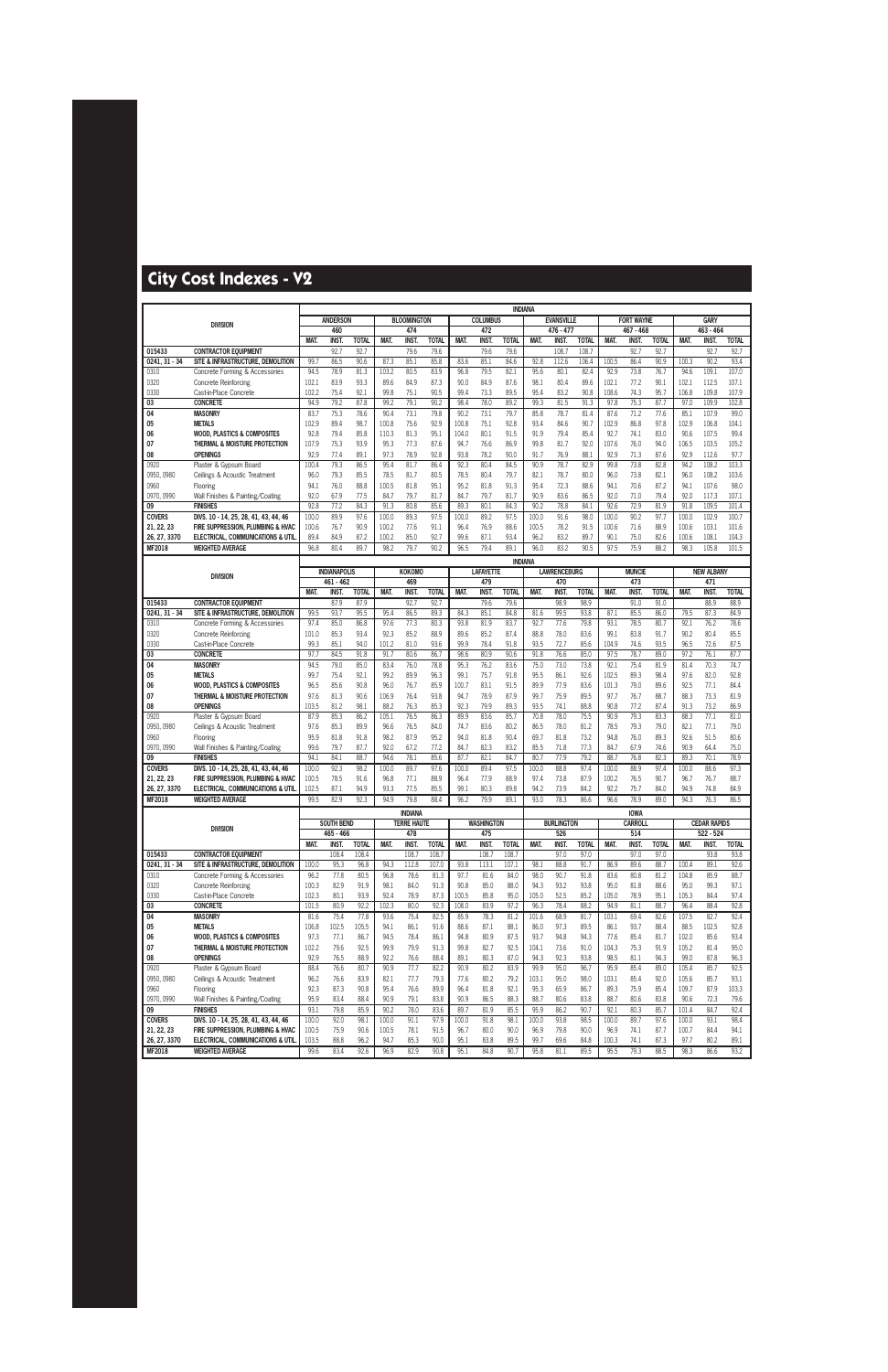|                             |                                                                            |                |                     |                      |                |                                      |                      |               |                     | <b>INDIANA</b>       |                |                       |                       |               |                               |                      |                |                     |                      |
|-----------------------------|----------------------------------------------------------------------------|----------------|---------------------|----------------------|----------------|--------------------------------------|----------------------|---------------|---------------------|----------------------|----------------|-----------------------|-----------------------|---------------|-------------------------------|----------------------|----------------|---------------------|----------------------|
|                             | <b>DIVISION</b>                                                            |                | <b>ANDERSON</b>     |                      |                | <b>BLOOMINGTON</b>                   |                      |               | <b>COLUMBUS</b>     |                      |                | <b>EVANSVILLE</b>     |                       |               | <b>FORT WAYNE</b>             |                      |                | <b>GARY</b>         |                      |
|                             |                                                                            |                | 460                 |                      |                | 474                                  |                      |               | 472                 |                      |                | 476 - 477             |                       |               | 467 - 468                     |                      |                | $463 - 464$         |                      |
| 015433                      | <b>CONTRACTOR EQUIPMENT</b>                                                | MAT.           | <b>INST</b><br>92.7 | <b>TOTAL</b><br>92.7 | MAT.           | <b>INST</b><br>79.6                  | <b>TOTAL</b><br>79.6 | MAT.          | <b>INST</b><br>79.6 | <b>TOTAL</b><br>79.6 | MAT.           | <b>INST.</b><br>108.7 | <b>TOTAL</b><br>108.7 | <b>MAT.</b>   | INST.<br>92.7                 | <b>TOTAL</b><br>92.7 | MAT.           | INST.<br>92.7       | <b>TOTAL</b><br>92.7 |
| $0241, 31 - 34$             | SITE & INFRASTRUCTURE. DEMOLITION                                          | 99.7           | 86.5                | 90.6                 | 87.3           | 85.1                                 | 85.8                 | 83.6          | 85.1                | 84.6                 | 92.8           | 112.6                 | 106.4                 | 100.5         | 86.4                          | 90.9                 | 100.3          | 90.2                | 93.4                 |
| 0310                        | Concrete Forming & Accessories                                             | 94.5           | 78.9                | 81.3                 | 103.2          | 80.5                                 | 83.9                 | 96.8          | 79.5                | 82.1                 | 95.6           | 80.1                  | 82.4                  | 92.9          | 73.8                          | 76.7                 | 94.6           | 109.1               | 107.0                |
| 0320                        | <b>Concrete Reinforcing</b>                                                | 102.1          | 83.9                | 93.3                 | 89.6           | 84.9                                 | 87.3                 | 90.0          | 84.9                | 87.6                 | 98.1           | 80.4                  | 89.6                  | 102.1         | 77.2                          | 90.1                 | 102.1          | 112.5               | 107.1                |
| 0330                        | Cast-in-Place Concrete                                                     | 102.2          | 75.4                | 92.1                 | 99.8           | 75.1                                 | 90.5                 | 99.4          | 73.3                | 89.5                 | 95.4           | 83.2                  | 90.8                  | 108.6         | 74.3                          | 95.7                 | 106.8          | 109.8               | 107.9                |
| 03                          | <b>CONCRETE</b>                                                            | 94.9           | 79.2                | 87.8                 | 99.2           | 79.1                                 | 90.2                 | 98.4          | 78.0                | 89.2                 | 99.3           | 81.5                  | 91.3                  | 97.8          | 75.3                          | 87.7                 | 97.0           | 109.9               | 102.8                |
| 04                          | <b>MASONRY</b>                                                             | 83.7           | 75.3                | 78.6                 | 90.4           | 73.1                                 | 79.8                 | 90.2          | 73.1                | 79.7                 | 85.8           | 78.7                  | 81.4                  | 87.6          | 71.2                          | 77.6                 | 85.1           | 107.9               | 99.0                 |
| 05                          | <b>METALS</b>                                                              | 102.9          | 89.4                | 98.7                 | 100.8          | 75.6                                 | 92.9                 | 100.8         | 75.1                | 92.8                 | 93.4           | 84.6                  | 90.7                  | 102.9         | 86.8                          | 97.8                 | 102.9          | 106.8               | 104.1                |
| 06                          | <b>WOOD, PLASTICS &amp; COMPOSITES</b><br>THERMAL & MOISTURE PROTECTION    | 92.8           | 79.4                | 85.8                 | 110.3          | 81.3                                 | 95.1                 | 104.0         | 80.1                | 91.5                 | 91.9           | 79.4                  | 85.4                  | 92.7          | 74.1                          | 83.0                 | 90.6           | 107.5               | 99.4                 |
| 07<br>08                    | <b>OPENINGS</b>                                                            | 107.9<br>92.9  | 75.3<br>77.4        | 93.9<br>89.1         | 95.3<br>97.3   | 77.3<br>78.9                         | 87.6<br>92.8         | 94.7<br>93.8  | 76.6<br>78.2        | 86.9<br>90.0         | 99.8<br>91.7   | 81.7<br>76.9          | 92.0<br>88.1          | 107.6<br>92.9 | 76.0<br>71.3                  | 94.0<br>87.6         | 106.5<br>92.9  | 103.5<br>112.6      | 105.2<br>97.7        |
| 0920                        | Plaster & Gypsum Board                                                     | 100.4          | 79.3                | 86.5                 | 95.4           | 81.7                                 | 86.4                 | 92.3          | 80.4                | 84.5                 | 90.9           | 78.7                  | 82.9                  | 99.8          | 73.8                          | 82.8                 | 94.2           | 108.2               | 103.3                |
| 0950, 0980                  | Ceilings & Acoustic Treatment                                              | 96.0           | 79.3                | 85.5                 | 78.5           | 81.7                                 | 80.5                 | 78.5          | 80.4                | 79.7                 | 82.1           | 78.7                  | 80.0                  | 96.0          | 73.8                          | 82.1                 | 96.0           | 108.2               | 103.6                |
| 0960                        | Flooring                                                                   | 94.1           | 76.0                | 88.8                 | 100.5          | 81.8                                 | 95.1                 | 95.2          | 81.8                | 91.3                 | 95.4           | 72.3                  | 88.6                  | 94.1          | 70.6                          | 87.2                 | 94.1           | 107.6               | 98.0                 |
| 0970, 0990                  | Wall Finishes & Painting/Coating                                           | 92.0           | 67.9                | 77.5                 | 84.7           | 79.7                                 | 81.7                 | 84.7          | 79.7                | 81.7                 | 90.9           | 83.6                  | 86.5                  | 92.0          | 71.0                          | 79.4                 | 92.0           | 117.3               | 107.1                |
| 09                          | <b>FINISHES</b>                                                            | 92.8           | 77.2                | 84.3                 | 91.3           | 80.8                                 | 85.6                 | 89.3          | 80.1                | 84.3                 | 90.2           | 78.8                  | 84.1                  | 92.6          | 72.9                          | 81.9                 | 91.8           | 109.5               | 101.4                |
| <b>COVERS</b><br>21, 22, 23 | DIVS. 10 - 14, 25, 28, 41, 43, 44, 46<br>FIRE SUPPRESSION. PLUMBING & HVAC | 100.0          | 89.9                | 97.6<br>90.9         | 100.0<br>100.2 | 89.3<br>77.6                         | 97.5<br>91.1         | 100.0<br>96.4 | 89.2<br>76.9        | 97.5<br>88.6         | 100.0<br>100.5 | 91.6<br>78.2          | 98.0<br>91.5          | 100.0         | 90.2<br>71.6                  | 97.7<br>88.9         | 100.0          | 102.9<br>103.1      | 100.7<br>101.6       |
| 26, 27, 3370                | ELECTRICAL, COMMUNICATIONS & UTIL                                          | 100.6<br>89.4  | 76.7<br>84.9        | 87.2                 | 100.2          | 85.0                                 | 92.7                 | 99.6          | 87.1                | 93.4                 | 96.2           | 83.2                  | 89.7                  | 100.6<br>90.1 | 75.0                          | 82.6                 | 100.6<br>100.6 | 108.1               | 104.3                |
| MF2018                      | <b>WEIGHTED AVERAGE</b>                                                    | 96.8           | 80.4                | 89.7                 | 98.2           | 79.7                                 | 90.2                 | 96.5          | 79.4                | 89.1                 | 96.0           | 83.2                  | 90.5                  | 97.5          | 75.9                          | 88.2                 | 98.3           | 105.8               | 101.5                |
|                             |                                                                            |                |                     |                      |                |                                      |                      |               |                     | <b>INDIANA</b>       |                |                       |                       |               |                               |                      |                |                     |                      |
|                             |                                                                            |                | <b>INDIANAPOLIS</b> |                      |                | <b>KOKOMO</b>                        |                      |               | <b>LAFAYETTE</b>    |                      |                | <b>LAWRENCEBURG</b>   |                       |               | <b>MUNCIE</b>                 |                      |                | <b>NEW ALBANY</b>   |                      |
|                             | <b>DIVISION</b>                                                            |                | 461 - 462           |                      |                | 469                                  |                      |               | 479                 |                      |                | 470                   |                       |               | 473                           |                      |                | 471                 |                      |
|                             |                                                                            | <b>MAT</b>     | INST.               | <b>TOTAL</b>         | <b>MAT</b>     | <b>INST</b>                          | <b>TOTAL</b>         | <b>MAT</b>    | <b>INST</b>         | <b>TOTAL</b>         | MAT.           | <b>INST.</b>          | <b>TOTAL</b>          | <b>MAT</b>    | <b>INST</b>                   | <b>TOTAL</b>         | <b>MAT.</b>    | <b>INST</b>         | <b>TOTAL</b>         |
| 015433<br>$0241, 31 - 34$   | <b>CONTRACTOR EQUIPMENT</b><br>SITE & INFRASTRUCTURE, DEMOLITION           | 99.5           | 87.9<br>93.7        | 87.9<br>95.5         | 95.4           | 92.7<br>86.5                         | 92.7<br>89.3         | 84.3          | 79.6<br>85.1        | 79.6<br>84.8         | 81.6           | 98.9<br>99.5          | 98.9<br>93.8          | 87.1          | 91.0<br>85.5                  | 91.0<br>86.0         | 79.5           | 88.9<br>87.3        | 88.9<br>84.9         |
| 0310                        | Concrete Forming & Accessories                                             | 97.4           | 85.0                | 86.8                 | 97.6           | 77.3                                 | 80.3                 | 93.8          | 81.9                | 83.7                 | 92.7           | 77.6                  | 79.8                  | 93.1          | 78.5                          | 80.7                 | 92.1           | 76.2                | 78.6                 |
| 0320                        | <b>Concrete Reinforcing</b>                                                | 101.0          | 85.3                | 93.4                 | 92.3           | 85.2                                 | 88.9                 | 89.6          | 85.2                | 87.4                 | 88.8           | 78.0                  | 83.6                  | 99.1          | 83.8                          | 91.7                 | 90.2           | 80.4                | 85.5                 |
| 0330                        | Cast-in-Place Concrete                                                     | 99.3           | 85.1                | 94.0                 | 101.2          | 81.0                                 | 93.6                 | 99.9          | 78.4                | 91.8                 | 93.5           | 72.7                  | 85.6                  | 104.9         | 74.6                          | 93.5                 | 96.5           | 72.6                | 87.5                 |
| 03                          | <b>CONCRETE</b>                                                            | 97.7           | 84.5                | 91.8                 | 91.7           | 80.6                                 | 86.7                 | 98.6          | 80.9                | 90.6                 | 91.8           | 76.6                  | 85.0                  | 97.5          | 78.7                          | 89.0                 | 97.2           | 76.1                | 87.7                 |
| 04                          | <b>MASONRY</b><br><b>METALS</b>                                            | 94.5<br>99.7   | 79.0<br>75.4        | 85.0<br>92.1         | 83.4<br>99.2   | 76.0<br>89.9                         | 78.8<br>96.3         | 95.3<br>99.1  | 76.2<br>75.7        | 83.6<br>91.8         | 75.0<br>95.5   | 73.0<br>86.1          | 73.8<br>92.6          | 92.1<br>102.5 | 75.4<br>89.3                  | 81.9<br>98.4         | 81.4<br>97.6   | 70.3<br>82.0        | 74.7<br>92.8         |
| 05<br>06                    | <b>WOOD, PLASTICS &amp; COMPOSITES</b>                                     | 96.5           | 85.6                | 90.8                 | 96.0           | 76.7                                 | 85.9                 | 100.7         | 83.1                | 91.5                 | 89.9           | 77.9                  | 83.6                  | 101.3         | 79.0                          | 89.6                 | 92.5           | 77.1                | 84.4                 |
| 07                          | THERMAL & MOISTURE PROTECTION                                              | 97.6           | 81.3                | 90.6                 | 106.9          | 76.4                                 | 93.8                 | 94.7          | 78.9                | 87.9                 | 99.7           | 75.9                  | 89.5                  | 97.7          | 76.7                          | 88.7                 | 88.3           | 73.3                | 81.9                 |
| 08                          | <b>OPENINGS</b>                                                            | 103.5          | 81.2                | 98.1                 | 88.2           | 76.3                                 | 85.3                 | 92.3          | 79.9                | 89.3                 | 93.5           | 74.1                  | 88.8                  | 90.8          | 77.2                          | 87.4                 | 91.3           | 73.2                | 86.9                 |
| 0920                        | Plaster & Gypsum Board                                                     | 87.9           | 85.3                | 86.2                 | 105.1          | 76.5                                 | 86.3                 | 89.9          | 83.6                | 85.7                 | 70.8           | 78.0                  | 75.5                  | 90.9          | 79.3                          | 83.3                 | 88.3           | 77.1                | 81.0                 |
| 0950, 0980                  | Ceilings & Acoustic Treatment                                              | 97.6           | 85.3                | 89.9                 | 96.6           | 76.5                                 | 84.0                 | 74.7          | 83.6                | 80.2                 | 86.5           | 78.0                  | 81.2                  | 78.5          | 79.3                          | 79.0                 | 82.1           | 77.1                | 79.0                 |
| 0960<br>0970, 0990          | Flooring<br>Wall Finishes & Painting/Coating                               | 95.9<br>99.6   | 81.8<br>79.7        | 91.8<br>87.7         | 98.2<br>92.0   | 87.9<br>67.2                         | 95.2<br>77.2         | 94.0<br>84.7  | 81.8<br>82.3        | 90.4<br>83.2         | 69.7<br>85.5   | 81.8<br>71.8          | 73.2<br>77.3          | 94.8<br>84.7  | 76.0<br>67.9                  | 89.3<br>74.6         | 92.6<br>90.9   | 51.5<br>64.4        | 80.6<br>75.0         |
| 09                          | <b>FINISHES</b>                                                            | 94.1           | 84.1                | 88.7                 | 94.6           | 78.1                                 | 85.6                 | 87.7          | 82.1                | 84.7                 | 80.7           | 77.9                  | 79.2                  | 88.7          | 76.8                          | 82.3                 | 89.3           | 70.1                | 78.9                 |
| <b>COVERS</b>               | DIVS. 10 - 14, 25, 28, 41, 43, 44, 46                                      | 100.0          | 92.3                | 98.2                 | 100.0          | 89.7                                 | 97.6                 | 100.0         | 89.4                | 97.5                 | 100.0          | 88.8                  | 97.4                  | 100.0         | 88.9                          | 97.4                 | 100.0          | 88.6                | 97.3                 |
| 21, 22, 23                  | FIRE SUPPRESSION. PLUMBING & HVAC                                          | 100.5          | 78.5                | 91.6                 | 96.8           | 77.1                                 | 88.9                 | 96.4          | 77.9                | 88.9                 | 97.4           | 73.8                  | 87.9                  | 100.2         | 76.5                          | 90.7                 | 96.7           | 76.7                | 88.7                 |
| 26, 27, 3370                | ELECTRICAL, COMMUNICATIONS & UTIL<br><b>WEIGHTED AVERAGE</b>               | 102.5<br>99.5  | 87.1<br>82.9        | 94.9<br>92.3         | 93.3<br>94.9   | 77.5<br>79.8                         | 85.5<br>88.4         | 99.1<br>96.2  | 80.3<br>79.9        | 89.8<br>89.1         | 94.2<br>93.0   | 73.9<br>78.3          | 84.2<br>86.6          | 92.2<br>96.6  | 75.7<br>78.9                  | 84.0<br>89.0         | 94.9<br>94.3   | 74.8<br>76.3        | 84.9<br>86.5         |
| MF2018                      |                                                                            |                |                     |                      |                |                                      |                      |               |                     |                      |                |                       |                       |               |                               |                      |                |                     |                      |
|                             |                                                                            |                | <b>SOUTH BEND</b>   |                      |                | <b>INDIANA</b><br><b>TERRE HAUTE</b> |                      |               | <b>WASHINGTON</b>   |                      |                | <b>BURLINGTON</b>     |                       |               | <b>IOWA</b><br><b>CARROLL</b> |                      |                | <b>CEDAR RAPIDS</b> |                      |
|                             | <b>DIVISION</b>                                                            |                | 465 - 466           |                      |                | 478                                  |                      |               | 475                 |                      |                | 526                   |                       |               | 514                           |                      |                | 522 - 524           |                      |
|                             |                                                                            | MAT.           | <b>INST.</b>        | <b>TOTAL</b>         | MAT.           | <b>INST.</b>                         | <b>TOTAL</b>         | MAT.          | <b>INST.</b>        | <b>TOTAL</b>         | MAT.           | <b>INST.</b>          | <b>TOTAL</b>          | MAT.          | INST.                         | <b>TOTAL</b>         | MAT.           | <b>INST.</b>        | <b>TOTAL</b>         |
| 015433                      | <b>CONTRACTOR EOUIPMENT</b>                                                |                | 108.4               | 108.4                |                | 108.7                                | 108.7                |               | 108.7               | 108.7                |                | 97.0                  | 97.0                  |               | 97.0                          | 97.0                 |                | 93.8                | 93.8                 |
| $0241, 31 - 34$             | SITE & INFRASTRUCTURE, DEMOLITION                                          | 100.0          | 95.3                | 96.8                 | 94.3           | 112.8                                | 107.0                | 93.8          | 113.1               | 107.1                | 98.1           | 88.8                  | 91.7                  | 86.9          | 89.6                          | 88.7                 | 100.4          | 89.1                | 92.6                 |
| 0310<br>0320                | Concrete Forming & Accessories<br><b>Concrete Reinforcing</b>              | 96.2<br>100.3  | 77.8<br>82.9        | 80.5<br>91.9         | 96.8<br>98.1   | 78.6<br>84.0                         | 81.3<br>91.3         | 97.7<br>90.8  | 81.6<br>85.0        | 84.0<br>88.0         | 98.0<br>94.3   | 90.7<br>93.2          | 91.8<br>93.8          | 83.6<br>95.0  | 80.8<br>81.8                  | 81.2<br>88.6         | 104.8<br>95.0  | 85.9<br>99.3        | 88.7<br>97.1         |
| 0330                        | Cast-in-Place Concrete                                                     | 102.3          | 80.1                | 93.9                 | 92.4           | 78.9                                 | 87.3                 | 100.5         | 85.8                | 95.0                 | 105.0          | 52.5                  | 85.2                  | 105.0         | 78.9                          | 95.1                 | 105.3          | 84.4                | 97.4                 |
| 03                          | <b>CONCRETE</b>                                                            | 101.5          | 80.9                | 92.2                 | 102.3          | 80.0                                 | 92.3                 | 108.0         | 83.9                | 97.2                 | 96.3           | 78.4                  | 88.2                  | 94.9          | 81.1                          | 88.7                 | 96.4           | 88.4                | 92.8                 |
| 04                          | <b>MASONRY</b>                                                             | 81.6           | 75.4                | 77.8                 | 93.6           | 75.4                                 | 82.5                 | 85.9          | 78.3                | 81.2                 | 101.6          | 68.9                  | 81.7                  | 103.1         | 69.4                          | 82.6                 | 107.5          | 82.7                | 92.4                 |
| 05                          | <b>METALS</b>                                                              | 106.8          | 102.5               | 105.5                | 94.1           | 86.1                                 | 91.6                 | 88.6          | 87.1                | 88.1                 | 86.0           | 97.3                  | 89.5                  | 86.1          | 93.7                          | 88.4                 | 88.5           | 102.5               | 92.8                 |
| 06                          | <b>WOOD. PLASTICS &amp; COMPOSITES</b>                                     | 97.3           | 77.1                | 86.7                 | 94.5           | 78.4                                 | 86.1                 | 94.8          | 80.9                | 87.5                 | 93.7           | 94.8                  | 94.3                  | 77.6          | 85.4                          | 81.7                 | 102.0          | 85.6                | 93.4                 |
| 07<br>08                    | THERMAL & MOISTURE PROTECTION<br><b>OPENINGS</b>                           | 102.2<br>92.9  | 79.6<br>76.5        | 92.5<br>88.9         | 99.9<br>92.2   | 79.9<br>76.6                         | 91.3<br>88.4         | 99.8<br>89.1  | 82.7<br>80.3        | 92.5<br>87.0         | 104.1<br>94.3  | 73.6<br>92.3          | 91.0<br>93.8          | 104.3<br>98.5 | 75.3<br>81.1                  | 91.9<br>94.3         | 105.2<br>99.0  | 81.4<br>87.8        | 95.0<br>96.3         |
| 0920                        | Plaster & Gypsum Board                                                     | 88.4           | 76.6                | 80.7                 | 90.9           | 77.7                                 | 82.2                 | 90.9          | 80.2                | 83.9                 | 99.9           | 95.0                  | 96.7                  | 95.9          | 85.4                          | 89.0                 | 105.4          | 85.7                | 92.5                 |
| 0950, 0980                  | Ceilings & Acoustic Treatment                                              | 96.2           | 76.6                | 83.9                 | 82.1           | 77.7                                 | 79.3                 | 77.6          | 80.2                | 79.2                 | 103.1          | 95.0                  | 98.0                  | 103.1         | 85.4                          | 92.0                 | 105.6          | 85.7                | 93.1                 |
| 0960                        | Flooring                                                                   | 92.3           | 87.3                | 90.8                 | 95.4           | 76.6                                 | 89.9                 | 96.4          | 81.8                | 92.1                 | 95.3           | 65.9                  | 86.7                  | 89.3          | 75.9                          | 85.4                 | 109.7          | 87.9                | 103.3                |
| 0970, 0990                  | Wall Finishes & Painting/Coating                                           | 95.9           | 83.4                | 88.4                 | 90.9           | 79.1                                 | 83.8                 | 90.9          | 86.5                | 88.3                 | 88.7           | 80.6                  | 83.8                  | 88.7          | 80.6                          | 83.8                 | 90.6           | 72.3                | 79.6                 |
| 09                          | <b>FINISHES</b>                                                            | 93.1           | 79.8                | 85.9                 | 90.2           | 78.0                                 | 83.6                 | 89.7          | 81.9                | 85.5                 | 95.9           | 86.2                  | 90.7                  | 92.1          | 80.3                          | 85.7                 | 101.4          | 84.7                | 92.4                 |
| <b>COVERS</b><br>21, 22, 23 | DIVS. 10 - 14, 25, 28, 41, 43, 44, 46<br>FIRE SUPPRESSION, PLUMBING & HVAC | 100.0<br>100.5 | 92.0<br>75.9        | 98.1<br>90.6         | 100.0<br>100.5 | 91.1<br>78.1                         | 97.9<br>91.5         | 100.0<br>96.7 | 91.8<br>80.0        | 98.1<br>90.0         | 100.0<br>96.9  | 93.8<br>79.8          | 98.5<br>90.0          | 100.0<br>96.9 | 89.7<br>74.1                  | 97.6<br>87.7         | 100.0<br>100.7 | 93.1<br>84.4        | 98.4<br>94.1         |
| 26, 27, 3370                | ELECTRICAL, COMMUNICATIONS & UTIL                                          | 103.5          | 88.8                | 96.2                 | 94.7           | 85.3                                 | 90.0                 | 95.1          | 83.8                | 89.5                 | 99.7           | 69.6                  | 84.8                  | 100.3         | 74.1                          | 87.3                 | 97.7           | 80.2                | 89.1                 |
| <b>MF2018</b>               | <b>WEIGHTED AVERAGE</b>                                                    | 99.6           | 83.4                | 92.6                 | 96.9           | 82.9                                 | 90.8                 | 95.1          | 84.8                | 90.7                 | 95.8           | 81.1                  | 89.5                  | 95.5          | 79.3                          | 88.5                 | 98.3           | 86.6                | 93.2                 |
|                             |                                                                            |                |                     |                      |                |                                      |                      |               |                     |                      |                |                       |                       |               |                               |                      |                |                     |                      |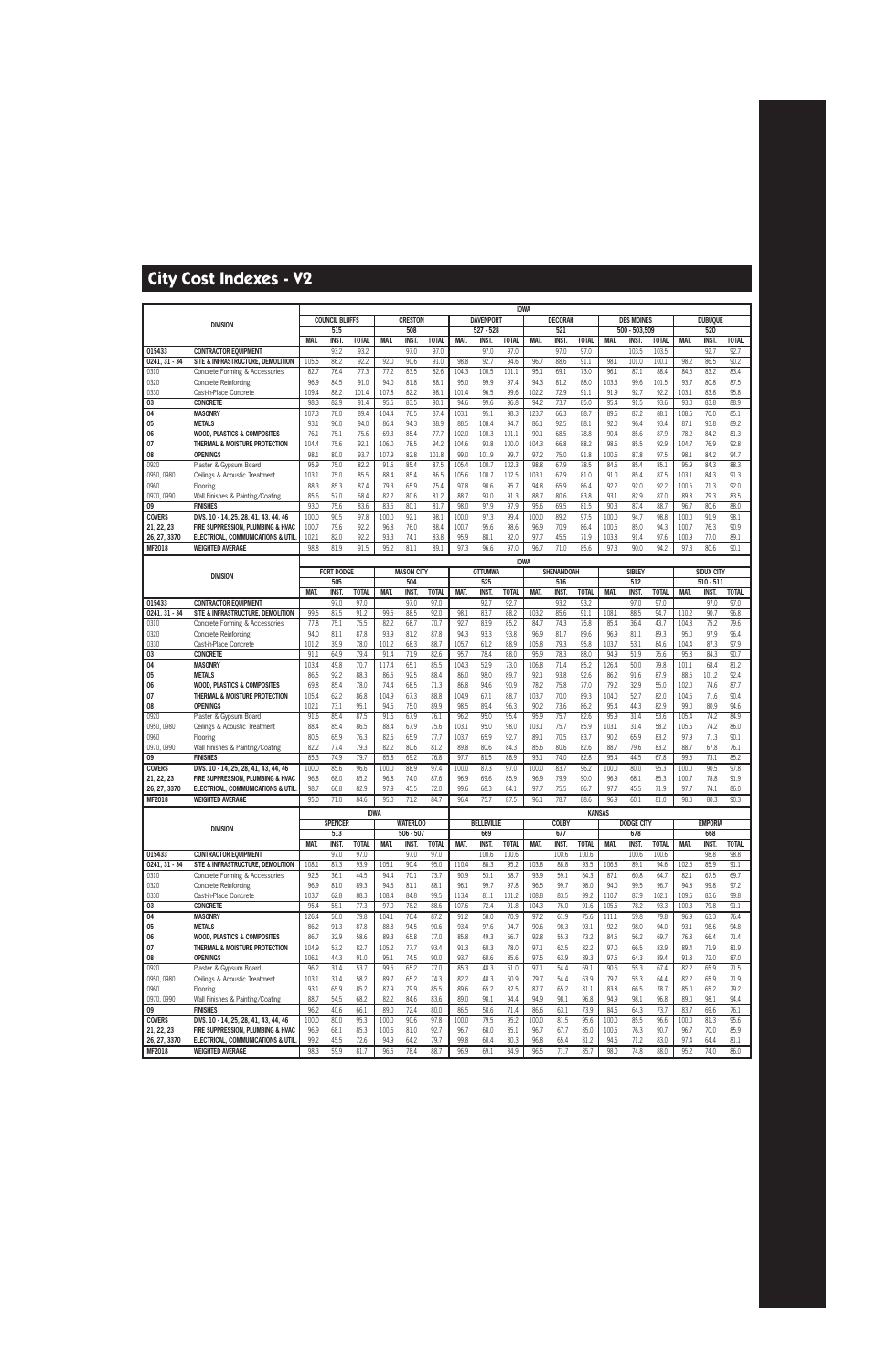|                            |                                                                         |                |                       |                      |                |                                |                      |                |                          | <b>IOWA</b>          |                |                     |                      |                |                          |                       |                |                       |                      |
|----------------------------|-------------------------------------------------------------------------|----------------|-----------------------|----------------------|----------------|--------------------------------|----------------------|----------------|--------------------------|----------------------|----------------|---------------------|----------------------|----------------|--------------------------|-----------------------|----------------|-----------------------|----------------------|
|                            | <b>DIVISION</b>                                                         |                | <b>COUNCIL BLUFFS</b> |                      |                | <b>CRESTON</b>                 |                      |                | <b>DAVENPORT</b>         |                      |                | <b>DECORAH</b>      |                      |                | <b>DES MOINES</b>        |                       |                | <b>DUBUQUE</b>        |                      |
|                            |                                                                         |                | 515                   |                      |                | 508                            |                      |                | $527 - 528$              |                      |                | 521                 |                      |                | 500 - 503,509            |                       |                | 520                   |                      |
| 015433                     | <b>CONTRACTOR EQUIPMENT</b>                                             | MAT.           | <b>INST.</b><br>93.2  | <b>TOTAL</b><br>93.2 | MAT.           | <b>INST.</b><br>97.0           | <b>TOTAL</b><br>97.0 | MAT.           | <b>INST</b><br>97.0      | <b>TOTAL</b><br>97.0 | MAT.           | <b>INST</b><br>97.0 | <b>TOTAL</b><br>97.0 | MAT.           | INST.<br>103.5           | <b>TOTAL</b><br>103.5 | MAT.           | <b>INST</b><br>92.7   | <b>TOTAL</b><br>92.7 |
| $0241, 31 - 34$            | SITE & INFRASTRUCTURE, DEMOLITION                                       | 105.5          | 86.2                  | 92.2                 | 92.0           | 90.6                           | 91.0                 | 98.8           | 92.7                     | 94.6                 | 96.7           | 88.6                | 91.1                 | 98.1           | 101.0                    | 100.1                 | 98.2           | 86.5                  | 90.2                 |
| 0310                       | Concrete Forming & Accessories                                          | 82.7           | 76.4                  | 77.3                 | 77.2           | 83.5                           | 82.6                 | 104.3          | 100.5                    | 101.1                | 95.1           | 69.1                | 73.0                 | 96.1           | 87.1                     | 88.4                  | 84.5           | 83.2                  | 83.4                 |
| 0320                       | <b>Concrete Reinforcing</b>                                             | 96.9           | 84.5                  | 91.0                 | 94.0           | 81.8                           | 88.1                 | 95.0           | 99.9                     | 97.4                 | 94.3           | 81.2                | 88.0                 | 103.3          | 99.6                     | 101.5                 | 93.7           | 80.8                  | 87.5                 |
| 0330                       | Cast-in-Place Concrete                                                  | 109.4          | 88.2                  | 101.4                | 107.8          | 82.2                           | 98.1                 | 101.4          | 96.5                     | 99.6                 | 102.2          | 72.9                | 91.1                 | 91.9           | 92.7                     | 92.2                  | 103.1          | 83.8                  | 95.8                 |
| 03                         | <b>CONCRETE</b>                                                         | 98.3           | 82.9                  | 91.4                 | 95.5           | 83.5                           | 90.1                 | 94.6           | 99.6                     | 96.8                 | 94.2           | 73.7                | 85.0                 | 95.4           | 91.5                     | 93.6                  | 93.0           | 83.8                  | 88.9                 |
| 04                         | <b>MASONRY</b>                                                          | 107.3          | 78.0                  | 89.4                 | 104.4          | 76.5                           | 87.4                 | 103.1          | 95.1                     | 98.3                 | 123.7          | 66.3                | 88.7                 | 89.6           | 87.2                     | 88.1                  | 108.6          | 70.0                  | 85.1                 |
| 05                         | <b>METALS</b>                                                           | 93.1           | 96.0                  | 94.0                 | 86.4           | 94.3                           | 88.9                 | 88.5           | 108.4                    | 94.7                 | 86.1           | 92.5                | 88.1                 | 92.0           | 96.4                     | 93.4                  | 87.1           | 93.8                  | 89.2                 |
| 06                         | <b>WOOD, PLASTICS &amp; COMPOSITES</b><br>THERMAL & MOISTURE PROTECTION | 76.1           | 75.1<br>75.6          | 75.6                 | 69.3           | 85.4<br>78.5                   | 77.7<br>94.2         | 102.0          | 100.3<br>93.8            | 101.1                | 90.1           | 68.5<br>66.8        | 78.8<br>88.2         | 90.4           | 85.6<br>85.5             | 87.9<br>92.9          | 78.2           | 84.2<br>76.9          | 81.3<br>92.8         |
| 07<br>08                   | <b>OPENINGS</b>                                                         | 104.4<br>98.1  | 80.0                  | 92.1<br>93.7         | 106.0<br>107.9 | 82.8                           | 101.8                | 104.6<br>99.0  | 101.9                    | 100.0<br>99.7        | 104.3<br>97.2  | 75.0                | 91.8                 | 98.6<br>100.6  | 87.8                     | 97.5                  | 104.7<br>98.1  | 84.2                  | 94.7                 |
| 0920                       | Plaster & Gypsum Board                                                  | 95.9           | 75.0                  | 82.2                 | 91.6           | 85.4                           | 87.5                 | 105.4          | 100.7                    | 102.3                | 98.8           | 67.9                | 78.5                 | 84.6           | 85.4                     | 85.1                  | 95.9           | 84.3                  | 88.3                 |
| 0950, 0980                 | Ceilings & Acoustic Treatment                                           | 103.1          | 75.0                  | 85.5                 | 88.4           | 85.4                           | 86.5                 | 105.6          | 100.7                    | 102.5                | 103.1          | 67.9                | 81.0                 | 91.0           | 85.4                     | 87.5                  | 103.1          | 84.3                  | 91.3                 |
| 0960                       | Flooring                                                                | 88.3           | 85.3                  | 87.4                 | 79.3           | 65.9                           | 75.4                 | 97.8           | 90.6                     | 95.7                 | 94.8           | 65.9                | 86.4                 | 92.2           | 92.0                     | 92.2                  | 100.5          | 71.3                  | 92.0                 |
| 0970, 0990                 | Wall Finishes & Painting/Coating                                        | 85.6           | 57.0                  | 68.4                 | 82.2           | 80.6                           | 81.2                 | 88.7           | 93.0                     | 91.3                 | 88.7           | 80.6                | 83.8                 | 93.1           | 82.9                     | 87.0                  | 89.8           | 79.3                  | 83.5                 |
| 09                         | <b>FINISHES</b>                                                         | 93.0           | 75.6                  | 83.6                 | 83.5           | 80.1                           | 81.7                 | 98.0           | 97.9                     | 97.9                 | 95.6           | 69.5                | 81.5                 | 90.3           | 87.4                     | 88.7                  | 96.7           | 80.6                  | 88.0                 |
| <b>COVERS</b>              | DIVS. 10 - 14, 25, 28, 41, 43, 44, 46                                   | 100.0          | 90.5                  | 97.8                 | 100.0          | 92.1                           | 98.1                 | 100.0          | 97.3                     | 99.4                 | 100.0          | 89.2                | 97.5                 | 100.0          | 94.7                     | 98.8                  | 100.0          | 91.9                  | 98.1                 |
| 21, 22, 23<br>26, 27, 3370 | FIRE SUPPRESSION, PLUMBING & HVAC<br>ELECTRICAL, COMMUNICATIONS & UTIL  | 100.7<br>102.1 | 79.6<br>82.0          | 92.2<br>92.2         | 96.8<br>93.3   | 76.0<br>74.1                   | 88.4<br>83.8         | 100.7<br>95.9  | 95.6<br>88.1             | 98.6<br>92.0         | 96.9<br>97.7   | 70.9<br>45.5        | 86.4<br>71.9         | 100.5<br>103.8 | 85.0<br>91.4             | 94.3<br>97.6          | 100.7<br>100.9 | 76.3<br>77.0          | 90.9<br>89.1         |
| MF2018                     | <b>WEIGHTED AVERAGE</b>                                                 | 98.8           | 81.9                  | 91.5                 | 95.2           | 81.1                           | 89.1                 | 97.3           | 96.6                     | 97.0                 | 96.7           | 71.0                | 85.6                 | 97.3           | 90.0                     | 94.2                  | 97.3           | 80.6                  | 90.1                 |
|                            |                                                                         |                |                       |                      |                |                                |                      |                |                          |                      |                |                     |                      |                |                          |                       |                |                       |                      |
|                            |                                                                         |                | <b>FORT DODGE</b>     |                      |                | <b>MASON CITY</b>              |                      |                | <b>OTTUMWA</b>           | <b>IOWA</b>          |                | <b>SHENANDOAH</b>   |                      |                | <b>SIBLEY</b>            |                       |                | SIOUX CITY            |                      |
|                            | <b>DIVISION</b>                                                         |                | 505                   |                      |                | 504                            |                      |                | 525                      |                      |                | 516                 |                      |                | 512                      |                       |                | $510 - 511$           |                      |
|                            |                                                                         | <b>MAT</b>     | <b>INST</b>           | <b>TOTAL</b>         | MAT.           | <b>INST</b>                    | <b>TOTAL</b>         | MAT.           | <b>INST</b>              | <b>TOTAL</b>         | MAT.           | <b>INST</b>         | <b>TOTAL</b>         | <b>MAT.</b>    | <b>INST</b>              | <b>TOTAL</b>          | <b>MAT</b>     | <b>INST.</b>          | <b>TOTAL</b>         |
| 015433                     | <b>CONTRACTOR EQUIPMENT</b>                                             |                | 97.0                  | 97.0                 |                | 97.0                           | 97.0                 |                | 92.7                     | 92.7                 |                | 93.2                | 93.2                 |                | 97.0                     | 97.0                  |                | 97.0                  | 97.0                 |
| $0241, 31 - 34$            | SITE & INFRASTRUCTURE, DEMOLITION                                       | 99.5           | 87.5                  | 91.2                 | 99.5           | 88.5                           | 92.0                 | 98.1           | 83.7                     | 88.2                 | 103.2          | 85.6                | 91.1                 | 108.1          | 88.5                     | 94.7                  | 110.2          | 90.7                  | 96.8                 |
| 0310                       | Concrete Forming & Accessories                                          | 77.8           | 75.1                  | 75.5                 | 82.2           | 68.7                           | 70.7                 | 92.7           | 83.9                     | 85.2                 | 84.7           | 74.3                | 75.8                 | 85.4           | 36.4                     | 43.7                  | 104.8          | 75.2                  | 79.6                 |
| 0320<br>0330               | <b>Concrete Reinforcing</b><br>Cast-in-Place Concrete                   | 94.0<br>101.2  | 81.1<br>39.9          | 87.8<br>78.0         | 93.9<br>101.2  | 81.2<br>68.3                   | 87.8<br>88.7         | 94.3<br>105.7  | 93.3<br>61.2             | 93.8<br>88.9         | 96.9<br>105.8  | 81.7<br>79.3        | 89.6<br>95.8         | 96.9<br>103.7  | 81.1<br>53.1             | 89.3<br>84.6          | 95.0<br>104.4  | 97.9<br>87.3          | 96.4<br>97.9         |
| 03                         | <b>CONCRETE</b>                                                         | 91.1           | 64.9                  | 79.4                 | 91.4           | 71.9                           | 82.6                 | 95.7           | 78.4                     | 88.0                 | 95.9           | 78.3                | 88.0                 | 94.9           | 51.9                     | 75.6                  | 95.8           | 84.3                  | 90.7                 |
| 04                         | <b>MASONRY</b>                                                          | 103.4          | 49.8                  | 70.7                 | 117.4          | 65.1                           | 85.5                 | 104.3          | 52.9                     | 73.0                 | 106.8          | 71.4                | 85.2                 | 126.4          | 50.0                     | 79.8                  | 101.1          | 68.4                  | 81.2                 |
| 05                         | <b>METALS</b>                                                           | 86.5           | 92.2                  | 88.3                 | 86.5           | 92.5                           | 88.4                 | 86.0           | 98.0                     | 89.7                 | 92.1           | 93.8                | 92.6                 | 86.2           | 91.6                     | 87.9                  | 88.5           | 101.2                 | 92.4                 |
| 06                         | <b>WOOD, PLASTICS &amp; COMPOSITES</b>                                  | 69.8           | 85.4                  | 78.0                 | 74.4           | 68.5                           | 71.3                 | 86.8           | 94.6                     | 90.9                 | 78.2           | 75.8                | 77.0                 | 79.2           | 32.9                     | 55.0                  | 102.0          | 74.6                  | 87.7                 |
| 07                         | THERMAL & MOISTURE PROTECTION                                           | 105.4          | 62.2                  | 86.8                 | 104.9          | 67.3                           | 88.8                 | 104.9          | 67.1                     | 88.7                 | 103.7          | 70.0                | 89.3                 | 104.0          | 52.7                     | 82.0                  | 104.6          | 71.6                  | 90.4                 |
| 08                         | <b>OPENINGS</b>                                                         | 102.1          | 73.1                  | 95.1                 | 94.6           | 75.0                           | 89.9                 | 98.5           | 89.4                     | 96.3                 | 90.2           | 73.6                | 86.2                 | 95.4           | 44.3                     | 82.9                  | 99.0           | 80.9                  | 94.6                 |
| 0920                       | Plaster & Gypsum Board                                                  | 91.6           | 85.4                  | 87.5                 | 91.6           | 67.9                           | 76.1                 | 96.2           | 95.0                     | 95.4                 | 95.9           | 75.7                | 82.6                 | 95.9           | 31.4                     | 53.6                  | 105.4          | 74.2                  | 84.9                 |
| 0950, 0980<br>0960         | Ceilings & Acoustic Treatment<br>Flooring                               | 88.4<br>80.5   | 85.4<br>65.9          | 86.5<br>76.3         | 88.4<br>82.6   | 67.9<br>65.9                   | 75.6<br>77.7         | 103.1<br>103.7 | 95.0<br>65.9             | 98.0<br>92.7         | 103.1<br>89.1  | 75.7<br>70.5        | 85.9<br>83.7         | 103.1<br>90.2  | 31.4<br>65.9             | 58.2<br>83.2          | 105.6<br>97.9  | 74.2<br>71.3          | 86.0<br>90.1         |
| 0970, 0990                 | Wall Finishes & Painting/Coating                                        | 82.2           | 77.4                  | 79.3                 | 82.2           | 80.6                           | 81.2                 | 89.8           | 80.6                     | 84.3                 | 85.6           | 80.6                | 82.6                 | 88.7           | 79.6                     | 83.2                  | 88.7           | 67.8                  | 76.1                 |
| 09                         | <b>FINISHES</b>                                                         | 85.3           | 74.9                  | 79.7                 | 85.8           | 69.2                           | 76.8                 | 97.7           | 81.5                     | 88.9                 | 93.1           | 74.0                | 82.8                 | 95.4           | 44.5                     | 67.8                  | 99.5           | 73.1                  | 85.2                 |
| <b>COVERS</b>              | DIVS. 10 - 14, 25, 28, 41, 43, 44, 46                                   | 100.0          | 85.6                  | 96.6                 | 100.0          | 88.9                           | 97.4                 | 100.0          | 87.3                     | 97.0                 | 100.0          | 83.7                | 96.2                 | 100.0          | 80.0                     | 95.3                  | 100.0          | 90.5                  | 97.8                 |
| 21, 22, 23                 | FIRE SUPPRESSION. PLUMBING & HVAC                                       | 96.8           | 68.0                  | 85.2                 | 96.8           | 74.0                           | 87.6                 | 96.9           | 69.6                     | 85.9                 | 96.9           | 79.9                | 90.0                 | 96.9           | 68.1                     | 85.3                  | 100.7          | 78.8                  | 91.9                 |
| 26, 27, 3370               | ELECTRICAL, COMMUNICATIONS & UTIL                                       | 98.7           | 66.8                  | 82.9                 | 97.9           | 45.5                           | 72.0                 | 99.6           | 68.3                     | 84.1                 | 97.7           | 75.5                | 86.7                 | 97.7           | 45.5                     | 71.9                  | 97.7           | 74.1                  | 86.0                 |
| <b>MF2018</b>              | <b>WEIGHTED AVERAGE</b>                                                 | 95.0           | 71.0                  | 84.6                 | 95.0           | 71.2                           | 84.7                 | 96.4           | 75.7                     | 87.5                 | 96.1           | 78.7                | 88.6                 | 96.9           | 60.1                     | 81.0                  | 98.0           | 80.3                  | 90.3                 |
|                            |                                                                         |                |                       |                      | <b>IOWA</b>    |                                |                      |                |                          |                      |                |                     | <b>KANSAS</b>        |                |                          |                       |                |                       |                      |
|                            | <b>DIVISION</b>                                                         |                | <b>SPENCER</b><br>513 |                      |                | <b>WATERLOO</b><br>$506 - 507$ |                      |                | <b>BELLEVILLE</b><br>669 |                      |                | <b>COLBY</b><br>677 |                      |                | <b>DODGE CITY</b><br>678 |                       |                | <b>EMPORIA</b><br>668 |                      |
|                            |                                                                         | MAT.           | <b>INST.</b>          | <b>TOTAL</b>         | MAT.           | INST.                          | <b>TOTAL</b>         | MAT.           | INST.                    | <b>TOTAL</b>         | MAT.           | <b>INST.</b>        | <b>TOTAL</b>         | MAT.           | <b>INST.</b>             | <b>TOTAL</b>          | MAT.           | <b>INST.</b>          | <b>TOTAL</b>         |
| 015433                     | <b>CONTRACTOR EQUIPMENT</b>                                             |                | 97.0                  | 97.0                 |                | 97.0                           | 97.0                 |                | 100.6                    | 100.6                |                | 100.6               | 100.6                |                | 100.6                    | 100.6                 |                | 98.8                  | 98.8                 |
| $0241, 31 - 34$            | SITE & INFRASTRUCTURE, DEMOLITION                                       | 108.1          | 87.3                  | 93.9                 | 105.1          | 90.4                           | 95.0                 | 110.4          | 88.3                     | 95.2                 | 103.8          | 88.8                | 93.5                 | 106.8          | 89.1                     | 94.6                  | 102.5          | 85.9                  | 91.1                 |
| 0310                       | Concrete Forming & Accessories                                          | 92.5           | 36.1                  | 44.5                 | 94.4           | 70.1                           | 73.7                 | 90.9           | 53.1                     | 58.7                 | 93.9           | 59.1                | 64.3                 | 87.1           | 60.8                     | 64.7                  | 82.1           | 67.5                  | 69.7                 |
| 0320                       | Concrete Reinforcing                                                    | 96.9           | 81.0                  | 89.3                 | 94.6           | 81.1                           | 88.1                 | 96.1           | 99.7                     | 97.8                 | 96.5           | 99.7                | 98.0                 | 94.0           | 99.5                     | 96.7                  | 94.8           | 99.8                  | 97.2                 |
| 0330<br>03                 | Cast-in-Place Concrete<br><b>CONCRETE</b>                               | 103.7<br>95.4  | 62.8<br>55.1          | 88.3<br>77.3         | 108.4<br>97.0  | 84.8<br>78.2                   | 99.5<br>88.6         | 113.4<br>107.6 | 81.1<br>72.4             | 101.2<br>91.8        | 108.8<br>104.3 | 83.5<br>76.0        | 99.2<br>91.6         | 110.7<br>105.5 | 87.9<br>78.2             | 102.1<br>93.3         | 109.6<br>100.3 | 83.6<br>79.8          | 99.8<br>91.1         |
| 04                         | <b>MASONRY</b>                                                          | 126.4          | 50.0                  | 79.8                 | 104.1          | 76.4                           | 87.2                 | 91.2           | 58.0                     | 70.9                 | 97.2           | 61.9                | 75.6                 | 111.1          | 59.8                     | 79.8                  | 96.9           | 63.3                  | 76.4                 |
| 05                         | <b>METALS</b>                                                           | 86.2           | 91.3                  | 87.8                 | 88.8           | 94.5                           | 90.6                 | 93.4           | 97.6                     | 94.7                 | 90.6           | 98.3                | 93.1                 | 92.2           | 98.0                     | 94.0                  | 93.1           | 98.6                  | 94.8                 |
| 06                         | <b>WOOD, PLASTICS &amp; COMPOSITES</b>                                  | 86.7           | 32.9                  | 58.6                 | 89.3           | 65.8                           | 77.0                 | 85.8           | 49.3                     | 66.7                 | 92.8           | 55.3                | 73.2                 | 84.5           | 56.2                     | 69.7                  | 76.8           | 66.4                  | 71.4                 |
| 07                         | THERMAL & MOISTURE PROTECTION                                           | 104.9          | 53.2                  | 82.7                 | 105.2          | 77.7                           | 93.4                 | 91.3           | 60.3                     | 78.0                 | 97.1           | 62.5                | 82.2                 | 97.0           | 66.5                     | 83.9                  | 89.4           | 71.9                  | 81.9                 |
| 08                         | <b>OPENINGS</b>                                                         | 106.1          | 44.3                  | 91.0                 | 95.1           | 74.5                           | 90.0                 | 93.7           | 60.6                     | 85.6                 | 97.5           | 63.9                | 89.3                 | 97.5           | 64.3                     | 89.4                  | 91.8           | 72.0                  | 87.0                 |
| 0920                       | Plaster & Gypsum Board                                                  | 96.2           | 31.4                  | 53.7                 | 99.5           | 65.2                           | 77.0                 | 85.3           | 48.3                     | 61.0                 | 97.1           | 54.4                | 69.1                 | 90.6           | 55.3                     | 67.4                  | 82.2           | 65.9                  | 71.5                 |
| 0950, 0980                 | Ceilings & Acoustic Treatment                                           | 103.1          | 31.4                  | 58.2                 | 89.7           | 65.2                           | 74.3                 | 82.2           | 48.3<br>65.2             | 60.9                 | 79.7           | 54.4                | 63.9                 | 79.7           | 55.3                     | 64.4                  | 82.2           | 65.9                  | 71.9                 |
| 0960<br>0970, 0990         | Flooring<br>Wall Finishes & Painting/Coating                            | 93.1<br>88.7   | 65.9<br>54.5          | 85.2<br>68.2         | 87.9<br>82.2   | 79.9<br>84.6                   | 85.5<br>83.6         | 89.6<br>89.0   | 98.1                     | 82.5<br>94.4         | 87.7<br>94.9   | 65.2<br>98.1        | 81.1<br>96.8         | 83.8<br>94.9   | 66.5<br>98.1             | 78.7<br>96.8          | 85.0<br>89.0   | 65.2<br>98.1          | 79.2<br>94.4         |
| 09                         | <b>FINISHES</b>                                                         | 96.2           | 40.6                  | 66.1                 | 89.0           | 72.4                           | 80.0                 | 86.5           | 58.6                     | 71.4                 | 86.6           | 63.1                | 73.9                 | 84.6           | 64.3                     | 73.7                  | 83.7           | 69.6                  | 76.1                 |
| <b>COVERS</b>              | DIVS. 10 - 14, 25, 28, 41, 43, 44, 46                                   | 100.0          | 80.0                  | 95.3                 | 100.0          | 90.6                           | 97.8                 | 100.0          | 79.5                     | 95.2                 | 100.0          | 81.5                | 95.6                 | 100.0          | 85.5                     | 96.6                  | 100.0          | 81.3                  | 95.6                 |
| 21, 22, 23                 | FIRE SUPPRESSION, PLUMBING & HVAC                                       | 96.9           | 68.1                  | 85.3                 | 100.6          | 81.0                           | 92.7                 | 96.7           | 68.0                     | 85.1                 | 96.7           | 67.7                | 85.0                 | 100.5          | 76.3                     | 90.7                  | 96.7           | 70.0                  | 85.9                 |
| 26, 27, 3370               | ELECTRICAL, COMMUNICATIONS & UTIL.                                      | 99.2           | 45.5                  | 72.6                 | 94.9           | 64.2                           | 79.7                 | 99.8           | 60.4                     | 80.3                 | 96.8           | 65.4                | 81.2                 | 94.6           | 71.2                     | 83.0                  | 97.4           | 64.4                  | 81.1                 |
| <b>MF2018</b>              | <b>WEIGHTED AVERAGE</b>                                                 | 98.3           | 59.9                  | 81.7                 | 96.5           | 78.4                           | 88.7                 | 96.9           | 69.1                     | 84.9                 | 96.5           | 71.7                | 85.7                 | 98.0           | 74.8                     | 88.0                  | 95.2           | 74.0                  | 86.0                 |
|                            |                                                                         |                |                       |                      |                |                                |                      |                |                          |                      |                |                     |                      |                |                          |                       |                |                       |                      |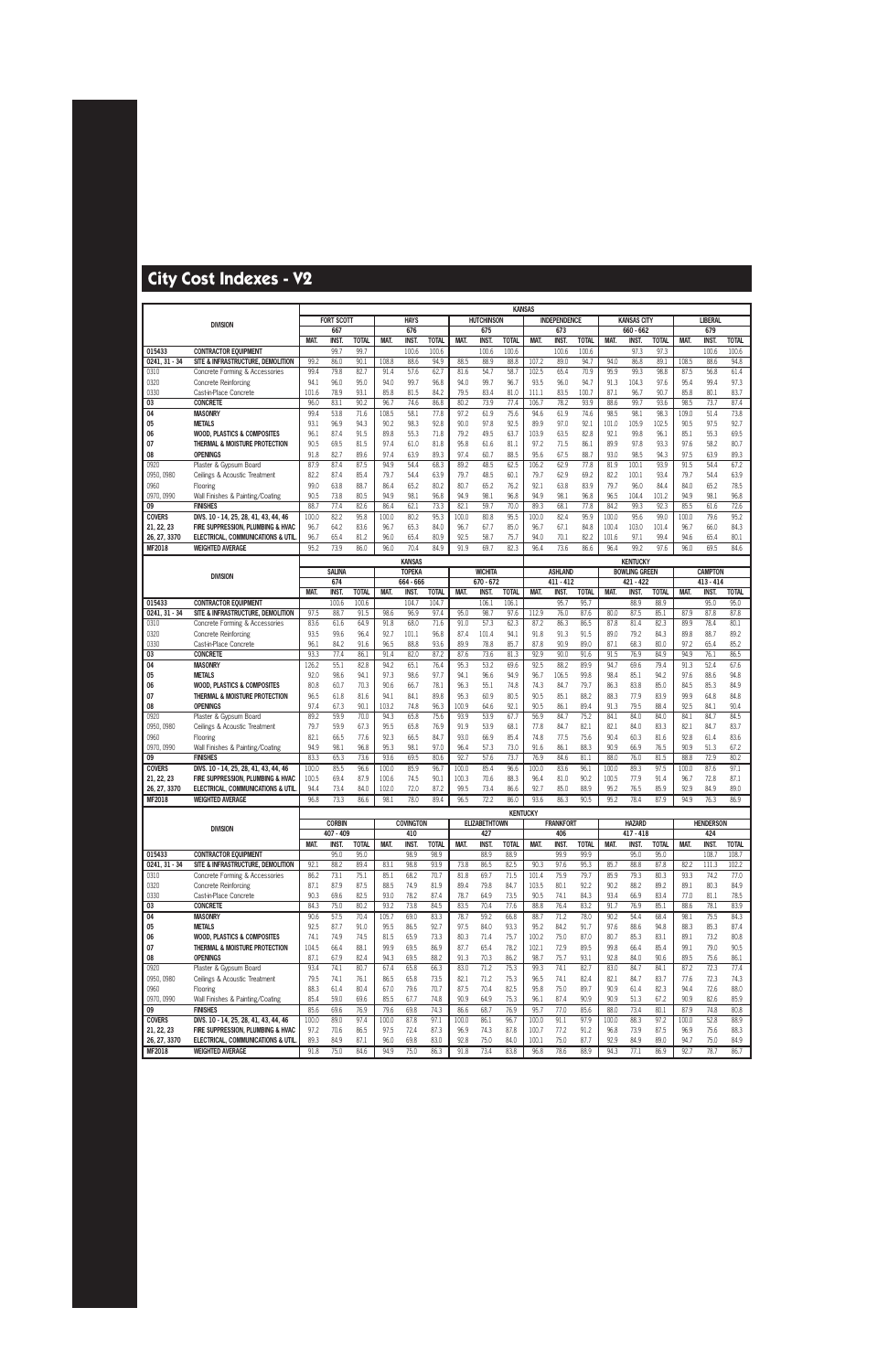|                               |                                                                        |              |                      |                      |              |                            |                       |              |                               | <b>KANSAS</b>         |                 |                               |                       |              |                                   |                      |              |                               |                       |
|-------------------------------|------------------------------------------------------------------------|--------------|----------------------|----------------------|--------------|----------------------------|-----------------------|--------------|-------------------------------|-----------------------|-----------------|-------------------------------|-----------------------|--------------|-----------------------------------|----------------------|--------------|-------------------------------|-----------------------|
|                               | <b>DIVISION</b>                                                        |              | <b>FORT SCOTT</b>    |                      |              | <b>HAYS</b>                |                       |              | <b>HUTCHINSON</b>             |                       |                 | <b>INDEPENDENCE</b>           |                       |              | <b>KANSAS CITY</b>                |                      |              | <b>LIBERAL</b>                |                       |
|                               |                                                                        |              | 667                  |                      |              | 676                        |                       |              | 675                           |                       |                 | 673                           |                       |              | 660 - 662                         |                      |              | 679                           |                       |
| 015433                        | <b>CONTRACTOR EQUIPMENT</b>                                            | <b>MAT</b>   | <b>INST</b><br>99.7  | <b>TOTAL</b><br>99.7 | <b>MAT</b>   | <b>INST</b><br>100.6       | <b>TOTAL</b><br>100.6 | MAT.         | <b>INST</b><br>100.6          | <b>TOTAL</b><br>100.6 | <b>MAT</b>      | <b>INST</b><br>100.6          | <b>TOTAL</b><br>100.6 | MAT.         | <b>INST.</b><br>97.3              | <b>TOTAL</b><br>97.3 | <b>MAT.</b>  | <b>INST</b><br>100.6          | <b>TOTAL</b><br>100.6 |
| $0241, 31 - 34$               | SITE & INFRASTRUCTURE, DEMOLITION                                      | 99.2         | 86.0                 | 90.1                 | 108.8        | 88.6                       | 94.9                  | 88.5         | 88.9                          | 88.8                  | 107.2           | 89.0                          | 94.7                  | 94.0         | 86.8                              | 89.1                 | 108.5        | 88.6                          | 94.8                  |
| 0310                          | Concrete Forming & Accessories                                         | 99.4         | 79.8                 | 82.7                 | 91.4         | 57.6                       | 62.7                  | 81.6         | 54.7                          | 58.7                  | 102.5           | 65.4                          | 70.9                  | 95.9         | 99.3                              | 98.8                 | 87.5         | 56.8                          | 61.4                  |
| 0320                          | <b>Concrete Reinforcing</b>                                            | 94.1         | 96.0                 | 95.0                 | 94.0         | 99.7                       | 96.8                  | 94.0         | 99.7                          | 96.7                  | 93.5            | 96.0                          | 94.7                  | 91.3         | 104.3                             | 97.6                 | 95.4         | 99.4                          | 97.3                  |
| 0330                          | Cast-in-Place Concrete                                                 | 101.6        | 78.9                 | 93.1                 | 85.8         | 81.5                       | 84.2                  | 79.5         | 83.4                          | 81.0                  | 111.1           | 83.5                          | 100.7                 | 87.1         | 96.7                              | 90.7                 | 85.8         | 80.1                          | 83.7                  |
| 03                            | <b>CONCRETE</b>                                                        | 96.0         | 83.1                 | 90.2                 | 96.7         | 74.6                       | 86.8                  | 80.2         | 73.9                          | 77.4                  | 106.7           | 78.2                          | 93.9                  | 88.6         | 99.7                              | 93.6                 | 98.5         | 73.7                          | 87.4                  |
| 04                            | <b>MASONRY</b>                                                         | 99.4         | 53.8                 | 71.6                 | 108.5        | 58.1                       | 77.8                  | 97.2         | 61.9                          | 75.6                  | 94.6            | 61.9                          | 74.6                  | 98.5         | 98.1                              | 98.3                 | 109.0        | 51.4                          | 73.8                  |
| 05                            | <b>METALS</b>                                                          | 93.1         | 96.9                 | 94.3                 | 90.2         | 98.3                       | 92.8                  | 90.0         | 97.8                          | 92.5                  | 89.9            | 97.0                          | 92.1                  | 101.0        | 105.9                             | 102.5                | 90.5         | 97.5                          | 92.7                  |
| 06                            | <b>WOOD, PLASTICS &amp; COMPOSITES</b>                                 | 96.1         | 87.4                 | 91.5                 | 89.8         | 55.3                       | 71.8                  | 79.2         | 49.5                          | 63.7                  | 103.9           | 63.5                          | 82.8                  | 92.1         | 99.8                              | 96.1                 | 85.1         | 55.3                          | 69.5                  |
| 07                            | THERMAL & MOISTURE PROTECTION                                          | 90.5         | 69.5                 | 81.5                 | 97.4         | 61.0                       | 81.8                  | 95.8         | 61.6                          | 81.1                  | 97.2            | 71.5                          | 86.1                  | 89.9         | 97.8                              | 93.3                 | 97.6         | 58.2                          | 80.7                  |
| 08                            | <b>OPENINGS</b>                                                        | 91.8         | 82.7                 | 89.6                 | 97.4         | 63.9                       | 89.3                  | 97.4         | 60.7                          | 88.5                  | 95.6            | 67.5                          | 88.7                  | 93.0         | 98.5                              | 94.3                 | 97.5         | 63.9                          | 89.3                  |
| 0920                          | Plaster & Gypsum Board                                                 | 87.9         | 87.4                 | 87.5                 | 94.9         | 54.4                       | 68.3                  | 89.2         | 48.5                          | 62.5                  | 106.2           | 62.9                          | 77.8                  | 81.9         | 100.1                             | 93.9                 | 91.5         | 54.4                          | 67.2                  |
| 0950, 0980                    | Ceilings & Acoustic Treatment                                          | 82.2         | 87.4                 | 85.4                 | 79.7         | 54.4                       | 63.9                  | 79.7         | 48.5                          | 60.1                  | 79.7            | 62.9                          | 69.2                  | 82.2         | 100.1                             | 93.4                 | 79.7         | 54.4                          | 63.9                  |
| 0960                          | Flooring                                                               | 99.0         | 63.8                 | 88.7                 | 86.4         | 65.2                       | 80.2                  | 80.7         | 65.2                          | 76.2                  | 92.1            | 63.8                          | 83.9                  | 79.7         | 96.0                              | 84.4                 | 84.0         | 65.2                          | 78.5                  |
| 0970, 0990                    | Wall Finishes & Painting/Coating                                       | 90.5         | 73.8                 | 80.5                 | 94.9         | 98.1                       | 96.8                  | 94.9         | 98.1                          | 96.8                  | 94.9            | 98.1                          | 96.8                  | 96.5         | 104.4                             | 101.2                | 94.9         | 98.1                          | 96.8                  |
| 09                            | <b>FINISHES</b>                                                        | 88.7         | 77.4                 | 82.6                 | 86.4         | 62.1                       | 73.3                  | 82.1         | 59.7                          | 70.0                  | 89.3            | 68.1                          | 77.8                  | 84.2         | 99.3                              | 92.3                 | 85.5         | 61.6                          | 72.6                  |
| <b>COVERS</b>                 | DIVS. 10 - 14, 25, 28, 41, 43, 44, 46                                  | 100.0        | 82.2                 | 95.8                 | 100.0        | 80.2                       | 95.3                  | 100.0        | 80.8                          | 95.5                  | 100.0           | 82.4                          | 95.9                  | 100.0        | 95.6                              | 99.0                 | 100.0        | 79.6                          | 95.2                  |
| 21, 22, 23                    | FIRE SUPPRESSION. PLUMBING & HVAC                                      | 96.7         | 64.2                 | 83.6                 | 96.7         | 65.3                       | 84.0                  | 96.7         | 67.7                          | 85.0                  | 96.7            | 67.1                          | 84.8                  | 100.4        | 103.0                             | 101.4                | 96.7         | 66.0                          | 84.3                  |
| 26, 27, 3370                  | <b>ELECTRICAL, COMMUNICATIONS &amp; UTIL</b>                           | 96.7<br>95.2 | 65.4                 | 81.2                 | 96.0         | 65.4                       | 80.9                  | 92.5         | 58.7                          | 75.7                  | 94.0            | 70.1                          | 82.2                  | 101.6        | 97.1                              | 99.4<br>97.6         | 94.6         | 65.4                          | 80.1<br>84.6          |
| MF2018                        | <b>WEIGHTED AVERAGE</b>                                                |              | 73.9                 | 86.0                 | 96.0         | 70.4                       | 84.9                  | 91.9         | 69.7                          | 82.3                  | 96.4            | 73.6                          | 86.6                  | 96.4         | 99.2                              |                      | 96.0         | 69.5                          |                       |
|                               |                                                                        |              |                      |                      |              | <b>KANSAS</b>              |                       |              |                               |                       |                 |                               |                       |              | <b>KENTUCKY</b>                   |                      |              |                               |                       |
|                               | <b>DIVISION</b>                                                        |              | <b>SALINA</b><br>674 |                      |              | <b>TOPEKA</b><br>664 - 666 |                       |              | <b>WICHITA</b><br>$670 - 672$ |                       |                 | <b>ASHLAND</b><br>$411 - 412$ |                       |              | <b>BOWLING GREEN</b><br>421 - 422 |                      |              | <b>CAMPTON</b><br>$413 - 414$ |                       |
|                               |                                                                        | <b>MAT</b>   | <b>INST.</b>         | <b>TOTAL</b>         | MAT.         | <b>INST</b>                | <b>TOTAL</b>          | MAT.         | <b>INST</b>                   | <b>TOTAL</b>          | MAT.            | <b>INST.</b>                  | <b>TOTAL</b>          | MAT.         | <b>INST</b>                       | <b>TOTAL</b>         | <b>MAT.</b>  | <b>INST</b>                   | <b>TOTAL</b>          |
| 015433                        | <b>CONTRACTOR EQUIPMENT</b>                                            |              | 100.6                | 100.6                |              | 104.7                      | 104.7                 |              | 106.1                         | 106.1                 |                 | 95.7                          | 95.7                  |              | 88.9                              | 88.9                 |              | 95.0                          | 95.0                  |
| 0241.31 - 34                  | SITE & INFRASTRUCTURE. DEMOLITION                                      | 97.5         | 88.7                 | 91.5                 | 98.6         | 96.9                       | 97.4                  | 95.0         | 98.7                          | 97.6                  | 112.9           | 76.0                          | 87.6                  | 80.0         | 87.5                              | 85.1                 | 87.9         | 87.8                          | 87.8                  |
| 0310                          | Concrete Forming & Accessories                                         | 83.6         | 61.6                 | 64.9                 | 91.8         | 68.0                       | 71.6                  | 91.0         | 57.3                          | 62.3                  | 87.2            | 86.3                          | 86.5                  | 87.8         | 81.4                              | 82.3                 | 89.9         | 78.4                          | 80.1                  |
| 0320                          | <b>Concrete Reinforcing</b>                                            | 93.5         | 99.6                 | 96.4                 | 92.7         | 101.1                      | 96.8                  | 87.4         | 101.4                         | 94.1                  | 91.8            | 91.3                          | 91.5                  | 89.0         | 79.2                              | 84.3                 | 89.8         | 88.7                          | 89.2                  |
| 0330                          | Cast-in-Place Concrete                                                 | 96.1         | 84.2                 | 91.6                 | 96.5         | 88.8                       | 93.6                  | 89.9         | 78.8                          | 85.7                  | 87.8            | 90.9                          | 89.0                  | 87.1         | 68.3                              | 80.0                 | 97.2         | 65.4                          | 85.2                  |
| 03                            | <b>CONCRETE</b>                                                        | 93.3         | 77.4                 | 86.1                 | 91.4         | 82.0                       | 87.2                  | 87.6         | 73.6                          | 81.3                  | 92.9            | 90.0                          | 91.6                  | 91.5         | 76.9                              | 84.9                 | 94.9         | 76.1                          | 86.5                  |
| 04                            | <b>MASONRY</b>                                                         | 126.2        | 55.1                 | 82.8                 | 94.2         | 65.1                       | 76.4                  | 95.3         | 53.2                          | 69.6                  | 92.5            | 88.2                          | 89.9                  | 94.7         | 69.6                              | 79.4                 | 91.3         | 52.4                          | 67.6                  |
| 05                            | <b>METALS</b>                                                          | 92.0         | 98.6                 | 94.1                 | 97.3         | 98.6                       | 97.7                  | 94.1         | 96.6                          | 94.9                  | 96.7            | 106.5                         | 99.8                  | 98.4         | 85.1                              | 94.2                 | 97.6         | 88.6                          | 94.8                  |
| 06                            | <b>WOOD, PLASTICS &amp; COMPOSITES</b>                                 | 80.8         | 60.7                 | 70.3                 | 90.6         | 66.7                       | 78.1                  | 96.3         | 55.1                          | 74.8                  | 74.3            | 84.7                          | 79.7                  | 86.3         | 83.8                              | 85.0                 | 84.5         | 85.3                          | 84.9                  |
| 07                            | THERMAL & MOISTURE PROTECTION                                          | 96.5         | 61.8                 | 81.6                 | 94.1         | 84.1                       | 89.8                  | 95.3         | 60.9                          | 80.5                  | 90.5            | 85.1                          | 88.2                  | 88.3         | 77.9                              | 83.9                 | 99.9         | 64.8                          | 84.8                  |
| 08                            | <b>OPENINGS</b>                                                        | 97.4         | 67.3                 | 90.1                 | 103.2        | 74.8                       | 96.3                  | 100.9        | 64.6                          | 92.1<br>67.7          | 90.5            | 86.1                          | 89.4                  | 91.3         | 79.5<br>84.0                      | 88.4                 | 92.5         | 84.1                          | 90.4                  |
| 0920<br>0950, 0980            | Plaster & Gypsum Board<br>Ceilings & Acoustic Treatment                | 89.2<br>79.7 | 59.9<br>59.9         | 70.0<br>67.3         | 94.3<br>95.5 | 65.8<br>65.8               | 75.6<br>76.9          | 93.9<br>91.9 | 53.9<br>53.9                  | 68.1                  | 56.9<br>77.8    | 84.7<br>84.7                  | 75.2<br>82.1          | 84.1<br>82.1 | 84.0                              | 84.0<br>83.3         | 84.1<br>82.1 | 84.7<br>84.7                  | 84.5<br>83.7          |
| 0960                          | Flooring                                                               | 82.1         | 66.5                 | 77.6                 | 92.3         | 66.5                       | 84.7                  | 93.0         | 66.9                          | 85.4                  | 74.8            | 77.5                          | 75.6                  | 90.4         | 60.3                              | 81.6                 | 92.8         | 61.4                          | 83.6                  |
| 0970, 0990                    | Wall Finishes & Painting/Coating                                       | 94.9         | 98.1                 | 96.8                 | 95.3         | 98.1                       | 97.0                  | 96.4         | 57.3                          | 73.0                  | 91.6            | 86.1                          | 88.3                  | 90.9         | 66.9                              | 76.5                 | 90.9         | 51.3                          | 67.2                  |
| 09                            | <b>FINISHES</b>                                                        | 83.3         | 65.3                 | 73.6                 | 93.6         | 69.5                       | 80.6                  | 92.7         | 57.6                          | 73.7                  | 76.9            | 84.6                          | 81.1                  | 88.0         | 76.0                              | 81.5                 | 88.8         | 72.9                          | 80.2                  |
| <b>COVERS</b>                 | DIVS. 10 - 14, 25, 28, 41, 43, 44, 46                                  | 100.0        | 85.5                 | 96.6                 | 100.0        | 85.9                       | 96.7                  | 100.0        | 85.4                          | 96.6                  | 100.0           | 83.6                          | 96.1                  | 100.0        | 89.3                              | 97.5                 | 100.0        | 87.6                          | 97.1                  |
| 21, 22, 23                    | FIRE SUPPRESSION, PLUMBING & HVAC                                      | 100.5        | 69.4                 | 87.9                 | 100.6        | 74.5                       | 90.1                  | 100.3        | 70.6                          | 88.3                  | 96.4            | 81.0                          | 90.2                  | 100.5        | 77.9                              | 91.4                 | 96.7         | 72.8                          | 87.1                  |
| 26, 27, 3370                  | ELECTRICAL, COMMUNICATIONS & UTIL                                      | 94.4         | 73.4                 | 84.0                 | 102.0        | 72.0                       | 87.2                  | 99.5         | 73.4                          | 86.6                  | 92.7            | 85.0                          | 88.9                  | 95.2         | 76.5                              | 85.9                 | 92.9         | 84.9                          | 89.0                  |
| MF2018                        | <b>WEIGHTED AVERAGE</b>                                                | 96.8         | 73.3                 | 86.6                 | 98.1         | 78.0                       | 89.4                  | 96.5         | 72.2                          | 86.0                  | 93.6            | 86.3                          | 90.5                  | 95.2         | 78.4                              | 87.9                 | 94.9         | 76.3                          | 86.9                  |
|                               |                                                                        |              |                      |                      |              |                            |                       |              |                               |                       | <b>KENTUCKY</b> |                               |                       |              |                                   |                      |              |                               |                       |
|                               | <b>DIVISION</b>                                                        |              | <b>CORBIN</b>        |                      |              | <b>COVINGTON</b>           |                       |              | <b>ELIZABETHTOWN</b>          |                       |                 | <b>FRANKFORT</b>              |                       |              | <b>HAZARD</b>                     |                      |              | <b>HENDERSON</b>              |                       |
|                               |                                                                        |              | 407 - 409            |                      |              | 410                        |                       |              | 427                           |                       |                 | 406                           |                       |              | $417 - 418$                       |                      |              | 424                           |                       |
|                               |                                                                        | MAT.         | INST.                | <b>TOTAL</b>         | MAT.         | INST.                      | <b>TOTAL</b>          | MAT.         | INST.                         | <b>TOTAL</b>          | MAT.            | INST.                         | <b>TOTAL</b>          | MAT.         | INST.                             | <b>TOTAL</b>         | MAT.         | <b>INST.</b>                  | <b>TOTAL</b>          |
| 015433<br>$0241, 31 - 34$     | <b>CONTRACTOR EQUIPMENT</b><br>SITE & INFRASTRUCTURE, DEMOLITION       | 92.1         | 95.0<br>88.2         | 95.0                 |              | 98.9                       | 98.9                  | 73.8         | 88.9                          | 88.9<br>82.5          | 90.3            | 99.9                          | 99.9                  | 85.7         | 95.0                              | 95.0<br>87.8         | 82.2         | 108.7                         | 108.7                 |
| 0310                          | Concrete Forming & Accessories                                         | 86.2         | 73.1                 | 89.4<br>75.1         | 83.1<br>85.1 | 98.8<br>68.2               | 93.9<br>70.7          | 81.8         | 86.5<br>69.7                  | 71.5                  | 101.4           | 97.6<br>75.9                  | 95.3<br>79.7          | 85.9         | 88.8<br>79.3                      | 80.3                 | 93.3         | 111.3<br>74.2                 | 102.2<br>77.0         |
| 0320                          | <b>Concrete Reinforcing</b>                                            | 87.1         | 87.9                 | 87.5                 | 88.5         | 74.9                       | 81.9                  | 89.4         | 79.8                          | 84.7                  | 103.5           | 80.1                          | 92.2                  | 90.2         | 88.2                              | 89.2                 | 89.1         | 80.3                          | 84.9                  |
| 0330                          | Cast-in-Place Concrete                                                 | 90.3         | 69.6                 | 82.5                 | 93.0         | 78.2                       | 87.4                  | 78.7         | 64.9                          | 73.5                  | 90.5            | 74.1                          | 84.3                  | 93.4         | 66.9                              | 83.4                 | 77.0         | 81.1                          | 78.5                  |
| 03                            | <b>CONCRETE</b>                                                        | 84.3         | 75.0                 | 80.2                 | 93.2         | 73.8                       | 84.5                  | 83.5         | 70.4                          | 77.6                  | 88.8            | 76.4                          | 83.2                  | 91.7         | 76.9                              | 85.1                 | 88.6         | 78.1                          | 83.9                  |
| 04                            | <b>MASONRY</b>                                                         | 90.6         | 57.5                 | 70.4                 | 105.7        | 69.0                       | 83.3                  | 78.7         | 59.2                          | 66.8                  | 88.7            | 71.2                          | 78.0                  | 90.2         | 54.4                              | 68.4                 | 98.1         | 75.5                          | 84.3                  |
| 05                            | <b>METALS</b>                                                          | 92.5         | 87.7                 | 91.0                 | 95.5         | 86.5                       | 92.7                  | 97.5         | 84.0                          | 93.3                  | 95.2            | 84.2                          | 91.7                  | 97.6         | 88.6                              | 94.8                 | 88.3         | 85.3                          | 87.4                  |
| 06                            | <b>WOOD, PLASTICS &amp; COMPOSITES</b>                                 | 74.1         | 74.9                 | 74.5                 | 81.5         | 65.9                       | 73.3                  | 80.3         | 71.4                          | 75.7                  | 100.2           | 75.0                          | 87.0                  | 80.7         | 85.3                              | 83.1                 | 89.1         | 73.2                          | 80.8                  |
| 07                            | THERMAL & MOISTURE PROTECTION                                          | 104.5        | 66.4                 | 88.1                 | 99.9         | 69.5                       | 86.9                  | 87.7         | 65.4                          | 78.2                  | 102.1           | 72.9                          | 89.5                  | 99.8         | 66.4                              | 85.4                 | 99.1         | 79.0                          | 90.5                  |
| 08                            | <b>OPENINGS</b>                                                        | 87.1         | 67.9                 | 82.4                 | 94.3         | 69.5                       | 88.2                  | 91.3         | 70.3                          | 86.2                  | 98.7            | 75.7                          | 93.1                  | 92.8         | 84.0                              | 90.6                 | 89.5         | 75.6                          | 86.1                  |
| 0920                          | Plaster & Gypsum Board                                                 | 93.4         | 74.1                 | 80.7                 | 67.4         | 65.8                       | 66.3                  | 83.0         | 71.2                          | 75.3                  | 99.3            | 74.1                          | 82.7                  | 83.0         | 84.7                              | 84.1                 | 87.2         | 72.3                          | 77.4                  |
| 0950, 0980                    | Ceilings & Acoustic Treatment                                          | 79.5         | 74.1                 | 76.1                 | 86.5         | 65.8                       | 73.5                  | 82.1         | 71.2                          | 75.3                  | 96.5            | 74.1                          | 82.4                  | 82.1         | 84.7                              | 83.7                 | 77.6         | 72.3                          | 74.3                  |
| 0960                          | Flooring                                                               | 88.3         | 61.4                 | 80.4                 | 67.0         | 79.6                       | 70.7                  | 87.5         | 70.4                          | 82.5                  | 95.8            | 75.0                          | 89.7                  | 90.9         | 61.4                              | 82.3                 | 94.4         | 72.6                          | 88.0                  |
| 0970, 0990                    | Wall Finishes & Painting/Coating                                       | 85.4         | 59.0                 | 69.6                 | 85.5         | 67.7                       | 74.8                  | 90.9         | 64.9                          | 75.3                  | 96.1            | 87.4                          | 90.9                  | 90.9         | 51.3                              | 67.2                 | 90.9         | 82.6                          | 85.9                  |
| 09                            | <b>FINISHES</b>                                                        | 85.6         | 69.6                 | 76.9                 | 79.6         | 69.8                       | 74.3                  | 86.6         | 68.7                          | 76.9                  | 95.7            | 77.0                          | 85.6                  | 88.0         | 73.4                              | 80.1                 | 87.9         | 74.8                          | 80.8                  |
| <b>COVERS</b>                 | DIVS. 10 - 14, 25, 28, 41, 43, 44, 46                                  | 100.0        | 89.0                 | 97.4                 | 100.0        | 87.8                       | 97.1                  | 100.0        | 86.1                          | 96.7                  | 100.0           | 91.1                          | 97.9                  | 100.0        | 88.3                              | 97.2                 | 100.0        | 52.8                          | 88.9                  |
| 21, 22, 23                    | FIRE SUPPRESSION, PLUMBING & HVAC<br>ELECTRICAL, COMMUNICATIONS & UTIL | 97.2<br>89.3 | 70.6                 | 86.5<br>87.1         | 97.5         | 72.4<br>69.8               | 87.3<br>83.0          | 96.9         | 74.3<br>75.0                  | 87.8                  | 100.7           | 77.2<br>75.0                  | 91.2<br>87.7          | 96.8<br>92.9 | 73.9<br>84.9                      | 87.5<br>89.0         | 96.9<br>94.7 | 75.6                          | 88.3<br>84.9          |
| 26, 27, 3370<br><b>MF2018</b> | <b>WEIGHTED AVERAGE</b>                                                | 91.8         | 84.9<br>75.0         | 84.6                 | 96.0<br>94.9 | 75.0                       | 86.3                  | 92.8<br>91.8 | 73.4                          | 84.0<br>83.8          | 100.1<br>96.8   | 78.6                          | 88.9                  | 94.3         | 77.1                              | 86.9                 | 92.7         | 75.0<br>78.7                  | 86.7                  |
|                               |                                                                        |              |                      |                      |              |                            |                       |              |                               |                       |                 |                               |                       |              |                                   |                      |              |                               |                       |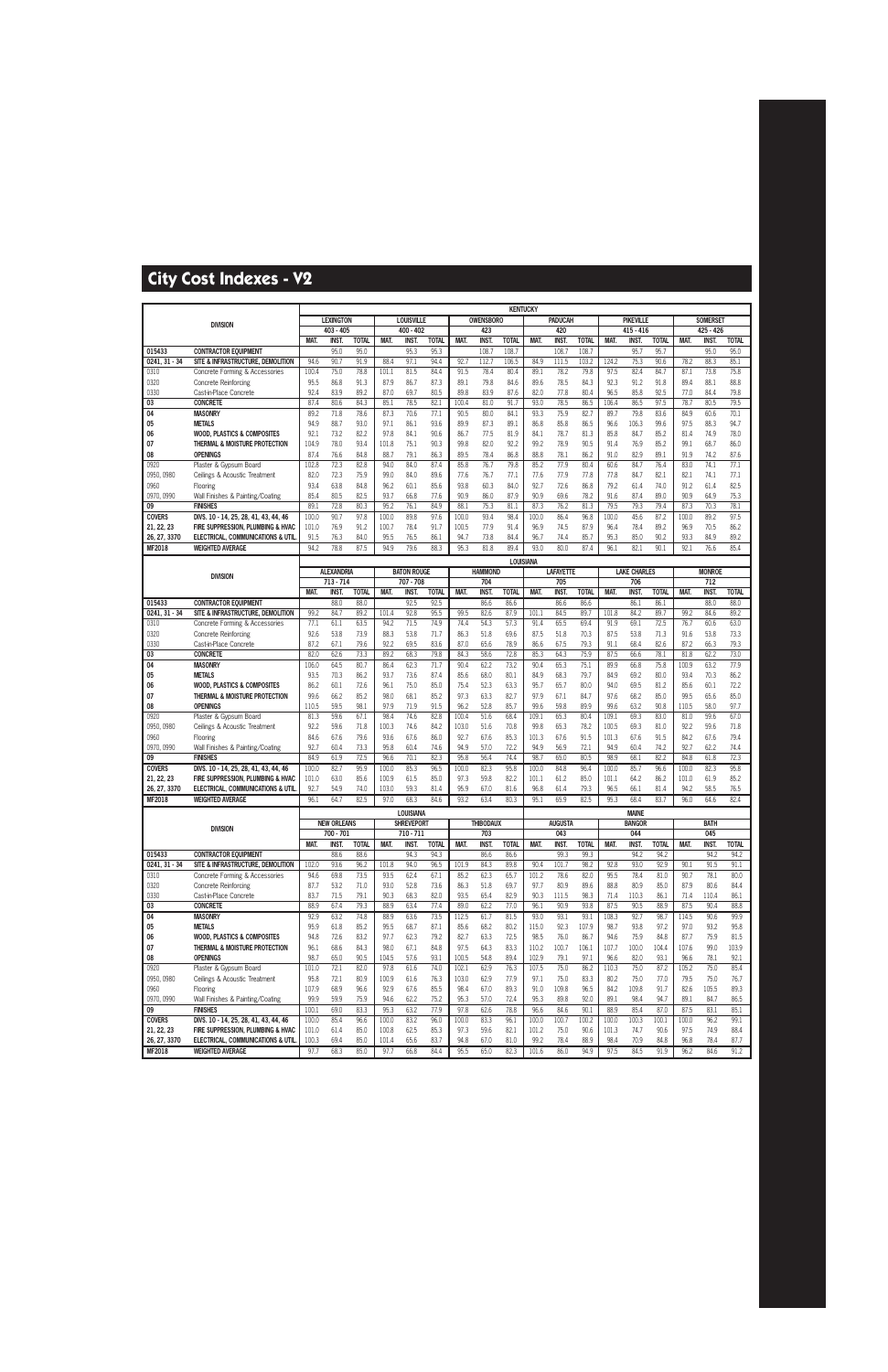|                    |                                              |               |                           |              |              |                           |              |              |                  | <b>KENTUCKY</b> |              |                     |              |               |                     |              |               |                     |              |
|--------------------|----------------------------------------------|---------------|---------------------------|--------------|--------------|---------------------------|--------------|--------------|------------------|-----------------|--------------|---------------------|--------------|---------------|---------------------|--------------|---------------|---------------------|--------------|
|                    | <b>DIVISION</b>                              |               | <b>LEXINGTON</b>          |              |              | <b>LOUISVILLE</b>         |              |              | <b>OWENSBORO</b> |                 |              | <b>PADUCAH</b>      |              |               | <b>PIKEVILLE</b>    |              |               | <b>SOMERSET</b>     |              |
|                    |                                              |               | 403 - 405                 |              |              | 400 - 402                 |              |              | 423              |                 |              | 420                 |              |               | 415 - 416           |              |               | 425 - 426           |              |
|                    |                                              | MAT.          | INST.                     | <b>TOTAL</b> | MAT.         | <b>INST.</b>              | <b>TOTAL</b> | MAT.         | <b>INST</b>      | <b>TOTAL</b>    | MAT.         | <b>INST</b>         | <b>TOTAL</b> | MAT.          | <b>INST.</b>        | <b>TOTAL</b> | MAT.          | INST.               | <b>TOTAL</b> |
| 015433             | <b>CONTRACTOR EQUIPMENT</b>                  |               | 95.0                      | 95.0         |              | 95.3                      | 95.3         |              | 108.7            | 108.7           |              | 108.7               | 108.7        |               | 95.7                | 95.7         |               | 95.0                | 95.0         |
| $0241, 31 - 34$    | SITE & INFRASTRUCTURE, DEMOLITION            | 94.6          | 90.7                      | 91.9         | 88.4         | 97.1                      | 94.4         | 92.7         | 112.7            | 106.5           | 84.9         | 111.5               | 103.2        | 124.2         | 75.3                | 90.6         | 78.2          | 88.3                | 85.1         |
| 0310               | Concrete Forming & Accessories               | 100.4         | 75.0                      | 78.8         | 101.1        | 81.5                      | 84.4         | 91.5         | 78.4             | 80.4            | 89.1         | 78.2                | 79.8         | 97.5          | 82.4                | 84.7         | 87.1          | 73.8                | 75.8         |
| 0320               | <b>Concrete Reinforcing</b>                  | 95.5<br>92.4  | 86.8                      | 91.3<br>89.2 | 87.9         | 86.7<br>69.7              | 87.3         | 89.1<br>89.8 | 79.8             | 84.6            | 89.6         | 78.5                | 84.3<br>80.4 | 92.3          | 91.2                | 91.8         | 89.4          | 88.1<br>84.4        | 88.8         |
| 0330<br>03         | Cast-in-Place Concrete<br><b>CONCRETE</b>    | 87.4          | 83.9<br>80.6              | 84.3         | 87.0<br>85.1 | 78.5                      | 80.5<br>82.1 | 100.4        | 83.9<br>81.0     | 87.6<br>91.7    | 82.0<br>93.0 | 77.8<br>78.5        | 86.5         | 96.5<br>106.4 | 85.8<br>86.5        | 92.5<br>97.5 | 77.0<br>78.7  | 80.5                | 79.8<br>79.5 |
| 04                 | <b>MASONRY</b>                               | 89.2          | 71.8                      | 78.6         | 87.3         | 70.6                      | 77.1         | 90.5         | 80.0             | 84.1            | 93.3         | 75.9                | 82.7         | 89.7          | 79.8                | 83.6         | 84.9          | 60.6                | 70.1         |
| 05                 | <b>METALS</b>                                | 94.9          | 88.7                      | 93.0         | 97.1         | 86.1                      | 93.6         | 89.9         | 87.3             | 89.1            | 86.8         | 85.8                | 86.5         | 96.6          | 106.3               | 99.6         | 97.5          | 88.3                | 94.7         |
| 06                 | <b>WOOD, PLASTICS &amp; COMPOSITES</b>       | 92.1          | 73.2                      | 82.2         | 97.8         | 84.1                      | 90.6         | 86.7         | 77.5             | 81.9            | 84.1         | 78.7                | 81.3         | 85.8          | 84.7                | 85.2         | 81.4          | 74.9                | 78.0         |
| 07                 | THERMAL & MOISTURE PROTECTION                | 104.9         | 78.0                      | 93.4         | 101.8        | 75.1                      | 90.3         | 99.8         | 82.0             | 92.2            | 99.2         | 78.9                | 90.5         | 91.4          | 76.9                | 85.2         | 99.1          | 68.7                | 86.0         |
| 08                 | <b>OPENINGS</b>                              | 87.4          | 76.6                      | 84.8         | 88.7         | 79.1                      | 86.3         | 89.5         | 78.4             | 86.8            | 88.8         | 78.1                | 86.2         | 91.0          | 82.9                | 89.1         | 91.9          | 74.2                | 87.6         |
| 0920               | Plaster & Gypsum Board                       | 102.8         | 72.3                      | 82.8         | 94.0         | 84.0                      | 87.4         | 85.8         | 76.7             | 79.8            | 85.2         | 77.9                | 80.4         | 60.6          | 84.7                | 76.4         | 83.0          | 74.1                | 77.1         |
| 0950, 0980         | Ceilings & Acoustic Treatment                | 82.0          | 72.3                      | 75.9         | 99.0         | 84.0                      | 89.6         | 77.6         | 76.7             | 77.1            | 77.6         | 77.9                | 77.8         | 77.8          | 84.7                | 82.1         | 82.1          | 74.1                | 77.1         |
| 0960               | Flooring                                     | 93.4          | 63.8                      | 84.8         | 96.2         | 60.1                      | 85.6         | 93.8         | 60.3             | 84.0            | 92.7         | 72.6                | 86.8         | 79.2          | 61.4                | 74.0         | 91.2          | 61.4                | 82.5         |
| 0970, 0990         | Wall Finishes & Painting/Coating             | 85.4          | 80.5                      | 82.5         | 93.7         | 66.8                      | 77.6         | 90.9         | 86.0             | 87.9            | 90.9         | 69.6                | 78.2         | 91.6          | 87.4                | 89.0         | 90.9          | 64.9                | 75.3         |
| 09                 | <b>FINISHES</b>                              | 89.1          | 72.8                      | 80.3         | 95.2         | 76.1                      | 84.9         | 88.1         | 75.3             | 81.1            | 87.3         | 76.2                | 81.3         | 79.5          | 79.3                | 79.4         | 87.3          | 70.3                | 78.1         |
| <b>COVERS</b>      | DIVS. 10 - 14, 25, 28, 41, 43, 44, 46        | 100.0         | 90.7                      | 97.8         | 100.0        | 89.8                      | 97.6         | 100.0        | 93.4             | 98.4            | 100.0        | 86.4                | 96.8         | 100.0         | 45.6                | 87.2         | 100.0         | 89.2                | 97.5         |
| 21, 22, 23         | FIRE SUPPRESSION. PLUMBING & HVAC            | 101.0         | 76.9                      | 91.2         | 100.7        | 78.4                      | 91.7         | 100.5        | 77.9             | 91.4            | 96.9         | 74.5                | 87.9         | 96.4          | 78.4                | 89.2         | 96.9          | 70.5                | 86.2         |
| 26, 27, 3370       | <b>ELECTRICAL, COMMUNICATIONS &amp; UTIL</b> | 91.5          | 76.3                      | 84.0         | 95.5         | 76.5                      | 86.1         | 94.7         | 73.8             | 84.4            | 96.7         | 74.4                | 85.7         | 95.3          | 85.0                | 90.2         | 93.3          | 84.9                | 89.2         |
| <b>MF2018</b>      | <b>WEIGHTED AVERAGE</b>                      | 94.2          | 78.8                      | 87.5         | 94.9         | 79.6                      | 88.3         | 95.3         | 81.8             | 89.4            | 93.0         | 80.0                | 87.4         | 96.1          | 82.1                | 90.1         | 92.1          | 76.6                | 85.4         |
|                    |                                              |               |                           |              |              |                           |              |              |                  | LOUISIANA       |              |                     |              |               |                     |              |               |                     |              |
|                    | <b>DIVISION</b>                              |               | <b>ALEXANDRIA</b>         |              |              | <b>BATON ROUGE</b>        |              |              | <b>HAMMOND</b>   |                 |              | <b>LAFAYETTE</b>    |              |               | <b>LAKE CHARLES</b> |              |               | <b>MONROE</b>       |              |
|                    |                                              |               | $713 - 714$               |              |              | 707 - 708                 |              |              | 704              |                 |              | 705                 |              |               | 706                 |              |               | 712                 |              |
|                    |                                              | MAT.          | INST.                     | <b>TOTAL</b> | MAT.         | INST.                     | <b>TOTAL</b> | MAT.         | <b>INST</b>      | <b>TOTAL</b>    | MAT.         | <b>INST</b>         | <b>TOTAL</b> | MAT.          | <b>INST.</b>        | <b>TOTAL</b> | MAT.          | <b>INST.</b>        | <b>TOTAL</b> |
| 015433             | <b>CONTRACTOR EQUIPMENT</b>                  |               | 88.0                      | 88.0         |              | 92.5                      | 92.5         |              | 86.6             | 86.6            |              | 86.6                | 86.6         |               | 86.1                | 86.1         |               | 88.0                | 88.0         |
| $0241, 31 - 34$    | SITE & INFRASTRUCTURE, DEMOLITION            | 99.2          | 84.7                      | 89.2         | 101.4        | 92.8                      | 95.5         | 99.5         | 82.6             | 87.9            | 101.1        | 84.5                | 89.7         | 101.8         | 84.2                | 89.7         | 99.2          | 84.6                | 89.2         |
| 0310               | Concrete Forming & Accessories               | 77.1          | 61.1                      | 63.5         | 94.2         | 71.5                      | 74.9         | 74.4         | 54.3             | 57.3            | 91.4         | 65.5                | 69.4         | 91.9          | 69.1                | 72.5         | 76.7          | 60.6                | 63.0         |
| 0320               | <b>Concrete Reinforcing</b>                  | 92.6          | 53.8                      | 73.9         | 88.3         | 53.8                      | 71.7         | 86.3         | 51.8             | 69.6            | 87.5         | 51.8                | 70.3         | 87.5          | 53.8                | 71.3         | 91.6          | 53.8                | 73.3         |
| 0330               | Cast-in-Place Concrete                       | 87.2<br>82.0  | 67.1<br>62.6              | 79.6         | 92.2         | 69.5                      | 83.6         | 87.0         | 65.6             | 78.9            | 86.6         | 67.5<br>64.3        | 79.3<br>75.9 | 91.1          | 68.4                | 82.6<br>78.1 | 87.2          | 66.3<br>62.2        | 79.3<br>73.0 |
| 03<br>04           | <b>CONCRETE</b><br><b>MASONRY</b>            | 106.0         | 64.5                      | 73.3<br>80.7 | 89.2<br>86.4 | 68.3<br>62.3              | 79.8<br>71.7 | 84.3<br>90.4 | 58.6<br>62.2     | 72.8<br>73.2    | 85.3<br>90.4 | 65.3                | 75.1         | 87.5<br>89.9  | 66.6<br>66.8        | 75.8         | 81.8<br>100.9 | 63.2                | 77.9         |
| 05                 | <b>METALS</b>                                | 93.5          | 70.3                      | 86.2         | 93.7         | 73.6                      | 87.4         | 85.6         | 68.0             | 80.1            | 84.9         | 68.3                | 79.7         | 84.9          | 69.2                | 80.0         | 93.4          | 70.3                | 86.2         |
| 06                 | <b>WOOD, PLASTICS &amp; COMPOSITES</b>       | 86.2          | 60.1                      | 72.6         | 96.1         | 75.0                      | 85.0         | 75.4         | 52.3             | 63.3            | 95.7         | 65.7                | 80.0         | 94.0          | 69.5                | 81.2         | 85.6          | 60.1                | 72.2         |
| 07                 | THERMAL & MOISTURE PROTECTION                | 99.6          | 66.2                      | 85.2         | 98.0         | 68.1                      | 85.2         | 97.3         | 63.3             | 82.7            | 97.9         | 67.1                | 84.7         | 97.6          | 68.2                | 85.0         | 99.5          | 65.6                | 85.0         |
| 08                 | <b>OPENINGS</b>                              | 110.5         | 59.5                      | 98.1         | 97.9         | 71.9                      | 91.5         | 96.2         | 52.8             | 85.7            | 99.6         | 59.8                | 89.9         | 99.6          | 63.2                | 90.8         | 110.5         | 58.0                | 97.7         |
| 0920               | Plaster & Gypsum Board                       | 81.3          | 59.6                      | 67.1         | 98.4         | 74.6                      | 82.8         | 100.4        | 51.6             | 68.4            | 109.1        | 65.3                | 80.4         | 109.1         | 69.3                | 83.0         | 81.0          | 59.6                | 67.0         |
| 0950, 0980         | Ceilings & Acoustic Treatment                | 92.2          | 59.6                      | 71.8         | 100.3        | 74.6                      | 84.2         | 103.0        | 51.6             | 70.8            | 99.8         | 65.3                | 78.2         | 100.5         | 69.3                | 81.0         | 92.2          | 59.6                | 71.8         |
| 0960               | Flooring                                     | 84.6          | 67.6                      | 79.6         | 93.6         | 67.6                      | 86.0         | 92.7         | 67.6             | 85.3            | 101.3        | 67.6                | 91.5         | 101.3         | 67.6                | 91.5         | 84.2          | 67.6                | 79.4         |
| 0970, 0990         | Wall Finishes & Painting/Coating             | 92.7          | 60.4                      | 73.3         | 95.8         | 60.4                      | 74.6         | 94.9         | 57.0             | 72.2            | 94.9         | 56.9                | 72.1         | 94.9          | 60.4                | 74.2         | 92.7          | 62.2                | 74.4         |
| 09                 | <b>FINISHES</b>                              | 84.9          | 61.9                      | 72.5         | 96.6         | 70.1                      | 82.3         | 95.8         | 56.4             | 74.4            | 98.7         | 65.0                | 80.5         | 98.9          | 68.1                | 82.2         | 84.8          | 61.8                | 72.3         |
| <b>COVERS</b>      | DIVS. 10 - 14, 25, 28, 41, 43, 44, 46        | 100.0         | 82.7                      | 95.9         | 100.0        | 85.3                      | 96.5         | 100.0        | 82.3             | 95.8            | 100.0        | 84.8                | 96.4         | 100.0         | 85.7                | 96.6         | 100.0         | 82.3                | 95.8         |
| 21, 22, 23         | FIRE SUPPRESSION. PLUMBING & HVAC            | 101.0         | 63.0                      | 85.6         | 100.9        | 61.5                      | 85.0         | 97.3         | 59.8             | 82.2            | 101.1        | 61.2                | 85.0         | 101.1         | 64.2                | 86.2         | 101.0         | 61.9                | 85.2         |
| 26, 27, 3370       | ELECTRICAL, COMMUNICATIONS & UTIL            | 92.7          | 54.9                      | 74.0         | 103.0        | 59.3                      | 81.4         | 95.9         | 67.0             | 81.6            | 96.8         | 61.4                | 79.3         | 96.5          | 66.1                | 81.4         | 94.2          | 58.5                | 76.5         |
| MF2018             | <b>WEIGHTED AVERAGE</b>                      | 96.1          | 64.7                      | 82.5         | 97.0         | 68.3                      | 84.6         | 93.2         | 63.4             | 80.3            | 95.1         | 65.9                | 82.5         | 95.3          | 68.4                | 83.7         | 96.0          | 64.6                | 82.4         |
|                    |                                              |               |                           |              |              | <b>LOUISIANA</b>          |              |              |                  |                 |              |                     |              |               | <b>MAINE</b>        |              |               |                     |              |
|                    | <b>DIVISION</b>                              |               | <b>NEW ORLEANS</b>        |              |              | <b>SHREVEPORT</b>         |              |              | <b>THIBODAUX</b> |                 |              | <b>AUGUSTA</b>      |              |               | <b>BANGOR</b>       |              |               | <b>BATH</b>         |              |
|                    |                                              | MAT.          | 700 - 701<br><b>INST.</b> | <b>TOTAL</b> | MAT.         | 710 - 711<br><b>INST.</b> | <b>TOTAL</b> | MAT.         | 703<br>INST.     | <b>TOTAL</b>    | MAT.         | 043<br><b>INST.</b> | <b>TOTAL</b> | MAT.          | 044<br>INST.        | <b>TOTAL</b> | MAT.          | 045<br><b>INST.</b> | <b>TOTAL</b> |
| 015433             | <b>CONTRACTOR EQUIPMENT</b>                  |               | 88.6                      | 88.6         |              | 94.3                      | 94.3         |              | 86.6             | 86.6            |              | 99.3                | 99.3         |               | 94.2                | 94.2         |               | 94.2                | 94.2         |
| $0241.31 - 34$     | SITE & INFRASTRUCTURE, DEMOLITION            | 102.0         | 93.6                      | 96.2         | 101.8        | 94.0                      | 96.5         | 101.9        | 84.3             | 89.8            | 90.4         | 101.7               | 98.2         | 92.8          | 93.0                | 92.9         | 90.1          | 91.5                | 91.1         |
| 0310               | Concrete Forming & Accessories               | 94.6          | 69.8                      | 73.5         | 93.5         | 62.4                      | 67.1         | 85.2         | 62.3             | 65.7            | 101.2        | 78.6                | 82.0         | 95.5          | 78.4                | 81.0         | 90.7          | 78.1                | 80.0         |
| 0320               | Concrete Reinforcing                         | 87.7          | 53.2                      | 71.0         | 93.0         | 52.8                      | 73.6         | 86.3         | 51.8             | 69.7            | 97.7         | 80.9                | 89.6         | 88.8          | 80.9                | 85.0         | 87.9          | 80.6                | 84.4         |
| 0330               | Cast-in-Place Concrete                       | 83.7          | 71.5                      | 79.1         | 90.3         | 68.3                      | 82.0         | 93.5         | 65.4             | 82.9            | 90.3         | 111.5               | 98.3         | 71.4          | 110.3               | 86.1         | 71.4          | 110.4               | 86.1         |
| 03                 | <b>CONCRETE</b>                              | 88.9          | 67.4                      | 79.3         | 88.9         | 63.4                      | 77.4         | 89.0         | 62.2             | 77.0            | 96.1         | 90.9                | 93.8         | 87.5          | 90.5                | 88.9         | 87.5          | 90.4                | 88.8         |
| 04                 | <b>MASONRY</b>                               | 92.9          | 63.2                      | 74.8         | 88.9         | 63.6                      | 73.5         | 112.5        | 61.7             | 81.5            | 93.0         | 93.1                | 93.1         | 108.3         | 92.7                | 98.7         | 114.5         | 90.6                | 99.9         |
| 05                 | <b>METALS</b>                                | 95.9          | 61.8                      | 85.2         | 95.5         | 68.7                      | 87.1         | 85.6         | 68.2             | 80.2            | 115.0        | 92.3                | 107.9        | 98.7          | 93.8                | 97.2         | 97.0          | 93.2                | 95.8         |
| 06                 | <b>WOOD, PLASTICS &amp; COMPOSITES</b>       | 94.8          | 72.6                      | 83.2         | 97.7         | 62.3                      | 79.2         | 82.7         | 63.3             | 72.5            | 98.5         | 76.0                | 86.7         | 94.6          | 75.9                | 84.8         | 87.7          | 75.9                | 81.5         |
| 07                 | THERMAL & MOISTURE PROTECTION                | 96.1          | 68.6                      | 84.3         | 98.0         | 67.1                      | 84.8         | 97.5         | 64.3             | 83.3            | 110.2        | 100.7               | 106.1        | 107.7         | 100.0               | 104.4        | 107.6         | 99.0                | 103.9        |
| 08                 | <b>OPENINGS</b>                              | 98.7          | 65.0                      | 90.5         | 104.5        | 57.6                      | 93.1         | 100.5        | 54.8             | 89.4            | 102.9        | 79.1                | 97.1         | 96.6          | 82.0                | 93.1         | 96.6          | 78.1                | 92.1         |
| 0920               | Plaster & Gypsum Board                       | 101.0         | 72.1                      | 82.0         | 97.8         | 61.6                      | 74.0         | 102.1        | 62.9             | 76.3            | 107.5        | 75.0                | 86.2         | 110.3         | 75.0                | 87.2         | 105.2         | 75.0                | 85.4         |
| 0950, 0980         | Ceilings & Acoustic Treatment                | 95.8          | 72.1                      | 80.9         | 100.9        | 61.6                      | 76.3         | 103.0        | 62.9             | 77.9            | 97.1         | 75.0                | 83.3         | 80.2          | 75.0                | 77.0         | 79.5          | 75.0                | 76.7         |
| 0960<br>0970, 0990 | Flooring<br>Wall Finishes & Painting/Coating | 107.9<br>99.9 | 68.9<br>59.9              | 96.6<br>75.9 | 92.9<br>94.6 | 67.6<br>62.2              | 85.5<br>75.2 | 98.4<br>95.3 | 67.0<br>57.0     | 89.3<br>72.4    | 91.0<br>95.3 | 109.8<br>89.8       | 96.5<br>92.0 | 84.2<br>89.1  | 109.8<br>98.4       | 91.7<br>94.7 | 82.6<br>89.1  | 105.5<br>84.7       | 89.3<br>86.5 |
| 09                 | <b>FINISHES</b>                              | 100.1         | 69.0                      | 83.3         | 95.3         | 63.2                      | 77.9         | 97.8         | 62.6             | 78.8            | 96.6         | 84.6                | 90.1         | 88.9          | 85.4                | 87.0         | 87.5          | 83.1                | 85.1         |
| <b>COVERS</b>      | DIVS. 10 - 14, 25, 28, 41, 43, 44, 46        | 100.0         | 85.4                      | 96.6         | 100.0        | 83.2                      | 96.0         | 100.0        | 83.3             | 96.1            | 100.0        | 100.7               | 100.2        | 100.0         | 100.3               | 100.1        | 100.0         | 96.2                | 99.1         |
| 21, 22, 23         | FIRE SUPPRESSION, PLUMBING & HVAC            | 101.0         | 61.4                      | 85.0         | 100.8        | 62.5                      | 85.3         | 97.3         | 59.6             | 82.1            | 101.2        | 75.0                | 90.6         | 101.3         | 74.7                | 90.6         | 97.5          | 74.9                | 88.4         |
| 26, 27, 3370       | ELECTRICAL, COMMUNICATIONS & UTIL            | 100.3         | 69.4                      | 85.0         | 101.4        | 65.6                      | 83.7         | 94.8         | 67.0             | 81.0            | 99.2         | 78.4                | 88.9         | 98.4          | 70.9                | 84.8         | 96.8          | 78.4                | 87.7         |
| <b>MF2018</b>      | <b>WEIGHTED AVERAGE</b>                      | 97.7          | 68.3                      | 85.0         | 97.7         | 66.8                      | 84.4         | 95.5         | 65.0             | 82.3            | 101.6        | 86.0                | 94.9         | 97.5          | 84.5                | 91.9         | 96.2          | 84.6                | 91.2         |
|                    |                                              |               |                           |              |              |                           |              |              |                  |                 |              |                     |              |               |                     |              |               |                     |              |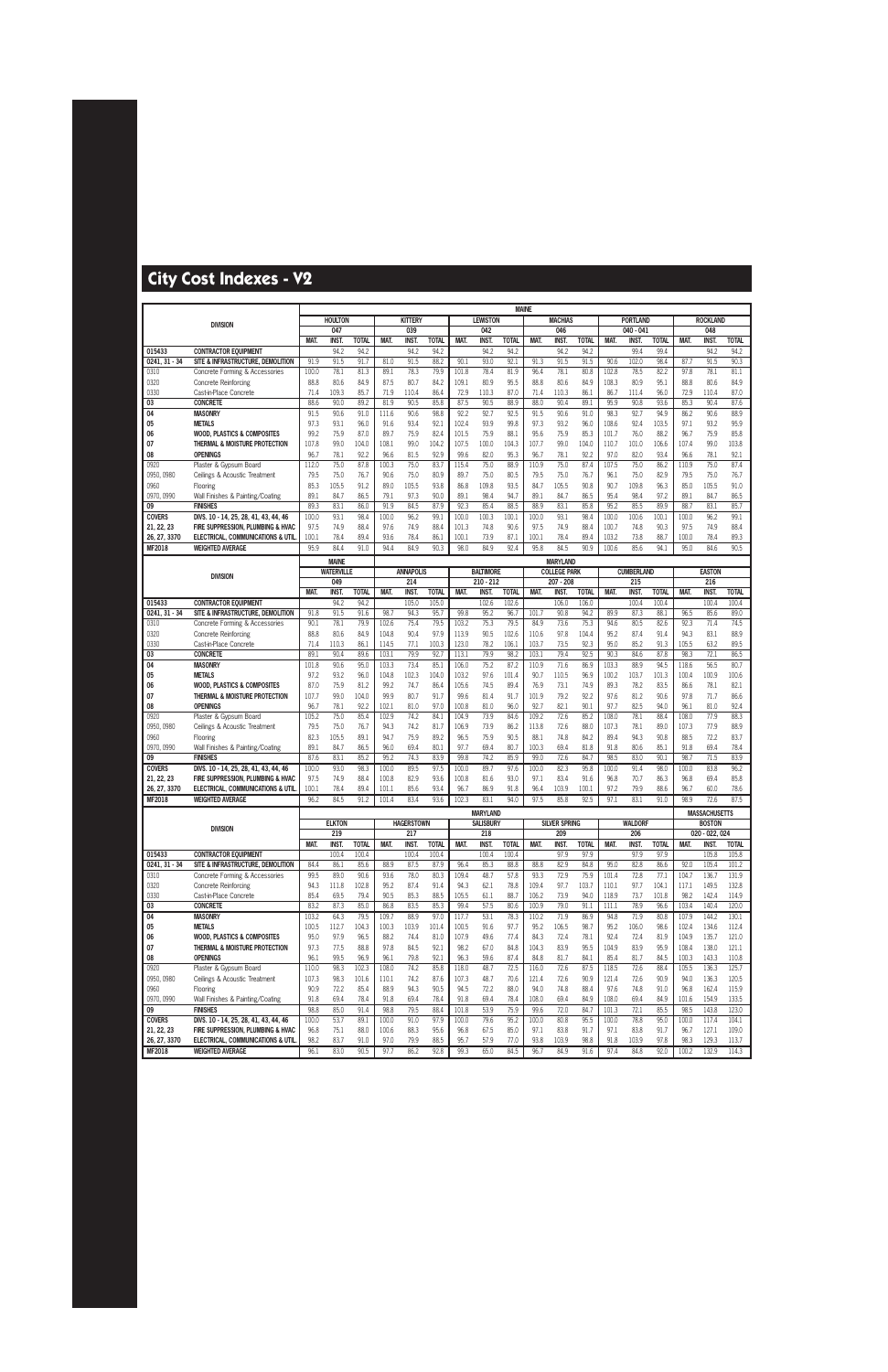|                           |                                                                         |                |                       |                       |                |                       |                       |                |                    | <b>MAINE</b>          |               |                       |                      |               |                                |                      |                |                        |                       |
|---------------------------|-------------------------------------------------------------------------|----------------|-----------------------|-----------------------|----------------|-----------------------|-----------------------|----------------|--------------------|-----------------------|---------------|-----------------------|----------------------|---------------|--------------------------------|----------------------|----------------|------------------------|-----------------------|
|                           | <b>DIVISION</b>                                                         |                | <b>HOULTON</b><br>047 |                       |                | <b>KITTERY</b>        |                       |                | <b>LEWISTON</b>    |                       |               | <b>MACHIAS</b><br>046 |                      |               | <b>PORTLAND</b><br>$040 - 041$ |                      |                | <b>ROCKLAND</b><br>048 |                       |
|                           |                                                                         | MAT.           | <b>INST</b>           | <b>TOTAL</b>          | MAT.           | 039<br><b>INST.</b>   | <b>TOTAL</b>          | MAT.           | 042<br><b>INST</b> | <b>TOTAL</b>          | MAT.          | <b>INST</b>           | <b>TOTAL</b>         | MAT.          | INST.                          | <b>TOTAL</b>         | MAT.           | <b>INST</b>            | <b>TOTAL</b>          |
| 015433                    | <b>CONTRACTOR EQUIPMENT</b>                                             |                | 94.2                  | 94.2                  |                | 94.2                  | 94.2                  |                | 94.2               | 94.2                  |               | 94.2                  | 94.2                 |               | 99.4                           | 99.4                 |                | 94.2                   | 94.2                  |
| $0241, 31 - 34$           | SITE & INFRASTRUCTURE, DEMOLITION                                       | 91.9           | 91.5                  | 91.7                  | 81.0           | 91.5                  | 88.2                  | 90.1           | 93.0               | 92.1                  | 91.3          | 91.5                  | 91.5                 | 90.6          | 102.0                          | 98.4                 | 87.7           | 91.5                   | 90.3                  |
| 0310                      | Concrete Forming & Accessories                                          | 100.0          | 78.1                  | 81.3                  | 89.1           | 78.3                  | 79.9                  | 101.8          | 78.4               | 81.9                  | 96.4          | 78.1                  | 80.8                 | 102.8         | 78.5                           | 82.2                 | 97.8           | 78.1                   | 81.1                  |
| 0320                      | <b>Concrete Reinforcing</b>                                             | 88.8           | 80.6                  | 84.9                  | 87.5           | 80.7                  | 84.2                  | 109.1          | 80.9               | 95.5                  | 88.8          | 80.6                  | 84.9                 | 108.3         | 80.9                           | 95.1                 | 88.8           | 80.6                   | 84.9                  |
| 0330                      | Cast-in-Place Concrete                                                  | 71.4           | 109.3                 | 85.7                  | 71.9           | 110.4                 | 86.4                  | 72.9           | 110.3              | 87.0                  | 71.4          | 110.3                 | 86.1                 | 86.7          | 111.4                          | 96.0                 | 72.9           | 110.4                  | 87.0                  |
| 03                        | <b>CONCRETE</b>                                                         | 88.6           | 90.0                  | 89.2                  | 81.9           | 90.5                  | 85.8                  | 87.5           | 90.5               | 88.9                  | 88.0          | 90.4                  | 89.1                 | 95.9          | 90.8                           | 93.6                 | 85.3           | 90.4                   | 87.6                  |
| 04<br>05                  | <b>MASONRY</b><br><b>METALS</b>                                         | 91.5<br>97.3   | 90.6<br>93.1          | 91.0<br>96.0          | 111.6<br>91.6  | 90.6<br>93.4          | 98.8<br>92.1          | 92.2<br>102.4  | 92.7<br>93.9       | 92.5<br>99.8          | 91.5<br>97.3  | 90.6<br>93.2          | 91.0<br>96.0         | 98.3<br>108.6 | 92.7<br>92.4                   | 94.9<br>103.5        | 86.2<br>97.1   | 90.6<br>93.2           | 88.9<br>95.9          |
| 06                        | <b>WOOD, PLASTICS &amp; COMPOSITES</b>                                  | 99.2           | 75.9                  | 87.0                  | 89.7           | 75.9                  | 82.4                  | 101.5          | 75.9               | 88.1                  | 95.6          | 75.9                  | 85.3                 | 101.7         | 76.0                           | 88.2                 | 96.7           | 75.9                   | 85.8                  |
| 07                        | THERMAL & MOISTURE PROTECTION                                           | 107.8          | 99.0                  | 104.0                 | 108.1          | 99.0                  | 104.2                 | 107.5          | 100.0              | 104.3                 | 107.7         | 99.0                  | 104.0                | 110.7         | 101.0                          | 106.6                | 107.4          | 99.0                   | 103.8                 |
| 08                        | <b>OPENINGS</b>                                                         | 96.7           | 78.1                  | 92.2                  | 96.6           | 81.5                  | 92.9                  | 99.6           | 82.0               | 95.3                  | 96.7          | 78.1                  | 92.2                 | 97.0          | 82.0                           | 93.4                 | 96.6           | 78.1                   | 92.1                  |
| 0920                      | Plaster & Gypsum Board                                                  | 112.0          | 75.0                  | 87.8                  | 100.3          | 75.0                  | 83.7                  | 115.4          | 75.0               | 88.9                  | 110.9         | 75.0                  | 87.4                 | 107.5         | 75.0                           | 86.2                 | 110.9          | 75.0                   | 87.4                  |
| 0950, 0980                | Ceilings & Acoustic Treatment                                           | 79.5           | 75.0                  | 76.7                  | 90.6           | 75.0                  | 80.9                  | 89.7           | 75.0               | 80.5                  | 79.5          | 75.0                  | 76.7                 | 96.1          | 75.0                           | 82.9                 | 79.5           | 75.0                   | 76.7                  |
| 0960                      | Flooring                                                                | 85.3           | 105.5                 | 91.2                  | 89.0           | 105.5                 | 93.8                  | 86.8           | 109.8              | 93.5                  | 84.7          | 105.5                 | 90.8                 | 90.7          | 109.8                          | 96.3                 | 85.0           | 105.5                  | 91.0                  |
| 0970, 0990                | Wall Finishes & Painting/Coating                                        | 89.1           | 84.7                  | 86.5<br>86.0          | 79.1           | 97.3                  | 90.0                  | 89.1           | 98.4               | 94.7<br>88.5          | 89.1          | 84.7                  | 86.5<br>85.8         | 95.4          | 98.4                           | 97.2<br>89.9         | 89.1           | 84.7<br>83.1           | 86.5<br>85.7          |
| 09<br><b>COVERS</b>       | <b>FINISHES</b><br>DIVS. 10 - 14, 25, 28, 41, 43, 44, 46                | 89.3<br>100.0  | 83.1<br>93.1          | 98.4                  | 91.9<br>100.0  | 84.5<br>96.2          | 87.9<br>99.1          | 92.3<br>100.0  | 85.4<br>100.3      | 100.1                 | 88.9<br>100.0 | 83.1<br>93.1          | 98.4                 | 95.2<br>100.0 | 85.5<br>100.6                  | 100.1                | 88.7<br>100.0  | 96.2                   | 99.1                  |
| 21, 22, 23                | FIRE SUPPRESSION, PLUMBING & HVAC                                       | 97.5           | 74.9                  | 88.4                  | 97.6           | 74.9                  | 88.4                  | 101.3          | 74.8               | 90.6                  | 97.5          | 74.9                  | 88.4                 | 100.7         | 74.8                           | 90.3                 | 97.5           | 74.9                   | 88.4                  |
| 26, 27, 3370              | ELECTRICAL, COMMUNICATIONS & UTIL                                       | 100.1          | 78.4                  | 89.4                  | 93.6           | 78.4                  | 86.1                  | 100.1          | 73.9               | 87.1                  | 100.1         | 78.4                  | 89.4                 | 103.2         | 73.8                           | 88.7                 | 100.0          | 78.4                   | 89.3                  |
| MF2018                    | <b>WEIGHTED AVERAGE</b>                                                 | 95.9           | 84.4                  | 91.0                  | 94.4           | 84.9                  | 90.3                  | 98.0           | 84.9               | 92.4                  | 95.8          | 84.5                  | 90.9                 | 100.6         | 85.6                           | 94.1                 | 95.0           | 84.6                   | 90.5                  |
|                           |                                                                         |                | <b>MAINE</b>          |                       |                |                       |                       |                |                    |                       |               | <b>MARYLAND</b>       |                      |               |                                |                      |                |                        |                       |
|                           | <b>DIVISION</b>                                                         |                | <b>WATERVILLE</b>     |                       |                | <b>ANNAPOLIS</b>      |                       |                | <b>BALTIMORE</b>   |                       |               | <b>COLLEGE PARK</b>   |                      |               | <b>CUMBERLAND</b>              |                      |                | <b>EASTON</b>          |                       |
|                           |                                                                         |                | 049                   |                       |                | 214                   |                       |                | $210 - 212$        |                       |               | 207 - 208             |                      |               | 215                            |                      |                | 216                    |                       |
|                           |                                                                         | MAT.           | <b>INST.</b>          | <b>TOTAL</b>          | MAT.           | <b>INST</b>           | <b>TOTAL</b>          | MAT.           | <b>INST</b>        | <b>TOTAL</b>          | MAT.          | INST.                 | <b>TOTAL</b>         | MAT.          | <b>INST.</b>                   | <b>TOTAL</b>         | MAT.           | <b>INST</b>            | <b>TOTAL</b>          |
| 015433<br>$0241, 31 - 34$ | <b>CONTRACTOR EQUIPMENT</b><br>SITE & INFRASTRUCTURE. DEMOLITION        | 91.8           | 94.2<br>91.5          | 94.2<br>91.6          | 98.7           | 105.0<br>94.3         | 105.0<br>95.7         | 99.8           | 102.6<br>95.2      | 102.6<br>96.7         | 101.7         | 106.0<br>90.8         | 106.0<br>94.2        | 89.9          | 100.4<br>87.3                  | 100.4<br>88.1        | 96.5           | 100.4<br>85.6          | 100.4<br>89.0         |
| 0310                      | Concrete Forming & Accessories                                          | 90.1           | 78.1                  | 79.9                  | 102.6          | 75.4                  | 79.5                  | 103.2          | 75.3               | 79.5                  | 84.9          | 73.6                  | 75.3                 | 94.6          | 80.5                           | 82.6                 | 92.3           | 71.4                   | 74.5                  |
| 0320                      | <b>Concrete Reinforcing</b>                                             | 88.8           | 80.6                  | 84.9                  | 104.8          | 90.4                  | 97.9                  | 113.9          | 90.5               | 102.6                 | 110.6         | 97.8                  | 104.4                | 95.2          | 87.4                           | 91.4                 | 94.3           | 83.1                   | 88.9                  |
| 0330                      | Cast-in-Place Concrete                                                  | 71.4           | 110.3                 | 86.1                  | 114.5          | 77.1                  | 100.3                 | 123.0          | 78.2               | 106.1                 | 103.7         | 73.5                  | 92.3                 | 95.0          | 85.2                           | 91.3                 | 105.5          | 63.2                   | 89.5                  |
| 03                        | <b>CONCRETE</b>                                                         | 89.1           | 90.4                  | 89.6                  | 103.1          | 79.9                  | 92.7                  | 113.1          | 79.9               | 98.2                  | 103.1         | 79.4                  | 92.5                 | 90.3          | 84.6                           | 87.8                 | 98.3           | 72.1                   | 86.5                  |
| 04                        | <b>MASONRY</b>                                                          | 101.8          | 90.6                  | 95.0                  | 103.3          | 73.4                  | 85.1                  | 106.0          | 75.2               | 87.2                  | 110.9         | 71.6                  | 86.9                 | 103.3         | 88.9                           | 94.5                 | 118.6          | 56.5                   | 80.7                  |
| 05                        | <b>METALS</b>                                                           | 97.2<br>87.0   | 93.2<br>75.9          | 96.0                  | 104.8<br>99.2  | 102.3<br>74.7         | 104.0                 | 103.2<br>105.6 | 97.6<br>74.5       | 101.4<br>89.4         | 90.7<br>76.9  | 110.5<br>73.1         | 96.9<br>74.9         | 100.2<br>89.3 | 103.7<br>78.2                  | 101.3<br>83.5        | 100.4          | 100.9<br>78.1          | 100.6<br>82.1         |
| 06<br>07                  | <b>WOOD, PLASTICS &amp; COMPOSITES</b><br>THERMAL & MOISTURE PROTECTION | 107.7          | 99.0                  | 81.2<br>104.0         | 99.9           | 80.7                  | 86.4<br>91.7          | 99.6           | 81.4               | 91.7                  | 101.9         | 79.2                  | 92.2                 | 97.6          | 81.2                           | 90.6                 | 86.6<br>97.8   | 71.7                   | 86.6                  |
| 08                        | <b>OPENINGS</b>                                                         | 96.7           | 78.1                  | 92.2                  | 102.1          | 81.0                  | 97.0                  | 100.8          | 81.0               | 96.0                  | 92.7          | 82.1                  | 90.1                 | 97.7          | 82.5                           | 94.0                 | 96.1           | 81.0                   | 92.4                  |
| 0920                      | Plaster & Gypsum Board                                                  | 105.2          | 75.0                  | 85.4                  | 102.9          | 74.2                  | 84.1                  | 104.9          | 73.9               | 84.6                  | 109.2         | 72.6                  | 85.2                 | 108.0         | 78.1                           | 88.4                 | 108.0          | 77.9                   | 88.3                  |
| 0950, 0980                | Ceilings & Acoustic Treatment                                           | 79.5           | 75.0                  | 76.7                  | 94.3           | 74.2                  | 81.7                  | 106.9          | 73.9               | 86.2                  | 113.8         | 72.6                  | 88.0                 | 107.3         | 78.1                           | 89.0                 | 107.3          | 77.9                   | 88.9                  |
| 0960                      | Flooring                                                                | 82.3           | 105.5                 | 89.1                  | 94.7           | 75.9                  | 89.2                  | 96.5           | 75.9               | 90.5                  | 88.1          | 74.8                  | 84.2                 | 89.4          | 94.3                           | 90.8                 | 88.5           | 72.2                   | 83.7                  |
| 0970, 0990                | Wall Finishes & Painting/Coating                                        | 89.1           | 84.7                  | 86.5                  | 96.0           | 69.4                  | 80.1                  | 97.7           | 69.4               | 80.7                  | 100.3         | 69.4                  | 81.8                 | 91.8          | 80.6                           | 85.1                 | 91.8           | 69.4                   | 78.4                  |
| 09<br><b>COVERS</b>       | <b>FINISHES</b><br>DIVS. 10 - 14, 25, 28, 41, 43, 44, 46                | 87.6<br>100.0  | 83.1<br>93.0          | 85.2<br>98.3          | 95.2<br>100.0  | 74.3<br>89.5          | 83.9<br>97.5          | 99.8<br>100.0  | 74.2<br>89.7       | 85.9<br>97.6          | 99.0<br>100.0 | 72.6<br>82.3          | 84.7<br>95.8         | 98.5<br>100.0 | 83.0<br>91.4                   | 90.1<br>98.0         | 98.7<br>100.0  | 71.5<br>83.8           | 83.9<br>96.2          |
| 21, 22, 23                | FIRE SUPPRESSION. PLUMBING & HVAC                                       | 97.5           | 74.9                  | 88.4                  | 100.8          | 82.9                  | 93.6                  | 100.8          | 81.6               | 93.0                  | 97.1          | 83.4                  | 91.6                 | 96.8          | 70.7                           | 86.3                 | 96.8           | 69.4                   | 85.8                  |
| 26, 27, 3370              | ELECTRICAL, COMMUNICATIONS & UTIL                                       | 100.1          | 78.4                  | 89.4                  | 101.1          | 85.6                  | 93.4                  | 96.7           | 86.9               | 91.8                  | 96.4          | 103.9                 | 100.1                | 97.2          | 79.9                           | 88.6                 | 96.7           | 60.0                   | 78.6                  |
| MF2018                    | <b>WEIGHTED AVERAGE</b>                                                 | 96.2           | 84.5                  | 91.2                  | 101.4          | 83.4                  | 93.6                  | 102.3          | 83.1               | 94.0                  | 97.5          | 85.8                  | 92.5                 | 97.1          | 83.1                           | 91.0                 | 98.9           | 72.6                   | 87.5                  |
|                           |                                                                         |                |                       |                       |                |                       |                       |                | <b>MARYLAND</b>    |                       |               |                       |                      |               |                                |                      |                | <b>MASSACHUSETTS</b>   |                       |
|                           | <b>DIVISION</b>                                                         |                | <b>ELKTON</b>         |                       |                | <b>HAGERSTOWN</b>     |                       |                | <b>SALISBURY</b>   |                       |               | <b>SILVER SPRING</b>  |                      |               | <b>WALDORF</b>                 |                      |                | <b>BOSTON</b>          |                       |
|                           |                                                                         |                | 219                   |                       |                | 217                   |                       |                | 218                |                       |               | 209                   |                      |               | 206                            |                      |                | 020 - 022, 024         |                       |
| 015433                    | <b>CONTRACTOR EQUIPMENT</b>                                             | MAT.           | <b>INST.</b><br>100.4 | <b>TOTAL</b><br>100.4 | MAT.           | <b>INST.</b><br>100.4 | <b>TOTAL</b><br>100.4 | MAT.           | INST.<br>100.4     | <b>TOTAL</b><br>100.4 | MAT.          | INST.<br>97.9         | <b>TOTAL</b><br>97.9 | MAT.          | INST.<br>97.9                  | <b>TOTAL</b><br>97.9 | MAT.           | <b>INST.</b><br>105.8  | <b>TOTAL</b><br>105.8 |
| $0241, 31 - 34$           | SITE & INFRASTRUCTURE, DEMOLITION                                       | 84.4           | 86.1                  | 85.6                  | 88.9           | 87.5                  | 87.9                  | 96.4           | 85.3               | 88.8                  | 88.8          | 82.9                  | 84.8                 | 95.0          | 82.8                           | 86.6                 | 92.0           | 105.4                  | 101.2                 |
| 0310                      | Concrete Forming & Accessories                                          | 99.5           | 89.0                  | 90.6                  | 93.6           | 78.0                  | 80.3                  | 109.4          | 48.7               | 57.8                  | 93.3          | 72.9                  | 75.9                 | 101.4         | 72.8                           | 77.1                 | 104.7          | 136.7                  | 131.9                 |
| 0320                      | <b>Concrete Reinforcing</b>                                             | 94.3           | 111.8                 | 102.8                 | 95.2           | 87.4                  | 91.4                  | 94.3           | 62.1               | 78.8                  | 109.4         | 97.7                  | 103.7                | 110.1         | 97.7                           | 104.1                | 117.1          | 149.5                  | 132.8                 |
| 0330                      | Cast-in-Place Concrete                                                  | 85.4           | 69.5                  | 79.4                  | 90.5           | 85.3                  | 88.5                  | 105.5          | 61.1               | 88.7                  | 106.2         | 73.9                  | 94.0                 | 118.9         | 73.7                           | 101.8                | 98.2           | 142.4                  | 114.9                 |
| 03                        | <b>CONCRETE</b>                                                         | 83.2           | 87.3                  | 85.0                  | 86.8           | 83.5                  | 85.3                  | 99.4           | 57.5               | 80.6                  | 100.9         | 79.0                  | 91.1                 | 111.1         | 78.9<br>71.9                   | 96.6                 | 103.4          | 140.4                  | 120.0<br>130.1        |
| 04<br>05                  | <b>MASONRY</b><br><b>METALS</b>                                         | 103.2<br>100.5 | 64.3<br>112.7         | 79.5<br>104.3         | 109.7<br>100.3 | 88.9<br>103.9         | 97.0<br>101.4         | 117.7<br>100.5 | 53.1<br>91.6       | 78.3<br>97.7          | 110.2<br>95.2 | 71.9<br>106.5         | 86.9<br>98.7         | 94.8<br>95.2  | 106.0                          | 80.8<br>98.6         | 107.9<br>102.4 | 144.2<br>134.6         | 112.4                 |
| 06                        | <b>WOOD, PLASTICS &amp; COMPOSITES</b>                                  | 95.0           | 97.9                  | 96.5                  | 88.2           | 74.4                  | 81.0                  | 107.9          | 49.6               | 77.4                  | 84.3          | 72.4                  | 78.1                 | 92.4          | 72.4                           | 81.9                 | 104.9          | 135.7                  | 121.0                 |
| 07                        | THERMAL & MOISTURE PROTECTION                                           | 97.3           | 77.5                  | 88.8                  | 97.8           | 84.5                  | 92.1                  | 98.2           | 67.0               | 84.8                  | 104.3         | 83.9                  | 95.5                 | 104.9         | 83.9                           | 95.9                 | 108.4          | 138.0                  | 121.1                 |
| 08                        | <b>OPENINGS</b>                                                         | 96.1           | 99.5                  | 96.9                  | 96.1           | 79.8                  | 92.1                  | 96.3           | 59.6               | 87.4                  | 84.8          | 81.7                  | 84.1                 | 85.4          | 81.7                           | 84.5                 | 100.3          | 143.3                  | 110.8                 |
| 0920                      | Plaster & Gypsum Board                                                  | 110.0          | 98.3                  | 102.3                 | 108.0          | 74.2                  | 85.8                  | 118.0          | 48.7               | 72.5                  | 116.0         | 72.6                  | 87.5                 | 118.5         | 72.6                           | 88.4                 | 105.5          | 136.3                  | 125.7                 |
| 0950, 0980                | Ceilings & Acoustic Treatment                                           | 107.3          | 98.3                  | 101.6                 | 110.1          | 74.2                  | 87.6                  | 107.3          | 48.7               | 70.6                  | 121.4         | 72.6                  | 90.9                 | 121.4         | 72.6                           | 90.9                 | 94.0           | 136.3                  | 120.5                 |
| 0960                      | Flooring                                                                | 90.9<br>91.8   | 72.2<br>69.4          | 85.4<br>78.4          | 88.9<br>91.8   | 94.3<br>69.4          | 90.5<br>78.4          | 94.5<br>91.8   | 72.2<br>69.4       | 88.0<br>78.4          | 94.0          | 74.8<br>69.4          | 88.4<br>84.9         | 97.6<br>108.0 | 74.8<br>69.4                   | 91.0<br>84.9         | 96.8           | 162.4<br>154.9         | 115.9<br>133.5        |
| 0970, 0990<br>09          | Wall Finishes & Painting/Coating<br><b>FINISHES</b>                     | 98.8           | 85.0                  | 91.4                  | 98.8           | 79.5                  | 88.4                  | 101.8          | 53.9               | 75.9                  | 108.0<br>99.6 | 72.0                  | 84.7                 | 101.3         | 72.1                           | 85.5                 | 101.6<br>98.5  | 143.8                  | 123.0                 |
| <b>COVERS</b>             | DIVS. 10 - 14, 25, 28, 41, 43, 44, 46                                   | 100.0          | 53.7                  | 89.1                  | 100.0          | 91.0                  | 97.9                  | 100.0          | 79.6               | 95.2                  | 100.0         | 80.8                  | 95.5                 | 100.0         | 78.8                           | 95.0                 | 100.0          | 117.4                  | 104.1                 |
| 21, 22, 23                | FIRE SUPPRESSION, PLUMBING & HVAC                                       | 96.8           | 75.1                  | 88.0                  | 100.6          | 88.3                  | 95.6                  | 96.8           | 67.5               | 85.0                  | 97.1          | 83.8                  | 91.7                 | 97.1          | 83.8                           | 91.7                 | 96.7           | 127.1                  | 109.0                 |
| 26, 27, 3370              | ELECTRICAL, COMMUNICATIONS & UTIL.                                      | 98.2           | 83.7                  | 91.0                  | 97.0           | 79.9                  | 88.5                  | 95.7           | 57.9               | 77.0                  | 93.8          | 103.9                 | 98.8                 | 91.8          | 103.9                          | 97.8                 | 98.3           | 129.3                  | 113.7                 |
| <b>MF2018</b>             | <b>WEIGHTED AVERAGE</b>                                                 | 96.1           | 83.0                  | 90.5                  | 97.7           | 86.2                  | 92.8                  | 99.3           | 65.0               | 84.5                  | 96.7          | 84.9                  | 91.6                 | 97.4          | 84.8                           | 92.0                 | 100.2          | 132.9                  | 114.3                 |
|                           |                                                                         |                |                       |                       |                |                       |                       |                |                    |                       |               |                       |                      |               |                                |                      |                |                        |                       |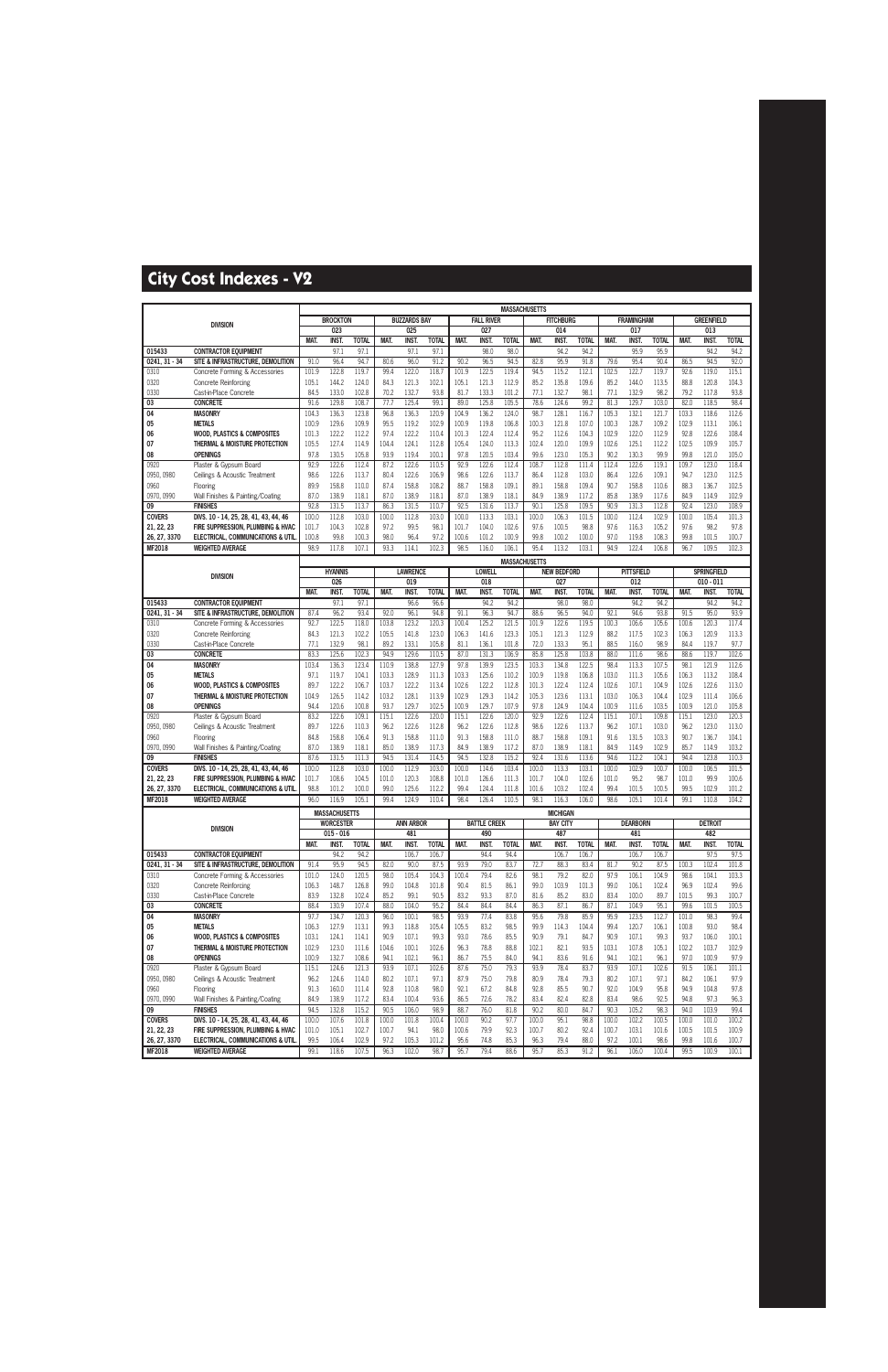|                               |                                                                            |                |                       |                |                |                        |                |                |                      | <b>MASSACHUSETTS</b> |                |                           |                      |                |                          |                |                |                                   |                |
|-------------------------------|----------------------------------------------------------------------------|----------------|-----------------------|----------------|----------------|------------------------|----------------|----------------|----------------------|----------------------|----------------|---------------------------|----------------------|----------------|--------------------------|----------------|----------------|-----------------------------------|----------------|
|                               | <b>DIVISION</b>                                                            |                | <b>BROCKTON</b>       |                |                | <b>BUZZARDS BAY</b>    |                |                | <b>FALL RIVER</b>    |                      |                | <b>FITCHBURG</b>          |                      |                | <b>FRAMINGHAM</b>        |                |                | <b>GREENFIELD</b>                 |                |
|                               |                                                                            |                | 023                   |                |                | 025                    |                |                | 027                  |                      |                | 014                       |                      |                | 017                      |                |                | 013                               |                |
|                               |                                                                            | MAT.           | <b>INST.</b>          | <b>TOTAL</b>   | MAT.           | <b>INST</b>            | <b>TOTAL</b>   | MAT.           | <b>INST</b>          | <b>TOTAL</b>         | MAT.           | <b>INST</b>               | <b>TOTAL</b><br>94.2 | MAT.           | <b>INST.</b><br>95.9     | <b>TOTAL</b>   | MAT.           | <b>INST.</b>                      | <b>TOTAL</b>   |
| 015433<br>$0241, 31 - 34$     | <b>CONTRACTOR EQUIPMENT</b><br>SITE & INFRASTRUCTURE, DEMOLITION           | 91.0           | 97.1<br>96.4          | 97.1<br>94.7   | 80.6           | 97.1<br>96.0           | 97.1<br>91.2   | 90.2           | 98.0<br>96.5         | 98.0<br>94.5         | 82.8           | 94.2<br>95.9              | 91.8                 | 79.6           | 95.4                     | 95.9<br>90.4   | 86.5           | 94.2<br>94.5                      | 94.2<br>92.0   |
| 0310                          | Concrete Forming & Accessories                                             | 101.9          | 122.8                 | 119.7          | 99.4           | 122.0                  | 118.7          | 101.9          | 122.5                | 119.4                | 94.5           | 115.2                     | 112.1                | 102.5          | 122.7                    | 119.7          | 92.6           | 119.0                             | 115.1          |
| 0320                          | <b>Concrete Reinforcing</b>                                                | 105.1          | 144.2                 | 124.0          | 84.3           | 121.3                  | 102.1          | 105.1          | 121.3                | 112.9                | 85.2           | 135.8                     | 109.6                | 85.2           | 144.0                    | 113.5          | 88.8           | 120.8                             | 104.3          |
| 0330                          | Cast-in-Place Concrete                                                     | 84.5           | 133.0                 | 102.8          | 70.2           | 132.7                  | 93.8           | 81.7           | 133.3                | 101.2                | 77.1           | 132.7                     | 98.1                 | 77.1           | 132.9                    | 98.2           | 79.2           | 117.8                             | 93.8           |
| 03                            | <b>CONCRETE</b>                                                            | 91.6           | 129.8                 | 108.7          | 77.7           | 125.4                  | 99.1           | 89.0           | 125.8                | 105.5                | 78.6           | 124.6                     | 99.2                 | 81.3           | 129.7                    | 103.0          | 82.0           | 118.5                             | 98.4           |
| 04                            | <b>MASONRY</b>                                                             | 104.3          | 136.3                 | 123.8          | 96.8           | 136.3                  | 120.9          | 104.9          | 136.2                | 124.0                | 98.7           | 128.1                     | 116.7                | 105.3          | 132.1                    | 121.7          | 103.3          | 118.6                             | 112.6          |
| 05                            | <b>METALS</b>                                                              | 100.9          | 129.6                 | 109.9          | 95.5           | 119.2                  | 102.9          | 100.9          | 119.8                | 106.8                | 100.3          | 121.8                     | 107.0                | 100.3          | 128.7                    | 109.2          | 102.9          | 113.1                             | 106.1          |
| 06                            | <b>WOOD, PLASTICS &amp; COMPOSITES</b>                                     | 101.3          | 122.2                 | 112.2          | 97.4           | 122.2                  | 110.4          | 101.3          | 122.4                | 112.4                | 95.2           | 112.6                     | 104.3                | 102.9          | 122.0                    | 112.9          | 92.8           | 122.6                             | 108.4          |
| 07                            | THERMAL & MOISTURE PROTECTION                                              | 105.5          | 127.4                 | 114.9          | 104.4          | 124.1                  | 112.8          | 105.4          | 124.0                | 113.3                | 102.4          | 120.0                     | 109.9                | 102.6          | 125.1                    | 112.2          | 102.5          | 109.9                             | 105.7          |
| 08                            | <b>OPENINGS</b>                                                            | 97.8           | 130.5                 | 105.8          | 93.9           | 119.4                  | 100.1          | 97.8           | 120.5                | 103.4                | 99.6           | 123.0                     | 105.3                | 90.2           | 130.3                    | 99.9           | 99.8           | 121.0                             | 105.0          |
| 0920                          | Plaster & Gypsum Board                                                     | 92.9           | 122.6                 | 112.4          | 87.2           | 122.6                  | 110.5          | 92.9           | 122.6                | 112.4                | 108.7          | 112.8                     | 111.4                | 112.4          | 122.6                    | 119.1          | 109.7          | 123.0                             | 118.4          |
| 0950, 0980                    | Ceilings & Acoustic Treatment                                              | 98.6           | 122.6                 | 113.7          | 80.4           | 122.6                  | 106.9          | 98.6           | 122.6                | 113.7                | 86.4           | 112.8                     | 103.0                | 86.4           | 122.6                    | 109.1          | 94.7           | 123.0                             | 112.5          |
| 0960                          | Flooring                                                                   | 89.9           | 158.8                 | 110.0          | 87.4           | 158.8                  | 108.2          | 88.7           | 158.8                | 109.1                | 89.1           | 158.8                     | 109.4                | 90.7           | 158.8                    | 110.6          | 88.3           | 136.7                             | 102.5          |
| 0970, 0990                    | Wall Finishes & Painting/Coating                                           | 87.0           | 138.9                 | 118.1          | 87.0           | 138.9                  | 118.1          | 87.0           | 138.9                | 118.1                | 84.9           | 138.9                     | 117.2                | 85.8           | 138.9                    | 117.6          | 84.9           | 114.9                             | 102.9          |
| 09                            | <b>FINISHES</b>                                                            | 92.8           | 131.5                 | 113.7          | 86.3           | 131.5                  | 110.7          | 92.5           | 131.6                | 113.7                | 90.1           | 125.8                     | 109.5                | 90.9           | 131.3                    | 112.8          | 92.4           | 123.0                             | 108.9          |
| <b>COVERS</b>                 | DIVS. 10 - 14, 25, 28, 41, 43, 44, 46                                      | 100.0          | 112.8                 | 103.0          | 100.0          | 112.8                  | 103.0          | 100.0          | 113.3                | 103.1                | 100.0          | 106.3                     | 101.5                | 100.0          | 112.4                    | 102.9          | 100.0          | 105.4                             | 101.3          |
| 21, 22, 23                    | FIRE SUPPRESSION, PLUMBING & HVAC                                          | 101.7          | 104.3                 | 102.8          | 97.2           | 99.5                   | 98.1           | 101.7          | 104.0                | 102.6                | 97.6           | 100.5                     | 98.8                 | 97.6           | 116.3                    | 105.2          | 97.6<br>99.8   | 98.2<br>101.5                     | 97.8           |
| 26, 27, 3370<br><b>MF2018</b> | ELECTRICAL, COMMUNICATIONS & UTIL<br><b>WEIGHTED AVERAGE</b>               | 100.8<br>98.9  | 99.8<br>117.8         | 100.3<br>107.1 | 98.0<br>93.3   | 96.4<br>114.1          | 97.2<br>102.3  | 100.6<br>98.5  | 101.2<br>116.0       | 100.9<br>106.1       | 99.8<br>95.4   | 100.2<br>113.2            | 100.0<br>103.1       | 97.0<br>94.9   | 119.8<br>122.4           | 108.3<br>106.8 | 96.7           | 109.5                             | 100.7<br>102.3 |
|                               |                                                                            |                |                       |                |                |                        |                |                |                      |                      |                |                           |                      |                |                          |                |                |                                   |                |
|                               |                                                                            |                |                       |                |                |                        |                |                |                      | <b>MASSACHUSETTS</b> |                |                           |                      |                |                          |                |                |                                   |                |
|                               | <b>DIVISION</b>                                                            |                | <b>HYANNIS</b><br>026 |                |                | <b>LAWRENCE</b><br>019 |                |                | <b>LOWELL</b><br>018 |                      |                | <b>NEW BEDFORD</b><br>027 |                      |                | <b>PITTSFIELD</b><br>012 |                |                | <b>SPRINGFIELD</b><br>$010 - 011$ |                |
|                               |                                                                            | MAT.           | INST.                 | <b>TOTAL</b>   | MAT.           | <b>INST.</b>           | <b>TOTAL</b>   | MAT.           | <b>INST</b>          | <b>TOTAL</b>         | MAT.           | <b>INST</b>               | <b>TOTAL</b>         | MAT.           | INST.                    | <b>TOTAL</b>   | MAT.           | INST.                             | <b>TOTAL</b>   |
| 015433                        | <b>CONTRACTOR EQUIPMENT</b>                                                |                | 97.1                  | 97.1           |                | 96.6                   | 96.6           |                | 94.2                 | 94.2                 |                | 98.0                      | 98.0                 |                | 94.2                     | 94.2           |                | 94.2                              | 94.2           |
| 0241.31 - 34                  | SITE & INFRASTRUCTURE, DEMOLITION                                          | 87.4           | 96.2                  | 93.4           | 92.0           | 96.1                   | 94.8           | 91.1           | 96.3                 | 94.7                 | 88.6           | 96.5                      | 94.0                 | 92.1           | 94.6                     | 93.8           | 91.5           | 95.0                              | 93.9           |
| 0310                          | Concrete Forming & Accessories                                             | 92.7           | 122.5                 | 118.0          | 103.8          | 123.2                  | 120.3          | 100.4          | 125.2                | 121.5                | 101.9          | 122.6                     | 119.5                | 100.3          | 106.6                    | 105.6          | 100.6          | 120.3                             | 117.4          |
| 0320                          | <b>Concrete Reinforcing</b>                                                | 84.3           | 121.3                 | 102.2          | 105.5          | 141.8                  | 123.0          | 106.3          | 141.6                | 123.3                | 105.1          | 121.3                     | 112.9                | 88.2           | 117.5                    | 102.3          | 106.3          | 120.9                             | 113.3          |
| 0330                          | Cast-in-Place Concrete                                                     | 77.1           | 132.9                 | 98.1           | 89.2           | 133.1                  | 105.8          | 81.1           | 136.1                | 101.8                | 72.0           | 133.3                     | 95.1                 | 88.5           | 116.0                    | 98.9           | 84.4           | 119.7                             | 97.7           |
| 03                            | <b>CONCRETE</b>                                                            | 83.3           | 125.6                 | 102.3          | 94.9           | 129.6                  | 110.5          | 87.0           | 131.3                | 106.9                | 85.8           | 125.8                     | 103.8                | 88.0           | 111.6                    | 98.6           | 88.6           | 119.7                             | 102.6          |
| 04                            | <b>MASONRY</b>                                                             | 103.4          | 136.3                 | 123.4          | 110.9          | 138.8                  | 127.9          | 97.8           | 139.9                | 123.5                | 103.3          | 134.8                     | 122.5                | 98.4           | 113.3                    | 107.5          | 98.1           | 121.9                             | 112.6          |
| 05                            | <b>METALS</b>                                                              | 97.1           | 119.7                 | 104.1          | 103.3          | 128.9                  | 111.3          | 103.3          | 125.6                | 110.2                | 100.9          | 119.8                     | 106.8                | 103.0          | 111.3                    | 105.6          | 106.3          | 113.2                             | 108.4          |
| 06                            | <b>WOOD, PLASTICS &amp; COMPOSITES</b>                                     | 89.7           | 122.2                 | 106.7          | 103.7          | 122.2                  | 113.4          | 102.6          | 122.2                | 112.8                | 101.3          | 122.4                     | 112.4                | 102.6          | 107.1                    | 104.9          | 102.6          | 122.6                             | 113.0          |
| 07                            | THERMAL & MOISTURE PROTECTION                                              | 104.9          | 126.5                 | 114.2          | 103.2          | 128.1                  | 113.9          | 102.9          | 129.3                | 114.2                | 105.3          | 123.6                     | 113.1                | 103.0          | 106.3                    | 104.4          | 102.9          | 111.4                             | 106.6          |
| 08                            | <b>OPENINGS</b>                                                            | 94.4           | 120.6                 | 100.8          | 93.7           | 129.7                  | 102.5          | 100.9          | 129.7                | 107.9                | 97.8           | 124.9                     | 104.4                | 100.9          | 111.6                    | 103.5          | 100.9          | 121.0                             | 105.8          |
| 0920                          | Plaster & Gypsum Board                                                     | 83.2           | 122.6                 | 109.1          | 115.1          | 122.6                  | 120.0          | 115.1          | 122.6                | 120.0                | 92.9           | 122.6                     | 112.4                | 115.1          | 107.1                    | 109.8          | 115.1          | 123.0                             | 120.3          |
| 0950, 0980<br>0960            | Ceilings & Acoustic Treatment                                              | 89.7<br>84.8   | 122.6<br>158.8        | 110.3<br>106.4 | 96.2<br>91.3   | 122.6<br>158.8         | 112.8<br>111.0 | 96.2<br>91.3   | 122.6<br>158.8       | 112.8<br>111.0       | 98.6<br>88.7   | 122.6<br>158.8            | 113.7<br>109.1       | 96.2<br>91.6   | 107.1<br>131.5           | 103.0<br>103.3 | 96.2<br>90.7   | 123.0<br>136.7                    | 113.0<br>104.1 |
| 0970, 0990                    | Flooring<br>Wall Finishes & Painting/Coating                               | 87.0           | 138.9                 | 118.1          | 85.0           | 138.9                  | 117.3          | 84.9           | 138.9                | 117.2                | 87.0           | 138.9                     | 118.1                | 84.9           | 114.9                    | 102.9          | 85.7           | 114.9                             | 103.2          |
| 09                            | <b>FINISHES</b>                                                            | 87.6           | 131.5                 | 111.3          | 94.5           | 131.4                  | 114.5          | 94.5           | 132.8                | 115.2                | 92.4           | 131.6                     | 113.6                | 94.6           | 112.2                    | 104.1          | 94.4           | 123.8                             | 110.3          |
| <b>COVERS</b>                 | DIVS. 10 - 14, 25, 28, 41, 43, 44, 46                                      | 100.0          | 112.8                 | 103.0          | 100.0          | 112.9                  | 103.0          | 100.0          | 114.6                | 103.4                | 100.0          | 113.3                     | 103.1                | 100.0          | 102.9                    | 100.7          | 100.0          | 106.5                             | 101.5          |
| 21, 22, 23                    | FIRE SUPPRESSION, PLUMBING & HVAC                                          | 101.7          | 108.6                 | 104.5          | 101.0          | 120.3                  | 108.8          | 101.0          | 126.6                | 111.3                | 101.7          | 104.0                     | 102.6                | 101.0          | 95.2                     | 98.7           | 101.0          | 99.9                              | 100.6          |
| 26, 27, 3370                  | ELECTRICAL, COMMUNICATIONS & UTIL                                          | 98.8           | 101.2                 | 100.0          | 99.0           | 125.6                  | 112.2          | 99.4           | 124.4                | 111.8                | 101.6          | 103.2                     | 102.4                | 99.4           | 101.5                    | 100.5          | 99.5           | 102.9                             | 101.2          |
| MF2018                        | <b>WEIGHTED AVERAGE</b>                                                    | 96.0           | 116.9                 | 105.1          | 99.4           | 124.9                  | 110.4          | 98.4           | 126.4                | 110.5                | 98.1           | 116.3                     | 106.0                | 98.6           | 105.1                    | 101.4          | 99.1           | 110.8                             | 104.2          |
|                               |                                                                            |                | <b>MASSACHUSETTS</b>  |                |                |                        |                |                |                      |                      |                | <b>MICHIGAN</b>           |                      |                |                          |                |                |                                   |                |
|                               | <b>DIVISION</b>                                                            |                | <b>WORCESTER</b>      |                |                | <b>ANN ARBOR</b>       |                |                | <b>BATTLE CREEK</b>  |                      |                | <b>BAY CITY</b>           |                      |                | <b>DEARBORN</b>          |                |                | <b>DETROIT</b>                    |                |
|                               |                                                                            |                | $015 - 016$           |                |                | 481                    |                |                | 490                  |                      |                | 487                       |                      |                | 481                      |                |                | 482                               |                |
|                               |                                                                            | MAT.           | INST.                 | <b>TOTAL</b>   | MAT.           | <b>INST.</b>           | <b>TOTAL</b>   | MAT.           | INST.                | <b>TOTAL</b>         | MAT.           | <b>INST.</b>              | <b>TOTAL</b>         | MAT.           | INST.                    | <b>TOTAL</b>   | MAT.           | INST.                             | <b>TOTAL</b>   |
| 015433<br>$0241, 31 - 34$     | <b>CONTRACTOR EOUIPMENT</b><br>SITE & INFRASTRUCTURE, DEMOLITION           | 91.4           | 94.2<br>95.9          | 94.2<br>94.5   | 82.0           | 106.7<br>90.0          | 106.7<br>87.5  | 93.9           | 94.4<br>79.0         | 94.4<br>83.7         | 72.7           | 106.7<br>88.3             | 106.7<br>83.4        | 81.7           | 106.7<br>90.2            | 106.7<br>87.5  | 100.3          | 97.5<br>102.4                     | 97.5<br>101.8  |
| 0310                          | Concrete Forming & Accessories                                             | 101.0          | 124.0                 | 120.5          | 98.0           | 105.4                  | 104.3          | 100.4          | 79.4                 | 82.6                 | 98.1           | 79.2                      | 82.0                 | 97.9           | 106.1                    | 104.9          | 98.6           | 104.1                             | 103.3          |
| 0320                          | <b>Concrete Reinforcing</b>                                                | 106.3          | 148.7                 | 126.8          | 99.0           | 104.8                  | 101.8          | 90.4           | 81.5                 | 86.1                 | 99.0           | 103.9                     | 101.3                | 99.0           | 106.1                    | 102.4          | 96.9           | 102.4                             | 99.6           |
| 0330                          | Cast-in-Place Concrete                                                     | 83.9           | 132.8                 | 102.4          | 85.2           | 99.1                   | 90.5           | 83.2           | 93.3                 | 87.0                 | 81.6           | 85.2                      | 83.0                 | 83.4           | 100.0                    | 89.7           | 101.5          | 99.3                              | 100.7          |
| 03                            | <b>CONCRETE</b>                                                            | 88.4           | 130.9                 | 107.4          | 88.0           | 104.0                  | 95.2           | 84.4           | 84.4                 | 84.4                 | 86.3           | 87.1                      | 86.7                 | 87.1           | 104.9                    | 95.1           | 99.6           | 101.5                             | 100.5          |
| 04                            | <b>MASONRY</b>                                                             | 97.7           | 134.7                 | 120.3          | 96.0           | 100.1                  | 98.5           | 93.9           | 77.4                 | 83.8                 | 95.6           | 79.8                      | 85.9                 | 95.9           | 123.5                    | 112.7          | 101.0          | 98.3                              | 99.4           |
| 05                            | <b>METALS</b>                                                              | 106.3          | 127.9                 | 113.1          | 99.3           | 118.8                  | 105.4          | 105.5          | 83.2                 | 98.5                 | 99.9           | 114.3                     | 104.4                | 99.4           | 120.7                    | 106.1          | 100.8          | 93.0                              | 98.4           |
| 06                            | <b>WOOD, PLASTICS &amp; COMPOSITES</b>                                     | 103.1          | 124.1                 | 114.1          | 90.9           | 107.1                  | 99.3           | 93.0           | 78.6                 | 85.5                 | 90.9           | 79.1                      | 84.7                 | 90.9           | 107.1                    | 99.3           | 93.7           | 106.0                             | 100.1          |
| 07                            | THERMAL & MOISTURE PROTECTION                                              | 102.9          | 123.0                 | 111.6          | 104.6          | 100.1                  | 102.6          | 96.3           | 78.8                 | 88.8                 | 102.1          | 82.1                      | 93.5                 | 103.1          | 107.8                    | 105.1          | 102.2          | 103.7                             | 102.9          |
| 08                            | <b>OPENINGS</b>                                                            | 100.9          | 132.7                 | 108.6          | 94.1           | 102.1                  | 96.1           | 86.7           | 75.5                 | 84.0                 | 94.1           | 83.6                      | 91.6                 | 94.1           | 102.1                    | 96.1           | 97.0           | 100.9                             | 97.9           |
| 0920                          | Plaster & Gypsum Board                                                     | 115.1          | 124.6                 | 121.3          | 93.9           | 107.1                  | 102.6          | 87.6           | 75.0                 | 79.3                 | 93.9           | 78.4                      | 83.7                 | 93.9           | 107.1                    | 102.6          | 91.5           | 106.1                             | 101.1          |
| 0950, 0980                    | Ceilings & Acoustic Treatment                                              | 96.2           | 124.6                 | 114.0          | 80.2           | 107.1                  | 97.1           | 87.9           | 75.0                 | 79.8                 | 80.9           | 78.4                      | 79.3                 | 80.2           | 107.1                    | 97.1           | 84.2           | 106.1                             | 97.9           |
| 0960                          | Flooring                                                                   | 91.3           | 160.0                 | 111.4          | 92.8           | 110.8                  | 98.0           | 92.1           | 67.2                 | 84.8                 | 92.8           | 85.5                      | 90.7                 | 92.0           | 104.9                    | 95.8           | 94.9           | 104.8                             | 97.8           |
| 0970, 0990                    | Wall Finishes & Painting/Coating                                           | 84.9           | 138.9                 | 117.2          | 83.4           | 100.4                  | 93.6           | 86.5           | 72.6                 | 78.2                 | 83.4           | 82.4                      | 82.8                 | 83.4           | 98.6                     | 92.5           | 94.8           | 97.3                              | 96.3           |
| 09                            | <b>FINISHES</b>                                                            | 94.5           | 132.8                 | 115.2          | 90.5           | 106.0                  | 98.9           | 88.7           | 76.0                 | 81.8                 | 90.2           | 80.0                      | 84.7                 | 90.3           | 105.2                    | 98.3           | 94.0           | 103.9                             | 99.4           |
| <b>COVERS</b><br>21, 22, 23   | DIVS. 10 - 14, 25, 28, 41, 43, 44, 46<br>FIRE SUPPRESSION, PLUMBING & HVAC | 100.0<br>101.0 | 107.6<br>105.1        | 101.8<br>102.7 | 100.0<br>100.7 | 101.8<br>94.1          | 100.4<br>98.0  | 100.0<br>100.6 | 90.2<br>79.9         | 97.7<br>92.3         | 100.0<br>100.7 | 95.1<br>80.2              | 98.8<br>92.4         | 100.0<br>100.7 | 102.2<br>103.1           | 100.5<br>101.6 | 100.0<br>100.5 | 101.0<br>101.5                    | 100.2<br>100.9 |
| 26, 27, 3370                  | ELECTRICAL, COMMUNICATIONS & UTIL                                          | 99.5           | 106.4                 | 102.9          | 97.2           | 105.3                  | 101.2          | 95.6           | 74.8                 | 85.3                 | 96.3           | 79.4                      | 88.0                 | 97.2           | 100.1                    | 98.6           | 99.8           | 101.6                             | 100.7          |
| <b>MF2018</b>                 | <b>WEIGHTED AVERAGE</b>                                                    | 99.1           | 118.6                 | 107.5          | 96.3           | 102.0                  | 98.7           | 95.7           | 79.4                 | 88.6                 | 95.7           | 85.3                      | 91.2                 | 96.1           | 106.0                    | 100.4          | 99.5           | 100.9                             | 100.1          |
|                               |                                                                            |                |                       |                |                |                        |                |                |                      |                      |                |                           |                      |                |                          |                |                |                                   |                |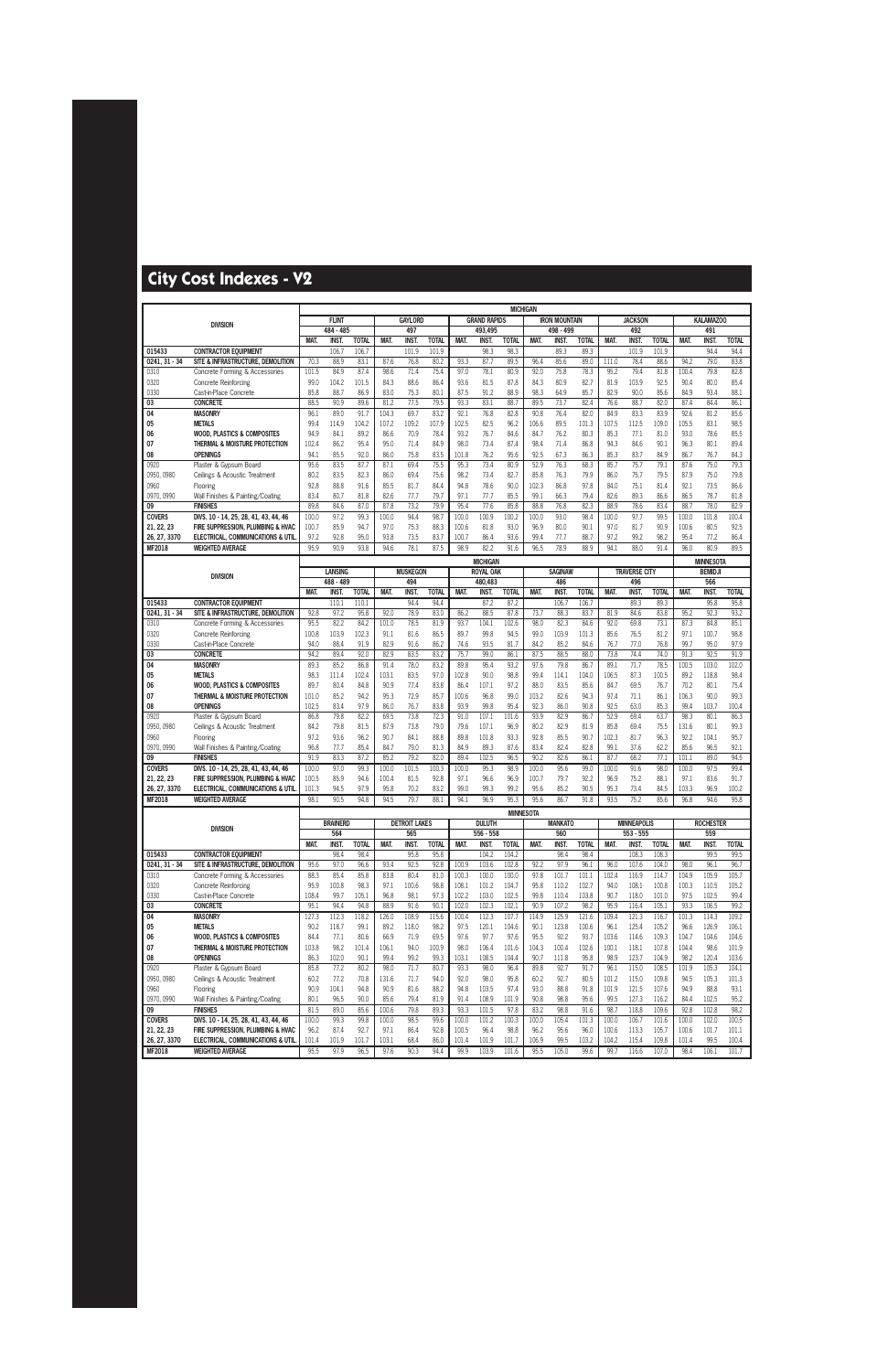|                             |                                                                            |                |                 |              |                |                      |               |               |                     | <b>MICHIGAN</b>  |                |                      |              |               |                      |              |               |                  |              |
|-----------------------------|----------------------------------------------------------------------------|----------------|-----------------|--------------|----------------|----------------------|---------------|---------------|---------------------|------------------|----------------|----------------------|--------------|---------------|----------------------|--------------|---------------|------------------|--------------|
|                             | <b>DIVISION</b>                                                            |                | <b>FLINT</b>    |              |                | <b>GAYLORD</b>       |               |               | <b>GRAND RAPIDS</b> |                  |                | <b>IRON MOUNTAIN</b> |              |               | <b>JACKSON</b>       |              |               | <b>KALAMAZOO</b> |              |
|                             |                                                                            |                | 484 - 485       |              |                | 497                  |               |               | 493,495             |                  |                | 498 - 499            |              |               | 492                  |              |               | 491              |              |
|                             |                                                                            | MAT.           | <b>INST.</b>    | <b>TOTAL</b> | MAT.           | <b>INST</b>          | <b>TOTAL</b>  | MAT.          | <b>INST</b>         | <b>TOTAL</b>     | MAT.           | <b>INST.</b>         | <b>TOTAL</b> | MAT.          | <b>INST.</b>         | <b>TOTAL</b> | MAT.          | <b>INST</b>      | <b>TOTAL</b> |
| 015433                      | <b>CONTRACTOR EQUIPMENT</b>                                                |                | 106.7           | 106.7        |                | 101.9                | 101.9         |               | 98.3                | 98.3             |                | 89.3                 | 89.3         |               | 101.9                | 101.9        |               | 94.4             | 94.4         |
| $0241, 31 - 34$             | SITE & INFRASTRUCTURE. DEMOLITION                                          | 70.3           | 88.9            | 83.1         | 87.6           | 76.8                 | 80.2          | 93.3          | 87.7                | 89.5             | 96.4           | 85.6                 | 89.0         | 111.0         | 78.4                 | 88.6         | 94.2          | 79.0             | 83.8         |
| 0310                        | Concrete Forming & Accessories                                             | 101.5          | 84.9            | 87.4         | 98.6           | 71.4                 | 75.4          | 97.0          | 78.1                | 80.9             | 92.0           | 75.8                 | 78.3         | 95.2          | 79.4                 | 81.8         | 100.4         | 79.8             | 82.8         |
| 0320                        | Concrete Reinforcing                                                       | 99.0           | 104.2           | 101.5        | 84.3           | 88.6                 | 86.4          | 93.6          | 81.5                | 87.8             | 84.3           | 80.9                 | 82.7         | 81.9          | 103.9                | 92.5         | 90.4          | 80.0             | 85.4         |
| 0330                        | Cast-in-Place Concrete                                                     | 85.8           | 88.7            | 86.9         | 83.0           | 75.3                 | 80.1          | 87.5          | 91.2                | 88.9             | 98.3           | 64.9                 | 85.7         | 82.9          | 90.0                 | 85.6         | 84.9          | 93.4             | 88.1         |
| 03                          | <b>CONCRETE</b>                                                            | 88.5           | 90.9            | 89.6         | 81.2           | 77.5                 | 79.5          | 93.3          | 83.1                | 88.7             | 89.5           | 73.7                 | 82.4         | 76.6          | 88.7                 | 82.0         | 87.4          | 84.4             | 86.1         |
| 04                          | <b>MASONRY</b>                                                             | 96.1           | 89.0            | 91.7         | 104.3          | 69.7                 | 83.2          | 92.1          | 76.8                | 82.8             | 90.8           | 76.4                 | 82.0         | 84.9          | 83.3                 | 83.9         | 92.6          | 81.2             | 85.6         |
| 05                          | <b>METALS</b>                                                              | 99.4           | 114.9           | 104.2        | 107.2          | 109.2                | 107.9         | 102.5         | 82.5                | 96.2             | 106.6          | 89.5                 | 101.3        | 107.5         | 112.5                | 109.0        | 105.5         | 83.1             | 98.5         |
| 06                          | <b>WOOD, PLASTICS &amp; COMPOSITES</b>                                     | 94.9           | 84.1            | 89.2         | 86.6           | 70.9                 | 78.4          | 93.2          | 76.7                | 84.6             | 84.7           | 76.2                 | 80.3         | 85.3          | 77.1                 | 81.0         | 93.0          | 78.6             | 85.5         |
| 07                          | THERMAL & MOISTURE PROTECTION                                              | 102.4          | 86.2            | 95.4         | 95.0           | 71.4                 | 84.9          | 98.0          | 73.4                | 87.4             | 98.4           | 71.4                 | 86.8         | 94.3          | 84.6                 | 90.1         | 96.3          | 80.1             | 89.4         |
| 08<br>0920                  | <b>OPENINGS</b><br>Plaster & Gypsum Board                                  | 94.1<br>95.6   | 85.5<br>83.5    | 92.0<br>87.7 | 86.0<br>87.1   | 75.8<br>69.4         | 83.5<br>75.5  | 101.8<br>95.3 | 76.2<br>73.4        | 95.6<br>80.9     | 92.5<br>52.9   | 67.3<br>76.3         | 86.3<br>68.3 | 85.3<br>85.7  | 83.7<br>75.7         | 84.9<br>79.1 | 86.7<br>87.6  | 76.7<br>75.0     | 84.3<br>79.3 |
| 0950, 0980                  | Ceilings & Acoustic Treatment                                              | 80.2           | 83.5            | 82.3         | 86.0           | 69.4                 | 75.6          | 98.2          | 73.4                | 82.7             | 85.8           | 76.3                 | 79.9         | 86.0          | 75.7                 | 79.5         | 87.9          | 75.0             | 79.8         |
| 0960                        | Flooring                                                                   | 92.8           | 88.8            | 91.6         | 85.5           | 81.7                 | 84.4          | 94.8          | 78.6                | 90.0             | 102.3          | 86.8                 | 97.8         | 84.0          | 75.1                 | 81.4         | 92.1          | 73.5             | 86.6         |
| 0970, 0990                  | Wall Finishes & Painting/Coating                                           | 83.4           | 80.7            | 81.8         | 82.6           | 77.7                 | 79.7          | 97.1          | 77.7                | 85.5             | 99.1           | 66.3                 | 79.4         | 82.6          | 89.3                 | 86.6         | 86.5          | 78.7             | 81.8         |
| 09                          | <b>FINISHES</b>                                                            | 89.8           | 84.6            | 87.0         | 87.8           | 73.2                 | 79.9          | 95.4          | 77.6                | 85.8             | 88.8           | 76.8                 | 82.3         | 88.9          | 78.6                 | 83.4         | 88.7          | 78.0             | 82.9         |
| <b>COVERS</b>               | DIVS. 10 - 14, 25, 28, 41, 43, 44, 46                                      | 100.0          | 97.2            | 99.3         | 100.0          | 94.4                 | 98.7          | 100.0         | 100.9               | 100.2            | 100.0          | 93.0                 | 98.4         | 100.0         | 97.7                 | 99.5         | 100.0         | 101.8            | 100.4        |
| 21, 22, 23                  | FIRE SUPPRESSION, PLUMBING & HVAC                                          | 100.7          | 85.9            | 94.7         | 97.0           | 75.3                 | 88.3          | 100.6         | 81.8                | 93.0             | 96.9           | 80.0                 | 90.1         | 97.0          | 81.7                 | 90.9         | 100.6         | 80.5             | 92.5         |
| 26, 27, 3370                | ELECTRICAL, COMMUNICATIONS & UTIL                                          | 97.2           | 92.8            | 95.0         | 93.8           | 73.5                 | 83.7          | 100.7         | 86.4                | 93.6             | 99.4           | 77.7                 | 88.7         | 97.2          | 99.2                 | 98.2         | 95.4          | 77.2             | 86.4         |
| MF2018                      | <b>WEIGHTED AVERAGE</b>                                                    | 95.9           | 90.9            | 93.8         | 94.6           | 78.1                 | 87.5          | 98.9          | 82.2                | 91.6             | 96.5           | 78.9                 | 88.9         | 94.1          | 88.0                 | 91.4         | 96.0          | 80.9             | 89.5         |
|                             |                                                                            |                |                 |              |                |                      |               |               | <b>MICHIGAN</b>     |                  |                |                      |              |               |                      |              |               | <b>MINNESOTA</b> |              |
|                             |                                                                            |                | <b>LANSING</b>  |              |                | <b>MUSKEGON</b>      |               |               | <b>ROYAL OAK</b>    |                  |                | <b>SAGINAW</b>       |              |               | <b>TRAVERSE CITY</b> |              |               | <b>BEMIDJ</b>    |              |
|                             | <b>DIVISION</b>                                                            |                | 488 - 489       |              |                | 494                  |               |               | 480,483             |                  |                | 486                  |              |               | 496                  |              |               | 566              |              |
|                             |                                                                            | <b>MAT</b>     | INST.           | <b>TOTAL</b> | MAT.           | <b>INST.</b>         | <b>TOTAL</b>  | MAT.          | <b>INST</b>         | <b>TOTAL</b>     | MAT.           | <b>INST.</b>         | <b>TOTAL</b> | MAT.          | <b>INST</b>          | <b>TOTAL</b> | MAT.          | <b>INST</b>      | <b>TOTAL</b> |
| 015433                      | <b>CONTRACTOR EQUIPMENT</b>                                                |                | 110.1           | 110.1        |                | 94.4                 | 94.4          |               | 87.2                | 87.2             |                | 106.7                | 106.7        |               | 89.3                 | 89.3         |               | 95.8             | 95.8         |
| $0241, 31 - 34$             | SITE & INFRASTRUCTURE, DEMOLITION                                          | 92.8           | 97.2            | 95.8         | 92.0           | 78.9                 | 83.0          | 86.2          | 88.5                | 87.8             | 73.7           | 88.3                 | 83.7         | 81.9          | 84.6                 | 83.8         | 95.2          | 92.3             | 93.2         |
| 0310                        | Concrete Forming & Accessories                                             | 95.5           | 82.2            | 84.2         | 101.0          | 78.5                 | 81.9          | 93.7          | 104.1               | 102.6            | 98.0           | 82.3                 | 84.6         | 92.0          | 69.8                 | 73.1         | 87.3          | 84.8             | 85.1         |
| 0320                        | Concrete Reinforcing                                                       | 100.8          | 103.9           | 102.3        | 91.1           | 81.6                 | 86.5          | 89.7          | 99.8                | 94.5             | 99.0           | 103.9                | 101.3        | 85.6          | 76.5                 | 81.2         | 97.1          | 100.7            | 98.8         |
| 0330                        | Cast-in-Place Concrete                                                     | 94.0           | 88.4            | 91.9         | 82.9           | 91.6                 | 86.2          | 74.6          | 93.5                | 81.7             | 84.2           | 85.2                 | 84.6         | 76.7          | 77.0                 | 76.8         | 99.7          | 95.0             | 97.9         |
| 03                          | <b>CONCRETE</b>                                                            | 94.2           | 89.4            | 92.0         | 82.9           | 83.5                 | 83.2          | 75.7          | 99.0                | 86.1             | 87.5           | 88.5                 | 88.0         | 73.8          | 74.4                 | 74.0         | 91.3          | 92.5             | 91.9         |
| 04                          | <b>MASONRY</b>                                                             | 89.3           | 85.2            | 86.8         | 91.4           | 78.0                 | 83.2          | 89.8          | 95.4                | 93.2             | 97.6           | 79.8                 | 86.7         | 89.1          | 71.7                 | 78.5         | 100.5         | 103.0            | 102.0        |
| 05                          | <b>METALS</b>                                                              | 98.3           | 111.4           | 102.4        | 103.1          | 83.5                 | 97.0          | 102.8         | 90.0                | 98.8             | 99.4           | 114.1                | 104.0        | 106.5         | 87.3                 | 100.5        | 89.2          | 118.8            | 98.4         |
| 06                          | <b>WOOD, PLASTICS &amp; COMPOSITES</b>                                     | 89.7           | 80.4            | 84.8         | 90.9           | 77.4                 | 83.8          | 86.4          | 107.1               | 97.2             | 88.0           | 83.5                 | 85.6         | 84.7          | 69.5                 | 76.7         | 70.2          | 80.1             | 75.4         |
| 07                          | THERMAL & MOISTURE PROTECTION                                              | 101.0          | 85.2            | 94.2         | 95.3           | 72.9                 | 85.7          | 100.6         | 96.8                | 99.0             | 103.2          | 82.6                 | 94.3         | 97.4          | 71.1                 | 86.1         | 106.3         | 90.0             | 99.3         |
| 08                          | <b>OPENINGS</b>                                                            | 102.5          | 83.4            | 97.9         | 86.0           | 76.7                 | 83.8          | 93.9          | 99.8                | 95.4             | 92.3           | 86.0                 | 90.8         | 92.5          | 63.0                 | 85.3         | 99.4          | 103.7            | 100.4        |
| 0920                        | Plaster & Gypsum Board                                                     | 86.8           | 79.8            | 82.2         | 69.5           | 73.8                 | 72.3          | 91.0          | 107.1               | 101.6            | 93.9           | 82.9                 | 86.7         | 52.9          | 69.4                 | 63.7         | 98.3          | 80.1             | 86.3         |
| 0950, 0980                  | Ceilings & Acoustic Treatment                                              | 84.2           | 79.8            | 81.5         | 87.9           | 73.8                 | 79.0          | 79.6          | 107.1               | 96.9             | 80.2           | 82.9                 | 81.9         | 85.8          | 69.4                 | 75.5         | 131.6         | 80.1             | 99.3         |
| 0960                        | Flooring                                                                   | 97.2           | 93.6            | 96.2         | 90.7           | 84.1                 | 88.8          | 89.8          | 101.8               | 93.3             | 92.8           | 85.5                 | 90.7         | 102.3         | 81.7                 | 96.3         | 92.2          | 104.1            | 95.7         |
| 0970, 0990                  | Wall Finishes & Painting/Coating                                           | 96.8           | 77.7            | 85.4         | 84.7           | 79.0                 | 81.3          | 84.9          | 89.3                | 87.6             | 83.4           | 82.4                 | 82.8         | 99.1          | 37.6                 | 62.2         | 85.6          | 96.5             | 92.1         |
| 09                          | <b>FINISHES</b>                                                            | 91.9           | 83.3<br>97.0    | 87.2         | 85.2           | 79.2                 | 82.0<br>100.3 | 89.4          | 102.5<br>95.3       | 96.5<br>98.9     | 90.2           | 82.6<br>95.6         | 86.1<br>99.0 | 87.7<br>100.0 | 68.2<br>91.6         | 77.1<br>98.0 | 101.1         | 89.0<br>97.5     | 94.5<br>99.4 |
| <b>COVERS</b><br>21, 22, 23 | DIVS. 10 - 14, 25, 28, 41, 43, 44, 46<br>FIRE SUPPRESSION. PLUMBING & HVAC | 100.0<br>100.5 | 85.9            | 99.3<br>94.6 | 100.0<br>100.4 | 101.5<br>81.5        | 92.8          | 100.0<br>97.1 | 96.6                | 96.9             | 100.0<br>100.7 | 79.7                 | 92.2         | 96.9          | 75.2                 | 88.1         | 100.0<br>97.1 | 83.6             | 91.7         |
| 26, 27, 3370                | ELECTRICAL, COMMUNICATIONS & UTIL                                          | 101.3          | 94.5            | 97.9         | 95.8           | 70.2                 | 83.2          | 99.0          | 99.3                | 99.2             | 95.6           | 85.2                 | 90.5         | 95.3          | 73.4                 | 84.5         | 103.3         | 96.9             | 100.2        |
| MF2018                      | <b>WEIGHTED AVERAGE</b>                                                    | 98.1           | 90.5            | 94.8         | 94.5           | 79.7                 | 88.1          | 94.1          | 96.9                | 95.3             | 95.6           | 86.7                 | 91.8         | 93.5          | 75.2                 | 85.6         | 96.8          | 94.6             | 95.8         |
|                             |                                                                            |                |                 |              |                |                      |               |               |                     |                  |                |                      |              |               |                      |              |               |                  |              |
|                             |                                                                            |                | <b>BRAINERD</b> |              |                | <b>DETROIT LAKES</b> |               |               | <b>DULUTH</b>       | <b>MINNESOTA</b> |                | <b>MANKATO</b>       |              |               | <b>MINNEAPOLIS</b>   |              |               | <b>ROCHESTER</b> |              |
|                             | <b>DIVISION</b>                                                            |                | 564             |              |                | 565                  |               |               | 556 - 558           |                  |                | 560                  |              |               | 553 - 555            |              |               | 559              |              |
|                             |                                                                            | MAT.           | <b>INST.</b>    | <b>TOTAL</b> | MAT.           | <b>INST.</b>         | <b>TOTAL</b>  | MAT.          | <b>INST.</b>        | <b>TOTAL</b>     | MAT.           | <b>INST.</b>         | <b>TOTAL</b> | MAT.          | INST.                | <b>TOTAL</b> | MAT.          | <b>INST.</b>     | <b>TOTAL</b> |
| 015433                      | <b>CONTRACTOR EQUIPMENT</b>                                                |                | 98.4            | 98.4         |                | 95.8                 | 95.8          |               | 104.2               | 104.2            |                | 98.4                 | 98.4         |               | 108.3                | 108.3        |               | 99.5             | 99.5         |
| $0241, 31 - 34$             | SITE & INFRASTRUCTURE, DEMOLITION                                          | 95.6           | 97.0            | 96.6         | 93.4           | 92.5                 | 92.8          | 100.9         | 103.6               | 102.8            | 92.2           | 97.9                 | 96.1         | 96.0          | 107.6                | 104.0        | 98.0          | 96.1             | 96.7         |
| 0310                        | Concrete Forming & Accessories                                             | 88.3           | 85.4            | 85.8         | 83.8           | 80.4                 | 81.0          | 100.3         | 100.0               | 100.0            | 97.8           | 101.7                | 101.1        | 102.4         | 116.9                | 114.7        | 104.9         | 105.9            | 105.7        |
| 0320                        | <b>Concrete Reinforcing</b>                                                | 95.9           | 100.8           | 98.3         | 97.1           | 100.6                | 98.8          | 108.1         | 101.2               | 104.7            | 95.8           | 110.2                | 102.7        | 94.0          | 108.1                | 100.8        | 100.3         | 110.5            | 105.2        |
| 0330                        | Cast-in-Place Concrete                                                     | 108.4          | 99.7            | 105.1        | 96.8           | 98.1                 | 97.3          | 102.2         | 103.0               | 102.5            | 99.8           | 110.4                | 103.8        | 90.7          | 118.0                | 101.0        | 97.5          | 102.5            | 99.4         |
| 03                          | <b>CONCRETE</b>                                                            | 95.1           | 94.4            | 94.8         | 88.9           | 91.6                 | 90.1          | 102.0         | 102.3               | 102.1            | 90.9           | 107.2                | 98.2         | 95.9          | 116.4                | 105.1        | 93.3          | 106.5            | 99.2         |
| 04                          | <b>MASONRY</b>                                                             | 127.3          | 112.3           | 118.2        | 126.0          | 108.9                | 115.6         | 100.4         | 112.3               | 107.7            | 114.9          | 125.9                | 121.6        | 109.4         | 121.3                | 116.7        | 101.3         | 114.3            | 109.2        |
| 05                          | <b>METALS</b>                                                              | 90.2           | 118.7           | 99.1         | 89.2           | 118.0                | 98.2          | 97.5          | 120.1               | 104.6            | 90.1           | 123.8                | 100.6        | 96.1          | 125.4                | 105.2        | 96.6          | 126.9            | 106.1        |
| 06                          | <b>WOOD, PLASTICS &amp; COMPOSITES</b>                                     | 84.4           | 77.1            | 80.6         | 66.9           | 71.9                 | 69.5          | 97.6          | 97.7                | 97.6             | 95.5           | 92.2                 | 93.7         | 103.6         | 114.6                | 109.3        | 104.7         | 104.6            | 104.6        |
| 07                          | THERMAL & MOISTURE PROTECTION                                              | 103.8          | 98.2            | 101.4        | 106.1          | 94.0                 | 100.9         | 98.0          | 106.4               | 101.6            | 104.3          | 100.4                | 102.6        | 100.1         | 118.1                | 107.8        | 104.4         | 98.6             | 101.9        |
| 08                          | <b>OPENINGS</b>                                                            | 86.3           | 102.0           | 90.1         | 99.4           | 99.2                 | 99.3          | 103.1         | 108.5               | 104.4            | 90.7           | 111.8                | 95.8         | 98.9          | 123.7                | 104.9        | 98.2          | 120.4            | 103.6        |
| 0920                        | Plaster & Gypsum Board                                                     | 85.8           | 77.2            | 80.2         | 98.0           | 71.7                 | 80.7          | 93.3          | 98.0                | 96.4             | 89.8           | 92.7                 | 91.7         | 96.1          | 115.0                | 108.5        | 101.9         | 105.3            | 104.1        |
| 0950, 0980                  | Ceilings & Acoustic Treatment                                              | 60.2           | 77.2            | 70.8         | 131.6          | 71.7                 | 94.0          | 92.0          | 98.0                | 95.8             | 60.2           | 92.7                 | 80.5         | 101.2         | 115.0                | 109.8        | 94.5          | 105.3            | 101.3        |
| 0960                        | Flooring                                                                   | 90.9           | 104.1           | 94.8         | 90.9           | 81.6                 | 88.2          | 94.8          | 103.5               | 97.4             | 93.0           | 88.8                 | 91.8         | 101.9         | 121.5                | 107.6        | 94.9          | 88.8             | 93.1         |
| 0970, 0990                  | Wall Finishes & Painting/Coating                                           | 80.1           | 96.5            | 90.0         | 85.6           | 79.4                 | 81.9          | 91.4          | 108.9               | 101.9            | 90.8           | 98.8                 | 95.6         | 99.5          | 127.3                | 116.2        | 84.4          | 102.5            | 95.2         |
| 09                          | <b>FINISHES</b>                                                            | 81.5           | 89.0            | 85.6         | 100.6          | 79.8                 | 89.3          | 93.3          | 101.5               | 97.8             | 83.2           | 98.8                 | 91.6         | 98.7          | 118.8                | 109.6        | 92.8          | 102.8            | 98.2         |
| <b>COVERS</b>               | DIVS. 10 - 14, 25, 28, 41, 43, 44, 46                                      | 100.0          | 99.3            | 99.8         | 100.0          | 98.5                 | 99.6          | 100.0         | 101.2               | 100.3            | 100.0          | 105.4                | 101.3        | 100.0         | 106.7                | 101.6        | 100.0         | 102.0            | 100.5        |
| 21, 22, 23                  | FIRE SUPPRESSION, PLUMBING & HVAC                                          | 96.2           | 87.4            | 92.7         | 97.1           | 86.4                 | 92.8          | 100.5         | 96.4                | 98.8             | 96.2           | 95.6                 | 96.0         | 100.6         | 113.3                | 105.7        | 100.6         | 101.7            | 101.1        |
| 26, 27, 3370                | ELECTRICAL, COMMUNICATIONS & UTIL                                          | 101.4          | 101.9           | 101.7        | 103.1          | 68.4                 | 86.0          | 101.4         | 101.9               | 101.7            | 106.9          | 99.5                 | 103.2        | 104.2         | 115.4                | 109.8        | 101.4         | 99.5             | 100.4        |
| <b>MF2018</b>               | <b>WEIGHTED AVERAGE</b>                                                    | 95.5           | 97.9            | 96.5         | 97.6           | 90.3                 | 94.4          | 99.9          | 103.9               | 101.6            | 95.5           | 105.0                | 99.6         | 99.7          | 116.6                | 107.0        | 98.4          | 106.1            | 101.7        |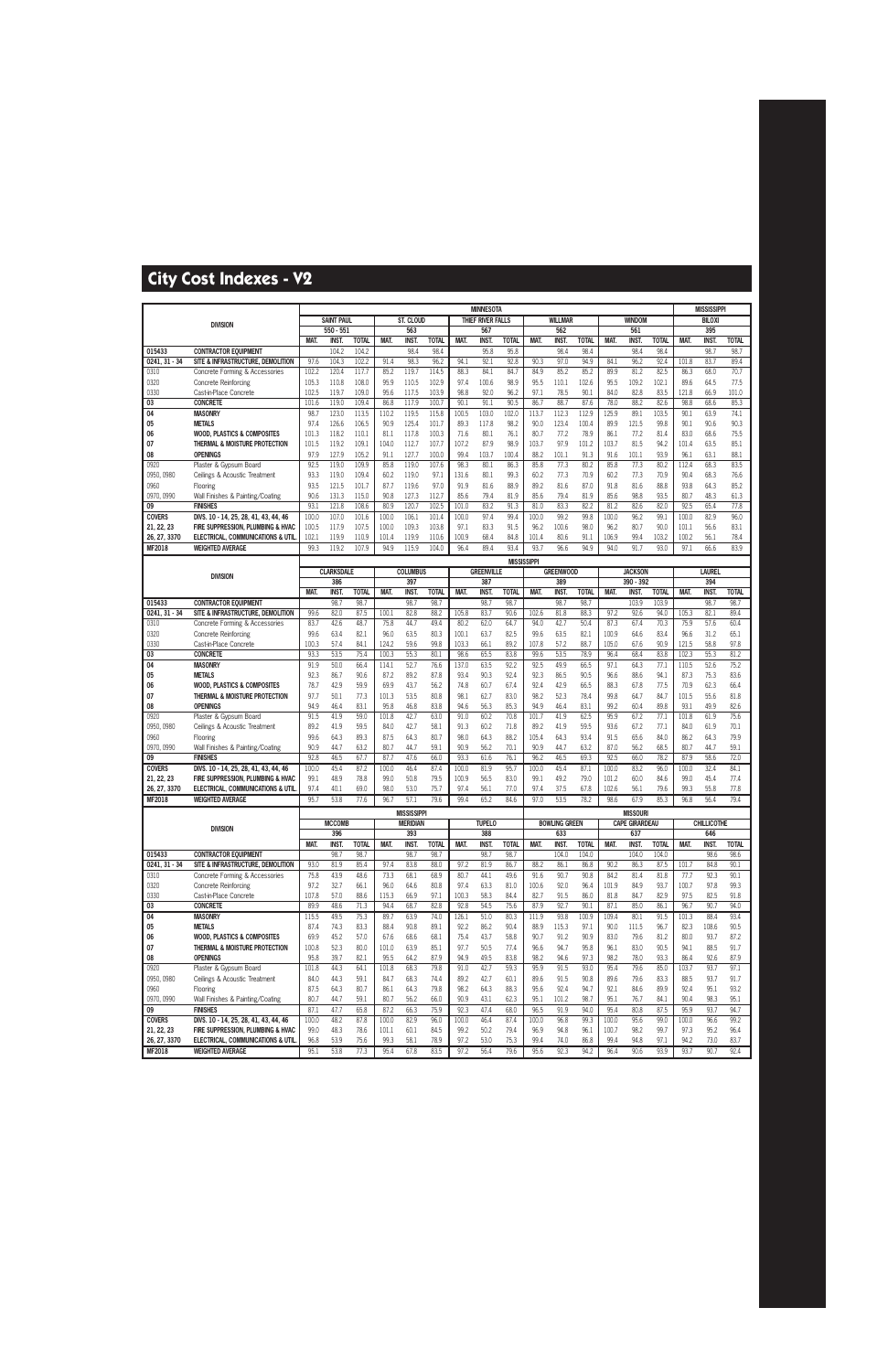|                             |                                                                            |               |                          |                       |                |                        |                      |               | <b>MINNESOTA</b>         |                      |               |                         |                      |                |                             |                      |                | <b>MISSISSIPPI</b>   |                      |
|-----------------------------|----------------------------------------------------------------------------|---------------|--------------------------|-----------------------|----------------|------------------------|----------------------|---------------|--------------------------|----------------------|---------------|-------------------------|----------------------|----------------|-----------------------------|----------------------|----------------|----------------------|----------------------|
|                             | <b>DIVISION</b>                                                            |               | <b>SAINT PAUL</b>        |                       |                | ST. CLOUD              |                      |               | THIEF RIVER FALLS        |                      |               | <b>WILLMAR</b>          |                      |                | <b>WINDOM</b>               |                      |                | <b>BILOXI</b>        |                      |
|                             |                                                                            |               | 550 - 551                |                       |                | 563                    |                      |               | 567                      |                      |               | 562                     |                      |                | 561                         |                      |                | 395                  |                      |
| 015433                      | <b>CONTRACTOR EQUIPMENT</b>                                                | <b>MAT</b>    | INST.<br>104.2           | <b>TOTAL</b><br>104.2 | <b>MAT</b>     | <b>INST.</b><br>98.4   | <b>TOTAL</b><br>98.4 | MAT.          | <b>INST</b><br>95.8      | <b>TOTAL</b><br>95.8 | <b>MAT</b>    | <b>INST</b><br>98.4     | <b>TOTAL</b><br>98.4 | MAT.           | <b>INST</b><br>98.4         | <b>TOTAL</b><br>98.4 | <b>MAT.</b>    | <b>INST</b><br>98.7  | <b>TOTAL</b><br>98.7 |
| $0241, 31 - 34$             | SITE & INFRASTRUCTURE, DEMOLITION                                          | 97.6          | 104.3                    | 102.2                 | 91.4           | 98.3                   | 96.2                 | 94.1          | 92.1                     | 92.8                 | 90.3          | 97.0                    | 94.9                 | 84.1           | 96.2                        | 92.4                 | 101.8          | 83.7                 | 89.4                 |
| 0310                        | Concrete Forming & Accessories                                             | 102.2         | 120.4                    | 117.7                 | 85.2           | 119.7                  | 114.5                | 88.3          | 84.1                     | 84.7                 | 84.9          | 85.2                    | 85.2                 | 89.9           | 81.2                        | 82.5                 | 86.3           | 68.0                 | 70.7                 |
| 0320                        | <b>Concrete Reinforcing</b>                                                | 105.3         | 110.8                    | 108.0                 | 95.9           | 110.5                  | 102.9                | 97.4          | 100.6                    | 98.9                 | 95.5          | 110.1                   | 102.6                | 95.5           | 109.2                       | 102.1                | 89.6           | 64.5                 | 77.5                 |
| 0330                        | Cast-in-Place Concrete                                                     | 102.5         | 119.7                    | 109.0                 | 95.6           | 117.5                  | 103.9                | 98.8          | 92.0                     | 96.2                 | 97.1          | 78.5                    | 90.1                 | 84.0           | 82.8                        | 83.5                 | 121.8          | 66.9                 | 101.0                |
| 03<br>04                    | <b>CONCRETE</b><br><b>MASONRY</b>                                          | 101.6<br>98.7 | 119.0<br>123.0           | 109.4<br>113.5        | 86.8<br>110.2  | 117.9<br>119.5         | 100.7<br>115.8       | 90.1<br>100.5 | 91.1<br>103.0            | 90.5<br>102.0        | 86.7<br>113.7 | 88.7<br>112.3           | 87.6<br>112.9        | 78.0<br>125.9  | 88.2<br>89.1                | 82.6<br>103.5        | 98.8<br>90.1   | 68.6<br>63.9         | 85.3<br>74.1         |
| 05                          | <b>METALS</b>                                                              | 97.4          | 126.6                    | 106.5                 | 90.9           | 125.4                  | 101.7                | 89.3          | 117.8                    | 98.2                 | 90.0          | 123.4                   | 100.4                | 89.9           | 121.5                       | 99.8                 | 90.1           | 90.6                 | 90.3                 |
| 06                          | <b>WOOD, PLASTICS &amp; COMPOSITES</b>                                     | 101.3         | 118.2                    | 110.1                 | 81.1           | 117.8                  | 100.3                | 71.6          | 80.1                     | 76.1                 | 80.7          | 77.2                    | 78.9                 | 86.1           | 77.2                        | 81.4                 | 83.0           | 68.6                 | 75.5                 |
| 07                          | THERMAL & MOISTURE PROTECTION                                              | 101.5         | 119.2                    | 109.1                 | 104.0          | 112.7                  | 107.7                | 107.2         | 87.9                     | 98.9                 | 103.7         | 97.9                    | 101.2                | 103.7          | 81.5                        | 94.2                 | 101.4          | 63.5                 | 85.1                 |
| 08                          | <b>OPENINGS</b>                                                            | 97.9          | 127.9                    | 105.2                 | 91.1           | 127.7                  | 100.0                | 99.4          | 103.7                    | 100.4                | 88.2          | 101.1                   | 91.3                 | 91.6           | 101.1                       | 93.9                 | 96.1           | 63.1                 | 88.1                 |
| 0920                        | Plaster & Gypsum Board                                                     | 92.5          | 119.0                    | 109.9                 | 85.8           | 119.0                  | 107.6                | 98.3          | 80.1                     | 86.3                 | 85.8          | 77.3                    | 80.2                 | 85.8           | 77.3                        | 80.2                 | 112.4          | 68.3                 | 83.5                 |
| 0950, 0980<br>0960          | Ceilings & Acoustic Treatment                                              | 93.3<br>93.5  | 119.0<br>121.5           | 109.4<br>101.7        | 60.2<br>87.7   | 119.0<br>119.6         | 97.1<br>97.0         | 131.6<br>91.9 | 80.1<br>81.6             | 99.3<br>88.9         | 60.2<br>89.2  | 77.3<br>81.6            | 70.9<br>87.0         | 60.2<br>91.8   | 77.3<br>81.6                | 70.9<br>88.8         | 90.4<br>93.8   | 68.3<br>64.3         | 76.6<br>85.2         |
| 0970, 0990                  | Flooring<br>Wall Finishes & Painting/Coating                               | 90.6          | 131.3                    | 115.0                 | 90.8           | 127.3                  | 112.7                | 85.6          | 79.4                     | 81.9                 | 85.6          | 79.4                    | 81.9                 | 85.6           | 98.8                        | 93.5                 | 80.7           | 48.3                 | 61.3                 |
| 09                          | <b>FINISHES</b>                                                            | 93.1          | 121.8                    | 108.6                 | 80.9           | 120.7                  | 102.5                | 101.0         | 83.2                     | 91.3                 | 81.0          | 83.3                    | 82.2                 | 81.2           | 82.6                        | 82.0                 | 92.5           | 65.4                 | 77.8                 |
| <b>COVERS</b>               | DIVS. 10 - 14, 25, 28, 41, 43, 44, 46                                      | 100.0         | 107.0                    | 101.6                 | 100.0          | 106.1                  | 101.4                | 100.0         | 97.4                     | 99.4                 | 100.0         | 99.2                    | 99.8                 | 100.0          | 96.2                        | 99.1                 | 100.0          | 82.9                 | 96.0                 |
| 21, 22, 23                  | FIRE SUPPRESSION, PLUMBING & HVAC                                          | 100.5         | 117.9                    | 107.5                 | 100.0          | 109.3                  | 103.8                | 97.1          | 83.3                     | 91.5                 | 96.2          | 100.6                   | 98.0                 | 96.2           | 80.7                        | 90.0                 | 101.1          | 56.6                 | 83.1                 |
| 26, 27, 3370                | ELECTRICAL, COMMUNICATIONS & UTIL                                          | 102.1         | 119.9                    | 110.9                 | 101.4          | 119.9                  | 110.6                | 100.9         | 68.4                     | 84.8                 | 101.4         | 80.6                    | 91.1                 | 106.9          | 99.4                        | 103.2                | 100.2          | 56.1                 | 78.4                 |
| <b>MF2018</b>               | <b>WEIGHTED AVERAGE</b>                                                    | 99.3          | 119.2                    | 107.9                 | 94.9           | 115.9                  | 104.0                | 96.4          | 89.4                     | 93.4                 | 93.7          | 96.6                    | 94.9                 | 94.0           | 91.7                        | 93.0                 | 97.1           | 66.6                 | 83.9                 |
|                             |                                                                            |               |                          |                       |                |                        |                      |               |                          | <b>MISSISSIPPI</b>   |               |                         |                      |                |                             |                      |                |                      |                      |
|                             | <b>DIVISION</b>                                                            |               | <b>CLARKSDALE</b><br>386 |                       |                | <b>COLUMBUS</b><br>397 |                      |               | <b>GREENVILLE</b><br>387 |                      |               | <b>GREENWOOD</b><br>389 |                      |                | <b>JACKSON</b><br>390 - 392 |                      |                | <b>LAUREL</b><br>394 |                      |
|                             |                                                                            | MAT.          | <b>INST.</b>             | <b>TOTAL</b>          | MAT.           | <b>INST.</b>           | <b>TOTAL</b>         | MAT.          | <b>INST</b>              | <b>TOTAL</b>         | MAT.          | <b>INST.</b>            | <b>TOTAL</b>         | MAT.           | <b>INST.</b>                | <b>TOTAL</b>         | <b>MAT.</b>    | <b>INST</b>          | <b>TOTAL</b>         |
| 015433                      | <b>CONTRACTOR EQUIPMENT</b>                                                |               | 98.7                     | 98.7                  |                | 98.7                   | 98.7                 |               | 98.7                     | 98.7                 |               | 98.7                    | 98.7                 |                | 103.9                       | 103.9                |                | 98.7                 | 98.7                 |
| 0241.31 - 34                | SITE & INFRASTRUCTURE, DEMOLITION                                          | 99.6          | 82.0                     | 87.5                  | 100.1          | 82.8                   | 88.2                 | 105.8         | 83.7                     | 90.6                 | 102.6         | 81.8                    | 88.3                 | 97.2           | 92.6                        | 94.0                 | 105.3          | 82.1                 | 89.4                 |
| 0310                        | Concrete Forming & Accessories                                             | 83.7          | 42.6                     | 48.7                  | 75.8           | 44.7                   | 49.4                 | 80.2          | 62.0                     | 64.7                 | 94.0          | 42.7                    | 50.4                 | 87.3           | 67.4                        | 70.3                 | 75.9           | 57.6                 | 60.4                 |
| 0320                        | Concrete Reinforcing                                                       | 99.6          | 63.4                     | 82.1                  | 96.0           | 63.5                   | 80.3                 | 100.1         | 63.7                     | 82.5                 | 99.6          | 63.5                    | 82.1                 | 100.9          | 64.6                        | 83.4                 | 96.6           | 31.2                 | 65.1                 |
| 0330<br>03                  | Cast-in-Place Concrete<br><b>CONCRETE</b>                                  | 100.3<br>93.3 | 57.4<br>53.5             | 84.1<br>75.4          | 124.2<br>100.3 | 59.6<br>55.3           | 99.8<br>80.1         | 103.3<br>98.6 | 66.1<br>65.5             | 89.2<br>83.8         | 107.8<br>99.6 | 57.2<br>53.5            | 88.7<br>78.9         | 105.0<br>96.4  | 67.6<br>68.4                | 90.9<br>83.8         | 121.5<br>102.3 | 58.8<br>55.3         | 97.8<br>81.2         |
| 04                          | <b>MASONRY</b>                                                             | 91.9          | 50.0                     | 66.4                  | 114.1          | 52.7                   | 76.6                 | 137.0         | 63.5                     | 92.2                 | 92.5          | 49.9                    | 66.5                 | 97.1           | 64.3                        | 77.1                 | 110.5          | 52.6                 | 75.2                 |
| 05                          | <b>METALS</b>                                                              | 92.3          | 86.7                     | 90.6                  | 87.2           | 89.2                   | 87.8                 | 93.4          | 90.3                     | 92.4                 | 92.3          | 86.5                    | 90.5                 | 96.6           | 88.6                        | 94.1                 | 87.3           | 75.3                 | 83.6                 |
| 06                          | <b>WOOD, PLASTICS &amp; COMPOSITES</b>                                     | 78.7          | 42.9                     | 59.9                  | 69.9           | 43.7                   | 56.2                 | 74.8          | 60.7                     | 67.4                 | 92.4          | 42.9                    | 66.5                 | 88.3           | 67.8                        | 77.5                 | 70.9           | 62.3                 | 66.4                 |
| 07                          | THERMAL & MOISTURE PROTECTION                                              | 97.7          | 50.1                     | 77.3                  | 101.3          | 53.5                   | 80.8                 | 98.1          | 62.7                     | 83.0                 | 98.2          | 52.3                    | 78.4                 | 99.8           | 64.7                        | 84.7                 | 101.5          | 55.6                 | 81.8                 |
| 08                          | <b>OPENINGS</b>                                                            | 94.9          | 46.4                     | 83.1                  | 95.8           | 46.8                   | 83.8                 | 94.6          | 56.3                     | 85.3                 | 94.9          | 46.4                    | 83.1                 | 99.2           | 60.4                        | 89.8                 | 93.1           | 49.9                 | 82.6                 |
| 0920<br>0950, 0980          | Plaster & Gypsum Board<br>Ceilings & Acoustic Treatment                    | 91.5<br>89.2  | 41.9<br>41.9             | 59.0<br>59.5          | 101.8<br>84.0  | 42.7<br>42.7           | 63.0<br>58.1         | 91.0<br>91.3  | 60.2<br>60.2             | 70.8<br>71.8         | 101.7<br>89.2 | 41.9<br>41.9            | 62.5<br>59.5         | 95.9<br>93.6   | 67.2<br>67.2                | 77.1<br>77.1         | 101.8<br>84.0  | 61.9<br>61.9         | 75.6<br>70.1         |
| 0960                        | Flooring                                                                   | 99.6          | 64.3                     | 89.3                  | 87.5           | 64.3                   | 80.7                 | 98.0          | 64.3                     | 88.2                 | 105.4         | 64.3                    | 93.4                 | 91.5           | 65.6                        | 84.0                 | 86.2           | 64.3                 | 79.9                 |
| 0970, 0990                  | Wall Finishes & Painting/Coating                                           | 90.9          | 44.7                     | 63.2                  | 80.7           | 44.7                   | 59.1                 | 90.9          | 56.2                     | 70.1                 | 90.9          | 44.7                    | 63.2                 | 87.0           | 56.2                        | 68.5                 | 80.7           | 44.7                 | 59.1                 |
| 09                          | <b>FINISHES</b>                                                            | 92.8          | 46.5                     | 67.7                  | 87.7           | 47.6                   | 66.0                 | 93.3          | 61.6                     | 76.1                 | 96.2          | 46.5                    | 69.3                 | 92.5           | 66.0                        | 78.2                 | 87.9           | 58.6                 | 72.0                 |
| <b>COVERS</b>               | DIVS. 10 - 14, 25, 28, 41, 43, 44, 46                                      | 100.0         | 45.4                     | 87.2                  | 100.0          | 46.4                   | 87.4                 | 100.0         | 81.9                     | 95.7                 | 100.0         | 45.4                    | 87.1                 | 100.0          | 83.2                        | 96.0                 | 100.0          | 32.4                 | 84.1                 |
| 21, 22, 23                  | FIRE SUPPRESSION, PLUMBING & HVAC                                          | 99.1          | 48.9                     | 78.8                  | 99.0           | 50.8                   | 79.5                 | 100.9         | 56.5                     | 83.0                 | 99.1          | 49.2                    | 79.0                 | 101.2          | 60.0                        | 84.6                 | 99.0           | 45.4                 | 77.4                 |
| 26, 27, 3370<br>MF2018      | ELECTRICAL, COMMUNICATIONS & UTIL<br><b>WEIGHTED AVERAGE</b>               | 97.4<br>95.7  | 40.1<br>53.8             | 69.0<br>77.6          | 98.0<br>96.7   | 53.0<br>57.1           | 75.7<br>79.6         | 97.4<br>99.4  | 56.1<br>65.2             | 77.0<br>84.6         | 97.4<br>97.0  | 37.5<br>53.5            | 67.8<br>78.2         | 102.6<br>98.6  | 56.1<br>67.9                | 79.6<br>85.3         | 99.3<br>96.8   | 55.8<br>56.4         | 77.8<br>79.4         |
|                             |                                                                            |               |                          |                       |                | <b>MISSISSIPPI</b>     |                      |               |                          |                      |               |                         |                      |                | <b>MISSOURI</b>             |                      |                |                      |                      |
|                             |                                                                            |               | <b>MCCOMB</b>            |                       |                | <b>MERIDIAN</b>        |                      |               | <b>TUPELO</b>            |                      |               | <b>BOWLING GREEN</b>    |                      |                | <b>CAPE GIRARDEAU</b>       |                      |                | <b>CHILLICOTHE</b>   |                      |
|                             | <b>DIVISION</b>                                                            |               | 396                      |                       |                | 393                    |                      |               | 388                      |                      |               | 633                     |                      |                | 637                         |                      |                | 646                  |                      |
|                             |                                                                            | MAT.          | INST.                    | <b>TOTAL</b>          | MAT.           | INST.                  | <b>TOTAL</b>         | MAT.          | <b>INST.</b>             | <b>TOTAL</b>         | MAT.          | INST.                   | <b>TOTAL</b>         | MAT.           | <b>INST.</b>                | <b>TOTAL</b>         | MAT.           | INST.                | <b>TOTAL</b>         |
| 015433                      | <b>CONTRACTOR EQUIPMENT</b>                                                |               | 98.7                     | 98.7                  |                | 98.7                   | 98.7                 |               | 98.7                     | 98.7                 |               | 104.0                   | 104.0                |                | 104.0                       | 104.0                |                | 98.6                 | 98.6                 |
| $0241, 31 - 34$             | SITE & INFRASTRUCTURE, DEMOLITION                                          | 93.0          | 81.9                     | 85.4                  | 97.4           | 83.8                   | 88.0                 | 97.2          | 81.9                     | 86.7                 | 88.2          | 86.1                    | 86.8                 | 90.2           | 86.3                        | 87.5                 | 101.7          | 84.8                 | 90.1                 |
| 0310<br>0320                | Concrete Forming & Accessories<br>Concrete Reinforcing                     | 75.8<br>97.2  | 43.9<br>32.7             | 48.6<br>66.1          | 73.3<br>96.0   | 68.1<br>64.6           | 68.9<br>80.8         | 80.7<br>97.4  | 44.1<br>63.3             | 49.6<br>81.0         | 91.6<br>100.6 | 90.7<br>92.0            | 90.8<br>96.4         | 84.2<br>101.9  | 81.4<br>84.9                | 81.8<br>93.7         | 77.7<br>100.7  | 92.3<br>97.8         | 90.1<br>99.3         |
| 0330                        | Cast-in-Place Concrete                                                     | 107.8         | 57.0                     | 88.6                  | 115.3          | 66.9                   | 97.1                 | 100.3         | 58.3                     | 84.4                 | 82.7          | 91.5                    | 86.0                 | 81.8           | 84.7                        | 82.9                 | 97.5           | 82.5                 | 91.8                 |
| 03                          | <b>CONCRETE</b>                                                            | 89.9          | 48.6                     | 71.3                  | 94.4           | 68.7                   | 82.8                 | 92.8          | 54.5                     | 75.6                 | 87.9          | 92.7                    | 90.1                 | 87.1           | 85.0                        | 86.1                 | 96.7           | 90.7                 | 94.0                 |
| 04                          | <b>MASONRY</b>                                                             | 115.5         | 49.5                     | 75.3                  | 89.7           | 63.9                   | 74.0                 | 126.1         | 51.0                     | 80.3                 | 111.9         | 93.8                    | 100.9                | 109.4          | 80.1                        | 91.5                 | 101.3          | 88.4                 | 93.4                 |
| 05                          | <b>METALS</b>                                                              | 87.4          | 74.3                     | 83.3                  | 88.4           | 90.8                   | 89.1                 | 92.2          | 86.2                     | 90.4                 | 88.9          | 115.3                   | 97.1                 | 90.0           | 111.5                       | 96.7                 | 82.3           | 108.6                | 90.5                 |
| 06<br>07                    | <b>WOOD, PLASTICS &amp; COMPOSITES</b><br>THERMAL & MOISTURE PROTECTION    | 69.9<br>100.8 | 45.2<br>52.3             | 57.0<br>80.0          | 67.6<br>101.0  | 68.6<br>63.9           | 68.1<br>85.1         | 75.4<br>97.7  | 43.7<br>50.5             | 58.8<br>77.4         | 90.7<br>96.6  | 91.2<br>94.7            | 90.9<br>95.8         | 83.0<br>96.1   | 79.6<br>83.0                | 81.2<br>90.5         | 80.0<br>94.1   | 93.7<br>88.5         | 87.2<br>91.7         |
| 08                          | <b>OPENINGS</b>                                                            | 95.8          | 39.7                     | 82.1                  | 95.5           | 64.2                   | 87.9                 | 94.9          | 49.5                     | 83.8                 | 98.2          | 94.6                    | 97.3                 | 98.2           | 78.0                        | 93.3                 | 86.4           | 92.6                 | 87.9                 |
| 0920                        | Plaster & Gypsum Board                                                     | 101.8         | 44.3                     | 64.1                  | 101.8          | 68.3                   | 79.8                 | 91.0          | 42.7                     | 59.3                 | 95.9          | 91.5                    | 93.0                 | 95.4           | 79.6                        | 85.0                 | 103.7          | 93.7                 | 97.1                 |
| 0950, 0980                  | Ceilings & Acoustic Treatment                                              | 84.0          | 44.3                     | 59.1                  | 84.7           | 68.3                   | 74.4                 | 89.2          | 42.7                     | 60.1                 | 89.6          | 91.5                    | 90.8                 | 89.6           | 79.6                        | 83.3                 | 88.5           | 93.7                 | 91.7                 |
| 0960                        | Flooring                                                                   | 87.5          | 64.3                     | 80.7                  | 86.1           | 64.3                   | 79.8                 | 98.2          | 64.3                     | 88.3                 | 95.6          | 92.4                    | 94.7                 | 92.1           | 84.6                        | 89.9                 | 92.4           | 95.1                 | 93.2                 |
| 0970, 0990                  | Wall Finishes & Painting/Coating                                           | 80.7          | 44.7                     | 59.1                  | 80.7           | 56.2                   | 66.0                 | 90.9          | 43.1                     | 62.3                 | 95.1          | 101.2                   | 98.7                 | 95.1           | 76.7                        | 84.1                 | 90.4           | 98.3                 | 95.1                 |
| 09                          | <b>FINISHES</b>                                                            | 87.1          | 47.7                     | 65.8                  | 87.2           | 66.3                   | 75.9                 | 92.3          | 47.4                     | 68.0                 | 96.5          | 91.9                    | 94.0                 | 95.4           | 80.8                        | 87.5                 | 95.9           | 93.7                 | 94.7                 |
| <b>COVERS</b><br>21, 22, 23 | DIVS. 10 - 14, 25, 28, 41, 43, 44, 46<br>FIRE SUPPRESSION, PLUMBING & HVAC | 100.0<br>99.0 | 48.2<br>48.3             | 87.8<br>78.6          | 100.0<br>101.1 | 82.9<br>60.1           | 96.0<br>84.5         | 100.0<br>99.2 | 46.4<br>50.2             | 87.4<br>79.4         | 100.0<br>96.9 | 96.8<br>94.8            | 99.3<br>96.1         | 100.0<br>100.7 | 95.6<br>98.2                | 99.0<br>99.7         | 100.0<br>97.3  | 96.6<br>95.2         | 99.2<br>96.4         |
| 26, 27, 3370                | ELECTRICAL, COMMUNICATIONS & UTIL                                          | 96.8          | 53.9                     | 75.6                  | 99.3           | 58.1                   | 78.9                 | 97.2          | 53.0                     | 75.3                 | 99.4          | 74.0                    | 86.8                 | 99.4           | 94.8                        | 97.1                 | 94.2           | 73.0                 | 83.7                 |
| <b>MF2018</b>               | <b>WEIGHTED AVERAGE</b>                                                    | 95.1          | 53.8                     | 77.3                  | 95.4           | 67.8                   | 83.5                 | 97.2          | 56.4                     | 79.6                 | 95.6          | 92.3                    | 94.2                 | 96.4           | 90.6                        | 93.9                 | 93.7           | 90.7                 | 92.4                 |
|                             |                                                                            |               |                          |                       |                |                        |                      |               |                          |                      |               |                         |                      |                |                             |                      |                |                      |                      |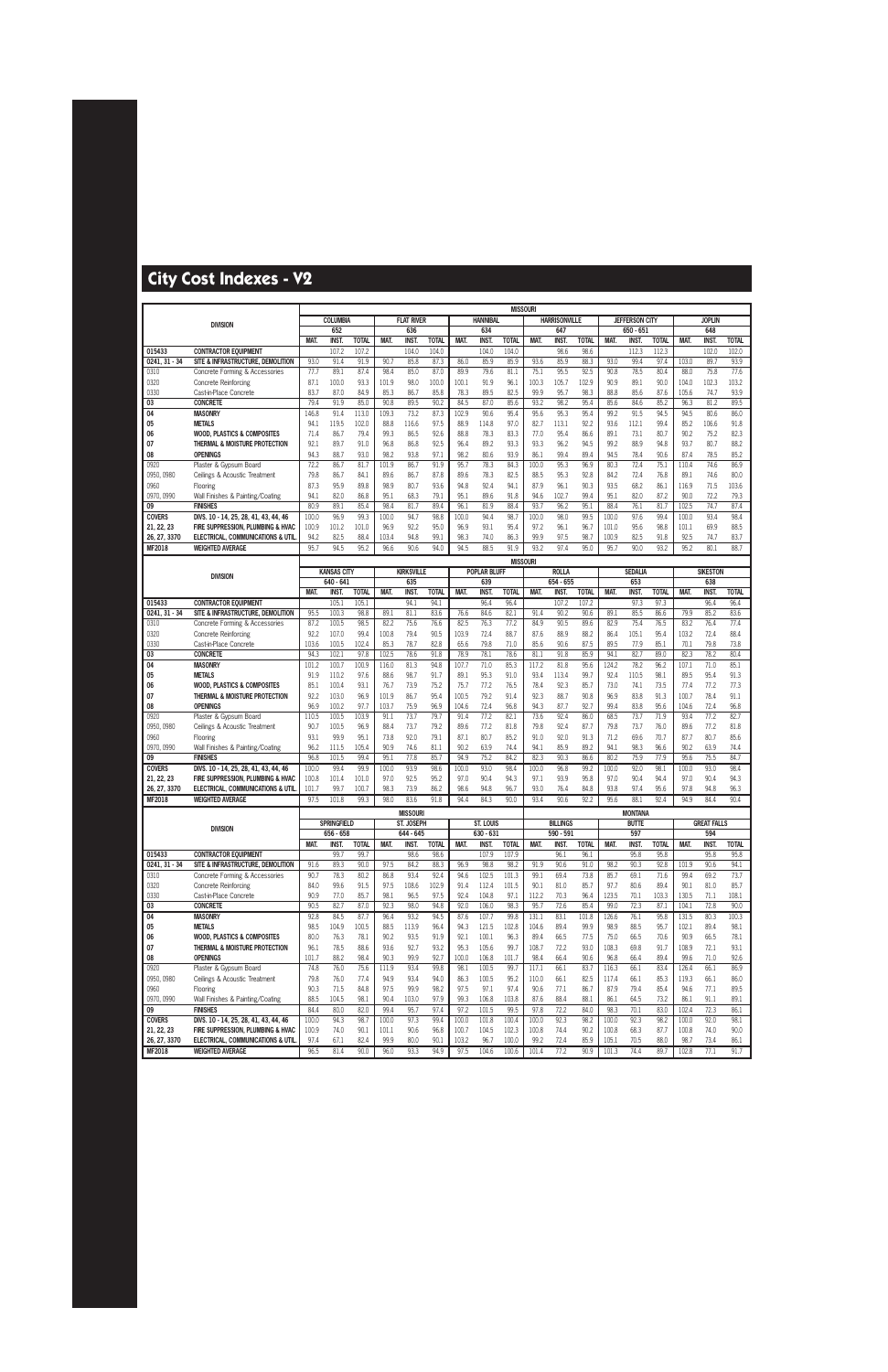|                            |                                                                         |              |                                 |              |                |                    |               |                |                            | <b>MISSOURI</b> |               |                             |               |               |                       |              |                |                     |               |
|----------------------------|-------------------------------------------------------------------------|--------------|---------------------------------|--------------|----------------|--------------------|---------------|----------------|----------------------------|-----------------|---------------|-----------------------------|---------------|---------------|-----------------------|--------------|----------------|---------------------|---------------|
|                            | <b>DIVISION</b>                                                         |              | <b>COLUMBIA</b>                 |              |                | <b>FLAT RIVER</b>  |               |                | <b>HANNIBAL</b>            |                 |               | <b>HARRISONVILLE</b>        |               |               | <b>JEFFERSON CITY</b> |              |                | <b>JOPLIN</b>       |               |
|                            |                                                                         |              | 652                             |              |                | 636                |               |                | 634                        |                 |               | 647                         |               |               | 650 - 651             |              |                | 648                 |               |
|                            |                                                                         | MAT.         | <b>INST.</b>                    | <b>TOTAL</b> | MAT.           | <b>INST</b>        | <b>TOTAL</b>  | MAT.           | <b>INST</b>                | <b>TOTAL</b>    | MAT.          | <b>INST</b>                 | <b>TOTAL</b>  | MAT.          | INST.                 | <b>TOTAL</b> | MAT.           | <b>INST</b>         | <b>TOTAL</b>  |
| 015433                     | <b>CONTRACTOR EQUIPMENT</b>                                             |              | 107.2                           | 107.2        |                | 104.0              | 104.0         |                | 104.0                      | 104.0           |               | 98.6                        | 98.6          |               | 112.3                 | 112.3        |                | 102.0               | 102.0         |
| $0241, 31 - 34$            | SITE & INFRASTRUCTURE, DEMOLITION                                       | 93.0         | 91.4                            | 91.9         | 90.7           | 85.8               | 87.3          | 86.0           | 85.9                       | 85.9            | 93.6<br>75.1  | 85.9<br>95.5                | 88.3          | 93.0<br>90.8  | 99.4<br>78.5          | 97.4<br>80.4 | 103.0          | 89.7<br>75.8        | 93.9          |
| 0310                       | Concrete Forming & Accessories                                          | 77.7<br>87.1 | 89.1<br>100.0                   | 87.4<br>93.3 | 98.4<br>101.9  | 85.0<br>98.0       | 87.0<br>100.0 | 89.9<br>100.1  | 79.6<br>91.9               | 81.1<br>96.1    | 100.3         | 105.7                       | 92.5<br>102.9 | 90.9          | 89.1                  | 90.0         | 88.0<br>104.0  | 102.3               | 77.6<br>103.2 |
| 0320<br>0330               | Concrete Reinforcing<br>Cast-in-Place Concrete                          | 83.7         | 87.0                            | 84.9         | 85.3           | 86.7               | 85.8          | 78.3           | 89.5                       | 82.5            | 99.9          | 95.7                        | 98.3          | 88.8          | 85.6                  | 87.6         | 105.6          | 74.7                | 93.9          |
| 03                         | <b>CONCRETE</b>                                                         | 79.4         | 91.9                            | 85.0         | 90.8           | 89.5               | 90.2          | 84.5           | 87.0                       | 85.6            | 93.2          | 98.2                        | 95.4          | 85.6          | 84.6                  | 85.2         | 96.3           | 81.2                | 89.5          |
| 04                         | <b>MASONRY</b>                                                          | 146.8        | 91.4                            | 113.0        | 109.3          | 73.2               | 87.3          | 102.9          | 90.6                       | 95.4            | 95.6          | 95.3                        | 95.4          | 99.2          | 91.5                  | 94.5         | 94.5           | 80.6                | 86.0          |
| 05                         | <b>METALS</b>                                                           | 94.1         | 119.5                           | 102.0        | 88.8           | 116.6              | 97.5          | 88.9           | 114.8                      | 97.0            | 82.7          | 113.1                       | 92.2          | 93.6          | 112.1                 | 99.4         | 85.2           | 106.6               | 91.8          |
| 06                         | <b>WOOD, PLASTICS &amp; COMPOSITES</b>                                  | 71.4         | 86.7                            | 79.4         | 99.3           | 86.5               | 92.6          | 88.8           | 78.3                       | 83.3            | 77.0          | 95.4                        | 86.6          | 89.1          | 73.1                  | 80.7         | 90.2           | 75.2                | 82.3          |
| 07                         | THERMAL & MOISTURE PROTECTION                                           | 92.1         | 89.7                            | 91.0         | 96.8           | 86.8               | 92.5          | 96.4           | 89.2                       | 93.3            | 93.3          | 96.2                        | 94.5          | 99.2          | 88.9                  | 94.8         | 93.7           | 80.7                | 88.2          |
| 08                         | <b>OPENINGS</b>                                                         | 94.3         | 88.7                            | 93.0         | 98.2           | 93.8               | 97.1          | 98.2           | 80.6                       | 93.9            | 86.1          | 99.4                        | 89.4          | 94.5          | 78.4                  | 90.6         | 87.4           | 78.5                | 85.2          |
| 0920                       | Plaster & Gypsum Board                                                  | 72.2         | 86.7                            | 81.7         | 101.9          | 86.7               | 91.9          | 95.7           | 78.3                       | 84.3            | 100.0         | 95.3                        | 96.9          | 80.3          | 72.4                  | 75.1         | 110.4          | 74.6                | 86.9          |
| 0950, 0980                 | Ceilings & Acoustic Treatment                                           | 79.8         | 86.7                            | 84.1         | 89.6           | 86.7               | 87.8          | 89.6           | 78.3                       | 82.5            | 88.5          | 95.3                        | 92.8          | 84.2          | 72.4                  | 76.8         | 89.1           | 74.6                | 80.0          |
| 0960                       | Flooring                                                                | 87.3         | 95.9                            | 89.8         | 98.9           | 80.7               | 93.6          | 94.8           | 92.4                       | 94.1            | 87.9          | 96.1                        | 90.3          | 93.5          | 68.2                  | 86.1         | 116.9          | 71.5                | 103.6         |
| 0970, 0990                 | Wall Finishes & Painting/Coating                                        | 94.1         | 82.0                            | 86.8         | 95.1           | 68.3               | 79.1          | 95.1           | 89.6                       | 91.8            | 94.6          | 102.7                       | 99.4          | 95.1          | 82.0                  | 87.2         | 90.0           | 72.2                | 79.3          |
| 09                         | <b>FINISHES</b>                                                         | 80.9         | 89.1                            | 85.4         | 98.4           | 81.7               | 89.4          | 96.1           | 81.9                       | 88.4            | 93.7          | 96.2                        | 95.1          | 88.4          | 76.1                  | 81.7         | 102.5          | 74.7                | 87.4          |
| <b>COVERS</b>              | DIVS. 10 - 14, 25, 28, 41, 43, 44, 46                                   | 100.0        | 96.9                            | 99.3         | 100.0          | 94.7               | 98.8          | 100.0          | 94.4                       | 98.7            | 100.0         | 98.0                        | 99.5          | 100.0         | 97.6                  | 99.4         | 100.0          | 93.4                | 98.4          |
| 21, 22, 23<br>26, 27, 3370 | FIRE SUPPRESSION. PLUMBING & HVAC                                       | 100.9        | 101.2                           | 101.0        | 96.9           | 92.2               | 95.0          | 96.9           | 93.1                       | 95.4            | 97.2          | 96.1                        | 96.7          | 101.0         | 95.6                  | 98.8         | 101.1          | 69.9                | 88.5          |
| MF2018                     | ELECTRICAL, COMMUNICATIONS & UTIL<br><b>WEIGHTED AVERAGE</b>            | 94.2<br>95.7 | 82.5<br>94.5                    | 88.4<br>95.2 | 103.4<br>96.6  | 94.8<br>90.6       | 99.1<br>94.0  | 98.3<br>94.5   | 74.0<br>88.5               | 86.3<br>91.9    | 99.9<br>93.2  | 97.5<br>97.4                | 98.7<br>95.0  | 100.9<br>95.7 | 82.5<br>90.0          | 91.8<br>93.2 | 92.5<br>95.2   | 74.7<br>80.1        | 83.7<br>88.7  |
|                            |                                                                         |              |                                 |              |                |                    |               |                |                            |                 |               |                             |               |               |                       |              |                |                     |               |
|                            |                                                                         |              |                                 |              |                | <b>KIRKSVILLE</b>  |               |                |                            | <b>MISSOURI</b> |               |                             |               |               |                       |              |                | <b>SIKESTON</b>     |               |
|                            | <b>DIVISION</b>                                                         |              | <b>KANSAS CITY</b><br>640 - 641 |              |                | 635                |               |                | <b>POPLAR BLUFF</b><br>639 |                 |               | <b>ROLLA</b><br>$654 - 655$ |               |               | <b>SEDALIA</b><br>653 |              |                | 638                 |               |
|                            |                                                                         | <b>MAT</b>   | <b>INST.</b>                    | <b>TOTAL</b> | <b>MAT</b>     | <b>INST</b>        | <b>TOTAL</b>  | MAT.           | <b>INST</b>                | <b>TOTAL</b>    | <b>MAT</b>    | <b>INST</b>                 | <b>TOTAL</b>  | MAT.          | <b>INST</b>           | <b>TOTAL</b> | <b>MAT</b>     | <b>INST</b>         | <b>TOTAL</b>  |
| 015433                     | <b>CONTRACTOR EQUIPMENT</b>                                             |              | 105.1                           | 105.1        |                | 94.1               | 94.1          |                | 96.4                       | 96.4            |               | 107.2                       | 107.2         |               | 97.3                  | 97.3         |                | 96.4                | 96.4          |
| $0241, 31 - 34$            | SITE & INFRASTRUCTURE, DEMOLITION                                       | 95.5         | 100.3                           | 98.8         | 89.1           | 81.1               | 83.6          | 76.6           | 84.6                       | 82.1            | 91.4          | 90.2                        | 90.6          | 89.1          | 85.5                  | 86.6         | 79.9           | 85.2                | 83.6          |
| 0310                       | Concrete Forming & Accessories                                          | 87.2         | 100.5                           | 98.5         | 82.2           | 75.6               | 76.6          | 82.5           | 76.3                       | 77.2            | 84.9          | 90.5                        | 89.6          | 82.9          | 75.4                  | 76.5         | 83.2           | 76.4                | 77.4          |
| 0320                       | Concrete Reinforcing                                                    | 92.2         | 107.0                           | 99.4         | 100.8          | 79.4               | 90.5          | 103.9          | 72.4                       | 88.7            | 87.6          | 88.9                        | 88.2          | 86.4          | 105.1                 | 95.4         | 103.2          | 72.4                | 88.4          |
| 0330                       | Cast-in-Place Concrete                                                  | 103.6        | 100.5                           | 102.4        | 85.3           | 78.7               | 82.8          | 65.6           | 79.8                       | 71.0            | 85.6          | 90.6                        | 87.5          | 89.5          | 77.9                  | 85.1         | 70.1           | 79.8                | 73.8          |
| 03                         | <b>CONCRETE</b>                                                         | 94.3         | 102.1                           | 97.8         | 102.5          | 78.6               | 91.8          | 78.9           | 78.1                       | 78.6            | 81.1          | 91.8                        | 85.9          | 94.1          | 82.7                  | 89.0         | 82.3           | 78.2                | 80.4          |
| 04                         | <b>MASONRY</b>                                                          | 101.2        | 100.7                           | 100.9        | 116.0          | 81.3               | 94.8          | 107.7          | 71.0                       | 85.3            | 117.2         | 81.8                        | 95.6          | 124.2         | 78.2                  | 96.2         | 107.1          | 71.0                | 85.1          |
| 05                         | <b>METALS</b>                                                           | 91.9         | 110.2                           | 97.6         | 88.6           | 98.7               | 91.7          | 89.1           | 95.3                       | 91.0            | 93.4          | 113.4                       | 99.7          | 92.4          | 110.5                 | 98.1         | 89.5           | 95.4                | 91.3          |
| 06                         | <b>WOOD, PLASTICS &amp; COMPOSITES</b>                                  | 85.1         | 100.4                           | 93.1         | 76.7           | 73.9               | 75.2          | 75.7           | 77.2                       | 76.5            | 78.4          | 92.3                        | 85.7          | 73.0          | 74.1                  | 73.5         | 77.4           | 77.2                | 77.3          |
| 07<br>08                   | THERMAL & MOISTURE PROTECTION<br><b>OPENINGS</b>                        | 92.2<br>96.9 | 103.0<br>100.2                  | 96.9<br>97.7 | 101.9<br>103.7 | 86.7<br>75.9       | 95.4<br>96.9  | 100.5<br>104.6 | 79.2<br>72.4               | 91.4<br>96.8    | 92.3<br>94.3  | 88.7<br>87.7                | 90.8<br>92.7  | 96.9<br>99.4  | 83.8<br>83.8          | 91.3<br>95.6 | 100.7<br>104.6 | 78.4<br>72.4        | 91.1<br>96.8  |
| 0920                       | Plaster & Gypsum Board                                                  | 110.5        | 100.5                           | 103.9        | 91.1           | 73.7               | 79.7          | 91.4           | 77.2                       | 82.1            | 73.6          | 92.4                        | 86.0          | 68.5          | 73.7                  | 71.9         | 93.4           | 77.2                | 82.7          |
| 0950, 0980                 | Ceilings & Acoustic Treatment                                           | 90.7         | 100.5                           | 96.9         | 88.4           | 73.7               | 79.2          | 89.6           | 77.2                       | 81.8            | 79.8          | 92.4                        | 87.7          | 79.8          | 73.7                  | 76.0         | 89.6           | 77.2                | 81.8          |
| 0960                       | Flooring                                                                | 93.1         | 99.9                            | 95.1         | 73.8           | 92.0               | 79.1          | 87.1           | 80.7                       | 85.2            | 91.0          | 92.0                        | 91.3          | 71.2          | 69.6                  | 70.7         | 87.7           | 80.7                | 85.6          |
| 0970, 0990                 | Wall Finishes & Painting/Coating                                        | 96.2         | 111.5                           | 105.4        | 90.9           | 74.6               | 81.1          | 90.2           | 63.9                       | 74.4            | 94.1          | 85.9                        | 89.2          | 94.1          | 98.3                  | 96.6         | 90.2           | 63.9                | 74.4          |
| 09                         | <b>FINISHES</b>                                                         | 96.8         | 101.5                           | 99.4         | 95.1           | 77.8               | 85.7          | 94.9           | 75.2                       | 84.2            | 82.3          | 90.3                        | 86.6          | 80.2          | 75.9                  | 77.9         | 95.6           | 75.5                | 84.7          |
| <b>COVERS</b>              | DIVS. 10 - 14, 25, 28, 41, 43, 44, 46                                   | 100.0        | 99.4                            | 99.9         | 100.0          | 93.9               | 98.6          | 100.0          | 93.0                       | 98.4            | 100.0         | 96.8                        | 99.2          | 100.0         | 92.0                  | 98.1         | 100.0          | 93.0                | 98.4          |
| 21, 22, 23                 | FIRE SUPPRESSION, PLUMBING & HVAC                                       | 100.8        | 101.4                           | 101.0        | 97.0           | 92.5               | 95.2          | 97.0           | 90.4                       | 94.3            | 97.1          | 93.9                        | 95.8          | 97.0          | 90.4                  | 94.4         | 97.0           | 90.4                | 94.3          |
| 26, 27, 3370               | ELECTRICAL, COMMUNICATIONS & UTIL                                       | 101.7        | 99.7                            | 100.7        | 98.3           | 73.9               | 86.2          | 98.6           | 94.8                       | 96.7            | 93.0          | 76.4                        | 84.8          | 93.8          | 97.4                  | 95.6         | 97.8           | 94.8                | 96.3          |
| MF2018                     | <b>WEIGHTED AVERAGE</b>                                                 | 97.5         | 101.8                           | 99.3         | 98.0           | 83.6               | 91.8          | 94.4           | 84.3                       | 90.0            | 93.4          | 90.6                        | 92.2          | 95.6          | 88.1                  | 92.4         | 94.9           | 84.4                | 90.4          |
|                            |                                                                         |              |                                 |              |                | <b>MISSOURI</b>    |               |                |                            |                 |               |                             |               |               | <b>MONTANA</b>        |              |                |                     |               |
|                            | <b>DIVISION</b>                                                         |              | <b>SPRINGFIELD</b>              |              |                | ST. JOSEPH         |               |                | ST. LOUIS                  |                 |               | <b>BILLINGS</b>             |               |               | <b>BUTTE</b>          |              |                | <b>GREAT FALLS</b>  |               |
|                            |                                                                         | MAT.         | 656 - 658<br>INST.              | <b>TOTAL</b> | MAT.           | 644 - 645<br>INST. | <b>TOTAL</b>  | MAT.           | 630 - 631<br><b>INST.</b>  | <b>TOTAL</b>    | MAT.          | 590 - 591<br>INST.          | <b>TOTAL</b>  | MAT.          | 597<br>INST.          | <b>TOTAL</b> | <b>MAT.</b>    | 594<br><b>INST.</b> | <b>TOTAL</b>  |
| 015433                     | <b>CONTRACTOR EQUIPMENT</b>                                             |              | 99.7                            | 99.7         |                | 98.6               | 98.6          |                | 107.9                      | 107.9           |               | 96.1                        | 96.1          |               | 95.8                  | 95.8         |                | 95.8                | 95.8          |
| $0241, 31 - 34$            | SITE & INFRASTRUCTURE, DEMOLITION                                       | 91.6         | 89.3                            | 90.0         | 97.5           | 84.2               | 88.3          | 96.9           | 98.8                       | 98.2            | 91.9          | 90.6                        | 91.0          | 98.2          | 90.3                  | 92.8         | 101.9          | 90.6                | 94.1          |
| 0310                       | Concrete Forming & Accessories                                          | 90.7         | 78.3                            | 80.2         | 86.8           | 93.4               | 92.4          | 94.6           | 102.5                      | 101.3           | 99.1          | 69.4                        | 73.8          | 85.7          | 69.1                  | 71.6         | 99.4           | 69.2                | 73.7          |
| 0320                       | <b>Concrete Reinforcing</b>                                             | 84.0         | 99.6                            | 91.5         | 97.5           | 108.6              | 102.9         | 91.4           | 112.4                      | 101.5           | 90.1          | 81.0                        | 85.7          | 97.7          | 80.6                  | 89.4         | 90.1           | 81.0                | 85.7          |
| 0330                       | Cast-in-Place Concrete                                                  | 90.9         | 77.0                            | 85.7         | 98.1           | 96.5               | 97.5          | 92.4           | 104.8                      | 97.1            | 112.2         | 70.3                        | 96.4          | 123.5         | 70.1                  | 103.3        | 130.5          | 71.1                | 108.1         |
| 03                         | <b>CONCRETE</b>                                                         | 90.5         | 82.7                            | 87.0         | 92.3           | 98.0               | 94.8          | 92.0           | 106.0                      | 98.3            | 95.7          | 72.6                        | 85.4          | 99.0          | 72.3                  | 87.1         | 104.1          | 72.8                | 90.0          |
| 04                         | <b>MASONRY</b>                                                          | 92.8         | 84.5                            | 87.7         | 96.4           | 93.2               | 94.5          | 87.6           | 107.7                      | 99.8            | 131.1         | 83.1                        | 101.8         | 126.6         | 76.1                  | 95.8         | 131.5          | 80.3                | 100.3         |
| 05                         | <b>METALS</b>                                                           | 98.5         | 104.9                           | 100.5        | 88.5           | 113.9              | 96.4          | 94.3           | 121.5                      | 102.8           | 104.6         | 89.4                        | 99.9          | 98.9          | 88.5                  | 95.7         | 102.1          | 89.4                | 98.1          |
| 06<br>07                   | <b>WOOD, PLASTICS &amp; COMPOSITES</b><br>THERMAL & MOISTURE PROTECTION | 80.0<br>96.1 | 76.3<br>78.5                    | 78.1<br>88.6 | 90.2<br>93.6   | 93.5<br>92.7       | 91.9<br>93.2  | 92.1<br>95.3   | 100.1<br>105.6             | 96.3<br>99.7    | 89.4<br>108.7 | 66.5<br>72.2                | 77.5<br>93.0  | 75.0<br>108.3 | 66.5<br>69.8          | 70.6<br>91.7 | 90.9<br>108.9  | 66.5<br>72.1        | 78.1<br>93.1  |
| 08                         | <b>OPENINGS</b>                                                         | 101.7        | 88.2                            | 98.4         | 90.3           | 99.9               | 92.7          | 100.0          | 106.8                      | 101.7           | 98.4          | 66.4                        | 90.6          | 96.8          | 66.4                  | 89.4         | 99.6           | 71.0                | 92.6          |
| 0920                       | Plaster & Gypsum Board                                                  | 74.8         | 76.0                            | 75.6         | 111.9          | 93.4               | 99.8          | 98.1           | 100.5                      | 99.7            | 117.1         | 66.1                        | 83.7          | 116.3         | 66.1                  | 83.4         | 126.4          | 66.1                | 86.9          |
| 0950, 0980                 | Ceilings & Acoustic Treatment                                           | 79.8         | 76.0                            | 77.4         | 94.9           | 93.4               | 94.0          | 86.3           | 100.5                      | 95.2            | 110.0         | 66.1                        | 82.5          | 117.4         | 66.1                  | 85.3         | 119.3          | 66.1                | 86.0          |
| 0960                       | Flooring                                                                | 90.3         | 71.5                            | 84.8         | 97.5           | 99.9               | 98.2          | 97.5           | 97.1                       | 97.4            | 90.6          | 77.1                        | 86.7          | 87.9          | 79.4                  | 85.4         | 94.6           | 77.1                | 89.5          |
| 0970, 0990                 | Wall Finishes & Painting/Coating                                        | 88.5         | 104.5                           | 98.1         | 90.4           | 103.0              | 97.9          | 99.3           | 106.8                      | 103.8           | 87.6          | 88.4                        | 88.1          | 86.1          | 64.5                  | 73.2         | 86.1           | 91.1                | 89.1          |
| 09                         | <b>FINISHES</b>                                                         | 84.4         | 80.0                            | 82.0         | 99.4           | 95.7               | 97.4          | 97.2           | 101.5                      | 99.5            | 97.8          | 72.2                        | 84.0          | 98.3          | 70.1                  | 83.0         | 102.4          | 72.3                | 86.1          |
| <b>COVERS</b>              | DIVS. 10 - 14, 25, 28, 41, 43, 44, 46                                   | 100.0        | 94.3                            | 98.7         | 100.0          | 97.3               | 99.4          | 100.0          | 101.8                      | 100.4           | 100.0         | 92.3                        | 98.2          | 100.0         | 92.3                  | 98.2         | 100.0          | 92.0                | 98.1          |
| 21, 22, 23                 | FIRE SUPPRESSION, PLUMBING & HVAC                                       | 100.9        | 74.0                            | 90.1         | 101.1          | 90.6               | 96.8          | 100.7          | 104.5                      | 102.3           | 100.8         | 74.4                        | 90.2          | 100.8         | 68.3                  | 87.7         | 100.8          | 74.0                | 90.0          |
| 26, 27, 3370               | ELECTRICAL, COMMUNICATIONS & UTIL                                       | 97.4         | 67.1                            | 82.4         | 99.9           | 80.0               | 90.1          | 103.2          | 96.7                       | 100.0           | 99.2          | 72.4                        | 85.9          | 105.1         | 70.5                  | 88.0         | 98.7           | 73.4                | 86.1          |
| <b>MF2018</b>              | <b>WEIGHTED AVERAGE</b>                                                 | 96.5         | 81.4                            | 90.0         | 96.0           | 93.3               | 94.9          | 97.5           | 104.6                      | 100.6           | 101.4         | 77.2                        | 90.9          | 101.3         | 74.4                  | 89.7         | 102.8          | 77.1                | 91.7          |
|                            |                                                                         |              |                                 |              |                |                    |               |                |                            |                 |               |                             |               |               |                       |              |                |                     |               |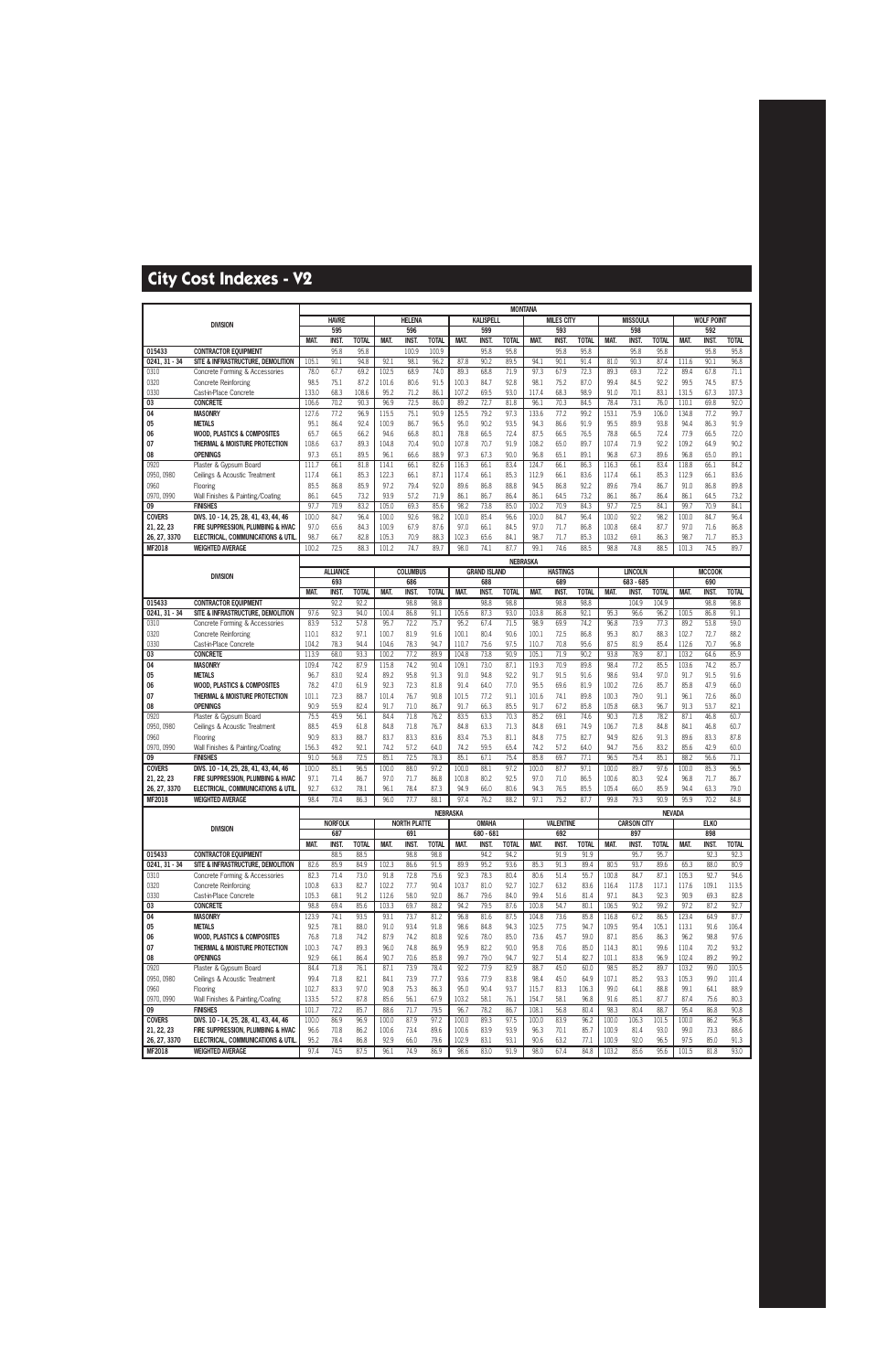|                 |                                                                         |                |                       |               |               |                            |              |               |                           | <b>MONTANA</b>  |               |                         |              |                |                           |               |                |                    |               |
|-----------------|-------------------------------------------------------------------------|----------------|-----------------------|---------------|---------------|----------------------------|--------------|---------------|---------------------------|-----------------|---------------|-------------------------|--------------|----------------|---------------------------|---------------|----------------|--------------------|---------------|
|                 | <b>DIVISION</b>                                                         |                | <b>HAVRE</b>          |               |               | <b>HELENA</b>              |              |               | <b>KALISPELL</b>          |                 |               | <b>MILES CITY</b>       |              |                | <b>MISSOULA</b>           |               |                | <b>WOLF POINT</b>  |               |
|                 |                                                                         |                | 595                   |               |               | 596                        |              |               | 599                       |                 |               | 593                     |              |                | 598                       |               |                | 592                |               |
|                 |                                                                         | MAT.           | <b>INST.</b>          | <b>TOTAL</b>  | MAT.          | <b>INST</b>                | <b>TOTAL</b> | MAT.          | <b>INST</b>               | <b>TOTAL</b>    | MAT.          | <b>INST</b>             | <b>TOTAL</b> | MAT.           | <b>INST.</b>              | <b>TOTAL</b>  | MAT.           | <b>INST</b>        | <b>TOTAL</b>  |
| 015433          | <b>CONTRACTOR EQUIPMENT</b>                                             |                | 95.8                  | 95.8          |               | 100.9                      | 100.9        |               | 95.8                      | 95.8            |               | 95.8                    | 95.8         |                | 95.8                      | 95.8          |                | 95.8               | 95.8          |
| 0241.31 - 34    | SITE & INFRASTRUCTURE. DEMOLITION                                       | 105.1          | 90.1                  | 94.8          | 92.1          | 98.1                       | 96.2         | 87.8          | 90.2                      | 89.5            | 94.1          | 90.1                    | 91.4         | 81.0           | 90.3                      | 87.4          | 111.6          | 90.1               | 96.8          |
| 0310            | Concrete Forming & Accessories                                          | 78.0           | 67.7                  | 69.2          | 102.5         | 68.9                       | 74.0         | 89.3          | 68.8                      | 71.9            | 97.3          | 67.9                    | 72.3         | 89.3           | 69.3                      | 72.2          | 89.4           | 67.8               | 71.1          |
| 0320            | Concrete Reinforcing                                                    | 98.5           | 75.1                  | 87.2          | 101.6         | 80.6                       | 91.5         | 100.3         | 84.7                      | 92.8            | 98.1          | 75.2                    | 87.0         | 99.4           | 84.5                      | 92.2          | 99.5           | 74.5               | 87.5          |
| 0330<br>03      | Cast-in-Place Concrete<br><b>CONCRETE</b>                               | 133.0<br>106.6 | 68.3<br>70.2          | 108.6<br>90.3 | 95.2<br>96.9  | 71.2<br>72.5               | 86.1<br>86.0 | 107.2<br>89.2 | 69.5<br>72.7              | 93.0<br>81.8    | 117.4<br>96.1 | 68.3<br>70.3            | 98.9<br>84.5 | 91.0<br>78.4   | 70.1<br>73.1              | 83.1<br>76.0  | 131.5<br>110.1 | 67.3<br>69.8       | 107.3<br>92.0 |
| 04              | <b>MASONRY</b>                                                          | 127.6          | 77.2                  | 96.9          | 115.5         | 75.1                       | 90.9         | 125.5         | 79.2                      | 97.3            | 133.6         | 77.2                    | 99.2         | 153.1          | 75.9                      | 106.0         | 134.8          | 77.2               | 99.7          |
| 05              | <b>METALS</b>                                                           | 95.1           | 86.4                  | 92.4          | 100.9         | 86.7                       | 96.5         | 95.0          | 90.2                      | 93.5            | 94.3          | 86.6                    | 91.9         | 95.5           | 89.9                      | 93.8          | 94.4           | 86.3               | 91.9          |
| 06              | <b>WOOD, PLASTICS &amp; COMPOSITES</b>                                  | 65.7           | 66.5                  | 66.2          | 94.6          | 66.8                       | 80.1         | 78.8          | 66.5                      | 72.4            | 87.5          | 66.5                    | 76.5         | 78.8           | 66.5                      | 72.4          | 77.9           | 66.5               | 72.0          |
| 07              | THERMAL & MOISTURE PROTECTION                                           | 108.6          | 63.7                  | 89.3          | 104.8         | 70.4                       | 90.0         | 107.8         | 70.7                      | 91.9            | 108.2         | 65.0                    | 89.7         | 107.4          | 71.9                      | 92.2          | 109.2          | 64.9               | 90.2          |
| 08              | <b>OPENINGS</b>                                                         | 97.3           | 65.1                  | 89.5          | 96.1          | 66.6                       | 88.9         | 97.3          | 67.3                      | 90.0            | 96.8          | 65.1                    | 89.1         | 96.8           | 67.3                      | 89.6          | 96.8           | 65.0               | 89.1          |
| 0920            | Plaster & Gypsum Board                                                  | 111.7          | 66.1                  | 81.8          | 114.1         | 66.1                       | 82.6         | 116.3         | 66.1                      | 83.4            | 124.7         | 66.1                    | 86.3         | 116.3          | 66.1                      | 83.4          | 118.8          | 66.1               | 84.2          |
| 0950, 0980      | Ceilings & Acoustic Treatment                                           | 117.4          | 66.1                  | 85.3          | 122.3         | 66.1                       | 87.1         | 117.4         | 66.1                      | 85.3            | 112.9         | 66.1                    | 83.6         | 117.4          | 66.1                      | 85.3          | 112.9          | 66.1               | 83.6          |
| 0960            | Flooring                                                                | 85.5           | 86.8                  | 85.9          | 97.2          | 79.4                       | 92.0         | 89.6          | 86.8                      | 88.8            | 94.5          | 86.8                    | 92.2         | 89.6           | 79.4                      | 86.7          | 91.0           | 86.8               | 89.8          |
| 0970, 0990      | Wall Finishes & Painting/Coating                                        | 86.1           | 64.5                  | 73.2          | 93.9          | 57.2                       | 71.9         | 86.1          | 86.7                      | 86.4            | 86.1          | 64.5                    | 73.2         | 86.1           | 86.7                      | 86.4          | 86.1           | 64.5               | 73.2          |
| 09              | <b>FINISHES</b>                                                         | 97.7           | 70.9                  | 83.2          | 105.0         | 69.3                       | 85.6         | 98.2          | 73.8                      | 85.0            | 100.2         | 70.9                    | 84.3         | 97.7           | 72.5                      | 84.1          | 99.7           | 70.9               | 84.1          |
| <b>COVERS</b>   | DIVS. 10 - 14, 25, 28, 41, 43, 44, 46                                   | 100.0          | 84.7                  | 96.4          | 100.0         | 92.6                       | 98.2         | 100.0         | 85.4                      | 96.6            | 100.0         | 84.7                    | 96.4         | 100.0          | 92.2                      | 98.2          | 100.0          | 84.7               | 96.4          |
| 21, 22, 23      | FIRE SUPPRESSION. PLUMBING & HVAC                                       | 97.0           | 65.6                  | 84.3          | 100.9         | 67.9                       | 87.6         | 97.0          | 66.1                      | 84.5            | 97.0          | 71.7                    | 86.8         | 100.8          | 68.4                      | 87.7          | 97.0           | 71.6               | 86.8          |
| 26, 27, 3370    | ELECTRICAL, COMMUNICATIONS & UTIL                                       | 98.7           | 66.7                  | 82.8          | 105.3         | 70.9                       | 88.3         | 102.3         | 65.6                      | 84.1            | 98.7          | 71.7                    | 85.3         | 103.2          | 69.1                      | 86.3          | 98.7           | 71.7               | 85.3          |
| MF2018          | <b>WEIGHTED AVERAGE</b>                                                 | 100.2          | 72.5                  | 88.3          | 101.2         | 74.7                       | 89.7         | 98.0          | 74.1                      | 87.7            | 99.1          | 74.6                    | 88.5         | 98.8           | 74.8                      | 88.5          | 101.3          | 74.5               | 89.7          |
|                 |                                                                         |                |                       |               |               |                            |              |               |                           | <b>NEBRASKA</b> |               |                         |              |                |                           |               |                |                    |               |
|                 | <b>DIVISION</b>                                                         |                | <b>ALLIANCE</b>       |               |               | <b>COLUMBUS</b>            |              |               | <b>GRAND ISLAND</b>       |                 |               | <b>HASTINGS</b>         |              |                | <b>LINCOLN</b>            |               |                | <b>MCCOOK</b>      |               |
|                 |                                                                         | <b>MAT</b>     | 693<br><b>INST.</b>   | <b>TOTAL</b>  | <b>MAT</b>    | 686<br><b>INST.</b>        | <b>TOTAL</b> | MAT.          | 688<br><b>INST</b>        | <b>TOTAL</b>    | MAT.          | 689<br><b>INST.</b>     | <b>TOTAL</b> | <b>MAT</b>     | 683 - 685<br>INST.        | <b>TOTAL</b>  | MAT.           | 690<br><b>INST</b> | <b>TOTAL</b>  |
| 015433          | <b>CONTRACTOR EQUIPMENT</b>                                             |                | 92.2                  | 92.2          |               | 98.8                       | 98.8         |               | 98.8                      | 98.8            |               | 98.8                    | 98.8         |                | 104.9                     | 104.9         |                | 98.8               | 98.8          |
| $0241, 31 - 34$ | SITE & INFRASTRUCTURE, DEMOLITION                                       | 97.6           | 92.3                  | 94.0          | 100.4         | 86.8                       | 91.1         | 105.6         | 87.3                      | 93.0            | 103.8         | 86.8                    | 92.1         | 95.3           | 96.6                      | 96.2          | 100.5          | 86.8               | 91.1          |
| 0310            | Concrete Forming & Accessories                                          | 83.9           | 53.2                  | 57.8          | 95.7          | 72.2                       | 75.7         | 95.2          | 67.4                      | 71.5            | 98.9          | 69.9                    | 74.2         | 96.8           | 73.9                      | 77.3          | 89.2           | 53.8               | 59.0          |
| 0320            | Concrete Reinforcing                                                    | 110.1          | 83.2                  | 97.1          | 100.7         | 81.9                       | 91.6         | 100.1         | 80.4                      | 90.6            | 100.1         | 72.5                    | 86.8         | 95.3           | 80.7                      | 88.3          | 102.7          | 72.7               | 88.2          |
| 0330            | Cast-in-Place Concrete                                                  | 104.2          | 78.3                  | 94.4          | 104.6         | 78.3                       | 94.7         | 110.7         | 75.6                      | 97.5            | 110.7         | 70.8                    | 95.6         | 87.5           | 81.9                      | 85.4          | 112.6          | 70.7               | 96.8          |
| 03              | <b>CONCRETE</b>                                                         | 113.9          | 68.0                  | 93.3          | 100.2         | 77.2                       | 89.9         | 104.8         | 73.8                      | 90.9            | 105.1         | 71.9                    | 90.2         | 93.8           | 78.9                      | 87.1          | 103.2          | 64.6               | 85.9          |
| 04              | <b>MASONRY</b>                                                          | 109.4          | 74.2                  | 87.9          | 115.8         | 74.2                       | 90.4         | 109.1         | 73.0                      | 87.1            | 119.3         | 70.9                    | 89.8         | 98.4           | 77.2                      | 85.5          | 103.6          | 74.2               | 85.7          |
| 05              | <b>METALS</b>                                                           | 96.7           | 83.0                  | 92.4          | 89.2          | 95.8                       | 91.3         | 91.0          | 94.8                      | 92.2            | 91.7          | 91.5                    | 91.6         | 98.6           | 93.4                      | 97.0          | 91.7           | 91.5               | 91.6          |
| 06              | <b>WOOD, PLASTICS &amp; COMPOSITES</b>                                  | 78.2           | 47.0                  | 61.9          | 92.3          | 72.3                       | 81.8         | 91.4          | 64.0                      | 77.0            | 95.5          | 69.6                    | 81.9         | 100.2          | 72.6                      | 85.7          | 85.8           | 47.9               | 66.0          |
| 07<br>08        | THERMAL & MOISTURE PROTECTION<br><b>OPENINGS</b>                        | 101.1<br>90.9  | 72.3<br>55.9          | 88.7<br>82.4  | 101.4<br>91.7 | 76.7<br>71.0               | 90.8<br>86.7 | 101.5<br>91.7 | 77.2<br>66.3              | 91.1<br>85.5    | 101.6<br>91.7 | 74.1<br>67.2            | 89.8<br>85.8 | 100.3<br>105.8 | 79.0<br>68.3              | 91.1<br>96.7  | 96.1<br>91.3   | 72.6<br>53.7       | 86.0<br>82.1  |
| 0920            | Plaster & Gypsum Board                                                  | 75.5           | 45.9                  | 56.1          | 84.4          | 71.8                       | 76.2         | 83.5          | 63.3                      | 70.3            | 85.2          | 69.1                    | 74.6         | 90.3           | 71.8                      | 78.2          | 87.1           | 46.8               | 60.7          |
| 0950, 0980      | Ceilings & Acoustic Treatment                                           | 88.5           | 45.9                  | 61.8          | 84.8          | 71.8                       | 76.7         | 84.8          | 63.3                      | 71.3            | 84.8          | 69.1                    | 74.9         | 106.7          | 71.8                      | 84.8          | 84.1           | 46.8               | 60.7          |
| 0960            | Flooring                                                                | 90.9           | 83.3                  | 88.7          | 83.7          | 83.3                       | 83.6         | 83.4          | 75.3                      | 81.1            | 84.8          | 77.5                    | 82.7         | 94.9           | 82.6                      | 91.3          | 89.6           | 83.3               | 87.8          |
| 0970, 0990      | Wall Finishes & Painting/Coating                                        | 156.3          | 49.2                  | 92.1          | 74.2          | 57.2                       | 64.0         | 74.2          | 59.5                      | 65.4            | 74.2          | 57.2                    | 64.0         | 94.7           | 75.6                      | 83.2          | 85.6           | 42.9               | 60.0          |
| 09              | <b>FINISHES</b>                                                         | 91.0           | 56.8                  | 72.5          | 85.1          | 72.5                       | 78.3         | 85.1          | 67.1                      | 75.4            | 85.8          | 69.7                    | 77.1         | 96.5           | 75.4                      | 85.1          | 88.2           | 56.6               | 71.1          |
| <b>COVERS</b>   | DIVS. 10 - 14, 25, 28, 41, 43, 44, 46                                   | 100.0          | 85.1                  | 96.5          | 100.0         | 88.0                       | 97.2         | 100.0         | 88.1                      | 97.2            | 100.0         | 87.7                    | 97.1         | 100.0          | 89.7                      | 97.6          | 100.0          | 85.3               | 96.5          |
| 21, 22, 23      | FIRE SUPPRESSION. PLUMBING & HVAC                                       | 97.1           | 71.4                  | 86.7          | 97.0          | 71.7                       | 86.8         | 100.8         | 80.2                      | 92.5            | 97.0          | 71.0                    | 86.5         | 100.6          | 80.3                      | 92.4          | 96.8           | 71.7               | 86.7          |
| 26, 27, 3370    | ELECTRICAL, COMMUNICATIONS & UTIL                                       | 92.7           | 63.2                  | 78.1          | 96.1          | 78.4                       | 87.3         | 94.9          | 66.0                      | 80.6            | 94.3          | 76.5                    | 85.5         | 105.4          | 66.0                      | 85.9          | 94.4           | 63.3               | 79.0          |
| MF2018          | <b>WEIGHTED AVERAGE</b>                                                 | 98.4           | 70.4                  | 86.3          | 96.0          | 77.7                       | 88.1         | 97.4          | 76.2                      | 88.2            | 97.1          | 75.2                    | 87.7         | 99.8           | 79.3                      | 90.9          | 95.9           | 70.2               | 84.8          |
|                 |                                                                         |                |                       |               |               |                            | NEBRASKA     |               |                           |                 |               |                         |              |                |                           | <b>NEVADA</b> |                |                    |               |
|                 | <b>DIVISION</b>                                                         |                | <b>NORFOLK</b><br>687 |               |               | <b>NORTH PLATTE</b><br>691 |              |               | <b>OMAHA</b><br>680 - 681 |                 |               | <b>VALENTINE</b><br>692 |              |                | <b>CARSON CITY</b><br>897 |               |                | <b>ELKO</b><br>898 |               |
|                 |                                                                         | MAT.           | <b>INST.</b>          | <b>TOTAL</b>  | MAT.          | <b>INST.</b>               | <b>TOTAL</b> | MAT.          | <b>INST.</b>              | <b>TOTAL</b>    | MAT.          | <b>INST.</b>            | <b>TOTAL</b> | MAT.           | <b>INST.</b>              | <b>TOTAL</b>  | MAT.           | <b>INST.</b>       | <b>TOTAL</b>  |
| 015433          | <b>CONTRACTOR EQUIPMENT</b>                                             |                | 88.5                  | 88.5          |               | 98.8                       | 98.8         |               | 94.2                      | 94.2            |               | 91.9                    | 91.9         |                | 95.7                      | 95.7          |                | 92.3               | 92.3          |
| $0241, 31 - 34$ | SITE & INFRASTRUCTURE, DEMOLITION                                       | 82.6           | 85.9                  | 84.9          | 102.3         | 86.6                       | 91.5         | 89.9          | 95.2                      | 93.6            | 85.3          | 91.3                    | 89.4         | 80.5           | 93.7                      | 89.6          | 65.3           | 88.0               | 80.9          |
| 0310            | Concrete Forming & Accessories                                          | 82.3           | 71.4                  | 73.0          | 91.8          | 72.8                       | 75.6         | 92.3          | 78.3                      | 80.4            | 80.6          | 51.4                    | 55.7         | 100.8          | 84.7                      | 87.1          | 105.3          | 92.7               | 94.6          |
| 0320            | <b>Concrete Reinforcing</b>                                             | 100.8          | 63.3                  | 82.7          | 102.2         | 77.7                       | 90.4         | 103.7         | 81.0                      | 92.7            | 102.7         | 63.2                    | 83.6         | 116.4          | 117.8                     | 117.1         | 117.6          | 109.1              | 113.5         |
| 0330            | Cast-in-Place Concrete                                                  | 105.3          | 68.1                  | 91.2          | 112.6         | 58.0                       | 92.0         | 86.7          | 79.6                      | 84.0            | 99.4          | 51.6                    | 81.4         | 97.1           | 84.3                      | 92.3          | 90.9           | 69.3               | 82.8          |
| 03              | <b>CONCRETE</b>                                                         | 98.8           | 69.4                  | 85.6          | 103.3         | 69.7                       | 88.2         | 94.2          | 79.5                      | 87.6            | 100.8         | 54.7                    | 80.1         | 106.5          | 90.2                      | 99.2          | 97.2           | 87.2               | 92.7          |
| 04              | <b>MASONRY</b>                                                          | 123.9          | 74.1                  | 93.5          | 93.1          | 73.7                       | 81.2         | 96.8          | 81.6                      | 87.5            | 104.8         | 73.6                    | 85.8         | 116.8          | 67.2                      | 86.5          | 123.4          | 64.9               | 87.7          |
| 05              | <b>METALS</b>                                                           | 92.5           | 78.1                  | 88.0          | 91.0          | 93.4                       | 91.8         | 98.6          | 84.8                      | 94.3            | 102.5         | 77.5                    | 94.7         | 109.5          | 95.4                      | 105.1         | 113.1          | 91.6               | 106.4         |
| 06<br>07        | <b>WOOD, PLASTICS &amp; COMPOSITES</b><br>THERMAL & MOISTURE PROTECTION | 76.8<br>100.3  | 71.8<br>74.7          | 74.2<br>89.3  | 87.9<br>96.0  | 74.2<br>74.8               | 80.8<br>86.9 | 92.6<br>95.9  | 78.0<br>82.2              | 85.0<br>90.0    | 73.6<br>95.8  | 45.7<br>70.6            | 59.0<br>85.0 | 87.1<br>114.3  | 85.6<br>80.1              | 86.3<br>99.6  | 96.2<br>110.4  | 98.8<br>70.2       | 97.6<br>93.2  |
| 08              | <b>OPENINGS</b>                                                         | 92.9           | 66.1                  | 86.4          | 90.7          | 70.6                       | 85.8         | 99.7          | 79.0                      | 94.7            | 92.7          | 51.4                    | 82.7         | 101.1          | 83.8                      | 96.9          | 102.4          | 89.2               | 99.2          |
| 0920            | Plaster & Gypsum Board                                                  | 84.4           | 71.8                  | 76.1          | 87.1          | 73.9                       | 78.4         | 92.2          | 77.9                      | 82.9            | 88.7          | 45.0                    | 60.0         | 98.5           | 85.2                      | 89.7          | 103.2          | 99.0               | 100.5         |
| 0950, 0980      | Ceilings & Acoustic Treatment                                           | 99.4           | 71.8                  | 82.1          | 84.1          | 73.9                       | 77.7         | 93.6          | 77.9                      | 83.8            | 98.4          | 45.0                    | 64.9         | 107.1          | 85.2                      | 93.3          | 105.3          | 99.0               | 101.4         |
| 0960            | Flooring                                                                | 102.7          | 83.3                  | 97.0          | 90.8          | 75.3                       | 86.3         | 95.0          | 90.4                      | 93.7            | 115.7         | 83.3                    | 106.3        | 99.0           | 64.1                      | 88.8          | 99.1           | 64.1               | 88.9          |
| 0970, 0990      | Wall Finishes & Painting/Coating                                        | 133.5          | 57.2                  | 87.8          | 85.6          | 56.1                       | 67.9         | 103.2         | 58.1                      | 76.1            | 154.7         | 58.1                    | 96.8         | 91.6           | 85.1                      | 87.7          | 87.4           | 75.6               | 80.3          |
| 09              | <b>FINISHES</b>                                                         | 101.7          | 72.2                  | 85.7          | 88.6          | 71.7                       | 79.5         | 96.7          | 78.2                      | 86.7            | 108.1         | 56.8                    | 80.4         | 98.3           | 80.4                      | 88.7          | 95.4           | 86.8               | 90.8          |
| <b>COVERS</b>   | DIVS. 10 - 14, 25, 28, 41, 43, 44, 46                                   | 100.0          | 86.9                  | 96.9          | 100.0         | 87.9                       | 97.2         | 100.0         | 89.3                      | 97.5            | 100.0         | 83.9                    | 96.2         | 100.0          | 106.3                     | 101.5         | 100.0          | 86.2               | 96.8          |
| 21, 22, 23      | FIRE SUPPRESSION, PLUMBING & HVAC                                       | 96.6           | 70.8                  | 86.2          | 100.6         | 73.4                       | 89.6         | 100.6         | 83.9                      | 93.9            | 96.3          | 70.1                    | 85.7         | 100.9          | 81.4                      | 93.0          | 99.0           | 73.3               | 88.6          |
| 26, 27, 3370    | ELECTRICAL, COMMUNICATIONS & UTIL                                       | 95.2           | 78.4                  | 86.8          | 92.9          | 66.0                       | 79.6         | 102.9         | 83.1                      | 93.1            | 90.6          | 63.2                    | 77.1         | 100.9          | 92.0                      | 96.5          | 97.5           | 85.0               | 91.3          |
| <b>MF2018</b>   | WEIGHTED AVERAGE                                                        | 97.4           | 74.5                  | 87.5          | 96.1          | 74.9                       | 86.9         | 98.6          | 83.0                      | 91.9            | 98.0          | 67.4                    | 84.8         | 103.2          | 85.6                      | 95.6          | 101.5          | 81.8               | 93.0          |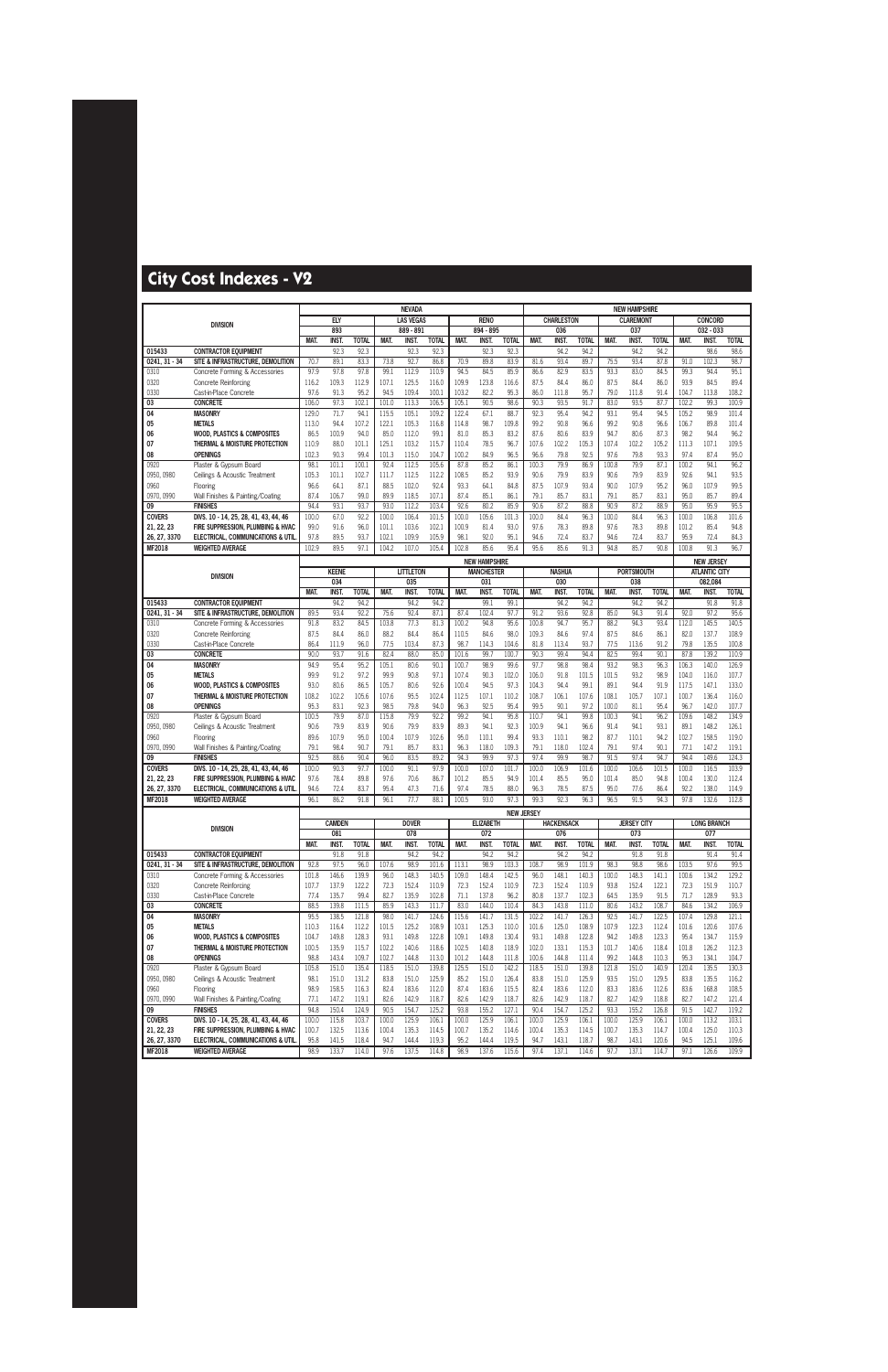|                        |                                                                         |                |                      |                      |                | <b>NEVADA</b>       |                      |                |                                           |                      |                   |                          |                      |               | <b>NEW HAMPSHIRE</b>      |                      |                |                                           |                      |
|------------------------|-------------------------------------------------------------------------|----------------|----------------------|----------------------|----------------|---------------------|----------------------|----------------|-------------------------------------------|----------------------|-------------------|--------------------------|----------------------|---------------|---------------------------|----------------------|----------------|-------------------------------------------|----------------------|
|                        | <b>DIVISION</b>                                                         |                | ELY                  |                      |                | <b>LAS VEGAS</b>    |                      |                | <b>RENO</b>                               |                      |                   | <b>CHARLESTON</b>        |                      |               | <b>CLAREMONT</b>          |                      |                | <b>CONCORD</b>                            |                      |
|                        |                                                                         |                | 893                  |                      |                | $889 - 891$         |                      |                | 894 - 895                                 |                      |                   | 036                      |                      |               | 037                       |                      |                | 032 - 033                                 |                      |
| 015433                 | <b>CONTRACTOR EQUIPMENT</b>                                             | MAT.           | <b>INST.</b><br>92.3 | <b>TOTAL</b><br>92.3 | MAT.           | INST.<br>92.3       | <b>TOTAL</b><br>92.3 | MAT.           | INST.<br>92.3                             | <b>TOTAL</b><br>92.3 | MAT.              | <b>INST.</b><br>94.2     | <b>TOTAL</b><br>94.2 | MAT.          | INST.<br>94.2             | <b>TOTAL</b><br>94.2 | <b>MAT</b>     | INST.<br>98.6                             | <b>TOTAL</b><br>98.6 |
| 0241.31 - 34           | SITE & INFRASTRUCTURE, DEMOLITION                                       | 70.7           | 89.1                 | 83.3                 | 73.8           | 92.7                | 86.8                 | 70.9           | 89.8                                      | 83.9                 | 81.6              | 93.4                     | 89.7                 | 75.5          | 93.4                      | 87.8                 | 91.0           | 102.3                                     | 98.7                 |
| 0310                   | Concrete Forming & Accessories                                          | 97.9           | 97.8                 | 97.8                 | 99.1           | 112.9               | 110.9                | 94.5           | 84.5                                      | 85.9                 | 86.6              | 82.9                     | 83.5                 | 93.3          | 83.0                      | 84.5                 | 99.3           | 94.4                                      | 95.1                 |
| 0320                   | <b>Concrete Reinforcing</b>                                             | 116.2          | 109.3                | 112.9                | 107.1          | 125.5               | 116.0                | 109.9          | 123.8                                     | 116.6                | 87.5              | 84.4                     | 86.0                 | 87.5          | 84.4                      | 86.0                 | 93.9           | 84.5                                      | 89.4                 |
| 0330                   | Cast-in-Place Concrete                                                  | 97.6           | 91.3                 | 95.2                 | 94.5           | 109.4               | 100.1                | 103.2          | 82.2                                      | 95.3                 | 86.0              | 111.8                    | 95.7                 | 79.0          | 111.8                     | 91.4                 | 104.7          | 113.8                                     | 108.2                |
| 03                     | <b>CONCRETE</b><br><b>MASONRY</b>                                       | 106.0          | 97.3<br>71.7         | 102.1                | 101.0          | 113.3<br>105.1      | 106.5<br>109.2       | 105.1<br>122.4 | 90.5<br>67.1                              | 98.6<br>88.7         | 90.3<br>92.3      | 93.5<br>95.4             | 91.7<br>94.2         | 83.0<br>93.1  | 93.5<br>95.4              | 87.7<br>94.5         | 102.2<br>105.2 | 99.3<br>98.9                              | 100.9<br>101.4       |
| 04<br>05               | <b>METALS</b>                                                           | 129.0<br>113.0 | 94.4                 | 94.1<br>107.2        | 115.5<br>122.1 | 105.3               | 116.8                | 114.8          | 98.7                                      | 109.8                | 99.2              | 90.8                     | 96.6                 | 99.2          | 90.8                      | 96.6                 | 106.7          | 89.8                                      | 101.4                |
| 06                     | <b>WOOD, PLASTICS &amp; COMPOSITES</b>                                  | 86.5           | 100.9                | 94.0                 | 85.0           | 112.0               | 99.1                 | 81.0           | 85.3                                      | 83.2                 | 87.6              | 80.6                     | 83.9                 | 94.7          | 80.6                      | 87.3                 | 98.2           | 94.4                                      | 96.2                 |
| 07                     | THERMAL & MOISTURE PROTECTION                                           | 110.9          | 88.0                 | 101.1                | 125.1          | 103.2               | 115.7                | 110.4          | 78.5                                      | 96.7                 | 107.6             | 102.2                    | 105.3                | 107.4         | 102.2                     | 105.2                | 111.3          | 107.1                                     | 109.5                |
| 08                     | <b>OPENINGS</b>                                                         | 102.3          | 90.3                 | 99.4                 | 101.3          | 115.0               | 104.7                | 100.2          | 84.9                                      | 96.5                 | 96.6              | 79.8                     | 92.5                 | 97.6          | 79.8                      | 93.3                 | 97.4           | 87.4                                      | 95.0                 |
| 0920                   | Plaster & Gypsum Board                                                  | 98.1           | 101.1                | 100.1                | 92.4           | 112.5               | 105.6                | 87.8           | 85.2                                      | 86.1                 | 100.3             | 79.9                     | 86.9                 | 100.8         | 79.9                      | 87.1                 | 100.2          | 94.1                                      | 96.2                 |
| 0950, 0980<br>0960     | Ceilings & Acoustic Treatment<br>Flooring                               | 105.3<br>96.6  | 101.1<br>64.1        | 102.7<br>87.1        | 111.7<br>88.5  | 112.5<br>102.0      | 112.2<br>92.4        | 108.5<br>93.3  | 85.2<br>64.1                              | 93.9<br>84.8         | 90.6<br>87.5      | 79.9<br>107.9            | 83.9<br>93.4         | 90.6<br>90.0  | 79.9<br>107.9             | 83.9<br>95.2         | 92.6<br>96.0   | 94.1<br>107.9                             | 93.5<br>99.5         |
| 0970, 0990             | Wall Finishes & Painting/Coating                                        | 87.4           | 106.7                | 99.0                 | 89.9           | 118.5               | 107.1                | 87.4           | 85.1                                      | 86.1                 | 79.1              | 85.7                     | 83.1                 | 79.1          | 85.7                      | 83.1                 | 95.0           | 85.7                                      | 89.4                 |
| 09                     | <b>FINISHES</b>                                                         | 94.4           | 93.1                 | 93.7                 | 93.0           | 112.2               | 103.4                | 92.6           | 80.2                                      | 85.9                 | 90.6              | 87.2                     | 88.8                 | 90.9          | 87.2                      | 88.9                 | 95.0           | 95.9                                      | 95.5                 |
| <b>COVERS</b>          | DIVS. 10 - 14, 25, 28, 41, 43, 44, 46                                   | 100.0          | 67.0                 | 92.2                 | 100.0          | 106.4               | 101.5                | 100.0          | 105.6                                     | 101.3                | 100.0             | 84.4                     | 96.3                 | 100.0         | 84.4                      | 96.3                 | 100.0          | 106.8                                     | 101.6                |
| 21, 22, 23             | FIRE SUPPRESSION, PLUMBING & HVAC                                       | 99.0           | 91.6                 | 96.0                 | 101.1          | 103.6               | 102.1                | 100.9          | 81.4                                      | 93.0                 | 97.6              | 78.3                     | 89.8                 | 97.6          | 78.3                      | 89.8                 | 101.2          | 85.4                                      | 94.8                 |
| 26, 27, 3370<br>MF2018 | ELECTRICAL, COMMUNICATIONS & UTIL<br><b>WEIGHTED AVERAGE</b>            | 97.8<br>102.9  | 89.5<br>89.5         | 93.7<br>97.1         | 102.1<br>104.2 | 109.9<br>107.0      | 105.9<br>105.4       | 98.1<br>102.8  | 92.0<br>85.6                              | 95.1<br>95.4         | 94.6<br>95.6      | 72.4<br>85.6             | 83.7<br>91.3         | 94.6<br>94.8  | 72.4<br>85.7              | 83.7<br>90.8         | 95.9<br>100.8  | 72.4<br>91.3                              | 84.3<br>96.7         |
|                        |                                                                         |                |                      |                      |                |                     |                      |                |                                           |                      |                   |                          |                      |               |                           |                      |                |                                           |                      |
|                        |                                                                         |                | <b>KEENE</b>         |                      |                | <b>LITTLETON</b>    |                      |                | <b>NEW HAMPSHIRE</b><br><b>MANCHESTER</b> |                      |                   | <b>NASHUA</b>            |                      |               | <b>PORTSMOUTH</b>         |                      |                | <b>NEW JERSEY</b><br><b>ATLANTIC CITY</b> |                      |
|                        | <b>DIVISION</b>                                                         |                | 034                  |                      |                | 035                 |                      |                | 031                                       |                      |                   | 030                      |                      |               | 038                       |                      |                | 082,084                                   |                      |
|                        |                                                                         | MAT.           | INST.                | <b>TOTAL</b>         | MAT.           | <b>INST.</b>        | <b>TOTAL</b>         | MAT.           | <b>INST</b>                               | <b>TOTAL</b>         | MAT.              | <b>INST.</b>             | <b>TOTAL</b>         | MAT.          | INST.                     | <b>TOTAL</b>         | MAT.           | INST.                                     | <b>TOTAL</b>         |
| 015433                 | <b>CONTRACTOR EQUIPMENT</b>                                             |                | 94.2                 | 94.2                 |                | 94.2                | 94.2                 |                | 99.1                                      | 99.1                 |                   | 94.2                     | 94.2                 |               | 94.2                      | 94.2                 |                | 91.8                                      | 91.8                 |
| $0241, 31 - 34$        | SITE & INFRASTRUCTURE, DEMOLITION                                       | 89.5           | 93.4                 | 92.2                 | 75.6           | 92.4                | 87.1                 | 87.4           | 102.4                                     | 97.7                 | 91.2              | 93.6                     | 92.8                 | 85.0          | 94.3                      | 91.4                 | 92.0           | 97.2                                      | 95.6                 |
| 0310<br>0320           | Concrete Forming & Accessories<br><b>Concrete Reinforcing</b>           | 91.8<br>87.5   | 83.2<br>84.4         | 84.5<br>86.0         | 103.8<br>88.2  | 77.3<br>84.4        | 81.3<br>86.4         | 100.2<br>110.5 | 94.8<br>84.6                              | 95.6<br>98.0         | 100.8<br>109.3    | 94.7<br>84.6             | 95.7<br>97.4         | 88.2<br>87.5  | 94.3<br>84.6              | 93.4<br>86.1         | 112.0<br>82.0  | 145.5<br>137.7                            | 140.5<br>108.9       |
| 0330                   | Cast-in-Place Concrete                                                  | 86.4           | 111.9                | 96.0                 | 77.5           | 103.4               | 87.3                 | 98.7           | 114.3                                     | 104.6                | 81.8              | 113.4                    | 93.7                 | 77.5          | 113.6                     | 91.2                 | 79.8           | 135.5                                     | 100.8                |
| 03                     | <b>CONCRETE</b>                                                         | 90.0           | 93.7                 | 91.6                 | 82.4           | 88.0                | 85.0                 | 101.6          | 99.7                                      | 100.7                | 90.3              | 99.4                     | 94.4                 | 82.5          | 99.4                      | 90.1                 | 87.8           | 139.2                                     | 110.9                |
| 04                     | <b>MASONRY</b>                                                          | 94.9           | 95.4                 | 95.2                 | 105.1          | 80.6                | 90.1                 | 100.7          | 98.9                                      | 99.6                 | 97.7              | 98.8                     | 98.4                 | 93.2          | 98.3                      | 96.3                 | 106.3          | 140.0                                     | 126.9                |
| 05                     | <b>METALS</b>                                                           | 99.9           | 91.2                 | 97.2                 | 99.9           | 90.8                | 97.1                 | 107.4          | 90.3                                      | 102.0                | 106.0             | 91.8                     | 101.5                | 101.5         | 93.2                      | 98.9                 | 104.0          | 116.0                                     | 107.7                |
| 06<br>07               | <b>WOOD, PLASTICS &amp; COMPOSITES</b><br>THERMAL & MOISTURE PROTECTION | 93.0<br>108.2  | 80.6<br>102.2        | 86.5<br>105.6        | 105.7<br>107.6 | 80.6<br>95.5        | 92.6<br>102.4        | 100.4<br>112.5 | 94.5<br>107.1                             | 97.3<br>110.2        | 104.3<br>108.7    | 94.4<br>106.1            | 99.1<br>107.6        | 89.1<br>108.1 | 94.4<br>105.7             | 91.9<br>107.1        | 117.5<br>100.7 | 147.1<br>136.4                            | 133.0<br>116.0       |
| 08                     | <b>OPENINGS</b>                                                         | 95.3           | 83.1                 | 92.3                 | 98.5           | 79.8                | 94.0                 | 96.3           | 92.5                                      | 95.4                 | 99.5              | 90.1                     | 97.2                 | 100.0         | 81.1                      | 95.4                 | 96.7           | 142.0                                     | 107.7                |
| 0920                   | Plaster & Gypsum Board                                                  | 100.5          | 79.9                 | 87.0                 | 115.8          | 79.9                | 92.2                 | 99.2           | 94.1                                      | 95.8                 | 110.7             | 94.1                     | 99.8                 | 100.3         | 94.1                      | 96.2                 | 109.6          | 148.2                                     | 134.9                |
| 0950, 0980             | Ceilings & Acoustic Treatment                                           | 90.6           | 79.9                 | 83.9                 | 90.6           | 79.9                | 83.9                 | 89.3           | 94.1                                      | 92.3                 | 100.9             | 94.1                     | 96.6                 | 91.4          | 94.1                      | 93.1                 | 89.1           | 148.2                                     | 126.1                |
| 0960                   | Flooring                                                                | 89.6           | 107.9                | 95.0                 | 100.4          | 107.9               | 102.6                | 95.0           | 110.1                                     | 99.4                 | 93.3              | 110.1                    | 98.2                 | 87.7          | 110.1                     | 94.2                 | 102.7          | 158.5                                     | 119.0                |
| 0970, 0990<br>09       | Wall Finishes & Painting/Coating<br><b>FINISHES</b>                     | 79.1<br>92.5   | 98.4<br>88.6         | 90.7<br>90.4         | 79.1<br>96.0   | 85.7<br>83.5        | 83.1<br>89.2         | 96.3<br>94.3   | 118.0<br>99.9                             | 109.3<br>97.3        | 79.1<br>97.4      | 118.0<br>99.9            | 102.4<br>98.7        | 79.1<br>91.5  | 97.4<br>97.4              | 90.1<br>94.7         | 77.1<br>94.4   | 147.2<br>149.6                            | 119.1<br>124.3       |
| <b>COVERS</b>          | DIVS. 10 - 14, 25, 28, 41, 43, 44, 46                                   | 100.0          | 90.3                 | 97.7                 | 100.0          | 91.1                | 97.9                 | 100.0          | 107.0                                     | 101.7                | 100.0             | 106.9                    | 101.6                | 100.0         | 106.6                     | 101.5                | 100.0          | 116.5                                     | 103.9                |
| 21, 22, 23             | FIRE SUPPRESSION, PLUMBING & HVAC                                       | 97.6           | 78.4                 | 89.8                 | 97.6           | 70.6                | 86.7                 | 101.2          | 85.5                                      | 94.9                 | 101.4             | 85.5                     | 95.0                 | 101.4         | 85.0                      | 94.8                 | 100.4          | 130.0                                     | 112.4                |
| 26, 27, 3370           | ELECTRICAL, COMMUNICATIONS & UTIL                                       | 94.6           | 72.4                 | 83.7                 | 95.4           | 47.3                | 71.6                 | 97.4           | 78.5                                      | 88.0                 | 96.3              | 78.5                     | 87.5                 | 95.0          | 77.6                      | 86.4                 | 92.2           | 138.0                                     | 114.9                |
| MF2018                 | <b>WEIGHTED AVERAGE</b>                                                 | 96.1           | 86.2                 | 91.8                 | 96.1           | 77.7                | 88.1                 | 100.5          | 93.0                                      | 97.3                 | 99.3              | 92.3                     | 96.3                 | 96.5          | 91.5                      | 94.3                 | 97.8           | 132.6                                     | 112.8                |
|                        |                                                                         |                |                      |                      |                |                     |                      |                |                                           |                      | <b>NEW JERSEY</b> |                          |                      |               |                           |                      |                |                                           |                      |
|                        | <b>DIVISION</b>                                                         |                | <b>CAMDEN</b><br>081 |                      |                | <b>DOVER</b><br>078 |                      |                | <b>ELIZABETH</b><br>072                   |                      |                   | <b>HACKENSACK</b><br>076 |                      |               | <b>JERSEY CITY</b><br>073 |                      |                | <b>LONG BRANCH</b><br>077                 |                      |
|                        |                                                                         | MAT.           | INST.                | <b>TOTAL</b>         | MAT.           | INST.               | <b>TOTAL</b>         | MAT.           | INST.                                     | <b>TOTAL</b>         | MAT.              | INST.                    | <b>TOTAL</b>         | MAT.          | INST.                     | <b>TOTAL</b>         | MAT.           | INST.                                     | <b>TOTAL</b>         |
| 015433                 | <b>CONTRACTOR EQUIPMENT</b>                                             |                | 91.8                 | 91.8                 |                | 94.2                | 94.2                 |                | 94.2                                      | 94.2                 |                   | 94.2                     | 94.2                 |               | 91.8                      | 91.8                 |                | 91.4                                      | 91.4                 |
| 0241, 31 - 34          | SITE & INFRASTRUCTURE, DEMOLITION                                       | 92.8           | 97.5                 | 96.0                 | 107.6          | 98.9                | 101.6                | 113.1          | 98.9                                      | 103.3                | 108.7             | 98.9                     | 101.9                | 98.3          | 98.8                      | 98.6                 | 103.5          | 97.6                                      | 99.5                 |
| 0310                   | Concrete Forming & Accessories<br><b>Concrete Reinforcing</b>           | 101.8          | 146.6                | 139.9                | 96.0           | 148.3               | 140.5                | 109.0          | 148.4                                     | 142.5                | 96.0              | 148.1                    | 140.3                | 100.0         | 148.3                     | 141.1                | 100.6          | 134.2                                     | 129.2                |
| 0320<br>0330           | Cast-in-Place Concrete                                                  | 107.7<br>77.4  | 137.9<br>135.7       | 122.2<br>99.4        | 72.3<br>82.7   | 152.4<br>135.9      | 110.9<br>102.8       | 72.3<br>71.1   | 152.4<br>137.8                            | 110.9<br>96.2        | 72.3<br>80.8      | 152.4<br>137.7           | 110.9<br>102.3       | 93.8<br>64.5  | 152.4<br>135.9            | 122.1<br>91.5        | 72.3<br>71.7   | 151.9<br>128.9                            | 110.7<br>93.3        |
| $\overline{03}$        | <b>CONCRETE</b>                                                         | 88.5           | 139.8                | 111.5                | 85.9           | 143.3               | 111.7                | 83.0           | 144.0                                     | 110.4                | 84.3              | 143.8                    | 111.0                | 80.6          | 143.2                     | 108.7                | 84.6           | 134.2                                     | 106.9                |
| 04                     | <b>MASONRY</b>                                                          | 95.5           | 138.5                | 121.8                | 98.0           | 141.7               | 124.6                | 115.6          | 141.7                                     | 131.5                | 102.2             | 141.7                    | 126.3                | 92.5          | 141.7                     | 122.5                | 107.4          | 129.8                                     | 121.1                |
| 05                     | <b>METALS</b>                                                           | 110.3          | 116.4                | 112.2                | 101.5          | 125.2               | 108.9                | 103.1          | 125.3                                     | 110.0                | 101.6             | 125.0                    | 108.9                | 107.9         | 122.3                     | 112.4                | 101.6          | 120.6                                     | 107.6                |
| 06                     | <b>WOOD, PLASTICS &amp; COMPOSITES</b>                                  | 104.7          | 149.8                | 128.3                | 93.1           | 149.8               | 122.8                | 109.1          | 149.8                                     | 130.4                | 93.1              | 149.8<br>133.1           | 122.8                | 94.2          | 149.8                     | 123.3                | 95.4           | 134.7                                     | 115.9                |
| 07<br>08               | THERMAL & MOISTURE PROTECTION<br><b>OPENINGS</b>                        | 100.5<br>98.8  | 135.9<br>143.4       | 115.7<br>109.7       | 102.2<br>102.7 | 140.6<br>144.8      | 118.6<br>113.0       | 102.5<br>101.2 | 140.8<br>144.8                            | 118.9<br>111.8       | 102.0<br>100.6    | 144.8                    | 115.3<br>111.4       | 101.7<br>99.2 | 140.6<br>144.8            | 118.4<br>110.3       | 101.8<br>95.3  | 126.2<br>134.1                            | 112.3<br>104.7       |
| 0920                   | Plaster & Gypsum Board                                                  | 105.8          | 151.0                | 135.4                | 118.5          | 151.0               | 139.8                | 125.5          | 151.0                                     | 142.2                | 118.5             | 151.0                    | 139.8                | 121.8         | 151.0                     | 140.9                | 120.4          | 135.5                                     | 130.3                |
| 0950, 0980             | Ceilings & Acoustic Treatment                                           | 98.1           | 151.0                | 131.2                | 83.8           | 151.0               | 125.9                | 85.2           | 151.0                                     | 126.4                | 83.8              | 151.0                    | 125.9                | 93.5          | 151.0                     | 129.5                | 83.8           | 135.5                                     | 116.2                |
| 0960                   | Flooring                                                                | 98.9           | 158.5                | 116.3                | 82.4           | 183.6               | 112.0                | 87.4           | 183.6                                     | 115.5                | 82.4              | 183.6                    | 112.0                | 83.3          | 183.6                     | 112.6                | 83.6           | 168.8                                     | 108.5                |
| 0970, 0990             | Wall Finishes & Painting/Coating<br><b>FINISHES</b>                     | 77.1<br>94.8   | 147.2                | 119.1                | 82.6           | 142.9               | 118.7                | 82.6           | 142.9                                     | 118.7                | 82.6              | 142.9                    | 118.7                | 82.7          | 142.9                     | 118.8                | 82.7           | 147.2                                     | 121.4                |
| 09<br><b>COVERS</b>    | DIVS. 10 - 14, 25, 28, 41, 43, 44, 46                                   | 100.0          | 150.4<br>115.8       | 124.9<br>103.7       | 90.5<br>100.0  | 154.7<br>125.9      | 125.2<br>106.1       | 93.8<br>100.0  | 155.2<br>125.9                            | 127.1<br>106.1       | 90.4<br>100.0     | 154.7<br>125.9           | 125.2<br>106.1       | 93.3<br>100.0 | 155.2<br>125.9            | 126.8<br>106.1       | 91.5<br>100.0  | 142.7<br>113.2                            | 119.2<br>103.1       |
| 21, 22, 23             | FIRE SUPPRESSION, PLUMBING & HVAC                                       | 100.7          | 132.5                | 113.6                | 100.4          | 135.3               | 114.5                | 100.7          | 135.2                                     | 114.6                | 100.4             | 135.3                    | 114.5                | 100.7         | 135.3                     | 114.7                | 100.4          | 125.0                                     | 110.3                |
| 26, 27, 3370           | ELECTRICAL, COMMUNICATIONS & UTIL                                       | 95.8           | 141.5                | 118.4                | 94.7           | 144.4               | 119.3                | 95.2           | 144.4                                     | 119.5                | 94.7              | 143.1                    | 118.7                | 98.7          | 143.1                     | 120.6                | 94.5           | 125.1                                     | 109.6                |
| <b>MF2018</b>          | <b>WEIGHTED AVERAGE</b>                                                 | 98.9           | 133.7                | 114.0                | 97.6           | 137.5               | 114.8                | 98.9           | 137.6                                     | 115.6                | 97.4              | 137.1                    | 114.6                | 97.7          | 137.1                     | 114.7                | 97.1           | 126.6                                     | 109.9                |
|                        |                                                                         |                |                      |                      |                |                     |                      |                |                                           |                      |                   |                          |                      |               |                           |                      |                |                                           |                      |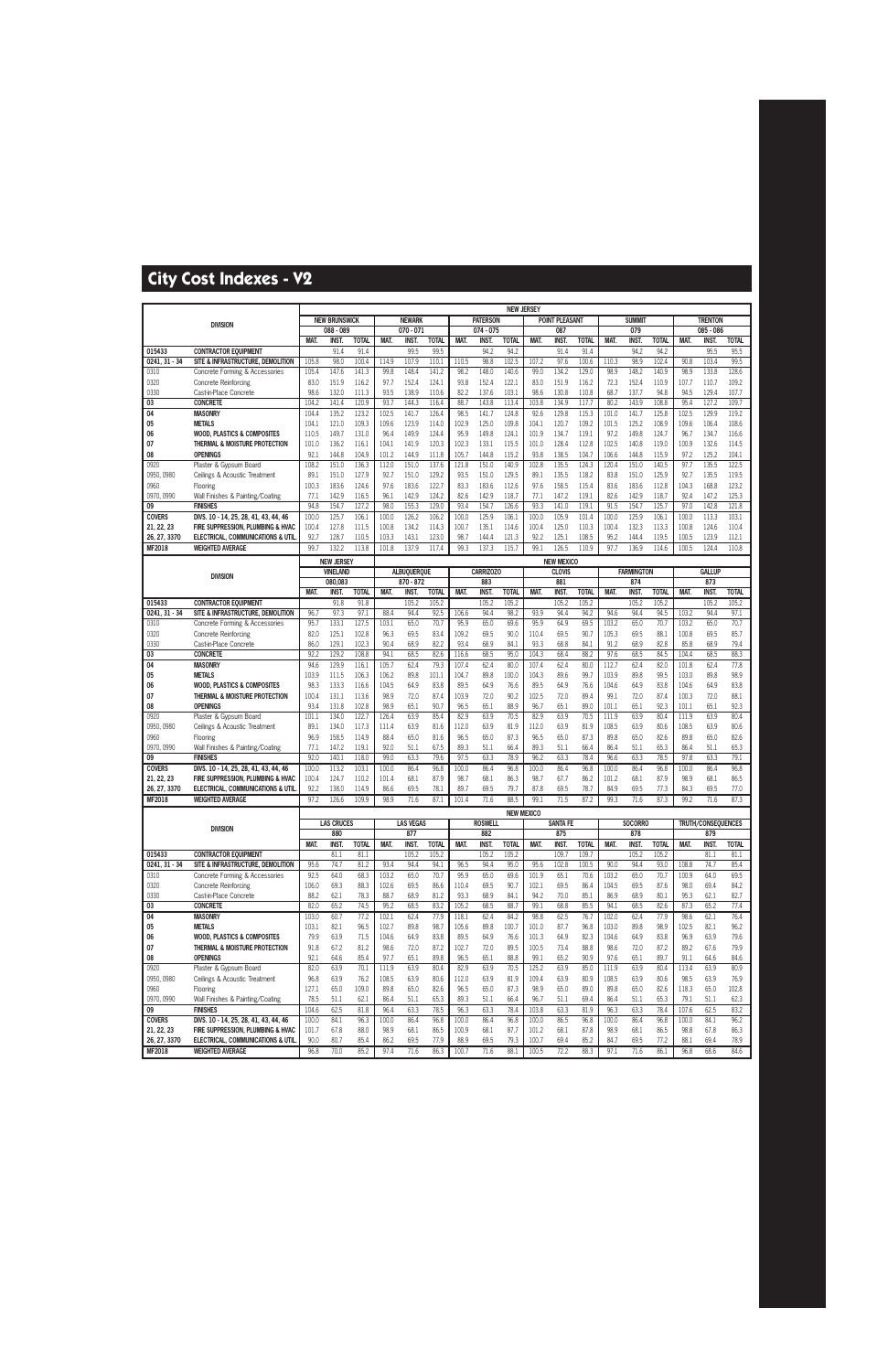|                       |                                                                  |               |                      |                |                |                    |                |                |                  | <b>NEW JERSEY</b> |                   |                       |                |                |                   |                |                |                    |                |
|-----------------------|------------------------------------------------------------------|---------------|----------------------|----------------|----------------|--------------------|----------------|----------------|------------------|-------------------|-------------------|-----------------------|----------------|----------------|-------------------|----------------|----------------|--------------------|----------------|
|                       | <b>DIVISION</b>                                                  |               | <b>NEW BRUNSWICK</b> |                |                | <b>NEWARK</b>      |                |                | <b>PATERSON</b>  |                   |                   | <b>POINT PLEASANT</b> |                |                | <b>SUMMIT</b>     |                |                | <b>TRENTON</b>     |                |
|                       |                                                                  |               | 088 - 089            |                |                | 070 - 071          |                |                | $074 - 075$      |                   |                   | 087                   |                |                | 079               |                |                | 085 - 086          |                |
|                       |                                                                  | MAT.          | <b>INST.</b>         | <b>TOTAL</b>   | MAT.           | INST.              | <b>TOTAL</b>   | MAT.           | INST.            | <b>TOTAL</b>      | MAT.              | <b>INST</b>           | <b>TOTAL</b>   | MAT.           | <b>INST</b>       | <b>TOTAL</b>   | MAT.           | INST.              | <b>TOTAL</b>   |
| 015433                | <b>CONTRACTOR EQUIPMENT</b>                                      |               | 91.4                 | 91.4           |                | 99.5               | 99.5           |                | 94.2             | 94.2              |                   | 91.4                  | 91.4           |                | 94.2              | 94.2           |                | 95.5               | 95.5           |
| 0241, 31 - 34         | SITE & INFRASTRUCTURE, DEMOLITION                                | 105.8         | 98.0                 | 100.4          | 114.9          | 107.9              | 110.1          | 110.5          | 98.8             | 102.5             | 107.2             | 97.6                  | 100.6          | 110.3          | 98.9              | 102.4          | 90.8           | 103.4              | 99.5           |
| 0310                  | Concrete Forming & Accessories                                   | 105.4         | 147.6                | 141.3          | 99.8           | 148.4              | 141.2          | 98.2           | 148.0            | 140.6             | 99.0              | 134.2                 | 129.0          | 98.9           | 148.2             | 140.9          | 98.9           | 133.8              | 128.6          |
| 0320                  | <b>Concrete Reinforcing</b>                                      | 83.0          | 151.9                | 116.2          | 97.7           | 152.4              | 124.1          | 93.8           | 152.4            | 122.1             | 83.0              | 151.9                 | 116.2          | 72.3           | 152.4             | 110.9          | 107.7          | 110.7              | 109.2          |
| 0330                  | Cast-in-Place Concrete                                           | 98.6          | 132.0                | 111.3          | 93.5           | 138.9              | 110.6          | 82.2           | 137.6            | 103.1             | 98.6              | 130.8                 | 110.8          | 68.7           | 137.7             | 94.8           | 94.5           | 129.4              | 107.7          |
| 03                    | <b>CONCRETE</b>                                                  | 104.2         | 141.4                | 120.9          | 93.7           | 144.3              | 116.4          | 88.7           | 143.8            | 113.4             | 103.8             | 134.9                 | 117.7          | 80.2           | 143.9             | 108.8          | 95.4           | 127.2              | 109.7          |
| 04                    | <b>MASONRY</b>                                                   | 104.4         | 135.2                | 123.2          | 102.5          | 141.7              | 126.4          | 98.5           | 141.7            | 124.8             | 92.6              | 129.8                 | 115.3          | 101.0          | 141.7             | 125.8          | 102.5          | 129.9              | 119.2          |
| 05                    | <b>METALS</b>                                                    | 104.1         | 121.0                | 109.3          | 109.6          | 123.9              | 114.0          | 102.9          | 125.0            | 109.8             | 104.1             | 120.7                 | 109.2          | 101.5          | 125.2             | 108.9          | 109.6          | 106.4              | 108.6          |
| 06                    | <b>WOOD, PLASTICS &amp; COMPOSITES</b>                           | 110.5         | 149.7                | 131.0          | 96.4           | 149.9              | 124.4          | 95.9           | 149.8            | 124.1             | 101.9             | 134.7                 | 119.1          | 97.2           | 149.8             | 124.7          | 96.7           | 134.7              | 116.6          |
| 07                    | THERMAL & MOISTURE PROTECTION                                    | 101.0         | 136.2                | 116.1          | 104.1          | 141.9              | 120.3          | 102.3          | 133.1            | 115.5             | 101.0             | 128.4                 | 112.8          | 102.5          | 140.8             | 119.0          | 100.9          | 132.6              | 114.5          |
| 08<br>0920            | <b>OPENINGS</b><br>Plaster & Gypsum Board                        | 92.1<br>108.2 | 144.8<br>151.0       | 104.9<br>136.3 | 101.2<br>112.0 | 144.9<br>151.0     | 111.8<br>137.6 | 105.7<br>121.8 | 144.8<br>151.0   | 115.2<br>140.9    | 93.8<br>102.8     | 138.5<br>135.5        | 104.7<br>124.3 | 106.6<br>120.4 | 144.8<br>151.0    | 115.9<br>140.5 | 97.2<br>97.7   | 125.2<br>135.5     | 104.1<br>122.5 |
| 0950, 0980            | Ceilings & Acoustic Treatment                                    | 89.1          | 151.0                | 127.9          | 92.7           | 151.0              | 129.2          | 93.5           | 151.0            | 129.5             | 89.1              | 135.5                 | 118.2          | 83.8           | 151.0             | 125.9          | 92.7           | 135.5              | 119.5          |
| 0960                  | Flooring                                                         | 100.3         | 183.6                | 124.6          | 97.6           | 183.6              | 122.7          | 83.3           | 183.6            | 112.6             | 97.6              | 158.5                 | 115.4          | 83.6           | 183.6             | 112.8          | 104.3          | 168.8              | 123.2          |
| 0970, 0990            | Wall Finishes & Painting/Coating                                 | 77.1          | 142.9                | 116.5          | 96.1           | 142.9              | 124.2          | 82.6           | 142.9            | 118.7             | 77.1              | 147.2                 | 119.1          | 82.6           | 142.9             | 118.7          | 92.4           | 147.2              | 125.3          |
| 09                    | <b>FINISHES</b>                                                  | 94.8          | 154.7                | 127.2          | 98.0           | 155.3              | 129.0          | 93.4           | 154.7            | 126.6             | 93.3              | 141.0                 | 119.1          | 91.5           | 154.7             | 125.7          | 97.0           | 142.8              | 121.8          |
| <b>COVERS</b>         | DIVS. 10 - 14, 25, 28, 41, 43, 44, 46                            | 100.0         | 125.7                | 106.1          | 100.0          | 126.2              | 106.2          | 100.0          | 125.9            | 106.1             | 100.0             | 105.9                 | 101.4          | 100.0          | 125.9             | 106.1          | 100.0          | 113.3              | 103.1          |
| 21, 22, 23            | FIRE SUPPRESSION, PLUMBING & HVAC                                | 100.4         | 127.8                | 111.5          | 100.8          | 134.2              | 114.3          | 100.7          | 135.1            | 114.6             | 100.4             | 125.0                 | 110.3          | 100.4          | 132.3             | 113.3          | 100.8          | 124.6              | 110.4          |
| 26, 27, 3370          | ELECTRICAL, COMMUNICATIONS & UTIL                                | 92.7          | 128.7                | 110.5          | 103.3          | 143.1              | 123.0          | 98.7           | 144.4            | 121.3             | 92.2              | 125.1                 | 108.5          | 95.2           | 144.4             | 119.5          | 100.5          | 123.9              | 112.1          |
| MF2018                | <b>WEIGHTED AVERAGE</b>                                          | 99.7          | 132.2                | 113.8          | 101.8          | 137.9              | 117.4          | 99.3           | 137.3            | 115.7             | 99.1              | 126.5                 | 110.9          | 97.7           | 136.9             | 114.6          | 100.5          | 124.4              | 110.8          |
|                       |                                                                  |               | <b>NEW JERSEY</b>    |                |                |                    |                |                |                  |                   |                   | <b>NEW MEXICO</b>     |                |                |                   |                |                |                    |                |
|                       |                                                                  |               | <b>VINELAND</b>      |                |                | <b>ALBUOUEROUE</b> |                |                | <b>CARRIZOZO</b> |                   |                   | <b>CLOVIS</b>         |                |                | <b>FARMINGTON</b> |                |                | <b>GALLUP</b>      |                |
|                       | <b>DIVISION</b>                                                  |               | 080,083              |                |                | 870 - 872          |                |                | 883              |                   |                   | 881                   |                |                | 874               |                |                | 873                |                |
|                       |                                                                  | <b>MAT</b>    | <b>INST</b>          | <b>TOTAL</b>   | <b>MAT.</b>    | <b>INST</b>        | <b>TOTAL</b>   | <b>MAT</b>     | <b>INST</b>      | <b>TOTAL</b>      | MAT.              | <b>INST</b>           | <b>TOTAL</b>   | <b>MAT</b>     | <b>INST</b>       | <b>TOTAL</b>   | <b>MAT</b>     | <b>INST</b>        | <b>TOTAL</b>   |
| 015433                | <b>CONTRACTOR EQUIPMENT</b>                                      |               | 91.8                 | 91.8           |                | 105.2              | 105.2          |                | 105.2            | 105.2             |                   | 105.2                 | 105.2          |                | 105.2             | 105.2          |                | 105.2              | 105.2          |
| 0241.31 - 34          | SITE & INFRASTRUCTURE, DEMOLITION                                | 96.7          | 97.3                 | 97.1           | 88.4           | 94.4               | 92.5           | 106.6          | 94.4             | 98.2              | 93.9              | 94.4                  | 94.2           | 94.6           | 94.4              | 94.5           | 103.2          | 94.4               | 97.1           |
| 0310                  | Concrete Forming & Accessories                                   | 95.7          | 133.1                | 127.5          | 103.1          | 65.0               | 70.7           | 95.9           | 65.0             | 69.6              | 95.9              | 64.9                  | 69.5           | 103.2          | 65.0              | 70.7           | 103.2          | 65.0               | 70.7           |
| 0320                  | <b>Concrete Reinforcing</b>                                      | 82.0          | 125.1                | 102.8          | 96.3           | 69.5               | 83.4           | 109.2          | 69.5             | 90.0              | 110.4             | 69.5                  | 90.7           | 105.3          | 69.5              | 88.1           | 100.8          | 69.5               | 85.7           |
| 0330                  | Cast-in-Place Concrete                                           | 86.0          | 129.1                | 102.3          | 90.4           | 68.9               | 82.2           | 93.4           | 68.9             | 84.1              | 93.3              | 68.8                  | 84.1           | 91.2           | 68.9              | 82.8           | 85.8           | 68.9               | 79.4           |
| 03                    | <b>CONCRETE</b>                                                  | 92.2          | 129.2                | 108.8          | 94.1           | 68.5               | 82.6           | 116.6          | 68.5             | 95.0              | 104.3             | 68.4                  | 88.2           | 97.6           | 68.5              | 84.5           | 104.4          | 68.5               | 88.3           |
| 04                    | <b>MASONRY</b>                                                   | 94.6          | 129.9                | 116.1          | 105.7          | 62.4               | 79.3           | 107.4          | 62.4             | 80.0              | 107.4             | 62.4                  | 80.0           | 112.7          | 62.4              | 82.0           | 101.8          | 62.4               | 77.8           |
| 05                    | <b>METALS</b>                                                    | 103.9         | 111.5                | 106.3          | 106.2          | 89.8               | 101.1          | 104.7          | 89.8             | 100.0             | 104.3             | 89.6                  | 99.7           | 103.9          | 89.8              | 99.5           | 103.0          | 89.8               | 98.9           |
| 06                    | <b>WOOD, PLASTICS &amp; COMPOSITES</b>                           | 98.3          | 133.3                | 116.6          | 104.5          | 64.9               | 83.8           | 89.5           | 64.9             | 76.6              | 89.5              | 64.9                  | 76.6           | 104.6          | 64.9              | 83.8           | 104.6          | 64.9               | 83.8           |
| 07                    | THERMAL & MOISTURE PROTECTION                                    | 100.4         | 131.1                | 113.6          | 98.9           | 72.0               | 87.4           | 103.9          | 72.0             | 90.2              | 102.5             | 72.0                  | 89.4           | 99.1           | 72.0              | 87.4           | 100.3          | 72.0               | 88.1           |
| 08                    | <b>OPENINGS</b>                                                  | 93.4          | 131.8                | 102.8          | 98.9           | 65.1               | 90.7           | 96.5           | 65.1             | 88.9              | 96.7              | 65.1                  | 89.0           | 101.1          | 65.1              | 92.3           | 101.1          | 65.1               | 92.3           |
| 0920                  | Plaster & Gypsum Board                                           | 101.1         | 134.0                | 122.7          | 126.4          | 63.9               | 85.4           | 82.9           | 63.9             | 70.5              | 82.9              | 63.9                  | 70.5           | 111.9          | 63.9              | 80.4           | 111.9          | 63.9               | 80.4           |
| 0950, 0980            | Ceilings & Acoustic Treatment                                    | 89.1          | 134.0                | 117.3          | 111.4          | 63.9               | 81.6           | 112.0          | 63.9             | 81.9              | 112.0             | 63.9                  | 81.9           | 108.5          | 63.9              | 80.6           | 108.5          | 63.9               | 80.6           |
| 0960                  | Flooring                                                         | 96.9          | 158.5                | 114.9          | 88.4           | 65.0               | 81.6           | 96.5           | 65.0             | 87.3              | 96.5              | 65.0                  | 87.3           | 89.8           | 65.0              | 82.6           | 89.8           | 65.0               | 82.6           |
| 0970, 0990            | Wall Finishes & Painting/Coating                                 | 77.1          | 147.2                | 119.1          | 92.0           | 51.1               | 67.5           | 89.3           | 51.1             | 66.4              | 89.3              | 51.1                  | 66.4           | 86.4           | 51.1              | 65.3           | 86.4           | 51.1               | 65.3           |
| 09                    | <b>FINISHES</b>                                                  | 92.0          | 140.1                | 118.0          | 99.0           | 63.3               | 79.6           | 97.5           | 63.3             | 78.9              | 96.2              | 63.3                  | 78.4           | 96.6           | 63.3              | 78.5           | 97.8           | 63.3               | 79.1           |
| <b>COVERS</b>         | DIVS. 10 - 14, 25, 28, 41, 43, 44, 46                            | 100.0         | 113.2                | 103.1          | 100.0          | 86.4               | 96.8           | 100.0          | 86.4             | 96.8              | 100.0             | 86.4                  | 96.8           | 100.0          | 86.4              | 96.8           | 100.0          | 86.4               | 96.8           |
| 21, 22, 23            | FIRE SUPPRESSION, PLUMBING & HVAC                                | 100.4         | 124.7                | 110.2          | 101.4          | 68.1               | 87.9           | 98.7           | 68.1             | 86.3              | 98.7              | 67.7                  | 86.2           | 101.2          | 68.1              | 87.9           | 98.9           | 68.1               | 86.5           |
| 26, 27, 3370          | ELECTRICAL, COMMUNICATIONS & UTIL                                | 92.2          | 138.0                | 114.9          | 86.6           | 69.5               | 78.1           | 89.7           | 69.5             | 79.7              | 87.8              | 69.5                  | 78.7           | 84.9           | 69.5              | 77.3           | 84.3           | 69.5               | 77.0           |
| MF2018                | <b>WEIGHTED AVERAGE</b>                                          | 97.2          | 126.6                | 109.9          | 98.9           | 71.6               | 87.1           | 101.4          | 71.6             | 88.5              | 99.1              | 71.5                  | 87.2           | 99.3           | 71.6              | 87.3           | 99.2           | 71.6               | 87.3           |
|                       |                                                                  |               |                      |                |                |                    |                |                |                  |                   | <b>NEW MEXICO</b> |                       |                |                |                   |                |                |                    |                |
|                       | <b>DIVISION</b>                                                  |               | <b>LAS CRUCES</b>    |                |                | <b>LAS VEGAS</b>   |                |                | <b>ROSWELL</b>   |                   |                   | <b>SANTA FE</b>       |                |                | <b>SOCORRO</b>    |                |                | TRUTH/CONSEQUENCES |                |
|                       |                                                                  |               | 880                  |                |                | 877                |                |                | 882              |                   |                   | 875                   |                |                | 878               |                |                | 879                |                |
|                       |                                                                  | MAT.          | INST.                | <b>TOTAL</b>   | MAT.           | INST.              | <b>TOTAL</b>   | MAT.           | INST.            | <b>TOTAL</b>      | MAT.              | <b>INST.</b>          | <b>TOTAL</b>   | MAT.           | INST.             | <b>TOTAL</b>   | MAT.           | <b>INST.</b>       | <b>TOTAL</b>   |
| 015433                | <b>CONTRACTOR EQUIPMENT</b><br>SITE & INFRASTRUCTURE, DEMOLITION |               | 81.1                 | 81.1           |                | 105.2              | 105.2          |                | 105.2            | 105.2             |                   | 109.7                 | 109.7          |                | 105.2             | 105.2          |                | 81.1               | 81.1           |
| 0241, 31 - 34<br>0310 | Concrete Forming & Accessories                                   | 95.6<br>92.5  | 74.7<br>64.0         | 81.2<br>68.3   | 93.4<br>103.2  | 94.4<br>65.0       | 94.1<br>70.7   | 96.5<br>95.9   | 94.4<br>65.0     | 95.0<br>69.6      | 95.6<br>101.9     | 102.8<br>65.1         | 100.5<br>70.6  | 90.0<br>103.2  | 94.4<br>65.0      | 93.0<br>70.7   | 108.8<br>100.9 | 74.7<br>64.0       | 85.4<br>69.5   |
| 0320                  | <b>Concrete Reinforcing</b>                                      | 106.0         | 69.3                 | 88.3           | 102.6          | 69.5               | 86.6           | 110.4          | 69.5             | 90.7              | 102.1             | 69.5                  | 86.4           | 104.5          | 69.5              | 87.6           | 98.0           | 69.4               | 84.2           |
| 0330                  | Cast-in-Place Concrete                                           | 88.2          | 62.1                 | 78.3           | 88.7           | 68.9               | 81.2           | 93.3           | 68.9             | 84.1              | 94.2              | 70.0                  | 85.1           | 86.9           | 68.9              | 80.1           | 95.3           | 62.1               | 82.7           |
| 03                    | <b>CONCRETE</b>                                                  | 82.0          | 65.2                 | 74.5           | 95.2           | 68.5               | 83.2           | 105.2          | 68.5             | 88.7              | 99.1              | 68.8                  | 85.5           | 94.1           | 68.5              | 82.6           | 87.3           | 65.2               | 77.4           |
| 04                    | <b>MASONRY</b>                                                   | 103.0         | 60.7                 | 77.2           | 102.1          | 62.4               | 77.9           | 118.1          | 62.4             | 84.2              | 98.8              | 62.5                  | 76.7           | 102.0          | 62.4              | 77.9           | 98.6           | 62.1               | 76.4           |
| 05                    | <b>METALS</b>                                                    | 103.1         | 82.1                 | 96.5           | 102.7          | 89.8               | 98.7           | 105.6          | 89.8             | 100.7             | 101.0             | 87.7                  | 96.8           | 103.0          | 89.8              | 98.9           | 102.5          | 82.1               | 96.2           |
| 06                    | <b>WOOD, PLASTICS &amp; COMPOSITES</b>                           | 79.9          | 63.9                 | 71.5           | 104.6          | 64.9               | 83.8           | 89.5           | 64.9             | 76.6              | 101.3             | 64.9                  | 82.3           | 104.6          | 64.9              | 83.8           | 96.9           | 63.9               | 79.6           |
| 07                    | THERMAL & MOISTURE PROTECTION                                    | 91.8          | 67.2                 | 81.2           | 98.6           | 72.0               | 87.2           | 102.7          | 72.0             | 89.5              | 100.5             | 73.4                  | 88.8           | 98.6           | 72.0              | 87.2           | 89.2           | 67.6               | 79.9           |
| 08                    | <b>OPENINGS</b>                                                  | 92.1          | 64.6                 | 85.4           | 97.7           | 65.1               | 89.8           | 96.5           | 65.1             | 88.8              | 99.1              | 65.2                  | 90.9           | 97.6           | 65.1              | 89.7           | 91.1           | 64.6               | 84.6           |
| 0920                  | Plaster & Gypsum Board                                           | 82.0          | 63.9                 | 70.1           | 111.9          | 63.9               | 80.4           | 82.9           | 63.9             | 70.5              | 125.2             | 63.9                  | 85.0           | 111.9          | 63.9              | 80.4           | 113.4          | 63.9               | 80.9           |
| 0950, 0980            | Ceilings & Acoustic Treatment                                    | 96.8          | 63.9                 | 76.2           | 108.5          | 63.9               | 80.6           | 112.0          | 63.9             | 81.9              | 109.4             | 63.9                  | 80.9           | 108.5          | 63.9              | 80.6           | 98.5           | 63.9               | 76.9           |
| 0960                  | Flooring                                                         | 127.1         | 65.0                 | 109.0          | 89.8           | 65.0               | 82.6           | 96.5           | 65.0             | 87.3              | 98.9              | 65.0                  | 89.0           | 89.8           | 65.0              | 82.6           | 118.3          | 65.0               | 102.8          |
| 0970, 0990            | Wall Finishes & Painting/Coating                                 | 78.5          | 51.1                 | 62.1           | 86.4           | 51.1               | 65.3           | 89.3           | 51.1             | 66.4              | 96.7              | 51.1                  | 69.4           | 86.4           | 51.1              | 65.3           | 79.1           | 51.1               | 62.3           |
| 09                    | <b>FINISHES</b>                                                  | 104.6         | 62.5                 | 81.8           | 96.4           | 63.3               | 78.5           | 96.3           | 63.3             | 78.4              | 103.8             | 63.3                  | 81.9           | 96.3           | 63.3              | 78.4           | 107.6          | 62.5               | 83.2           |
| <b>COVERS</b>         | DIVS. 10 - 14, 25, 28, 41, 43, 44, 46                            | 100.0         | 84.1                 | 96.3           | 100.0          | 86.4               | 96.8           | 100.0          | 86.4             | 96.8              | 100.0             | 86.5                  | 96.8           | 100.0          | 86.4              | 96.8           | 100.0          | 84.1               | 96.2           |
| 21, 22, 23            | FIRE SUPPRESSION, PLUMBING & HVAC                                | 101.7         | 67.8                 | 88.0           | 98.9           | 68.1               | 86.5           | 100.9          | 68.1             | 87.7              | 101.2             | 68.1                  | 87.8           | 98.9           | 68.1              | 86.5           | 98.8           | 67.8               | 86.3           |
| 26, 27, 3370          | ELECTRICAL, COMMUNICATIONS & UTIL                                | 90.0          | 80.7                 | 85.4           | 86.2           | 69.5               | 77.9           | 88.9           | 69.5             | 79.3              | 100.7             | 69.4                  | 85.2           | 84.7           | 69.5              | 77.2           | 88.1           | 69.4               | 78.9           |
| <b>MF2018</b>         | <b>WEIGHTED AVERAGE</b>                                          | 96.8          | 70.0                 | 85.2           | 97.4           | 71.6               | 86.3           | 100.7          | 71.6             | 88.1              | 100.5             | 72.2                  | 88.3           | 97.1           | 71.6              | 86.1           | 96.8           | 68.6               | 84.6           |
|                       |                                                                  |               |                      |                |                |                    |                |                |                  |                   |                   |                       |                |                |                   |                |                |                    |                |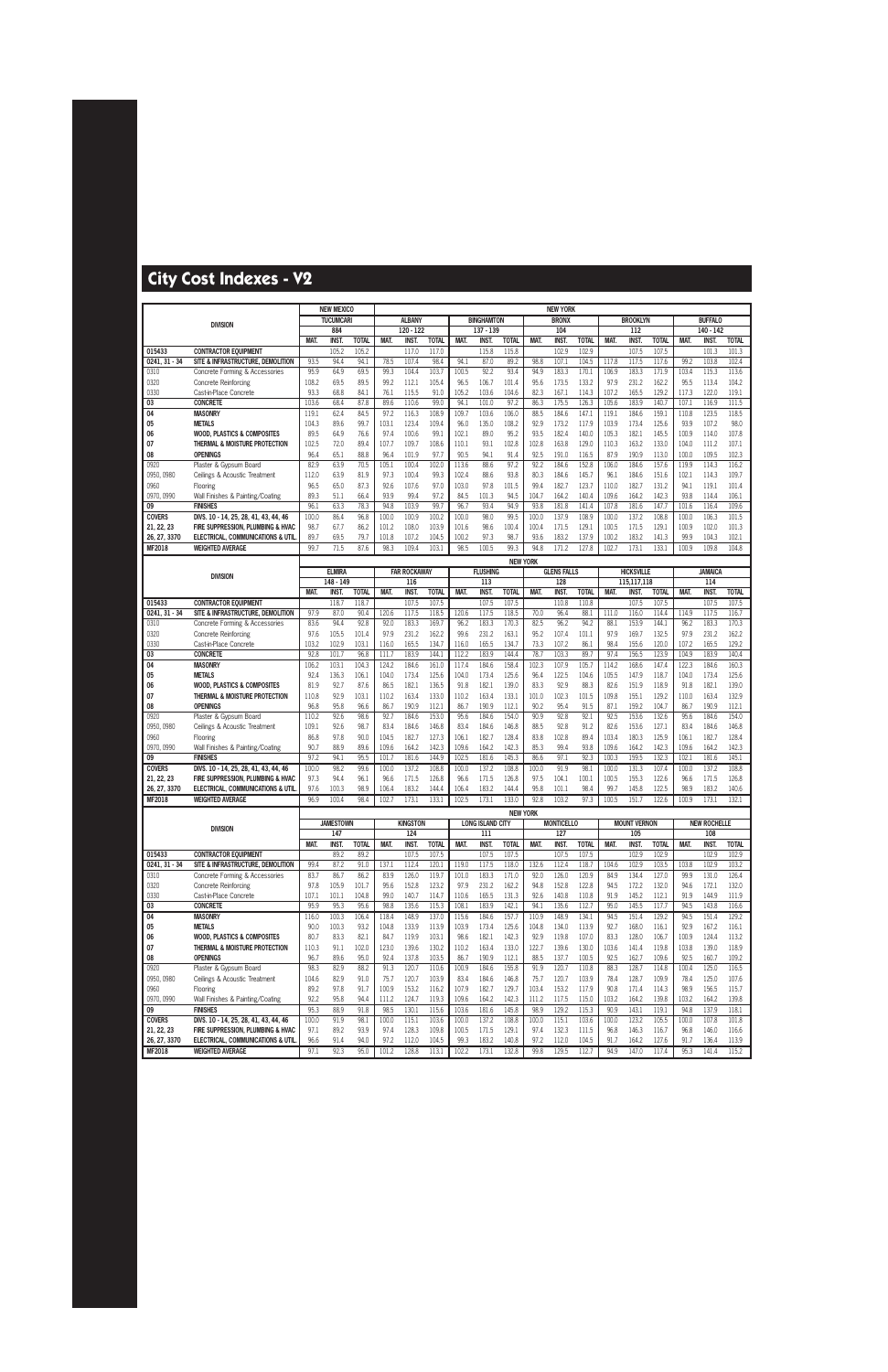|                            |                                                                         |               | <b>NEW MEXICO</b>         |                       |               |                       |                       |                |                         |                       |                 | <b>NEW YORK</b>      |                |               |                      |                |                |                      |                |
|----------------------------|-------------------------------------------------------------------------|---------------|---------------------------|-----------------------|---------------|-----------------------|-----------------------|----------------|-------------------------|-----------------------|-----------------|----------------------|----------------|---------------|----------------------|----------------|----------------|----------------------|----------------|
|                            | <b>DIVISION</b>                                                         |               | <b>TUCUMCARI</b>          |                       |               | <b>ALBANY</b>         |                       |                | <b>BINGHAMTON</b>       |                       |                 | <b>BRONX</b>         |                |               | <b>BROOKLYN</b>      |                |                | <b>BUFFALO</b>       |                |
|                            |                                                                         |               | 884                       |                       |               | 120 - 122             |                       |                | $137 - 139$             |                       |                 | 104                  |                |               | 112                  |                |                | 140 - 142            |                |
| 015433                     |                                                                         | MAT.          | INST.                     | <b>TOTAL</b><br>105.2 | MAT.          | <b>INST.</b><br>117.0 | <b>TOTAL</b><br>117.0 | MAT.           | <b>INST</b><br>115.8    | <b>TOTAL</b><br>115.8 | MAT.            | <b>INST</b><br>102.9 | <b>TOTAL</b>   | MAT.          | <b>INST</b>          | <b>TOTAL</b>   | MAT.           | <b>INST</b><br>101.3 | <b>TOTAL</b>   |
| $0241, 31 - 34$            | <b>CONTRACTOR EQUIPMENT</b><br>SITE & INFRASTRUCTURE, DEMOLITION        | 93.5          | 105.2<br>94.4             | 94.1                  | 78.5          | 107.4                 | 98.4                  | 94.1           | 87.0                    | 89.2                  | 98.8            | 107.1                | 102.9<br>104.5 | 117.8         | 107.5<br>117.5       | 107.5<br>117.6 | 99.2           | 103.8                | 101.3<br>102.4 |
| 0310                       | Concrete Forming & Accessories                                          | 95.9          | 64.9                      | 69.5                  | 99.3          | 104.4                 | 103.7                 | 100.5          | 92.2                    | 93.4                  | 94.9            | 183.3                | 170.1          | 106.9         | 183.3                | 171.9          | 103.4          | 115.3                | 113.6          |
| 0320                       | Concrete Reinforcing                                                    | 108.2         | 69.5                      | 89.5                  | 99.2          | 112.1                 | 105.4                 | 96.5           | 106.7                   | 101.4                 | 95.6            | 173.5                | 133.2          | 97.9          | 231.2                | 162.2          | 95.5           | 113.4                | 104.2          |
| 0330                       | Cast-in-Place Concrete                                                  | 93.3          | 68.8                      | 84.1                  | 76.1          | 115.5                 | 91.0                  | 105.2          | 103.6                   | 104.6                 | 82.3            | 167.1                | 114.3          | 107.2         | 165.5                | 129.2          | 117.3          | 122.0                | 119.1          |
| 03                         | <b>CONCRETE</b>                                                         | 103.6         | 68.4                      | 87.8                  | 89.6          | 110.6                 | 99.0                  | 94.1           | 101.0                   | 97.2                  | 86.3            | 175.5                | 126.3          | 105.6         | 183.9                | 140.7          | 107.1          | 116.9                | 111.5          |
| 04                         | <b>MASONRY</b>                                                          | 119.1         | 62.4                      | 84.5                  | 97.2          | 116.3                 | 108.9                 | 109.7          | 103.6                   | 106.0                 | 88.5            | 184.6                | 147.1          | 119.1         | 184.6                | 159.1          | 110.8          | 123.5                | 118.5          |
| 05                         | <b>METALS</b>                                                           | 104.3         | 89.6                      | 99.7                  | 103.1         | 123.4                 | 109.4                 | 96.0           | 135.0                   | 108.2                 | 92.9            | 173.2                | 117.9          | 103.9         | 173.4                | 125.6          | 93.9           | 107.2                | 98.0           |
| 06                         | <b>WOOD, PLASTICS &amp; COMPOSITES</b>                                  | 89.5          | 64.9                      | 76.6                  | 97.4          | 100.6                 | 99.1                  | 102.1          | 89.0                    | 95.2                  | 93.5            | 182.4                | 140.0          | 105.3         | 182.1                | 145.5          | 100.9          | 114.0                | 107.8          |
| 07                         | THERMAL & MOISTURE PROTECTION                                           | 102.5         | 72.0                      | 89.4                  | 107.7         | 109.7                 | 108.6                 | 110.1          | 93.1                    | 102.8                 | 102.8           | 163.8                | 129.0          | 110.3         | 163.2                | 133.0          | 104.0          | 111.2                | 107.1          |
| 08<br>0920                 | <b>OPENINGS</b><br>Plaster & Gypsum Board                               | 96.4<br>82.9  | 65.1<br>63.9              | 88.8<br>70.5          | 96.4<br>105.1 | 101.9<br>100.4        | 97.7<br>102.0         | 90.5<br>113.6  | 94.1<br>88.6            | 91.4<br>97.2          | 92.5<br>92.2    | 191.0<br>184.6       | 116.5<br>152.8 | 87.9<br>106.0 | 190.9<br>184.6       | 113.0<br>157.6 | 100.0<br>119.9 | 109.5<br>114.3       | 102.3<br>116.2 |
| 0950, 0980                 | Ceilings & Acoustic Treatment                                           | 112.0         | 63.9                      | 81.9                  | 97.3          | 100.4                 | 99.3                  | 102.4          | 88.6                    | 93.8                  | 80.3            | 184.6                | 145.7          | 96.1          | 184.6                | 151.6          | 102.1          | 114.3                | 109.7          |
| 0960                       | Flooring                                                                | 96.5          | 65.0                      | 87.3                  | 92.6          | 107.6                 | 97.0                  | 103.0          | 97.8                    | 101.5                 | 99.4            | 182.7                | 123.7          | 110.0         | 182.7                | 131.2          | 94.1           | 119.1                | 101.4          |
| 0970, 0990                 | Wall Finishes & Painting/Coating                                        | 89.3          | 51.1                      | 66.4                  | 93.9          | 99.4                  | 97.2                  | 84.5           | 101.3                   | 94.5                  | 104.7           | 164.2                | 140.4          | 109.6         | 164.2                | 142.3          | 93.8           | 114.4                | 106.1          |
| 09                         | <b>FINISHES</b>                                                         | 96.1          | 63.3                      | 78.3                  | 94.8          | 103.9                 | 99.7                  | 96.7           | 93.4                    | 94.9                  | 93.8            | 181.8                | 141.4          | 107.8         | 181.6                | 147.7          | 101.6          | 116.4                | 109.6          |
| <b>COVERS</b>              | DIVS. 10 - 14, 25, 28, 41, 43, 44, 46                                   | 100.0         | 86.4                      | 96.8                  | 100.0         | 100.9                 | 100.2                 | 100.0          | 98.0                    | 99.5                  | 100.0           | 137.9                | 108.9          | 100.0         | 137.2                | 108.8          | 100.0          | 106.3                | 101.5          |
| 21, 22, 23                 | FIRE SUPPRESSION, PLUMBING & HVAC                                       | 98.7          | 67.7                      | 86.2                  | 101.2         | 108.0                 | 103.9                 | 101.6          | 98.6                    | 100.4                 | 100.4           | 171.5                | 129.1          | 100.5         | 171.5                | 129.1          | 100.9          | 102.0                | 101.3          |
| 26, 27, 3370               | ELECTRICAL, COMMUNICATIONS & UTIL                                       | 89.7          | 69.5                      | 79.7                  | 101.8         | 107.2                 | 104.5                 | 100.2          | 97.3                    | 98.7                  | 93.6            | 183.2                | 137.9          | 100.2         | 183.2                | 141.3          | 99.9           | 104.3                | 102.1          |
| <b>MF2018</b>              | <b>WEIGHTED AVERAGE</b>                                                 | 99.7          | 71.5                      | 87.6                  | 98.3          | 109.4                 | 103.1                 | 98.5           | 100.5                   | 99.3                  | 94.8            | 171.2                | 127.8          | 102.7         | 173.1                | 133.1          | 100.9          | 109.8                | 104.8          |
|                            |                                                                         |               |                           |                       |               |                       |                       |                |                         | <b>NEW YORK</b>       |                 |                      |                |               |                      |                |                |                      |                |
|                            | <b>DIVISION</b>                                                         |               | <b>ELMIRA</b>             |                       |               | <b>FAR ROCKAWAY</b>   |                       |                | <b>FLUSHING</b>         |                       |                 | <b>GLENS FALLS</b>   |                |               | <b>HICKSVILLE</b>    |                |                | <b>JAMAICA</b>       |                |
|                            |                                                                         | MAT.          | 148 - 149<br><b>INST.</b> | <b>TOTAL</b>          | MAT.          | 116<br><b>INST.</b>   | <b>TOTAL</b>          | <b>MAT</b>     | 113<br><b>INST</b>      | <b>TOTAL</b>          | MAT.            | 128<br>INST.         | <b>TOTAL</b>   | MAT.          | 115,117,118<br>INST. | <b>TOTAL</b>   | MAT.           | 114<br><b>INST</b>   | <b>TOTAL</b>   |
| 015433                     | <b>CONTRACTOR EOUIPMENT</b>                                             |               | 118.7                     | 118.7                 |               | 107.5                 | 107.5                 |                | 107.5                   | 107.5                 |                 | 110.8                | 110.8          |               | 107.5                | 107.5          |                | 107.5                | 107.5          |
| $0241, 31 - 34$            | SITE & INFRASTRUCTURE, DEMOLITION                                       | 97.9          | 87.0                      | 90.4                  | 120.6         | 117.5                 | 118.5                 | 120.6          | 117.5                   | 118.5                 | 70.0            | 96.4                 | 88.1           | 111.0         | 116.0                | 114.4          | 114.9          | 117.5                | 116.7          |
| 0310                       | Concrete Forming & Accessories                                          | 83.6          | 94.4                      | 92.8                  | 92.0          | 183.3                 | 169.7                 | 96.2           | 183.3                   | 170.3                 | 82.5            | 96.2                 | 94.2           | 88.1          | 153.9                | 144.1          | 96.2           | 183.3                | 170.3          |
| 0320                       | <b>Concrete Reinforcing</b>                                             | 97.6          | 105.5                     | 101.4                 | 97.9          | 231.2                 | 162.2                 | 99.6           | 231.2                   | 163.1                 | 95.2            | 107.4                | 101.1          | 97.9          | 169.7                | 132.5          | 97.9           | 231.2                | 162.2          |
| 0330                       | Cast-in-Place Concrete                                                  | 103.2         | 102.9                     | 103.1                 | 116.0         | 165.5                 | 134.7                 | 116.0          | 165.5                   | 134.7                 | 73.3            | 107.2                | 86.1           | 98.4          | 155.6                | 120.0          | 107.2          | 165.5                | 129.2          |
| 03                         | <b>CONCRETE</b>                                                         | 92.8          | 101.7                     | 96.8                  | 111.7         | 183.9                 | 144.1                 | 112.2          | 183.9                   | 144.4                 | 78.7            | 103.3                | 89.7           | 97.4          | 156.5                | 123.9          | 104.9          | 183.9                | 140.4          |
| 04                         | <b>MASONRY</b>                                                          | 106.2         | 103.1                     | 104.3                 | 124.2         | 184.6                 | 161.0                 | 117.4          | 184.6                   | 158.4                 | 102.3           | 107.9                | 105.7          | 114.2         | 168.6                | 147.4          | 122.3          | 184.6                | 160.3          |
| 05                         | <b>METALS</b>                                                           | 92.4          | 136.3                     | 106.1                 | 104.0         | 173.4                 | 125.6                 | 104.0          | 173.4                   | 125.6                 | 96.4            | 122.5                | 104.6          | 105.5         | 147.9                | 118.7          | 104.0          | 173.4                | 125.6          |
| 06<br>07                   | <b>WOOD, PLASTICS &amp; COMPOSITES</b><br>THERMAL & MOISTURE PROTECTION | 81.9<br>110.8 | 92.7<br>92.9              | 87.6<br>103.1         | 86.5<br>110.2 | 182.1<br>163.4        | 136.5<br>133.0        | 91.8<br>110.2  | 182.1<br>163.4          | 139.0<br>133.1        | 83.3<br>101.0   | 92.9<br>102.3        | 88.3<br>101.5  | 82.6<br>109.8 | 151.9<br>155.1       | 118.9<br>129.2 | 91.8<br>110.0  | 182.1<br>163.4       | 139.0<br>132.9 |
| 08                         | <b>OPENINGS</b>                                                         | 96.8          | 95.8                      | 96.6                  | 86.7          | 190.9                 | 112.1                 | 86.7           | 190.9                   | 112.1                 | 90.2            | 95.4                 | 91.5           | 87.1          | 159.2                | 104.7          | 86.7           | 190.9                | 112.1          |
| 0920                       | Plaster & Gypsum Board                                                  | 110.2         | 92.6                      | 98.6                  | 92.7          | 184.6                 | 153.0                 | 95.6           | 184.6                   | 154.0                 | 90.9            | 92.8                 | 92.1           | 92.5          | 153.6                | 132.6          | 95.6           | 184.6                | 154.0          |
| 0950, 0980                 | Ceilings & Acoustic Treatment                                           | 109.1         | 92.6                      | 98.7                  | 83.4          | 184.6                 | 146.8                 | 83.4           | 184.6                   | 146.8                 | 88.5            | 92.8                 | 91.2           | 82.6          | 153.6                | 127.1          | 83.4           | 184.6                | 146.8          |
| 0960                       | Flooring                                                                | 86.8          | 97.8                      | 90.0                  | 104.5         | 182.7                 | 127.3                 | 106.1          | 182.7                   | 128.4                 | 83.8            | 102.8                | 89.4           | 103.4         | 180.3                | 125.9          | 106.1          | 182.7                | 128.4          |
| 0970, 0990                 | Wall Finishes & Painting/Coating                                        | 90.7          | 88.9                      | 89.6                  | 109.6         | 164.2                 | 142.3                 | 109.6          | 164.2                   | 142.3                 | 85.3            | 99.4                 | 93.8           | 109.6         | 164.2                | 142.3          | 109.6          | 164.2                | 142.3          |
| 09                         | <b>FINISHES</b>                                                         | 97.2          | 94.1                      | 95.5                  | 101.7         | 181.6                 | 144.9                 | 102.5          | 181.6                   | 145.3                 | 86.6            | 97.1                 | 92.3           | 100.3         | 159.5                | 132.3          | 102.1          | 181.6                | 145.1          |
| <b>COVERS</b>              | DIVS. 10 - 14, 25, 28, 41, 43, 44, 46                                   | 100.0         | 98.2                      | 99.6                  | 100.0         | 137.2                 | 108.8                 | 100.0          | 137.2                   | 108.8                 | 100.0           | 91.9                 | 98.1           | 100.0         | 131.3                | 107.4          | 100.0          | 137.2                | 108.8          |
| 21, 22, 23<br>26, 27, 3370 | FIRE SUPPRESSION, PLUMBING & HVAC<br>ELECTRICAL, COMMUNICATIONS & UTIL  | 97.3<br>97.6  | 94.4<br>100.3             | 96.1<br>98.9          | 96.6<br>106.4 | 171.5<br>183.2        | 126.8<br>144.4        | 96.6<br>106.4  | 171.5<br>183.2          | 126.8<br>144.4        | 97.5<br>95.8    | 104.1<br>101.1       | 100.1<br>98.4  | 100.5<br>99.7 | 155.3<br>145.8       | 122.6<br>122.5 | 96.6<br>98.9   | 171.5<br>183.2       | 126.8<br>140.6 |
| MF2018                     | <b>WEIGHTED AVERAGE</b>                                                 | 96.9          | 100.4                     | 98.4                  | 102.7         | 173.1                 | 133.1                 | 102.5          | 173.1                   | 133.0                 | 92.8            | 103.2                | 97.3           | 100.5         | 151.7                | 122.6          | 100.9          | 173.1                | 132.1          |
|                            |                                                                         |               |                           |                       |               |                       |                       |                |                         |                       | <b>NEW YORK</b> |                      |                |               |                      |                |                |                      |                |
|                            |                                                                         |               | <b>JAMESTOWN</b>          |                       |               | <b>KINGSTON</b>       |                       |                | <b>LONG ISLAND CITY</b> |                       |                 | <b>MONTICELLO</b>    |                |               | <b>MOUNT VERNON</b>  |                |                | <b>NEW ROCHELLE</b>  |                |
|                            | <b>DIVISION</b>                                                         |               | 147                       |                       |               | 124                   |                       |                | 111                     |                       |                 | 127                  |                |               | 105                  |                |                | 108                  |                |
|                            |                                                                         | MAT.          | <b>INST.</b>              | <b>TOTAL</b>          | MAT.          | <b>INST.</b>          | <b>TOTAL</b>          | MAT.           | <b>INST.</b>            | <b>TOTAL</b>          | MAT.            | <b>INST.</b>         | <b>TOTAL</b>   | MAT.          | <b>INST.</b>         | <b>TOTAL</b>   | MAT.           | <b>INST.</b>         | <b>TOTAL</b>   |
| 015433                     | <b>CONTRACTOR EQUIPMENT</b>                                             |               | 89.2                      | 89.2                  |               | 107.5                 | 107.5                 |                | 107.5                   | 107.5                 |                 | 107.5                | 107.5          |               | 102.9                | 102.9          |                | 102.9                | 102.9          |
| $0241.31 - 34$             | SITE & INFRASTRUCTURE, DEMOLITION                                       | 99.4          | 87.2                      | 91.0                  | 137.1         | 112.4                 | 120.1                 | 119.0          | 117.5                   | 118.0                 | 132.6           | 112.4                | 118.7          | 104.6         | 102.9                | 103.5          | 103.8          | 102.9                | 103.2          |
| 0310                       | Concrete Forming & Accessories                                          | 83.7          | 86.7                      | 86.2                  | 83.9          | 126.0                 | 119.7                 | 101.0          | 183.3                   | 171.0                 | 92.0            | 126.0                | 120.9          | 84.9          | 134.4                | 127.0          | 99.9           | 131.0                | 126.4          |
| 0320                       | <b>Concrete Reinforcing</b>                                             | 97.8          | 105.9                     | 101.7                 | 95.6          | 152.8                 | 123.2                 | 97.9           | 231.2<br>165.5          | 162.2                 | 94.8            | 152.8<br>140.8       | 122.8          | 94.5          | 172.2<br>145.2       | 132.0          | 94.6           | 172.1<br>144.9       | 132.0          |
| 0330<br>03                 | Cast-in-Place Concrete<br><b>CONCRETE</b>                               | 107.1<br>95.9 | 101.1<br>95.3             | 104.8<br>95.6         | 99.0<br>98.8  | 140.7<br>135.6        | 114.7<br>115.3        | 110.6<br>108.1 | 183.9                   | 131.3<br>142.1        | 92.6<br>94.1    | 135.6                | 110.8<br>112.7 | 91.9<br>95.0  | 145.5                | 112.1<br>117.7 | 91.9<br>94.5   | 143.8                | 111.9<br>116.6 |
| 04                         | <b>MASONRY</b>                                                          | 116.0         | 100.3                     | 106.4                 | 118.4         | 148.9                 | 137.0                 | 115.6          | 184.6                   | 157.7                 | 110.9           | 148.9                | 134.1          | 94.5          | 151.4                | 129.2          | 94.5           | 151.4                | 129.2          |
| 05                         | <b>METALS</b>                                                           | 90.0          | 100.3                     | 93.2                  | 104.8         | 133.9                 | 113.9                 | 103.9          | 173.4                   | 125.6                 | 104.8           | 134.0                | 113.9          | 92.7          | 168.0                | 116.1          | 92.9           | 167.2                | 116.1          |
| 06                         | <b>WOOD, PLASTICS &amp; COMPOSITES</b>                                  | 80.7          | 83.3                      | 82.1                  | 84.7          | 119.9                 | 103.1                 | 98.6           | 182.1                   | 142.3                 | 92.9            | 119.8                | 107.0          | 83.3          | 128.0                | 106.7          | 100.9          | 124.4                | 113.2          |
| 07                         | THERMAL & MOISTURE PROTECTION                                           | 110.3         | 91.1                      | 102.0                 | 123.0         | 139.6                 | 130.2                 | 110.2          | 163.4                   | 133.0                 | 122.7           | 139.6                | 130.0          | 103.6         | 141.4                | 119.8          | 103.8          | 139.0                | 118.9          |
| 08                         | <b>OPENINGS</b>                                                         | 96.7          | 89.6                      | 95.0                  | 92.4          | 137.8                 | 103.5                 | 86.7           | 190.9                   | 112.1                 | 88.5            | 137.7                | 100.5          | 92.5          | 162.7                | 109.6          | 92.5           | 160.7                | 109.2          |
| 0920                       | Plaster & Gypsum Board                                                  | 98.3          | 82.9                      | 88.2                  | 91.3          | 120.7                 | 110.6                 | 100.9          | 184.6                   | 155.8                 | 91.9            | 120.7                | 110.8          | 88.3          | 128.7                | 114.8          | 100.4          | 125.0                | 116.5          |
| 0950, 0980                 | Ceilings & Acoustic Treatment                                           | 104.6         | 82.9                      | 91.0                  | 75.7          | 120.7                 | 103.9                 | 83.4           | 184.6                   | 146.8                 | 75.7            | 120.7                | 103.9          | 78.4          | 128.7                | 109.9          | 78.4           | 125.0                | 107.6          |
| 0960                       | Flooring                                                                | 89.2<br>92.2  | 97.8<br>95.8              | 91.7<br>94.4          | 100.9         | 153.2                 | 116.2                 | 107.9          | 182.7                   | 129.7                 | 103.4           | 153.2                | 117.9          | 90.8          | 171.4                | 114.3          | 98.9           | 156.5                | 115.7          |
| 0970, 0990<br>09           | Wall Finishes & Painting/Coating<br><b>FINISHES</b>                     | 95.3          | 88.9                      | 91.8                  | 111.2<br>98.5 | 124.7<br>130.1        | 119.3<br>115.6        | 109.6<br>103.6 | 164.2<br>181.6          | 142.3<br>145.8        | 111.2<br>98.9   | 117.5<br>129.2       | 115.0<br>115.3 | 103.2<br>90.9 | 164.2<br>143.1       | 139.8<br>119.1 | 103.2<br>94.8  | 164.2<br>137.9       | 139.8<br>118.1 |
| <b>COVERS</b>              | DIVS. 10 - 14, 25, 28, 41, 43, 44, 46                                   | 100.0         | 91.9                      | 98.1                  | 100.0         | 115.1                 | 103.6                 | 100.0          | 137.2                   | 108.8                 | 100.0           | 115.1                | 103.6          | 100.0         | 123.2                | 105.5          | 100.0          | 107.8                | 101.8          |
| 21, 22, 23                 | FIRE SUPPRESSION, PLUMBING & HVAC                                       | 97.1          | 89.2                      | 93.9                  | 97.4          | 128.3                 | 109.8                 | 100.5          | 171.5                   | 129.1                 | 97.4            | 132.3                | 111.5          | 96.8          | 146.3                | 116.7          | 96.8           | 146.0                | 116.6          |
| 26, 27, 3370               | ELECTRICAL, COMMUNICATIONS & UTIL                                       | 96.6          | 91.4                      | 94.0                  | 97.2          | 112.0                 | 104.5                 | 99.3           | 183.2                   | 140.8                 | 97.2            | 112.0                | 104.5          | 91.7          | 164.2                | 127.6          | 91.7           | 136.4                | 113.9          |
| <b>MF2018</b>              | <b>WEIGHTED AVERAGE</b>                                                 | 97.1          | 92.3                      | 95.0                  | 101.2         | 128.8                 | 113.1                 | 102.2          | 173.1                   | 132.8                 | 99.8            | 129.5                | 112.7          | 94.9          | 147.0                | 117.4          | 95.3           | 141.4                | 115.2          |
|                            |                                                                         |               |                           |                       |               |                       |                       |                |                         |                       |                 |                      |                |               |                      |                |                |                      |                |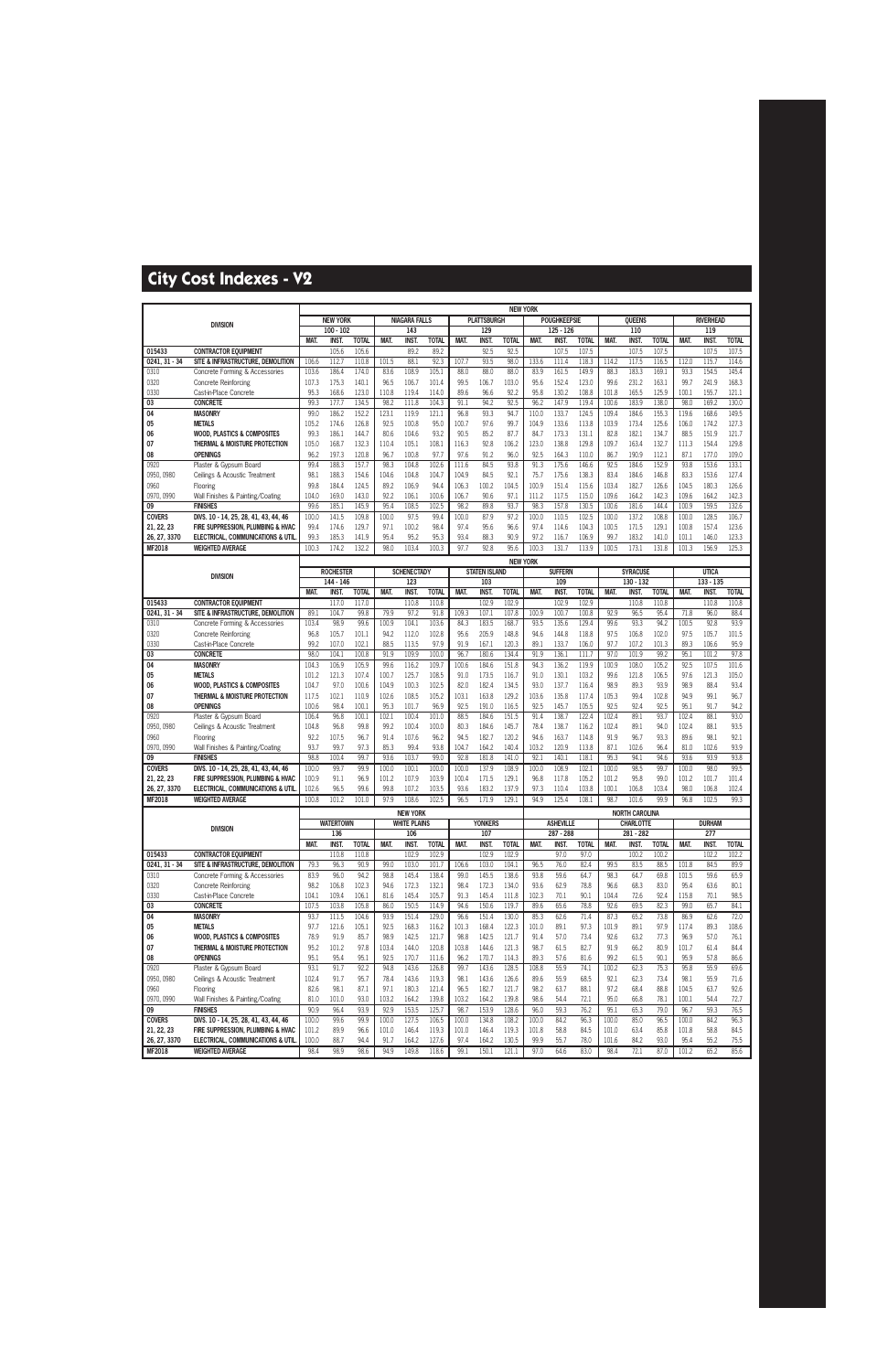|                 |                                                                         |                |                           |                |               |                      |                |               |                      |                | <b>NEW YORK</b> |                           |                |                |                       |                |               |                             |                |
|-----------------|-------------------------------------------------------------------------|----------------|---------------------------|----------------|---------------|----------------------|----------------|---------------|----------------------|----------------|-----------------|---------------------------|----------------|----------------|-----------------------|----------------|---------------|-----------------------------|----------------|
|                 | <b>DIVISION</b>                                                         |                | <b>NEW YORK</b>           |                |               | <b>NIAGARA FALLS</b> |                |               | <b>PLATTSBURGH</b>   |                |                 | <b>POUGHKEEPSIE</b>       |                |                | <b>OUEENS</b>         |                |               | <b>RIVERHEAD</b>            |                |
|                 |                                                                         |                | $100 - 102$               |                |               | 143                  |                |               | 129                  |                |                 | $125 - 126$               |                |                | 110                   |                |               | 119                         |                |
|                 |                                                                         | MAT.           | INST.                     | <b>TOTAL</b>   | MAT.          | INST.                | <b>TOTAL</b>   | MAT.          | <b>INST</b>          | <b>TOTAL</b>   | MAT.            | <b>INST</b>               | <b>TOTAL</b>   | MAT.           | <b>INST.</b>          | <b>TOTAL</b>   | MAT.          | <b>INST.</b>                | <b>TOTAL</b>   |
| 015433          | <b>CONTRACTOR EQUIPMENT</b>                                             |                | 105.6                     | 105.6          |               | 89.2                 | 89.2           |               | 92.5                 | 92.5           |                 | 107.5                     | 107.5          |                | 107.5                 | 107.5          |               | 107.5                       | 107.5          |
| $0241, 31 - 34$ | SITE & INFRASTRUCTURE, DEMOLITION                                       | 106.6          | 112.7                     | 110.8          | 101.5         | 88.1                 | 92.3           | 107.7         | 93.5                 | 98.0           | 133.6           | 111.4                     | 118.3          | 114.2          | 117.5                 | 116.5          | 112.0         | 115.7                       | 114.6          |
| 0310            | Concrete Forming & Accessories                                          | 103.6          | 186.4                     | 174.0          | 83.6          | 108.9                | 105.1          | 88.0          | 88.0                 | 88.0           | 83.9            | 161.5                     | 149.9          | 88.3           | 183.3                 | 169.1          | 93.3          | 154.5                       | 145.4          |
| 0320            | Concrete Reinforcing                                                    | 107.3          | 175.3                     | 140.1          | 96.5          | 106.7                | 101.4          | 99.5          | 106.7                | 103.0          | 95.6            | 152.4                     | 123.0          | 99.6           | 231.2                 | 163.1          | 99.7          | 241.9                       | 168.3          |
| 0330<br>03      | Cast-in-Place Concrete<br><b>CONCRETE</b>                               | 95.3<br>99.3   | 168.6<br>177.7            | 123.0<br>134.5 | 110.8<br>98.2 | 119.4<br>111.8       | 114.0<br>104.3 | 89.6<br>91.1  | 96.6<br>94.2         | 92.2<br>92.5   | 95.8<br>96.2    | 130.2<br>147.9            | 108.8<br>119.4 | 101.8<br>100.6 | 165.5<br>183.9        | 125.9<br>138.0 | 100.1<br>98.0 | 155.7<br>169.2              | 121.1<br>130.0 |
| 04              | <b>MASONRY</b>                                                          | 99.0           | 186.2                     | 152.2          | 123.1         | 119.9                | 121.1          | 96.8          | 93.3                 | 94.7           | 110.0           | 133.7                     | 124.5          | 109.4          | 184.6                 | 155.3          | 119.6         | 168.6                       | 149.5          |
| 05              | <b>METALS</b>                                                           | 105.2          | 174.6                     | 126.8          | 92.5          | 100.8                | 95.0           | 100.7         | 97.6                 | 99.7           | 104.9           | 133.6                     | 113.8          | 103.9          | 173.4                 | 125.6          | 106.0         | 174.2                       | 127.3          |
| 06              | <b>WOOD, PLASTICS &amp; COMPOSITES</b>                                  | 99.3           | 186.1                     | 144.7          | 80.6          | 104.6                | 93.2           | 90.5          | 85.2                 | 87.7           | 84.7            | 173.3                     | 131.1          | 82.8           | 182.1                 | 134.7          | 88.5          | 151.9                       | 121.7          |
| 07              | THERMAL & MOISTURE PROTECTION                                           | 105.0          | 168.7                     | 132.3          | 110.4         | 105.1                | 108.1          | 116.3         | 92.8                 | 106.2          | 123.0           | 138.8                     | 129.8          | 109.7          | 163.4                 | 132.7          | 111.3         | 154.4                       | 129.8          |
| 08              | <b>OPENINGS</b>                                                         | 96.2           | 197.3                     | 120.8          | 96.7          | 100.8                | 97.7           | 97.6          | 91.2                 | 96.0           | 92.5            | 164.3                     | 110.0          | 86.7           | 190.9                 | 112.1          | 87.1          | 177.0                       | 109.0          |
| 0920            | Plaster & Gypsum Board                                                  | 99.4           | 188.3                     | 157.7          | 98.3          | 104.8                | 102.6          | 111.6         | 84.5                 | 93.8           | 91.3            | 175.6                     | 146.6          | 92.5           | 184.6                 | 152.9          | 93.8          | 153.6                       | 133.1          |
| 0950, 0980      | Ceilings & Acoustic Treatment                                           | 98.1           | 188.3                     | 154.6          | 104.6         | 104.8                | 104.7          | 104.9         | 84.5                 | 92.1           | 75.7            | 175.6                     | 138.3          | 83.4           | 184.6                 | 146.8          | 83.3          | 153.6                       | 127.4          |
| 0960            | Flooring                                                                | 99.8           | 184.4                     | 124.5          | 89.2          | 106.9                | 94.4           | 106.3         | 100.2                | 104.5          | 100.9           | 151.4                     | 115.6          | 103.4          | 182.7                 | 126.6          | 104.5         | 180.3                       | 126.6          |
| 0970, 0990      | Wall Finishes & Painting/Coating                                        | 104.0          | 169.0                     | 143.0          | 92.2          | 106.1                | 100.6          | 106.7         | 90.6                 | 97.1           | 111.2           | 117.5                     | 115.0          | 109.6          | 164.2                 | 142.3          | 109.6         | 164.2                       | 142.3          |
| 09              | <b>FINISHES</b>                                                         | 99.6           | 185.1                     | 145.9          | 95.4          | 108.5                | 102.5          | 98.2          | 89.8                 | 93.7           | 98.3            | 157.8                     | 130.5          | 100.6          | 181.6                 | 144.4          | 100.9         | 159.5                       | 132.6          |
| <b>COVERS</b>   | DIVS. 10 - 14, 25, 28, 41, 43, 44, 46                                   | 100.0          | 141.5                     | 109.8          | 100.0         | 97.5                 | 99.4           | 100.0         | 87.9                 | 97.2           | 100.0           | 110.5                     | 102.5          | 100.0          | 137.2                 | 108.8          | 100.0         | 128.5                       | 106.7          |
| 21, 22, 23      | FIRE SUPPRESSION, PLUMBING & HVAC                                       | 99.4           | 174.6                     | 129.7          | 97.1          | 100.2                | 98.4           | 97.4          | 95.6                 | 96.6           | 97.4            | 114.6                     | 104.3          | 100.5          | 171.5                 | 129.1          | 100.8         | 157.4                       | 123.6          |
| 26, 27, 3370    | ELECTRICAL, COMMUNICATIONS & UTIL                                       | 99.3           | 185.3                     | 141.9          | 95.4          | 95.2                 | 95.3           | 93.4          | 88.3                 | 90.9           | 97.2            | 116.7                     | 106.9          | 99.7           | 183.2                 | 141.0          | 101.1         | 146.0                       | 123.3          |
| <b>MF2018</b>   | <b>WEIGHTED AVERAGE</b>                                                 | 100.3          | 174.2                     | 132.2          | 98.0          | 103.4                | 100.3          | 97.7          | 92.8                 | 95.6           | 100.3           | 131.                      | 113.9          | 100.5          | 173.1                 | 131.8          | 101.3         | 156.9                       | 125.3          |
|                 |                                                                         |                |                           |                |               |                      |                |               |                      |                | <b>NEW YORK</b> |                           |                |                |                       |                |               |                             |                |
|                 | <b>DIVISION</b>                                                         |                | <b>ROCHESTER</b>          |                |               | <b>SCHENECTADY</b>   |                |               | <b>STATEN ISLAND</b> |                |                 | <b>SUFFERN</b>            |                |                | <b>SYRACUSE</b>       |                |               | <b>UTICA</b>                |                |
|                 |                                                                         | MAT.           | 144 - 146<br><b>INST.</b> | <b>TOTAL</b>   |               | 123<br>INST.         | <b>TOTAL</b>   | MAT.          | 103<br><b>INST</b>   | <b>TOTAL</b>   | MAT.            | 109<br><b>INST</b>        | <b>TOTAL</b>   | MAT.           | 130 - 132<br>INST.    | <b>TOTAL</b>   | MAT.          | $133 - 135$<br><b>INST.</b> | <b>TOTAL</b>   |
| 015433          | <b>CONTRACTOR EQUIPMENT</b>                                             |                | 117.0                     | 117.0          | MAT.          | 110.8                | 110.8          |               | 102.9                | 102.9          |                 | 102.9                     | 102.9          |                | 110.8                 | 110.8          |               | 110.8                       | 110.8          |
| $0241, 31 - 34$ | SITE & INFRASTRUCTURE. DEMOLITION                                       | 89.1           | 104.7                     | 99.8           | 79.9          | 97.2                 | 91.8           | 109.3         | 107.1                | 107.8          | 100.9           | 100.7                     | 100.8          | 92.9           | 96.5                  | 95.4           | 71.8          | 96.0                        | 88.4           |
| 0310            | Concrete Forming & Accessories                                          | 103.4          | 98.9                      | 99.6           | 100.9         | 104.1                | 103.6          | 84.3          | 183.5                | 168.7          | 93.5            | 135.6                     | 129.4          | 99.6           | 93.3                  | 94.2           | 100.5         | 92.8                        | 93.9           |
| 0320            | Concrete Reinforcing                                                    | 96.8           | 105.7                     | 101.1          | 94.2          | 112.0                | 102.8          | 95.6          | 205.9                | 148.8          | 94.6            | 144.8                     | 118.8          | 97.5           | 106.8                 | 102.0          | 97.5          | 105.7                       | 101.5          |
| 0330            | Cast-in-Place Concrete                                                  | 99.2           | 107.0                     | 102.1          | 88.5          | 113.5                | 97.9           | 91.9          | 167.1                | 120.3          | 89.1            | 133.7                     | 106.0          | 97.7           | 107.2                 | 101.3          | 89.3          | 106.6                       | 95.9           |
| 03              | <b>CONCRETE</b>                                                         | 98.0           | 104.1                     | 100.8          | 91.9          | 109.9                | 100.0          | 96.7          | 180.6                | 134.4          | 91.9            | 136.1                     | 111.7          | 97.0           | 101.9                 | 99.2           | 95.1          | 101.2                       | 97.8           |
| 04              | <b>MASONRY</b>                                                          | 104.3          | 106.9                     | 105.9          | 99.6          | 116.2                | 109.7          | 100.6         | 184.6                | 151.8          | 94.3            | 136.2                     | 119.9          | 100.9          | 108.0                 | 105.2          | 92.5          | 107.5                       | 101.6          |
| 05              | <b>METALS</b>                                                           | 101.2          | 121.3                     | 107.4          | 100.7         | 125.7                | 108.5          | 91.0          | 173.5                | 116.7          | 91.0            | 130.1                     | 103.2          | 99.6           | 121.8                 | 106.5          | 97.6          | 121.3                       | 105.0          |
| 06              | <b>WOOD, PLASTICS &amp; COMPOSITES</b>                                  | 104.7          | 97.0                      | 100.6          | 104.9         | 100.3                | 102.5          | 82.0          | 182.4                | 134.5          | 93.0            | 137.7                     | 116.4          | 98.9           | 89.3                  | 93.9           | 98.9          | 88.4                        | 93.4           |
| 07              | THERMAL & MOISTURE PROTECTION                                           | 117.5          | 102.1                     | 110.9          | 102.6         | 108.5                | 105.2          | 103.1         | 163.8                | 129.2          | 103.6           | 135.8                     | 117.4          | 105.3          | 99.4                  | 102.8          | 94.9          | 99.1                        | 96.7           |
| 08<br>0920      | <b>OPENINGS</b>                                                         | 100.6<br>106.4 | 98.4<br>96.8              | 100.1<br>100.1 | 95.3<br>102.1 | 101.7<br>100.4       | 96.9<br>101.0  | 92.5<br>88.5  | 191.0<br>184.6       | 116.5<br>151.5 | 92.5<br>91.4    | 145.7<br>138.7            | 105.5<br>122.4 | 92.5<br>102.4  | 92.4<br>89.1          | 92.5<br>93.7   | 95.1<br>102.4 | 91.7<br>88.1                | 94.2<br>93.0   |
| 0950, 0980      | Plaster & Gypsum Board<br>Ceilings & Acoustic Treatment                 | 104.8          | 96.8                      | 99.8           | 99.2          | 100.4                | 100.0          | 80.3          | 184.6                | 145.7          | 78.4            | 138.7                     | 116.2          | 102.4          | 89.1                  | 94.0           | 102.4         | 88.1                        | 93.5           |
| 0960            | Flooring                                                                | 92.2           | 107.5                     | 96.7           | 91.4          | 107.6                | 96.2           | 94.5          | 182.7                | 120.2          | 94.6            | 163.7                     | 114.8          | 91.9           | 96.7                  | 93.3           | 89.6          | 98.1                        | 92.1           |
| 0970, 0990      | Wall Finishes & Painting/Coating                                        | 93.7           | 99.7                      | 97.3           | 85.3          | 99.4                 | 93.8           | 104.7         | 164.2                | 140.4          | 103.2           | 120.9                     | 113.8          | 87.1           | 102.6                 | 96.4           | 81.0          | 102.6                       | 93.9           |
| 09              | <b>FINISHES</b>                                                         | 98.8           | 100.4                     | 99.7           | 93.6          | 103.7                | 99.0           | 92.8          | 181.8                | 141.0          | 92.1            | 140.1                     | 118.1          | 95.3           | 94.1                  | 94.6           | 93.6          | 93.9                        | 93.8           |
| <b>COVERS</b>   | DIVS. 10 - 14, 25, 28, 41, 43, 44, 46                                   | 100.0          | 99.7                      | 99.9           | 100.0         | 100.1                | 100.0          | 100.0         | 137.9                | 108.9          | 100.0           | 108.9                     | 102.1          | 100.0          | 98.5                  | 99.7           | 100.0         | 98.0                        | 99.5           |
| 21, 22, 23      | FIRE SUPPRESSION. PLUMBING & HVAC                                       | 100.9          | 91.1                      | 96.9           | 101.2         | 107.9                | 103.9          | 100.4         | 171.5                | 129.1          | 96.8            | 117.8                     | 105.2          | 101.2          | 95.8                  | 99.0           | 101.2         | 101.7                       | 101.4          |
| 26, 27, 3370    | <b>ELECTRICAL, COMMUNICATIONS &amp; UTIL</b>                            | 102.6          | 96.5                      | 99.6           | 99.8          | 107.2                | 103.5          | 93.6          | 183.2                | 137.9          | 97.3            | 110.4                     | 103.8          | 100.1          | 106.8                 | 103.4          | 98.0          | 106.8                       | 102.4          |
| MF2018          | <b>WEIGHTED AVERAGE</b>                                                 | 100.8          | 101.2                     | 101.0          | 97.9          | 108.6                | 102.5          | 96.5          | 171.9                | 129.1          | 94.9            | 125.4                     | 108.1          | 98.7           | 101.6                 | 99.9           | 96.8          | 102.5                       | 99.3           |
|                 |                                                                         |                |                           |                |               | <b>NEW YORK</b>      |                |               |                      |                |                 |                           |                |                | <b>NORTH CAROLINA</b> |                |               |                             |                |
|                 | <b>DIVISION</b>                                                         |                | <b>WATERTOWN</b>          |                |               | <b>WHITE PLAINS</b>  |                |               | <b>YONKERS</b>       |                |                 | <b>ASHEVILLE</b>          |                |                | <b>CHARLOTTE</b>      |                |               | <b>DURHAM</b>               |                |
|                 |                                                                         | MAT.           | 136<br><b>INST.</b>       | <b>TOTAL</b>   | MAT.          | 106<br><b>INST.</b>  | <b>TOTAL</b>   | MAT.          | 107<br>INST.         | <b>TOTAL</b>   | MAT.            | 287 - 288<br><b>INST.</b> | <b>TOTAL</b>   | MAT.           | 281 - 282<br>INST.    | <b>TOTAL</b>   | MAT.          | 277<br><b>INST.</b>         | <b>TOTAL</b>   |
| 015433          | <b>CONTRACTOR EQUIPMENT</b>                                             |                | 110.8                     | 110.8          |               | 102.9                | 102.9          |               | 102.9                | 102.9          |                 | 97.0                      | 97.0           |                | 100.2                 | 100.2          |               | 102.2                       | 102.2          |
| $0241, 31 - 34$ | SITE & INFRASTRUCTURE, DEMOLITION                                       | 79.3           | 96.3                      | 90.9           | 99.0          | 103.0                | 101.7          | 106.6         | 103.0                | 104.1          | 96.5            | 76.0                      | 82.4           | 99.5           | 83.5                  | 88.5           | 101.8         | 84.5                        | 89.9           |
| 0310            | Concrete Forming & Accessories                                          | 83.9           | 96.0                      | 94.2           | 98.8          | 145.4                | 138.4          | 99.0          | 145.5                | 138.6          | 93.8            | 59.6                      | 64.7           | 98.3           | 64.7                  | 69.8           | 101.5         | 59.6                        | 65.9           |
| 0320            | Concrete Reinforcing                                                    | 98.2           | 106.8                     | 102.3          | 94.6          | 172.3                | 132.1          | 98.4          | 172.3                | 134.0          | 93.6            | 62.9                      | 78.8           | 96.6           | 68.3                  | 83.0           | 95.4          | 63.6                        | 80.1           |
| 0330            | Cast-in-Place Concrete                                                  | 104.1          | 109.4                     | 106.1          | 81.6          | 145.4                | 105.7          | 91.3          | 145.4                | 111.8          | 102.3           | 70.1                      | 90.1           | 104.4          | 72.6                  | 92.4           | 115.8         | 70.1                        | 98.5           |
| 03              | <b>CONCRETE</b>                                                         | 107.5          | 103.8                     | 105.8          | 86.0          | 150.5                | 114.9          | 94.6          | 150.6                | 119.7          | 89.6            | 65.6                      | 78.8           | 92.6           | 69.5                  | 82.3           | 99.0          | 65.7                        | 84.1           |
| 04              | <b>MASONRY</b>                                                          | 93.7           | 111.5                     | 104.6          | 93.9          | 151.4                | 129.0          | 96.6          | 151.4                | 130.0          | 85.3            | 62.6                      | 71.4           | 87.3           | 65.2                  | 73.8           | 86.9          | 62.6                        | 72.0           |
| 05              | <b>METALS</b>                                                           | 97.7           | 121.6                     | 105.1          | 92.5          | 168.3                | 116.2          | 101.3         | 168.4                | 122.3          | 101.0           | 89.1                      | 97.3           | 101.9          | 89.1                  | 97.9           | 117.4         | 89.3                        | 108.6          |
| 06<br>07        | <b>WOOD, PLASTICS &amp; COMPOSITES</b><br>THERMAL & MOISTURE PROTECTION | 78.9<br>95.2   | 91.9<br>101.2             | 85.7<br>97.8   | 98.9<br>103.4 | 142.5<br>144.0       | 121.7<br>120.8 | 98.8<br>103.8 | 142.5<br>144.6       | 121.7<br>121.3 | 91.4<br>98.7    | 57.0<br>61.5              | 73.4<br>82.7   | 92.6<br>91.9   | 63.2<br>66.2          | 77.3<br>80.9   | 96.9<br>101.7 | 57.0<br>61.4                | 76.1<br>84.4   |
| 08              | <b>OPENINGS</b>                                                         | 95.1           | 95.4                      | 95.1           | 92.5          | 170.7                | 111.6          | 96.2          | 170.7                | 114.3          | 89.3            | 57.6                      | 81.6           | 99.2           | 61.5                  | 90.1           | 95.9          | 57.8                        | 86.6           |
| 0920            | Plaster & Gypsum Board                                                  | 93.1           | 91.7                      | 92.2           | 94.8          | 143.6                | 126.8          | 99.7          | 143.6                | 128.5          | 108.8           | 55.9                      | 74.1           | 100.2          | 62.3                  | 75.3           | 95.8          | 55.9                        | 69.6           |
| 0950, 0980      | Ceilings & Acoustic Treatment                                           | 102.4          | 91.7                      | 95.7           | 78.4          | 143.6                | 119.3          | 98.1          | 143.6                | 126.6          | 89.6            | 55.9                      | 68.5           | 92.1           | 62.3                  | 73.4           | 98.1          | 55.9                        | 71.6           |
| 0960            | Flooring                                                                | 82.6           | 98.1                      | 87.1           | 97.1          | 180.3                | 121.4          | 96.5          | 182.7                | 121.7          | 98.2            | 63.7                      | 88.1           | 97.2           | 68.4                  | 88.8           | 104.5         | 63.7                        | 92.6           |
| 0970, 0990      | Wall Finishes & Painting/Coating                                        | 81.0           | 101.0                     | 93.0           | 103.2         | 164.2                | 139.8          | 103.2         | 164.2                | 139.8          | 98.6            | 54.4                      | 72.1           | 95.0           | 66.8                  | 78.1           | 100.1         | 54.4                        | 72.7           |
| 09              | <b>FINISHES</b>                                                         | 90.9           | 96.4                      | 93.9           | 92.9          | 153.5                | 125.7          | 98.7          | 153.9                | 128.6          | 96.0            | 59.3                      | 76.2           | 95.1           | 65.3                  | 79.0           | 96.7          | 59.3                        | 76.5           |
| <b>COVERS</b>   | DIVS. 10 - 14, 25, 28, 41, 43, 44, 46                                   | 100.0          | 99.6                      | 99.9           | 100.0         | 127.5                | 106.5          | 100.0         | 134.8                | 108.2          | 100.0           | 84.2                      | 96.3           | 100.0          | 85.0                  | 96.5           | 100.0         | 84.2                        | 96.3           |
| 21, 22, 23      | FIRE SUPPRESSION, PLUMBING & HVAC                                       | 101.2          | 89.9                      | 96.6           | 101.0         | 146.4                | 119.3          | 101.0         | 146.4                | 119.3          | 101.8           | 58.8                      | 84.5           | 101.0          | 63.4                  | 85.8           | 101.8         | 58.8                        | 84.5           |
| 26, 27, 3370    | ELECTRICAL, COMMUNICATIONS & UTIL                                       | 100.0          | 88.7                      | 94.4           | 91.7          | 164.2                | 127.6          | 97.4          | 164.2                | 130.5          | 99.9            | 55.7                      | 78.0           | 101.6          | 84.2                  | 93.0           | 95.4          | 55.2                        | 75.5           |
| <b>MF2018</b>   | <b>WEIGHTED AVERAGE</b>                                                 | 98.4           | 98.9                      | 98.6           | 94.9          | 149.8                | 118.6          | 99.1          | 150.1                | 121.1          | 97.0            | 64.6                      | 83.0           | 98.4           | 72.1                  | 87.0           | 101.2         | 65.2                        | 85.6           |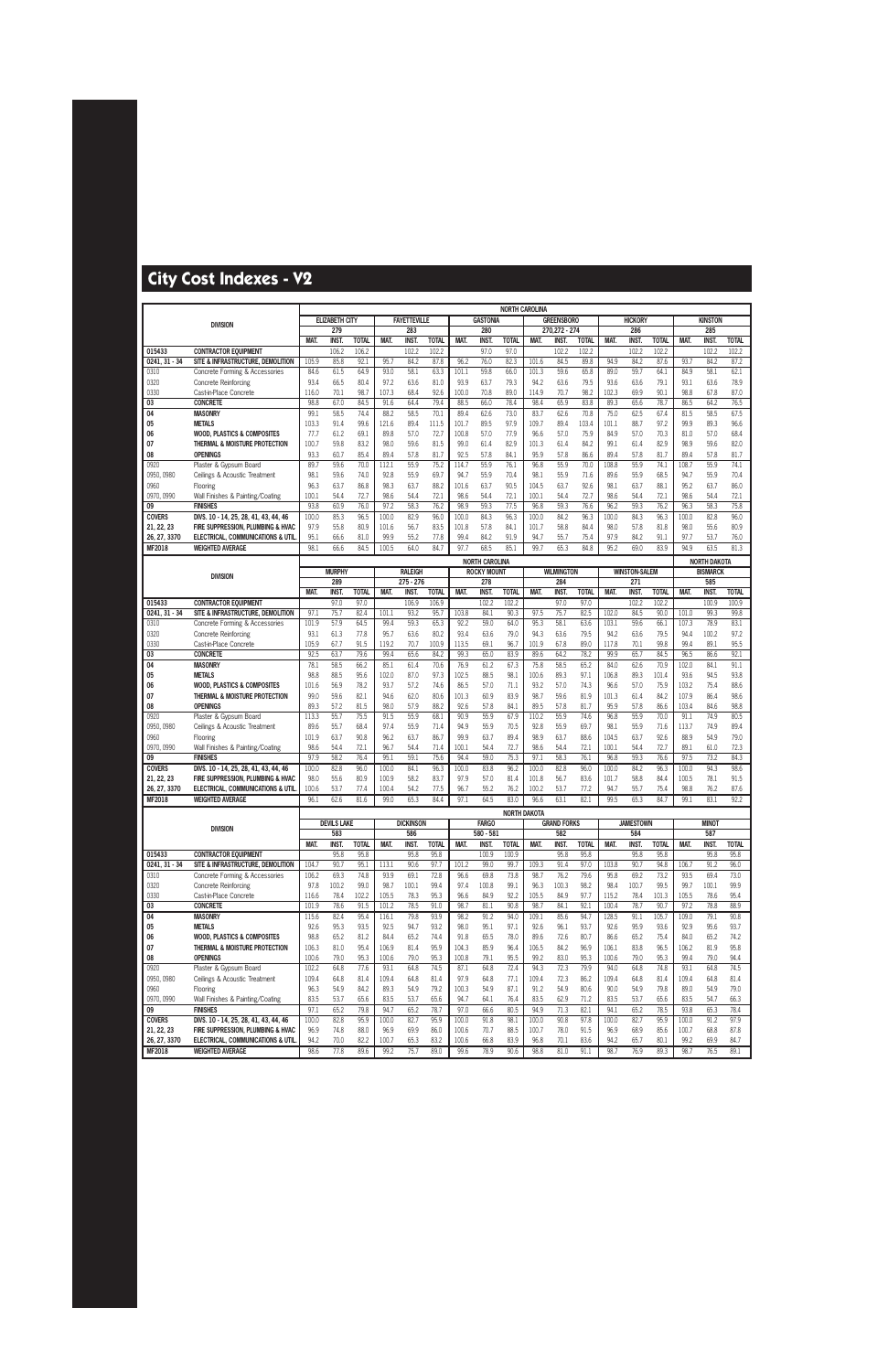|                           |                                                                  |                |                       |               |                |                      |               |               |                       | <b>NORTH CAROLINA</b> |               |                    |               |                |                      |               |                |                     |               |
|---------------------------|------------------------------------------------------------------|----------------|-----------------------|---------------|----------------|----------------------|---------------|---------------|-----------------------|-----------------------|---------------|--------------------|---------------|----------------|----------------------|---------------|----------------|---------------------|---------------|
|                           | <b>DIVISION</b>                                                  |                | <b>ELIZABETH CITY</b> |               |                | <b>FAYETTEVILLE</b>  |               |               | <b>GASTONIA</b>       |                       |               | <b>GREENSBORO</b>  |               |                | <b>HICKORY</b>       |               |                | <b>KINSTON</b>      |               |
|                           |                                                                  |                | 279                   |               |                | 283                  |               |               | 280                   |                       |               | 270,272 - 274      |               |                | 286                  |               |                | 285                 |               |
|                           |                                                                  | MAT.           | INST.                 | <b>TOTAL</b>  | MAT.           | <b>INST</b>          | <b>TOTAL</b>  | MAT.          | <b>INST</b>           | <b>TOTAL</b>          | MAT.          | INST.              | <b>TOTAL</b>  | MAT.           | <b>INST.</b>         | <b>TOTAL</b>  | MAT.           | <b>INST.</b>        | <b>TOTAL</b>  |
| 015433<br>$0241, 31 - 34$ | <b>CONTRACTOR EQUIPMENT</b><br>SITE & INFRASTRUCTURE. DEMOLITION | 105.9          | 106.2<br>85.8         | 106.2<br>92.1 | 95.7           | 102.2<br>84.2        | 102.2<br>87.8 | 96.2          | 97.0<br>76.0          | 97.0<br>82.3          | 101.6         | 102.2<br>84.5      | 102.2<br>89.8 | 94.9           | 102.2<br>84.2        | 102.2<br>87.6 | 93.7           | 102.2<br>84.2       | 102.2<br>87.2 |
| 0310                      | Concrete Forming & Accessories                                   | 84.6           | 61.5                  | 64.9          | 93.0           | 58.1                 | 63.3          | 101.1         | 59.8                  | 66.0                  | 101.3         | 59.6               | 65.8          | 89.0           | 59.7                 | 64.1          | 84.9           | 58.1                | 62.1          |
| 0320                      | Concrete Reinforcing                                             | 93.4           | 66.5                  | 80.4          | 97.2           | 63.6                 | 81.0          | 93.9          | 63.7                  | 79.3                  | 94.2          | 63.6               | 79.5          | 93.6           | 63.6                 | 79.1          | 93.1           | 63.6                | 78.9          |
| 0330                      | Cast-in-Place Concrete                                           | 116.0          | 70.1                  | 98.7          | 107.3          | 68.4                 | 92.6          | 100.0         | 70.8                  | 89.0                  | 114.9         | 70.7               | 98.2          | 102.3          | 69.9                 | 90.1          | 98.8           | 67.8                | 87.0          |
| 03                        | <b>CONCRETE</b>                                                  | 98.8           | 67.0                  | 84.5          | 91.6           | 64.4                 | 79.4          | 88.5          | 66.0                  | 78.4                  | 98.4          | 65.9               | 83.8          | 89.3           | 65.6                 | 78.7          | 86.5           | 64.2                | 76.5          |
| 04                        | <b>MASONRY</b>                                                   | 99.1           | 58.5                  | 74.4          | 88.2           | 58.5                 | 70.1          | 89.4          | 62.6                  | 73.0                  | 83.7          | 62.6               | 70.8          | 75.0           | 62.5                 | 67.4          | 81.5           | 58.5                | 67.5          |
| 05                        | <b>METALS</b>                                                    | 103.3          | 91.4                  | 99.6          | 121.6          | 89.4                 | 111.5         | 101.7         | 89.5                  | 97.9                  | 109.7         | 89.4               | 103.4         | 101.1          | 88.7                 | 97.2          | 99.9           | 89.3                | 96.6          |
| 06                        | <b>WOOD. PLASTICS &amp; COMPOSITES</b>                           | 77.7           | 61.2                  | 69.1          | 89.8           | 57.0                 | 72.7          | 100.8         | 57.0                  | 77.9                  | 96.6          | 57.0               | 75.9          | 84.9           | 57.0                 | 70.3          | 81.0           | 57.0                | 68.4          |
| 07                        | THERMAL & MOISTURE PROTECTION                                    | 100.7          | 59.8                  | 83.2          | 98.0           | 59.6                 | 81.5          | 99.0          | 61.4                  | 82.9                  | 101.3         | 61.4               | 84.2          | 99.1           | 61.4                 | 82.9          | 98.9           | 59.6                | 82.0          |
| 08<br>0920                | <b>OPENINGS</b><br>Plaster & Gypsum Board                        | 93.3<br>89.7   | 60.7<br>59.6          | 85.4<br>70.0  | 89.4<br>112.1  | 57.8<br>55.9         | 81.7<br>75.2  | 92.5<br>114.7 | 57.8<br>55.9          | 84.1<br>76.1          | 95.9<br>96.8  | 57.8<br>55.9       | 86.6<br>70.0  | 89.4<br>108.8  | 57.8<br>55.9         | 81.7<br>74.1  | 89.4<br>108.7  | 57.8<br>55.9        | 81.7<br>74.1  |
| 0950, 0980                | Ceilings & Acoustic Treatment                                    | 98.1           | 59.6                  | 74.0          | 92.8           | 55.9                 | 69.7          | 94.7          | 55.9                  | 70.4                  | 98.1          | 55.9               | 71.6          | 89.6           | 55.9                 | 68.5          | 94.7           | 55.9                | 70.4          |
| 0960                      | Flooring                                                         | 96.3           | 63.7                  | 86.8          | 98.3           | 63.7                 | 88.2          | 101.6         | 63.7                  | 90.5                  | 104.5         | 63.7               | 92.6          | 98.1           | 63.7                 | 88.1          | 95.2           | 63.7                | 86.0          |
| 0970, 0990                | Wall Finishes & Painting/Coating                                 | 100.1          | 54.4                  | 72.7          | 98.6           | 54.4                 | 72.1          | 98.6          | 54.4                  | 72.1                  | 100.1         | 54.4               | 72.7          | 98.6           | 54.4                 | 72.1          | 98.6           | 54.4                | 72.1          |
| 09                        | <b>FINISHES</b>                                                  | 93.8           | 60.9                  | 76.0          | 97.2           | 58.3                 | 76.2          | 98.9          | 59.3                  | 77.5                  | 96.8          | 59.3               | 76.6          | 96.2           | 59.3                 | 76.2          | 96.3           | 58.3                | 75.8          |
| <b>COVERS</b>             | DIVS. 10 - 14, 25, 28, 41, 43, 44, 46                            | 100.0          | 85.3                  | 96.5          | 100.0          | 82.9                 | 96.0          | 100.0         | 84.3                  | 96.3                  | 100.0         | 84.2               | 96.3          | 100.0          | 84.3                 | 96.3          | 100.0          | 82.8                | 96.0          |
| 21, 22, 23                | FIRE SUPPRESSION, PLUMBING & HVAC                                | 97.9           | 55.8                  | 80.9          | 101.6          | 56.7                 | 83.5          | 101.8         | 57.8                  | 84.1                  | 101.7         | 58.8               | 84.4          | 98.0           | 57.8                 | 81.8          | 98.0           | 55.6                | 80.9          |
| 26, 27, 3370              | <b>ELECTRICAL, COMMUNICATIONS &amp; UTIL</b>                     | 95.1           | 66.6                  | 81.0          | 99.9           | 55.2                 | 77.8          | 99.4          | 84.2                  | 91.9                  | 94.7          | 55.7               | 75.4          | 97.9           | 84.2                 | 91.1          | 97.7           | 53.7                | 76.0          |
| MF2018                    | <b>WEIGHTED AVERAGE</b>                                          | 98.1           | 66.6                  | 84.5          | 100.5          | 64.0                 | 84.7          | 97.7          | 68.5                  | 85.1                  | 99.7          | 65.3               | 84.8          | 95.2           | 69.0                 | 83.9          | 94.9           | 63.5                | 81.3          |
|                           |                                                                  |                |                       |               |                |                      |               |               | <b>NORTH CAROLINA</b> |                       |               |                    |               |                |                      |               |                | <b>NORTH DAKOTA</b> |               |
|                           | <b>DIVISION</b>                                                  |                | <b>MURPHY</b>         |               |                | <b>RALEIGH</b>       |               |               | <b>ROCKY MOUNT</b>    |                       |               | <b>WILMINGTON</b>  |               |                | <b>WINSTON-SALEM</b> |               |                | <b>BISMARCK</b>     |               |
|                           |                                                                  | MAT.           | 289<br><b>INST.</b>   | <b>TOTAL</b>  | MAT.           | $275 - 276$<br>INST. | <b>TOTAL</b>  | MAT.          | 278<br><b>INST</b>    | <b>TOTAL</b>          | MAT.          | 284<br><b>INST</b> | <b>TOTAL</b>  | MAT.           | 271<br><b>INST.</b>  | <b>TOTAL</b>  | MAT.           | 585<br><b>INST.</b> | <b>TOTAL</b>  |
| 015433                    | <b>CONTRACTOR EQUIPMENT</b>                                      |                | 97.0                  | 97.0          |                | 106.9                | 106.9         |               | 102.2                 | 102.2                 |               | 97.0               | 97.0          |                | 102.2                | 102.2         |                | 100.9               | 100.9         |
| $0241.31 - 34$            | SITE & INFRASTRUCTURE, DEMOLITION                                | 97.1           | 75.7                  | 82.4          | 101.1          | 93.2                 | 95.7          | 103.8         | 84.1                  | 90.3                  | 97.5          | 75.7               | 82.5          | 102.0          | 84.5                 | 90.0          | 101.0          | 99.3                | 99.8          |
| 0310                      | Concrete Forming & Accessories                                   | 101.9          | 57.9                  | 64.5          | 99.4           | 59.3                 | 65.3          | 92.2          | 59.0                  | 64.0                  | 95.3          | 58.1               | 63.6          | 103.1          | 59.6                 | 66.1          | 107.3          | 78.9                | 83.1          |
| 0320                      | Concrete Reinforcing                                             | 93.1           | 61.3                  | 77.8          | 95.7           | 63.6                 | 80.2          | 93.4          | 63.6                  | 79.0                  | 94.3          | 63.6               | 79.5          | 94.2           | 63.6                 | 79.5          | 94.4           | 100.2               | 97.2          |
| 0330                      | Cast-in-Place Concrete                                           | 105.9          | 67.7                  | 91.5          | 119.2          | 70.7                 | 100.9         | 113.5         | 69.1                  | 96.7                  | 101.9         | 67.8               | 89.0          | 117.8          | 70.1                 | 99.8          | 99.4           | 89.1                | 95.5          |
| 03                        | <b>CONCRETE</b>                                                  | 92.5           | 63.7                  | 79.6          | 99.4           | 65.6                 | 84.2          | 99.3          | 65.0                  | 83.9                  | 89.6          | 64.2               | 78.2          | 99.9           | 65.7                 | 84.5          | 96.5           | 86.6                | 92.1          |
| 04                        | <b>MASONRY</b>                                                   | 78.1           | 58.5                  | 66.2          | 85.1           | 61.4                 | 70.6          | 76.9          | 61.2                  | 67.3                  | 75.8          | 58.5               | 65.2          | 84.0           | 62.6                 | 70.9          | 102.0          | 84.1                | 91.1          |
| 05                        | <b>METALS</b>                                                    | 98.8           | 88.5                  | 95.6          | 102.0          | 87.0                 | 97.3          | 102.5         | 88.5                  | 98.1                  | 100.6         | 89.3               | 97.1          | 106.8          | 89.3                 | 101.4         | 93.6           | 94.5                | 93.8          |
| 06                        | <b>WOOD, PLASTICS &amp; COMPOSITES</b>                           | 101.6          | 56.9                  | 78.2          | 93.7           | 57.2                 | 74.6          | 86.5          | 57.0                  | 71.1                  | 93.2          | 57.0               | 74.3          | 96.6           | 57.0                 | 75.9          | 103.2          | 75.4                | 88.6          |
| 07<br>08                  | THERMAL & MOISTURE PROTECTION<br><b>OPENINGS</b>                 | 99.0<br>89.3   | 59.6<br>57.2          | 82.1<br>81.5  | 94.6<br>98.0   | 62.0<br>57.9         | 80.6<br>88.2  | 101.3<br>92.6 | 60.9<br>57.8          | 83.9<br>84.1          | 98.7<br>89.5  | 59.6<br>57.8       | 81.9<br>81.7  | 101.3<br>95.9  | 61.4<br>57.8         | 84.2<br>86.6  | 107.9<br>103.4 | 86.4<br>84.6        | 98.6<br>98.8  |
| 0920                      | Plaster & Gypsum Board                                           | 113.3          | 55.7                  | 75.5          | 91.5           | 55.9                 | 68.1          | 90.9          | 55.9                  | 67.9                  | 110.2         | 55.9               | 74.6          | 96.8           | 55.9                 | 70.0          | 91.1           | 74.9                | 80.5          |
| 0950, 0980                | Ceilings & Acoustic Treatment                                    | 89.6           | 55.7                  | 68.4          | 97.4           | 55.9                 | 71.4          | 94.9          | 55.9                  | 70.5                  | 92.8          | 55.9               | 69.7          | 98.1           | 55.9                 | 71.6          | 113.7          | 74.9                | 89.4          |
| 0960                      | Flooring                                                         | 101.9          | 63.7                  | 90.8          | 96.2           | 63.7                 | 86.7          | 99.9          | 63.7                  | 89.4                  | 98.9          | 63.7               | 88.6          | 104.5          | 63.7                 | 92.6          | 88.9           | 54.9                | 79.0          |
| 0970, 0990                | Wall Finishes & Painting/Coating                                 | 98.6           | 54.4                  | 72.1          | 96.7           | 54.4                 | 71.4          | 100.1         | 54.4                  | 72.7                  | 98.6          | 54.4               | 72.1          | 100.1          | 54.4                 | 72.7          | 89.1           | 61.0                | 72.3          |
| 09                        | <b>FINISHES</b>                                                  | 97.9           | 58.2                  | 76.4          | 95.1           | 59.1                 | 75.6          | 94.4          | 59.0                  | 75.3                  | 97.1          | 58.3               | 76.1          | 96.8           | 59.3                 | 76.6          | 97.5           | 73.2                | 84.3          |
| <b>COVERS</b>             | DIVS. 10 - 14, 25, 28, 41, 43, 44, 46                            | 100.0          | 82.8                  | 96.0          | 100.0          | 84.1                 | 96.3          | 100.0         | 83.8                  | 96.2                  | 100.0         | 82.8               | 96.0          | 100.0          | 84.2                 | 96.3          | 100.0          | 94.3                | 98.6          |
| 21, 22, 23                | FIRE SUPPRESSION. PLUMBING & HVAC                                | 98.0           | 55.6                  | 80.9          | 100.9          | 58.2                 | 83.7          | 97.9          | 57.0                  | 81.4                  | 101.8         | 56.7               | 83.6          | 101.7          | 58.8                 | 84.4          | 100.5          | 78.1                | 91.5          |
| 26, 27, 3370<br>MF2018    | ELECTRICAL, COMMUNICATIONS & UTIL<br><b>WEIGHTED AVERAGE</b>     | 100.6<br>96.1  | 53.7<br>62.6          | 77.4<br>81.6  | 100.4<br>99.0  | 54.2<br>65.3         | 77.5<br>84.4  | 96.7<br>97.1  | 55.2<br>64.5          | 76.2<br>83.0          | 100.2<br>96.6 | 53.7<br>63.1       | 77.2<br>82.1  | 94.7<br>99.5   | 55.7<br>65.3         | 75.4<br>84.7  | 98.8<br>99.1   | 76.2<br>83.1        | 87.6<br>92.2  |
|                           |                                                                  |                |                       |               |                |                      |               |               |                       |                       |               |                    |               |                |                      |               |                |                     |               |
|                           |                                                                  |                | <b>DEVILS LAKE</b>    |               |                | <b>DICKINSON</b>     |               |               | <b>FARGO</b>          | <b>NORTH DAKOTA</b>   |               | <b>GRAND FORKS</b> |               |                | <b>JAMESTOWN</b>     |               |                | <b>MINOT</b>        |               |
|                           | <b>DIVISION</b>                                                  |                | 583                   |               |                | 586                  |               |               | 580 - 581             |                       |               | 582                |               |                | 584                  |               |                | 587                 |               |
|                           |                                                                  | MAT.           | <b>INST.</b>          | <b>TOTAL</b>  | MAT.           | INST.                | <b>TOTAL</b>  | MAT.          | INST.                 | <b>TOTAL</b>          | MAT.          | <b>INST.</b>       | <b>TOTAL</b>  | MAT.           | <b>INST.</b>         | <b>TOTAL</b>  | MAT.           | INST.               | <b>TOTAL</b>  |
| 015433                    | <b>CONTRACTOR EQUIPMENT</b>                                      |                | 95.8                  | 95.8          |                | 95.8                 | 95.8          |               | 100.9                 | 100.9                 |               | 95.8               | 95.8          |                | 95.8                 | 95.8          |                | 95.8                | 95.8          |
| $0241, 31 - 34$           | SITE & INFRASTRUCTURE, DEMOLITION                                | 104.7          | 90.7                  | 95.1          | 113.1          | 90.6                 | 97.7          | 101.2         | 99.0                  | 99.7                  | 109.3         | 91.4               | 97.0          | 103.8          | 90.7                 | 94.8          | 106.7          | 91.2                | 96.0          |
| 0310                      | Concrete Forming & Accessories                                   | 106.2          | 69.3                  | 74.8          | 93.9           | 69.1                 | 72.8          | 96.6          | 69.8                  | 73.8                  | 98.7          | 76.2               | 79.6          | 95.8           | 69.2                 | 73.2          | 93.5           | 69.4                | 73.0          |
| 0320                      | <b>Concrete Reinforcing</b>                                      | 97.8           | 100.2                 | 99.0          | 98.7           | 100.1                | 99.4          | 97.4          | 100.8                 | 99.1                  | 96.3          | 100.3              | 98.2          | 98.4           | 100.7                | 99.5          | 99.7           | 100.1               | 99.9          |
| 0330<br>03                | Cast-in-Place Concrete<br><b>CONCRETE</b>                        | 116.6<br>101.9 | 78.4<br>78.6          | 102.2<br>91.5 | 105.5<br>101.2 | 78.3<br>78.5         | 95.3<br>91.0  | 96.6<br>98.7  | 84.9<br>81.1          | 92.2<br>90.8          | 105.5<br>98.7 | 84.9<br>84.1       | 97.7<br>92.1  | 115.2<br>100.4 | 78.4<br>78.7         | 101.3<br>90.7 | 105.5<br>97.2  | 78.6<br>78.8        | 95.4<br>88.9  |
| 04                        | <b>MASONRY</b>                                                   | 115.6          | 82.4                  | 95.4          | 116.1          | 79.8                 | 93.9          | 98.2          | 91.2                  | 94.0                  | 109.1         | 85.6               | 94.7          | 128.5          | 91.1                 | 105.7         | 109.0          | 79.1                | 90.8          |
| 05                        | <b>METALS</b>                                                    | 92.6           | 95.3                  | 93.5          | 92.5           | 94.7                 | 93.2          | 98.0          | 95.1                  | 97.1                  | 92.6          | 96.1               | 93.7          | 92.6           | 95.9                 | 93.6          | 92.9           | 95.6                | 93.7          |
| 06                        | <b>WOOD, PLASTICS &amp; COMPOSITES</b>                           | 98.8           | 65.2                  | 81.2          | 84.4           | 65.2                 | 74.4          | 91.8          | 65.5                  | 78.0                  | 89.6          | 72.6               | 80.7          | 86.6           | 65.2                 | 75.4          | 84.0           | 65.2                | 74.2          |
| 07                        | THERMAL & MOISTURE PROTECTION                                    | 106.3          | 81.0                  | 95.4          | 106.9          | 81.4                 | 95.9          | 104.3         | 85.9                  | 96.4                  | 106.5         | 84.2               | 96.9          | 106.1          | 83.8                 | 96.5          | 106.2          | 81.9                | 95.8          |
| 08                        | <b>OPENINGS</b>                                                  | 100.6          | 79.0                  | 95.3          | 100.6          | 79.0                 | 95.3          | 100.8         | 79.1                  | 95.5                  | 99.2          | 83.0               | 95.3          | 100.6          | 79.0                 | 95.3          | 99.4           | 79.0                | 94.4          |
| 0920                      | Plaster & Gypsum Board                                           | 102.2          | 64.8                  | 77.6          | 93.1           | 64.8                 | 74.5          | 87.1          | 64.8                  | 72.4                  | 94.3          | 72.3               | 79.9          | 94.0           | 64.8                 | 74.8          | 93.1           | 64.8                | 74.5          |
| 0950, 0980                | Ceilings & Acoustic Treatment                                    | 109.4          | 64.8                  | 81.4          | 109.4          | 64.8                 | 81.4          | 97.9          | 64.8                  | 77.1                  | 109.4         | 72.3               | 86.2          | 109.4          | 64.8                 | 81.4          | 109.4          | 64.8                | 81.4          |
| 0960                      | Flooring                                                         | 96.3           | 54.9                  | 84.2          | 89.3           | 54.9                 | 79.2          | 100.3         | 54.9                  | 87.1                  | 91.2          | 54.9               | 80.6          | 90.0           | 54.9                 | 79.8          | 89.0           | 54.9                | 79.0          |
| 0970, 0990<br>09          | Wall Finishes & Painting/Coating<br><b>FINISHES</b>              | 83.5<br>97.1   | 53.7<br>65.2          | 65.6<br>79.8  | 83.5<br>94.7   | 53.7<br>65.2         | 65.6<br>78.7  | 94.7<br>97.0  | 64.1<br>66.6          | 76.4<br>80.5          | 83.5<br>94.9  | 62.9<br>71.3       | 71.2<br>82.1  | 83.5<br>94.1   | 53.7<br>65.2         | 65.6<br>78.5  | 83.5<br>93.8   | 54.7<br>65.3        | 66.3<br>78.4  |
| <b>COVERS</b>             | DIVS. 10 - 14, 25, 28, 41, 43, 44, 46                            | 100.0          | 82.8                  | 95.9          | 100.0          | 82.7                 | 95.9          | 100.0         | 91.8                  | 98.1                  | 100.0         | 90.8               | 97.8          | 100.0          | 82.7                 | 95.9          | 100.0          | 91.2                | 97.9          |
| 21, 22, 23                | FIRE SUPPRESSION, PLUMBING & HVAC                                | 96.9           | 74.8                  | 88.0          | 96.9           | 69.9                 | 86.0          | 100.6         | 70.7                  | 88.5                  | 100.7         | 78.0               | 91.5          | 96.9           | 68.9                 | 85.6          | 100.7          | 68.8                | 87.8          |
| 26, 27, 3370              | ELECTRICAL, COMMUNICATIONS & UTIL.                               | 94.2           | 70.0                  | 82.2          | 100.7          | 65.3                 | 83.2          | 100.6         | 66.8                  | 83.9                  | 96.8          | 70.1               | 83.6          | 94.2           | 65.7                 | 80.1          | 99.2           | 69.9                | 84.7          |
| <b>MF2018</b>             | <b>WEIGHTED AVERAGE</b>                                          | 98.6           | 77.8                  | 89.6          | 99.2           | 75.7                 | 89.0          | 99.6          | 78.9                  | 90.6                  | 98.8          | 81.0               | 91.1          | 98.7           | 76.9                 | 89.3          | 98.7           | 76.5                | 89.1          |
|                           |                                                                  |                |                       |               |                |                      |               |               |                       |                       |               |                    |               |                |                      |               |                |                     |               |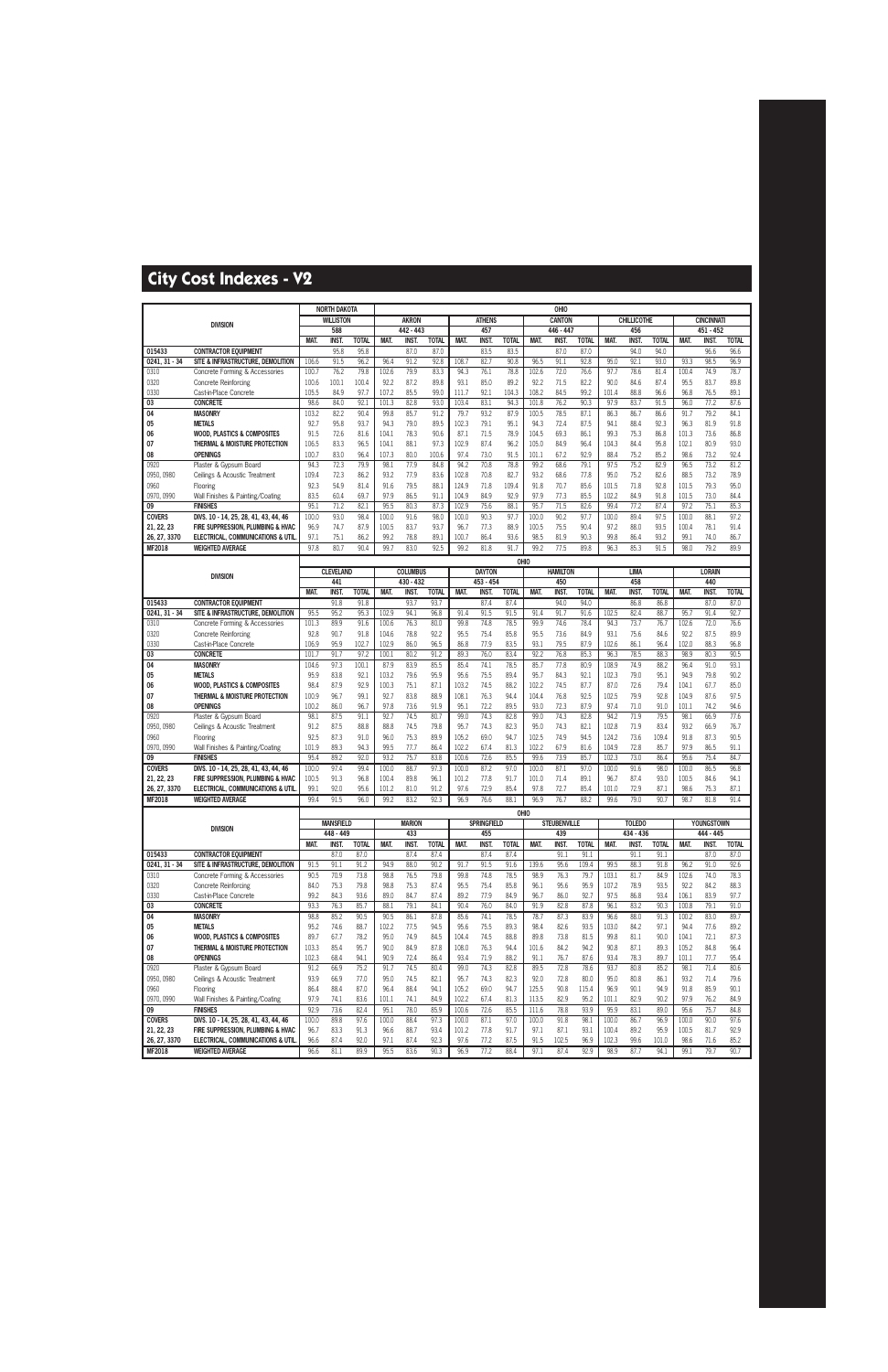|                         |                                                                  |               | <b>NORTH DAKOTA</b> |              |                |                 |              |                |                    |               |                | OHIO                |               |                |                    |               |               |                   |              |
|-------------------------|------------------------------------------------------------------|---------------|---------------------|--------------|----------------|-----------------|--------------|----------------|--------------------|---------------|----------------|---------------------|---------------|----------------|--------------------|---------------|---------------|-------------------|--------------|
|                         | <b>DIVISION</b>                                                  |               | <b>WILLISTON</b>    |              |                | <b>AKRON</b>    |              |                | <b>ATHENS</b>      |               |                | <b>CANTON</b>       |               |                | <b>CHILLICOTHE</b> |               |               | <b>CINCINNATI</b> |              |
|                         |                                                                  |               | 588                 |              |                | 442 - 443       |              |                | 457                |               |                | 446 - 447           |               |                | 456                |               |               | $451 - 452$       |              |
|                         |                                                                  | MAT.          | <b>INST.</b>        | <b>TOTAL</b> | MAT.           | <b>INST.</b>    | <b>TOTAL</b> | MAT.           | <b>INST</b>        | <b>TOTAL</b>  | MAT.           | <b>INST</b>         | <b>TOTAL</b>  | MAT.           | <b>INST</b>        | <b>TOTAL</b>  | MAT.          | <b>INST.</b>      | <b>TOTAL</b> |
| 015433<br>0241, 31 - 34 | <b>CONTRACTOR EQUIPMENT</b><br>SITE & INFRASTRUCTURE, DEMOLITION | 106.6         | 95.8<br>91.5        | 95.8<br>96.2 | 96.4           | 87.0<br>91.2    | 87.0<br>92.8 | 108.7          | 83.5<br>82.7       | 83.5<br>90.8  | 96.5           | 87.0<br>91.1        | 87.0<br>92.8  | 95.0           | 94.0<br>92.1       | 94.0<br>93.0  | 93.3          | 96.6<br>98.5      | 96.6<br>96.9 |
| 0310                    | Concrete Forming & Accessories                                   | 100.7         | 76.2                | 79.8         | 102.6          | 79.9            | 83.3         | 94.3           | 76.1               | 78.8          | 102.6          | 72.0                | 76.6          | 97.7           | 78.6               | 81.4          | 100.4         | 74.9              | 78.7         |
| 0320                    | <b>Concrete Reinforcing</b>                                      | 100.6         | 100.1               | 100.4        | 92.2           | 87.2            | 89.8         | 93.1           | 85.0               | 89.2          | 92.2           | 71.5                | 82.2          | 90.0           | 84.6               | 87.4          | 95.5          | 83.7              | 89.8         |
| 0330                    | Cast-in-Place Concrete                                           | 105.5         | 84.9                | 97.7         | 107.2          | 85.5            | 99.0         | 111.7          | 92.1               | 104.3         | 108.2          | 84.5                | 99.2          | 101.4          | 88.8               | 96.6          | 96.8          | 76.5              | 89.1         |
| 03                      | <b>CONCRETE</b>                                                  | 98.6          | 84.0                | 92.1         | 101.3          | 82.8            | 93.0         | 103.4          | 83.1               | 94.3          | 101.8          | 76.2                | 90.3          | 97.9           | 83.7               | 91.5          | 96.0          | 77.2              | 87.6         |
| $\overline{04}$         | <b>MASONRY</b>                                                   | 103.2         | 82.2                | 90.4         | 99.8           | 85.7            | 91.2         | 79.7           | 93.2               | 87.9          | 100.5          | 78.5                | 87.1          | 86.3           | 86.7               | 86.6          | 91.7          | 79.2              | 84.1         |
| 05                      | <b>METALS</b>                                                    | 92.7          | 95.8                | 93.7         | 94.3           | 79.0            | 89.5         | 102.3          | 79.1               | 95.1          | 94.3           | 72.4                | 87.5          | 94.1           | 88.4               | 92.3          | 96.3          | 81.9              | 91.8         |
| 06                      | <b>WOOD, PLASTICS &amp; COMPOSITES</b>                           | 91.5          | 72.6                | 81.6         | 104.1          | 78.3            | 90.6         | 87.1           | 71.5               | 78.9          | 104.5          | 69.3                | 86.1          | 99.3           | 75.3               | 86.8          | 101.3         | 73.6              | 86.8         |
| 07                      | THERMAL & MOISTURE PROTECTION                                    | 106.5         | 83.3                | 96.5         | 104.1          | 88.1            | 97.3         | 102.9          | 87.4               | 96.2          | 105.0          | 84.9                | 96.4          | 104.3          | 84.4               | 95.8          | 102.1         | 80.9              | 93.0         |
| 08                      | <b>OPENINGS</b>                                                  | 100.7         | 83.0                | 96.4         | 107.3          | 80.0            | 100.6        | 97.4           | 73.0               | 91.5          | 101.1          | 67.2                | 92.9          | 88.4           | 75.2               | 85.2          | 98.6          | 73.2              | 92.4         |
| 0920                    | Plaster & Gypsum Board                                           | 94.3          | 72.3                | 79.9         | 98.1           | 77.9            | 84.8         | 94.2           | 70.8               | 78.8          | 99.2           | 68.6                | 79.1          | 97.5           | 75.2               | 82.9          | 96.5          | 73.2              | 81.2         |
| 0950, 0980<br>0960      | Ceilings & Acoustic Treatment<br>Flooring                        | 109.4<br>92.3 | 72.3<br>54.9        | 86.2<br>81.4 | 93.2<br>91.6   | 77.9<br>79.5    | 83.6<br>88.1 | 102.8<br>124.9 | 70.8<br>71.8       | 82.7<br>109.4 | 93.2<br>91.8   | 68.6<br>70.7        | 77.8<br>85.6  | 95.0<br>101.5  | 75.2<br>71.8       | 82.6<br>92.8  | 88.5<br>101.5 | 73.2<br>79.3      | 78.9<br>95.0 |
| 0970, 0990              | Wall Finishes & Painting/Coating                                 | 83.5          | 60.4                | 69.7         | 97.9           | 86.5            | 91.1         | 104.9          | 84.9               | 92.9          | 97.9           | 77.3                | 85.5          | 102.2          | 84.9               | 91.8          | 101.5         | 73.0              | 84.4         |
| 09                      | <b>FINISHES</b>                                                  | 95.1          | 71.2                | 82.1         | 95.5           | 80.3            | 87.3         | 102.9          | 75.6               | 88.1          | 95.7           | 71.5                | 82.6          | 99.4           | 77.2               | 87.4          | 97.2          | 75.1              | 85.3         |
| <b>COVERS</b>           | DIVS. 10 - 14, 25, 28, 41, 43, 44, 46                            | 100.0         | 93.0                | 98.4         | 100.0          | 91.6            | 98.0         | 100.0          | 90.3               | 97.7          | 100.0          | 90.2                | 97.7          | 100.0          | 89.4               | 97.5          | 100.0         | 88.1              | 97.2         |
| 21, 22, 23              | FIRE SUPPRESSION, PLUMBING & HVAC                                | 96.9          | 74.7                | 87.9         | 100.5          | 83.7            | 93.7         | 96.7           | 77.3               | 88.9          | 100.5          | 75.5                | 90.4          | 97.2           | 88.0               | 93.5          | 100.4         | 78.1              | 91.4         |
| 26, 27, 3370            | ELECTRICAL, COMMUNICATIONS & UTIL                                | 97.1          | 75.1                | 86.2         | 99.2           | 78.8            | 89.1         | 100.7          | 86.4               | 93.6          | 98.5           | 81.9                | 90.3          | 99.8           | 86.4               | 93.2          | 99.1          | 74.0              | 86.7         |
| MF2018                  | <b>WEIGHTED AVERAGE</b>                                          | 97.8          | 80.7                | 90.4         | 99.7           | 83.0            | 92.5         | 99.2           | 81.8               | 91.7          | 99.2           | 77.5                | 89.8          | 96.3           | 85.3               | 91.5          | 98.0          | 79.2              | 89.9         |
|                         |                                                                  |               |                     |              |                |                 |              |                |                    | OHIO          |                |                     |               |                |                    |               |               |                   |              |
|                         | <b>DIVISION</b>                                                  |               | <b>CLEVELAND</b>    |              |                | <b>COLUMBUS</b> |              |                | <b>DAYTON</b>      |               |                | <b>HAMILTON</b>     |               |                | <b>LIMA</b>        |               |               | <b>LORAIN</b>     |              |
|                         |                                                                  |               | 441                 |              |                | $430 - 432$     |              |                | 453 - 454          |               |                | 450                 |               |                | 458                |               |               | 440               |              |
|                         |                                                                  | MAT.          | INST.               | <b>TOTAL</b> | MAT.           | INST.           | <b>TOTAL</b> | MAT.           | <b>INST.</b>       | <b>TOTAL</b>  | MAT.           | <b>INST.</b>        | <b>TOTAL</b>  | MAT.           | INST.              | <b>TOTAL</b>  | MAT.          | INST.             | <b>TOTAL</b> |
| 015433                  | <b>CONTRACTOR EQUIPMENT</b>                                      |               | 91.8                | 91.8         |                | 93.7            | 93.7         |                | 87.4               | 87.4          |                | 94.0                | 94.0          |                | 86.8               | 86.8          |               | 87.0              | 87.0         |
| 0241.31 - 34            | SITE & INFRASTRUCTURE, DEMOLITION                                | 95.5          | 95.2                | 95.3         | 102.9          | 94.1            | 96.8         | 91.4           | 91.5               | 91.5          | 91.4           | 91.7                | 91.6          | 102.5          | 82.4               | 88.7          | 95.7          | 91.4              | 92.7         |
| 0310<br>0320            | Concrete Forming & Accessories                                   | 101.3<br>92.8 | 89.9<br>90.7        | 91.6<br>91.8 | 100.6<br>104.6 | 76.3<br>78.8    | 80.0<br>92.2 | 99.8<br>95.5   | 74.8<br>75.4       | 78.5<br>85.8  | 99.9<br>95.5   | 74.6<br>73.6        | 78.4<br>84.9  | 94.3<br>93.1   | 73.7<br>75.6       | 76.7<br>84.6  | 102.6<br>92.2 | 72.0<br>87.5      | 76.6<br>89.9 |
| 0330                    | <b>Concrete Reinforcing</b><br>Cast-in-Place Concrete            | 106.9         | 95.9                | 102.7        | 102.9          | 86.0            | 96.5         | 86.8           | 77.9               | 83.5          | 93.1           | 79.5                | 87.9          | 102.6          | 86.1               | 96.4          | 102.0         | 88.3              | 96.8         |
| 03                      | <b>CONCRETE</b>                                                  | 101.7         | 91.7                | 97.2         | 100.1          | 80.2            | 91.2         | 89.3           | 76.0               | 83.4          | 92.2           | 76.8                | 85.3          | 96.3           | 78.5               | 88.3          | 98.9          | 80.3              | 90.5         |
| 04                      | <b>MASONRY</b>                                                   | 104.6         | 97.3                | 100.1        | 87.9           | 83.9            | 85.5         | 85.4           | 74.1               | 78.5          | 85.7           | 77.8                | 80.9          | 108.9          | 74.9               | 88.2          | 96.4          | 91.0              | 93.1         |
| 05                      | <b>METALS</b>                                                    | 95.9          | 83.8                | 92.1         | 103.2          | 79.6            | 95.9         | 95.6           | 75.5               | 89.4          | 95.7           | 84.3                | 92.1          | 102.3          | 79.0               | 95.1          | 94.9          | 79.8              | 90.2         |
| 06                      | <b>WOOD, PLASTICS &amp; COMPOSITES</b>                           | 98.4          | 87.9                | 92.9         | 100.3          | 75.1            | 87.1         | 103.2          | 74.5               | 88.2          | 102.2          | 74.5                | 87.7          | 87.0           | 72.6               | 79.4          | 104.1         | 67.7              | 85.0         |
| 07                      | THERMAL & MOISTURE PROTECTION                                    | 100.9         | 96.7                | 99.1         | 92.7           | 83.8            | 88.9         | 108.1          | 76.3               | 94.4          | 104.4          | 76.8                | 92.5          | 102.5          | 79.9               | 92.8          | 104.9         | 87.6              | 97.5         |
| 08                      | <b>OPENINGS</b>                                                  | 100.2         | 86.0                | 96.7         | 97.8           | 73.6            | 91.9         | 95.1           | 72.2               | 89.5          | 93.0           | 72.3                | 87.9          | 97.4           | 71.0               | 91.0          | 101.1         | 74.2              | 94.6         |
| 0920                    | Plaster & Gypsum Board                                           | 98.1          | 87.5                | 91.1         | 92.7           | 74.5            | 80.7         | 99.0           | 74.3               | 82.8          | 99.0           | 74.3                | 82.8          | 94.2           | 71.9               | 79.5          | 98.1          | 66.9              | 77.6         |
| 0950, 0980              | Ceilings & Acoustic Treatment                                    | 91.2          | 87.5                | 88.8         | 88.8           | 74.5            | 79.8         | 95.7           | 74.3               | 82.3          | 95.0           | 74.3                | 82.1          | 102.8          | 71.9               | 83.4          | 93.2          | 66.9              | 76.7         |
| 0960<br>0970, 0990      | Flooring<br>Wall Finishes & Painting/Coating                     | 92.5<br>101.9 | 87.3<br>89.3        | 91.0<br>94.3 | 96.0<br>99.5   | 75.3<br>77.7    | 89.9<br>86.4 | 105.2<br>102.2 | 69.0<br>67.4       | 94.7<br>81.3  | 102.5<br>102.2 | 74.9<br>67.9        | 94.5<br>81.6  | 124.2<br>104.9 | 73.6<br>72.8       | 109.4<br>85.7 | 91.8<br>97.9  | 87.3<br>86.5      | 90.5<br>91.1 |
| 09                      | <b>FINISHES</b>                                                  | 95.4          | 89.2                | 92.0         | 93.2           | 75.7            | 83.8         | 100.6          | 72.6               | 85.5          | 99.6           | 73.9                | 85.7          | 102.3          | 73.0               | 86.4          | 95.6          | 75.4              | 84.7         |
| <b>COVERS</b>           | DIVS. 10 - 14, 25, 28, 41, 43, 44, 46                            | 100.0         | 97.4                | 99.4         | 100.0          | 88.7            | 97.3         | 100.0          | 87.2               | 97.0          | 100.0          | 87.1                | 97.0          | 100.0          | 91.6               | 98.0          | 100.0         | 86.5              | 96.8         |
| 21, 22, 23              | FIRE SUPPRESSION, PLUMBING & HVAC                                | 100.5         | 91.3                | 96.8         | 100.4          | 89.8            | 96.1         | 101.2          | 77.8               | 91.7          | 101.0          | 71.4                | 89.1          | 96.7           | 87.4               | 93.0          | 100.5         | 84.6              | 94.1         |
| 26, 27, 3370            | <b>ELECTRICAL, COMMUNICATIONS &amp; UTIL</b>                     | 99.1          | 92.0                | 95.6         | 101.2          | 81.0            | 91.2         | 97.6           | 72.9               | 85.4          | 97.8           | 72.7                | 85.4          | 101.0          | 72.9               | 87.1          | 98.6          | 75.3              | 87.1         |
| MF2018                  | <b>WEIGHTED AVERAGE</b>                                          | 99.4          | 91.5                | 96.0         | 99.2           | 83.2            | 92.3         | 96.9           | 76.6               | 88.1          | 96.9           | 76.7                | 88.2          | 99.6           | 79.0               | 90.7          | 98.7          | 81.8              | 91.4         |
|                         |                                                                  |               |                     |              |                |                 |              |                |                    |               | OHIO           |                     |               |                |                    |               |               |                   |              |
|                         | <b>DIVISION</b>                                                  |               | <b>MANSFIELD</b>    |              |                | <b>MARION</b>   |              |                | <b>SPRINGFIELD</b> |               |                | <b>STEUBENVILLE</b> |               |                | <b>TOLEDO</b>      |               |               | <b>YOUNGSTOWN</b> |              |
|                         |                                                                  |               | 448 - 449           |              |                | 433             |              |                | 455                |               |                | 439                 |               |                | 434 - 436          |               |               | 444 - 445         |              |
|                         |                                                                  | MAT.          | INST.               | <b>TOTAL</b> | MAT.           | <b>INST.</b>    | <b>TOTAL</b> | MAT.           | <b>INST.</b>       | <b>TOTAL</b>  | MAT.           | <b>INST.</b>        | <b>TOTAL</b>  | MAT.           | <b>INST.</b>       | <b>TOTAL</b>  | MAT.          | INST.             | <b>TOTAL</b> |
| 015433<br>0241, 31 - 34 | <b>CONTRACTOR EOUIPMENT</b><br>SITE & INFRASTRUCTURE, DEMOLITION | 91.5          | 87.0<br>91.1        | 87.0<br>91.2 | 94.9           | 87.4<br>88.0    | 87.4<br>90.2 | 91.7           | 87.4<br>91.5       | 87.4<br>91.6  | 139.6          | 91.1<br>95.6        | 91.1<br>109.4 | 99.5           | 91.1<br>88.3       | 91.1<br>91.8  | 96.2          | 87.0<br>91.0      | 87.0<br>92.6 |
| 0310                    | Concrete Forming & Accessories                                   | 90.5          | 70.9                | 73.8         | 98.8           | 76.5            | 79.8         | 99.8           | 74.8               | 78.5          | 98.9           | 76.3                | 79.7          | 103.1          | 81.7               | 84.9          | 102.6         | 74.0              | 78.3         |
| 0320                    | <b>Concrete Reinforcing</b>                                      | 84.0          | 75.3                | 79.8         | 98.8           | 75.3            | 87.4         | 95.5           | 75.4               | 85.8          | 96.1           | 95.6                | 95.9          | 107.2          | 78.9               | 93.5          | 92.2          | 84.2              | 88.3         |
| 0330                    | Cast-in-Place Concrete                                           | 99.2          | 84.3                | 93.6         | 89.0           | 84.7            | 87.4         | 89.2           | 77.9               | 84.9          | 96.7           | 86.0                | 92.7          | 97.5           | 86.8               | 93.4          | 106.1         | 83.9              | 97.7         |
| 03                      | <b>CONCRETE</b>                                                  | 93.3          | 76.3                | 85.7         | 88.1           | 79.1            | 84.1         | 90.4           | 76.0               | 84.0          | 91.9           | 82.8                | 87.8          | 96.1           | 83.2               | 90.3          | 100.8         | 79.1              | 91.0         |
| $\overline{04}$         | <b>MASONRY</b>                                                   | 98.8          | 85.2                | 90.5         | 90.5           | 86.1            | 87.8         | 85.6           | 74.1               | 78.5          | 78.7           | 87.3                | 83.9          | 96.6           | 88.0               | 91.3          | 100.2         | 83.0              | 89.7         |
| 05                      | <b>METALS</b>                                                    | 95.2          | 74.6                | 88.7         | 102.2          | 77.5            | 94.5         | 95.6           | 75.5               | 89.3          | 98.4           | 82.6                | 93.5          | 103.0          | 84.2               | 97.1          | 94.4          | 77.6              | 89.2         |
| 06                      | <b>WOOD, PLASTICS &amp; COMPOSITES</b>                           | 89.7          | 67.7                | 78.2         | 95.0           | 74.9            | 84.5         | 104.4          | 74.5               | 88.8          | 89.8           | 73.8                | 81.5          | 99.8           | 81.1               | 90.0          | 104.1         | 72.1              | 87.3         |
| 07                      | THERMAL & MOISTURE PROTECTION                                    | 103.3         | 85.4                | 95.7         | 90.0           | 84.9            | 87.8         | 108.0          | 76.3               | 94.4          | 101.6          | 84.2                | 94.2          | 90.8           | 87.1               | 89.3          | 105.2         | 84.8              | 96.4         |
| 08                      | <b>OPENINGS</b>                                                  | 102.3         | 68.4                | 94.1         | 90.9           | 72.4            | 86.4         | 93.4           | 71.9               | 88.2          | 91.1           | 76.7                | 87.6          | 93.4           | 78.3               | 89.7          | 101.1         | 77.7              | 95.4         |
| 0920                    | Plaster & Gypsum Board                                           | 91.2<br>93.9  | 66.9                | 75.2         | 91.7<br>95.0   | 74.5            | 80.4         | 99.0           | 74.3               | 82.8          | 89.5           | 72.8                | 78.6          | 93.7           | 80.8               | 85.2          | 98.1          | 71.4              | 80.6         |
| 0950, 0980<br>0960      | Ceilings & Acoustic Treatment<br>Flooring                        | 86.4          | 66.9<br>88.4        | 77.0<br>87.0 | 96.4           | 74.5<br>88.4    | 82.1<br>94.1 | 95.7<br>105.2  | 74.3<br>69.0       | 82.3<br>94.7  | 92.0<br>125.5  | 72.8<br>90.8        | 80.0<br>115.4 | 95.0<br>96.9   | 80.8<br>90.1       | 86.1<br>94.9  | 93.2<br>91.8  | 71.4<br>85.9      | 79.6<br>90.1 |
| 0970, 0990              | Wall Finishes & Painting/Coating                                 | 97.9          | 74.1                | 83.6         | 101.1          | 74.1            | 84.9         | 102.2          | 67.4               | 81.3          | 113.5          | 82.9                | 95.2          | 101.1          | 82.9               | 90.2          | 97.9          | 76.2              | 84.9         |
| 09                      | <b>FINISHES</b>                                                  | 92.9          | 73.6                | 82.4         | 95.1           | 78.0            | 85.9         | 100.6          | 72.6               | 85.5          | 111.6          | 78.8                | 93.9          | 95.9           | 83.1               | 89.0          | 95.6          | 75.7              | 84.8         |
| <b>COVERS</b>           | DIVS. 10 - 14, 25, 28, 41, 43, 44, 46                            | 100.0         | 89.8                | 97.6         | 100.0          | 88.4            | 97.3         | 100.0          | 87.1               | 97.0          | 100.0          | 91.8                | 98.1          | 100.0          | 86.7               | 96.9          | 100.0         | 90.0              | 97.6         |
| 21, 22, 23              | FIRE SUPPRESSION, PLUMBING & HVAC                                | 96.7          | 83.3                | 91.3         | 96.6           | 88.7            | 93.4         | 101.2          | 77.8               | 91.7          | 97.1           | 87.1                | 93.1          | 100.4          | 89.2               | 95.9          | 100.5         | 81.7              | 92.9         |
| 26, 27, 3370            | ELECTRICAL, COMMUNICATIONS & UTIL                                | 96.6          | 87.4                | 92.0         | 97.1           | 87.4            | 92.3         | 97.6           | 77.2               | 87.5          | 91.5           | 102.5               | 96.9          | 102.3          | 99.6               | 101.0         | 98.6          | 71.6              | 85.2         |
| <b>MF2018</b>           | <b>WEIGHTED AVERAGE</b>                                          | 96.6          | 81.1                | 89.9         | 95.5           | 83.6            | 90.3         | 96.9           | 77.2               | 88.4          | 97.1           | 87.4                | 92.9          | 98.9           | 87.7               | 94.1          | 99.1          | 79.7              | 90.7         |
|                         |                                                                  |               |                     |              |                |                 |              |                |                    |               |                |                     |               |                |                    |               |               |                   |              |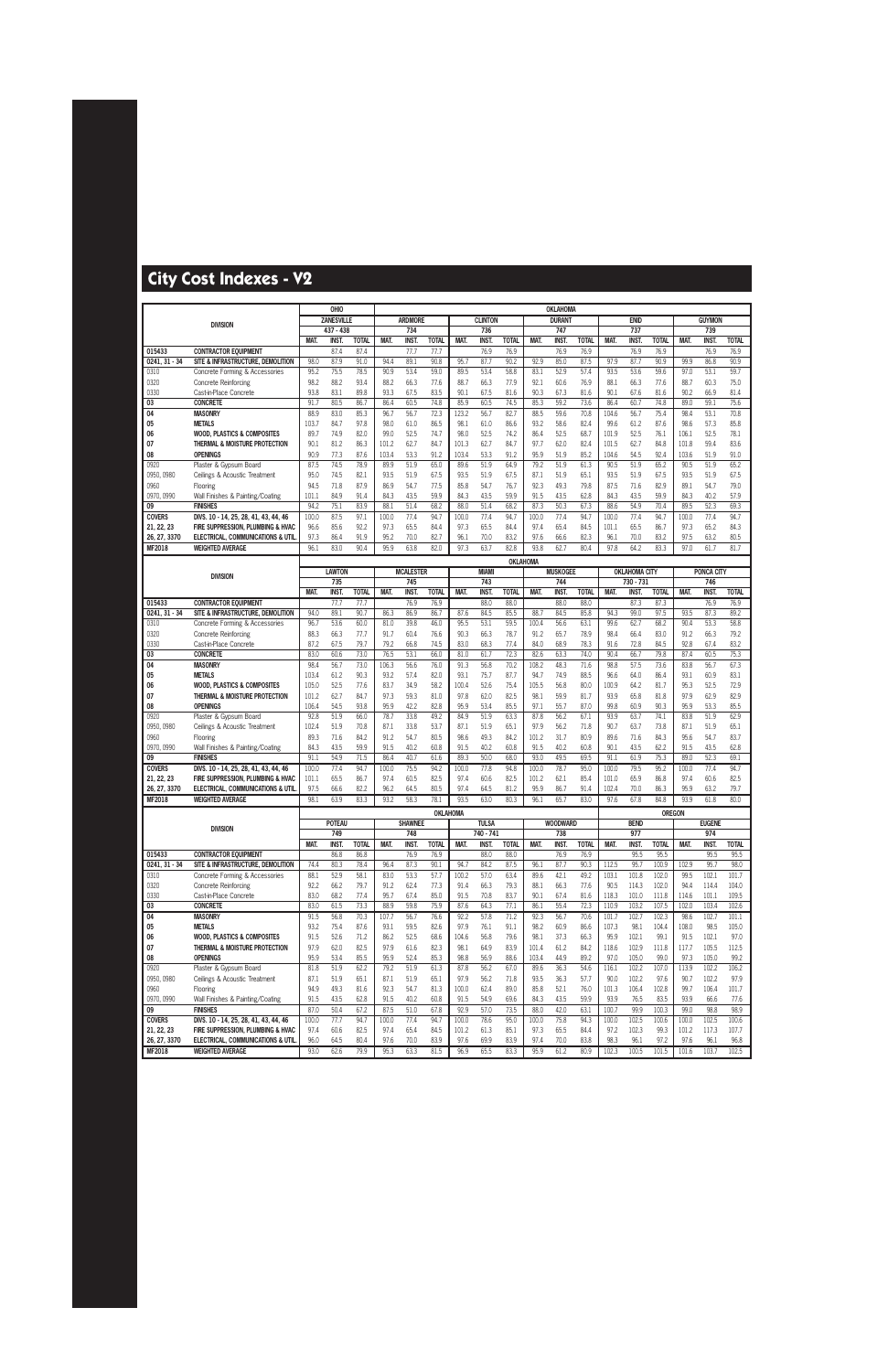|                               |                                                              |              | OHIO              |                      |              |                     |                      |              |                     |                      |              | OKLAHOMA        |                      |                |                      |                      |                |                     |                      |
|-------------------------------|--------------------------------------------------------------|--------------|-------------------|----------------------|--------------|---------------------|----------------------|--------------|---------------------|----------------------|--------------|-----------------|----------------------|----------------|----------------------|----------------------|----------------|---------------------|----------------------|
|                               | <b>DIVISION</b>                                              |              | <b>ZANESVILLE</b> |                      |              | <b>ARDMORE</b>      |                      |              | <b>CLINTON</b>      |                      |              | <b>DURANT</b>   |                      |                | <b>ENID</b>          |                      |                | <b>GUYMON</b>       |                      |
|                               |                                                              |              | 437 - 438         |                      |              | 734                 |                      |              | 736                 |                      |              | 747             |                      |                | 737                  |                      |                | 739                 |                      |
|                               |                                                              | MAT.         | INST.             | <b>TOTAL</b>         | MAT.         | <b>INST</b>         | <b>TOTAL</b>         | MAT.         | <b>INST</b>         | <b>TOTAL</b>         | MAT.         | <b>INST</b>     | <b>TOTAL</b>         | MAT.           | <b>INST</b>          | <b>TOTAL</b>         | MAT.           | <b>INST</b>         | <b>TOTAL</b>         |
| 015433                        | <b>CONTRACTOR EQUIPMENT</b>                                  |              | 87.4              | 87.4                 |              | 77.7                | 77.7                 |              | 76.9                | 76.9                 |              | 76.9            | 76.9                 |                | 76.9                 | 76.9                 |                | 76.9                | 76.9                 |
| $0241, 31 - 34$<br>0310       | SITE & INFRASTRUCTURE, DEMOLITION                            | 98.0<br>95.2 | 87.9<br>75.5      | 91.0<br>78.5         | 94.4<br>90.9 | 89.1<br>53.4        | 90.8<br>59.0         | 95.7<br>89.5 | 87.7                | 90.2<br>58.8         | 92.9<br>83.1 | 85.0<br>52.9    | 87.5<br>57.4         | 97.9<br>93.5   | 87.7<br>53.6         | 90.9                 | 99.9<br>97.0   | 86.8                | 90.9<br>59.7         |
| 0320                          | Concrete Forming & Accessories<br>Concrete Reinforcing       | 98.2         | 88.2              | 93.4                 | 88.2         | 66.3                | 77.6                 | 88.7         | 53.4<br>66.3        | 77.9                 | 92.1         | 60.6            | 76.9                 | 88.1           | 66.3                 | 59.6<br>77.6         | 88.7           | 53.1<br>60.3        | 75.0                 |
| 0330                          | Cast-in-Place Concrete                                       | 93.8         | 83.1              | 89.8                 | 93.3         | 67.5                | 83.5                 | 90.1         | 67.5                | 81.6                 | 90.3         | 67.3            | 81.6                 | 90.1           | 67.6                 | 81.6                 | 90.2           | 66.9                | 81.4                 |
| 03                            | <b>CONCRETE</b>                                              | 91.7         | 80.5              | 86.7                 | 86.4         | 60.5                | 74.8                 | 85.9         | 60.5                | 74.5                 | 85.3         | 59.2            | 73.6                 | 86.4           | 60.7                 | 74.8                 | 89.0           | 59.1                | 75.6                 |
| 04                            | <b>MASONRY</b>                                               | 88.9         | 83.0              | 85.3                 | 96.7         | 56.7                | 72.3                 | 123.2        | 56.7                | 82.7                 | 88.5         | 59.6            | 70.8                 | 104.6          | 56.7                 | 75.4                 | 98.4           | 53.1                | 70.8                 |
| 05                            | <b>METALS</b>                                                | 103.7        | 84.7              | 97.8                 | 98.0         | 61.0                | 86.5                 | 98.1         | 61.0                | 86.6                 | 93.2         | 58.6            | 82.4                 | 99.6           | 61.2                 | 87.6                 | 98.6           | 57.3                | 85.8                 |
| 06                            | <b>WOOD, PLASTICS &amp; COMPOSITES</b>                       | 89.7         | 74.9              | 82.0                 | 99.0         | 52.5                | 74.7                 | 98.0         | 52.5                | 74.2                 | 86.4         | 52.5            | 68.7                 | 101.9          | 52.5                 | 76.1                 | 106.1          | 52.5                | 78.1                 |
| 07                            | THERMAL & MOISTURE PROTECTION                                | 90.1         | 81.2              | 86.3                 | 101.2        | 62.7                | 84.7                 | 101.3        | 62.7                | 84.7                 | 97.7         | 62.0            | 82.4                 | 101.5          | 62.7                 | 84.8                 | 101.8          | 59.4                | 83.6                 |
| 08                            | <b>OPENINGS</b>                                              | 90.9         | 77.3              | 87.6                 | 103.4        | 53.3                | 91.2                 | 103.4        | 53.3                | 91.2                 | 95.9         | 51.9            | 85.2                 | 104.6          | 54.5                 | 92.4                 | 103.6          | 51.9                | 91.0                 |
| 0920                          | Plaster & Gypsum Board                                       | 87.5         | 74.5              | 78.9                 | 89.9         | 51.9                | 65.0                 | 89.6         | 51.9                | 64.9                 | 79.2         | 51.9            | 61.3                 | 90.5           | 51.9                 | 65.2                 | 90.5           | 51.9                | 65.2                 |
| 0950, 0980                    | Ceilings & Acoustic Treatment                                | 95.0         | 74.5              | 82.1                 | 93.5         | 51.9                | 67.5                 | 93.5         | 51.9                | 67.5                 | 87.1         | 51.9            | 65.1                 | 93.5           | 51.9                 | 67.5                 | 93.5           | 51.9                | 67.5                 |
| 0960                          | Flooring                                                     | 94.5         | 71.8              | 87.9                 | 86.9         | 54.7                | 77.5                 | 85.8         | 54.7                | 76.7                 | 92.3         | 49.3            | 79.8                 | 87.5           | 71.6                 | 82.9                 | 89.1           | 54.7                | 79.0                 |
| 0970, 0990                    | Wall Finishes & Painting/Coating                             | 101.1        | 84.9              | 91.4                 | 84.3         | 43.5                | 59.9                 | 84.3         | 43.5                | 59.9                 | 91.5         | 43.5            | 62.8                 | 84.3           | 43.5                 | 59.9                 | 84.3           | 40.2                | 57.9                 |
| 09                            | <b>FINISHES</b>                                              | 94.2         | 75.1              | 83.9                 | 88.1         | 51.4                | 68.2                 | 88.0         | 51.4                | 68.2                 | 87.3         | 50.3            | 67.3                 | 88.6           | 54.9                 | 70.4                 | 89.5           | 52.3                | 69.3                 |
| <b>COVERS</b>                 | DIVS. 10 - 14, 25, 28, 41, 43, 44, 46                        | 100.0        | 87.5              | 97.1                 | 100.0        | 77.4                | 94.7                 | 100.0        | 77.4                | 94.7                 | 100.0        | 77.4            | 94.7                 | 100.0          | 77.4                 | 94.7                 | 100.0          | 77.4                | 94.7                 |
| 21, 22, 23                    | FIRE SUPPRESSION, PLUMBING & HVAC                            | 96.6         | 85.6              | 92.2                 | 97.3         | 65.5                | 84.4                 | 97.3         | 65.5                | 84.4                 | 97.4         | 65.4            | 84.5                 | 101.1          | 65.5                 | 86.7                 | 97.3           | 65.2                | 84.3                 |
| 26, 27, 3370<br><b>MF2018</b> | ELECTRICAL, COMMUNICATIONS & UTIL<br><b>WEIGHTED AVERAGE</b> | 97.3<br>96.1 | 86.4<br>83.0      | 91.9<br>90.4         | 95.2<br>95.9 | 70.0<br>63.8        | 82.7<br>82.0         | 96.1<br>97.3 | 70.0<br>63.7        | 83.2<br>82.8         | 97.6<br>93.8 | 66.6<br>62.7    | 82.3<br>80.4         | 96.1<br>97.8   | 70.0<br>64.2         | 83.2<br>83.3         | 97.5<br>97.0   | 63.2<br>61.7        | 80.5<br>81.7         |
|                               |                                                              |              |                   |                      |              |                     |                      |              |                     |                      |              |                 |                      |                |                      |                      |                |                     |                      |
|                               |                                                              |              |                   |                      |              |                     |                      |              |                     | OKLAHOMA             |              |                 |                      |                |                      |                      |                |                     |                      |
|                               | <b>DIVISION</b>                                              |              | <b>LAWTON</b>     |                      |              | <b>MCALESTER</b>    |                      |              | <b>MIAMI</b>        |                      |              | <b>MUSKOGEE</b> |                      |                | <b>OKLAHOMA CITY</b> |                      |                | <b>PONCA CITY</b>   |                      |
|                               |                                                              |              | 735               |                      |              | 745                 |                      |              | 743                 |                      |              | 744             |                      |                | $730 - 731$          |                      |                | 746                 |                      |
| 015433                        | <b>CONTRACTOR EQUIPMENT</b>                                  | MAT.         | INST.<br>77.7     | <b>TOTAL</b><br>77.7 | MAT.         | <b>INST</b><br>76.9 | <b>TOTAL</b><br>76.9 | <b>MAT</b>   | <b>INST</b><br>88.0 | <b>TOTAL</b><br>88.0 | MAT.         | INST.<br>88.0   | <b>TOTAL</b><br>88.0 | MAT.           | INST.<br>87.3        | <b>TOTAL</b><br>87.3 | MAT.           | <b>INST</b><br>76.9 | <b>TOTAL</b><br>76.9 |
| $0241, 31 - 34$               | SITE & INFRASTRUCTURE, DEMOLITION                            | 94.0         | 89.1              | 90.7                 | 86.3         | 86.9                | 86.7                 | 87.6         | 84.5                | 85.5                 | 88.7         | 84.5            | 85.8                 | 94.3           | 99.0                 | 97.5                 | 93.5           | 87.3                | 89.2                 |
| 0310                          | Concrete Forming & Accessories                               | 96.7         | 53.6              | 60.0                 | 81.0         | 39.8                | 46.0                 | 95.5         | 53.1                | 59.5                 | 100.4        | 56.6            | 63.1                 | 99.6           | 62.7                 | 68.2                 | 90.4           | 53.3                | 58.8                 |
| 0320                          | Concrete Reinforcing                                         | 88.3         | 66.3              | 77.7                 | 91.7         | 60.4                | 76.6                 | 90.3         | 66.3                | 78.7                 | 91.2         | 65.7            | 78.9                 | 98.4           | 66.4                 | 83.0                 | 91.2           | 66.3                | 79.2                 |
| 0330                          | Cast-in-Place Concrete                                       | 87.2         | 67.5              | 79.7                 | 79.2         | 66.8                | 74.5                 | 83.0         | 68.3                | 77.4                 | 84.0         | 68.9            | 78.3                 | 91.6           | 72.8                 | 84.5                 | 92.8           | 67.4                | 83.2                 |
| 03                            | <b>CONCRETE</b>                                              | 83.0         | 60.6              | 73.0                 | 76.5         | 53.1                | 66.0                 | 81.0         | 61.7                | 72.3                 | 82.6         | 63.3            | 74.0                 | 90.4           | 66.7                 | 79.8                 | 87.4           | 60.5                | 75.3                 |
| 04                            | <b>MASONRY</b>                                               | 98.4         | 56.7              | 73.0                 | 106.3        | 56.6                | 76.0                 | 91.3         | 56.8                | 70.2                 | 108.2        | 48.3            | 71.6                 | 98.8           | 57.5                 | 73.6                 | 83.8           | 56.7                | 67.3                 |
| 05                            | <b>METALS</b>                                                | 103.4        | 61.2              | 90.3                 | 93.2         | 57.4                | 82.0                 | 93.1         | 75.7                | 87.7                 | 94.7         | 74.9            | 88.5                 | 96.6           | 64.0                 | 86.4                 | 93.1           | 60.9                | 83.1                 |
| 06                            | <b>WOOD, PLASTICS &amp; COMPOSITES</b>                       | 105.0        | 52.5              | 77.6                 | 83.7         | 34.9                | 58.2                 | 100.4        | 52.6                | 75.4                 | 105.5        | 56.8            | 80.0                 | 100.9          | 64.2                 | 81.7                 | 95.3           | 52.5                | 72.9                 |
| 07                            | THERMAL & MOISTURE PROTECTION                                | 101.2        | 62.7              | 84.7                 | 97.3         | 59.3                | 81.0                 | 97.8         | 62.0                | 82.5                 | 98.1         | 59.9            | 81.7                 | 93.9           | 65.8                 | 81.8                 | 97.9           | 62.9                | 82.9                 |
| 08                            | <b>OPENINGS</b>                                              | 106.4        | 54.5              | 93.8                 | 95.9         | 42.2                | 82.8                 | 95.9         | 53.4                | 85.5                 | 97.1         | 55.7            | 87.0                 | 99.8           | 60.9                 | 90.3                 | 95.9           | 53.3                | 85.5                 |
| 0920                          | Plaster & Gypsum Board                                       | 92.8         | 51.9              | 66.0                 | 78.7         | 33.8                | 49.2                 | 84.9         | 51.9                | 63.3                 | 87.8         | 56.2            | 67.1                 | 93.9           | 63.7                 | 74.1                 | 83.8           | 51.9                | 62.9                 |
| 0950, 0980                    | Ceilings & Acoustic Treatment                                | 102.4        | 51.9              | 70.8                 | 87.1         | 33.8                | 53.7                 | 87.1         | 51.9                | 65.1                 | 97.9         | 56.2            | 71.8                 | 90.7           | 63.7                 | 73.8                 | 87.1           | 51.9                | 65.1                 |
| 0960                          | Flooring                                                     | 89.3         | 71.6              | 84.2                 | 91.2         | 54.7                | 80.5                 | 98.6         | 49.3                | 84.2                 | 101.2        | 31.7            | 80.9                 | 89.6           | 71.6                 | 84.3                 | 95.6           | 54.7                | 83.7                 |
| 0970, 0990<br>09              | Wall Finishes & Painting/Coating<br><b>FINISHES</b>          | 84.3<br>91.1 | 43.5<br>54.9      | 59.9<br>71.5         | 91.5<br>86.4 | 40.2<br>40.7        | 60.8<br>61.6         | 91.5<br>89.3 | 40.2<br>50.0        | 60.8<br>68.0         | 91.5<br>93.0 | 40.2<br>49.5    | 60.8<br>69.5         | 90.1<br>91.1   | 43.5<br>61.9         | 62.2<br>75.3         | 91.5<br>89.0   | 43.5<br>52.3        | 62.8<br>69.1         |
| <b>COVERS</b>                 | DIVS. 10 - 14, 25, 28, 41, 43, 44, 46                        | 100.0        | 77.4              | 94.7                 | 100.0        | 75.5                | 94.2                 | 100.0        | 77.8                | 94.8                 | 100.0        | 78.7            | 95.0                 | 100.0          | 79.5                 | 95.2                 | 100.0          | 77.4                | 94.7                 |
| 21, 22, 23                    | FIRE SUPPRESSION, PLUMBING & HVAC                            | 101.1        | 65.5              | 86.7                 | 97.4         | 60.5                | 82.5                 | 97.4         | 60.6                | 82.5                 | 101.2        | 62.1            | 85.4                 | 101.0          | 65.9                 | 86.8                 | 97.4           | 60.6                | 82.5                 |
| 26, 27, 3370                  | <b>ELECTRICAL, COMMUNICATIONS &amp; UTIL</b>                 | 97.5         | 66.6              | 82.2                 | 96.2         | 64.5                | 80.5                 | 97.4         | 64.5                | 81.2                 | 95.9         | 86.7            | 91.4                 | 102.4          | 70.0                 | 86.3                 | 95.9           | 63.2                | 79.7                 |
| MF2018                        | <b>WEIGHTED AVERAGE</b>                                      | 98.1         | 63.9              | 83.3                 | 93.2         | 58.3                | 78.1                 | 93.5         | 63.0                | 80.3                 | 96.1         | 65.7            | 83.0                 | 97.6           | 67.8                 | 84.8                 | 93.9           | 61.8                | 80.0                 |
|                               |                                                              |              |                   |                      |              |                     |                      | OKLAHOMA     |                     |                      |              |                 |                      |                |                      |                      | <b>OREGON</b>  |                     |                      |
|                               |                                                              |              | <b>POTEAU</b>     |                      |              | <b>SHAWNEE</b>      |                      |              | <b>TULSA</b>        |                      |              | <b>WOODWARD</b> |                      |                | <b>BEND</b>          |                      |                | <b>EUGENE</b>       |                      |
|                               | <b>DIVISION</b>                                              |              | 749               |                      |              | 748                 |                      |              | 740 - 741           |                      |              | 738             |                      |                | 977                  |                      |                | 974                 |                      |
|                               |                                                              | MAT.         | <b>INST.</b>      | <b>TOTAL</b>         | MAT.         | <b>INST.</b>        | <b>TOTAL</b>         | MAT.         | INST.               | <b>TOTAL</b>         | MAT.         | <b>INST.</b>    | <b>TOTAL</b>         | MAT.           | <b>INST.</b>         | <b>TOTAL</b>         | MAT.           | <b>INST.</b>        | <b>TOTAL</b>         |
| 015433                        | <b>CONTRACTOR EOUIPMENT</b>                                  |              | 86.8              | 86.8                 |              | 76.9                | 76.9                 |              | 88.0                | 88.0                 |              | 76.9            | 76.9                 |                | 95.5                 | 95.5                 |                | 95.5                | 95.5                 |
| $0241, 31 - 34$               | SITE & INFRASTRUCTURE, DEMOLITION                            | 74.4         | 80.3              | 78.4                 | 96.4         | 87.3                | 90.1                 | 94.7         | 84.2                | 87.5                 | 96.1         | 87.7            | 90.3                 | 112.5          | 95.7                 | 100.9                | 102.9          | 95.7                | 98.0                 |
| 0310                          | Concrete Forming & Accessories                               | 88.1         | 52.9              | 58.1                 | 83.0         | 53.3                | 57.7                 | 100.2        | 57.0                | 63.4                 | 89.6         | 42.1            | 49.2                 | 103.1          | 101.8                | 102.0                | 99.5           | 102.1               | 101.7                |
| 0320                          | <b>Concrete Reinforcing</b><br>Cast-in-Place Concrete        | 92.2         | 66.2              | 79.7                 | 91.2         | 62.4                | 77.3                 | 91.4         | 66.3                | 79.3                 | 88.1         | 66.3            | 77.6                 | 90.5           | 114.3                | 102.0                | 94.4           | 114.4               | 104.0                |
| 0330<br>03                    | <b>CONCRETE</b>                                              | 83.0<br>83.0 | 68.2<br>61.5      | 77.4<br>73.3         | 95.7<br>88.9 | 67.4<br>59.8        | 85.0<br>75.9         | 91.5<br>87.6 | 70.8<br>64.3        | 83.7<br>77.1         | 90.1<br>86.1 | 67.4<br>55.4    | 81.6<br>72.3         | 118.3<br>110.9 | 101.0<br>103.2       | 111.8<br>107.5       | 114.6<br>102.0 | 101.1<br>103.4      | 109.5<br>102.6       |
| 04                            | <b>MASONRY</b>                                               | 91.5         | 56.8              | 70.3                 | 107.7        | 56.7                | 76.6                 | 92.2         | 57.8                | 71.2                 | 92.3         | 56.7            | 70.6                 | 101.7          | 102.7                | 102.3                | 98.6           | 102.7               | 101.1                |
| 05                            | <b>METALS</b>                                                | 93.2         | 75.4              | 87.6                 | 93.1         | 59.5                | 82.6                 | 97.9         | 76.1                | 91.1                 | 98.2         | 60.9            | 86.6                 | 107.3          | 98.1                 | 104.4                | 108.0          | 98.5                | 105.0                |
| 06                            | <b>WOOD, PLASTICS &amp; COMPOSITES</b>                       | 91.5         | 52.6              | 71.2                 | 86.2         | 52.5                | 68.6                 | 104.6        | 56.8                | 79.6                 | 98.1         | 37.3            | 66.3                 | 95.9           | 102.1                | 99.1                 | 91.5           | 102.1               | 97.0                 |
| 07                            | THERMAL & MOISTURE PROTECTION                                | 97.9         | 62.0              | 82.5                 | 97.9         | 61.6                | 82.3                 | 98.1         | 64.9                | 83.9                 | 101.4        | 61.2            | 84.2                 | 118.6          | 102.9                | 111.8                | 117.7          | 105.5               | 112.5                |
| 08                            | <b>OPENINGS</b>                                              | 95.9         | 53.4              | 85.5                 | 95.9         | 52.4                | 85.3                 | 98.8         | 56.9                | 88.6                 | 103.4        | 44.9            | 89.2                 | 97.0           | 105.0                | 99.0                 | 97.3           | 105.0               | 99.2                 |
| 0920                          | Plaster & Gypsum Board                                       | 81.8         | 51.9              | 62.2                 | 79.2         | 51.9                | 61.3                 | 87.8         | 56.2                | 67.0                 | 89.6         | 36.3            | 54.6                 | 116.1          | 102.2                | 107.0                | 113.9          | 102.2               | 106.2                |
| 0950, 0980                    | Ceilings & Acoustic Treatment                                | 87.1         | 51.9              | 65.1                 | 87.1         | 51.9                | 65.1                 | 97.9         | 56.2                | 71.8                 | 93.5         | 36.3            | 57.7                 | 90.0           | 102.2                | 97.6                 | 90.7           | 102.2               | 97.9                 |
| 0960                          | Flooring                                                     | 94.9         | 49.3              | 81.6                 | 92.3         | 54.7                | 81.3                 | 100.0        | 62.4                | 89.0                 | 85.8         | 52.1            | 76.0                 | 101.3          | 106.4                | 102.8                | 99.7           | 106.4               | 101.7                |
| 0970, 0990                    | Wall Finishes & Painting/Coating                             | 91.5         | 43.5              | 62.8                 | 91.5         | 40.2                | 60.8                 | 91.5         | 54.9                | 69.6                 | 84.3         | 43.5            | 59.9                 | 93.9           | 76.5                 | 83.5                 | 93.9           | 66.6                | 77.6                 |
| 09                            | <b>FINISHES</b>                                              | 87.0         | 50.4              | 67.2                 | 87.5         | 51.0                | 67.8                 | 92.9         | 57.0                | 73.5                 | 88.0         | 42.0            | 63.1                 | 100.7          | 99.9                 | 100.3                | 99.0           | 98.8                | 98.9                 |
| <b>COVERS</b>                 | DIVS. 10 - 14, 25, 28, 41, 43, 44, 46                        | 100.0        | 77.7              | 94.7                 | 100.0        | 77.4                | 94.7                 | 100.0        | 78.6                | 95.0                 | 100.0        | 75.8            | 94.3                 | 100.0          | 102.5                | 100.6                | 100.0          | 102.5               | 100.6                |
| 21, 22, 23                    | FIRE SUPPRESSION, PLUMBING & HVAC                            | 97.4         | 60.6              | 82.5                 | 97.4         | 65.4                | 84.5                 | 101.2        | 61.3                | 85.1                 | 97.3         | 65.5            | 84.4                 | 97.2           | 102.3                | 99.3                 | 101.2          | 117.3               | 107.7                |
| 26, 27, 3370                  | ELECTRICAL, COMMUNICATIONS & UTIL                            | 96.0         | 64.5              | 80.4                 | 97.6         | 70.0                | 83.9                 | 97.6         | 69.9                | 83.9                 | 97.4         | 70.0            | 83.8                 | 98.3           | 96.1                 | 97.2                 | 97.6           | 96.1                | 96.8                 |
| <b>MF2018</b>                 | <b>WEIGHTED AVERAGE</b>                                      | 93.0         | 62.6              | 79.9                 | 95.3         | 63.3                | 81.5                 | 96.9         | 65.5                | 83.3                 | 95.9         | 61.2            | 80.9                 | 102.3          | 100.5                | 101.5                | 101.6          | 103.7               | 102.5                |
|                               |                                                              |              |                   |                      |              |                     |                      |              |                     |                      |              |                 |                      |                |                      |                      |                |                     |                      |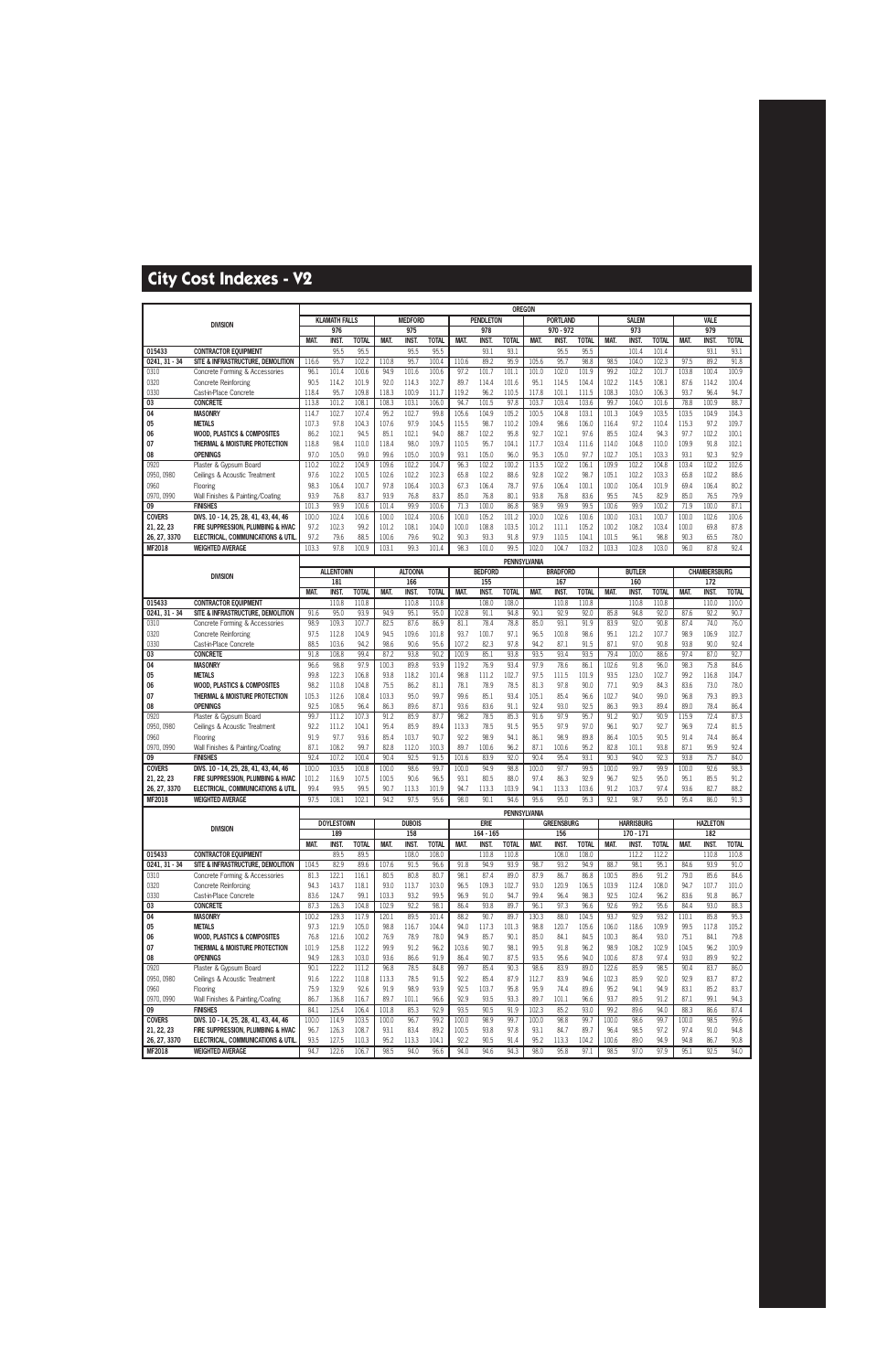|                               |                                                              |               |                      |                      |               |                      |                       |              |                       | <b>OREGON</b>         |              |                   |                       |               |                       |                       |              |                       |                       |
|-------------------------------|--------------------------------------------------------------|---------------|----------------------|----------------------|---------------|----------------------|-----------------------|--------------|-----------------------|-----------------------|--------------|-------------------|-----------------------|---------------|-----------------------|-----------------------|--------------|-----------------------|-----------------------|
|                               | <b>DIVISION</b>                                              |               | <b>KLAMATH FALLS</b> |                      |               | <b>MEDFORD</b>       |                       |              | <b>PENDLETON</b>      |                       |              | <b>PORTLAND</b>   |                       |               | <b>SALEM</b>          |                       |              | VALE                  |                       |
|                               |                                                              |               | 976                  |                      |               | 975                  |                       |              | 978                   |                       |              | 970 - 972         |                       |               | 973                   |                       |              | 979                   |                       |
| 015433                        | <b>CONTRACTOR EQUIPMENT</b>                                  | MAT.          | <b>INST.</b><br>95.5 | <b>TOTAL</b><br>95.5 | MAT.          | <b>INST.</b><br>95.5 | <b>TOTAL</b><br>95.5  | MAT.         | INST.<br>93.1         | <b>TOTAL</b><br>93.1  | MAT.         | INST.<br>95.5     | <b>TOTAL</b><br>95.5  | MAT.          | <b>INST.</b><br>101.4 | <b>TOTAL</b><br>101.4 | MAT.         | <b>INST.</b><br>93.1  | <b>TOTAL</b><br>93.1  |
| $0241, 31 - 34$               | SITE & INFRASTRUCTURE, DEMOLITION                            | 116.6         | 95.7                 | 102.2                | 110.8         | 95.7                 | 100.4                 | 110.6        | 89.2                  | 95.9                  | 105.6        | 95.7              | 98.8                  | 98.5          | 104.0                 | 102.3                 | 97.5         | 89.2                  | 91.8                  |
| 0310                          | Concrete Forming & Accessories                               | 96.1          | 101.4                | 100.6                | 94.9          | 101.6                | 100.6                 | 97.2         | 101.7                 | 101.1                 | 101.0        | 102.0             | 101.9                 | 99.2          | 102.2                 | 101.7                 | 103.8        | 100.4                 | 100.9                 |
| 0320                          | <b>Concrete Reinforcing</b>                                  | 90.5          | 114.2                | 101.9                | 92.0          | 114.3                | 102.7                 | 89.7         | 114.4                 | 101.6                 | 95.1         | 114.5             | 104.4                 | 102.2         | 114.5                 | 108.1                 | 87.6         | 114.2                 | 100.4                 |
| 0330                          | Cast-in-Place Concrete                                       | 118.4         | 95.7                 | 109.8                | 118.3         | 100.9                | 111.7                 | 119.2        | 96.2                  | 110.5                 | 117.8        | 101.1             | 111.5                 | 108.3         | 103.0                 | 106.3                 | 93.7         | 96.4                  | 94.7                  |
| 03                            | <b>CONCRETE</b>                                              | 113.8         | 101.2                | 108.1                | 108.3         | 103.1                | 106.0                 | 94.7         | 101.5                 | 97.8                  | 103.7        | 103.4             | 103.6                 | 99.7          | 104.0                 | 101.6                 | 78.8         | 100.9                 | 88.7                  |
| 04                            | <b>MASONRY</b>                                               | 114.7         | 102.7                | 107.4                | 95.2          | 102.7                | 99.8                  | 105.6        | 104.9                 | 105.2                 | 100.5        | 104.8             | 103.1                 | 101.3         | 104.9                 | 103.5                 | 103.5        | 104.9                 | 104.3                 |
| 05                            | <b>METALS</b>                                                | 107.3         | 97.8                 | 104.3                | 107.6         | 97.9                 | 104.5                 | 115.5        | 98.7                  | 110.2                 | 109.4        | 98.6              | 106.0                 | 116.4         | 97.2                  | 110.4                 | 115.3        | 97.2                  | 109.7                 |
| 06                            | <b>WOOD, PLASTICS &amp; COMPOSITES</b>                       | 86.2          | 102.1                | 94.5                 | 85.1          | 102.1                | 94.0                  | 88.7         | 102.2                 | 95.8                  | 92.7         | 102.1             | 97.6                  | 85.5          | 102.4                 | 94.3                  | 97.7         | 102.2                 | 100.1                 |
| 07                            | THERMAL & MOISTURE PROTECTION                                | 118.8         | 98.4                 | 110.0                | 118.4         | 98.0                 | 109.7                 | 110.5        | 95.7                  | 104.1                 | 117.7        | 103.4             | 111.6                 | 114.0         | 104.8                 | 110.0                 | 109.9        | 91.8                  | 102.1                 |
| 08                            | <b>OPENINGS</b>                                              | 97.0          | 105.0                | 99.0                 | 99.6          | 105.0                | 100.9                 | 93.1         | 105.0                 | 96.0                  | 95.3         | 105.0             | 97.7                  | 102.7         | 105.1                 | 103.3                 | 93.1         | 92.3                  | 92.9                  |
| 0920                          | Plaster & Gypsum Board                                       | 110.2         | 102.2                | 104.9                | 109.6         | 102.2                | 104.7                 | 96.3         | 102.2                 | 100.2                 | 113.5        | 102.2             | 106.1                 | 109.9         | 102.2                 | 104.8                 | 103.4        | 102.2                 | 102.6                 |
| 0950, 0980                    | Ceilings & Acoustic Treatment                                | 97.6          | 102.2                | 100.5                | 102.6         | 102.2                | 102.3                 | 65.8         | 102.2                 | 88.6                  | 92.8         | 102.2             | 98.7                  | 105.1         | 102.2                 | 103.3                 | 65.8         | 102.2                 | 88.6                  |
| 0960                          | Flooring                                                     | 98.3          | 106.4                | 100.7                | 97.8          | 106.4                | 100.3                 | 67.3         | 106.4                 | 78.7                  | 97.6         | 106.4             | 100.1                 | 100.0         | 106.4                 | 101.9                 | 69.4         | 106.4                 | 80.2                  |
| 0970, 0990<br>09              | Wall Finishes & Painting/Coating<br><b>FINISHES</b>          | 93.9<br>101.3 | 76.8<br>99.9         | 83.7<br>100.6        | 93.9<br>101.4 | 76.8<br>99.9         | 83.7<br>100.6         | 85.0<br>71.3 | 76.8<br>100.0         | 80.1<br>86.8          | 93.8<br>98.9 | 76.8<br>99.9      | 83.6<br>99.5          | 95.5<br>100.6 | 74.5<br>99.9          | 82.9<br>100.2         | 85.0<br>71.9 | 76.5<br>100.0         | 79.9<br>87.1          |
| <b>COVERS</b>                 | DIVS. 10 - 14, 25, 28, 41, 43, 44, 46                        | 100.0         | 102.4                | 100.6                | 100.0         | 102.4                | 100.6                 | 100.0        | 105.2                 | 101.2                 | 100.0        | 102.6             | 100.6                 | 100.0         | 103.1                 | 100.7                 | 100.0        | 102.6                 | 100.6                 |
| 21, 22, 23                    | FIRE SUPPRESSION, PLUMBING & HVAC                            | 97.2          | 102.3                | 99.2                 | 101.2         | 108.1                | 104.0                 | 100.0        | 108.8                 | 103.5                 | 101.2        | 111.1             | 105.2                 | 100.2         | 108.2                 | 103.4                 | 100.0        | 69.8                  | 87.8                  |
| 26, 27, 3370                  | ELECTRICAL, COMMUNICATIONS & UTIL                            | 97.2          | 79.6                 | 88.5                 | 100.6         | 79.6                 | 90.2                  | 90.3         | 93.3                  | 91.8                  | 97.9         | 110.5             | 104.1                 | 101.5         | 96.1                  | 98.8                  | 90.3         | 65.5                  | 78.0                  |
| MF2018                        | <b>WEIGHTED AVERAGE</b>                                      | 103.3         | 97.8                 | 100.9                | 103.1         | 99.3                 | 101.4                 | 98.3         | 101.0                 | 99.5                  | 102.0        | 104.7             | 103.2                 | 103.3         | 102.8                 | 103.0                 | 96.0         | 87.8                  | 92.4                  |
|                               |                                                              |               |                      |                      |               |                      |                       |              |                       | PENNSYLVANIA          |              |                   |                       |               |                       |                       |              |                       |                       |
|                               |                                                              |               | <b>ALLENTOWN</b>     |                      |               | <b>ALTOONA</b>       |                       |              | <b>BEDFORD</b>        |                       |              | <b>BRADFORD</b>   |                       |               | <b>BUTLER</b>         |                       |              | <b>CHAMBERSBURG</b>   |                       |
|                               | <b>DIVISION</b>                                              |               | 181                  |                      |               | 166                  |                       |              | 155                   |                       |              | 167               |                       |               | 160                   |                       |              | 172                   |                       |
|                               |                                                              | MAT.          | <b>INST</b>          | <b>TOTAL</b>         | <b>MAT.</b>   | <b>INST</b>          | <b>TOTAL</b>          | <b>MAT</b>   | <b>INST</b>           | <b>TOTAL</b>          | <b>MAT</b>   | <b>INST</b>       | <b>TOTAL</b>          | <b>MAT.</b>   | <b>INST.</b>          | <b>TOTAL</b>          | <b>MAT</b>   | <b>INST</b>           | <b>TOTAL</b>          |
| 015433                        | <b>CONTRACTOR EQUIPMENT</b>                                  |               | 110.8                | 110.8                |               | 110.8                | 110.8                 |              | 108.0                 | 108.0                 |              | 110.8             | 110.8                 |               | 110.8                 | 110.8                 |              | 110.0                 | 110.0                 |
| $0241, 31 - 34$               | SITE & INFRASTRUCTURE. DEMOLITION                            | 91.6          | 95.0                 | 93.9                 | 94.9          | 95.1                 | 95.0                  | 102.8        | 91.1                  | 94.8                  | 90.1         | 92.9              | 92.0                  | 85.8          | 94.8                  | 92.0                  | 87.6         | 92.2                  | 90.7                  |
| 0310<br>0320                  | Concrete Forming & Accessories                               | 98.9<br>97.5  | 109.3<br>112.8       | 107.7<br>104.9       | 82.5<br>94.5  | 87.6<br>109.6        | 86.9<br>101.8         | 81.1<br>93.7 | 78.4<br>100.7         | 78.8<br>97.1          | 85.0<br>96.5 | 93.1<br>100.8     | 91.9<br>98.6          | 83.9<br>95.1  | 92.0<br>121.2         | 90.8<br>107.7         | 87.4<br>98.9 | 74.0<br>106.9         | 76.0<br>102.7         |
| 0330                          | <b>Concrete Reinforcing</b><br>Cast-in-Place Concrete        | 88.5          | 103.6                | 94.2                 | 98.6          | 90.6                 | 95.6                  | 107.2        | 82.3                  | 97.8                  | 94.2         | 87.1              | 91.5                  | 87.1          | 97.0                  | 90.8                  | 93.8         | 90.0                  | 92.4                  |
| 03                            | <b>CONCRETE</b>                                              | 91.8          | 108.8                | 99.4                 | 87.2          | 93.8                 | 90.2                  | 100.9        | 85.1                  | 93.8                  | 93.5         | 93.4              | 93.5                  | 79.4          | 100.0                 | 88.6                  | 97.4         | 87.0                  | 92.7                  |
| 04                            | <b>MASONRY</b>                                               | 96.6          | 98.8                 | 97.9                 | 100.3         | 89.8                 | 93.9                  | 119.2        | 76.9                  | 93.4                  | 97.9         | 78.6              | 86.1                  | 102.6         | 91.8                  | 96.0                  | 98.3         | 75.8                  | 84.6                  |
| 05                            | <b>METALS</b>                                                | 99.8          | 122.3                | 106.8                | 93.8          | 118.2                | 101.4                 | 98.8         | 111.2                 | 102.7                 | 97.5         | 111.5             | 101.9                 | 93.5          | 123.0                 | 102.7                 | 99.2         | 116.8                 | 104.7                 |
| 06                            | <b>WOOD, PLASTICS &amp; COMPOSITES</b>                       | 98.2          | 110.8                | 104.8                | 75.5          | 86.2                 | 81.1                  | 78.1         | 78.9                  | 78.5                  | 81.3         | 97.8              | 90.0                  | 77.1          | 90.9                  | 84.3                  | 83.6         | 73.0                  | 78.0                  |
| 07                            | THERMAL & MOISTURE PROTECTION                                | 105.3         | 112.6                | 108.4                | 103.3         | 95.0                 | 99.7                  | 99.6         | 85.1                  | 93.4                  | 105.1        | 85.4              | 96.6                  | 102.7         | 94.0                  | 99.0                  | 96.8         | 79.3                  | 89.3                  |
| 08                            | <b>OPENINGS</b>                                              | 92.5          | 108.5                | 96.4                 | 86.3          | 89.6                 | 87.1                  | 93.6         | 83.6                  | 91.1                  | 92.4         | 93.0              | 92.5                  | 86.3          | 99.3                  | 89.4                  | 89.0         | 78.4                  | 86.4                  |
| 0920                          | Plaster & Gypsum Board                                       | 99.7          | 111.2                | 107.3                | 91.2          | 85.9                 | 87.7                  | 98.2         | 78.5                  | 85.3                  | 91.6         | 97.9              | 95.7                  | 91.2          | 90.7                  | 90.9                  | 115.9        | 72.4                  | 87.3                  |
| 0950, 0980                    | Ceilings & Acoustic Treatment                                | 92.2          | 111.2                | 104.1                | 95.4          | 85.9                 | 89.4                  | 113.3        | 78.5                  | 91.5                  | 95.5         | 97.9              | 97.0                  | 96.1          | 90.7                  | 92.7                  | 96.9         | 72.4                  | 81.5                  |
| 0960<br>0970, 0990            | Flooring                                                     | 91.9<br>87.1  | 97.7<br>108.2        | 93.6<br>99.7         | 85.4<br>82.8  | 103.7<br>112.0       | 90.7<br>100.3         | 92.2<br>89.7 | 98.9<br>100.6         | 94.1<br>96.2          | 86.1<br>87.1 | 98.9<br>100.6     | 89.8<br>95.2          | 86.4<br>82.8  | 100.5<br>101.1        | 90.5<br>93.8          | 91.4<br>87.1 | 74.4<br>95.9          | 86.4<br>92.4          |
| 09                            | Wall Finishes & Painting/Coating<br><b>FINISHES</b>          | 92.4          | 107.2                | 100.4                | 90.4          | 92.5                 | 91.5                  | 101.6        | 83.9                  | 92.0                  | 90.4         | 95.4              | 93.1                  | 90.3          | 94.0                  | 92.3                  | 93.8         | 75.7                  | 84.0                  |
| <b>COVERS</b>                 | DIVS. 10 - 14, 25, 28, 41, 43, 44, 46                        | 100.0         | 103.5                | 100.8                | 100.0         | 98.6                 | 99.7                  | 100.0        | 94.9                  | 98.8                  | 100.0        | 97.7              | 99.5                  | 100.0         | 99.7                  | 99.9                  | 100.0        | 92.6                  | 98.3                  |
| 21, 22, 23                    | FIRE SUPPRESSION, PLUMBING & HVAC                            | 101.2         | 116.9                | 107.5                | 100.5         | 90.6                 | 96.5                  | 93.1         | 80.5                  | 88.0                  | 97.4         | 86.3              | 92.9                  | 96.7          | 92.5                  | 95.0                  | 95.1         | 85.5                  | 91.2                  |
| 26, 27, 3370                  | ELECTRICAL, COMMUNICATIONS & UTIL                            | 99.4          | 99.5                 | 99.5                 | 90.7          | 113.3                | 101.9                 | 94.7         | 113.3                 | 103.9                 | 94.1         | 113.3             | 103.6                 | 91.2          | 103.7                 | 97.4                  | 93.6         | 82.7                  | 88.2                  |
| MF2018                        | <b>WEIGHTED AVERAGE</b>                                      | 97.5          | 108.1                | 102.1                | 94.2          | 97.5                 | 95.6                  | 98.0         | 90.1                  | 94.6                  | 95.6         | 95.0              | 95.3                  | 92.1          | 98.7                  | 95.0                  | 95.4         | 86.0                  | 91.3                  |
|                               |                                                              |               |                      |                      |               |                      |                       |              |                       | PENNSYLVANIA          |              |                   |                       |               |                       |                       |              |                       |                       |
|                               | <b>DIVISION</b>                                              |               | <b>DOYLESTOWN</b>    |                      |               | <b>DUBOIS</b>        |                       |              | <b>ERIE</b>           |                       |              | <b>GREENSBURG</b> |                       |               | <b>HARRISBURG</b>     |                       |              | <b>HAZLETON</b>       |                       |
|                               |                                                              |               | 189                  |                      |               | 158                  |                       |              | $164 - 165$           |                       |              | 156               |                       |               | $170 - 171$           |                       |              | 182                   |                       |
| 015433                        | <b>CONTRACTOR EQUIPMENT</b>                                  | MAT.          | <b>INST.</b><br>89.5 | <b>TOTAL</b><br>89.5 | MAT.          | INST.<br>108.0       | <b>TOTAL</b><br>108.0 | MAT.         | <b>INST.</b><br>110.8 | <b>TOTAL</b><br>110.8 | MAT.         | INST.<br>108.0    | <b>TOTAL</b><br>108.0 | MAT.          | INST.<br>112.2        | <b>TOTAL</b><br>112.2 | <b>MAT.</b>  | <b>INST.</b><br>110.8 | <b>TOTAL</b><br>110.8 |
| $0241, 31 - 34$               | SITE & INFRASTRUCTURE, DEMOLITION                            | 104.5         | 82.9                 | 89.6                 | 107.6         | 91.5                 | 96.6                  | 91.8         | 94.9                  | 93.9                  | 98.7         | 93.2              | 94.9                  | 88.7          | 98.1                  | 95.1                  | 84.6         | 93.9                  | 91.0                  |
| 0310                          | Concrete Forming & Accessories                               | 81.3          | 122.1                | 116.1                | 80.5          | 80.8                 | 80.7                  | 98.1         | 87.4                  | 89.0                  | 87.9         | 86.7              | 86.8                  | 100.5         | 89.6                  | 91.2                  | 79.0         | 85.6                  | 84.6                  |
| 0320                          | Concrete Reinforcing                                         | 94.3          | 143.7                | 118.1                | 93.0          | 113.7                | 103.0                 | 96.5         | 109.3                 | 102.7                 | 93.0         | 120.9             | 106.5                 | 103.9         | 112.4                 | 108.0                 | 94.7         | 107.7                 | 101.0                 |
| 0330                          | Cast-in-Place Concrete                                       | 83.6          | 124.7                | 99.1                 | 103.3         | 93.2                 | 99.5                  | 96.9         | 91.0                  | 94.7                  | 99.4         | 96.4              | 98.3                  | 92.5          | 102.4                 | 96.2                  | 83.6         | 91.8                  | 86.7                  |
| 03                            | <b>CONCRETE</b>                                              | 87.3          | 126.3                | 104.8                | 102.9         | 92.2                 | 98.1                  | 86.4         | 93.8                  | 89.7                  | 96.1         | 97.3              | 96.6                  | 92.6          | 99.2                  | 95.6                  | 84.4         | 93.0                  | 88.3                  |
| 04                            | <b>MASONRY</b>                                               | 100.2         | 129.3                | 117.9                | 120.1         | 89.5                 | 101.4                 | 88.2         | 90.7                  | 89.7                  | 130.3        | 88.0              | 104.5                 | 93.7          | 92.9                  | 93.2                  | 110.1        | 85.8                  | 95.3                  |
| 05                            | <b>METALS</b><br><b>WOOD. PLASTICS &amp; COMPOSITES</b>      | 97.3<br>76.8  | 121.9                | 105.0                | 98.8          | 116.7                | 104.4                 | 94.0<br>94.9 | 117.3<br>85.7         | 101.3<br>90.1         | 98.8         | 120.7             | 105.6                 | 106.0         | 118.6<br>86.4         | 109.9<br>93.0         | 99.5<br>75.1 | 117.8<br>84.1         | 105.2<br>79.8         |
| 06<br>07                      | THERMAL & MOISTURE PROTECTION                                | 101.9         | 121.6<br>125.8       | 100.2<br>112.2       | 76.9<br>99.9  | 78.9<br>91.2         | 78.0<br>96.2          | 103.6        | 90.7                  | 98.1                  | 85.0<br>99.5 | 84.1<br>91.8      | 84.5<br>96.2          | 100.3<br>98.9 | 108.2                 | 102.9                 | 104.5        | 96.2                  | 100.9                 |
| 08                            | <b>OPENINGS</b>                                              | 94.9          | 128.3                | 103.0                | 93.6          | 86.6                 | 91.9                  | 86.4         | 90.7                  | 87.5                  | 93.5         | 95.6              | 94.0                  | 100.6         | 87.8                  | 97.4                  | 93.0         | 89.9                  | 92.2                  |
| 0920                          | Plaster & Gypsum Board                                       | 90.1          | 122.2                | 111.2                | 96.8          | 78.5                 | 84.8                  | 99.7         | 85.4                  | 90.3                  | 98.6         | 83.9              | 89.0                  | 122.6         | 85.9                  | 98.5                  | 90.4         | 83.7                  | 86.0                  |
| 0950, 0980                    | Ceilings & Acoustic Treatment                                | 91.6          | 122.2                | 110.8                | 113.3         | 78.5                 | 91.5                  | 92.2         | 85.4                  | 87.9                  | 112.7        | 83.9              | 94.6                  | 102.3         | 85.9                  | 92.0                  | 92.9         | 83.7                  | 87.2                  |
| 0960                          | Flooring                                                     | 75.9          | 132.9                | 92.6                 | 91.9          | 98.9                 | 93.9                  | 92.5         | 103.7                 | 95.8                  | 95.9         | 74.4              | 89.6                  | 95.2          | 94.1                  | 94.9                  | 83.1         | 85.2                  | 83.7                  |
| 0970, 0990                    | Wall Finishes & Painting/Coating                             | 86.7          | 136.8                | 116.7                | 89.7          | 101.1                | 96.6                  | 92.9         | 93.5                  | 93.3                  | 89.7         | 101.1             | 96.6                  | 93.7          | 89.5                  | 91.2                  | 87.1         | 99.1                  | 94.3                  |
| 09                            | <b>FINISHES</b>                                              | 84.1          | 125.4                | 106.4                | 101.8         | 85.3                 | 92.9                  | 93.5         | 90.5                  | 91.9                  | 102.3        | 85.2              | 93.0                  | 99.2          | 89.6                  | 94.0                  | 88.3         | 86.6                  | 87.4                  |
| <b>COVERS</b>                 | DIVS. 10 - 14, 25, 28, 41, 43, 44, 46                        | 100.0         | 114.9                | 103.5                | 100.0         | 96.7                 | 99.2                  | 100.0        | 98.9                  | 99.7                  | 100.0        | 98.8              | 99.7                  | 100.0         | 98.6                  | 99.7                  | 100.0        | 98.5                  | 99.6                  |
| 21, 22, 23                    | FIRE SUPPRESSION, PLUMBING & HVAC                            | 96.7          | 126.3                | 108.7                | 93.1          | 83.4                 | 89.2                  | 100.5        | 93.8                  | 97.8                  | 93.1         | 84.7              | 89.7                  | 96.4          | 98.5                  | 97.2                  | 97.4         | 91.0                  | 94.8                  |
| 26, 27, 3370<br><b>MF2018</b> | ELECTRICAL, COMMUNICATIONS & UTIL<br><b>WEIGHTED AVERAGE</b> | 93.5<br>94.7  | 127.5<br>122.6       | 110.3<br>106.7       | 95.2<br>98.5  | 113.3<br>94.0        | 104.1<br>96.6         | 92.2<br>94.0 | 90.5<br>94.6          | 91.4<br>94.3          | 95.2<br>98.0 | 113.3<br>95.8     | 104.2<br>97.1         | 100.6<br>98.5 | 89.0<br>97.0          | 94.9<br>97.9          | 94.8<br>95.1 | 86.7<br>92.5          | 90.8<br>94.0          |
|                               |                                                              |               |                      |                      |               |                      |                       |              |                       |                       |              |                   |                       |               |                       |                       |              |                       |                       |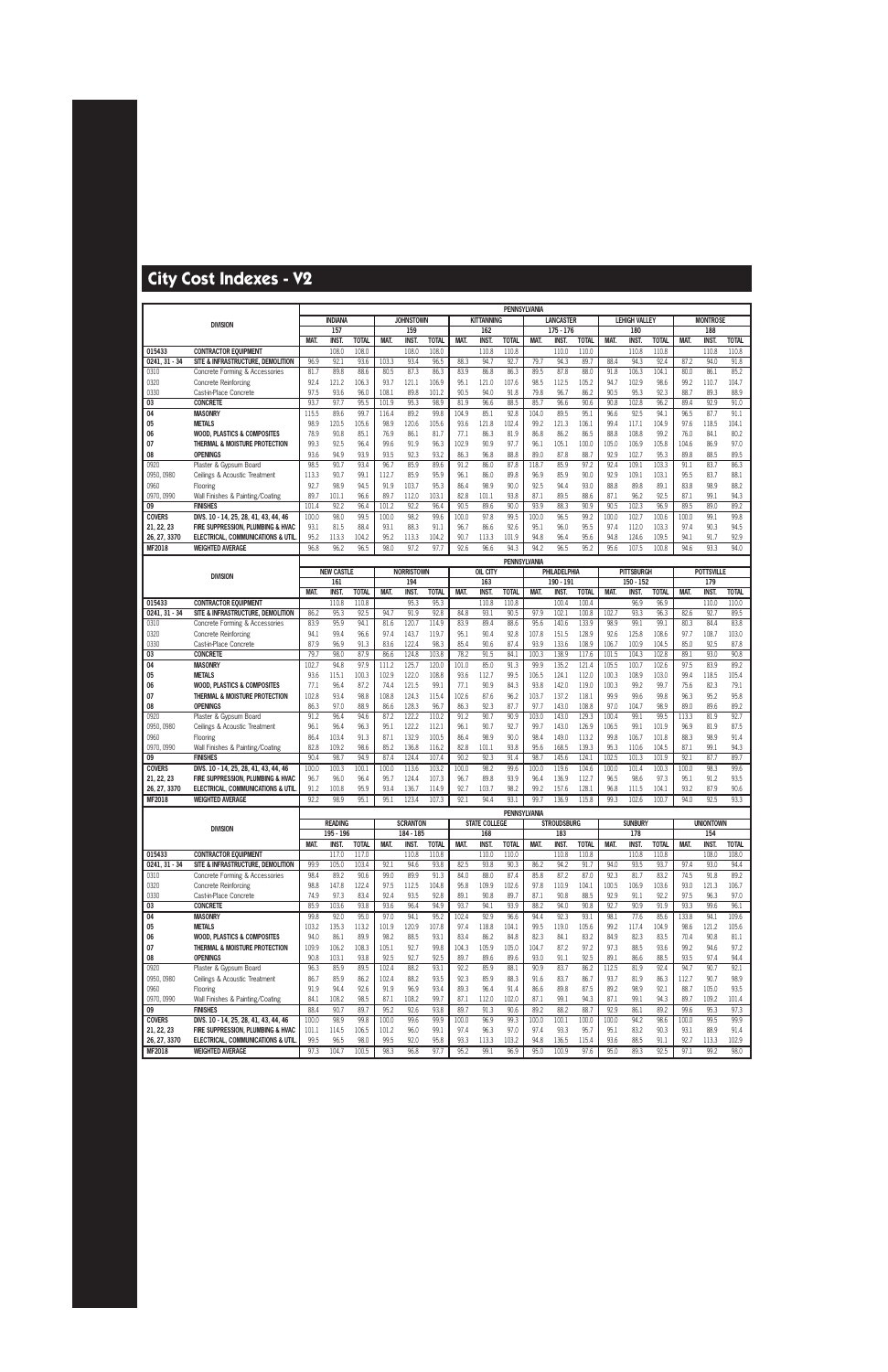|                             |                                                                            |               |                   |               |               |                   |                |               |                      | PENNSYLVANIA        |               |                    |                |                |                      |                |               |                   |              |
|-----------------------------|----------------------------------------------------------------------------|---------------|-------------------|---------------|---------------|-------------------|----------------|---------------|----------------------|---------------------|---------------|--------------------|----------------|----------------|----------------------|----------------|---------------|-------------------|--------------|
|                             | <b>DIVISION</b>                                                            |               | <b>INDIANA</b>    |               |               | <b>JOHNSTOWN</b>  |                |               | <b>KITTANNING</b>    |                     |               | <b>LANCASTER</b>   |                |                | <b>LEHIGH VALLEY</b> |                |               | <b>MONTROSE</b>   |              |
|                             |                                                                            |               | 157               |               |               | 159               |                |               | 162                  |                     |               | $175 - 176$        |                |                | 180                  |                |               | 188               |              |
|                             |                                                                            | MAT.          | INST.             | <b>TOTAL</b>  | MAT.          | INST.             | <b>TOTAL</b>   | MAT.          | <b>INST</b>          | <b>TOTAL</b>        | MAT.          | INST.              | <b>TOTAL</b>   | MAT.           | <b>INST.</b>         | <b>TOTAL</b>   | MAT.          | <b>INST.</b>      | <b>TOTAL</b> |
| 015433                      | <b>CONTRACTOR EQUIPMENT</b>                                                |               | 108.0             | 108.0         |               | 108.0             | 108.0          |               | 110.8                | 110.8               |               | 110.0              | 110.0          |                | 110.8                | 110.8          |               | 110.8             | 110.8        |
| $0241, 31 - 34$             | SITE & INFRASTRUCTURE, DEMOLITION                                          | 96.9          | 92.1              | 93.6          | 103.3         | 93.4              | 96.5           | 88.3          | 94.7                 | 92.7                | 79.7          | 94.3               | 89.7           | 88.4           | 94.3                 | 92.4           | 87.2          | 94.0              | 91.8         |
| 0310                        | Concrete Forming & Accessories                                             | 81.7          | 89.8              | 88.6          | 80.5          | 87.3              | 86.3           | 83.9          | 86.8                 | 86.3                | 89.5          | 87.8               | 88.0           | 91.8           | 106.3                | 104.1          | 80.0          | 86.1              | 85.2         |
| 0320                        | Concrete Reinforcing                                                       | 92.4          | 121.2             | 106.3         | 93.7          | 121.1             | 106.9          | 95.1          | 121.0                | 107.6               | 98.5          | 112.5              | 105.2          | 94.7           | 102.9                | 98.6           | 99.2          | 110.7             | 104.7        |
| 0330                        | Cast-in-Place Concrete                                                     | 97.5          | 93.6              | 96.0          | 108.1         | 89.8              | 101.2          | 90.5          | 94.0                 | 91.8                | 79.8          | 96.7               | 86.2           | 90.5           | 95.3                 | 92.3           | 88.7          | 89.3              | 88.9         |
| 03                          | <b>CONCRETE</b>                                                            | 93.7          | 97.7              | 95.5          | 101.9         | 95.3              | 98.9           | 81.9          | 96.6                 | 88.5                | 85.7          | 96.6               | 90.6           | 90.8           | 102.8                | 96.2           | 89.4          | 92.9              | 91.0         |
| 04                          | <b>MASONRY</b>                                                             | 115.5         | 89.6              | 99.7          | 116.4         | 89.2              | 99.8           | 104.9         | 85.1                 | 92.8                | 104.0         | 89.5               | 95.1           | 96.6           | 92.5                 | 94.1           | 96.5          | 87.7              | 91.1         |
| 05                          | <b>METALS</b>                                                              | 98.9          | 120.5             | 105.6         | 98.9          | 120.6             | 105.6          | 93.6          | 121.8                | 102.4               | 99.2          | 121.3              | 106.1          | 99.4           | 117.1                | 104.9          | 97.6          | 118.5             | 104.1        |
| 06                          | <b>WOOD, PLASTICS &amp; COMPOSITES</b>                                     | 78.9          | 90.8              | 85.1          | 76.9          | 86.1              | 81.7           | 77.1          | 86.3                 | 81.9                | 86.8          | 86.2               | 86.5           | 88.8           | 108.8                | 99.2           | 76.0          | 84.1              | 80.2         |
| 07                          | THERMAL & MOISTURE PROTECTION                                              | 99.3<br>93.6  | 92.5<br>94.9      | 96.4          | 99.6          | 91.9              | 96.3           | 102.9         | 90.9                 | 97.7                | 96.1          | 105.1              | 100.0          | 105.0          | 106.9                | 105.8          | 104.6         | 86.9              | 97.0         |
| 08<br>0920                  | <b>OPENINGS</b><br>Plaster & Gypsum Board                                  | 98.5          | 90.7              | 93.9<br>93.4  | 93.5<br>96.7  | 92.3<br>85.9      | 93.2<br>89.6   | 86.3<br>91.2  | 96.8<br>86.0         | 88.8<br>87.8        | 89.0<br>118.7 | 87.8<br>85.9       | 88.7<br>97.2   | 92.9<br>92.4   | 102.7<br>109.1       | 95.3<br>103.3  | 89.8<br>91.1  | 88.5<br>83.7      | 89.5<br>86.3 |
| 0950, 0980                  | Ceilings & Acoustic Treatment                                              | 113.3         | 90.7              | 99.1          | 112.7         | 85.9              | 95.9           | 96.1          | 86.0                 | 89.8                | 96.9          | 85.9               | 90.0           | 92.9           | 109.1                | 103.1          | 95.5          | 83.7              | 88.1         |
| 0960                        | Flooring                                                                   | 92.7          | 98.9              | 94.5          | 91.9          | 103.7             | 95.3           | 86.4          | 98.9                 | 90.0                | 92.5          | 94.4               | 93.0           | 88.8           | 89.8                 | 89.1           | 83.8          | 98.9              | 88.2         |
| 0970, 0990                  | Wall Finishes & Painting/Coating                                           | 89.7          | 101.1             | 96.6          | 89.7          | 112.0             | 103.1          | 82.8          | 101.1                | 93.8                | 87.1          | 89.5               | 88.6           | 87.1           | 96.2                 | 92.5           | 87.1          | 99.1              | 94.3         |
| 09                          | <b>FINISHES</b>                                                            | 101.4         | 92.2              | 96.4          | 101.2         | 92.2              | 96.4           | 90.5          | 89.6                 | 90.0                | 93.9          | 88.3               | 90.9           | 90.5           | 102.3                | 96.9           | 89.5          | 89.0              | 89.2         |
| <b>COVERS</b>               | DIVS. 10 - 14, 25, 28, 41, 43, 44, 46                                      | 100.0         | 98.0              | 99.5          | 100.0         | 98.2              | 99.6           | 100.0         | 97.8                 | 99.5                | 100.0         | 96.5               | 99.2           | 100.0          | 102.7                | 100.6          | 100.0         | 99.1              | 99.8         |
| 21, 22, 23                  | FIRE SUPPRESSION. PLUMBING & HVAC                                          | 93.1          | 81.5              | 88.4          | 93.1          | 88.3              | 91.1           | 96.7          | 86.6                 | 92.6                | 95.1          | 96.0               | 95.5           | 97.4           | 112.0                | 103.3          | 97.4          | 90.3              | 94.5         |
| 26, 27, 3370                | ELECTRICAL, COMMUNICATIONS & UTIL                                          | 95.2          | 113.3             | 104.2         | 95.2          | 113.3             | 104.2          | 90.7          | 113.3                | 101.9               | 94.8          | 96.4               | 95.6           | 94.8           | 124.6                | 109.5          | 94.1          | 91.7              | 92.9         |
| <b>MF2018</b>               | <b>WEIGHTED AVERAGE</b>                                                    | 96.8          | 96.2              | 96.5          | 98.0          | 97.2              | 97.7           | 92.6          | 96.6                 | 94.3                | 94.2          | 96.5               | 95.2           | 95.6           | 107.5                | 100.8          | 94.6          | 93.3              | 94.0         |
|                             |                                                                            |               |                   |               |               |                   |                |               |                      | <b>PENNSYLVANIA</b> |               |                    |                |                |                      |                |               |                   |              |
|                             |                                                                            |               | <b>NEW CASTLE</b> |               |               | <b>NORRISTOWN</b> |                |               | OIL CITY             |                     |               | PHILADELPHIA       |                |                | <b>PITTSBURGH</b>    |                |               | <b>POTTSVILLE</b> |              |
|                             | <b>DIVISION</b>                                                            |               | 161               |               |               | 194               |                |               | 163                  |                     |               | 190 - 191          |                |                | 150 - 152            |                |               | 179               |              |
|                             |                                                                            | MAT.          | <b>INST.</b>      | <b>TOTAL</b>  | MAT.          | INST.             | <b>TOTAL</b>   | MAT.          | <b>INST</b>          | <b>TOTAL</b>        | MAT.          | <b>INST</b>        | <b>TOTAL</b>   | MAT.           | INST.                | <b>TOTAL</b>   | MAT.          | <b>INST.</b>      | <b>TOTAL</b> |
| 015433                      | <b>CONTRACTOR EQUIPMENT</b>                                                |               | 110.8             | 110.8         |               | 95.3              | 95.3           |               | 110.8                | 110.8               |               | 100.4              | 100.4          |                | 96.9                 | 96.9           |               | 110.0             | 110.0        |
| $0241, 31 - 34$             | SITE & INFRASTRUCTURE, DEMOLITION                                          | 86.2          | 95.3              | 92.5          | 94.7          | 91.9              | 92.8           | 84.8          | 93.1                 | 90.5                | 97.9          | 102.1              | 100.8          | 102.7          | 93.3                 | 96.3           | 82.6          | 92.7              | 89.5         |
| 0310                        | Concrete Forming & Accessories                                             | 83.9          | 95.9              | 94.1          | 81.6          | 120.7             | 114.9          | 83.9          | 89.4                 | 88.6                | 95.6          | 140.6              | 133.9          | 98.9           | 99.1                 | 99.1           | 80.3          | 84.4              | 83.8         |
| 0320                        | Concrete Reinforcing                                                       | 94.1          | 99.4              | 96.6          | 97.4          | 143.7             | 119.7          | 95.1          | 90.4                 | 92.8                | 107.8         | 151.5              | 128.9          | 92.6           | 125.8                | 108.6          | 97.7          | 108.7             | 103.0        |
| 0330                        | Cast-in-Place Concrete                                                     | 87.9          | 96.9              | 91.3          | 83.6          | 122.4             | 98.3           | 85.4          | 90.6                 | 87.4                | 93.9          | 133.6              | 108.9          | 106.7          | 100.9                | 104.5          | 85.0          | 92.5              | 87.8         |
| 03                          | <b>CONCRETE</b>                                                            | 79.7          | 98.0              | 87.9          | 86.6          | 124.8             | 103.8          | 78.2          | 91.5                 | 84.1                | 100.3         | 138.9              | 117.6          | 101.5          | 104.3                | 102.8          | 89.1          | 93.0              | 90.8         |
| 04                          | <b>MASONRY</b>                                                             | 102.7         | 94.8              | 97.9          | 111.2         | 125.7             | 120.0          | 101.0         | 85.0                 | 91.3                | 99.9          | 135.2              | 121.4          | 105.5          | 100.7                | 102.6          | 97.5          | 83.9              | 89.2         |
| 05                          | <b>METALS</b>                                                              | 93.6          | 115.1             | 100.3         | 102.9         | 122.0             | 108.8          | 93.6          | 112.7                | 99.5                | 106.5         | 124.1              | 112.0          | 100.3          | 108.9                | 103.0          | 99.4          | 118.5             | 105.4        |
| 06                          | <b>WOOD, PLASTICS &amp; COMPOSITES</b>                                     | 77.1          | 96.4              | 87.2          | 74.4          | 121.5             | 99.1           | 77.1          | 90.9                 | 84.3                | 93.8          | 142.0              | 119.0          | 100.3          | 99.2                 | 99.7           | 75.6          | 82.3              | 79.1         |
| 07                          | THERMAL & MOISTURE PROTECTION                                              | 102.8         | 93.4              | 98.8          | 108.8         | 124.3             | 115.4          | 102.6         | 87.6                 | 96.2                | 103.7         | 137.2              | 118.1          | 99.9           | 99.6                 | 99.8           | 96.3          | 95.2              | 95.8         |
| 08                          | <b>OPENINGS</b>                                                            | 86.3          | 97.0              | 88.9          | 86.6          | 128.3             | 96.7           | 86.3          | 92.3                 | 87.7                | 97.7          | 143.0              | 108.8          | 97.0           | 104.7                | 98.9           | 89.0          | 89.6              | 89.2         |
| 0920                        | Plaster & Gypsum Board                                                     | 91.2          | 96.4              | 94.6          | 87.2          | 122.2             | 110.2          | 91.2          | 90.7                 | 90.9                | 103.0         | 143.0              | 129.3          | 100.4          | 99.1                 | 99.5           | 113.3         | 81.9              | 92.7         |
| 0950, 0980                  | Ceilings & Acoustic Treatment                                              | 96.1          | 96.4              | 96.3          | 95.1          | 122.2             | 112.1          | 96.1          | 90.7                 | 92.7                | 99.7          | 143.0              | 126.9          | 106.5          | 99.1                 | 101.9          | 96.9          | 81.9              | 87.5         |
| 0960                        | Flooring                                                                   | 86.4          | 103.4             | 91.3          | 87.1          | 132.9             | 100.5          | 86.4          | 98.9                 | 90.0                | 98.4          | 149.0              | 113.2          | 99.8           | 106.7                | 101.8          | 88.3          | 98.9              | 91.4         |
| 0970, 0990                  | Wall Finishes & Painting/Coating                                           | 82.8          | 109.2             | 98.6          | 85.2          | 136.8             | 116.2          | 82.8          | 101.1                | 93.8                | 95.6          | 168.5              | 139.3          | 95.3           | 110.6                | 104.5          | 87.1          | 99.1              | 94.3         |
| 09                          | <b>FINISHES</b><br>DIVS. 10 - 14, 25, 28, 41, 43, 44, 46                   | 90.4<br>100.0 | 98.7<br>100.3     | 94.9<br>100.1 | 87.4<br>100.0 | 124.4<br>113.6    | 107.4<br>103.2 | 90.2<br>100.0 | 92.3<br>98.2         | 91.4<br>99.6        | 98.7<br>100.0 | 145.6<br>119.6     | 124.1<br>104.6 | 102.5<br>100.0 | 101.3<br>101.4       | 101.9<br>100.3 | 92.1<br>100.0 | 87.7<br>98.3      | 89.7<br>99.6 |
| <b>COVERS</b><br>21, 22, 23 | FIRE SUPPRESSION. PLUMBING & HVAC                                          | 96.7          | 96.0              | 96.4          | 95.7          | 124.4             | 107.3          | 96.7          | 89.8                 | 93.9                | 96.4          | 136.9              | 112.7          | 96.5           | 98.6                 | 97.3           | 95.1          | 91.2              | 93.5         |
| 26, 27, 3370                | <b>ELECTRICAL, COMMUNICATIONS &amp; UTIL</b>                               | 91.2          | 100.8             | 95.9          | 93.4          | 136.7             | 114.9          | 92.7          | 103.7                | 98.2                | 99.2          | 157.6              | 128.1          | 96.8           | 111.5                | 104.1          | 93.2          | 87.9              | 90.6         |
| MF2018                      | <b>WEIGHTED AVERAGE</b>                                                    | 92.2          | 98.9              | 95.1          | 95.1          | 123.4             | 107.3          | 92.1          | 94.4                 | 93.1                | 99.7          | 136.9              | 115.8          | 99.3           | 102.6                | 100.7          | 94.0          | 92.5              | 93.3         |
|                             |                                                                            |               |                   |               |               |                   |                |               |                      |                     |               |                    |                |                |                      |                |               |                   |              |
|                             |                                                                            |               | <b>READING</b>    |               |               | <b>SCRANTON</b>   |                |               | <b>STATE COLLEGE</b> | PENNSYLVANIA        |               | <b>STROUDSBURG</b> |                |                | <b>SUNBURY</b>       |                |               | <b>UNIONTOWN</b>  |              |
|                             | <b>DIVISION</b>                                                            |               | $195 - 196$       |               |               | 184 - 185         |                |               | 168                  |                     |               | 183                |                |                | 178                  |                |               | 154               |              |
|                             |                                                                            | MAT.          | <b>INST.</b>      | <b>TOTAL</b>  | MAT.          | <b>INST.</b>      | <b>TOTAL</b>   | MAT.          | INST.                | <b>TOTAL</b>        | <b>MAT.</b>   | <b>INST.</b>       | <b>TOTAL</b>   | <b>MAT.</b>    | <b>INST.</b>         | <b>TOTAL</b>   | MAT.          | <b>INST.</b>      | <b>TOTAL</b> |
| 015433                      | <b>CONTRACTOR EQUIPMENT</b>                                                |               | 117.0             | 117.0         |               | 110.8             | 110.8          |               | 110.0                | 110.0               |               | 110.8              | 110.8          |                | 110.8                | 110.8          |               | 108.0             | 108.0        |
| $0241, 31 - 34$             | SITE & INFRASTRUCTURE, DEMOLITION                                          | 99.9          | 105.0             | 103.4         | 92.1          | 94.6              | 93.8           | 82.5          | 93.8                 | 90.3                | 86.2          | 94.2               | 91.7           | 94.0           | 93.5                 | 93.7           | 97.4          | 93.0              | 94.4         |
| 0310                        | Concrete Forming & Accessories                                             | 98.4          | 89.2              | 90.6          | 99.0          | 89.9              | 91.3           | 84.0          | 88.0                 | 87.4                | 85.8          | 87.2               | 87.0           | 92.3           | 81.7                 | 83.2           | 74.5          | 91.8              | 89.2         |
| 0320                        | Concrete Reinforcing                                                       | 98.8          | 147.8             | 122.4         | 97.5          | 112.5             | 104.8          | 95.8          | 109.9                | 102.6               | 97.8          | 110.9              | 104.1          | 100.5          | 106.9                | 103.6          | 93.0          | 121.3             | 106.7        |
| 0330                        | Cast-in-Place Concrete                                                     | 74.9          | 97.3              | 83.4          | 92.4          | 93.5              | 92.8           | 89.1          | 90.8                 | 89.7                | 87.1          | 90.8               | 88.5           | 92.9           | 91.1                 | 92.2           | 97.5          | 96.3              | 97.0         |
| 03                          | <b>CONCRETE</b>                                                            | 85.9          | 103.6             | 93.8          | 93.6          | 96.4              | 94.9           | 93.7          | 94.1                 | 93.9                | 88.2          | 94.0               | 90.8           | 92.7           | 90.9                 | 91.9           | 93.3          | 99.6              | 96.1         |
| 04                          | <b>MASONRY</b>                                                             | 99.8          | 92.0              | 95.0          | 97.0          | 94.1              | 95.2           | 102.4         | 92.9                 | 96.6                | 94.4          | 92.3               | 93.1           | 98.1           | 77.6                 | 85.6           | 133.8         | 94.1              | 109.6        |
| 05                          | <b>METALS</b>                                                              | 103.2         | 135.3             | 113.2         | 101.9         | 120.9             | 107.8          | 97.4          | 118.8                | 104.1               | 99.5          | 119.0              | 105.6          | 99.2           | 117.4                | 104.9          | 98.6          | 121.2             | 105.6        |
| 06                          | <b>WOOD. PLASTICS &amp; COMPOSITES</b>                                     | 94.0          | 86.1              | 89.9          | 98.2          | 88.5              | 93.1           | 83.4          | 86.2                 | 84.8                | 82.3          | 84.1               | 83.2           | 84.9           | 82.3                 | 83.5           | 70.4          | 90.8              | 81.1         |
| 07                          | THERMAL & MOISTURE PROTECTION                                              | 109.9         | 106.2             | 108.3         | 105.1         | 92.7              | 99.8           | 104.3         | 105.9                | 105.0               | 104.7         | 87.2               | 97.2           | 97.3           | 88.5                 | 93.6           | 99.2          | 94.6              | 97.2         |
| 08                          | <b>OPENINGS</b>                                                            | 90.8          | 103.1             | 93.8          | 92.5          | 92.7              | 92.5           | 89.7          | 89.6                 | 89.6                | 93.0          | 91.1               | 92.5           | 89.1           | 86.6                 | 88.5           | 93.5          | 97.4              | 94.4         |
| 0920                        | Plaster & Gypsum Board                                                     | 96.3          | 85.9              | 89.5          | 102.4         | 88.2              | 93.1           | 92.2          | 85.9                 | 88.1                | 90.9          | 83.7               | 86.2           | 112.5          | 81.9                 | 92.4           | 94.7          | 90.7              | 92.1         |
| 0950, 0980                  | Ceilings & Acoustic Treatment                                              | 86.7          | 85.9              | 86.2          | 102.4         | 88.2              | 93.5           | 92.3          | 85.9                 | 88.3                | 91.6          | 83.7               | 86.7           | 93.7           | 81.9                 | 86.3           | 112.7         | 90.7              | 98.9         |
| 0960                        | Flooring                                                                   | 91.9          | 94.4              | 92.6          | 91.9          | 96.9              | 93.4           | 89.3          | 96.4                 | 91.4                | 86.6          | 89.8               | 87.5           | 89.2           | 98.9                 | 92.1           | 88.7          | 105.0             | 93.5         |
| 0970, 0990                  | Wall Finishes & Painting/Coating<br><b>FINISHES</b>                        | 84.1          | 108.2             | 98.5          | 87.1          | 108.2             | 99.7           | 87.1          | 112.0                | 102.0               | 87.1          | 99.1               | 94.3           | 87.1           | 99.1                 | 94.3           | 89.7          | 109.2             | 101.4        |
| 09                          |                                                                            | 88.4          | 90.7              | 89.7          | 95.2          | 92.6              | 93.8           | 89.7          | 91.3                 | 90.6                | 89.2          | 88.2               | 88.7           | 92.9           | 86.1                 | 89.2           | 99.6          | 95.3              | 97.3         |
| <b>COVERS</b>               | DIVS. 10 - 14, 25, 28, 41, 43, 44, 46<br>FIRE SUPPRESSION, PLUMBING & HVAC | 100.0         | 98.9              | 99.8          | 100.0         | 99.6              | 99.9           | 100.0         | 96.9                 | 99.3<br>97.0        | 100.0<br>97.4 | 100.1              | 100.0<br>95.7  | 100.0          | 94.2                 | 98.6<br>90.3   | 100.0<br>93.1 | 99.5<br>88.9      | 99.9<br>91.4 |
| 21, 22, 23<br>26, 27, 3370  | ELECTRICAL, COMMUNICATIONS & UTIL                                          | 101.1<br>99.5 | 114.5<br>96.5     | 106.5<br>98.0 | 101.2<br>99.5 | 96.0<br>92.0      | 99.1<br>95.8   | 97.4<br>93.3  | 96.3<br>113.3        | 103.2               | 94.8          | 93.3<br>136.5      | 115.4          | 95.1<br>93.6   | 83.2<br>88.5         | 91.1           | 92.7          | 113.3             | 102.9        |
| <b>MF2018</b>               | <b>WEIGHTED AVERAGE</b>                                                    | 97.3          | 104.7             | 100.5         | 98.3          | 96.8              | 97.7           | 95.2          | 99.1                 | 96.9                | 95.0          | 100.9              | 97.6           | 95.0           | 89.3                 | 92.5           | 97.1          | 99.2              | 98.0         |
|                             |                                                                            |               |                   |               |               |                   |                |               |                      |                     |               |                    |                |                |                      |                |               |                   |              |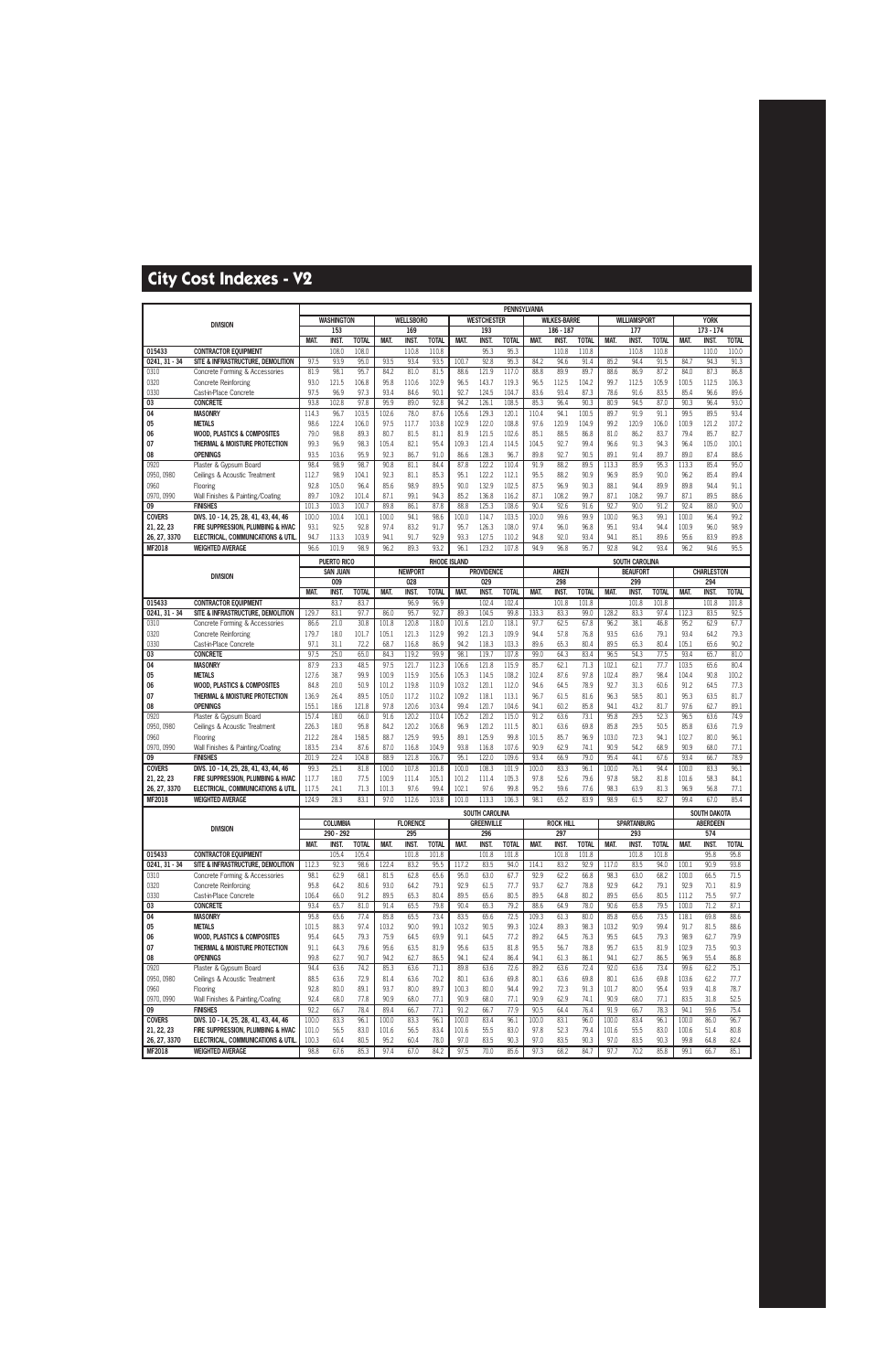|                             |                                                                            |                |                    |               |                |                  |                     |                |                                     | PENNSYLVANIA   |               |                     |              |                |                       |              |                |                                 |               |
|-----------------------------|----------------------------------------------------------------------------|----------------|--------------------|---------------|----------------|------------------|---------------------|----------------|-------------------------------------|----------------|---------------|---------------------|--------------|----------------|-----------------------|--------------|----------------|---------------------------------|---------------|
|                             | <b>DIVISION</b>                                                            |                | <b>WASHINGTON</b>  |               |                | <b>WELLSBORO</b> |                     |                | <b>WESTCHESTER</b>                  |                |               | <b>WILKES-BARRE</b> |              |                | <b>WILLIAMSPORT</b>   |              |                | <b>YORK</b>                     |               |
|                             |                                                                            |                | 153                |               |                | 169              |                     |                | 193                                 |                |               | 186 - 187           |              |                | 177                   |              |                | $173 - 174$                     |               |
|                             |                                                                            | MAT.           | <b>INST.</b>       | <b>TOTAL</b>  | MAT.           | <b>INST</b>      | <b>TOTAL</b>        | MAT.           | <b>INST</b>                         | <b>TOTAL</b>   | MAT.          | <b>INST.</b>        | <b>TOTAL</b> | MAT.           | <b>INST</b>           | <b>TOTAL</b> | <b>MAT.</b>    | INST.                           | <b>TOTAL</b>  |
| 015433                      | <b>CONTRACTOR EQUIPMENT</b>                                                |                | 108.0              | 108.0         |                | 110.8            | 110.8               |                | 95.3                                | 95.3           |               | 110.8               | 110.8        |                | 110.8                 | 110.8        |                | 110.0                           | 110.0         |
| $0241, 31 - 34$             | SITE & INFRASTRUCTURE, DEMOLITION                                          | 97.5           | 93.9               | 95.0          | 93.5           | 93.4             | 93.5                | 100.7          | 92.8                                | 95.3           | 84.2          | 94.6                | 91.4         | 85.2           | 94.4                  | 91.5         | 84.7           | 94.3                            | 91.3          |
| 0310                        | Concrete Forming & Accessories                                             | 81.9           | 98.1               | 95.7          | 84.2           | 81.0             | 81.5                | 88.6           | 121.9                               | 117.0          | 88.8          | 89.9                | 89.7         | 88.6           | 86.9                  | 87.2         | 84.0           | 87.3                            | 86.8          |
| 0320                        | Concrete Reinforcing                                                       | 93.0           | 121.5              | 106.8         | 95.8           | 110.6            | 102.9               | 96.5           | 143.7                               | 119.3          | 96.5          | 112.5               | 104.2        | 99.7           | 112.5                 | 105.9        | 100.5          | 112.5                           | 106.3         |
| 0330                        | Cast-in-Place Concrete                                                     | 97.5           | 96.9               | 97.3          | 93.4           | 84.6             | 90.1                | 92.7           | 124.5                               | 104.7          | 83.6          | 93.4                | 87.3         | 78.6           | 91.6                  | 83.5         | 85.4           | 96.6                            | 89.6          |
| 03                          | <b>CONCRETE</b>                                                            | 93.8           | 102.8              | 97.8          | 95.9           | 89.0             | 92.8                | 94.2           | 126.1                               | 108.5          | 85.3          | 96.4                | 90.3         | 80.9           | 94.5                  | 87.0         | 90.3           | 96.4                            | 93.0          |
| 04                          | <b>MASONRY</b>                                                             | 114.3          | 96.7               | 103.5         | 102.6          | 78.0             | 87.6                | 105.6          | 129.3                               | 120.1          | 110.4         | 94.1                | 100.5        | 89.7           | 91.9                  | 91.1         | 99.5           | 89.5                            | 93.4          |
| 05                          | <b>METALS</b>                                                              | 98.6           | 122.4              | 106.0         | 97.5           | 117.7            | 103.8               | 102.9          | 122.0                               | 108.8          | 97.6          | 120.9               | 104.9        | 99.2           | 120.9                 | 106.0        | 100.9          | 121.2                           | 107.2         |
| 06                          | <b>WOOD, PLASTICS &amp; COMPOSITES</b>                                     | 79.0           | 98.8               | 89.3          | 80.7           | 81.5             | 81.1                | 81.9           | 121.5                               | 102.6          | 85.1          | 88.5                | 86.8         | 81.0           | 86.2                  | 83.7         | 79.4           | 85.7                            | 82.7          |
| 07                          | THERMAL & MOISTURE PROTECTION<br><b>OPENINGS</b>                           | 99.3<br>93.5   | 96.9               | 98.3<br>95.9  | 105.4<br>92.3  | 82.1<br>86.7     | 95.4<br>91.0        | 109.3          | 121.4                               | 114.5          | 104.5         | 92.7                | 99.4<br>90.5 | 96.6<br>89.1   | 91.3                  | 94.3         | 96.4<br>89.0   | 105.0                           | 100.1<br>88.6 |
| 08<br>0920                  | Plaster & Gypsum Board                                                     | 98.4           | 103.6<br>98.9      | 98.7          | 90.8           | 81.1             | 84.4                | 86.6<br>87.8   | 128.3<br>122.2                      | 96.7<br>110.4  | 89.8<br>91.9  | 92.7<br>88.2        | 89.5         | 113.3          | 91.4<br>85.9          | 89.7<br>95.3 | 113.3          | 87.4<br>85.4                    | 95.0          |
| 0950, 0980                  | Ceilings & Acoustic Treatment                                              | 112.7          | 98.9               | 104.1         | 92.3           | 81.1             | 85.3                | 95.1           | 122.2                               | 112.1          | 95.5          | 88.2                | 90.9         | 96.9           | 85.9                  | 90.0         | 96.2           | 85.4                            | 89.4          |
| 0960                        | Flooring                                                                   | 92.8           | 105.0              | 96.4          | 85.6           | 98.9             | 89.5                | 90.0           | 132.9                               | 102.5          | 87.5          | 96.9                | 90.3         | 88.1           | 94.4                  | 89.9         | 89.8           | 94.4                            | 91.1          |
| 0970, 0990                  | Wall Finishes & Painting/Coating                                           | 89.7           | 109.2              | 101.4         | 87.1           | 99.1             | 94.3                | 85.2           | 136.8                               | 116.2          | 87.1          | 108.2               | 99.7         | 87.1           | 108.2                 | 99.7         | 87.1           | 89.5                            | 88.6          |
| 09                          | <b>FINISHES</b>                                                            | 101.3          | 100.3              | 100.7         | 89.8           | 86.1             | 87.8                | 88.8           | 125.3                               | 108.6          | 90.4          | 92.6                | 91.6         | 92.7           | 90.0                  | 91.2         | 92.4           | 88.0                            | 90.0          |
| <b>COVERS</b>               | DIVS. 10 - 14, 25, 28, 41, 43, 44, 46                                      | 100.0          | 100.4              | 100.1         | 100.0          | 94.1             | 98.6                | 100.0          | 114.7                               | 103.5          | 100.0         | 99.6                | 99.9         | 100.0          | 96.3                  | 99.1         | 100.0          | 96.4                            | 99.2          |
| 21, 22, 23                  | FIRE SUPPRESSION. PLUMBING & HVAC                                          | 93.1           | 92.5               | 92.8          | 97.4           | 83.2             | 91.7                | 95.7           | 126.3                               | 108.0          | 97.4          | 96.0                | 96.8         | 95.1           | 93.4                  | 94.4         | 100.9          | 96.0                            | 98.9          |
| 26, 27, 3370                | ELECTRICAL, COMMUNICATIONS & UTIL                                          | 94.7           | 113.3              | 103.9         | 94.1           | 91.7             | 92.9                | 93.3           | 127.5                               | 110.2          | 94.8          | 92.0                | 93.4         | 94.1           | 85.1                  | 89.6         | 95.6           | 83.9                            | 89.8          |
| MF2018                      | <b>WEIGHTED AVERAGE</b>                                                    | 96.6           | 101.9              | 98.9          | 96.2           | 89.3             | 93.2                | 96.1           | 123.2                               | 107.8          | 94.9          | 96.8                | 95.7         | 92.8           | 94.2                  | 93.4         | 96.2           | 94.6                            | 95.5          |
|                             |                                                                            |                | <b>PUERTO RICO</b> |               |                |                  | <b>RHODE ISLAND</b> |                |                                     |                |               |                     |              |                | <b>SOUTH CAROLINA</b> |              |                |                                 |               |
|                             |                                                                            |                | <b>SAN JUAN</b>    |               |                | <b>NEWPORT</b>   |                     |                | <b>PROVIDENCE</b>                   |                |               | <b>AIKEN</b>        |              |                | <b>BEAUFORT</b>       |              |                | <b>CHARLESTON</b>               |               |
|                             | <b>DIVISION</b>                                                            |                | 009                |               |                | 028              |                     |                | 029                                 |                |               | 298                 |              |                | 299                   |              |                | 294                             |               |
|                             |                                                                            | <b>MAT</b>     | INST.              | <b>TOTAL</b>  | <b>MAT</b>     | <b>INST.</b>     | <b>TOTAL</b>        | <b>MAT</b>     | <b>INST</b>                         | <b>TOTAL</b>   | MAT.          | <b>INST.</b>        | <b>TOTAL</b> | MAT.           | <b>INST</b>           | <b>TOTAL</b> | <b>MAT.</b>    | <b>INST</b>                     | <b>TOTAL</b>  |
| 015433                      | <b>CONTRACTOR EQUIPMENT</b>                                                |                | 83.7               | 83.7          |                | 96.9             | 96.9                |                | 102.4                               | 102.4          |               | 101.8               | 101.8        |                | 101.8                 | 101.8        |                | 101.8                           | 101.8         |
| $0241, 31 - 34$             | SITE & INFRASTRUCTURE, DEMOLITION                                          | 129.7          | 83.1               | 97.7          | 86.0           | 95.7             | 92.7                | 89.3           | 104.5                               | 99.8           | 133.3         | 83.3                | 99.0         | 128.2          | 83.3                  | 97.4         | 112.3          | 83.5                            | 92.5          |
| 0310                        | Concrete Forming & Accessories                                             | 86.6           | 21.0               | 30.8          | 101.8          | 120.8            | 118.0               | 101.6          | 121.0                               | 118.1          | 97.7          | 62.5                | 67.8         | 96.2           | 38.1                  | 46.8         | 95.2           | 62.9                            | 67.7          |
| 0320                        | Concrete Reinforcing                                                       | 179.7          | 18.0               | 101.7         | 105.1          | 121.3            | 112.9               | 99.2           | 121.3                               | 109.9          | 94.4          | 57.8                | 76.8         | 93.5           | 63.6                  | 79.1         | 93.4           | 64.2                            | 79.3          |
| 0330                        | Cast-in-Place Concrete                                                     | 97.1           | 31.1               | 72.2          | 68.7           | 116.8            | 86.9                | 94.2           | 118.3                               | 103.3          | 89.6          | 65.3                | 80.4         | 89.5           | 65.3                  | 80.4         | 105.1          | 65.6                            | 90.2          |
| 03                          | <b>CONCRETE</b>                                                            | 97.5           | 25.0               | 65.0          | 84.3           | 119.2            | 99.9                | 98.1           | 119.7                               | 107.8          | 99.0          | 64.3                | 83.4         | 96.5           | 54.3                  | 77.5         | 93.4           | 65.7                            | 81.0          |
| 04                          | <b>MASONRY</b>                                                             | 87.9           | 23.3               | 48.5          | 97.5           | 121.7            | 112.3               | 106.6          | 121.8                               | 115.9          | 85.7          | 62.1                | 71.3         | 102.1          | 62.1                  | 77.7         | 103.5          | 65.6                            | 80.4          |
| 05                          | <b>METALS</b>                                                              | 127.6          | 38.7               | 99.9          | 100.9          | 115.9            | 105.6               | 105.3          | 114.5                               | 108.2          | 102.4         | 87.6                | 97.8         | 102.4          | 89.7                  | 98.4         | 104.4          | 90.8                            | 100.2         |
| 06                          | <b>WOOD, PLASTICS &amp; COMPOSITES</b>                                     | 84.8           | 20.0               | 50.9          | 101.2          | 119.8            | 110.9               | 103.2          | 120.1                               | 112.0          | 94.6          | 64.5                | 78.9         | 92.7           | 31.3                  | 60.6         | 91.2           | 64.5                            | 77.3          |
| 07                          | THERMAL & MOISTURE PROTECTION                                              | 136.9          | 26.4               | 89.5          | 105.0          | 117.2            | 110.2               | 109.2          | 118.1                               | 113.1          | 96.7          | 61.5                | 81.6         | 96.3           | 58.5                  | 80.1         | 95.3           | 63.5                            | 81.7          |
| 08                          | <b>OPENINGS</b>                                                            | 155.1          | 18.6               | 121.8         | 97.8           | 120.6            | 103.4               | 99.4           | 120.7                               | 104.6          | 94.1          | 60.2                | 85.8         | 94.1           | 43.2                  | 81.7         | 97.6           | 62.7                            | 89.1          |
| 0920                        | Plaster & Gypsum Board                                                     | 157.4          | 18.0               | 66.0          | 91.6           | 120.2            | 110.4               | 105.2          | 120.2                               | 115.0          | 91.2          | 63.6                | 73.1         | 95.8           | 29.5                  | 52.3         | 96.5           | 63.6                            | 74.9          |
| 0950, 0980                  | Ceilings & Acoustic Treatment                                              | 226.3          | 18.0               | 95.8          | 84.2           | 120.2            | 106.8               | 96.9           | 120.2                               | 111.5          | 80.1          | 63.6                | 69.8         | 85.8           | 29.5                  | 50.5         | 85.8           | 63.6                            | 71.9          |
| 0960                        | Flooring                                                                   | 212.2          | 28.4               | 158.5         | 88.7           | 125.9            | 99.5                | 89.1           | 125.9                               | 99.8           | 101.5         | 85.7                | 96.9         | 103.0          | 72.3                  | 94.1         | 102.7          | 80.0                            | 96.1          |
| 0970, 0990<br>09            | Wall Finishes & Painting/Coating<br><b>FINISHES</b>                        | 183.5<br>201.9 | 23.4<br>22.4       | 87.6<br>104.8 | 87.0<br>88.9   | 116.8            | 104.9<br>106.7      | 93.8<br>95.1   | 116.8<br>122.0                      | 107.6<br>109.6 | 90.9<br>93.4  | 62.9<br>66.9        | 74.1<br>79.0 | 90.9<br>95.4   | 54.2<br>44.1          | 68.9<br>67.6 | 90.9<br>93.4   | 68.0<br>66.7                    | 77.1<br>78.9  |
| <b>COVERS</b>               | DIVS. 10 - 14, 25, 28, 41, 43, 44, 46                                      | 99.3           | 25.1               | 81.8          | 100.0          | 121.8<br>107.8   | 101.8               | 100.0          | 108.3                               | 101.9          | 100.0         | 83.3                | 96.1         | 100.0          | 76.1                  | 94.4         | 100.0          | 83.3                            | 96.1          |
| 21, 22, 23                  | FIRE SUPPRESSION. PLUMBING & HVAC                                          | 117.7          | 18.0               | 77.5          | 100.9          | 111.4            | 105.1               | 101.2          | 111.4                               | 105.3          | 97.8          | 52.6                | 79.6         | 97.8           | 58.2                  | 81.8         | 101.6          | 58.3                            | 84.1          |
| 26, 27, 3370                | ELECTRICAL, COMMUNICATIONS & UTIL                                          | 117.5          | 24.1               | 71.3          | 101.3          | 97.6             | 99.4                | 102.1          | 97.6                                | 99.8           | 95.2          | 59.6                | 77.6         | 98.3           | 63.9                  | 81.3         | 96.9           | 56.8                            | 77.1          |
| MF2018                      | <b>WEIGHTED AVERAGE</b>                                                    | 124.9          | 28.3               | 83.1          | 97.0           | 112.6            | 103.8               | 101.0          | 113.3                               | 106.3          | 98.1          | 65.2                | 83.9         | 98.9           | 61.5                  | 82.7         | 99.4           | 67.0                            | 85.4          |
|                             |                                                                            |                |                    |               |                |                  |                     |                |                                     |                |               |                     |              |                |                       |              |                |                                 |               |
|                             |                                                                            |                | <b>COLUMBIA</b>    |               |                | <b>FLORENCE</b>  |                     |                | SOUTH CAROLINA<br><b>GREENVILLE</b> |                |               | <b>ROCK HILL</b>    |              |                | <b>SPARTANBURG</b>    |              |                | SOUTH DAKOTA<br><b>ABERDEEN</b> |               |
|                             | <b>DIVISION</b>                                                            |                | 290 - 292          |               |                | 295              |                     |                | 296                                 |                |               | 297                 |              |                | 293                   |              |                | 574                             |               |
|                             |                                                                            | MAT.           | <b>INST.</b>       | <b>TOTAL</b>  | MAT.           | <b>INST.</b>     | <b>TOTAL</b>        | MAT.           | <b>INST.</b>                        | <b>TOTAL</b>   | MAT.          | <b>INST.</b>        | <b>TOTAL</b> | MAT.           | <b>INST.</b>          | <b>TOTAL</b> | MAT.           | <b>INST.</b>                    | <b>TOTAL</b>  |
| 015433                      | <b>CONTRACTOR EOUIPMENT</b>                                                |                | 105.4              | 105.4         |                | 101.8            | 101.8               |                | 101.8                               | 101.8          |               | 101.8               | 101.8        |                | 101.8                 | 101.8        |                | 95.8                            | 95.8          |
| $0241, 31 - 34$             | SITE & INFRASTRUCTURE, DEMOLITION                                          | 112.3          | 92.3               | 98.6          | 122.4          | 83.2             | 95.5                | 117.2          | 83.5                                | 94.0           | 114.1         | 83.2                | 92.9         | 117.0          | 83.5                  | 94.0         | 100.1          | 90.9                            | 93.8          |
| 0310                        | Concrete Forming & Accessories                                             | 98.1           | 62.9               | 68.1          | 81.5           | 62.8             | 65.6                | 95.0           | 63.0                                | 67.7           | 92.9          | 62.2                | 66.8         | 98.3           | 63.0                  | 68.2         | 100.0          | 66.5                            | 71.5          |
| 0320                        | Concrete Reinforcing                                                       | 95.8           | 64.2               | 80.6          | 93.0           | 64.2             | 79.1                | 92.9           | 61.5                                | 77.7           | 93.7          | 62.7                | 78.8         | 92.9           | 64.2                  | 79.1         | 92.9           | 70.1                            | 81.9          |
| 0330                        | Cast-in-Place Concrete                                                     | 106.4          | 66.0               | 91.2          | 89.5           | 65.3             | 80.4                | 89.5           | 65.6                                | 80.5           | 89.5          | 64.8                | 80.2         | 89.5           | 65.6                  | 80.5         | 111.2          | 75.5                            | 97.7          |
| 03                          | <b>CONCRETE</b>                                                            | 93.4           | 65.7               | 81.0          | 91.4           | 65.5             | 79.8                | 90.4           | 65.3                                | 79.2           | 88.6          | 64.9                | 78.0         | 90.6           | 65.8                  | 79.5         | 100.0          | 71.2                            | 87.1          |
| 04                          | <b>MASONRY</b>                                                             | 95.8           | 65.6               | 77.4          | 85.8           | 65.5             | 73.4                | 83.5           | 65.6                                | 72.5           | 109.3         | 61.3                | 80.0         | 85.8           | 65.6                  | 73.5         | 118.1          | 69.8                            | 88.6          |
| 05                          | <b>METALS</b>                                                              | 101.5          | 88.3               | 97.4          | 103.2          | 90.0             | 99.1                | 103.2          | 90.5                                | 99.3           | 102.4         | 89.3                | 98.3         | 103.2          | 90.9                  | 99.4         | 91.7           | 81.5                            | 88.6          |
| 06                          | <b>WOOD, PLASTICS &amp; COMPOSITES</b>                                     | 95.4           | 64.5               | 79.3          | 75.9           | 64.5             | 69.9                | 91.1           | 64.5                                | 77.2           | 89.2          | 64.5                | 76.3         | 95.5           | 64.5                  | 79.3         | 98.9           | 62.7                            | 79.9          |
| 07                          | THERMAL & MOISTURE PROTECTION                                              | 91.1           | 64.3               | 79.6          | 95.6           | 63.5             | 81.9                | 95.6           | 63.5                                | 81.8           | 95.5          | 56.7                | 78.8         | 95.7           | 63.5                  | 81.9         | 102.9          | 73.5                            | 90.3          |
| 08                          | <b>OPENINGS</b>                                                            | 99.8           | 62.7               | 90.7          | 94.2           | 62.7             | 86.5                | 94.1           | 62.4                                | 86.4           | 94.1          | 61.3                | 86.1         | 94.1           | 62.7                  | 86.5         | 96.9           | 55.4                            | 86.8          |
| 0920                        | Plaster & Gypsum Board                                                     | 94.4           | 63.6               | 74.2          | 85.3           | 63.6             | 71.1                | 89.8           | 63.6                                | 72.6           | 89.2          | 63.6                | 72.4         | 92.0           | 63.6                  | 73.4         | 99.6           | 62.2                            | 75.1          |
| 0950, 0980                  | Ceilings & Acoustic Treatment                                              | 88.5           | 63.6               | 72.9          | 81.4           | 63.6             | 70.2                | 80.1           | 63.6                                | 69.8           | 80.1          | 63.6                | 69.8         | 80.1           | 63.6                  | 69.8         | 103.6          | 62.2                            | 77.7          |
| 0960                        | Flooring                                                                   | 92.8           | 80.0               | 89.1          | 93.7           | 80.0             | 89.7                | 100.3          | 80.0                                | 94.4           | 99.2          | 72.3                | 91.3         | 101.7          | 80.0                  | 95.4         | 93.9           | 41.8                            | 78.7          |
| 0970, 0990                  | Wall Finishes & Painting/Coating                                           | 92.4<br>92.2   | 68.0               | 77.8          | 90.9           | 68.0             | 77.1                | 90.9           | 68.0                                | 77.1           | 90.9          | 62.9                | 74.1         | 90.9           | 68.0                  | 77.1         | 83.5<br>94.1   | 31.8                            | 52.5          |
| 09                          | <b>FINISHES</b>                                                            | 100.0          | 66.7               | 78.4          | 89.4           | 66.7             | 77.1                | 91.2           | 66.7                                | 77.9           | 90.5          | 64.4                | 76.4         | 91.9           | 66.7                  | 78.3<br>96.1 |                | 59.6                            | 75.4<br>96.7  |
| <b>COVERS</b><br>21, 22, 23 | DIVS. 10 - 14, 25, 28, 41, 43, 44, 46<br>FIRE SUPPRESSION, PLUMBING & HVAC | 101.0          | 83.3<br>56.5       | 96.1<br>83.0  | 100.0<br>101.6 | 83.3<br>56.5     | 96.1<br>83.4        | 100.0<br>101.6 | 83.4<br>55.5                        | 96.1<br>83.0   | 100.0<br>97.8 | 83.1<br>52.3        | 96.0<br>79.4 | 100.0<br>101.6 | 83.4<br>55.5          | 83.0         | 100.0<br>100.6 | 86.0<br>51.4                    | 80.8          |
| 26, 27, 3370                | ELECTRICAL, COMMUNICATIONS & UTIL                                          | 100.3          | 60.4               | 80.5          | 95.2           | 60.4             | 78.0                | 97.0           | 83.5                                | 90.3           | 97.0          | 83.5                | 90.3         | 97.0           | 83.5                  | 90.3         | 99.8           | 64.8                            | 82.4          |
| <b>MF2018</b>               | <b>WEIGHTED AVERAGE</b>                                                    | 98.8           | 67.6               | 85.3          | 97.4           | 67.0             | 84.2                | 97.5           | 70.0                                | 85.6           | 97.3          | 68.2                | 84.7         | 97.7           | 70.2                  | 85.8         | 99.1           | 66.7                            | 85.1          |
|                             |                                                                            |                |                    |               |                |                  |                     |                |                                     |                |               |                     |              |                |                       |              |                |                                 |               |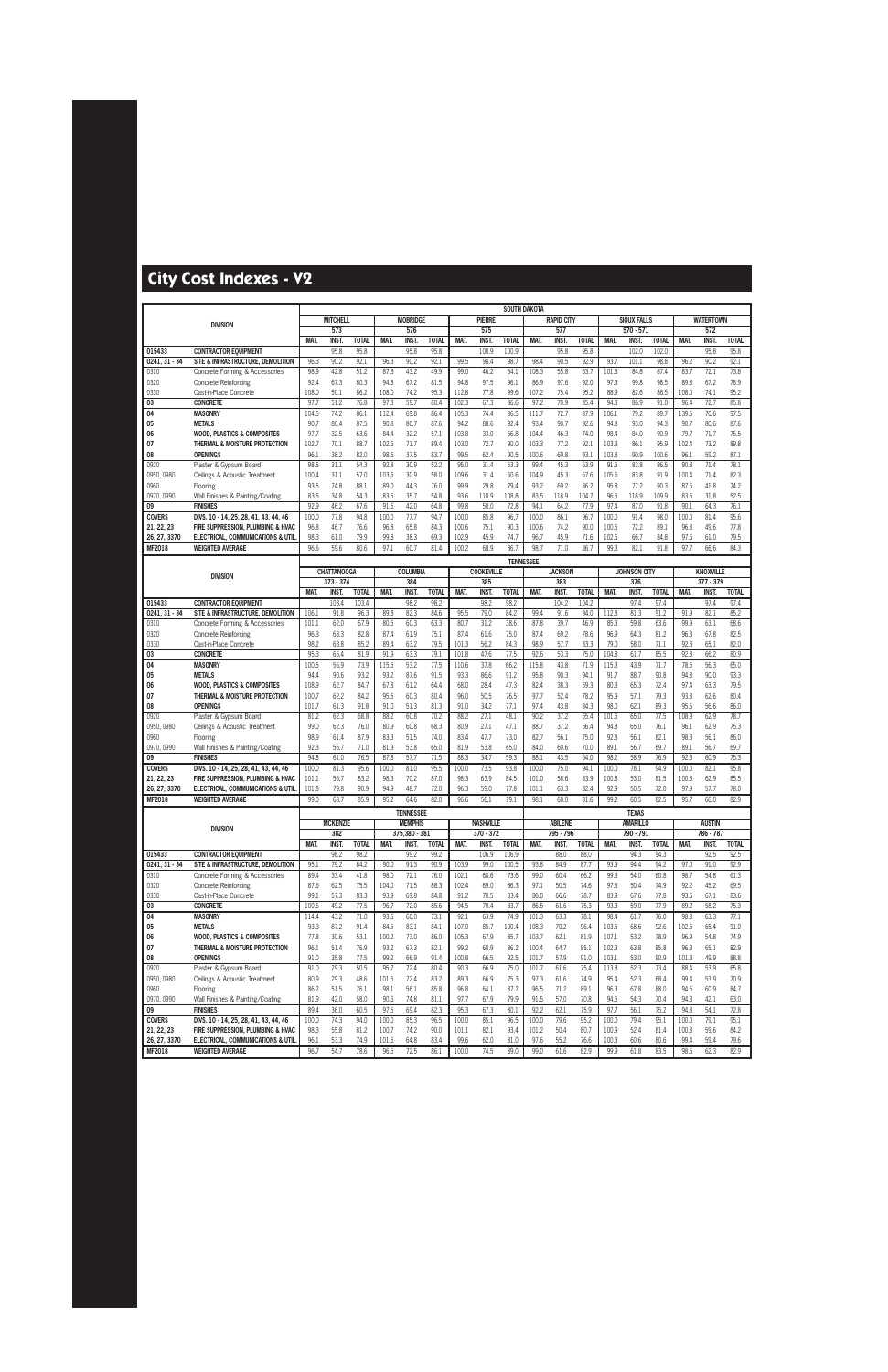|                            |                                                               |                |                           |              |              |                        |              |                |                           |                  | <b>SOUTH DAKOTA</b> |                       |              |                |                     |              |               |                                 |              |
|----------------------------|---------------------------------------------------------------|----------------|---------------------------|--------------|--------------|------------------------|--------------|----------------|---------------------------|------------------|---------------------|-----------------------|--------------|----------------|---------------------|--------------|---------------|---------------------------------|--------------|
|                            | <b>DIVISION</b>                                               |                | <b>MITCHELL</b>           |              |              | <b>MOBRIDGE</b>        |              |                | <b>PIERRE</b>             |                  |                     | <b>RAPID CITY</b>     |              |                | <b>SIOUX FALLS</b>  |              |               | <b>WATERTOWN</b>                |              |
|                            |                                                               |                | 573                       |              |              | 576                    |              |                | 575                       |                  |                     | 577                   |              |                | 570 - 571           |              |               | 572                             |              |
|                            |                                                               | MAT.           | <b>INST.</b>              | <b>TOTAL</b> | MAT.         | <b>INST</b>            | <b>TOTAL</b> | MAT.           | <b>INST</b>               | <b>TOTAL</b>     | MAT.                | <b>INST</b>           | <b>TOTAL</b> | MAT.           | INST.               | <b>TOTAL</b> | MAT.          | <b>INST</b>                     | <b>TOTAL</b> |
| 015433                     | <b>CONTRACTOR EQUIPMENT</b>                                   |                | 95.8                      | 95.8         |              | 95.8                   | 95.8         |                | 100.9                     | 100.9            |                     | 95.8                  | 95.8         |                | 102.0               | 102.0        |               | 95.8                            | 95.8         |
| $0241, 31 - 34$            | SITE & INFRASTRUCTURE, DEMOLITION                             | 96.3<br>98.9   | 90.2<br>42.8              | 92.1<br>51.2 | 96.3<br>87.8 | 90.2<br>43.2           | 92.1<br>49.9 | 99.5<br>99.0   | 98.4<br>46.2              | 98.7<br>54.1     | 98.4<br>108.3       | 90.5<br>55.8          | 92.9<br>63.7 | 93.7<br>101.8  | 101.1<br>84.8       | 98.8<br>87.4 | 96.2<br>83.7  | 90.2<br>72.1                    | 92.1<br>73.8 |
| 0310                       | Concrete Forming & Accessories<br><b>Concrete Reinforcing</b> | 92.4           | 67.3                      | 80.3         | 94.8         | 67.2                   | 81.5         | 94.8           | 97.5                      | 96.1             | 86.9                | 97.6                  | 92.0         | 97.3           | 99.8                | 98.5         | 89.8          | 67.2                            | 78.9         |
| 0320<br>0330               | Cast-in-Place Concrete                                        | 108.0          | 50.1                      | 86.2         | 108.0        | 74.2                   | 95.3         | 112.8          | 77.8                      | 99.6             | 107.2               | 75.4                  | 95.2         | 88.9           | 82.6                | 86.5         | 108.0         | 74.1                            | 95.2         |
| 03                         | <b>CONCRETE</b>                                               | 97.7           | 51.2                      | 76.8         | 97.3         | 59.7                   | 80.4         | 102.3          | 67.3                      | 86.6             | 97.2                | 70.9                  | 85.4         | 94.3           | 86.9                | 91.0         | 96.4          | 72.7                            | 85.8         |
| 04                         | <b>MASONRY</b>                                                | 104.5          | 74.2                      | 86.1         | 112.4        | 69.8                   | 86.4         | 105.3          | 74.4                      | 86.5             | 111.7               | 72.7                  | 87.9         | 106.1          | 79.2                | 89.7         | 139.5         | 70.6                            | 97.5         |
| 05                         | <b>METALS</b>                                                 | 90.7           | 80.4                      | 87.5         | 90.8         | 80.7                   | 87.6         | 94.2           | 88.6                      | 92.4             | 93.4                | 90.7                  | 92.6         | 94.8           | 93.0                | 94.3         | 90.7          | 80.6                            | 87.6         |
| 06                         | <b>WOOD, PLASTICS &amp; COMPOSITES</b>                        | 97.7           | 32.5                      | 63.6         | 84.4         | 32.2                   | 57.1         | 103.8          | 33.0                      | 66.8             | 104.4               | 46.3                  | 74.0         | 98.4           | 84.0                | 90.9         | 79.7          | 71.7                            | 75.5         |
| 07                         | THERMAL & MOISTURE PROTECTION                                 | 102.7          | 70.1                      | 88.7         | 102.6        | 71.7                   | 89.4         | 103.0          | 72.7                      | 90.0             | 103.3               | 77.2                  | 92.1         | 103.3          | 86.1                | 95.9         | 102.4         | 73.2                            | 89.8         |
| 08                         | <b>OPENINGS</b>                                               | 96.1           | 38.2                      | 82.0         | 98.6         | 37.5                   | 83.7         | 99.5           | 62.4                      | 90.5             | 100.6               | 69.8                  | 93.1         | 103.8          | 90.9                | 100.6        | 96.1          | 59.2                            | 87.1         |
| 0920                       | Plaster & Gypsum Board                                        | 98.5           | 31.1                      | 54.3         | 92.8         | 30.9                   | 52.2         | 95.0           | 31.4                      | 53.3             | 99.4                | 45.3                  | 63.9         | 91.5           | 83.8                | 86.5         | 90.8          | 71.4                            | 78.1         |
| 0950, 0980                 | Ceilings & Acoustic Treatment                                 | 100.4          | 31.1                      | 57.0         | 103.6        | 30.9                   | 58.0         | 109.6          | 31.4                      | 60.6             | 104.9               | 45.3                  | 67.6         | 105.6          | 83.8                | 91.9         | 100.4         | 71.4                            | 82.3         |
| 0960                       | Flooring                                                      | 93.5           | 74.8                      | 88.1         | 89.0         | 44.3                   | 76.0         | 99.9           | 29.8                      | 79.4             | 93.2                | 69.2                  | 86.2         | 95.8           | 77.2                | 90.3         | 87.6          | 41.8                            | 74.2         |
| 0970, 0990                 | Wall Finishes & Painting/Coating                              | 83.5           | 34.8                      | 54.3         | 83.5         | 35.7                   | 54.8         | 93.6           | 118.9                     | 108.8            | 83.5                | 118.9                 | 104.7        | 96.5           | 118.9               | 109.9        | 83.5          | 31.8                            | 52.5         |
| 09                         | <b>FINISHES</b>                                               | 92.9           | 46.2                      | 67.6         | 91.6         | 42.0                   | 64.8         | 99.8           | 50.0                      | 72.8             | 94.1                | 64.2                  | 77.9         | 97.4           | 87.0                | 91.8         | 90.1          | 64.3                            | 76.1         |
| <b>COVERS</b>              | DIVS. 10 - 14, 25, 28, 41, 43, 44, 46                         | 100.0          | 77.8                      | 94.8         | 100.0        | 77.7                   | 94.7         | 100.0          | 85.8                      | 96.7             | 100.0               | 86.1                  | 96.7         | 100.0          | 91.4                | 98.0         | 100.0         | 81.4                            | 95.6         |
| 21, 22, 23<br>26, 27, 3370 | FIRE SUPPRESSION, PLUMBING & HVAC                             | 96.8           | 46.7                      | 76.6         | 96.8         | 65.8                   | 84.3         | 100.6          | 75.1                      | 90.3             | 100.6               | 74.2                  | 90.0         | 100.5          | 72.2                | 89.1         | 96.8          | 49.6                            | 77.8         |
| MF2018                     | ELECTRICAL, COMMUNICATIONS & UTIL                             | 98.3<br>96.6   | 61.0<br>59.6              | 79.9<br>80.6 | 99.8<br>97.1 | 38.3<br>60.7           | 69.3<br>81.4 | 102.9<br>100.2 | 45.9<br>68.9              | 74.7<br>86.7     | 96.7<br>98.7        | 45.9<br>71.0          | 71.6<br>86.7 | 102.6<br>99.3  | 66.7<br>82.1        | 84.8<br>91.8 | 97.6<br>97.7  | 61.0<br>66.6                    | 79.5<br>84.3 |
|                            | <b>WEIGHTED AVERAGE</b>                                       |                |                           |              |              |                        |              |                |                           |                  |                     |                       |              |                |                     |              |               |                                 |              |
|                            |                                                               |                |                           |              |              |                        |              |                |                           | <b>TENNESSEE</b> |                     |                       |              |                |                     |              |               |                                 |              |
|                            | <b>DIVISION</b>                                               |                | <b>CHATTANOOGA</b>        |              |              | <b>COLUMBIA</b>        |              |                | <b>COOKEVILLE</b>         |                  |                     | <b>JACKSON</b><br>383 |              |                | <b>JOHNSON CITY</b> |              |               | <b>KNOXVILLE</b><br>$377 - 379$ |              |
|                            |                                                               | <b>MAT</b>     | 373 - 374<br><b>INST.</b> | <b>TOTAL</b> | <b>MAT</b>   | 384<br><b>INST</b>     | <b>TOTAL</b> | MAT.           | 385<br><b>INST</b>        | <b>TOTAL</b>     | <b>MAT</b>          | <b>INST</b>           | <b>TOTAL</b> | MAT.           | 376<br><b>INST</b>  | <b>TOTAL</b> | <b>MAT</b>    | <b>INST</b>                     | <b>TOTAL</b> |
| 015433                     | <b>CONTRACTOR EQUIPMENT</b>                                   |                | 103.4                     | 103.4        |              | 98.2                   | 98.2         |                | 98.2                      | 98.2             |                     | 104.2                 | 104.2        |                | 97.4                | 97.4         |               | 97.4                            | 97.4         |
| $0241, 31 - 34$            | SITE & INFRASTRUCTURE. DEMOLITION                             | 106.1          | 91.8                      | 96.3         | 89.8         | 82.3                   | 84.6         | 95.5           | 79.0                      | 84.2             | 99.4                | 91.6                  | 94.0         | 112.8          | 81.3                | 91.2         | 91.9          | 82.1                            | 85.2         |
| 0310                       | Concrete Forming & Accessories                                | 101.1          | 62.0                      | 67.9         | 80.5         | 60.3                   | 63.3         | 80.7           | 31.2                      | 38.6             | 87.8                | 39.7                  | 46.9         | 85.3           | 59.8                | 63.6         | 99.9          | 63.1                            | 68.6         |
| 0320                       | Concrete Reinforcing                                          | 96.3           | 68.3                      | 82.8         | 87.4         | 61.9                   | 75.1         | 87.4           | 61.6                      | 75.0             | 87.4                | 69.2                  | 78.6         | 96.9           | 64.3                | 81.2         | 96.3          | 67.8                            | 82.5         |
| 0330                       | Cast-in-Place Concrete                                        | 98.2           | 63.8                      | 85.2         | 89.4         | 63.2                   | 79.5         | 101.3          | 56.2                      | 84.3             | 98.9                | 57.7                  | 83.3         | 79.0           | 58.0                | 71.1         | 92.3          | 65.1                            | 82.0         |
| 03                         | <b>CONCRETE</b>                                               | 95.3           | 65.4                      | 81.9         | 91.9         | 63.3                   | 79.1         | 101.8          | 47.6                      | 77.5             | 92.6                | 53.3                  | 75.0         | 104.8          | 61.7                | 85.5         | 92.8          | 66.2                            | 80.9         |
| 04                         | <b>MASONRY</b>                                                | 100.5          | 56.9                      | 73.9         | 115.5        | 53.2                   | 77.5         | 110.6          | 37.8                      | 66.2             | 115.8               | 43.8                  | 71.9         | 115.3          | 43.9                | 71.7         | 78.5          | 56.3                            | 65.0         |
| 05                         | <b>METALS</b>                                                 | 94.4           | 90.6                      | 93.2         | 93.2         | 87.6                   | 91.5         | 93.3           | 86.6                      | 91.2             | 95.8                | 90.3                  | 94.1         | 91.7           | 88.7                | 90.8         | 94.8          | 90.0                            | 93.3         |
| 06                         | <b>WOOD, PLASTICS &amp; COMPOSITES</b>                        | 108.9          | 62.7                      | 84.7         | 67.8         | 61.2                   | 64.4         | 68.0           | 28.4                      | 47.3             | 82.4                | 38.3                  | 59.3         | 80.3           | 65.3                | 72.4         | 97.4          | 63.3                            | 79.5         |
| 07                         | THERMAL & MOISTURE PROTECTION<br><b>OPENINGS</b>              | 100.7<br>101.7 | 62.2<br>61.3              | 84.2<br>91.8 | 95.5         | 60.3<br>51.3           | 80.4<br>81.3 | 96.0           | 50.5                      | 76.5<br>77.1     | 97.7<br>97.4        | 52.4<br>43.8          | 78.2<br>84.3 | 95.9<br>98.0   | 57.1<br>62.1        | 79.3<br>89.3 | 93.8<br>95.5  | 62.6<br>56.6                    | 80.4<br>86.0 |
| 08<br>0920                 | Plaster & Gypsum Board                                        | 81.2           | 62.3                      | 68.8         | 91.0<br>88.2 | 60.8                   | 70.2         | 91.0<br>88.2   | 34.2<br>27.1              | 48.1             | 90.2                | 37.2                  | 55.4         | 101.5          | 65.0                | 77.5         | 108.9         | 62.9                            | 78.7         |
| 0950, 0980                 | Ceilings & Acoustic Treatment                                 | 99.0           | 62.3                      | 76.0         | 80.9         | 60.8                   | 68.3         | 80.9           | 27.1                      | 47.1             | 88.7                | 37.2                  | 56.4         | 94.8           | 65.0                | 76.1         | 96.1          | 62.9                            | 75.3         |
| 0960                       | Flooring                                                      | 98.9           | 61.4                      | 87.9         | 83.3         | 51.5                   | 74.0         | 83.4           | 47.7                      | 73.0             | 82.7                | 56.1                  | 75.0         | 92.8           | 56.1                | 82.1         | 98.3          | 56.1                            | 86.0         |
| 0970, 0990                 | Wall Finishes & Painting/Coating                              | 92.3           | 56.7                      | 71.0         | 81.9         | 53.8                   | 65.0         | 81.9           | 53.8                      | 65.0             | 84.0                | 60.6                  | 70.0         | 89.1           | 56.7                | 69.7         | 89.1          | 56.7                            | 69.7         |
| 09                         | <b>FINISHES</b>                                               | 94.8           | 61.0                      | 76.5         | 87.8         | 57.7                   | 71.5         | 88.3           | 34.7                      | 59.3             | 88.1                | 43.5                  | 64.0         | 98.2           | 58.9                | 76.9         | 92.3          | 60.9                            | 75.3         |
| <b>COVERS</b>              | DIVS. 10 - 14, 25, 28, 41, 43, 44, 46                         | 100.0          | 81.3                      | 95.6         | 100.0        | 81.0                   | 95.5         | 100.0          | 73.5                      | 93.8             | 100.0               | 75.0                  | 94.1         | 100.0          | 78.1                | 94.9         | 100.0         | 82.1                            | 95.8         |
| 21, 22, 23                 | FIRE SUPPRESSION, PLUMBING & HVAC                             | 101.1          | 56.7                      | 83.2         | 98.3         | 70.2                   | 87.0         | 98.3           | 63.9                      | 84.5             | 101.0               | 58.6                  | 83.9         | 100.8          | 53.0                | 81.5         | 100.8         | 62.9                            | 85.5         |
| 26, 27, 3370               | ELECTRICAL, COMMUNICATIONS & UTIL                             | 101.8          | 79.8                      | 90.9         | 94.9         | 48.7                   | 72.0         | 96.3           | 59.0                      | 77.8             | 101.1               | 63.3                  | 82.4         | 92.9           | 50.5                | 72.0         | 97.9          | 57.7                            | 78.0         |
| MF2018                     | <b>WEIGHTED AVERAGE</b>                                       | 99.0           | 68.7                      | 85.9         | 95.2         | 64.6                   | 82.0         | 96.6           | 56.1                      | 79.1             | 98.1                | 60.0                  | 81.6         | 99.2           | 60.5                | 82.5         | 95.7          | 66.0                            | 82.9         |
|                            |                                                               |                |                           |              |              | <b>TENNESSEE</b>       |              |                |                           |                  |                     |                       |              |                | <b>TEXAS</b>        |              |               |                                 |              |
|                            | <b>DIVISION</b>                                               |                | <b>MCKENZIE</b>           |              |              | <b>MEMPHIS</b>         |              |                | <b>NASHVILLE</b>          |                  |                     | <b>ABILENE</b>        |              |                | <b>AMARILLO</b>     |              |               | <b>AUSTIN</b>                   |              |
|                            |                                                               | MAT.           | 382<br><b>INST.</b>       | <b>TOTAL</b> | MAT.         | 375,380 - 381<br>INST. | <b>TOTAL</b> | MAT.           | 370 - 372<br><b>INST.</b> | <b>TOTAL</b>     | MAT.                | 795 - 796<br>INST.    | <b>TOTAL</b> | MAT.           | 790 - 791<br>INST.  | <b>TOTAL</b> | <b>MAT.</b>   | 786 - 787<br><b>INST.</b>       | <b>TOTAL</b> |
| 015433                     | <b>CONTRACTOR EQUIPMENT</b>                                   |                | 98.2                      | 98.2         |              | 99.2                   | 99.2         |                | 106.9                     | 106.9            |                     | 88.0                  | 88.0         |                | 94.3                | 94.3         |               | 92.5                            | 92.5         |
| $0241, 31 - 34$            | SITE & INFRASTRUCTURE, DEMOLITION                             | 95.1           | 79.2                      | 84.2         | 90.0         | 91.3                   | 90.9         | 103.9          | 99.0                      | 100.5            | 93.8                | 84.9                  | 87.7         | 93.9           | 94.4                | 94.2         | 97.0          | 91.0                            | 92.9         |
| 0310                       | Concrete Forming & Accessories                                | 89.4           | 33.4                      | 41.8         | 98.0         | 72.1                   | 76.0         | 102.1          | 68.6                      | 73.6             | 99.0                | 60.4                  | 66.2         | 99.3           | 54.0                | 60.8         | 98.7          | 54.8                            | 61.3         |
| 0320                       | <b>Concrete Reinforcing</b>                                   | 87.6           | 62.5                      | 75.5         | 104.0        | 71.5                   | 88.3         | 102.4          | 69.0                      | 86.3             | 97.1                | 50.5                  | 74.6         | 97.8           | 50.4                | 74.9         | 92.2          | 45.2                            | 69.5         |
| 0330                       | Cast-in-Place Concrete                                        | 99.1           | 57.3                      | 83.3         | 93.9         | 69.8                   | 84.8         | 91.2           | 70.5                      | 83.4             | 86.0                | 66.6                  | 78.7         | 83.9           | 67.6                | 77.8         | 93.6          | 67.1                            | 83.6         |
| 03                         | <b>CONCRETE</b>                                               | 100.6          | 49.2                      | 77.5         | 96.7         | 72.0                   | 85.6         | 94.5           | 70.4                      | 83.7             | 86.5                | 61.6                  | 75.3         | 93.3           | 59.0                | 77.9         | 89.2          | 58.2                            | 75.3         |
| 04                         | <b>MASONRY</b>                                                | 114.4          | 43.2                      | 71.0         | 93.6         | 60.0                   | 73.1         | 92.1           | 63.9                      | 74.9             | 101.3               | 63.3                  | 78.1         | 98.4           | 61.7                | 76.0         | 98.8          | 63.3                            | 77.1         |
| 05                         | <b>METALS</b>                                                 | 93.3           | 87.2                      | 91.4         | 84.5         | 83.1                   | 84.1         | 107.0          | 85.7                      | 100.4            | 108.3               | 70.2                  | 96.4         | 103.5          | 68.6                | 92.6         | 102.5         | 65.4                            | 91.0         |
| 06                         | <b>WOOD, PLASTICS &amp; COMPOSITES</b>                        | 77.8           | 30.6                      | 53.1         | 100.2        | 73.0                   | 86.0         | 105.3          | 67.9                      | 85.7             | 103.7               | 62.1                  | 81.9         | 107.1          | 53.2                | 78.9         | 96.9          | 54.8                            | 74.9         |
| 07<br>08                   | THERMAL & MOISTURE PROTECTION<br><b>OPENINGS</b>              | 96.1<br>91.0   | 51.4<br>35.8              | 76.9<br>77.5 | 93.2<br>99.2 | 67.3<br>66.9           | 82.1<br>91.4 | 99.2<br>100.8  | 68.9<br>66.5              | 86.2<br>92.5     | 100.4<br>101.7      | 64.7<br>57.9          | 85.1<br>91.0 | 102.3<br>103.1 | 63.8<br>53.0        | 85.8<br>90.9 | 96.3<br>101.3 | 65.1<br>49.9                    | 82.9<br>88.8 |
| 0920                       | Plaster & Gypsum Board                                        | 91.0           | 29.3                      | 50.5         | 95.7         | 72.4                   | 80.4         | 90.3           | 66.9                      | 75.0             | 101.7               | 61.6                  | 75.4         | 113.8          | 52.3                | 73.4         | 88.4          | 53.9                            | 65.8         |
| 0950, 0980                 | Ceilings & Acoustic Treatment                                 | 80.9           | 29.3                      | 48.6         | 101.5        | 72.4                   | 83.2         | 89.3           | 66.9                      | 75.3             | 97.3                | 61.6                  | 74.9         | 95.4           | 52.3                | 68.4         | 99.4          | 53.9                            | 70.9         |
| 0960                       | Flooring                                                      | 86.2           | 51.5                      | 76.1         | 98.1         | 56.1                   | 85.8         | 96.8           | 64.1                      | 87.2             | 96.5                | 71.2                  | 89.1         | 96.3           | 67.8                | 88.0         | 94.5          | 60.9                            | 84.7         |
| 0970, 0990                 | Wall Finishes & Painting/Coating                              | 81.9           | 42.0                      | 58.0         | 90.6         | 74.8                   | 81.1         | 97.7           | 67.9                      | 79.9             | 91.5                | 57.0                  | 70.8         | 94.5           | 54.3                | 70.4         | 94.3          | 42.1                            | 63.0         |
| 09                         | <b>FINISHES</b>                                               | 89.4           | 36.0                      | 60.5         | 97.5         | 69.4                   | 82.3         | 95.3           | 67.3                      | 80.1             | 92.2                | 62.1                  | 75.9         | 97.7           | 56.1                | 75.2         | 94.8          | 54.1                            | 72.8         |
| <b>COVERS</b>              | DIVS. 10 - 14, 25, 28, 41, 43, 44, 46                         | 100.0          | 74.3                      | 94.0         | 100.0        | 85.3                   | 96.5         | 100.0          | 85.1                      | 96.5             | 100.0               | 79.6                  | 95.2         | 100.0          | 79.4                | 95.1         | 100.0         | 79.1                            | 95.1         |
| 21, 22, 23                 | FIRE SUPPRESSION, PLUMBING & HVAC                             | 98.3           | 55.8                      | 81.2         | 100.7        | 74.2                   | 90.0         | 101.1          | 82.1                      | 93.4             | 101.2               | 50.4                  | 80.7         | 100.9          | 52.4                | 81.4         | 100.8         | 59.6                            | 84.2         |
| 26, 27, 3370               | ELECTRICAL, COMMUNICATIONS & UTIL                             | 96.1           | 53.3                      | 74.9         | 101.6        | 64.8                   | 83.4         | 99.6           | 62.0                      | 81.0             | 97.6                | 55.2                  | 76.6         | 100.3          | 60.6                | 80.6         | 99.4          | 59.4                            | 79.6         |
| <b>MF2018</b>              | <b>WEIGHTED AVERAGE</b>                                       | 96.7           | 54.7                      | 78.6         | 96.5         | 72.5                   | 86.1         | 100.0          | 74.5                      | 89.0             | 99.0                | 61.6                  | 82.9         | 99.9           | 61.8                | 83.5         | 98.6          | 62.3                            | 82.9         |
|                            |                                                               |                |                           |              |              |                        |              |                |                           |                  |                     |                       |              |                |                     |              |               |                                 |              |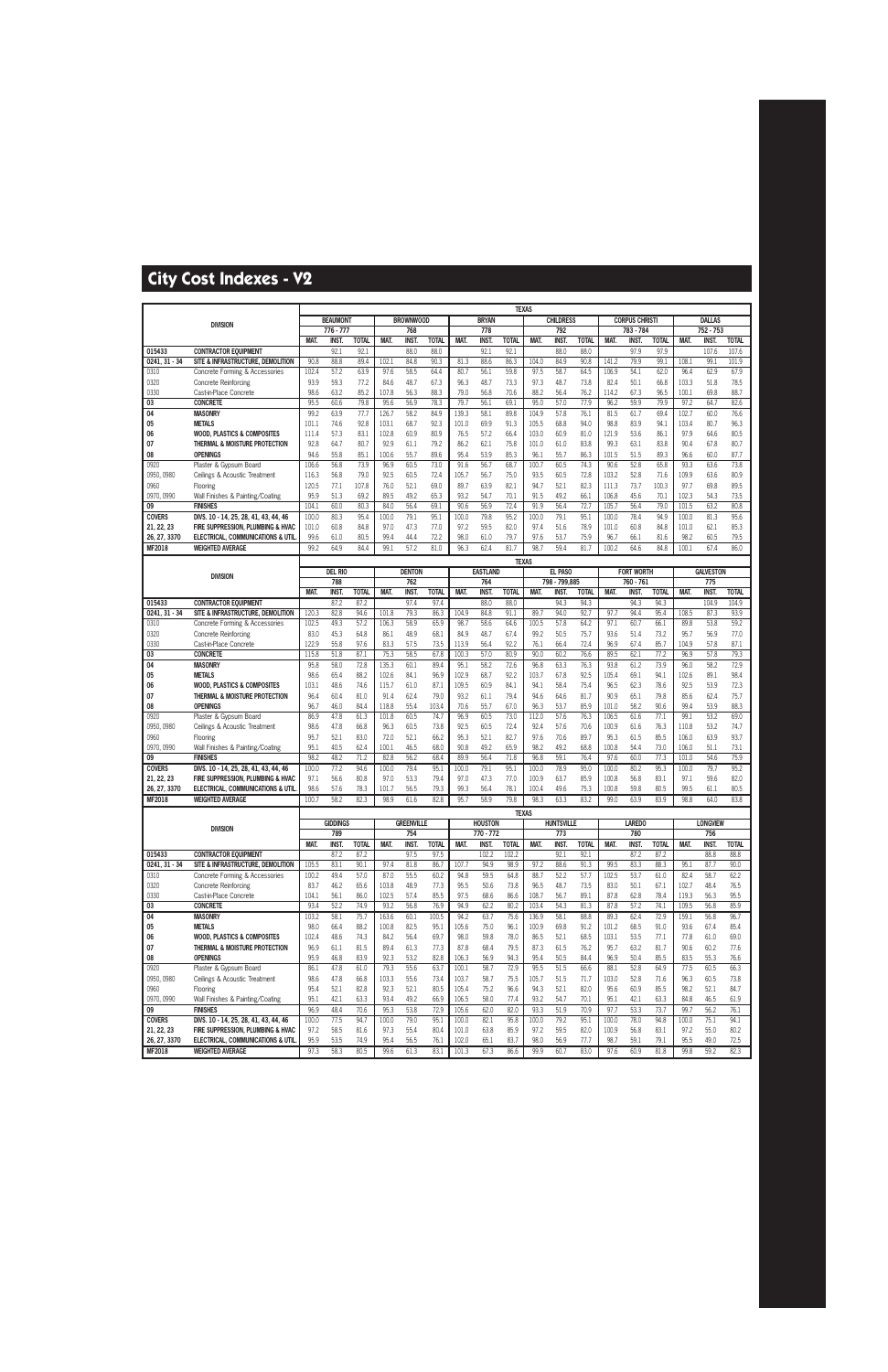|                             |                                                                            |                |                 |                      |                |                     |                      |                |                     | <b>TEXAS</b>         |                |                     |                      |                |                       |                      |                |                       |                       |
|-----------------------------|----------------------------------------------------------------------------|----------------|-----------------|----------------------|----------------|---------------------|----------------------|----------------|---------------------|----------------------|----------------|---------------------|----------------------|----------------|-----------------------|----------------------|----------------|-----------------------|-----------------------|
|                             | <b>DIVISION</b>                                                            |                | <b>BEAUMONT</b> |                      |                | <b>BROWNWOOD</b>    |                      |                | <b>BRYAN</b>        |                      |                | <b>CHILDRESS</b>    |                      |                | <b>CORPUS CHRISTI</b> |                      |                | <b>DALLAS</b>         |                       |
|                             |                                                                            |                | $776 - 777$     |                      |                | 768                 |                      |                | 778                 |                      |                | 792                 |                      |                | 783 - 784             |                      |                | 752 - 753             |                       |
| 015433                      | <b>CONTRACTOR EQUIPMENT</b>                                                | MAT.           | INST.<br>92.1   | <b>TOTAL</b><br>92.1 | MAT.           | <b>INST</b><br>88.0 | <b>TOTAL</b><br>88.0 | MAT.           | <b>INST</b><br>92.1 | <b>TOTAL</b><br>92.1 | MAT.           | <b>INST</b><br>88.0 | <b>TOTAL</b><br>88.0 | MAT.           | INST.<br>97.9         | <b>TOTAL</b><br>97.9 | <b>MAT.</b>    | <b>INST.</b><br>107.6 | <b>TOTAL</b><br>107.6 |
| $0241, 31 - 34$             | SITE & INFRASTRUCTURE, DEMOLITION                                          | 90.8           | 88.8            | 89.4                 | 102.1          | 84.8                | 90.3                 | 81.3           | 88.6                | 86.3                 | 104.0          | 84.9                | 90.8                 | 141.2          | 79.9                  | 99.1                 | 108.1          | 99.1                  | 101.9                 |
| 0310                        | Concrete Forming & Accessories                                             | 102.4          | 57.2            | 63.9                 | 97.6           | 58.5                | 64.4                 | 80.7           | 56.1                | 59.8                 | 97.5           | 58.7                | 64.5                 | 106.9          | 54.1                  | 62.0                 | 96.4           | 62.9                  | 67.9                  |
| 0320                        | <b>Concrete Reinforcing</b>                                                | 93.9           | 59.3            | 77.2                 | 84.6           | 48.7                | 67.3                 | 96.3           | 48.7                | 73.3                 | 97.3           | 48.7                | 73.8                 | 82.4           | 50.1                  | 66.8                 | 103.3          | 51.8                  | 78.5                  |
| 0330                        | Cast-in-Place Concrete                                                     | 98.6           | 63.2            | 85.2                 | 107.8          | 56.3                | 88.3                 | 79.0           | 56.8                | 70.6                 | 88.2           | 56.4                | 76.2                 | 114.2          | 67.3                  | 96.5                 | 100.1          | 69.8                  | 88.7                  |
| 03                          | <b>CONCRETE</b>                                                            | 95.5           | 60.6            | 79.8                 | 95.6           | 56.9                | 78.3                 | 79.7           | 56.1                | 69.1                 | 95.0           | 57.0                | 77.9                 | 96.2           | 59.9                  | 79.9                 | 97.2           | 64.7                  | 82.6                  |
| 04                          | <b>MASONRY</b>                                                             | 99.2           | 63.9            | 77.7                 | 126.7          | 58.2                | 84.9                 | 139.3          | 58.1                | 89.8                 | 104.9          | 57.8                | 76.1                 | 81.5           | 61.7                  | 69.4                 | 102.7          | 60.0                  | 76.6                  |
| 05                          | <b>METALS</b>                                                              | 101.1          | 74.6            | 92.8                 | 103.1          | 68.7                | 92.3                 | 101.0          | 69.9                | 91.3                 | 105.5          | 68.8                | 94.0                 | 98.8           | 83.9                  | 94.1                 | 103.4          | 80.7                  | 96.3                  |
| 06<br>07                    | <b>WOOD, PLASTICS &amp; COMPOSITES</b><br>THERMAL & MOISTURE PROTECTION    | 111.4<br>92.8  | 57.3<br>64.7    | 83.1<br>80.7         | 102.8<br>92.9  | 60.9<br>61.1        | 80.9<br>79.2         | 76.5<br>86.2   | 57.2<br>62.1        | 66.4<br>75.8         | 103.0<br>101.0 | 60.9<br>61.0        | 81.0<br>83.8         | 121.9<br>99.3  | 53.6<br>63.1          | 86.1<br>83.8         | 97.9<br>90.4   | 64.6<br>67.8          | 80.5<br>80.7          |
| 08                          | <b>OPENINGS</b>                                                            | 94.6           | 55.8            | 85.1                 | 100.6          | 55.7                | 89.6                 | 95.4           | 53.9                | 85.3                 | 96.1           | 55.7                | 86.3                 | 101.5          | 51.5                  | 89.3                 | 96.6           | 60.0                  | 87.7                  |
| 0920                        | Plaster & Gypsum Board                                                     | 106.6          | 56.8            | 73.9                 | 96.9           | 60.5                | 73.0                 | 91.6           | 56.7                | 68.7                 | 100.7          | 60.5                | 74.3                 | 90.6           | 52.8                  | 65.8                 | 93.3           | 63.6                  | 73.8                  |
| 0950, 0980                  | Ceilings & Acoustic Treatment                                              | 116.3          | 56.8            | 79.0                 | 92.5           | 60.5                | 72.4                 | 105.7          | 56.7                | 75.0                 | 93.5           | 60.5                | 72.8                 | 103.2          | 52.8                  | 71.6                 | 109.9          | 63.6                  | 80.9                  |
| 0960                        | Flooring                                                                   | 120.5          | 77.1            | 107.8                | 76.0           | 52.1                | 69.0                 | 89.7           | 63.9                | 82.1                 | 94.7           | 52.1                | 82.3                 | 111.3          | 73.7                  | 100.3                | 97.7           | 69.8                  | 89.5                  |
| 0970, 0990                  | Wall Finishes & Painting/Coating                                           | 95.9           | 51.3            | 69.2                 | 89.5           | 49.2                | 65.3                 | 93.2           | 54.7                | 70.1                 | 91.5           | 49.2                | 66.1                 | 106.8          | 45.6                  | 70.1                 | 102.3          | 54.3                  | 73.5                  |
| 09                          | <b>FINISHES</b>                                                            | 104.1          | 60.0            | 80.3                 | 84.0           | 56.4                | 69.1                 | 90.6           | 56.9                | 72.4                 | 91.9           | 56.4                | 72.7                 | 105.7          | 56.4                  | 79.0                 | 101.5          | 63.2                  | 80.8                  |
| <b>COVERS</b>               | DIVS. 10 - 14, 25, 28, 41, 43, 44, 46<br>FIRE SUPPRESSION. PLUMBING & HVAC | 100.0          | 80.3<br>60.8    | 95.4                 | 100.0          | 79.1                | 95.1                 | 100.0<br>97.2  | 79.8<br>59.5        | 95.2<br>82.0         | 100.0<br>97.4  | 79.1<br>51.6        | 95.1<br>78.9         | 100.0          | 78.4<br>60.8          | 94.9                 | 100.0          | 81.3<br>62.1          | 95.6                  |
| 21, 22, 23<br>26, 27, 3370  | ELECTRICAL, COMMUNICATIONS & UTIL                                          | 101.0<br>99.6  | 61.0            | 84.8<br>80.5         | 97.0<br>99.4   | 47.3<br>44.4        | 77.0<br>72.2         | 98.0           | 61.0                | 79.7                 | 97.6           | 53.7                | 75.9                 | 101.0<br>96.7  | 66.1                  | 84.8<br>81.6         | 101.0<br>98.2  | 60.5                  | 85.3<br>79.5          |
| MF2018                      | <b>WEIGHTED AVERAGE</b>                                                    | 99.2           | 64.9            | 84.4                 | 99.1           | 57.2                | 81.0                 | 96.3           | 62.4                | 81.7                 | 98.7           | 59.4                | 81.7                 | 100.2          | 64.6                  | 84.8                 | 100.1          | 67.4                  | 86.0                  |
|                             |                                                                            |                |                 |                      |                |                     |                      |                |                     | <b>TEXAS</b>         |                |                     |                      |                |                       |                      |                |                       |                       |
|                             |                                                                            |                | <b>DEL RIO</b>  |                      |                | <b>DENTON</b>       |                      |                | <b>EASTLAND</b>     |                      |                | EL PASO             |                      |                | <b>FORT WORTH</b>     |                      |                | <b>GALVESTON</b>      |                       |
|                             | <b>DIVISION</b>                                                            |                | 788             |                      |                | 762                 |                      |                | 764                 |                      |                | 798 - 799,885       |                      |                | 760 - 761             |                      |                | 775                   |                       |
|                             |                                                                            | <b>MAT</b>     | <b>INST</b>     | <b>TOTAL</b>         | <b>MAT</b>     | <b>INST</b>         | <b>TOTAL</b>         | <b>MAT</b>     | <b>INST</b>         | <b>TOTAL</b>         | <b>MAT</b>     | <b>INST</b>         | <b>TOTAL</b>         | Mat            | <b>INST</b>           | <b>TOTAL</b>         | <b>MAT</b>     | <b>INST</b>           | <b>TOTAL</b>          |
| 015433<br>$0241, 31 - 34$   | <b>CONTRACTOR EQUIPMENT</b><br>SITE & INFRASTRUCTURE, DEMOLITION           | 120.3          | 87.2<br>82.8    | 87.2<br>94.6         | 101.8          | 97.4<br>79.3        | 97.4<br>86.3         | 104.9          | 88.0<br>84.8        | 88.0<br>91.1         | 89.7           | 94.3<br>94.0        | 94.3<br>92.7         | 97.7           | 94.3<br>94.4          | 94.3<br>95.4         | 108.5          | 104.9<br>87.3         | 104.9<br>93.9         |
| 0310                        | Concrete Forming & Accessories                                             | 102.5          | 49.3            | 57.2                 | 106.3          | 58.9                | 65.9                 | 98.7           | 58.6                | 64.6                 | 100.5          | 57.8                | 64.2                 | 97.1           | 60.7                  | 66.1                 | 89.8           | 53.8                  | 59.2                  |
| 0320                        | <b>Concrete Reinforcing</b>                                                | 83.0           | 45.3            | 64.8                 | 86.1           | 48.9                | 68.1                 | 84.9           | 48.7                | 67.4                 | 99.2           | 50.5                | 75.7                 | 93.6           | 51.4                  | 73.2                 | 95.7           | 56.9                  | 77.0                  |
| 0330                        | Cast-in-Place Concrete                                                     | 122.9          | 55.8            | 97.6                 | 83.3           | 57.5                | 73.5                 | 113.9          | 56.4                | 92.2                 | 76.1           | 66.4                | 72.4                 | 96.9           | 67.4                  | 85.7                 | 104.9          | 57.8                  | 87.1                  |
| 03                          | <b>CONCRETE</b>                                                            | 115.8          | 51.8            | 87.1                 | 75.3           | 58.5                | 67.8                 | 100.3          | 57.0                | 80.9                 | 90.0           | 60.2                | 76.6                 | 89.5           | 62.1                  | 77.2                 | 96.9           | 57.8                  | 79.3                  |
| 04                          | <b>MASONRY</b>                                                             | 95.8           | 58.0<br>65.4    | 72.8<br>88.2         | 135.3          | 60.1                | 89.4                 | 95.1<br>102.9  | 58.2<br>68.7        | 72.6<br>92.2         | 96.8<br>103.7  | 63.3<br>67.8        | 76.3<br>92.5         | 93.8           | 61.2<br>69.1          | 73.9<br>94.1         | 96.0           | 58.2<br>89.1          | 72.9<br>98.4          |
| 05<br>06                    | <b>METALS</b><br><b>WOOD, PLASTICS &amp; COMPOSITES</b>                    | 98.6<br>103.1  | 48.6            | 74.6                 | 102.6<br>115.7 | 84.1<br>61.0        | 96.9<br>87.1         | 109.5          | 60.9                | 84.1                 | 94.1           | 58.4                | 75.4                 | 105.4<br>96.5  | 62.3                  | 78.6                 | 102.6<br>92.5  | 53.9                  | 72.3                  |
| 07                          | THERMAL & MOISTURE PROTECTION                                              | 96.4           | 60.4            | 81.0                 | 91.4           | 62.4                | 79.0                 | 93.2           | 61.1                | 79.4                 | 94.6           | 64.6                | 81.7                 | 90.9           | 65.1                  | 79.8                 | 85.6           | 62.4                  | 75.7                  |
| 08                          | <b>OPENINGS</b>                                                            | 96.7           | 46.0            | 84.4                 | 118.8          | 55.4                | 103.4                | 70.6           | 55.7                | 67.0                 | 96.3           | 53.7                | 85.9                 | 101.0          | 58.2                  | 90.6                 | 99.4           | 53.9                  | 88.3                  |
| 0920                        | Plaster & Gypsum Board                                                     | 86.9           | 47.8            | 61.3                 | 101.8          | 60.5                | 74.7                 | 96.9           | 60.5                | 73.0                 | 112.0          | 57.6                | 76.3                 | 106.5          | 61.6                  | 77.1                 | 99.1           | 53.2                  | 69.0                  |
| 0950, 0980                  | Ceilings & Acoustic Treatment                                              | 98.6           | 47.8            | 66.8                 | 96.3           | 60.5                | 73.8                 | 92.5           | 60.5                | 72.4                 | 92.4           | 57.6                | 70.6                 | 100.9          | 61.6                  | 76.3                 | 110.8          | 53.2                  | 74.7                  |
| 0960<br>0970, 0990          | Flooring<br>Wall Finishes & Painting/Coating                               | 95.7<br>95.1   | 52.1<br>40.5    | 83.0<br>62.4         | 72.0<br>100.1  | 52.1<br>46.5        | 66.2<br>68.0         | 95.3<br>90.8   | 52.1<br>49.2        | 82.7<br>65.9         | 97.6<br>98.2   | 70.6<br>49.2        | 89.7<br>68.8         | 95.3<br>100.8  | 61.5<br>54.4          | 85.5<br>73.0         | 106.0<br>106.0 | 63.9<br>51.1          | 93.7<br>73.1          |
| 09                          | <b>FINISHES</b>                                                            | 98.2           | 48.2            | 71.2                 | 82.8           | 56.2                | 68.4                 | 89.9           | 56.4                | 71.8                 | 96.8           | 59.1                | 76.4                 | 97.6           | 60.0                  | 77.3                 | 101.0          | 54.6                  | 75.9                  |
| <b>COVERS</b>               | DIVS. 10 - 14, 25, 28, 41, 43, 44, 46                                      | 100.0          | 77.2            | 94.6                 | 100.0          | 79.4                | 95.1                 | 100.0          | 79.1                | 95.1                 | 100.0          | 78.9                | 95.0                 | 100.0          | 80.2                  | 95.3                 | 100.0          | 79.7                  | 95.2                  |
| 21, 22, 23                  | FIRE SUPPRESSION. PLUMBING & HVAC                                          | 97.1           | 56.6            | 80.8                 | 97.0           | 53.3                | 79.4                 | 97.0           | 47.3                | 77.0                 | 100.9          | 63.7                | 85.9                 | 100.8          | 56.8                  | 83.1                 | 97.1           | 59.6                  | 82.0                  |
| 26, 27, 3370                | ELECTRICAL, COMMUNICATIONS & UTIL                                          | 98.6           | 57.6            | 78.3                 | 101.7          | 56.5                | 79.3                 | 99.3           | 56.4                | 78.1                 | 100.4          | 49.6                | 75.3                 | 100.8          | 59.8                  | 80.5                 | 99.5           | 61.1                  | 80.5                  |
| MF2018                      | <b>WEIGHTED AVERAGE</b>                                                    | 100.7          | 58.2            | 82.3                 | 98.9           | 61.6                | 82.8                 | 95.7           | 58.9                | 79.8                 | 98.3           | 63.3                | 83.2                 | 99.0           | 63.9                  | 83.9                 | 98.8           | 64.0                  | 83.8                  |
|                             |                                                                            |                | <b>GIDDINGS</b> |                      |                | <b>GREENVILLE</b>   |                      |                | <b>HOUSTON</b>      | <b>TEXAS</b>         |                | <b>HUNTSVILLE</b>   |                      |                | <b>LAREDO</b>         |                      |                | <b>LONGVIEW</b>       |                       |
|                             | <b>DIVISION</b>                                                            |                | 789             |                      |                | 754                 |                      |                | 770 - 772           |                      |                | 773                 |                      |                | 780                   |                      |                | 756                   |                       |
|                             |                                                                            | MAT.           | <b>INST.</b>    | <b>TOTAL</b>         | MAT.           | <b>INST.</b>        | <b>TOTAL</b>         | MAT.           | <b>INST.</b>        | <b>TOTAL</b>         | MAT.           | <b>INST.</b>        | <b>TOTAL</b>         | MAT.           | INST.                 | <b>TOTAL</b>         | <b>MAT.</b>    | <b>INST.</b>          | <b>TOTAL</b>          |
| 015433                      | <b>CONTRACTOR EQUIPMENT</b>                                                |                | 87.2            | 87.2                 |                | 97.5                | 97.5                 |                | 102.2               | 102.2                |                | 92.1                | 92.1                 |                | 87.2                  | 87.2                 |                | 88.8                  | 88.8                  |
| $0241, 31 - 34$<br>0310     | SITE & INFRASTRUCTURE, DEMOLITION<br>Concrete Forming & Accessories        | 105.5<br>100.2 | 83.1<br>49.4    | 90.1<br>57.0         | 97.4<br>87.0   | 81.8<br>55.5        | 86.7<br>60.2         | 107.7<br>94.8  | 94.9<br>59.5        | 98.9<br>64.8         | 97.2<br>88.7   | 88.6<br>52.2        | 91.3<br>57.7         | 99.5<br>102.5  | 83.3<br>53.7          | 88.3<br>61.0         | 95.1<br>82.4   | 87.7<br>58.7          | 90.0<br>62.2          |
| 0320                        | <b>Concrete Reinforcing</b>                                                | 83.7           | 46.2            | 65.6                 | 103.8          | 48.9                | 77.3                 | 95.5           | 50.6                | 73.8                 | 96.5           | 48.7                | 73.5                 | 83.0           | 50.1                  | 67.1                 | 102.7          | 48.4                  | 76.5                  |
| 0330                        | Cast-in-Place Concrete                                                     | 104.1          | 56.1            | 86.0                 | 102.5          | 57.4                | 85.5                 | 97.5           | 68.6                | 86.6                 | 108.7          | 56.7                | 89.1                 | 87.8           | 62.8                  | 78.4                 | 119.3          | 56.3                  | 95.5                  |
| 03                          | <b>CONCRETE</b>                                                            | 93.4           | 52.2            | 74.9                 | 93.2           | 56.8                | 76.9                 | 94.9           | 62.2                | 80.2                 | 103.4          | 54.3                | 81.3                 | 87.8           | 57.2                  | 74.1                 | 109.5          | 56.8                  | 85.9                  |
| 04                          | <b>MASONRY</b>                                                             | 103.2          | 58.1            | 75.7                 | 163.6          | 60.1                | 100.5                | 94.2           | 63.7                | 75.6                 | 136.9          | 58.1                | 88.8                 | 89.3           | 62.4                  | 72.9                 | 159.1          | 56.8                  | 96.7                  |
| 05                          | <b>METALS</b>                                                              | 98.0           | 66.4            | 88.2                 | 100.8          | 82.5                | 95.1                 | 105.6          | 75.0                | 96.1                 | 100.9          | 69.8                | 91.2                 | 101.2          | 68.5                  | 91.0                 | 93.6           | 67.4                  | 85.4                  |
| 06                          | <b>WOOD, PLASTICS &amp; COMPOSITES</b>                                     | 102.4          | 48.6            | 74.3                 | 84.2           | 56.4                | 69.7                 | 98.0           | 59.8                | 78.0                 | 86.5           | 52.1                | 68.5                 | 103.1          | 53.5                  | 77.1                 | 77.8           | 61.0                  | 69.0                  |
| 07<br>08                    | THERMAL & MOISTURE PROTECTION<br><b>OPENINGS</b>                           | 96.9<br>95.9   | 61.1<br>46.8    | 81.5<br>83.9         | 89.4<br>92.3   | 61.3<br>53.2        | 77.3<br>82.8         | 87.8<br>106.3  | 68.4<br>56.9        | 79.5<br>94.3         | 87.3<br>95.4   | 61.5<br>50.5        | 76.2<br>84.4         | 95.7<br>96.9   | 63.2<br>50.4          | 81.7<br>85.5         | 90.6<br>83.5   | 60.2<br>55.3          | 77.6<br>76.6          |
| 0920                        | Plaster & Gypsum Board                                                     | 86.1           | 47.8            | 61.0                 | 79.3           | 55.6                | 63.7                 | 100.1          | 58.7                | 72.9                 | 95.5           | 51.5                | 66.6                 | 88.1           | 52.8                  | 64.9                 | 77.5           | 60.5                  | 66.3                  |
| 0950, 0980                  | Ceilings & Acoustic Treatment                                              | 98.6           | 47.8            | 66.8                 | 103.3          | 55.6                | 73.4                 | 103.7          | 58.7                | 75.5                 | 105.7          | 51.5                | 71.7                 | 103.0          | 52.8                  | 71.6                 | 96.3           | 60.5                  | 73.8                  |
| 0960                        | Flooring                                                                   | 95.4           | 52.1            | 82.8                 | 92.3           | 52.1                | 80.5                 | 105.4          | 75.2                | 96.6                 | 94.3           | 52.1                | 82.0                 | 95.6           | 60.9                  | 85.5                 | 98.2           | 52.1                  | 84.7                  |
| 0970, 0990                  | Wall Finishes & Painting/Coating                                           | 95.1           | 42.1            | 63.3                 | 93.4           | 49.2                | 66.9                 | 106.5          | 58.0                | 77.4                 | 93.2           | 54.7                | 70.1                 | 95.1           | 42.1                  | 63.3                 | 84.8           | 46.5                  | 61.9                  |
| 09                          | <b>FINISHES</b>                                                            | 96.9           | 48.4            | 70.6                 | 95.3           | 53.8                | 72.9                 | 105.6          | 62.0                | 82.0                 | 93.3           | 51.9                | 70.9                 | 97.7           | 53.3                  | 73.7                 | 99.7           | 56.2                  | 76.1                  |
| <b>COVERS</b><br>21, 22, 23 | DIVS. 10 - 14, 25, 28, 41, 43, 44, 46<br>FIRE SUPPRESSION, PLUMBING & HVAC | 100.0<br>97.2  | 77.5<br>58.5    | 94.7<br>81.6         | 100.0<br>97.3  | 79.0<br>55.4        | 95.1<br>80.4         | 100.0<br>101.0 | 82.1<br>63.8        | 95.8<br>85.9         | 100.0<br>97.2  | 79.2<br>59.5        | 95.1<br>82.0         | 100.0<br>100.9 | 78.0<br>56.8          | 94.8<br>83.1         | 100.0<br>97.2  | 75.1<br>55.0          | 94.1<br>80.2          |
| 26, 27, 3370                | ELECTRICAL, COMMUNICATIONS & UTIL                                          | 95.9           | 53.5            | 74.9                 | 95.4           | 56.5                | 76.1                 | 102.0          | 65.1                | 83.7                 | 98.0           | 56.9                | 77.7                 | 98.7           | 59.1                  | 79.1                 | 95.5           | 49.0                  | 72.5                  |
| <b>MF2018</b>               | <b>WEIGHTED AVERAGE</b>                                                    | 97.3           | 58.3            | 80.5                 | 99.6           | 61.3                | 83.1                 | 101.3          | 67.3                | 86.6                 | 99.9           | 60.7                | 83.0                 | 97.6           | 60.9                  | 81.8                 | 99.8           | 59.2                  | 82.3                  |
|                             |                                                                            |                |                 |                      |                |                     |                      |                |                     |                      |                |                     |                      |                |                       |                      |                |                       |                       |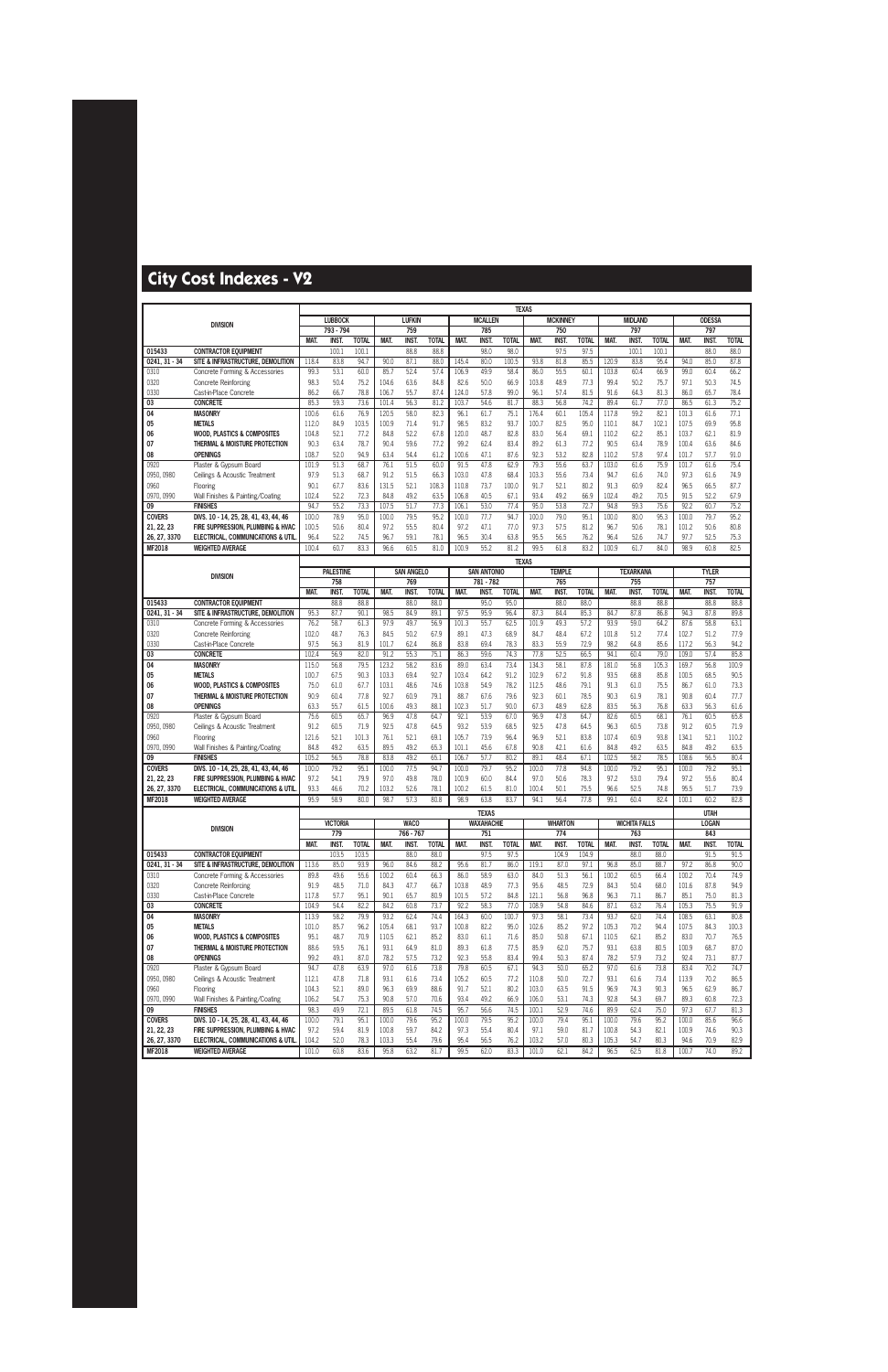|                             |                                                                            |                |                  |                       |                |                     |                      |                |                                   | <b>TEXAS</b>         |                |                     |                      |                |                      |                       |                |                             |                      |
|-----------------------------|----------------------------------------------------------------------------|----------------|------------------|-----------------------|----------------|---------------------|----------------------|----------------|-----------------------------------|----------------------|----------------|---------------------|----------------------|----------------|----------------------|-----------------------|----------------|-----------------------------|----------------------|
|                             | <b>DIVISION</b>                                                            |                | <b>LUBBOCK</b>   |                       |                | <b>LUFKIN</b>       |                      |                | <b>MCALLEN</b>                    |                      |                | <b>MCKINNEY</b>     |                      |                | <b>MIDLAND</b>       |                       |                | <b>ODESSA</b>               |                      |
|                             |                                                                            |                | 793 - 794        |                       |                | 759                 |                      |                | 785                               |                      |                | 750                 |                      |                | 797                  |                       |                | 797                         |                      |
| 015433                      | <b>CONTRACTOR EQUIPMENT</b>                                                | MAT.           | INST.<br>100.1   | <b>TOTAL</b><br>100.1 | MAT.           | <b>INST</b><br>88.8 | <b>TOTAL</b><br>88.8 | MAT.           | <b>INST</b><br>98.0               | <b>TOTAL</b><br>98.0 | MAT.           | <b>INST</b><br>97.5 | <b>TOTAL</b><br>97.5 | MAT.           | <b>INST</b><br>100.1 | <b>TOTAL</b><br>100.1 | MAT.           | <b>INST.</b><br>88.0        | <b>TOTAL</b><br>88.0 |
| $0241, 31 - 34$             | SITE & INFRASTRUCTURE, DEMOLITION                                          | 118.4          | 83.8             | 94.7                  | 90.0           | 87.1                | 88.0                 | 145.4          | 80.0                              | 100.5                | 93.8           | 81.8                | 85.5                 | 120.9          | 83.8                 | 95.4                  | 94.0           | 85.0                        | 87.8                 |
| 0310                        | Concrete Forming & Accessories                                             | 99.3           | 53.1             | 60.0                  | 85.7           | 52.4                | 57.4                 | 106.9          | 49.9                              | 58.4                 | 86.0           | 55.5                | 60.1                 | 103.8          | 60.4                 | 66.9                  | 99.0           | 60.4                        | 66.2                 |
| 0320                        | <b>Concrete Reinforcing</b>                                                | 98.3           | 50.4             | 75.2                  | 104.6          | 63.6                | 84.8                 | 82.6           | 50.0                              | 66.9                 | 103.8          | 48.9                | 77.3                 | 99.4           | 50.2                 | 75.7                  | 97.1           | 50.3                        | 74.5                 |
| 0330                        | Cast-in-Place Concrete                                                     | 86.2           | 66.7             | 78.8                  | 106.7          | 55.7                | 87.4                 | 124.0          | 57.8                              | 99.0                 | 96.1           | 57.4                | 81.5                 | 91.6           | 64.3                 | 81.3                  | 86.0           | 65.7                        | 78.4                 |
| 03                          | <b>CONCRETE</b>                                                            | 85.3           | 59.3             | 73.6                  | 101.4          | 56.3                | 81.2                 | 103.7          | 54.6                              | 81.7                 | 88.3           | 56.8                | 74.2                 | 89.4           | 61.7                 | 77.0                  | 86.5           | 61.3                        | 75.2                 |
| 04                          | <b>MASONRY</b>                                                             | 100.6          | 61.6             | 76.9                  | 120.5          | 58.0                | 82.3                 | 96.1           | 61.7                              | 75.1                 | 176.4          | 60.1                | 105.4                | 117.8          | 59.2                 | 82.1                  | 101.3          | 61.6                        | 77.1                 |
| 05                          | <b>METALS</b>                                                              | 112.0          | 84.9             | 103.5                 | 100.9          | 71.4                | 91.7                 | 98.5           | 83.2                              | 93.7                 | 100.7          | 82.5                | 95.0                 | 110.1          | 84.7                 | 102.1                 | 107.5          | 69.9                        | 95.8                 |
| 06<br>07                    | <b>WOOD, PLASTICS &amp; COMPOSITES</b><br>THERMAL & MOISTURE PROTECTION    | 104.8<br>90.3  | 52.1<br>63.4     | 77.2<br>78.7          | 84.8<br>90.4   | 52.2<br>59.6        | 67.8<br>77.2         | 120.0<br>99.2  | 48.7<br>62.4                      | 82.8<br>83.4         | 83.0<br>89.2   | 56.4<br>61.3        | 69.1<br>77.2         | 110.2<br>90.5  | 62.2<br>63.4         | 85.1<br>78.9          | 103.7<br>100.4 | 62.1<br>63.6                | 81.9<br>84.6         |
| 08                          | <b>OPENINGS</b>                                                            | 108.7          | 52.0             | 94.9                  | 63.4           | 54.4                | 61.2                 | 100.6          | 47.1                              | 87.6                 | 92.3           | 53.2                | 82.8                 | 110.2          | 57.8                 | 97.4                  | 101.7          | 57.7                        | 91.0                 |
| 0920                        | Plaster & Gypsum Board                                                     | 101.9          | 51.3             | 68.7                  | 76.1           | 51.5                | 60.0                 | 91.5           | 47.8                              | 62.9                 | 79.3           | 55.6                | 63.7                 | 103.0          | 61.6                 | 75.9                  | 101.7          | 61.6                        | 75.4                 |
| 0950, 0980                  | Ceilings & Acoustic Treatment                                              | 97.9           | 51.3             | 68.7                  | 91.2           | 51.5                | 66.3                 | 103.0          | 47.8                              | 68.4                 | 103.3          | 55.6                | 73.4                 | 94.7           | 61.6                 | 74.0                  | 97.3           | 61.6                        | 74.9                 |
| 0960                        | Flooring                                                                   | 90.1           | 67.7             | 83.6                  | 131.5          | 52.1                | 108.3                | 110.8          | 73.7                              | 100.0                | 91.7           | 52.1                | 80.2                 | 91.3           | 60.9                 | 82.4                  | 96.5           | 66.5                        | 87.7                 |
| 0970, 0990                  | Wall Finishes & Painting/Coating                                           | 102.4          | 52.2             | 72.3                  | 84.8           | 49.2                | 63.5                 | 106.8          | 40.5                              | 67.1                 | 93.4           | 49.2                | 66.9                 | 102.4          | 49.2                 | 70.5                  | 91.5           | 52.2                        | 67.9                 |
| 09                          | <b>FINISHES</b>                                                            | 94.7           | 55.2             | 73.3                  | 107.5          | 51.7                | 77.3                 | 106.1          | 53.0                              | 77.4                 | 95.0           | 53.8                | 72.7                 | 94.8           | 59.3                 | 75.6                  | 92.2           | 60.7                        | 75.2                 |
| <b>COVERS</b><br>21, 22, 23 | DIVS. 10 - 14, 25, 28, 41, 43, 44, 46<br>FIRE SUPPRESSION, PLUMBING & HVAC | 100.0<br>100.5 | 78.9<br>50.6     | 95.0<br>80.4          | 100.0<br>97.2  | 79.5<br>55.5        | 95.2<br>80.4         | 100.0<br>97.2  | 77.7<br>47.1                      | 94.7<br>77.0         | 100.0<br>97.3  | 79.0<br>57.5        | 95.1<br>81.2         | 100.0<br>96.7  | 80.0<br>50.6         | 95.3<br>78.1          | 100.0<br>101.2 | 79.7<br>50.6                | 95.2<br>80.8         |
| 26, 27, 3370                | ELECTRICAL, COMMUNICATIONS & UTIL                                          | 96.4           | 52.2             | 74.5                  | 96.7           | 59.1                | 78.1                 | 96.5           | 30.4                              | 63.8                 | 95.5           | 56.5                | 76.2                 | 96.4           | 52.6                 | 74.7                  | 97.7           | 52.5                        | 75.3                 |
| MF2018                      | <b>WEIGHTED AVERAGE</b>                                                    | 100.4          | 60.7             | 83.3                  | 96.6           | 60.5                | 81.0                 | 100.9          | 55.2                              | 81.2                 | 99.5           | 61.8                | 83.2                 | 100.9          | 61.7                 | 84.0                  | 98.9           | 60.8                        | 82.5                 |
|                             |                                                                            |                |                  |                       |                |                     |                      |                |                                   | <b>TEXAS</b>         |                |                     |                      |                |                      |                       |                |                             |                      |
|                             |                                                                            |                | <b>PALESTINE</b> |                       |                | <b>SAN ANGELO</b>   |                      |                | <b>SAN ANTONIO</b>                |                      |                | <b>TEMPLE</b>       |                      |                | <b>TEXARKANA</b>     |                       |                | <b>TYLER</b>                |                      |
|                             | <b>DIVISION</b>                                                            |                | 758              |                       |                | 769                 |                      |                | 781 - 782                         |                      |                | 765                 |                      |                | 755                  |                       |                | 757                         |                      |
|                             |                                                                            | <b>MAT</b>     | <b>INST</b>      | <b>TOTAL</b>          | MAT.           | <b>INST</b>         | <b>TOTAL</b>         | MAT.           | <b>INST</b>                       | TOTAL                | MAT.           | <b>INST</b>         | <b>TOTAL</b>         | <b>MAT</b>     | <b>INST</b>          | <b>TOTAL</b>          | MAT.           | <b>INST</b>                 | <b>TOTAL</b>         |
| 015433<br>$0241, 31 - 34$   | <b>CONTRACTOR EQUIPMENT</b><br>SITE & INFRASTRUCTURE, DEMOLITION           | 95.3           | 88.8<br>87.7     | 88.8<br>90.1          | 98.5           | 88.0<br>84.9        | 88.0<br>89.1         | 97.5           | 95.0<br>95.9                      | 95.0<br>96.4         | 87.3           | 88.0<br>84.4        | 88.0<br>85.3         | 84.7           | 88.8<br>87.8         | 88.8<br>86.8          | 94.3           | 88.8<br>87.8                | 88.8<br>89.8         |
| 0310                        | Concrete Forming & Accessories                                             | 76.2           | 58.7             | 61.3                  | 97.9           | 49.7                | 56.9                 | 101.3          | 55.7                              | 62.5                 | 101.9          | 49.3                | 57.2                 | 93.9           | 59.0                 | 64.2                  | 87.6           | 58.8                        | 63.1                 |
| 0320                        | <b>Concrete Reinforcing</b>                                                | 102.0          | 48.7             | 76.3                  | 84.5           | 50.2                | 67.9                 | 89.1           | 47.3                              | 68.9                 | 84.7           | 48.4                | 67.2                 | 101.8          | 51.2                 | 77.4                  | 102.7          | 51.2                        | 77.9                 |
| 0330                        | Cast-in-Place Concrete                                                     | 97.5           | 56.3             | 81.9                  | 101.7          | 62.4                | 86.8                 | 83.8           | 69.4                              | 78.3                 | 83.3           | 55.9                | 72.9                 | 98.2           | 64.8                 | 85.6                  | 117.2          | 56.3                        | 94.2                 |
| 03                          | <b>CONCRETE</b>                                                            | 102.4          | 56.9             | 82.0                  | 91.2           | 55.3                | 75.1                 | 86.3           | 59.6                              | 74.3                 | 77.8           | 52.5                | 66.5                 | 94.1           | 60.4                 | 79.0                  | 109.0          | 57.4                        | 85.8                 |
| 04<br>05                    | <b>MASONRY</b><br><b>METALS</b>                                            | 115.0<br>100.7 | 56.8<br>67.5     | 79.5<br>90.3          | 123.2<br>103.3 | 58.2<br>69.4        | 83.6<br>92.7         | 89.0<br>103.4  | 63.4<br>64.2                      | 73.4<br>91.2         | 134.3<br>102.9 | 58.1<br>67.2        | 87.8<br>91.8         | 181.0<br>93.5  | 56.8<br>68.8         | 105.3<br>85.8         | 169.7<br>100.5 | 56.8<br>68.5                | 100.9<br>90.5        |
| 06                          | <b>WOOD, PLASTICS &amp; COMPOSITES</b>                                     | 75.0           | 61.0             | 67.7                  | 103.1          | 48.6                | 74.6                 | 103.8          | 54.9                              | 78.2                 | 112.5          | 48.6                | 79.1                 | 91.3           | 61.0                 | 75.5                  | 86.7           | 61.0                        | 73.3                 |
| 07                          | THERMAL & MOISTURE PROTECTION                                              | 90.9           | 60.4             | 77.8                  | 92.7           | 60.9                | 79.1                 | 88.7           | 67.6                              | 79.6                 | 92.3           | 60.1                | 78.5                 | 90.3           | 61.9                 | 78.1                  | 90.8           | 60.4                        | 77.7                 |
| 08                          | <b>OPENINGS</b>                                                            | 63.3           | 55.7             | 61.5                  | 100.6          | 49.3                | 88.1                 | 102.3          | 51.7                              | 90.0                 | 67.3           | 48.9                | 62.8                 | 83.5           | 56.3                 | 76.8                  | 63.3           | 56.3                        | 61.6                 |
| 0920                        | Plaster & Gypsum Board                                                     | 75.6           | 60.5             | 65.7                  | 96.9           | 47.8                | 64.7                 | 92.1           | 53.9                              | 67.0                 | 96.9           | 47.8                | 64.7                 | 82.6           | 60.5                 | 68.1                  | 76.1           | 60.5                        | 65.8                 |
| 0950, 0980                  | Ceilings & Acoustic Treatment                                              | 91.2           | 60.5             | 71.9                  | 92.5           | 47.8                | 64.5                 | 93.2           | 53.9                              | 68.5                 | 92.5           | 47.8                | 64.5                 | 96.3           | 60.5                 | 73.8                  | 91.2           | 60.5                        | 71.9                 |
| 0960<br>0970, 0990          | Flooring<br>Wall Finishes & Painting/Coating                               | 121.6<br>84.8  | 52.1<br>49.2     | 101.3<br>63.5         | 76.1<br>89.5   | 52.1<br>49.2        | 69.1<br>65.3         | 105.7<br>101.1 | 73.9<br>45.6                      | 96.4<br>67.8         | 96.9<br>90.8   | 52.1<br>42.1        | 83.8<br>61.6         | 107.4<br>84.8  | 60.9<br>49.2         | 93.8<br>63.5          | 134.1<br>84.8  | 52.1<br>49.2                | 110.2<br>63.5        |
| 09                          | <b>FINISHES</b>                                                            | 105.2          | 56.5             | 78.8                  | 83.8           | 49.2                | 65.1                 | 106.7          | 57.7                              | 80.2                 | 89.1           | 48.4                | 67.1                 | 102.5          | 58.2                 | 78.5                  | 108.6          | 56.5                        | 80.4                 |
| <b>COVERS</b>               | DIVS. 10 - 14, 25, 28, 41, 43, 44, 46                                      | 100.0          | 79.2             | 95.1                  | 100.0          | 77.5                | 94.7                 | 100.0          | 79.7                              | 95.2                 | 100.0          | 77.8                | 94.8                 | 100.0          | 79.2                 | 95.1                  | 100.0          | 79.2                        | 95.1                 |
| 21, 22, 23                  | FIRE SUPPRESSION. PLUMBING & HVAC                                          | 97.2           | 54.1             | 79.9                  | 97.0           | 49.8                | 78.0                 | 100.9          | 60.0                              | 84.4                 | 97.0           | 50.6                | 78.3                 | 97.2           | 53.0                 | 79.4                  | 97.2           | 55.6                        | 80.4                 |
| 26, 27, 3370                | ELECTRICAL, COMMUNICATIONS & UTIL                                          | 93.3           | 46.6             | 70.2                  | 103.2          | 52.6                | 78.1                 | 100.2          | 61.5                              | 81.0                 | 100.4          | 50.1                | 75.5                 | 96.6           | 52.5                 | 74.8                  | 95.5           | 51.7                        | 73.9                 |
| MF2018                      | <b>WEIGHTED AVERAGE</b>                                                    | 95.9           | 58.9             | 80.0                  | 98.7           | 57.3                | 80.8                 | 98.9           | 63.8                              | 83.7                 | 94.1           | 56.4                | 77.8                 | 99.1           | 60.4                 | 82.4                  | 100.1          | 60.2                        | 82.8                 |
|                             |                                                                            |                | <b>VICTORIA</b>  |                       |                | <b>WACO</b>         |                      |                | <b>TEXAS</b><br><b>WAXAHACHIE</b> |                      |                | <b>WHARTON</b>      |                      |                | <b>WICHITA FALLS</b> |                       |                | <b>UTAH</b><br><b>LOGAN</b> |                      |
|                             | <b>DIVISION</b>                                                            |                | 779              |                       |                | 766 - 767           |                      |                | 751                               |                      |                | 774                 |                      |                | 763                  |                       |                | 843                         |                      |
|                             |                                                                            | MAT.           | <b>INST.</b>     | <b>TOTAL</b>          | MAT.           | INST.               | <b>TOTAL</b>         | MAT.           | INST.                             | <b>TOTAL</b>         | MAT.           | INST.               | <b>TOTAL</b>         | MAT.           | <b>INST.</b>         | <b>TOTAL</b>          | <b>MAT.</b>    | <b>INST.</b>                | <b>TOTAL</b>         |
| 015433                      | <b>CONTRACTOR EQUIPMENT</b>                                                |                | 103.5            | 103.5                 |                | 88.0                | 88.0                 |                | 97.5                              | 97.5                 |                | 104.9               | 104.9                |                | 88.0                 | 88.0                  |                | 91.5                        | 91.5                 |
| $0241.31 - 34$              | SITE & INFRASTRUCTURE, DEMOLITION                                          | 113.6          | 85.0             | 93.9                  | 96.0           | 84.6                | 88.2                 | 95.6           | 81.7                              | 86.0                 | 119.1          | 87.0                | 97.1                 | 96.8           | 85.0                 | 88.7                  | 97.2           | 86.8                        | 90.0                 |
| 0310<br>0320                | Concrete Forming & Accessories                                             | 89.8<br>91.9   | 49.6             | 55.6<br>71.0          | 100.2<br>84.3  | 60.4<br>47.7        | 66.3<br>66.7         | 86.0<br>103.8  | 58.9<br>48.9                      | 63.0<br>77.3         | 84.0<br>95.6   | 51.3                | 56.1                 | 100.2          | 60.5                 | 66.4<br>68.0          | 100.2<br>101.6 | 70.4                        | 74.9<br>94.9         |
| 0330                        | <b>Concrete Reinforcing</b><br>Cast-in-Place Concrete                      | 117.8          | 48.5<br>57.7     | 95.1                  | 90.1           | 65.7                | 80.9                 | 101.5          | 57.2                              | 84.8                 | 121.1          | 48.5<br>56.8        | 72.9<br>96.8         | 84.3<br>96.3   | 50.4<br>71.1         | 86.7                  | 85.1           | 87.8<br>75.0                | 81.3                 |
| 03                          | <b>CONCRETE</b>                                                            | 104.9          | 54.4             | 82.2                  | 84.2           | 60.8                | 73.7                 | 92.2           | 58.3                              | 77.0                 | 108.9          | 54.8                | 84.6                 | 87.1           | 63.2                 | 76.4                  | 105.3          | 75.5                        | 91.9                 |
| 04                          | <b>MASONRY</b>                                                             | 113.9          | 58.2             | 79.9                  | 93.2           | 62.4                | 74.4                 | 164.3          | 60.0                              | 100.7                | 97.3           | 58.1                | 73.4                 | 93.7           | 62.0                 | 74.4                  | 108.5          | 63.1                        | 80.8                 |
| 05                          | <b>METALS</b>                                                              | 101.0          | 85.7             | 96.2                  | 105.4          | 68.1                | 93.7                 | 100.8          | 82.2                              | 95.0                 | 102.6          | 85.2                | 97.2                 | 105.3          | 70.2                 | 94.4                  | 107.5          | 84.3                        | 100.3                |
| 06                          | <b>WOOD, PLASTICS &amp; COMPOSITES</b>                                     | 95.1           | 48.7             | 70.9                  | 110.5          | 62.1                | 85.2                 | 83.0           | 61.1                              | 71.6                 | 85.0           | 50.8                | 67.1                 | 110.5          | 62.1                 | 85.2                  | 83.0           | 70.7                        | 76.5                 |
| 07<br>08                    | THERMAL & MOISTURE PROTECTION<br><b>OPENINGS</b>                           | 88.6<br>99.2   | 59.5<br>49.1     | 76.1<br>87.0          | 93.1<br>78.2   | 64.9<br>57.5        | 81.0<br>73.2         | 89.3<br>92.3   | 61.8<br>55.8                      | 77.5<br>83.4         | 85.9<br>99.4   | 62.0<br>50.3        | 75.7<br>87.4         | 93.1<br>78.2   | 63.8<br>57.9         | 80.5<br>73.2          | 100.9<br>92.4  | 68.7<br>73.1                | 87.0<br>87.7         |
| 0920                        | Plaster & Gypsum Board                                                     | 94.7           | 47.8             | 63.9                  | 97.0           | 61.6                | 73.8                 | 79.8           | 60.5                              | 67.1                 | 94.3           | 50.0                | 65.2                 | 97.0           | 61.6                 | 73.8                  | 83.4           | 70.2                        | 74.7                 |
| 0950, 0980                  | Ceilings & Acoustic Treatment                                              | 112.1          | 47.8             | 71.8                  | 93.1           | 61.6                | 73.4                 | 105.2          | 60.5                              | 77.2                 | 110.8          | 50.0                | 72.7                 | 93.1           | 61.6                 | 73.4                  | 113.9          | 70.2                        | 86.5                 |
| 0960                        | Flooring                                                                   | 104.3          | 52.1             | 89.0                  | 96.3           | 69.9                | 88.6                 | 91.7           | 52.1                              | 80.2                 | 103.0          | 63.5                | 91.5                 | 96.9           | 74.3                 | 90.3                  | 96.5           | 62.9                        | 86.7                 |
| 0970, 0990                  | Wall Finishes & Painting/Coating                                           | 106.2          | 54.7             | 75.3                  | 90.8           | 57.0                | 70.6                 | 93.4           | 49.2                              | 66.9                 | 106.0          | 53.1                | 74.3                 | 92.8           | 54.3                 | 69.7                  | 89.3           | 60.8                        | 72.3                 |
| 09                          | <b>FINISHES</b>                                                            | 98.3           | 49.9             | 72.1                  | 89.5           | 61.8                | 74.5                 | 95.7           | 56.6                              | 74.5                 | 100.1          | 52.9                | 74.6                 | 89.9           | 62.4                 | 75.0                  | 97.3           | 67.7                        | 81.3                 |
| <b>COVERS</b><br>21, 22, 23 | DIVS. 10 - 14, 25, 28, 41, 43, 44, 46<br>FIRE SUPPRESSION, PLUMBING & HVAC | 100.0<br>97.2  | 79.1<br>59.4     | 95.1<br>81.9          | 100.0<br>100.8 | 79.6<br>59.7        | 95.2<br>84.2         | 100.0<br>97.3  | 79.5<br>55.4                      | 95.2<br>80.4         | 100.0<br>97.1  | 79.4<br>59.0        | 95.1<br>81.7         | 100.0<br>100.8 | 79.6<br>54.3         | 95.2<br>82.1          | 100.0<br>100.9 | 85.6<br>74.6                | 96.6<br>90.3         |
| 26, 27, 3370                | ELECTRICAL, COMMUNICATIONS & UTIL                                          | 104.2          | 52.0             | 78.3                  | 103.3          | 55.4                | 79.6                 | 95.4           | 56.5                              | 76.2                 | 103.2          | 57.0                | 80.3                 | 105.3          | 54.7                 | 80.3                  | 94.6           | 70.9                        | 82.9                 |
| <b>MF2018</b>               | <b>WEIGHTED AVERAGE</b>                                                    | 101.0          | 60.8             | 83.6                  | 95.8           | 63.2                | 81.7                 | 99.5           | 62.0                              | 83.3                 | 101.0          | 62.1                | 84.2                 | 96.5           | 62.5                 | 81.8                  | 100.7          | 74.0                        | 89.2                 |
|                             |                                                                            |                |                  |                       |                |                     |                      |                |                                   |                      |                |                     |                      |                |                      |                       |                |                             |                      |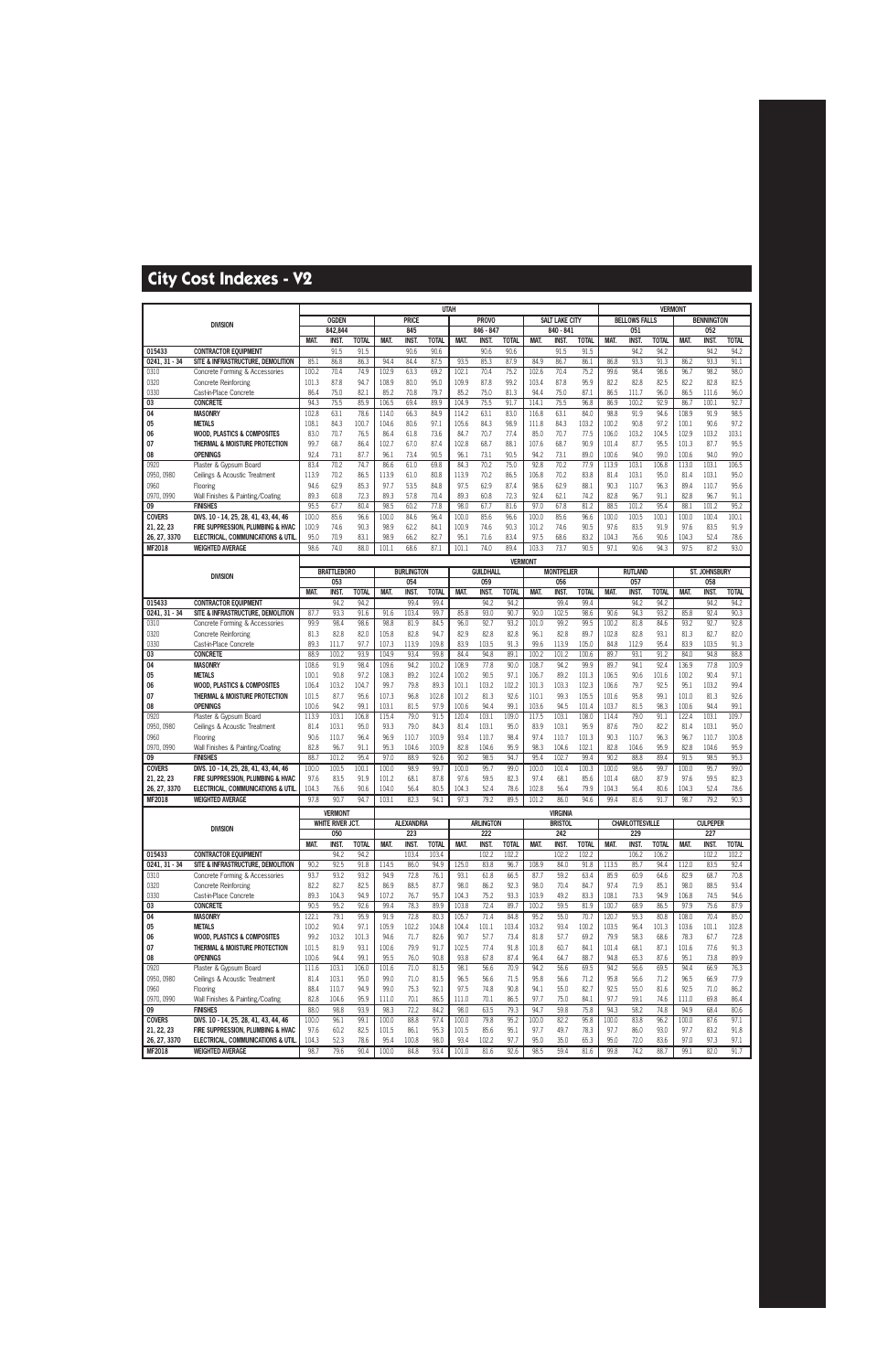|                             |                                                                            |                |                    |               |               |                   | <b>UTAH</b>   |                |                  |                |                |                       |                |                |                        | <b>VERMONT</b> |                |                   |               |
|-----------------------------|----------------------------------------------------------------------------|----------------|--------------------|---------------|---------------|-------------------|---------------|----------------|------------------|----------------|----------------|-----------------------|----------------|----------------|------------------------|----------------|----------------|-------------------|---------------|
|                             | <b>DIVISION</b>                                                            |                | <b>OGDEN</b>       |               |               | <b>PRICE</b>      |               |                | <b>PROVO</b>     |                |                | <b>SALT LAKE CITY</b> |                |                | <b>BELLOWS FALLS</b>   |                |                | <b>BENNINGTON</b> |               |
|                             |                                                                            |                | 842.844            |               |               | 845               |               |                | 846 - 847        |                |                | 840 - 841             |                |                | 051                    |                |                | 052               |               |
|                             |                                                                            | <b>MAT</b>     | INST.              | <b>TOTAL</b>  | MAT.          | <b>INST.</b>      | <b>TOTAL</b>  | MAT.           | <b>INST</b>      | <b>TOTAL</b>   | MAT.           | <b>INST.</b>          | <b>TOTAL</b>   | <b>MAT.</b>    | <b>INST</b>            | <b>TOTAL</b>   | <b>MAT.</b>    | <b>INST.</b>      | <b>TOTAL</b>  |
| 015433<br>$0241, 31 - 34$   | <b>CONTRACTOR EQUIPMENT</b><br>SITE & INFRASTRUCTURE, DEMOLITION           | 85.1           | 91.5<br>86.8       | 91.5<br>86.3  | 94.4          | 90.6<br>84.4      | 90.6<br>87.5  | 93.5           | 90.6<br>85.3     | 90.6<br>87.9   | 84.9           | 91.5<br>86.7          | 91.5<br>86.1   | 86.8           | 94.2<br>93.3           | 94.2<br>91.3   | 86.2           | 94.2<br>93.3      | 94.2<br>91.1  |
| 0310                        | Concrete Forming & Accessories                                             | 100.2          | 70.4               | 74.9          | 102.9         | 63.3              | 69.2          | 102.1          | 70.4             | 75.2           | 102.6          | 70.4                  | 75.2           | 99.6           | 98.4                   | 98.6           | 96.7           | 98.2              | 98.0          |
| 0320                        | <b>Concrete Reinforcing</b>                                                | 101.3          | 87.8               | 94.7          | 108.9         | 80.0              | 95.0          | 109.9          | 87.8             | 99.2           | 103.4          | 87.8                  | 95.9           | 82.2           | 82.8                   | 82.5           | 82.2           | 82.8              | 82.5          |
| 0330                        | Cast-in-Place Concrete                                                     | 86.4           | 75.0               | 82.1          | 85.2          | 70.8              | 79.7          | 85.2           | 75.0             | 81.3           | 94.4           | 75.0                  | 87.1           | 86.5           | 111.7                  | 96.0           | 86.5           | 111.6             | 96.0          |
| 03                          | <b>CONCRETE</b>                                                            | 94.3           | 75.5               | 85.9          | 106.5         | 69.4              | 89.9          | 104.9          | 75.5             | 91.7           | 114.1          | 75.5                  | 96.8           | 86.9           | 100.2                  | 92.9           | 86.7           | 100.1             | 92.7          |
| 04                          | <b>MASONRY</b>                                                             | 102.8          | 63.1               | 78.6          | 114.0         | 66.3              | 84.9          | 114.2          | 63.1             | 83.0           | 116.8          | 63.1                  | 84.0           | 98.8           | 91.9                   | 94.6           | 108.9          | 91.9              | 98.5          |
| 05                          | <b>METALS</b>                                                              | 108.1          | 84.3               | 100.7         | 104.6         | 80.6              | 97.1          | 105.6          | 84.3             | 98.9           | 111.8          | 84.3                  | 103.2          | 100.2          | 90.8                   | 97.2           | 100.1          | 90.6              | 97.2          |
| 06                          | <b>WOOD, PLASTICS &amp; COMPOSITES</b>                                     | 83.0           | 70.7<br>68.7       | 76.5          | 86.4          | 61.8              | 73.6<br>87.4  | 84.7<br>102.8  | 70.7<br>68.7     | 77.4<br>88.1   | 85.0<br>107.6  | 70.7<br>68.7          | 77.5<br>90.9   | 106.0          | 103.2<br>87.7          | 104.5<br>95.5  | 102.9<br>101.3 | 103.2<br>87.7     | 103.1<br>95.5 |
| 07<br>08                    | THERMAL & MOISTURE PROTECTION<br><b>OPENINGS</b>                           | 99.7<br>92.4   | 73.1               | 86.4<br>87.7  | 102.7<br>96.1 | 67.0<br>73.4      | 90.5          | 96.1           | 73.1             | 90.5           | 94.2           | 73.1                  | 89.0           | 101.4<br>100.6 | 94.0                   | 99.0           | 100.6          | 94.0              | 99.0          |
| 0920                        | Plaster & Gypsum Board                                                     | 83.4           | 70.2               | 74.7          | 86.6          | 61.0              | 69.8          | 84.3           | 70.2             | 75.0           | 92.8           | 70.2                  | 77.9           | 113.9          | 103.1                  | 106.8          | 113.0          | 103.1             | 106.5         |
| 0950, 0980                  | Ceilings & Acoustic Treatment                                              | 113.9          | 70.2               | 86.5          | 113.9         | 61.0              | 80.8          | 113.9          | 70.2             | 86.5           | 106.8          | 70.2                  | 83.8           | 81.4           | 103.1                  | 95.0           | 81.4           | 103.1             | 95.0          |
| 0960                        | Flooring                                                                   | 94.6           | 62.9               | 85.3          | 97.7          | 53.5              | 84.8          | 97.5           | 62.9             | 87.4           | 98.6           | 62.9                  | 88.1           | 90.3           | 110.7                  | 96.3           | 89.4           | 110.7             | 95.6          |
| 0970, 0990                  | Wall Finishes & Painting/Coating                                           | 89.3           | 60.8               | 72.3          | 89.3          | 57.8              | 70.4          | 89.3           | 60.8             | 72.3           | 92.4           | 62.1                  | 74.2           | 82.8           | 96.7                   | 91.1           | 82.8           | 96.7              | 91.1          |
| 09                          | <b>FINISHES</b>                                                            | 95.5           | 67.7               | 80.4          | 98.5          | 60.2              | 77.8          | 98.0           | 67.7             | 81.6           | 97.0           | 67.8                  | 81.2           | 88.5           | 101.2                  | 95.4           | 88.1           | 101.2             | 95.2          |
| <b>COVERS</b><br>21, 22, 23 | DIVS. 10 - 14, 25, 28, 41, 43, 44, 46<br>FIRE SUPPRESSION, PLUMBING & HVAC | 100.0<br>100.9 | 85.6<br>74.6       | 96.6<br>90.3  | 100.0<br>98.9 | 84.6<br>62.2      | 96.4<br>84.1  | 100.0<br>100.9 | 85.6<br>74.6     | 96.6<br>90.3   | 100.0<br>101.2 | 85.6<br>74.6          | 96.6<br>90.5   | 100.0<br>97.6  | 100.5<br>83.5          | 100.1<br>91.9  | 100.0<br>97.6  | 100.4<br>83.5     | 100.1<br>91.9 |
| 26, 27, 3370                | <b>ELECTRICAL, COMMUNICATIONS &amp; UTIL</b>                               | 95.0           | 70.9               | 83.1          | 98.9          | 66.2              | 82.7          | 95.1           | 71.6             | 83.4           | 97.5           | 68.6                  | 83.2           | 104.3          | 76.6                   | 90.6           | 104.3          | 52.4              | 78.6          |
| MF2018                      | <b>WEIGHTED AVERAGE</b>                                                    | 98.6           | 74.0               | 88.0          | 101.1         | 68.6              | 87.1          | 101.1          | 74.0             | 89.4           | 103.3          | 73.7                  | 90.5           | 97.1           | 90.6                   | 94.3           | 97.5           | 87.2              | 93.0          |
|                             |                                                                            |                |                    |               |               |                   |               |                |                  | <b>VERMONT</b> |                |                       |                |                |                        |                |                |                   |               |
|                             |                                                                            |                | <b>BRATTLEBORO</b> |               |               | <b>BURLINGTON</b> |               |                | <b>GUILDHALL</b> |                |                | <b>MONTPELIER</b>     |                |                | <b>RUTLAND</b>         |                |                | ST. JOHNSBURY     |               |
|                             | <b>DIVISION</b>                                                            |                | 053                |               |               | 054               |               |                | 059              |                |                | 056                   |                |                | 057                    |                |                | 058               |               |
|                             |                                                                            | MAT.           | INST.              | <b>TOTAL</b>  | MAT.          | <b>INST.</b>      | <b>TOTAL</b>  | MAT.           | <b>INST</b>      | <b>TOTAL</b>   | MAT.           | <b>INST.</b>          | <b>TOTAL</b>   | <b>MAT.</b>    | <b>INST</b>            | <b>TOTAL</b>   | MAT.           | <b>INST</b>       | <b>TOTAL</b>  |
| 015433<br>$0241, 31 - 34$   | <b>CONTRACTOR EOUIPMENT</b><br>SITE & INFRASTRUCTURE, DEMOLITION           | 87.7           | 94.2<br>93.3       | 94.2<br>91.6  | 91.6          | 99.4<br>103.4     | 99.4<br>99.7  | 85.8           | 94.2<br>93.0     | 94.2<br>90.7   | 90.0           | 99.4<br>102.5         | 99.4<br>98.6   | 90.6           | 94.2<br>94.3           | 94.2<br>93.2   | 85.8           | 94.2<br>92.4      | 94.2<br>90.3  |
| 0310                        | Concrete Forming & Accessories                                             | 99.9           | 98.4               | 98.6          | 98.8          | 81.9              | 84.5          | 96.0           | 92.7             | 93.2           | 101.0          | 99.2                  | 99.5           | 100.2          | 81.8                   | 84.6           | 93.2           | 92.7              | 92.8          |
| 0320                        | <b>Concrete Reinforcing</b>                                                | 81.3           | 82.8               | 82.0          | 105.8         | 82.8              | 94.7          | 82.9           | 82.8             | 82.8           | 96.1           | 82.8                  | 89.7           | 102.8          | 82.8                   | 93.1           | 81.3           | 82.7              | 82.0          |
| 0330                        | Cast-in-Place Concrete                                                     | 89.3           | 111.7              | 97.7          | 107.3         | 113.9             | 109.8         | 83.9           | 103.5            | 91.3           | 99.6           | 113.9                 | 105.0          | 84.8           | 112.9                  | 95.4           | 83.9           | 103.5             | 91.3          |
| 03                          | <b>CONCRETE</b>                                                            | 88.9           | 100.2              | 93.9          | 104.9         | 93.4              | 99.8          | 84.4           | 94.8             | 89.1           | 100.2          | 101.2                 | 100.6          | 89.7           | 93.1                   | 91.2           | 84.0           | 94.8              | 88.8          |
| 04                          | <b>MASONRY</b>                                                             | 108.6          | 91.9               | 98.4          | 109.6         | 94.2              | 100.2         | 108.9          | 77.8             | 90.0           | 108.7          | 94.2                  | 99.9           | 89.7           | 94.1                   | 92.4           | 136.9          | 77.8              | 100.9         |
| 05<br>06                    | <b>METALS</b><br><b>WOOD, PLASTICS &amp; COMPOSITES</b>                    | 100.1<br>106.4 | 90.8<br>103.2      | 97.2<br>104.7 | 108.3<br>99.7 | 89.2<br>79.8      | 102.4<br>89.3 | 100.2<br>101.1 | 90.5<br>103.2    | 97.1<br>102.2  | 106.7<br>101.3 | 89.2<br>103.3         | 101.3<br>102.3 | 106.5<br>106.6 | 90.6<br>79.7           | 101.6<br>92.5  | 100.2<br>95.1  | 90.4<br>103.2     | 97.1<br>99.4  |
| 07                          | THERMAL & MOISTURE PROTECTION                                              | 101.5          | 87.7               | 95.6          | 107.3         | 96.8              | 102.8         | 101.2          | 81.3             | 92.6           | 110.1          | 99.3                  | 105.5          | 101.6          | 95.8                   | 99.1           | 101.0          | 81.3              | 92.6          |
| 08                          | <b>OPENINGS</b>                                                            | 100.6          | 94.2               | 99.1          | 103.1         | 81.5              | 97.9          | 100.6          | 94.4             | 99.1           | 103.6          | 94.5                  | 101.4          | 103.7          | 81.5                   | 98.3           | 100.6          | 94.4              | 99.1          |
| 0920                        | Plaster & Gypsum Board                                                     | 113.9          | 103.1              | 106.8         | 115.4         | 79.0              | 91.5          | 120.4          | 103.1            | 109.0          | 117.5          | 103.1                 | 108.0          | 114.4          | 79.0                   | 91.1           | 122.4          | 103.1             | 109.7         |
| 0950, 0980                  | Ceilings & Acoustic Treatment                                              | 81.4           | 103.1              | 95.0          | 93.3          | 79.0              | 84.3          | 81.4           | 103.1            | 95.0           | 83.9           | 103.1                 | 95.9           | 87.6           | 79.0                   | 82.2           | 81.4           | 103.1             | 95.0          |
| 0960                        | Flooring                                                                   | 90.6           | 110.7              | 96.4          | 96.9          | 110.7             | 100.9         | 93.4           | 110.7            | 98.4           | 97.4           | 110.7                 | 101.3          | 90.3           | 110.7                  | 96.3           | 96.7           | 110.7             | 100.8         |
| 0970, 0990<br>09            | Wall Finishes & Painting/Coating<br><b>FINISHES</b>                        | 82.8<br>88.7   | 96.7<br>101.2      | 91.1<br>95.4  | 95.3<br>97.0  | 104.6<br>88.9     | 100.9<br>92.6 | 82.8<br>90.2   | 104.6<br>98.5    | 95.9<br>94.7   | 98.3<br>95.4   | 104.6<br>102.7        | 102.1<br>99.4  | 82.8<br>90.2   | 104.6<br>88.8          | 95.9<br>89.4   | 82.8<br>91.5   | 104.6<br>98.5     | 95.9<br>95.3  |
| <b>COVERS</b>               | DIVS. 10 - 14, 25, 28, 41, 43, 44, 46                                      | 100.0          | 100.5              | 100.1         | 100.0         | 98.9              | 99.7          | 100.0          | 95.7             | 99.0           | 100.0          | 101.4                 | 100.3          | 100.0          | 98.6                   | 99.7           | 100.0          | 95.7              | 99.0          |
| 21, 22, 23                  | FIRE SUPPRESSION, PLUMBING & HVAC                                          | 97.6           | 83.5               | 91.9          | 101.2         | 68.1              | 87.8          | 97.6           | 59.5             | 82.3           | 97.4           | 68.1                  | 85.6           | 101.4          | 68.0                   | 87.9           | 97.6           | 59.5              | 82.3          |
| 26, 27, 3370                | ELECTRICAL, COMMUNICATIONS & UTIL                                          | 104.3          | 76.6               | 90.6          | 104.0         | 56.4              | 80.5          | 104.3          | 52.4             | 78.6           | 102.8          | 56.4                  | 79.9           | 104.3          | 56.4                   | 80.6           | 104.3          | 52.4              | 78.6          |
| <b>MF2018</b>               | <b>WEIGHTED AVERAGE</b>                                                    | 97.8           | 90.7               | 94.7          | 103.1         | 82.3              | 94.1          | 97.3           | 79.2             | 89.5           | 101.2          | 86.0                  | 94.6           | 99.4           | 81.6                   | 91.7           | 98.7           | 79.2              | 90.3          |
|                             |                                                                            |                | <b>VERMONT</b>     |               |               |                   |               |                |                  |                |                | <b>VIRGINIA</b>       |                |                |                        |                |                |                   |               |
|                             | <b>DIVISION</b>                                                            |                | WHITE RIVER JCT.   |               |               | <b>ALEXANDRIA</b> |               |                | <b>ARLINGTON</b> |                |                | <b>BRISTOL</b>        |                |                | <b>CHARLOTTESVILLE</b> |                |                | <b>CULPEPER</b>   |               |
|                             |                                                                            | MAT.           | 050<br>INST.       | <b>TOTAL</b>  | MAT.          | 223<br>INST.      | <b>TOTAL</b>  | MAT.           | 222<br>INST.     | <b>TOTAL</b>   | MAT.           | 242<br><b>INST.</b>   | <b>TOTAL</b>   | MAT.           | 229<br><b>INST.</b>    | <b>TOTAL</b>   | MAT.           | 227<br>INST.      | <b>TOTAL</b>  |
| 015433                      | <b>CONTRACTOR EQUIPMENT</b>                                                |                | 94.2               | 94.2          |               | 103.4             | 103.4         |                | 102.2            | 102.2          |                | 102.2                 | 102.2          |                | 106.2                  | 106.2          |                | 102.2             | 102.2         |
| $0241.31 - 34$              | SITE & INFRASTRUCTURE, DEMOLITION                                          | 90.2           | 92.5               | 91.8          | 114.5         | 86.0              | 94.9          | 125.0          | 83.8             | 96.7           | 108.9          | 84.0                  | 91.8           | 113.5          | 85.7                   | 94.4           | 112.0          | 83.5              | 92.4          |
| 0310                        | Concrete Forming & Accessories                                             | 93.7           | 93.2               | 93.2          | 94.9          | 72.8              | 76.1          | 93.1           | 61.8             | 66.5           | 87.7           | 59.2                  | 63.4           | 85.9           | 60.9                   | 64.6           | 82.9           | 68.7              | 70.8          |
| 0320                        | <b>Concrete Reinforcing</b>                                                | 82.2           | 82.7               | 82.5          | 86.9          | 88.5              | 87.7          | 98.0           | 86.2             | 92.3           | 98.0           | 70.4                  | 84.7           | 97.4           | 71.9                   | 85.1           | 98.0           | 88.5              | 93.4          |
| 0330<br>03                  | Cast-in-Place Concrete<br><b>CONCRETE</b>                                  | 89.3<br>90.5   | 104.3<br>95.2      | 94.9<br>92.6  | 107.2<br>99.4 | 76.7<br>78.3      | 95.7<br>89.9  | 104.3<br>103.8 | 75.2<br>72.4     | 93.3<br>89.7   | 103.9<br>100.2 | 49.2<br>59.5          | 83.3<br>81.9   | 108.1<br>100.7 | 73.3<br>68.9           | 94.9<br>86.5   | 106.8<br>97.9  | 74.5<br>75.6      | 94.6<br>87.9  |
| 04                          | <b>MASONRY</b>                                                             | 122.1          | 79.1               | 95.9          | 91.9          | 72.8              | 80.3          | 105.7          | 71.4             | 84.8           | 95.2           | 55.0                  | 70.7           | 120.7          | 55.3                   | 80.8           | 108.0          | 70.4              | 85.0          |
| 05                          | <b>METALS</b>                                                              | 100.2          | 90.4               | 97.1          | 105.9         | 102.2             | 104.8         | 104.4          | 101.1            | 103.4          | 103.2          | 93.4                  | 100.2          | 103.5          | 96.4                   | 101.3          | 103.6          | 101.1             | 102.8         |
| 06                          | <b>WOOD. PLASTICS &amp; COMPOSITES</b>                                     | 99.2           | 103.2              | 101.3         | 94.6          | 71.7              | 82.6          | 90.7           | 57.7             | 73.4           | 81.8           | 57.7                  | 69.2           | 79.9           | 58.3                   | 68.6           | 78.3           | 67.7              | 72.8          |
| 07                          | THERMAL & MOISTURE PROTECTION                                              | 101.5          | 81.9               | 93.1          | 100.6         | 79.9              | 91.7          | 102.5          | 77.4             | 91.8           | 101.8          | 60.7                  | 84.1           | 101.4          | 68.1                   | 87.1           | 101.6          | 77.6              | 91.3          |
| 08                          | <b>OPENINGS</b>                                                            | 100.6          | 94.4               | 99.1          | 95.5          | 76.0              | 90.8          | 93.8           | 67.8             | 87.4           | 96.4           | 64.7                  | 88.7           | 94.8           | 65.3                   | 87.6           | 95.1           | 73.8              | 89.9          |
| 0920<br>0950, 0980          | Plaster & Gypsum Board<br>Ceilings & Acoustic Treatment                    | 111.6<br>81.4  | 103.1<br>103.1     | 106.0<br>95.0 | 101.6<br>99.0 | 71.0<br>71.0      | 81.5<br>81.5  | 98.1<br>96.5   | 56.6<br>56.6     | 70.9<br>71.5   | 94.2<br>95.8   | 56.6<br>56.6          | 69.5<br>71.2   | 94.2<br>95.8   | 56.6<br>56.6           | 69.5<br>71.2   | 94.4<br>96.5   | 66.9<br>66.9      | 76.3<br>77.9  |
| 0960                        | Flooring                                                                   | 88.4           | 110.7              | 94.9          | 99.0          | 75.3              | 92.1          | 97.5           | 74.8             | 90.8           | 94.1           | 55.0                  | 82.7           | 92.5           | 55.0                   | 81.6           | 92.5           | 71.0              | 86.2          |
| 0970, 0990                  | Wall Finishes & Painting/Coating                                           | 82.8           | 104.6              | 95.9          | 111.0         | 70.1              | 86.5          | 111.0          | 70.1             | 86.5           | 97.7           | 75.0                  | 84.1           | 97.7           | 59.1                   | 74.6           | 111.0          | 69.8              | 86.4          |
| 09                          | <b>FINISHES</b>                                                            | 88.0           | 98.8               | 93.9          | 98.3          | 72.2              | 84.2          | 98.0           | 63.5             | 79.3           | 94.7           | 59.8                  | 75.8           | 94.3           | 58.2                   | 74.8           | 94.9           | 68.4              | 80.6          |
| <b>COVERS</b>               | DIVS. 10 - 14, 25, 28, 41, 43, 44, 46                                      | 100.0          | 96.1               | 99.1          | 100.0         | 88.8              | 97.4          | 100.0          | 79.8             | 95.2           | 100.0          | 82.2                  | 95.8           | 100.0          | 83.8                   | 96.2           | 100.0          | 87.6              | 97.1          |
| 21, 22, 23                  | FIRE SUPPRESSION, PLUMBING & HVAC                                          | 97.6           | 60.2               | 82.5          | 101.5         | 86.1              | 95.3          | 101.5          | 85.6             | 95.1           | 97.7           | 49.7                  | 78.3           | 97.7           | 86.0                   | 93.0           | 97.7           | 83.2              | 91.8          |
| 26, 27, 3370<br>MF2018      | ELECTRICAL, COMMUNICATIONS & UTIL.<br><b>WEIGHTED AVERAGE</b>              | 104.3<br>98.7  | 52.3<br>79.6       | 78.6<br>90.4  | 95.4          | 100.8             | 98.0<br>93.4  | 93.4           | 102.2<br>81.6    | 97.7<br>92.6   | 95.0<br>98.5   | 35.0<br>59.4          | 65.3<br>81.6   | 95.0<br>99.8   | 72.0<br>74.2           | 83.6<br>88.7   | 97.0<br>99.1   | 97.3<br>82.0      | 97.1<br>91.7  |
|                             |                                                                            |                |                    |               | 100.0         | 84.8              |               | 101.0          |                  |                |                |                       |                |                |                        |                |                |                   |               |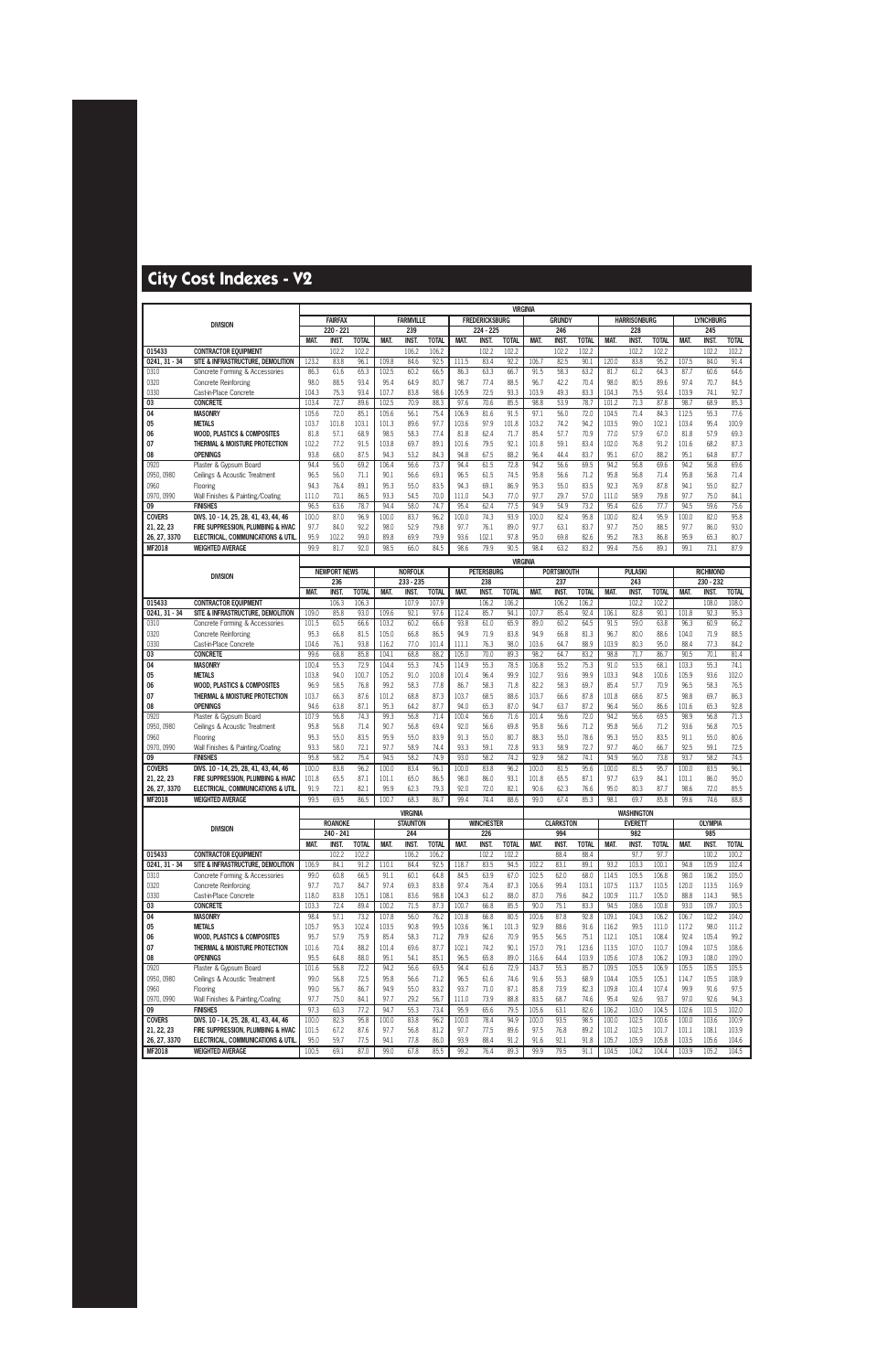|                            |                                                                            |                |                     |                       |                |                                    |                       |                |                       | <b>VIRGINIA</b>       |                |                      |                       |                |                                     |                       |                |                      |                       |
|----------------------------|----------------------------------------------------------------------------|----------------|---------------------|-----------------------|----------------|------------------------------------|-----------------------|----------------|-----------------------|-----------------------|----------------|----------------------|-----------------------|----------------|-------------------------------------|-----------------------|----------------|----------------------|-----------------------|
|                            | <b>DIVISION</b>                                                            |                | <b>FAIRFAX</b>      |                       |                | <b>FARMVILLE</b>                   |                       |                | <b>FREDERICKSBURG</b> |                       |                | <b>GRUNDY</b>        |                       |                | <b>HARRISONBURG</b>                 |                       |                | <b>LYNCHBURG</b>     |                       |
|                            |                                                                            |                | 220 - 221           |                       |                | 239                                |                       |                | 224 - 225             |                       |                | 246                  |                       |                | 228                                 |                       |                | 245                  |                       |
| 015433                     | <b>CONTRACTOR EQUIPMENT</b>                                                | MAT.           | INST.<br>102.2      | <b>TOTAL</b><br>102.2 | MAT.           | <b>INST</b><br>106.2               | <b>TOTAL</b><br>106.2 | MAT.           | <b>INST</b><br>102.2  | <b>TOTAL</b><br>102.2 | MAT.           | <b>INST</b><br>102.2 | <b>TOTAL</b><br>102.2 | MAT.           | <b>INST.</b><br>102.2               | <b>TOTAL</b><br>102.2 | MAT.           | <b>INST</b><br>102.2 | <b>TOTAL</b><br>102.2 |
| $0241, 31 - 34$            | SITE & INFRASTRUCTURE, DEMOLITION                                          | 123.2          | 83.8                | 96.1                  | 109.8          | 84.6                               | 92.5                  | 111.5          | 83.4                  | 92.2                  | 106.7          | 82.5                 | 90.1                  | 120.0          | 83.8                                | 95.2                  | 107.5          | 84.0                 | 91.4                  |
| 0310                       | Concrete Forming & Accessories                                             | 86.3           | 61.6                | 65.3                  | 102.5          | 60.2                               | 66.5                  | 86.3           | 63.3                  | 66.7                  | 91.5           | 58.3                 | 63.2                  | 81.7           | 61.2                                | 64.3                  | 87.7           | 60.6                 | 64.6                  |
| 0320                       | <b>Concrete Reinforcing</b>                                                | 98.0           | 88.5                | 93.4                  | 95.4           | 64.9                               | 80.7                  | 98.7           | 77.4                  | 88.5                  | 96.7           | 42.2                 | 70.4                  | 98.0           | 80.5                                | 89.6                  | 97.4           | 70.7                 | 84.5                  |
| 0330                       | Cast-in-Place Concrete                                                     | 104.3          | 75.3                | 93.4                  | 107.7          | 83.8                               | 98.6                  | 105.9          | 72.5                  | 93.3                  | 103.9          | 49.3                 | 83.3                  | 104.3          | 75.5                                | 93.4                  | 103.9          | 74.1                 | 92.7                  |
| 03                         | <b>CONCRETE</b>                                                            | 103.4          | 72.7                | 89.6                  | 102.5          | 70.9                               | 88.3                  | 97.6           | 70.6                  | 85.5                  | 98.8           | 53.9                 | 78.7                  | 101.2          | 71.3                                | 87.8                  | 98.7           | 68.9                 | 85.3                  |
| 04                         | <b>MASONRY</b>                                                             | 105.6          | 72.0                | 85.1                  | 105.6          | 56.1                               | 75.4                  | 106.9          | 81.6                  | 91.5                  | 97.1           | 56.0                 | 72.0                  | 104.5          | 71.4                                | 84.3                  | 112.5          | 55.3                 | 77.6                  |
| 05                         | <b>METALS</b>                                                              | 103.7          | 101.8               | 103.1                 | 101.3          | 89.6                               | 97.7                  | 103.6          | 97.9                  | 101.8                 | 103.2          | 74.2                 | 94.2                  | 103.5          | 99.0                                | 102.1                 | 103.4          | 95.4                 | 100.9                 |
| 06<br>07                   | <b>WOOD. PLASTICS &amp; COMPOSITES</b><br>THERMAL & MOISTURE PROTECTION    | 81.8<br>102.2  | 57.1<br>77.2        | 68.9<br>91.5          | 98.5<br>103.8  | 58.3<br>69.7                       | 77.4<br>89.1          | 81.8<br>101.6  | 62.4<br>79.5          | 71.7<br>92.1          | 85.4<br>101.8  | 57.7<br>59.1         | 70.9<br>83.4          | 77.0<br>102.0  | 57.9<br>76.8                        | 67.0<br>91.2          | 81.8<br>101.6  | 57.9<br>68.2         | 69.3<br>87.3          |
| 08                         | <b>OPENINGS</b>                                                            | 93.8           | 68.0                | 87.5                  | 94.3           | 53.2                               | 84.3                  | 94.8           | 67.5                  | 88.2                  | 96.4           | 44.4                 | 83.7                  | 95.1           | 67.0                                | 88.2                  | 95.1           | 64.8                 | 87.7                  |
| 0920                       | Plaster & Gypsum Board                                                     | 94.4           | 56.0                | 69.2                  | 106.4          | 56.6                               | 73.7                  | 94.4           | 61.5                  | 72.8                  | 94.2           | 56.6                 | 69.5                  | 94.2           | 56.8                                | 69.6                  | 94.2           | 56.8                 | 69.6                  |
| 0950, 0980                 | Ceilings & Acoustic Treatment                                              | 96.5           | 56.0                | 71.1                  | 90.1           | 56.6                               | 69.1                  | 96.5           | 61.5                  | 74.5                  | 95.8           | 56.6                 | 71.2                  | 95.8           | 56.8                                | 71.4                  | 95.8           | 56.8                 | 71.4                  |
| 0960                       | Flooring                                                                   | 94.3           | 76.4                | 89.1                  | 95.3           | 55.0                               | 83.5                  | 94.3           | 69.1                  | 86.9                  | 95.3           | 55.0                 | 83.5                  | 92.3           | 76.9                                | 87.8                  | 94.1           | 55.0                 | 82.7                  |
| 0970, 0990                 | Wall Finishes & Painting/Coating                                           | 111.0          | 70.1                | 86.5                  | 93.3           | 54.5                               | 70.0                  | 111.0          | 54.3                  | 77.0                  | 97.7           | 29.7                 | 57.0                  | 111.0          | 58.9                                | 79.8                  | 97.7           | 75.0                 | 84.1                  |
| 09                         | <b>FINISHES</b>                                                            | 96.5           | 63.6                | 78.7                  | 94.4           | 58.0                               | 74.7                  | 95.4           | 62.4                  | 77.5                  | 94.9           | 54.9                 | 73.2                  | 95.4           | 62.6                                | 77.7                  | 94.5           | 59.6                 | 75.6                  |
| <b>COVERS</b>              | DIVS. 10 - 14, 25, 28, 41, 43, 44, 46<br>FIRE SUPPRESSION. PLUMBING & HVAC | 100.0          | 87.0                | 96.9                  | 100.0          | 83.7<br>52.9                       | 96.2                  | 100.0          | 74.3                  | 93.9<br>89.0          | 100.0          | 82.4<br>63.1         | 95.8<br>83.7          | 100.0          | 82.4                                | 95.9<br>88.5          | 100.0          | 82.0                 | 95.8<br>93.0          |
| 21, 22, 23<br>26, 27, 3370 | ELECTRICAL, COMMUNICATIONS & UTIL                                          | 97.7<br>95.9   | 84.0<br>102.2       | 92.2<br>99.0          | 98.0<br>89.8   | 69.9                               | 79.8<br>79.9          | 97.7<br>93.6   | 76.1<br>102.1         | 97.8                  | 97.7<br>95.0   | 69.8                 | 82.6                  | 97.7<br>95.2   | 75.0<br>78.3                        | 86.8                  | 97.7<br>95.9   | 86.0<br>65.3         | 80.7                  |
| MF2018                     | <b>WEIGHTED AVERAGE</b>                                                    | 99.9           | 81.7                | 92.0                  | 98.5           | 66.0                               | 84.5                  | 98.6           | 79.9                  | 90.5                  | 98.4           | 63.2                 | 83.2                  | 99.4           | 75.6                                | 89.1                  | 99.1           | 73.1                 | 87.9                  |
|                            |                                                                            |                |                     |                       |                |                                    |                       |                |                       | <b>VIRGINIA</b>       |                |                      |                       |                |                                     |                       |                |                      |                       |
|                            |                                                                            |                | <b>NEWPORT NEWS</b> |                       |                | <b>NORFOLK</b>                     |                       |                | <b>PETERSBURG</b>     |                       |                | <b>PORTSMOUTH</b>    |                       |                | <b>PULASKI</b>                      |                       |                | <b>RICHMOND</b>      |                       |
|                            | <b>DIVISION</b>                                                            |                | 236                 |                       |                | $233 - 235$                        |                       |                | 238                   |                       |                | 237                  |                       |                | 243                                 |                       |                | 230 - 232            |                       |
|                            |                                                                            | <b>MAT</b>     | <b>INST</b>         | <b>TOTAL</b>          | <b>MAT</b>     | <b>INST</b>                        | <b>TOTAL</b>          | <b>MAT</b>     | <b>INST</b>           | <b>TOTAL</b>          | <b>MAT</b>     | <b>INST</b>          | <b>TOTAL</b>          | <b>MAT</b>     | <b>INST</b>                         | <b>TOTAL</b>          | <b>MAT</b>     | <b>INST</b>          | <b>TOTAL</b>          |
| 015433<br>$0241, 31 - 34$  | <b>CONTRACTOR EQUIPMENT</b><br>SITE & INFRASTRUCTURE. DEMOLITION           | 109.0          | 106.3<br>85.8       | 106.3<br>93.0         | 109.6          | 107.9<br>92.1                      | 107.9<br>97.6         | 112.4          | 106.2<br>85.7         | 106.2<br>94.1         | 107.7          | 106.2<br>85.4        | 106.2<br>92.4         | 106.1          | 102.2<br>82.8                       | 102.2<br>90.1         | 101.8          | 108.0<br>92.3        | 108.0<br>95.3         |
| 0310                       | Concrete Forming & Accessories                                             | 101.5          | 60.5                | 66.6                  | 103.2          | 60.2                               | 66.6                  | 93.8           | 61.0                  | 65.9                  | 89.0           | 60.2                 | 64.5                  | 91.5           | 59.0                                | 63.8                  | 96.3           | 60.9                 | 66.2                  |
| 0320                       | <b>Concrete Reinforcing</b>                                                | 95.3           | 66.8                | 81.5                  | 105.0          | 66.8                               | 86.5                  | 94.9           | 71.9                  | 83.8                  | 94.9           | 66.8                 | 81.3                  | 96.7           | 80.0                                | 88.6                  | 104.0          | 71.9                 | 88.5                  |
| 0330                       | Cast-in-Place Concrete                                                     | 104.6          | 76.1                | 93.8                  | 116.2          | 77.0                               | 101.4                 | 111.1          | 76.3                  | 98.0                  | 103.6          | 64.7                 | 88.9                  | 103.9          | 80.3                                | 95.0                  | 88.4           | 77.3                 | 84.2                  |
| 03                         | <b>CONCRETE</b>                                                            | 99.6           | 68.8                | 85.8                  | 104.1          | 68.8                               | 88.2                  | 105.0          | 70.0                  | 89.3                  | 98.2           | 64.7                 | 83.2                  | 98.8           | 71.7                                | 86.7                  | 90.5           | 70.1                 | 81.4                  |
| 04<br>05                   | <b>MASONRY</b><br><b>METALS</b>                                            | 100.4<br>103.8 | 55.3<br>94.0        | 72.9<br>100.7         | 104.4<br>105.2 | 55.3<br>91.0                       | 74.5<br>100.8         | 114.9<br>101.4 | 55.3<br>96.4          | 78.5<br>99.9          | 106.8<br>102.7 | 55.2<br>93.6         | 75.3<br>99.9          | 91.0<br>103.3  | 53.5<br>94.8                        | 68.1<br>100.6         | 103.3<br>105.9 | 55.3<br>93.6         | 74.1<br>102.0         |
| 06                         | <b>WOOD, PLASTICS &amp; COMPOSITES</b>                                     | 96.9           | 58.5                | 76.8                  | 99.2           | 58.3                               | 77.8                  | 86.7           | 58.3                  | 71.8                  | 82.2           | 58.3                 | 69.7                  | 85.4           | 57.7                                | 70.9                  | 96.5           | 58.3                 | 76.5                  |
| 07                         | THERMAL & MOISTURE PROTECTION                                              | 103.7          | 66.3                | 87.6                  | 101.2          | 68.8                               | 87.3                  | 103.7          | 68.5                  | 88.6                  | 103.7          | 66.6                 | 87.8                  | 101.8          | 68.6                                | 87.5                  | 98.8           | 69.7                 | 86.3                  |
| 08                         | <b>OPENINGS</b>                                                            | 94.6           | 63.8                | 87.1                  | 95.3           | 64.2                               | 87.7                  | 94.0           | 65.3                  | 87.0                  | 94.7           | 63.7                 | 87.2                  | 96.4           | 56.0                                | 86.6                  | 101.6          | 65.3                 | 92.8                  |
| 0920                       | Plaster & Gypsum Board                                                     | 107.9          | 56.8                | 74.3                  | 99.3           | 56.8                               | 71.4                  | 100.4          | 56.6                  | 71.6                  | 101.4          | 56.6                 | 72.0                  | 94.2           | 56.6                                | 69.5                  | 98.9           | 56.8                 | 71.3                  |
| 0950, 0980                 | Ceilings & Acoustic Treatment                                              | 95.8           | 56.8                | 71.4                  | 90.7           | 56.8                               | 69.4                  | 92.0           | 56.6                  | 69.8                  | 95.8           | 56.6                 | 71.2                  | 95.8           | 56.6                                | 71.2                  | 93.6           | 56.8                 | 70.5                  |
| 0960<br>0970, 0990         | Flooring<br>Wall Finishes & Painting/Coating                               | 95.3<br>93.3   | 55.0<br>58.0        | 83.5<br>72.1          | 95.9<br>97.7   | 55.0<br>58.9                       | 83.9<br>74.4          | 91.3<br>93.3   | 55.0<br>59.1          | 80.7<br>72.8          | 88.3<br>93.3   | 55.0<br>58.9         | 78.6<br>72.7          | 95.3<br>97.7   | 55.0<br>46.0                        | 83.5<br>66.7          | 91.1<br>92.5   | 55.0<br>59.1         | 80.6<br>72.5          |
| 09                         | <b>FINISHES</b>                                                            | 95.8           | 58.2                | 75.4                  | 94.5           | 58.2                               | 74.9                  | 93.0           | 58.2                  | 74.2                  | 92.9           | 58.2                 | 74.1                  | 94.9           | 56.0                                | 73.8                  | 93.7           | 58.2                 | 74.5                  |
| <b>COVERS</b>              | DIVS. 10 - 14, 25, 28, 41, 43, 44, 46                                      | 100.0          | 83.8                | 96.2                  | 100.0          | 83.4                               | 96.1                  | 100.0          | 83.8                  | 96.2                  | 100.0          | 81.5                 | 95.6                  | 100.0          | 81.5                                | 95.7                  | 100.0          | 83.5                 | 96.1                  |
| 21, 22, 23                 | FIRE SUPPRESSION. PLUMBING & HVAC                                          | 101.8          | 65.5                | 87.1                  | 101.1          | 65.0                               | 86.5                  | 98.0           | 86.0                  | 93.1                  | 101.8          | 65.5                 | 87.1                  | 97.7           | 63.9                                | 84.1                  | 101.1          | 86.0                 | 95.0                  |
| 26, 27, 3370               | ELECTRICAL, COMMUNICATIONS & UTIL                                          | 91.9           | 72.1                | 82.1                  | 95.9           | 62.3                               | 79.3                  | 92.0           | 72.0                  | 82.1                  | 90.6           | 62.3                 | 76.6                  | 95.0           | 80.3                                | 87.7                  | 98.6           | 72.0                 | 85.5                  |
| MF2018                     | <b>WEIGHTED AVERAGE</b>                                                    | 99.5           | 69.5                | 86.5                  | 100.7          | 68.3                               | 86.7                  | 99.4           | 74.4                  | 88.6                  | 99.0           | 67.4                 | 85.3                  | 98.1           | 69.7                                | 85.8                  | 99.6           | 74.6                 | 88.8                  |
|                            |                                                                            |                | <b>ROANOKE</b>      |                       |                | <b>VIRGINIA</b><br><b>STAUNTON</b> |                       |                | <b>WINCHESTER</b>     |                       |                | <b>CLARKSTON</b>     |                       |                | <b>WASHINGTON</b><br><b>EVERETT</b> |                       |                | <b>OLYMPIA</b>       |                       |
|                            | <b>DIVISION</b>                                                            |                | 240 - 241           |                       |                | 244                                |                       |                | 226                   |                       |                | 994                  |                       |                | 982                                 |                       |                | 985                  |                       |
|                            |                                                                            | MAT.           | INST.               | <b>TOTAL</b>          | MAT.           | <b>INST.</b>                       | <b>TOTAL</b>          | MAT.           | INST.                 | <b>TOTAL</b>          | MAT.           | INST.                | <b>TOTAL</b>          | MAT.           | INST.                               | <b>TOTAL</b>          | MAT.           | <b>INST.</b>         | <b>TOTAL</b>          |
| 015433                     | <b>CONTRACTOR EQUIPMENT</b>                                                |                | 102.2               | 102.2                 |                | 106.2                              | 106.2                 |                | 102.2                 | 102.2                 |                | 88.4                 | 88.4                  |                | 97.7                                | 97.7                  |                | 100.2                | 100.2                 |
| $0241.31 - 34$<br>0310     | SITE & INFRASTRUCTURE, DEMOLITION<br>Concrete Forming & Accessories        | 106.9<br>99.0  | 84.1<br>60.8        | 91.2<br>66.5          | 110.1<br>91.1  | 84.4<br>60.1                       | 92.5<br>64.8          | 118.7<br>84.5  | 83.5<br>63.9          | 94.5<br>67.0          | 102.2<br>102.5 | 83.1<br>62.0         | 89.1<br>68.0          | 93.2<br>114.5  | 103.3<br>105.5                      | 100.1<br>106.8        | 94.8<br>98.0   | 105.9<br>106.2       | 102.4<br>105.0        |
| 0320                       | <b>Concrete Reinforcing</b>                                                | 97.7           | 70.7                | 84.7                  | 97.4           | 69.3                               | 83.8                  | 97.4           | 76.4                  | 87.3                  | 106.6          | 99.4                 | 103.1                 | 107.5          | 113.7                               | 110.5                 | 120.0          | 113.5                | 116.9                 |
| 0330                       | Cast-in-Place Concrete                                                     | 118.0          | 83.8                | 105.1                 | 108.1          | 83.6                               | 98.8                  | 104.3          | 61.2                  | 88.0                  | 87.0           | 79.6                 | 84.2                  | 100.9          | 111.7                               | 105.0                 | 88.8           | 114.3                | 98.5                  |
| 03                         | <b>CONCRETE</b>                                                            | 103.3          | 72.4                | 89.4                  | 100.2          | 71.5                               | 87.3                  | 100.7          | 66.8                  | 85.5                  | 90.0           | 75.1                 | 83.3                  | 94.5           | 108.6                               | 100.8                 | 93.0           | 109.7                | 100.5                 |
| 04                         | <b>MASONRY</b>                                                             | 98.4           | 57.1                | 73.2                  | 107.8          | 56.0                               | 76.2                  | 101.8          | 66.8                  | 80.5                  | 100.6          | 87.8                 | 92.8                  | 109.1          | 104.3                               | 106.2                 | 106.7          | 102.2                | 104.0                 |
| 05                         | <b>METALS</b>                                                              | 105.7          | 95.3                | 102.4                 | 103.5          | 90.8                               | 99.5                  | 103.6          | 96.1                  | 101.3                 | 92.9           | 88.6                 | 91.6                  | 116.2          | 99.5                                | 111.0                 | 117.2          | 98.0                 | 111.2                 |
| 06<br>07                   | <b>WOOD, PLASTICS &amp; COMPOSITES</b><br>THERMAL & MOISTURE PROTECTION    | 95.7<br>101.6  | 57.9                | 75.9<br>88.2          | 85.4           | 58.3                               | 71.2<br>87.7          | 79.9<br>102.1  | 62.6<br>74.2          | 70.9<br>90.1          | 95.5           | 56.5<br>79.1         | 75.1<br>123.6         | 112.1<br>113.5 | 105.1<br>107.0                      | 108.4<br>110.7        | 92.4<br>109.4  | 105.4<br>107.5       | 99.2<br>108.6         |
| 08                         | <b>OPENINGS</b>                                                            | 95.5           | 70.4<br>64.8        | 88.0                  | 101.4<br>95.1  | 69.6<br>54.1                       | 85.1                  | 96.5           | 65.8                  | 89.0                  | 157.0<br>116.6 | 64.4                 | 103.9                 | 105.6          | 107.8                               | 106.2                 | 109.3          | 108.0                | 109.0                 |
| 0920                       | Plaster & Gypsum Board                                                     | 101.6          | 56.8                | 72.2                  | 94.2           | 56.6                               | 69.5                  | 94.4           | 61.6                  | 72.9                  | 143.7          | 55.3                 | 85.7                  | 109.5          | 105.5                               | 106.9                 | 105.5          | 105.5                | 105.5                 |
| 0950, 0980                 | Ceilings & Acoustic Treatment                                              | 99.0           | 56.8                | 72.5                  | 95.8           | 56.6                               | 71.2                  | 96.5           | 61.6                  | 74.6                  | 91.6           | 55.3                 | 68.9                  | 104.4          | 105.5                               | 105.1                 | 114.7          | 105.5                | 108.9                 |
| 0960                       | Flooring                                                                   | 99.0           | 56.7                | 86.7                  | 94.9           | 55.0                               | 83.2                  | 93.7           | 71.0                  | 87.1                  | 85.8           | 73.9                 | 82.3                  | 109.8          | 101.4                               | 107.4                 | 99.9           | 91.6                 | 97.5                  |
| 0970, 0990                 | Wall Finishes & Painting/Coating                                           | 97.7           | 75.0                | 84.1                  | 97.7           | 29.2                               | 56.7                  | 111.0          | 73.9                  | 88.8                  | 83.5           | 68.7                 | 74.6                  | 95.4           | 92.6                                | 93.7                  | 97.0           | 92.6                 | 94.3                  |
| 09<br><b>COVERS</b>        | <b>FINISHES</b><br>DIVS. 10 - 14, 25, 28, 41, 43, 44, 46                   | 97.3<br>100.0  | 60.3<br>82.3        | 77.2<br>95.8          | 94.7<br>100.0  | 55.3<br>83.8                       | 73.4<br>96.2          | 95.9<br>100.0  | 65.6<br>78.4          | 79.5<br>94.9          | 105.6<br>100.0 | 63.1<br>93.5         | 82.6<br>98.5          | 106.2<br>100.0 | 103.0<br>102.5                      | 104.5<br>100.6        | 102.6<br>100.0 | 101.5<br>103.6       | 102.0<br>100.9        |
| 21, 22, 23                 | FIRE SUPPRESSION, PLUMBING & HVAC                                          | 101.5          | 67.2                | 87.6                  | 97.7           | 56.8                               | 81.2                  | 97.7           | 77.5                  | 89.6                  | 97.5           | 76.8                 | 89.2                  | 101.2          | 102.5                               | 101.7                 | 101.1          | 108.1                | 103.9                 |
| 26, 27, 3370               | ELECTRICAL, COMMUNICATIONS & UTIL                                          | 95.0           | 59.7                | 77.5                  | 94.1           | 77.8                               | 86.0                  | 93.9           | 88.4                  | 91.2                  | 91.6           | 92.1                 | 91.8                  | 105.7          | 105.9                               | 105.8                 | 103.5          | 105.6                | 104.6                 |
| <b>MF2018</b>              | <b>WEIGHTED AVERAGE</b>                                                    | 100.5          | 69.1                | 87.0                  | 99.0           | 67.8                               | 85.5                  | 99.2           | 76.4                  | 89.3                  | 99.9           | 79.5                 | 91.1                  | 104.5          | 104.2                               | 104.4                 | 103.9          | 105.2                | 104.5                 |
|                            |                                                                            |                |                     |                       |                |                                    |                       |                |                       |                       |                |                      |                       |                |                                     |                       |                |                      |                       |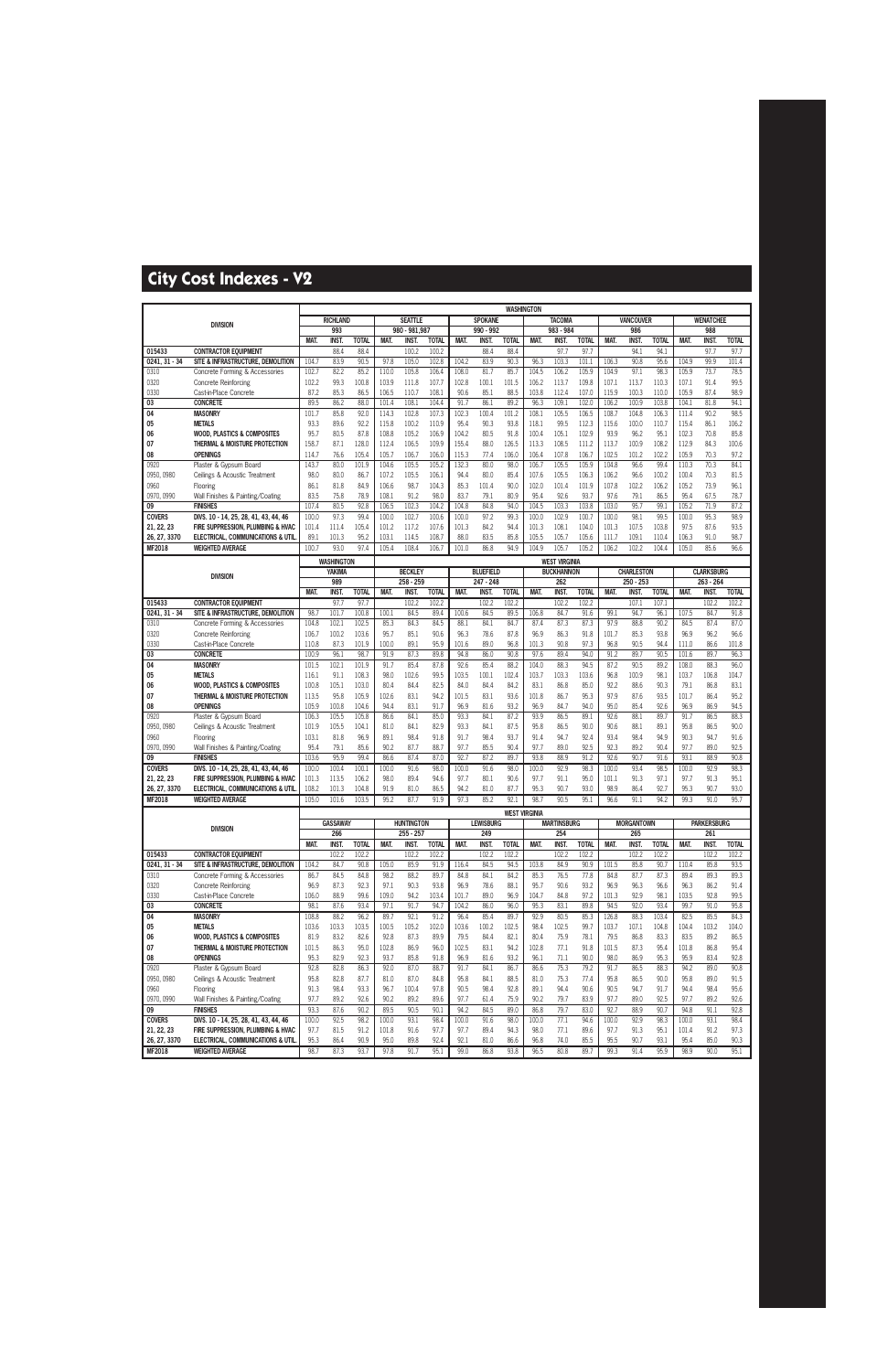|                               |                                                                         |                |                      |                      |                |                      |                       |                |                      | <b>WASHINGTON</b>     |                |                      |                       |                |                      |                       |                |                      |                       |
|-------------------------------|-------------------------------------------------------------------------|----------------|----------------------|----------------------|----------------|----------------------|-----------------------|----------------|----------------------|-----------------------|----------------|----------------------|-----------------------|----------------|----------------------|-----------------------|----------------|----------------------|-----------------------|
|                               | <b>DIVISION</b>                                                         |                | <b>RICHLAND</b>      |                      |                | <b>SEATTLE</b>       |                       |                | <b>SPOKANE</b>       |                       |                | <b>TACOMA</b>        |                       |                | <b>VANCOUVER</b>     |                       |                | <b>WENATCHEE</b>     |                       |
|                               |                                                                         |                | 993                  |                      |                | 980 - 981,987        |                       |                | 990 - 992            |                       |                | 983 - 984            |                       |                | 986                  |                       |                | 988                  | <b>TOTAL</b>          |
| 015433                        | <b>CONTRACTOR EQUIPMENT</b>                                             | MAT.           | <b>INST.</b><br>88.4 | <b>TOTAL</b><br>88.4 | <b>MAT</b>     | INST.<br>100.2       | <b>TOTAL</b><br>100.2 | MAT.           | <b>INST</b><br>88.4  | <b>TOTAL</b><br>88.4  | MAT.           | <b>INST.</b><br>97.7 | <b>TOTAL</b><br>97.7  | MAT.           | <b>INST.</b><br>94.1 | <b>TOTAL</b><br>94.1  | MAT.           | <b>INST</b><br>97.7  | 97.7                  |
| $0241, 31 - 34$               | SITE & INFRASTRUCTURE, DEMOLITION                                       | 104.7          | 83.9                 | 90.5                 | 97.8           | 105.0                | 102.8                 | 104.2          | 83.9                 | 90.3                  | 96.3           | 103.3                | 101.                  | 106.3          | 90.8                 | 95.6                  | 104.9          | 99.9                 | 101.4                 |
| 0310                          | Concrete Forming & Accessories                                          | 102.7          | 82.2                 | 85.2                 | 110.0          | 105.8                | 106.4                 | 108.0          | 81.7                 | 85.7                  | 104.5          | 106.2                | 105.9                 | 104.9          | 97.1                 | 98.3                  | 105.9          | 73.7                 | 78.5                  |
| 0320                          | <b>Concrete Reinforcing</b>                                             | 102.2          | 99.3                 | 100.8                | 103.9          | 111.8                | 107.7                 | 102.8          | 100.1                | 101.5                 | 106.2          | 113.7                | 109.8                 | 107.1          | 113.7                | 110.3                 | 107.1          | 91.4                 | 99.5                  |
| 0330                          | Cast-in-Place Concrete                                                  | 87.2           | 85.3                 | 86.5                 | 106.5          | 110.7                | 108.1                 | 90.6           | 85.1                 | 88.5                  | 103.8          | 112.4                | 107.0                 | 115.9          | 100.3                | 110.0                 | 105.9          | 87.4                 | 98.9                  |
| 03                            | <b>CONCRETE</b>                                                         | 89.5           | 86.2                 | 88.0                 | 101.4          | 108.1                | 104.4                 | 91.7           | 86.1                 | 89.2                  | 96.3           | 109.1                | 102.0                 | 106.2          | 100.9                | 103.8                 | 104.1          | 81.8                 | 94.1                  |
| 04                            | <b>MASONRY</b>                                                          | 101.7          | 85.8                 | 92.0                 | 114.3          | 102.8                | 107.3                 | 102.3          | 100.4                | 101.2                 | 108.1          | 105.5                | 106.5                 | 108.7          | 104.8                | 106.3                 | 111.4          | 90.2                 | 98.5                  |
| 05                            | <b>METALS</b>                                                           | 93.3           | 89.6                 | 92.2                 | 115.8          | 100.2                | 110.9                 | 95.4           | 90.3                 | 93.8                  | 118.1          | 99.5                 | 112.3                 | 115.6          | 100.0                | 110.7                 | 115.4          | 86.1                 | 106.2                 |
| 06                            | <b>WOOD. PLASTICS &amp; COMPOSITES</b>                                  | 95.7           | 80.5                 | 87.8                 | 108.8          | 105.2                | 106.9                 | 104.2          | 80.5                 | 91.8                  | 100.4          | 105.1                | 102.9                 | 93.9           | 96.2                 | 95.1                  | 102.3          | 70.8                 | 85.8                  |
| 07                            | THERMAL & MOISTURE PROTECTION                                           | 158.7          | 87.1                 | 128.0                | 112.4          | 106.5                | 109.9                 | 155.4          | 88.0                 | 126.5                 | 113.3          | 108.5                | 111.2                 | 113.7          | 100.9                | 108.2                 | 112.9          | 84.3                 | 100.6                 |
| 08<br>0920                    | <b>OPENINGS</b><br>Plaster & Gypsum Board                               | 114.7<br>143.7 | 76.6<br>80.0         | 105.4<br>101.9       | 105.7<br>104.6 | 106.7<br>105.5       | 106.0<br>105.2        | 115.3<br>132.3 | 77.4<br>80.0         | 106.0<br>98.0         | 106.4<br>106.7 | 107.8<br>105.5       | 106.7<br>105.9        | 102.5<br>104.8 | 101.2<br>96.6        | 102.2<br>99.4         | 105.9<br>110.3 | 70.3<br>70.3         | 97.2<br>84.1          |
| 0950, 0980                    | Ceilings & Acoustic Treatment                                           | 98.0           | 80.0                 | 86.7                 | 107.2          | 105.5                | 106.1                 | 94.4           | 80.0                 | 85.4                  | 107.6          | 105.5                | 106.3                 | 106.2          | 96.6                 | 100.2                 | 100.4          | 70.3                 | 81.5                  |
| 0960                          | Flooring                                                                | 86.1           | 81.8                 | 84.9                 | 106.6          | 98.7                 | 104.3                 | 85.3           | 101.4                | 90.0                  | 102.0          | 101.4                | 101.9                 | 107.8          | 102.2                | 106.2                 | 105.2          | 73.9                 | 96.1                  |
| 0970, 0990                    | Wall Finishes & Painting/Coating                                        | 83.5           | 75.8                 | 78.9                 | 108.1          | 91.2                 | 98.0                  | 83.7           | 79.1                 | 80.9                  | 95.4           | 92.6                 | 93.7                  | 97.6           | 79.1                 | 86.5                  | 95.4           | 67.5                 | 78.7                  |
| 09                            | <b>FINISHES</b>                                                         | 107.4          | 80.5                 | 92.8                 | 106.5          | 102.3                | 104.2                 | 104.8          | 84.8                 | 94.0                  | 104.5          | 103.3                | 103.8                 | 103.0          | 95.7                 | 99.1                  | 105.2          | 71.9                 | 87.2                  |
| <b>COVERS</b>                 | DIVS. 10 - 14, 25, 28, 41, 43, 44, 46                                   | 100.0          | 97.3                 | 99.4                 | 100.0          | 102.7                | 100.6                 | 100.0          | 97.2                 | 99.3                  | 100.0          | 102.9                | 100.7                 | 100.0          | 98.1                 | 99.5                  | 100.0          | 95.3                 | 98.9                  |
| 21, 22, 23                    | FIRE SUPPRESSION, PLUMBING & HVAC                                       | 101.4          | 111.4                | 105.4                | 101.2          | 117.2                | 107.6                 | 101.3          | 84.2                 | 94.4                  | 101.3          | 108.1                | 104.0                 | 101.3          | 107.5                | 103.8                 | 97.5           | 87.6                 | 93.5                  |
| 26, 27, 3370                  | ELECTRICAL, COMMUNICATIONS & UTIL                                       | 89.1           | 101.3                | 95.2                 | 103.1          | 114.5                | 108.7                 | 88.0           | 83.5                 | 85.8                  | 105.5          | 105.7                | 105.6                 | 111.7          | 109.1                | 110.4                 | 106.3          | 91.0                 | 98.7                  |
| MF2018                        | <b>WEIGHTED AVERAGE</b>                                                 | 100.7          | 93.0                 | 97.4                 | 105.4          | 108.4                | 106.7                 | 101.0          | 86.8                 | 94.9                  | 104.9          | 105.7                | 105.2                 | 106.2          | 102.2                | 104.4                 | 105.0          | 85.6                 | 96.6                  |
|                               |                                                                         |                | <b>WASHINGTON</b>    |                      |                |                      |                       |                |                      |                       |                | <b>WEST VIRGINIA</b> |                       |                |                      |                       |                |                      |                       |
|                               | <b>DIVISION</b>                                                         |                | YAKIMA               |                      |                | <b>BECKLEY</b>       |                       |                | <b>BLUEFIELD</b>     |                       |                | <b>BUCKHANNON</b>    |                       |                | <b>CHARLESTON</b>    |                       |                | <b>CLARKSBURG</b>    |                       |
|                               |                                                                         |                | 989                  |                      |                | 258 - 259            |                       |                | $247 - 248$          |                       |                | 262                  |                       |                | $250 - 253$          |                       |                | $263 - 264$          |                       |
| 015433                        | <b>CONTRACTOR EQUIPMENT</b>                                             | <b>MAT</b>     | <b>INST</b><br>97.7  | <b>TOTAL</b><br>97.7 | <b>MAT</b>     | <b>INST</b><br>102.2 | <b>TOTAL</b><br>102.2 | <b>MAT</b>     | <b>INST</b><br>102.2 | <b>TOTAL</b><br>102.2 | <b>MAT</b>     | <b>INST</b><br>102.2 | <b>TOTAL</b><br>102.2 | <b>MAT</b>     | <b>INST</b><br>107.1 | <b>TOTAL</b><br>107.1 | <b>MAT</b>     | <b>INST</b><br>102.2 | <b>TOTAL</b><br>102.2 |
| $0241, 31 - 34$               | SITE & INFRASTRUCTURE, DEMOLITION                                       | 98.7           | 101.7                | 100.8                | 100.1          | 84.5                 | 89.4                  | 100.6          | 84.5                 | 89.5                  | 106.8          | 84.7                 | 91.6                  | 99.1           | 94.7                 | 96.1                  | 107.5          | 84.7                 | 91.8                  |
| 0310                          | Concrete Forming & Accessories                                          | 104.8          | 102.1                | 102.5                | 85.3           | 84.3                 | 84.5                  | 88.1           | 84.1                 | 84.7                  | 87.4           | 87.3                 | 87.3                  | 97.9           | 88.8                 | 90.2                  | 84.5           | 87.4                 | 87.0                  |
| 0320                          | <b>Concrete Reinforcing</b>                                             | 106.7          | 100.2                | 103.6                | 95.7           | 85.1                 | 90.6                  | 96.3           | 78.6                 | 87.8                  | 96.9           | 86.3                 | 91.8                  | 101.7          | 85.3                 | 93.8                  | 96.9           | 96.2                 | 96.6                  |
| 0330                          | Cast-in-Place Concrete                                                  | 110.8          | 87.3                 | 101.9                | 100.0          | 89.1                 | 95.9                  | 101.6          | 89.0                 | 96.8                  | 101.3          | 90.8                 | 97.3                  | 96.8           | 90.5                 | 94.4                  | 111.0          | 86.6                 | 101.8                 |
| 03                            | <b>CONCRETE</b>                                                         | 100.9          | 96.1                 | 98.7                 | 91.9           | 87.3                 | 89.8                  | 94.8           | 86.0                 | 90.8                  | 97.6           | 89.4                 | 94.0                  | 91.2           | 89.7                 | 90.5                  | 101.6          | 89.7                 | 96.3                  |
| 04                            | <b>MASONRY</b>                                                          | 101.5          | 102.1                | 101.9                | 91.7           | 85.4                 | 87.8                  | 92.6           | 85.4                 | 88.2                  | 104.0          | 88.3                 | 94.5                  | 87.2           | 90.5                 | 89.2                  | 108.0          | 88.3                 | 96.0                  |
| 05                            | <b>METALS</b>                                                           | 116.1          | 91.1                 | 108.3                | 98.0           | 102.6                | 99.5                  | 103.5          | 100.1                | 102.4                 | 103.7          | 103.3                | 103.6                 | 96.8           | 100.9                | 98.1                  | 103.7          | 106.8                | 104.7                 |
| 06                            | <b>WOOD, PLASTICS &amp; COMPOSITES</b>                                  | 100.8          | 105.1                | 103.0                | 80.4           | 84.4                 | 82.5                  | 84.0           | 84.4                 | 84.2                  | 83.1           | 86.8                 | 85.0                  | 92.2           | 88.6                 | 90.3                  | 79.1           | 86.8                 | 83.1                  |
| 07                            | THERMAL & MOISTURE PROTECTION<br><b>OPENINGS</b>                        | 113.5          | 95.8<br>100.8        | 105.9                | 102.6<br>94.4  | 83.1                 | 94.2<br>91.7          | 101.5          | 83.1<br>81.6         | 93.6<br>93.2          | 101.8<br>96.9  | 86.7<br>84.7         | 95.3<br>94.0          | 97.9<br>95.0   | 87.6<br>85.4         | 93.5                  | 101.7          | 86.4<br>86.9         | 95.2<br>94.5          |
| 08<br>0920                    | Plaster & Gypsum Board                                                  | 105.9<br>106.3 | 105.5                | 104.6<br>105.8       | 86.6           | 83.1<br>84.1         | 85.0                  | 96.9<br>93.3   | 84.1                 | 87.2                  | 93.9           | 86.5                 | 89.1                  | 92.6           | 88.1                 | 92.6<br>89.7          | 96.9<br>91.7   | 86.5                 | 88.3                  |
| 0950, 0980                    | Ceilings & Acoustic Treatment                                           | 101.9          | 105.5                | 104.1                | 81.0           | 84.1                 | 82.9                  | 93.3           | 84.1                 | 87.5                  | 95.8           | 86.5                 | 90.0                  | 90.6           | 88.1                 | 89.1                  | 95.8           | 86.5                 | 90.0                  |
| 0960                          | Flooring                                                                | 103.1          | 81.8                 | 96.9                 | 89.1           | 98.4                 | 91.8                  | 91.7           | 98.4                 | 93.7                  | 91.4           | 94.7                 | 92.4                  | 93.4           | 98.4                 | 94.9                  | 90.3           | 94.7                 | 91.6                  |
| 0970, 0990                    | Wall Finishes & Painting/Coating                                        | 95.4           | 79.1                 | 85.6                 | 90.2           | 87.7                 | 88.7                  | 97.7           | 85.5                 | 90.4                  | 97.7           | 89.0                 | 92.5                  | 92.3           | 89.2                 | 90.4                  | 97.7           | 89.0                 | 92.5                  |
| 09                            | <b>FINISHES</b>                                                         | 103.6          | 95.9                 | 99.4                 | 86.6           | 87.4                 | 87.0                  | 92.7           | 87.2                 | 89.7                  | 93.8           | 88.9                 | 91.2                  | 92.6           | 90.7                 | 91.6                  | 93.1           | 88.9                 | 90.8                  |
| <b>COVERS</b>                 | DIVS. 10 - 14, 25, 28, 41, 43, 44, 46                                   | 100.0          | 100.4                | 100.1                | 100.0          | 91.6                 | 98.0                  | 100.0          | 91.6                 | 98.0                  | 100.0          | 92.9                 | 98.3                  | 100.0          | 93.4                 | 98.5                  | 100.0          | 92.9                 | 98.3                  |
| 21, 22, 23                    | FIRE SUPPRESSION, PLUMBING & HVAC                                       | 101.3          | 113.5                | 106.2                | 98.0           | 89.4                 | 94.6                  | 97.7           | 80.1                 | 90.6                  | 97.7           | 91.1                 | 95.0                  | 101.1          | 91.3                 | 97.1                  | 97.7           | 91.3                 | 95.1                  |
| 26, 27, 3370                  | ELECTRICAL, COMMUNICATIONS & UTIL                                       | 108.2          | 101.3                | 104.8                | 91.9           | 81.0                 | 86.5                  | 94.2           | 81.0                 | 87.7                  | 95.3           | 90.7                 | 93.0                  | 98.9           | 86.4                 | 92.7                  | 95.3           | 90.7                 | 93.0                  |
| MF2018                        | <b>WEIGHTED AVERAGE</b>                                                 | 105.0          | 101.6                | 103.5                | 95.2           | 87.7                 | 91.9                  | 97.3           | 85.2                 | 92.1                  | 98.7           | 90.5                 | 95.1                  | 96.6           | 91.1                 | 94.2                  | 99.3           | 91.0                 | 95.7                  |
|                               |                                                                         |                |                      |                      |                |                      |                       |                |                      | <b>WEST VIRGINIA</b>  |                |                      |                       |                |                      |                       |                |                      |                       |
|                               | <b>DIVISION</b>                                                         |                | <b>GASSAWAY</b>      |                      |                | <b>HUNTINGTON</b>    |                       |                | <b>LEWISBURG</b>     |                       |                | <b>MARTINSBURG</b>   |                       |                | <b>MORGANTOWN</b>    |                       |                | <b>PARKERSBURG</b>   |                       |
|                               |                                                                         | MAT.           | 266<br>INST.         | <b>TOTAL</b>         | MAT.           | 255 - 257<br>INST.   | <b>TOTAL</b>          | MAT.           | 249<br>INST.         | <b>TOTAL</b>          | MAT.           | 254<br>INST.         | <b>TOTAL</b>          | MAT.           | 265<br>INST.         | <b>TOTAL</b>          | <b>MAT.</b>    | 261<br><b>INST.</b>  | <b>TOTAL</b>          |
| 015433                        | <b>CONTRACTOR EQUIPMENT</b>                                             |                | 102.2                | 102.2                |                | 102.2                | 102.2                 |                | 102.2                | 102.2                 |                | 102.2                | 102.2                 |                | 102.2                | 102.2                 |                | 102.2                | 102.2                 |
| $0241.31 - 34$                | SITE & INFRASTRUCTURE, DEMOLITION                                       | 104.2          | 84.7                 | 90.8                 | 105.0          | 85.9                 | 91.9                  | 116.4          | 84.5                 | 94.5                  | 103.8          | 84.9                 | 90.9                  | 101.5          | 85.8                 | 90.7                  | 110.4          | 85.8                 | 93.5                  |
| 0310                          | Concrete Forming & Accessories                                          | 86.7           | 84.5                 | 84.8                 | 98.2           | 88.2                 | 89.7                  | 84.8           | 84.1                 | 84.2                  | 85.3           | 76.5                 | 77.8                  | 84.8           | 87.7                 | 87.3                  | 89.4           | 89.3                 | 89.3                  |
| 0320                          | <b>Concrete Reinforcing</b>                                             | 96.9           | 87.3                 | 92.3                 | 97.1           | 90.3                 | 93.8                  | 96.9           | 78.6                 | 88.1                  | 95.7           | 90.6                 | 93.2                  | 96.9           | 96.3                 | 96.6                  | 96.3           | 86.2                 | 91.4                  |
| 0330                          | Cast-in-Place Concrete                                                  | 106.0          | 88.9                 | 99.6                 | 109.0          | 94.2                 | 103.4                 | 101.7          | 89.0                 | 96.9                  | 104.7          | 84.8                 | 97.2                  | 101.3          | 92.9                 | 98.1                  | 103.5          | 92.8                 | 99.5                  |
| 03                            | <b>CONCRETE</b>                                                         | 98.1           | 87.6                 | 93.4                 | 97.1           | 91.7                 | 94.7                  | 104.2          | 86.0                 | 96.0                  | 95.3           | 83.1                 | 89.8                  | 94.5           | 92.0                 | 93.4                  | 99.7           | 91.0                 | 95.8                  |
| 04                            | <b>MASONRY</b>                                                          | 108.8          | 88.2                 | 96.2                 | 89.7           | 92.1                 | 91.2                  | 96.4           | 85.4                 | 89.7                  | 92.9           | 80.5                 | 85.3                  | 126.8          | 88.3                 | 103.4                 | 82.5           | 85.5                 | 84.3                  |
| 05                            | <b>METALS</b>                                                           | 103.6          | 103.3                | 103.5                | 100.5          | 105.2                | 102.0                 | 103.6          | 100.2                | 102.5                 | 98.4           | 102.5                | 99.7                  | 103.7          | 107.1                | 104.8                 | 104.4          | 103.2                | 104.0                 |
| 06<br>07                      | <b>WOOD, PLASTICS &amp; COMPOSITES</b><br>THERMAL & MOISTURE PROTECTION | 81.9<br>101.5  | 83.2<br>86.3         | 82.6<br>95.0         | 92.8<br>102.8  | 87.3<br>86.9         | 89.9<br>96.0          | 79.5<br>102.5  | 84.4<br>83.1         | 82.1<br>94.2          | 80.4<br>102.8  | 75.9<br>77.1         | 78.1<br>91.8          | 79.5<br>101.5  | 86.8<br>87.3         | 83.3<br>95.4          | 83.5<br>101.8  | 89.2<br>86.8         | 86.5<br>95.4          |
| 08                            | <b>OPENINGS</b>                                                         | 95.3           | 82.9                 | 92.3                 | 93.7           | 85.8                 | 91.8                  | 96.9           | 81.6                 | 93.2                  | 96.1           | 71.1                 | 90.0                  | 98.0           | 86.9                 | 95.3                  | 95.9           | 83.4                 | 92.8                  |
| 0920                          | Plaster & Gypsum Board                                                  | 92.8           | 82.8                 | 86.3                 | 92.0           | 87.0                 | 88.7                  | 91.7           | 84.1                 | 86.7                  | 86.6           | 75.3                 | 79.2                  | 91.7           | 86.5                 | 88.3                  | 94.2           | 89.0                 | 90.8                  |
| 0950, 0980                    | Ceilings & Acoustic Treatment                                           | 95.8           | 82.8                 | 87.7                 | 81.0           | 87.0                 | 84.8                  | 95.8           | 84.1                 | 88.5                  | 81.0           | 75.3                 | 77.4                  | 95.8           | 86.5                 | 90.0                  | 95.8           | 89.0                 | 91.5                  |
| 0960                          | Flooring                                                                | 91.3           | 98.4                 | 93.3                 | 96.7           | 100.4                | 97.8                  | 90.5           | 98.4                 | 92.8                  | 89.1           | 94.4                 | 90.6                  | 90.5           | 94.7                 | 91.7                  | 94.4           | 98.4                 | 95.6                  |
| 0970, 0990                    | Wall Finishes & Painting/Coating                                        | 97.7           | 89.2                 | 92.6                 | 90.2           | 89.2                 | 89.6                  | 97.7           | 61.4                 | 75.9                  | 90.2           | 79.7                 | 83.9                  | 97.7           | 89.0                 | 92.5                  | 97.7           | 89.2                 | 92.6                  |
| 09                            | <b>FINISHES</b>                                                         | 93.3           | 87.6                 | 90.2                 | 89.5           | 90.5                 | 90.1                  | 94.2           | 84.5                 | 89.0                  | 86.8           | 79.7                 | 83.0                  | 92.7           | 88.9                 | 90.7                  | 94.8           | 91.1                 | 92.8                  |
| <b>COVERS</b>                 | DIVS. 10 - 14, 25, 28, 41, 43, 44, 46                                   | 100.0          | 92.5                 | 98.2                 | 100.0          | 93.1                 | 98.4                  | 100.0          | 91.6                 | 98.0                  | 100.0          | 77.1                 | 94.6                  | 100.0          | 92.9                 | 98.3                  | 100.0          | 93.1                 | 98.4                  |
| 21, 22, 23                    | FIRE SUPPRESSION, PLUMBING & HVAC                                       | 97.7           | 81.5                 | 91.2                 | 101.8          | 91.6                 | 97.7                  | 97.7           | 89.4                 | 94.3                  | 98.0           | 77.1                 | 89.6                  | 97.7           | 91.3                 | 95.1                  | 101.4          | 91.2                 | 97.3                  |
| 26, 27, 3370<br><b>MF2018</b> | ELECTRICAL, COMMUNICATIONS & UTIL                                       | 95.3<br>98.7   | 86.4<br>87.3         | 90.9<br>93.7         | 95.0           | 89.8                 | 92.4                  | 92.1           | 81.0                 | 86.6                  | 96.8           | 74.0<br>80.8         | 85.5<br>89.7          | 95.5<br>99.3   | 90.7<br>91.4         | 93.1<br>95.9          | 95.4<br>98.9   | 85.0<br>90.0         | 90.3<br>95.1          |
|                               | <b>WEIGHTED AVERAGE</b>                                                 |                |                      |                      | 97.8           | 91.7                 | 95.1                  | 99.0           | 86.8                 | 93.8                  | 96.5           |                      |                       |                |                      |                       |                |                      |                       |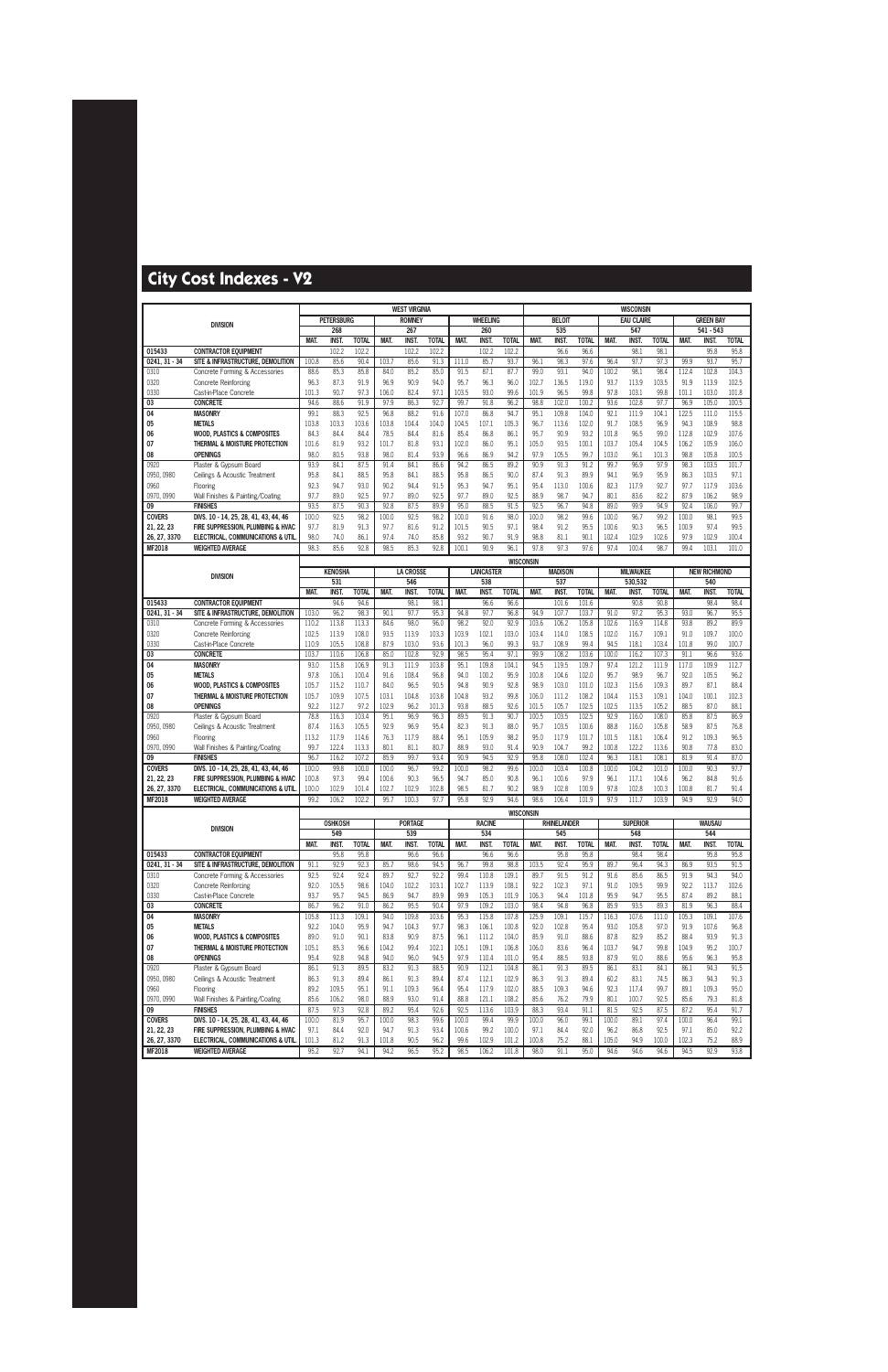|                               |                                                                                   |                |                   |                |                | <b>WEST VIRGINIA</b> |               |               |                  |                  |               |                    |                |               | <b>WISCONSIN</b>  |                |               |                     |                |
|-------------------------------|-----------------------------------------------------------------------------------|----------------|-------------------|----------------|----------------|----------------------|---------------|---------------|------------------|------------------|---------------|--------------------|----------------|---------------|-------------------|----------------|---------------|---------------------|----------------|
|                               | <b>DIVISION</b>                                                                   |                | <b>PETERSBURG</b> |                |                | <b>ROMNEY</b>        |               |               | WHEELING         |                  |               | <b>BELOIT</b>      |                |               | <b>EAU CLAIRE</b> |                |               | <b>GREEN BAY</b>    |                |
|                               |                                                                                   |                | 268               |                |                | 267                  |               |               | 260              |                  |               | 535                |                |               | 547               |                |               | $541 - 543$         |                |
|                               |                                                                                   | MAT.           | <b>INST.</b>      | <b>TOTAL</b>   | MAT.           | <b>INST.</b>         | <b>TOTAL</b>  | <b>MAT</b>    | <b>INST.</b>     | <b>TOTAL</b>     | MAT.          | <b>INST.</b>       | <b>TOTAL</b>   | MAT.          | <b>INST.</b>      | <b>TOTAL</b>   | MAT.          | <b>INST.</b>        | <b>TOTAL</b>   |
| 015433                        | <b>CONTRACTOR EQUIPMENT</b>                                                       |                | 102.2             | 102.2          |                | 102.2                | 102.2         |               | 102.2            | 102.2            |               | 96.6               | 96.6           |               | 98.1              | 98.1           |               | 95.8                | 95.8           |
| $0241, 31 - 34$               | SITE & INFRASTRUCTURE, DEMOLITION                                                 | 100.8          | 85.6              | 90.4           | 103.7          | 85.6                 | 91.3          | 111.0         | 85.7             | 93.7             | 96.1          | 98.3               | 97.6           | 96.4          | 97.7              | 97.3           | 99.9          | 93.7                | 95.7           |
| 0310<br>0320                  | Concrete Forming & Accessories                                                    | 88.6<br>96.3   | 85.3<br>87.3      | 85.8<br>91.9   | 84.0<br>96.9   | 85.2<br>90.9         | 85.0<br>94.0  | 91.5<br>95.7  | 87.1<br>96.3     | 87.7<br>96.0     | 99.0<br>102.7 | 93.1<br>136.5      | 94.0<br>119.0  | 100.2<br>93.7 | 98.1<br>113.9     | 98.4<br>103.5  | 112.4<br>91.9 | 102.8<br>113.9      | 104.3<br>102.5 |
| 0330                          | Concrete Reinforcing<br>Cast-in-Place Concrete                                    | 101.3          | 90.7              | 97.3           | 106.0          | 82.4                 | 97.1          | 103.5         | 93.0             | 99.6             | 101.9         | 96.5               | 99.8           | 97.8          | 103.1             | 99.8           | 101.1         | 103.0               | 101.8          |
| 03                            | <b>CONCRETE</b>                                                                   | 94.6           | 88.6              | 91.9           | 97.9           | 86.3                 | 92.7          | 99.7          | 91.8             | 96.2             | 98.8          | 102.0              | 100.2          | 93.6          | 102.8             | 97.7           | 96.9          | 105.0               | 100.5          |
| 04                            | <b>MASONRY</b>                                                                    | 99.1           | 88.3              | 92.5           | 96.8           | 88.2                 | 91.6          | 107.0         | 86.8             | 94.7             | 95.1          | 109.8              | 104.0          | 92.1          | 111.9             | 104.1          | 122.5         | 111.0               | 115.5          |
| 05                            | <b>METALS</b>                                                                     | 103.8          | 103.3             | 103.6          | 103.8          | 104.4                | 104.0         | 104.5         | 107.1            | 105.3            | 96.7          | 113.6              | 102.0          | 91.7          | 108.5             | 96.9           | 94.3          | 108.9               | 98.8           |
| 06                            | <b>WOOD, PLASTICS &amp; COMPOSITES</b>                                            | 84.3           | 84.4              | 84.4           | 78.5           | 84.4                 | 81.6          | 85.4          | 86.8             | 86.1             | 95.7          | 90.9               | 93.2           | 101.8         | 96.5              | 99.0           | 112.8         | 102.9               | 107.6          |
| 07                            | THERMAL & MOISTURE PROTECTION                                                     | 101.6          | 81.9              | 93.2           | 101.7          | 81.8                 | 93.1          | 102.0         | 86.0             | 95.1             | 105.0         | 93.5               | 100.1          | 103.7         | 105.4             | 104.5          | 106.2         | 105.9               | 106.0          |
| 08                            | <b>OPENINGS</b>                                                                   | 98.0           | 80.5              | 93.8           | 98.0           | 81.4                 | 93.9          | 96.6          | 86.9             | 94.2             | 97.9          | 105.5              | 99.7           | 103.0         | 96.1              | 101.3          | 98.8          | 105.8               | 100.5          |
| 0920                          | Plaster & Gypsum Board                                                            | 93.9           | 84.1              | 87.5           | 91.4           | 84.1                 | 86.6          | 94.2          | 86.5             | 89.2             | 90.9          | 91.3               | 91.2           | 99.7          | 96.9              | 97.9           | 98.3          | 103.5               | 101.7          |
| 0950, 0980                    | Ceilings & Acoustic Treatment                                                     | 95.8           | 84.1              | 88.5           | 95.8           | 84.1                 | 88.5          | 95.8          | 86.5             | 90.0             | 87.4          | 91.3               | 89.9           | 94.1          | 96.9              | 95.9           | 86.3          | 103.5               | 97.1           |
| 0960                          | Flooring                                                                          | 92.3           | 94.7              | 93.0           | 90.2           | 94.4                 | 91.5          | 95.3          | 94.7             | 95.1             | 95.4          | 113.0              | 100.6          | 82.3          | 117.9             | 92.7           | 97.7          | 117.9               | 103.6          |
| 0970, 0990                    | Wall Finishes & Painting/Coating                                                  | 97.7           | 89.0              | 92.5           | 97.7           | 89.0                 | 92.5          | 97.7          | 89.0             | 92.5             | 88.9          | 98.7               | 94.7           | 80.1          | 83.6              | 82.2           | 87.9          | 106.2               | 98.9           |
| 09                            | <b>FINISHES</b>                                                                   | 93.5           | 87.5              | 90.3           | 92.8           | 87.5                 | 89.9          | 95.0          | 88.5             | 91.5             | 92.5          | 96.7               | 94.8           | 89.0          | 99.9              | 94.9           | 92.4          | 106.0               | 99.7           |
| <b>COVERS</b>                 | DIVS. 10 - 14, 25, 28, 41, 43, 44, 46                                             | 100.0          | 92.5              | 98.2           | 100.0          | 92.5                 | 98.2          | 100.0         | 91.6             | 98.0             | 100.0         | 98.2               | 99.6           | 100.0         | 96.7              | 99.2           | 100.0         | 98.1                | 99.5           |
| 21, 22, 23                    | FIRE SUPPRESSION, PLUMBING & HVAC                                                 | 97.7           | 81.9              | 91.3           | 97.7           | 81.6                 | 91.2          | 101.5         | 90.5             | 97.1             | 98.4          | 91.2               | 95.5           | 100.6         | 90.3              | 96.5           | 100.9         | 97.4                | 99.5           |
| 26, 27, 3370<br><b>MF2018</b> | ELECTRICAL, COMMUNICATIONS & UTIL<br><b>WEIGHTED AVERAGE</b>                      | 98.0<br>98.3   | 74.0<br>85.6      | 86.1<br>92.8   | 97.4<br>98.5   | 74.0<br>85.3         | 85.8<br>92.8  | 93.2<br>100.1 | 90.7<br>90.9     | 91.9<br>96.1     | 98.8<br>97.8  | 81.1<br>97.3       | 90.1<br>97.6   | 102.4<br>97.4 | 102.9<br>100.4    | 102.6<br>98.7  | 97.9<br>99.4  | 102.9<br>103.1      | 100.4<br>101.0 |
|                               |                                                                                   |                |                   |                |                |                      |               |               |                  |                  |               |                    |                |               |                   |                |               |                     |                |
|                               |                                                                                   |                | <b>KENOSHA</b>    |                |                | <b>LA CROSSE</b>     |               |               | <b>LANCASTER</b> | <b>WISCONSIN</b> |               | <b>MADISON</b>     |                |               | <b>MILWAUKEE</b>  |                |               | <b>NEW RICHMOND</b> |                |
|                               | <b>DIVISION</b>                                                                   |                | 531               |                |                | 546                  |               |               | 538              |                  |               | 537                |                |               | 530.532           |                |               | 540                 |                |
|                               |                                                                                   | MAT.           | <b>INST.</b>      | <b>TOTAL</b>   | MAT.           | INST.                | <b>TOTAL</b>  | MAT.          | <b>INST.</b>     | <b>TOTAL</b>     | MAT.          | <b>INST</b>        | <b>TOTAL</b>   | MAT.          | INST.             | <b>TOTAL</b>   | MAT.          | <b>INST.</b>        | <b>TOTAL</b>   |
| 015433                        | <b>CONTRACTOR EQUIPMENT</b>                                                       |                | 94.6              | 94.6           |                | 98.1                 | 98.1          |               | 96.6             | 96.6             |               | 101.6              | 101.6          |               | 90.8              | 90.8           |               | 98.4                | 98.4           |
| $0241, 31 - 34$               | SITE & INFRASTRUCTURE, DEMOLITION                                                 | 103.0          | 96.2              | 98.3           | 90.1           | 97.7                 | 95.3          | 94.8          | 97.7             | 96.8             | 94.9          | 107.7              | 103.7          | 91.0          | 97.2              | 95.3           | 93.0          | 96.7                | 95.5           |
| 0310                          | Concrete Forming & Accessories                                                    | 110.2          | 113.8             | 113.3          | 84.6           | 98.0                 | 96.0          | 98.2          | 92.0             | 92.9             | 103.6         | 106.2              | 105.8          | 102.6         | 116.9             | 114.8          | 93.8          | 89.2                | 89.9           |
| 0320                          | <b>Concrete Reinforcing</b>                                                       | 102.5          | 113.9             | 108.0          | 93.5           | 113.9                | 103.3         | 103.9         | 102.1            | 103.0            | 103.4         | 114.0              | 108.5          | 102.0         | 116.7             | 109.1          | 91.0          | 109.7               | 100.0          |
| 0330                          | Cast-in-Place Concrete                                                            | 110.9          | 105.5             | 108.8          | 87.9           | 103.0                | 93.6          | 101.3         | 96.0             | 99.3             | 93.7          | 108.9              | 99.4           | 94.5          | 118.1             | 103.4          | 101.8         | 99.0                | 100.7          |
| 03                            | <b>CONCRETE</b>                                                                   | 103.7          | 110.6             | 106.8          | 85.0           | 102.8                | 92.9          | 98.5          | 95.4             | 97.1             | 99.9          | 108.2              | 103.6          | 100.0         | 116.2             | 107.3          | 91.1          | 96.6                | 93.6           |
| 04<br>05                      | <b>MASONRY</b><br><b>METALS</b>                                                   | 93.0<br>97.8   | 115.8<br>106.1    | 106.9<br>100.4 | 91.3<br>91.6   | 111.9<br>108.4       | 103.8<br>96.8 | 95.1<br>94.0  | 109.8<br>100.2   | 104.1<br>95.9    | 94.5<br>100.8 | 119.5<br>104.6     | 109.7<br>102.0 | 97.4<br>95.7  | 121.2<br>98.9     | 111.9<br>96.7  | 117.0<br>92.0 | 109.9<br>105.5      | 112.7<br>96.2  |
| 06                            | <b>WOOD, PLASTICS &amp; COMPOSITES</b>                                            | 105.7          | 115.2             | 110.7          | 84.0           | 96.5                 | 90.5          | 94.8          | 90.9             | 92.8             | 98.9          | 103.0              | 101.0          | 102.3         | 115.6             | 109.3          | 89.7          | 87.1                | 88.4           |
| 07                            | THERMAL & MOISTURE PROTECTION                                                     | 105.7          | 109.9             | 107.5          | 103.1          | 104.8                | 103.8         | 104.8         | 93.2             | 99.8             | 106.0         | 111.2              | 108.2          | 104.4         | 115.3             | 109.1          | 104.0         | 100.1               | 102.3          |
| 08                            | <b>OPENINGS</b>                                                                   | 92.2           | 112.7             | 97.2           | 102.9          | 96.2                 | 101.3         | 93.8          | 88.5             | 92.6             | 101.5         | 105.7              | 102.5          | 102.5         | 113.5             | 105.2          | 88.5          | 87.0                | 88.1           |
| 0920                          | Plaster & Gypsum Board                                                            | 78.8           | 116.3             | 103.4          | 95.1           | 96.9                 | 96.3          | 89.5          | 91.3             | 90.7             | 100.5         | 103.5              | 102.5          | 92.9          | 116.0             | 108.0          | 85.8          | 87.5                | 86.9           |
| 0950, 0980                    | Ceilings & Acoustic Treatment                                                     | 87.4           | 116.3             | 105.5          | 92.9           | 96.9                 | 95.4          | 82.3          | 91.3             | 88.0             | 95.7          | 103.5              | 100.6          | 88.8          | 116.0             | 105.8          | 58.9          | 87.5                | 76.8           |
| 0960                          | Flooring                                                                          | 113.2          | 117.9             | 114.6          | 76.3           | 117.9                | 88.4          | 95.1          | 105.9            | 98.2             | 95.0          | 117.9              | 101.7          | 101.5         | 118.1             | 106.4          | 91.2          | 109.3               | 96.5           |
| 0970.0990                     | Wall Finishes & Painting/Coating                                                  | 99.7           | 122.4             | 113.3          | 80.1           | 81.1                 | 80.7          | 88.9          | 93.0             | 91.4             | 90.9          | 104.7              | 99.2           | 100.8         | 122.2             | 113.6          | 90.8          | 77.8                | 83.0           |
| 09                            | <b>FINISHES</b>                                                                   | 96.7           | 116.2             | 107.2          | 85.9           | 99.7                 | 93.4          | 90.9          | 94.5             | 92.9             | 95.8          | 108.0              | 102.4          | 96.3          | 118.1             | 108.1          | 81.9          | 91.4                | 87.0           |
| <b>COVERS</b>                 | DIVS. 10 - 14, 25, 28, 41, 43, 44, 46                                             | 100.0          | 99.8              | 100.0          | 100.0          | 96.7                 | 99.2          | 100.0         | 98.2             | 99.6             | 100.0         | 103.4              | 100.8          | 100.0         | 104.2             | 101.0          | 100.0         | 90.3                | 97.7           |
| 21, 22, 23<br>26, 27, 3370    | FIRE SUPPRESSION, PLUMBING & HVAC<br><b>ELECTRICAL, COMMUNICATIONS &amp; UTIL</b> | 100.8<br>100.0 | 97.3<br>102.9     | 99.4<br>101.4  | 100.6<br>102.7 | 90.3<br>102.9        | 96.5<br>102.8 | 94.7<br>98.5  | 85.0<br>81.7     | 90.8<br>90.2     | 96.1<br>98.9  | 100.6<br>102.8     | 97.9<br>100.9  | 96.1<br>97.8  | 117.1<br>102.8    | 104.6<br>100.3 | 96.2<br>100.8 | 84.8<br>81.7        | 91.6<br>91.4   |
| <b>MF2018</b>                 | <b>WEIGHTED AVERAGE</b>                                                           | 99.2           | 106.2             | 102.2          | 95.7           | 100.3                | 97.7          | 95.8          | 92.9             | 94.6             | 98.6          | 106.4              | 101.9          | 97.9          | 111.7             | 103.9          | 94.9          | 92.9                | 94.0           |
|                               |                                                                                   |                |                   |                |                |                      |               |               |                  |                  |               |                    |                |               |                   |                |               |                     |                |
|                               |                                                                                   |                | <b>OSHKOSH</b>    |                |                | <b>PORTAGE</b>       |               |               | <b>RACINE</b>    | <b>WISCONSIN</b> |               | <b>RHINELANDER</b> |                |               | <b>SUPERIOR</b>   |                |               | <b>WAUSAU</b>       |                |
|                               | <b>DIVISION</b>                                                                   |                | 549               |                |                | 539                  |               |               | 534              |                  |               | 545                |                |               | 548               |                |               | 544                 |                |
|                               |                                                                                   | MAT.           | <b>INST.</b>      | <b>TOTAL</b>   | MAT.           | <b>INST.</b>         | <b>TOTAL</b>  | MAT.          | INST.            | <b>TOTAL</b>     | MAT.          | INST.              | <b>TOTAL</b>   | MAT.          | INST.             | <b>TOTAL</b>   | MAT.          | <b>INST.</b>        | <b>TOTAL</b>   |
| 015433                        | <b>CONTRACTOR EQUIPMENT</b>                                                       |                | 95.8              | 95.8           |                | 96.6                 | 96.6          |               | 96.6             | 96.6             |               | 95.8               | 95.8           |               | 98.4              | 98.4           |               | 95.8                | 95.8           |
| $0241, 31 - 34$               | SITE & INFRASTRUCTURE, DEMOLITION                                                 | 91.1           | 92.9              | 92.3           | 85.7           | 98.6                 | 94.5          | 96.7          | 99.8             | 98.8             | 103.5         | 92.4               | 95.9           | 89.7          | 96.4              | 94.3           | 86.9          | 93.5                | 91.5           |
| 0310                          | Concrete Forming & Accessories                                                    | 92.5           | 92.4              | 92.4           | 89.7           | 92.7                 | 92.2          | 99.4          | 110.8            | 109.1            | 89.7          | 91.5               | 91.2           | 91.6          | 85.6              | 86.5           | 91.9          | 94.3                | 94.0           |
| 0320                          | <b>Concrete Reinforcing</b>                                                       | 92.0           | 105.5             | 98.6           | 104.0          | 102.2                | 103.1         | 102.7         | 113.9            | 108.1            | 92.2          | 102.3              | 97.1           | 91.0          | 109.5             | 99.9           | 92.2          | 113.7               | 102.6          |
| 0330                          | Cast-in-Place Concrete                                                            | 93.7           | 95.7              | 94.5           | 86.9           | 94.7                 | 89.9          | 99.9          | 105.3            | 101.9            | 106.3         | 94.4               | 101.8          | 95.9          | 94.7              | 95.5           | 87.4          | 89.2                | 88.1           |
| 03<br>04                      | <b>CONCRETE</b><br><b>MASONRY</b>                                                 | 86.7<br>105.8  | 96.2<br>111.3     | 91.0<br>109.1  | 86.2<br>94.0   | 95.5<br>109.8        | 90.4<br>103.6 | 97.9<br>95.3  | 109.2<br>115.8   | 103.0<br>107.8   | 98.4<br>125.9 | 94.8<br>109.1      | 96.8<br>115.7  | 85.9<br>116.3 | 93.5<br>107.6     | 89.3<br>111.0  | 81.9<br>105.3 | 96.3<br>109.1       | 88.4<br>107.6  |
| 05                            | <b>METALS</b>                                                                     | 92.2           | 104.0             | 95.9           | 94.7           | 104.3                | 97.7          | 98.3          | 106.1            | 100.8            | 92.0          | 102.8              | 95.4           | 93.0          | 105.8             | 97.0           | 91.9          | 107.6               | 96.8           |
| 06                            | <b>WOOD. PLASTICS &amp; COMPOSITES</b>                                            | 89.0           | 91.0              | 90.1           | 83.8           | 90.9                 | 87.5          | 96.1          | 111.2            | 104.0            | 85.9          | 91.0               | 88.6           | 87.8          | 82.9              | 85.2           | 88.4          | 93.9                | 91.3           |
| 07                            | THERMAL & MOISTURE PROTECTION                                                     | 105.1          | 85.3              | 96.6           | 104.2          | 99.4                 | 102.1         | 105.1         | 109.1            | 106.8            | 106.0         | 83.6               | 96.4           | 103.7         | 94.7              | 99.8           | 104.9         | 95.2                | 100.7          |
| 08                            | <b>OPENINGS</b>                                                                   | 95.4           | 92.8              | 94.8           | 94.0           | 96.0                 | 94.5          | 97.9          | 110.4            | 101.0            | 95.4          | 88.5               | 93.8           | 87.9          | 91.0              | 88.6           | 95.6          | 96.3                | 95.8           |
| 0920                          | Plaster & Gypsum Board                                                            | 86.1           | 91.3              | 89.5           | 83.2           | 91.3                 | 88.5          | 90.9          | 112.1            | 104.8            | 86.1          | 91.3               | 89.5           | 86.1          | 83.1              | 84.1           | 86.1          | 94.3                | 91.5           |
| 0950, 0980                    | Ceilings & Acoustic Treatment                                                     | 86.3           | 91.3              | 89.4           | 86.1           | 91.3                 | 89.4          | 87.4          | 112.1            | 102.9            | 86.3          | 91.3               | 89.4           | 60.2          | 83.1              | 74.5           | 86.3          | 94.3                | 91.3           |
| 0960                          | Flooring                                                                          | 89.2           | 109.5             | 95.1           | 91.1           | 109.3                | 96.4          | 95.4          | 117.9            | 102.0            | 88.5          | 109.3              | 94.6           | 92.3          | 117.4             | 99.7           | 89.1          | 109.3               | 95.0           |
| 0970, 0990                    | Wall Finishes & Painting/Coating                                                  | 85.6           | 106.2             | 98.0           | 88.9           | 93.0                 | 91.4          | 88.8          | 121.1            | 108.2            | 85.6          | 76.2               | 79.9           | 80.1          | 100.7             | 92.5           | 85.6          | 79.3                | 81.8           |
| 09                            | <b>FINISHES</b>                                                                   | 87.5           | 97.3              | 92.8           | 89.2           | 95.4                 | 92.6          | 92.5          | 113.6            | 103.9            | 88.3          | 93.4               | 91.1           | 81.5          | 92.5              | 87.5           | 87.2          | 95.4                | 91.7           |
| <b>COVERS</b>                 | DIVS. 10 - 14, 25, 28, 41, 43, 44, 46                                             | 100.0          | 81.9              | 95.7           | 100.0          | 98.3                 | 99.6          | 100.0         | 99.4             | 99.9             | 100.0         | 96.0               | 99.1           | 100.0         | 89.1              | 97.4           | 100.0         | 96.4                | 99.1           |
| 21, 22, 23                    | FIRE SUPPRESSION, PLUMBING & HVAC                                                 | 97.1           | 84.4              | 92.0           | 94.7           | 91.3                 | 93.4          | 100.6         | 99.2             | 100.0            | 97.1          | 84.4               | 92.0           | 96.2          | 86.8              | 92.5           | 97.1          | 85.0                | 92.2           |
| 26, 27, 3370<br><b>MF2018</b> | ELECTRICAL, COMMUNICATIONS & UTIL.<br><b>WEIGHTED AVERAGE</b>                     | 101.3<br>95.2  | 81.2<br>92.7      | 91.3<br>94.1   | 101.8<br>94.2  | 90.5<br>96.5         | 96.2<br>95.2  | 99.6<br>98.5  | 102.9<br>106.2   | 101.2<br>101.8   | 100.8<br>98.0 | 75.2<br>91.1       | 88.1<br>95.0   | 105.0<br>94.6 | 94.9<br>94.6      | 100.0<br>94.6  | 102.3<br>94.5 | 75.2<br>92.9        | 88.9<br>93.8   |
|                               |                                                                                   |                |                   |                |                |                      |               |               |                  |                  |               |                    |                |               |                   |                |               |                     |                |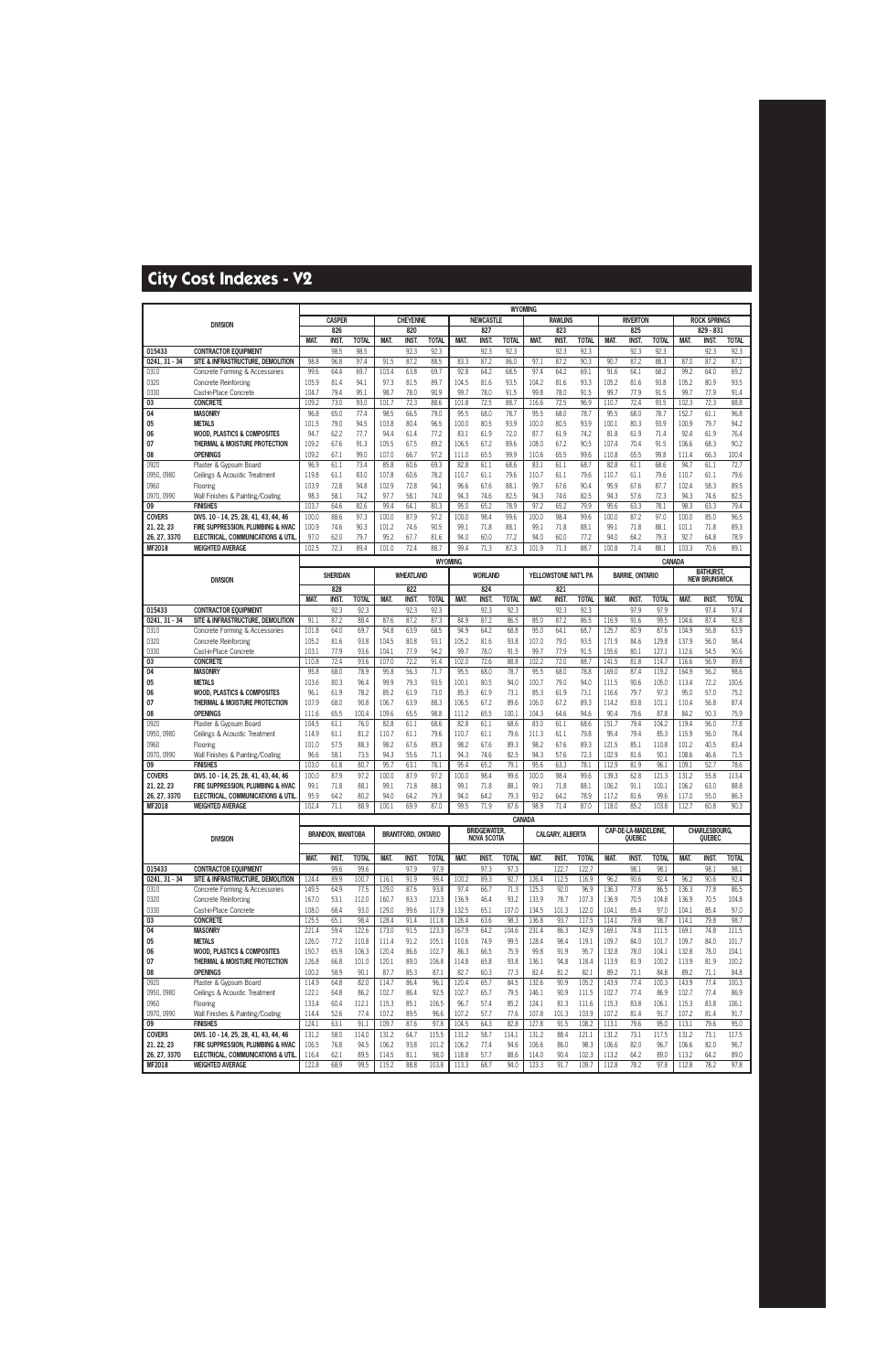|                             |                                                                            |                |                          |                      |                |                           |                      |                |                         | <b>WYOMING</b>       |                |                       |                       |                |                        |                      |                |                                         |                      |
|-----------------------------|----------------------------------------------------------------------------|----------------|--------------------------|----------------------|----------------|---------------------------|----------------------|----------------|-------------------------|----------------------|----------------|-----------------------|-----------------------|----------------|------------------------|----------------------|----------------|-----------------------------------------|----------------------|
|                             | <b>DIVISION</b>                                                            |                | <b>CASPER</b><br>826     |                      |                | <b>CHEYENNE</b><br>820    |                      |                | <b>NEWCASTLE</b><br>827 |                      |                | <b>RAWLINS</b><br>823 |                       |                | <b>RIVERTON</b><br>825 |                      |                | <b>ROCK SPRINGS</b><br>829 - 831        |                      |
|                             |                                                                            | <b>MAT</b>     | INST.                    | <b>TOTAL</b>         | MAT.           | <b>INST</b>               | <b>TOTAL</b>         | MAT.           | <b>INST</b>             | <b>TOTAL</b>         | MAT.           | <b>INST</b>           | <b>TOTAL</b>          | MAT.           | <b>INST.</b>           | <b>TOTAL</b>         | <b>MAT</b>     | <b>INST.</b>                            | <b>TOTAL</b>         |
| 015433                      | <b>CONTRACTOR EQUIPMENT</b>                                                |                | 98.5                     | 98.5                 |                | 92.3                      | 92.3                 |                | 92.3                    | 92.3                 |                | 92.3                  | 92.3                  |                | 92.3                   | 92.3                 |                | 92.3                                    | 92.3                 |
| $0241, 31 - 34$             | SITE & INFRASTRUCTURE, DEMOLITION                                          | 98.8           | 96.8                     | 97.4                 | 91.5           | 87.2                      | 88.5                 | 83.3           | 87.2                    | 86.0                 | 97.1           | 87.2                  | 90.3                  | 90.7           | 87.2                   | 88.3                 | 87.0           | 87.2                                    | 87.1                 |
| 0310                        | Concrete Forming & Accessories                                             | 99.6           | 64.4                     | 69.7                 | 103.4          | 63.8                      | 69.7                 | 92.8           | 64.2                    | 68.5                 | 97.4           | 64.2                  | 69.1                  | 91.6           | 64.1                   | 68.2                 | 99.2           | 64.0                                    | 69.2                 |
| 0320                        | <b>Concrete Reinforcing</b>                                                | 105.9          | 81.4                     | 94.1                 | 97.3           | 81.5                      | 89.7                 | 104.5          | 81.6                    | 93.5                 | 104.2          | 81.6                  | 93.3                  | 105.2          | 81.6                   | 93.8                 | 105.2          | 80.9                                    | 93.5                 |
| 0330<br>03                  | Cast-in-Place Concrete<br><b>CONCRETE</b>                                  | 104.7<br>109.2 | 79.4<br>73.0             | 95.1<br>93.0         | 98.7<br>101.7  | 78.0<br>72.3              | 90.9<br>88.6         | 99.7<br>101.8  | 78.0<br>72.5            | 91.5<br>88.7         | 99.8<br>116.6  | 78.0<br>72.5          | 91.5<br>96.9          | 99.7<br>110.7  | 77.9<br>72.4           | 91.5<br>93.5         | 99.7<br>102.3  | 77.9<br>72.3                            | 91.4<br>88.8         |
| 04                          | <b>MASONRY</b>                                                             | 96.8           | 65.0                     | 77.4                 | 98.5           | 66.5                      | 79.0                 | 95.5           | 68.0                    | 78.7                 | 95.5           | 68.0                  | 78.7                  | 95.5           | 68.0                   | 78.7                 | 152.7          | 61.1                                    | 96.8                 |
| 05                          | <b>METALS</b>                                                              | 101.5          | 79.0                     | 94.5                 | 103.8          | 80.4                      | 96.5                 | 100.0          | 80.5                    | 93.9                 | 100.0          | 80.5                  | 93.9                  | 100.1          | 80.3                   | 93.9                 | 100.9          | 79.7                                    | 94.2                 |
| 06                          | <b>WOOD, PLASTICS &amp; COMPOSITES</b>                                     | 94.7           | 62.2                     | 77.7                 | 94.4           | 61.4                      | 77.2                 | 83.1           | 61.9                    | 72.0                 | 87.7           | 61.9                  | 74.2                  | 81.8           | 61.9                   | 71.4                 | 92.4           | 61.9                                    | 76.4                 |
| 07                          | THERMAL & MOISTURE PROTECTION                                              | 109.2          | 67.6                     | 91.3                 | 105.5          | 67.5                      | 89.2                 | 106.5          | 67.2                    | 89.6                 | 108.0          | 67.2                  | 90.5                  | 107.4          | 70.4                   | 91.5                 | 106.6          | 68.3                                    | 90.2                 |
| 08                          | <b>OPENINGS</b>                                                            | 109.2          | 67.1                     | 99.0                 | 107.0          | 66.7                      | 97.2                 | 111.0          | 65.5                    | 99.9                 | 110.6          | 65.5                  | 99.6                  | 110.8          | 65.5                   | 99.8                 | 111.4          | 66.3                                    | 100.4                |
| 0920                        | Plaster & Gypsum Board                                                     | 96.9           | 61.1                     | 73.4                 | 85.8           | 60.6                      | 69.3                 | 82.8           | 61.1                    | 68.6                 | 83.1           | 61.1                  | 68.7                  | 82.8           | 61.1                   | 68.6                 | 94.7           | 61.1                                    | 72.7                 |
| 0950, 0980                  | Ceilings & Acoustic Treatment                                              | 119.8          | 61.1                     | 83.0                 | 107.8          | 60.6                      | 78.2                 | 110.7          | 61.1                    | 79.6                 | 110.7          | 61.1                  | 79.6                  | 110.7          | 61.1                   | 79.6                 | 110.7          | 61.1                                    | 79.6                 |
| 0960<br>0970, 0990          | Flooring<br>Wall Finishes & Painting/Coating                               | 103.9<br>98.3  | 72.8<br>58.1             | 94.8<br>74.2         | 102.9<br>97.7  | 72.8<br>58.1              | 94.1<br>74.0         | 96.6<br>94.3   | 67.6<br>74.6            | 88.1<br>82.5         | 99.7<br>94.3   | 67.6<br>74.6          | 90.4<br>82.5          | 95.9<br>94.3   | 67.6<br>57.6           | 87.7<br>72.3         | 102.4<br>94.3  | 58.3<br>74.6                            | 89.5<br>82.5         |
| 09                          | <b>FINISHES</b>                                                            | 103.7          | 64.6                     | 82.6                 | 99.4           | 64.1                      | 80.3                 | 95.0           | 65.2                    | 78.9                 | 97.2           | 65.2                  | 79.9                  | 95.6           | 63.3                   | 78.1                 | 98.3           | 63.3                                    | 79.4                 |
| <b>COVERS</b>               | DIVS. 10 - 14, 25, 28, 41, 43, 44, 46                                      | 100.0          | 88.6                     | 97.3                 | 100.0          | 87.9                      | 97.2                 | 100.0          | 98.4                    | 99.6                 | 100.0          | 98.4                  | 99.6                  | 100.0          | 87.2                   | 97.0                 | 100.0          | 85.0                                    | 96.5                 |
| 21, 22, 23                  | FIRE SUPPRESSION. PLUMBING & HVAC                                          | 100.9          | 74.6                     | 90.3                 | 101.2          | 74.6                      | 90.5                 | 99.1           | 71.8                    | 88.1                 | 99.1           | 71.8                  | 88.1                  | 99.1           | 71.8                   | 88.1                 | 101.1          | 71.8                                    | 89.3                 |
| 26, 27, 3370                | <b>ELECTRICAL, COMMUNICATIONS &amp; UTIL</b>                               | 97.0           | 62.0                     | 79.7                 | 95.2           | 67.7                      | 81.6                 | 94.0           | 60.0                    | 77.2                 | 94.0           | 60.0                  | 77.2                  | 94.0           | 64.2                   | 79.3                 | 92.7           | 64.8                                    | 78.9                 |
| MF2018                      | <b>WEIGHTED AVERAGE</b>                                                    | 102.5          | 72.3                     | 89.4                 | 101.0          | 72.4                      | 88.7                 | 99.4           | 71.3                    | 87.3                 | 101.9          | 71.3                  | 88.7                  | 100.8          | 71.4                   | 88.1                 | 103.3          | 70.6                                    | 89.1                 |
|                             |                                                                            |                |                          |                      |                |                           |                      | <b>WYOMING</b> |                         |                      |                |                       |                       |                |                        |                      | CANADA         |                                         |                      |
|                             |                                                                            |                | <b>SHERIDAN</b>          |                      |                | <b>WHEATLAND</b>          |                      |                | <b>WORLAND</b>          |                      |                | YELLOWSTONE NAT'L PA  |                       |                | <b>BARRIE, ONTARIO</b> |                      |                | <b>BATHURST</b><br><b>NEW BRUNSWICK</b> |                      |
|                             | <b>DIVISION</b>                                                            |                | 828                      |                      |                | 822                       |                      |                | 824                     |                      |                | 821                   |                       |                |                        |                      |                |                                         |                      |
|                             |                                                                            | MAT.           | <b>INST.</b>             | <b>TOTAL</b>         | MAT.           | <b>INST</b>               | <b>TOTAL</b>         | MAT.           | <b>INST</b>             | <b>TOTAL</b>         | MAT.           | <b>INST</b>           | <b>TOTAL</b>          | MAT.           | INST.                  | <b>TOTAL</b>         | MAT.           | <b>INST</b>                             | <b>TOTAL</b>         |
| 015433                      | <b>CONTRACTOR EQUIPMENT</b>                                                |                | 92.3                     | 92.3                 |                | 92.3                      | 92.3                 |                | 92.3                    | 92.3                 |                | 92.3                  | 92.3                  |                | 97.9                   | 97.9                 |                | 97.4                                    | 97.4                 |
| 0241.31 - 34                | SITE & INFRASTRUCTURE, DEMOLITION                                          | 91.1           | 87.2                     | 88.4                 | 87.6           | 87.2                      | 87.3                 | 84.9           | 87.2                    | 86.5                 | 85.0           | 87.2                  | 86.5                  | 116.9          | 91.6                   | 99.5                 | 104.6          | 87.4                                    | 92.8                 |
| 0310                        | Concrete Forming & Accessories                                             | 101.8          | 64.0                     | 69.7                 | 94.8           | 63.9                      | 68.5                 | 94.9           | 64.2                    | 68.8                 | 95.0           | 64.1                  | 68.7                  | 125.7          | 80.9                   | 87.6                 | 104.9          | 56.8                                    | 63.9                 |
| 0320                        | <b>Concrete Reinforcing</b>                                                | 105.2          | 81.6                     | 93.8                 | 104.5          | 80.8                      | 93.1<br>94.2         | 105.2          | 81.6                    | 93.8                 | 107.0          | 79.0                  | 93.5                  | 171.9          | 84.6                   | 129.8                | 137.9          | 56.0                                    | 98.4                 |
| 0330<br>03                  | Cast-in-Place Concrete<br><b>CONCRETE</b>                                  | 103.1<br>110.8 | 77.9<br>72.4             | 93.6<br>93.6         | 104.1<br>107.0 | 77.9<br>72.2              | 91.4                 | 99.7<br>102.0  | 78.0<br>72.6            | 91.5<br>88.8         | 99.7<br>102.2  | 77.9<br>72.0          | 91.5<br>88.7          | 155.6<br>141.5 | 80.1<br>81.8           | 127.1<br>114.7       | 112.6<br>116.6 | 54.5<br>56.9                            | 90.6<br>89.8         |
| 04                          | <b>MASONRY</b>                                                             | 95.8           | 68.0                     | 78.9                 | 95.8           | 56.3                      | 71.7                 | 95.5           | 68.0                    | 78.7                 | 95.5           | 68.0                  | 78.8                  | 169.0          | 87.4                   | 119.2                | 164.9          | 56.2                                    | 98.6                 |
| 05                          | <b>METALS</b>                                                              | 103.6          | 80.3                     | 96.4                 | 99.9           | 79.3                      | 93.5                 | 100.1          | 80.5                    | 94.0                 | 100.7          | 79.0                  | 94.0                  | 111.5          | 90.6                   | 105.0                | 113.4          | 72.2                                    | 100.6                |
| 06                          | <b>WOOD, PLASTICS &amp; COMPOSITES</b>                                     | 96.1           | 61.9                     | 78.2                 | 85.2           | 61.9                      | 73.0                 | 85.3           | 61.9                    | 73.1                 | 85.3           | 61.9                  | 73.1                  | 116.6          | 79.7                   | 97.3                 | 95.0           | 57.0                                    | 75.2                 |
| 07                          | THERMAL & MOISTURE PROTECTION                                              | 107.9          | 68.0                     | 90.8                 | 106.7          | 63.9                      | 88.3                 | 106.5          | 67.2                    | 89.6                 | 106.0          | 67.2                  | 89.3                  | 114.2          | 83.8                   | 101.1                | 110.4          | 56.8                                    | 87.4                 |
| 08                          | <b>OPENINGS</b>                                                            | 111.6          | 65.5                     | 100.4                | 109.6          | 65.5                      | 98.8                 | 111.2          | 65.5                    | 100.1                | 104.3          | 64.6                  | 94.6                  | 90.4           | 79.6                   | 87.8                 | 84.2           | 50.3                                    | 75.9                 |
| 0920                        | Plaster & Gypsum Board                                                     | 104.5          | 61.1                     | 76.0                 | 82.8           | 61.1                      | 68.6                 | 82.8           | 61.1                    | 68.6                 | 83.0           | 61.1                  | 68.6                  | 151.7          | 79.4                   | 104.2                | 119.4          | 56.0                                    | 77.8                 |
| 0950, 0980<br>0960          | Ceilings & Acoustic Treatment<br>Flooring                                  | 114.9<br>101.0 | 61.1<br>57.5             | 81.2<br>88.3         | 110.7<br>98.2  | 61.1<br>67.6              | 79.6<br>89.3         | 110.7<br>98.2  | 61.1<br>67.6            | 79.6<br>89.3         | 111.3<br>98.2  | 61.1<br>67.6          | 79.8<br>89.3          | 95.4<br>121.5  | 79.4<br>85.1           | 85.3<br>110.8        | 115.9<br>101.2 | 56.0<br>40.5                            | 78.4<br>83.4         |
| 0970, 0990                  | Wall Finishes & Painting/Coating                                           | 96.6           | 58.1                     | 73.5                 | 94.3           | 55.6                      | 71.1                 | 94.3           | 74.6                    | 82.5                 | 94.3           | 57.6                  | 72.3                  | 102.9          | 81.6                   | 90.1                 | 108.6          | 46.6                                    | 71.5                 |
| 09                          | <b>FINISHES</b>                                                            | 103.0          | 61.8                     | 80.7                 | 95.7           | 63.1                      | 78.1                 | 95.4           | 65.2                    | 79.1                 | 95.6           | 63.3                  | 78.1                  | 112.9          | 81.9                   | 96.1                 | 109.1          | 52.7                                    | 78.6                 |
| <b>COVERS</b>               | DIVS. 10 - 14, 25, 28, 41, 43, 44, 46                                      | 100.0          | 87.9                     | 97.2                 | 100.0          | 87.9                      | 97.2                 | 100.0          | 98.4                    | 99.6                 | 100.0          | 98.4                  | 99.6                  | 139.3          | 62.8                   | 121.3                | 131.2          | 55.8                                    | 113.4                |
| 21, 22, 23                  | FIRE SUPPRESSION, PLUMBING & HVAC                                          | 99.1           | 71.8                     | 88.1                 | 99.1           | 71.8                      | 88.1                 | 99.1           | 71.8                    | 88.1                 | 99.1           | 71.8                  | 88.1                  | 106.2          | 91.1                   | 100.1                | 106.2          | 63.0                                    | 88.8                 |
| 26, 27, 3370                | <b>ELECTRICAL, COMMUNICATIONS &amp; UTIL</b>                               | 95.9           | 64.2                     | 80.2                 | 94.0           | 64.2                      | 79.3                 | 94.0<br>99.5   | 64.2                    | 79.3                 | 93.2           | 64.2                  | 78.9                  | 117.2          | 81.6                   | 99.6                 | 117.0          | 55.0                                    | 86.3                 |
| MF2018                      | <b>WEIGHTED AVERAGE</b>                                                    | 102.4          | 71.1                     | 88.9                 | 100.1          | 69.9                      | 87.0                 |                | 71.9                    | 87.6                 | 98.9           | 71.4                  | 87.0                  | 118.0          | 85.2                   | 103.8                | 112.7          | 60.8                                    | 90.3                 |
|                             |                                                                            |                |                          |                      |                |                           |                      |                | <b>BRIDGEWATER,</b>     |                      | CANADA         |                       |                       |                | CAP-DE-LA-MADELEINE,   |                      |                | CHARLESBOURG,                           |                      |
|                             | <b>DIVISION</b>                                                            |                | <b>BRANDON, MANITOBA</b> |                      |                | <b>BRANTFORD, ONTARIO</b> |                      |                | <b>NOVA SCOTIA</b>      |                      |                | CALGARY, ALBERTA      |                       |                | <b>OUEBEC</b>          |                      |                | <b>QUEBEC</b>                           |                      |
|                             |                                                                            |                |                          |                      |                |                           |                      |                |                         |                      |                |                       |                       |                |                        |                      |                |                                         |                      |
| 015433                      | <b>CONTRACTOR EQUIPMENT</b>                                                | MAT.           | INST.<br>99.6            | <b>TOTAL</b><br>99.6 | MAT.           | INST.<br>97.9             | <b>TOTAL</b><br>97.9 | MAT.           | INST.<br>97.3           | <b>TOTAL</b><br>97.3 | MAT.           | INST.<br>122.7        | <b>TOTAL</b><br>122.7 | MAT.           | INST.<br>98.1          | <b>TOTAL</b><br>98.1 | MAT.           | INST.<br>98.1                           | <b>TOTAL</b><br>98.1 |
| $0241, 31 - 34$             | SITE & INFRASTRUCTURE, DEMOLITION                                          | 124.4          | 89.9                     | 100.7                | 116.1          | 91.9                      | 99.4                 | 100.2          | 89.3                    | 92.7                 | 126.4          | 112.5                 | 116.9                 | 96.2           | 90.6                   | 92.4                 | 96.2           | 90.6                                    | 92.4                 |
| 0310                        | Concrete Forming & Accessories                                             | 149.5          | 64.9                     | 77.5                 | 129.0          | 87.6                      | 93.8                 | 97.4           | 66.7                    | 71.3                 | 125.3          | 92.0                  | 96.9                  | 136.3          | 77.8                   | 86.5                 | 136.3          | 77.8                                    | 86.5                 |
| 0320                        | Concrete Reinforcing                                                       | 167.0          | 53.1                     | 112.0                | 160.7          | 83.3                      | 123.3                | 136.9          | 46.4                    | 93.2                 | 133.9          | 78.7                  | 107.3                 | 136.9          | 70.5                   | 104.8                | 136.9          | 70.5                                    | 104.8                |
| 0330                        | Cast-in-Place Concrete                                                     | 108.0          | 68.4                     | 93.0                 | 129.0          | 99.6                      | 117.9                | 132.5          | 65.1                    | 107.0                | 134.5          | 101.3                 | 122.0                 | 104.1          | 85.4                   | 97.0                 | 104.1          | 85.4                                    | 97.0                 |
| 03                          | <b>CONCRETE</b>                                                            | 125.5          | 65.1                     | 98.4                 | 128.4          | 91.4                      | 111.8                | 126.4          | 63.6                    | 98.3                 | 136.8          | 93.7                  | 117.5                 | 114.1          | 79.8                   | 98.7                 | 114.1          | 79.8                                    | 98.7                 |
| 04                          | <b>MASONRY</b>                                                             | 221.4          | 59.4                     | 122.6                | 173.0          | 91.5                      | 123.3                | 167.9          | 64.2                    | 104.6                | 231.4          | 86.3                  | 142.9                 | 169.1          | 74.8                   | 111.5                | 169.1          | 74.8                                    | 111.5                |
| 05<br>06                    | <b>METALS</b><br><b>WOOD, PLASTICS &amp; COMPOSITES</b>                    | 126.0<br>150.7 | 77.2<br>65.9             | 110.8<br>106.3       | 111.4<br>120.4 | 91.2<br>86.6              | 105.1<br>102.7       | 110.6<br>86.3  | 74.9<br>66.5            | 99.5<br>75.9         | 128.4<br>99.8  | 98.4<br>91.9          | 119.1<br>95.7         | 109.7<br>132.8 | 84.0<br>78.0           | 101.7<br>104.1       | 109.7<br>132.8 | 84.0<br>78.0                            | 101.7<br>104.1       |
| 07                          | THERMAL & MOISTURE PROTECTION                                              | 126.8          | 66.8                     | 101.0                | 120.1          | 89.0                      | 106.8                | 114.8          | 65.8                    | 93.8                 | 136.1          | 94.8                  | 118.4                 | 113.9          | 81.9                   | 100.2                | 113.9          | 81.9                                    | 100.2                |
| 08                          | <b>OPENINGS</b>                                                            | 100.2          | 58.9                     | 90.1                 | 87.7           | 85.3                      | 87.1                 | 82.7           | 60.3                    | 77.3                 | 82.4           | 81.2                  | 82.1                  | 89.2           | 71.1                   | 84.8                 | 89.2           | 71.1                                    | 84.8                 |
| 0920                        | Plaster & Gypsum Board                                                     | 114.9          | 64.8                     | 82.0                 | 114.7          | 86.4                      | 96.1                 | 120.4          | 65.7                    | 84.5                 | 132.6          | 90.9                  | 105.2                 | 143.9          | 77.4                   | 100.3                | 143.9          | 77.4                                    | 100.3                |
| 0950, 0980                  | Ceilings & Acoustic Treatment                                              | 122.1          | 64.8                     | 86.2                 | 102.7          | 86.4                      | 92.5                 | 102.7          | 65.7                    | 79.5                 | 146.1          | 90.9                  | 111.5                 | 102.7          | 77.4                   | 86.9                 | 102.7          | 77.4                                    | 86.9                 |
| 0960                        | Flooring                                                                   | 133.4          | 60.4                     | 112.1                | 115.3          | 85.1                      | 106.5                | 96.7           | 57.4                    | 85.2                 | 124.1          | 81.3                  | 111.6                 | 115.3          | 83.8                   | 106.1                | 115.3          | 83.8                                    | 106.1                |
| 0970, 0990                  | Wall Finishes & Painting/Coating                                           | 114.4          | 52.6                     | 77.4                 | 107.2          | 89.5                      | 96.6                 | 107.2          | 57.7                    | 77.6                 | 107.8          | 101.3                 | 103.9                 | 107.2          | 81.4                   | 91.7                 | 107.2          | 81.4                                    | 91.7                 |
| 09                          | <b>FINISHES</b>                                                            | 124.1          | 63.1                     | 91.1                 | 109.7          | 87.6                      | 97.8                 | 104.5          | 64.3                    | 82.8                 | 127.8          | 91.5                  | 108.2                 | 113.1          | 79.6                   | 95.0                 | 113.1          | 79.6                                    | 95.0                 |
| <b>COVERS</b><br>21, 22, 23 | DIVS. 10 - 14, 25, 28, 41, 43, 44, 46<br>FIRE SUPPRESSION, PLUMBING & HVAC | 131.2<br>106.5 | 58.0<br>76.8             | 114.0<br>94.5        | 131.2<br>106.2 | 64.7<br>93.8              | 115.5<br>101.2       | 131.2<br>106.2 | 58.7<br>77.4            | 114.1<br>94.6        | 131.2<br>106.6 | 88.4<br>86.0          | 121.1<br>98.3         | 131.2<br>106.6 | 73.1<br>82.0           | 117.5<br>96.7        | 131.2<br>106.6 | 73.1<br>82.0                            | 117.5<br>96.7        |
| 26, 27, 3370                | ELECTRICAL, COMMUNICATIONS & UTIL                                          | 116.4          | 62.1                     | 89.5                 | 114.5          | 81.1                      | 98.0                 | 118.8          | 57.7                    | 88.6                 | 114.0          | 90.4                  | 102.3                 | 113.2          | 64.2                   | 89.0                 | 113.2          | 64.2                                    | 89.0                 |
| <b>MF2018</b>               | <b>WEIGHTED AVERAGE</b>                                                    | 122.8          | 68.9                     | 99.5                 | 115.2          | 88.8                      | 103.8                | 113.3          | 68.7                    | 94.0                 | 123.3          | 91.7                  | 109.7                 | 112.8          | 78.2                   | 97.8                 | 112.8          | 78.2                                    | 97.8                 |
|                             |                                                                            |                |                          |                      |                |                           |                      |                |                         |                      |                |                       |                       |                |                        |                      |                |                                         |                      |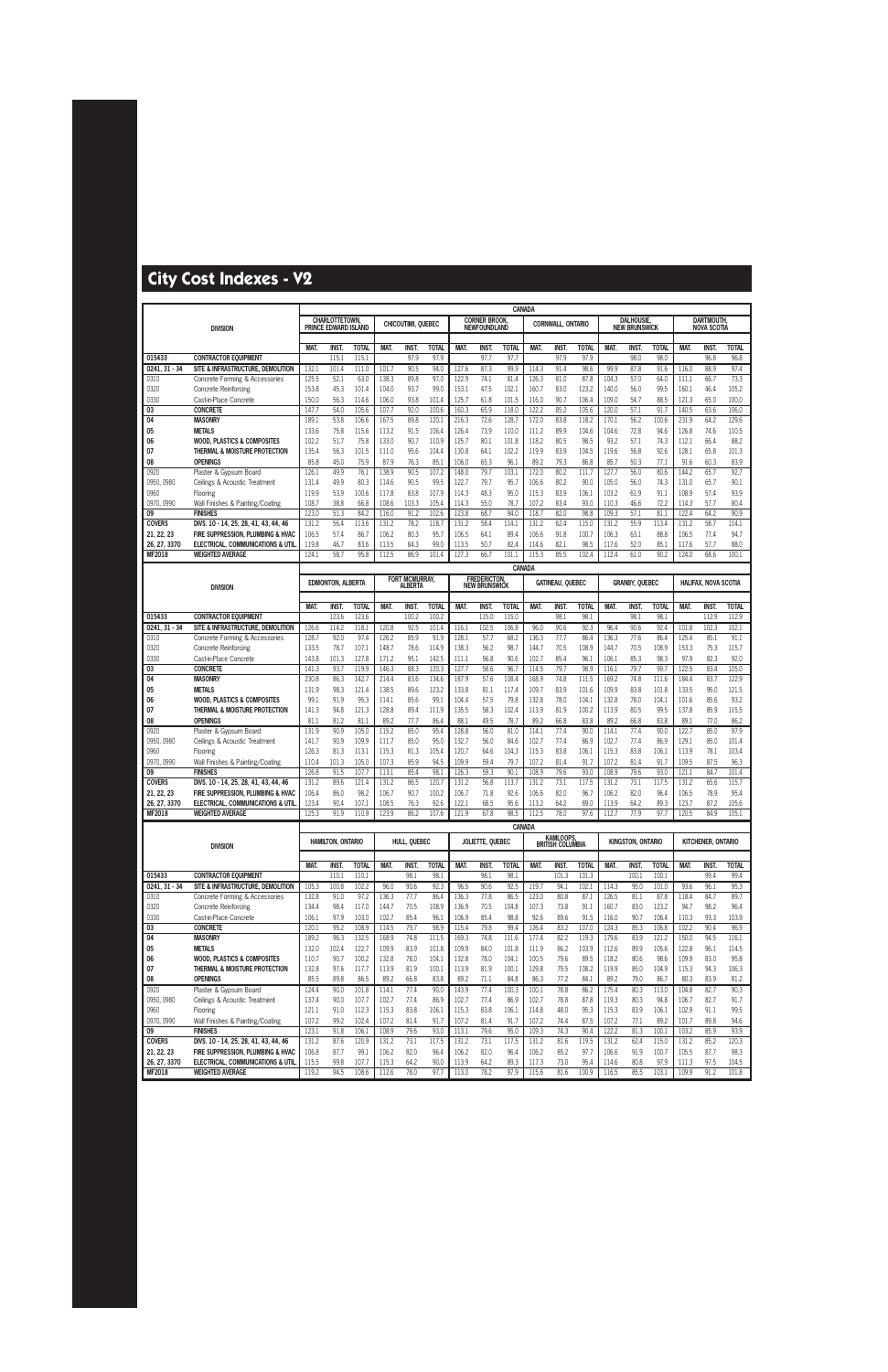|                            |                                                                         |                |                                       |                |                |                    |                |                | CANADA                              |                  |                |                          |                |                |                                           |                |                |                      |                |
|----------------------------|-------------------------------------------------------------------------|----------------|---------------------------------------|----------------|----------------|--------------------|----------------|----------------|-------------------------------------|------------------|----------------|--------------------------|----------------|----------------|-------------------------------------------|----------------|----------------|----------------------|----------------|
|                            |                                                                         |                | CHARLOTTETOWN<br>PRINCE EDWARD ISLAND |                |                | CHICOUTIMI, QUEBEC |                |                | <b>CORNER BROOK</b><br>NEWFOUNDLAND |                  |                | <b>CORNWALL, ONTARIO</b> |                |                | <b>DALHOUSIE,</b><br><b>NEW BRUNSWICK</b> |                |                | <b>DARTMOUTH.</b>    |                |
|                            | <b>DIVISION</b>                                                         |                |                                       |                |                |                    |                |                |                                     |                  |                |                          |                |                |                                           |                |                | <b>NOVA SCOTIA</b>   |                |
|                            |                                                                         | <b>MAT</b>     | INST.                                 | <b>TOTAL</b>   | MAT.           | <b>INST.</b>       | <b>TOTAL</b>   | MAT.           | <b>INST</b>                         | <b>TOTAL</b>     | MAT.           | <b>INST</b>              | <b>TOTAL</b>   | MAT.           | <b>INST</b>                               | <b>TOTAL</b>   | MAT.           | <b>INST.</b>         | <b>TOTAL</b>   |
| 015433                     | <b>CONTRACTOR EQUIPMENT</b>                                             |                | 115.1                                 | 115.1          |                | 97.9               | 97.9           |                | 97.7                                | 97.7             |                | 97.9                     | 97.9           |                | 98.0                                      | 98.0           |                | 96.8                 | 96.8           |
| 0241.31 - 34               | SITE & INFRASTRUCTURE, DEMOLITION                                       | 132.1          | 101.4                                 | 111.0          | 101.7          | 90.5               | 94.0           | 127.6          | 87.3                                | 99.9             | 114.3          | 91.4                     | 98.6           | 99.9           | 87.8                                      | 91.6           | 116.0          | 88.9                 | 97.4           |
| 0310                       | Concrete Forming & Accessories                                          | 125.5          | 52.1                                  | 63.0           | 138.3          | 89.8               | 97.0           | 122.9          | 74.1                                | 81.4             | 126.3          | 81.0                     | 87.8           | 104.3          | 57.0                                      | 64.0           | 111.1          | 66.7                 | 73.3           |
| 0320                       | <b>Concrete Reinforcing</b>                                             | 153.8          | 45.3                                  | 101.4          | 104.0          | 93.7               | 99.0           | 153.1          | 47.5                                | 102.1            | 160.7          | 83.0                     | 123.2          | 140.0          | 56.0                                      | 99.5           | 160.1          | 46.4                 | 105.2          |
| 0330                       | Cast-in-Place Concrete                                                  | 150.0          | 56.3                                  | 114.6          | 106.0          | 93.8               | 101.4          | 125.7          | 61.8                                | 101.5            | 116.0          | 90.7                     | 106.4          | 109.0          | 54.7                                      | 88.5           | 121.3          | 65.0                 | 100.0          |
| 03                         | <b>CONCRETE</b>                                                         | 147.7          | 54.0                                  | 105.6          | 107.7          | 92.0               | 100.6          | 160.3          | 65.9                                | 118.0            | 122.2          | 85.2                     | 105.6          | 120.0          | 57.1                                      | 91.7           | 140.5          | 63.6                 | 106.0          |
| 04                         | <b>MASONRY</b>                                                          | 189.1          | 53.8                                  | 106.6          | 167.5          | 89.8               | 120.1          | 216.3          | 72.6                                | 128.7            | 172.0          | 83.8                     | 118.2          | 170.1          | 56.2                                      | 100.6          | 231.9          | 64.2                 | 129.6          |
| 05<br>06                   | <b>METALS</b><br><b>WOOD, PLASTICS &amp; COMPOSITES</b>                 | 133.6<br>102.2 | 75.8<br>51.7                          | 115.6<br>75.8  | 113.2<br>133.0 | 91.5<br>90.7       | 106.4<br>110.9 | 126.4<br>125.7 | 73.9<br>80.1                        | 110.0<br>101.8   | 111.2<br>118.2 | 89.9<br>80.5             | 104.6<br>98.5  | 104.6<br>93.2  | 72.8<br>57.1                              | 94.6<br>74.3   | 126.8<br>112.1 | 74.6<br>66.4         | 110.5<br>88.2  |
| 07                         | THERMAL & MOISTURE PROTECTION                                           | 135.4          | 56.3                                  | 101.5          | 111.0          | 95.6               | 104.4          | 130.8          | 64.1                                | 102.2            | 119.9          | 83.9                     | 104.5          | 119.6          | 56.8                                      | 92.6           | 128.1          | 65.8                 | 101.3          |
| 08                         | <b>OPENINGS</b>                                                         | 85.8           | 45.0                                  | 75.9           | 87.9           | 76.3               | 85.1           | 106.0          | 65.3                                | 96.1             | 89.2           | 79.3                     | 86.8           | 85.7           | 50.3                                      | 77.1           | 91.6           | 60.3                 | 83.9           |
| 0920                       | Plaster & Gypsum Board                                                  | 126.1          | 49.9                                  | 76.1           | 138.9          | 90.5               | 107.2          | 148.0          | 79.7                                | 103.1            | 172.0          | 80.2                     | 111.7          | 127.7          | 56.0                                      | 80.6           | 144.2          | 65.7                 | 92.7           |
| 0950, 0980                 | Ceilings & Acoustic Treatment                                           | 131.4          | 49.9                                  | 80.3           | 114.6          | 90.5               | 99.5           | 122.7          | 79.7                                | 95.7             | 106.6          | 80.2                     | 90.0           | 105.0          | 56.0                                      | 74.3           | 131.0          | 65.7                 | 90.1           |
| 0960                       | Flooring                                                                | 119.9          | 53.9                                  | 100.6          | 117.8          | 83.8               | 107.9          | 114.3          | 48.3                                | 95.0             | 115.3          | 83.9                     | 106.1          | 103.2          | 61.9                                      | 91.1           | 108.9          | 57.4                 | 93.9           |
| 0970, 0990                 | Wall Finishes & Painting/Coating                                        | 108.7          | 38.8                                  | 66.8           | 108.6          | 103.3              | 105.4          | 114.3          | 55.0                                | 78.7             | 107.2          | 83.4                     | 93.0           | 110.3          | 46.6                                      | 72.2           | 114.3          | 57.7                 | 80.4           |
| 09                         | <b>FINISHES</b>                                                         | 123.0          | 51.3                                  | 84.2           | 116.0          | 91.2               | 102.6          | 123.8          | 68.7                                | 94.0             | 118.7          | 82.0                     | 98.8           | 109.3          | 57.1                                      | 81.1           | 122.4          | 64.2                 | 90.9           |
| <b>COVERS</b>              | DIVS. 10 - 14, 25, 28, 41, 43, 44, 46                                   | 131.2          | 56.4                                  | 113.6          | 131.2          | 78.2               | 118.7          | 131.2          | 58.4                                | 114.1            | 131.2          | 62.4                     | 115.0          | 131.2          | 55.9                                      | 113.4          | 131.2          | 58.7                 | 114.1          |
| 21, 22, 23                 | FIRE SUPPRESSION. PLUMBING & HVAC                                       | 106.5          | 57.4                                  | 86.7           | 106.2          | 80.3               | 95.7           | 106.5          | 64.1                                | 89.4             | 106.6          | 91.8                     | 100.7          | 106.3          | 63.1                                      | 88.8           | 106.5          | 77.4                 | 94.7           |
| 26, 27, 3370<br>MF2018     | ELECTRICAL, COMMUNICATIONS & UTIL<br><b>WEIGHTED AVERAGE</b>            | 119.8<br>124.1 | 46.7<br>58.7                          | 83.6<br>95.8   | 113.5<br>112.5 | 84.3<br>86.9       | 99.0<br>101.4  | 113.5<br>127.3 | 50.7<br>66.7                        | 82.4<br>101.1    | 114.6<br>115.3 | 82.1<br>85.5             | 98.5<br>102.4  | 117.6<br>112.4 | 52.0<br>61.0                              | 85.1<br>90.2   | 117.6<br>124.0 | 57.7<br>68.6         | 88.0<br>100.1  |
|                            |                                                                         |                |                                       |                |                |                    |                |                |                                     |                  |                |                          |                |                |                                           |                |                |                      |                |
|                            |                                                                         |                |                                       |                |                | FORT MCMURRAY,     |                |                | <b>FREDERICTON,</b>                 | CANADA           |                |                          |                |                |                                           |                |                |                      |                |
|                            | <b>DIVISION</b>                                                         |                | <b>EDMONTON, ALBERTA</b>              |                |                | Alberta            |                |                | <b>NEW BRUNSWICK</b>                |                  |                | <b>GATINEAU, OUEBEC</b>  |                |                | <b>GRANBY, QUEBEC</b>                     |                |                | HALIFAX, NOVA SCOTIA |                |
|                            |                                                                         |                |                                       |                |                |                    |                |                |                                     |                  |                |                          |                |                |                                           |                |                |                      |                |
|                            |                                                                         | MAT.           | INST.                                 | <b>TOTAL</b>   | MAT.           | <b>INST.</b>       | <b>TOTAL</b>   | MAT.           | <b>INST</b>                         | <b>TOTAL</b>     | MAT.           | <b>INST.</b>             | <b>TOTAL</b>   | MAT.           | <b>INST.</b>                              | <b>TOTAL</b>   | MAT.           | <b>INST.</b>         | <b>TOTAL</b>   |
| 015433<br>0241.31 - 34     | <b>CONTRACTOR EQUIPMENT</b><br>SITE & INFRASTRUCTURE, DEMOLITION        | 126.6          | 123.6<br>114.2                        | 123.6<br>118.1 | 120.8          | 100.2<br>92.5      | 100.2<br>101.4 | 116.1          | 115.0<br>102.5                      | 115.0<br>106.8   | 96.0           | 98.1<br>90.6             | 98.1<br>92.3   | 96.4           | 98.1<br>90.6                              | 98.1<br>92.4   | 101.8          | 112.9<br>102.3       | 112.9<br>102.1 |
| 0310                       | Concrete Forming & Accessories                                          | 128.7          | 92.0                                  | 97.4           | 126.2          | 85.9               | 91.9           | 128.1          | 57.7                                | 68.2             | 136.3          | 77.7                     | 86.4           | 136.3          | 77.6                                      | 86.4           | 125.4          | 85.1                 | 91.1           |
| 0320                       | <b>Concrete Reinforcing</b>                                             | 133.5          | 78.7                                  | 107.1          | 148.7          | 78.6               | 114.9          | 138.3          | 56.2                                | 98.7             | 144.7          | 70.5                     | 108.9          | 144.7          | 70.5                                      | 108.9          | 153.3          | 75.3                 | 115.7          |
| 0330                       | Cast-in-Place Concrete                                                  | 143.8          | 101.3                                 | 127.8          | 171.2          | 95.1               | 142.5          | 111.1          | 56.8                                | 90.6             | 102.7          | 85.4                     | 96.1           | 106.1          | 85.3                                      | 98.3           | 97.9           | 82.3                 | 92.0           |
| 03                         | <b>CONCRETE</b>                                                         | 141.3          | 93.7                                  | 119.9          | 146.3          | 88.3               | 120.3          | 127.7          | 58.6                                | 96.7             | 114.5          | 79.7                     | 98.9           | 116.1          | 79.7                                      | 99.7           | 122.5          | 83.4                 | 105.0          |
| 04                         | <b>MASONRY</b>                                                          | 230.8          | 86.3                                  | 142.7          | 214.4          | 83.6               | 134.6          | 187.9          | 57.6                                | 108.4            | 168.9          | 74.8                     | 111.5          | 169.2          | 74.8                                      | 111.6          | 184.4          | 83.7                 | 122.9          |
| 05                         | <b>METALS</b>                                                           | 131.9          | 98.3                                  | 121.4          | 138.5          | 89.6               | 123.2          | 133.8          | 81.1                                | 117.4            | 109.7          | 83.9                     | 101.6          | 109.9          | 83.8                                      | 101.8          | 133.5          | 95.0                 | 121.5          |
| 06<br>07                   | <b>WOOD, PLASTICS &amp; COMPOSITES</b><br>THERMAL & MOISTURE PROTECTION | 99.1<br>141.3  | 91.9<br>94.8                          | 95.3<br>121.3  | 114.1<br>128.8 | 85.6<br>89.4       | 99.1<br>111.9  | 104.4<br>135.5 | 57.5<br>58.3                        | 79.8<br>102.4    | 132.8<br>113.9 | 78.0<br>81.9             | 104.1<br>100.2 | 132.8<br>113.9 | 78.0<br>80.5                              | 104.1<br>99.5  | 101.6<br>137.8 | 85.6<br>85.9         | 93.2<br>115.5  |
| 08                         | <b>OPENINGS</b>                                                         | 81.1           | 81.2                                  | 81.1           | 89.2           | 77.7               | 86.4           | 88.1           | 49.5                                | 78.7             | 89.2           | 66.8                     | 83.8           | 89.2           | 66.8                                      | 83.8           | 89.1           | 77.0                 | 86.2           |
| 0920                       | Plaster & Gypsum Board                                                  | 131.9          | 90.9                                  | 105.0          | 115.2          | 85.0               | 95.4           | 128.8          | 56.0                                | 81.0             | 114.1          | 77.4                     | 90.0           | 114.1          | 77.4                                      | 90.0           | 122.7          | 85.0                 | 97.9           |
| 0950, 0980                 | Ceilings & Acoustic Treatment                                           | 141.7          | 90.9                                  | 109.9          | 111.7          | 85.0               | 95.0           | 132.7          | 56.0                                | 84.6             | 102.7          | 77.4                     | 86.9           | 102.7          | 77.4                                      | 86.9           | 129.1          | 85.0                 | 101.4          |
| 0960                       | Flooring                                                                | 126.3          | 81.3                                  | 113.1          | 115.3          | 81.3               | 105.4          | 120.7          | 64.6                                | 104.3            | 115.3          | 83.8                     | 106.1          | 115.3          | 83.8                                      | 106.1          | 113.9          | 78.1                 | 103.4          |
| 0970, 0990                 | Wall Finishes & Painting/Coating                                        | 110.4          | 101.3                                 | 105.0          | 107.3          | 85.9               | 94.5           | 109.9          | 59.4                                | 79.7             | 107.2          | 81.4                     | 91.7           | 107.2          | 81.4                                      | 91.7           | 109.5          | 87.5                 | 96.3           |
| 09                         | <b>FINISHES</b>                                                         | 126.8          | 91.5                                  | 107.7          | 113.1          | 85.4               | 98.1           | 126.3          | 59.3                                | 90.1             | 108.9          | 79.6                     | 93.0           | 108.9          | 79.6                                      | 93.0           | 121.1          | 84.7                 | 101.4          |
| <b>COVERS</b>              | DIVS. 10 - 14, 25, 28, 41, 43, 44, 46                                   | 131.2          | 89.6                                  | 121.4          | 131.2          | 86.5               | 120.7          | 131.2          | 56.8                                | 113.7            | 131.2          | 73.1                     | 117.5          | 131.2          | 73.1                                      | 117.5          | 131.2          | 65.6                 | 115.7          |
| 21, 22, 23<br>26, 27, 3370 | FIRE SUPPRESSION, PLUMBING & HVAC<br>ELECTRICAL, COMMUNICATIONS & UTIL  | 106.4<br>123.4 | 86.0<br>90.4                          | 98.2<br>107.1  | 106.7<br>108.5 | 90.7<br>76.3       | 100.2<br>92.6  | 106.7<br>122.1 | 71.8<br>68.5                        | 92.6<br>$95.6\,$ | 106.6<br>113.2 | 82.0<br>64.2             | 96.7<br>89.0   | 106.2<br>113.9 | 82.0<br>64.2                              | 96.4<br>89.3   | 106.5<br>123.7 | 78.9<br>87.2         | 95.4<br>105.6  |
| MF2018                     | <b>WEIGHTED AVERAGE</b>                                                 | 125.3          | 91.9                                  | 110.9          | 123.9          | 86.2               | 107.6          | 121.9          | 67.8                                | 98.5             | 112.5          | 78.0                     | 97.6           | 112.7          | 77.9                                      | 97.7           | 120.5          | 84.9                 | 105.1          |
|                            |                                                                         |                |                                       |                |                |                    |                |                |                                     | <b>CANADA</b>    |                |                          |                |                |                                           |                |                |                      |                |
|                            |                                                                         |                | HAMILTON, ONTARIO                     |                |                | HULL. OUEBEC       |                |                | JOLIETTE, QUEBEC                    |                  |                | KAMLOOPS,                |                |                | <b>KINGSTON, ONTARIO</b>                  |                |                | KITCHENER, ONTARIO   |                |
|                            | <b>DIVISION</b>                                                         |                |                                       |                |                |                    |                |                |                                     |                  |                | <b>BRITISH COLUMBIA</b>  |                |                |                                           |                |                |                      |                |
|                            |                                                                         | MAT.           | INST.                                 | <b>TOTAL</b>   | MAT.           | <b>INST.</b>       | <b>TOTAL</b>   | MAT.           | <b>INST.</b>                        | <b>TOTAL</b>     | MAT.           | <b>INST.</b>             | <b>TOTAL</b>   | MAT.           | INST.                                     | <b>TOTAL</b>   | MAT.           | <b>INST.</b>         | <b>TOTAL</b>   |
| 015433                     | <b>CONTRACTOR EQUIPMENT</b>                                             |                | 110.1                                 | 110.1          |                | 98.1               | 98.1           |                | 98.1                                | 98.1             |                | 101.3                    | 101.3          |                | 100.1                                     | 100.1          |                | 99.4                 | 99.4           |
| $0241.31 - 34$             | SITE & INFRASTRUCTURE, DEMOLITION                                       | 105.3          | 100.8                                 | 102.2          | 96.0           | 90.6               | 92.3           | 96.5           | 90.6                                | 92.5             | 119.7          | 94.1                     | 102.1          | 114.3          | 95.0                                      | 101.0          | 93.6           | 96.1                 | 95.3           |
| 0310                       | Concrete Forming & Accessories                                          | 132.8          | 91.0                                  | 97.2           | 136.3          | 77.7               | 86.4           | 136.3          | 77.8                                | 86.5             | 123.0          | 80.8                     | 87.1           | 126.5          | 81.1                                      | 87.8           | 118.4          | 84.7                 | 89.7           |
| 0320                       | <b>Concrete Reinforcing</b>                                             | 134.4          | 98.4                                  | 117.0          | 144.7          | 70.5               | 108.9          | 136.9          | 70.5                                | 104.8            | 107.3          | 73.8                     | 91.1           | 160.7          | 83.0                                      | 123.2          | 94.7           | 98.2                 | 96.4           |
| 0330<br>03                 | Cast-in-Place Concrete<br><b>CONCRETE</b>                               | 106.1<br>120.1 | 97.9<br>95.2                          | 103.0<br>108.9 | 102.7<br>114.5 | 85.4<br>79.7       | 96.1<br>98.9   | 106.9<br>115.4 | 85.4<br>79.8                        | 98.8<br>99.4     | 92.6<br>126.4  | 89.6<br>83.2             | 91.5<br>107.0  | 116.0<br>124.3 | 90.7<br>85.3                              | 106.4<br>106.8 | 110.3<br>102.2 | 93.3<br>90.4         | 103.9<br>96.9  |
| 04                         | <b>MASONRY</b>                                                          | 189.2          | 96.3                                  | 132.5          | 168.9          | 74.8               | 111.5          | 169.3          | 74.8                                | 111.6            | 177.4          | 82.2                     | 119.3          | 179.6          | 83.9                                      | 121.2          | 150.0          | 94.5                 | 116.1          |
| 05                         | <b>METALS</b>                                                           | 132.0          | 102.4                                 | 122.7          | 109.9          | 83.9               | 101.8          | 109.9          | 84.0                                | 101.8            | 111.9          | 86.2                     | 103.9          | 112.6          | 89.9                                      | 105.6          | 122.8          | 96.1                 | 114.5          |
| 06                         | <b>WOOD, PLASTICS &amp; COMPOSITES</b>                                  | 110.7          | 90.7                                  | 100.2          | 132.8          | 78.0               | 104.1          | 132.8          | 78.0                                | 104.1            | 100.5          | 79.6                     | 89.5           | 118.2          | 80.6                                      | 98.6           | 109.9          | 83.0                 | 95.8           |
| 07                         | THERMAL & MOISTURE PROTECTION                                           | 132.8          | 97.6                                  | 117.7          | 113.9          | 81.9               | 100.1          | 113.9          | 81.9                                | 100.1            | 129.8          | 79.5                     | 108.2          | 119.9          | 85.0                                      | 104.9          | 115.3          | 94.3                 | 106.3          |
| 08                         | <b>OPENINGS</b>                                                         | 85.5           | 89.8                                  | 86.5           | 89.2           | 66.8               | 83.8           | 89.2           | 71.1                                | 84.8             | 86.3           | 77.2                     | 84.1           | 89.2           | 79.0                                      | 86.7           | 80.3           | 83.9                 | 81.2           |
| 0920                       | Plaster & Gypsum Board                                                  | 124.4          | 90.0                                  | 101.8          | 114.1          | 77.4               | 90.0           | 143.9          | 77.4                                | 100.3            | 100.1          | 78.8                     | 86.2           | 175.4          | 80.3                                      | 113.0          | 104.8          | 82.7                 | 90.3           |
| 0950, 0980                 | Ceilings & Acoustic Treatment                                           | 137.4          | 90.0                                  | 107.7          | 102.7          | 77.4               | 86.9           | 102.7          | 77.4                                | 86.9             | 102.7          | 78.8                     | 87.8           | 119.3          | 80.3                                      | 94.8           | 106.7          | 82.7                 | 91.7           |
| 0960<br>0970, 0990         | Flooring<br>Wall Finishes & Painting/Coating                            | 121.1<br>107.2 | 91.0<br>99.2                          | 112.3<br>102.4 | 115.3<br>107.2 | 83.8<br>81.4       | 106.1<br>91.7  | 115.3<br>107.2 | 83.8<br>81.4                        | 106.1<br>91.7    | 114.8<br>107.2 | 48.0<br>74.4             | 95.3<br>87.5   | 115.3<br>107.2 | 83.9<br>77.1                              | 106.1<br>89.2  | 102.9<br>101.7 | 91.1<br>89.8         | 99.5<br>94.6   |
| 09                         | <b>FINISHES</b>                                                         | 123.1          | 91.8                                  | 106.1          | 108.9          | 79.6               | 93.0           | 113.1          | 79.6                                | 95.0             | 109.3          | 74.3                     | 90.4           | 122.2          | 81.3                                      | 100.1          | 103.2          | 85.9                 | 93.9           |
| <b>COVERS</b>              | DIVS. 10 - 14, 25, 28, 41, 43, 44, 46                                   | 131.2          | 87.6                                  | 120.9          | 131.2          | 73.1               | 117.5          | 131.2          | 73.1                                | 117.5            | 131.2          | 81.6                     | 119.5          | 131.2          | 62.4                                      | 115.0          | 131.2          | 85.2                 | 120.3          |
| 21, 22, 23                 | FIRE SUPPRESSION, PLUMBING & HVAC                                       | 106.8          | 87.7                                  | 99.1           | 106.2          | 82.0               | 96.4           | 106.2          | 82.0                                | 96.4             | 106.2          | 85.2                     | 97.7           | 106.6          | 91.9                                      | 100.7          | 105.5          | 87.7                 | 98.3           |
| 26, 27, 3370               | ELECTRICAL, COMMUNICATIONS & UTIL                                       | 115.5          | 99.8                                  | 107.7          | 115.3          | 64.2               | 90.0           | 113.9          | 64.2                                | 89.3             | 117.3          | 73.0                     | 95.4           | 114.6          | 80.8                                      | 97.9           | 111.3          | 97.5                 | 104.5          |
| <b>MF2018</b>              | <b>WEIGHTED AVERAGE</b>                                                 | 119.2          | 94.5                                  | 108.6          | 112.6          | 78.0               | 97.7           | 113.0          | 78.2                                | 97.9             | 115.6          | 81.6                     | 100.9          | 116.5          | 85.5                                      | 103.1          | 109.9          | 91.2                 | 101.8          |
|                            |                                                                         |                |                                       |                |                |                    |                |                |                                     |                  |                |                          |                |                |                                           |                |                |                      |                |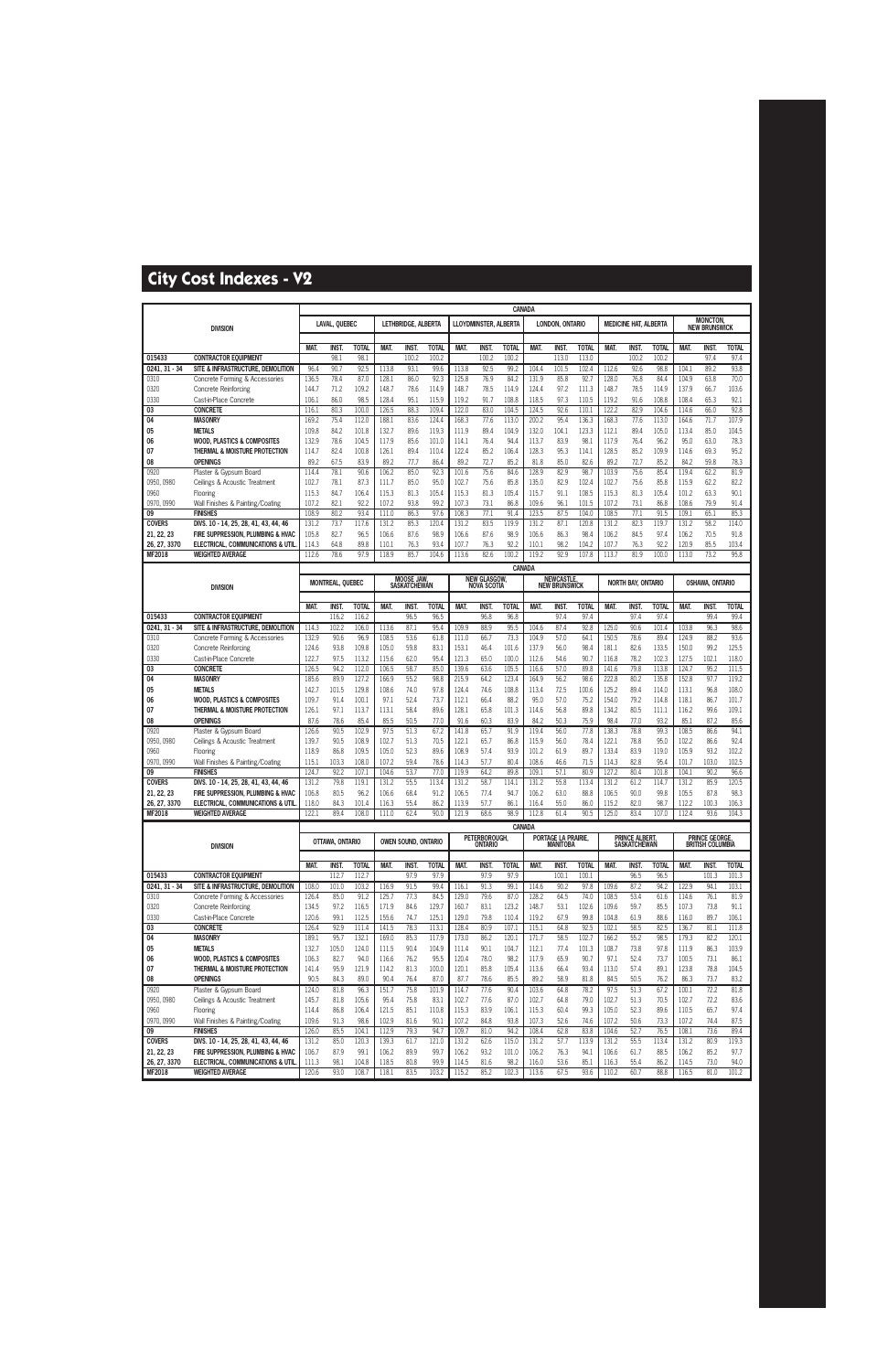|                    |                                                         | <b>CANADA</b>  |                       |                       |                |                            |                      |                |                                 |                      |                |                                        |                       |                |                              |                      |                |                                         |                       |
|--------------------|---------------------------------------------------------|----------------|-----------------------|-----------------------|----------------|----------------------------|----------------------|----------------|---------------------------------|----------------------|----------------|----------------------------------------|-----------------------|----------------|------------------------------|----------------------|----------------|-----------------------------------------|-----------------------|
|                    | <b>DIVISION</b>                                         |                | LAVAL, QUEBEC         |                       |                | Lethbridge, Alberta        |                      |                | <b>LLOYDMINSTER, ALBERTA</b>    |                      |                | LONDON, ONTARIO                        |                       |                | <b>MEDICINE HAT, ALBERTA</b> |                      |                | <b>MONCTON,</b><br><b>NEW BRUNSWICK</b> |                       |
|                    |                                                         | MAT.           | INST.                 | <b>TOTAL</b>          | MAT.           | INST.                      | <b>TOTAL</b>         | MAT.           | INST.                           | <b>TOTAL</b>         | MAT.           | <b>INST.</b>                           | <b>TOTAL</b>          | MAT.           | INST.                        | <b>TOTAL</b>         | MAT.           | INST.                                   | <b>TOTAL</b>          |
| 015433             | <b>CONTRACTOR EQUIPMENT</b>                             |                | 98.1                  | 98.1                  |                | 100.2                      | 100.2                |                | 100.2                           | 100.2                |                | 113.0                                  | 113.0                 |                | 100.2                        | 100.2                |                | 97.4                                    | 97.4                  |
| 0241, 31 - 34      | SITE & INFRASTRUCTURE, DEMOLITION                       | 96.4           | 90.7                  | 92.5                  | 113.8          | 93.1                       | 99.6                 | 113.8          | 92.5                            | 99.2                 | 104.4          | 101.5                                  | 102.4                 | 112.6          | 92.6                         | 98.8                 | 104.1          | 89.2                                    | 93.8                  |
| 0310               | Concrete Forming & Accessories                          | 136.5          | 78.4                  | 87.0                  | 128.1          | 86.0                       | 92.3                 | 125.8          | 76.9                            | 84.2                 | 131.9          | 85.8                                   | 92.7                  | 128.0          | 76.8                         | 84.4                 | 104.9          | 63.8                                    | 70.0                  |
| 0320               | <b>Concrete Reinforcing</b>                             | 144.7          | 71.2                  | 109.2                 | 148.7          | 78.6                       | 114.9                | 148.7          | 78.5                            | 114.9                | 124.4          | 97.2                                   | 111.3                 | 148.7          | 78.5                         | 114.9                | 137.9          | 66.7                                    | 103.6                 |
| 0330               | Cast-in-Place Concrete                                  | 106.1          | 86.0                  | 98.5                  | 128.4          | 95.1                       | 115.9                | 119.2          | 91.7                            | 108.8                | 118.5          | 97.3                                   | 110.5                 | 119.2          | 91.6                         | 108.8                | 108.4          | 65.3                                    | 92.1                  |
| 03                 | <b>CONCRETE</b>                                         | 116.1          | 80.3                  | 100.0                 | 126.5          | 88.3                       | 109.4                | 122.0          | 83.0                            | 104.5                | 124.5          | 92.6                                   | 110.1                 | 122.2          | 82.9                         | 104.6                | 114.6          | 66.0                                    | 92.8                  |
| 04<br>05           | <b>MASONRY</b><br><b>METALS</b>                         | 169.2<br>109.8 | 75.4<br>84.2          | 112.0<br>101.8        | 188.1<br>132.7 | 83.6<br>89.6               | 124.4<br>119.3       | 168.3<br>111.9 | 77.6<br>89.4                    | 113.0<br>104.9       | 200.2<br>132.0 | 95.4<br>104.1                          | 136.3<br>123.3        | 168.3<br>112.1 | 77.6<br>89.4                 | 113.0<br>105.0       | 164.6<br>113.4 | 71.7<br>85.0                            | 107.9<br>104.5        |
| 06                 | <b>WOOD, PLASTICS &amp; COMPOSITES</b>                  | 132.9          | 78.6                  | 104.5                 | 117.9          | 85.6                       | 101.0                | 114.1          | 76.4                            | 94.4                 | 113.7          | 83.9                                   | 98.1                  | 117.9          | 76.4                         | 96.2                 | 95.0           | 63.0                                    | 78.3                  |
| 07                 | THERMAL & MOISTURE PROTECTION                           | 114.7          | 82.4                  | 100.8                 | 126.1          | 89.4                       | 110.4                | 122.4          | 85.2                            | 106.4                | 128.3          | 95.3                                   | 114.1                 | 128.5          | 85.2                         | 109.9                | 114.6          | 69.3                                    | 95.2                  |
| 08                 | <b>OPENINGS</b>                                         | 89.2           | 67.5                  | 83.9                  | 89.2           | 77.7                       | 86.4                 | 89.2           | 72.7                            | 85.2                 | 81.8           | 85.0                                   | 82.6                  | 89.2           | 72.7                         | 85.2                 | 84.2           | 59.8                                    | 78.3                  |
| 0920               | Plaster & Gypsum Board                                  | 114.4          | 78.1                  | 90.6                  | 106.2          | 85.0                       | 92.3                 | 101.6          | 75.6                            | 84.6                 | 128.9          | 82.9                                   | 98.7                  | 103.9          | 75.6                         | 85.4                 | 119.4          | 62.2                                    | 81.9                  |
| 0950, 0980         | Ceilings & Acoustic Treatment                           | 102.7          | 78.1                  | 87.3                  | 111.7          | 85.0                       | 95.0                 | 102.7          | 75.6                            | 85.8                 | 135.0          | 82.9                                   | 102.4                 | 102.7          | 75.6                         | 85.8                 | 115.9          | 62.2                                    | 82.2                  |
| 0960               | Flooring                                                | 115.3          | 84.7                  | 106.4                 | 115.3          | 81.3                       | 105.4                | 115.3          | 81.3                            | 105.4                | 115.7          | 91.1                                   | 108.5                 | 115.3          | 81.3                         | 105.4                | 101.2          | 63.3                                    | 90.1                  |
| 0970, 0990<br>09   | Wall Finishes & Painting/Coating<br><b>FINISHES</b>     | 107.2<br>108.9 | 82.1<br>80.2          | 92.2<br>93.4          | 107.2<br>111.0 | 93.8<br>86.3               | 99.2<br>97.6         | 107.3<br>108.3 | 73.1<br>77.1                    | 86.8<br>91.4         | 109.6<br>123.5 | 96.1<br>87.5                           | 101.5<br>104.0        | 107.2<br>108.5 | 73.1<br>77.1                 | 86.8<br>91.5         | 108.6<br>109.1 | 79.9<br>65.1                            | 91.4<br>85.3          |
| <b>COVERS</b>      | DIVS. 10 - 14, 25, 28, 41, 43, 44, 46                   | 131.2          | 73.7                  | 117.6                 | 131.2          | 85.3                       | 120.4                | 131.2          | 83.5                            | 119.9                | 131.2          | 87.1                                   | 120.8                 | 131.2          | 82.3                         | 119.7                | 131.2          | 58.2                                    | 114.0                 |
| 21, 22, 23         | FIRE SUPPRESSION, PLUMBING & HVAC                       | 105.8          | 82.7                  | 96.5                  | 106.6          | 87.6                       | 98.9                 | 106.6          | 87.6                            | 98.9                 | 106.6          | 86.3                                   | 98.4                  | 106.2          | 84.5                         | 97.4                 | 106.2          | 70.5                                    | 91.8                  |
| 26, 27, 3370       | ELECTRICAL, COMMUNICATIONS & UTIL                       | 114.3          | 64.8                  | 89.8                  | 110.1          | 76.3                       | 93.4                 | 107.7          | 76.3                            | 92.2                 | 110.1          | 98.2                                   | 104.2                 | 107.7          | 76.3                         | 92.2                 | 120.9          | 85.5                                    | 103.4                 |
| MF2018             | <b>WEIGHTED AVERAGE</b>                                 | 112.6          | 78.6                  | 97.9                  | 118.9          | 85.7                       | 104.6                | 113.6          | 82.6                            | 100.2                | 119.2          | 92.9                                   | 107.8                 | 113.7          | 81.9                         | 100.0                | 113.0          | 73.2                                    | 95.8                  |
|                    |                                                         |                |                       |                       |                |                            |                      |                |                                 | CANADA               |                |                                        |                       |                |                              |                      |                |                                         |                       |
|                    |                                                         |                | MONTREAL, QUEBEC      |                       |                | <b>MOOSE JAW</b>           |                      |                | <b>NEW GLASGOW,</b>             |                      |                | <b>NEWCASTLE,</b>                      |                       |                | NORTH BAY, ONTARIO           |                      |                | OSHAWA, ONTARIO                         |                       |
|                    | <b>DIVISION</b>                                         |                |                       |                       |                | <b>SASKATCHEWAN</b>        |                      |                | <b>NOVA SCOTIA</b>              |                      |                | <b>NEW BRUNSWICK</b>                   |                       |                |                              |                      |                |                                         |                       |
|                    |                                                         | MAT.           | INST.                 | <b>TOTAL</b>          | MAT.           | <b>INST.</b>               | <b>TOTAL</b>         | MAT.           | <b>INST</b>                     | <b>TOTAL</b>         | MAT.           | INST.                                  | <b>TOTAL</b>          | MAT.           | <b>INST.</b>                 | <b>TOTAL</b>         | MAT.           | INST.                                   | <b>TOTAL</b>          |
| 015433             | <b>CONTRACTOR EQUIPMENT</b>                             |                | 116.2                 | 116.2                 |                | 96.5                       | 96.5                 |                | 96.8                            | 96.8                 |                | 97.4                                   | 97.4                  |                | 97.4                         | 97.4                 |                | 99.4                                    | 99.4                  |
| 0241, 31 - 34      | SITE & INFRASTRUCTURE, DEMOLITION                       | 114.3          | 102.2                 | 106.0                 | 113.6          | 87.1                       | 95.4                 | 109.9          | 88.9                            | 95.5                 | 104.6          | 87.4                                   | 92.8                  | 125.0          | 90.6                         | 101.4                | 103.8          | 96.3                                    | 98.6                  |
| 0310               | Concrete Forming & Accessories                          | 132.9          | 90.6                  | 96.9                  | 108.5          | 53.6                       | 61.8                 | 111.0          | 66.7                            | 73.3                 | 104.9          | 57.0                                   | 64.1                  | 150.5          | 78.6                         | 89.4                 | 124.9          | 88.2                                    | 93.6                  |
| 0320               | <b>Concrete Reinforcing</b>                             | 124.6          | 93.8                  | 109.8                 | 105.0          | 59.8                       | 83.1                 | 153.1          | 46.4                            | 101.6                | 137.9          | 56.0                                   | 98.4                  | 181.1          | 82.6                         | 133.5                | 150.0          | 99.2                                    | 125.5                 |
| 0330<br>03         | Cast-in-Place Concrete<br><b>CONCRETE</b>               | 122.7<br>126.5 | 97.5<br>94.2          | 113.2<br>112.0        | 115.6<br>106.5 | 62.0<br>58.7               | 95.4<br>85.0         | 121.3<br>139.6 | 65.0<br>63.6                    | 100.0<br>105.5       | 112.6<br>116.6 | 54.6<br>57.0                           | 90.7<br>89.8          | 116.8<br>141.6 | 78.2<br>79.8                 | 102.3<br>113.8       | 127.5<br>124.7 | 102.1<br>95.2                           | 118.0<br>111.5        |
| 04                 | <b>MASONRY</b>                                          | 185.6          | 89.9                  | 127.2                 | 166.9          | 55.2                       | 98.8                 | 215.9          | 64.2                            | 123.4                | 164.9          | 56.2                                   | 98.6                  | 222.8          | 80.2                         | 135.8                | 152.8          | 97.7                                    | 119.2                 |
| 05                 | <b>METALS</b>                                           | 142.7          | 101.5                 | 129.8                 | 108.6          | 74.0                       | 97.8                 | 124.4          | 74.6                            | 108.8                | 113.4          | 72.5                                   | 100.6                 | 125.2          | 89.4                         | 114.0                | 113.1          | 96.8                                    | 108.0                 |
| 06                 | <b>WOOD, PLASTICS &amp; COMPOSITES</b>                  | 109.7          | 91.4                  | 100.1                 | 97.1           | 52.4                       | 73.7                 | 112.1          | 66.4                            | 88.2                 | 95.0           | 57.0                                   | 75.2                  | 154.0          | 79.2                         | 114.8                | 118.1          | 86.7                                    | 101.7                 |
| 07                 | THERMAL & MOISTURE PROTECTION                           | 126.1          | 97.1                  | 113.7                 | 113.1          | 58.4                       | 89.6                 | 128.1          | 65.8                            | 101.3                | 114.6          | 56.8                                   | 89.8                  | 134.2          | 80.5                         | 111.1                | 116.2          | 99.6                                    | 109.1                 |
| 08                 | <b>OPENINGS</b>                                         | 87.6           | 78.6                  | 85.4                  | 85.5           | 50.5                       | 77.0                 | 91.6           | 60.3                            | 83.9                 | 84.2           | 50.3                                   | 75.9                  | 98.4           | 77.0                         | 93.2                 | 85.1           | 87.2                                    | 85.6                  |
| 0920               | Plaster & Gypsum Board                                  | 126.6          | 90.5                  | 102.9                 | 97.5           | 51.3                       | 67.2                 | 141.8          | 65.7                            | 91.9                 | 119.4          | 56.0                                   | 77.8                  | 138.3          | 78.8                         | 99.3                 | 108.5          | 86.6                                    | 94.1                  |
| 0950, 0980<br>0960 | Ceilings & Acoustic Treatment<br>Flooring               | 139.7<br>118.9 | 90.5<br>86.8          | 108.9<br>109.5        | 102.7<br>105.0 | 51.3<br>52.3               | 70.5<br>89.6         | 122.1<br>108.9 | 65.7<br>57.4                    | 86.8<br>93.9         | 115.9<br>101.2 | 56.0<br>61.9                           | 78.4<br>89.7          | 122.1<br>133.4 | 78.8<br>83.9                 | 95.0<br>119.0        | 102.2<br>105.9 | 86.6<br>93.2                            | 92.4<br>102.2         |
| 0970.0990          | Wall Finishes & Painting/Coating                        | 115.1          | 103.3                 | 108.0                 | 107.2          | 59.4                       | 78.6                 | 114.3          | 57.7                            | 80.4                 | 108.6          | 46.6                                   | 71.5                  | 114.3          | 82.8                         | 95.4                 | 101.7          | 103.0                                   | 102.5                 |
| 09                 | <b>FINISHES</b>                                         | 124.7          | 92.2                  | 107.1                 | 104.6          | 53.7                       | 77.0                 | 119.9          | 64.2                            | 89.8                 | 109.1          | 57.1                                   | 80.9                  | 127.2          | 80.4                         | 101.8                | 104.1          | 90.2                                    | 96.6                  |
| <b>COVERS</b>      | DIVS. 10 - 14, 25, 28, 41, 43, 44, 46                   | 131.2          | 79.8                  | 119.1                 | 131.2          | 55.5                       | 113.4                | 131.2          | 58.7                            | 114.1                | 131.2          | 55.8                                   | 113.4                 | 131.2          | 61.2                         | 114.7                | 131.2          | 85.9                                    | 120.5                 |
| 21, 22, 23         | FIRE SUPPRESSION, PLUMBING & HVAC                       | 106.8          | 80.5                  | 96.2                  | 106.6          | 68.4                       | 91.2                 | 106.5          | 77.4                            | 94.7                 | 106.2          | 63.0                                   | 88.8                  | 106.5          | 90.0                         | 99.8                 | 105.5          | 87.8                                    | 98.3                  |
| 26, 27, 3370       | ELECTRICAL, COMMUNICATIONS & UTIL                       | 118.0          | 84.3                  | 101.4                 | 116.3          | 55.4                       | 86.2                 | 113.9          | 57.7                            | 86.1                 | 116.4          | 55.0                                   | 86.0                  | 115.2          | 82.0                         | 98.7                 | 112.2          | 100.3                                   | 106.3                 |
| MF2018             | WEIGHTED AVERAGE                                        | 122.1          | 89.4                  | 108.0                 | 111.0          | 62.4                       | 90.0                 | 121.9          | 68.6                            | 98.9                 | 112.8          | 61.4                                   | 90.5                  | 125.0          | 83.4                         | 107.0                | 112.4          | 93.6                                    | 104.3                 |
|                    |                                                         |                |                       |                       |                |                            |                      |                |                                 |                      | <b>CANADA</b>  |                                        |                       |                | PRINCE ALBERT,               |                      |                |                                         |                       |
|                    | <b>DIVISION</b>                                         |                | OTTAWA, ONTARIO       |                       |                | <b>OWEN SOUND, ONTARIO</b> |                      |                | PETERBOROUGH,<br><b>ONTARIO</b> |                      |                | PORTAGE LA PRAIRIE,<br><b>MANITOBA</b> |                       |                | <b>SASKATCHEWAN</b>          |                      |                | PRINCE GEORGE,<br>BRITISH COLUMBIA      |                       |
|                    |                                                         |                |                       |                       |                |                            |                      |                |                                 |                      |                |                                        |                       |                |                              |                      |                |                                         |                       |
| 015433             | <b>CONTRACTOR EQUIPMENT</b>                             | MAT.           | <b>INST.</b><br>112.7 | <b>TOTAL</b><br>112.7 | MAT.           | <b>INST.</b><br>97.9       | <b>TOTAL</b><br>97.9 | MAT.           | INST.<br>97.9                   | <b>TOTAL</b><br>97.9 | MAT.           | INST.<br>100.1                         | <b>TOTAL</b><br>100.1 | MAT.           | <b>INST.</b><br>96.5         | <b>TOTAL</b><br>96.5 | MAT.           | INST.<br>101.3                          | <b>TOTAL</b><br>101.3 |
| $0241, 31 - 34$    | SITE & INFRASTRUCTURE, DEMOLITION                       | 108.0          | 101.0                 | 103.2                 | 116.9          | 91.5                       | 99.4                 | 116.1          | 91.3                            | 99.1                 | 114.6          | 90.2                                   | 97.8                  | 109.6          | 87.2                         | 94.2                 | 122.9          | 94.1                                    | 103.1                 |
| 0310               | Concrete Forming & Accessories                          | 126.4          | 85.0                  | 91.2                  | 125.7          | 77.3                       | 84.5                 | 129.0          | 79.6                            | 87.0                 | 128.2          | 64.5                                   | 74.0                  | 108.5          | 53.4                         | 61.6                 | 114.6          | 76.1                                    | 81.9                  |
| 0320               | <b>Concrete Reinforcing</b>                             | 134.5          | 97.2                  | 116.5                 | 171.9          | 84.6                       | 129.7                | 160.7          | 83.1                            | 123.2                | 148.7          | 53.1                                   | 102.6                 | 109.6          | 59.7                         | 85.5                 | 107.3          | 73.8                                    | 91.1                  |
| 0330               | Cast-in-Place Concrete                                  | 120.6          | 99.1                  | 112.5                 | 155.6          | 74.7                       | 125.1                | 129.0          | 79.8                            | 110.4                | 119.2          | 67.9                                   | 99.8                  | 104.8          | 61.9                         | 88.6                 | 116.0          | 89.7                                    | 106.1                 |
| 03                 | <b>CONCRETE</b>                                         | 126.4          | 92.9                  | 111.4                 | 141.5          | 78.3                       | 113.1                | 128.4          | 80.9                            | 107.1                | 115.1          | 64.8                                   | 92.5                  | 102.1          | 58.5                         | 82.5                 | 136.7          | 81.1                                    | 111.8                 |
| 04                 | <b>MASONRY</b>                                          | 189.1          | 95.7                  | 132.1                 | 169.0          | 85.3                       | 117.9                | 173.0          | 86.2                            | 120.1                | 171.7          | 58.5                                   | 102.7                 | 166.2          | 55.2                         | 98.5                 | 179.3          | 82.2                                    | 120.1                 |
| 05<br>06           | <b>METALS</b><br><b>WOOD, PLASTICS &amp; COMPOSITES</b> | 132.7<br>106.3 | 105.0<br>82.7         | 124.0<br>94.0         | 111.5<br>116.6 | 90.4<br>76.2               | 104.9<br>95.5        | 111.4<br>120.4 | 90.1<br>78.0                    | 104.7<br>98.2        | 112.1<br>117.9 | 77.4<br>65.9                           | 101.3<br>90.7         | 108.7<br>97.1  | 73.8<br>52.4                 | 97.8<br>73.7         | 111.9<br>100.5 | 86.3<br>73.1                            | 103.9<br>86.1         |
| 07                 | THERMAL & MOISTURE PROTECTION                           | 141.4          | 95.9                  | 121.9                 | 114.2          | 81.3                       | 100.0                | 120.1          | 85.8                            | 105.4                | 113.6          | 66.4                                   | 93.4                  | 113.0          | 57.4                         | 89.1                 | 123.8          | 78.8                                    | 104.5                 |
| 08                 | <b>OPENINGS</b>                                         | 90.5           | 84.3                  | 89.0                  | 90.4           | 76.4                       | 87.0                 | 87.7           | 78.6                            | 85.5                 | 89.2           | 58.9                                   | 81.8                  | 84.5           | 50.5                         | 76.2                 | 86.3           | 73.7                                    | 83.2                  |
| 0920               | Plaster & Gypsum Board                                  | 124.0          | 81.8                  | 96.3                  | 151.7          | 75.8                       | 101.9                | 114.7          | 77.6                            | 90.4                 | 103.6          | 64.8                                   | 78.2                  | 97.5           | 51.3                         | 67.2                 | 100.1          | 72.2                                    | 81.8                  |
| 0950, 0980         | Ceilings & Acoustic Treatment                           | 145.7          | 81.8                  | 105.6                 | 95.4           | 75.8                       | 83.1                 | 102.7          | 77.6                            | 87.0                 | 102.7          | 64.8                                   | 79.0                  | 102.7          | 51.3                         | 70.5                 | 102.7          | 72.2                                    | 83.6                  |
| 0960               | Flooring                                                | 114.4          | 86.8                  | 106.4                 | 121.5          | 85.1                       | 110.8                | 115.3          | 83.9                            | 106.1                | 115.3          | 60.4                                   | 99.3                  | 105.0          | 52.3                         | 89.6                 | 110.5          | 65.7                                    | 97.4                  |
| 0970, 0990<br>09   | Wall Finishes & Painting/Coating<br><b>FINISHES</b>     | 109.6<br>126.0 | 91.3<br>85.5          | 98.6<br>104.1         | 102.9<br>112.9 | 81.6<br>79.3               | 90.1<br>94.7         | 107.2<br>109.7 | 84.8<br>81.0                    | 93.8<br>94.2         | 107.3<br>108.4 | 52.6<br>62.8                           | 74.6<br>83.8          | 107.2<br>104.6 | 50.6<br>52.7                 | 73.3<br>76.5         | 107.2<br>108.1 | 74.4<br>73.6                            | 87.5<br>89.4          |
| <b>COVERS</b>      | DIVS. 10 - 14, 25, 28, 41, 43, 44, 46                   | 131.2          | 85.0                  | 120.3                 | 139.3          | 61.7                       | 121.0                | 131.2          | 62.6                            | 115.0                | 131.2          | 57.7                                   | 113.9                 | 131.2          | 55.5                         | 113.4                | 131.2          | 80.9                                    | 119.3                 |
| 21, 22, 23         | FIRE SUPPRESSION, PLUMBING & HVAC                       | 106.7          | 87.9                  | 99.1                  | 106.2          | 89.9                       | 99.7                 | 106.2          | 93.2                            | 101.0                | 106.2          | 76.3                                   | 94.1                  | 106.6          | 61.7                         | 88.5                 | 106.2          | 85.2                                    | 97.7                  |
| 26, 27, 3370       | ELECTRICAL, COMMUNICATIONS & UTIL                       | 111.3          | 98.1                  | 104.8                 | 118.5          | 80.8                       | 99.9                 | 114.5          | 81.6                            | 98.2                 | 116.0          | 53.6                                   | 85.1                  | 116.3          | 55.4                         | 86.2                 | 114.5          | 73.0                                    | 94.0                  |
| <b>MF2018</b>      | <b>WEIGHTED AVERAGE</b>                                 | 120.6          | 93.0                  | 108.7                 | 118.1          | 83.5                       | 103.2                | 115.2          | 85.2                            | 102.3                | 113.6          | 67.5                                   | 93.6                  | 110.2          | 60.7                         | 88.8                 | 116.5          | 81.0                                    | 101.2                 |
|                    |                                                         |                |                       |                       |                |                            |                      |                |                                 |                      |                |                                        |                       |                |                              |                      |                |                                         |                       |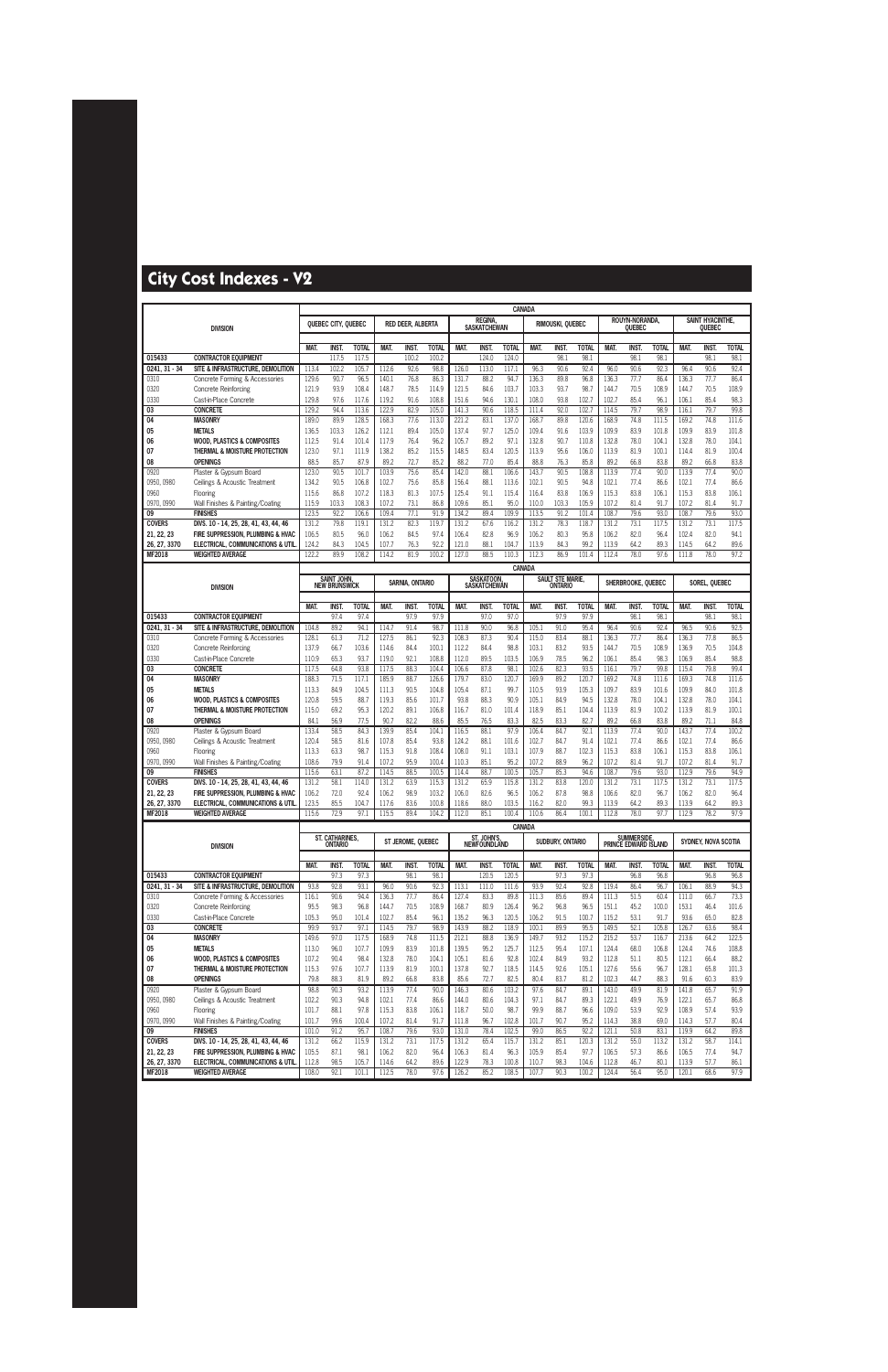|                            |                                                                        |                |                                   |                |                |                   | CANADA         |                |                                    |                |                |                  |                |                |                                     |               |                |                         |               |
|----------------------------|------------------------------------------------------------------------|----------------|-----------------------------------|----------------|----------------|-------------------|----------------|----------------|------------------------------------|----------------|----------------|------------------|----------------|----------------|-------------------------------------|---------------|----------------|-------------------------|---------------|
|                            |                                                                        |                | QUEBEC CITY, QUEBEC               |                |                | RED DEER, ALBERTA |                |                | <b>REGINA</b>                      |                |                | RIMOUSKI, QUEBEC |                |                | ROUYN-NORANDA                       |               |                | <b>SAINT HYACINTHE.</b> |               |
|                            | <b>DIVISION</b>                                                        |                |                                   |                |                |                   |                |                | <b>SASKATCHEWAN</b>                |                |                |                  |                |                | OUEBEC                              |               |                | Quebec                  |               |
|                            |                                                                        | <b>MAT</b>     | <b>INST.</b>                      | <b>TOTAL</b>   | <b>MAT</b>     | <b>INST</b>       | <b>TOTAI</b>   | <b>MAT</b>     | <b>INST</b>                        | <b>TOTAL</b>   | MAT.           | <b>INST</b>      | <b>TOTAL</b>   | MAT.           | <b>INST</b>                         | <b>TOTAL</b>  | <b>MAT</b>     | <b>INST</b>             | <b>TOTAL</b>  |
| 015433                     | <b>CONTRACTOR EQUIPMENT</b>                                            |                | 117.5                             | 117.5          |                | 100.2             | 100.2          |                | 124.0                              | 124.0          |                | 98.              | 98.1           |                | 98.1                                | 98.1          |                | 98.                     | 98.1          |
| 0241.31 - 34               | SITE & INFRASTRUCTURE, DEMOLITION                                      | 113.4          | 102.2                             | 105.7          | 112.6          | 92.6              | 98.8           | 126.0          | 113.0                              | 117.1          | 96.3           | 90.6             | 92.4           | 96.0           | 90.6                                | 92.3          | 96.4           | 90.6                    | 92.4          |
| 0310                       | Concrete Forming & Accessories                                         | 129.6          | 90.7                              | 96.5           | 140.1          | 76.8              | 86.3           | 131.7          | 88.2                               | 94.7           | 136.3          | 89.8             | 96.8           | 136.3          | 77.7                                | 86.4          | 136.3          | 77.7                    | 86.4          |
| 0320                       | <b>Concrete Reinforcing</b>                                            | 121.9          | 93.9                              | 108.4          | 148.7          | 78.5              | 114.9          | 121.5          | 84.6                               | 103.7          | 103.3          | 93.7             | 98.7           | 144.7          | 70.5                                | 108.9         | 144.7          | 70.5                    | 108.9         |
| 0330                       | Cast-in-Place Concrete                                                 | 129.8          | 97.6                              | 117.6          | 119.2          | 91.6              | 108.8          | 151.6          | 94.6                               | 130.1          | 108.0          | 93.8             | 102.7          | 102.7          | 85.4                                | 96.1          | 106.1          | 85.4                    | 98.3          |
| 03<br>04                   | <b>CONCRETE</b><br><b>MASONRY</b>                                      | 129.2<br>189.0 | 94.4<br>89.9                      | 113.6<br>128.5 | 122.9<br>168.3 | 82.9<br>77.6      | 105.0<br>113.0 | 141.3<br>221.2 | 90.6<br>83.1                       | 118.5<br>137.0 | 111.4<br>168.7 | 92.0<br>89.8     | 102.7<br>120.6 | 114.5<br>168.9 | 79.7<br>74.8                        | 98.9<br>111.5 | 116.1<br>169.2 | 79.7<br>74.8            | 99.8<br>111.6 |
| 05                         | <b>METALS</b>                                                          | 136.5          | 103.3                             | 126.2          | 112.1          | 89.4              | 105.0          | 137.4          | 97.7                               | 125.0          | 109.4          | 91.6             | 103.9          | 109.9          | 83.9                                | 101.8         | 109.9          | 83.9                    | 101.8         |
| 06                         | <b>WOOD, PLASTICS &amp; COMPOSITES</b>                                 | 112.5          | 91.4                              | 101.4          | 117.9          | 76.4              | 96.2           | 105.7          | 89.2                               | 97.1           | 132.8          | 90.7             | 110.8          | 132.8          | 78.0                                | 104.1         | 132.8          | 78.0                    | 104.1         |
| 07                         | THERMAL & MOISTURE PROTECTION                                          | 123.0          | 97.1                              | 111.9          | 138.2          | 85.2              | 115.5          | 148.5          | 83.4                               | 120.5          | 113.9          | 95.6             | 106.0          | 113.9          | 81.9                                | 100.1         | 114.4          | 81.9                    | 100.4         |
| 08                         | <b>OPENINGS</b>                                                        | 88.5           | 85.7                              | 87.9           | 89.2           | 72.7              | 85.2           | 88.2           | 77.0                               | 85.4           | 88.8           | 76.3             | 85.8           | 89.2           | 66.8                                | 83.8          | 89.2           | 66.8                    | 83.8          |
| 0920                       | Plaster & Gypsum Board                                                 | 123.0          | 90.5                              | 101.7          | 103.9          | 75.6              | 85.4           | 142.0          | 88.1                               | 106.6          | 143.7          | 90.5             | 108.8          | 113.9          | 77.4                                | 90.0          | 113.9          | 77.4                    | 90.0          |
| 0950, 0980                 | Ceilings & Acoustic Treatment                                          | 134.2          | 90.5                              | 106.8          | 102.7          | 75.6              | 85.8           | 156.4          | 88.1                               | 113.6          | 102.1          | 90.5             | 94.8           | 102.1          | 77.4                                | 86.6          | 102.1          | 77.4                    | 86.6          |
| 0960                       | Flooring                                                               | 115.6          | 86.8                              | 107.2          | 118.3          | 81.3              | 107.5          | 125.4          | 91.1                               | 115.4          | 116.4          | 83.8             | 106.9          | 115.3          | 83.8                                | 106.1         | 115.3          | 83.8                    | 106.1         |
| 0970, 0990                 | Wall Finishes & Painting/Coating                                       | 115.9          | 103.3                             | 108.3          | 107.2          | 73.1              | 86.8           | 109.6          | 85.1                               | 95.0           | 110.0          | 103.3            | 105.9          | 107.2          | 81.4                                | 91.7          | 107.2          | 81.4                    | 91.7          |
| 09                         | <b>FINISHES</b>                                                        | 123.5          | 92.2                              | 106.6          | 109.4          | 77.1              | 91.9           | 134.2          | 89.4                               | 109.9          | 113.5          | 91.2             | 101.4          | 108.7          | 79.6                                | 93.0          | 108.7          | 79.6                    | 93.0          |
| <b>COVERS</b>              | DIVS. 10 - 14, 25, 28, 41, 43, 44, 46                                  | 131.2<br>106.5 | 79.8                              | 119.1          | 131.2<br>106.2 | 82.3<br>84.5      | 119.7<br>97.4  | 131.2<br>106.4 | 67.6<br>82.8                       | 116.2<br>96.9  | 131.2<br>106.2 | 78.3<br>80.3     | 118.7<br>95.8  | 131.2<br>106.2 | 73.1<br>82.0                        | 117.5<br>96.4 | 131.2<br>102.4 | 73.1                    | 117.5<br>94.1 |
| 21, 22, 23<br>26, 27, 3370 | FIRE SUPPRESSION, PLUMBING & HVAC<br>ELECTRICAL, COMMUNICATIONS & UTIL | 124.2          | 80.5<br>84.3                      | 96.0<br>104.5  | 107.7          | 76.3              | 92.2           | 121.0          | 88.1                               | 104.7          | 113.9          | 84.3             | 99.2           | 113.9          | 64.2                                | 89.3          | 114.5          | 82.0<br>64.2            | 89.6          |
| <b>MF2018</b>              | <b>WEIGHTED AVERAGE</b>                                                | 122.2          | 89.9                              | 108.2          | 114.2          | 81.9              | 100.2          | 127.0          | 88.5                               | 110.3          | 112.3          | 86.9             | 101.4          | 112.4          | 78.0                                | 97.6          | 111.8          | 78.0                    | 97.2          |
|                            |                                                                        |                |                                   |                |                |                   |                |                |                                    |                |                |                  |                |                |                                     |               |                |                         |               |
|                            |                                                                        |                | <b>SAINT JOHN,</b>                |                |                |                   |                |                | SASKATOON,                         | CANADA         |                | SAULT STE MARIE, |                |                |                                     |               |                |                         |               |
|                            | <b>DIVISION</b>                                                        |                | <b>NEW BRUNSWICK</b>              |                |                | SARNIA, ONTARIO   |                |                | <b>SASKATCHEWAN</b>                |                |                | ONTARIO          |                |                | SHERBROOKE, QUEBEC                  |               |                | SOREL, QUEBEC           |               |
|                            |                                                                        |                |                                   |                |                |                   |                |                |                                    |                |                |                  |                |                |                                     |               |                |                         |               |
|                            |                                                                        | <b>MAT</b>     | INST.                             | <b>TOTAL</b>   | MAT.           | INST.             | <b>TOTAL</b>   | MAT.           | <b>INST</b>                        | <b>TOTAL</b>   | MAT.           | <b>INST</b>      | <b>TOTAL</b>   | MAT.           | <b>INST.</b>                        | <b>TOTAL</b>  | MAT.           | <b>INST.</b>            | <b>TOTAL</b>  |
| 015433<br>0241.31 - 34     | <b>CONTRACTOR EQUIPMENT</b><br>SITE & INFRASTRUCTURE, DEMOLITION       | 104.8          | 97.4<br>89.2                      | 97.4<br>94.1   | 114.7          | 97.9<br>91.4      | 97.9<br>98.7   | 111.8          | 97.0<br>90.0                       | 97.0<br>96.8   | 105.1          | 97.9<br>91.0     | 97.9<br>95.4   | 96.4           | 98.1<br>90.6                        | 98.1<br>92.4  | 96.5           | 98.1<br>90.6            | 98.1<br>92.5  |
| 0310                       | Concrete Forming & Accessories                                         | 128.1          | 61.3                              | 71.2           | 127.5          | 86.1              | 92.3           | 108.3          | 87.3                               | 90.4           | 115.0          | 83.4             | 88.1           | 136.3          | 77.7                                | 86.4          | 136.3          | 77.8                    | 86.5          |
| 0320                       | <b>Concrete Reinforcing</b>                                            | 137.9          | 66.7                              | 103.6          | 114.6          | 84.4              | 100.1          | 112.2          | 84.4                               | 98.8           | 103.1          | 83.2             | 93.5           | 144.7          | 70.5                                | 108.9         | 136.9          | 70.5                    | 104.8         |
| 0330                       | Cast-in-Place Concrete                                                 | 110.9          | 65.3                              | 93.7           | 119.0          | 92.1              | 108.8          | 112.0          | 89.5                               | 103.5          | 106.9          | 78.5             | 96.2           | 106.1          | 85.4                                | 98.3          | 106.9          | 85.4                    | 98.8          |
| 03                         | <b>CONCRETE</b>                                                        | 117.5          | 64.8                              | 93.8           | 117.5          | 88.3              | 104.4          | 106.6          | 87.8                               | 98.1           | 102.6          | 82.3             | 93.5           | 116.1          | 79.7                                | 99.8          | 115.4          | 79.8                    | 99.4          |
| 04                         | <b>MASONRY</b>                                                         | 188.3          | 71.5                              | 117.1          | 185.9          | 88.7              | 126.6          | 179.7          | 83.0                               | 120.7          | 169.9          | 89.2             | 120.7          | 169.2          | 74.8                                | 111.6         | 169.3          | 74.8                    | 111.6         |
| 05                         | <b>METALS</b>                                                          | 113.3          | 84.9                              | 104.5          | 111.3          | 90.5              | 104.8          | 105.4          | 87.1                               | 99.7           | 110.5          | 93.9             | 105.3          | 109.7          | 83.9                                | 101.6         | 109.9          | 84.0                    | 101.8         |
| 06                         | <b>WOOD, PLASTICS &amp; COMPOSITES</b>                                 | 120.8          | 59.5                              | 88.7           | 119.3          | 85.6              | 101.7          | 93.8           | 88.3                               | 90.9           | 105.1          | 84.9             | 94.5           | 132.8          | 78.0                                | 104.1         | 132.8          | 78.0                    | 104.1         |
| 07                         | THERMAL & MOISTURE PROTECTION                                          | 115.0          | 69.2                              | 95.3           | 120.2          | 89.1              | 106.8          | 116.7          | 81.0                               | 101.4          | 118.9          | 85.1             | 104.4          | 113.9          | 81.9                                | 100.2         | 113.9          | 81.9                    | 100.1         |
| 08                         | <b>OPENINGS</b>                                                        | 84.1           | 56.9                              | 77.5           | 90.7           | 82.2              | 88.6           | 85.5           | 76.5                               | 83.3           | 82.5           | 83.3             | 82.7           | 89.2           | 66.8                                | 83.8          | 89.2           | 71.1                    | 84.8          |
| 0920<br>0950, 0980         | Plaster & Gypsum Board                                                 | 133.4<br>120.4 | 58.5<br>58.5                      | 84.3<br>81.6   | 139.9<br>107.8 | 85.4<br>85.4      | 104.1<br>93.8  | 116.5<br>124.2 | 88.1<br>88.1                       | 97.9<br>101.6  | 106.4<br>102.7 | 84.7<br>84.7     | 92.1<br>91.4   | 113.9<br>102.1 | 77.4<br>77.4                        | 90.0<br>86.6  | 143.7<br>102.1 | 77.4<br>77.4            | 100.2<br>86.6 |
| 0960                       | Ceilings & Acoustic Treatment<br>Flooring                              | 113.3          | 63.3                              | 98.7           | 115.3          | 91.8              | 108.4          | 108.0          | 91.1                               | 103.1          | 107.9          | 88.7             | 102.3          | 115.3          | 83.8                                | 106.1         | 115.3          | 83.8                    | 106.1         |
| 0970, 0990                 | Wall Finishes & Painting/Coating                                       | 108.6          | 79.9                              | 91.4           | 107.2          | 95.9              | 100.4          | 110.3          | 85.1                               | 95.2           | 107.2          | 88.9             | 96.2           | 107.2          | 81.4                                | 91.7          | 107.2          | 81.4                    | 91.7          |
| 09                         | <b>FINISHES</b>                                                        | 115.6          | 63.1                              | 87.2           | 114.5          | 88.5              | 100.5          | 114.4          | 88.7                               | 100.5          | 105.7          | 85.3             | 94.6           | 108.7          | 79.6                                | 93.0          | 112.9          | 79.6                    | 94.9          |
| <b>COVERS</b>              | DIVS. 10 - 14, 25, 28, 41, 43, 44, 46                                  | 131.2          | 58.1                              | 114.0          | 131.2          | 63.9              | 115.3          | 131.2          | 65.9                               | 115.8          | 131.2          | 83.8             | 120.0          | 131.2          | 73.1                                | 117.5         | 131.2          | 73.1                    | 117.5         |
| 21, 22, 23                 | FIRE SUPPRESSION, PLUMBING & HVAC                                      | 106.2          | 72.0                              | 92.4           | 106.2          | 98.9              | 103.2          | 106.0          | 82.6                               | 96.5           | 106.2          | 87.8             | 98.8           | 106.6          | 82.0                                | 96.7          | 106.2          | 82.0                    | 96.4          |
| 26, 27, 3370               | ELECTRICAL, COMMUNICATIONS & UTIL                                      | 123.5          | 85.5                              | 104.7          | 117.6          | 83.6              | 100.8          | 118.6          | 88.0                               | 103.5          | 116.2          | 82.0             | 99.3           | 113.9          | 64.2                                | 89.3          | 113.9          | 64.2                    | 89.3          |
| <b>MF2018</b>              | <b>WEIGHTED AVERAGE</b>                                                | 115.6          | 72.9                              | 97.1           | 115.5          | 89.4              | 104.2          | 112.0          | 85.1                               | 100.4          | 110.6          | 86.4             | 100.1          | 112.8          | 78.0                                | 97.7          | 112.9          | 78.2                    | 97.9          |
|                            |                                                                        |                |                                   |                |                |                   |                |                |                                    | <b>CANADA</b>  |                |                  |                |                |                                     |               |                |                         |               |
|                            | <b>DIVISION</b>                                                        |                | ST. CATHARINES,<br><b>ONTARIO</b> |                |                | ST JEROME, QUEBEC |                |                | ST. JOHN'S,<br><b>NEWFOUNDLAND</b> |                |                | SUDBURY, ONTARIO |                |                | SUMMERSIDE,<br>PRINCE EDWARD ISLAND |               |                | SYDNEY, NOVA SCOTIA     |               |
|                            |                                                                        |                |                                   |                |                |                   |                |                |                                    |                |                |                  |                |                |                                     |               |                |                         |               |
|                            |                                                                        | MAT.           | <b>INST.</b>                      | <b>TOTAL</b>   | MAT.           | <b>INST.</b>      | <b>TOTAL</b>   | MAT.           | INST.                              | <b>TOTAL</b>   | MAT.           | <b>INST.</b>     | <b>TOTAL</b>   | MAT.           | <b>INST.</b>                        | <b>TOTAL</b>  | MAT.           | INST.                   | <b>TOTAL</b>  |
| 015433                     | <b>CONTRACTOR EQUIPMENT</b>                                            |                | 97.3                              | 97.3           |                | 98.1              | 98.1           |                | 120.5                              | 120.5          |                | 97.3             | 97.3           |                | 96.8                                | 96.8          |                | 96.8                    | 96.8          |
| $0241, 31 - 34$<br>0310    | SITE & INFRASTRUCTURE, DEMOLITION<br>Concrete Forming & Accessories    | 93.8<br>116.1  | 92.8<br>90.6                      | 93.1<br>94.4   | 96.0<br>136.3  | 90.6<br>77.7      | 92.3<br>86.4   | 113.1<br>127.4 | 111.0<br>83.3                      | 111.6<br>89.8  | 93.9<br>111.3  | 92.4<br>85.6     | 92.8<br>89.4   | 119.4<br>111.3 | 86.4<br>51.5                        | 96.7<br>60.4  | 106.1<br>111.0 | 88.9<br>66.7            | 94.3<br>73.3  |
| 0320                       | <b>Concrete Reinforcing</b>                                            | 95.5           | 98.3                              | 96.8           | 144.7          | 70.5              | 108.9          | 168.7          | 80.9                               | 126.4          | 96.2           | 96.8             | 96.5           | 151.1          | 45.2                                | 100.0         | 153.1          | 46.4                    | 101.6         |
| 0330                       | Cast-in-Place Concrete                                                 | 105.3          | 95.0                              | 101.4          | 102.7          | 85.4              | 96.1           | 135.2          | 96.3                               | 120.5          | 106.2          | 91.5             | 100.7          | 115.2          | 53.1                                | 91.7          | 93.6           | 65.0                    | 82.8          |
| 03                         | <b>CONCRETE</b>                                                        | 99.9           | 93.7                              | 97.1           | 114.5          | 79.7              | 98.9           | 143.9          | 88.2                               | 118.9          | 100.1          | 89.9             | 95.5           | 149.5          | 52.1                                | 105.8         | 126.7          | 63.6                    | 98.4          |
| 04                         | <b>MASONRY</b>                                                         | 149.6          | 97.0                              | 117.5          | 168.9          | 74.8              | 111.5          | 212.1          | 88.8                               | 136.9          | 149.7          | 93.2             | 115.2          | 215.2          | 53.7                                | 116.7         | 213.6          | 64.2                    | 122.5         |
| 05                         | <b>METALS</b>                                                          | 113.0          | 96.0                              | 107.7          | 109.9          | 83.9              | 101.8          | 139.5          | 95.2                               | 125.7          | 112.5          | 95.4             | 107.1          | 124.4          | 68.0                                | 106.8         | 124.4          | 74.6                    | 108.8         |
| 06                         | <b>WOOD, PLASTICS &amp; COMPOSITES</b>                                 | 107.2          | 90.4                              | 98.4           | 132.8          | 78.0              | 104.1          | 105.1          | 81.6                               | 92.8           | 102.4          | 84.9             | 93.2           | 112.8          | 51.1                                | 80.5          | 112.1          | 66.4                    | 88.2          |
| 07                         | THERMAL & MOISTURE PROTECTION                                          | 115.3          | 97.6                              | 107.7          | 113.9          | 81.9              | 100.1          | 137.8          | 92.7                               | 118.5          | 114.5          | 92.6             | 105.1          | 127.6          | 55.6                                | 96.7          | 128.1          | 65.8                    | 101.3         |
| 08                         | <b>OPENINGS</b>                                                        | 79.8           | 88.3                              | 81.9           | 89.2           | 66.8              | 83.8           | 85.6           | 72.7                               | 82.5           | 80.4           | 83.7             | 81.2           | 102.3          | 44.7                                | 88.3          | 91.6           | 60.3                    | 83.9          |
| 0920                       | Plaster & Gypsum Board                                                 | 98.8           | 90.3                              | 93.2           | 113.9          | 77.4              | 90.0           | 146.3          | 80.6                               | 103.2          | 97.6           | 84.7             | 89.1           | 143.0          | 49.9                                | 81.9          | 141.8          | 65.7                    | 91.9          |
| 0950, 0980<br>0960         | Ceilings & Acoustic Treatment<br>Flooring                              | 102.2<br>101.7 | 90.3<br>88.1                      | 94.8<br>97.8   | 102.1<br>115.3 | 77.4<br>83.8      | 86.6<br>106.1  | 144.0<br>118.7 | 80.6<br>50.0                       | 104.3<br>98.7  | 97.1<br>99.9   | 84.7<br>88.7     | 89.3<br>96.6   | 122.1<br>109.0 | 49.9<br>53.9                        | 76.9<br>92.9  | 122.1<br>108.9 | 65.7<br>57.4            | 86.8<br>93.9  |
| 0970, 0990                 | Wall Finishes & Painting/Coating                                       | 101.7          | 99.6                              | 100.4          | 107.2          | 81.4              | 91.7           | 111.8          | 96.7                               | 102.8          | 101.7          | 90.7             | 95.2           | 114.3          | 38.8                                | 69.0          | 114.3          | 57.7                    | 80.4          |
| 09                         | <b>FINISHES</b>                                                        | 101.0          | 91.2                              | 95.7           | 108.7          | 79.6              | 93.0           | 131.0          | 78.4                               | 102.5          | 99.0           | 86.5             | 92.2           | 121.1          | 50.8                                | 83.1          | 119.9          | 64.2                    | 89.8          |
| <b>COVERS</b>              | DIVS. 10 - 14, 25, 28, 41, 43, 44, 46                                  | 131.2          | 66.2                              | 115.9          | 131.2          | 73.1              | 117.5          | 131.2          | 65.4                               | 115.7          | 131.2          | 85.1             | 120.3          | 131.2          | 55.0                                | 113.2         | 131.2          | 58.7                    | 114.1         |
| 21, 22, 23                 | FIRE SUPPRESSION, PLUMBING & HVAC                                      | 105.5          | 87.1                              | 98.1           | 106.2          | 82.0              | 96.4           | 106.3          | 81.4                               | 96.3           | 105.9          | 85.4             | 97.7           | 106.5          | 57.3                                | 86.6          | 106.5          | 77.4                    | 94.7          |
| 26, 27, 3370               | ELECTRICAL, COMMUNICATIONS & UTIL                                      | 112.8          | 98.5                              | 105.7          | 114.6          | 64.2              | 89.6           | 122.9          | 78.3                               | 100.8          | 110.7          | 98.3             | 104.6          | 112.8          | 46.7                                | 80.1          | 113.9          | 57.7                    | 86.1          |
| <b>MF2018</b>              | <b>WEIGHTED AVERAGE</b>                                                | 108.0          | 92.1                              | 101.1          | 112.5          | 78.0              | 97.6           | 126.2          | 85.2                               | 108.5          | 107.7          | 90.3             | 100.2          | 124.4          | 56.4                                | 95.0          | 120.1          | 68.6                    | 97.9          |
|                            |                                                                        |                |                                   |                |                |                   |                |                |                                    |                |                |                  |                |                |                                     |               |                |                         |               |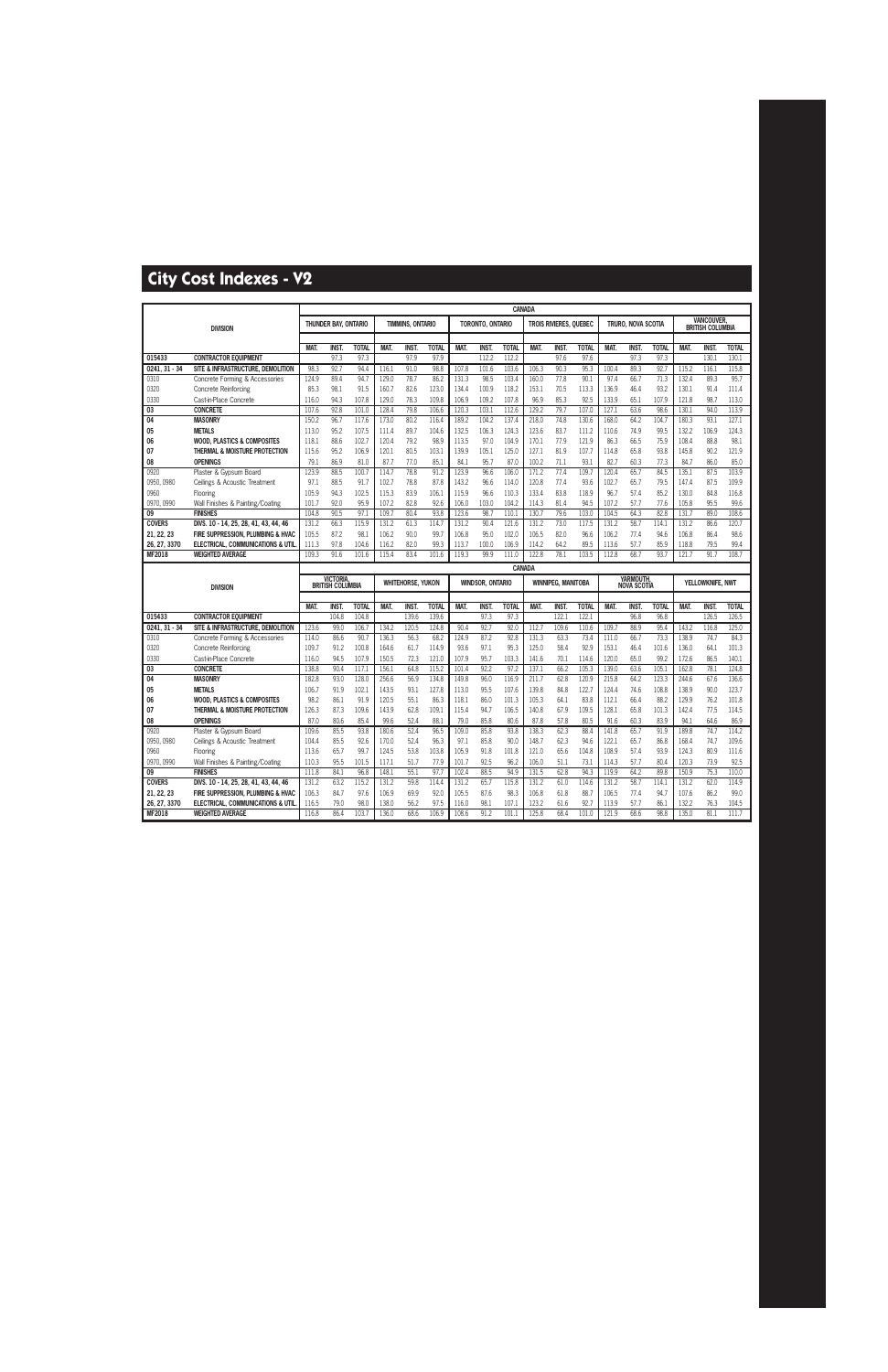|                               |                                                              |                |                         |               |                |                          |               |                |                         | CANADA         |                |                               |               |                |                    |              |                |                                             |                |
|-------------------------------|--------------------------------------------------------------|----------------|-------------------------|---------------|----------------|--------------------------|---------------|----------------|-------------------------|----------------|----------------|-------------------------------|---------------|----------------|--------------------|--------------|----------------|---------------------------------------------|----------------|
|                               | <b>DIVISION</b>                                              |                | THUNDER BAY, ONTARIO    |               |                | TIMMINS, ONTARIO         |               |                | TORONTO, ONTARIO        |                |                | <b>TROIS RIVIERES, QUEBEC</b> |               |                | TRURO, NOVA SCOTIA |              |                | <b>VANCOUVER</b><br><b>BRITISH COLUMBIA</b> |                |
|                               |                                                              |                |                         |               |                |                          |               |                |                         |                |                |                               |               |                |                    |              |                |                                             |                |
|                               |                                                              | <b>MAT</b>     | <b>INST</b>             | <b>TOTAL</b>  | <b>MAT</b>     | <b>INST.</b>             | <b>TOTAL</b>  | <b>MAT</b>     | <b>INST</b>             | <b>TOTAL</b>   | <b>MAT</b>     | <b>INST</b>                   | <b>TOTAL</b>  | <b>MAT</b>     | <b>INST</b>        | <b>TOTAL</b> | <b>MAT</b>     | <b>INST</b>                                 | <b>TOTAL</b>   |
| 015433                        | <b>CONTRACTOR EQUIPMENT</b>                                  |                | 97.3                    | 97.3          |                | 97.9                     | 97.9          |                | 112.2                   | 112.2          |                | 97.6                          | 97.6          |                | 97.3               | 97.3         |                | 130.1                                       | 130.1          |
| $0241, 31 - 34$               | SITE & INFRASTRUCTURE, DEMOLITION                            | 98.3           | 92.7                    | 94.4          | 116.1          | 91.0                     | 98.8          | 107.8          | 101.6                   | 103.6          | 106.3          | 90.3                          | 95.3          | 100.4          | 89.3               | 92.7         | 115.2          | 116.1                                       | 115.8          |
| 0310                          | Concrete Forming & Accessories                               | 124.9          | 89.4                    | 94.7          | 129.0          | 78.7                     | 86.2          | 131.3          | 98.5                    | 103.4          | 160.0          | 77.8                          | 90.1          | 97.4           | 66.7               | 71.3         | 132.4          | 89.3                                        | 95.7           |
| 0320                          | Concrete Reinforcing                                         | 85.3           | 98.1                    | 91.5          | 160.7          | 82.6                     | 123.0         | 134.4          | 100.9                   | 118.2          | 153.1          | 70.5                          | 113.3         | 136.9          | 46.4               | 93.2         | 130.1          | 91.4                                        | 111.4          |
| 0330                          | Cast-in-Place Concrete                                       | 116.0          | 94.3                    | 107.8         | 129.0          | 78.3                     | 109.8         | 106.9          | 109.2                   | 107.8          | 96.9           | 85.3                          | 92.5          | 133.9          | 65.1               | 107.9        | 121.8          | 98.7                                        | 113.0          |
| 03                            | <b>CONCRETE</b>                                              | 107.6          | 92.8                    | 101.0         | 128.4          | 79.8                     | 106.6         | 120.3          | 103.1                   | 112.6          | 129.2          | 79.7                          | 107.0         | 127.1          | 63.6               | 98.6         | 130.1          | 94.0                                        | 113.9          |
| $\overline{04}$               | <b>MASONRY</b>                                               | 150.2          | 96.7                    | 117.6         | 173.0          | 80.2                     | 116.4         | 189.2          | 104.2                   | 137.4          | 218.0          | 74.8                          | 130.6         | 168.0          | 64.2               | 104.7        | 180.3          | 93.1                                        | 127.1          |
| 05                            | <b>METALS</b>                                                | 113.0          | 95.2                    | 107.5         | 111.4          | 89.7                     | 104.6         | 132.5          | 106.3                   | 124.3          | 123.6          | 83.7                          | 111.2         | 110.6          | 74.9               | 99.5         | 132.2          | 106.9                                       | 124.3          |
| 06                            | <b>WOOD, PLASTICS &amp; COMPOSITES</b>                       | 118.1          | 88.6                    | 102.7         | 120.4          | 79.2                     | 98.9          | 113.5          | 97.0                    | 104.9          | 170.1          | 77.9                          | 121.9         | 86.3           | 66.5               | 75.9         | 108.4          | 88.8                                        | 98.1           |
| 07                            | THERMAL & MOISTURE PROTECTION                                | 115.6          | 95.2                    | 106.9         | 120.1          | 80.5                     | 103.1         | 139.9          | 105.1                   | 125.0          | 127.1          | 81.9                          | 107.7         | 114.8          | 65.8               | 93.8         | 145.8          | 90.2                                        | 121.9          |
| 08                            | <b>OPENINGS</b>                                              | 79.1           | 86.9                    | 81.0          | 87.7           | 77.0                     | 85.1          | 84.1           | 95.7                    | 87.0           | 100.2          | 71.1                          | 93.1          | 82.7           | 60.3               | 77.3         | 84.7           | 86.0                                        | 85.0           |
| 0920                          | Plaster & Gypsum Board                                       | 123.9          | 88.5                    | 100.7         | 114.7          | 78.8                     | 91.2          | 123.9          | 96.6                    | 106.0          | 171.2          | 77.4                          | 109.7         | 120.4          | 65.7               | 84.5         | 135.1          | 87.5                                        | 103.9          |
| 0950, 0980                    | Ceilings & Acoustic Treatment                                | 97.1           | 88.5                    | 91.7          | 102.7          | 78.8                     | 87.8          | 143.2          | 96.6                    | 114.0          | 120.8          | 77.4                          | 93.6          | 102.7          | 65.7               | 79.5         | 147.4          | 87.5                                        | 109.9          |
| 0960                          | Flooring                                                     | 105.9          | 94.3                    | 102.5         | 115.3          | 83.9                     | 106.1         | 115.9          | 96.6                    | 110.3          | 133.4          | 83.8                          | 118.9         | 96.7           | 57.4               | 85.2         | 130.0          | 84.8                                        | 116.8          |
| 0970, 0990                    | Wall Finishes & Painting/Coating                             | 101.7          | 92.0                    | 95.9          | 107.2          | 82.8                     | 92.6          | 106.0          | 103.0                   | 104.2          | 114.3          | 81.4                          | 94.5          | 107.2          | 57.7               | 77.6         | 105.8          | 95.5                                        | 99.6           |
| 09                            | <b>FINISHES</b>                                              | 104.8          | 90.5                    | 97.1          | 109.7          | 80.4                     | 93.8          | 123.6          | 98.7                    | 110.1          | 130.7          | 79.6                          | 103.0         | 104.5          | 64.3               | 82.8         | 131.7          | 89.0                                        | 108.6          |
| <b>COVERS</b>                 | DIVS. 10 - 14, 25, 28, 41, 43, 44, 46                        | 131.2          | 66.3                    | 115.9         | 131.2          | 61.3                     | 114.7         | 131.2          | 90.4                    | 121.6          | 131.2          | 73.0                          | 117.5         | 131.2          | 58.7               | 114.1        | 131.2          | 86.6                                        | 120.7          |
| 21, 22, 23                    | FIRE SUPPRESSION, PLUMBING & HVAC                            | 105.5          | 87.2                    | 98.1          | 106.2          | 90.0                     | 99.7          | 106.8          | 95.0                    | 102.0          | 106.5          | 82.0                          | 96.6          | 106.2          | 77.4               | 94.6         | 106.8          | 86.4                                        | 98.6           |
| 26, 27, 3370                  | ELECTRICAL, COMMUNICATIONS & UTIL                            | 111.3          | 97.8                    | 104.6         | 116.2          | 82.0                     | 99.3          | 113.7          | 100.0                   | 106.9          | 114.2          | 64.2                          | 89.5          | 113.6          | 57.7               | 85.9         | 118.8          | 79.5                                        | 99.4           |
| <b>MF2018</b>                 | <b>WEIGHTED AVERAGE</b>                                      | 109.3          | 91.6                    | 101.6         | 115.4          | 83.4                     | 101.6         | 119.3          | 99.9                    | 111.0          | 122.8          | 78.1                          | 103.5         | 112.8          | 68.7               | 93.7         | 121.7          | 91.7                                        | 108.7          |
|                               |                                                              |                |                         |               |                |                          |               |                |                         |                |                |                               |               |                |                    |              |                |                                             |                |
|                               |                                                              |                |                         |               |                |                          |               |                |                         | <b>CANADA</b>  |                |                               |               |                |                    |              |                |                                             |                |
|                               |                                                              |                | <b>VICTORIA</b>         |               |                |                          |               |                |                         |                |                |                               |               |                | YARMOUTH,          |              |                |                                             |                |
|                               | <b>DIVISION</b>                                              |                | <b>BRITISH COLUMBIA</b> |               |                | <b>WHITEHORSE, YUKON</b> |               |                | <b>WINDSOR, ONTARIO</b> |                |                | <b>WINNIPEG, MANITOBA</b>     |               |                | NOVA SCOTIA        |              |                | YELLOWKNIFE, NWT                            |                |
|                               |                                                              |                |                         |               |                |                          |               |                |                         |                |                |                               |               |                |                    |              |                |                                             |                |
|                               |                                                              | <b>MAT</b>     | <b>INST.</b>            | <b>TOTAL</b>  | MAT.           | <b>INST.</b>             | <b>TOTAL</b>  | <b>MAT</b>     | <b>INST</b>             | <b>TOTAL</b>   | <b>MAT</b>     | <b>INST</b>                   | <b>TOTAL</b>  | <b>MAT</b>     | <b>INST</b>        | <b>TOTAL</b> | <b>MAT</b>     | <b>INST</b>                                 | <b>TOTAL</b>   |
| 015433                        | <b>CONTRACTOR EQUIPMENT</b>                                  |                | 104.8                   | 104.8         |                | 139.6                    | 139.6         |                | 97.3                    | 97.3           |                | 122.                          | 122.1         |                | 96.8               | 96.8         |                | 126.5                                       | 126.5          |
| $0241, 31 - 34$               | SITE & INFRASTRUCTURE, DEMOLITION                            | 123.6          | 99.0                    | 106.7         | 134.2          | 120.5                    | 124.8         | 90.4           | 92.7                    | 92.0           | 112.7          | 109.6                         | 110.6         | 109.7          | 88.9               | 95.4         | 143.2          | 116.8                                       | 125.0          |
| 0310                          | Concrete Forming & Accessories                               | 114.0          | 86.6                    | 90.7          | 136.3          | 56.3                     | 68.2          | 124.9          | 87.2                    | 92.8           | 131.3          | 63.3                          | 73.4          | 111.0          | 66.7               | 73.3         | 138.9          | 74.7                                        | 84.3           |
| 0320                          | <b>Concrete Reinforcing</b>                                  | 109.7          | 91.2                    | 100.8         | 164.6          | 61.7                     | 114.9         | 93.6           | 97.1                    | 95.3           | 125.0          | 58.4                          | 92.9          | 153.1          | 46.4               | 101.6        | 136.0          | 64.1                                        | 101.3          |
| 0330                          | Cast-in-Place Concrete                                       | 116.0          | 94.5                    | 107.9         | 150.5          | 72.3                     | 121.0         | 107.9          | 95.7                    | 103.3          | 141.6          | 70.1                          | 114.6         | 120.0          | 65.0               | 99.2         | 172.6          | 86.5                                        | 140.1          |
| 03                            | <b>CONCRETE</b>                                              | 138.8          | 90.4                    | 117.1         | 156.1          | 64.8                     | 115.2         | 101.4          | 92.2                    | 97.2           | 137.1          | 66.2                          | 105.3         | 139.0          | 63.6               | 105.         | 162.8          | 78.1                                        | 124.8          |
| $\overline{04}$               | <b>MASONRY</b>                                               | 182.8          | 93.0                    | 128.0         | 256.6          | 56.9                     | 134.8         | 149.8          | 96.0                    | 116.9          | 211.7          | 62.8                          | 120.9         | 215.8          | 64.2               | 123.3        | 244.6          | 67.6                                        | 136.6          |
| 05                            | <b>METALS</b>                                                | 106.7          | 91.9                    | 102.1         | 143.5          | 93.1                     | 127.8         | 113.0          | 95.5                    | 107.6          | 139.8          | 84.8                          | 122.7         | 124.4          | 74.6               | 108.8        | 138.9          | 90.0                                        | 123.7          |
| 06                            | <b>WOOD, PLASTICS &amp; COMPOSITES</b>                       | 98.2           | 86.1                    | 91.9          | 120.5          | 55.1                     | 86.3          | 118.1          | 86.0                    | 101.3          | 105.3          | 64.1                          | 83.8          | 112.1          | 66.4               | 88.2         | 129.9          | 76.2                                        | 101.8          |
| 07                            | THERMAL & MOISTURE PROTECTION                                | 126.3          | 87.3                    | 109.6         | 143.9          | 62.8                     | 109.1         | 115.4          | 94.7                    | 106.5          | 140.8          | 67.9                          | 109.5         | 128.1          | 65.8               | 101.3        | 142.4          | 77.5                                        | 114.5          |
| 08                            | <b>OPENINGS</b>                                              | 87.0           | 80.6                    | 85.4          | 99.6           | 52.4                     | 88.1          | 79.0           | 85.8                    | 80.6           | 87.8           | 57.8                          | 80.5          | 91.6           | 60.3               | 83.9         | 94.1           | 64.6                                        | 86.9           |
| 0920                          | Plaster & Gypsum Board                                       | 109.6          | 85.5                    | 93.8          | 180.6          | 52.4                     | 96.5          | 109.0          | 85.8                    | 93.8           | 138.3          | 62.3                          | 88.4          | 141.8          | 65.7               | 91.9         | 189.8          | 74.7                                        | 114.2          |
| 0950, 0980                    | Ceilings & Acoustic Treatment                                | 104.4          | 85.5                    | 92.6          | 170.0          | 52.4                     | 96.3          | 97.1           | 85.8                    | 90.0           | 148.7          | 62.3                          | 94.6          | 122.1          | 65.7               | 86.8         | 168.4          | 74.7                                        | 109.6          |
| 0960                          | Flooring                                                     | 113.6          | 65.7                    | 99.7          | 124.5          | 53.8                     | 103.8         | 105.9          | 91.8                    | 101.8          | 121.0          | 65.6                          | 104.8         | 108.9          | 57.4               | 93.9         | 124.3          | 80.9                                        | 111.6          |
| 0970, 0990                    | Wall Finishes & Painting/Coating                             | 110.3          | 95.5                    | 101.5         | 117.1          | 51.7                     | 77.9          | 101.7          | 92.5                    | 96.2           | 106.0          | 51.1                          | 73.1          | 114.3          | 57.7               | 80.4         | 120.3          | 73.9                                        | 92.5           |
| 09                            | <b>FINISHES</b>                                              | 111.8          | 84.1                    | 96.8          | 148.1          | 55.1                     | 97.7          | 102.4          | 88.5                    | 94.9           | 131.5          | 62.8                          | 94.3          | 119.9          | 64.2               | 89.8         | 150.9          | 75.3                                        | 110.0          |
| <b>COVERS</b>                 | DIVS. 10 - 14, 25, 28, 41, 43, 44, 46                        | 131.2          | 63.2                    | 115.2         | 131.2          | 59.8                     | 114.4         | 131.2          | 65.7                    | 115.8          | 131.2          | 61.0                          | 114.6         | 131.2          | 58.7               | 114.1        | 131.2          | 62.0                                        | 114.9          |
| 21, 22, 23                    | FIRE SUPPRESSION, PLUMBING & HVAC                            | 106.3          | 84.7                    | 97.6          | 106.9          | 69.9                     | 92.0          | 105.5          | 87.6                    | 98.3           | 106.8          | 61.8                          | 88.7          | 106.5          | 77.4               | 94.7         | 107.6          | 86.2                                        | 99.0           |
| 26, 27, 3370<br><b>MF2018</b> | ELECTRICAL, COMMUNICATIONS & UTIL<br><b>WEIGHTED AVERAGE</b> | 116.5<br>116.8 | 79.0<br>86.4            | 98.0<br>103.7 | 138.0<br>136.0 | 56.2<br>68.6             | 97.5<br>106.9 | 116.0<br>108.6 | 98.1<br>91.2            | 107.1<br>101.1 | 123.2<br>125.8 | 61.6<br>68.4                  | 92.7<br>101.0 | 113.9<br>121.9 | 57.7<br>68.6       | 86.1<br>98.8 | 132.2<br>135.0 | 76.3<br>81.1                                | 104.5<br>111.7 |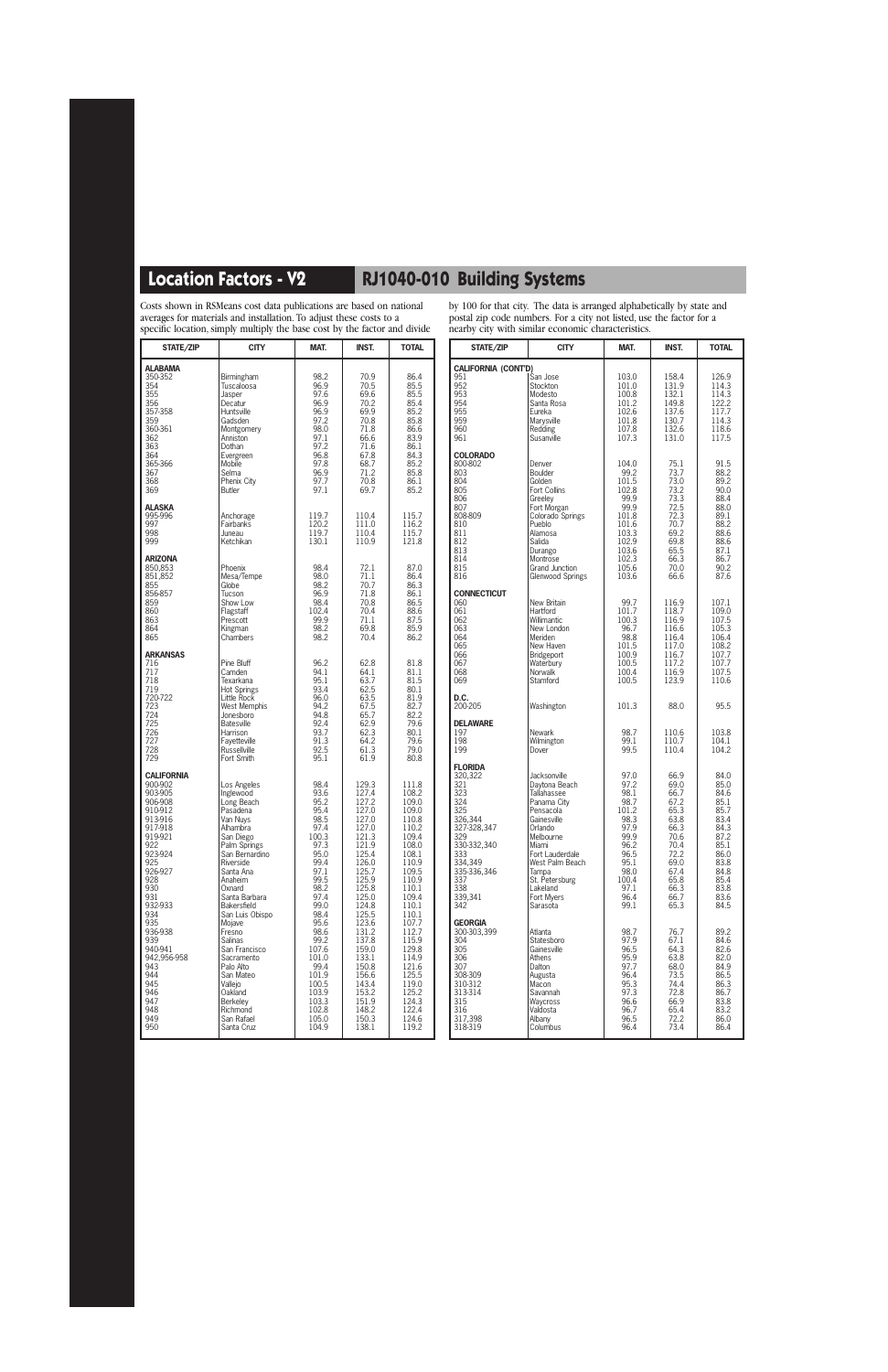Costs shown in RSMeans cost data publications are based on national averages for materials and installation. To adjust these costs to a specific location, simply multiply the base cost by the factor and divide

by 100 for that city. The data is arranged alphabetically by state and postal zip code numbers. For a city not listed, use the factor for a nearby city with similar economic characteristics.

| STATE/ZIP                                                                                                                                                                                                                                                                            | <b>CITY</b>                                                                                                                                                                                                                                                                                                                                                                                          | MAT.                                                                                                                                                                                                                                           | <b>INST.</b>                                                                                                                                                                                                                                                      | <b>TOTAL</b>                                                                                                                                                                                                                                                      |                                                                                                                                                                                                                                                           |
|--------------------------------------------------------------------------------------------------------------------------------------------------------------------------------------------------------------------------------------------------------------------------------------|------------------------------------------------------------------------------------------------------------------------------------------------------------------------------------------------------------------------------------------------------------------------------------------------------------------------------------------------------------------------------------------------------|------------------------------------------------------------------------------------------------------------------------------------------------------------------------------------------------------------------------------------------------|-------------------------------------------------------------------------------------------------------------------------------------------------------------------------------------------------------------------------------------------------------------------|-------------------------------------------------------------------------------------------------------------------------------------------------------------------------------------------------------------------------------------------------------------------|-----------------------------------------------------------------------------------------------------------------------------------------------------------------------------------------------------------------------------------------------------------|
| <b>ALABAMA</b><br>350-352<br>354<br>355<br>356<br>357-358<br>359<br>360-361<br>362<br>363<br>364<br>365-366<br>367<br>368<br>369                                                                                                                                                     | Birmingham<br>Tuscaloosa<br>Jasper<br>Decatur<br>Huntsville<br>Gadsden<br>Montgomery<br>Anniston<br>Dothan<br>Evergreen<br>Mobile<br>Selma<br>Phenix City<br><b>Butler</b>                                                                                                                                                                                                                           | 98.2<br>96.9<br>97.6<br>96.9<br>96.9<br>97.2<br>98.0<br>97.1<br>97.2<br>96.8<br>97.8<br>96.9<br>97.7<br>97.1                                                                                                                                   | 70.9<br>70.5<br>69.6<br>70.2<br>69.9<br>70.8<br>71.8<br>66.6<br>71.6<br>67.8<br>68.7<br>71.2<br>70.8<br>69.7                                                                                                                                                      | 86.4<br>85.5<br>85.5<br>85.4<br>85.2<br>85.8<br>86.6<br>83.9<br>86.1<br>84.3<br>85.2<br>85.8<br>86.1<br>85.2                                                                                                                                                      | CALI<br>951<br>952<br>953<br>954<br>955<br>959<br>960<br>961<br>COL<br>800-<br>803<br>804<br>805                                                                                                                                                          |
| ALASKA<br>995-996<br>997<br>998<br>999                                                                                                                                                                                                                                               | Anchorage<br>Fairbanks<br>Juneau<br>Ketchikan                                                                                                                                                                                                                                                                                                                                                        | 119.7<br>120.2<br>119.7<br>130.1                                                                                                                                                                                                               | 110.4<br>111.0<br>110.4<br>110.9                                                                                                                                                                                                                                  | 115.7<br>116.2<br>115.7<br>121.8                                                                                                                                                                                                                                  | 806<br>807<br>808-<br>810<br>811<br>812<br>813                                                                                                                                                                                                            |
| <b>ARIZONA</b><br>850,853<br>851,852<br>855<br>856-857<br>859<br>860<br>863<br>864<br>865                                                                                                                                                                                            | Phoenix<br>Mesa/Tempe<br>Globe<br>Tucson<br>Show Low<br>Flagstaff<br>Prescott<br>Kingman<br>Chambers                                                                                                                                                                                                                                                                                                 | 98.4<br>98.0<br>98.2<br>96.9<br>98.4<br>102.4<br>99.9<br>98.2<br>98.2                                                                                                                                                                          | 72.1<br>71.1<br>70.7<br>71.8<br>70.8<br>70.4<br>71.1<br>69.8<br>70.4                                                                                                                                                                                              | 87.0<br>86.4<br>86.3<br>86.1<br>86.5<br>88.6<br>87.5<br>85.9<br>86.2                                                                                                                                                                                              | 814<br>815<br>816<br><b>CON</b><br>060<br>061<br>062<br>063<br>064                                                                                                                                                                                        |
| <b>ARKANSAS</b><br>716<br>717<br>718<br>719<br>720-722<br>723<br>724<br>725<br>726<br>727<br>728<br>729                                                                                                                                                                              | Pine Bluff<br>Camden<br>Texarkana<br><b>Hot Springs</b><br>Little Rock<br>West Memphis<br>Jonesboro<br><b>Batesville</b><br>Harrison<br>Fayetteville<br><b>Russellville</b><br>Fort Smith                                                                                                                                                                                                            | 96.2<br>94.1<br>95.1<br>93.4<br>96.0<br>94.2<br>94.8<br>92.4<br>93.7<br>91.3<br>92.5<br>95.1                                                                                                                                                   | 62.8<br>64.1<br>63.7<br>62.5<br>63.5<br>67.5<br>65.7<br>62.9<br>62.3<br>64.2<br>61.3<br>61.9                                                                                                                                                                      | 81.8<br>81.1<br>81.5<br>80.1<br>81.9<br>82.7<br>82.2<br>79.6<br>80.1<br>79.6<br>79.0<br>80.8                                                                                                                                                                      | 065<br>066<br>067<br>068<br>069<br>D.C.<br>200-<br>DEL<br>197<br>198<br>199                                                                                                                                                                               |
| <b>CALIFORNIA</b><br>900-902<br>903-905<br>906-908<br>910-912<br>913-916<br>917-918<br>919-921<br>922<br>923-924<br>925<br>926-927<br>928<br>930<br>931<br>932-933<br>934<br>935<br>936-938<br>939<br>940-941<br>942,956-958<br>943<br>944<br>945<br>946<br>947<br>948<br>949<br>950 | Los Angeles<br>Inglewood<br>Long Beach<br>Pasadena<br>Van Nuys<br>Alhambra<br>San Diego<br>Palm Springs<br>San Bernardino<br>Riverside<br>Santa Ana<br>Anaheim<br>Oxnard<br>Santa Barbara<br>Bakersfield<br>San Luis Obispo<br>Mojave<br>Fresno<br>Salinas<br>San Francisco<br>Sacramento<br>Palo Alto<br>San Mateo<br>Vallejo<br>Oakland<br><b>Berkeley</b><br>Richmond<br>San Rafael<br>Santa Cruz | 98.4<br>93.6<br>95.2<br>95.4<br>98.5<br>97.4<br>100.3<br>97.3<br>95.0<br>99.4<br>97.1<br>99.5<br>98.2<br>97.4<br>99.0<br>98.4<br>95.6<br>98.6<br>99.2<br>107.6<br>101.0<br>99.4<br>101.9<br>100.5<br>103.9<br>103.3<br>102.8<br>105.0<br>104.9 | 129.3<br>127.4<br>127.2<br>127.0<br>127.0<br>127.0<br>121.3<br>121.9<br>125.4<br>126.0<br>125.7<br>125.9<br>125.8<br>125.0<br>124.8<br>125.5<br>123.6<br>131.2<br>137.8<br>159.0<br>133.1<br>150.8<br>156.6<br>143.4<br>153.2<br>151.9<br>148.2<br>150.3<br>138.1 | 111.8<br>108.2<br>109.0<br>109.0<br>110.8<br>110.2<br>109.4<br>108.0<br>108.1<br>110.9<br>109.5<br>110.9<br>110.1<br>109.4<br>110.1<br>110.1<br>107.7<br>112.7<br>115.9<br>129.8<br>114.9<br>121.6<br>125.5<br>119.0<br>125.2<br>124.3<br>122.4<br>124.6<br>119.2 | <b>FLO</b><br>320,<br>321<br>323<br>324<br>325<br>326.<br>327-<br>329<br>330-<br>333<br>334,<br>335-<br>337<br>338<br>339,<br>342<br><b>GEO</b><br>300-<br>304<br>305<br>306<br>307<br>308-<br>310-<br>$313 -$<br>315<br>316<br>$\overline{3}17,$<br>318- |

| STATE/ZIP                  | <b>CITY</b>             | MAT.  | <b>INST.</b> | <b>TOTAL</b> |
|----------------------------|-------------------------|-------|--------------|--------------|
| <b>CALIFORNIA (CONT'D)</b> |                         |       |              |              |
| 951                        | San Jose                | 103.0 | 158.4        | 126.9        |
| 952                        | Stockton                | 101.0 | 131.9        | 114.3        |
| 953                        | Modesto                 | 100.8 | 132.1        | 114.3        |
| 954                        | Santa Rosa              | 101.2 | 149.8        | 122.2        |
| 955                        | Eureka                  | 102.6 | 137.6        | 117.7        |
| 959                        | Marysville              | 101.8 | 130.7        | 114.3        |
| 960                        | Redding                 | 107.8 | 132.6        | 118.6        |
| 961                        | Susanville              | 107.3 | 131.0        | 117.5        |
|                            |                         |       |              |              |
| <b>COLORADO</b>            |                         |       |              |              |
| 800-802                    | Denver                  | 104.0 | 75.1         | 91.5         |
| 803                        | Boulder                 | 99.2  | 73.7         | 88.2         |
| 804                        | Golden                  | 101.5 | 73.0         | 89.2         |
| 805                        | Fort Collins            | 102.8 | 73.2         | 90.0         |
| 806                        | Greeley                 | 99.9  | 73.3         | 88.4         |
| 807                        | Fort Morgan             | 99.9  | 72.5         | 88.0         |
| 808-809                    | Colorado Springs        | 101.8 | 72.3         | 89.1         |
| 810                        | Pueblo                  | 101.6 | 70.7         | 88.2         |
| 811                        | Alamosa                 | 103.3 | 69.2         | 88.6         |
| 812                        | Salida                  | 102.9 | 69.8         | 88.6         |
| 813                        | Durango                 | 103.6 | 65.5         | 87.1         |
| 814                        | Montrose                | 102.3 | 66.3         | 86.7         |
| 815                        | Grand Junction          | 105.6 | 70.0         | 90.2         |
| 816                        | <b>Glenwood Springs</b> | 103.6 | 66.6         | 87.6         |
|                            |                         |       |              |              |
| <b>CONNECTICUT</b>         |                         |       |              |              |
| 060                        | New Britain             | 99.7  | 116.9        | 107.1        |
| 061                        | Hartford                | 101.7 | 118.7        | 109.0        |
| 062                        | Willimantic             | 100.3 | 116.9        | 107.5        |
| 063                        | New London              | 96.7  | 116.6        | 105.3        |
| 064                        | Meriden                 | 98.8  | 116.4        | 106.4        |
| 065                        | New Haven               | 101.5 | 117.0        | 108.2        |
| 066                        | <b>Bridgeport</b>       | 100.9 | 116.7        | 107.7        |
| 067                        | Waterbury               | 100.5 | 117.2        | 107.7        |
| 068                        | Norwalk                 | 100.4 | 116.9        | 107.5        |
| 069                        | Stamford                | 100.5 | 123.9        | 110.6        |
|                            |                         |       |              |              |
| D.C.                       |                         |       |              |              |
| 200-205                    | Washington              | 101.3 | 88.0         | 95.5         |
|                            |                         |       |              |              |
| DELAWARE                   |                         |       |              |              |
| 197                        | Newark                  | 98.7  | 110.6        | 103.8        |
| 198                        | Wilmington              | 99.1  | 110.7        | 104.1        |
| 199                        | Dover                   | 99.5  | 110.4        | 104.2        |
|                            |                         |       |              |              |
| <b>FLORIDA</b>             |                         |       |              |              |
| 320,322                    | Jacksonville            | 97.0  | 66.9         | 84.0         |
| 321                        | Daytona Beach           | 97.2  | 69.0         | 85.0         |
| 323                        | <b>Tallahassee</b>      | 98.1  | 66.7         | 84.6         |
| 324                        | Panama City             | 98.7  | 67.2         | 85.1         |
| 325                        | Pensacola               | 101.2 | 65.3         | 85.7         |
| 326,344                    | Gainesville             | 98.3  | 63.8         | 83.4         |
| 327-328,347                | Orlando                 | 97.9  | 66.3         | 84.3         |
| 329                        | Melbourne               | 99.9  | 70.6         | 87.2         |
| 330-332,340                | Miami                   | 96.2  | 70.4         | 85.1         |
| 333                        | Fort Lauderdale         | 96.5  | 72.2         | 86.0         |
| 334,349                    | West Palm Beach         | 95.1  | 69.0         | 83.8         |
| 335-336,346                | Tampa                   | 98.0  | 67.4         | 84.8         |
| 337                        | St. Petersburg          | 100.4 | 65.8         | 85.4         |
| 338                        | Lakeland                | 97.1  | 66.3         | 83.8         |
| 339,341                    | Fort Mvers              | 96.4  | 66.7         | 83.6         |
| 342                        | Sarasota                | 99.1  | 65.3         | 84.5         |
|                            |                         |       |              |              |
| Georgia                    |                         |       |              |              |
| 300-303,399                | Atlanta                 | 98.7  | 76.7         | 89.2         |
| 304                        | Statesboro              | 97.9  | 67.1         | 84.6         |
| 305                        | Gainesville             | 96.5  | 64.3         | 82.6         |
| 306                        | Athens                  | 95.9  | 63.8         | 82.0         |
| 307                        | Dalton                  | 97.7  | 68.0         | 84.9         |
| 308-309                    | Augusta                 | 96.4  | 73.5         | 86.5         |
| 310-312                    | Macon                   | 95.3  | 74.4         | 86.3         |
| 313-314                    | Savannah                | 97.3  | 72.8         | 86.7         |
| 315                        | Waycross                | 96.6  | 66.9         | 83.8         |
| 316                        | Valdosta                | 96.7  | 65.4         | 83.2         |
| 317,398                    | Albany                  | 96.5  | 72.2         | 86.0         |
| 318-319                    | Columbus                | 96.4  | 73.4         | 86.4         |
|                            |                         |       |              |              |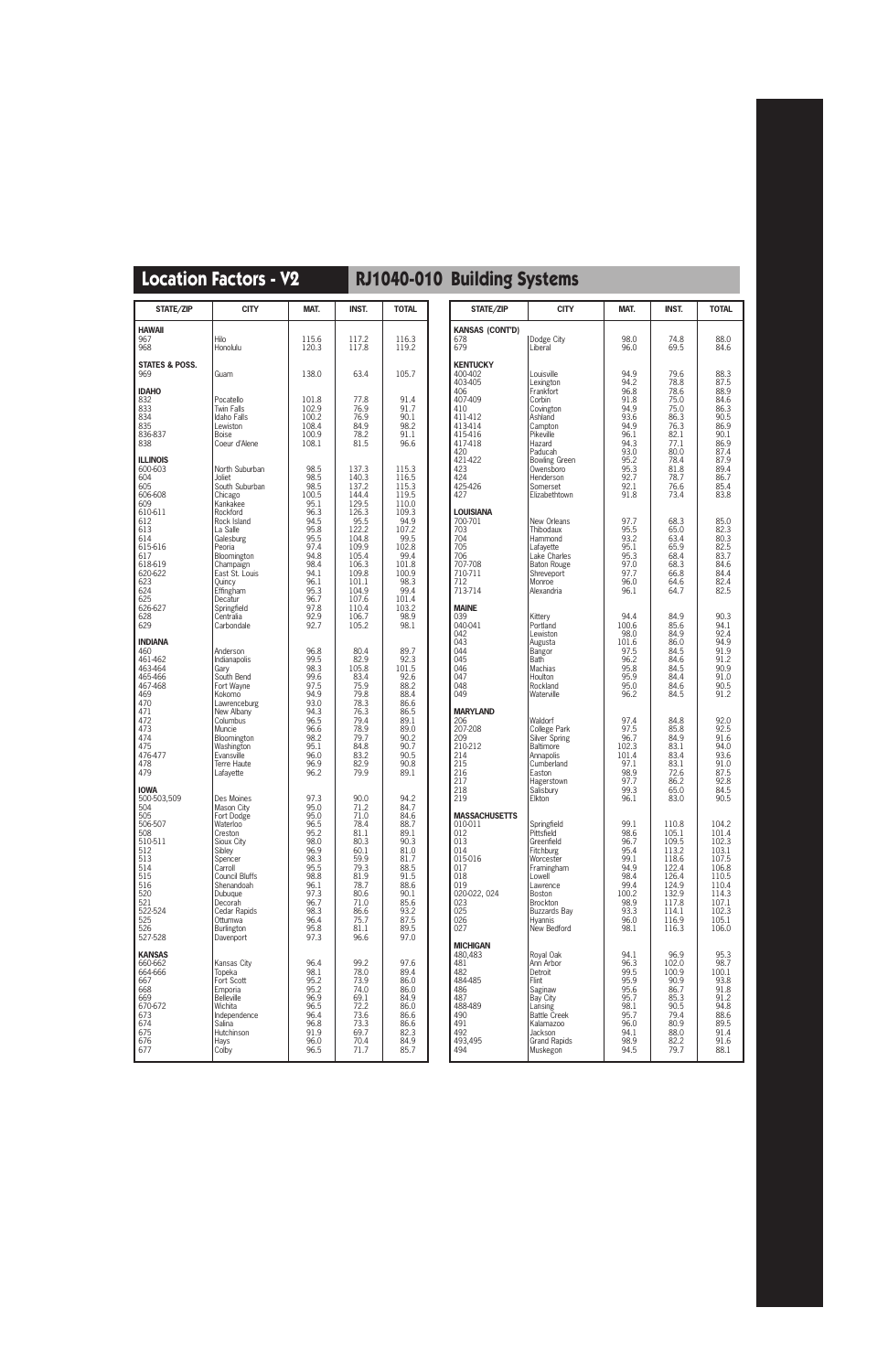| STATE/ZIP                                                                                                                                                                        | <b>CITY</b>                                                                                                                                                                                                                                               | MAT.                                                                                                                                                  | <b>INST.</b>                                                                                                                                                           | <b>TOTAL</b>                                                                                                                                                     |
|----------------------------------------------------------------------------------------------------------------------------------------------------------------------------------|-----------------------------------------------------------------------------------------------------------------------------------------------------------------------------------------------------------------------------------------------------------|-------------------------------------------------------------------------------------------------------------------------------------------------------|------------------------------------------------------------------------------------------------------------------------------------------------------------------------|------------------------------------------------------------------------------------------------------------------------------------------------------------------|
| <b>HAWAII</b><br>967<br>968                                                                                                                                                      | Hilo<br>Honolulu                                                                                                                                                                                                                                          | 115.6<br>120.3                                                                                                                                        | 117.2<br>117.8                                                                                                                                                         | 116.3<br>119.2                                                                                                                                                   |
| <b>STATES &amp; POSS.</b><br>969                                                                                                                                                 | Guam                                                                                                                                                                                                                                                      | 138.0                                                                                                                                                 | 63.4                                                                                                                                                                   | 105.7                                                                                                                                                            |
| <b>IDAHO</b><br>832<br>833<br>834<br>835<br>836-837<br>838                                                                                                                       | Pocatello<br><b>Twin Falls</b><br>Idaho Falls<br>Lewiston<br><b>Boise</b><br>Coeur d'Alene                                                                                                                                                                | 101.8<br>102.9<br>100.2<br>108.4<br>100.9<br>108.1                                                                                                    | 77.8<br>76.9<br>76.9<br>84.9<br>78.2<br>81.5                                                                                                                           | 91.4<br>91.7<br>90.1<br>98.2<br>91.1<br>96.6                                                                                                                     |
| <b>ILLINOIS</b><br>600-603<br>604<br>605<br>606-608<br>609<br>610-611<br>612<br>613<br>614<br>615-616<br>617<br>618-619<br>620-622<br>623<br>624<br>625<br>626-627<br>628<br>629 | North Suburban<br>Joliet<br>South Suburban<br>Chicago<br>Kankakee<br>Rockford<br>Rock Island<br>La Salle<br>Galesburg<br>Peoria<br>Bloomington<br>Champaign<br>East St. Louis<br>Ouincy<br>Effingham<br>Decatur<br>Springfield<br>Centralia<br>Carbondale | 98.5<br>98.5<br>98.5<br>100.5<br>95.1<br>96.3<br>94.5<br>95.8<br>95.5<br>97.4<br>94.8<br>98.4<br>94.1<br>96.1<br>95.3<br>96.7<br>97.8<br>92.9<br>92.7 | 137.3<br>140.3<br>137.2<br>144.4<br>129.5<br>126.3<br>95.5<br>122.2<br>104.8<br>109.9<br>105.4<br>106.3<br>109.8<br>101.1<br>104.9<br>107.6<br>110.4<br>106.7<br>105.2 | 115.3<br>116.5<br>115.3<br>119.5<br>110.0<br>109.3<br>94.9<br>107.2<br>99.5<br>102.8<br>99.4<br>101.8<br>100.9<br>98.3<br>99.4<br>101.4<br>103.2<br>98.9<br>98.1 |
| <b>INDIANA</b><br>460<br>461-462<br>463-464<br>465-466<br>467-468<br>469<br>470<br>471<br>472<br>473<br>474<br>475<br>476-477<br>478<br>479                                      | Anderson<br>Indianapolis<br>Gary<br>South Bend<br>Fort Wayne<br>Kokomo<br>Lawrenceburg<br>New Albany<br>Columbus<br>Muncie<br>Bloomington<br>Washington<br>Evansville<br>Terre Haute<br>Lafayette                                                         | 96.8<br>99.5<br>98.3<br>99.6<br>97.5<br>94.9<br>93.0<br>94.3<br>96.5<br>96.6<br>98.2<br>95.1<br>96.0<br>96.9<br>96.2                                  | 80.4<br>82.9<br>105.8<br>83.4<br>75.9<br>79.8<br>78.3<br>76.3<br>79.4<br>78.9<br>79.7<br>84.8<br>83.2<br>82.9<br>79.9                                                  | 89.7<br>92.3<br>101.5<br>92.6<br>88.2<br>88.4<br>86.6<br>86.5<br>89.1<br>89.0<br>90.2<br>90.7<br>90.5<br>90.8<br>89.1                                            |
| <b>IOWA</b><br>500-503,509<br>504<br>505<br>506-507<br>508<br>510-511<br>512<br>513<br>514<br>515<br>516<br>520<br>521<br>522-524<br>525<br>526<br>527-528                       | Des Moines<br>Mason City<br>Fort Dodge<br>Waterloo<br>Creston<br>Sioux City<br>Sibley<br>Spencer<br>Carroll<br><b>Council Bluffs</b><br>Shenandoah<br>Dubuque<br>Decorah<br>Cedar Rapids<br>Ottumwa<br>Burlington<br>Davenport                            | 97.3<br>95.0<br>95.0<br>96.5<br>95.2<br>98.0<br>96.9<br>98.3<br>95.5<br>98.8<br>96.1<br>97.3<br>96.7<br>98.3<br>96.4<br>95.8<br>97.3                  | 90.0<br>71.2<br>71.0<br>78.4<br>81.1<br>80.3<br>60.1<br>59.9<br>79.3<br>81.9<br>78.7<br>80.6<br>71.0<br>86.6<br>75.7<br>81.1<br>96.6                                   | 94.2<br>84.7<br>84.6<br>88.7<br>89.1<br>90.3<br>81.0<br>81.7<br>88.5<br>91.5<br>88.6<br>90.1<br>85.6<br>93.2<br>87.5<br>89.5<br>97.0                             |
| <b>KANSAS</b><br>660-662<br>664-666<br>667<br>668<br>669<br>670-672<br>673<br>674<br>675<br>676<br>677                                                                           | Kansas City<br>Topeka<br>Fort Scott<br>Emporia<br><b>Belleville</b><br>Wichita<br>Independence<br>Salina<br>Hutchinson<br>Hays<br>Colby                                                                                                                   | 96.4<br>98.1<br>95.2<br>95.2<br>96.9<br>96.5<br>96.4<br>96.8<br>91.9<br>96.0<br>96.5                                                                  | 99.2<br>78.0<br>73.9<br>74.0<br>69.1<br>72.2<br>73.6<br>73.3<br>69.7<br>70.4<br>71.7                                                                                   | 97.6<br>89.4<br>86.0<br>86.0<br>84.9<br>86.0<br>86.6<br>86.6<br>82.3<br>84.9<br>85.7                                                                             |

| STATE/ZIP                                                                                                                                                                                                 | <b>CITY</b>                                                                                                                                                                                                                                            | MAT.                                                                                                                                                 | <b>INST.</b>                                                                                                                                         | <b>TOTAL</b>                                                                                                                                         |
|-----------------------------------------------------------------------------------------------------------------------------------------------------------------------------------------------------------|--------------------------------------------------------------------------------------------------------------------------------------------------------------------------------------------------------------------------------------------------------|------------------------------------------------------------------------------------------------------------------------------------------------------|------------------------------------------------------------------------------------------------------------------------------------------------------|------------------------------------------------------------------------------------------------------------------------------------------------------|
| <b>KANSAS (CONT'D)</b>                                                                                                                                                                                    |                                                                                                                                                                                                                                                        |                                                                                                                                                      |                                                                                                                                                      |                                                                                                                                                      |
| 678<br>679                                                                                                                                                                                                | Dodge City<br>Liberal                                                                                                                                                                                                                                  | 98.0<br>96.0                                                                                                                                         | 74.8<br>69.5                                                                                                                                         | 88.0<br>84.6                                                                                                                                         |
| <b>KENTUCKY</b><br>400-402<br>403-405<br>406<br>407-409<br>410<br>411-412<br>413-414<br>415-416<br>417-418<br>420<br>421-422<br>423<br>424<br>425-426<br>427<br>LOUISIANA<br>700-701<br>703<br>704<br>705 | Louisville<br>Lexington<br>Frankfort<br>Corbin<br>Covington<br>Ashland<br>Campton<br>Pikeville<br>Hazard<br>Paducah<br><b>Bowling Green</b><br>Owensboro<br>Henderson<br>Somerset<br>Elizabethtown<br>New Orleans<br>Thibodaux<br>Hammond<br>Lafayette | 94.9<br>94.2<br>96.8<br>91.8<br>94.9<br>93.6<br>94.9<br>96.1<br>94.3<br>93.0<br>95.2<br>95.3<br>92.7<br>92.1<br>91.8<br>97.7<br>95.5<br>93.2<br>95.1 | 79.6<br>78.8<br>78.6<br>75.0<br>75.0<br>86.3<br>76.3<br>82.1<br>77.1<br>80.0<br>78.4<br>81.8<br>78.7<br>76.6<br>73.4<br>68.3<br>65.0<br>63.4<br>65.9 | 88.3<br>87.5<br>88.9<br>84.6<br>86.3<br>90.5<br>86.9<br>90.1<br>86.9<br>87.4<br>87.9<br>89.4<br>86.7<br>85.4<br>83.8<br>85.0<br>82.3<br>80.3<br>82.5 |
| 706<br>707-708<br>710-711<br>712<br>713-714                                                                                                                                                               | Lake Charles<br><b>Baton Rouge</b><br>Shreveport<br>Monroe<br>Alexandria                                                                                                                                                                               | 95.3<br>97.0<br>97.7<br>96.0<br>96.1                                                                                                                 | 68.4<br>68.3<br>66.8<br>64.6<br>64.7                                                                                                                 | 83.7<br>84.6<br>84.4<br>82.4<br>82.5                                                                                                                 |
| Maine<br>039<br>040-041<br>042<br>043<br>044<br>045<br>046<br>047<br>048<br>049                                                                                                                           | Kittery<br>Portland<br>Lewiston<br>Augusta<br><b>Bangor</b><br>Bath<br><b>Machias</b><br>Houlton<br>Rockland<br>Waterville                                                                                                                             | 94.4<br>100.6<br>98.0<br>101.6<br>97.5<br>96.2<br>95.8<br>95.9<br>95.0<br>96.2                                                                       | 84.9<br>85.6<br>84.9<br>86.0<br>84.5<br>84.6<br>84.5<br>84.4<br>84.6<br>84.5                                                                         | 90.3<br>94.1<br>92.4<br>94.9<br>91.9<br>91.2<br>90.9<br>91.0<br>90.5<br>91.2                                                                         |
| Maryland<br>206<br>207-208<br>209<br>210-212<br>214<br>215<br>216<br>217<br>218<br>219                                                                                                                    | Waldorf<br>College Park<br>Silver Spring<br><b>Baltimore</b><br>Annapolis<br>Cumberland<br>Easton<br>Hagerstown<br>Salisbury<br>Elkton                                                                                                                 | 97.4<br>97.5<br>96.7<br>102.3<br>101.4<br>97.1<br>98.9<br>97.7<br>99.3<br>96.1                                                                       | 84.8<br>85.8<br>84.9<br>83.1<br>83.4<br>83.1<br>72.6<br>86.2<br>65.0<br>83.0                                                                         | 92.0<br>92.5<br>91.6<br>94.0<br>93.6<br>91.0<br>87.5<br>92.8<br>84.5<br>90.5                                                                         |
| MASSACHUSETTS<br>010-011<br>012<br>013<br>014<br>015-016<br>017<br>018<br>019<br>020-022, 024<br>023<br>025<br>026<br>027                                                                                 | Springfield<br>Pittsfield<br>Greenfield<br><b>Fitchburg</b><br>Worcester<br>Framingham<br>Lowell<br>Lawrence<br><b>Boston</b><br>Brockton<br><b>Buzzards Bay</b><br><b>Hyannis</b><br>New Bedford                                                      | 99.1<br>98.6<br>96.7<br>95.4<br>99.1<br>94.9<br>98.4<br>99.4<br>100.2<br>98.9<br>93.3<br>96.0<br>98.1                                                | 110.8<br>105.1<br>109.5<br>113.2<br>118.6<br>122.4<br>126.4<br>124.9<br>132.9<br>117.8<br>114.1<br>116.9<br>116.3                                    | 104.2<br>101.4<br>102.3<br>103.1<br>107.5<br>106.8<br>110.5<br>110.4<br>114.3<br>107.1<br>102.3<br>105.1<br>106.0                                    |
| MICHIGAN<br>480,483<br>481<br>482<br>484-485<br>486<br>487<br>488-489<br>490<br>491<br>492<br>493,495<br>494                                                                                              | Royal Oak<br>Ann Arbor<br>Detroit<br>Flint<br>Saginaw<br>Bay City<br>Lansing<br><b>Battle Creek</b><br>Kalamazoo<br>Jackson<br><b>Grand Rapids</b><br>Muskegon                                                                                         | 94.1<br>96.3<br>99.5<br>95.9<br>95.6<br>95.7<br>98.1<br>95.7<br>96.0<br>94.1<br>98.9<br>94.5                                                         | 96.9<br>102.0<br>100.9<br>90.9<br>86.7<br>85.3<br>90.5<br>79.4<br>80.9<br>88.0<br>82.2<br>79.7                                                       | 95.3<br>98.7<br>100.1<br>93.8<br>91.8<br>91.2<br>94.8<br>88.6<br>89.5<br>91.4<br>91.6<br>88.1                                                        |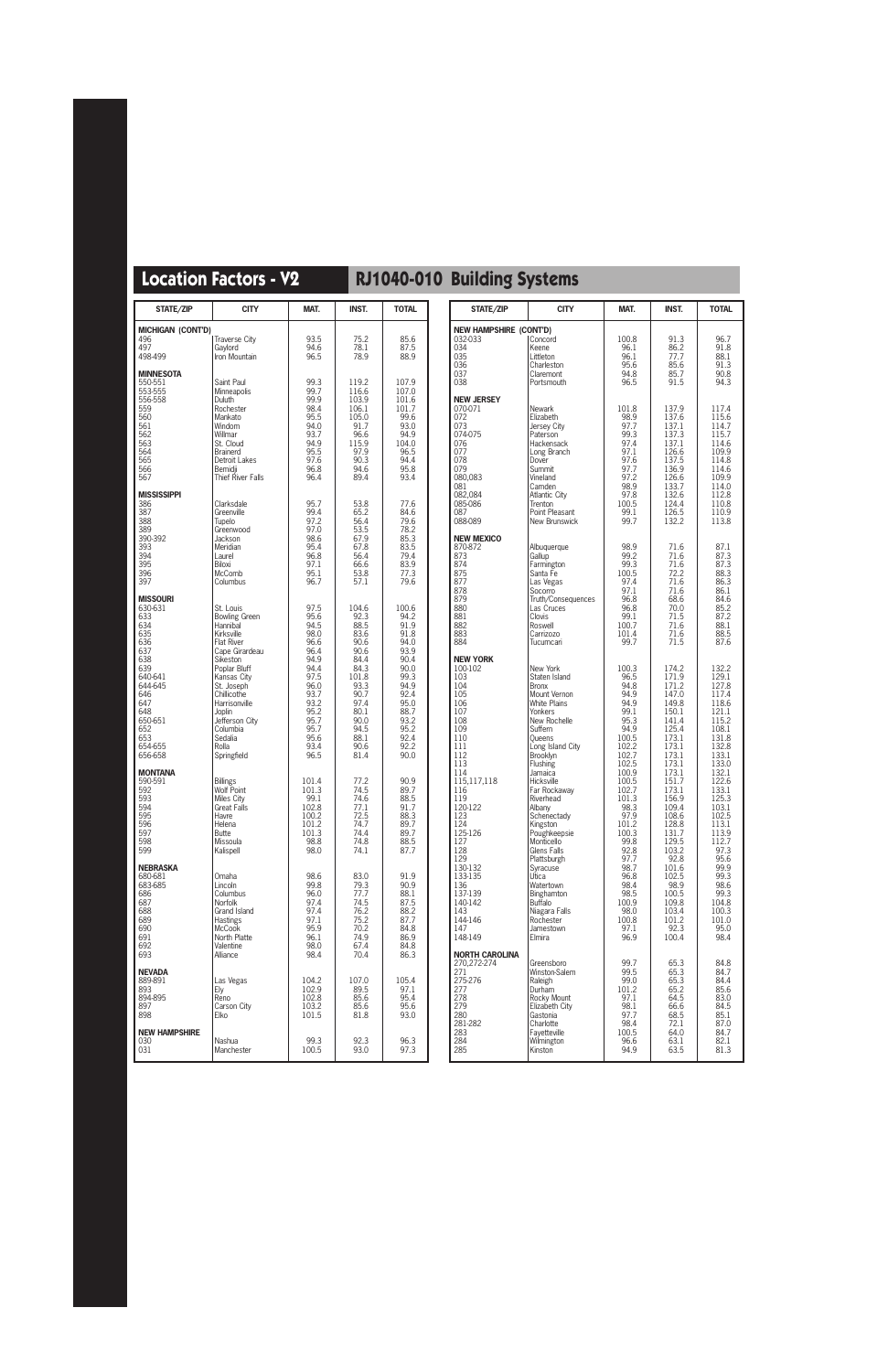| STATE/ZIP                                                                                                                                                             | <b>CITY</b>                                                                                                                                                                                                                                                            | MAT.                                                                                                                                         | <b>INST.</b>                                                                                                                                   | <b>TOTAL</b>                                                                                                                                  |
|-----------------------------------------------------------------------------------------------------------------------------------------------------------------------|------------------------------------------------------------------------------------------------------------------------------------------------------------------------------------------------------------------------------------------------------------------------|----------------------------------------------------------------------------------------------------------------------------------------------|------------------------------------------------------------------------------------------------------------------------------------------------|-----------------------------------------------------------------------------------------------------------------------------------------------|
| <b>MICHIGAN (CONT'D)</b><br>496<br>497<br>498-499                                                                                                                     | <b>Traverse City</b><br>Gaylord<br>Iron Mountain                                                                                                                                                                                                                       | 93.5<br>94.6<br>96.5                                                                                                                         | 75.2<br>78.1<br>78.9                                                                                                                           | 85.6<br>87.5<br>88.9                                                                                                                          |
| <b>MINNESOTA</b><br>550-551<br>553-555<br>556-558<br>559<br>560<br>561<br>562<br>563<br>564<br>565<br>566<br>567                                                      | Saint Paul<br>Minneapolis<br><b>Duluth</b><br>Rochester<br>Mankato<br>Windom<br>Willmar<br>St. Cloud<br><b>Brainerd</b><br>Detroit Lakes<br>Bemidji<br>Thief River Falls                                                                                               | 99.3<br>99.7<br>99.9<br>98.4<br>95.5<br>94.0<br>93.7<br>94.9<br>95.5<br>97.6<br>96.8<br>96.4                                                 | 119.2<br>116.6<br>103.9<br>106.1<br>105.0<br>91.7<br>96.6<br>115.9<br>97.9<br>90.3<br>94.6<br>89.4                                             | 107.9<br>107.0<br>101.6<br>101.7<br>99.6<br>93.0<br>94.9<br>104.0<br>96.5<br>94.4<br>95.8<br>93.4                                             |
| <b>MISSISSIPPI</b><br>386<br>387<br>388<br>389<br>390-392<br>393<br>394<br>395<br>396<br>397                                                                          | Clarksdale<br>Greenville<br>Tupelo<br>Greenwood<br>Jackson<br>Meridian<br>Laurel<br>Biloxi<br>McComb<br>Columbus                                                                                                                                                       | 95.7<br>99.4<br>97.2<br>97.0<br>98.6<br>95.4<br>96.8<br>97.1<br>95.1<br>96.7                                                                 | 53.8<br>65.2<br>56.4<br>53.5<br>67.9<br>67.8<br>56.4<br>66.6<br>53.8<br>57.1                                                                   | 77.6<br>84.6<br>79.6<br>78.2<br>85.3<br>83.5<br>79.4<br>83.9<br>77.3<br>79.6                                                                  |
| <b>MISSOURI</b><br>630-631<br>633<br>634<br>635<br>636<br>637<br>638<br>639<br>640-641<br>644-645<br>646<br>647<br>648<br>650-651<br>652<br>653<br>654-655<br>656-658 | St. Louis<br><b>Bowling Green</b><br>Hannibal<br>Kirksville<br><b>Flat River</b><br>Cape Girardeau<br>Sikeston<br>Poplar Bluff<br>Kansas City<br>St. Joseph<br>Chillicothe<br>Harrisonville<br>Joplin<br>Jefferson City<br>Columbia<br>Sedalia<br>Rolla<br>Springfield | 97.5<br>95.6<br>94.5<br>98.0<br>96.6<br>96.4<br>94.9<br>94.4<br>97.5<br>96.0<br>93.7<br>93.2<br>95.2<br>95.7<br>95.7<br>95.6<br>93.4<br>96.5 | 104.6<br>92.3<br>88.5<br>83.6<br>90.6<br>90.6<br>84.4<br>84.3<br>101.8<br>93.3<br>90.7<br>97.4<br>80.1<br>90.0<br>94.5<br>88.1<br>90.6<br>81.4 | 100.6<br>94.2<br>91.9<br>91.8<br>94.0<br>93.9<br>90.4<br>90.0<br>99.3<br>94.9<br>92.4<br>95.0<br>88.7<br>93.2<br>95.2<br>92.4<br>92.2<br>90.0 |
| <b>MONTANA</b><br>590-591<br>592<br>593<br>594<br>595<br>596<br>597<br>598<br>599                                                                                     | <b>Billings</b><br>Wolf Point<br>Miles City<br><b>Great Falls</b><br>Havre<br>Helena<br><b>Butte</b><br>Missoula<br>Kalispell                                                                                                                                          | 101.4<br>101.3<br>99.1<br>102.8<br>100.2<br>101.2<br>101.3<br>98.8<br>98.0                                                                   | 77.2<br>74.5<br>74.6<br>77.1<br>72.5<br>74.7<br>74.4<br>74.8<br>74.1                                                                           | 90.9<br>89.7<br>88.5<br>91.7<br>88.3<br>89.7<br>89.7<br>88.5<br>87.7                                                                          |
| <b>NEBRASKA</b><br>680-681<br>683-685<br>686<br>687<br>688<br>689<br>690<br>691<br>692<br>693                                                                         | Omaha<br>Lincoln<br>Columbus<br>Norfolk<br>Grand Island<br><b>Hastings</b><br><b>McCook</b><br>North Platte<br>Valentine<br>Alliance                                                                                                                                   | 98.6<br>99.8<br>96.0<br>97.4<br>97.4<br>97.1<br>95.9<br>96.1<br>98.0<br>98.4                                                                 | 83.0<br>79.3<br>77.7<br>74.5<br>76.2<br>75.2<br>70.2<br>74.9<br>67.4<br>70.4                                                                   | 91.9<br>90.9<br>88.1<br>87.5<br>88.2<br>87.7<br>84.8<br>86.9<br>84.8<br>86.3                                                                  |
| <b>NEVADA</b><br>889-891<br>893<br>894-895<br>897<br>898                                                                                                              | Las Vegas<br>Ely<br>Reno<br>Carson City<br>Elko                                                                                                                                                                                                                        | 104.2<br>102.9<br>102.8<br>103.2<br>101.5                                                                                                    | 107.0<br>89.5<br>85.6<br>85.6<br>81.8                                                                                                          | 105.4<br>97.1<br>95.4<br>95.6<br>93.0                                                                                                         |
| <b>NEW HAMPSHIRE</b><br>030<br>031                                                                                                                                    | Nashua<br>Manchester                                                                                                                                                                                                                                                   | 99.3<br>100.5                                                                                                                                | 92.3<br>93.0                                                                                                                                   | 96.3<br>97.3                                                                                                                                  |

| STATE/ZIP                     | <b>CITY</b>                            | MAT.           | INST.          | <b>TOTAL</b>   |
|-------------------------------|----------------------------------------|----------------|----------------|----------------|
| <b>NEW HAMPSHIRE (CONT'D)</b> |                                        |                |                |                |
| 032-033<br>034                | Concord<br>Keene                       | 100.8<br>96.1  | 91.3<br>86.2   | 96.7<br>91.8   |
| 035                           | Littleton                              | 96.1           | 77.7           | 88.1           |
| 036<br>037                    | Charleston<br>Claremont                | 95.6<br>94.8   | 85.6<br>85.7   | 91.3<br>90.8   |
| 038                           | Portsmouth                             | 96.5           | 91.5           | 94.3           |
| <b>NEW JERSEY</b>             |                                        |                |                |                |
| 070-071                       | Newark                                 | 101.8          | 137.9          | 117.4<br>115.6 |
| 072<br>073                    | Elizabeth<br>Jersey City               | 98.9<br>97.7   | 137.6<br>137.1 | 114.7          |
| 074-075                       | Paterson                               | 99.3           | 137.3          | 115.7          |
| 076<br>077                    | Hackensack<br>Long Branch              | 97.4<br>97.1   | 137.1<br>126.6 | 114.6<br>109.9 |
| 078                           | Dover                                  | 97.6           | 137.5          | 114.8          |
| 079<br>080,083                | Summit<br>Vineland                     | 97.7<br>97.2   | 136.9<br>126.6 | 114.6<br>109.9 |
| 081                           | Camden                                 | 98.9           | 133.7          | 114.0          |
| 082,084<br>085-086            | <b>Atlantic City</b><br>Trenton        | 97.8<br>100.5  | 132.6<br>124.4 | 112.8<br>110.8 |
| 087<br>088-089                | Point Pleasant<br><b>New Brunswick</b> | 99.1<br>99.7   | 126.5<br>132.2 | 110.9<br>113.8 |
|                               |                                        |                |                |                |
| <b>NEW MEXICO</b><br>870-872  | Albuquerque                            | 98.9           | 71.6           | 87.1           |
| 873                           | Gallup                                 | 99.2           | 71.6           | 87.3           |
| 874<br>875                    | Farmington<br>Santa Fe                 | 99.3<br>100.5  | 71.6<br>72.2   | 87.3<br>88.3   |
| 877                           | Las Vegas                              | 97.4           | 71.6           | 86.3           |
| 878<br>879                    | Socorro<br>Truth/Consequences          | 97.1<br>96.8   | 71.6<br>68.6   | 86.1<br>84.6   |
| 880                           | Las Cruces                             | 96.8           | 70.0           | 85.2           |
| 881<br>882                    | Clovis<br>Roswell                      | 99.1<br>100.7  | 71.5<br>71.6   | 87.2<br>88.1   |
| 883                           | Carrizozo                              | 101.4          | 71.6           | 88.5           |
| 884                           | Tucumcari                              | 99.7           | 71.5           | 87.6           |
| <b>NEW YORK</b>               |                                        |                |                |                |
| 100-102<br>103                | New York<br>Staten Island              | 100.3<br>96.5  | 174.2<br>171.9 | 132.2<br>129.1 |
| 104                           | <b>Bronx</b>                           | 94.8           | 171.2          | 127.8          |
| 105<br>106                    | Mount Vernon<br><b>White Plains</b>    | 94.9<br>94.9   | 147.0<br>149.8 | 117.4<br>118.6 |
| 107<br>108                    | Yonkers<br>New Rochelle                | 99.1<br>95.3   | 150.1<br>141.4 | 121.1<br>115.2 |
| 109                           | Suffern                                | 94.9           | 125.4          | 108.1          |
| 110<br>111                    | Oueens<br>Long Island City             | 100.5<br>102.2 | 173.1<br>173.1 | 131.8<br>132.8 |
| 112                           | Brooklyn                               | 102.7          | 173.1          | 133.1          |
| 113<br>114                    | Flushing<br>Jamaica                    | 102.5<br>100.9 | 173.1<br>173.1 | 133.0<br>132.1 |
| 115,117,118                   | Hicksville                             | 100.5          | 151.7          | 122.6          |
| 116<br>119                    | Far Rockaway<br>Riverhead              | 102.7<br>101.3 | 173.1<br>156.9 | 133.1<br>125.3 |
| 120-122                       | Albany                                 | 98.3           | 109.4          | 103.1          |
| 123<br>124                    | Schenectady<br>Kingston                | 97.9<br>101.2  | 108.6<br>128.8 | 102.5<br>113.1 |
| 125-126                       | Poughkeepsie                           | 100.3          | 131.7          | 113.9          |
| 127<br>128                    | Monticello<br>Glens Falls              | 99.8<br>92.8   | 129.5<br>103.2 | 112.7<br>97.3  |
| 129                           | Plattsburgh                            | 97.7           | 92.8           | 95.6           |
| 130-132<br>133-135            | Syracuse<br>Utica                      | 98.7<br>96.8   | 101.6<br>102.5 | 99.9<br>99.3   |
| 136                           | Watertown                              | 98.4           | 98.9           | 98.6           |
| 137-139<br>140-142            | Binghamton<br><b>Buffalo</b>           | 98.5<br>100.9  | 100.5<br>109.8 | 99.3<br>104.8  |
| 143                           | Niagara Falls                          | 98.0           | 103.4          | 100.3          |
| 144-146<br>147                | Rochester<br>Jamestown                 | 100.8<br>97.1  | 101.2<br>92.3  | 101.0<br>95.0  |
| 148-149                       | Elmira                                 | 96.9           | 100.4          | 98.4           |
| <b>NORTH CAROLINA</b>         |                                        |                |                |                |
| 270,272-274<br>271            | Greensboro                             | 99.7<br>99.5   | 65.3<br>65.3   | 84.8<br>84.7   |
| 275-276                       | Winston-Salem<br>Raleigh               | 99.0           | 65.3           | 84.4           |
| 277<br>278                    | Durham<br>Rocky Mount                  | 101.2<br>97.1  | 65.2<br>64.5   | 85.6<br>83.0   |
| 279                           | Elizabeth City                         | 98.1           | 66.6           | 84.5           |
| 280<br>281-282                | Gastonia<br>Charlotte                  | 97.7<br>98.4   | 68.5<br>72.1   | 85.1<br>87.0   |
| 283                           | Fayetteville                           | 100.5          | 64.0           | 84.7           |
| 284<br>285                    | Wilmington<br>Kinston                  | 96.6<br>94.9   | 63.1<br>63.5   | 82.1<br>81.3   |
|                               |                                        |                |                |                |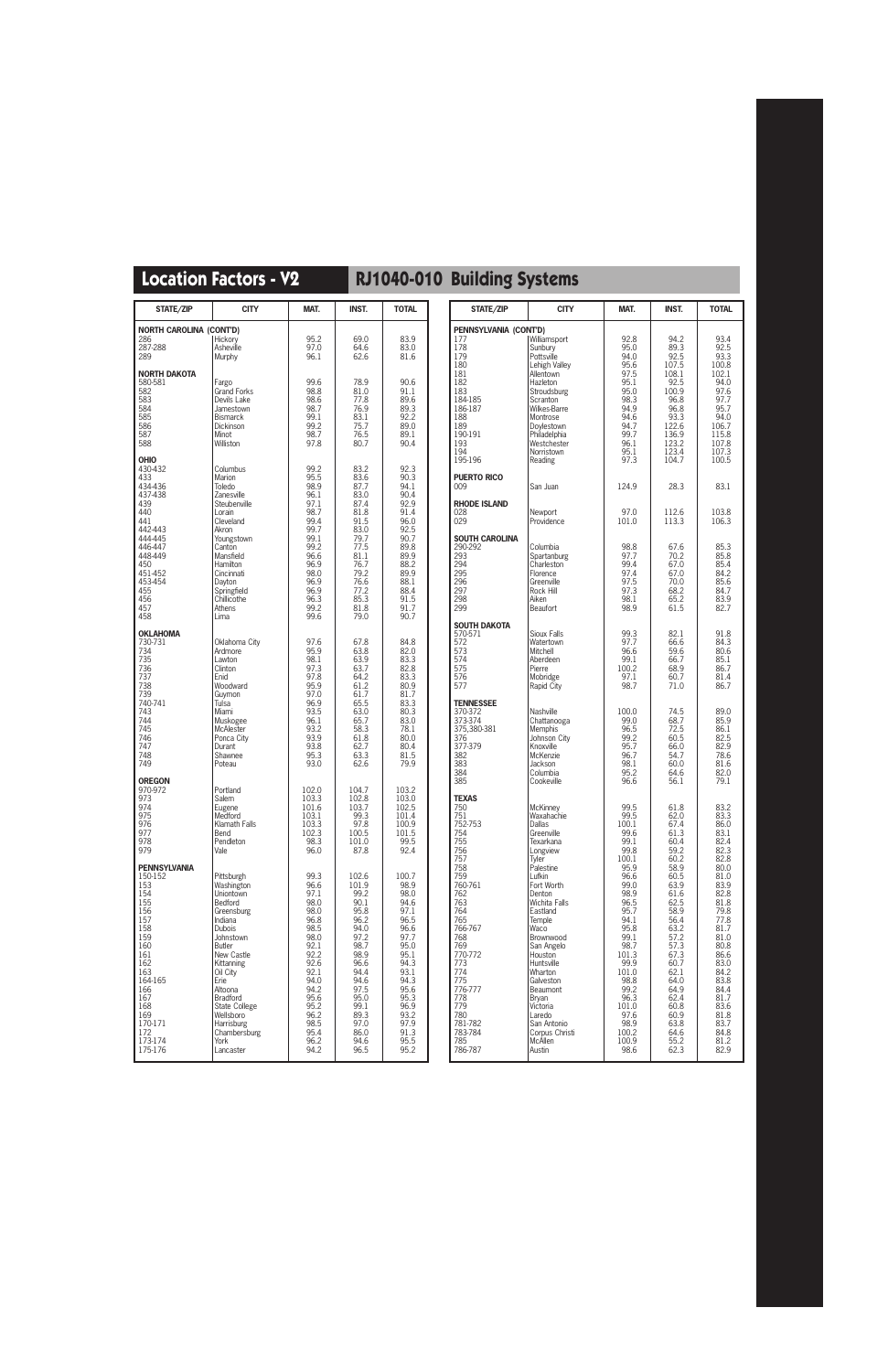| STATE/ZIP                                                                                                                                                                                  | <b>CITY</b>                                                                                                                                                                                                                                                                      | MAT.                                                                                                                                                                 | <b>INST.</b>                                                                                                                                                           | <b>TOTAL</b>                                                                                                                                                          |
|--------------------------------------------------------------------------------------------------------------------------------------------------------------------------------------------|----------------------------------------------------------------------------------------------------------------------------------------------------------------------------------------------------------------------------------------------------------------------------------|----------------------------------------------------------------------------------------------------------------------------------------------------------------------|------------------------------------------------------------------------------------------------------------------------------------------------------------------------|-----------------------------------------------------------------------------------------------------------------------------------------------------------------------|
| <b>NORTH CAROLINA (CONT'D)</b><br>286<br>287-288<br>289                                                                                                                                    | Hickory<br>Asheville<br>Murphy                                                                                                                                                                                                                                                   | 95.2<br>97.0<br>96.1                                                                                                                                                 | 69.0<br>64.6<br>62.6                                                                                                                                                   | 83.9<br>83.0<br>81.6                                                                                                                                                  |
| <b>NORTH DAKOTA</b><br>580-581<br>582<br>583<br>584<br>585<br>586<br>587<br>588                                                                                                            | Fargo<br><b>Grand Forks</b><br>Devils Lake<br>Jamestown<br><b>Bismarck</b><br><b>Dickinson</b><br>Minot<br>Williston                                                                                                                                                             | 99.6<br>98.8<br>98.6<br>98.7<br>99.1<br>99.2<br>98.7<br>97.8                                                                                                         | 78.9<br>81.0<br>77.8<br>76.9<br>83.1<br>75.7<br>76.5<br>80.7                                                                                                           | 90.6<br>91.1<br>89.6<br>89.3<br>92.2<br>89.0<br>89.1<br>90.4                                                                                                          |
| <b>OHIO</b><br>430-432<br>433<br>434-436<br>437-438<br>439<br>440<br>441<br>442-443<br>444-445<br>446-447<br>448-449<br>450<br>451-452<br>453-454<br>455<br>456<br>457<br>458              | Columbus<br>Marion<br>Toledo<br>Zanesville<br>Steubenville<br>Lorain<br>Cleveland<br>Akron<br>Youngstown<br>Canton<br>Mansfield<br><b>Hamilton</b><br>Cincinnati<br>Dayton<br>Springfield<br>Chillicothe<br>Athens<br>Lima                                                       | 99.2<br>95.5<br>98.9<br>96.1<br>97.1<br>98.7<br>99.4<br>99.7<br>99.1<br>99.2<br>96.6<br>96.9<br>98.0<br>96.9<br>96.9<br>96.3<br>99.2<br>99.6                         | 83.2<br>83.6<br>87.7<br>83.0<br>87.4<br>81.8<br>91.5<br>83.0<br>79.7<br>77.5<br>81.1<br>76.7<br>79.2<br>76.6<br>77.2<br>85.3<br>81.8<br>79.0                           | 92.3<br>90.3<br>94.1<br>90.4<br>92.9<br>91.4<br>96.0<br>92.5<br>90.7<br>89.8<br>89.9<br>88.2<br>89.9<br>88.1<br>88.4<br>91.5<br>91.7<br>90.7                          |
| <b>OKLAHOMA</b><br>730-731<br>734<br>735<br>736<br>737<br>738<br>739<br>740-741<br>743<br>744<br>745<br>746<br>747<br>748<br>749                                                           | Oklahoma City<br>Ardmore<br>Lawton<br>Clinton<br>Enid<br>Woodward<br>Guymon<br>Tulsa<br>Miami<br>Muskogee<br>McAlester<br>Ponca City<br>Durant<br>Shawnee<br>Poteau                                                                                                              | 97.6<br>95.9<br>98.1<br>97.3<br>97.8<br>95.9<br>97.0<br>96.9<br>93.5<br>96.1<br>93.2<br>93.9<br>93.8<br>95.3<br>93.0                                                 | 67.8<br>63.8<br>63.9<br>63.7<br>64.2<br>61.2<br>61.7<br>65.5<br>63.0<br>65.7<br>58.3<br>61.8<br>62.7<br>63.3<br>62.6                                                   | 84.8<br>82.0<br>83.3<br>82.8<br>83.3<br>80.9<br>81.7<br>83.3<br>80.3<br>83.0<br>78.1<br>80.0<br>80.4<br>81.5<br>79.9                                                  |
| <b>OREGON</b><br>970-972<br>973<br>974<br>975<br>976<br>977<br>978<br>979                                                                                                                  | Portland<br>Salem<br>Eugene<br>Medford<br>Klamath Falls<br>Bend<br>Pendleton<br>Vale                                                                                                                                                                                             | 102.0<br>103.3<br>101.6<br>103.1<br>103.3<br>102.3<br>98.3<br>96.0                                                                                                   | 104.7<br>102.8<br>103.7<br>99.3<br>97.8<br>100.5<br>101.0<br>87.8                                                                                                      | 103.2<br>103.0<br>102.5<br>101.4<br>100.9<br>101.5<br>99.5<br>92.4                                                                                                    |
| <b>PENNSYLVANIA</b><br>150-152<br>153<br>154<br>155<br>156<br>157<br>158<br>159<br>160<br>161<br>162<br>163<br>164-165<br>166<br>167<br>168<br>169<br>170-171<br>172<br>173-174<br>175-176 | Pittsburgh<br>Washington<br>Uniontown<br>Bedford<br>Greensburg<br>Indiana<br><b>Dubois</b><br>Johnstown<br><b>Butler</b><br>New Castle<br>Kittanning<br>Oil City<br>Erie<br>Altoona<br>Bradford<br>State College<br>Wellsboro<br>Harrisburg<br>Chambersburg<br>York<br>Lancaster | 99.3<br>96.6<br>97.1<br>98.0<br>98.0<br>96.8<br>98.5<br>98.0<br>92.1<br>92.2<br>92.6<br>92.1<br>94.0<br>94.2<br>95.6<br>95.2<br>96.2<br>98.5<br>95.4<br>96.2<br>94.2 | 102.6<br>101.9<br>99.2<br>90.1<br>95.8<br>96.2<br>94.0<br>97.2<br>98.7<br>98.9<br>96.6<br>94.4<br>94.6<br>97.5<br>95.0<br>99.1<br>89.3<br>97.0<br>86.0<br>94.6<br>96.5 | 100.7<br>98.9<br>98.0<br>94.6<br>97.1<br>96.5<br>96.6<br>97.7<br>95.0<br>95.1<br>94.3<br>93.1<br>94.3<br>95.6<br>95.3<br>96.9<br>93.2<br>97.9<br>91.3<br>95.5<br>95.2 |

| STATE/ZIP                                                                                                                                                                                                                                               | <b>CITY</b>                                                                                                                                                                                                                                                                                                                                                                      | MAT.                                                                                                                                                                                                                                        | <b>INST.</b>                                                                                                                                                                                                                         | <b>TOTAL</b>                                                                                                                                                                                                                         |
|---------------------------------------------------------------------------------------------------------------------------------------------------------------------------------------------------------------------------------------------------------|----------------------------------------------------------------------------------------------------------------------------------------------------------------------------------------------------------------------------------------------------------------------------------------------------------------------------------------------------------------------------------|---------------------------------------------------------------------------------------------------------------------------------------------------------------------------------------------------------------------------------------------|--------------------------------------------------------------------------------------------------------------------------------------------------------------------------------------------------------------------------------------|--------------------------------------------------------------------------------------------------------------------------------------------------------------------------------------------------------------------------------------|
| PENNSYLVANIA (CONT'D)                                                                                                                                                                                                                                   |                                                                                                                                                                                                                                                                                                                                                                                  |                                                                                                                                                                                                                                             |                                                                                                                                                                                                                                      |                                                                                                                                                                                                                                      |
| 177<br>178<br>179<br>180<br>181<br>182                                                                                                                                                                                                                  | Williamsport<br>Sunbury<br>Pottsville<br>Lehigh Valley<br>Allentown<br>Hazleton                                                                                                                                                                                                                                                                                                  | 92.8<br>95.0<br>94.0<br>95.6<br>97.5<br>95.1                                                                                                                                                                                                | 94.2<br>89.3<br>92.5<br>107.5<br>108.1<br>92.5                                                                                                                                                                                       | 93.4<br>92.5<br>93.3<br>100.8<br>102.1<br>94.0                                                                                                                                                                                       |
| 183<br>184-185<br>186-187<br>188<br>189<br>190-191<br>193                                                                                                                                                                                               | Stroudsburg<br>Scranton<br>Wilkes-Barre<br>Montrose<br>Doylestown<br>Philadelphia<br>Westchester                                                                                                                                                                                                                                                                                 | 95.0<br>98.3<br>94.9<br>94.6<br>94.7<br>99.7<br>96.1                                                                                                                                                                                        | 100.9<br>96.8<br>96.8<br>93.3<br>122.6<br>136.9<br>123.2                                                                                                                                                                             | 97.6<br>97.7<br>95.7<br>94.0<br>106.7<br>115.8<br>107.8                                                                                                                                                                              |
| 194<br>195-196                                                                                                                                                                                                                                          | Norristown<br>Reading                                                                                                                                                                                                                                                                                                                                                            | 95.1<br>97.3                                                                                                                                                                                                                                | 123.4<br>104.7                                                                                                                                                                                                                       | 107.3<br>100.5                                                                                                                                                                                                                       |
| PUERTO RICO<br>009                                                                                                                                                                                                                                      | San Juan                                                                                                                                                                                                                                                                                                                                                                         | 124.9                                                                                                                                                                                                                                       | 28.3                                                                                                                                                                                                                                 | 83.1                                                                                                                                                                                                                                 |
| <b>RHODE ISLAND</b><br>028<br>029                                                                                                                                                                                                                       | Newport<br>Providence                                                                                                                                                                                                                                                                                                                                                            | 97.0<br>101.0                                                                                                                                                                                                                               | 112.6<br>113.3                                                                                                                                                                                                                       | 103.8<br>106.3                                                                                                                                                                                                                       |
| SOUTH CAROLINA<br>290-292<br>293<br>294<br>295<br>296<br>297<br>298<br>299                                                                                                                                                                              | Columbia<br>Spartanburg<br>Charleston<br>Florence<br>Greenville<br>Rock Hill<br>Aiken<br><b>Beaufort</b>                                                                                                                                                                                                                                                                         | 98.8<br>97.7<br>99.4<br>97.4<br>97.5<br>97.3<br>98.1<br>98.9                                                                                                                                                                                | 67.6<br>70.2<br>67.0<br>67.0<br>70.0<br>68.2<br>65.2<br>61.5                                                                                                                                                                         | 85.3<br>85.8<br>85.4<br>84.2<br>85.6<br>84.7<br>83.9<br>82.7                                                                                                                                                                         |
| SOUTH DAKOTA<br>570-571<br>572<br>573<br>574<br>575<br>576<br>577                                                                                                                                                                                       | Sioux Falls<br>Watertown<br>Mitchell<br>Aberdeen<br>Pierre<br>Mobridge<br>Rapid City                                                                                                                                                                                                                                                                                             | 99.3<br>97.7<br>96.6<br>99.1<br>100.2<br>97.1<br>98.7                                                                                                                                                                                       | 82.1<br>66.6<br>59.6<br>66.7<br>68.9<br>60.7<br>71.0                                                                                                                                                                                 | 91.8<br>84.3<br>80.6<br>85.1<br>86.7<br>81.4<br>86.7                                                                                                                                                                                 |
| <b>TENNESSEE</b><br>370-372<br>373-374<br>375,380-381<br>376<br>377-379<br>382<br>383<br>384<br>385                                                                                                                                                     | <b>Nashville</b><br>Chattanooga<br>Memphis<br>Johnson City<br>Knoxville<br>McKenzie<br>Jackson<br>Columbia<br>Cookeville                                                                                                                                                                                                                                                         | 100.0<br>99.0<br>96.5<br>99.2<br>95.7<br>96.7<br>98.1<br>95.2<br>96.6                                                                                                                                                                       | 74.5<br>68.7<br>72.5<br>60.5<br>66.0<br>54.7<br>60.0<br>64.6<br>56.1                                                                                                                                                                 | 89.0<br>85.9<br>86.1<br>82.5<br>82.9<br>78.6<br>81.6<br>82.0<br>79.1                                                                                                                                                                 |
| <b>TEXAS</b><br>750<br>751<br>752-753<br>754<br>755<br>756<br>757<br>758<br>759<br>760-761<br>762<br>763<br>764<br>765<br>766-767<br>768<br>769<br>770-772<br>773<br>774<br>775<br>776-777<br>778<br>779<br>780<br>781-782<br>783-784<br>785<br>786-787 | <b>McKinney</b><br>Waxahachie<br>Dallas<br>Greenville<br>Texarkana<br>Longview<br>Tvler<br>Palestine<br>Lufkin<br>Fort Worth<br>Denton<br><b>Wichita Falls</b><br>Eastland<br>Temple<br>Waco<br>Brownwood<br>San Angelo<br>Houston<br>Huntsville<br>Wharton<br>Galveston<br>Beaumont<br><b>Bryan</b><br>Victoria<br>Laredo<br>San Antonio<br>Corpus Christi<br>McAllen<br>Austin | 99.5<br>99.5<br>100.1<br>99.6<br>99.1<br>99.8<br>100.1<br>95.9<br>96.6<br>99.0<br>98.9<br>96.5<br>95.7<br>94.1<br>95.8<br>99.1<br>98.7<br>101.3<br>99.9<br>101.0<br>98.8<br>99.2<br>96.3<br>101.0<br>97.6<br>98.9<br>100.2<br>100.9<br>98.6 | 61.8<br>62.0<br>67.4<br>61.3<br>60.4<br>59.2<br>60.2<br>58.9<br>60.5<br>63.9<br>61.6<br>62.5<br>58.9<br>56.4<br>63.2<br>57.2<br>57.3<br>67.3<br>60.7<br>62.1<br>64.0<br>64.9<br>62.4<br>60.8<br>60.9<br>63.8<br>64.6<br>55.2<br>62.3 | 83.2<br>83.3<br>86.0<br>83.1<br>82.4<br>82.3<br>82.8<br>80.0<br>81.0<br>83.9<br>82.8<br>81.8<br>79.8<br>77.8<br>81.7<br>81.0<br>80.8<br>86.6<br>83.0<br>84.2<br>83.8<br>84.4<br>81.7<br>83.6<br>81.8<br>83.7<br>84.8<br>81.2<br>82.9 |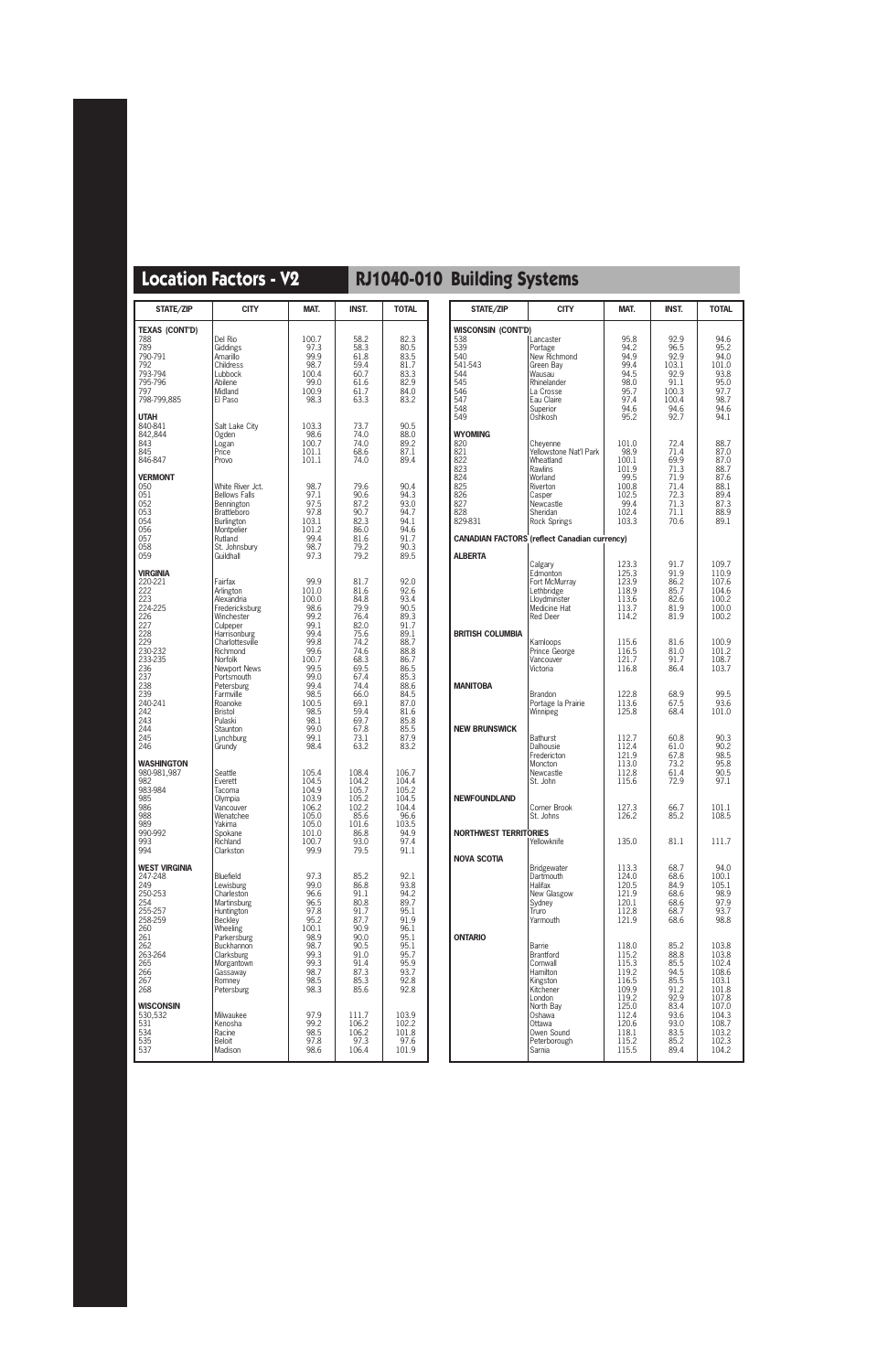| <b>STATE/ZIP</b>                                                                                                                                                                | <b>CITY</b>                                                                                                                                                                                                                                                                  | MAT.                                                                                                                                                             | <b>INST.</b>                                                                                                                                                 | <b>TOTAL</b>                                                                                                                                                 |
|---------------------------------------------------------------------------------------------------------------------------------------------------------------------------------|------------------------------------------------------------------------------------------------------------------------------------------------------------------------------------------------------------------------------------------------------------------------------|------------------------------------------------------------------------------------------------------------------------------------------------------------------|--------------------------------------------------------------------------------------------------------------------------------------------------------------|--------------------------------------------------------------------------------------------------------------------------------------------------------------|
| <b>TEXAS (CONT'D)</b><br>788<br>789<br>790-791<br>792<br>793-794<br>795-796<br>797<br>798-799,885                                                                               | Del Rio<br>Giddings<br>Amarillo<br>Childress<br>Lubbock<br>Abilene<br>Midland<br>El Paso                                                                                                                                                                                     | 100.7<br>97.3<br>99.9<br>98.7<br>100.4<br>99.0<br>100.9<br>98.3                                                                                                  | 58.2<br>58.3<br>61.8<br>59.4<br>60.7<br>61.6<br>61.7<br>63.3                                                                                                 | 82.3<br>80.5<br>83.5<br>81.7<br>83.3<br>82.9<br>84.0<br>83.2                                                                                                 |
| <b>UTAH</b><br>840-841<br>842.844<br>843<br>845<br>846-847                                                                                                                      | Salt Lake City<br>Ogden<br>Logan<br>Price<br>Provo                                                                                                                                                                                                                           | 103.3<br>98.6<br>100.7<br>101.1<br>101.1                                                                                                                         | 73.7<br>74.0<br>74.0<br>68.6<br>74.0                                                                                                                         | 90.5<br>88.0<br>89.2<br>87.1<br>89.4                                                                                                                         |
| <b>VERMONT</b><br>050<br>051<br>052<br>053<br>054<br>056<br>057<br>058<br>059                                                                                                   | White River Jct.<br><b>Bellows Falls</b><br>Bennington<br>Brattleboro<br>Burlington<br>Montpelier<br>Rutland<br>St. Johnsbury<br>Guildhall                                                                                                                                   | 98.7<br>97.1<br>97.5<br>97.8<br>103.1<br>101.2<br>99.4<br>98.7<br>97.3                                                                                           | 79.6<br>90.6<br>87.2<br>90.7<br>82.3<br>86.0<br>81.6<br>79.2<br>79.2                                                                                         | 90.4<br>94.3<br>93.0<br>94.7<br>94.1<br>94.6<br>91.7<br>90.3<br>89.5                                                                                         |
| <b>VIRGINIA</b><br>220-221<br>222<br>223<br>224-225<br>226<br>227<br>228<br>229<br>230-232<br>233-235<br>236<br>237<br>238<br>239<br>240-241<br>242<br>243<br>244<br>245<br>246 | Fairfax<br>Arlington<br>Alexandria<br>Fredericksburg<br>Winchester<br>Culpeper<br>Harrisonburg<br>Charlottesville<br>Richmond<br>Norfolk<br><b>Newport News</b><br>Portsmouth<br>Petersburg<br>Farmville<br>Roanoke<br>Bristol<br>Pulaski<br>Staunton<br>Lynchburg<br>Grundy | 99.9<br>101.0<br>100.0<br>98.6<br>99.2<br>99.1<br>99.4<br>99.8<br>99.6<br>100.7<br>99.5<br>99.0<br>99.4<br>98.5<br>100.5<br>98.5<br>98.1<br>99.0<br>99.1<br>98.4 | 81.7<br>81.6<br>84.8<br>79.9<br>76.4<br>82.0<br>75.6<br>74.2<br>74.6<br>68.3<br>69.5<br>67.4<br>74.4<br>66.0<br>69.1<br>59.4<br>69.7<br>67.8<br>73.1<br>63.2 | 92.0<br>92.6<br>93.4<br>90.5<br>89.3<br>91.7<br>89.1<br>88.7<br>88.8<br>86.7<br>86.5<br>85.3<br>88.6<br>84.5<br>87.0<br>81.6<br>85.8<br>85.5<br>87.9<br>83.2 |
| <b>WASHINGTON</b><br>980-981,987<br>982<br>983-984<br>985<br>986<br>988<br>989<br>990-992<br>993<br>994                                                                         | Seattle<br>Everett<br>Tacoma<br>Olympia<br>Vancouver<br>Wenatchee<br>Yakima<br>Spokane<br>Richland<br>Clarkston                                                                                                                                                              | 105.4<br>104.5<br>104.9<br>103.9<br>106.2<br>105.0<br>105.0<br>101.0<br>100.7<br>99.9                                                                            | 108.4<br>104.2<br>105.7<br>105.2<br>102.2<br>85.6<br>101.6<br>86.8<br>93.0<br>79.5                                                                           | 106.7<br>104.4<br>105.2<br>104.5<br>104.4<br>96.6<br>103.5<br>94.9<br>97.4<br>91.1                                                                           |
| <b>WEST VIRGINIA</b><br>247-248<br>249<br>250-253<br>254<br>255-257<br>258-259<br>260<br>261<br>262<br>263-264<br>265<br>266<br>267<br>268                                      | Bluefield<br>Lewisburg<br>Charleston<br><b>Martinsburg</b><br>Huntington<br>Beckley<br>Wheeling<br>Parkersburg<br>Buckhannon<br>Clarksburg<br>Morgantown<br>Gassaway<br>Romney<br>Petersburg                                                                                 | 97.3<br>99.0<br>96.6<br>96.5<br>97.8<br>95.2<br>100.1<br>98.9<br>98.7<br>99.3<br>99.3<br>98.7<br>98.5<br>98.3                                                    | 85.2<br>86.8<br>91.1<br>80.8<br>91.7<br>87.7<br>90.9<br>90.0<br>90.5<br>91.0<br>91.4<br>87.3<br>85.3<br>85.6                                                 | 92.1<br>93.8<br>94.2<br>89.7<br>95.1<br>91.9<br>96.1<br>95.1<br>95.1<br>95.7<br>95.9<br>93.7<br>92.8<br>92.8                                                 |
| <b>WISCONSIN</b><br>530,532<br>531<br>534<br>535<br>537                                                                                                                         | Milwaukee<br>Kenosha<br>Racine<br>Beloit<br>Madison                                                                                                                                                                                                                          | 97.9<br>99.2<br>98.5<br>97.8<br>98.6                                                                                                                             | 111.7<br>106.2<br>106.2<br>97.3<br>106.4                                                                                                                     | 103.9<br>102.2<br>101.8<br>97.6<br>101.9                                                                                                                     |

| STATE/ZIP                                                                                | <b>CITY</b>                                                                                                                                        | MAT.                                                                                | INST.                                                                        | <b>TOTAL</b>                                                                 |
|------------------------------------------------------------------------------------------|----------------------------------------------------------------------------------------------------------------------------------------------------|-------------------------------------------------------------------------------------|------------------------------------------------------------------------------|------------------------------------------------------------------------------|
| WISCONSIN (CONT'D)                                                                       |                                                                                                                                                    |                                                                                     |                                                                              |                                                                              |
| 538                                                                                      | Lancaster                                                                                                                                          | 95.8                                                                                | 92.9                                                                         | 94.6                                                                         |
| 539                                                                                      | Portage                                                                                                                                            | 94.2                                                                                | 96.5                                                                         | 95.2                                                                         |
| 540                                                                                      | New Richmond                                                                                                                                       | 94.9                                                                                | 92.9                                                                         | 94.0                                                                         |
| 541-543                                                                                  | Green Bay                                                                                                                                          | 99.4                                                                                | 103.1                                                                        | 101.0                                                                        |
| 544                                                                                      | Wausau                                                                                                                                             | 94.5                                                                                | 92.9                                                                         | 93.8                                                                         |
| 545                                                                                      | Rhinelander                                                                                                                                        | 98.0                                                                                | 91.1                                                                         | 95.0                                                                         |
| 546                                                                                      | La Crosse                                                                                                                                          | 95.7                                                                                | 100.3                                                                        | 97.7                                                                         |
| 547                                                                                      | Eau Claire                                                                                                                                         | 97.4                                                                                | 100.4                                                                        | 98.7                                                                         |
| 548                                                                                      | Superior                                                                                                                                           | 94.6                                                                                | 94.6                                                                         | 94.6                                                                         |
| 549                                                                                      | Oshkosh                                                                                                                                            | 95.2                                                                                | 92.7                                                                         | 94.1                                                                         |
| <b>WYOMING</b><br>820<br>821<br>822<br>823<br>824<br>825<br>826<br>827<br>828<br>829-831 | Cheyenne<br>Yellowstone Nat'l Park<br>Wheatland<br><b>Rawlins</b><br>Worland<br>Riverton<br>Casper<br>Newcastle<br>Sheridan<br><b>Rock Springs</b> | 101.0<br>98.9<br>100.1<br>101.9<br>99.5<br>100.8<br>102.5<br>99.4<br>102.4<br>103.3 | 72.4<br>71.4<br>69.9<br>71.3<br>71.9<br>71.4<br>72.3<br>71.3<br>71.1<br>70.6 | 88.7<br>87.0<br>87.0<br>88.7<br>87.6<br>88.1<br>89.4<br>87.3<br>88.9<br>89.1 |
|                                                                                          | <b>CANADIAN FACTORS (reflect Canadian currency)</b>                                                                                                |                                                                                     |                                                                              |                                                                              |
| <b>ALBERTA</b>                                                                           | Calgary                                                                                                                                            | 123.3                                                                               | 91.7                                                                         | 109.7                                                                        |
|                                                                                          | Edmonton                                                                                                                                           | 125.3                                                                               | 91.9                                                                         | 110.9                                                                        |
|                                                                                          | Fort McMurrav                                                                                                                                      | 123.9                                                                               | 86.2                                                                         | 107.6                                                                        |
|                                                                                          | Lethbridge                                                                                                                                         | 118.9                                                                               | 85.7                                                                         | 104.6                                                                        |
|                                                                                          | Llovdminster                                                                                                                                       | 113.6                                                                               | 82.6                                                                         | 100.2                                                                        |
|                                                                                          | Medicine Hat                                                                                                                                       | 113.7                                                                               | 81.9                                                                         | 100.0                                                                        |
|                                                                                          | Red Deer                                                                                                                                           | 114.2                                                                               | 81.9                                                                         | 100.2                                                                        |
| <b>BRITISH COLUMBIA</b>                                                                  | Kamloops                                                                                                                                           | 115.6                                                                               | 81.6                                                                         | 100.9                                                                        |
|                                                                                          | Prince George                                                                                                                                      | 116.5                                                                               | 81.0                                                                         | 101.2                                                                        |
|                                                                                          | Vancouver                                                                                                                                          | 121.7                                                                               | 91.7                                                                         | 108.7                                                                        |
|                                                                                          | Victoria                                                                                                                                           | 116.8                                                                               | 86.4                                                                         | 103.7                                                                        |
| <b>MANITOBA</b>                                                                          | <b>Brandon</b>                                                                                                                                     | 122.8                                                                               | 68.9                                                                         | 99.5                                                                         |
|                                                                                          | Portage la Prairie                                                                                                                                 | 113.6                                                                               | 67.5                                                                         | 93.6                                                                         |
|                                                                                          | Winnipeg                                                                                                                                           | 125.8                                                                               | 68.4                                                                         | 101.0                                                                        |
| <b>NEW BRUNSWICK</b>                                                                     | <b>Bathurst</b>                                                                                                                                    | 112.7                                                                               | 60.8                                                                         | 90.3                                                                         |
|                                                                                          | Dalhousie                                                                                                                                          | 112.4                                                                               | 61.0                                                                         | 90.2                                                                         |
|                                                                                          | Fredericton                                                                                                                                        | 121.9                                                                               | 67.8                                                                         | 98.5                                                                         |
|                                                                                          | Moncton                                                                                                                                            | 113.0                                                                               | 73.2                                                                         | 95.8                                                                         |
|                                                                                          | Newcastle                                                                                                                                          | 112.8                                                                               | 61.4                                                                         | 90.5                                                                         |
|                                                                                          | St. John                                                                                                                                           | 115.6                                                                               | 72.9                                                                         | 97.1                                                                         |
| <b>NEWFOUNDLAND</b>                                                                      | Corner Brook                                                                                                                                       | 127.3                                                                               | 66.7                                                                         | 101.1                                                                        |
|                                                                                          | St. Johns                                                                                                                                          | 126.2                                                                               | 85.2                                                                         | 108.5                                                                        |
| <b>NORTHWEST TERRITORIES</b>                                                             | Yellowknife                                                                                                                                        | 135.0                                                                               | 81.1                                                                         | 111.7                                                                        |
| <b>NOVA SCOTIA</b>                                                                       | Bridgewater                                                                                                                                        | 113.3                                                                               | 68.7                                                                         | 94.0                                                                         |
|                                                                                          | Dartmouth                                                                                                                                          | 124.0                                                                               | 68.6                                                                         | 100.1                                                                        |
|                                                                                          | Halifax                                                                                                                                            | 120.5                                                                               | 84.9                                                                         | 105.1                                                                        |
|                                                                                          | New Glasgow                                                                                                                                        | 121.9                                                                               | 68.6                                                                         | 98.9                                                                         |
|                                                                                          | Sydney                                                                                                                                             | 120.1                                                                               | 68.6                                                                         | 97.9                                                                         |
|                                                                                          | Truro                                                                                                                                              | 112.8                                                                               | 68.7                                                                         | 93.7                                                                         |
|                                                                                          | Yarmouth                                                                                                                                           | 121.9                                                                               | 68.6                                                                         | 98.8                                                                         |
| <b>ONTARIO</b>                                                                           | Barrie                                                                                                                                             | 118.0                                                                               | 85.2                                                                         | 103.8                                                                        |
|                                                                                          | Brantford                                                                                                                                          | 115.2                                                                               | 88.8                                                                         | 103.8                                                                        |
|                                                                                          | Cornwall                                                                                                                                           | 115.3                                                                               | 85.5                                                                         | 102.4                                                                        |
|                                                                                          | Hamilton                                                                                                                                           | 119.2                                                                               | 94.5                                                                         | 108.6                                                                        |
|                                                                                          | Kingston                                                                                                                                           | 116.5                                                                               | 85.5                                                                         | 103.1                                                                        |
|                                                                                          | Kitchener                                                                                                                                          | 109.9                                                                               | 91.2                                                                         | 101.8                                                                        |
|                                                                                          | London                                                                                                                                             | 119.2                                                                               | 92.9                                                                         | 107.8                                                                        |
|                                                                                          | North Bay                                                                                                                                          | 125.0                                                                               | 83.4                                                                         | 107.0                                                                        |
|                                                                                          | Oshawa                                                                                                                                             | 112.4                                                                               | 93.6                                                                         | 104.3                                                                        |
|                                                                                          | Ottawa                                                                                                                                             | 120.6                                                                               | 93.0                                                                         | 108.7                                                                        |
|                                                                                          | Owen Sound                                                                                                                                         | 118.1                                                                               | 83.5                                                                         | 103.2                                                                        |
|                                                                                          | Peterborough                                                                                                                                       | 115.2                                                                               | 85.2                                                                         | 102.3                                                                        |
|                                                                                          | Sarnia                                                                                                                                             | 115.5                                                                               | 89.4                                                                         | 104.2                                                                        |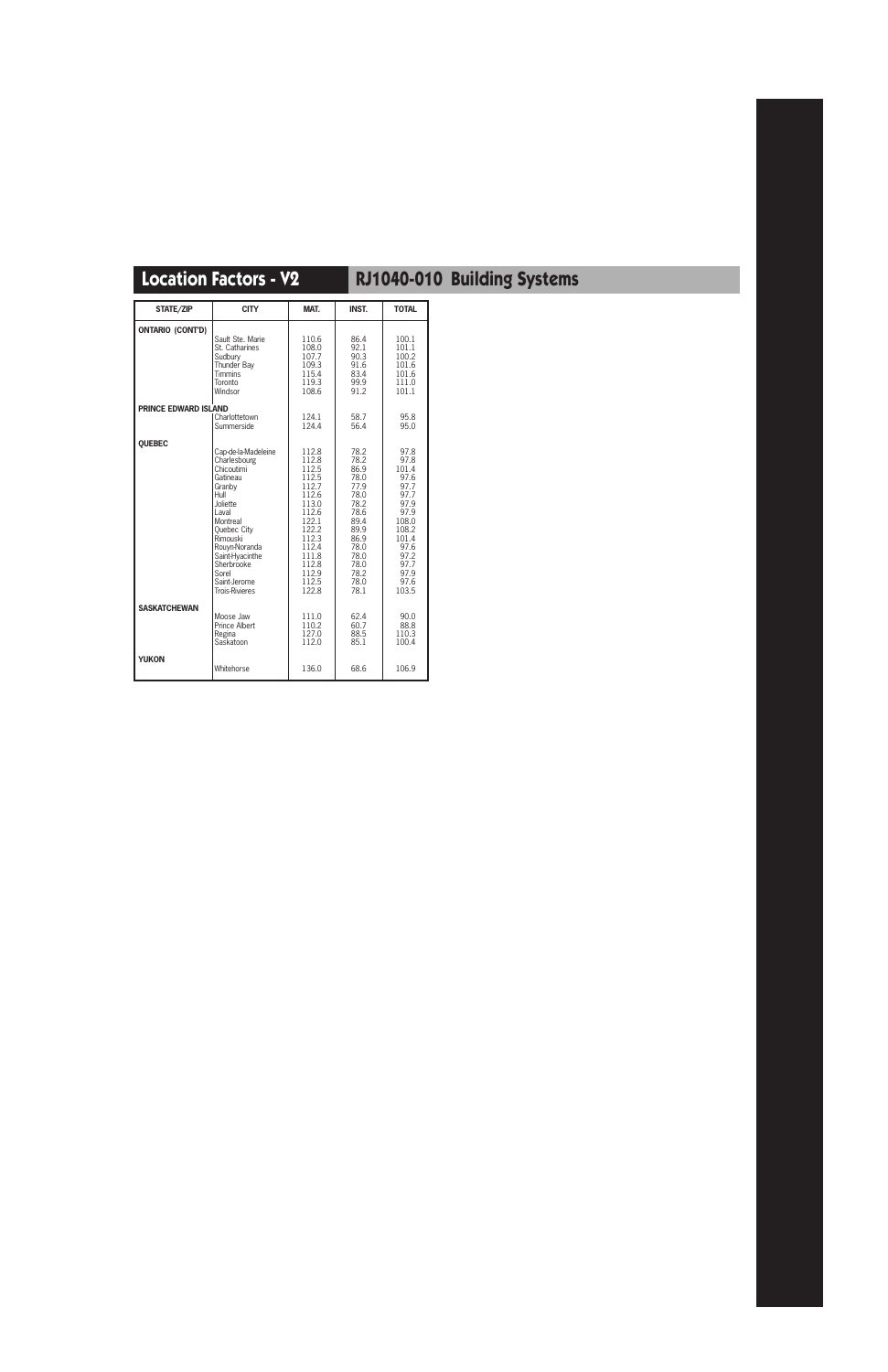| STATE/ZIP                   | <b>CITY</b>           | MAT.  | <b>INST.</b> | <b>TOTAL</b> |
|-----------------------------|-----------------------|-------|--------------|--------------|
| <b>ONTARIO (CONT'D)</b>     | Sault Ste. Marie      | 110.6 | 86.4         | 100.1        |
|                             | St. Catharines        | 108.0 | 92.1         | 101.1        |
|                             | Sudbury               | 107.7 | 90.3         | 100.2        |
|                             | Thunder Bav           | 109.3 | 91.6         | 101.6        |
|                             | <b>Timmins</b>        | 115.4 | 83.4         | 101.6        |
|                             | Toronto               | 119.3 | 99.9         | 111.0        |
|                             | Windsor               | 108.6 | 91.2         | 101.1        |
| <b>PRINCE EDWARD ISLAND</b> | Charlottetown         | 124.1 | 58.7         | 95.8         |
|                             | Summerside            | 124.4 | 56.4         | 95.0         |
| <b>QUEBEC</b>               | Cap-de-la-Madeleine   | 112.8 | 78.2         | 97.8         |
|                             | Charlesbourg          | 112.8 | 78.2         | 97.8         |
|                             | Chicoutimi            | 112.5 | 86.9         | 101.4        |
|                             | Gatineau              | 112.5 | 78.0         | 97.6         |
|                             | Granby                | 112.7 | 77.9         | 97.7         |
|                             | Hull                  | 112.6 | 78.0         | 97.7         |
|                             | Joliette              | 113.0 | 78.2         | 97.9         |
|                             | Laval                 | 112.6 | 78.6         | 97.9         |
|                             | Montreal              | 122.1 | 89.4         | 108.0        |
|                             | Quebec City           | 122.2 | 89.9         | 108.2        |
|                             | Rimouski              | 112.3 | 86.9         | 101.4        |
|                             | Rouyn-Noranda         | 112.4 | 78.0         | 97.6         |
|                             | Saint-Hyacinthe       | 111.8 | 78.0         | 97.2         |
|                             | Sherbrooke            | 112.8 | 78.0         | 97.7         |
|                             | Sorel                 | 112.9 | 78.2         | 97.9         |
|                             | Saint-Jerome          | 112.5 | 78.0         | 97.6         |
|                             | <b>Trois-Rivieres</b> | 122.8 | 78.1         | 103.5        |
| <b>SASKATCHEWAN</b>         | Moose Jaw             | 111.0 | 62.4         | 90.0         |
|                             | <b>Prince Albert</b>  | 110.2 | 60.7         | 88.8         |
|                             | Regina                | 127.0 | 88.5         | 110.3        |
|                             | Saskatoon             | 112.0 | 85.1         | 100.4        |
| <b>YUKON</b>                | Whitehorse            | 136.0 | 68.6         | 106.9        |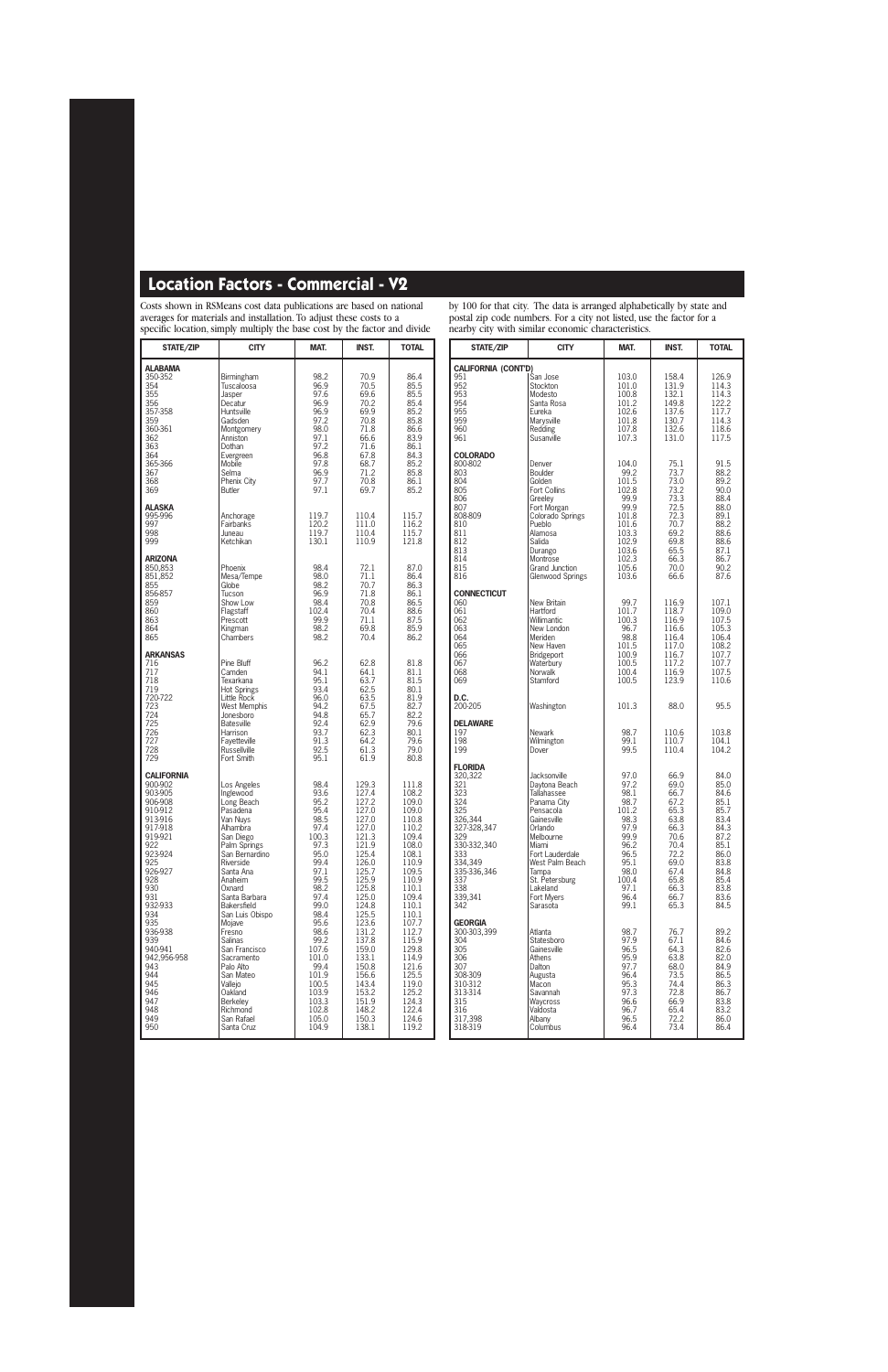Costs shown in RSMeans cost data publications are based on national averages for materials and installation. To adjust these costs to a specific location, simply multiply the base cost by the factor and divide

STATE/ZIP | CITY | MAT. | INST. | TOTAL **ALABAMA** 350-352 Birmingham 98.2 70.9 86.4 354 Tuscaloosa 196.9 70.5 85.5<br>355 Jasper 97.6 69.6 85.5<br>356 Decatur 96.9 70.2 85.4 355 Jasper 97.6 69.6 85.5 356 Decatur 96.9 70.2 85.4 357-358 Huntsville 96.9 69.9 85.2 359 Gadsden 97.2 70.8 85.8 1963<br>
1963 - Cadsden 197.2 70.8 85.8<br>
360-361 Montgomery 98.0 71.8 86.6<br>
362 - Anniston 197.1 66.6 83.9 362 Anniston 97.1 66.6 83.9 363 | Dothan | 97.2 | 71.6 | 86.1 364 Evergreen 96.8 67.8 84.3<br>365-366 Mobile 97.8 68.7 85.2 365-366 Mobile 97.8 68.7 85.2 367 Selma 96.9 71.2 85.8 368 Phenix City 97.7 70.8 86.1<br>369 Butler 97.1 69.7 85.2 369 Butler 97.1 69.7 85.2 **ALASKA** 995-996 Anchorage 119.7 110.4 115.7 997 Fairbanks 120.2 111.0<br>1998 - Juneau 119.7 110.4 998 Juneau 119.7 110.4 115.7 999 Ketchikan 130.1 110.9 121.8 **ARIZONA** 850,853 | Phoenix | 98.4 | 72.1 | 87.0 851,852 Mesa/Tempe 98.0 71.1 86.4<br>855 Globe 98.2 70.7 86.3 855 Globe 98.2 70.7 86.3 856-857 | Tucson | 96.9 | 71.8 | 86.1 859 Show Low | 98.4 70.8 86.5<br>860 | Flagstaff | 102.4 70.4 88.6 860 Flagstaff 102.4 70.4 88.6<br>863 Prescott 99.9 71.1 87.5 863 Prescott 99.9 71.1 87.5 864 **Kingman** 98.2 69.8 85.9<br>865 Chambers 98.2 70.4 86.2 Chambers **ARKANSAS**<br>716<br>717 716 Pine Bluff 96.2 62.8 81.8 717 Camden 94.1 64.1 81.1 718 Texarkana 195.1 63.7 81.5<br>719 Hot Springs 93.4 62.5 80.1 719 Hot Springs 93.4 62.5 80.1 120-722 Little Rock 96.0 63.5 81.9<br>123 West Memphis 94.2 67.5 82.7 723 West Memphis 94.2 67.5 82.7 724 Jonesboro 94.8 65.7 82.2 725 Batesville 92.4 62.9 79.6<br>726 Harrison 93.7 62.3 80.1 726 | Harrison | 93.7 | 62.3 | 80.1 727 Fayetteville 91.3 64.2 79.6 728 Russellville 92.5 61.3 79.0 Fort Smith **CALIFORNIA** 900-902 Los Angeles 198.4 129.3 111.8<br>903-905 1nglewood 93.6 127.4 108.2 903-905 Inglewood 93.6 127.4 108.2 906-908 Long Beach 95.2 127.2 109.0<br>910-912 Pasadena 95.4 127.0 109.0 910-912 Pasadena 95.4 127.0 109.0 913-916 Van Nuys 98.5 127.0 110.8 917-918 | Alhambra | 97.4 | 127.0 | 110.2<br>919-921 | San Diego | 100.3 | 121.3 | 109.4 919-921 San Diego 100.3 121.3 109.4<br>
922 Palm Springs 97.3 121.9 108.0 922 Palm Springs | 97.3 | 121.9 | 108.0<br>923-924 | San Bernardino | 95.0 | 125.4 | 108.1 923-924 San Bernardino 95.0 125.4 108.1 925 Riverside 99.4 126.0 110.9<br>926-927 Santa Ana 97.1 125.7 109.5 926-927 Santa Ana 97.1 125.7 109.5 928 Anaheim 99.5 125.9 110.9 930 Oxnard 98.2 125.8 110.1 930 (32.933)<br>
931 Santa Barbara 97.4 125.0 109.4<br>
932-933 Bakersfield 99.0 124.8 110.1 932-933 Bakersfield 99.0 124.8 110.1 934 - San Luis Obispo - 98.4 | 125.5 | 110.1<br>935 - Moiave - 95.6 | 123.6 | 107.7 935 Mojave 95.6 123.6 107.7 936-938 Fresno 98.6 131.2 112.7 939 Salinas 99.2 137.8 115.9 940-941 San Francisco 107.6 159.0 129.8<br>129.956-958 Sacramento 101.0 133.1 114.9 942,956-958 Sacramento 101.0 133.1 114.9<br>943 Palo Alto 99.4 150.8 121.6 943 Palo Alto 199.4 150.8 121.6<br>944 San Mateo 101.9 156.6 125.5 944 San Mateo 101.9 156.6 125.5<br>945 Vallejo 100.5 143.4 119.0 945 Vallejo 100.5 143.4 119.0 946 Oakland 103.9 153.2 125.2 947 Berkeley 103.3 151.9 124.3<br>948 Richmond 102.8 148.2 122.4 948 Richmond 102.8 148.2 122.4 949 San Rafael 105.0 150.3 124.6 950 | Santa Cruz | 104.9 | 138.1 | 119.2

by 100 for that city. The data is arranged alphabetically by state and postal zip code numbers. For a city not listed, use the factor for a nearby city with similar economic characteristics.

| na v<br>シェレッ<br>STATE/ZIP                                                                                                                                              | when summar economic chanacteristi<br><b>CITY</b>                                                                                                                                                                               | MAT.                                                                                                                           | <b>INST.</b>                                                                                                                 | <b>TOTAL</b>                                                                                                                 |
|------------------------------------------------------------------------------------------------------------------------------------------------------------------------|---------------------------------------------------------------------------------------------------------------------------------------------------------------------------------------------------------------------------------|--------------------------------------------------------------------------------------------------------------------------------|------------------------------------------------------------------------------------------------------------------------------|------------------------------------------------------------------------------------------------------------------------------|
| <b>CALIFORNIA (CONT'D)</b><br>951<br>952<br>953<br>954<br>955<br>959<br>960<br>961                                                                                     | San Jose<br>Stockton<br>Modesto<br>Santa Rosa<br>Eureka<br>Marysville<br>Redding<br>Susanville                                                                                                                                  | 103.0<br>101.0<br>100.8<br>101.2<br>102.6<br>101.8<br>107.8<br>107.3                                                           | 158.4<br>131.9<br>132.1<br>149.8<br>137.6<br>130.7<br>132.6<br>131.0                                                         | 126.9<br>114.3<br>114.3<br>122.2<br>117.7<br>114.3<br>118.6<br>117.5                                                         |
| <b>COLORADO</b><br>800-802<br>803<br>804<br>805<br>806<br>807<br>808-809<br>810<br>811<br>812<br>813<br>814<br>815<br>816                                              | Denver<br>Boulder<br>Golden<br>Fort Collins<br>Greeley<br>Fort Morgan<br>Colorado Springs<br>Pueblo<br>Alamosa<br>Salida<br>Durango<br>Montrose<br>Grand Junction<br><b>Glenwood Springs</b>                                    | 104.0<br>99.2<br>101.5<br>102.8<br>99.9<br>99.9<br>101.8<br>101.6<br>103.3<br>102.9<br>103.6<br>102.3<br>105.6<br>103.6        | 75.1<br>73.7<br>73.0<br>73.2<br>73.3<br>72.5<br>72.3<br>70.7<br>69.2<br>69.8<br>65.5<br>66.3<br>70.0<br>66.6                 | 91.5<br>88.2<br>89.2<br>90.0<br>88.4<br>88.0<br>89.1<br>88.2<br>88.6<br>88.6<br>87.1<br>86.7<br>90.2<br>87.6                 |
| <b>CONNECTICUT</b><br>060<br>061<br>062<br>063<br>064<br>065<br>066<br>067<br>068<br>069                                                                               | New Britain<br>Hartford<br>Willimantic<br>New London<br>Meriden<br>New Haven<br>Bridgeport<br>Waterbury<br>Norwalk<br>Stamford                                                                                                  | 99.7<br>101.7<br>100.3<br>96.7<br>98.8<br>101.5<br>100.9<br>100.5<br>100.4<br>100.5                                            | 116.9<br>118.7<br>116.9<br>116.6<br>116.4<br>117.0<br>116.7<br>117.2<br>116.9<br>123.9                                       | 107.1<br>109.0<br>107.5<br>105.3<br>106.4<br>108.2<br>107.7<br>107.7<br>107.5<br>110.6                                       |
| D.C.<br>200-205                                                                                                                                                        | Washington                                                                                                                                                                                                                      | 101.3                                                                                                                          | 88.0                                                                                                                         | 95.5                                                                                                                         |
| <b>DELAWARE</b><br>197<br>198<br>199                                                                                                                                   | <b>Newark</b><br>Wilmington<br>Dover                                                                                                                                                                                            | 98.7<br>99.1<br>99.5                                                                                                           | 110.6<br>110.7<br>110.4                                                                                                      | 103.8<br>104.1<br>104.2                                                                                                      |
| <b>FLORIDA</b><br>320,322<br>321<br>323<br>324<br>325<br>326,344<br>327-328,347<br>329<br>330-332,340<br>333<br>334,349<br>335-336,346<br>337<br>338<br>339,341<br>342 | Jacksonville<br>Daytona Beach<br>Tallahassee<br>Panama City<br>Pensacola<br>Gainesville<br>Orlando<br>Melbourne<br>Miami<br>Fort Lauderdale<br>West Palm Beach<br>Tampa<br>St. Petersburg<br>Lakeland<br>Fort Myers<br>Sarasota | 97.0<br>97.2<br>98.1<br>98.7<br>101.2<br>98.3<br>97.9<br>99.9<br>96.2<br>96.5<br>95.1<br>98.0<br>100.4<br>97.1<br>96.4<br>99.1 | 66.9<br>69.0<br>66.7<br>67.2<br>65.3<br>63.8<br>66.3<br>/0.6<br>70.4<br>72.2<br>69.0<br>67.4<br>65.8<br>66.3<br>66.7<br>65.3 | 84.0<br>85.0<br>84.6<br>85.1<br>85.7<br>83.4<br>84.3<br>87.2<br>85.1<br>86.0<br>83.8<br>84.8<br>85.4<br>83.8<br>83.6<br>84.5 |
| <b>GEORGIA</b><br>300-303,399<br>304<br>305<br>306<br>307<br>308-309<br>310-312<br>313-314<br>315<br>316<br>317,398<br>318-319                                         | Atlanta<br>Statesboro<br>Gainesville<br>Athens<br>Dalton<br>Augusta<br>Macon<br>Savannah<br>Waycross<br>Valdosta<br>Albany<br>Columbus                                                                                          | 98.7<br>97.9<br>96.5<br>95.9<br>97.7<br>96.4<br>95.3<br>97.3<br>96.6<br>96.7<br>96.5<br>96.4                                   | 76.7<br>67.1<br>64.3<br>63.8<br>68.0<br>73.5<br>74.4<br>72.8<br>66.9<br>65.4<br>72.2<br>73.4                                 | 89.2<br>84.6<br>82.6<br>82.0<br>84.9<br>86.5<br>86.3<br>86.7<br>83.8<br>83.2<br>86.0<br>86.4                                 |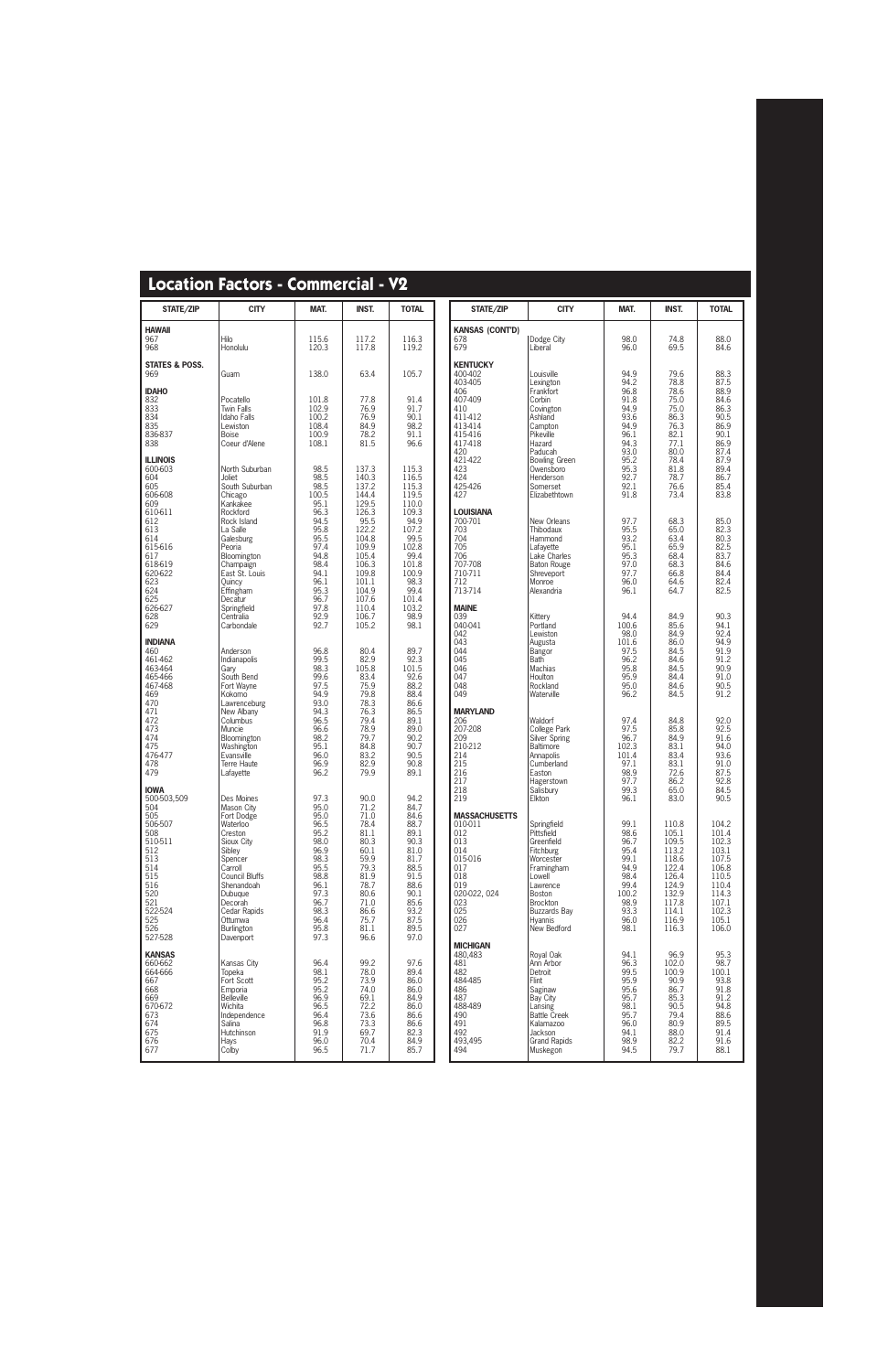| <b>Location Factors - Commercial - V2</b> |  |
|-------------------------------------------|--|
|-------------------------------------------|--|

| <b>STATE/ZIP</b>                                                                                                                                           | <b>CITY</b>                                                                                                                                                                                                                    | MAT.                                                                                                                                 | <b>INST.</b>                                                                                                                         | <b>TOTAL</b>                                                                                                                         | state/zip                                                                                                                                                                |
|------------------------------------------------------------------------------------------------------------------------------------------------------------|--------------------------------------------------------------------------------------------------------------------------------------------------------------------------------------------------------------------------------|--------------------------------------------------------------------------------------------------------------------------------------|--------------------------------------------------------------------------------------------------------------------------------------|--------------------------------------------------------------------------------------------------------------------------------------|--------------------------------------------------------------------------------------------------------------------------------------------------------------------------|
| <b>HAWAII</b><br>967<br>968                                                                                                                                | Hilo<br>Honolulu                                                                                                                                                                                                               | 115.6<br>120.3                                                                                                                       | 117.2<br>117.8                                                                                                                       | 116.3<br>119.2                                                                                                                       | <b>KANSAS (CONT'D)</b><br>678<br>679                                                                                                                                     |
| <b>STATES &amp; POSS.</b><br>969                                                                                                                           | Guam                                                                                                                                                                                                                           | 138.0                                                                                                                                | 63.4                                                                                                                                 | 105.7                                                                                                                                | <b>KENTUCKY</b><br>400-402<br>403-405                                                                                                                                    |
| <b>IDAHO</b><br>832<br>833<br>834<br>835<br>836-837<br>838                                                                                                 | Pocatello<br><b>Twin Falls</b><br><b>Idaho Falls</b><br>Lewiston<br><b>Boise</b><br>Coeur d'Alene                                                                                                                              | 101.8<br>102.9<br>100.2<br>108.4<br>100.9<br>108.1                                                                                   | 77.8<br>76.9<br>76.9<br>84.9<br>78.2<br>81.5                                                                                         | 91.4<br>91.7<br>90.1<br>98.2<br>91.1<br>96.6                                                                                         | 406<br>407-409<br>410<br>411-412<br>413-414<br>415-416<br>417-418<br>420                                                                                                 |
| <b>ILLINOIS</b><br>600-603<br>604<br>605<br>606-608<br>609<br>610-611<br>612<br>613<br>614<br>615-616<br>617<br>618-619                                    | North Suburban<br>Joliet<br>South Suburban<br>Chicago<br>Kankakee<br>Rockford<br>Rock Island<br>La Salle<br>Galesburg<br>Peoria<br>Bloomington<br>Champaign                                                                    | 98.5<br>98.5<br>98.5<br>100.5<br>95.1<br>96.3<br>94.5<br>95.8<br>95.5<br>97.4<br>94.8<br>98.4                                        | 137.3<br>140.3<br>137.2<br>144.4<br>129.5<br>126.3<br>95.5<br>122.2<br>104.8<br>109.9<br>105.4<br>106.3                              | 115.3<br>116.5<br>115.3<br>119.5<br>110.0<br>109.3<br>94.9<br>107.2<br>99.5<br>102.8<br>99.4<br>101.8                                | 421-422<br>423<br>424<br>425-426<br>427<br><b>LOUISIANA</b><br>700-701<br>703<br>704<br>705<br>706<br>707-708                                                            |
| 620-622<br>623<br>624<br>625<br>626-627<br>628<br>629                                                                                                      | East St. Louis<br>Quincy<br>Effingham<br>Decatur<br>Springfield<br>Centralia<br>Carbondale                                                                                                                                     | 94.1<br>96.1<br>95.3<br>96.7<br>97.8<br>92.9<br>92.7                                                                                 | 109.8<br>101.1<br>104.9<br>107.6<br>110.4<br>106.7<br>105.2                                                                          | 100.9<br>98.3<br>99.4<br>101.4<br>103.2<br>98.9<br>98.1                                                                              | 710-711<br>712<br>713-714<br><b>MAINE</b><br>039<br>040-041                                                                                                              |
| <b>INDIANA</b><br>460<br>461-462<br>463-464<br>465-466<br>467-468<br>469<br>470<br>471<br>472<br>473<br>474<br>475<br>476-477<br>478<br>479                | Anderson<br>Indianapolis<br>Gary<br>South Bend<br>Fort Wayne<br>Kokomo<br>Lawrenceburg<br>New Albany<br>Columbus<br>Muncie<br>Bloomington<br>Washington<br>Evansville<br>Terre Haute<br>Lafayette                              | 96.8<br>99.5<br>98.3<br>99.6<br>97.5<br>94.9<br>93.0<br>94.3<br>96.5<br>96.6<br>98.2<br>95.1<br>96.0<br>96.9<br>96.2                 | 80.4<br>82.9<br>105.8<br>83.4<br>75.9<br>79.8<br>78.3<br>76.3<br>79.4<br>78.9<br>79.7<br>84.8<br>83.2<br>82.9<br>79.9                | 89.7<br>92.3<br>101.5<br>92.6<br>88.2<br>88.4<br>86.6<br>86.5<br>89.1<br>89.0<br>90.2<br>90.7<br>90.5<br>90.8<br>89.1                | 042<br>043<br>044<br>045<br>046<br>047<br>048<br>049<br><b>MARYLAND</b><br>206<br>207-208<br>209<br>210-212<br>214<br>215<br>216                                         |
| <b>IOWA</b><br>500-503,509<br>504<br>505<br>506-507<br>508<br>510-511<br>512<br>513<br>514<br>515<br>516<br>520<br>521<br>522-524<br>525<br>526<br>527-528 | Des Moines<br>Mason City<br>Fort Dodge<br>Waterloo<br>Creston<br>Sioux City<br>Siblev<br>Spencer<br>Carroll<br>Council Bluffs<br>Shenandoah<br>Dubuque<br>Decorah<br>Cedar Rapids<br>Ottumwa<br><b>Burlington</b><br>Davenport | 97.3<br>95.0<br>95.0<br>96.5<br>95.2<br>98.0<br>96.9<br>98.3<br>95.5<br>98.8<br>96.1<br>97.3<br>96.7<br>98.3<br>96.4<br>95.8<br>97.3 | 90.0<br>71.2<br>71.0<br>78.4<br>81.1<br>80.3<br>60.1<br>59.9<br>79.3<br>81.9<br>78.7<br>80.6<br>71.0<br>86.6<br>75.7<br>81.1<br>96.6 | 94.2<br>84.7<br>84.6<br>88.7<br>89.1<br>90.3<br>81.0<br>81.7<br>88.5<br>91.5<br>88.6<br>90.1<br>85.6<br>93.2<br>87.5<br>89.5<br>97.0 | 217<br>218<br>219<br><b>MASSACHUSETTS</b><br>010-011<br>012<br>013<br>014<br>015-016<br>017<br>018<br>019<br>020-022, 024<br>023<br>025<br>026<br>027<br><b>MICHIGAN</b> |
| <b>KANSAS</b><br>660-662<br>664-666<br>667<br>668<br>669<br>670-672<br>673<br>674<br>675<br>676<br>677                                                     | Kansas City<br>Topeka<br>Fort Scott<br>Emporia<br><b>Belleville</b><br>Wichita<br>Independence<br>Salina<br><b>Hutchinson</b><br><b>Hays</b><br>Colby                                                                          | 96.4<br>98.1<br>95.2<br>95.2<br>96.9<br>96.5<br>96.4<br>96.8<br>91.9<br>96.0<br>96.5                                                 | 99.2<br>78.0<br>73.9<br>74.0<br>69.1<br>72.2<br>73.6<br>73.3<br>69.7<br>70.4<br>71.7                                                 | 97.6<br>89.4<br>86.0<br>86.0<br>84.9<br>86.0<br>86.6<br>86.6<br>82.3<br>84.9<br>85.7                                                 | 480,483<br>481<br>482<br>484-485<br>486<br>487<br>488-489<br>490<br>491<br>492<br>493,495<br>494                                                                         |

| <b>STATE/ZIP</b>                                                                                                                                      | <b>CITY</b>                                                                                                                                                                                        | MAT.                                                                                                         | <b>INST.</b>                                                                                                      |                                                                                                                   |
|-------------------------------------------------------------------------------------------------------------------------------------------------------|----------------------------------------------------------------------------------------------------------------------------------------------------------------------------------------------------|--------------------------------------------------------------------------------------------------------------|-------------------------------------------------------------------------------------------------------------------|-------------------------------------------------------------------------------------------------------------------|
| <b>KANSAS (CONT'D)</b>                                                                                                                                |                                                                                                                                                                                                    |                                                                                                              |                                                                                                                   |                                                                                                                   |
| 678<br>679                                                                                                                                            | Dodge City<br>Liberal                                                                                                                                                                              | 98.0<br>96.0                                                                                                 | 74.8<br>69.5                                                                                                      | 88.0<br>84.6                                                                                                      |
| <b>KENTUCKY</b><br>400-402<br>403-405<br>406<br>407-409<br>410<br>411-412<br>413-414<br>415-416<br>417-418<br>420<br>421-422<br>423<br>424<br>425-426 | Louisville<br>Lexington<br>Frankfort<br>Corbin<br>Covington<br>Ashland<br>Campton<br>Pikeville<br>Hazard<br>Paducah<br><b>Bowling Green</b><br>Owensboro<br>Henderson<br>Somerset                  | 94.9<br>94.2<br>96.8<br>91.8<br>94.9<br>93.6<br>94.9<br>96.1<br>94.3<br>93.0<br>95.2<br>95.3<br>92.7<br>92.1 | 79.6<br>78.8<br>78.6<br>75.0<br>75.0<br>86.3<br>76.3<br>82.1<br>77.1<br>80.0<br>78.4<br>81.8<br>78.7<br>76.6      | 88.3<br>87.5<br>88.9<br>84.6<br>86.3<br>90.5<br>86.9<br>90.1<br>86.9<br>87.4<br>87.9<br>89.4<br>86.7<br>85.4      |
| 427                                                                                                                                                   | Elizabethtown                                                                                                                                                                                      | 91.8                                                                                                         | 73.4                                                                                                              | 83.8                                                                                                              |
| LOUISIANA<br>700-701<br>703<br>704<br>705<br>706<br>707-708<br>710-711<br>712<br>713-714                                                              | New Orleans<br>Thibodaux<br>Hammond<br>Lafayette<br>Lake Charles<br><b>Baton Rouge</b><br>Shreveport<br>Monroe<br>Alexandria                                                                       | 97.7<br>95.5<br>93.2<br>95.1<br>95.3<br>97.0<br>97.7<br>96.0<br>96.1                                         | 68.3<br>65.0<br>63.4<br>65.9<br>68.4<br>68.3<br>66.8<br>64.6<br>64.7                                              | 85.0<br>82.3<br>80.3<br>82.5<br>83.7<br>84.6<br>84.4<br>82.4<br>82.5                                              |
| <b>MAINE</b><br>039<br>040-041<br>042<br>043<br>044<br>045<br>046<br>047<br>048<br>049                                                                | Kittery<br>Portland<br>Lewiston<br>Augusta<br><b>Bangor</b><br>Bath<br>Machias<br>Houlton<br>Rockland<br>Waterville                                                                                | 94.4<br>100.6<br>98.0<br>101.6<br>97.5<br>96.2<br>95.8<br>95.9<br>95.0<br>96.2                               | 84.9<br>85.6<br>84.9<br>86.0<br>84.5<br>84.6<br>84.5<br>84.4<br>84.6<br>84.5                                      | 90.3<br>94.1<br>92.4<br>94.9<br>91.9<br>91.2<br>90.9<br>91.0<br>90.5<br>91.2                                      |
| <b>MARYLAND</b><br>206<br>207-208<br>209<br>210-212<br>214<br>215<br>216<br>217<br>218<br>219                                                         | Waldorf<br>College Park<br><b>Silver Spring</b><br><b>Baltimore</b><br>Annapolis<br>Cumberland<br>Easton<br>Hagerstown<br>Salisbury<br>Elkton                                                      | 97.4<br>97.5<br>96.7<br>102.3<br>101.4<br>97.1<br>98.9<br>97.7<br>99.3<br>96.1                               | 84.8<br>85.8<br>84.9<br>83.1<br>83.4<br>83.1<br>72.6<br>86.2<br>65.0<br>83.0                                      | 92.0<br>92.5<br>91.6<br>94.0<br>93.6<br>91.0<br>87.5<br>92.8<br>84.5<br>90.5                                      |
| MASSACHUSETTS<br>010-011<br>012<br>013<br>014<br>015-016<br>017<br>018<br>019<br>020-022, 024<br>023<br>025<br>026<br>027                             | Springfield<br>Pittsfield<br>Greenfield<br>Fitchburg<br>Worcester<br>Framingham<br>Lowell<br>Lawrence<br><b>Boston</b><br><b>Brockton</b><br><b>Buzzards Bay</b><br><b>H</b> vannis<br>New Bedford | 99.1<br>98.6<br>96.7<br>95.4<br>99.1<br>94.9<br>98.4<br>99.4<br>100.2<br>98.9<br>93.3<br>96.0<br>98.1        | 110.8<br>105.1<br>109.5<br>113.2<br>118.6<br>122.4<br>126.4<br>124.9<br>132.9<br>117.8<br>114.1<br>116.9<br>116.3 | 104.2<br>101.4<br>102.3<br>103.1<br>107.5<br>106.8<br>110.5<br>110.4<br>114.3<br>107.1<br>102.3<br>105.1<br>106.0 |
| MICHIGAN<br>480,483<br>481<br>482<br>484-485<br>486<br>487<br>488-489<br>490<br>491<br>492<br>493,495<br>494                                          | Royal Oak<br>Ann Arbor<br>Detroit<br>Flint<br>Saginaw<br>Bay City<br>Lansing<br><b>Battle Creek</b><br>Kalamazoo<br>Jackson<br><b>Grand Rapids</b><br>Muskegon                                     | 94.1<br>96.3<br>99.5<br>95.9<br>95.6<br>95.7<br>98.1<br>95.7<br>96.0<br>94.1<br>98.9<br>94.5                 | 96.9<br>102.0<br>100.9<br>90.9<br>86.7<br>85.3<br>90.5<br>79.4<br>80.9<br>88.0<br>82.2<br>79.7                    | 95.3<br>98.7<br>100.1<br>93.8<br>91.8<br>91.2<br>94.8<br>88.6<br>89.5<br>91.4<br>91.6<br>88.1                     |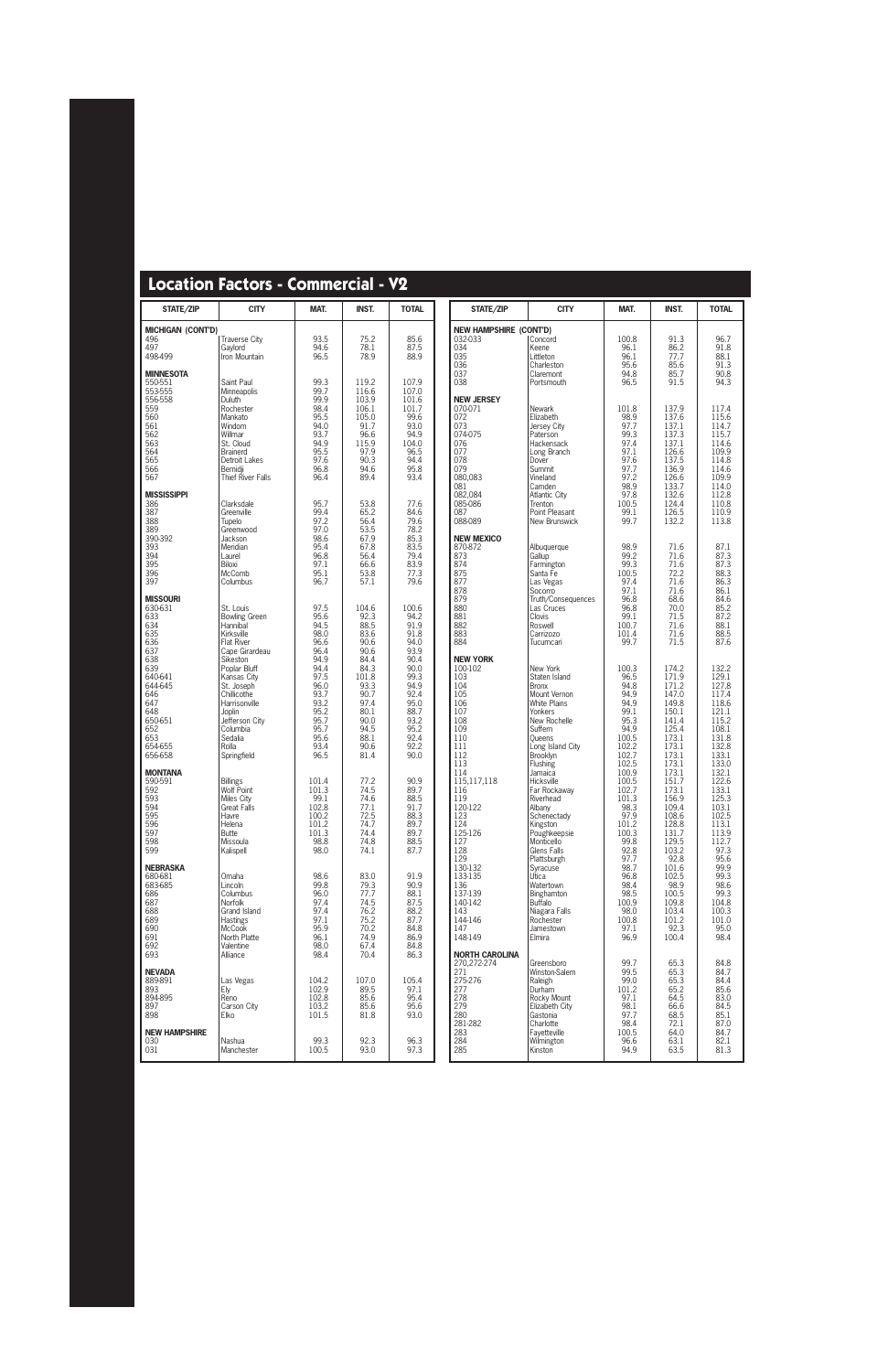| STATE/ZIP                                                                                            | <b>CITY</b>                                                                                                                                                      | MAT.                                                                                         | <b>INST.</b>                                                                                  | <b>TOTAL</b>                                                                                 | STATE/ZIP                                                                                                           | <b>CITY</b>                                                                                                                                                             | MAT.                                                                                              | <b>INST.</b>                                                                                             | <b>TOTAL</b>                                                                                                           |
|------------------------------------------------------------------------------------------------------|------------------------------------------------------------------------------------------------------------------------------------------------------------------|----------------------------------------------------------------------------------------------|-----------------------------------------------------------------------------------------------|----------------------------------------------------------------------------------------------|---------------------------------------------------------------------------------------------------------------------|-------------------------------------------------------------------------------------------------------------------------------------------------------------------------|---------------------------------------------------------------------------------------------------|----------------------------------------------------------------------------------------------------------|------------------------------------------------------------------------------------------------------------------------|
| <b>MICHIGAN (CONT'D)</b><br>496<br>497<br>498-499                                                    | <b>Traverse City</b><br>Gaylord<br>Iron Mountain                                                                                                                 | 93.5<br>94.6<br>96.5                                                                         | 75.2<br>78.1<br>78.9                                                                          | 85.6<br>87.5<br>88.9                                                                         | <b>NEW HAMPSHIRE (CONT'D)</b><br>032-033<br>034<br>035<br>036                                                       | Concord<br>Keene<br>Littleton<br>Charleston                                                                                                                             | 100.8<br>96.1<br>96.1<br>95.6                                                                     | 91.3<br>86.2<br>77.7<br>85.6                                                                             | 96.7<br>91.8<br>$88.1$<br>91.3                                                                                         |
| <b>MINNESOTA</b><br>550-551<br>553-555<br>556-558                                                    | Saint Paul<br>Minneapolis<br>Duluth                                                                                                                              | 99.3<br>99.7<br>99.9                                                                         | 119.2<br>116.6<br>103.9                                                                       | 107.9<br>107.0<br>101.6                                                                      | 037<br>038<br><b>NEW JERSEY</b>                                                                                     | Claremont<br>Portsmouth                                                                                                                                                 | 94.8<br>96.5                                                                                      | 85.7<br>91.5                                                                                             | 90.8<br>94.3                                                                                                           |
| 559<br>560<br>561<br>562<br>563<br>564<br>565<br>566<br>567                                          | Rochester<br>Mankato<br>Windom<br>Willmar<br>St. Cloud<br><b>Brainerd</b><br>Detroit Lakes<br>Bemidji<br>Thief River Falls                                       | 98.4<br>95.5<br>94.0<br>93.7<br>94.9<br>95.5<br>97.6<br>96.8<br>96.4                         | 106.1<br>105.0<br>91.7<br>96.6<br>115.9<br>97.9<br>90.3<br>94.6<br>89.4                       | 101.7<br>99.6<br>93.0<br>94.9<br>104.0<br>96.5<br>94.4<br>95.8<br>93.4                       | 070-071<br>072<br>073<br>074-075<br>076<br>077<br>078<br>079<br>080,083<br>081                                      | Newark<br>Elizabeth<br>Jersey City<br>Paterson<br>Hackensack<br>Long Branch<br>Dover<br>Summit<br>Vineland<br>Camden                                                    | 101.8<br>98.9<br>97.7<br>99.3<br>97.4<br>97.1<br>97.6<br>97.7<br>97.2<br>98.9                     | 137.9<br>137.6<br>137.1<br>137.3<br>137.1<br>126.6<br>137.5<br>136.9<br>126.6<br>133.7                   | 117.4<br>115.6<br>$\frac{114.7}{115.7}$<br>114.6<br>109.9<br>114.8<br>114.6<br>109.9<br>114.0                          |
| <b>MISSISSIPPI</b><br>386<br>387<br>388<br>389<br>390-392                                            | Clarksdale<br>Greenville<br>Tupelo<br>Greenwood<br>Jackson                                                                                                       | 95.7<br>99.4<br>97.2<br>97.0<br>98.6                                                         | 53.8<br>65.2<br>56.4<br>53.5<br>67.9                                                          | 77.6<br>84.6<br>79.6<br>78.2<br>85.3                                                         | 082,084<br>085-086<br>087<br>088-089<br><b>NEW MEXICO</b>                                                           | Atlantic City<br>Trenton<br>Point Pleasant<br>New Brunswick                                                                                                             | 97.8<br>100.5<br>99.1<br>99.7                                                                     | 132.6<br>124.4<br>126.5<br>132.2                                                                         | $\frac{112.8}{110.8}$<br>110.9<br>113.8                                                                                |
| 393<br>394<br>395<br>396<br>397                                                                      | Meridian<br>Laurel<br>Biloxi<br>McComb<br>Columbus                                                                                                               | 95.4<br>96.8<br>97.1<br>95.1<br>96.7                                                         | 67.8<br>56.4<br>66.6<br>53.8<br>57.1                                                          | 83.5<br>79.4<br>83.9<br>77.3<br>79.6                                                         | 870-872<br>873<br>874<br>875<br>877<br>878                                                                          | Albuquerque<br>Gallup<br>Farmington<br>Santa Fe<br>Las Vegas<br>Socorro                                                                                                 | 98.9<br>99.2<br>99.3<br>100.5<br>97.4<br>97.1                                                     | 71.6<br>71.6<br>71.6<br>72.2<br>71.6<br>71.6                                                             | 87.1<br>87.3<br>87.3<br>88.3<br>86.3<br>86.1                                                                           |
| <b>MISSOURI</b><br>630-631<br>633<br>634<br>635<br>636<br>637                                        | St. Louis<br><b>Bowling Green</b><br>Hannibal<br>Kirksville<br><b>Flat River</b><br>Cape Girardeau                                                               | 97.5<br>95.6<br>94.5<br>98.0<br>96.6<br>96.4                                                 | 104.6<br>92.3<br>88.5<br>83.6<br>90.6<br>90.6                                                 | 100.6<br>94.2<br>91.9<br>91.8<br>94.0<br>93.9                                                | 879<br>880<br>881<br>882<br>883<br>884                                                                              | Truth/Consequences<br>Las Cruces<br>Clovis<br>Roswell<br>Carrizozo<br>Tucumcari                                                                                         | 96.8<br>96.8<br>99.1<br>100.7<br>101.4<br>99.7                                                    | 68.6<br>70.0<br>71.5<br>71.6<br>71.6<br>71.5                                                             | 84.6<br>85.2<br>$\frac{87.2}{88.1}$<br>88.5<br>87.6                                                                    |
| 638<br>639<br>640-641<br>644-645<br>646<br>647<br>648<br>650-651<br>652<br>653<br>654-655<br>656-658 | Sikeston<br>Poplar Bluff<br>Kansas City<br>St. Joseph<br>Chillicothe<br>Harrisonville<br>Joplin<br>Jefferson City<br>Columbia<br>Sedalia<br>Rolla<br>Springfield | 94.9<br>94.4<br>97.5<br>96.0<br>93.7<br>93.2<br>95.2<br>95.7<br>95.7<br>95.6<br>93.4<br>96.5 | 84.4<br>84.3<br>101.8<br>93.3<br>90.7<br>97.4<br>80.1<br>90.0<br>94.5<br>88.1<br>90.6<br>81.4 | 90.4<br>90.0<br>99.3<br>94.9<br>92.4<br>95.0<br>88.7<br>93.2<br>95.2<br>92.4<br>92.2<br>90.0 | <b>NEW YORK</b><br>100-102<br>103<br>104<br>105<br>106<br>107<br>108<br>109<br>110<br>111<br>112<br>113             | New York<br>Staten Island<br><b>Bronx</b><br>Mount Vernon<br><b>White Plains</b><br>Yonkers<br>New Rochelle<br>Suffern<br><b>Queens</b><br>Long Island City<br>Brooklyn | 100.3<br>96.5<br>94.8<br>94.9<br>94.9<br>99.1<br>95.3<br>94.9<br>100.5<br>102.2<br>102.7<br>102.5 | 174.2<br>171.9<br>171.2<br>147.0<br>149.8<br>150.1<br>141.4<br>125.4<br>173.1<br>173.1<br>173.1<br>173.1 | 132.2<br>$\frac{129.1}{127.8}$<br>117.4<br>118.6<br>121.1<br>115.2<br>108.1<br>$\frac{131.8}{132.8}$<br>133.1<br>133.0 |
| <b>MONTANA</b><br>590-591<br>592<br>  593<br>594<br>595<br>596<br>597<br>598<br>599                  | <b>Billings</b><br>Wolf Point<br>Miles City<br><b>Great Falls</b><br>Havre<br>Helena<br><b>Butte</b><br>Missoula<br>Kalispell                                    | 101.4<br>101.3<br>99.1<br>102.8<br>100.2<br>101.2<br>101.3<br>98.8<br>98.0                   | 77.2<br>74.5<br>74.6<br>77.1<br>72.5<br>74.7<br>74.4<br>74.8<br>74.1                          | 90.9<br>89.7<br>88.5<br>91.7<br>88.3<br>89.7<br>89.7<br>88.5<br>87.7                         | 114<br>115,117,118<br>116<br>119<br>120-122<br>123<br>124<br>125-126<br>127<br>128                                  | Flushing<br>Jamaica<br>Hicksville<br>Far Rockaway<br>Riverhead<br>Albany<br>Schenectady<br>Kingston<br>Poughkeepsie<br>Monticello<br>Glens Falls                        | 100.9<br>100.5<br>102.7<br>101.3<br>98.3<br>97.9<br>101.2<br>100.3<br>99.8<br>92.8                | 173.1<br>151.7<br>173.1<br>156.9<br>109.4<br>108.6<br>128.8<br>131.7<br>129.5<br>103.2                   | 132.1<br>122.6<br>$\frac{125.8}{125.3}$<br>103.1<br>102.5<br>113.1<br>113.9<br>112.7<br>97.3                           |
| <b>NEBRASKA</b><br>680-681<br>683-685<br>686<br>687<br>688<br>689<br>690<br>691<br>692<br>693        | Omaha<br>Lincoln<br>Columbus<br>Norfolk<br>Grand Island<br><b>Hastings</b><br><b>McCook</b><br>North Platte<br>Valentine<br>Alliance                             | 98.6<br>99.8<br>96.0<br>97.4<br>97.4<br>97.1<br>95.9<br>96.1<br>98.0<br>98.4                 | 83.0<br>79.3<br>77.7<br>74.5<br>76.2<br>75.2<br>70.2<br>74.9<br>67.4<br>70.4                  | 91.9<br>90.9<br>88.1<br>87.5<br>88.2<br>87.7<br>84.8<br>86.9<br>84.8<br>86.3                 | 129<br>130-132<br>133-135<br>136<br>137-139<br>140-142<br>143<br>144-146<br>147<br>148-149<br><b>NORTH CAROLINA</b> | Plattsburgh<br>Syracuse<br>Utica<br>Watertown<br>Binghamton<br><b>Buffalo</b><br>Niagara Falls<br>Rochester<br>Jamestown<br>Elmira                                      | 97.7<br>98.7<br>96.8<br>98.4<br>98.5<br>100.9<br>98.0<br>100.8<br>97.1<br>96.9                    | 92.8<br>101.6<br>102.5<br>98.9<br>100.5<br>109.8<br>103.4<br>101.2<br>92.3<br>100.4                      | 95.6<br>99.9<br>99.3<br>98.6<br>99.3<br>104.8<br>100.3<br>101.0<br>95.0<br>98.4                                        |
| <b>NEVADA</b><br>889-891<br>893<br>894-895<br>897<br>898                                             | Las Vegas<br>Ely<br>Reno<br>Carson City<br>Elko                                                                                                                  | 104.2<br>102.9<br>102.8<br>103.2<br>101.5                                                    | 107.0<br>89.5<br>85.6<br>85.6<br>81.8                                                         | 105.4<br>97.1<br>95.4<br>95.6<br>93.0                                                        | 270,272-274<br>271<br>275-276<br>277<br>278<br>279<br>280<br>281-282                                                | Greensboro<br>Winston-Salem<br>Raleigh<br>Durham<br>Rocky Mount<br>Elizabeth City<br>Gastonia<br>Charlotte                                                              | 99.7<br>99.5<br>99.0<br>101.2<br>97.1<br>98.1<br>97.7<br>98.4                                     | 65.3<br>65.3<br>65.3<br>65.2<br>64.5<br>66.6<br>68.5<br>72.1                                             | 84.8<br>84.7<br>84.4<br>85.6<br>83.0<br>84.5<br>85.1<br>87.0                                                           |
| <b>NEW HAMPSHIRE</b><br>030<br>031                                                                   | Nashua<br>Manchester                                                                                                                                             | 99.3<br>100.5                                                                                | 92.3<br>93.0                                                                                  | 96.3<br>97.3                                                                                 | 283<br>284<br>285                                                                                                   | Fayetteville<br>Wilmington<br>Kinston                                                                                                                                   | 100.5<br>96.6<br>94.9                                                                             | 64.0<br>63.1<br>63.5                                                                                     | 84.7<br>82.1<br>81.3                                                                                                   |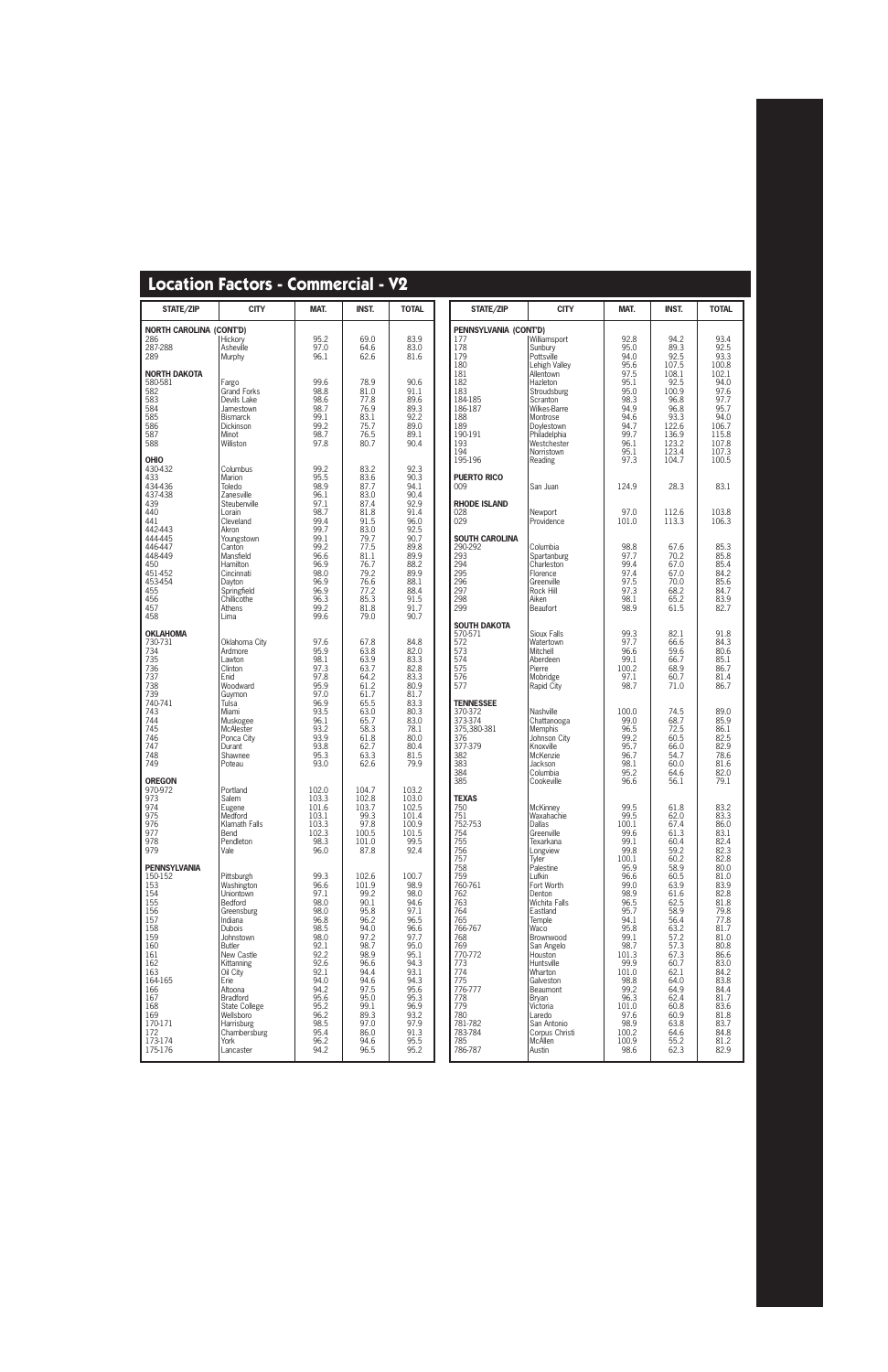| <b>STATE/ZIP</b>                                                                                                                                                                           | <b>CITY</b>                                                                                                                                                                                                                                                                             | MAT.                                                                                                                                                                 | <b>INST.</b>                                                                                                                                                           | <b>TOTAL</b>                                                                                                                                                          |
|--------------------------------------------------------------------------------------------------------------------------------------------------------------------------------------------|-----------------------------------------------------------------------------------------------------------------------------------------------------------------------------------------------------------------------------------------------------------------------------------------|----------------------------------------------------------------------------------------------------------------------------------------------------------------------|------------------------------------------------------------------------------------------------------------------------------------------------------------------------|-----------------------------------------------------------------------------------------------------------------------------------------------------------------------|
| <b>NORTH CAROLINA (CONT'D)</b><br>286<br>287-288<br>289                                                                                                                                    | Hickory<br>Asheville<br>Murphy                                                                                                                                                                                                                                                          | 95.2<br>97.0<br>96.1                                                                                                                                                 | 69.0<br>64.6<br>62.6                                                                                                                                                   | 83.9<br>83.0<br>81.6                                                                                                                                                  |
| <b>NORTH DAKOTA</b><br>580-581<br>582<br>583<br>584<br>585<br>586<br>587<br>588                                                                                                            | Fargo<br>Grand Forks<br>Devils Lake<br>Jamestown<br><b>Bismarck</b><br>Dickinson<br>Minot<br>Williston                                                                                                                                                                                  | 99.6<br>98.8<br>98.6<br>98.7<br>99.1<br>99.2<br>98.7<br>97.8                                                                                                         | 78.9<br>81.0<br>77.8<br>76.9<br>83.1<br>75.7<br>76.5<br>80.7                                                                                                           | 90.6<br>91.1<br>89.6<br>89.3<br>92.2<br>89.0<br>89.1<br>90.4                                                                                                          |
| <b>OHIO</b><br>430-432<br>433<br>434-436<br>437-438<br>439<br>440<br>441<br>442-443<br>444-445<br>446-447<br>448-449<br>450<br>451-452<br>453-454<br>455<br>456<br>457<br>458              | Columbus<br>Marion<br>Toledo<br>Zanesville<br>Steubenville<br>Lorain<br>Cleveland<br>Akron<br>Youngstown<br>Canton<br>Mansfield<br>Hamilton<br>Cincinnati<br>Dayton<br>Springfield<br>Chillicothe<br>Athens<br>Lima                                                                     | 99.2<br>95.5<br>98.9<br>96.1<br>97.1<br>98.7<br>99.4<br>99.7<br>99.1<br>99.2<br>96.6<br>96.9<br>98.0<br>96.9<br>96.9<br>96.3<br>99.2<br>99.6                         | 83.2<br>83.6<br>87.7<br>83.0<br>87.4<br>81.8<br>91.5<br>83.0<br>79.7<br>77.5<br>81.1<br>76.7<br>79.2<br>76.6<br>77.2<br>85.3<br>81.8<br>79.0                           | 92.3<br>90.3<br>94.1<br>90.4<br>92.9<br>91.4<br>96.0<br>92.5<br>90.7<br>89.8<br>89.9<br>88.2<br>89.9<br>88.1<br>88.4<br>91.5<br>91.7<br>90.7                          |
| <b>OKLAHOMA</b><br>730-731<br>734<br>735<br>736<br>737<br>738<br>739<br>740-741<br>743<br>744<br>745<br>746<br>747<br>748<br>749                                                           | Oklahoma City<br>Ardmore<br>Lawton<br>Clinton<br>Enid<br>Woodward<br>Guymon<br>Tulsa<br>Miami<br>Muskogee<br>McAlester<br>Ponca City<br>Durant<br>Shawnee<br>Poteau                                                                                                                     | 97.6<br>95.9<br>98.1<br>97.3<br>97.8<br>95.9<br>97.0<br>96.9<br>93.5<br>96.1<br>93.2<br>93.9<br>93.8<br>95.3<br>93.0                                                 | 67.8<br>63.8<br>63.9<br>63.7<br>64.2<br>61.2<br>61.7<br>65.5<br>63.0<br>65.7<br>58.3<br>61.8<br>62.7<br>63.3<br>62.6                                                   | 84.8<br>82.0<br>83.3<br>82.8<br>83.3<br>80.9<br>81.7<br>83.3<br>80.3<br>83.0<br>78.1<br>80.0<br>80.4<br>81.5<br>79.9                                                  |
| <b>OREGON</b><br>970-972<br>973<br>974<br>975<br>976<br>977<br>978<br>979                                                                                                                  | Portland<br>Salem<br>Eugene<br>Medford<br>Klamath Falls<br>Bend<br>Pendleton<br>Vale                                                                                                                                                                                                    | 102.0<br>103.3<br>101.6<br>103.1<br>103.3<br>102.3<br>98.3<br>96.0                                                                                                   | 104.7<br>102.8<br>103.7<br>99.3<br>97.8<br>100.5<br>101.0<br>87.8                                                                                                      | 103.2<br>103.0<br>102.5<br>101.4<br>100.9<br>101.5<br>99.5<br>92.4                                                                                                    |
| <b>PENNSYLVANIA</b><br>150-152<br>153<br>154<br>155<br>156<br>157<br>158<br>159<br>160<br>161<br>162<br>163<br>164-165<br>166<br>167<br>168<br>169<br>170-171<br>172<br>173-174<br>175-176 | Pittsburgh<br>Washington<br>Uniontown<br><b>Bedford</b><br>Greensburg<br>Indiana<br><b>Dubois</b><br>Johnstown<br>Butler<br>New Castle<br>Kittanning<br>Oil City<br>Erie<br>Altoona<br>Bradford<br>State College<br>Wellsboro<br><b>Harrisburg</b><br>Chambersburg<br>York<br>Lancaster | 99.3<br>96.6<br>97.1<br>98.0<br>98.0<br>96.8<br>98.5<br>98.0<br>92.1<br>92.2<br>92.6<br>92.1<br>94.0<br>94.2<br>95.6<br>95.2<br>96.2<br>98.5<br>95.4<br>96.2<br>94.2 | 102.6<br>101.9<br>99.2<br>90.1<br>95.8<br>96.2<br>94.0<br>97.2<br>98.7<br>98.9<br>96.6<br>94.4<br>94.6<br>97.5<br>95.0<br>99.1<br>89.3<br>97.0<br>86.0<br>94.6<br>96.5 | 100.7<br>98.9<br>98.0<br>94.6<br>97.1<br>96.5<br>96.6<br>97.7<br>95.0<br>95.1<br>94.3<br>93.1<br>94.3<br>95.6<br>95.3<br>96.9<br>93.2<br>97.9<br>91.3<br>95.5<br>95.2 |

| <b>STATE/ZIP</b>                                                                                                                                                                                                                                        | <b>CITY</b>                                                                                                                                                                                                                                                                                                                                                                      | MAT.                                                                                                                                                                                                                                        | INST.                                                                                                                                                                                                                                | <b>TOTAL</b>                                                                                                                                                                                                                         |
|---------------------------------------------------------------------------------------------------------------------------------------------------------------------------------------------------------------------------------------------------------|----------------------------------------------------------------------------------------------------------------------------------------------------------------------------------------------------------------------------------------------------------------------------------------------------------------------------------------------------------------------------------|---------------------------------------------------------------------------------------------------------------------------------------------------------------------------------------------------------------------------------------------|--------------------------------------------------------------------------------------------------------------------------------------------------------------------------------------------------------------------------------------|--------------------------------------------------------------------------------------------------------------------------------------------------------------------------------------------------------------------------------------|
| PENNSYLVANIA (CONT'D)<br>177<br>178<br>179<br>180<br>181<br>182<br>183<br>184-185<br>186-187<br>188<br>189<br>190-191<br>193<br>194<br>195-196                                                                                                          | Williamsport<br>Sunburv<br>Pottsville<br>Lehigh Valley<br>Allentown<br>Hazleton<br>Stroudsburg<br>Scranton<br>Wilkes-Barre<br>Montrose<br>Doylestown<br>Philadelphia<br>Westchester<br>Norristown<br>Reading                                                                                                                                                                     | 92.8<br>95.0<br>94.0<br>95.6<br>97.5<br>95.1<br>95.0<br>98.3<br>94.9<br>94.6<br>94.7<br>99.7<br>96.1<br>95.1<br>97.3                                                                                                                        | 94.2<br>89.3<br>92.5<br>107.5<br>108.1<br>92.5<br>100.9<br>96.8<br>96.8<br>93.3<br>122.6<br>136.9<br>123.2<br>123.4<br>104.7                                                                                                         | 93.4<br>92.5<br>93.3<br>100.8<br>102.1<br>94.0<br>97.6<br>97.7<br>95.7<br>94.0<br>106.7<br>115.8<br>107.8<br>107.3<br>100.5                                                                                                          |
| <b>PUERTO RICO</b><br>009                                                                                                                                                                                                                               | San Juan                                                                                                                                                                                                                                                                                                                                                                         | 124.9                                                                                                                                                                                                                                       | 28.3                                                                                                                                                                                                                                 | 83.1                                                                                                                                                                                                                                 |
| <b>RHODE ISLAND</b><br>028<br>029                                                                                                                                                                                                                       | Newport<br>Providence                                                                                                                                                                                                                                                                                                                                                            | 97.0<br>101.0                                                                                                                                                                                                                               | 112.6<br>113.3                                                                                                                                                                                                                       | 103.8<br>106.3                                                                                                                                                                                                                       |
| <b>SOUTH CAROLINA</b><br>290-292<br>293<br>294<br>295<br>296<br>297<br>298<br>299                                                                                                                                                                       | Columbia<br>Spartanburg<br>Charleston<br>Florence<br>Greenville<br>Rock Hill<br>Aiken<br>Beaufort                                                                                                                                                                                                                                                                                | 98.8<br>97.7<br>99.4<br>97.4<br>97.5<br>97.3<br>98.1<br>98.9                                                                                                                                                                                | 67.6<br>70.2<br>67.0<br>67.0<br>70.0<br>68.2<br>65.2<br>61.5                                                                                                                                                                         | 85.3<br>85.8<br>85.4<br>84.2<br>85.6<br>84.7<br>83.9<br>82.7                                                                                                                                                                         |
| SOUTH DAKOTA<br>570-571<br>572<br>573<br>574<br>575<br>576<br>577                                                                                                                                                                                       | Sioux Falls<br>Watertown<br>Mitchell<br>Aberdeen<br>Pierre<br>Mobridge<br>Rapid City                                                                                                                                                                                                                                                                                             | 99.3<br>97.7<br>96.6<br>99.1<br>100.2<br>97.1<br>98.7                                                                                                                                                                                       | 82.1<br>66.6<br>59.6<br>66.7<br>68.9<br>60.7<br>71.0                                                                                                                                                                                 | 91.8<br>84.3<br>80.6<br>85.1<br>86.7<br>81.4<br>86.7                                                                                                                                                                                 |
| <b>TENNESSEE</b><br>370-372<br>373-374<br>375,380-381<br>376<br>377-379<br>382<br>383<br>384<br>385                                                                                                                                                     | Nashville<br>Chattanooga<br><b>Memphis</b><br>Johnson City<br>Knoxville<br>McKenzie<br>Jackson<br>Columbia<br>Cookeville                                                                                                                                                                                                                                                         | 100.0<br>99.0<br>96.5<br>99.2<br>95.7<br>96.7<br>98.1<br>95.2<br>96.6                                                                                                                                                                       | 74.5<br>68.7<br>72.5<br>60.5<br>66.0<br>54.7<br>60.0<br>64.6<br>56.1                                                                                                                                                                 | 89.0<br>85.9<br>86.1<br>82.5<br>82.9<br>78.6<br>81.6<br>82.0<br>79.1                                                                                                                                                                 |
| <b>TEXAS</b><br>750<br>751<br>752-753<br>754<br>755<br>756<br>757<br>758<br>759<br>760-761<br>762<br>763<br>764<br>765<br>766-767<br>768<br>769<br>770-772<br>773<br>774<br>775<br>776-777<br>778<br>779<br>780<br>781-782<br>783-784<br>785<br>786-787 | <b>McKinney</b><br>Waxahachie<br><b>Dallas</b><br>Greenville<br>Texarkana<br>Longview<br>Tyler<br>Palestine<br>Lufkin<br>Fort Worth<br>Denton<br><b>Wichita Falls</b><br>Eastland<br>Temple<br>Waco<br>Brownwood<br>San Angelo<br>Houston<br>Huntsville<br>Wharton<br>Galveston<br>Beaumont<br>Bryan<br>Victoria<br>Laredo<br>San Antonio<br>Corpus Christi<br>McAllen<br>Austin | 99.5<br>99.5<br>100.1<br>99.6<br>99.1<br>99.8<br>100.1<br>95.9<br>96.6<br>99.0<br>98.9<br>96.5<br>95.7<br>94.1<br>95.8<br>99.1<br>98.7<br>101.3<br>99.9<br>101.0<br>98.8<br>99.2<br>96.3<br>101.0<br>97.6<br>98.9<br>100.2<br>100.9<br>98.6 | 61.8<br>62.0<br>67.4<br>61.3<br>60.4<br>59.2<br>60.2<br>58.9<br>60.5<br>63.9<br>61.6<br>62.5<br>58.9<br>56.4<br>63.2<br>57.2<br>57.3<br>67.3<br>60.7<br>62.1<br>64.0<br>64.9<br>62.4<br>60.8<br>60.9<br>63.8<br>64.6<br>55.2<br>62.3 | 83.2<br>83.3<br>86.0<br>83.1<br>82.4<br>82.3<br>82.8<br>80.0<br>81.0<br>83.9<br>82.8<br>81.8<br>79.8<br>77.8<br>81.7<br>81.0<br>80.8<br>86.6<br>83.0<br>84.2<br>83.8<br>84.4<br>81.7<br>83.6<br>81.8<br>83.7<br>84.8<br>81.2<br>82.9 |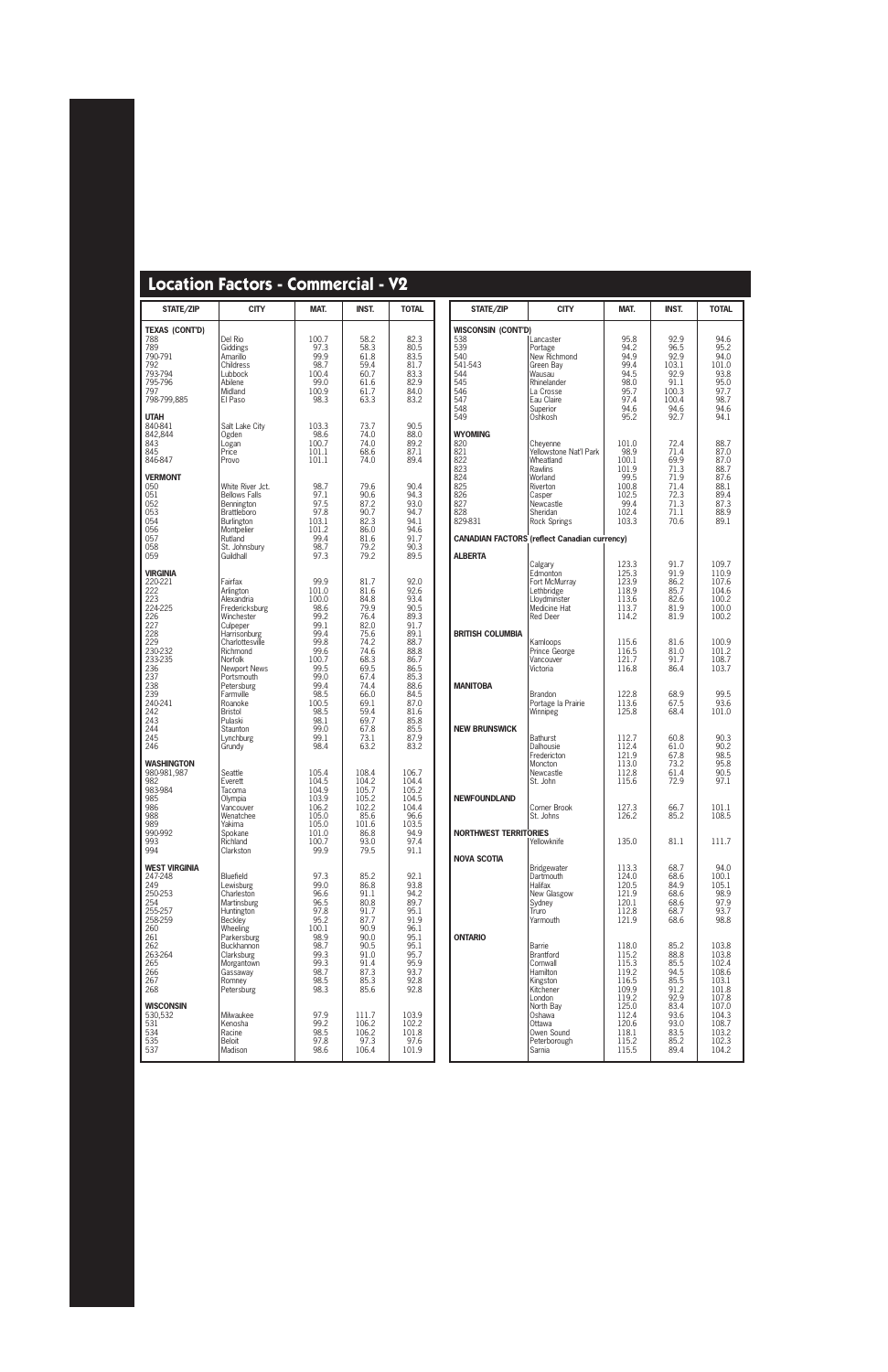| STATE/ZIP                                                                                                                                                                       | <b>CITY</b>                                                                                                                                                                                                                                                                         | MAT.                                                                                                                                                             | INST.                                                                                                                                                        | <b>TOTAL</b>                                                                                                                                                 |
|---------------------------------------------------------------------------------------------------------------------------------------------------------------------------------|-------------------------------------------------------------------------------------------------------------------------------------------------------------------------------------------------------------------------------------------------------------------------------------|------------------------------------------------------------------------------------------------------------------------------------------------------------------|--------------------------------------------------------------------------------------------------------------------------------------------------------------|--------------------------------------------------------------------------------------------------------------------------------------------------------------|
| <b>TEXAS (CONT'D)</b><br>788<br>789<br>790-791<br>792<br>793-794<br>795-796<br>797<br>798-799,885                                                                               | Del Rio<br>Giddings<br>Amarillo<br>Childress<br>Lubbock<br>Abilene<br>Midland<br>El Paso                                                                                                                                                                                            | 100.7<br>97.3<br>99.9<br>98.7<br>100.4<br>99.0<br>100.9<br>98.3                                                                                                  | 58.2<br>58.3<br>61.8<br>59.4<br>60.7<br>61.6<br>61.7<br>63.3                                                                                                 | 82.3<br>80.5<br>83.5<br>81.7<br>83.3<br>82.9<br>84.0<br>83.2                                                                                                 |
| <b>UTAH</b><br>840-841<br>842,844<br>843<br>845<br>846-847                                                                                                                      | Salt Lake City<br>Ogden<br>Logan<br>Price<br>Provo                                                                                                                                                                                                                                  | 103.3<br>98.6<br>100.7<br>101.1<br>101.1                                                                                                                         | 73.7<br>74.0<br>74.0<br>68.6<br>74.0                                                                                                                         | 90.5<br>88.0<br>89.2<br>87.1<br>89.4                                                                                                                         |
| <b>VERMONT</b><br>050<br>051<br>052<br>053<br>054<br>056<br>057<br>058<br>059                                                                                                   | White River Jct.<br><b>Bellows Falls</b><br>Bennington<br>Brattleboro<br>Burlington<br>Montpelier<br>Rutland<br>St. Johnsbury<br>Guildhall                                                                                                                                          | 98.7<br>97.1<br>97.5<br>97.8<br>103.1<br>101.2<br>99.4<br>98.7<br>97.3                                                                                           | 79.6<br>90.6<br>87.2<br>90.7<br>82.3<br>86.0<br>81.6<br>79.2<br>79.2                                                                                         | 90.4<br>94.3<br>93.0<br>94.7<br>94.1<br>94.6<br>91.7<br>90.3<br>89.5                                                                                         |
| <b>VIRGINIA</b><br>220-221<br>222<br>223<br>224-225<br>226<br>227<br>228<br>229<br>230-232<br>233-235<br>236<br>237<br>238<br>239<br>240-241<br>242<br>243<br>244<br>245<br>246 | Fairfax<br>Arlington<br>Alexandria<br>Fredericksburg<br>Winchester<br>Culpeper<br>Harrisonburg<br>Charlottesville<br>Richmond<br>Norfolk<br><b>Newport News</b><br>Portsmouth<br>Petersburg<br>Farmville<br>Roanoke<br><b>Bristol</b><br>Pulaski<br>Staunton<br>Lynchburg<br>Grundy | 99.9<br>101.0<br>100.0<br>98.6<br>99.2<br>99.1<br>99.4<br>99.8<br>99.6<br>100.7<br>99.5<br>99.0<br>99.4<br>98.5<br>100.5<br>98.5<br>98.1<br>99.0<br>99.1<br>98.4 | 81.7<br>81.6<br>84.8<br>79.9<br>76.4<br>82.0<br>75.6<br>74.2<br>74.6<br>68.3<br>69.5<br>67.4<br>74.4<br>66.0<br>69.1<br>59.4<br>69.7<br>67.8<br>73.1<br>63.2 | 92.0<br>92.6<br>93.4<br>90.5<br>89.3<br>91.7<br>89.1<br>88.7<br>88.8<br>86.7<br>86.5<br>85.3<br>88.6<br>84.5<br>87.0<br>81.6<br>85.8<br>85.5<br>87.9<br>83.2 |
| <b>WASHINGTON</b><br>980-981,987<br>982<br>983-984<br>985<br>986<br>988<br>989<br>990-992<br>993<br>994                                                                         | Seattle<br>Everett<br>Tacoma<br>Olympia<br>Vancouver<br>Wenatchee<br>Yakima<br>Spokane<br>Richland<br>Clarkston                                                                                                                                                                     | 105.4<br>104.5<br>104.9<br>103.9<br>106.2<br>105.0<br>105.0<br>101.0<br>100.7<br>99.9                                                                            | 108.4<br>104.2<br>105.7<br>105.2<br>102.2<br>85.6<br>101.6<br>86.8<br>93.0<br>79.5                                                                           | 106.7<br>104.4<br>105.2<br>104.5<br>104.4<br>96.6<br>103.5<br>94.9<br>97.4<br>91.1                                                                           |
| <b>WEST VIRGINIA</b><br>247-248<br>249<br>250-253<br>254<br>255-257<br>258-259<br>260<br>261<br>262<br>263-264<br>265<br>266<br>267<br>268                                      | Bluefield<br>Lewisburg<br>Charleston<br>Martinsburg<br>Huntington<br><b>Beckley</b><br>Wheeling<br>Parkersburg<br><b>Buckhannon</b><br>Clarksburg<br>Morgantown<br>Gassaway<br>Romney<br>Petersburg                                                                                 | 97.3<br>99.0<br>96.6<br>96.5<br>97.8<br>95.2<br>100.1<br>98.9<br>98.7<br>99.3<br>99.3<br>98.7<br>98.5<br>98.3                                                    | 85.2<br>86.8<br>91.1<br>80.8<br>91.7<br>87.7<br>90.9<br>90.0<br>90.5<br>91.0<br>91.4<br>87.3<br>85.3<br>85.6                                                 | 92.1<br>93.8<br>94.2<br>89.7<br>95.1<br>91.9<br>96.1<br>95.1<br>95.1<br>95.7<br>95.9<br>93.7<br>92.8<br>92.8                                                 |
| <b>WISCONSIN</b><br>530,532<br>531<br>534<br>535<br>537                                                                                                                         | Milwaukee<br>Kenosha<br>Racine<br><b>Beloit</b><br>Madison                                                                                                                                                                                                                          | 97.9<br>99.2<br>98.5<br>97.8<br>98.6                                                                                                                             | 111.7<br>106.2<br>106.2<br>97.3<br>106.4                                                                                                                     | 103.9<br>102.2<br>101.8<br>97.6<br>101.9                                                                                                                     |

| <b>STATE/ZIP</b>                                                                             | <b>CITY</b>                                                                                                                                 | MAT.                                                                                | <b>INST.</b>                                                                    | <b>TOTAL</b>                                                                  |
|----------------------------------------------------------------------------------------------|---------------------------------------------------------------------------------------------------------------------------------------------|-------------------------------------------------------------------------------------|---------------------------------------------------------------------------------|-------------------------------------------------------------------------------|
| WISCONSIN (CONT'D)<br>538<br>539<br>540<br>541-543<br>544<br>545<br>546<br>547<br>548<br>549 | Lancaster<br>Portage<br>New Richmond<br>Green Bay<br>Wausau<br>Rhinelander<br>La Crosse<br>Eau Claire<br>Superior<br>Oshkosh                | 95.8<br>94.2<br>94.9<br>99.4<br>94.5<br>98.0<br>95.7<br>97.4<br>94.6<br>95.2        | 92.9<br>96.5<br>92.9<br>103.1<br>92.9<br>91.1<br>100.3<br>100.4<br>94.6<br>92.7 | 94.6<br>95.2<br>94.0<br>101.0<br>93.8<br>95.0<br>97.7<br>98.7<br>94.6<br>94.1 |
| <b>WYOMING</b><br>820<br>821<br>822<br>823<br>824<br>825<br>826<br>827<br>828<br>829-831     | Cheyenne<br>Yellowstone Nat'l Park<br>Wheatland<br>Rawlins<br>Worland<br>Riverton<br>Casper<br>Newcastle<br>Sheridan<br><b>Rock Springs</b> | 101.0<br>98.9<br>100.1<br>101.9<br>99.5<br>100.8<br>102.5<br>99.4<br>102.4<br>103.3 | 72.4<br>71.4<br>69.9<br>71.3<br>71.9<br>71.4<br>72.3<br>71.3<br>71.1<br>70.6    | 88.7<br>87.0<br>87.0<br>88.7<br>87.6<br>88.1<br>89.4<br>87.3<br>88.9<br>89.1  |
|                                                                                              | <b>CANADIAN FACTORS (reflect Canadian currency)</b>                                                                                         |                                                                                     |                                                                                 |                                                                               |
| <b>ALBERTA</b>                                                                               | Calgary                                                                                                                                     | 123.3                                                                               | 91.7                                                                            | 109.7                                                                         |
|                                                                                              | Edmonton                                                                                                                                    | 125.3                                                                               | 91.9                                                                            | 110.9                                                                         |
|                                                                                              | Fort McMurray                                                                                                                               | 123.9                                                                               | 86.2                                                                            | 107.6                                                                         |
|                                                                                              | Lethbridge                                                                                                                                  | 118.9                                                                               | 85.7                                                                            | 104.6                                                                         |
|                                                                                              | Lloydminster                                                                                                                                | 113.6                                                                               | 82.6                                                                            | 100.2                                                                         |
|                                                                                              | Medicine Hat                                                                                                                                | 113.7                                                                               | 81.9                                                                            | 100.0                                                                         |
|                                                                                              | <b>Red Deer</b>                                                                                                                             | 114.2                                                                               | 81.9                                                                            | 100.2                                                                         |
| <b>BRITISH COLUMBIA</b>                                                                      | Kamloops                                                                                                                                    | 115.6                                                                               | 81.6                                                                            | 100.9                                                                         |
|                                                                                              | Prince George                                                                                                                               | 116.5                                                                               | 81.0                                                                            | 101.2                                                                         |
|                                                                                              | Vancouver                                                                                                                                   | 121.7                                                                               | 91.7                                                                            | 108.7                                                                         |
|                                                                                              | Victoria                                                                                                                                    | 116.8                                                                               | 86.4                                                                            | 103.7                                                                         |
| <b>MANITOBA</b>                                                                              | <b>Brandon</b>                                                                                                                              | 122.8                                                                               | 68.9                                                                            | 99.5                                                                          |
|                                                                                              | Portage la Prairie                                                                                                                          | 113.6                                                                               | 67.5                                                                            | 93.6                                                                          |
|                                                                                              | Winnipeg                                                                                                                                    | 125.8                                                                               | 68.4                                                                            | 101.0                                                                         |
| <b>NEW BRUNSWICK</b>                                                                         | <b>Bathurst</b>                                                                                                                             | 112.7                                                                               | 60.8                                                                            | 90.3                                                                          |
|                                                                                              | Dalhousie                                                                                                                                   | 112.4                                                                               | 61.0                                                                            | 90.2                                                                          |
|                                                                                              | Fredericton                                                                                                                                 | 121.9                                                                               | 67.8                                                                            | 98.5                                                                          |
|                                                                                              | Moncton                                                                                                                                     | 113.0                                                                               | 73.2                                                                            | 95.8                                                                          |
|                                                                                              | Newcastle                                                                                                                                   | 112.8                                                                               | 61.4                                                                            | 90.5                                                                          |
|                                                                                              | St. John                                                                                                                                    | 115.6                                                                               | 72.9                                                                            | 97.1                                                                          |
| <b>NEWFOUNDLAND</b>                                                                          | Corner Brook                                                                                                                                | 127.3                                                                               | 66.7                                                                            | 101.1                                                                         |
|                                                                                              | St. Johns                                                                                                                                   | 126.2                                                                               | 85.2                                                                            | 108.5                                                                         |
| <b>NORTHWEST TERRITORIES</b>                                                                 | Yellowknife                                                                                                                                 | 135.0                                                                               | 81.1                                                                            | 111.7                                                                         |
| <b>NOVA SCOTIA</b>                                                                           | <b>Bridgewater</b>                                                                                                                          | 113.3                                                                               | 68.7                                                                            | 94.0                                                                          |
|                                                                                              | Dartmouth                                                                                                                                   | 124.0                                                                               | 68.6                                                                            | 100.1                                                                         |
|                                                                                              | Halifax                                                                                                                                     | 120.5                                                                               | 84.9                                                                            | 105.1                                                                         |
|                                                                                              | New Glasgow                                                                                                                                 | 121.9                                                                               | 68.6                                                                            | 98.9                                                                          |
|                                                                                              | Sydney                                                                                                                                      | 120.1                                                                               | 68.6                                                                            | 97.9                                                                          |
|                                                                                              | Truro                                                                                                                                       | 112.8                                                                               | 68.7                                                                            | 93.7                                                                          |
|                                                                                              | Yarmouth                                                                                                                                    | 121.9                                                                               | 68.6                                                                            | 98.8                                                                          |
| <b>ONTARIO</b>                                                                               | Barrie                                                                                                                                      | 118.0                                                                               | 85.2                                                                            | 103.8                                                                         |
|                                                                                              | <b>Brantford</b>                                                                                                                            | 115.2                                                                               | 88.8                                                                            | 103.8                                                                         |
|                                                                                              | Cornwall                                                                                                                                    | 115.3                                                                               | 85.5                                                                            | 102.4                                                                         |
|                                                                                              | <b>Hamilton</b>                                                                                                                             | 119.2                                                                               | 94.5                                                                            | 108.6                                                                         |
|                                                                                              | Kingston                                                                                                                                    | 116.5                                                                               | 85.5                                                                            | 103.1                                                                         |
|                                                                                              | Kitchener                                                                                                                                   | 109.9                                                                               | 91.2                                                                            | 101.8                                                                         |
|                                                                                              | London                                                                                                                                      | 119.2                                                                               | 92.9                                                                            | 107.8                                                                         |
|                                                                                              | North Bay                                                                                                                                   | 125.0                                                                               | 83.4                                                                            | 107.0                                                                         |
|                                                                                              | Oshawa                                                                                                                                      | 112.4                                                                               | 93.6                                                                            | 104.3                                                                         |
|                                                                                              | Ottawa                                                                                                                                      | 120.6                                                                               | 93.0                                                                            | 108.7                                                                         |
|                                                                                              | Owen Sound                                                                                                                                  | 118.1                                                                               | 83.5                                                                            | 103.2                                                                         |
|                                                                                              | Peterborough                                                                                                                                | 115.2                                                                               | 85.2                                                                            | 102.3                                                                         |
|                                                                                              | Sarnia                                                                                                                                      | 115.5                                                                               | 89.4                                                                            | 104.2                                                                         |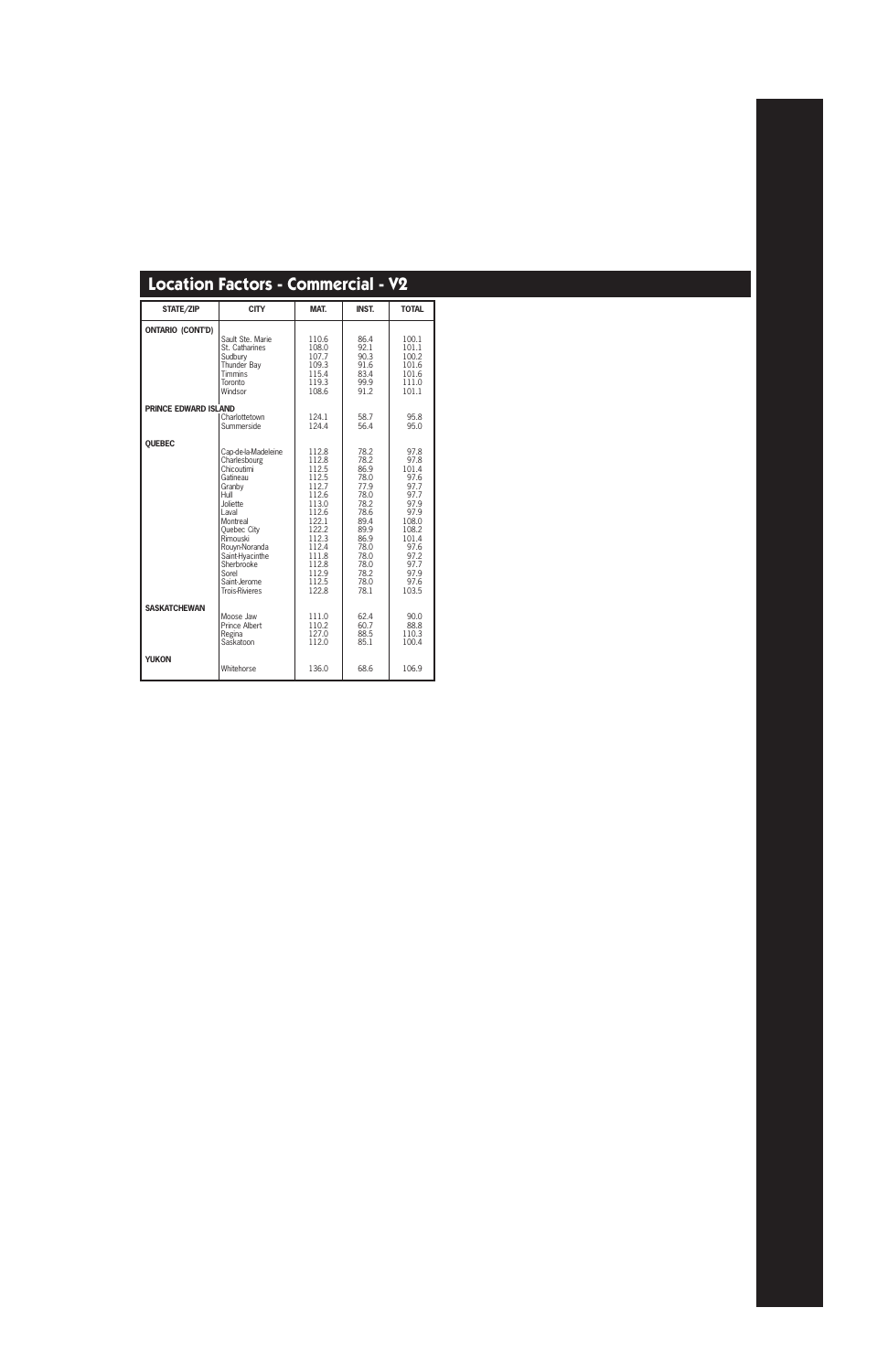| STATE/ZIP                   | <b>CITY</b>                                                                                                                                                                                                                                      | MAT.                                                                                                                                                  | <b>INST.</b>                                                                                                                         | <b>TOTAL</b>                                                                                                                              |
|-----------------------------|--------------------------------------------------------------------------------------------------------------------------------------------------------------------------------------------------------------------------------------------------|-------------------------------------------------------------------------------------------------------------------------------------------------------|--------------------------------------------------------------------------------------------------------------------------------------|-------------------------------------------------------------------------------------------------------------------------------------------|
| <b>ONTARIO (CONT'D)</b>     | Sault Ste. Marie<br>St. Catharines<br>Sudbury<br>Thunder Bay<br><b>Timmins</b><br>Toronto<br>Windsor                                                                                                                                             | 110.6<br>108.0<br>107.7<br>109.3<br>115.4<br>119.3<br>108.6                                                                                           | 86.4<br>92.1<br>90.3<br>91.6<br>83.4<br>99.9<br>91.2                                                                                 | 100.1<br>101.1<br>100.2<br>101.6<br>101.6<br>111.0<br>101.1                                                                               |
| <b>PRINCE EDWARD ISLAND</b> | Charlottetown                                                                                                                                                                                                                                    | 124.1                                                                                                                                                 | 58.7                                                                                                                                 | 95.8                                                                                                                                      |
|                             | Summerside                                                                                                                                                                                                                                       | 124.4                                                                                                                                                 | 56.4                                                                                                                                 | 95.0                                                                                                                                      |
| QUEBEC                      | Cap-de-la-Madeleine<br>Charlesbourg<br>Chicoutimi<br>Gatineau<br>Granby<br>Hull<br>Joliette<br>I aval<br>Montreal<br>Quebec City<br>Rimouski<br>Rouyn-Noranda<br>Saint-Hyacinthe<br>Sherbrooke<br>Sorel<br>Saint-Jerome<br><b>Trois-Rivieres</b> | 112.8<br>112.8<br>112.5<br>112.5<br>112.7<br>112.6<br>113.0<br>112.6<br>122.1<br>122.2<br>112.3<br>112.4<br>111.8<br>112.8<br>112.9<br>112.5<br>122.8 | 78.2<br>78.2<br>86.9<br>78.0<br>77.9<br>78.0<br>78.2<br>78.6<br>89.4<br>89.9<br>86.9<br>78.0<br>78.0<br>78.0<br>78.2<br>78.0<br>78.1 | 97.8<br>97.8<br>101.4<br>97.6<br>97.7<br>97.7<br>97.9<br>97.9<br>108.0<br>108.2<br>101.4<br>97.6<br>97.2<br>97.7<br>97.9<br>97.6<br>103.5 |
| <b>SASKATCHEWAN</b>         | Moose Jaw<br><b>Prince Albert</b><br>Regina<br>Saskatoon                                                                                                                                                                                         | 111.0<br>110.2<br>127.0<br>112.0                                                                                                                      | 62.4<br>60.7<br>88.5<br>85.1                                                                                                         | 90.0<br>88.8<br>110.3<br>100.4                                                                                                            |
| <b>YUKON</b>                | Whitehorse                                                                                                                                                                                                                                       | 136.0                                                                                                                                                 | 68.6                                                                                                                                 | 106.9                                                                                                                                     |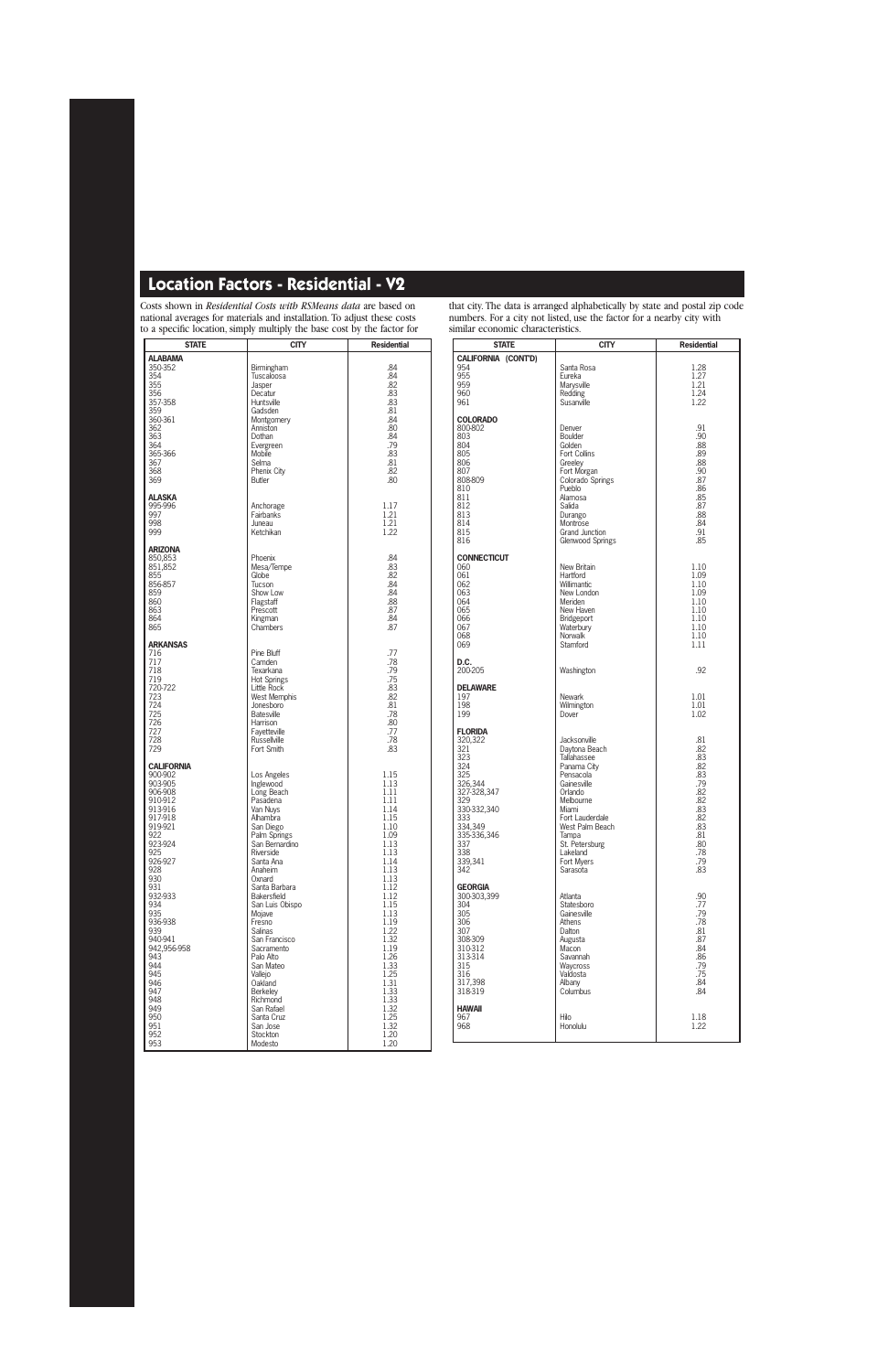Costs shown in *Residential Costs with RSMeans data* are based on national averages for materials and installation. To adjust these costs to a specific location, simply multiply the base cost by the factor for

| <b>STATE</b>      | CITY                              | <b>Residential</b> |
|-------------------|-----------------------------------|--------------------|
| <b>ALABAMA</b>    |                                   |                    |
| 350-352           | Birmingham                        | .84                |
| 354               | Tuscaloosa                        | .84                |
| 355               | Jasper                            | .82                |
| 356               | Decatur                           | .83                |
| 357-358           | Huntsville                        | .83                |
| 359               | Gadsden                           | .81                |
| 360-361           | Montgomery                        | .84                |
| 362<br>363        | Anniston<br>Dothan                | .80<br>.84         |
| 364               | Evergreen                         | .79                |
| 365-366           | <b>Mobile</b>                     | .83                |
| 367               | Selma                             | .81                |
| 368               | Phenix City                       | .82                |
| 369               | Butler                            | .80                |
|                   |                                   |                    |
| <b>ALASKA</b>     |                                   | 1.17               |
| 995-996<br>997    | Anchorage<br>Fairbanks            | 1.21               |
| 998               | Juneau                            | 1.21               |
| 999               | Ketchikan                         | 1.22               |
|                   |                                   |                    |
| <b>ARIZONA</b>    |                                   |                    |
| 850.853           | Phoenix                           | .84                |
| 851,852           | Mesa/Tempe                        | .83                |
| 855               | Globe                             | .82                |
| 856-857           | Tucson                            | .84                |
| 859<br>860        | Show Low<br>Flagstaff             | .84<br>.88         |
| 863               | Prescott                          | .87                |
| 864               | Kingman                           | .84                |
| 865               | Chambers                          | .87                |
|                   |                                   |                    |
| <b>ARKANSAS</b>   |                                   |                    |
| 716               | Pine Bluff                        | .77                |
| 717               | Camden                            | .78                |
| 718<br>719        | Texarkana                         | .79<br>.75         |
| 720-722           | <b>Hot Springs</b><br>Little Rock | .83                |
| 723               | <b>West Memphis</b>               | .82                |
| 724               | Jonesboro                         | .81                |
| 725               | <b>Batesville</b>                 | .78                |
| 726               | Harrison                          | .80                |
| 727               | Fayetteville                      | .77                |
| 728               | <b>Russellville</b>               | .78                |
| 729               | Fort Smith                        | .83                |
| <b>CALIFORNIA</b> |                                   |                    |
| 900-902           | Los Angeles                       | 1.15               |
| 903-905           | Inglewood                         | 1.13               |
| 906-908           | Long Beach                        | 1.11               |
| 910-912           | Pasadena                          | 1.11               |
| 913-916           | Van Nuys                          | 1.14               |
| 917-918           | Alhambra                          | 1.15               |
| 919-921<br>922    | San Diego<br>Palm Springs         | 1.10<br>1.09       |
| 923-924           | San Bernardino                    | 1.13               |
| 925               | Riverside                         | 1.13               |
| 926-927           | Santa Ana                         | 1.14               |
| 928               | Anaheim                           | 1.13               |
| 930               | Oxnard                            | 1.13               |
| 931               | Santa Barbara                     | 1.12               |
| 932-933           | Bakersfield                       | 1.12               |
| 934               | San Luis Obispo                   | 1.15               |
| 935<br>936-938    | Mojave<br>Fresno                  | 1.13<br>1.19       |
| 939               | <b>Salinas</b>                    | 1.22               |
| 940-941           | San Francisco                     | 1.32               |
| 942,956-958       | Sacramento                        | 1.19               |
| 943               | Palo Alto                         | 1.26               |
| 944               | San Mateo                         | 1.33               |
| 945               | Vallejo                           | 1.25               |
| 946               | Oakland                           | 1.31               |
| 947               | <b>Berkeley</b>                   | 1.33               |
| 948<br>949        | Richmond<br>San Rafael            | 1.33<br>1.32       |
| 950               | Santa Cruz                        | 1.25               |
| 951               | San Jose                          | 1.32               |
| 952               | Stockton                          | 1.20               |
| 953               | Modesto                           | 1.20               |
|                   |                                   |                    |

that city. The data is arranged alphabetically by state and postal zip code numbers. For a city not listed, use the factor for a nearby city with similar economic characteristics.

| <b>STATE</b>           | <b>CITY</b>                        | <b>Residential</b> |
|------------------------|------------------------------------|--------------------|
| CALIFORNIA (CONT'D)    |                                    |                    |
| 954                    | Santa Rosa                         | 1.28               |
| 955<br>959             | Eureka                             | 1.27<br>1.21       |
| 960                    | Marysville<br>Redding              | 1.24               |
| 961                    | Susanville                         | 1.22               |
| COLORADO               |                                    |                    |
| 800-802                | Denver                             | .91                |
| 803                    | Boulder                            | .90                |
| 804                    | Golden                             | .88                |
| 805<br>806             | Fort Collins<br>Greeley            | .89<br>.88         |
| 807                    | Fort Morgan                        | .90                |
| 808-809                | Colorado Springs                   | .87                |
| 810<br>811             | Pueblo<br>Alamosa                  | .86<br>.85         |
| 812                    | Salida                             | .87                |
| 813                    | Durango                            | .88                |
| 814<br>815             | Montrose<br><b>Grand Junction</b>  | .84<br>.91         |
| 816                    | Glenwood Springs                   | .85                |
|                        |                                    |                    |
| CONNECTICUT<br>060     | New Britain                        | 1.10               |
| 061                    | Hartford                           | 1.09               |
| 062                    | Willimantic                        | 1.10               |
| 063<br>064             | New London<br>Meriden              | 1.09<br>1.10       |
| 065                    | New Haven                          | 1.10               |
| 066                    | Bridgeport                         | 1.10               |
| 067<br>068             | Waterbury<br>Norwalk               | 1.10<br>1.10       |
| 069                    | Stamford                           | 1.11               |
| D.C.<br>200-205        | Washington                         | .92                |
|                        |                                    |                    |
| DELAWARE<br>197        | Newark                             | 1.01               |
| 198                    | Wilmington                         | 1.01               |
| 199                    | Dover                              | 1.02               |
| FLORIDA                |                                    |                    |
| 320,322                | Jacksonville                       | .81                |
| 321<br>323             | Daytona Beach<br>Tallahassee       | .82<br>.83         |
| 324                    | Panama City                        | .82                |
| 325                    | Pensacola                          | .83                |
| 326,344<br>327-328,347 | Gainesville<br>Orlando             | .79<br>.82         |
| 329                    | Melbourne                          | .82                |
| 330-332,340            | Miami                              | .83                |
| 333<br>334,349         | Fort Lauderdale<br>West Palm Beach | .82<br>.83         |
| 335-336,346            | lampa                              | .81                |
| 337                    | St. Petersburg                     | .80                |
| 338<br>339,341         | Lakeland<br>Fort Myers             | .78<br>.79         |
| 342                    | Sarasota                           | .83                |
| Georgia                |                                    |                    |
| 300-303,399            | Atlanta                            | .90                |
| 304                    | Statesboro                         | .77                |
| 305<br>306             | Gainesville<br>Athens              | .79<br>.78         |
| 307                    | Dalton                             | .81                |
| 308-309                | Augusta                            | .87                |
| 310-312                | Macon<br>Savannah                  | .84                |
| 313-314<br>315         | Waycross                           | .86<br>.79         |
| 316                    | Valdosta                           | .75                |
| 317,398<br>318-319     | Albany<br>Columbus                 | .84<br>.84         |
|                        |                                    |                    |
| Hawaii<br>967          | Hilo                               | 1.18               |
| 968                    | Honolulu                           | 1.22               |
|                        |                                    |                    |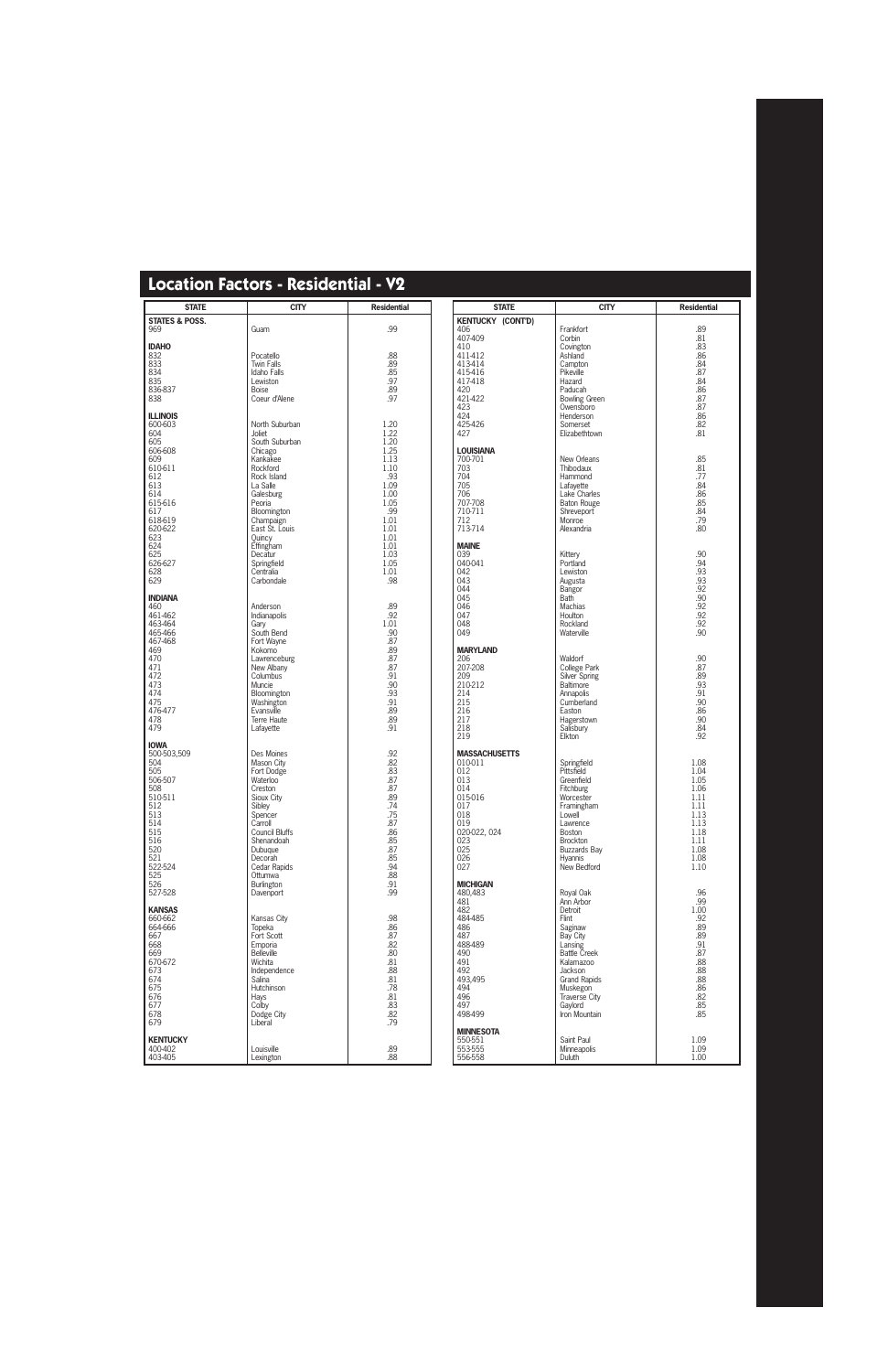| <b>STATE</b>              | <b>CITY</b>                   | <b>Residential</b> | <b>STATE</b>                | <b>CITY</b>                     | <b>Residential</b>                                 |
|---------------------------|-------------------------------|--------------------|-----------------------------|---------------------------------|----------------------------------------------------|
| <b>STATES &amp; POSS.</b> |                               |                    | <b>KENTUCKY (CONT'D)</b>    |                                 |                                                    |
| 969                       | Guam                          | .99                | 406                         | Frankfort                       | .89                                                |
| <b>IDAHO</b>              |                               |                    | 407-409<br>410              | Corbin<br>Covington             | .81<br>.83                                         |
| 832                       | Pocatello                     | .88                | 411-412                     | Ashland                         | .86                                                |
| $833$<br>$834$            | <b>Twin Falls</b>             | .89                | 413-414                     | Campton                         | .84                                                |
|                           | <b>Idaho Falls</b>            | .85                | 415-416                     | Pikeville                       | .87                                                |
| 835                       | Lewiston                      | .97                | 417-418                     | Hazard                          | .84                                                |
| 836-837<br>838            | <b>Boise</b><br>Coeur d'Alene | .89<br>.97         | 420<br>421-422              | Paducah<br><b>Bowling Green</b> | .86<br>.87                                         |
|                           |                               |                    | 423                         | Owensboro                       | .87                                                |
| <b>ILLINOIS</b>           |                               |                    | 424                         | Henderson                       | .86                                                |
| 600-603                   | North Suburban                | 1.20               | 425-426                     | Somerset                        | .82                                                |
| 604<br>605                | Joliet<br>South Suburban      | 1.22<br>1.20       | 427                         | Elizabethtown                   | .81                                                |
| 606-608                   | Chicago                       | 1.25               | <b>LOUISIANA</b>            |                                 |                                                    |
| 609                       | Kankakee                      | 1.13               | 700-701                     | New Orleans                     | .85                                                |
| 610-611                   | Rockford                      | 1.10               | 703                         | Thibodaux                       | .81                                                |
| 612<br>613                | Rock Island<br>La Salle       | .93<br>1.09        | 704<br>705                  | Hammond<br>Lafayette            | .77<br>.84                                         |
| 614                       | Galesburg                     | 1.00               | 706                         | Lake Charles                    | .86                                                |
| 615-616                   | Peoria                        | 1.05               | 707-708                     | <b>Baton Rouge</b>              | .85                                                |
| 617                       | Bloomington                   | .99                | 710-711                     | Shreveport                      | .84                                                |
| 618-619<br>620-622        | Champaign<br>East St. Louis   | 1.01<br>1.01       | 712<br>713-714              | Monroe<br>Alexandria            | .79<br>.80                                         |
| 623                       | Quincy                        | 1.01               |                             |                                 |                                                    |
| 624                       | Effingham                     | 1.01               | <b>MAINE</b>                |                                 |                                                    |
| 625                       | Decatur                       | 1.03               | 039                         | Kittery                         | .90                                                |
| 626-627<br>628            | Springfield<br>Centralia      | 1.05<br>1.01       | 040-041<br>042              | Portland<br>Lewiston            | .94                                                |
| 629                       | Carbondale                    | .98                | 043                         | Augusta                         | $.93$<br>$.93$<br>$.92$<br>$.92$<br>$.92$<br>$.92$ |
|                           |                               |                    | 044                         | Bangor                          |                                                    |
| <b>INDIANA</b>            |                               |                    | 045                         | <b>Bath</b>                     |                                                    |
| 460<br>461-462            | Anderson<br>Indianapolis      | .89<br>.92         | 046<br>047                  | Machias<br>Houlton              |                                                    |
| 463-464                   | Gary                          | 1.01               | 048                         | Rockland                        |                                                    |
| 465-466                   | South Bend                    | .90                | 049                         | Waterville                      | .90                                                |
| 467-468                   | Fort Wayne                    | .87                |                             |                                 |                                                    |
| 469<br>470                | Kokomo<br>Lawrenceburg        | .89<br>.87         | <b>MARYLAND</b><br>206      | Waldorf                         |                                                    |
| 471                       | New Albany                    | .87                | 207-208                     | College Park                    | .90<br>.87                                         |
| 472                       | Columbus                      | .91                | 209                         | Silver Spring                   | .89                                                |
| 473<br>474                | Muncie                        | .90<br>.93         | 210-212                     | Baltimore                       | .93<br>.91                                         |
| 475                       | Bloomington<br>Washington     |                    | 214<br>215                  | Annapolis<br>Cumberland         |                                                    |
| 476-477                   | Evansville                    | $^{.91}_{.89}$     | 216                         | Easton                          | $.90$<br>.86                                       |
| 478                       | Terre Haute                   | .89                | 217                         | Hagerstown                      | .90                                                |
| 479                       | Lafayette                     | .91                | 218<br>219                  | Salisbury<br>Elkton             | .84<br>.92                                         |
| <b>IOWA</b>               |                               |                    |                             |                                 |                                                    |
| 500-503,509               | Des Moines                    | $.92$<br>.82       | <b>MASSACHUSETTS</b>        |                                 |                                                    |
| 504                       | Mason City                    |                    | 010-011                     | Springfield                     | 1.08                                               |
| 505<br>506-507            | Fort Dodge<br>Waterloo        | .83<br>.87         | 012<br>013                  | Pittsfield<br>Greenfield        | 1.04<br>1.05                                       |
| 508                       | Creston                       | .87                | 014                         | Fitchburg                       | 1.06                                               |
| 510-511                   | Sioux City                    | .89                | 015-016                     | Worcester                       | 1.11                                               |
| 512                       | Sibley                        | .74                | 017                         | Framingham                      | 1.11                                               |
| 513<br>514                | Spencer<br>Carroll            | .75<br>.87         | 018<br>019                  | Lowell<br>Lawrence              | 1.13<br>1.13                                       |
| 515                       | <b>Council Bluffs</b>         | .86                | 020-022, 024                | Boston                          | 1.18                                               |
| 516                       | Shenandoah                    | .85                | 023                         | Brockton                        | 1.11                                               |
| 520                       | Dubuque                       | .87<br>.85         | 025<br>026                  | <b>Buzzards Bay</b>             | 1.08                                               |
| 521<br>522-524            | Decorah<br>Cedar Rapids       | .94                | 027                         | <b>Hvannis</b><br>New Bedford   | 1.08<br>1.10                                       |
| 525                       | Ottumwa                       | .88                |                             |                                 |                                                    |
| 526                       | Burlington                    | .91                | <b>MICHIGAN</b>             |                                 |                                                    |
| 527-528                   | Davenport                     | .99                | 480,483                     | Royal Oak                       | .96                                                |
| <b>KANSAS</b>             |                               |                    | 481<br>482                  | Ann Arbor<br>Detroit            | .99<br>1.00                                        |
| 660-662                   | Kansas City                   | .98                | 484-485                     | Flint                           | .92                                                |
| 664-666                   | Topeka                        | .86                | 486                         | Saginaw                         | .89                                                |
| 667                       | Fort Scott                    | .87                | 487                         | Bay City                        | .89                                                |
| 668<br>669                | Emporia<br><b>Belleville</b>  | .82<br>.80         | 488-489<br>490              | Lansing<br><b>Battle Creek</b>  | .91<br>.87                                         |
| 670-672                   | Wichita                       | .81                | 491                         | Kalamazoo                       | .88                                                |
| 673                       | Independence                  | .88                | 492                         | Jackson                         |                                                    |
| 674                       | Salina                        | $.81\,$            | 493,495                     | <b>Grand Rapids</b>             |                                                    |
| 675<br>676                | Hutchinson<br>Hays            | .78<br>$.81\,$     | 494<br>496                  | Muskegon<br>Traverse City       | $.88$<br>$.88$<br>$.86$<br>$.82$                   |
| 677                       | Colby                         | .83                | 497                         | Gaylord                         | .85                                                |
| 678                       | Dodge City                    | .82                | 498-499                     | Iron Mountain                   | .85                                                |
| 679                       | Liberal                       | .79                |                             |                                 |                                                    |
| <b>KENTUCKY</b>           |                               |                    | <b>MINNESOTA</b><br>550-551 | Saint Paul                      | 1.09                                               |
| 400-402                   | Louisville                    |                    | 553-555                     | Minneapolis                     | 1.09                                               |
| 403-405                   | Lexington                     | .89.88             | 556-558                     | Duluth                          | 1.00                                               |
|                           |                               |                    |                             |                                 |                                                    |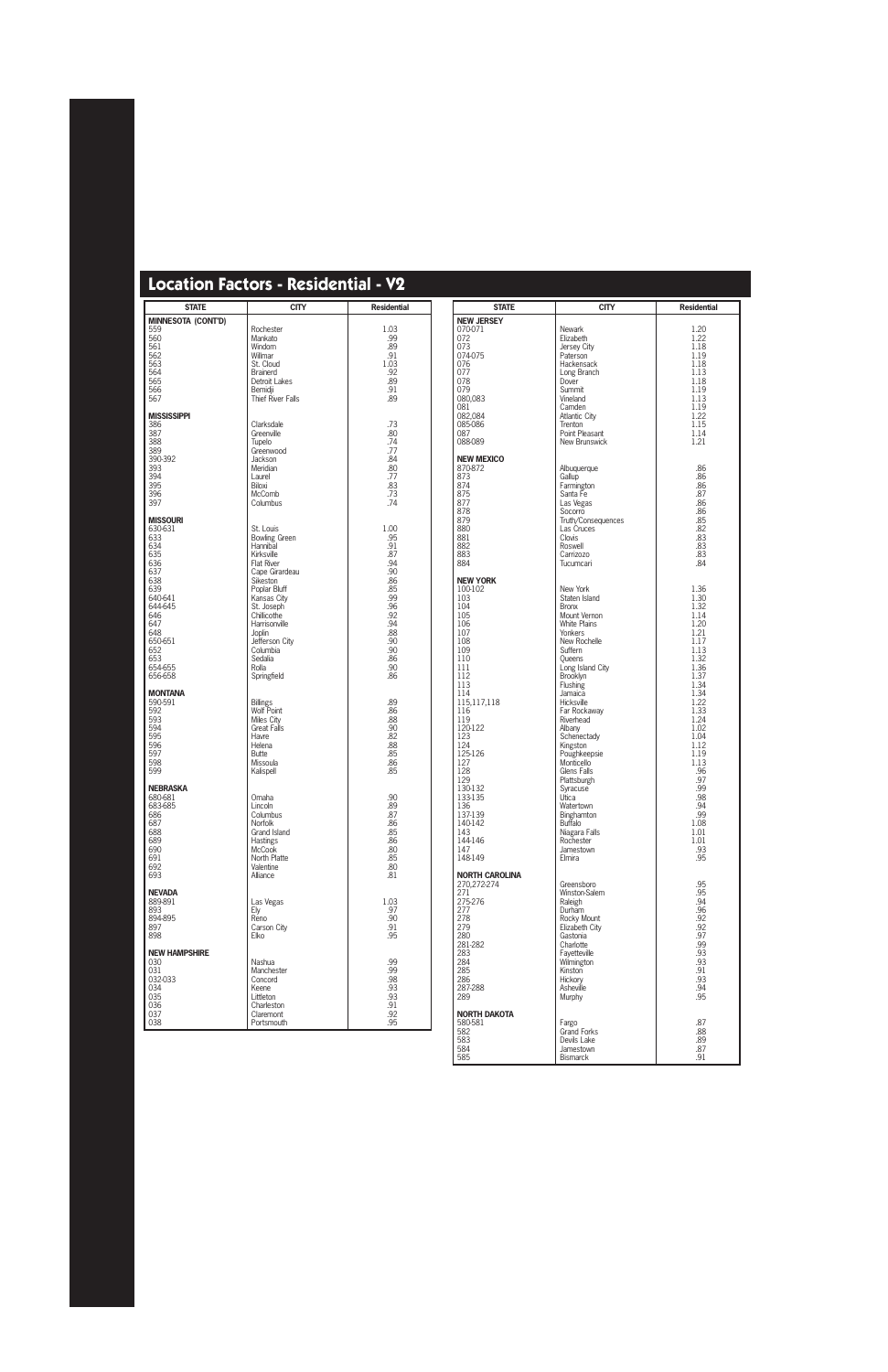| <b>STATE</b>                                                                                                                                                          | <b>CITY</b>                                                                                                                                                                                                                                                            | <b>Residential</b>                                                                                                          |
|-----------------------------------------------------------------------------------------------------------------------------------------------------------------------|------------------------------------------------------------------------------------------------------------------------------------------------------------------------------------------------------------------------------------------------------------------------|-----------------------------------------------------------------------------------------------------------------------------|
| <b>MINNESOTA (CONT'D)</b><br>559<br>560<br>561<br>562<br>563<br>564<br>565<br>566<br>567                                                                              | Rochester<br>Mankato<br>Windom<br>Willmar<br>St. Cloud<br><b>Brainerd</b><br><b>Detroit Lakes</b><br>Bemidji<br><b>Thief River Falls</b>                                                                                                                               | 1.03<br>.99<br>.89<br>.91<br>1.03<br>.92<br>.89<br>.91<br>.89                                                               |
| <b>MISSISSIPPI</b><br>386<br>387<br>388<br>389<br>390-392<br>393<br>394<br>395<br>396<br>397                                                                          | Clarksdale<br>Greenville<br>Tupelo<br>Greenwood<br>Jackson<br>Meridian<br>Laurel<br>Biloxi<br><b>McComb</b><br>Columbus                                                                                                                                                | .73<br>.80<br>.74<br>.77<br>.84<br>.80<br>.77<br>.83<br>.73<br>.74                                                          |
| <b>MISSOURI</b><br>630-631<br>633<br>634<br>635<br>636<br>637<br>638<br>639<br>640-641<br>644-645<br>646<br>647<br>648<br>650-651<br>652<br>653<br>654-655<br>656-658 | St. Louis<br><b>Bowling Green</b><br>Hannibal<br>Kirksville<br><b>Flat River</b><br>Cape Girardeau<br>Sikeston<br>Poplar Bluff<br>Kansas City<br>St. Joseph<br>Chillicothe<br>Harrisonville<br>Joplin<br>Jefferson City<br>Columbia<br>Sedalia<br>Rolla<br>Springfield | 1.00<br>.95<br>.91<br>.87<br>.94<br>.90<br>.86<br>.85<br>.99<br>.96<br>.92<br>.94<br>.88<br>.90<br>.90<br>.86<br>.90<br>.86 |
| <b>MONTANA</b><br>590-591<br>592<br>593<br>594<br>595<br>596<br>597<br>598<br>599                                                                                     | <b>Billings</b><br><b>Wolf Point</b><br>Miles City<br><b>Great Falls</b><br><b>Havre</b><br>Helena<br><b>Butte</b><br>Missoula<br>Kalispell                                                                                                                            | .89<br>.86<br>.88<br>.90<br>.82<br>.88<br>.85<br>.86<br>.85                                                                 |
| <b>NEBRASKA</b><br>680-681<br>683-685<br>686<br>687<br>688<br>689<br>690<br>691<br>692<br>693                                                                         | Omaha<br>Lincoln<br>Columbus<br>Norfolk<br>Grand Island<br><b>Hastings</b><br><b>McCook</b><br>North Platte<br>Valentine<br>Alliance                                                                                                                                   | .90<br>.89<br>.87<br>.86<br>.85<br>.86<br>.80<br>.85<br>.80<br>.81                                                          |
| <b>NEVADA</b><br>889-891<br>893<br>894-895<br>897<br>898                                                                                                              | Las Vegas<br>Ely<br>Reno<br>Carson City<br>Elko                                                                                                                                                                                                                        | 1.03<br>.97<br>.90<br>.91<br>.95                                                                                            |
| <b>NEW HAMPSHIRE</b><br>030<br>031<br>032-033<br>034<br>035<br>036<br>037<br>038                                                                                      | Nashua<br>Manchester<br>Concord<br>Keene<br>Littleton<br>Charleston<br>Claremont<br>Portsmouth                                                                                                                                                                         | .99<br>.99<br>.98<br>.93<br>.93<br>.91<br>.92<br>.95                                                                        |

| <b>STATE</b>       | <b>CITY</b>                       | <b>Residential</b> |
|--------------------|-----------------------------------|--------------------|
| <b>NEW JERSEY</b>  |                                   |                    |
| 070-071            | Newark                            | 1.20               |
| 072<br>073         | Elizabeth<br>Jersey City          | 1.22<br>1.18       |
| 074-075            | Paterson                          | 1.19               |
| 076                | Hackensack                        | 1.18               |
| 077                | Long Branch                       | 1.13               |
| 078<br>079         | Dover<br>Summit                   | 1.18<br>1.19       |
| 080,083            | Vineland                          | 1.13               |
| 081                | Camden                            | 1.19               |
| 082,084<br>085-086 | <b>Atlantic City</b><br>Trenton   | 1.22<br>1.15       |
| 087                | Point Pleasant                    | 1.14               |
| 088-089            | New Brunswick                     | 1.21               |
| NEW MEXICO         |                                   |                    |
| 870-872<br>873     | Albuquerque<br>Gallup             | .86<br>.86         |
| 874                | Farmington                        | .86                |
| 875                | Santa Fe                          | .87                |
| 877                | Las Vegas                         | .86<br>.86         |
| 878<br>879         | Socorro<br>Truth/Consequences     | .85                |
| 880                | Las Cruces                        | .82                |
| 881                | Clovis                            | .83                |
| 882                | Roswell                           | .83<br>.83         |
| 883<br>884         | Carrizozo<br>Tucumcari            | .84                |
| <b>NEW YORK</b>    |                                   |                    |
| 100-102            | New York                          | 1.36               |
| 103                | Staten Island                     | 1.30               |
| 104<br>105         | <b>Bronx</b><br>Mount Vernon      | 1.32<br>1.14       |
| 106                | <b>White Plains</b>               | 1.20               |
| 107                | Yonkers                           | 1.21               |
| 108                | New Rochelle                      | 1.17               |
| 109<br>110         | Suffern<br>Queens                 | 1.13<br>1.32       |
| 111                | Long Island City                  | 1.36               |
| 112                | Brooklyn                          | 1.37               |
| 113<br>114         | Flushing<br>Jamaica               | 1.34<br>1.34       |
| 115,117,118        | Hicksville                        | 1.22               |
| 116                | Far Rockaway                      | 1.33               |
| 119                | Riverhead                         | 1.24               |
| 120-122<br>123     | Albany<br>Schenectady             | 1.02<br>1.04       |
| 124                | Kingston                          | 1.12               |
| 125-126            | Poughkeepsie                      | 1.19               |
| 127<br>128         | Monticello<br>Glens Falls         | 1.13<br>.96        |
| 129                | Plattsburgh                       | .97                |
| 130-132            | Syracuse                          | .99                |
| 133-135            | Utica                             | .98                |
| 136<br>137-139     | Watertown<br>Binghamton           | .94<br>.99         |
| 140-142            | <b>Buffalo</b>                    | 1.08               |
| 143                | Niagara Falls                     | 1.01               |
| 144-146<br>147     | Rochester<br>Jamestown            | 1.01<br>.93        |
| 148-149            | Elmira                            | .95                |
| NORTH CAROLINA     |                                   |                    |
| 270.272-274        | Greensboro                        | .95                |
| 271<br>275-276     | Winston-Salem<br>Raleigh          | .95<br>.94         |
| 277                | Durham                            | .96                |
| 278                | Rocky Mount                       | .92                |
| 279                | Elizabeth City                    | .92                |
| 280<br>281-282     | Gastonia<br>Charlotte             | .97<br>.99         |
| 283                | Fayetteville                      | .93                |
| 284                | Wilmington                        | .93                |
| 285                | Kinston                           | .91                |
| 286<br>287-288     | Hickory<br>Asheville              | .93<br>.94         |
| 289                | Murphy                            | .95                |
| NORTH DAKOTA       |                                   |                    |
| 580-581            | Fargo                             | .87                |
| 582<br>583         | <b>Grand Forks</b><br>Devils Lake | .88<br>.89         |
| 584                | Jamestown                         | .87                |
| 585                | <b>Bismarck</b>                   | .91                |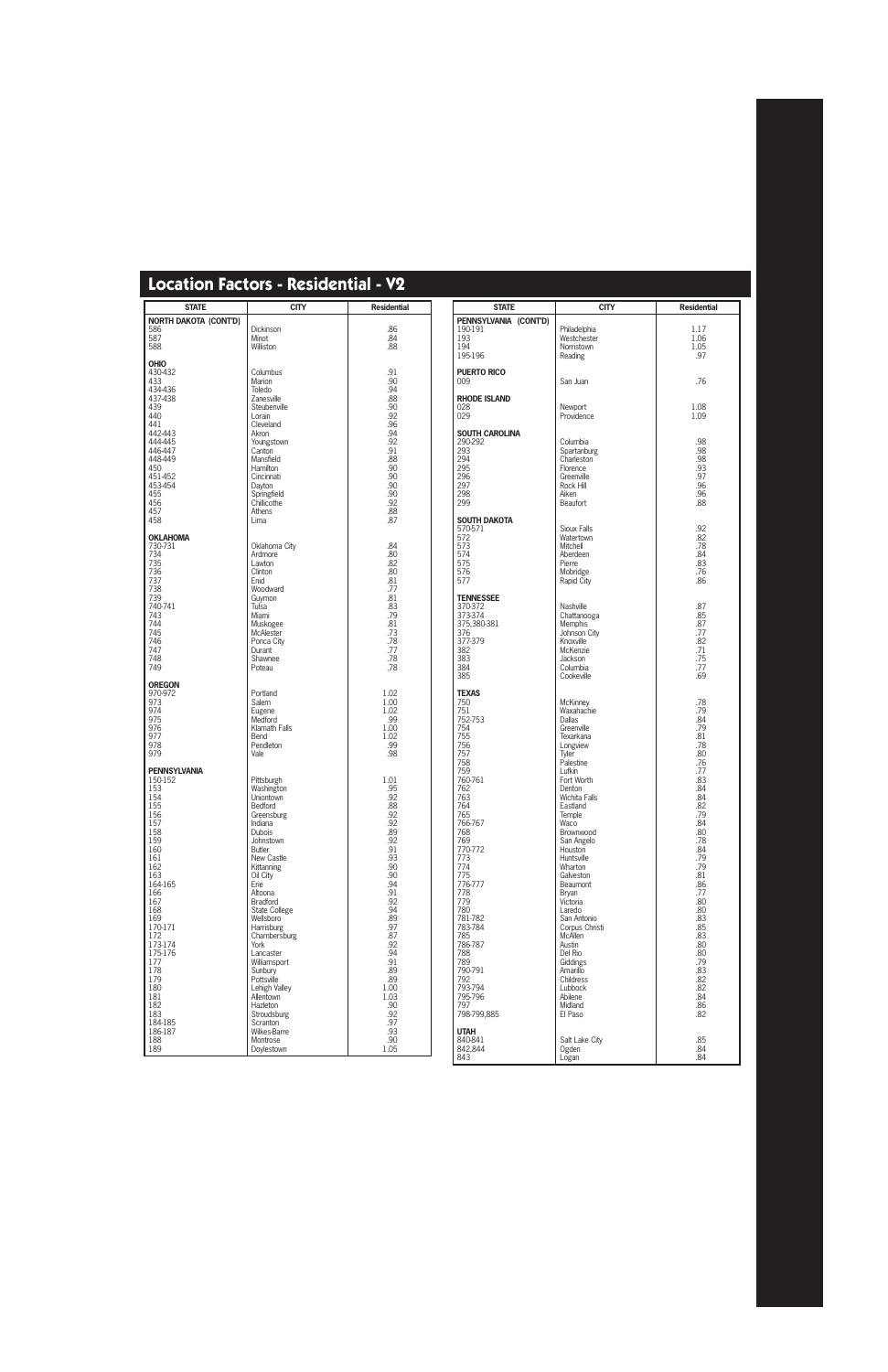| <b>STATE</b>                                                                                                                                                                                                                                                                    | <b>CITY</b>                                                                                                                                                                                                                                                                                                                                                                                                                                     | <b>Residential</b>                                                                                                                                                                                                               |
|---------------------------------------------------------------------------------------------------------------------------------------------------------------------------------------------------------------------------------------------------------------------------------|-------------------------------------------------------------------------------------------------------------------------------------------------------------------------------------------------------------------------------------------------------------------------------------------------------------------------------------------------------------------------------------------------------------------------------------------------|----------------------------------------------------------------------------------------------------------------------------------------------------------------------------------------------------------------------------------|
| <b>NORTH DAKOTA (CONT'D)</b><br>586<br>587<br>588                                                                                                                                                                                                                               | Dickinson<br>Minot<br>Williston                                                                                                                                                                                                                                                                                                                                                                                                                 | .86<br>.84<br>.88                                                                                                                                                                                                                |
| <b>OHIO</b><br>430-432<br>433<br>434-436<br>437-438<br>439<br>440<br>441<br>442-443<br>444-445<br>446-447<br>448-449<br>450<br>451-452<br>453-454<br>455<br>456<br>457<br>458                                                                                                   | Columbus<br>Marion<br>Toledo<br>Zanesville<br>Steubenville<br>Lorain<br>Cleveland<br>Akron<br>Youngstown<br>Canton<br>Mansfield<br>Hamilton<br>Cincinnati<br>Dayton<br>Springfield<br>Chillicothe<br>Athens<br>Lima                                                                                                                                                                                                                             | .91<br>.90<br>.94<br>.88<br>.90<br>.92<br>.96<br>.94<br>.92<br>.91<br>.88<br>.90<br>.90<br>.90<br>.90<br>.92<br>.88<br>.87                                                                                                       |
| <b>OKLAHOMA</b><br>730-731<br>734<br>735<br>736<br>737<br>738<br>739<br>740-741<br>743<br>744<br>745<br>746<br>747<br>748<br>749                                                                                                                                                | Oklahoma City<br>Ardmore<br>Lawton<br>Clinton<br>Enid<br>Woodward<br>Guymon<br>Tulsa<br>Miami<br>Muskogee<br><b>McAlester</b><br>Ponca City<br>Durant<br>Shawnee<br>Poteau                                                                                                                                                                                                                                                                      | .84<br>.80<br>.82<br>.80<br>.81<br>.77<br>.81<br>.83<br>.79<br>.81<br>.73<br>.78<br>.77<br>.78<br>.78                                                                                                                            |
| <b>OREGON</b><br>970-972<br>973<br>974<br>975<br>976<br>977<br>978<br>979                                                                                                                                                                                                       | Portland<br><b>Salem</b><br>Eugene<br>Medford<br>Klamath Falls<br>Bend<br>Pendleton<br>Vale                                                                                                                                                                                                                                                                                                                                                     | 1.02<br>1.00<br>1.02<br>.99<br>1.00<br>1.02<br>.99<br>.98                                                                                                                                                                        |
| <b>PENNSYLVANIA</b><br>150-152<br>153<br>154<br>155<br>156<br>157<br>158<br>159<br>160<br>161<br>162<br>163<br>164-165<br>166<br>167<br>168<br>169<br>170-171<br>172<br>173-174<br>175-176<br>177<br>178<br>179<br>180<br>181<br>182<br>183<br>184-185<br>186-187<br>188<br>189 | Pittsburgh<br>Washington<br>Uniontown<br>Bedford<br>Greensburg<br>Indiana<br><b>Dubois</b><br>Johnstown<br><b>Butler</b><br>New Castle<br>Kittanning<br>Oil City<br>Erie<br>Altoona<br>Bradford<br><b>State College</b><br>Wellsboro<br>Harrisburg<br>Chambersburg<br>York<br>Lancaster<br>Williamsport<br>Sunbury<br>Pottsville<br>Lehigh Valley<br>Allentown<br>Hazleton<br>Stroudsburg<br>Scranton<br>Wilkes-Barre<br>Montrose<br>Doylestown | 1.01<br>.95<br>.92<br>.88<br>.92<br>.92<br>.89<br>.92<br>.91<br>.93<br>.90<br>.90<br>.94<br>.91<br>.92<br>.94<br>.89<br>.97<br>.87<br>.92<br>.94<br>.91<br>.89<br>.89<br>1.00<br>1.03<br>.90<br>.92<br>.97<br>.93<br>.90<br>1.05 |

| <b>STATE</b>              | <b>CITY</b>                    | <b>Residential</b> |
|---------------------------|--------------------------------|--------------------|
| PENNSYLVANIA (CONT'D)     |                                |                    |
| 190-191                   | Philadelphia                   | 1.17               |
| 193<br>194                | Westchester<br>Norristown      | 1.06<br>1.05       |
| 195-196                   | Reading                        | .97                |
| <b>PUERTO RICO</b>        |                                |                    |
| 009                       | San Juan                       | .76                |
|                           |                                |                    |
| RHODE ISLAND<br>028       |                                |                    |
| 029                       | Newport<br>Providence          | 1.08<br>1.09       |
|                           |                                |                    |
| SOUTH CAROLINA<br>290-292 | Columbia                       | .98                |
| 293                       | Spartanburg                    | .98                |
| 294                       | Charleston                     | .98                |
| 295                       | Florence                       | .93                |
| 296<br>297                | Greenville<br>Rock Hill        | .97<br>.96         |
| 298                       | Aiken                          | .96                |
| 299                       | <b>Beaufort</b>                | .88                |
| SOUTH DAKOTA              |                                |                    |
| 570-571                   | Sioux Falls                    | .92                |
| 572                       | Watertown                      | .82                |
| 573<br>574                | Mitchell<br>Aberdeen           | .78<br>.84         |
| 575                       | Pierre                         | .83                |
| 576                       | Mobridge                       | .76                |
| 577                       | Rapid City                     | .86                |
| <b>TENNESSEE</b>          |                                |                    |
| 370-372                   | Nashville                      | .87                |
| 373-374                   | Chattanooga                    | .85<br>.87         |
| 375,380-381<br>376        | <b>Memphis</b><br>Johnson City | .77                |
| 377-379                   | Knoxville                      | .82                |
| 382                       | McKenzie                       | .71                |
| 383<br>384                | Jackson<br>Columbia            | .75<br>.77         |
| 385                       | Cookeville                     | .69                |
|                           |                                |                    |
| <b>TEXAS</b><br>750       | <b>McKinney</b>                | .78                |
| 751                       | Waxahachie                     | .79                |
| 752-753                   | Dallas                         | .84                |
| 754<br>755                | Greenville<br>Texarkana        | .79<br>.81         |
| 756                       | Longview                       | .78                |
| 757                       | Tyler                          | .80                |
| 758<br>759                | Palestine<br>Lufkin            | .76<br>.77         |
| 760-761                   | Fort Worth                     | .83                |
| 762                       | Denton                         | .84                |
| 763<br>764                | Wichita Falls<br>Eastland      | .84<br>.82         |
| 765                       | Temple                         | .79                |
| 766-767                   | Waco                           | .84                |
| 768<br>769                | Brownwood<br>San Angelo        | .80<br>.78         |
| 770-772                   | Houston                        | .84                |
| 773                       | Huntsville                     | .79                |
| 774                       | Wharton                        | .79                |
| 775<br>776-777            | Galveston<br>Beaumont          | .81<br>.86         |
| 778                       | <b>Bryan</b>                   | .77                |
| 779                       | Victoria                       | .80                |
| 780<br>781-782            | Laredo<br>San Antonio          | .80<br>.83         |
| 783-784                   | Corpus Christi                 | .85                |
| 785                       | <b>McAllen</b>                 | .83                |
| 786-787<br>788            | Austin<br>Del Rio              | .80<br>.80         |
| 789                       | Giddings                       | .79                |
| 790-791                   | Amarillo                       | .83                |
| 792<br>793-794            | Childress<br>Lubbock           | .82<br>.82         |
| 795-796                   | Abilene                        | .84                |
| 797                       | Midland                        | .86                |
| 798-799,885               | El Paso                        | .82                |
| UTAH                      |                                |                    |
| 840-841                   | Salt Lake City                 | .85                |
| 842,844<br>843            | Ogden<br>Logan                 | .84<br>.84         |
|                           |                                |                    |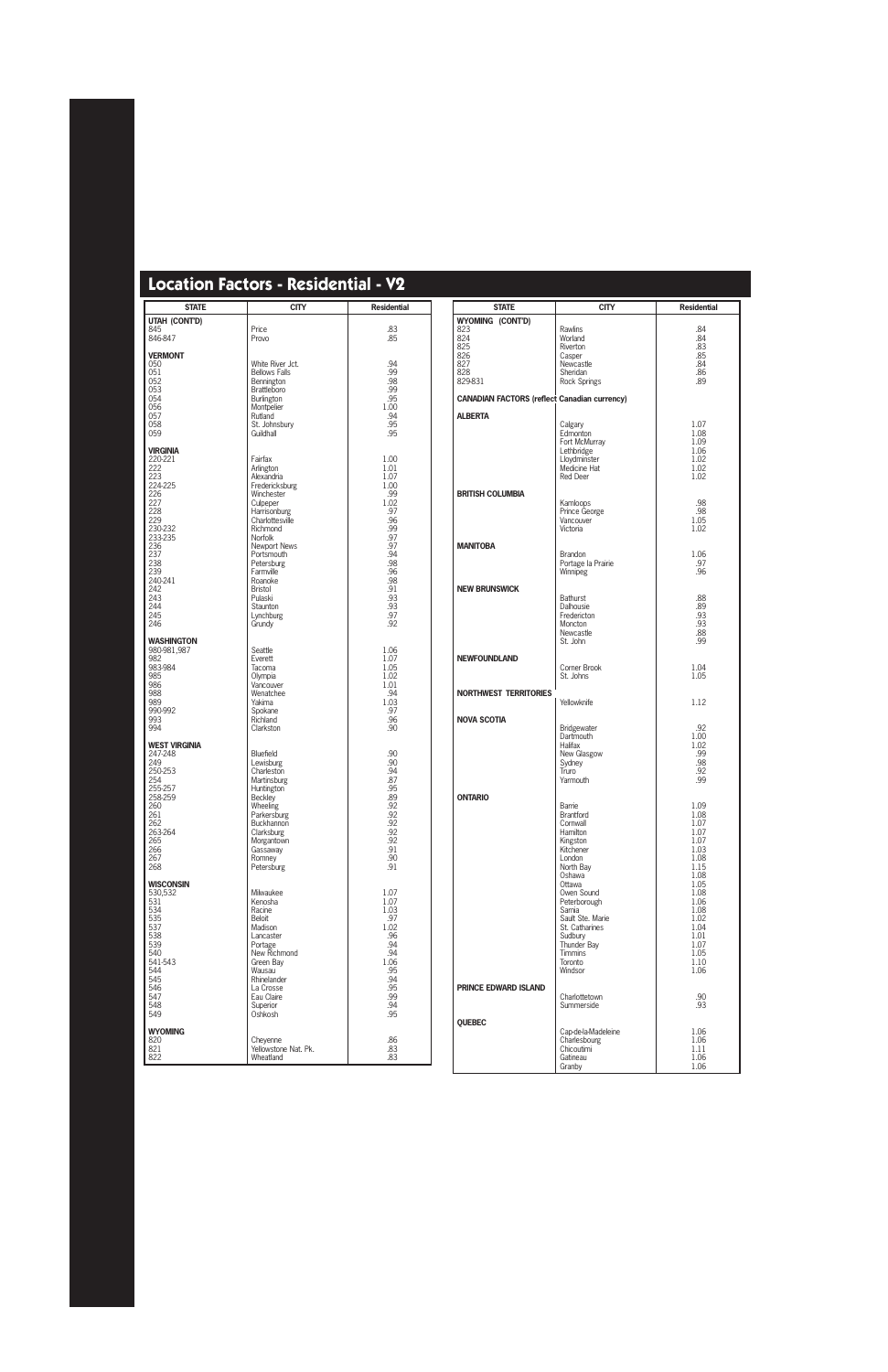| <b>STATE</b>                                                                                                                                                 | <b>CITY</b>                                                                                                                                                                                                                                                                  | <b>Residential</b>                                                                                                                            |
|--------------------------------------------------------------------------------------------------------------------------------------------------------------|------------------------------------------------------------------------------------------------------------------------------------------------------------------------------------------------------------------------------------------------------------------------------|-----------------------------------------------------------------------------------------------------------------------------------------------|
| UTAH (CONT'D)<br>845<br>846-847                                                                                                                              | Price<br>Provo                                                                                                                                                                                                                                                               | .83<br>.85                                                                                                                                    |
|                                                                                                                                                              |                                                                                                                                                                                                                                                                              |                                                                                                                                               |
| <b>VERMONT</b><br>050<br>051<br>052<br>053<br>054<br>056<br>057<br>058<br>059                                                                                | White River Jct.<br><b>Bellows Falls</b><br>Bennington<br><b>Brattleboro</b><br>Burlington<br>Montpelier<br>Rutland<br>St. Johnsbury<br>Guildhall                                                                                                                            | .94<br>.99<br>.98<br>.99<br>.95<br>1.00<br>.94<br>.95<br>.95                                                                                  |
| <b>VIRGINIA</b>                                                                                                                                              |                                                                                                                                                                                                                                                                              |                                                                                                                                               |
| 220-221<br>222<br>223<br>224-225<br>226<br>227<br>228<br>229<br>230-232<br>233-235<br>236<br>237<br>238<br>239<br>240-241<br>242<br>243<br>244<br>245<br>246 | Fairfax<br>Arlington<br>Alexandria<br>Fredericksburg<br>Winchester<br>Culpeper<br>Harrisonburg<br>Charlottesville<br>Richmond<br>Norfolk<br><b>Newport News</b><br>Portsmouth<br>Petersburg<br>Farmville<br>Roanoke<br>Bristol<br>Pulaski<br>Staunton<br>Lynchburg<br>Grundy | 1.00<br>1.01<br>1.07<br>1.00<br>.99<br>1.02<br>.97<br>.96<br>.99<br>.97<br>.97<br>.94<br>.98<br>.96<br>.98<br>.91<br>.93<br>.93<br>.97<br>.92 |
| <b>WASHINGTON</b><br>980-981,987<br>982<br>983-984<br>985<br>986<br>988<br>989<br>990-992<br>993<br>994                                                      | Seattle<br>Everett<br>Tacoma<br>Olympia<br>Vancouver<br>Wenatchee<br>Yakima<br>Spokane<br>Richland<br>Clarkston                                                                                                                                                              | 1.06<br>1.07<br>1.05<br>1.02<br>1.01<br>.94<br>1.03<br>.97<br>.96<br>.90                                                                      |
| <b>WEST VIRGINIA</b>                                                                                                                                         |                                                                                                                                                                                                                                                                              |                                                                                                                                               |
| 247-248<br>249<br>250-253<br>254<br>255-257<br>258-259<br>260<br>261<br>262<br>263-264<br>265<br>266<br>267<br>268                                           | Bluefield<br>Lewisburg<br>Charleston<br><b>Martinsburg</b><br>Huntington<br><b>Beckley</b><br>Wheeling<br>Parkersburg<br>Buckhannon<br>Clarksburg<br>Morgantown<br>Gassaway<br>Romney<br>Petersburg                                                                          | .90<br>.90<br>.94<br>.87<br>.95<br>.89<br>.92<br>.92<br>.92<br>.92<br>.92<br>.91<br>.90<br>.91                                                |
| <b>WISCONSIN</b><br>530,532                                                                                                                                  | Milwaukee                                                                                                                                                                                                                                                                    | 1.07                                                                                                                                          |
| 531<br>534<br>535<br>537<br>538<br>539<br>540<br>541-543<br>544<br>545<br>546<br>547<br>548<br>549                                                           | Kenosha<br>Racine<br>Beloit<br>Madison<br>Lancaster<br>Portage<br>New Richmond<br>Green Bay<br>Wausau<br>Rhinelander<br>La Crosse<br>Eau Claire<br>Superior<br>Oshkosh                                                                                                       | 1.07<br>1.03<br>.97<br>1.02<br>.96<br>.94<br>.94<br>1.06<br>.95<br>.94<br>.95<br>.99<br>.94<br>.95                                            |
| <b>WYOMING</b>                                                                                                                                               |                                                                                                                                                                                                                                                                              |                                                                                                                                               |
| 820<br>821<br>822                                                                                                                                            | Cheyenne<br>Yellowstone Nat. Pk.<br>Wheatland                                                                                                                                                                                                                                | .86<br>.83<br>.83                                                                                                                             |

| <b>STATE</b>                                        | <b>CITY</b>                                                                                                                                                                                                                                                            | <b>Residential</b>                                                                                                                                           |
|-----------------------------------------------------|------------------------------------------------------------------------------------------------------------------------------------------------------------------------------------------------------------------------------------------------------------------------|--------------------------------------------------------------------------------------------------------------------------------------------------------------|
| WYOMING (CONT'D)                                    |                                                                                                                                                                                                                                                                        |                                                                                                                                                              |
| 823<br>824<br>825<br>826<br>827<br>828<br>829-831   | Rawlins<br>Worland<br>Riverton<br>Casper<br>Newcastle<br>Sheridan<br>Rock Springs                                                                                                                                                                                      | .84<br>.84<br>.83<br>.85<br>.84<br>.86<br>.89                                                                                                                |
| <b>CANADIAN FACTORS (reflect Canadian currency)</b> |                                                                                                                                                                                                                                                                        |                                                                                                                                                              |
| <b>ALBERTA</b>                                      |                                                                                                                                                                                                                                                                        |                                                                                                                                                              |
|                                                     | Calgary<br>Edmonton<br>Fort McMurray<br>Lethbridge<br>Lloydminster<br>Medicine Hat<br>Red Deer                                                                                                                                                                         | 1.07<br>1.08<br>1.09<br>1.06<br>1.02<br>1.02<br>1.02                                                                                                         |
| <b>BRITISH COLUMBIA</b>                             | Kamloops<br>Prince George<br>Vancouver<br>Victoria                                                                                                                                                                                                                     | .98<br>.98<br>1.05<br>1.02                                                                                                                                   |
| <b>MANITOBA</b>                                     | <b>Brandon</b><br>Portage la Prairie<br>Winnipeg                                                                                                                                                                                                                       | 1.06<br>.97<br>.96                                                                                                                                           |
| <b>NEW BRUNSWICK</b>                                | <b>Bathurst</b><br>Dalhousie<br>Fredericton<br>Moncton<br>Newcastle<br>St. John                                                                                                                                                                                        | .88<br>.89<br>.93<br>.93<br>.88<br>.99                                                                                                                       |
| <b>NEWFOUNDLAND</b>                                 | Corner Brook<br>St. Johns                                                                                                                                                                                                                                              | 1.04<br>1.05                                                                                                                                                 |
| <b>NORTHWEST TERRITORIES</b>                        | Yellowknife                                                                                                                                                                                                                                                            | 1.12                                                                                                                                                         |
| <b>NOVA SCOTIA</b>                                  | Bridgewater<br>Dartmouth<br>Halifax<br>New Glasgow<br>Sydney<br>Truro<br>Yarmouth                                                                                                                                                                                      | .92<br>1.00<br>1.02<br>.99<br>.98<br>.92<br>.99                                                                                                              |
| <b>ONTARIO</b>                                      |                                                                                                                                                                                                                                                                        |                                                                                                                                                              |
|                                                     | Barrie<br><b>Brantford</b><br>Cornwall<br>Hamilton<br>Kingston<br>Kitchener<br>London<br>North Bay<br>Oshawa<br>Ottawa<br>Owen Sound<br>Peterborough<br>Sarnia<br>Sault Ste. Marie<br>St. Catharines<br>Sudbury<br>Thunder Bay<br><b>Timmins</b><br>Toronto<br>Windsor | 1.09<br>1.08<br>1.07<br>1.07<br>1.07<br>1.03<br>1.08<br>1.15<br>1.08<br>1.05<br>1.08<br>1.06<br>1.08<br>1.02<br>1.04<br>1.01<br>1.07<br>1.05<br>1.10<br>1.06 |
| <b>PRINCE EDWARD ISLAND</b>                         | Charlottetown<br>Summerside                                                                                                                                                                                                                                            | .90<br>.93                                                                                                                                                   |
| <b>QUEBEC</b>                                       |                                                                                                                                                                                                                                                                        |                                                                                                                                                              |
|                                                     | Cap-de-la-Madeleine<br>Charlesbourg<br>Chicoutimi<br>Gatineau<br>Granby                                                                                                                                                                                                | 1.06<br>1.06<br>1.11<br>1.06<br>1.06                                                                                                                         |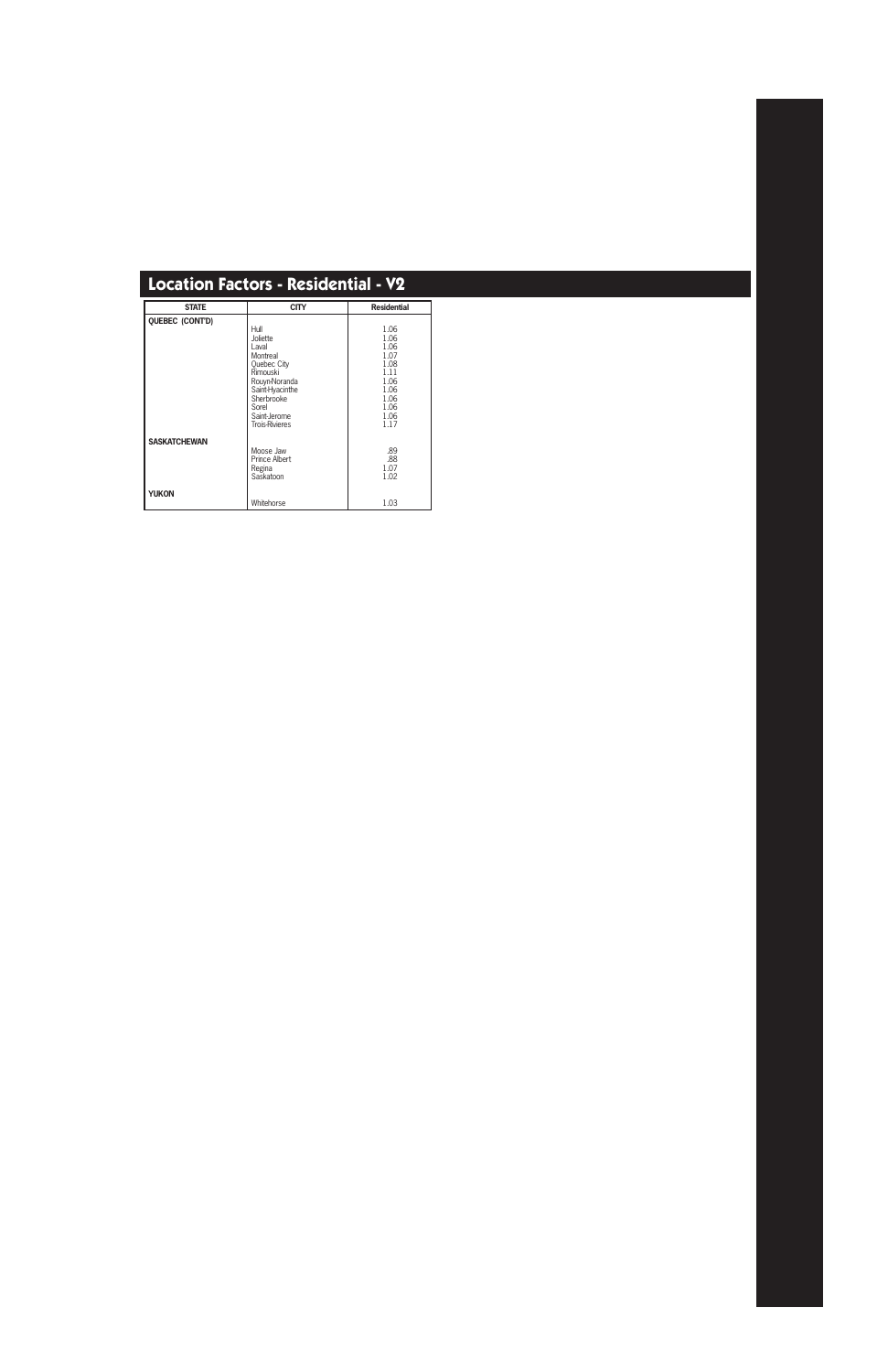| <b>STATE</b>        | <b>CITY</b>           | <b>Residential</b> |
|---------------------|-----------------------|--------------------|
| QUEBEC (CONT'D)     |                       |                    |
|                     | Hull                  | 1.06               |
|                     | Joliette              | 1.06               |
|                     | Laval                 | 1.06               |
|                     | Montreal              | 1.07               |
|                     | <b>Ouebec City</b>    | 1.08               |
|                     | Rimouski              | 1.11               |
|                     | Rouyn-Noranda         | 1.06               |
|                     | Saint-Hyacinthe       | 1.06               |
|                     | Sherbrooke            | 1.06               |
|                     | Sorel                 | 1.06               |
|                     | Saint-Jerome          | 1.06<br>1.17       |
|                     | <b>Trois-Rivieres</b> |                    |
| <b>SASKATCHEWAN</b> |                       |                    |
|                     | Moose Jaw             | .89                |
|                     | <b>Prince Albert</b>  | .88                |
|                     | Regina                | 1.07               |
|                     | Saskatoon             | 1.02               |
| <b>YUKON</b>        |                       |                    |
|                     | Whitehorse            | 1.03               |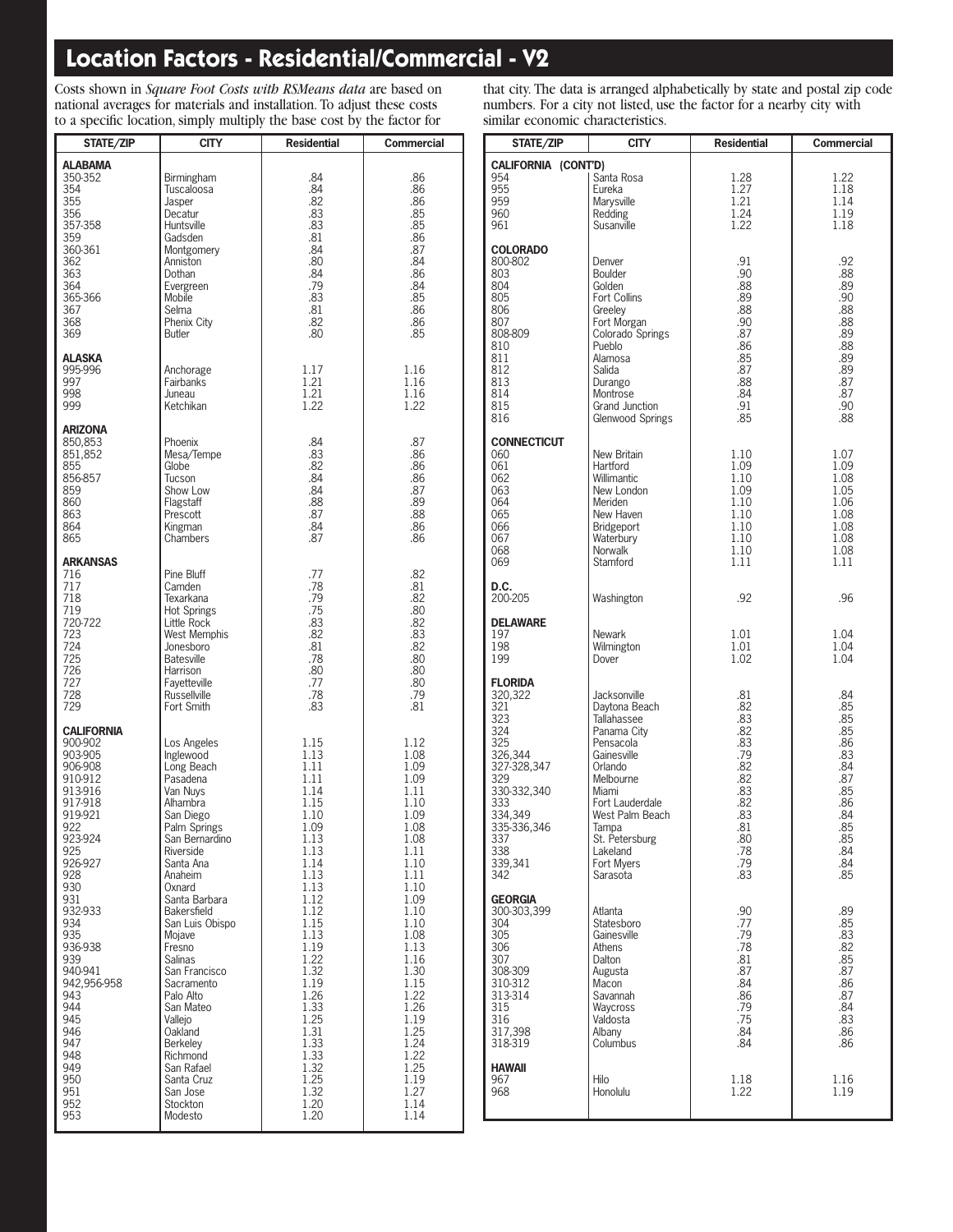### **Location Factors - Residential/Commercial - V2**

Costs shown in *Square Foot Costs with RSMeans data* are based on national averages for materials and installation. To adjust these costs to a specific location, simply multiply the base cost by the factor for

| STATE/ZIP                                                                                                                                                                                                                                                                                          | <b>CITY</b>                                                                                                                                                                                                                                                                                                                                                                                                                             | <b>Residential</b>                                                                                                                                                                                                                                           | <b>Commercial</b>                                                                                                                                                                                                                                            |
|----------------------------------------------------------------------------------------------------------------------------------------------------------------------------------------------------------------------------------------------------------------------------------------------------|-----------------------------------------------------------------------------------------------------------------------------------------------------------------------------------------------------------------------------------------------------------------------------------------------------------------------------------------------------------------------------------------------------------------------------------------|--------------------------------------------------------------------------------------------------------------------------------------------------------------------------------------------------------------------------------------------------------------|--------------------------------------------------------------------------------------------------------------------------------------------------------------------------------------------------------------------------------------------------------------|
| <b>ALABAMA</b><br>350-352<br>354<br>355<br>356<br>357-358<br>359<br>360-361<br>362<br>363<br>364<br>365-366<br>367<br>368<br>369                                                                                                                                                                   | Birmingham<br>Tuscaloosa<br>Jasper<br>Decatur<br>Huntsville<br>Gadsden<br>Montgomery<br>Anniston<br>Dothan<br>Evergreen<br>Mobile<br>Selma<br>Phenix City<br>Butler                                                                                                                                                                                                                                                                     | .84<br>.84<br>.82<br>.83<br>.83<br>.81<br>.84<br>.80<br>.84<br>.79<br>.83<br>.81<br>.82<br>.80                                                                                                                                                               | .86<br>.86<br>.86<br>.85<br>.85<br>.86<br>.87<br>.84<br>.86<br>.84<br>.85<br>.86<br>.86<br>.85                                                                                                                                                               |
| <b>ALASKA</b><br>995-996<br>997<br>998<br>999                                                                                                                                                                                                                                                      | Anchorage<br>Fairbanks<br>Juneau<br>Ketchikan                                                                                                                                                                                                                                                                                                                                                                                           | 1.17<br>1.21<br>1.21<br>1.22                                                                                                                                                                                                                                 | 1.16<br>1.16<br>1.16<br>1.22                                                                                                                                                                                                                                 |
| ARIZONA<br>850,853<br>851,852<br>855<br>856-857<br>859<br>860<br>863<br>864<br>865                                                                                                                                                                                                                 | Phoenix<br>Mesa/Tempe<br>Globe<br>Tucson<br>Show Low<br>Flagstaff<br>Prescott<br>Kingman<br>Chambers                                                                                                                                                                                                                                                                                                                                    | .84<br>.83<br>.82<br>.84<br>.84<br>.88<br>.87<br>.84<br>.87                                                                                                                                                                                                  | .87<br>.86<br>.86<br>.86<br>.87<br>.89<br>.88<br>.86<br>.86                                                                                                                                                                                                  |
| <b>ARKANSAS</b><br>716<br>717<br>718<br>719<br>720-722<br>723<br>724<br>725<br>726<br>727<br>728<br>729                                                                                                                                                                                            | Pine Bluff<br>Camden<br>Texarkana<br><b>Hot Springs</b><br>Little Rock<br>West Memphis<br>Jonesboro<br><b>Batesville</b><br>Harrison<br>Fayetteville<br>Russellville<br>Fort Smith                                                                                                                                                                                                                                                      | .77<br>.78<br>.79<br>.75<br>.83<br>.82<br>.81<br>.78<br>.80<br>.77<br>.78<br>.83                                                                                                                                                                             | .82<br>.81<br>.82<br>.80<br>.82<br>.83<br>.82<br>.80<br>.80<br>.80<br>.79<br>.81                                                                                                                                                                             |
| CALIFORNIA<br>900-902<br>903-905<br>906-908<br>910-912<br>913-916<br>917-918<br>919-921<br>922<br>923-924<br>925<br>926-927<br>928<br>930<br>931<br>932-933<br>934<br>935<br>936-938<br>939<br>940-941<br>942,956-958<br>943<br>944<br>945<br>946<br>947<br>948<br>949<br>950<br>951<br>952<br>953 | Los Angeles<br>Inglewood<br>Long Beach<br>Pasadena<br>Van Nuys<br>Alhambra<br>San Diego<br>Palm Springs<br>San Bernardino<br>Riverside<br>Santa Ana<br>Anaheim<br>Oxnard<br>Santa Barbara<br>Bakersfield<br>San Luis Obispo<br>Mojave<br>Fresno<br><b>Salinas</b><br>San Francisco<br>Sacramento<br>Palo Alto<br>San Mateo<br>Vallejo<br>Oakland<br>Berkeley<br>Richmond<br>San Rafael<br>Santa Cruz<br>San Jose<br>Stockton<br>Modesto | 1.15<br>1.13<br>1.11<br>1.11<br>1.14<br>1.15<br>1.10<br>1.09<br>1.13<br>1.13<br>1.14<br>1.13<br>1.13<br>1.12<br>1.12<br>1.15<br>1.13<br>1.19<br>1.22<br>1.32<br>1.19<br>1.26<br>1.33<br>1.25<br>1.31<br>1.33<br>1.33<br>1.32<br>1.25<br>1.32<br>1.20<br>1.20 | 1.12<br>1.08<br>1.09<br>1.09<br>1.11<br>1.10<br>1.09<br>1.08<br>1.08<br>1.11<br>1.10<br>1.11<br>1.10<br>1.09<br>1.10<br>1.10<br>1.08<br>1.13<br>1.16<br>1.30<br>1.15<br>1.22<br>1.26<br>1.19<br>1.25<br>1.24<br>1.22<br>1.25<br>1.19<br>1.27<br>1.14<br>1.14 |

that city. The data is arranged alphabetically by state and postal zip code numbers. For a city not listed, use the factor for a nearby city with similar economic characteristics.

| STATE/ZIP                                                                                                                                                              | <b>CITY</b>                                                                                                                                                                                                                            | <b>Residential</b>                                                                                           | <b>Commercial</b>                                                                                            |  |
|------------------------------------------------------------------------------------------------------------------------------------------------------------------------|----------------------------------------------------------------------------------------------------------------------------------------------------------------------------------------------------------------------------------------|--------------------------------------------------------------------------------------------------------------|--------------------------------------------------------------------------------------------------------------|--|
|                                                                                                                                                                        |                                                                                                                                                                                                                                        |                                                                                                              |                                                                                                              |  |
| CALIFORNIA (CONT'D)<br>954<br>955<br>959<br>960<br>961                                                                                                                 | Santa Rosa<br>Eureka<br>Marysville<br>Redding<br>Susanville                                                                                                                                                                            | 1.28<br>1.27<br>1.21<br>1.24<br>1.22                                                                         | 1.22<br>1.18<br>1.14<br>1.19<br>1.18                                                                         |  |
| <b>COLORADO</b><br>800-802<br>803<br>804<br>805<br>806<br>807<br>808-809<br>810<br>811<br>812<br>813<br>814<br>815<br>816                                              | Denver<br>Boulder<br>Golden<br><b>Fort Collins</b><br>Greeley<br>Fort Morgan<br>Colorado Springs<br>Pueblo<br>Alamosa<br>Salida<br>Durango<br>Montrose<br>Grand Junction<br>Glenwood Springs                                           | .91<br>.90<br>.88<br>.89<br>.88<br>.90<br>.87<br>.86<br>.85<br>.87<br>.88<br>.84<br>.91<br>.85               | .92<br>.88<br>.89<br>.90<br>.88<br>.88<br>.89<br>.88<br>.89<br>.89<br>.87<br>.87<br>.90<br>.88               |  |
| <b>CONNECTICUT</b><br>060<br>061<br>062<br>063<br>064<br>065<br>066<br>067<br>068<br>069                                                                               | New Britain<br>Hartford<br><b>Willimantic</b><br>New London<br>Meriden<br>New Haven<br>Bridgeport<br>Waterbury<br>Norwalk<br>Stamford                                                                                                  | 1.10<br>1.09<br>1.10<br>1.09<br>1.10<br>1.10<br>1.10<br>1.10<br>1.10<br>1.11                                 | 1.07<br>1.09<br>1.08<br>1.05<br>1.06<br>1.08<br>1.08<br>1.08<br>1.08<br>1.11                                 |  |
| D.C.<br>200-205                                                                                                                                                        | Washington                                                                                                                                                                                                                             | .92                                                                                                          | .96                                                                                                          |  |
| <b>DELAWARE</b><br>197<br>198<br>199                                                                                                                                   | Newark<br>Wilmington<br>Dover                                                                                                                                                                                                          | 1.01<br>1.01<br>1.02                                                                                         | 1.04<br>1.04<br>1.04                                                                                         |  |
| <b>FLORIDA</b><br>320,322<br>321<br>323<br>324<br>325<br>326,344<br>327-328.347<br>329<br>330-332,340<br>333<br>334,349<br>335-336,346<br>337<br>338<br>339,341<br>342 | Jacksonville<br>Daytona Beach<br><b>Tallahassee</b><br>Panama City<br>Pensacola<br>Gainesville<br>Orlando<br>Melbourne<br>Miami<br>Fort Lauderdale<br>West Palm Beach<br>Tampa<br>St. Petersburg<br>Lakeland<br>Fort Mvers<br>Sarasota | .81<br>.82<br>.83<br>.82<br>.83<br>.79<br>.82<br>.82<br>.83<br>.82<br>.83<br>.81<br>.80<br>.78<br>.79<br>.83 | .84<br>.85<br>.85<br>.85<br>.86<br>.83<br>.84<br>.87<br>.85<br>.86<br>.84<br>.85<br>.85<br>.84<br>.84<br>.85 |  |
| <b>GEORGIA</b><br>300-303,399<br>304<br>305<br>306<br>307<br>308-309<br>310-312<br>313-314<br>315<br>316<br>317,398<br>318-319                                         | Atlanta<br>Statesboro<br>Gainesville<br>Athens<br>Dalton<br>Augusta<br>Macon<br>Savannah<br>Waycross<br>Valdosta<br>Albany<br>Columbus                                                                                                 | .90<br>.77<br>.79<br>.78<br>.81<br>.87<br>.84<br>.86<br>.79<br>.75<br>.84<br>.84                             | .89<br>.85<br>.83<br>.82<br>.85<br>.87<br>.86<br>.87<br>.84<br>.83<br>.86<br>.86                             |  |
| <b>HAWAII</b><br>967<br>968                                                                                                                                            | Hilo<br>Honolulu                                                                                                                                                                                                                       | 1.18<br>1.22                                                                                                 | 1.16<br>1.19                                                                                                 |  |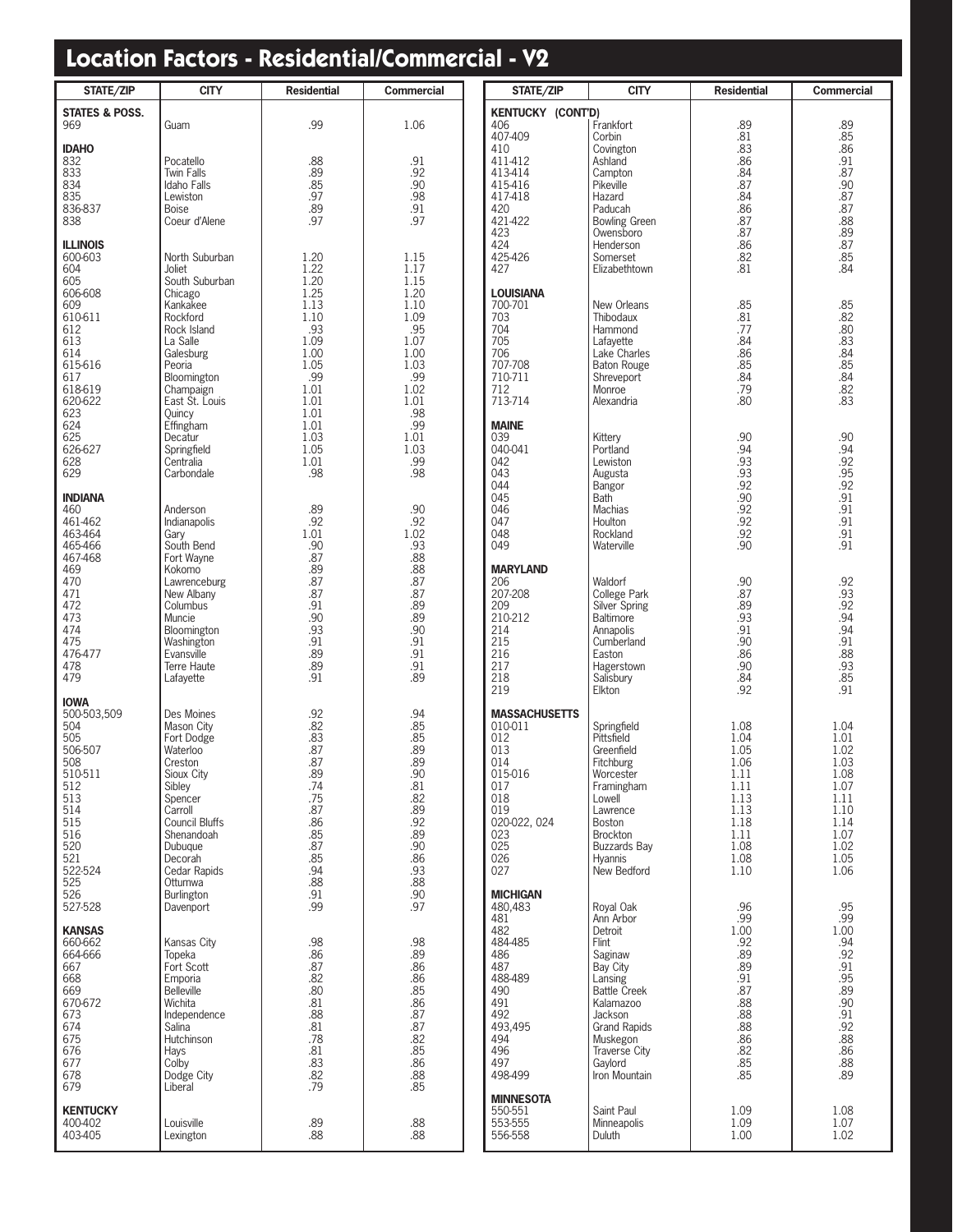### **Location Factors - Residential/Commercial - V2**

| STATE/ZIP                 | <b>CITY</b>                      | <b>Residential</b> | <b>Commercial</b>                | STATE/ZIP                       | <b>CITY</b>                           | <b>Residential</b> | <b>Commercial</b>                      |  |
|---------------------------|----------------------------------|--------------------|----------------------------------|---------------------------------|---------------------------------------|--------------------|----------------------------------------|--|
| <b>STATES &amp; POSS.</b> |                                  |                    |                                  | <b>KENTUCKY (CONT'D)</b>        |                                       |                    |                                        |  |
| 969                       | Guam                             | .99                | 1.06                             | 406<br>407-409                  | Frankfort<br>Corbin                   | .89<br>.81         | .89                                    |  |
| <b>IDAHO</b>              |                                  |                    |                                  | 410                             | Covington                             | .83                | .85<br>.86                             |  |
| 832                       | Pocatello                        | .88                | .91                              | 411-412                         | Ashland                               | .86                | .91                                    |  |
| 833<br>834                | <b>Twin Falls</b><br>Idaho Falls | .89<br>.85         | .92<br>.90                       | 413-414<br>415-416              | Campton<br>Pikeville                  | .84<br>.87         | .87<br>.90.                            |  |
| 835                       | Lewiston                         | .97                | .98                              | 417-418                         | Hazard                                | .84                | .87                                    |  |
| 836-837                   | <b>Boise</b>                     | .89                | .91                              | 420                             | Paducah                               | .86                | .s.<br>.87<br>.88                      |  |
| 838                       | Coeur d'Alene                    | .97                | .97                              | 421-422<br>423                  | <b>Bowling Green</b><br>Owensboro     | .87<br>.87         | .89                                    |  |
| <b>ILLINOIS</b>           |                                  |                    |                                  | 424                             | Henderson                             | .86                | .87                                    |  |
| 600-603                   | North Suburban                   | 1.20               | 1.15                             | 425-426                         | Somerset                              | .82                | .85                                    |  |
| 604<br>605                | Joliet<br>South Suburban         | 1.22<br>1.20       | 1.17<br>1.15                     | 427                             | Elizabethtown                         | .81                | .84                                    |  |
| 606-608                   | Chicago                          | 1.25               | 1.20                             | <b>LOUISIANA</b>                |                                       |                    |                                        |  |
| 609<br>610-611            | Kankakee<br>Rockford             | 1.13<br>1.10       | 1.10<br>1.09                     | 700-701<br>703                  | New Orleans<br>Thibodaux              | .85<br>.81         | .85<br>.82                             |  |
| 612                       | Rock Island                      | .93                | .95                              | 704                             | Hammond                               | .77                |                                        |  |
| 613                       | La Salle                         | 1.09               | 1.07                             | 705                             | Lafayette                             | .84                | $.80$<br>$.83$<br>$.84$                |  |
| 614<br>615-616            | Galesburg<br>Peoria              | 1.00<br>1.05       | 1.00<br>1.03                     | 706<br>707-708                  | Lake Charles<br><b>Baton Rouge</b>    | .86<br>.85         |                                        |  |
| 617                       | Bloomington                      | .99                | .99                              | 710-711                         | Shreveport                            | .84                | $.85$<br>$.84$<br>$.82$                |  |
| 618-619                   | Champaign                        | 1.01               | 1.02                             | 712                             | Monroe                                | .79                |                                        |  |
| 620-622<br>623            | East St. Louis<br>Quincy         | 1.01<br>1.01       | 1.01<br>.98                      | 713-714                         | Alexandria                            | .80                | .83                                    |  |
| 624                       | Effingham                        | 1.01               | .99                              | <b>MAINE</b>                    |                                       |                    |                                        |  |
| 625                       | Decatur                          | 1.03               | 1.01                             | 039                             | Kittery                               | .90                | .90                                    |  |
| 626-627<br>628            | Springfield<br>Centralia         | 1.05<br>1.01       | 1.03<br>.99                      | 040-041<br>042                  | Portland<br>Lewiston                  | .94<br>.93         | 94<br>92<br>95<br>95<br>92<br>91       |  |
| 629                       | Carbondale                       | .98                | .98                              | 043                             | Augusta                               | .93                |                                        |  |
| <b>INDIANA</b>            |                                  |                    |                                  | 044                             | Bangor                                | .92<br>.90         |                                        |  |
| 460                       | Anderson                         | .89                | .90                              | 045<br>046                      | <b>Bath</b><br><b>Machias</b>         | .92                | .91                                    |  |
| 461-462                   | Indianapolis                     | .92                | .92                              | 047                             | Houlton                               | .92                | .91                                    |  |
| 463-464<br>465-466        | Gary                             | 1.01<br>.90        | 1.02                             | 048<br>049                      | Rockland                              | .92<br>.90         | .91<br>.91                             |  |
| 467-468                   | South Bend<br>Fort Wayne         | .87                | .93<br>.88                       |                                 | Waterville                            |                    |                                        |  |
| 469                       | Kokomo                           | .89                | .88                              | <b>MARYLAND</b>                 |                                       |                    |                                        |  |
| 470<br>471                | Lawrenceburg<br>New Albany       | .87<br>.87         | .87<br>.87                       | 206<br>207-208                  | Waldorf<br>College Park               | .90<br>.87         | .92<br>.93<br>.92                      |  |
| 472                       | Columbus                         | .91                | .89                              | 209                             | Silver Spring                         | .89                |                                        |  |
| 473                       | Muncie                           | .90                | .89                              | 210-212                         | Baltimore                             | .93                |                                        |  |
| 474<br>475                | Bloomington<br>Washington        | .93<br>.91         | .90<br>.91                       | 214<br>215                      | Annapolis<br>Cumberland               | .91<br>.90         |                                        |  |
| 476-477                   | Evansville                       | .89                | .91                              | 216                             | Easton                                | .86                | $.94$<br>$.94$<br>$.91$<br>$.88$       |  |
| 478                       | Terre Haute                      | .89                | .91                              | 217                             | Hagerstown                            | .90                | $.93$<br>.85                           |  |
| 479                       | Lafayette                        | .91                | .89                              | 218<br>219                      | Salisbury<br>Elkton                   | .84<br>.92         | .91                                    |  |
| <b>IOWA</b>               |                                  |                    |                                  |                                 |                                       |                    |                                        |  |
| 500-503,509<br>504        | Des Moines<br>Mason City         | $.92$<br>$.82$     | .94<br>.85                       | <b>MASSACHUSETTS</b><br>010-011 | Springfield                           | 1.08               | 1.04                                   |  |
| 505                       | Fort Dodge                       | $.83$<br>$.87$     | $.85$<br>$.89$                   | 012                             | Pittsfield                            | 1.04               | 1.01                                   |  |
| 506-507                   | Waterloo                         |                    |                                  | 013                             | Greenfield                            | 1.05               | 1.02                                   |  |
| 508<br>510-511            | Creston<br>Sioux City            | .87<br>.89         | .89<br>.90                       | 014<br>015-016                  | Fitchburg<br>Worcester                | 1.06<br>1.11       | 1.03<br>1.08                           |  |
| 512                       | Sibley                           | .74                | .81                              | 017                             | Framingham                            | 1.11               | 1.07                                   |  |
| 513                       | Spencer                          | .75                | .82                              | 018                             | Lowell                                | 1.13               | 1.11                                   |  |
| 514<br>515                | Carroll<br>Council Bluffs        | .87<br>.86         |                                  | 019<br>020-022, 024             | Lawrence<br><b>Boston</b>             | 1.13<br>1.18       | 1.10<br>1.14                           |  |
| 516                       | Shenandoah                       | $.85$<br>$.87$     | $.89$<br>$.92$<br>$.89$<br>$.90$ | 023                             | Brockton                              | 1.11               | 1.07                                   |  |
| 520<br>521                | Dubuque<br>Decorah               | .85                | .86                              | 025<br>026                      | <b>Buzzards Bay</b><br><b>Hyannis</b> | 1.08<br>1.08       | 1.02<br>1.05                           |  |
| 522-524                   | Cedar Rapids                     | .94                | $.93$<br>.88                     | 027                             | New Bedford                           | 1.10               | 1.06                                   |  |
| 525                       | Ottumwa                          | .88                |                                  |                                 |                                       |                    |                                        |  |
| 526<br>527-528            | Burlington<br>Davenport          | .91<br>.99         | .90<br>.97                       | <b>MICHIGAN</b><br>480,483      | Royal Oak                             | .96                |                                        |  |
|                           |                                  |                    |                                  | 481                             | Ann Arbor                             | .99                | .95<br>.99                             |  |
| <b>KANSAS</b>             |                                  |                    |                                  | 482<br>484-485                  | Detroit                               | 1.00               | 1.00                                   |  |
| 660-662<br>664-666        | Kansas City<br>Topeka            | .98<br>.86         | .98<br>.89                       | 486                             | Flint<br>Saginaw                      | .92<br>.89         | .94<br>.92                             |  |
| 667                       | Fort Scott                       | .87                | $.86$<br>.86                     | 487                             | Bay City                              | .89                | $\frac{.91}{.91}$                      |  |
| 668                       | Emporia                          | .82                |                                  | 488-489                         | Lansing                               | .91                |                                        |  |
| 669<br>670-672            | <b>Belleville</b><br>Wichita     | .80<br>.81         | .85.86                           | 490<br>491                      | <b>Battle Creek</b><br>Kalamazoo      | .87<br>.88         |                                        |  |
| 673                       | Independence                     | .88                | .87                              | 492                             | Jackson                               | .88                |                                        |  |
| 674<br>675                | Salina                           | .81<br>.78         | .87                              | 493,495                         | <b>Grand Rapids</b>                   | .88<br>.86         |                                        |  |
| 676                       | Hutchinson<br>Hays               | .81                | $.82$<br>$.85$                   | 494<br>496                      | Muskegon<br><b>Traverse City</b>      | .82                | 89<br>90<br>91<br>92<br>88<br>86<br>86 |  |
| 677                       | Colby                            | $.83$<br>$.82$     | .86                              | 497                             | Gaylord                               | .85                | .88                                    |  |
| 678<br>679                | Dodge City<br>Liberal            | .79                | .88<br>.85                       | 498-499                         | Iron Mountain                         | .85                | .89                                    |  |
|                           |                                  |                    |                                  | <b>MINNESOTA</b>                |                                       |                    |                                        |  |
| <b>KENTUCKY</b>           |                                  |                    |                                  | 550-551                         | Saint Paul                            | 1.09               | 1.08                                   |  |
| 400-402<br>403-405        | Louisville<br>Lexington          | .89.88             | .88.8                            | 553-555<br>556-558              | Minneapolis<br>Duluth                 | 1.09<br>1.00       | 1.07<br>1.02                           |  |
|                           |                                  |                    |                                  |                                 |                                       |                    |                                        |  |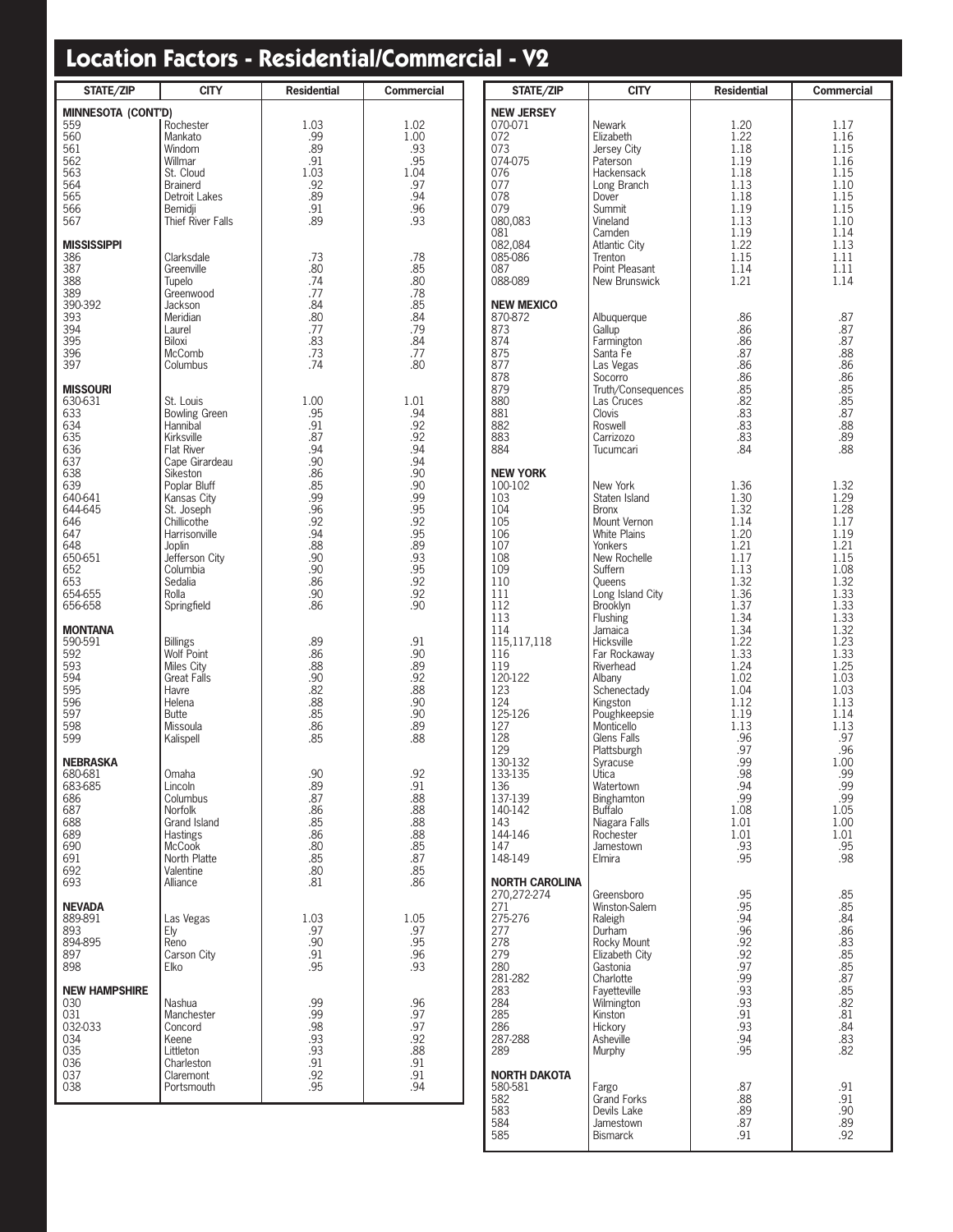| <b>STATE/ZIP</b>                                                                                                                                                      | <b>CITY</b>                                                                                                                                                                                                                                                     | <b>Residential</b>                                                                                                          | <b>Commercial</b>                                                                                                           |
|-----------------------------------------------------------------------------------------------------------------------------------------------------------------------|-----------------------------------------------------------------------------------------------------------------------------------------------------------------------------------------------------------------------------------------------------------------|-----------------------------------------------------------------------------------------------------------------------------|-----------------------------------------------------------------------------------------------------------------------------|
| <b>MINNESOTA (CONT'D)</b><br>559<br>560<br>561<br>562<br>563<br>564<br>565<br>566<br>567                                                                              | Rochester<br>Mankato<br>Windom<br>Willmar<br>St. Cloud<br><b>Brainerd</b><br>Detroit Lakes<br>Bemidji<br>Thief River Falls                                                                                                                                      | 1.03<br>.99<br>.89<br>.91<br>1.03<br>.92<br>.89<br>.91<br>.89                                                               | 1.02<br>1.00<br>.93<br>.95<br>1.04<br>.97<br>.94<br>.96<br>.93                                                              |
| <b>MISSISSIPPI</b><br>386<br>387<br>388<br>389<br>390-392<br>393<br>394<br>395<br>396<br>397                                                                          | Clarksdale<br>Greenville<br>Tupelo<br>Greenwood<br>Jackson<br>Meridian<br>Laurel<br>Biloxi<br>McComb<br>Columbus                                                                                                                                                | .73<br>.80<br>.74<br>.77<br>.84<br>.80<br>.77<br>.83<br>.73<br>.74                                                          | .78<br>.85<br>.80<br>.78<br>.85<br>.84<br>.79<br>.84<br>.77<br>.80                                                          |
| <b>MISSOURI</b><br>630-631<br>633<br>634<br>635<br>636<br>637<br>638<br>639<br>640-641<br>644-645<br>646<br>647<br>648<br>650-651<br>652<br>653<br>654-655<br>656-658 | St. Louis<br><b>Bowling Green</b><br>Hannibal<br>Kirksville<br>Flat River<br>Cape Girardeau<br>Sikeston<br>Poplar Bluff<br>Kansas City<br>St. Joseph<br>Chillicothe<br>Harrisonville<br>Joplin<br>Jefferson City<br>Columbia<br>Sedalia<br>Rolla<br>Springfield | 1.00<br>.95<br>.91<br>.87<br>.94<br>.90<br>.86<br>.85<br>.99<br>.96<br>.92<br>.94<br>.88<br>.90<br>.90<br>.86<br>.90<br>.86 | 1.01<br>.94<br>.92<br>.92<br>.94<br>.94<br>.90<br>.90<br>.99<br>.95<br>.92<br>.95<br>.89<br>.93<br>.95<br>.92<br>.92<br>.90 |
| <b>MONTANA</b><br>590-591<br>592<br>593<br>594<br>595<br>596<br>597<br>598<br>599                                                                                     | <b>Billings</b><br><b>Wolf Point</b><br>Miles City<br><b>Great Falls</b><br>Havre<br>Helena<br><b>Butte</b><br>Missoula<br>Kalispell                                                                                                                            | .89<br>.86<br>.88<br>.90<br>.82<br>.88<br>.85<br>.86<br>.85                                                                 | .91<br>.90<br>.89<br>.92<br>.88<br>.90<br>.90<br>.89<br>.88                                                                 |
| <b>NEBRASKA</b><br>680-681<br>683-685<br>686<br>687<br>688<br>689<br>690<br>691<br>692<br>693                                                                         | Omaha<br>Lincoln<br>Columbus<br>Norfolk<br>Grand Island<br><b>Hastings</b><br><b>McCook</b><br>North Platte<br>Valentine<br>Alliance                                                                                                                            | 90<br>.89<br>.87<br>.86<br>.85<br>.86<br>.80<br>.85<br>.80<br>.81                                                           | 92<br>.91<br>.88<br>.88<br>.88<br>.88<br>.85<br>.87<br>.85<br>.86                                                           |
| <b>NEVADA</b><br>889-891<br>893<br>894-895<br>897<br>898                                                                                                              | Las Vegas<br>Ely<br>Reno<br>Carson City<br>Elko                                                                                                                                                                                                                 | 1.03<br>.97<br>.90<br>.91<br>.95                                                                                            | 1.05<br>.97<br>.95<br>.96<br>.93                                                                                            |
| <b>NEW HAMPSHIRE</b><br>030<br>031<br>032-033<br>034<br>035<br>036<br>037<br>038                                                                                      | Nashua<br>Manchester<br>Concord<br>Keene<br>Littleton<br>Charleston<br>Claremont<br>Portsmouth                                                                                                                                                                  | .99<br>.99<br>.98<br>.93<br>.93<br>.91<br>.92<br>.95                                                                        | .96<br>.97<br>.97<br>.92<br>.88<br>.91<br>.91<br>.94                                                                        |

| STATE/ZIP         | <b>CITY</b>                   | <b>Residential</b> | <b>Commercial</b> |
|-------------------|-------------------------------|--------------------|-------------------|
| New Jersey        |                               |                    |                   |
| 070-071           | Newark                        | 1.20               | 1.17              |
| 072               | Elizabeth                     | 1.22               | 1.16              |
| 073               | Jersey City                   | 1.18               | 1.15              |
| 074-075           | Paterson                      | 1.19               | 1.16              |
| 076<br>077        | Hackensack<br>Long Branch     | 1.18<br>1.13       | 1.15<br>1.10      |
| 078               | Dover                         | 1.18               | 1.15              |
| 079               | Summit                        | 1.19               | 1.15              |
| 080,083           | Vineland                      | 1.13               | 1.10              |
| 081               | Camden                        | 1.19               | 1.14              |
| 082,084           | Atlantic City                 | 1.22               | 1.13              |
| 085-086<br>087    | Trenton<br>Point Pleasant     | 1.15<br>1.14       | 1.11<br>1.11      |
| 088-089           | New Brunswick                 | 1.21               | 1.14              |
|                   |                               |                    |                   |
| <b>NEW MEXICO</b> |                               |                    |                   |
| 870-872           | Albuquerque                   | .86                | .87               |
| 873<br>874        | Gallup<br>Farmington          | .86<br>.86         | .87<br>.87        |
| 875               | Santa Fe                      | .87                | .88               |
| 877               | Las Vegas                     | .86                | .86               |
| 878               | Socorro                       | .86                | .86               |
| 879               | Truth/Consequences            | .85                | .85               |
| 880               | Las Cruces                    | .82                | .85               |
| 881<br>882        | Clovis<br>Roswell             | .83                | .87               |
| 883               | Carrizozo                     | .83<br>.83         | .88<br>.89        |
| 884               | Tucumcari                     | .84                | .88               |
|                   |                               |                    |                   |
| <b>NEW YORK</b>   |                               |                    |                   |
| 100-102           | New York                      | 1.36               | 1.32              |
| 103<br>104        | Staten Island<br><b>Bronx</b> | 1.30<br>1.32       | 1.29<br>1.28      |
| 105               | Mount Vernon                  | 1.14               | 1.17              |
| 106               | White Plains                  | 1.20               | 1.19              |
| 107               | Yonkers                       | 1.21               | 1.21              |
| 108               | New Rochelle                  | 1.17               | 1.15              |
| 109               | Suffern                       | 1.13               | 1.08              |
| 110               | Queens                        | 1.32               | 1.32              |
| 111<br>112        | Long Island City<br>Brooklyn  | 1.36<br>1.37       | 1.33<br>1.33      |
| 113               | Flushing                      | 1.34               | 1.33              |
| 114               | Jamaica                       | 1.34               | 1.32              |
| 115,117,118       | Hicksville                    | 1.22               | 1.23              |
| 116               | Far Rockaway                  | 1.33               | 1.33              |
| 119               | Riverhead                     | 1.24               | 1.25              |
| 120-122           | Albany                        | 1.02               | 1.03              |
| 123<br>124        | Schenectady<br>Kingston       | 1.04<br>1.12       | 1.03<br>1.13      |
| 125-126           | Poughkeepsie                  | 1.19               | 1.14              |
| 127               | Monticello                    | 1.13               | 1.13              |
| 128               | Glens Falls                   | .96                | .97               |
| 129               | Plattsburgh                   | .97                | .96               |
| 130-132           | Syracuse                      | .99                | 1.00              |
| 133-135<br>136    | Utica<br>Watertown            | .98<br>.94         | .99<br>.99        |
| 137-139           | Binghamton                    | .99                | .99               |
| 140-142           | Buffalo                       | 1.08               | 1.05              |
| 143               | Niagara Falls                 | 1.01               | 1.00              |
| 144-146           | Rochester                     | 1.01               | 1.01              |
| 147               | Jamestown                     | .93                | .95               |
| 148-149           | Elmira                        | .95                | .98               |
| NORTH CAROLINA    |                               |                    |                   |
| 270,272-274       | Greensboro                    | .95                | .85               |
| 271               | Winston-Salem                 | .95                | .85               |
| 275-276           | Raleigh                       | .94                | .84               |
| 277               | Durham                        | .96                | .86               |
| 278<br>279        | Rocky Mount                   | .92<br>.92         | .83<br>.85        |
| 280               | Elizabeth City<br>Gastonia    | .97                | .85               |
| 281-282           | Charlotte                     | .99                | .87               |
| 283               | Fayetteville                  | .93                | .85               |
| 284               | Wilmington                    | .93                | .82               |
| 285               | Kinston                       | .91                | .81               |
| 286<br>287-288    | Hickory                       | .93<br>.94         | .84<br>.83        |
| 289               | Asheville<br>Murphy           | .95                | .82               |
|                   |                               |                    |                   |
| NORTH DAKOTA      |                               |                    |                   |
| 580-581           | Fargo                         | .87                | .91               |
| 582               | Grand Forks                   | .88                | .91               |
| 583<br>584        | Devils Lake                   | .89<br>.87         | .90<br>.89        |
| 585               | Jamestown<br><b>Bismarck</b>  | .91                | .92               |
|                   |                               |                    |                   |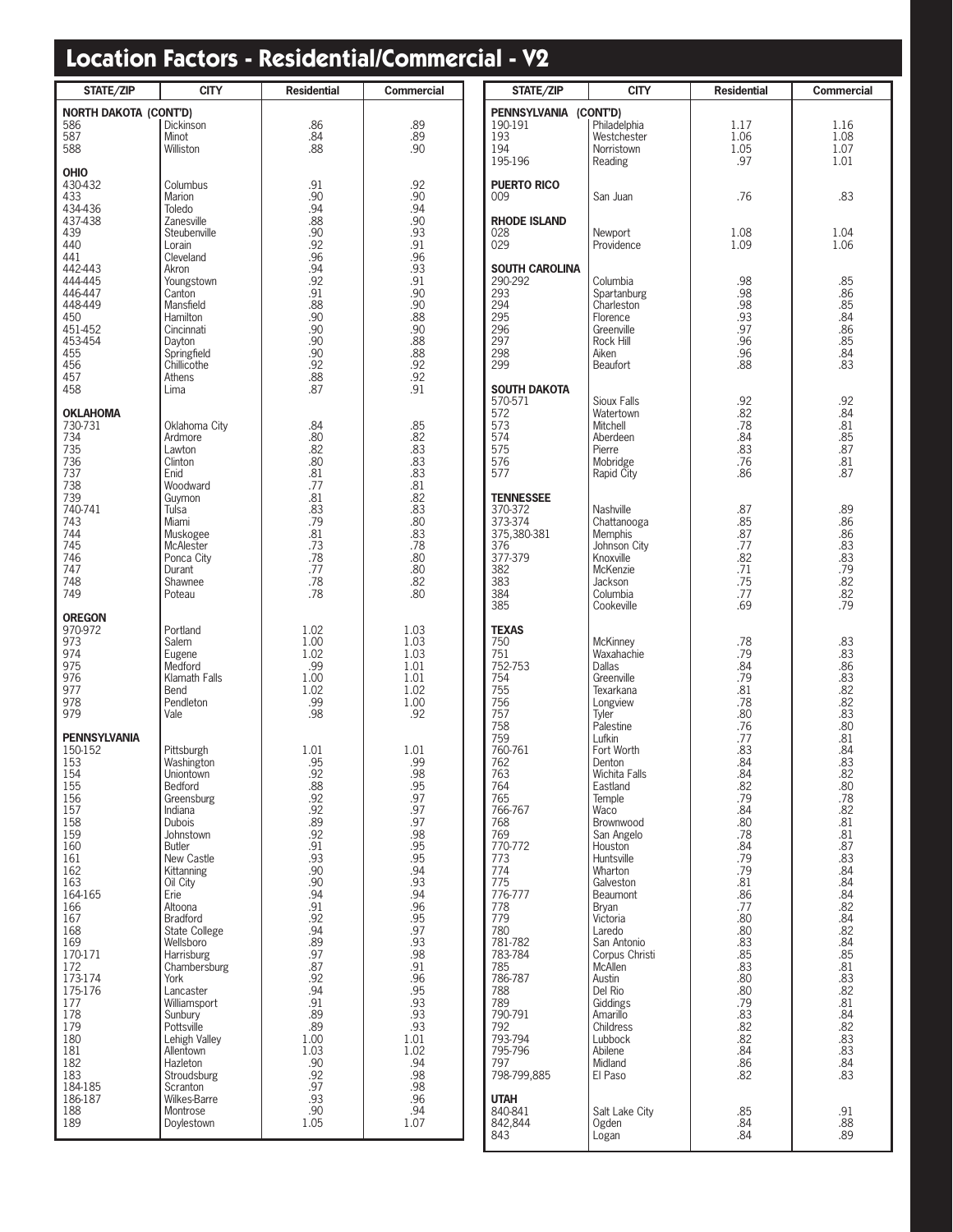| <b>STATE/ZIP</b>                                                                                                                                                                                                                                                                | <b>CITY</b>                                                                                                                                                                                                                                                                                                                                                                                                                                     | <b>Residential</b>                                                                                                                                                                                                               | <b>Commercial</b>                                                                                                                                                                                                                |
|---------------------------------------------------------------------------------------------------------------------------------------------------------------------------------------------------------------------------------------------------------------------------------|-------------------------------------------------------------------------------------------------------------------------------------------------------------------------------------------------------------------------------------------------------------------------------------------------------------------------------------------------------------------------------------------------------------------------------------------------|----------------------------------------------------------------------------------------------------------------------------------------------------------------------------------------------------------------------------------|----------------------------------------------------------------------------------------------------------------------------------------------------------------------------------------------------------------------------------|
| <b>NORTH DAKOTA (CONT'D)</b><br>586<br>587<br>588                                                                                                                                                                                                                               | <b>Dickinson</b><br>Minot<br>Williston                                                                                                                                                                                                                                                                                                                                                                                                          | .86<br>.84<br>.88                                                                                                                                                                                                                | .89<br>.89<br>.90                                                                                                                                                                                                                |
| <b>OHIO</b><br>430-432<br>433<br>434-436<br>437-438<br>439<br>440<br>441<br>442-443<br>444-445<br>446-447<br>448-449<br>450<br>451-452<br>453-454<br>455<br>456<br>457<br>458                                                                                                   | Columbus<br>Marion<br>Toledo<br>Zanesville<br>Steubenville<br>Lorain<br>Cleveland<br>Akron<br>Youngstown<br>Canton<br>Mansfield<br>Hamilton<br>Cincinnati<br>Dayton<br>Springfield<br>Chillicothe<br>Athens<br>Lima                                                                                                                                                                                                                             | .91<br>.90<br>.94<br>.88<br>.90<br>.92<br>.96<br>.94<br>.92<br>.91<br>.88<br>.90<br>.90<br>.90<br>.90<br>.92<br>.88<br>.87                                                                                                       | .92<br>.90<br>.94<br>.90<br>.93<br>.91<br>.96<br>.93<br>.91<br>.90<br>.90<br>.88<br>.90<br>.88<br>.88<br>.92<br>.92<br>.91                                                                                                       |
| <b>OKLAHOMA</b><br>730-731<br>734<br>735<br>736<br>737<br>738<br>739<br>740-741<br>743<br>744<br>745<br>746<br>747<br>748<br>749                                                                                                                                                | Oklahoma City<br>Ardmore<br>Lawton<br>Clinton<br>Fnid<br>Woodward<br>Guymon<br>Tulsa<br>Miami<br>Muskogee<br>McAlester<br>Ponca City<br>Durant<br>Shawnee<br>Poteau                                                                                                                                                                                                                                                                             | .84<br>.80<br>.82<br>.80<br>.81<br>.77<br>.81<br>.83<br>.79<br>.81<br>.73<br>.78<br>.77<br>.78<br>.78                                                                                                                            | .85<br>.82<br>.83<br>.83<br>.83<br>.81<br>.82<br>.83<br>.80<br>.83<br>.78<br>.80<br>.80<br>.82<br>.80                                                                                                                            |
| <b>OREGON</b><br>970-972<br>973<br>974<br>975<br>976<br>977<br>978<br>979                                                                                                                                                                                                       | Portland<br>Salem<br>Eugene<br>Medford<br>Klamath Falls<br>Bend<br>Pendleton<br>Vale                                                                                                                                                                                                                                                                                                                                                            | 1.02<br>1.00<br>1.02<br>.99<br>1.00<br>1.02<br>.99<br>.98                                                                                                                                                                        | 1.03<br>1.03<br>1.03<br>1.01<br>1.01<br>1.02<br>1.00<br>.92                                                                                                                                                                      |
| <b>PENNSYLVANIA</b><br>150-152<br>153<br>154<br>155<br>156<br>157<br>158<br>159<br>160<br>161<br>162<br>163<br>164-165<br>166<br>167<br>168<br>169<br>170-171<br>172<br>173-174<br>175-176<br>177<br>178<br>179<br>180<br>181<br>182<br>183<br>184-185<br>186-187<br>188<br>189 | Pittsburgh<br>Washington<br>Uniontown<br>Bedford<br>Greensburg<br>Indiana<br><b>Dubois</b><br>Johnstown<br>Butler<br>New Castle<br>Kittanning<br>Oil City<br>Erie<br>Altoona<br><b>Bradford</b><br>State College<br>Wellsboro<br><b>Harrisburg</b><br>Chambersburg<br>York<br>Lancaster<br>Williamsport<br>Sunbury<br>Pottsville<br>Lehigh Valley<br>Allentown<br>Hazleton<br>Stroudsburg<br>Scranton<br>Wilkes-Barre<br>Montrose<br>Doylestown | 1.01<br>.95<br>.92<br>.88<br>.92<br>.92<br>.89<br>.92<br>.91<br>.93<br>.90<br>.90<br>.94<br>.91<br>.92<br>.94<br>.89<br>.97<br>.87<br>.92<br>.94<br>.91<br>.89<br>.89<br>1.00<br>1.03<br>.90<br>.92<br>.97<br>.93<br>.90<br>1.05 | 1.01<br>.99<br>.98<br>.95<br>.97<br>.97<br>.97<br>.98<br>.95<br>.95<br>.94<br>.93<br>.94<br>.96<br>.95<br>.97<br>.93<br>.98<br>.91<br>.96<br>.95<br>.93<br>.93<br>.93<br>1.01<br>1.02<br>.94<br>.98<br>.98<br>.96<br>.94<br>1.07 |

| <b>STATE/ZIP</b>                                                                                                                                                                                                                                                                                                                    | <b>CITY</b>                                                                                                                                                                                                                                                                                                                                                                                                                                                                  | <b>Residential</b>                                                                                                                                                                                                                                              | Commercial                                                                                                                                                                                                                                                      |
|-------------------------------------------------------------------------------------------------------------------------------------------------------------------------------------------------------------------------------------------------------------------------------------------------------------------------------------|------------------------------------------------------------------------------------------------------------------------------------------------------------------------------------------------------------------------------------------------------------------------------------------------------------------------------------------------------------------------------------------------------------------------------------------------------------------------------|-----------------------------------------------------------------------------------------------------------------------------------------------------------------------------------------------------------------------------------------------------------------|-----------------------------------------------------------------------------------------------------------------------------------------------------------------------------------------------------------------------------------------------------------------|
| PENNSYLVANIA (CONT'D)<br>190-191<br>193<br>194<br>195-196                                                                                                                                                                                                                                                                           | Philadelphia<br>Westchester<br>Norristown<br>Reading                                                                                                                                                                                                                                                                                                                                                                                                                         | 1.17<br>1.06<br>1.05<br>.97                                                                                                                                                                                                                                     | 1.16<br>1.08<br>1.07<br>1.01                                                                                                                                                                                                                                    |
| <b>PUERTO RICO</b><br>009                                                                                                                                                                                                                                                                                                           | San Juan                                                                                                                                                                                                                                                                                                                                                                                                                                                                     | .76                                                                                                                                                                                                                                                             | .83                                                                                                                                                                                                                                                             |
| <b>RHODE ISLAND</b><br>028<br>029                                                                                                                                                                                                                                                                                                   | Newport<br>Providence                                                                                                                                                                                                                                                                                                                                                                                                                                                        | 1.08<br>1.09                                                                                                                                                                                                                                                    | 1.04<br>1.06                                                                                                                                                                                                                                                    |
| <b>SOUTH CAROLINA</b><br>290-292<br>293<br>294<br>295<br>296<br>297<br>298<br>299                                                                                                                                                                                                                                                   | Columbia<br>Spartanburg<br>Charleston<br>Florence<br>Greenville<br>Rock Hill<br>Aiken<br><b>Beaufort</b>                                                                                                                                                                                                                                                                                                                                                                     | .98<br>.98<br>.98<br>.93<br>.97<br>.96<br>.96<br>.88                                                                                                                                                                                                            | .85<br>.86<br>.85<br>.84<br>.86<br>.85<br>.84<br>.83                                                                                                                                                                                                            |
| SOUTH DAKOTA<br>570-571<br>572<br>573<br>574<br>575<br>576<br>577                                                                                                                                                                                                                                                                   | Sioux Falls<br>Watertown<br>Mitchell<br>Aberdeen<br>Pierre<br>Mobridge<br>Rapid City                                                                                                                                                                                                                                                                                                                                                                                         | .92<br>.82<br>.78<br>.84<br>.83<br>.76<br>.86                                                                                                                                                                                                                   | .92<br>.84<br>.81<br>.85<br>.87<br>.81<br>.87                                                                                                                                                                                                                   |
| <b>TENNESSEE</b><br>370-372<br>373-374<br>375,380-381<br>376<br>377-379<br>382<br>383<br>384<br>385                                                                                                                                                                                                                                 | Nashville<br>Chattanooga<br><b>Memphis</b><br>Johnson City<br>Knoxville<br>McKenzie<br>Jackson<br>Columbia<br>Cookeville                                                                                                                                                                                                                                                                                                                                                     | .87<br>.85<br>.87<br>.77<br>.82<br>.71<br>.75<br>.77<br>.69                                                                                                                                                                                                     | .89<br>.86<br>.86<br>.83<br>.83<br>.79<br>.82<br>.82<br>.79                                                                                                                                                                                                     |
| <b>TEXAS</b><br>750<br>751<br>752-753<br>754<br>755<br>756<br>757<br>758<br>759<br>760-761<br>762<br>763<br>764<br>765<br>766-767<br>768<br>769<br>770-772<br>773<br>774<br>775<br>776-777<br>778<br>779<br>780<br>781-782<br>783-784<br>785<br>786-787<br>788<br>789<br>790-791<br>792<br>793-794<br>795-796<br>797<br>798-799,885 | <b>McKinney</b><br>Waxahachie<br>Dallas<br>Greenville<br>Texarkana<br>Longview<br>Tvler<br>Palestine<br>Lufkin<br>Fort Worth<br>Denton<br>Wichita Falls<br>Eastland<br>Temple<br>Waco<br>Brownwood<br>San Angelo<br>Houston<br>Huntsville<br>Wharton<br>Galveston<br>Beaumont<br><b>Bryan</b><br>Victoria<br>Laredo<br>San Antonio<br>Corpus Christi<br><b>McAllen</b><br>Austin<br>Del Rio<br>Giddings<br>Amarillo<br>Childress<br>Lubbock<br>Abilene<br>Midland<br>El Paso | .78<br>.79<br>.84<br>.79<br>.81<br>.78<br>.80<br>.76<br>.77<br>.83<br>.84<br>.84<br>.82<br>.79<br>.84<br>.80<br>.78<br>.84<br>.79<br>.79<br>.81<br>.86<br>.77<br>.80<br>.80<br>.83<br>.85<br>.83<br>.80<br>.80<br>.79<br>.83<br>.82<br>.82<br>.84<br>.86<br>.82 | .83<br>.83<br>.86<br>.83<br>.82<br>.82<br>.83<br>.80<br>.81<br>.84<br>.83<br>.82<br>.80<br>.78<br>.82<br>.81<br>.81<br>.87<br>.83<br>.84<br>.84<br>.84<br>.82<br>.84<br>.82<br>.84<br>.85<br>.81<br>.83<br>.82<br>.81<br>.84<br>.82<br>.83<br>.83<br>.84<br>.83 |
| <b>UTAH</b><br>840-841<br>842,844<br>843                                                                                                                                                                                                                                                                                            | Salt Lake City<br>Ogden<br>Logan                                                                                                                                                                                                                                                                                                                                                                                                                                             | .85<br>.84<br>.84                                                                                                                                                                                                                                               | .91<br>.88<br>.89                                                                                                                                                                                                                                               |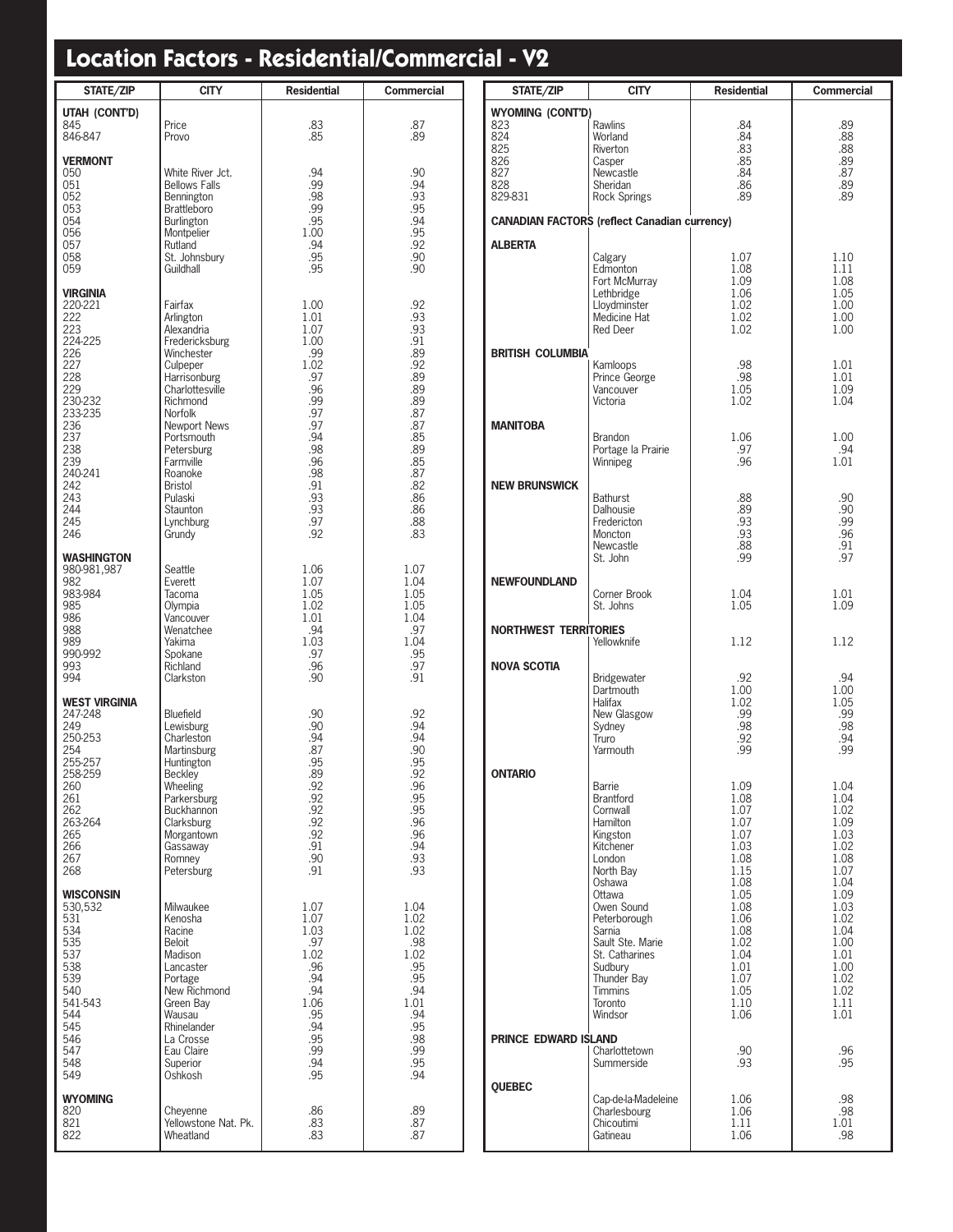| <b>STATE/ZIP</b>                                                                                                                                                                | <b>CITY</b>                                                                                                                                                                                                                                                                         | <b>Residential</b>                                                                                                                            | Commercial                                                                                                                               |
|---------------------------------------------------------------------------------------------------------------------------------------------------------------------------------|-------------------------------------------------------------------------------------------------------------------------------------------------------------------------------------------------------------------------------------------------------------------------------------|-----------------------------------------------------------------------------------------------------------------------------------------------|------------------------------------------------------------------------------------------------------------------------------------------|
| UTAH (CONT'D)<br>845<br>846-847                                                                                                                                                 | Price<br>Provo                                                                                                                                                                                                                                                                      | .83<br>.85                                                                                                                                    | .87<br>.89                                                                                                                               |
| <b>VERMONT</b><br>050<br>051<br>052<br>053<br>054<br>056<br>057<br>058<br>059                                                                                                   | White River Jct.<br><b>Bellows Falls</b><br>Bennington<br><b>Brattleboro</b><br>Burlington<br>Montpelier<br>Rutland<br>St. Johnsbury<br>Guildhall                                                                                                                                   | .94<br>.99<br>.98<br>.99<br>.95<br>1.00<br>.94<br>.95<br>.95                                                                                  | .90<br>.94<br>.93<br>.95<br>.94<br>.95<br>.92<br>.90<br>.90                                                                              |
| <b>VIRGINIA</b><br>220-221<br>222<br>223<br>224-225<br>226<br>227<br>228<br>229<br>230-232<br>233-235<br>236<br>237<br>238<br>239<br>240-241<br>242<br>243<br>244<br>245<br>246 | Fairfax<br>Arlington<br>Alexandria<br>Fredericksburg<br>Winchester<br>Culpeper<br>Harrisonburg<br>Charlottesville<br>Richmond<br><b>Norfolk</b><br>Newport News<br>Portsmouth<br>Petersburg<br>Farmville<br>Roanoke<br><b>Bristol</b><br>Pulaski<br>Staunton<br>Lynchburg<br>Grundy | 1.00<br>1.01<br>1.07<br>1.00<br>.99<br>1.02<br>.97<br>.96<br>.99<br>.97<br>.97<br>.94<br>.98<br>.96<br>.98<br>.91<br>.93<br>.93<br>.97<br>.92 | .92<br>.93<br>.93<br>.91<br>.89<br>.92<br>.89<br>.89<br>.89<br>.87<br>.87<br>.85<br>.89<br>.85<br>.87<br>.82<br>.86<br>.86<br>.88<br>.83 |
| <b>WASHINGTON</b><br>980-981,987<br>982<br>983-984<br>985<br>986<br>988<br>989<br>990-992<br>993<br>994                                                                         | Seattle<br>Everett<br>Tacoma<br>Olympia<br>Vancouver<br>Wenatchee<br>Yakima<br>Spokane<br>Richland<br>Clarkston                                                                                                                                                                     | 1.06<br>1.07<br>1.05<br>1.02<br>1.01<br>.94<br>1.03<br>.97<br>.96<br>.90                                                                      | 1.07<br>1.04<br>1.05<br>1.05<br>1.04<br>.97<br>1.04<br>.95<br>.97<br>.91                                                                 |
| <b>WEST VIRGINIA</b><br>247-248<br>249<br>250-253<br>254<br>255-257<br>258-259<br>260<br>261<br>262<br>263-264<br>265<br>266<br>267<br>268                                      | Bluefield<br>Lewisburg<br>Charleston<br>Martinsburg<br>Huntington<br>Beckley<br>Wheeling<br>Parkersburg<br>Buckhannon<br>Clarksburg<br>Morgantown<br>Gassaway<br>Romney<br>Petersburg                                                                                               | .90<br>.90<br>.94<br>.87<br>.95<br>.89<br>.92<br>.92<br>.92<br>.92<br>.92<br>.91<br>.90<br>.91                                                | .92<br>.94<br>.94<br>.90<br>.95<br>.92<br>.96<br>.95<br>.95<br>.96<br>.96<br>.94<br>.93<br>.93                                           |
| <b>WISCONSIN</b><br>530,532<br>531<br>534<br>535<br>537<br>538<br>539<br>540<br>541-543<br>544<br>545<br>546<br>547<br>548<br>549                                               | Milwaukee<br>Kenosha<br>Racine<br><b>Beloit</b><br>Madison<br>Lancaster<br>Portage<br>New Richmond<br>Green Bay<br>Wausau<br>Rhinelander<br>La Crosse<br>Eau Claire<br>Superior<br>Oshkosh                                                                                          | 1.07<br>1.07<br>1.03<br>.97<br>1.02<br>.96<br>.94<br>.94<br>1.06<br>.95<br>.94<br>.95<br>.99<br>.94<br>.95                                    | 1.04<br>1.02<br>1.02<br>.98<br>1.02<br>.95<br>.95<br>.94<br>1.01<br>.94<br>.95<br>.98<br>.99<br>.95<br>.94                               |
| <b>WYOMING</b><br>820<br>821<br>822                                                                                                                                             | Cheyenne<br>Yellowstone Nat. Pk.<br>Wheatland                                                                                                                                                                                                                                       | .86<br>.83<br>.83                                                                                                                             | .89<br>.87<br>.87                                                                                                                        |

| STATE/ZIP                      | <b>CITY</b>                                         | <b>Residential</b> | <b>Commercial</b> |
|--------------------------------|-----------------------------------------------------|--------------------|-------------------|
| <b>WYOMING (CONT'D)</b><br>823 | <b>Rawlins</b>                                      | .84                | .89               |
| 824                            | Worland                                             | .84                | .88               |
| 825                            | Riverton                                            | .83                | .88               |
| 826                            | Casper                                              | .85                | .89               |
| 827                            | Newcastle                                           | .84                | .87               |
| 828                            | Sheridan                                            | .86                | .89               |
| 829-831                        | <b>Rock Springs</b>                                 | .89                | .89               |
|                                | <b>CANADIAN FACTORS (reflect Canadian currency)</b> |                    |                   |
| <b>ALBERTA</b>                 | Calgary                                             | 1.07               | 1.10              |
|                                | Edmonton                                            | 1.08               | 1.11              |
|                                | Fort McMurray                                       | 1.09               | 1.08              |
|                                | Lethbridge                                          | 1.06               | 1.05              |
|                                | Lloydminster                                        | 1.02               | 1.00              |
|                                | Medicine Hat                                        | 1.02               | 1.00              |
|                                | Red Deer                                            | 1.02               | 1.00              |
| <b>BRITISH COLUMBIA</b>        | Kamloops                                            | .98                | 1.01              |
|                                | Prince George                                       | .98                | 1.01              |
|                                | Vancouver                                           | 1.05               | 1.09              |
|                                | Victoria                                            | 1.02               | 1.04              |
| <b>MANITOBA</b>                | <b>Brandon</b>                                      | 1.06               | 1.00              |
|                                | Portage la Prairie                                  | .97                | .94               |
|                                | Winnipeg                                            | .96                | 1.01              |
| <b>NEW BRUNSWICK</b>           | <b>Bathurst</b>                                     | .88                | .90               |
|                                | Dalhousie                                           | .89                | .90               |
|                                | Fredericton                                         | .93                | .99               |
|                                | Moncton                                             | .93                | .96               |
|                                | Newcastle                                           | .88                | .91               |
|                                | St. John                                            | .99                | .97               |
| <b>NEWFOUNDLAND</b>            | Corner Brook                                        | 1.04               | 1.01              |
|                                | St. Johns                                           | 1.05               | 1.09              |
| <b>NORTHWEST TERRITORIES</b>   | Yellowknife                                         | 1.12               | 1.12              |
| <b>NOVA SCOTIA</b>             | Bridgewater                                         | .92                | .94               |
|                                | Dartmouth                                           | 1.00               | 1.00              |
|                                | Halifax                                             | 1.02               | 1.05              |
|                                | New Glasgow                                         | .99                | .99               |
|                                | Sydney                                              | .98                | .98               |
|                                | Truro                                               | .92                | .94               |
|                                | Yarmouth                                            | .99                | .99               |
| <b>ONTARIO</b>                 | Barrie                                              | 1.09               | 1.04              |
|                                | <b>Brantford</b>                                    | 1.08               | 1.04              |
|                                | Cornwall                                            | 1.07               | 1.02              |
|                                | Hamilton                                            | 1.07               | 1.09              |
|                                | Kingston                                            | 1.07               | 1.03              |
|                                | Kitchener                                           | 1.03               | 1.02              |
|                                | London                                              | 1.08               | 1.08              |
|                                | North Bay                                           | 1.15               | 1.07              |
|                                | Oshawa                                              | 1.08               | 1.04              |
|                                | Ottawa                                              | 1.05               | 1.09              |
|                                | Owen Sound                                          | 1.08               | 1.03              |
|                                | Peterborough                                        | 1.06               | 1.02              |
|                                | Sarnia                                              | 1.08               | 1.04              |
|                                | Sault Ste. Marie                                    | 1.02               | 1.00              |
|                                | St. Catharines                                      | 1.04               | 1.01              |
|                                | Sudbury                                             | 1.01               | 1.00              |
|                                | Thunder Bay                                         | 1.07               | 1.02              |
|                                | <b>Timmins</b>                                      | 1.05               | 1.02              |
|                                | Toronto                                             | 1.10               | 1.11              |
|                                | Windsor                                             | 1.06               | 1.01              |
| <b>PRINCE EDWARD ISLAND</b>    | Charlottetown                                       | .90                | .96               |
|                                | Summerside                                          | .93                | .95               |
| QUEBEC                         | Cap-de-la-Madeleine                                 | 1.06               | .98               |
|                                | Charlesbourg                                        | 1.06               | .98               |
|                                | Chicoutimi                                          | 1.11               | 1.01              |
|                                | Gatineau                                            | 1.06               | .98               |